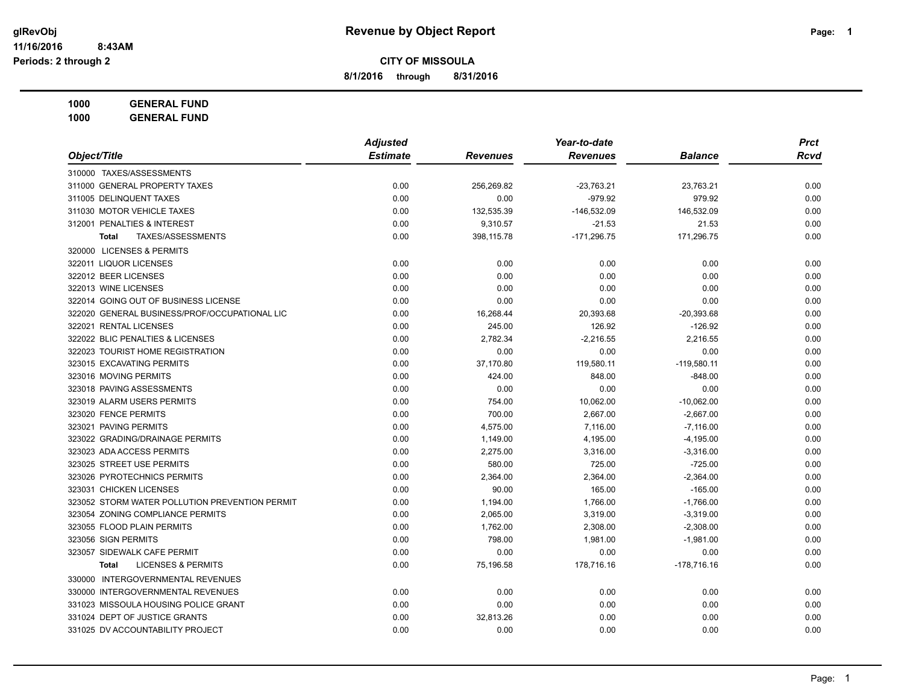**8/1/2016 through 8/31/2016**

**1000 GENERAL FUND**

|                                                | <b>Adjusted</b> |                 | Year-to-date    |                | <b>Prct</b> |
|------------------------------------------------|-----------------|-----------------|-----------------|----------------|-------------|
| Object/Title                                   | <b>Estimate</b> | <b>Revenues</b> | <b>Revenues</b> | <b>Balance</b> | <b>Rcvd</b> |
| 310000 TAXES/ASSESSMENTS                       |                 |                 |                 |                |             |
| 311000 GENERAL PROPERTY TAXES                  | 0.00            | 256,269.82      | $-23,763.21$    | 23,763.21      | 0.00        |
| 311005 DELINQUENT TAXES                        | 0.00            | 0.00            | $-979.92$       | 979.92         | 0.00        |
| 311030 MOTOR VEHICLE TAXES                     | 0.00            | 132,535.39      | $-146,532.09$   | 146,532.09     | 0.00        |
| 312001 PENALTIES & INTEREST                    | 0.00            | 9,310.57        | $-21.53$        | 21.53          | 0.00        |
| TAXES/ASSESSMENTS<br><b>Total</b>              | 0.00            | 398,115.78      | $-171,296.75$   | 171,296.75     | 0.00        |
| 320000 LICENSES & PERMITS                      |                 |                 |                 |                |             |
| 322011 LIQUOR LICENSES                         | 0.00            | 0.00            | 0.00            | 0.00           | 0.00        |
| 322012 BEER LICENSES                           | 0.00            | 0.00            | 0.00            | 0.00           | 0.00        |
| 322013 WINE LICENSES                           | 0.00            | 0.00            | 0.00            | 0.00           | 0.00        |
| 322014 GOING OUT OF BUSINESS LICENSE           | 0.00            | 0.00            | 0.00            | 0.00           | 0.00        |
| 322020 GENERAL BUSINESS/PROF/OCCUPATIONAL LIC  | 0.00            | 16,268.44       | 20,393.68       | $-20,393.68$   | 0.00        |
| 322021 RENTAL LICENSES                         | 0.00            | 245.00          | 126.92          | $-126.92$      | 0.00        |
| 322022 BLIC PENALTIES & LICENSES               | 0.00            | 2,782.34        | $-2,216.55$     | 2,216.55       | 0.00        |
| 322023 TOURIST HOME REGISTRATION               | 0.00            | 0.00            | 0.00            | 0.00           | 0.00        |
| 323015 EXCAVATING PERMITS                      | 0.00            | 37,170.80       | 119,580.11      | $-119,580.11$  | 0.00        |
| 323016 MOVING PERMITS                          | 0.00            | 424.00          | 848.00          | $-848.00$      | 0.00        |
| 323018 PAVING ASSESSMENTS                      | 0.00            | 0.00            | 0.00            | 0.00           | 0.00        |
| 323019 ALARM USERS PERMITS                     | 0.00            | 754.00          | 10,062.00       | $-10,062.00$   | 0.00        |
| 323020 FENCE PERMITS                           | 0.00            | 700.00          | 2,667.00        | $-2,667.00$    | 0.00        |
| 323021 PAVING PERMITS                          | 0.00            | 4,575.00        | 7,116.00        | $-7,116.00$    | 0.00        |
| 323022 GRADING/DRAINAGE PERMITS                | 0.00            | 1,149.00        | 4,195.00        | $-4,195.00$    | 0.00        |
| 323023 ADA ACCESS PERMITS                      | 0.00            | 2,275.00        | 3,316.00        | $-3,316.00$    | 0.00        |
| 323025 STREET USE PERMITS                      | 0.00            | 580.00          | 725.00          | $-725.00$      | 0.00        |
| 323026 PYROTECHNICS PERMITS                    | 0.00            | 2,364.00        | 2,364.00        | $-2,364.00$    | 0.00        |
| 323031 CHICKEN LICENSES                        | 0.00            | 90.00           | 165.00          | $-165.00$      | 0.00        |
| 323052 STORM WATER POLLUTION PREVENTION PERMIT | 0.00            | 1,194.00        | 1,766.00        | $-1,766.00$    | 0.00        |
| 323054 ZONING COMPLIANCE PERMITS               | 0.00            | 2,065.00        | 3,319.00        | $-3,319.00$    | 0.00        |
| 323055 FLOOD PLAIN PERMITS                     | 0.00            | 1,762.00        | 2,308.00        | $-2,308.00$    | 0.00        |
| 323056 SIGN PERMITS                            | 0.00            | 798.00          | 1,981.00        | $-1,981.00$    | 0.00        |
| 323057 SIDEWALK CAFE PERMIT                    | 0.00            | 0.00            | 0.00            | 0.00           | 0.00        |
| <b>LICENSES &amp; PERMITS</b><br><b>Total</b>  | 0.00            | 75,196.58       | 178,716.16      | $-178,716.16$  | 0.00        |
| 330000 INTERGOVERNMENTAL REVENUES              |                 |                 |                 |                |             |
| 330000 INTERGOVERNMENTAL REVENUES              | 0.00            | 0.00            | 0.00            | 0.00           | 0.00        |
| 331023 MISSOULA HOUSING POLICE GRANT           | 0.00            | 0.00            | 0.00            | 0.00           | 0.00        |
| 331024 DEPT OF JUSTICE GRANTS                  | 0.00            | 32,813.26       | 0.00            | 0.00           | 0.00        |
| 331025 DV ACCOUNTABILITY PROJECT               | 0.00            | 0.00            | 0.00            | 0.00           | 0.00        |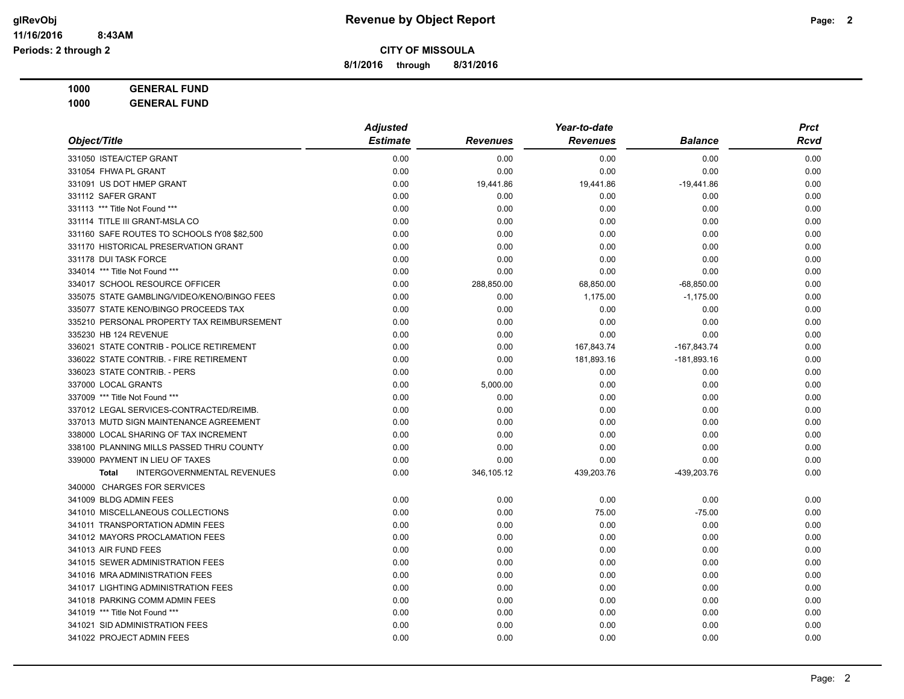**CITY OF MISSOULA**

**8/1/2016 through 8/31/2016**

#### **1000 GENERAL FUND**

|                                                   | <b>Adjusted</b> |                 | Year-to-date    |                | <b>Prct</b><br><b>Rcvd</b> |
|---------------------------------------------------|-----------------|-----------------|-----------------|----------------|----------------------------|
| Object/Title                                      | <b>Estimate</b> | <b>Revenues</b> | <b>Revenues</b> | <b>Balance</b> |                            |
| 331050 ISTEA/CTEP GRANT                           | 0.00            | 0.00            | 0.00            | 0.00           | 0.00                       |
| 331054 FHWA PL GRANT                              | 0.00            | 0.00            | 0.00            | 0.00           | 0.00                       |
| 331091 US DOT HMEP GRANT                          | 0.00            | 19,441.86       | 19,441.86       | $-19,441.86$   | 0.00                       |
| 331112 SAFER GRANT                                | 0.00            | 0.00            | 0.00            | 0.00           | 0.00                       |
| 331113 *** Title Not Found ***                    | 0.00            | 0.00            | 0.00            | 0.00           | 0.00                       |
| 331114 TITLE III GRANT-MSLA CO                    | 0.00            | 0.00            | 0.00            | 0.00           | 0.00                       |
| 331160 SAFE ROUTES TO SCHOOLS fY08 \$82,500       | 0.00            | 0.00            | 0.00            | 0.00           | 0.00                       |
| 331170 HISTORICAL PRESERVATION GRANT              | 0.00            | 0.00            | 0.00            | 0.00           | 0.00                       |
| 331178 DUI TASK FORCE                             | 0.00            | 0.00            | 0.00            | 0.00           | 0.00                       |
| 334014 *** Title Not Found ***                    | 0.00            | 0.00            | 0.00            | 0.00           | 0.00                       |
| 334017 SCHOOL RESOURCE OFFICER                    | 0.00            | 288,850.00      | 68,850.00       | $-68,850.00$   | 0.00                       |
| 335075 STATE GAMBLING/VIDEO/KENO/BINGO FEES       | 0.00            | 0.00            | 1,175.00        | $-1,175.00$    | 0.00                       |
| 335077 STATE KENO/BINGO PROCEEDS TAX              | 0.00            | 0.00            | 0.00            | 0.00           | 0.00                       |
| 335210 PERSONAL PROPERTY TAX REIMBURSEMENT        | 0.00            | 0.00            | 0.00            | 0.00           | 0.00                       |
| 335230 HB 124 REVENUE                             | 0.00            | 0.00            | 0.00            | 0.00           | 0.00                       |
| 336021 STATE CONTRIB - POLICE RETIREMENT          | 0.00            | 0.00            | 167,843.74      | -167,843.74    | 0.00                       |
| 336022 STATE CONTRIB. - FIRE RETIREMENT           | 0.00            | 0.00            | 181,893.16      | $-181,893.16$  | 0.00                       |
| 336023 STATE CONTRIB. - PERS                      | 0.00            | 0.00            | 0.00            | 0.00           | 0.00                       |
| 337000 LOCAL GRANTS                               | 0.00            | 5,000.00        | 0.00            | 0.00           | 0.00                       |
| 337009 *** Title Not Found ***                    | 0.00            | 0.00            | 0.00            | 0.00           | 0.00                       |
| 337012 LEGAL SERVICES-CONTRACTED/REIMB.           | 0.00            | 0.00            | 0.00            | 0.00           | 0.00                       |
| 337013 MUTD SIGN MAINTENANCE AGREEMENT            | 0.00            | 0.00            | 0.00            | 0.00           | 0.00                       |
| 338000 LOCAL SHARING OF TAX INCREMENT             | 0.00            | 0.00            | 0.00            | 0.00           | 0.00                       |
| 338100 PLANNING MILLS PASSED THRU COUNTY          | 0.00            | 0.00            | 0.00            | 0.00           | 0.00                       |
| 339000 PAYMENT IN LIEU OF TAXES                   | 0.00            | 0.00            | 0.00            | 0.00           | 0.00                       |
| <b>INTERGOVERNMENTAL REVENUES</b><br><b>Total</b> | 0.00            | 346,105.12      | 439,203.76      | -439,203.76    | 0.00                       |
| 340000 CHARGES FOR SERVICES                       |                 |                 |                 |                |                            |
| 341009 BLDG ADMIN FEES                            | 0.00            | 0.00            | 0.00            | 0.00           | 0.00                       |
| 341010 MISCELLANEOUS COLLECTIONS                  | 0.00            | 0.00            | 75.00           | $-75.00$       | 0.00                       |
| 341011 TRANSPORTATION ADMIN FEES                  | 0.00            | 0.00            | 0.00            | 0.00           | 0.00                       |
| 341012 MAYORS PROCLAMATION FEES                   | 0.00            | 0.00            | 0.00            | 0.00           | 0.00                       |
| 341013 AIR FUND FEES                              | 0.00            | 0.00            | 0.00            | 0.00           | 0.00                       |
| 341015 SEWER ADMINISTRATION FEES                  | 0.00            | 0.00            | 0.00            | 0.00           | 0.00                       |
| 341016 MRA ADMINISTRATION FEES                    | 0.00            | 0.00            | 0.00            | 0.00           | 0.00                       |
| 341017 LIGHTING ADMINISTRATION FEES               | 0.00            | 0.00            | 0.00            | 0.00           | 0.00                       |
| 341018 PARKING COMM ADMIN FEES                    | 0.00            | 0.00            | 0.00            | 0.00           | 0.00                       |
| 341019 *** Title Not Found ***                    | 0.00            | 0.00            | 0.00            | 0.00           | 0.00                       |
| 341021 SID ADMINISTRATION FEES                    | 0.00            | 0.00            | 0.00            | 0.00           | 0.00                       |
| 341022 PROJECT ADMIN FEES                         | 0.00            | 0.00            | 0.00            | 0.00           | 0.00                       |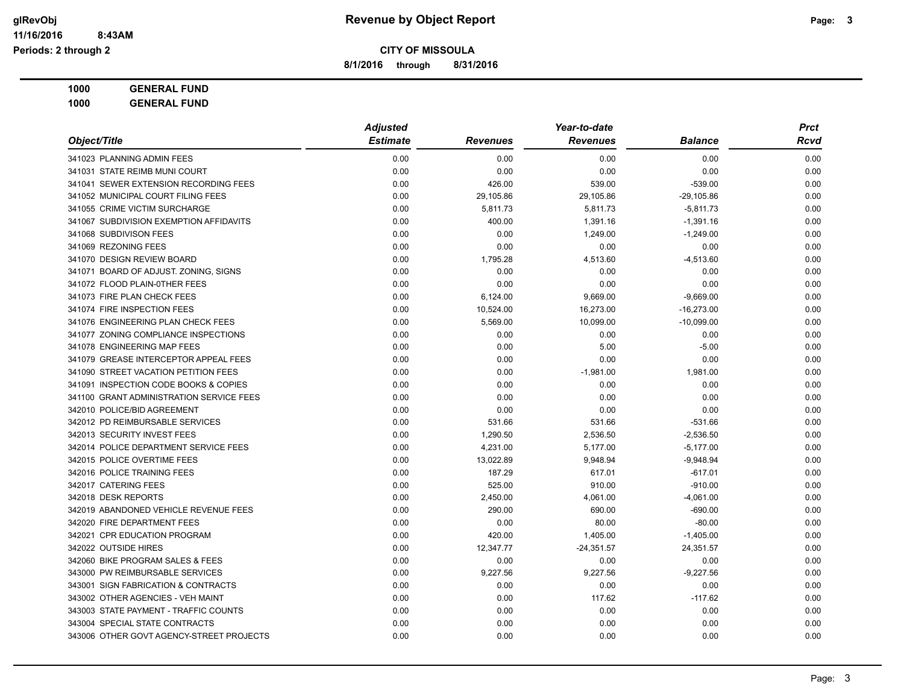**8/1/2016 through 8/31/2016**

**1000 GENERAL FUND**

|                                          | <b>Adjusted</b> |                 | Year-to-date    |                | <b>Prct</b> |
|------------------------------------------|-----------------|-----------------|-----------------|----------------|-------------|
| Object/Title                             | <b>Estimate</b> | <b>Revenues</b> | <b>Revenues</b> | <b>Balance</b> | Rcvd        |
| 341023 PLANNING ADMIN FEES               | 0.00            | 0.00            | 0.00            | 0.00           | 0.00        |
| 341031 STATE REIMB MUNI COURT            | 0.00            | 0.00            | 0.00            | 0.00           | 0.00        |
| 341041 SEWER EXTENSION RECORDING FEES    | 0.00            | 426.00          | 539.00          | $-539.00$      | 0.00        |
| 341052 MUNICIPAL COURT FILING FEES       | 0.00            | 29,105.86       | 29,105.86       | $-29,105.86$   | 0.00        |
| 341055 CRIME VICTIM SURCHARGE            | 0.00            | 5,811.73        | 5,811.73        | $-5,811.73$    | 0.00        |
| 341067 SUBDIVISION EXEMPTION AFFIDAVITS  | 0.00            | 400.00          | 1,391.16        | $-1,391.16$    | 0.00        |
| 341068 SUBDIVISON FEES                   | 0.00            | 0.00            | 1,249.00        | $-1,249.00$    | 0.00        |
| 341069 REZONING FEES                     | 0.00            | 0.00            | 0.00            | 0.00           | 0.00        |
| 341070 DESIGN REVIEW BOARD               | 0.00            | 1,795.28        | 4,513.60        | $-4,513.60$    | 0.00        |
| 341071 BOARD OF ADJUST. ZONING, SIGNS    | 0.00            | 0.00            | 0.00            | 0.00           | 0.00        |
| 341072 FLOOD PLAIN-0THER FEES            | 0.00            | 0.00            | 0.00            | 0.00           | 0.00        |
| 341073 FIRE PLAN CHECK FEES              | 0.00            | 6,124.00        | 9,669.00        | $-9,669.00$    | 0.00        |
| 341074 FIRE INSPECTION FEES              | 0.00            | 10,524.00       | 16,273.00       | $-16,273.00$   | 0.00        |
| 341076 ENGINEERING PLAN CHECK FEES       | 0.00            | 5,569.00        | 10,099.00       | $-10,099.00$   | 0.00        |
| 341077 ZONING COMPLIANCE INSPECTIONS     | 0.00            | 0.00            | 0.00            | 0.00           | 0.00        |
| 341078 ENGINEERING MAP FEES              | 0.00            | 0.00            | 5.00            | $-5.00$        | 0.00        |
| 341079 GREASE INTERCEPTOR APPEAL FEES    | 0.00            | 0.00            | 0.00            | 0.00           | 0.00        |
| 341090 STREET VACATION PETITION FEES     | 0.00            | 0.00            | $-1,981.00$     | 1,981.00       | 0.00        |
| 341091 INSPECTION CODE BOOKS & COPIES    | 0.00            | 0.00            | 0.00            | 0.00           | 0.00        |
| 341100 GRANT ADMINISTRATION SERVICE FEES | 0.00            | 0.00            | 0.00            | 0.00           | 0.00        |
| 342010 POLICE/BID AGREEMENT              | 0.00            | 0.00            | 0.00            | 0.00           | 0.00        |
| 342012 PD REIMBURSABLE SERVICES          | 0.00            | 531.66          | 531.66          | $-531.66$      | 0.00        |
| 342013 SECURITY INVEST FEES              | 0.00            | 1,290.50        | 2,536.50        | $-2,536.50$    | 0.00        |
| 342014 POLICE DEPARTMENT SERVICE FEES    | 0.00            | 4,231.00        | 5,177.00        | $-5,177.00$    | 0.00        |
| 342015 POLICE OVERTIME FEES              | 0.00            | 13,022.89       | 9,948.94        | $-9,948.94$    | 0.00        |
| 342016 POLICE TRAINING FEES              | 0.00            | 187.29          | 617.01          | $-617.01$      | 0.00        |
| 342017 CATERING FEES                     | 0.00            | 525.00          | 910.00          | $-910.00$      | 0.00        |
| 342018 DESK REPORTS                      | 0.00            | 2,450.00        | 4,061.00        | $-4,061.00$    | 0.00        |
| 342019 ABANDONED VEHICLE REVENUE FEES    | 0.00            | 290.00          | 690.00          | -690.00        | 0.00        |
| 342020 FIRE DEPARTMENT FEES              | 0.00            | 0.00            | 80.00           | $-80.00$       | 0.00        |
| 342021 CPR EDUCATION PROGRAM             | 0.00            | 420.00          | 1,405.00        | $-1,405.00$    | 0.00        |
| 342022 OUTSIDE HIRES                     | 0.00            | 12,347.77       | $-24,351.57$    | 24,351.57      | 0.00        |
| 342060 BIKE PROGRAM SALES & FEES         | 0.00            | 0.00            | 0.00            | 0.00           | 0.00        |
| 343000 PW REIMBURSABLE SERVICES          | 0.00            | 9,227.56        | 9,227.56        | $-9,227.56$    | 0.00        |
| 343001 SIGN FABRICATION & CONTRACTS      | 0.00            | 0.00            | 0.00            | 0.00           | 0.00        |
| 343002 OTHER AGENCIES - VEH MAINT        | 0.00            | 0.00            | 117.62          | $-117.62$      | 0.00        |
| 343003 STATE PAYMENT - TRAFFIC COUNTS    | 0.00            | 0.00            | 0.00            | 0.00           | 0.00        |
| 343004 SPECIAL STATE CONTRACTS           | 0.00            | 0.00            | 0.00            | 0.00           | 0.00        |
| 343006 OTHER GOVT AGENCY-STREET PROJECTS | 0.00            | 0.00            | 0.00            | 0.00           | 0.00        |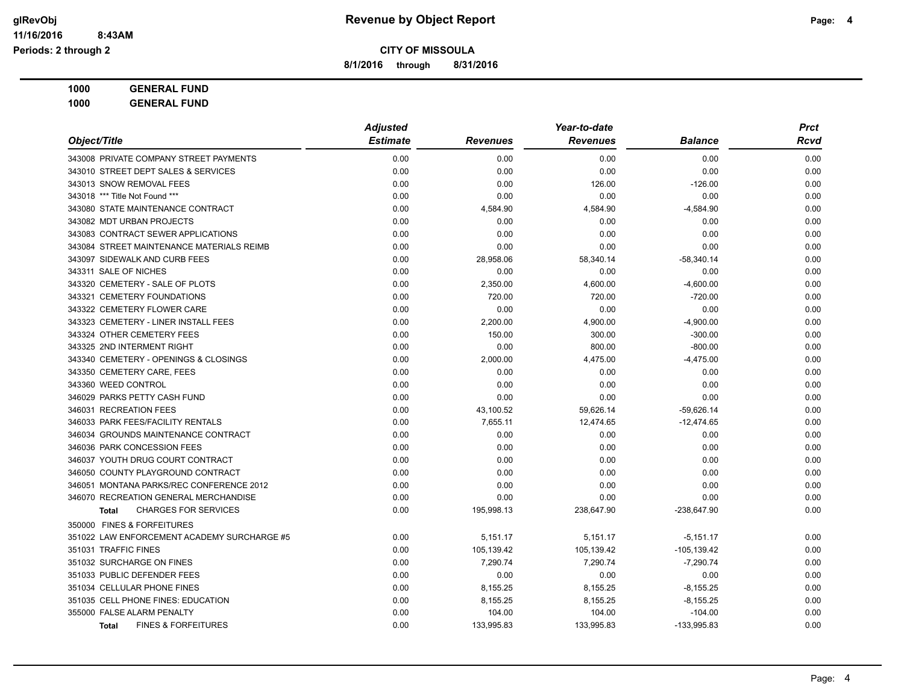**8/1/2016 through 8/31/2016**

**1000 GENERAL FUND**

|                                                | <b>Adjusted</b> |                 | Year-to-date    |                | <b>Prct</b> |
|------------------------------------------------|-----------------|-----------------|-----------------|----------------|-------------|
| Object/Title                                   | <b>Estimate</b> | <b>Revenues</b> | <b>Revenues</b> | <b>Balance</b> | <b>Rcvd</b> |
| 343008 PRIVATE COMPANY STREET PAYMENTS         | 0.00            | 0.00            | 0.00            | 0.00           | 0.00        |
| 343010 STREET DEPT SALES & SERVICES            | 0.00            | 0.00            | 0.00            | 0.00           | 0.00        |
| 343013 SNOW REMOVAL FEES                       | 0.00            | 0.00            | 126.00          | $-126.00$      | 0.00        |
| 343018 *** Title Not Found ***                 | 0.00            | 0.00            | 0.00            | 0.00           | 0.00        |
| 343080 STATE MAINTENANCE CONTRACT              | 0.00            | 4,584.90        | 4,584.90        | $-4,584.90$    | 0.00        |
| 343082 MDT URBAN PROJECTS                      | 0.00            | 0.00            | 0.00            | 0.00           | 0.00        |
| 343083 CONTRACT SEWER APPLICATIONS             | 0.00            | 0.00            | 0.00            | 0.00           | 0.00        |
| 343084 STREET MAINTENANCE MATERIALS REIMB      | 0.00            | 0.00            | 0.00            | 0.00           | 0.00        |
| 343097 SIDEWALK AND CURB FEES                  | 0.00            | 28,958.06       | 58,340.14       | $-58,340.14$   | 0.00        |
| 343311 SALE OF NICHES                          | 0.00            | 0.00            | 0.00            | 0.00           | 0.00        |
| 343320 CEMETERY - SALE OF PLOTS                | 0.00            | 2,350.00        | 4,600.00        | $-4,600.00$    | 0.00        |
| 343321 CEMETERY FOUNDATIONS                    | 0.00            | 720.00          | 720.00          | $-720.00$      | 0.00        |
| 343322 CEMETERY FLOWER CARE                    | 0.00            | 0.00            | 0.00            | 0.00           | 0.00        |
| 343323 CEMETERY - LINER INSTALL FEES           | 0.00            | 2,200.00        | 4,900.00        | $-4,900.00$    | 0.00        |
| 343324 OTHER CEMETERY FEES                     | 0.00            | 150.00          | 300.00          | $-300.00$      | 0.00        |
| 343325 2ND INTERMENT RIGHT                     | 0.00            | 0.00            | 800.00          | $-800.00$      | 0.00        |
| 343340 CEMETERY - OPENINGS & CLOSINGS          | 0.00            | 2,000.00        | 4,475.00        | $-4,475.00$    | 0.00        |
| 343350 CEMETERY CARE, FEES                     | 0.00            | 0.00            | 0.00            | 0.00           | 0.00        |
| 343360 WEED CONTROL                            | 0.00            | 0.00            | 0.00            | 0.00           | 0.00        |
| 346029 PARKS PETTY CASH FUND                   | 0.00            | 0.00            | 0.00            | 0.00           | 0.00        |
| 346031 RECREATION FEES                         | 0.00            | 43,100.52       | 59,626.14       | $-59,626.14$   | 0.00        |
| 346033 PARK FEES/FACILITY RENTALS              | 0.00            | 7,655.11        | 12,474.65       | $-12,474.65$   | 0.00        |
| 346034 GROUNDS MAINTENANCE CONTRACT            | 0.00            | 0.00            | 0.00            | 0.00           | 0.00        |
| 346036 PARK CONCESSION FEES                    | 0.00            | 0.00            | 0.00            | 0.00           | 0.00        |
| 346037 YOUTH DRUG COURT CONTRACT               | 0.00            | 0.00            | 0.00            | 0.00           | 0.00        |
| 346050 COUNTY PLAYGROUND CONTRACT              | 0.00            | 0.00            | 0.00            | 0.00           | 0.00        |
| 346051 MONTANA PARKS/REC CONFERENCE 2012       | 0.00            | 0.00            | 0.00            | 0.00           | 0.00        |
| 346070 RECREATION GENERAL MERCHANDISE          | 0.00            | 0.00            | 0.00            | 0.00           | 0.00        |
| <b>CHARGES FOR SERVICES</b><br>Total           | 0.00            | 195,998.13      | 238,647.90      | $-238,647.90$  | 0.00        |
| 350000 FINES & FORFEITURES                     |                 |                 |                 |                |             |
| 351022 LAW ENFORCEMENT ACADEMY SURCHARGE #5    | 0.00            | 5,151.17        | 5,151.17        | $-5,151.17$    | 0.00        |
| 351031 TRAFFIC FINES                           | 0.00            | 105,139.42      | 105,139.42      | $-105, 139.42$ | 0.00        |
| 351032 SURCHARGE ON FINES                      | 0.00            | 7,290.74        | 7,290.74        | $-7,290.74$    | 0.00        |
| 351033 PUBLIC DEFENDER FEES                    | 0.00            | 0.00            | 0.00            | 0.00           | 0.00        |
| 351034 CELLULAR PHONE FINES                    | 0.00            | 8,155.25        | 8,155.25        | $-8,155.25$    | 0.00        |
| 351035 CELL PHONE FINES: EDUCATION             | 0.00            | 8,155.25        | 8,155.25        | $-8,155.25$    | 0.00        |
| 355000 FALSE ALARM PENALTY                     | 0.00            | 104.00          | 104.00          | $-104.00$      | 0.00        |
| <b>FINES &amp; FORFEITURES</b><br><b>Total</b> | 0.00            | 133,995.83      | 133,995.83      | -133,995.83    | 0.00        |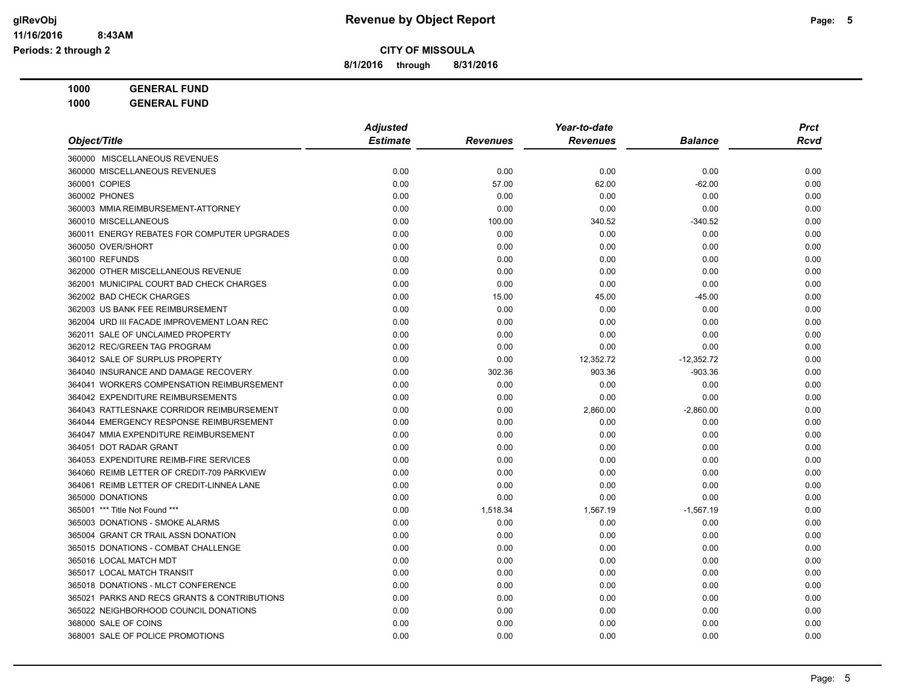**CITY OF MISSOULA**

**8/1/2016 through 8/31/2016**

#### **1000 GENERAL FUND**

 **8:43AM**

|                                              | <b>Adjusted</b> |                 | Year-to-date    |                | <b>Prct</b><br>Rcvd |
|----------------------------------------------|-----------------|-----------------|-----------------|----------------|---------------------|
| Object/Title                                 | <b>Estimate</b> | <b>Revenues</b> | <b>Revenues</b> | <b>Balance</b> |                     |
| 360000 MISCELLANEOUS REVENUES                |                 |                 |                 |                |                     |
| 360000 MISCELLANEOUS REVENUES                | 0.00            | 0.00            | 0.00            | 0.00           | 0.00                |
| 360001 COPIES                                | 0.00            | 57.00           | 62.00           | $-62.00$       | 0.00                |
| 360002 PHONES                                | 0.00            | 0.00            | 0.00            | 0.00           | 0.00                |
| 360003 MMIA REIMBURSEMENT-ATTORNEY           | 0.00            | 0.00            | 0.00            | 0.00           | 0.00                |
| 360010 MISCELLANEOUS                         | 0.00            | 100.00          | 340.52          | $-340.52$      | 0.00                |
| 360011 ENERGY REBATES FOR COMPUTER UPGRADES  | 0.00            | 0.00            | 0.00            | 0.00           | 0.00                |
| 360050 OVER/SHORT                            | 0.00            | 0.00            | 0.00            | 0.00           | 0.00                |
| 360100 REFUNDS                               | 0.00            | 0.00            | 0.00            | 0.00           | 0.00                |
| 362000 OTHER MISCELLANEOUS REVENUE           | 0.00            | 0.00            | 0.00            | 0.00           | 0.00                |
| 362001 MUNICIPAL COURT BAD CHECK CHARGES     | 0.00            | 0.00            | 0.00            | 0.00           | 0.00                |
| 362002 BAD CHECK CHARGES                     | 0.00            | 15.00           | 45.00           | $-45.00$       | 0.00                |
| 362003 US BANK FEE REIMBURSEMENT             | 0.00            | 0.00            | 0.00            | 0.00           | 0.00                |
| 362004 URD III FACADE IMPROVEMENT LOAN REC   | 0.00            | 0.00            | 0.00            | 0.00           | 0.00                |
| 362011 SALE OF UNCLAIMED PROPERTY            | 0.00            | 0.00            | 0.00            | 0.00           | 0.00                |
| 362012 REC/GREEN TAG PROGRAM                 | 0.00            | 0.00            | 0.00            | 0.00           | 0.00                |
| 364012 SALE OF SURPLUS PROPERTY              | 0.00            | 0.00            | 12,352.72       | $-12,352.72$   | 0.00                |
| 364040 INSURANCE AND DAMAGE RECOVERY         | 0.00            | 302.36          | 903.36          | $-903.36$      | 0.00                |
| 364041 WORKERS COMPENSATION REIMBURSEMENT    | 0.00            | 0.00            | 0.00            | 0.00           | 0.00                |
| 364042 EXPENDITURE REIMBURSEMENTS            | 0.00            | 0.00            | 0.00            | 0.00           | 0.00                |
| 364043 RATTLESNAKE CORRIDOR REIMBURSEMENT    | 0.00            | 0.00            | 2,860.00        | $-2,860.00$    | 0.00                |
| 364044 EMERGENCY RESPONSE REIMBURSEMENT      | 0.00            | 0.00            | 0.00            | 0.00           | 0.00                |
| 364047 MMIA EXPENDITURE REIMBURSEMENT        | 0.00            | 0.00            | 0.00            | 0.00           | 0.00                |
| 364051 DOT RADAR GRANT                       | 0.00            | 0.00            | 0.00            | 0.00           | 0.00                |
| 364053 EXPENDITURE REIMB-FIRE SERVICES       | 0.00            | 0.00            | 0.00            | 0.00           | 0.00                |
| 364060 REIMB LETTER OF CREDIT-709 PARKVIEW   | 0.00            | 0.00            | 0.00            | 0.00           | 0.00                |
| 364061 REIMB LETTER OF CREDIT-LINNEA LANE    | 0.00            | 0.00            | 0.00            | 0.00           | 0.00                |
| 365000 DONATIONS                             | 0.00            | 0.00            | 0.00            | 0.00           | 0.00                |
| 365001 *** Title Not Found ***               | 0.00            | 1,518.34        | 1,567.19        | $-1,567.19$    | 0.00                |
| 365003 DONATIONS - SMOKE ALARMS              | 0.00            | 0.00            | 0.00            | 0.00           | 0.00                |
| 365004 GRANT CR TRAIL ASSN DONATION          | 0.00            | 0.00            | 0.00            | 0.00           | 0.00                |
| 365015 DONATIONS - COMBAT CHALLENGE          | 0.00            | 0.00            | 0.00            | 0.00           | 0.00                |
| 365016 LOCAL MATCH MDT                       | 0.00            | 0.00            | 0.00            | 0.00           | 0.00                |
| 365017 LOCAL MATCH TRANSIT                   | 0.00            | 0.00            | 0.00            | 0.00           | 0.00                |
| 365018 DONATIONS - MLCT CONFERENCE           | 0.00            | 0.00            | 0.00            | 0.00           | 0.00                |
| 365021 PARKS AND RECS GRANTS & CONTRIBUTIONS | 0.00            | 0.00            | 0.00            | 0.00           | 0.00                |
| 365022 NEIGHBORHOOD COUNCIL DONATIONS        | 0.00            | 0.00            | 0.00            | 0.00           | 0.00                |
| 368000 SALE OF COINS                         | 0.00            | 0.00            | 0.00            | 0.00           | 0.00                |
| 368001 SALE OF POLICE PROMOTIONS             | 0.00            | 0.00            | 0.00            | 0.00           | 0.00                |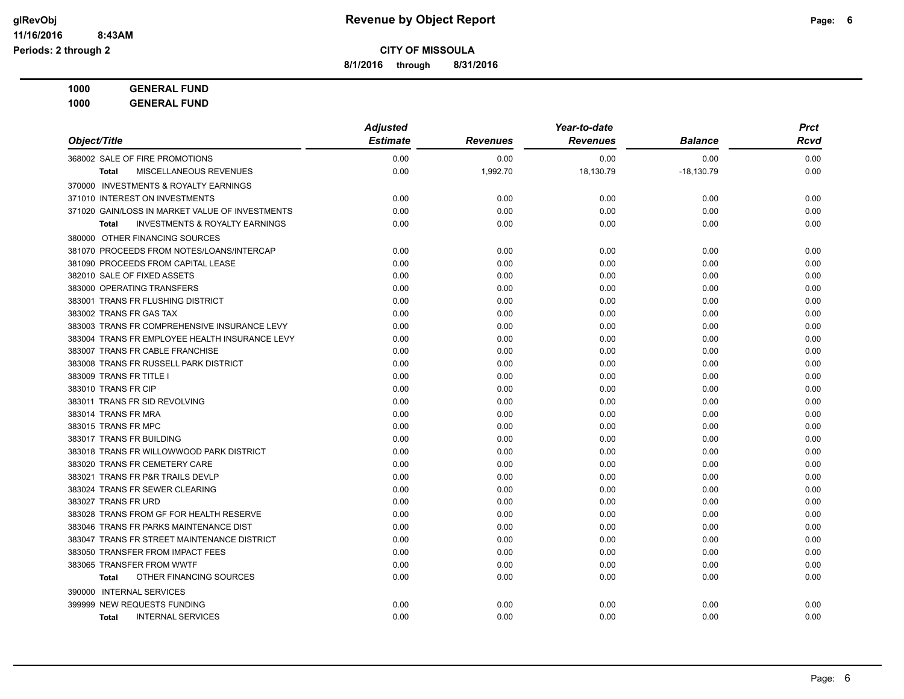**8/1/2016 through 8/31/2016**

**1000 GENERAL FUND**

|                                                           | <b>Adjusted</b> |                 | Year-to-date    |                | <b>Prct</b> |
|-----------------------------------------------------------|-----------------|-----------------|-----------------|----------------|-------------|
| Object/Title                                              | <b>Estimate</b> | <b>Revenues</b> | <b>Revenues</b> | <b>Balance</b> | <b>Rcvd</b> |
| 368002 SALE OF FIRE PROMOTIONS                            | 0.00            | 0.00            | 0.00            | 0.00           | 0.00        |
| MISCELLANEOUS REVENUES<br><b>Total</b>                    | 0.00            | 1,992.70        | 18,130.79       | $-18,130.79$   | 0.00        |
| 370000 INVESTMENTS & ROYALTY EARNINGS                     |                 |                 |                 |                |             |
| 371010 INTEREST ON INVESTMENTS                            | 0.00            | 0.00            | 0.00            | 0.00           | 0.00        |
| 371020 GAIN/LOSS IN MARKET VALUE OF INVESTMENTS           | 0.00            | 0.00            | 0.00            | 0.00           | 0.00        |
| <b>INVESTMENTS &amp; ROYALTY EARNINGS</b><br><b>Total</b> | 0.00            | 0.00            | 0.00            | 0.00           | 0.00        |
| 380000 OTHER FINANCING SOURCES                            |                 |                 |                 |                |             |
| 381070 PROCEEDS FROM NOTES/LOANS/INTERCAP                 | 0.00            | 0.00            | 0.00            | 0.00           | 0.00        |
| 381090 PROCEEDS FROM CAPITAL LEASE                        | 0.00            | 0.00            | 0.00            | 0.00           | 0.00        |
| 382010 SALE OF FIXED ASSETS                               | 0.00            | 0.00            | 0.00            | 0.00           | 0.00        |
| 383000 OPERATING TRANSFERS                                | 0.00            | 0.00            | 0.00            | 0.00           | 0.00        |
| 383001 TRANS FR FLUSHING DISTRICT                         | 0.00            | 0.00            | 0.00            | 0.00           | 0.00        |
| 383002 TRANS FR GAS TAX                                   | 0.00            | 0.00            | 0.00            | 0.00           | 0.00        |
| 383003 TRANS FR COMPREHENSIVE INSURANCE LEVY              | 0.00            | 0.00            | 0.00            | 0.00           | 0.00        |
| 383004 TRANS FR EMPLOYEE HEALTH INSURANCE LEVY            | 0.00            | 0.00            | 0.00            | 0.00           | 0.00        |
| 383007 TRANS FR CABLE FRANCHISE                           | 0.00            | 0.00            | 0.00            | 0.00           | 0.00        |
| 383008 TRANS FR RUSSELL PARK DISTRICT                     | 0.00            | 0.00            | 0.00            | 0.00           | 0.00        |
| 383009 TRANS FR TITLE I                                   | 0.00            | 0.00            | 0.00            | 0.00           | 0.00        |
| 383010 TRANS FR CIP                                       | 0.00            | 0.00            | 0.00            | 0.00           | 0.00        |
| 383011 TRANS FR SID REVOLVING                             | 0.00            | 0.00            | 0.00            | 0.00           | 0.00        |
| 383014 TRANS FR MRA                                       | 0.00            | 0.00            | 0.00            | 0.00           | 0.00        |
| 383015 TRANS FR MPC                                       | 0.00            | 0.00            | 0.00            | 0.00           | 0.00        |
| 383017 TRANS FR BUILDING                                  | 0.00            | 0.00            | 0.00            | 0.00           | 0.00        |
| 383018 TRANS FR WILLOWWOOD PARK DISTRICT                  | 0.00            | 0.00            | 0.00            | 0.00           | 0.00        |
| 383020 TRANS FR CEMETERY CARE                             | 0.00            | 0.00            | 0.00            | 0.00           | 0.00        |
| 383021 TRANS FR P&R TRAILS DEVLP                          | 0.00            | 0.00            | 0.00            | 0.00           | 0.00        |
| 383024 TRANS FR SEWER CLEARING                            | 0.00            | 0.00            | 0.00            | 0.00           | 0.00        |
| 383027 TRANS FR URD                                       | 0.00            | 0.00            | 0.00            | 0.00           | 0.00        |
| 383028 TRANS FROM GF FOR HEALTH RESERVE                   | 0.00            | 0.00            | 0.00            | 0.00           | 0.00        |
| 383046 TRANS FR PARKS MAINTENANCE DIST                    | 0.00            | 0.00            | 0.00            | 0.00           | 0.00        |
| 383047 TRANS FR STREET MAINTENANCE DISTRICT               | 0.00            | 0.00            | 0.00            | 0.00           | 0.00        |
| 383050 TRANSFER FROM IMPACT FEES                          | 0.00            | 0.00            | 0.00            | 0.00           | 0.00        |
| 383065 TRANSFER FROM WWTF                                 | 0.00            | 0.00            | 0.00            | 0.00           | 0.00        |
| OTHER FINANCING SOURCES<br>Total                          | 0.00            | 0.00            | 0.00            | 0.00           | 0.00        |
| 390000 INTERNAL SERVICES                                  |                 |                 |                 |                |             |
| 399999 NEW REQUESTS FUNDING                               | 0.00            | 0.00            | 0.00            | 0.00           | 0.00        |
| <b>INTERNAL SERVICES</b><br><b>Total</b>                  | 0.00            | 0.00            | 0.00            | 0.00           | 0.00        |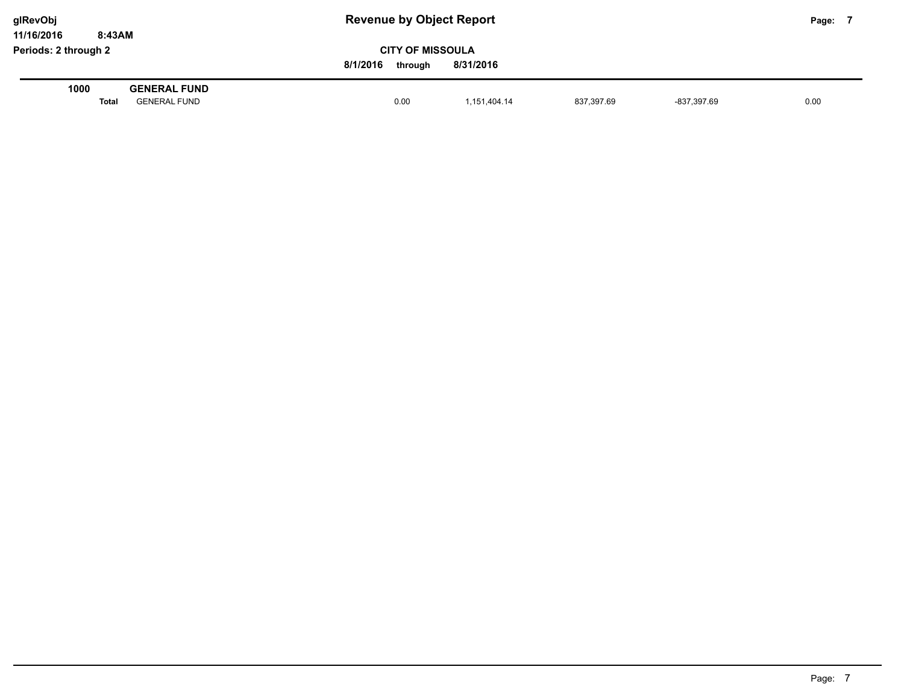| glRevObj<br>11/16/2016 | 8:43AM       |                                            |          |                                    | <b>Revenue by Object Report</b> |            |             | Page: 7 |
|------------------------|--------------|--------------------------------------------|----------|------------------------------------|---------------------------------|------------|-------------|---------|
| Periods: 2 through 2   |              |                                            | 8/1/2016 | <b>CITY OF MISSOULA</b><br>through | 8/31/2016                       |            |             |         |
| 1000                   | <b>Total</b> | <b>GENERAL FUND</b><br><b>GENERAL FUND</b> |          | 0.00                               | 1.151.404.14                    | 837,397.69 | -837.397.69 | 0.00    |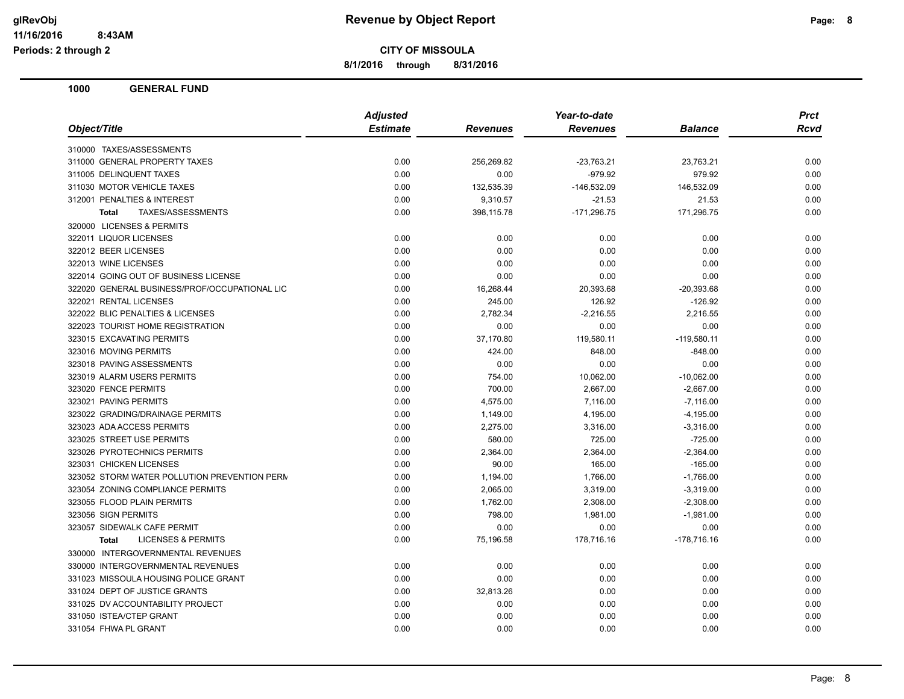**CITY OF MISSOULA**

**8/1/2016 through 8/31/2016**

|                                               | <b>Adjusted</b> |                 | Year-to-date    | <b>Prct</b>    |      |
|-----------------------------------------------|-----------------|-----------------|-----------------|----------------|------|
| Object/Title                                  | <b>Estimate</b> | <b>Revenues</b> | <b>Revenues</b> | <b>Balance</b> | Rcvd |
| 310000 TAXES/ASSESSMENTS                      |                 |                 |                 |                |      |
| 311000 GENERAL PROPERTY TAXES                 | 0.00            | 256,269.82      | $-23,763.21$    | 23,763.21      | 0.00 |
| 311005 DELINQUENT TAXES                       | 0.00            | 0.00            | $-979.92$       | 979.92         | 0.00 |
| 311030 MOTOR VEHICLE TAXES                    | 0.00            | 132,535.39      | -146,532.09     | 146,532.09     | 0.00 |
| 312001 PENALTIES & INTEREST                   | 0.00            | 9,310.57        | $-21.53$        | 21.53          | 0.00 |
| TAXES/ASSESSMENTS<br><b>Total</b>             | 0.00            | 398,115.78      | $-171,296.75$   | 171,296.75     | 0.00 |
| 320000 LICENSES & PERMITS                     |                 |                 |                 |                |      |
| 322011 LIQUOR LICENSES                        | 0.00            | 0.00            | 0.00            | 0.00           | 0.00 |
| 322012 BEER LICENSES                          | 0.00            | 0.00            | 0.00            | 0.00           | 0.00 |
| 322013 WINE LICENSES                          | 0.00            | 0.00            | 0.00            | 0.00           | 0.00 |
| 322014 GOING OUT OF BUSINESS LICENSE          | 0.00            | 0.00            | 0.00            | 0.00           | 0.00 |
| 322020 GENERAL BUSINESS/PROF/OCCUPATIONAL LIC | 0.00            | 16,268.44       | 20,393.68       | $-20,393.68$   | 0.00 |
| 322021 RENTAL LICENSES                        | 0.00            | 245.00          | 126.92          | $-126.92$      | 0.00 |
| 322022 BLIC PENALTIES & LICENSES              | 0.00            | 2,782.34        | $-2,216.55$     | 2,216.55       | 0.00 |
| 322023 TOURIST HOME REGISTRATION              | 0.00            | 0.00            | 0.00            | 0.00           | 0.00 |
| 323015 EXCAVATING PERMITS                     | 0.00            | 37,170.80       | 119,580.11      | $-119,580.11$  | 0.00 |
| 323016 MOVING PERMITS                         | 0.00            | 424.00          | 848.00          | $-848.00$      | 0.00 |
| 323018 PAVING ASSESSMENTS                     | 0.00            | 0.00            | 0.00            | 0.00           | 0.00 |
| 323019 ALARM USERS PERMITS                    | 0.00            | 754.00          | 10,062.00       | $-10,062.00$   | 0.00 |
| 323020 FENCE PERMITS                          | 0.00            | 700.00          | 2,667.00        | $-2,667.00$    | 0.00 |
| 323021 PAVING PERMITS                         | 0.00            | 4,575.00        | 7,116.00        | $-7,116.00$    | 0.00 |
| 323022 GRADING/DRAINAGE PERMITS               | 0.00            | 1,149.00        | 4,195.00        | $-4,195.00$    | 0.00 |
| 323023 ADA ACCESS PERMITS                     | 0.00            | 2,275.00        | 3,316.00        | $-3,316.00$    | 0.00 |
| 323025 STREET USE PERMITS                     | 0.00            | 580.00          | 725.00          | $-725.00$      | 0.00 |
| 323026 PYROTECHNICS PERMITS                   | 0.00            | 2,364.00        | 2,364.00        | $-2,364.00$    | 0.00 |
| 323031 CHICKEN LICENSES                       | 0.00            | 90.00           | 165.00          | $-165.00$      | 0.00 |
| 323052 STORM WATER POLLUTION PREVENTION PERM  | 0.00            | 1,194.00        | 1,766.00        | $-1,766.00$    | 0.00 |
| 323054 ZONING COMPLIANCE PERMITS              | 0.00            | 2,065.00        | 3,319.00        | $-3,319.00$    | 0.00 |
| 323055 FLOOD PLAIN PERMITS                    | 0.00            | 1,762.00        | 2,308.00        | $-2,308.00$    | 0.00 |
| 323056 SIGN PERMITS                           | 0.00            | 798.00          | 1,981.00        | $-1,981.00$    | 0.00 |
| 323057 SIDEWALK CAFE PERMIT                   | 0.00            | 0.00            | 0.00            | 0.00           | 0.00 |
| <b>LICENSES &amp; PERMITS</b><br><b>Total</b> | 0.00            | 75,196.58       | 178,716.16      | $-178,716.16$  | 0.00 |
| 330000 INTERGOVERNMENTAL REVENUES             |                 |                 |                 |                |      |
| 330000 INTERGOVERNMENTAL REVENUES             | 0.00            | 0.00            | 0.00            | 0.00           | 0.00 |
| 331023 MISSOULA HOUSING POLICE GRANT          | 0.00            | 0.00            | 0.00            | 0.00           | 0.00 |
| 331024 DEPT OF JUSTICE GRANTS                 | 0.00            | 32,813.26       | 0.00            | 0.00           | 0.00 |
| 331025 DV ACCOUNTABILITY PROJECT              | 0.00            | 0.00            | 0.00            | 0.00           | 0.00 |
| 331050 ISTEA/CTEP GRANT                       | 0.00            | 0.00            | 0.00            | 0.00           | 0.00 |
| 331054 FHWA PL GRANT                          | 0.00            | 0.00            | 0.00            | 0.00           | 0.00 |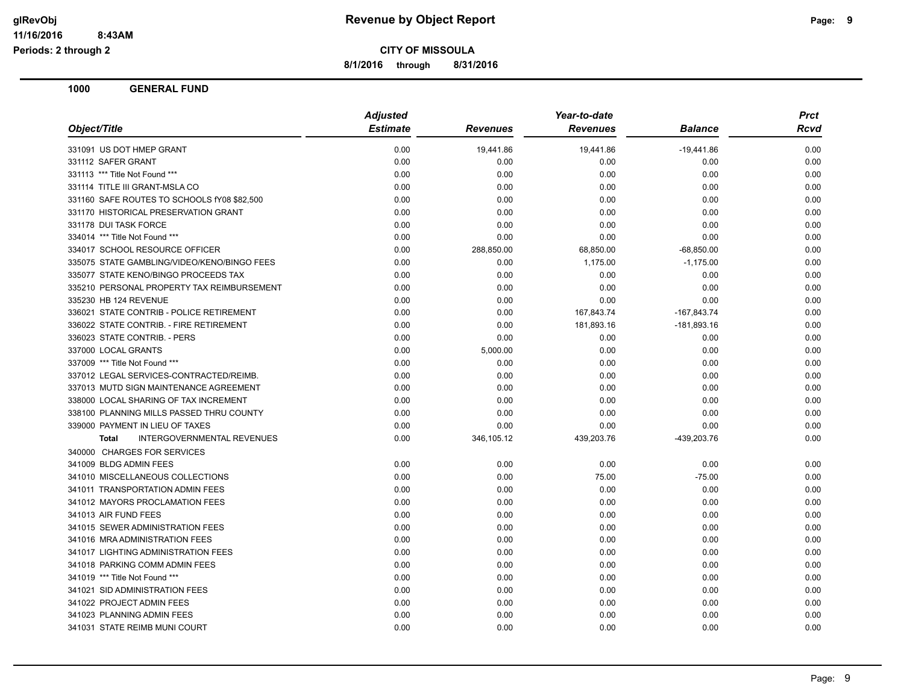**CITY OF MISSOULA**

**8/1/2016 through 8/31/2016**

|                                                   | <b>Adjusted</b> |            | Year-to-date    |                | <b>Prct</b> |
|---------------------------------------------------|-----------------|------------|-----------------|----------------|-------------|
| Object/Title                                      | <b>Estimate</b> | Revenues   | <b>Revenues</b> | <b>Balance</b> | <b>Rcvd</b> |
| 331091 US DOT HMEP GRANT                          | 0.00            | 19,441.86  | 19,441.86       | $-19,441.86$   | 0.00        |
| 331112 SAFER GRANT                                | 0.00            | 0.00       | 0.00            | 0.00           | 0.00        |
| 331113 *** Title Not Found ***                    | 0.00            | 0.00       | 0.00            | 0.00           | 0.00        |
| 331114 TITLE III GRANT-MSLA CO                    | 0.00            | 0.00       | 0.00            | 0.00           | 0.00        |
| 331160 SAFE ROUTES TO SCHOOLS fY08 \$82,500       | 0.00            | 0.00       | 0.00            | 0.00           | 0.00        |
| 331170 HISTORICAL PRESERVATION GRANT              | 0.00            | 0.00       | 0.00            | 0.00           | 0.00        |
| 331178 DUI TASK FORCE                             | 0.00            | 0.00       | 0.00            | 0.00           | 0.00        |
| 334014 *** Title Not Found ***                    | 0.00            | 0.00       | 0.00            | 0.00           | 0.00        |
| 334017 SCHOOL RESOURCE OFFICER                    | 0.00            | 288,850.00 | 68,850.00       | $-68,850.00$   | 0.00        |
| 335075 STATE GAMBLING/VIDEO/KENO/BINGO FEES       | 0.00            | 0.00       | 1,175.00        | $-1,175.00$    | 0.00        |
| 335077 STATE KENO/BINGO PROCEEDS TAX              | 0.00            | 0.00       | 0.00            | 0.00           | 0.00        |
| 335210 PERSONAL PROPERTY TAX REIMBURSEMENT        | 0.00            | 0.00       | 0.00            | 0.00           | 0.00        |
| 335230 HB 124 REVENUE                             | 0.00            | 0.00       | 0.00            | 0.00           | 0.00        |
| 336021 STATE CONTRIB - POLICE RETIREMENT          | 0.00            | 0.00       | 167,843.74      | $-167,843.74$  | 0.00        |
| 336022 STATE CONTRIB. - FIRE RETIREMENT           | 0.00            | 0.00       | 181,893.16      | $-181,893.16$  | 0.00        |
| 336023 STATE CONTRIB. - PERS                      | 0.00            | 0.00       | 0.00            | 0.00           | 0.00        |
| 337000 LOCAL GRANTS                               | 0.00            | 5,000.00   | 0.00            | 0.00           | 0.00        |
| 337009 *** Title Not Found ***                    | 0.00            | 0.00       | 0.00            | 0.00           | 0.00        |
| 337012 LEGAL SERVICES-CONTRACTED/REIMB.           | 0.00            | 0.00       | 0.00            | 0.00           | 0.00        |
| 337013 MUTD SIGN MAINTENANCE AGREEMENT            | 0.00            | 0.00       | 0.00            | 0.00           | 0.00        |
| 338000 LOCAL SHARING OF TAX INCREMENT             | 0.00            | 0.00       | 0.00            | 0.00           | 0.00        |
| 338100 PLANNING MILLS PASSED THRU COUNTY          | 0.00            | 0.00       | 0.00            | 0.00           | 0.00        |
| 339000 PAYMENT IN LIEU OF TAXES                   | 0.00            | 0.00       | 0.00            | 0.00           | 0.00        |
| <b>INTERGOVERNMENTAL REVENUES</b><br><b>Total</b> | 0.00            | 346,105.12 | 439,203.76      | -439,203.76    | 0.00        |
| 340000 CHARGES FOR SERVICES                       |                 |            |                 |                |             |
| 341009 BLDG ADMIN FEES                            | 0.00            | 0.00       | 0.00            | 0.00           | 0.00        |
| 341010 MISCELLANEOUS COLLECTIONS                  | 0.00            | 0.00       | 75.00           | $-75.00$       | 0.00        |
| 341011 TRANSPORTATION ADMIN FEES                  | 0.00            | 0.00       | 0.00            | 0.00           | 0.00        |
| 341012 MAYORS PROCLAMATION FEES                   | 0.00            | 0.00       | 0.00            | 0.00           | 0.00        |
| 341013 AIR FUND FEES                              | 0.00            | 0.00       | 0.00            | 0.00           | 0.00        |
| 341015 SEWER ADMINISTRATION FEES                  | 0.00            | 0.00       | 0.00            | 0.00           | 0.00        |
| 341016 MRA ADMINISTRATION FEES                    | 0.00            | 0.00       | 0.00            | 0.00           | 0.00        |
| 341017 LIGHTING ADMINISTRATION FEES               | 0.00            | 0.00       | 0.00            | 0.00           | 0.00        |
| 341018 PARKING COMM ADMIN FEES                    | 0.00            | 0.00       | 0.00            | 0.00           | 0.00        |
| 341019 *** Title Not Found ***                    | 0.00            | 0.00       | 0.00            | 0.00           | 0.00        |
| 341021 SID ADMINISTRATION FEES                    | 0.00            | 0.00       | 0.00            | 0.00           | 0.00        |
| 341022 PROJECT ADMIN FEES                         | 0.00            | 0.00       | 0.00            | 0.00           | 0.00        |
| 341023 PLANNING ADMIN FEES                        | 0.00            | 0.00       | 0.00            | 0.00           | 0.00        |
| 341031 STATE REIMB MUNI COURT                     | 0.00            | 0.00       | 0.00            | 0.00           | 0.00        |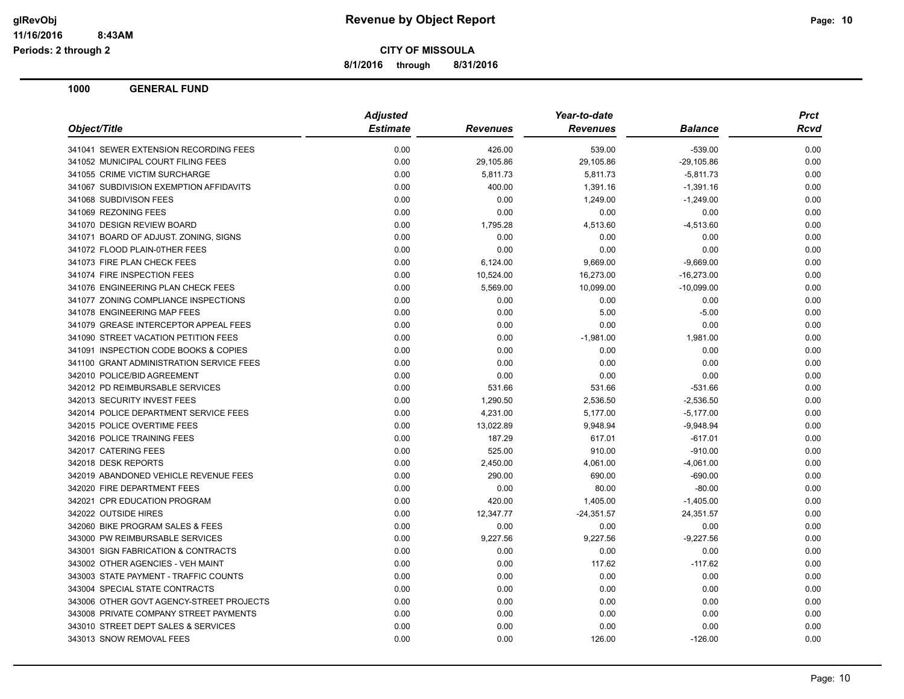**CITY OF MISSOULA**

**8/1/2016 through 8/31/2016**

|                                          | <b>Adjusted</b> |                 | Year-to-date    |                | <b>Prct</b> |
|------------------------------------------|-----------------|-----------------|-----------------|----------------|-------------|
| Object/Title                             | <b>Estimate</b> | <b>Revenues</b> | <b>Revenues</b> | <b>Balance</b> | Rcvd        |
| 341041 SEWER EXTENSION RECORDING FEES    | 0.00            | 426.00          | 539.00          | $-539.00$      | 0.00        |
| 341052 MUNICIPAL COURT FILING FEES       | 0.00            | 29,105.86       | 29,105.86       | $-29,105.86$   | 0.00        |
| 341055 CRIME VICTIM SURCHARGE            | 0.00            | 5,811.73        | 5,811.73        | $-5,811.73$    | 0.00        |
| 341067 SUBDIVISION EXEMPTION AFFIDAVITS  | 0.00            | 400.00          | 1,391.16        | $-1,391.16$    | 0.00        |
| 341068 SUBDIVISON FEES                   | 0.00            | 0.00            | 1,249.00        | $-1,249.00$    | 0.00        |
| 341069 REZONING FEES                     | 0.00            | 0.00            | 0.00            | 0.00           | 0.00        |
| 341070 DESIGN REVIEW BOARD               | 0.00            | 1,795.28        | 4,513.60        | $-4,513.60$    | 0.00        |
| 341071 BOARD OF ADJUST. ZONING, SIGNS    | 0.00            | 0.00            | 0.00            | 0.00           | 0.00        |
| 341072 FLOOD PLAIN-0THER FEES            | 0.00            | 0.00            | 0.00            | 0.00           | 0.00        |
| 341073 FIRE PLAN CHECK FEES              | 0.00            | 6,124.00        | 9,669.00        | $-9,669.00$    | 0.00        |
| 341074 FIRE INSPECTION FEES              | 0.00            | 10,524.00       | 16,273.00       | $-16,273.00$   | 0.00        |
| 341076 ENGINEERING PLAN CHECK FEES       | 0.00            | 5,569.00        | 10,099.00       | $-10,099.00$   | 0.00        |
| 341077 ZONING COMPLIANCE INSPECTIONS     | 0.00            | 0.00            | 0.00            | 0.00           | 0.00        |
| 341078 ENGINEERING MAP FEES              | 0.00            | 0.00            | 5.00            | $-5.00$        | 0.00        |
| 341079 GREASE INTERCEPTOR APPEAL FEES    | 0.00            | 0.00            | 0.00            | 0.00           | 0.00        |
| 341090 STREET VACATION PETITION FEES     | 0.00            | 0.00            | $-1,981.00$     | 1,981.00       | 0.00        |
| 341091 INSPECTION CODE BOOKS & COPIES    | 0.00            | 0.00            | 0.00            | 0.00           | 0.00        |
| 341100 GRANT ADMINISTRATION SERVICE FEES | 0.00            | 0.00            | 0.00            | 0.00           | 0.00        |
| 342010 POLICE/BID AGREEMENT              | 0.00            | 0.00            | 0.00            | 0.00           | 0.00        |
| 342012 PD REIMBURSABLE SERVICES          | 0.00            | 531.66          | 531.66          | $-531.66$      | 0.00        |
| 342013 SECURITY INVEST FEES              | 0.00            | 1,290.50        | 2,536.50        | $-2,536.50$    | 0.00        |
| 342014 POLICE DEPARTMENT SERVICE FEES    | 0.00            | 4,231.00        | 5,177.00        | $-5,177.00$    | 0.00        |
| 342015 POLICE OVERTIME FEES              | 0.00            | 13,022.89       | 9,948.94        | $-9,948.94$    | 0.00        |
| 342016 POLICE TRAINING FEES              | 0.00            | 187.29          | 617.01          | $-617.01$      | 0.00        |
| 342017 CATERING FEES                     | 0.00            | 525.00          | 910.00          | $-910.00$      | 0.00        |
| 342018 DESK REPORTS                      | 0.00            | 2,450.00        | 4,061.00        | $-4,061.00$    | 0.00        |
| 342019 ABANDONED VEHICLE REVENUE FEES    | 0.00            | 290.00          | 690.00          | $-690.00$      | 0.00        |
| 342020 FIRE DEPARTMENT FEES              | 0.00            | 0.00            | 80.00           | $-80.00$       | 0.00        |
| 342021 CPR EDUCATION PROGRAM             | 0.00            | 420.00          | 1,405.00        | $-1,405.00$    | 0.00        |
| 342022 OUTSIDE HIRES                     | 0.00            | 12,347.77       | $-24,351.57$    | 24,351.57      | 0.00        |
| 342060 BIKE PROGRAM SALES & FEES         | 0.00            | 0.00            | 0.00            | 0.00           | 0.00        |
| 343000 PW REIMBURSABLE SERVICES          | 0.00            | 9,227.56        | 9,227.56        | $-9,227.56$    | 0.00        |
| 343001 SIGN FABRICATION & CONTRACTS      | 0.00            | 0.00            | 0.00            | 0.00           | 0.00        |
| 343002 OTHER AGENCIES - VEH MAINT        | 0.00            | 0.00            | 117.62          | $-117.62$      | 0.00        |
| 343003 STATE PAYMENT - TRAFFIC COUNTS    | 0.00            | 0.00            | 0.00            | 0.00           | 0.00        |
| 343004 SPECIAL STATE CONTRACTS           | 0.00            | 0.00            | 0.00            | 0.00           | 0.00        |
| 343006 OTHER GOVT AGENCY-STREET PROJECTS | 0.00            | 0.00            | 0.00            | 0.00           | 0.00        |
| 343008 PRIVATE COMPANY STREET PAYMENTS   | 0.00            | 0.00            | 0.00            | 0.00           | 0.00        |
| 343010 STREET DEPT SALES & SERVICES      | 0.00            | 0.00            | 0.00            | 0.00           | 0.00        |
| 343013 SNOW REMOVAL FEES                 | 0.00            | 0.00            | 126.00          | $-126.00$      | 0.00        |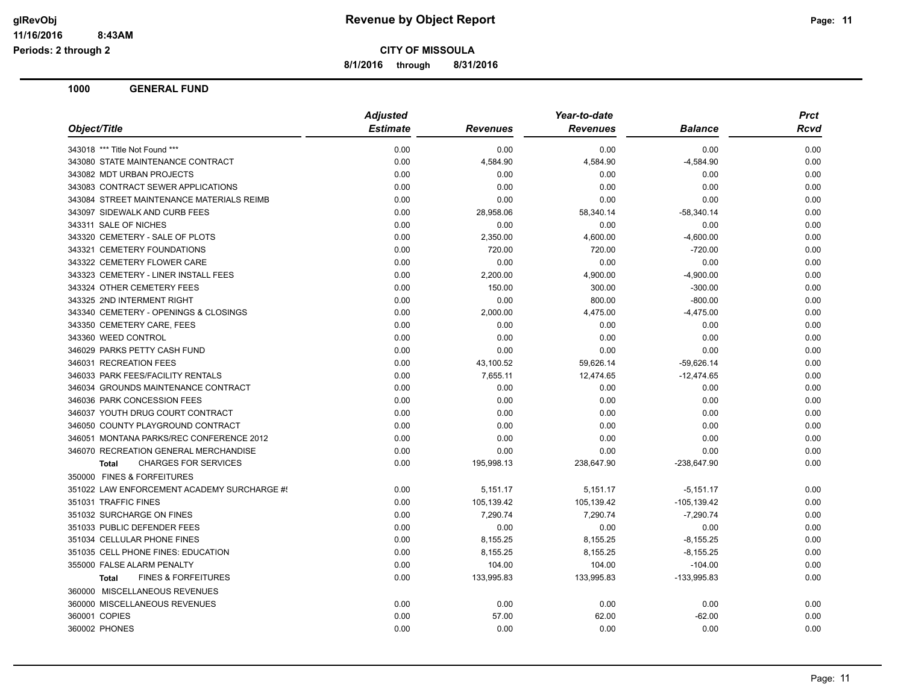**CITY OF MISSOULA**

**8/1/2016 through 8/31/2016**

| Object/Title                                | <b>Adjusted</b><br><b>Estimate</b> | <b>Revenues</b> | Year-to-date<br><b>Revenues</b> | <b>Balance</b> | <b>Prct</b> |
|---------------------------------------------|------------------------------------|-----------------|---------------------------------|----------------|-------------|
|                                             |                                    |                 |                                 |                | Rcvd        |
| 343018 *** Title Not Found ***              | 0.00                               | 0.00            | 0.00                            | 0.00           | 0.00        |
| 343080 STATE MAINTENANCE CONTRACT           | 0.00                               | 4,584.90        | 4,584.90                        | $-4,584.90$    | 0.00        |
| 343082 MDT URBAN PROJECTS                   | 0.00                               | 0.00            | 0.00                            | 0.00           | 0.00        |
| 343083 CONTRACT SEWER APPLICATIONS          | 0.00                               | 0.00            | 0.00                            | 0.00           | 0.00        |
| 343084 STREET MAINTENANCE MATERIALS REIMB   | 0.00                               | 0.00            | 0.00                            | 0.00           | 0.00        |
| 343097 SIDEWALK AND CURB FEES               | 0.00                               | 28,958.06       | 58,340.14                       | $-58,340.14$   | 0.00        |
| 343311 SALE OF NICHES                       | 0.00                               | 0.00            | 0.00                            | 0.00           | 0.00        |
| 343320 CEMETERY - SALE OF PLOTS             | 0.00                               | 2,350.00        | 4,600.00                        | $-4,600.00$    | 0.00        |
| 343321 CEMETERY FOUNDATIONS                 | 0.00                               | 720.00          | 720.00                          | $-720.00$      | 0.00        |
| 343322 CEMETERY FLOWER CARE                 | 0.00                               | 0.00            | 0.00                            | 0.00           | 0.00        |
| 343323 CEMETERY - LINER INSTALL FEES        | 0.00                               | 2,200.00        | 4,900.00                        | $-4,900.00$    | 0.00        |
| 343324 OTHER CEMETERY FEES                  | 0.00                               | 150.00          | 300.00                          | $-300.00$      | 0.00        |
| 343325 2ND INTERMENT RIGHT                  | 0.00                               | 0.00            | 800.00                          | $-800.00$      | 0.00        |
| 343340 CEMETERY - OPENINGS & CLOSINGS       | 0.00                               | 2,000.00        | 4,475.00                        | $-4,475.00$    | 0.00        |
| 343350 CEMETERY CARE, FEES                  | 0.00                               | 0.00            | 0.00                            | 0.00           | 0.00        |
| 343360 WEED CONTROL                         | 0.00                               | 0.00            | 0.00                            | 0.00           | 0.00        |
| 346029 PARKS PETTY CASH FUND                | 0.00                               | 0.00            | 0.00                            | 0.00           | 0.00        |
| 346031 RECREATION FEES                      | 0.00                               | 43,100.52       | 59,626.14                       | $-59,626.14$   | 0.00        |
| 346033 PARK FEES/FACILITY RENTALS           | 0.00                               | 7,655.11        | 12,474.65                       | $-12,474.65$   | 0.00        |
| 346034 GROUNDS MAINTENANCE CONTRACT         | 0.00                               | 0.00            | 0.00                            | 0.00           | 0.00        |
| 346036 PARK CONCESSION FEES                 | 0.00                               | 0.00            | 0.00                            | 0.00           | 0.00        |
| 346037 YOUTH DRUG COURT CONTRACT            | 0.00                               | 0.00            | 0.00                            | 0.00           | 0.00        |
| 346050 COUNTY PLAYGROUND CONTRACT           | 0.00                               | 0.00            | 0.00                            | 0.00           | 0.00        |
| 346051 MONTANA PARKS/REC CONFERENCE 2012    | 0.00                               | 0.00            | 0.00                            | 0.00           | 0.00        |
| 346070 RECREATION GENERAL MERCHANDISE       | 0.00                               | 0.00            | 0.00                            | 0.00           | 0.00        |
| <b>CHARGES FOR SERVICES</b><br><b>Total</b> | 0.00                               | 195,998.13      | 238,647.90                      | -238,647.90    | 0.00        |
| 350000 FINES & FORFEITURES                  |                                    |                 |                                 |                |             |
| 351022 LAW ENFORCEMENT ACADEMY SURCHARGE #! | 0.00                               | 5,151.17        | 5,151.17                        | $-5,151.17$    | 0.00        |
| 351031 TRAFFIC FINES                        | 0.00                               | 105,139.42      | 105,139.42                      | $-105, 139.42$ | 0.00        |
| 351032 SURCHARGE ON FINES                   | 0.00                               | 7,290.74        | 7,290.74                        | $-7,290.74$    | 0.00        |
| 351033 PUBLIC DEFENDER FEES                 | 0.00                               | 0.00            | 0.00                            | 0.00           | 0.00        |
| 351034 CELLULAR PHONE FINES                 | 0.00                               | 8,155.25        | 8,155.25                        | $-8,155.25$    | 0.00        |
| 351035 CELL PHONE FINES: EDUCATION          | 0.00                               | 8,155.25        | 8,155.25                        | $-8, 155.25$   | 0.00        |
| 355000 FALSE ALARM PENALTY                  | 0.00                               | 104.00          | 104.00                          | $-104.00$      | 0.00        |
| <b>FINES &amp; FORFEITURES</b><br>Total     | 0.00                               | 133,995.83      | 133,995.83                      | -133,995.83    | 0.00        |
| 360000 MISCELLANEOUS REVENUES               |                                    |                 |                                 |                |             |
| 360000 MISCELLANEOUS REVENUES               | 0.00                               | 0.00            | 0.00                            | 0.00           | 0.00        |
| 360001 COPIES                               | 0.00                               | 57.00           | 62.00                           | $-62.00$       | 0.00        |
| 360002 PHONES                               | 0.00                               | 0.00            | 0.00                            | 0.00           | 0.00        |
|                                             |                                    |                 |                                 |                |             |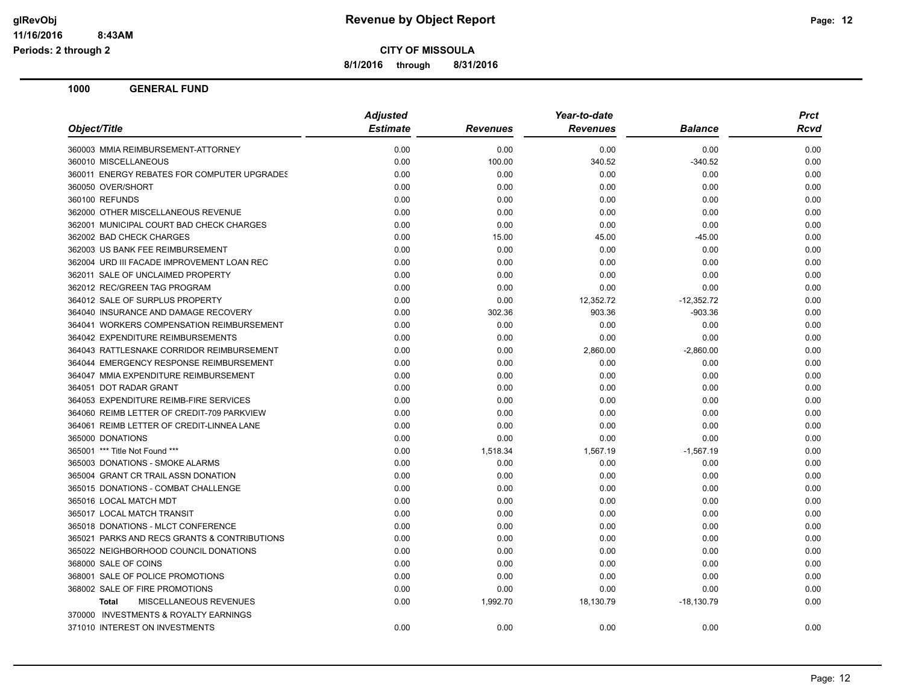**CITY OF MISSOULA**

**8/1/2016 through 8/31/2016**

| Object/Title                                  | <b>Adjusted</b><br><b>Estimate</b> | <b>Revenues</b> | Year-to-date<br><b>Revenues</b> | <b>Balance</b> | <b>Prct</b><br>Rcvd |
|-----------------------------------------------|------------------------------------|-----------------|---------------------------------|----------------|---------------------|
|                                               |                                    |                 |                                 |                |                     |
| 360003 MMIA REIMBURSEMENT-ATTORNEY            | 0.00                               | 0.00            | 0.00                            | 0.00           | 0.00                |
| 360010 MISCELLANEOUS                          | 0.00                               | 100.00          | 340.52                          | $-340.52$      | 0.00                |
| 360011 ENERGY REBATES FOR COMPUTER UPGRADES   | 0.00                               | 0.00            | 0.00                            | 0.00           | 0.00                |
| 360050 OVER/SHORT                             | 0.00                               | 0.00            | 0.00                            | 0.00           | 0.00                |
| 360100 REFUNDS                                | 0.00                               | 0.00            | 0.00                            | 0.00           | 0.00                |
| 362000 OTHER MISCELLANEOUS REVENUE            | 0.00                               | 0.00            | 0.00                            | 0.00           | 0.00                |
| 362001 MUNICIPAL COURT BAD CHECK CHARGES      | 0.00                               | 0.00            | 0.00                            | 0.00           | 0.00                |
| 362002 BAD CHECK CHARGES                      | 0.00                               | 15.00           | 45.00                           | $-45.00$       | 0.00                |
| 362003 US BANK FEE REIMBURSEMENT              | 0.00                               | 0.00            | 0.00                            | 0.00           | 0.00                |
| 362004 URD III FACADE IMPROVEMENT LOAN REC    | 0.00                               | 0.00            | 0.00                            | 0.00           | 0.00                |
| 362011 SALE OF UNCLAIMED PROPERTY             | 0.00                               | 0.00            | 0.00                            | 0.00           | 0.00                |
| 362012 REC/GREEN TAG PROGRAM                  | 0.00                               | 0.00            | 0.00                            | 0.00           | 0.00                |
| 364012 SALE OF SURPLUS PROPERTY               | 0.00                               | 0.00            | 12,352.72                       | $-12,352.72$   | 0.00                |
| 364040 INSURANCE AND DAMAGE RECOVERY          | 0.00                               | 302.36          | 903.36                          | $-903.36$      | 0.00                |
| 364041 WORKERS COMPENSATION REIMBURSEMENT     | 0.00                               | 0.00            | 0.00                            | 0.00           | 0.00                |
| 364042 EXPENDITURE REIMBURSEMENTS             | 0.00                               | 0.00            | 0.00                            | 0.00           | 0.00                |
| 364043 RATTLESNAKE CORRIDOR REIMBURSEMENT     | 0.00                               | 0.00            | 2,860.00                        | $-2,860.00$    | 0.00                |
| 364044 EMERGENCY RESPONSE REIMBURSEMENT       | 0.00                               | 0.00            | 0.00                            | 0.00           | 0.00                |
| 364047 MMIA EXPENDITURE REIMBURSEMENT         | 0.00                               | 0.00            | 0.00                            | 0.00           | 0.00                |
| 364051 DOT RADAR GRANT                        | 0.00                               | 0.00            | 0.00                            | 0.00           | 0.00                |
| 364053 EXPENDITURE REIMB-FIRE SERVICES        | 0.00                               | 0.00            | 0.00                            | 0.00           | 0.00                |
| 364060 REIMB LETTER OF CREDIT-709 PARKVIEW    | 0.00                               | 0.00            | 0.00                            | 0.00           | 0.00                |
| 364061 REIMB LETTER OF CREDIT-LINNEA LANE     | 0.00                               | 0.00            | 0.00                            | 0.00           | 0.00                |
| 365000 DONATIONS                              | 0.00                               | 0.00            | 0.00                            | 0.00           | 0.00                |
| 365001 *** Title Not Found ***                | 0.00                               | 1,518.34        | 1,567.19                        | $-1,567.19$    | 0.00                |
| 365003 DONATIONS - SMOKE ALARMS               | 0.00                               | 0.00            | 0.00                            | 0.00           | 0.00                |
| 365004 GRANT CR TRAIL ASSN DONATION           | 0.00                               | 0.00            | 0.00                            | 0.00           | 0.00                |
| 365015 DONATIONS - COMBAT CHALLENGE           | 0.00                               | 0.00            | 0.00                            | 0.00           | 0.00                |
| 365016 LOCAL MATCH MDT                        | 0.00                               | 0.00            | 0.00                            | 0.00           | 0.00                |
| 365017 LOCAL MATCH TRANSIT                    | 0.00                               | 0.00            | 0.00                            | 0.00           | 0.00                |
| 365018 DONATIONS - MLCT CONFERENCE            | 0.00                               | 0.00            | 0.00                            | 0.00           | 0.00                |
| 365021 PARKS AND RECS GRANTS & CONTRIBUTIONS  | 0.00                               | 0.00            | 0.00                            | 0.00           | 0.00                |
| 365022 NEIGHBORHOOD COUNCIL DONATIONS         | 0.00                               | 0.00            | 0.00                            | 0.00           | 0.00                |
| 368000 SALE OF COINS                          | 0.00                               | 0.00            | 0.00                            | 0.00           | 0.00                |
| 368001 SALE OF POLICE PROMOTIONS              | 0.00                               | 0.00            | 0.00                            | 0.00           | 0.00                |
| 368002 SALE OF FIRE PROMOTIONS                | 0.00                               | 0.00            | 0.00                            | 0.00           | 0.00                |
| <b>MISCELLANEOUS REVENUES</b><br><b>Total</b> | 0.00                               | 1,992.70        | 18,130.79                       | $-18,130.79$   | 0.00                |
| 370000 INVESTMENTS & ROYALTY EARNINGS         |                                    |                 |                                 |                |                     |
| 371010 INTEREST ON INVESTMENTS                | 0.00                               | 0.00            | 0.00                            | 0.00           | 0.00                |
|                                               |                                    |                 |                                 |                |                     |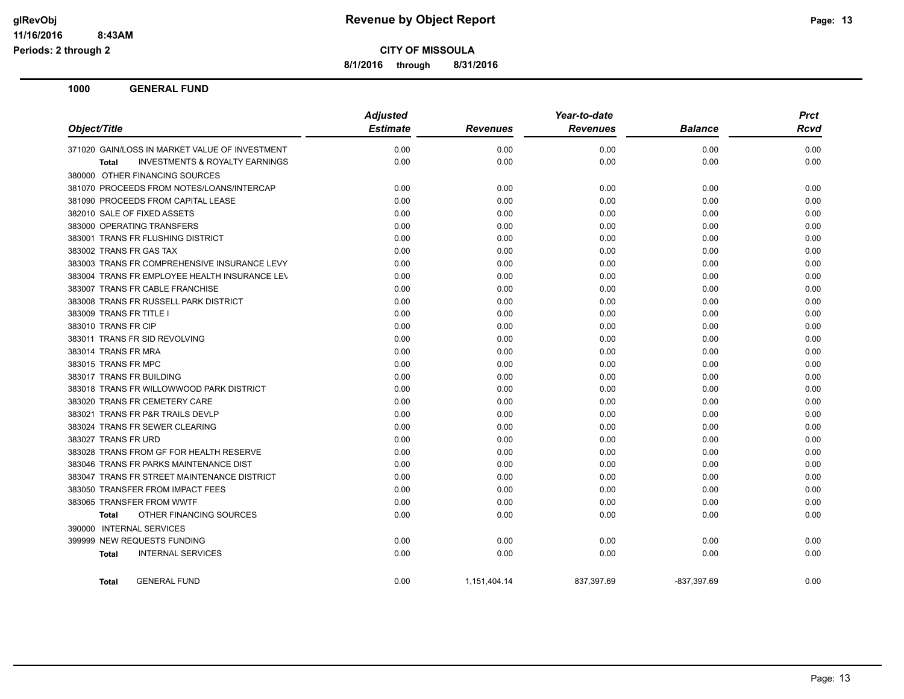**CITY OF MISSOULA**

**8/1/2016 through 8/31/2016**

 **8:43AM**

|                                                    | <b>Adjusted</b> |                 | Year-to-date    |                | <b>Prct</b> |
|----------------------------------------------------|-----------------|-----------------|-----------------|----------------|-------------|
| Object/Title                                       | <b>Estimate</b> | <b>Revenues</b> | <b>Revenues</b> | <b>Balance</b> | <b>Rcvd</b> |
| 371020 GAIN/LOSS IN MARKET VALUE OF INVESTMENT     | 0.00            | 0.00            | 0.00            | 0.00           | 0.00        |
| <b>INVESTMENTS &amp; ROYALTY EARNINGS</b><br>Total | 0.00            | 0.00            | 0.00            | 0.00           | 0.00        |
| 380000 OTHER FINANCING SOURCES                     |                 |                 |                 |                |             |
| 381070 PROCEEDS FROM NOTES/LOANS/INTERCAP          | 0.00            | 0.00            | 0.00            | 0.00           | 0.00        |
| 381090 PROCEEDS FROM CAPITAL LEASE                 | 0.00            | 0.00            | 0.00            | 0.00           | 0.00        |
| 382010 SALE OF FIXED ASSETS                        | 0.00            | 0.00            | 0.00            | 0.00           | 0.00        |
| 383000 OPERATING TRANSFERS                         | 0.00            | 0.00            | 0.00            | 0.00           | 0.00        |
| 383001 TRANS FR FLUSHING DISTRICT                  | 0.00            | 0.00            | 0.00            | 0.00           | 0.00        |
| 383002 TRANS FR GAS TAX                            | 0.00            | 0.00            | 0.00            | 0.00           | 0.00        |
| 383003 TRANS FR COMPREHENSIVE INSURANCE LEVY       | 0.00            | 0.00            | 0.00            | 0.00           | 0.00        |
| 383004 TRANS FR EMPLOYEE HEALTH INSURANCE LEV      | 0.00            | 0.00            | 0.00            | 0.00           | 0.00        |
| 383007 TRANS FR CABLE FRANCHISE                    | 0.00            | 0.00            | 0.00            | 0.00           | 0.00        |
| 383008 TRANS FR RUSSELL PARK DISTRICT              | 0.00            | 0.00            | 0.00            | 0.00           | 0.00        |
| 383009 TRANS FR TITLE I                            | 0.00            | 0.00            | 0.00            | 0.00           | 0.00        |
| 383010 TRANS FR CIP                                | 0.00            | 0.00            | 0.00            | 0.00           | 0.00        |
| 383011 TRANS FR SID REVOLVING                      | 0.00            | 0.00            | 0.00            | 0.00           | 0.00        |
| 383014 TRANS FR MRA                                | 0.00            | 0.00            | 0.00            | 0.00           | 0.00        |
| 383015 TRANS FR MPC                                | 0.00            | 0.00            | 0.00            | 0.00           | 0.00        |
| 383017 TRANS FR BUILDING                           | 0.00            | 0.00            | 0.00            | 0.00           | 0.00        |
| 383018 TRANS FR WILLOWWOOD PARK DISTRICT           | 0.00            | 0.00            | 0.00            | 0.00           | 0.00        |
| 383020 TRANS FR CEMETERY CARE                      | 0.00            | 0.00            | 0.00            | 0.00           | 0.00        |
| 383021 TRANS FR P&R TRAILS DEVLP                   | 0.00            | 0.00            | 0.00            | 0.00           | 0.00        |
| 383024 TRANS FR SEWER CLEARING                     | 0.00            | 0.00            | 0.00            | 0.00           | 0.00        |
| 383027 TRANS FR URD                                | 0.00            | 0.00            | 0.00            | 0.00           | 0.00        |
| 383028 TRANS FROM GF FOR HEALTH RESERVE            | 0.00            | 0.00            | 0.00            | 0.00           | 0.00        |
| 383046 TRANS FR PARKS MAINTENANCE DIST             | 0.00            | 0.00            | 0.00            | 0.00           | 0.00        |
| 383047 TRANS FR STREET MAINTENANCE DISTRICT        | 0.00            | 0.00            | 0.00            | 0.00           | 0.00        |
| 383050 TRANSFER FROM IMPACT FEES                   | 0.00            | 0.00            | 0.00            | 0.00           | 0.00        |
| 383065 TRANSFER FROM WWTF                          | 0.00            | 0.00            | 0.00            | 0.00           | 0.00        |
| OTHER FINANCING SOURCES<br><b>Total</b>            | 0.00            | 0.00            | 0.00            | 0.00           | 0.00        |
| 390000 INTERNAL SERVICES                           |                 |                 |                 |                |             |
| 399999 NEW REQUESTS FUNDING                        | 0.00            | 0.00            | 0.00            | 0.00           | 0.00        |
| <b>INTERNAL SERVICES</b><br><b>Total</b>           | 0.00            | 0.00            | 0.00            | 0.00           | 0.00        |
| <b>GENERAL FUND</b><br><b>Total</b>                | 0.00            | 1,151,404.14    | 837,397.69      | -837,397.69    | 0.00        |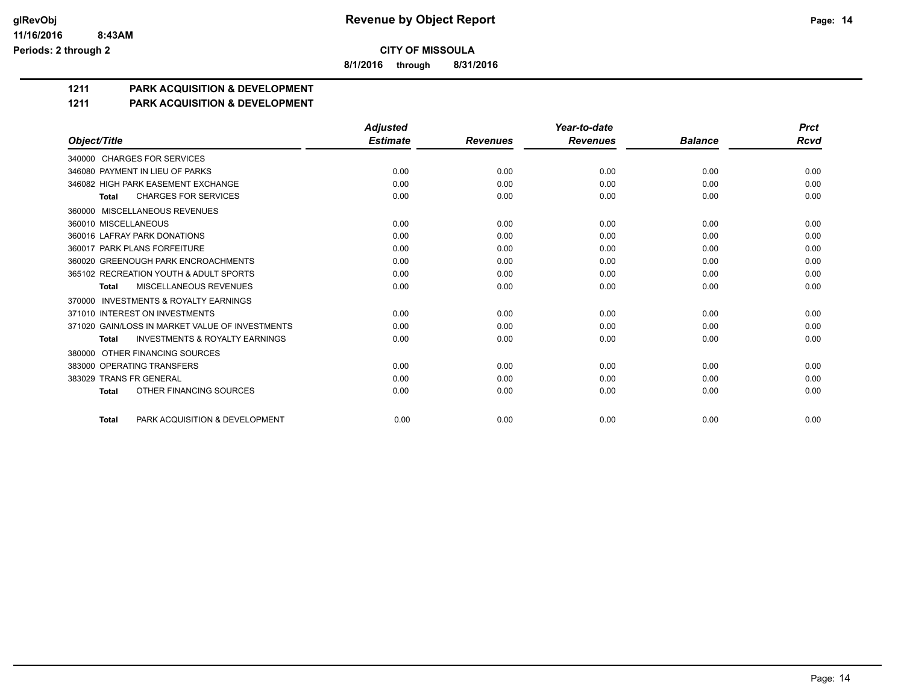**8/1/2016 through 8/31/2016**

#### **1211 PARK ACQUISITION & DEVELOPMENT**

#### **1211 PARK ACQUISITION & DEVELOPMENT**

|                                                           | <b>Adjusted</b> |                 | Year-to-date    |                | <b>Prct</b> |
|-----------------------------------------------------------|-----------------|-----------------|-----------------|----------------|-------------|
| Object/Title                                              | <b>Estimate</b> | <b>Revenues</b> | <b>Revenues</b> | <b>Balance</b> | Rcvd        |
| 340000 CHARGES FOR SERVICES                               |                 |                 |                 |                |             |
| 346080 PAYMENT IN LIEU OF PARKS                           | 0.00            | 0.00            | 0.00            | 0.00           | 0.00        |
| 346082 HIGH PARK EASEMENT EXCHANGE                        | 0.00            | 0.00            | 0.00            | 0.00           | 0.00        |
| <b>CHARGES FOR SERVICES</b><br><b>Total</b>               | 0.00            | 0.00            | 0.00            | 0.00           | 0.00        |
| 360000 MISCELLANEOUS REVENUES                             |                 |                 |                 |                |             |
| 360010 MISCELLANEOUS                                      | 0.00            | 0.00            | 0.00            | 0.00           | 0.00        |
| 360016 LAFRAY PARK DONATIONS                              | 0.00            | 0.00            | 0.00            | 0.00           | 0.00        |
| 360017 PARK PLANS FORFEITURE                              | 0.00            | 0.00            | 0.00            | 0.00           | 0.00        |
| 360020 GREENOUGH PARK ENCROACHMENTS                       | 0.00            | 0.00            | 0.00            | 0.00           | 0.00        |
| 365102 RECREATION YOUTH & ADULT SPORTS                    | 0.00            | 0.00            | 0.00            | 0.00           | 0.00        |
| MISCELLANEOUS REVENUES<br>Total                           | 0.00            | 0.00            | 0.00            | 0.00           | 0.00        |
| <b>INVESTMENTS &amp; ROYALTY EARNINGS</b><br>370000       |                 |                 |                 |                |             |
| 371010 INTEREST ON INVESTMENTS                            | 0.00            | 0.00            | 0.00            | 0.00           | 0.00        |
| 371020 GAIN/LOSS IN MARKET VALUE OF INVESTMENTS           | 0.00            | 0.00            | 0.00            | 0.00           | 0.00        |
| <b>INVESTMENTS &amp; ROYALTY EARNINGS</b><br><b>Total</b> | 0.00            | 0.00            | 0.00            | 0.00           | 0.00        |
| OTHER FINANCING SOURCES<br>380000                         |                 |                 |                 |                |             |
| 383000 OPERATING TRANSFERS                                | 0.00            | 0.00            | 0.00            | 0.00           | 0.00        |
| 383029 TRANS FR GENERAL                                   | 0.00            | 0.00            | 0.00            | 0.00           | 0.00        |
| OTHER FINANCING SOURCES<br><b>Total</b>                   | 0.00            | 0.00            | 0.00            | 0.00           | 0.00        |
| PARK ACQUISITION & DEVELOPMENT<br>Total                   | 0.00            | 0.00            | 0.00            | 0.00           | 0.00        |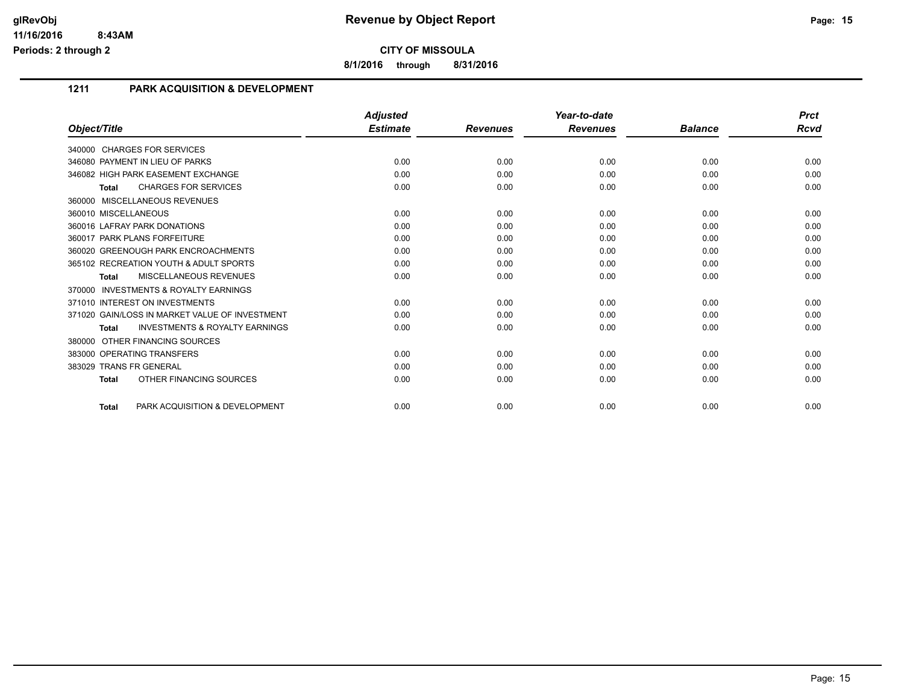**8/1/2016 through 8/31/2016**

#### **1211 PARK ACQUISITION & DEVELOPMENT**

|                                                           | <b>Adjusted</b> |                 | Year-to-date    |                | <b>Prct</b> |
|-----------------------------------------------------------|-----------------|-----------------|-----------------|----------------|-------------|
| Object/Title                                              | <b>Estimate</b> | <b>Revenues</b> | <b>Revenues</b> | <b>Balance</b> | Rcvd        |
| 340000 CHARGES FOR SERVICES                               |                 |                 |                 |                |             |
| 346080 PAYMENT IN LIEU OF PARKS                           | 0.00            | 0.00            | 0.00            | 0.00           | 0.00        |
| 346082 HIGH PARK EASEMENT EXCHANGE                        | 0.00            | 0.00            | 0.00            | 0.00           | 0.00        |
| <b>CHARGES FOR SERVICES</b><br><b>Total</b>               | 0.00            | 0.00            | 0.00            | 0.00           | 0.00        |
| 360000 MISCELLANEOUS REVENUES                             |                 |                 |                 |                |             |
| 360010 MISCELLANEOUS                                      | 0.00            | 0.00            | 0.00            | 0.00           | 0.00        |
| 360016 LAFRAY PARK DONATIONS                              | 0.00            | 0.00            | 0.00            | 0.00           | 0.00        |
| 360017 PARK PLANS FORFEITURE                              | 0.00            | 0.00            | 0.00            | 0.00           | 0.00        |
| 360020 GREENOUGH PARK ENCROACHMENTS                       | 0.00            | 0.00            | 0.00            | 0.00           | 0.00        |
| 365102 RECREATION YOUTH & ADULT SPORTS                    | 0.00            | 0.00            | 0.00            | 0.00           | 0.00        |
| MISCELLANEOUS REVENUES<br><b>Total</b>                    | 0.00            | 0.00            | 0.00            | 0.00           | 0.00        |
| <b>INVESTMENTS &amp; ROYALTY EARNINGS</b><br>370000       |                 |                 |                 |                |             |
| 371010 INTEREST ON INVESTMENTS                            | 0.00            | 0.00            | 0.00            | 0.00           | 0.00        |
| 371020 GAIN/LOSS IN MARKET VALUE OF INVESTMENT            | 0.00            | 0.00            | 0.00            | 0.00           | 0.00        |
| <b>INVESTMENTS &amp; ROYALTY EARNINGS</b><br><b>Total</b> | 0.00            | 0.00            | 0.00            | 0.00           | 0.00        |
| OTHER FINANCING SOURCES<br>380000                         |                 |                 |                 |                |             |
| 383000 OPERATING TRANSFERS                                | 0.00            | 0.00            | 0.00            | 0.00           | 0.00        |
| 383029 TRANS FR GENERAL                                   | 0.00            | 0.00            | 0.00            | 0.00           | 0.00        |
| OTHER FINANCING SOURCES<br><b>Total</b>                   | 0.00            | 0.00            | 0.00            | 0.00           | 0.00        |
| PARK ACQUISITION & DEVELOPMENT<br><b>Total</b>            | 0.00            | 0.00            | 0.00            | 0.00           | 0.00        |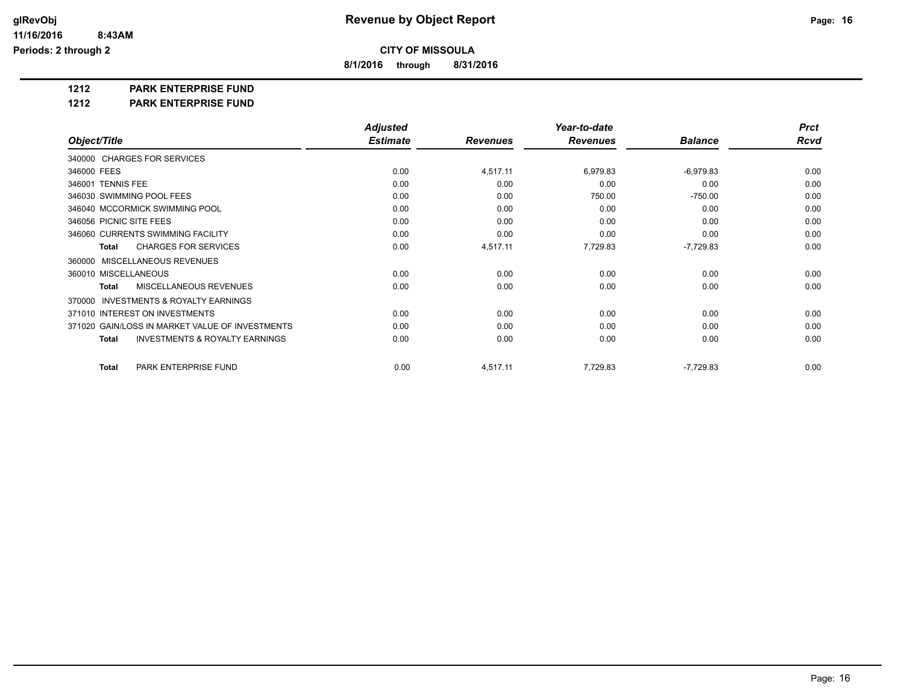**8/1/2016 through 8/31/2016**

**1212 PARK ENTERPRISE FUND**

**1212 PARK ENTERPRISE FUND**

|                                                           | <b>Adjusted</b> |                 | Year-to-date    |                | <b>Prct</b> |
|-----------------------------------------------------------|-----------------|-----------------|-----------------|----------------|-------------|
| Object/Title                                              | <b>Estimate</b> | <b>Revenues</b> | <b>Revenues</b> | <b>Balance</b> | <b>Rcvd</b> |
| 340000 CHARGES FOR SERVICES                               |                 |                 |                 |                |             |
| 346000 FEES                                               | 0.00            | 4,517.11        | 6,979.83        | $-6,979.83$    | 0.00        |
| 346001 TENNIS FEE                                         | 0.00            | 0.00            | 0.00            | 0.00           | 0.00        |
| 346030 SWIMMING POOL FEES                                 | 0.00            | 0.00            | 750.00          | $-750.00$      | 0.00        |
| 346040 MCCORMICK SWIMMING POOL                            | 0.00            | 0.00            | 0.00            | 0.00           | 0.00        |
| 346056 PICNIC SITE FEES                                   | 0.00            | 0.00            | 0.00            | 0.00           | 0.00        |
| 346060 CURRENTS SWIMMING FACILITY                         | 0.00            | 0.00            | 0.00            | 0.00           | 0.00        |
| <b>CHARGES FOR SERVICES</b><br><b>Total</b>               | 0.00            | 4,517.11        | 7,729.83        | $-7,729.83$    | 0.00        |
| MISCELLANEOUS REVENUES<br>360000                          |                 |                 |                 |                |             |
| 360010 MISCELLANEOUS                                      | 0.00            | 0.00            | 0.00            | 0.00           | 0.00        |
| <b>MISCELLANEOUS REVENUES</b><br><b>Total</b>             | 0.00            | 0.00            | 0.00            | 0.00           | 0.00        |
| <b>INVESTMENTS &amp; ROYALTY EARNINGS</b><br>370000       |                 |                 |                 |                |             |
| 371010 INTEREST ON INVESTMENTS                            | 0.00            | 0.00            | 0.00            | 0.00           | 0.00        |
| 371020 GAIN/LOSS IN MARKET VALUE OF INVESTMENTS           | 0.00            | 0.00            | 0.00            | 0.00           | 0.00        |
| <b>INVESTMENTS &amp; ROYALTY EARNINGS</b><br><b>Total</b> | 0.00            | 0.00            | 0.00            | 0.00           | 0.00        |
| PARK ENTERPRISE FUND<br><b>Total</b>                      | 0.00            | 4,517.11        | 7,729.83        | $-7,729.83$    | 0.00        |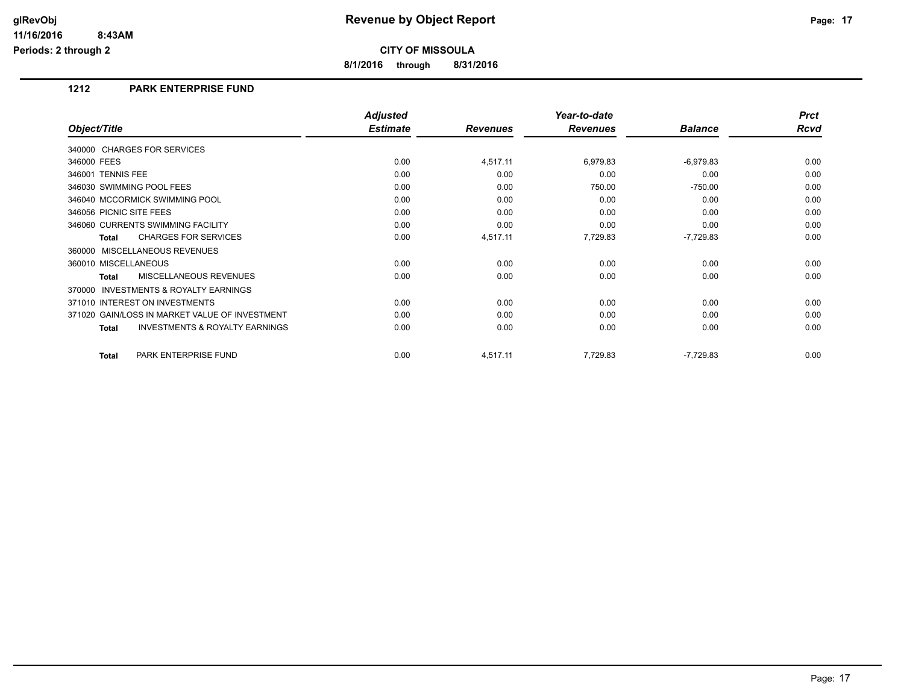**8/1/2016 through 8/31/2016**

#### **1212 PARK ENTERPRISE FUND**

|                                                           | <b>Adjusted</b> |                 | Year-to-date    |                | <b>Prct</b> |
|-----------------------------------------------------------|-----------------|-----------------|-----------------|----------------|-------------|
| Object/Title                                              | <b>Estimate</b> | <b>Revenues</b> | <b>Revenues</b> | <b>Balance</b> | <b>Rcvd</b> |
| 340000 CHARGES FOR SERVICES                               |                 |                 |                 |                |             |
| 346000 FEES                                               | 0.00            | 4,517.11        | 6,979.83        | $-6,979.83$    | 0.00        |
| 346001 TENNIS FEE                                         | 0.00            | 0.00            | 0.00            | 0.00           | 0.00        |
| 346030 SWIMMING POOL FEES                                 | 0.00            | 0.00            | 750.00          | $-750.00$      | 0.00        |
| 346040 MCCORMICK SWIMMING POOL                            | 0.00            | 0.00            | 0.00            | 0.00           | 0.00        |
| 346056 PICNIC SITE FEES                                   | 0.00            | 0.00            | 0.00            | 0.00           | 0.00        |
| 346060 CURRENTS SWIMMING FACILITY                         | 0.00            | 0.00            | 0.00            | 0.00           | 0.00        |
| <b>CHARGES FOR SERVICES</b><br>Total                      | 0.00            | 4,517.11        | 7,729.83        | $-7,729.83$    | 0.00        |
| 360000 MISCELLANEOUS REVENUES                             |                 |                 |                 |                |             |
| 360010 MISCELLANEOUS                                      | 0.00            | 0.00            | 0.00            | 0.00           | 0.00        |
| MISCELLANEOUS REVENUES<br>Total                           | 0.00            | 0.00            | 0.00            | 0.00           | 0.00        |
| <b>INVESTMENTS &amp; ROYALTY EARNINGS</b><br>370000       |                 |                 |                 |                |             |
| 371010 INTEREST ON INVESTMENTS                            | 0.00            | 0.00            | 0.00            | 0.00           | 0.00        |
| 371020 GAIN/LOSS IN MARKET VALUE OF INVESTMENT            | 0.00            | 0.00            | 0.00            | 0.00           | 0.00        |
| <b>INVESTMENTS &amp; ROYALTY EARNINGS</b><br><b>Total</b> | 0.00            | 0.00            | 0.00            | 0.00           | 0.00        |
| PARK ENTERPRISE FUND<br>Total                             | 0.00            | 4,517.11        | 7,729.83        | $-7,729.83$    | 0.00        |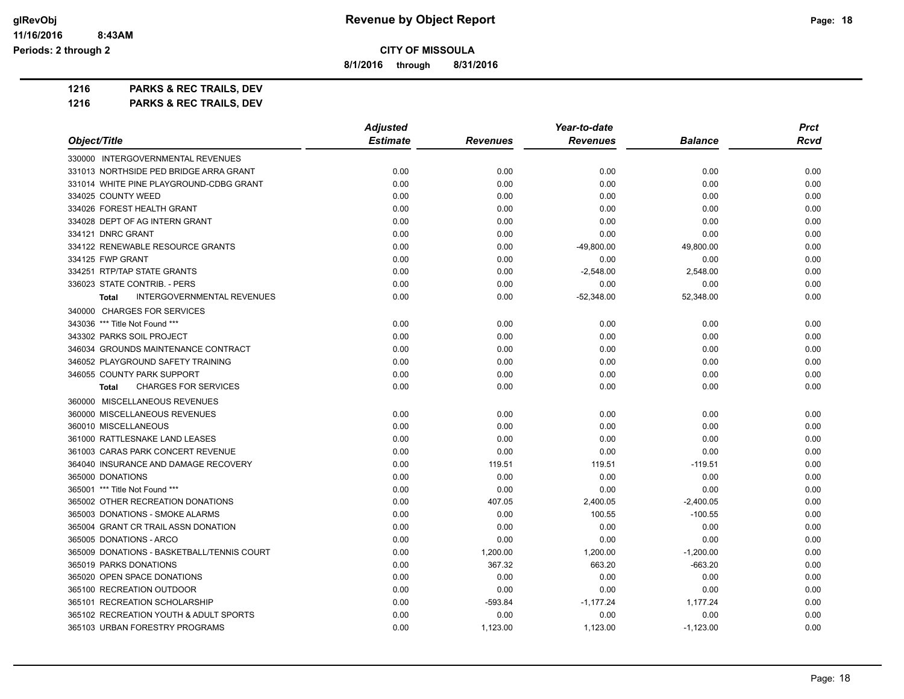**8/1/2016 through 8/31/2016**

**1216 PARKS & REC TRAILS, DEV 1216 PARKS & REC TRAILS, DEV**

*Object/Title Adjusted Estimate Revenues Year-to-date Revenues Balance Prct Rcvd* 330000 INTERGOVERNMENTAL REVENUES 331013 NORTHSIDE PED BRIDGE ARRA GRANT 0.00 0.00 0.00 0.00 0.00 331014 WHITE PINE PLAYGROUND-CDBG GRANT  $0.00$   $0.00$   $0.00$   $0.00$   $0.00$   $0.00$   $0.00$   $0.00$   $0.00$   $0.00$   $0.00$   $0.00$ 334025 COUNTY WEED 0.00 0.00 0.00 0.00 0.00 334026 FOREST HEALTH GRANT 0.00 0.00 0.00 0.00 0.00 334028 DEPT OF AG INTERN GRANT CONSUMING THE CONSUMING CONSUMING A LOCAL CONSUMING CONSUMING CONSUMING CONSUMING CONSUMING CONSUMING CONSUMING CONSUMING CONSUMING CONSUMING CONSUMING CONSUMING CONSUMING CONSUMING CONSUMING 334121 DNRC GRANT 0.00 0.00 0.00 0.00 0.00  $0.00 \hspace{1.5em} 0.00 \hspace{3.8em} 0.49,800.00 \hspace{3.8em} 49,800.00 \hspace{3.8em} 49,800.00 \hspace{3.8em} 49,800.00 \hspace{3.8em} 49,800.00 \hspace{3.8em} 49,800.00 \hspace{3.8em} 49,800.00 \hspace{3.8em} 49,800.00 \hspace{3.8em} 49,800.00 \hspace{3.8em} 49,800.00 \hspace{3.8em} 4$ 334125 FWP GRANT 0.00 0.00 0.00 0.00 0.00 334251 RTP/TAP STATE GRANTS 0.00 0.00 -2,548.00 2,548.00 0.00 336023 STATE CONTRIB. - PERS 0.00 0.00 0.00 0.00 0.00 **Total** INTERGOVERNMENTAL REVENUES 0.00 0.00 -52,348.00 52,348.00 0.00 340000 CHARGES FOR SERVICES 343036 \*\*\* Title Not Found \*\*\* 0.00 0.00 0.00 0.00 0.00 343302 PARKS SOIL PROJECT 0.00 0.00 0.00 0.00 0.00 346034 GROUNDS MAINTENANCE CONTRACT 0.00 0.00 0.00 0.00 0.00 346052 PLAYGROUND SAFETY TRAINING 0.00 0.00 0.00 0.00 0.00  $346055$  COUNTY PARK SUPPORT  $0.00$   $0.00$   $0.00$   $0.00$   $0.00$   $0.00$   $0.00$   $0.00$   $0.00$   $0.00$   $0.00$ **Total** CHARGES FOR SERVICES 0.00 0.00 0.00 0.00 0.00 360000 MISCELLANEOUS REVENUES 360000 MISCELLANEOUS REVENUES 0.00 0.00 0.00 0.00 0.00 360010 MISCELLANEOUS 0.00 0.00 0.00 0.00 0.00 361000 RATTLESNAKE LAND LEASES 0.00 0.00 0.00 0.00 0.00 361003 CARAS PARK CONCERT REVENUE 0.00 0.00 0.00 0.00 0.00 364040 INSURANCE AND DAMAGE RECOVERY 0.00 119.51 119.51 -119.51 0.00 365000 DONATIONS 0.00 0.00 0.00 0.00 0.00 365001 \*\*\* Title Not Found \*\*\* 0.00 0.00 0.00 0.00 0.00 365002 OTHER RECREATION DONATIONS 0.00 407.05 2,400.05 -2,400.05 0.00 365003 DONATIONS - SMOKE ALARMS 0.00 0.00 100.55 -100.55 0.00 365004 GRANT CR TRAIL ASSN DONATION 0.00 0.00 0.00 0.00 0.00 365005 DONATIONS - ARCO 0.00 0.00 0.00 0.00 0.00 365009 DONATIONS - BASKETBALL/TENNIS COURT 0.00 1,200.00 1,200.00 -1,200.00 0.00 365019 PARKS DONATIONS 0.00 367.32 663.20 -663.20 0.00 365020 OPEN SPACE DONATIONS 0.00 0.00 0.00 0.00 0.00 365100 RECREATION OUTDOOR 0.00 0.00 0.00 0.00 0.00 365101 RECREATION SCHOLARSHIP 0.00 -593.84 -1,177.24 1,177.24 0.00 365102 RECREATION YOUTH & ADULT SPORTS 0.00 0.00 0.00 0.00 0.00 365103 URBAN FORESTRY PROGRAMS 0.00 1,123.00 1,123.00 -1,123.00 0.00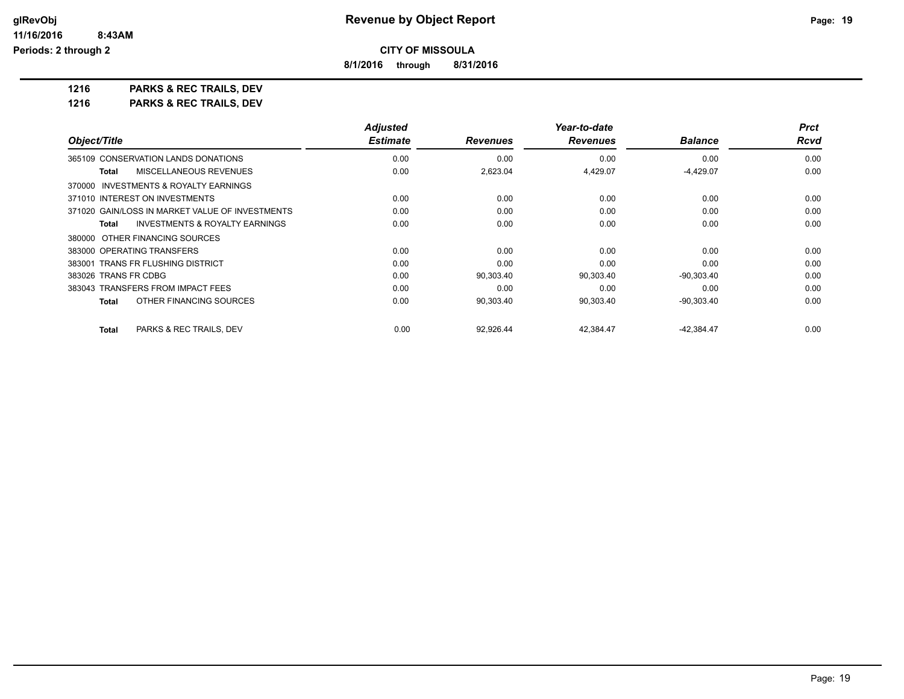**8/1/2016 through 8/31/2016**

**1216 PARKS & REC TRAILS, DEV**

**1216 PARKS & REC TRAILS, DEV**

|                                                           | <b>Adjusted</b> |                 | Year-to-date    |                |             |  |
|-----------------------------------------------------------|-----------------|-----------------|-----------------|----------------|-------------|--|
| Object/Title                                              | <b>Estimate</b> | <b>Revenues</b> | <b>Revenues</b> | <b>Balance</b> | <b>Rcvd</b> |  |
| 365109 CONSERVATION LANDS DONATIONS                       | 0.00            | 0.00            | 0.00            | 0.00           | 0.00        |  |
| MISCELLANEOUS REVENUES<br><b>Total</b>                    | 0.00            | 2,623.04        | 4,429.07        | $-4,429.07$    | 0.00        |  |
| INVESTMENTS & ROYALTY EARNINGS<br>370000                  |                 |                 |                 |                |             |  |
| 371010 INTEREST ON INVESTMENTS                            | 0.00            | 0.00            | 0.00            | 0.00           | 0.00        |  |
| 371020 GAIN/LOSS IN MARKET VALUE OF INVESTMENTS           | 0.00            | 0.00            | 0.00            | 0.00           | 0.00        |  |
| <b>INVESTMENTS &amp; ROYALTY EARNINGS</b><br><b>Total</b> | 0.00            | 0.00            | 0.00            | 0.00           | 0.00        |  |
| 380000 OTHER FINANCING SOURCES                            |                 |                 |                 |                |             |  |
| 383000 OPERATING TRANSFERS                                | 0.00            | 0.00            | 0.00            | 0.00           | 0.00        |  |
| 383001 TRANS FR FLUSHING DISTRICT                         | 0.00            | 0.00            | 0.00            | 0.00           | 0.00        |  |
| 383026 TRANS FR CDBG                                      | 0.00            | 90,303.40       | 90,303.40       | $-90,303.40$   | 0.00        |  |
| 383043 TRANSFERS FROM IMPACT FEES                         | 0.00            | 0.00            | 0.00            | 0.00           | 0.00        |  |
| OTHER FINANCING SOURCES<br><b>Total</b>                   | 0.00            | 90,303.40       | 90,303.40       | $-90,303.40$   | 0.00        |  |
| PARKS & REC TRAILS, DEV<br><b>Total</b>                   | 0.00            | 92,926.44       | 42,384.47       | $-42,384.47$   | 0.00        |  |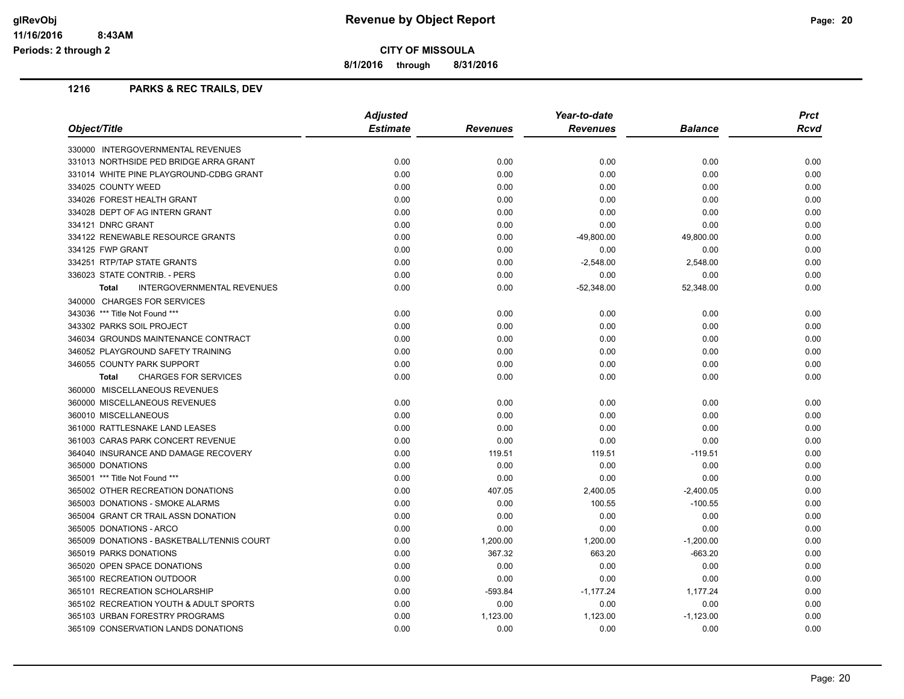**8/1/2016 through 8/31/2016**

#### **1216 PARKS & REC TRAILS, DEV**

|                                                   | <b>Adjusted</b> |                 | Year-to-date    |                | <b>Prct</b> |
|---------------------------------------------------|-----------------|-----------------|-----------------|----------------|-------------|
| Object/Title                                      | <b>Estimate</b> | <b>Revenues</b> | <b>Revenues</b> | <b>Balance</b> | <b>Rcvd</b> |
| 330000 INTERGOVERNMENTAL REVENUES                 |                 |                 |                 |                |             |
| 331013 NORTHSIDE PED BRIDGE ARRA GRANT            | 0.00            | 0.00            | 0.00            | 0.00           | 0.00        |
| 331014 WHITE PINE PLAYGROUND-CDBG GRANT           | 0.00            | 0.00            | 0.00            | 0.00           | 0.00        |
| 334025 COUNTY WEED                                | 0.00            | 0.00            | 0.00            | 0.00           | 0.00        |
| 334026 FOREST HEALTH GRANT                        | 0.00            | 0.00            | 0.00            | 0.00           | 0.00        |
| 334028 DEPT OF AG INTERN GRANT                    | 0.00            | 0.00            | 0.00            | 0.00           | 0.00        |
| 334121 DNRC GRANT                                 | 0.00            | 0.00            | 0.00            | 0.00           | 0.00        |
| 334122 RENEWABLE RESOURCE GRANTS                  | 0.00            | 0.00            | -49,800.00      | 49,800.00      | 0.00        |
| 334125 FWP GRANT                                  | 0.00            | 0.00            | 0.00            | 0.00           | 0.00        |
| 334251 RTP/TAP STATE GRANTS                       | 0.00            | 0.00            | $-2,548.00$     | 2,548.00       | 0.00        |
| 336023 STATE CONTRIB. - PERS                      | 0.00            | 0.00            | 0.00            | 0.00           | 0.00        |
| <b>INTERGOVERNMENTAL REVENUES</b><br><b>Total</b> | 0.00            | 0.00            | $-52,348.00$    | 52,348.00      | 0.00        |
| 340000 CHARGES FOR SERVICES                       |                 |                 |                 |                |             |
| 343036 *** Title Not Found ***                    | 0.00            | 0.00            | 0.00            | 0.00           | 0.00        |
| 343302 PARKS SOIL PROJECT                         | 0.00            | 0.00            | 0.00            | 0.00           | 0.00        |
| 346034 GROUNDS MAINTENANCE CONTRACT               | 0.00            | 0.00            | 0.00            | 0.00           | 0.00        |
| 346052 PLAYGROUND SAFETY TRAINING                 | 0.00            | 0.00            | 0.00            | 0.00           | 0.00        |
| 346055 COUNTY PARK SUPPORT                        | 0.00            | 0.00            | 0.00            | 0.00           | 0.00        |
| <b>CHARGES FOR SERVICES</b><br><b>Total</b>       | 0.00            | 0.00            | 0.00            | 0.00           | 0.00        |
| 360000 MISCELLANEOUS REVENUES                     |                 |                 |                 |                |             |
| 360000 MISCELLANEOUS REVENUES                     | 0.00            | 0.00            | 0.00            | 0.00           | 0.00        |
| 360010 MISCELLANEOUS                              | 0.00            | 0.00            | 0.00            | 0.00           | 0.00        |
| 361000 RATTLESNAKE LAND LEASES                    | 0.00            | 0.00            | 0.00            | 0.00           | 0.00        |
| 361003 CARAS PARK CONCERT REVENUE                 | 0.00            | 0.00            | 0.00            | 0.00           | 0.00        |
| 364040 INSURANCE AND DAMAGE RECOVERY              | 0.00            | 119.51          | 119.51          | $-119.51$      | 0.00        |
| 365000 DONATIONS                                  | 0.00            | 0.00            | 0.00            | 0.00           | 0.00        |
| 365001 *** Title Not Found ***                    | 0.00            | 0.00            | 0.00            | 0.00           | 0.00        |
| 365002 OTHER RECREATION DONATIONS                 | 0.00            | 407.05          | 2,400.05        | $-2,400.05$    | 0.00        |
| 365003 DONATIONS - SMOKE ALARMS                   | 0.00            | 0.00            | 100.55          | $-100.55$      | 0.00        |
| 365004 GRANT CR TRAIL ASSN DONATION               | 0.00            | 0.00            | 0.00            | 0.00           | 0.00        |
| 365005 DONATIONS - ARCO                           | 0.00            | 0.00            | 0.00            | 0.00           | 0.00        |
| 365009 DONATIONS - BASKETBALL/TENNIS COURT        | 0.00            | 1,200.00        | 1,200.00        | $-1,200.00$    | 0.00        |
| 365019 PARKS DONATIONS                            | 0.00            | 367.32          | 663.20          | $-663.20$      | 0.00        |
| 365020 OPEN SPACE DONATIONS                       | 0.00            | 0.00            | 0.00            | 0.00           | 0.00        |
| 365100 RECREATION OUTDOOR                         | 0.00            | 0.00            | 0.00            | 0.00           | 0.00        |
| 365101 RECREATION SCHOLARSHIP                     | 0.00            | $-593.84$       | $-1,177.24$     | 1,177.24       | 0.00        |
| 365102 RECREATION YOUTH & ADULT SPORTS            | 0.00            | 0.00            | 0.00            | 0.00           | 0.00        |
| 365103 URBAN FORESTRY PROGRAMS                    | 0.00            | 1,123.00        | 1,123.00        | $-1,123.00$    | 0.00        |
| 365109 CONSERVATION LANDS DONATIONS               | 0.00            | 0.00            | 0.00            | 0.00           | 0.00        |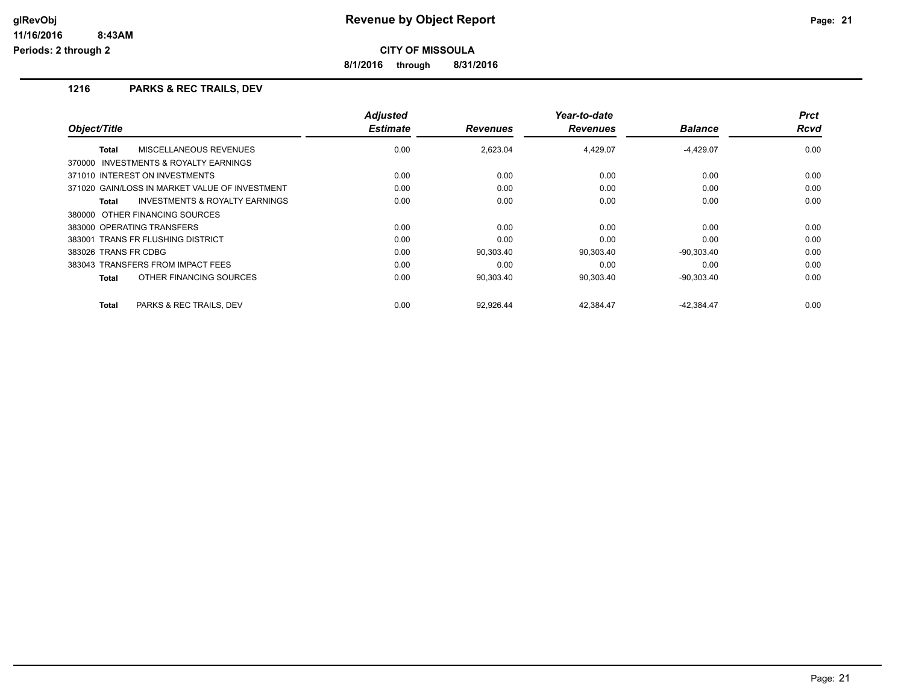**CITY OF MISSOULA**

**8/1/2016 through 8/31/2016**

#### **1216 PARKS & REC TRAILS, DEV**

 **8:43AM**

| Object/Title                                              | <b>Adjusted</b><br><b>Estimate</b> | <b>Revenues</b> | Year-to-date<br><b>Revenues</b> | <b>Balance</b> | <b>Prct</b><br>Rcvd |
|-----------------------------------------------------------|------------------------------------|-----------------|---------------------------------|----------------|---------------------|
|                                                           |                                    |                 |                                 |                |                     |
| MISCELLANEOUS REVENUES<br><b>Total</b>                    | 0.00                               | 2,623.04        | 4,429.07                        | $-4,429.07$    | 0.00                |
| <b>INVESTMENTS &amp; ROYALTY EARNINGS</b><br>370000       |                                    |                 |                                 |                |                     |
| 371010 INTEREST ON INVESTMENTS                            | 0.00                               | 0.00            | 0.00                            | 0.00           | 0.00                |
| 371020 GAIN/LOSS IN MARKET VALUE OF INVESTMENT            | 0.00                               | 0.00            | 0.00                            | 0.00           | 0.00                |
| <b>INVESTMENTS &amp; ROYALTY EARNINGS</b><br><b>Total</b> | 0.00                               | 0.00            | 0.00                            | 0.00           | 0.00                |
| 380000 OTHER FINANCING SOURCES                            |                                    |                 |                                 |                |                     |
| 383000 OPERATING TRANSFERS                                | 0.00                               | 0.00            | 0.00                            | 0.00           | 0.00                |
| 383001 TRANS FR FLUSHING DISTRICT                         | 0.00                               | 0.00            | 0.00                            | 0.00           | 0.00                |
| 383026 TRANS FR CDBG                                      | 0.00                               | 90,303.40       | 90,303.40                       | $-90,303.40$   | 0.00                |
| 383043 TRANSFERS FROM IMPACT FEES                         | 0.00                               | 0.00            | 0.00                            | 0.00           | 0.00                |
| OTHER FINANCING SOURCES<br><b>Total</b>                   | 0.00                               | 90,303.40       | 90,303.40                       | $-90,303.40$   | 0.00                |
| PARKS & REC TRAILS, DEV<br><b>Total</b>                   | 0.00                               | 92,926.44       | 42,384.47                       | $-42,384.47$   | 0.00                |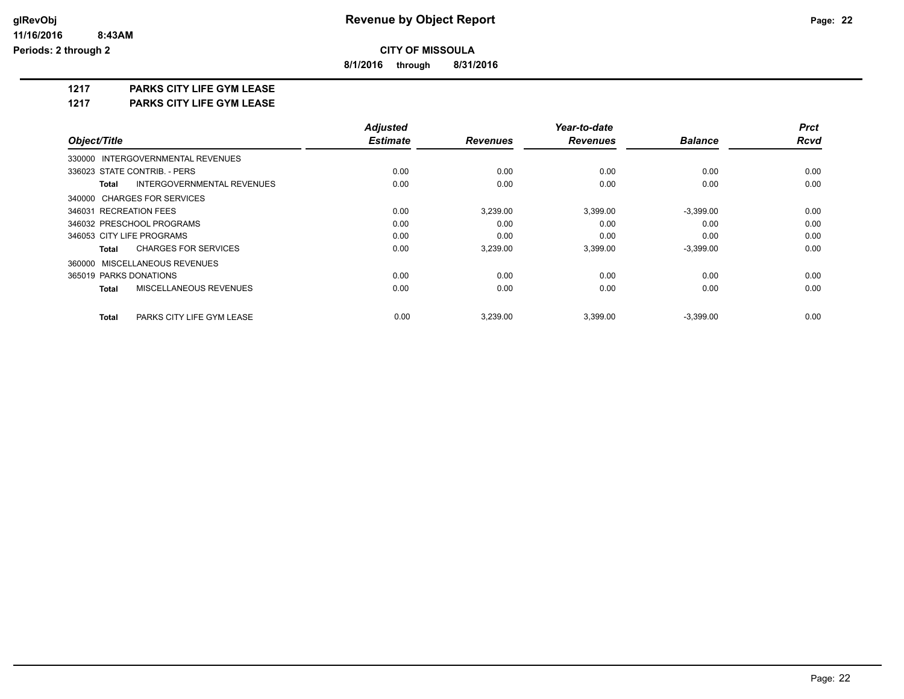**8/1/2016 through 8/31/2016**

#### **1217 PARKS CITY LIFE GYM LEASE**

**1217 PARKS CITY LIFE GYM LEASE**

|                                           | <b>Adjusted</b> |                 | Year-to-date    |                | <b>Prct</b> |
|-------------------------------------------|-----------------|-----------------|-----------------|----------------|-------------|
| Object/Title                              | <b>Estimate</b> | <b>Revenues</b> | <b>Revenues</b> | <b>Balance</b> | Rcvd        |
| 330000 INTERGOVERNMENTAL REVENUES         |                 |                 |                 |                |             |
| 336023 STATE CONTRIB. - PERS              | 0.00            | 0.00            | 0.00            | 0.00           | 0.00        |
| INTERGOVERNMENTAL REVENUES<br>Total       | 0.00            | 0.00            | 0.00            | 0.00           | 0.00        |
| 340000 CHARGES FOR SERVICES               |                 |                 |                 |                |             |
| 346031 RECREATION FEES                    | 0.00            | 3,239.00        | 3,399.00        | $-3,399.00$    | 0.00        |
| 346032 PRESCHOOL PROGRAMS                 | 0.00            | 0.00            | 0.00            | 0.00           | 0.00        |
| 346053 CITY LIFE PROGRAMS                 | 0.00            | 0.00            | 0.00            | 0.00           | 0.00        |
| <b>CHARGES FOR SERVICES</b><br>Total      | 0.00            | 3,239.00        | 3,399.00        | $-3,399.00$    | 0.00        |
| 360000 MISCELLANEOUS REVENUES             |                 |                 |                 |                |             |
| 365019 PARKS DONATIONS                    | 0.00            | 0.00            | 0.00            | 0.00           | 0.00        |
| MISCELLANEOUS REVENUES<br><b>Total</b>    | 0.00            | 0.00            | 0.00            | 0.00           | 0.00        |
| PARKS CITY LIFE GYM LEASE<br><b>Total</b> | 0.00            | 3,239.00        | 3.399.00        | $-3.399.00$    | 0.00        |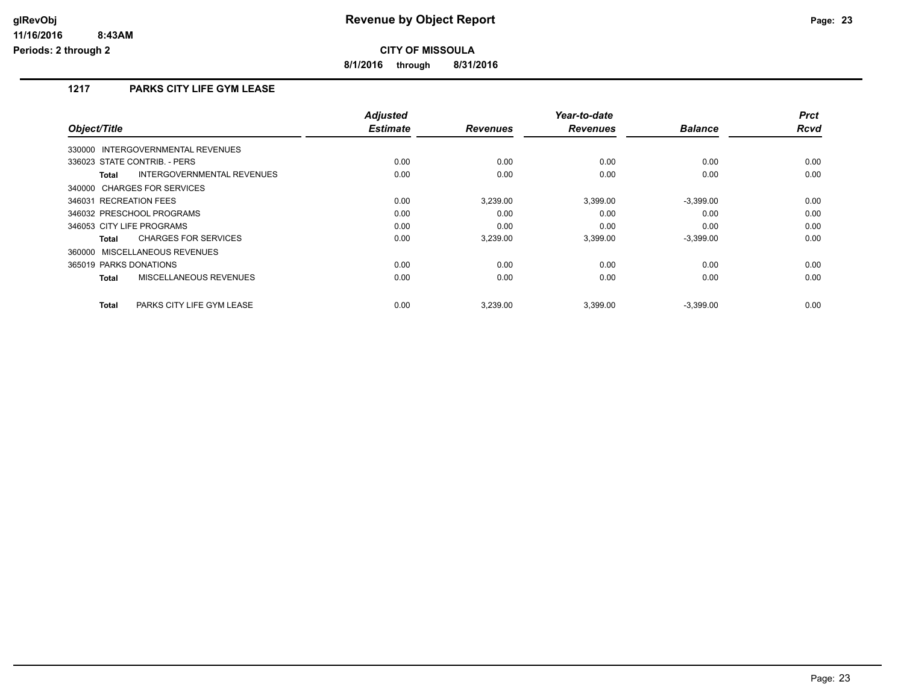**8/1/2016 through 8/31/2016**

#### **1217 PARKS CITY LIFE GYM LEASE**

| Object/Title                                | <b>Adjusted</b><br><b>Estimate</b> | <b>Revenues</b> | Year-to-date<br><b>Revenues</b> | <b>Balance</b> | <b>Prct</b><br>Rcvd |
|---------------------------------------------|------------------------------------|-----------------|---------------------------------|----------------|---------------------|
| INTERGOVERNMENTAL REVENUES<br>330000        |                                    |                 |                                 |                |                     |
| 336023 STATE CONTRIB. - PERS                | 0.00                               | 0.00            | 0.00                            | 0.00           | 0.00                |
| <b>INTERGOVERNMENTAL REVENUES</b><br>Total  | 0.00                               | 0.00            | 0.00                            | 0.00           | 0.00                |
| 340000 CHARGES FOR SERVICES                 |                                    |                 |                                 |                |                     |
| 346031 RECREATION FEES                      | 0.00                               | 3,239.00        | 3,399.00                        | $-3,399.00$    | 0.00                |
| 346032 PRESCHOOL PROGRAMS                   | 0.00                               | 0.00            | 0.00                            | 0.00           | 0.00                |
| 346053 CITY LIFE PROGRAMS                   | 0.00                               | 0.00            | 0.00                            | 0.00           | 0.00                |
| <b>CHARGES FOR SERVICES</b><br><b>Total</b> | 0.00                               | 3,239.00        | 3,399.00                        | $-3,399.00$    | 0.00                |
| 360000 MISCELLANEOUS REVENUES               |                                    |                 |                                 |                |                     |
| 365019 PARKS DONATIONS                      | 0.00                               | 0.00            | 0.00                            | 0.00           | 0.00                |
| MISCELLANEOUS REVENUES<br><b>Total</b>      | 0.00                               | 0.00            | 0.00                            | 0.00           | 0.00                |
| PARKS CITY LIFE GYM LEASE<br><b>Total</b>   | 0.00                               | 3,239.00        | 3.399.00                        | $-3,399.00$    | 0.00                |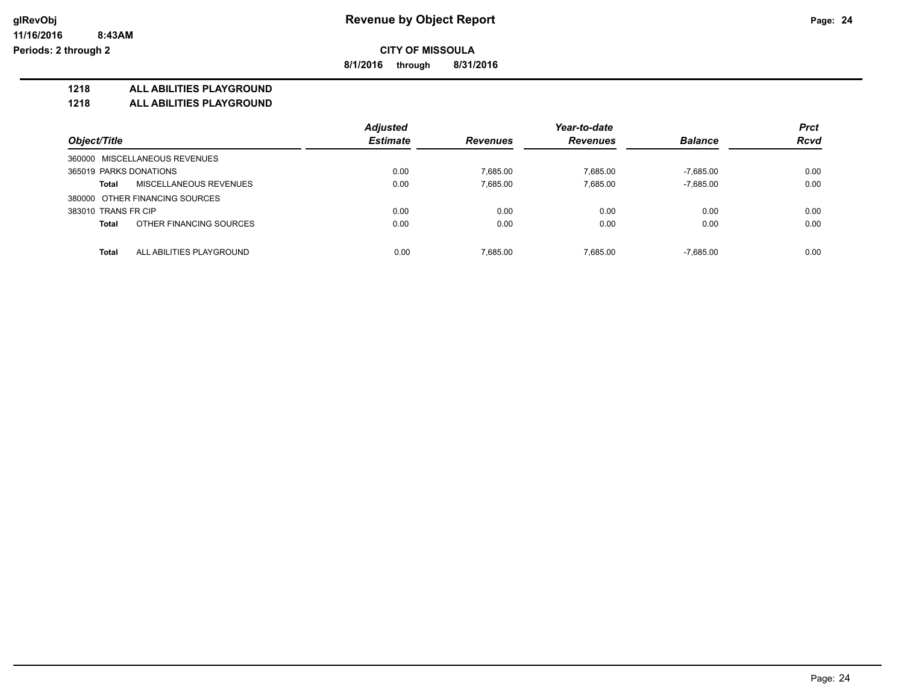**8/1/2016 through 8/31/2016**

**1218 ALL ABILITIES PLAYGROUND**

**1218 ALL ABILITIES PLAYGROUND**

|                                          | <b>Adjusted</b> |                 | Year-to-date    |                |             |
|------------------------------------------|-----------------|-----------------|-----------------|----------------|-------------|
| Object/Title                             | <b>Estimate</b> | <b>Revenues</b> | <b>Revenues</b> | <b>Balance</b> | <b>Rcvd</b> |
| 360000 MISCELLANEOUS REVENUES            |                 |                 |                 |                |             |
| 365019 PARKS DONATIONS                   | 0.00            | 7.685.00        | 7,685.00        | $-7.685.00$    | 0.00        |
| MISCELLANEOUS REVENUES<br>Total          | 0.00            | 7,685.00        | 7,685.00        | $-7.685.00$    | 0.00        |
| 380000 OTHER FINANCING SOURCES           |                 |                 |                 |                |             |
| 383010 TRANS FR CIP                      | 0.00            | 0.00            | 0.00            | 0.00           | 0.00        |
| OTHER FINANCING SOURCES<br><b>Total</b>  | 0.00            | 0.00            | 0.00            | 0.00           | 0.00        |
|                                          |                 |                 |                 |                |             |
| ALL ABILITIES PLAYGROUND<br><b>Total</b> | 0.00            | 7.685.00        | 7.685.00        | $-7.685.00$    | 0.00        |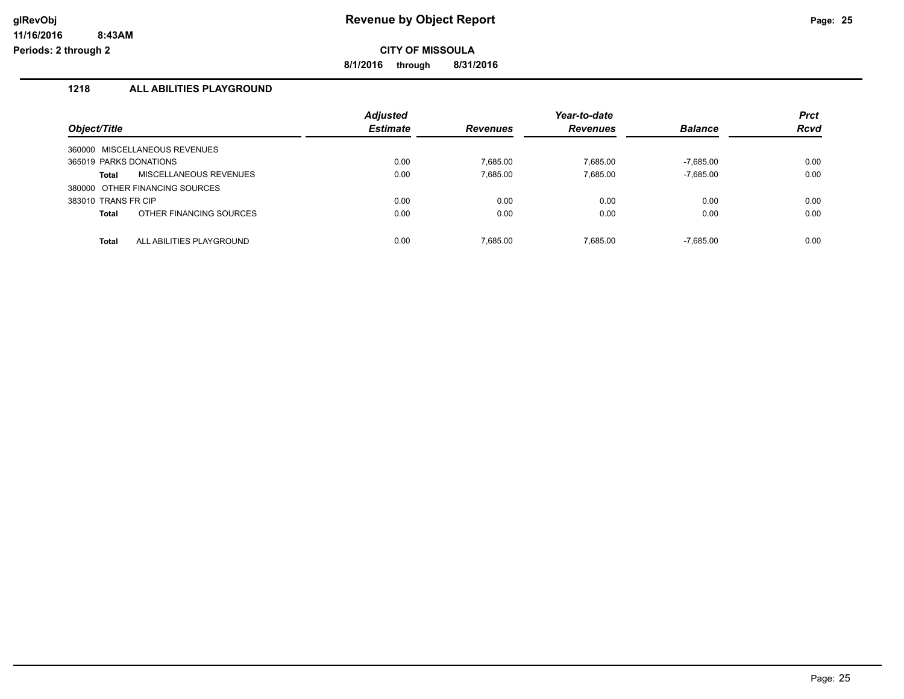**CITY OF MISSOULA**

**8/1/2016 through 8/31/2016**

#### **1218 ALL ABILITIES PLAYGROUND**

 **8:43AM**

| Object/Title           |                                | <b>Adjusted</b><br><b>Estimate</b> | <b>Revenues</b> | Year-to-date<br><b>Revenues</b> | <b>Balance</b> | <b>Prct</b><br><b>Rcvd</b> |
|------------------------|--------------------------------|------------------------------------|-----------------|---------------------------------|----------------|----------------------------|
|                        | 360000 MISCELLANEOUS REVENUES  |                                    |                 |                                 |                |                            |
| 365019 PARKS DONATIONS |                                | 0.00                               | 7.685.00        | 7.685.00                        | $-7.685.00$    | 0.00                       |
| <b>Total</b>           | MISCELLANEOUS REVENUES         | 0.00                               | 7,685.00        | 7,685.00                        | $-7,685.00$    | 0.00                       |
|                        | 380000 OTHER FINANCING SOURCES |                                    |                 |                                 |                |                            |
| 383010 TRANS FR CIP    |                                | 0.00                               | 0.00            | 0.00                            | 0.00           | 0.00                       |
| <b>Total</b>           | OTHER FINANCING SOURCES        | 0.00                               | 0.00            | 0.00                            | 0.00           | 0.00                       |
| <b>Total</b>           | ALL ABILITIES PLAYGROUND       | 0.00                               | 7.685.00        | 7.685.00                        | $-7.685.00$    | 0.00                       |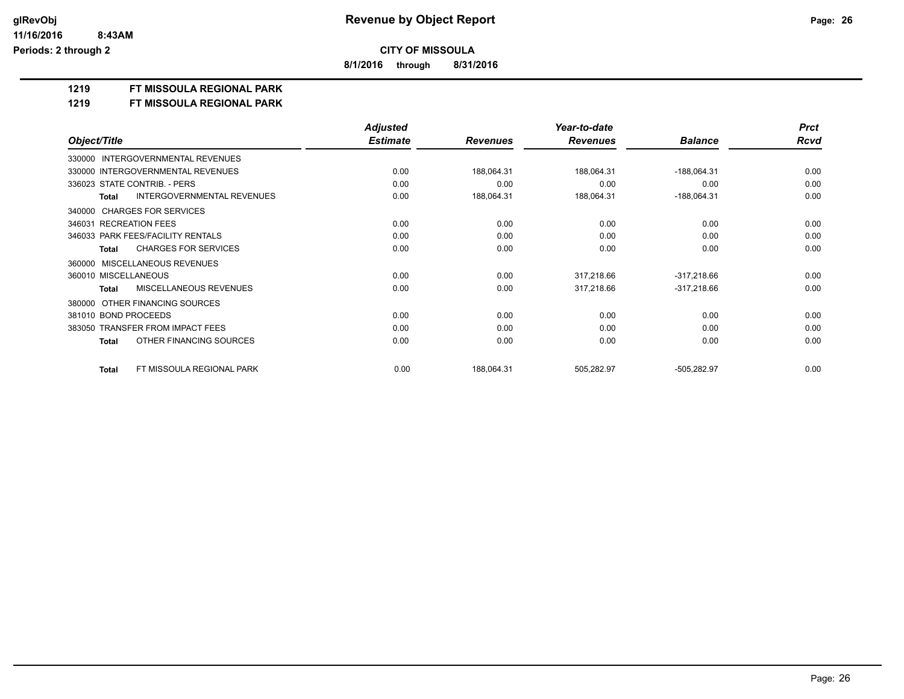**8/1/2016 through 8/31/2016**

#### **1219 FT MISSOULA REGIONAL PARK**

#### **1219 FT MISSOULA REGIONAL PARK**

|                                            | <b>Adjusted</b> |                 | Year-to-date    |                | <b>Prct</b> |
|--------------------------------------------|-----------------|-----------------|-----------------|----------------|-------------|
| Object/Title                               | <b>Estimate</b> | <b>Revenues</b> | <b>Revenues</b> | <b>Balance</b> | <b>Rcvd</b> |
| 330000 INTERGOVERNMENTAL REVENUES          |                 |                 |                 |                |             |
| 330000 INTERGOVERNMENTAL REVENUES          | 0.00            | 188,064.31      | 188,064.31      | $-188,064.31$  | 0.00        |
| 336023 STATE CONTRIB. - PERS               | 0.00            | 0.00            | 0.00            | 0.00           | 0.00        |
| <b>INTERGOVERNMENTAL REVENUES</b><br>Total | 0.00            | 188,064.31      | 188,064.31      | $-188,064.31$  | 0.00        |
| 340000 CHARGES FOR SERVICES                |                 |                 |                 |                |             |
| 346031 RECREATION FEES                     | 0.00            | 0.00            | 0.00            | 0.00           | 0.00        |
| 346033 PARK FEES/FACILITY RENTALS          | 0.00            | 0.00            | 0.00            | 0.00           | 0.00        |
| <b>CHARGES FOR SERVICES</b><br>Total       | 0.00            | 0.00            | 0.00            | 0.00           | 0.00        |
| 360000 MISCELLANEOUS REVENUES              |                 |                 |                 |                |             |
| 360010 MISCELLANEOUS                       | 0.00            | 0.00            | 317,218.66      | $-317,218.66$  | 0.00        |
| MISCELLANEOUS REVENUES<br>Total            | 0.00            | 0.00            | 317,218.66      | $-317,218.66$  | 0.00        |
| 380000 OTHER FINANCING SOURCES             |                 |                 |                 |                |             |
| 381010 BOND PROCEEDS                       | 0.00            | 0.00            | 0.00            | 0.00           | 0.00        |
| 383050 TRANSFER FROM IMPACT FEES           | 0.00            | 0.00            | 0.00            | 0.00           | 0.00        |
| OTHER FINANCING SOURCES<br>Total           | 0.00            | 0.00            | 0.00            | 0.00           | 0.00        |
| FT MISSOULA REGIONAL PARK<br>Total         | 0.00            | 188,064.31      | 505,282.97      | $-505,282.97$  | 0.00        |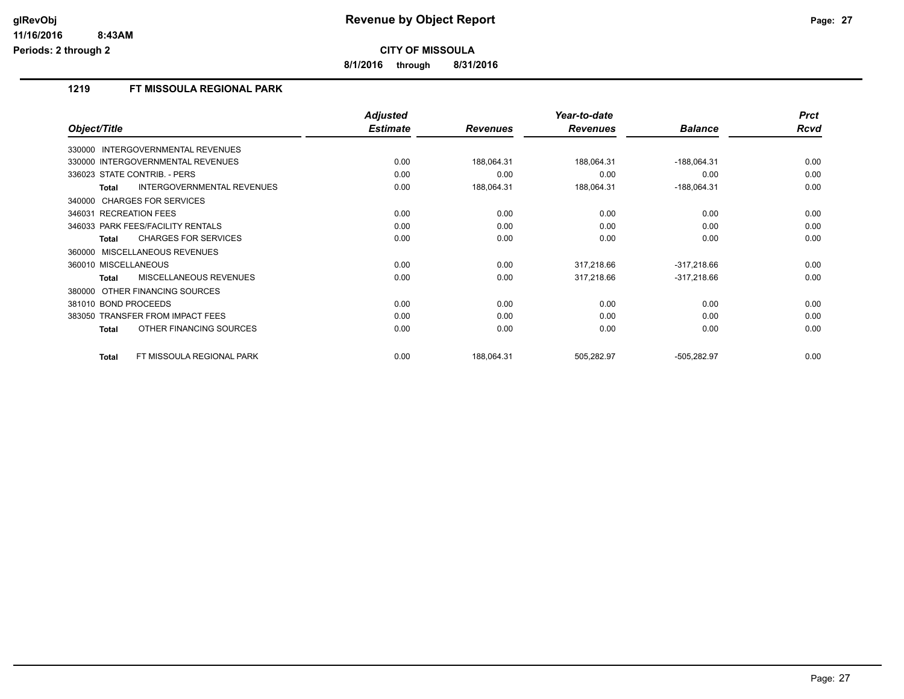**8/1/2016 through 8/31/2016**

#### **1219 FT MISSOULA REGIONAL PARK**

|                                            | <b>Adjusted</b> |                 | Year-to-date    |                | <b>Prct</b> |
|--------------------------------------------|-----------------|-----------------|-----------------|----------------|-------------|
| Object/Title                               | <b>Estimate</b> | <b>Revenues</b> | <b>Revenues</b> | <b>Balance</b> | <b>Rcvd</b> |
| 330000 INTERGOVERNMENTAL REVENUES          |                 |                 |                 |                |             |
| 330000 INTERGOVERNMENTAL REVENUES          | 0.00            | 188,064.31      | 188,064.31      | $-188,064.31$  | 0.00        |
| 336023 STATE CONTRIB. - PERS               | 0.00            | 0.00            | 0.00            | 0.00           | 0.00        |
| <b>INTERGOVERNMENTAL REVENUES</b><br>Total | 0.00            | 188,064.31      | 188,064.31      | $-188,064.31$  | 0.00        |
| 340000 CHARGES FOR SERVICES                |                 |                 |                 |                |             |
| 346031 RECREATION FEES                     | 0.00            | 0.00            | 0.00            | 0.00           | 0.00        |
| 346033 PARK FEES/FACILITY RENTALS          | 0.00            | 0.00            | 0.00            | 0.00           | 0.00        |
| <b>CHARGES FOR SERVICES</b><br>Total       | 0.00            | 0.00            | 0.00            | 0.00           | 0.00        |
| 360000 MISCELLANEOUS REVENUES              |                 |                 |                 |                |             |
| 360010 MISCELLANEOUS                       | 0.00            | 0.00            | 317,218.66      | $-317,218.66$  | 0.00        |
| <b>MISCELLANEOUS REVENUES</b><br>Total     | 0.00            | 0.00            | 317,218.66      | $-317,218.66$  | 0.00        |
| 380000 OTHER FINANCING SOURCES             |                 |                 |                 |                |             |
| 381010 BOND PROCEEDS                       | 0.00            | 0.00            | 0.00            | 0.00           | 0.00        |
| 383050 TRANSFER FROM IMPACT FEES           | 0.00            | 0.00            | 0.00            | 0.00           | 0.00        |
| OTHER FINANCING SOURCES<br><b>Total</b>    | 0.00            | 0.00            | 0.00            | 0.00           | 0.00        |
| FT MISSOULA REGIONAL PARK<br><b>Total</b>  | 0.00            | 188,064.31      | 505,282.97      | $-505,282.97$  | 0.00        |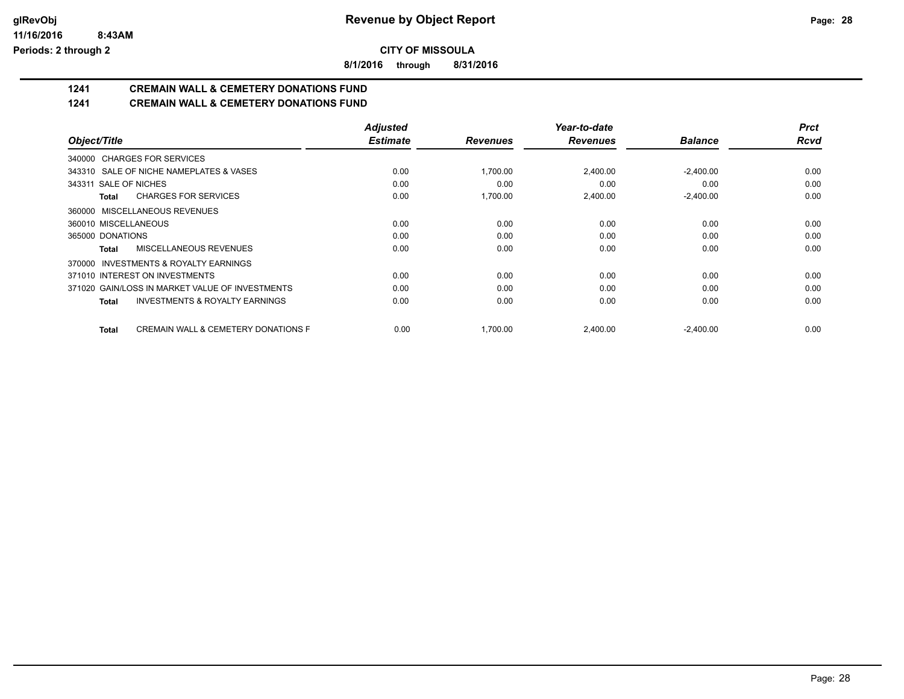**11/16/2016 8:43AM**

#### **CITY OF MISSOULA**

**8/1/2016 through 8/31/2016**

## **1241 CREMAIN WALL & CEMETERY DONATIONS FUND**

### **1241 CREMAIN WALL & CEMETERY DONATIONS FUND**

|                                                         | <b>Adjusted</b> |                 | Year-to-date    |                | <b>Prct</b> |
|---------------------------------------------------------|-----------------|-----------------|-----------------|----------------|-------------|
| Object/Title                                            | <b>Estimate</b> | <b>Revenues</b> | <b>Revenues</b> | <b>Balance</b> | <b>Rcvd</b> |
| <b>CHARGES FOR SERVICES</b><br>340000                   |                 |                 |                 |                |             |
| 343310 SALE OF NICHE NAMEPLATES & VASES                 | 0.00            | 1,700.00        | 2,400.00        | $-2,400.00$    | 0.00        |
| <b>SALE OF NICHES</b><br>343311                         | 0.00            | 0.00            | 0.00            | 0.00           | 0.00        |
| <b>CHARGES FOR SERVICES</b><br>Total                    | 0.00            | 1.700.00        | 2,400.00        | $-2,400.00$    | 0.00        |
| 360000 MISCELLANEOUS REVENUES                           |                 |                 |                 |                |             |
| 360010 MISCELLANEOUS                                    | 0.00            | 0.00            | 0.00            | 0.00           | 0.00        |
| 365000 DONATIONS                                        | 0.00            | 0.00            | 0.00            | 0.00           | 0.00        |
| MISCELLANEOUS REVENUES<br>Total                         | 0.00            | 0.00            | 0.00            | 0.00           | 0.00        |
| INVESTMENTS & ROYALTY EARNINGS<br>370000                |                 |                 |                 |                |             |
| 371010 INTEREST ON INVESTMENTS                          | 0.00            | 0.00            | 0.00            | 0.00           | 0.00        |
| 371020 GAIN/LOSS IN MARKET VALUE OF INVESTMENTS         | 0.00            | 0.00            | 0.00            | 0.00           | 0.00        |
| <b>INVESTMENTS &amp; ROYALTY EARNINGS</b><br>Total      | 0.00            | 0.00            | 0.00            | 0.00           | 0.00        |
| <b>CREMAIN WALL &amp; CEMETERY DONATIONS F</b><br>Total | 0.00            | 1,700.00        | 2,400.00        | $-2,400.00$    | 0.00        |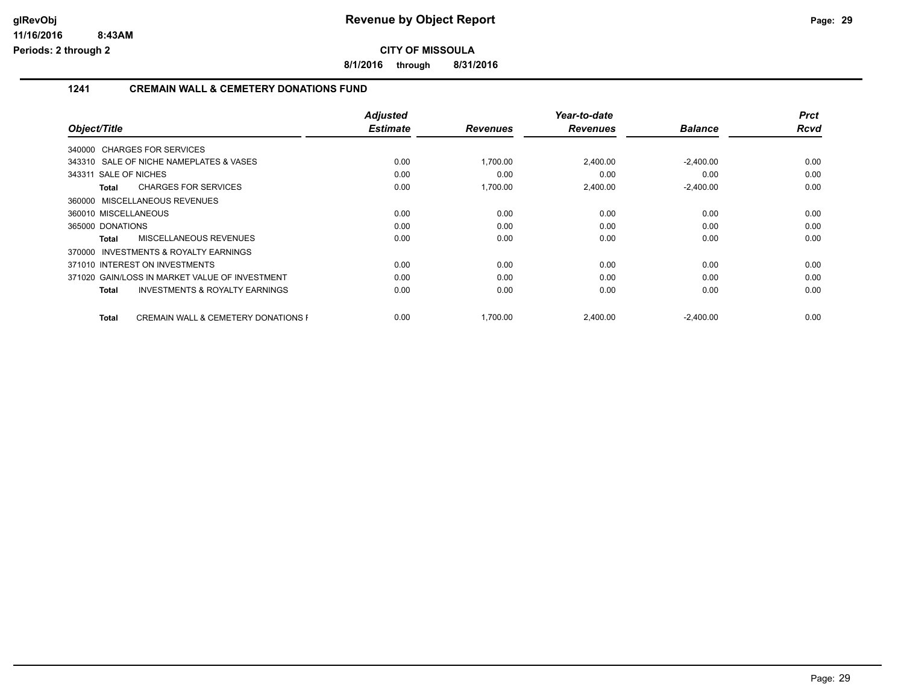**8:43AM**

**CITY OF MISSOULA**

**8/1/2016 through 8/31/2016**

#### **1241 CREMAIN WALL & CEMETERY DONATIONS FUND**

| Object/Title                                                   | <b>Adjusted</b><br><b>Estimate</b> | <b>Revenues</b> | Year-to-date<br><b>Revenues</b> | <b>Balance</b> | <b>Prct</b><br>Rcvd |
|----------------------------------------------------------------|------------------------------------|-----------------|---------------------------------|----------------|---------------------|
|                                                                |                                    |                 |                                 |                |                     |
| 340000 CHARGES FOR SERVICES                                    |                                    |                 |                                 |                |                     |
| 343310 SALE OF NICHE NAMEPLATES & VASES                        | 0.00                               | 1,700.00        | 2,400.00                        | $-2,400.00$    | 0.00                |
| 343311 SALE OF NICHES                                          | 0.00                               | 0.00            | 0.00                            | 0.00           | 0.00                |
| <b>CHARGES FOR SERVICES</b><br>Total                           | 0.00                               | 1,700.00        | 2,400.00                        | $-2,400.00$    | 0.00                |
| 360000 MISCELLANEOUS REVENUES                                  |                                    |                 |                                 |                |                     |
| 360010 MISCELLANEOUS                                           | 0.00                               | 0.00            | 0.00                            | 0.00           | 0.00                |
| 365000 DONATIONS                                               | 0.00                               | 0.00            | 0.00                            | 0.00           | 0.00                |
| <b>MISCELLANEOUS REVENUES</b><br>Total                         | 0.00                               | 0.00            | 0.00                            | 0.00           | 0.00                |
| INVESTMENTS & ROYALTY EARNINGS<br>370000                       |                                    |                 |                                 |                |                     |
| 371010 INTEREST ON INVESTMENTS                                 | 0.00                               | 0.00            | 0.00                            | 0.00           | 0.00                |
| 371020 GAIN/LOSS IN MARKET VALUE OF INVESTMENT                 | 0.00                               | 0.00            | 0.00                            | 0.00           | 0.00                |
| <b>INVESTMENTS &amp; ROYALTY EARNINGS</b><br>Total             | 0.00                               | 0.00            | 0.00                            | 0.00           | 0.00                |
| <b>CREMAIN WALL &amp; CEMETERY DONATIONS F</b><br><b>Total</b> | 0.00                               | 1.700.00        | 2.400.00                        | $-2.400.00$    | 0.00                |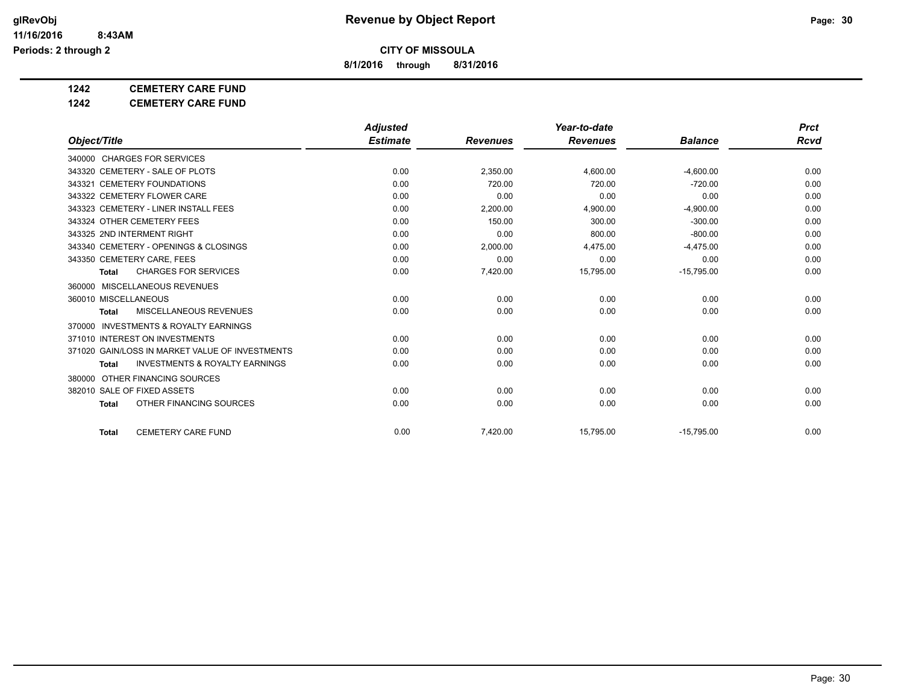**8/1/2016 through 8/31/2016**

#### **1242 CEMETERY CARE FUND**

**1242 CEMETERY CARE FUND**

|                                                           | <b>Adjusted</b> |                 | Year-to-date    |                | <b>Prct</b> |
|-----------------------------------------------------------|-----------------|-----------------|-----------------|----------------|-------------|
| Object/Title                                              | <b>Estimate</b> | <b>Revenues</b> | <b>Revenues</b> | <b>Balance</b> | <b>Rcvd</b> |
| 340000 CHARGES FOR SERVICES                               |                 |                 |                 |                |             |
| 343320 CEMETERY - SALE OF PLOTS                           | 0.00            | 2,350.00        | 4,600.00        | $-4,600.00$    | 0.00        |
| 343321 CEMETERY FOUNDATIONS                               | 0.00            | 720.00          | 720.00          | $-720.00$      | 0.00        |
| 343322 CEMETERY FLOWER CARE                               | 0.00            | 0.00            | 0.00            | 0.00           | 0.00        |
| 343323 CEMETERY - LINER INSTALL FEES                      | 0.00            | 2,200.00        | 4,900.00        | $-4,900.00$    | 0.00        |
| 343324 OTHER CEMETERY FEES                                | 0.00            | 150.00          | 300.00          | $-300.00$      | 0.00        |
| 343325 2ND INTERMENT RIGHT                                | 0.00            | 0.00            | 800.00          | $-800.00$      | 0.00        |
| 343340 CEMETERY - OPENINGS & CLOSINGS                     | 0.00            | 2,000.00        | 4,475.00        | $-4,475.00$    | 0.00        |
| 343350 CEMETERY CARE, FEES                                | 0.00            | 0.00            | 0.00            | 0.00           | 0.00        |
| <b>CHARGES FOR SERVICES</b><br>Total                      | 0.00            | 7,420.00        | 15,795.00       | $-15,795.00$   | 0.00        |
| 360000 MISCELLANEOUS REVENUES                             |                 |                 |                 |                |             |
| 360010 MISCELLANEOUS                                      | 0.00            | 0.00            | 0.00            | 0.00           | 0.00        |
| <b>MISCELLANEOUS REVENUES</b><br><b>Total</b>             | 0.00            | 0.00            | 0.00            | 0.00           | 0.00        |
| INVESTMENTS & ROYALTY EARNINGS<br>370000                  |                 |                 |                 |                |             |
| 371010 INTEREST ON INVESTMENTS                            | 0.00            | 0.00            | 0.00            | 0.00           | 0.00        |
| 371020 GAIN/LOSS IN MARKET VALUE OF INVESTMENTS           | 0.00            | 0.00            | 0.00            | 0.00           | 0.00        |
| <b>INVESTMENTS &amp; ROYALTY EARNINGS</b><br><b>Total</b> | 0.00            | 0.00            | 0.00            | 0.00           | 0.00        |
| 380000 OTHER FINANCING SOURCES                            |                 |                 |                 |                |             |
| 382010 SALE OF FIXED ASSETS                               | 0.00            | 0.00            | 0.00            | 0.00           | 0.00        |
| OTHER FINANCING SOURCES<br><b>Total</b>                   | 0.00            | 0.00            | 0.00            | 0.00           | 0.00        |
| <b>CEMETERY CARE FUND</b><br><b>Total</b>                 | 0.00            | 7.420.00        | 15.795.00       | $-15.795.00$   | 0.00        |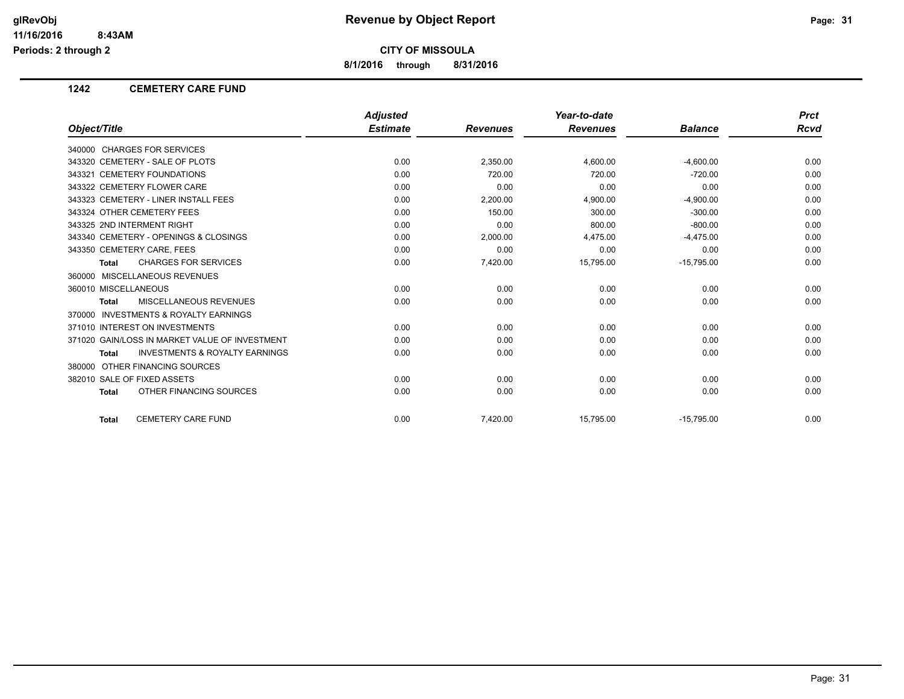**8/1/2016 through 8/31/2016**

#### **1242 CEMETERY CARE FUND**

|                                                           | <b>Adjusted</b> |                 | Year-to-date    |                | <b>Prct</b> |
|-----------------------------------------------------------|-----------------|-----------------|-----------------|----------------|-------------|
| Object/Title                                              | <b>Estimate</b> | <b>Revenues</b> | <b>Revenues</b> | <b>Balance</b> | Rcvd        |
| 340000 CHARGES FOR SERVICES                               |                 |                 |                 |                |             |
| 343320 CEMETERY - SALE OF PLOTS                           | 0.00            | 2,350.00        | 4,600.00        | $-4,600.00$    | 0.00        |
| 343321 CEMETERY FOUNDATIONS                               | 0.00            | 720.00          | 720.00          | $-720.00$      | 0.00        |
| 343322 CEMETERY FLOWER CARE                               | 0.00            | 0.00            | 0.00            | 0.00           | 0.00        |
| 343323 CEMETERY - LINER INSTALL FEES                      | 0.00            | 2,200.00        | 4,900.00        | $-4,900.00$    | 0.00        |
| 343324 OTHER CEMETERY FEES                                | 0.00            | 150.00          | 300.00          | $-300.00$      | 0.00        |
| 343325 2ND INTERMENT RIGHT                                | 0.00            | 0.00            | 800.00          | $-800.00$      | 0.00        |
| 343340 CEMETERY - OPENINGS & CLOSINGS                     | 0.00            | 2,000.00        | 4,475.00        | $-4,475.00$    | 0.00        |
| 343350 CEMETERY CARE, FEES                                | 0.00            | 0.00            | 0.00            | 0.00           | 0.00        |
| <b>CHARGES FOR SERVICES</b><br><b>Total</b>               | 0.00            | 7,420.00        | 15,795.00       | $-15,795.00$   | 0.00        |
| 360000 MISCELLANEOUS REVENUES                             |                 |                 |                 |                |             |
| 360010 MISCELLANEOUS                                      | 0.00            | 0.00            | 0.00            | 0.00           | 0.00        |
| <b>MISCELLANEOUS REVENUES</b><br><b>Total</b>             | 0.00            | 0.00            | 0.00            | 0.00           | 0.00        |
| 370000 INVESTMENTS & ROYALTY EARNINGS                     |                 |                 |                 |                |             |
| 371010 INTEREST ON INVESTMENTS                            | 0.00            | 0.00            | 0.00            | 0.00           | 0.00        |
| 371020 GAIN/LOSS IN MARKET VALUE OF INVESTMENT            | 0.00            | 0.00            | 0.00            | 0.00           | 0.00        |
| <b>INVESTMENTS &amp; ROYALTY EARNINGS</b><br><b>Total</b> | 0.00            | 0.00            | 0.00            | 0.00           | 0.00        |
| 380000 OTHER FINANCING SOURCES                            |                 |                 |                 |                |             |
| 382010 SALE OF FIXED ASSETS                               | 0.00            | 0.00            | 0.00            | 0.00           | 0.00        |
| OTHER FINANCING SOURCES<br><b>Total</b>                   | 0.00            | 0.00            | 0.00            | 0.00           | 0.00        |
| <b>CEMETERY CARE FUND</b><br><b>Total</b>                 | 0.00            | 7,420.00        | 15,795.00       | $-15,795.00$   | 0.00        |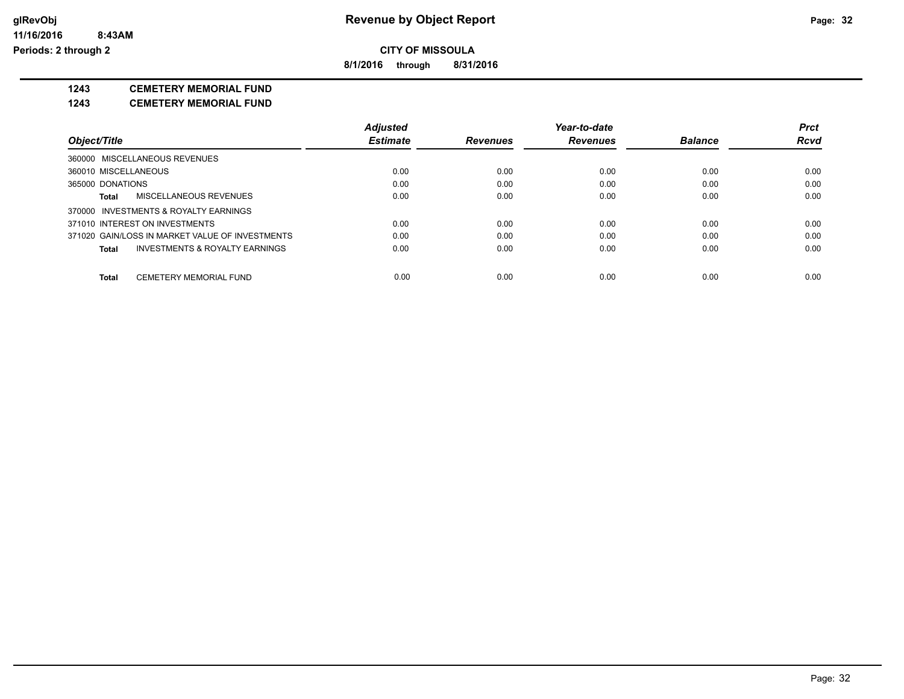**8/1/2016 through 8/31/2016**

**1243 CEMETERY MEMORIAL FUND**

**1243 CEMETERY MEMORIAL FUND**

|                                                 | <b>Adjusted</b> |                 | Year-to-date    |                | <b>Prct</b> |
|-------------------------------------------------|-----------------|-----------------|-----------------|----------------|-------------|
| Object/Title                                    | <b>Estimate</b> | <b>Revenues</b> | <b>Revenues</b> | <b>Balance</b> | <b>Rcvd</b> |
| 360000 MISCELLANEOUS REVENUES                   |                 |                 |                 |                |             |
| 360010 MISCELLANEOUS                            | 0.00            | 0.00            | 0.00            | 0.00           | 0.00        |
| 365000 DONATIONS                                | 0.00            | 0.00            | 0.00            | 0.00           | 0.00        |
| MISCELLANEOUS REVENUES<br>Total                 | 0.00            | 0.00            | 0.00            | 0.00           | 0.00        |
| 370000 INVESTMENTS & ROYALTY EARNINGS           |                 |                 |                 |                |             |
| 371010 INTEREST ON INVESTMENTS                  | 0.00            | 0.00            | 0.00            | 0.00           | 0.00        |
| 371020 GAIN/LOSS IN MARKET VALUE OF INVESTMENTS | 0.00            | 0.00            | 0.00            | 0.00           | 0.00        |
| INVESTMENTS & ROYALTY EARNINGS<br>Total         | 0.00            | 0.00            | 0.00            | 0.00           | 0.00        |
| <b>CEMETERY MEMORIAL FUND</b><br>Total          | 0.00            | 0.00            | 0.00            | 0.00           | 0.00        |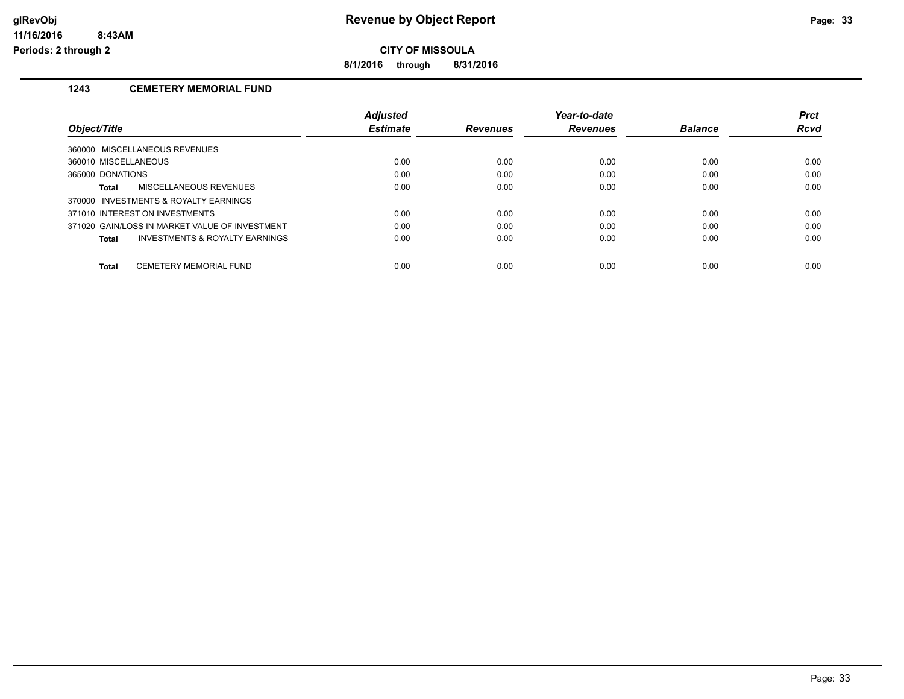**glRevObj Revenue by Object Report Page: 33** 

**CITY OF MISSOULA**

**8/1/2016 through 8/31/2016**

#### **1243 CEMETERY MEMORIAL FUND**

 **8:43AM**

|                                                | <b>Adjusted</b> |                 | Year-to-date    |                | <b>Prct</b> |
|------------------------------------------------|-----------------|-----------------|-----------------|----------------|-------------|
| Object/Title                                   | <b>Estimate</b> | <b>Revenues</b> | <b>Revenues</b> | <b>Balance</b> | <b>Rcvd</b> |
| 360000 MISCELLANEOUS REVENUES                  |                 |                 |                 |                |             |
| 360010 MISCELLANEOUS                           | 0.00            | 0.00            | 0.00            | 0.00           | 0.00        |
| 365000 DONATIONS                               | 0.00            | 0.00            | 0.00            | 0.00           | 0.00        |
| MISCELLANEOUS REVENUES<br>Total                | 0.00            | 0.00            | 0.00            | 0.00           | 0.00        |
| 370000 INVESTMENTS & ROYALTY EARNINGS          |                 |                 |                 |                |             |
| 371010 INTEREST ON INVESTMENTS                 | 0.00            | 0.00            | 0.00            | 0.00           | 0.00        |
| 371020 GAIN/LOSS IN MARKET VALUE OF INVESTMENT | 0.00            | 0.00            | 0.00            | 0.00           | 0.00        |
| INVESTMENTS & ROYALTY EARNINGS<br>Total        | 0.00            | 0.00            | 0.00            | 0.00           | 0.00        |
| <b>CEMETERY MEMORIAL FUND</b><br><b>Total</b>  | 0.00            | 0.00            | 0.00            | 0.00           | 0.00        |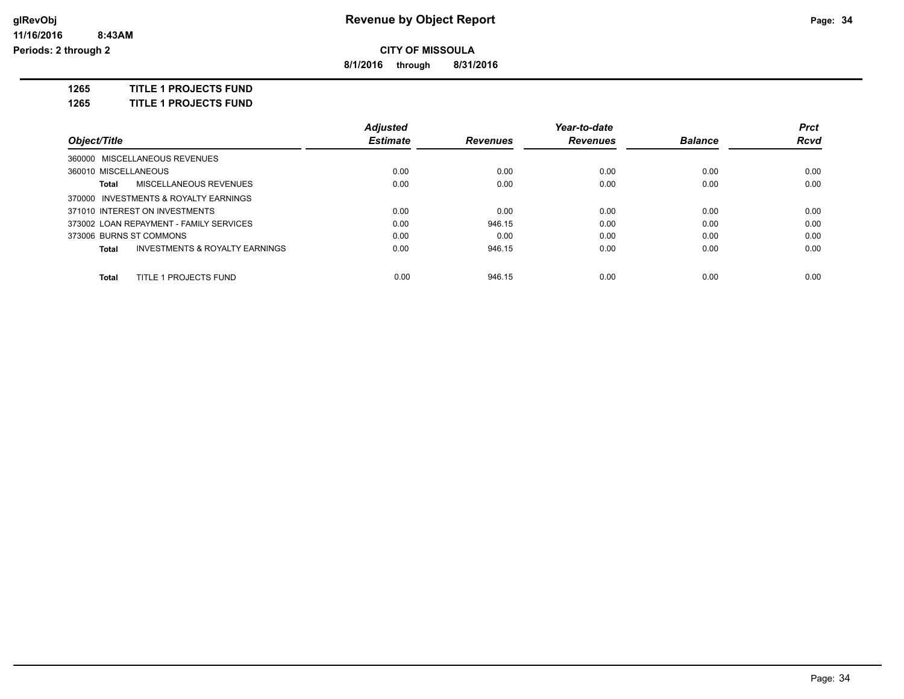**8/1/2016 through 8/31/2016**

**1265 TITLE 1 PROJECTS FUND**

**1265 TITLE 1 PROJECTS FUND**

|                                                    | <b>Adjusted</b> |                 | Year-to-date    |                | <b>Prct</b> |
|----------------------------------------------------|-----------------|-----------------|-----------------|----------------|-------------|
| Object/Title                                       | <b>Estimate</b> | <b>Revenues</b> | <b>Revenues</b> | <b>Balance</b> | <b>Rcvd</b> |
| 360000 MISCELLANEOUS REVENUES                      |                 |                 |                 |                |             |
| 360010 MISCELLANEOUS                               | 0.00            | 0.00            | 0.00            | 0.00           | 0.00        |
| MISCELLANEOUS REVENUES<br>Total                    | 0.00            | 0.00            | 0.00            | 0.00           | 0.00        |
| 370000 INVESTMENTS & ROYALTY EARNINGS              |                 |                 |                 |                |             |
| 371010 INTEREST ON INVESTMENTS                     | 0.00            | 0.00            | 0.00            | 0.00           | 0.00        |
| 373002 LOAN REPAYMENT - FAMILY SERVICES            | 0.00            | 946.15          | 0.00            | 0.00           | 0.00        |
| 373006 BURNS ST COMMONS                            | 0.00            | 0.00            | 0.00            | 0.00           | 0.00        |
| <b>INVESTMENTS &amp; ROYALTY EARNINGS</b><br>Total | 0.00            | 946.15          | 0.00            | 0.00           | 0.00        |
| TITLE 1 PROJECTS FUND<br>Total                     | 0.00            | 946.15          | 0.00            | 0.00           | 0.00        |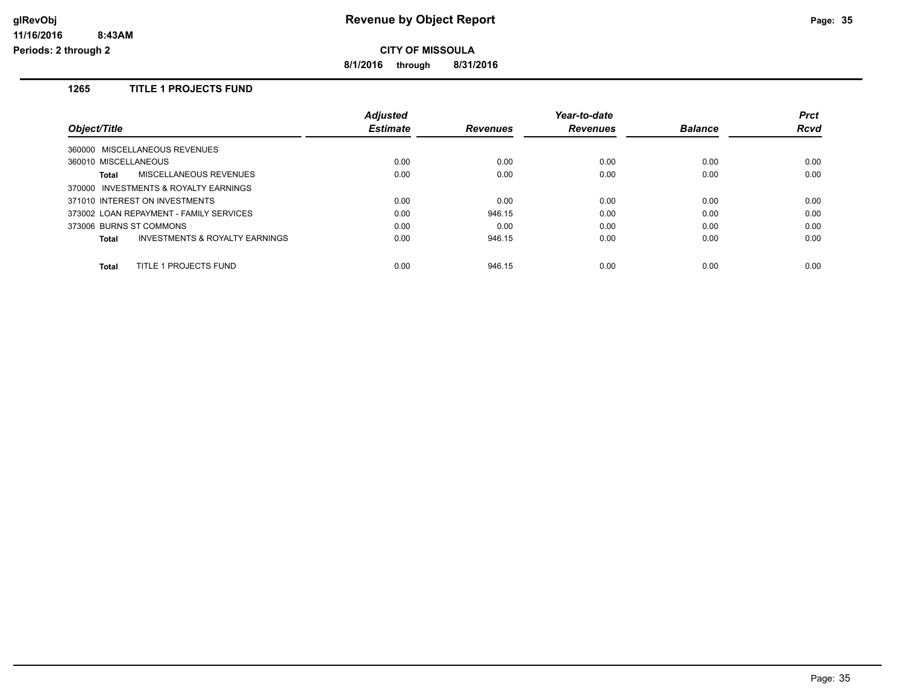**CITY OF MISSOULA**

**8/1/2016 through 8/31/2016**

#### **1265 TITLE 1 PROJECTS FUND**

|                                                    | <b>Adjusted</b> |                 | Year-to-date    |                | <b>Prct</b> |
|----------------------------------------------------|-----------------|-----------------|-----------------|----------------|-------------|
| Object/Title                                       | <b>Estimate</b> | <b>Revenues</b> | <b>Revenues</b> | <b>Balance</b> | <b>Rcvd</b> |
| 360000 MISCELLANEOUS REVENUES                      |                 |                 |                 |                |             |
| 360010 MISCELLANEOUS                               | 0.00            | 0.00            | 0.00            | 0.00           | 0.00        |
| <b>MISCELLANEOUS REVENUES</b><br>Total             | 0.00            | 0.00            | 0.00            | 0.00           | 0.00        |
| 370000 INVESTMENTS & ROYALTY EARNINGS              |                 |                 |                 |                |             |
| 371010 INTEREST ON INVESTMENTS                     | 0.00            | 0.00            | 0.00            | 0.00           | 0.00        |
| 373002 LOAN REPAYMENT - FAMILY SERVICES            | 0.00            | 946.15          | 0.00            | 0.00           | 0.00        |
| 373006 BURNS ST COMMONS                            | 0.00            | 0.00            | 0.00            | 0.00           | 0.00        |
| <b>INVESTMENTS &amp; ROYALTY EARNINGS</b><br>Total | 0.00            | 946.15          | 0.00            | 0.00           | 0.00        |
| TITLE 1 PROJECTS FUND<br>Total                     | 0.00            | 946.15          | 0.00            | 0.00           | 0.00        |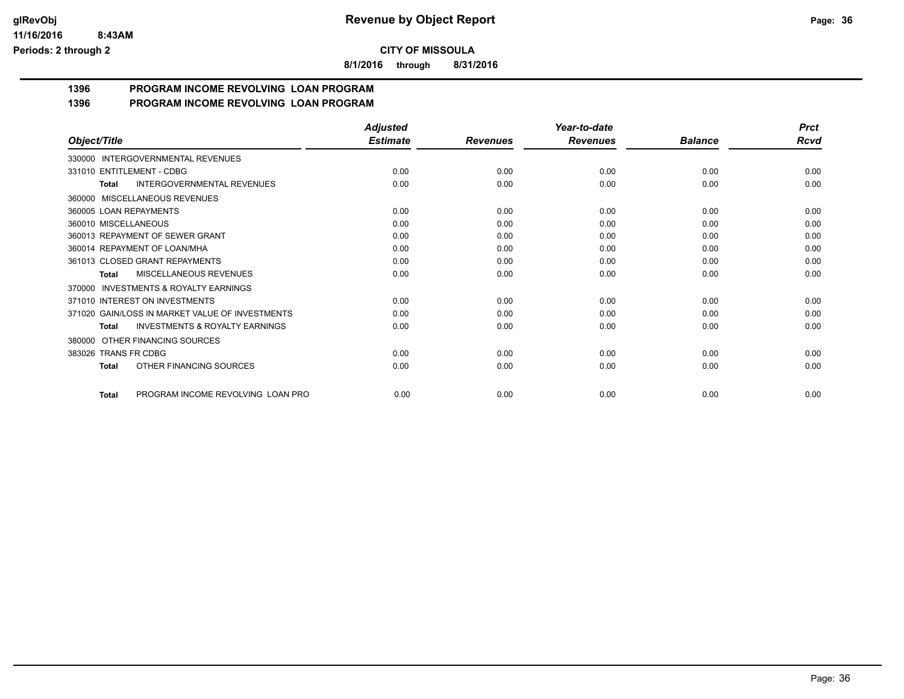**CITY OF MISSOULA**

**8/1/2016 through 8/31/2016**

# **1396 PROGRAM INCOME REVOLVING LOAN PROGRAM**

| 1396 | <b>PROGRAM INCOME REVOLVING LOAN PROGRAM</b> |  |
|------|----------------------------------------------|--|
|      |                                              |  |

|                                                           | <b>Adjusted</b> |                 | Year-to-date    |                | <b>Prct</b> |
|-----------------------------------------------------------|-----------------|-----------------|-----------------|----------------|-------------|
| Object/Title                                              | <b>Estimate</b> | <b>Revenues</b> | <b>Revenues</b> | <b>Balance</b> | <b>Rcvd</b> |
| 330000 INTERGOVERNMENTAL REVENUES                         |                 |                 |                 |                |             |
| 331010 ENTITLEMENT - CDBG                                 | 0.00            | 0.00            | 0.00            | 0.00           | 0.00        |
| <b>INTERGOVERNMENTAL REVENUES</b><br><b>Total</b>         | 0.00            | 0.00            | 0.00            | 0.00           | 0.00        |
| MISCELLANEOUS REVENUES<br>360000                          |                 |                 |                 |                |             |
| 360005 LOAN REPAYMENTS                                    | 0.00            | 0.00            | 0.00            | 0.00           | 0.00        |
| 360010 MISCELLANEOUS                                      | 0.00            | 0.00            | 0.00            | 0.00           | 0.00        |
| 360013 REPAYMENT OF SEWER GRANT                           | 0.00            | 0.00            | 0.00            | 0.00           | 0.00        |
| 360014 REPAYMENT OF LOAN/MHA                              | 0.00            | 0.00            | 0.00            | 0.00           | 0.00        |
| 361013 CLOSED GRANT REPAYMENTS                            | 0.00            | 0.00            | 0.00            | 0.00           | 0.00        |
| MISCELLANEOUS REVENUES<br><b>Total</b>                    | 0.00            | 0.00            | 0.00            | 0.00           | 0.00        |
| INVESTMENTS & ROYALTY EARNINGS<br>370000                  |                 |                 |                 |                |             |
| 371010 INTEREST ON INVESTMENTS                            | 0.00            | 0.00            | 0.00            | 0.00           | 0.00        |
| 371020 GAIN/LOSS IN MARKET VALUE OF INVESTMENTS           | 0.00            | 0.00            | 0.00            | 0.00           | 0.00        |
| <b>INVESTMENTS &amp; ROYALTY EARNINGS</b><br><b>Total</b> | 0.00            | 0.00            | 0.00            | 0.00           | 0.00        |
| OTHER FINANCING SOURCES<br>380000                         |                 |                 |                 |                |             |
| 383026 TRANS FR CDBG                                      | 0.00            | 0.00            | 0.00            | 0.00           | 0.00        |
| OTHER FINANCING SOURCES<br><b>Total</b>                   | 0.00            | 0.00            | 0.00            | 0.00           | 0.00        |
| PROGRAM INCOME REVOLVING LOAN PRO<br>Total                | 0.00            | 0.00            | 0.00            | 0.00           | 0.00        |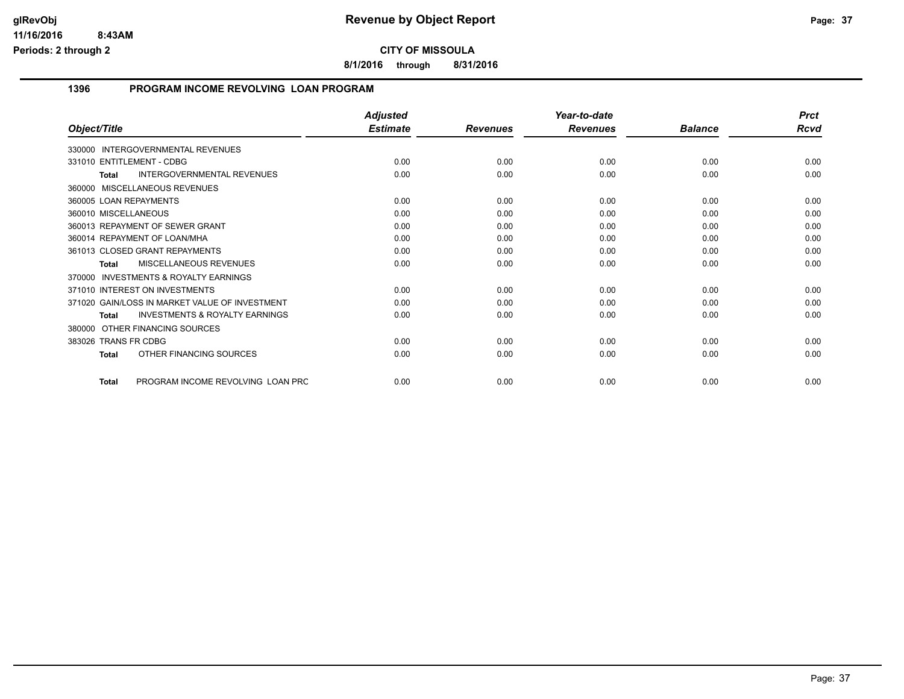**11/16/2016 8:43AM Periods: 2 through 2**

**CITY OF MISSOULA**

**8/1/2016 through 8/31/2016**

### **1396 PROGRAM INCOME REVOLVING LOAN PROGRAM**

|                                                           | <b>Adjusted</b> |                 | Year-to-date    |                | <b>Prct</b> |
|-----------------------------------------------------------|-----------------|-----------------|-----------------|----------------|-------------|
| Object/Title                                              | <b>Estimate</b> | <b>Revenues</b> | <b>Revenues</b> | <b>Balance</b> | <b>Rcvd</b> |
| 330000 INTERGOVERNMENTAL REVENUES                         |                 |                 |                 |                |             |
| 331010 ENTITLEMENT - CDBG                                 | 0.00            | 0.00            | 0.00            | 0.00           | 0.00        |
| INTERGOVERNMENTAL REVENUES<br><b>Total</b>                | 0.00            | 0.00            | 0.00            | 0.00           | 0.00        |
| 360000 MISCELLANEOUS REVENUES                             |                 |                 |                 |                |             |
| 360005 LOAN REPAYMENTS                                    | 0.00            | 0.00            | 0.00            | 0.00           | 0.00        |
| 360010 MISCELLANEOUS                                      | 0.00            | 0.00            | 0.00            | 0.00           | 0.00        |
| 360013 REPAYMENT OF SEWER GRANT                           | 0.00            | 0.00            | 0.00            | 0.00           | 0.00        |
| 360014 REPAYMENT OF LOAN/MHA                              | 0.00            | 0.00            | 0.00            | 0.00           | 0.00        |
| 361013 CLOSED GRANT REPAYMENTS                            | 0.00            | 0.00            | 0.00            | 0.00           | 0.00        |
| <b>MISCELLANEOUS REVENUES</b><br><b>Total</b>             | 0.00            | 0.00            | 0.00            | 0.00           | 0.00        |
| <b>INVESTMENTS &amp; ROYALTY EARNINGS</b><br>370000       |                 |                 |                 |                |             |
| 371010 INTEREST ON INVESTMENTS                            | 0.00            | 0.00            | 0.00            | 0.00           | 0.00        |
| 371020 GAIN/LOSS IN MARKET VALUE OF INVESTMENT            | 0.00            | 0.00            | 0.00            | 0.00           | 0.00        |
| <b>INVESTMENTS &amp; ROYALTY EARNINGS</b><br><b>Total</b> | 0.00            | 0.00            | 0.00            | 0.00           | 0.00        |
| OTHER FINANCING SOURCES<br>380000                         |                 |                 |                 |                |             |
| 383026 TRANS FR CDBG                                      | 0.00            | 0.00            | 0.00            | 0.00           | 0.00        |
| OTHER FINANCING SOURCES<br><b>Total</b>                   | 0.00            | 0.00            | 0.00            | 0.00           | 0.00        |
| PROGRAM INCOME REVOLVING LOAN PRC<br><b>Total</b>         | 0.00            | 0.00            | 0.00            | 0.00           | 0.00        |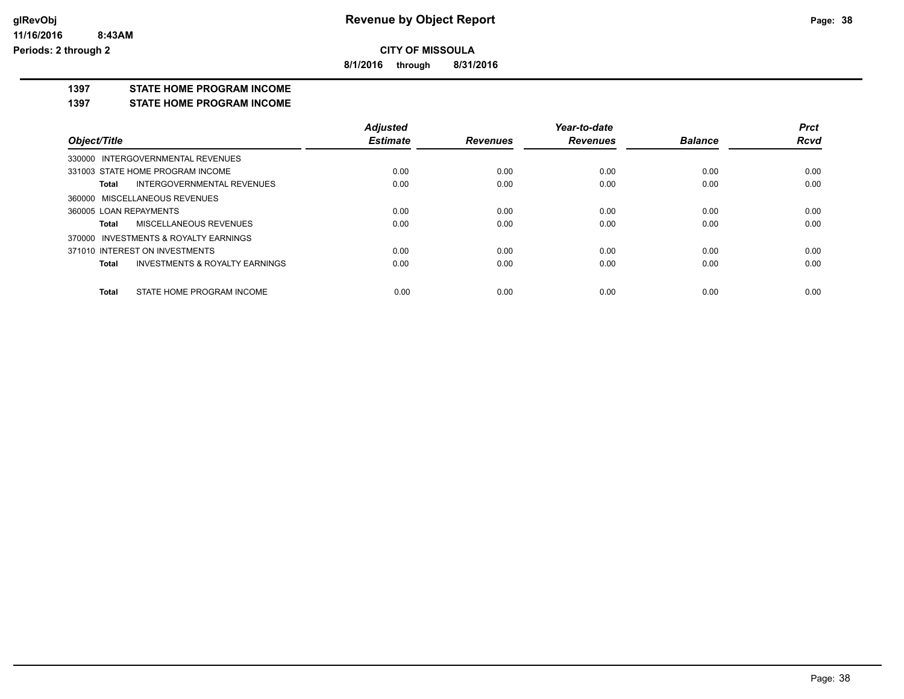**8/1/2016 through 8/31/2016**

### **1397 STATE HOME PROGRAM INCOME**

### **1397 STATE HOME PROGRAM INCOME**

|                                                    | <b>Adjusted</b> |                 | Year-to-date    |                | <b>Prct</b> |
|----------------------------------------------------|-----------------|-----------------|-----------------|----------------|-------------|
| Object/Title                                       | <b>Estimate</b> | <b>Revenues</b> | <b>Revenues</b> | <b>Balance</b> | <b>Rcvd</b> |
| 330000 INTERGOVERNMENTAL REVENUES                  |                 |                 |                 |                |             |
| 331003 STATE HOME PROGRAM INCOME                   | 0.00            | 0.00            | 0.00            | 0.00           | 0.00        |
| INTERGOVERNMENTAL REVENUES<br>Total                | 0.00            | 0.00            | 0.00            | 0.00           | 0.00        |
| 360000 MISCELLANEOUS REVENUES                      |                 |                 |                 |                |             |
| 360005 LOAN REPAYMENTS                             | 0.00            | 0.00            | 0.00            | 0.00           | 0.00        |
| MISCELLANEOUS REVENUES<br>Total                    | 0.00            | 0.00            | 0.00            | 0.00           | 0.00        |
| 370000 INVESTMENTS & ROYALTY EARNINGS              |                 |                 |                 |                |             |
| 371010 INTEREST ON INVESTMENTS                     | 0.00            | 0.00            | 0.00            | 0.00           | 0.00        |
| <b>INVESTMENTS &amp; ROYALTY EARNINGS</b><br>Total | 0.00            | 0.00            | 0.00            | 0.00           | 0.00        |
| STATE HOME PROGRAM INCOME<br><b>Total</b>          | 0.00            | 0.00            | 0.00            | 0.00           | 0.00        |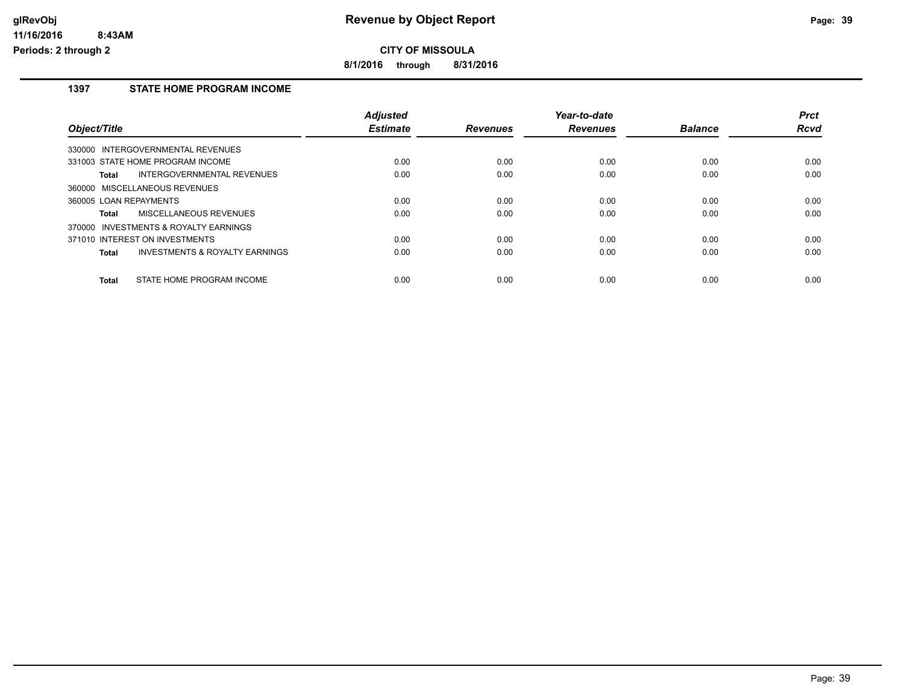**8/1/2016 through 8/31/2016**

### **1397 STATE HOME PROGRAM INCOME**

| Object/Title           |                                           | <b>Adjusted</b><br><b>Estimate</b> | <b>Revenues</b> | Year-to-date<br><b>Revenues</b> | <b>Balance</b> | <b>Prct</b><br><b>Rcvd</b> |
|------------------------|-------------------------------------------|------------------------------------|-----------------|---------------------------------|----------------|----------------------------|
| 330000                 | INTERGOVERNMENTAL REVENUES                |                                    |                 |                                 |                |                            |
|                        | 331003 STATE HOME PROGRAM INCOME          | 0.00                               | 0.00            | 0.00                            | 0.00           | 0.00                       |
| Total                  | INTERGOVERNMENTAL REVENUES                | 0.00                               | 0.00            | 0.00                            | 0.00           | 0.00                       |
| 360000                 | MISCELLANEOUS REVENUES                    |                                    |                 |                                 |                |                            |
| 360005 LOAN REPAYMENTS |                                           | 0.00                               | 0.00            | 0.00                            | 0.00           | 0.00                       |
| <b>Total</b>           | MISCELLANEOUS REVENUES                    | 0.00                               | 0.00            | 0.00                            | 0.00           | 0.00                       |
| 370000                 | INVESTMENTS & ROYALTY EARNINGS            |                                    |                 |                                 |                |                            |
|                        | 371010 INTEREST ON INVESTMENTS            | 0.00                               | 0.00            | 0.00                            | 0.00           | 0.00                       |
| <b>Total</b>           | <b>INVESTMENTS &amp; ROYALTY EARNINGS</b> | 0.00                               | 0.00            | 0.00                            | 0.00           | 0.00                       |
| <b>Total</b>           | STATE HOME PROGRAM INCOME                 | 0.00                               | 0.00            | 0.00                            | 0.00           | 0.00                       |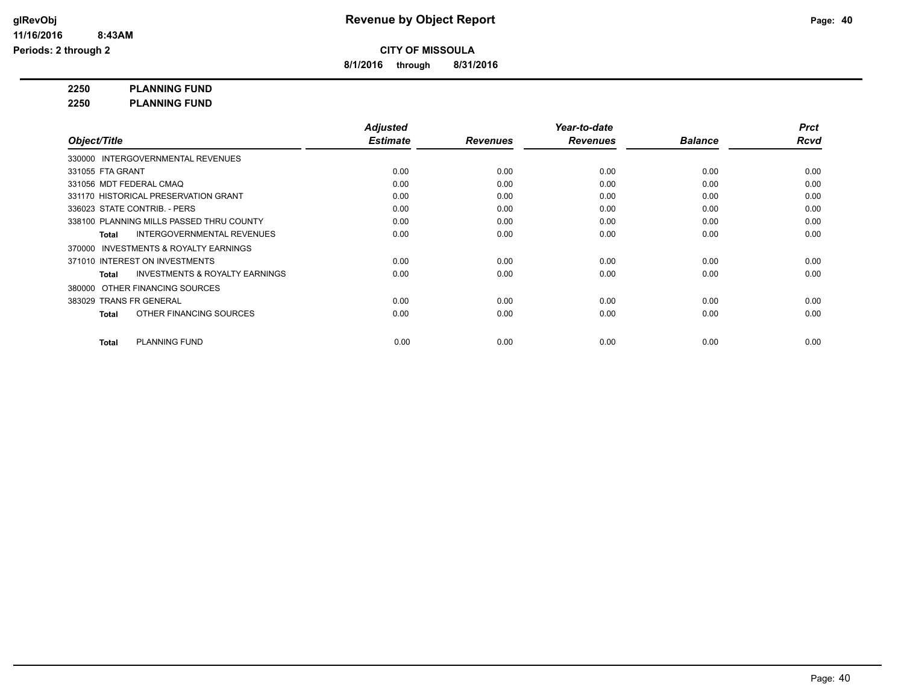**8/1/2016 through 8/31/2016**

**2250 PLANNING FUND**

**2250 PLANNING FUND**

|                                                           | <b>Adjusted</b> |                 | Year-to-date    |                | <b>Prct</b> |
|-----------------------------------------------------------|-----------------|-----------------|-----------------|----------------|-------------|
| Object/Title                                              | <b>Estimate</b> | <b>Revenues</b> | <b>Revenues</b> | <b>Balance</b> | <b>Rcvd</b> |
| 330000 INTERGOVERNMENTAL REVENUES                         |                 |                 |                 |                |             |
| 331055 FTA GRANT                                          | 0.00            | 0.00            | 0.00            | 0.00           | 0.00        |
| 331056 MDT FEDERAL CMAQ                                   | 0.00            | 0.00            | 0.00            | 0.00           | 0.00        |
| 331170 HISTORICAL PRESERVATION GRANT                      | 0.00            | 0.00            | 0.00            | 0.00           | 0.00        |
| 336023 STATE CONTRIB. - PERS                              | 0.00            | 0.00            | 0.00            | 0.00           | 0.00        |
| 338100 PLANNING MILLS PASSED THRU COUNTY                  | 0.00            | 0.00            | 0.00            | 0.00           | 0.00        |
| <b>INTERGOVERNMENTAL REVENUES</b><br><b>Total</b>         | 0.00            | 0.00            | 0.00            | 0.00           | 0.00        |
| 370000 INVESTMENTS & ROYALTY EARNINGS                     |                 |                 |                 |                |             |
| 371010 INTEREST ON INVESTMENTS                            | 0.00            | 0.00            | 0.00            | 0.00           | 0.00        |
| <b>INVESTMENTS &amp; ROYALTY EARNINGS</b><br><b>Total</b> | 0.00            | 0.00            | 0.00            | 0.00           | 0.00        |
| OTHER FINANCING SOURCES<br>380000                         |                 |                 |                 |                |             |
| 383029 TRANS FR GENERAL                                   | 0.00            | 0.00            | 0.00            | 0.00           | 0.00        |
| OTHER FINANCING SOURCES<br><b>Total</b>                   | 0.00            | 0.00            | 0.00            | 0.00           | 0.00        |
|                                                           |                 |                 |                 |                |             |
| <b>PLANNING FUND</b><br><b>Total</b>                      | 0.00            | 0.00            | 0.00            | 0.00           | 0.00        |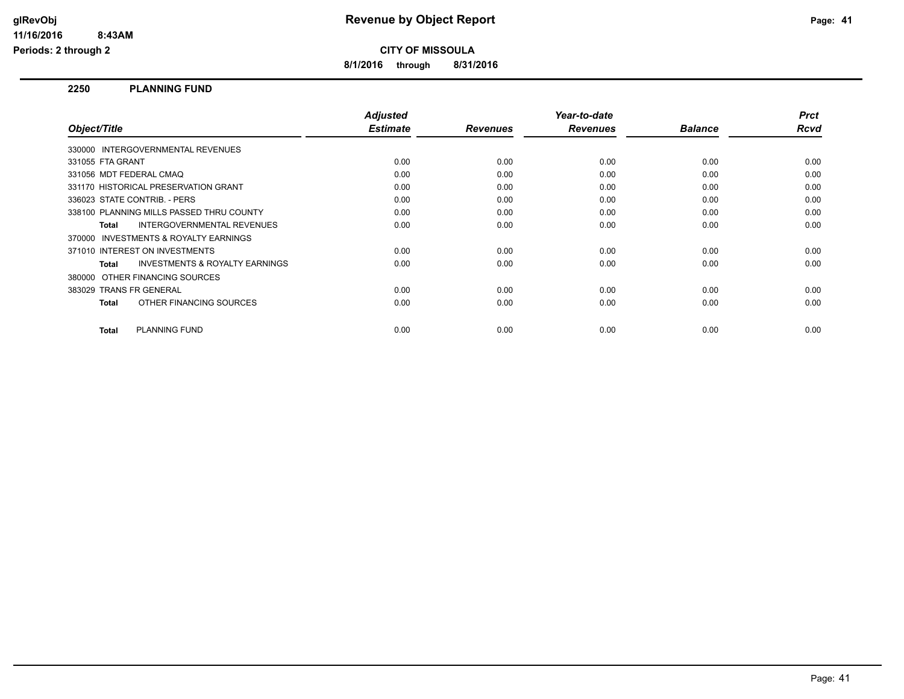**8/1/2016 through 8/31/2016**

### **2250 PLANNING FUND**

| Object/Title                                       | <b>Adjusted</b><br><b>Estimate</b> | <b>Revenues</b> | Year-to-date<br><b>Revenues</b> | <b>Balance</b> | <b>Prct</b><br>Rcvd |
|----------------------------------------------------|------------------------------------|-----------------|---------------------------------|----------------|---------------------|
| 330000 INTERGOVERNMENTAL REVENUES                  |                                    |                 |                                 |                |                     |
| 331055 FTA GRANT                                   | 0.00                               | 0.00            | 0.00                            | 0.00           | 0.00                |
| 331056 MDT FEDERAL CMAQ                            | 0.00                               | 0.00            | 0.00                            | 0.00           | 0.00                |
| 331170 HISTORICAL PRESERVATION GRANT               | 0.00                               | 0.00            | 0.00                            | 0.00           | 0.00                |
| 336023 STATE CONTRIB. - PERS                       | 0.00                               | 0.00            | 0.00                            | 0.00           | 0.00                |
| 338100 PLANNING MILLS PASSED THRU COUNTY           | 0.00                               | 0.00            | 0.00                            | 0.00           | 0.00                |
| <b>INTERGOVERNMENTAL REVENUES</b><br>Total         | 0.00                               | 0.00            | 0.00                            | 0.00           | 0.00                |
| 370000 INVESTMENTS & ROYALTY EARNINGS              |                                    |                 |                                 |                |                     |
| 371010 INTEREST ON INVESTMENTS                     | 0.00                               | 0.00            | 0.00                            | 0.00           | 0.00                |
| <b>INVESTMENTS &amp; ROYALTY EARNINGS</b><br>Total | 0.00                               | 0.00            | 0.00                            | 0.00           | 0.00                |
| 380000 OTHER FINANCING SOURCES                     |                                    |                 |                                 |                |                     |
| 383029 TRANS FR GENERAL                            | 0.00                               | 0.00            | 0.00                            | 0.00           | 0.00                |
| OTHER FINANCING SOURCES<br>Total                   | 0.00                               | 0.00            | 0.00                            | 0.00           | 0.00                |
|                                                    |                                    |                 |                                 |                |                     |
| <b>PLANNING FUND</b><br>Total                      | 0.00                               | 0.00            | 0.00                            | 0.00           | 0.00                |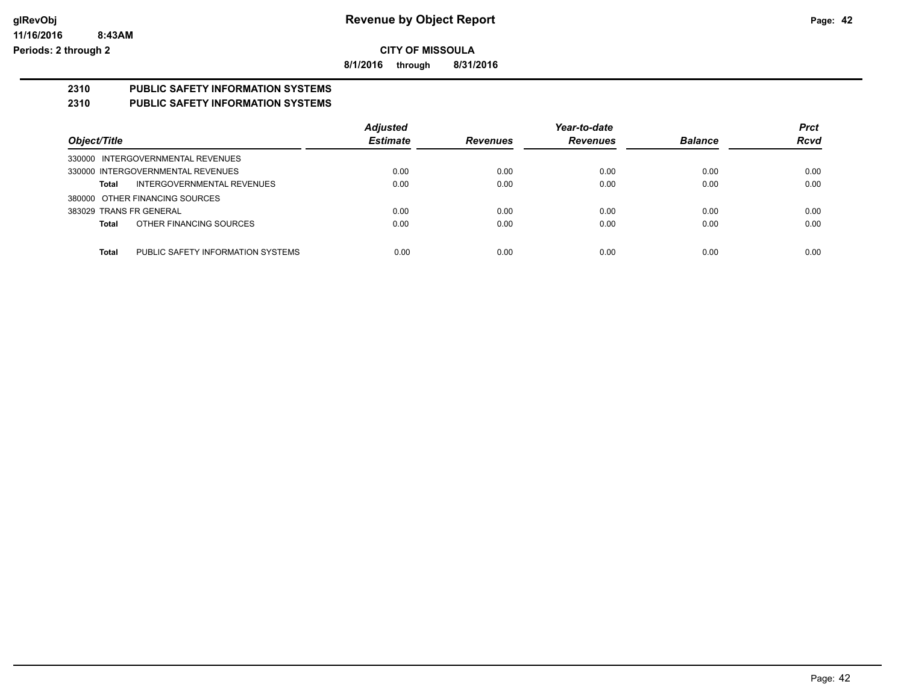**8/1/2016 through 8/31/2016**

### **2310 PUBLIC SAFETY INFORMATION SYSTEMS 2310 PUBLIC SAFETY INFORMATION SYSTEMS**

|                                            | <b>Adjusted</b> |                 | Year-to-date    |                | <b>Prct</b> |
|--------------------------------------------|-----------------|-----------------|-----------------|----------------|-------------|
| Object/Title                               | <b>Estimate</b> | <b>Revenues</b> | <b>Revenues</b> | <b>Balance</b> | <b>Rcvd</b> |
| 330000 INTERGOVERNMENTAL REVENUES          |                 |                 |                 |                |             |
| 330000 INTERGOVERNMENTAL REVENUES          | 0.00            | 0.00            | 0.00            | 0.00           | 0.00        |
| INTERGOVERNMENTAL REVENUES<br>Total        | 0.00            | 0.00            | 0.00            | 0.00           | 0.00        |
| 380000 OTHER FINANCING SOURCES             |                 |                 |                 |                |             |
| 383029 TRANS FR GENERAL                    | 0.00            | 0.00            | 0.00            | 0.00           | 0.00        |
| OTHER FINANCING SOURCES<br>Total           | 0.00            | 0.00            | 0.00            | 0.00           | 0.00        |
|                                            |                 |                 |                 |                |             |
| PUBLIC SAFETY INFORMATION SYSTEMS<br>Total | 0.00            | 0.00            | 0.00            | 0.00           | 0.00        |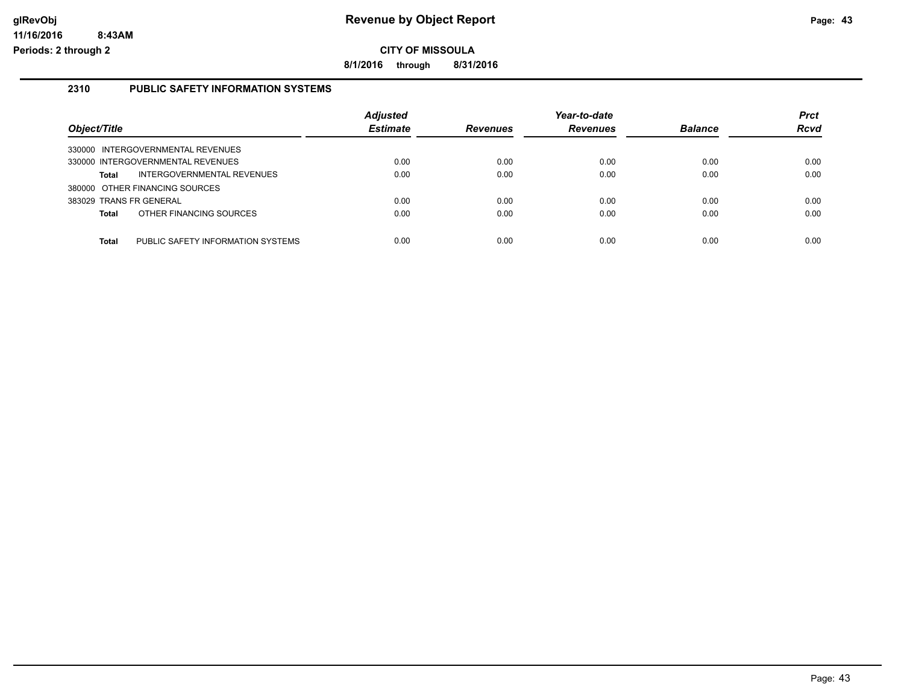**8/1/2016 through 8/31/2016**

### **2310 PUBLIC SAFETY INFORMATION SYSTEMS**

| Object/Title                                      | <b>Adjusted</b><br><b>Estimate</b> | <b>Revenues</b> | Year-to-date<br><b>Revenues</b> | <b>Balance</b> | <b>Prct</b><br><b>Rcvd</b> |
|---------------------------------------------------|------------------------------------|-----------------|---------------------------------|----------------|----------------------------|
| 330000 INTERGOVERNMENTAL REVENUES                 |                                    |                 |                                 |                |                            |
| 330000 INTERGOVERNMENTAL REVENUES                 | 0.00                               | 0.00            | 0.00                            | 0.00           | 0.00                       |
| INTERGOVERNMENTAL REVENUES<br><b>Total</b>        | 0.00                               | 0.00            | 0.00                            | 0.00           | 0.00                       |
| 380000 OTHER FINANCING SOURCES                    |                                    |                 |                                 |                |                            |
| 383029 TRANS FR GENERAL                           | 0.00                               | 0.00            | 0.00                            | 0.00           | 0.00                       |
| OTHER FINANCING SOURCES<br><b>Total</b>           | 0.00                               | 0.00            | 0.00                            | 0.00           | 0.00                       |
|                                                   |                                    |                 |                                 |                |                            |
| PUBLIC SAFETY INFORMATION SYSTEMS<br><b>Total</b> | 0.00                               | 0.00            | 0.00                            | 0.00           | 0.00                       |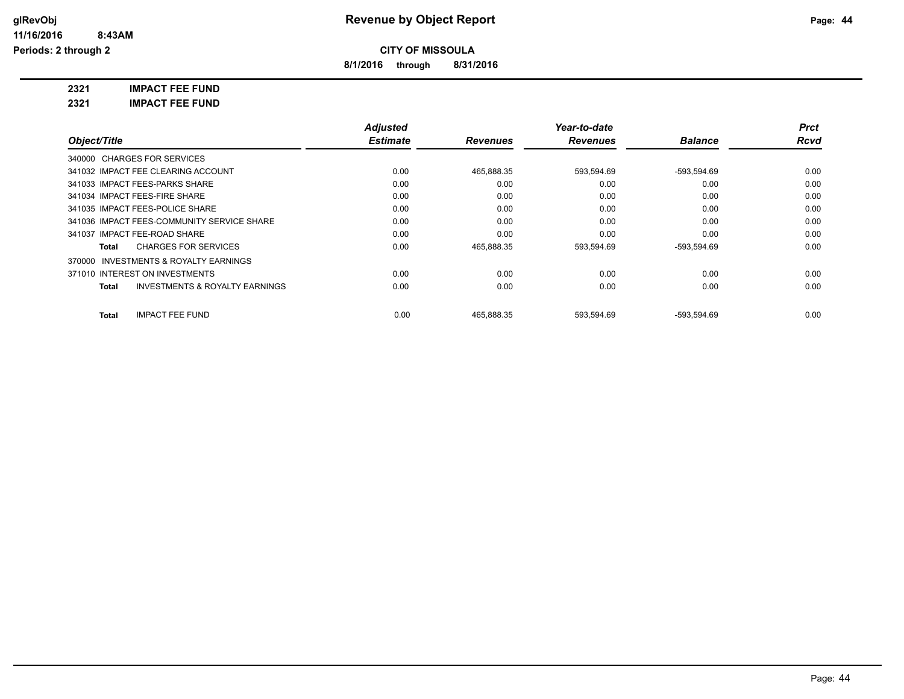**8/1/2016 through 8/31/2016**

**2321 IMPACT FEE FUND**

**2321 IMPACT FEE FUND**

|                                                           | <b>Adjusted</b> |                 | Year-to-date    |                | <b>Prct</b> |
|-----------------------------------------------------------|-----------------|-----------------|-----------------|----------------|-------------|
| Object/Title                                              | <b>Estimate</b> | <b>Revenues</b> | <b>Revenues</b> | <b>Balance</b> | Rcvd        |
| 340000 CHARGES FOR SERVICES                               |                 |                 |                 |                |             |
| 341032 IMPACT FEE CLEARING ACCOUNT                        | 0.00            | 465,888.35      | 593,594.69      | $-593.594.69$  | 0.00        |
| 341033 IMPACT FEES-PARKS SHARE                            | 0.00            | 0.00            | 0.00            | 0.00           | 0.00        |
| 341034 IMPACT FEES-FIRE SHARE                             | 0.00            | 0.00            | 0.00            | 0.00           | 0.00        |
| 341035 IMPACT FEES-POLICE SHARE                           | 0.00            | 0.00            | 0.00            | 0.00           | 0.00        |
| 341036 IMPACT FEES-COMMUNITY SERVICE SHARE                | 0.00            | 0.00            | 0.00            | 0.00           | 0.00        |
| 341037 IMPACT FEE-ROAD SHARE                              | 0.00            | 0.00            | 0.00            | 0.00           | 0.00        |
| <b>CHARGES FOR SERVICES</b><br>Total                      | 0.00            | 465,888.35      | 593,594.69      | $-593,594.69$  | 0.00        |
| 370000 INVESTMENTS & ROYALTY EARNINGS                     |                 |                 |                 |                |             |
| 371010 INTEREST ON INVESTMENTS                            | 0.00            | 0.00            | 0.00            | 0.00           | 0.00        |
| <b>INVESTMENTS &amp; ROYALTY EARNINGS</b><br><b>Total</b> | 0.00            | 0.00            | 0.00            | 0.00           | 0.00        |
| <b>IMPACT FEE FUND</b><br>Total                           | 0.00            | 465.888.35      | 593.594.69      | $-593.594.69$  | 0.00        |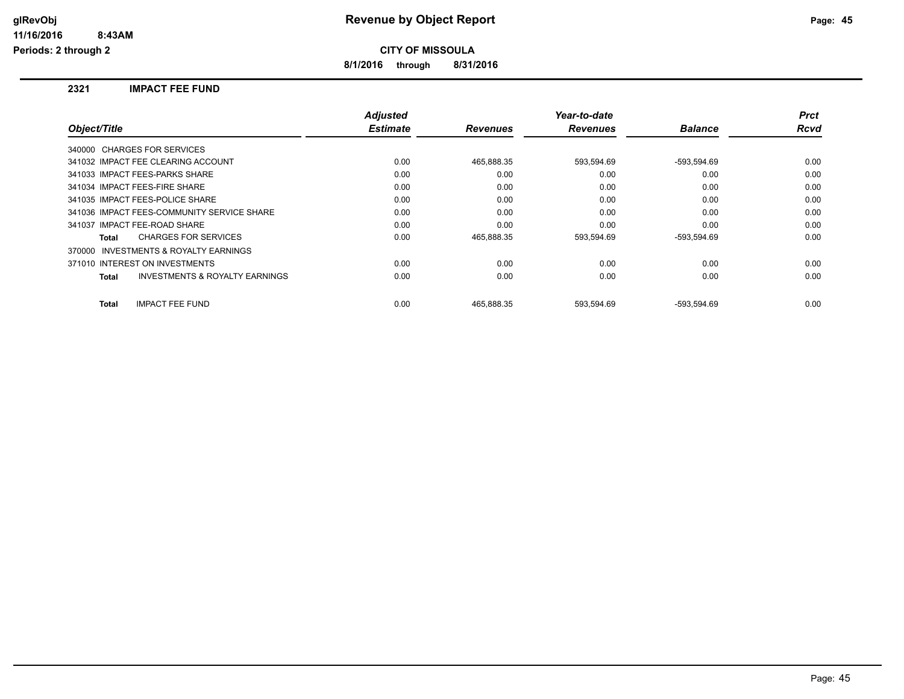**CITY OF MISSOULA**

**8/1/2016 through 8/31/2016**

### **2321 IMPACT FEE FUND**

 **8:43AM**

| Object/Title                                       | <b>Adjusted</b><br><b>Estimate</b> | <b>Revenues</b> | Year-to-date<br><b>Revenues</b> | <b>Balance</b> | <b>Prct</b><br><b>Rcvd</b> |
|----------------------------------------------------|------------------------------------|-----------------|---------------------------------|----------------|----------------------------|
|                                                    |                                    |                 |                                 |                |                            |
| 340000 CHARGES FOR SERVICES                        |                                    |                 |                                 |                |                            |
| 341032 IMPACT FEE CLEARING ACCOUNT                 | 0.00                               | 465,888.35      | 593,594.69                      | -593,594.69    | 0.00                       |
| 341033 IMPACT FEES-PARKS SHARE                     | 0.00                               | 0.00            | 0.00                            | 0.00           | 0.00                       |
| 341034 IMPACT FEES-FIRE SHARE                      | 0.00                               | 0.00            | 0.00                            | 0.00           | 0.00                       |
| 341035 IMPACT FEES-POLICE SHARE                    | 0.00                               | 0.00            | 0.00                            | 0.00           | 0.00                       |
| 341036 IMPACT FEES-COMMUNITY SERVICE SHARE         | 0.00                               | 0.00            | 0.00                            | 0.00           | 0.00                       |
| 341037 IMPACT FEE-ROAD SHARE                       | 0.00                               | 0.00            | 0.00                            | 0.00           | 0.00                       |
| <b>CHARGES FOR SERVICES</b><br>Total               | 0.00                               | 465.888.35      | 593,594.69                      | -593.594.69    | 0.00                       |
| INVESTMENTS & ROYALTY EARNINGS<br>370000           |                                    |                 |                                 |                |                            |
| 371010 INTEREST ON INVESTMENTS                     | 0.00                               | 0.00            | 0.00                            | 0.00           | 0.00                       |
| <b>INVESTMENTS &amp; ROYALTY EARNINGS</b><br>Total | 0.00                               | 0.00            | 0.00                            | 0.00           | 0.00                       |
| <b>IMPACT FEE FUND</b><br><b>Total</b>             | 0.00                               | 465.888.35      | 593,594.69                      | -593,594.69    | 0.00                       |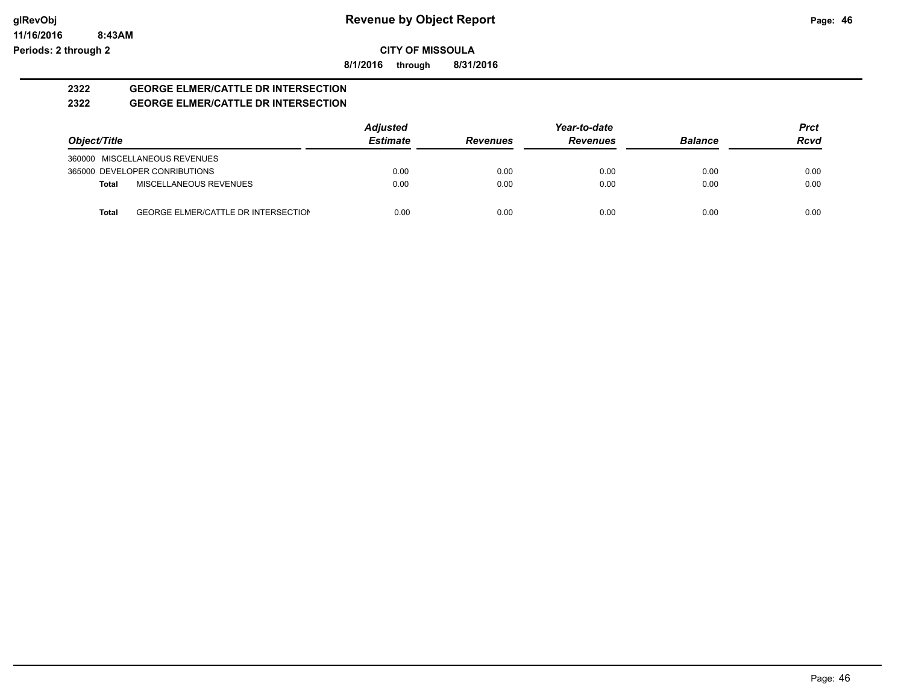# **11/16/2016**

**Periods: 2 through 2**

 **8:43AM**

**CITY OF MISSOULA**

**8/1/2016 through 8/31/2016**

#### **2322 GEORGE ELMER/CATTLE DR INTERSECTION 2322 GEORGE ELMER/CATTLE DR INTERSECTION**

| 2322 | GEORGE ELMER/CATTLE DR INTERSECTION |  |
|------|-------------------------------------|--|
|      |                                     |  |

|                                                            | <b>Adjusted</b> |                 | Year-to-date    |                | <b>Prct</b> |
|------------------------------------------------------------|-----------------|-----------------|-----------------|----------------|-------------|
| Object/Title                                               | <b>Estimate</b> | <b>Revenues</b> | <b>Revenues</b> | <b>Balance</b> | <b>Rcvd</b> |
| 360000 MISCELLANEOUS REVENUES                              |                 |                 |                 |                |             |
| 365000 DEVELOPER CONRIBUTIONS                              | 0.00            | 0.00            | 0.00            | 0.00           | 0.00        |
| <b>MISCELLANEOUS REVENUES</b><br><b>Total</b>              | 0.00            | 0.00            | 0.00            | 0.00           | 0.00        |
| <b>GEORGE ELMER/CATTLE DR INTERSECTION</b><br><b>Total</b> | 0.00            | 0.00            | 0.00            | 0.00           | 0.00        |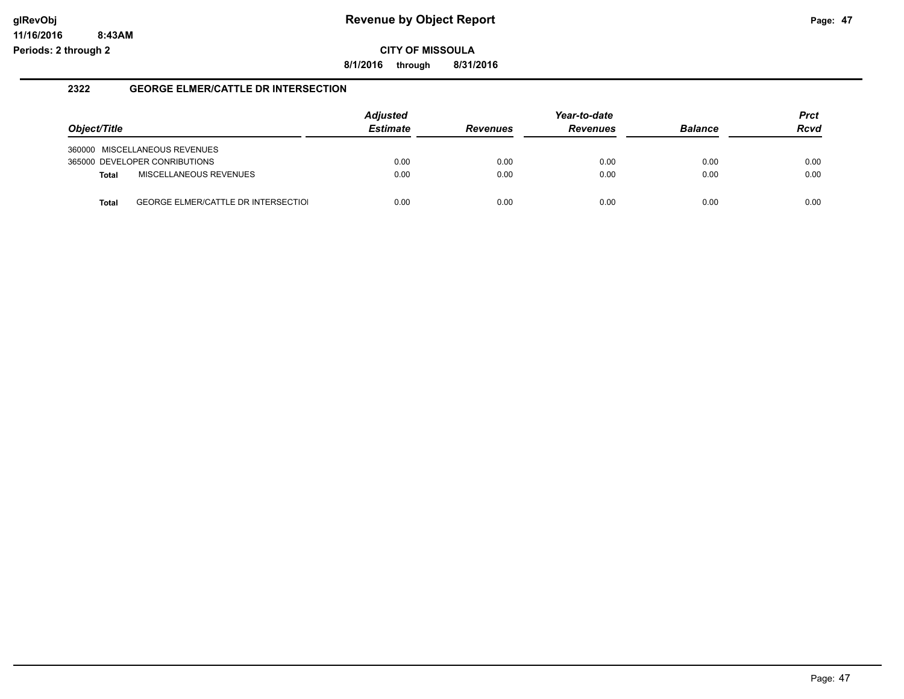**8/1/2016 through 8/31/2016**

### **2322 GEORGE ELMER/CATTLE DR INTERSECTION**

| Object/Title |                                            | <b>Adjusted</b><br><b>Estimate</b> | <b>Revenues</b> | Year-to-date<br><b>Revenues</b> | <b>Balance</b> | <b>Prct</b><br><b>Rcvd</b> |
|--------------|--------------------------------------------|------------------------------------|-----------------|---------------------------------|----------------|----------------------------|
|              | 360000 MISCELLANEOUS REVENUES              |                                    |                 |                                 |                |                            |
|              | 365000 DEVELOPER CONRIBUTIONS              | 0.00                               | 0.00            | 0.00                            | 0.00           | 0.00                       |
| <b>Total</b> | MISCELLANEOUS REVENUES                     | 0.00                               | 0.00            | 0.00                            | 0.00           | 0.00                       |
| <b>Total</b> | <b>GEORGE ELMER/CATTLE DR INTERSECTIOL</b> | 0.00                               | 0.00            | 0.00                            | 0.00           | 0.00                       |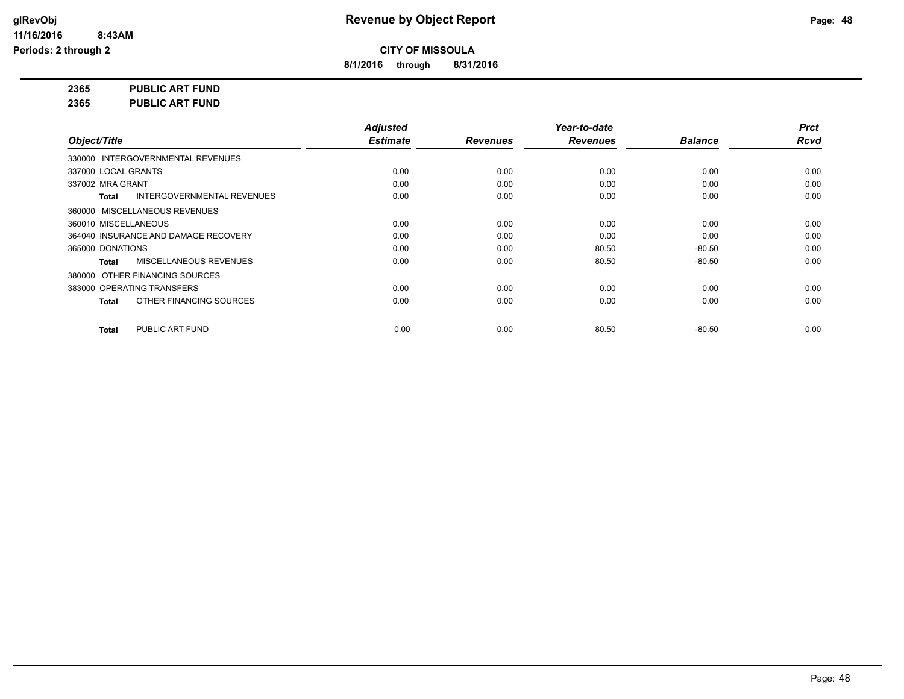**8/1/2016 through 8/31/2016**

**2365 PUBLIC ART FUND**

**2365 PUBLIC ART FUND**

|                                            | <b>Adjusted</b> |                 | Year-to-date    |                | <b>Prct</b> |
|--------------------------------------------|-----------------|-----------------|-----------------|----------------|-------------|
| Object/Title                               | <b>Estimate</b> | <b>Revenues</b> | <b>Revenues</b> | <b>Balance</b> | <b>Rcvd</b> |
| 330000 INTERGOVERNMENTAL REVENUES          |                 |                 |                 |                |             |
| 337000 LOCAL GRANTS                        | 0.00            | 0.00            | 0.00            | 0.00           | 0.00        |
| 337002 MRA GRANT                           | 0.00            | 0.00            | 0.00            | 0.00           | 0.00        |
| <b>INTERGOVERNMENTAL REVENUES</b><br>Total | 0.00            | 0.00            | 0.00            | 0.00           | 0.00        |
| 360000 MISCELLANEOUS REVENUES              |                 |                 |                 |                |             |
| 360010 MISCELLANEOUS                       | 0.00            | 0.00            | 0.00            | 0.00           | 0.00        |
| 364040 INSURANCE AND DAMAGE RECOVERY       | 0.00            | 0.00            | 0.00            | 0.00           | 0.00        |
| 365000 DONATIONS                           | 0.00            | 0.00            | 80.50           | $-80.50$       | 0.00        |
| MISCELLANEOUS REVENUES<br>Total            | 0.00            | 0.00            | 80.50           | $-80.50$       | 0.00        |
| 380000 OTHER FINANCING SOURCES             |                 |                 |                 |                |             |
| 383000 OPERATING TRANSFERS                 | 0.00            | 0.00            | 0.00            | 0.00           | 0.00        |
| OTHER FINANCING SOURCES<br>Total           | 0.00            | 0.00            | 0.00            | 0.00           | 0.00        |
| PUBLIC ART FUND<br>Total                   | 0.00            | 0.00            | 80.50           | $-80.50$       | 0.00        |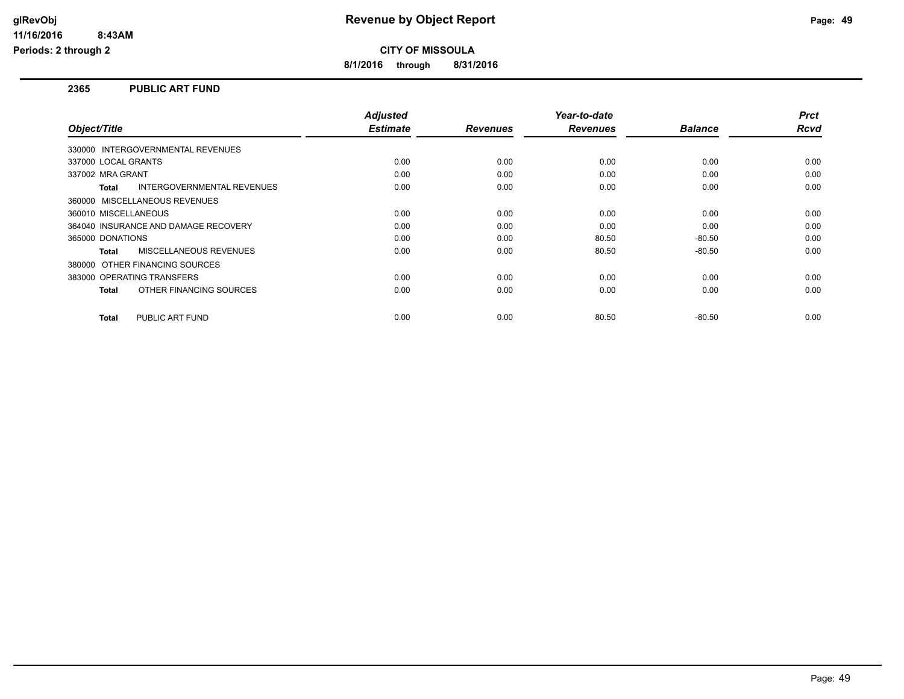**CITY OF MISSOULA**

**8/1/2016 through 8/31/2016**

### **2365 PUBLIC ART FUND**

 **8:43AM**

|                                        | <b>Adjusted</b> |                 | Year-to-date    |                | <b>Prct</b> |
|----------------------------------------|-----------------|-----------------|-----------------|----------------|-------------|
| Object/Title                           | <b>Estimate</b> | <b>Revenues</b> | <b>Revenues</b> | <b>Balance</b> | <b>Rcvd</b> |
| 330000 INTERGOVERNMENTAL REVENUES      |                 |                 |                 |                |             |
| 337000 LOCAL GRANTS                    | 0.00            | 0.00            | 0.00            | 0.00           | 0.00        |
| 337002 MRA GRANT                       | 0.00            | 0.00            | 0.00            | 0.00           | 0.00        |
| INTERGOVERNMENTAL REVENUES<br>Total    | 0.00            | 0.00            | 0.00            | 0.00           | 0.00        |
| 360000 MISCELLANEOUS REVENUES          |                 |                 |                 |                |             |
| 360010 MISCELLANEOUS                   | 0.00            | 0.00            | 0.00            | 0.00           | 0.00        |
| 364040 INSURANCE AND DAMAGE RECOVERY   | 0.00            | 0.00            | 0.00            | 0.00           | 0.00        |
| 365000 DONATIONS                       | 0.00            | 0.00            | 80.50           | $-80.50$       | 0.00        |
| <b>MISCELLANEOUS REVENUES</b><br>Total | 0.00            | 0.00            | 80.50           | $-80.50$       | 0.00        |
| 380000 OTHER FINANCING SOURCES         |                 |                 |                 |                |             |
| 383000 OPERATING TRANSFERS             | 0.00            | 0.00            | 0.00            | 0.00           | 0.00        |
| OTHER FINANCING SOURCES<br>Total       | 0.00            | 0.00            | 0.00            | 0.00           | 0.00        |
|                                        |                 |                 |                 |                |             |
| PUBLIC ART FUND<br>Total               | 0.00            | 0.00            | 80.50           | $-80.50$       | 0.00        |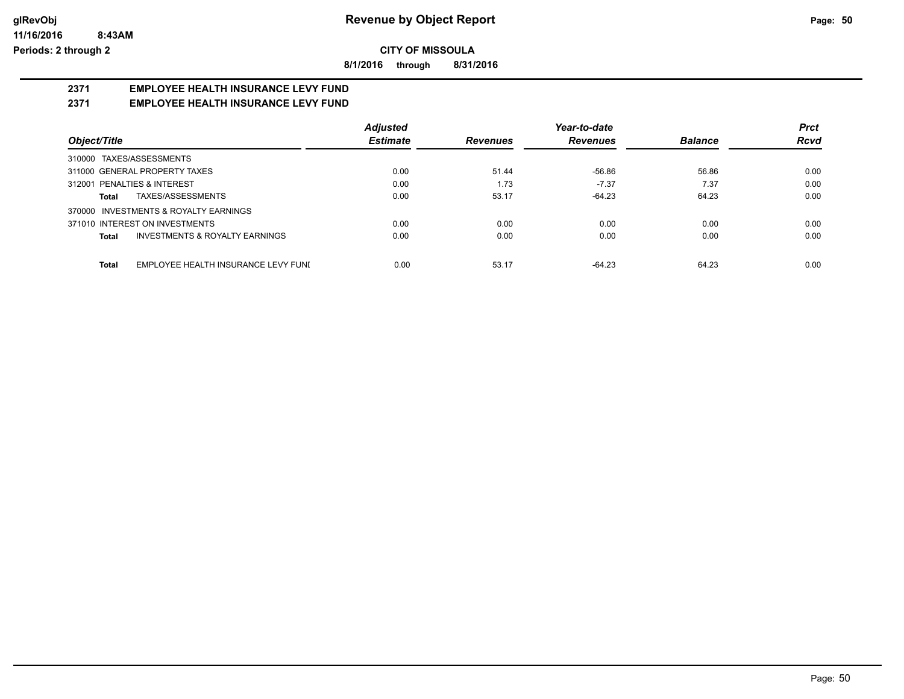**CITY OF MISSOULA**

**8/1/2016 through 8/31/2016**

## **2371 EMPLOYEE HEALTH INSURANCE LEVY FUND**

### **2371 EMPLOYEE HEALTH INSURANCE LEVY FUND**

|                                                     | <b>Adjusted</b> |                 | Year-to-date    |                | <b>Prct</b> |
|-----------------------------------------------------|-----------------|-----------------|-----------------|----------------|-------------|
| Object/Title                                        | <b>Estimate</b> | <b>Revenues</b> | <b>Revenues</b> | <b>Balance</b> | <b>Rcvd</b> |
| 310000 TAXES/ASSESSMENTS                            |                 |                 |                 |                |             |
| 311000 GENERAL PROPERTY TAXES                       | 0.00            | 51.44           | $-56.86$        | 56.86          | 0.00        |
| 312001 PENALTIES & INTEREST                         | 0.00            | 1.73            | $-7.37$         | 7.37           | 0.00        |
| TAXES/ASSESSMENTS<br>Total                          | 0.00            | 53.17           | $-64.23$        | 64.23          | 0.00        |
| 370000 INVESTMENTS & ROYALTY EARNINGS               |                 |                 |                 |                |             |
| 371010 INTEREST ON INVESTMENTS                      | 0.00            | 0.00            | 0.00            | 0.00           | 0.00        |
| <b>INVESTMENTS &amp; ROYALTY EARNINGS</b><br>Total  | 0.00            | 0.00            | 0.00            | 0.00           | 0.00        |
| EMPLOYEE HEALTH INSURANCE LEVY FUNI<br><b>Total</b> | 0.00            | 53.17           | $-64.23$        | 64.23          | 0.00        |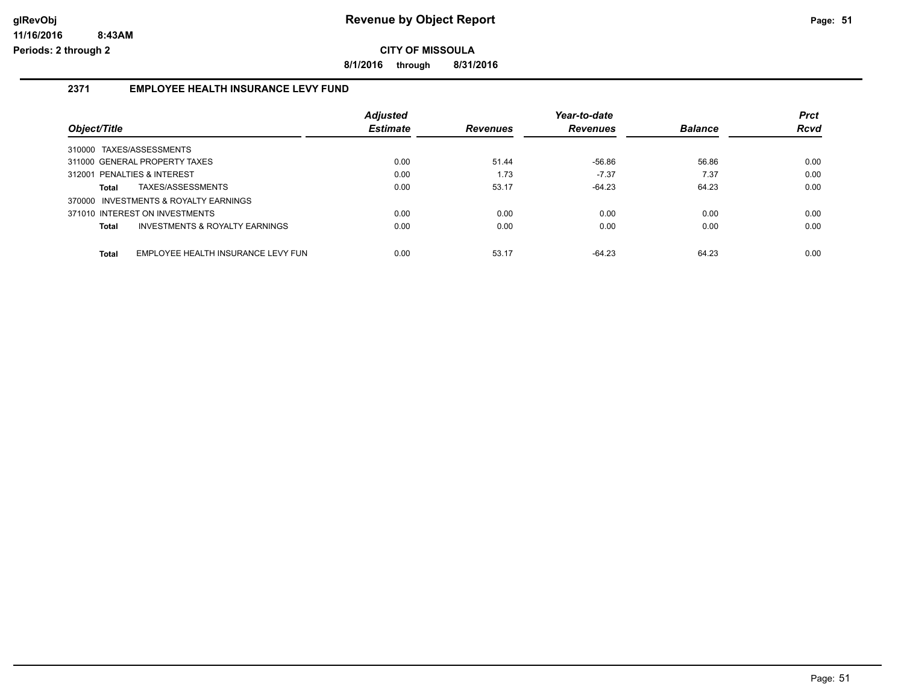**8/1/2016 through 8/31/2016**

### **2371 EMPLOYEE HEALTH INSURANCE LEVY FUND**

|                                             | <b>Adjusted</b> |                 | Year-to-date    |                | <b>Prct</b> |
|---------------------------------------------|-----------------|-----------------|-----------------|----------------|-------------|
| Object/Title                                | <b>Estimate</b> | <b>Revenues</b> | <b>Revenues</b> | <b>Balance</b> | <b>Rcvd</b> |
| 310000 TAXES/ASSESSMENTS                    |                 |                 |                 |                |             |
| 311000 GENERAL PROPERTY TAXES               | 0.00            | 51.44           | $-56.86$        | 56.86          | 0.00        |
| 312001 PENALTIES & INTEREST                 | 0.00            | 1.73            | $-7.37$         | 7.37           | 0.00        |
| TAXES/ASSESSMENTS<br>Total                  | 0.00            | 53.17           | $-64.23$        | 64.23          | 0.00        |
| 370000 INVESTMENTS & ROYALTY EARNINGS       |                 |                 |                 |                |             |
| 371010 INTEREST ON INVESTMENTS              | 0.00            | 0.00            | 0.00            | 0.00           | 0.00        |
| INVESTMENTS & ROYALTY EARNINGS<br>Total     | 0.00            | 0.00            | 0.00            | 0.00           | 0.00        |
|                                             |                 |                 |                 |                |             |
| Total<br>EMPLOYEE HEALTH INSURANCE LEVY FUN | 0.00            | 53.17           | $-64.23$        | 64.23          | 0.00        |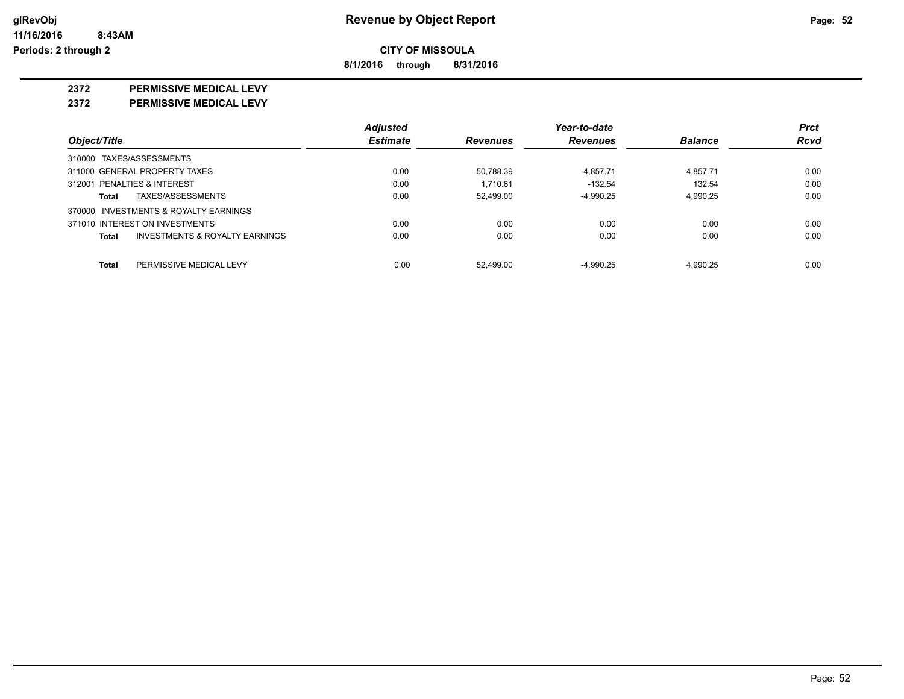**8/1/2016 through 8/31/2016**

**2372 PERMISSIVE MEDICAL LEVY**

**2372 PERMISSIVE MEDICAL LEVY**

|                                                    | <b>Adjusted</b> |                 | Year-to-date    |                | <b>Prct</b> |
|----------------------------------------------------|-----------------|-----------------|-----------------|----------------|-------------|
| Object/Title                                       | <b>Estimate</b> | <b>Revenues</b> | <b>Revenues</b> | <b>Balance</b> | Rcvd        |
| 310000 TAXES/ASSESSMENTS                           |                 |                 |                 |                |             |
| 311000 GENERAL PROPERTY TAXES                      | 0.00            | 50,788.39       | $-4,857.71$     | 4.857.71       | 0.00        |
| 312001 PENALTIES & INTEREST                        | 0.00            | 1.710.61        | $-132.54$       | 132.54         | 0.00        |
| TAXES/ASSESSMENTS<br>Total                         | 0.00            | 52.499.00       | $-4.990.25$     | 4.990.25       | 0.00        |
| 370000 INVESTMENTS & ROYALTY EARNINGS              |                 |                 |                 |                |             |
| 371010 INTEREST ON INVESTMENTS                     | 0.00            | 0.00            | 0.00            | 0.00           | 0.00        |
| <b>INVESTMENTS &amp; ROYALTY EARNINGS</b><br>Total | 0.00            | 0.00            | 0.00            | 0.00           | 0.00        |
| PERMISSIVE MEDICAL LEVY<br>Total                   | 0.00            | 52.499.00       | $-4.990.25$     | 4.990.25       | 0.00        |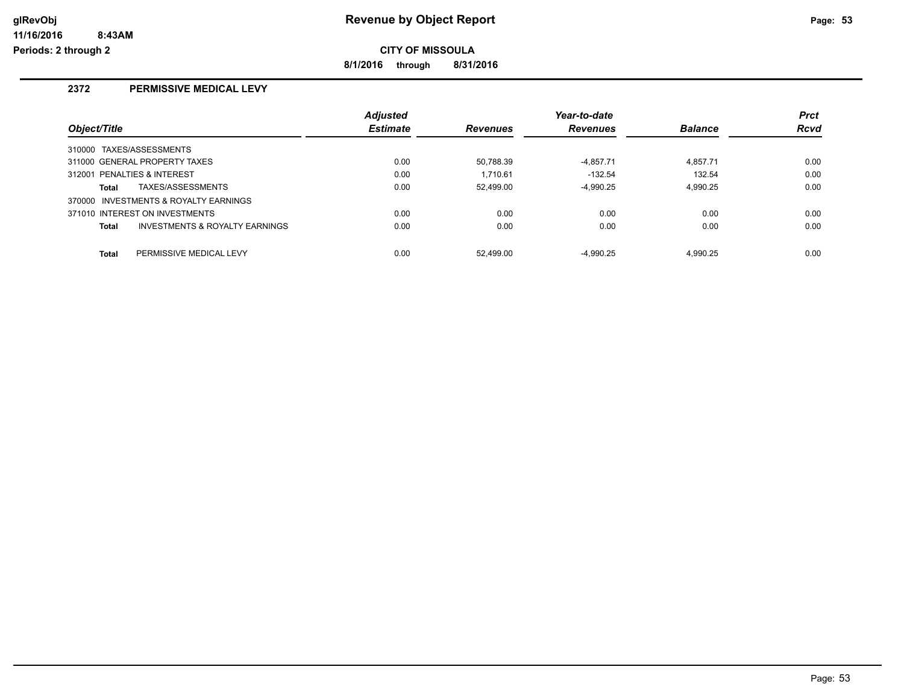**CITY OF MISSOULA**

**8/1/2016 through 8/31/2016**

### **2372 PERMISSIVE MEDICAL LEVY**

|                                                | <b>Adiusted</b> |                 | Year-to-date    |                | <b>Prct</b> |
|------------------------------------------------|-----------------|-----------------|-----------------|----------------|-------------|
| Object/Title                                   | <b>Estimate</b> | <b>Revenues</b> | <b>Revenues</b> | <b>Balance</b> | <b>Rcvd</b> |
| 310000 TAXES/ASSESSMENTS                       |                 |                 |                 |                |             |
| 311000 GENERAL PROPERTY TAXES                  | 0.00            | 50,788.39       | $-4.857.71$     | 4.857.71       | 0.00        |
| 312001 PENALTIES & INTEREST                    | 0.00            | 1.710.61        | $-132.54$       | 132.54         | 0.00        |
| TAXES/ASSESSMENTS<br><b>Total</b>              | 0.00            | 52.499.00       | $-4,990.25$     | 4.990.25       | 0.00        |
| 370000 INVESTMENTS & ROYALTY EARNINGS          |                 |                 |                 |                |             |
| 371010 INTEREST ON INVESTMENTS                 | 0.00            | 0.00            | 0.00            | 0.00           | 0.00        |
| INVESTMENTS & ROYALTY EARNINGS<br><b>Total</b> | 0.00            | 0.00            | 0.00            | 0.00           | 0.00        |
| <b>Total</b><br>PERMISSIVE MEDICAL LEVY        | 0.00            | 52.499.00       | $-4.990.25$     | 4.990.25       | 0.00        |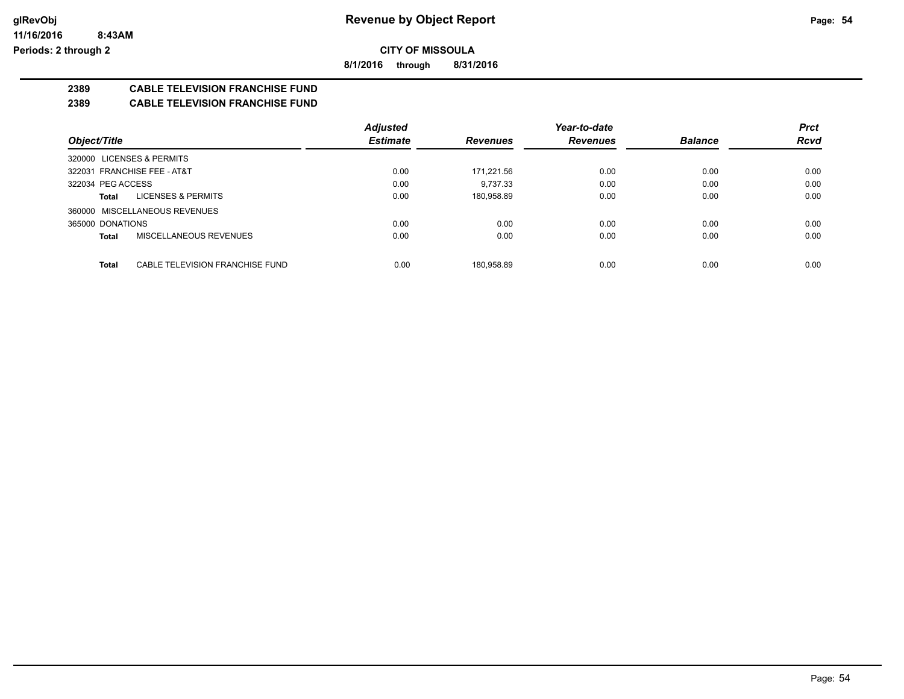**CITY OF MISSOULA**

**8/1/2016 through 8/31/2016**

# **2389 CABLE TELEVISION FRANCHISE FUND**

### **2389 CABLE TELEVISION FRANCHISE FUND**

|                           |                                 | <b>Adjusted</b> |                 | Year-to-date    |                | <b>Prct</b> |
|---------------------------|---------------------------------|-----------------|-----------------|-----------------|----------------|-------------|
| Object/Title              |                                 | <b>Estimate</b> | <b>Revenues</b> | <b>Revenues</b> | <b>Balance</b> | <b>Rcvd</b> |
| 320000 LICENSES & PERMITS |                                 |                 |                 |                 |                |             |
|                           | 322031 FRANCHISE FEE - AT&T     | 0.00            | 171.221.56      | 0.00            | 0.00           | 0.00        |
| 322034 PEG ACCESS         |                                 | 0.00            | 9.737.33        | 0.00            | 0.00           | 0.00        |
| Total                     | <b>LICENSES &amp; PERMITS</b>   | 0.00            | 180,958.89      | 0.00            | 0.00           | 0.00        |
|                           | 360000 MISCELLANEOUS REVENUES   |                 |                 |                 |                |             |
| 365000 DONATIONS          |                                 | 0.00            | 0.00            | 0.00            | 0.00           | 0.00        |
| Total                     | MISCELLANEOUS REVENUES          | 0.00            | 0.00            | 0.00            | 0.00           | 0.00        |
| Total                     | CABLE TELEVISION FRANCHISE FUND | 0.00            | 180.958.89      | 0.00            | 0.00           | 0.00        |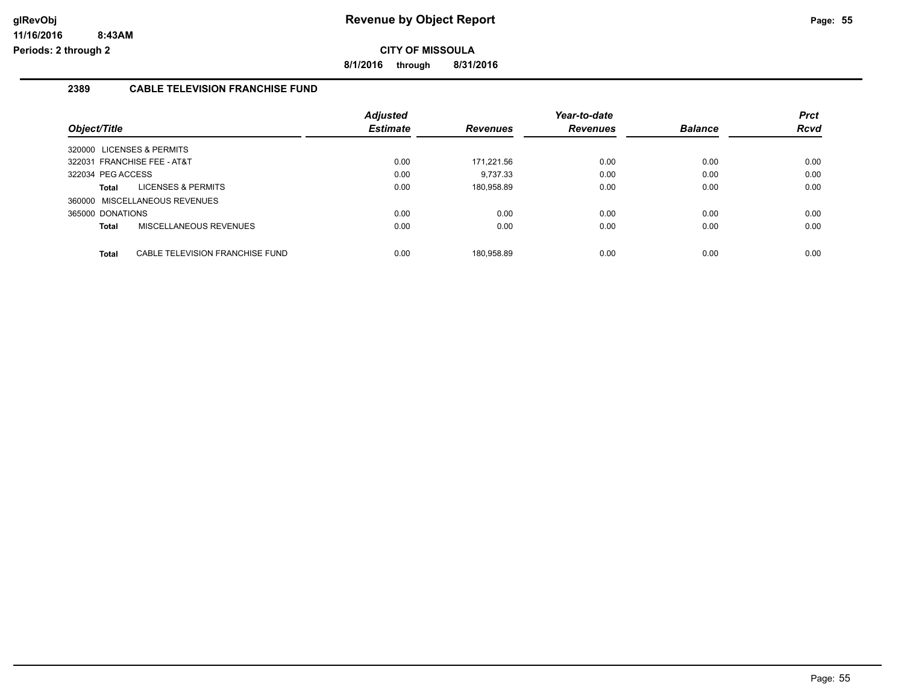**8:43AM**

**CITY OF MISSOULA**

**8/1/2016 through 8/31/2016**

### **2389 CABLE TELEVISION FRANCHISE FUND**

|                                          | <b>Adjusted</b> |                 | Year-to-date    |                | <b>Prct</b> |
|------------------------------------------|-----------------|-----------------|-----------------|----------------|-------------|
| Object/Title                             | <b>Estimate</b> | <b>Revenues</b> | <b>Revenues</b> | <b>Balance</b> | <b>Rcvd</b> |
| 320000 LICENSES & PERMITS                |                 |                 |                 |                |             |
| 322031 FRANCHISE FEE - AT&T              | 0.00            | 171.221.56      | 0.00            | 0.00           | 0.00        |
| 322034 PEG ACCESS                        | 0.00            | 9.737.33        | 0.00            | 0.00           | 0.00        |
| <b>LICENSES &amp; PERMITS</b><br>Total   | 0.00            | 180,958.89      | 0.00            | 0.00           | 0.00        |
| 360000 MISCELLANEOUS REVENUES            |                 |                 |                 |                |             |
| 365000 DONATIONS                         | 0.00            | 0.00            | 0.00            | 0.00           | 0.00        |
| <b>MISCELLANEOUS REVENUES</b><br>Total   | 0.00            | 0.00            | 0.00            | 0.00           | 0.00        |
|                                          |                 |                 |                 |                |             |
| Total<br>CABLE TELEVISION FRANCHISE FUND | 0.00            | 180.958.89      | 0.00            | 0.00           | 0.00        |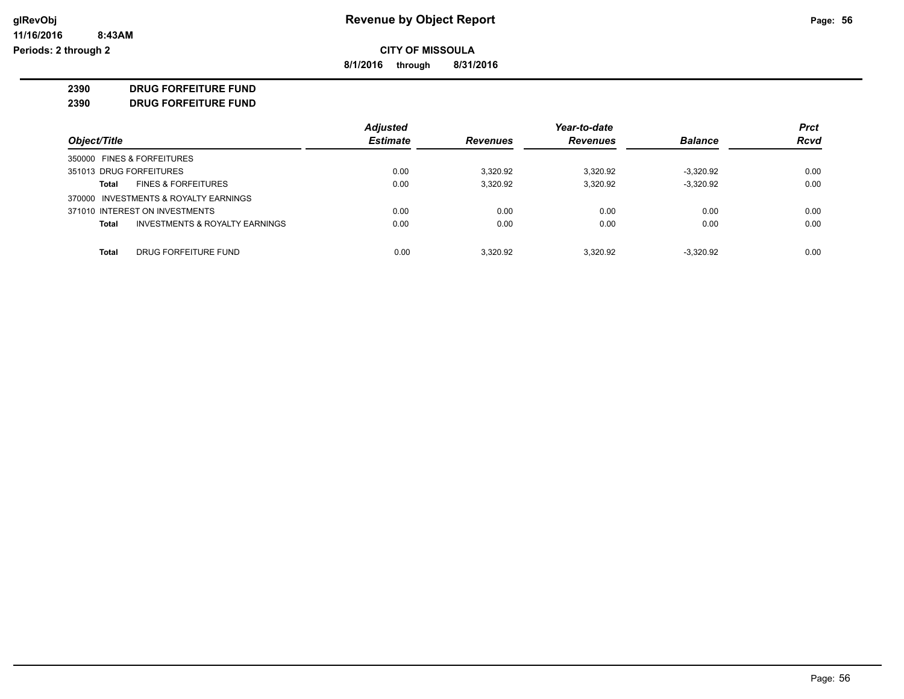**8/1/2016 through 8/31/2016**

**2390 DRUG FORFEITURE FUND**

**2390 DRUG FORFEITURE FUND**

|                                                           | <b>Adjusted</b> |                 | Year-to-date    |                | <b>Prct</b> |
|-----------------------------------------------------------|-----------------|-----------------|-----------------|----------------|-------------|
| Object/Title                                              | <b>Estimate</b> | <b>Revenues</b> | <b>Revenues</b> | <b>Balance</b> | <b>Rcvd</b> |
| 350000 FINES & FORFEITURES                                |                 |                 |                 |                |             |
| 351013 DRUG FORFEITURES                                   | 0.00            | 3.320.92        | 3.320.92        | $-3.320.92$    | 0.00        |
| <b>FINES &amp; FORFEITURES</b><br><b>Total</b>            | 0.00            | 3.320.92        | 3,320.92        | $-3.320.92$    | 0.00        |
| 370000 INVESTMENTS & ROYALTY EARNINGS                     |                 |                 |                 |                |             |
| 371010 INTEREST ON INVESTMENTS                            | 0.00            | 0.00            | 0.00            | 0.00           | 0.00        |
| <b>INVESTMENTS &amp; ROYALTY EARNINGS</b><br><b>Total</b> | 0.00            | 0.00            | 0.00            | 0.00           | 0.00        |
| DRUG FORFEITURE FUND<br><b>Total</b>                      | 0.00            | 3.320.92        | 3.320.92        | $-3.320.92$    | 0.00        |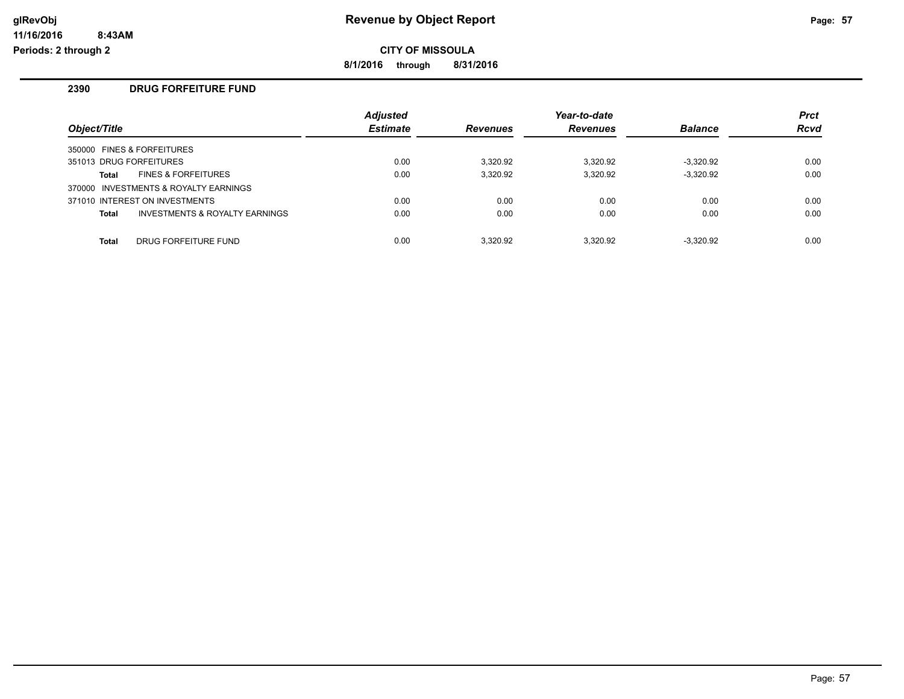**CITY OF MISSOULA**

**8/1/2016 through 8/31/2016**

### **2390 DRUG FORFEITURE FUND**

 **8:43AM**

|                                                     |                                           | <b>Adjusted</b> |                 | Year-to-date    |                | <b>Prct</b> |
|-----------------------------------------------------|-------------------------------------------|-----------------|-----------------|-----------------|----------------|-------------|
| Object/Title                                        |                                           | <b>Estimate</b> | <b>Revenues</b> | <b>Revenues</b> | <b>Balance</b> | <b>Rcvd</b> |
| 350000 FINES & FORFEITURES                          |                                           |                 |                 |                 |                |             |
| 351013 DRUG FORFEITURES                             |                                           | 0.00            | 3.320.92        | 3.320.92        | $-3.320.92$    | 0.00        |
| <b>FINES &amp; FORFEITURES</b><br>Total             |                                           | 0.00            | 3.320.92        | 3,320.92        | $-3.320.92$    | 0.00        |
| <b>INVESTMENTS &amp; ROYALTY EARNINGS</b><br>370000 |                                           |                 |                 |                 |                |             |
| 371010 INTEREST ON INVESTMENTS                      |                                           | 0.00            | 0.00            | 0.00            | 0.00           | 0.00        |
| <b>Total</b>                                        | <b>INVESTMENTS &amp; ROYALTY EARNINGS</b> | 0.00            | 0.00            | 0.00            | 0.00           | 0.00        |
| DRUG FORFEITURE FUND<br>Total                       |                                           | 0.00            | 3.320.92        | 3.320.92        | $-3.320.92$    | 0.00        |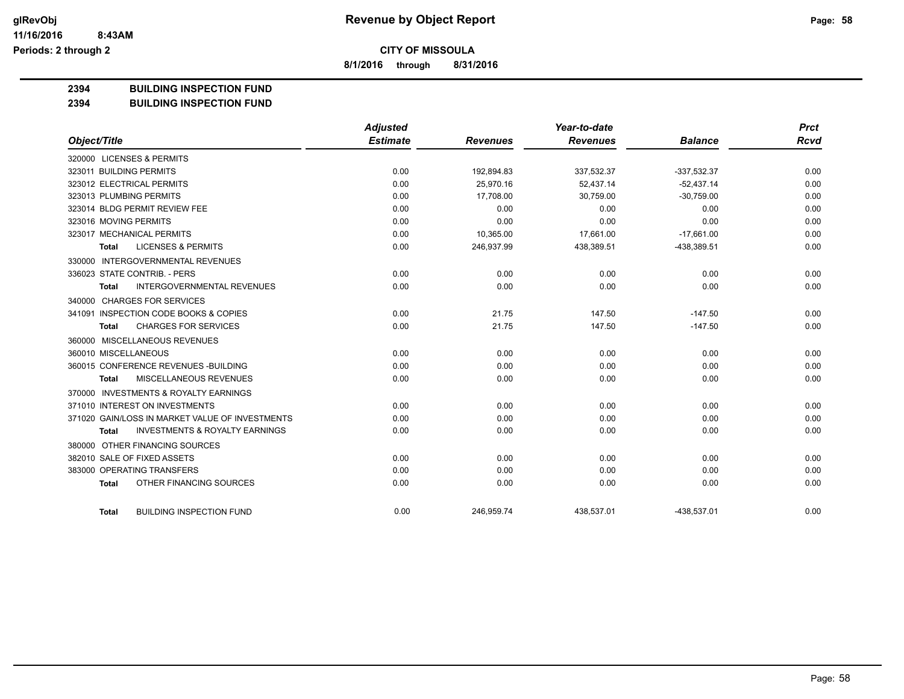**8/1/2016 through 8/31/2016**

**2394 BUILDING INSPECTION FUND**

**2394 BUILDING INSPECTION FUND**

|                                                           | <b>Adjusted</b> |                 | Year-to-date    |                | <b>Prct</b> |
|-----------------------------------------------------------|-----------------|-----------------|-----------------|----------------|-------------|
| Object/Title                                              | <b>Estimate</b> | <b>Revenues</b> | <b>Revenues</b> | <b>Balance</b> | <b>Rcvd</b> |
| 320000 LICENSES & PERMITS                                 |                 |                 |                 |                |             |
| 323011 BUILDING PERMITS                                   | 0.00            | 192,894.83      | 337,532.37      | $-337,532.37$  | 0.00        |
| 323012 ELECTRICAL PERMITS                                 | 0.00            | 25.970.16       | 52.437.14       | $-52.437.14$   | 0.00        |
| 323013 PLUMBING PERMITS                                   | 0.00            | 17,708.00       | 30,759.00       | $-30,759.00$   | 0.00        |
| 323014 BLDG PERMIT REVIEW FEE                             | 0.00            | 0.00            | 0.00            | 0.00           | 0.00        |
| 323016 MOVING PERMITS                                     | 0.00            | 0.00            | 0.00            | 0.00           | 0.00        |
| 323017 MECHANICAL PERMITS                                 | 0.00            | 10,365.00       | 17,661.00       | $-17,661.00$   | 0.00        |
| <b>LICENSES &amp; PERMITS</b><br><b>Total</b>             | 0.00            | 246,937.99      | 438,389.51      | -438,389.51    | 0.00        |
| 330000 INTERGOVERNMENTAL REVENUES                         |                 |                 |                 |                |             |
| 336023 STATE CONTRIB. - PERS                              | 0.00            | 0.00            | 0.00            | 0.00           | 0.00        |
| <b>INTERGOVERNMENTAL REVENUES</b><br><b>Total</b>         | 0.00            | 0.00            | 0.00            | 0.00           | 0.00        |
| 340000 CHARGES FOR SERVICES                               |                 |                 |                 |                |             |
| 341091 INSPECTION CODE BOOKS & COPIES                     | 0.00            | 21.75           | 147.50          | $-147.50$      | 0.00        |
| <b>CHARGES FOR SERVICES</b><br><b>Total</b>               | 0.00            | 21.75           | 147.50          | $-147.50$      | 0.00        |
| 360000 MISCELLANEOUS REVENUES                             |                 |                 |                 |                |             |
| 360010 MISCELLANEOUS                                      | 0.00            | 0.00            | 0.00            | 0.00           | 0.00        |
| 360015 CONFERENCE REVENUES - BUILDING                     | 0.00            | 0.00            | 0.00            | 0.00           | 0.00        |
| MISCELLANEOUS REVENUES<br>Total                           | 0.00            | 0.00            | 0.00            | 0.00           | 0.00        |
| 370000 INVESTMENTS & ROYALTY EARNINGS                     |                 |                 |                 |                |             |
| 371010 INTEREST ON INVESTMENTS                            | 0.00            | 0.00            | 0.00            | 0.00           | 0.00        |
| 371020 GAIN/LOSS IN MARKET VALUE OF INVESTMENTS           | 0.00            | 0.00            | 0.00            | 0.00           | 0.00        |
| <b>INVESTMENTS &amp; ROYALTY EARNINGS</b><br><b>Total</b> | 0.00            | 0.00            | 0.00            | 0.00           | 0.00        |
| 380000 OTHER FINANCING SOURCES                            |                 |                 |                 |                |             |
| 382010 SALE OF FIXED ASSETS                               | 0.00            | 0.00            | 0.00            | 0.00           | 0.00        |
| 383000 OPERATING TRANSFERS                                | 0.00            | 0.00            | 0.00            | 0.00           | 0.00        |
| OTHER FINANCING SOURCES<br><b>Total</b>                   | 0.00            | 0.00            | 0.00            | 0.00           | 0.00        |
| <b>BUILDING INSPECTION FUND</b><br><b>Total</b>           | 0.00            | 246,959.74      | 438,537.01      | -438,537.01    | 0.00        |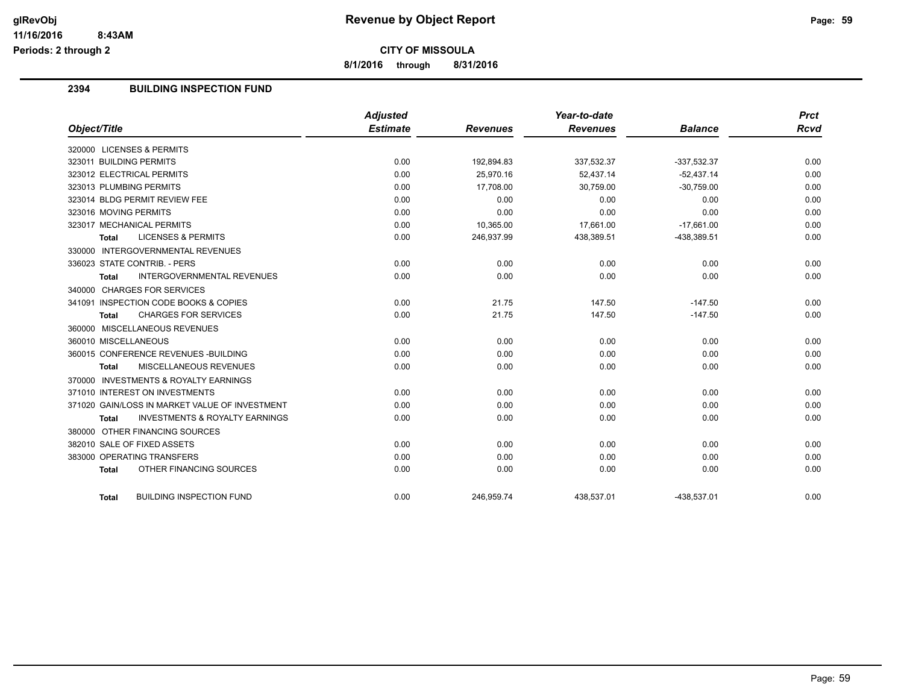**8/1/2016 through 8/31/2016**

### **2394 BUILDING INSPECTION FUND**

|                                                    | <b>Adjusted</b> |                 | Year-to-date    |                | <b>Prct</b> |
|----------------------------------------------------|-----------------|-----------------|-----------------|----------------|-------------|
| Object/Title                                       | <b>Estimate</b> | <b>Revenues</b> | <b>Revenues</b> | <b>Balance</b> | Rcvd        |
| 320000 LICENSES & PERMITS                          |                 |                 |                 |                |             |
| 323011 BUILDING PERMITS                            | 0.00            | 192,894.83      | 337,532.37      | $-337,532.37$  | 0.00        |
| 323012 ELECTRICAL PERMITS                          | 0.00            | 25,970.16       | 52,437.14       | $-52,437.14$   | 0.00        |
| 323013 PLUMBING PERMITS                            | 0.00            | 17,708.00       | 30,759.00       | $-30,759.00$   | 0.00        |
| 323014 BLDG PERMIT REVIEW FEE                      | 0.00            | 0.00            | 0.00            | 0.00           | 0.00        |
| 323016 MOVING PERMITS                              | 0.00            | 0.00            | 0.00            | 0.00           | 0.00        |
| 323017 MECHANICAL PERMITS                          | 0.00            | 10,365.00       | 17,661.00       | $-17,661.00$   | 0.00        |
| <b>LICENSES &amp; PERMITS</b><br><b>Total</b>      | 0.00            | 246,937.99      | 438,389.51      | -438,389.51    | 0.00        |
| 330000 INTERGOVERNMENTAL REVENUES                  |                 |                 |                 |                |             |
| 336023 STATE CONTRIB. - PERS                       | 0.00            | 0.00            | 0.00            | 0.00           | 0.00        |
| <b>INTERGOVERNMENTAL REVENUES</b><br><b>Total</b>  | 0.00            | 0.00            | 0.00            | 0.00           | 0.00        |
| 340000 CHARGES FOR SERVICES                        |                 |                 |                 |                |             |
| 341091 INSPECTION CODE BOOKS & COPIES              | 0.00            | 21.75           | 147.50          | $-147.50$      | 0.00        |
| <b>CHARGES FOR SERVICES</b><br><b>Total</b>        | 0.00            | 21.75           | 147.50          | $-147.50$      | 0.00        |
| 360000 MISCELLANEOUS REVENUES                      |                 |                 |                 |                |             |
| 360010 MISCELLANEOUS                               | 0.00            | 0.00            | 0.00            | 0.00           | 0.00        |
| 360015 CONFERENCE REVENUES - BUILDING              | 0.00            | 0.00            | 0.00            | 0.00           | 0.00        |
| MISCELLANEOUS REVENUES<br><b>Total</b>             | 0.00            | 0.00            | 0.00            | 0.00           | 0.00        |
| 370000 INVESTMENTS & ROYALTY EARNINGS              |                 |                 |                 |                |             |
| 371010 INTEREST ON INVESTMENTS                     | 0.00            | 0.00            | 0.00            | 0.00           | 0.00        |
| 371020 GAIN/LOSS IN MARKET VALUE OF INVESTMENT     | 0.00            | 0.00            | 0.00            | 0.00           | 0.00        |
| <b>INVESTMENTS &amp; ROYALTY EARNINGS</b><br>Total | 0.00            | 0.00            | 0.00            | 0.00           | 0.00        |
| 380000 OTHER FINANCING SOURCES                     |                 |                 |                 |                |             |
| 382010 SALE OF FIXED ASSETS                        | 0.00            | 0.00            | 0.00            | 0.00           | 0.00        |
| 383000 OPERATING TRANSFERS                         | 0.00            | 0.00            | 0.00            | 0.00           | 0.00        |
| OTHER FINANCING SOURCES<br><b>Total</b>            | 0.00            | 0.00            | 0.00            | 0.00           | 0.00        |
|                                                    |                 |                 |                 |                |             |
| <b>BUILDING INSPECTION FUND</b><br><b>Total</b>    | 0.00            | 246,959.74      | 438,537.01      | -438,537.01    | 0.00        |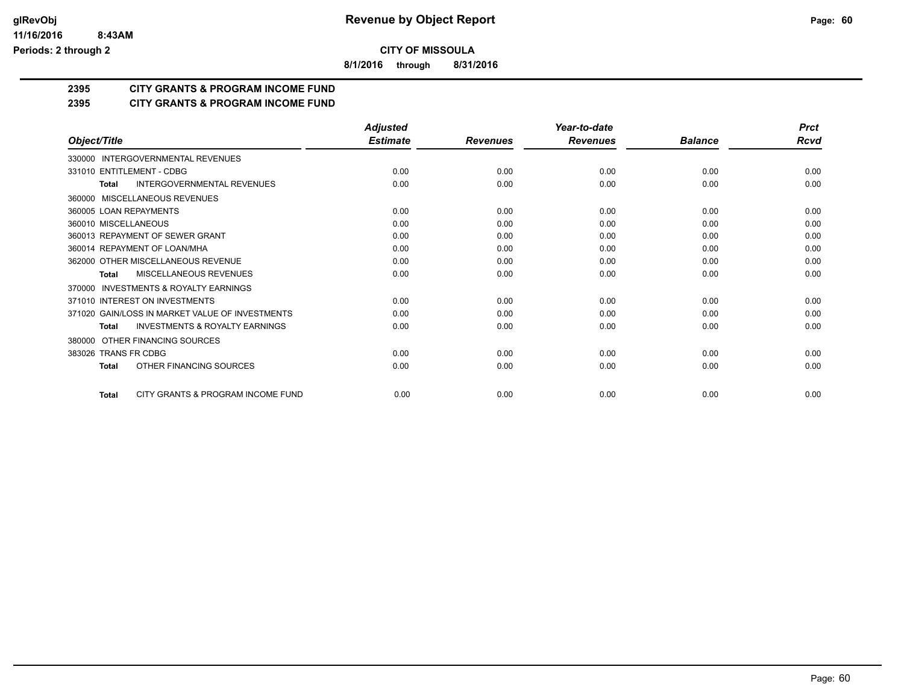**8:43AM**

**CITY OF MISSOULA**

**8/1/2016 through 8/31/2016**

## **2395 CITY GRANTS & PROGRAM INCOME FUND**

### **2395 CITY GRANTS & PROGRAM INCOME FUND**

|                                                           | <b>Adjusted</b> |                 | Year-to-date    |                | <b>Prct</b> |
|-----------------------------------------------------------|-----------------|-----------------|-----------------|----------------|-------------|
| Object/Title                                              | <b>Estimate</b> | <b>Revenues</b> | <b>Revenues</b> | <b>Balance</b> | Rcvd        |
| 330000 INTERGOVERNMENTAL REVENUES                         |                 |                 |                 |                |             |
| 331010 ENTITLEMENT - CDBG                                 | 0.00            | 0.00            | 0.00            | 0.00           | 0.00        |
| <b>INTERGOVERNMENTAL REVENUES</b><br><b>Total</b>         | 0.00            | 0.00            | 0.00            | 0.00           | 0.00        |
| 360000 MISCELLANEOUS REVENUES                             |                 |                 |                 |                |             |
| 360005 LOAN REPAYMENTS                                    | 0.00            | 0.00            | 0.00            | 0.00           | 0.00        |
| 360010 MISCELLANEOUS                                      | 0.00            | 0.00            | 0.00            | 0.00           | 0.00        |
| 360013 REPAYMENT OF SEWER GRANT                           | 0.00            | 0.00            | 0.00            | 0.00           | 0.00        |
| 360014 REPAYMENT OF LOAN/MHA                              | 0.00            | 0.00            | 0.00            | 0.00           | 0.00        |
| 362000 OTHER MISCELLANEOUS REVENUE                        | 0.00            | 0.00            | 0.00            | 0.00           | 0.00        |
| <b>MISCELLANEOUS REVENUES</b><br><b>Total</b>             | 0.00            | 0.00            | 0.00            | 0.00           | 0.00        |
| INVESTMENTS & ROYALTY EARNINGS<br>370000                  |                 |                 |                 |                |             |
| 371010 INTEREST ON INVESTMENTS                            | 0.00            | 0.00            | 0.00            | 0.00           | 0.00        |
| 371020 GAIN/LOSS IN MARKET VALUE OF INVESTMENTS           | 0.00            | 0.00            | 0.00            | 0.00           | 0.00        |
| <b>INVESTMENTS &amp; ROYALTY EARNINGS</b><br><b>Total</b> | 0.00            | 0.00            | 0.00            | 0.00           | 0.00        |
| OTHER FINANCING SOURCES<br>380000                         |                 |                 |                 |                |             |
| 383026 TRANS FR CDBG                                      | 0.00            | 0.00            | 0.00            | 0.00           | 0.00        |
| OTHER FINANCING SOURCES<br><b>Total</b>                   | 0.00            | 0.00            | 0.00            | 0.00           | 0.00        |
| CITY GRANTS & PROGRAM INCOME FUND<br>Total                | 0.00            | 0.00            | 0.00            | 0.00           | 0.00        |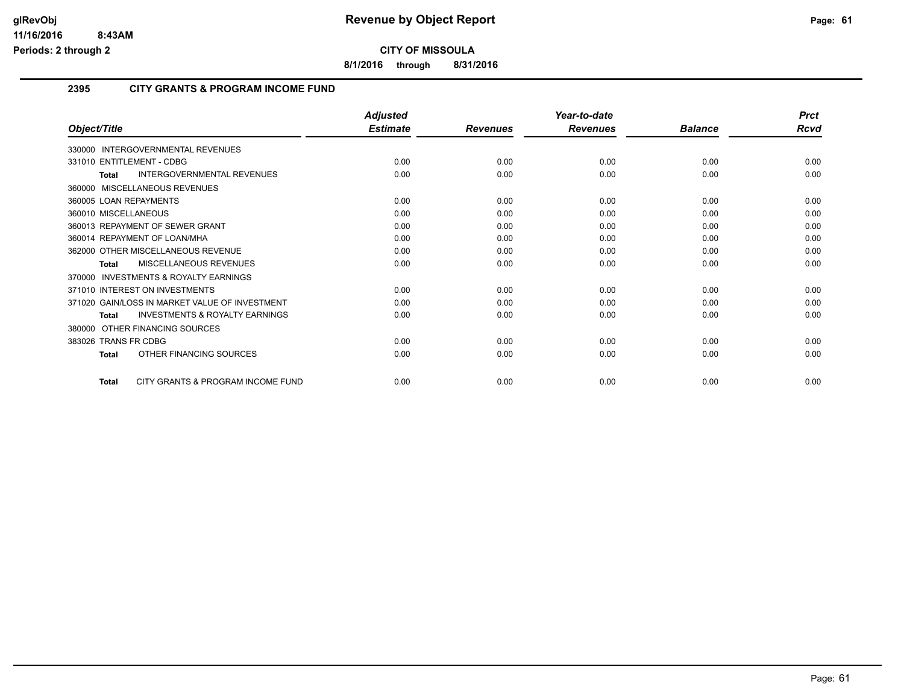**8/1/2016 through 8/31/2016**

### **2395 CITY GRANTS & PROGRAM INCOME FUND**

|                                                    | <b>Adjusted</b> |                 | Year-to-date    |                | <b>Prct</b> |
|----------------------------------------------------|-----------------|-----------------|-----------------|----------------|-------------|
| Object/Title                                       | <b>Estimate</b> | <b>Revenues</b> | <b>Revenues</b> | <b>Balance</b> | Rcvd        |
| 330000 INTERGOVERNMENTAL REVENUES                  |                 |                 |                 |                |             |
| 331010 ENTITLEMENT - CDBG                          | 0.00            | 0.00            | 0.00            | 0.00           | 0.00        |
| INTERGOVERNMENTAL REVENUES<br>Total                | 0.00            | 0.00            | 0.00            | 0.00           | 0.00        |
| 360000 MISCELLANEOUS REVENUES                      |                 |                 |                 |                |             |
| 360005 LOAN REPAYMENTS                             | 0.00            | 0.00            | 0.00            | 0.00           | 0.00        |
| 360010 MISCELLANEOUS                               | 0.00            | 0.00            | 0.00            | 0.00           | 0.00        |
| 360013 REPAYMENT OF SEWER GRANT                    | 0.00            | 0.00            | 0.00            | 0.00           | 0.00        |
| 360014 REPAYMENT OF LOAN/MHA                       | 0.00            | 0.00            | 0.00            | 0.00           | 0.00        |
| 362000 OTHER MISCELLANEOUS REVENUE                 | 0.00            | 0.00            | 0.00            | 0.00           | 0.00        |
| MISCELLANEOUS REVENUES<br>Total                    | 0.00            | 0.00            | 0.00            | 0.00           | 0.00        |
| 370000 INVESTMENTS & ROYALTY EARNINGS              |                 |                 |                 |                |             |
| 371010 INTEREST ON INVESTMENTS                     | 0.00            | 0.00            | 0.00            | 0.00           | 0.00        |
| 371020 GAIN/LOSS IN MARKET VALUE OF INVESTMENT     | 0.00            | 0.00            | 0.00            | 0.00           | 0.00        |
| <b>INVESTMENTS &amp; ROYALTY EARNINGS</b><br>Total | 0.00            | 0.00            | 0.00            | 0.00           | 0.00        |
| 380000 OTHER FINANCING SOURCES                     |                 |                 |                 |                |             |
| 383026 TRANS FR CDBG                               | 0.00            | 0.00            | 0.00            | 0.00           | 0.00        |
| OTHER FINANCING SOURCES<br>Total                   | 0.00            | 0.00            | 0.00            | 0.00           | 0.00        |
| CITY GRANTS & PROGRAM INCOME FUND<br><b>Total</b>  | 0.00            | 0.00            | 0.00            | 0.00           | 0.00        |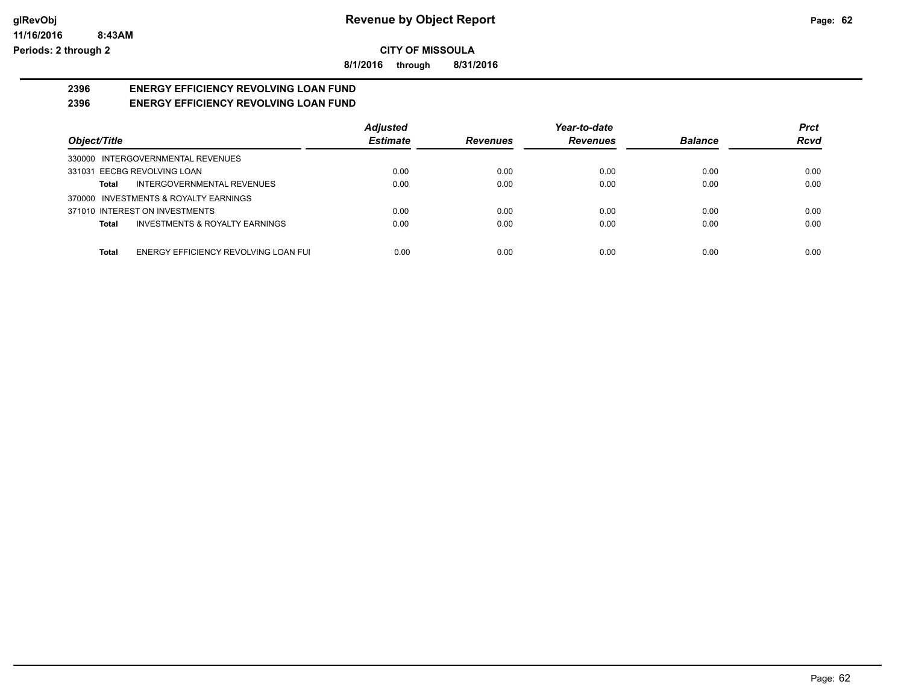**8/1/2016 through 8/31/2016**

### **2396 ENERGY EFFICIENCY REVOLVING LOAN FUND 2396 ENERGY EFFICIENCY REVOLVING LOAN FUND**

|                                                    | <b>Adjusted</b> |                 | Year-to-date    |                | <b>Prct</b> |
|----------------------------------------------------|-----------------|-----------------|-----------------|----------------|-------------|
| Object/Title                                       | <b>Estimate</b> | <b>Revenues</b> | <b>Revenues</b> | <b>Balance</b> | Rcvd        |
| 330000 INTERGOVERNMENTAL REVENUES                  |                 |                 |                 |                |             |
| 331031 EECBG REVOLVING LOAN                        | 0.00            | 0.00            | 0.00            | 0.00           | 0.00        |
| <b>INTERGOVERNMENTAL REVENUES</b><br>Total         | 0.00            | 0.00            | 0.00            | 0.00           | 0.00        |
| 370000 INVESTMENTS & ROYALTY EARNINGS              |                 |                 |                 |                |             |
| 371010 INTEREST ON INVESTMENTS                     | 0.00            | 0.00            | 0.00            | 0.00           | 0.00        |
| <b>INVESTMENTS &amp; ROYALTY EARNINGS</b><br>Total | 0.00            | 0.00            | 0.00            | 0.00           | 0.00        |
|                                                    |                 |                 |                 |                |             |
| ENERGY EFFICIENCY REVOLVING LOAN FUI<br>Total      | 0.00            | 0.00            | 0.00            | 0.00           | 0.00        |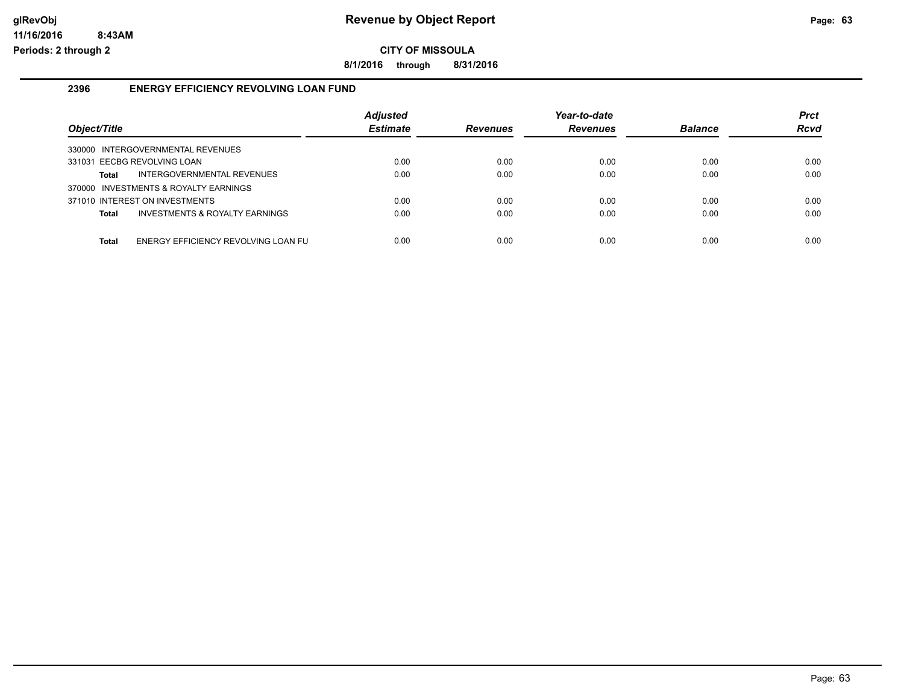**CITY OF MISSOULA**

**8/1/2016 through 8/31/2016**

### **2396 ENERGY EFFICIENCY REVOLVING LOAN FUND**

| Object/Title                                       | <b>Adjusted</b><br><b>Estimate</b> | <b>Revenues</b> | Year-to-date<br><b>Revenues</b> | <b>Balance</b> | <b>Prct</b><br><b>Rcvd</b> |
|----------------------------------------------------|------------------------------------|-----------------|---------------------------------|----------------|----------------------------|
| 330000 INTERGOVERNMENTAL REVENUES                  |                                    |                 |                                 |                |                            |
| 331031 EECBG REVOLVING LOAN                        | 0.00                               | 0.00            | 0.00                            | 0.00           | 0.00                       |
| INTERGOVERNMENTAL REVENUES<br>Total                | 0.00                               | 0.00            | 0.00                            | 0.00           | 0.00                       |
| 370000 INVESTMENTS & ROYALTY EARNINGS              |                                    |                 |                                 |                |                            |
| 371010 INTEREST ON INVESTMENTS                     | 0.00                               | 0.00            | 0.00                            | 0.00           | 0.00                       |
| <b>INVESTMENTS &amp; ROYALTY EARNINGS</b><br>Total | 0.00                               | 0.00            | 0.00                            | 0.00           | 0.00                       |
|                                                    |                                    |                 |                                 |                |                            |
| ENERGY EFFICIENCY REVOLVING LOAN FU<br>Total       | 0.00                               | 0.00            | 0.00                            | 0.00           | 0.00                       |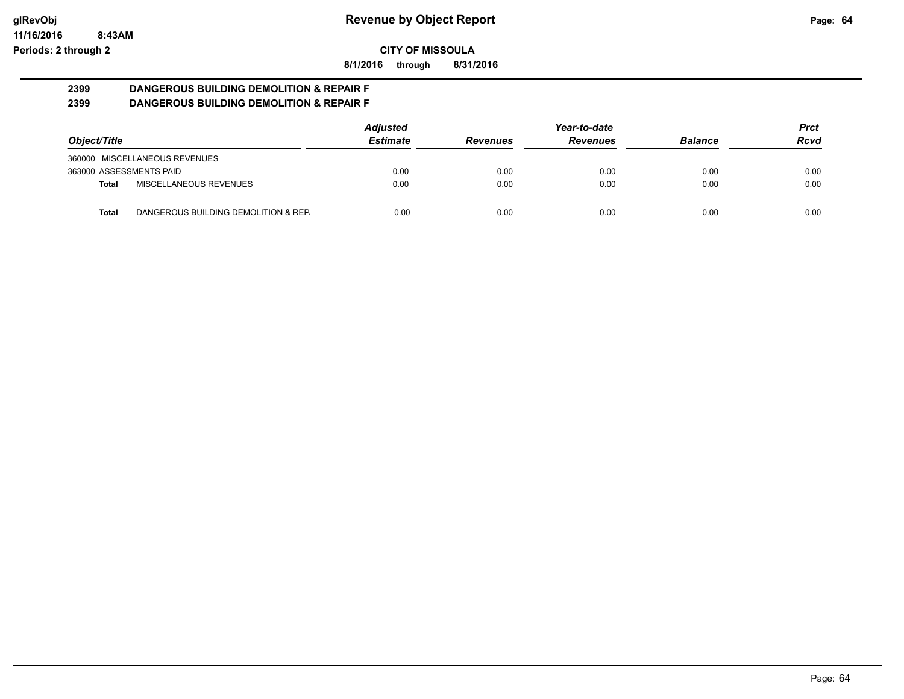**11/16/2016 8:43AM Periods: 2 through 2**

**CITY OF MISSOULA**

**8/1/2016 through 8/31/2016**

### **2399 DANGEROUS BUILDING DEMOLITION & REPAIR F 2399 DANGEROUS BUILDING DEMOLITION & REPAIR F**

|                         |                                      | <b>Adjusted</b> |                 | Year-to-date    |                | Prct |
|-------------------------|--------------------------------------|-----------------|-----------------|-----------------|----------------|------|
| Object/Title            |                                      | <b>Estimate</b> | <b>Revenues</b> | <b>Revenues</b> | <b>Balance</b> | Rcvd |
|                         | 360000 MISCELLANEOUS REVENUES        |                 |                 |                 |                |      |
| 363000 ASSESSMENTS PAID |                                      | 0.00            | 0.00            | 0.00            | 0.00           | 0.00 |
| <b>Total</b>            | MISCELLANEOUS REVENUES               | 0.00            | 0.00            | 0.00            | 0.00           | 0.00 |
| <b>Total</b>            | DANGEROUS BUILDING DEMOLITION & REP. | 0.00            | 0.00            | 0.00            | 0.00           | 0.00 |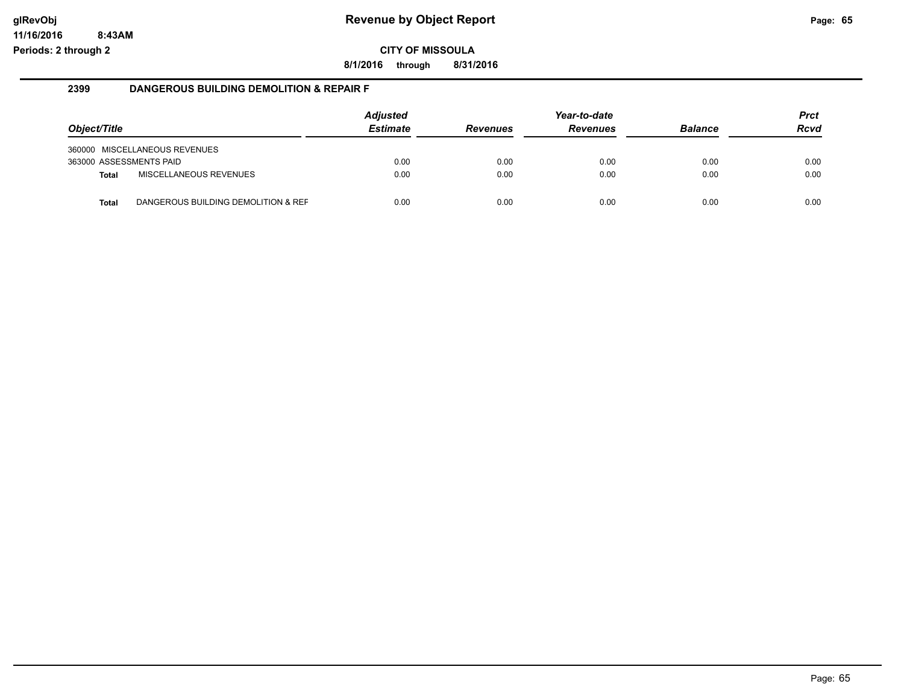**glRevObj Revenue by Object Report Page: 65** 

**11/16/2016 8:43AM Periods: 2 through 2**

#### **CITY OF MISSOULA**

**8/1/2016 through 8/31/2016**

### **2399 DANGEROUS BUILDING DEMOLITION & REPAIR F**

| Object/Title            |                                     | <b>Adjusted</b><br><b>Estimate</b> | <b>Revenues</b> | Year-to-date<br><b>Revenues</b> | <b>Balance</b> | <b>Prct</b><br><b>Rcvd</b> |
|-------------------------|-------------------------------------|------------------------------------|-----------------|---------------------------------|----------------|----------------------------|
|                         | 360000 MISCELLANEOUS REVENUES       |                                    |                 |                                 |                |                            |
| 363000 ASSESSMENTS PAID |                                     | 0.00                               | 0.00            | 0.00                            | 0.00           | 0.00                       |
| <b>Total</b>            | MISCELLANEOUS REVENUES              | 0.00                               | 0.00            | 0.00                            | 0.00           | 0.00                       |
| Total                   | DANGEROUS BUILDING DEMOLITION & REF | 0.00                               | 0.00            | 0.00                            | 0.00           | 0.00                       |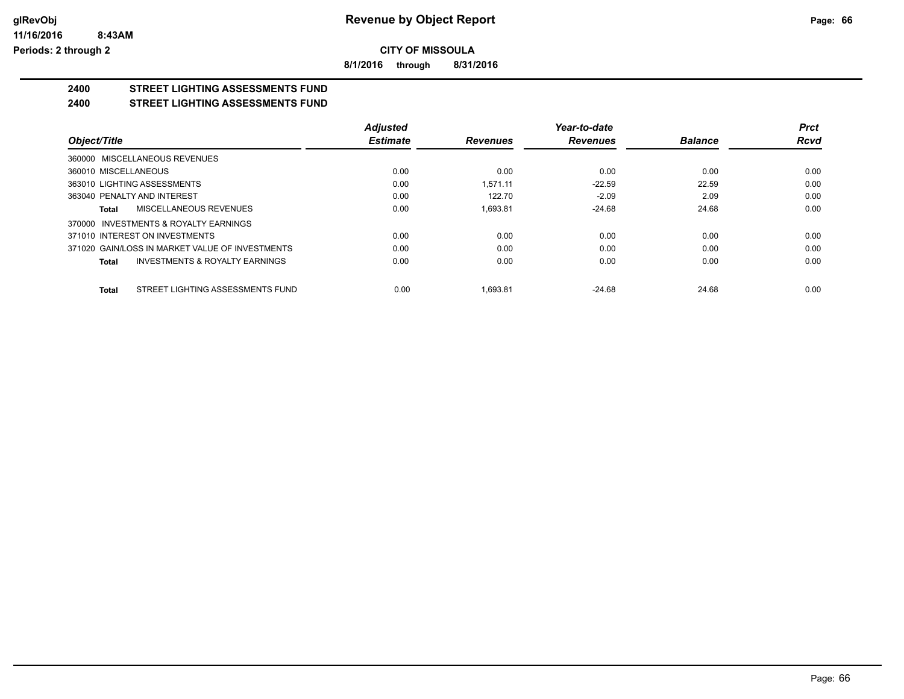**8/1/2016 through 8/31/2016**

# **2400 STREET LIGHTING ASSESSMENTS FUND**

## **2400 STREET LIGHTING ASSESSMENTS FUND**

|                                                  | <b>Adiusted</b> |                 | Year-to-date    |                | <b>Prct</b> |
|--------------------------------------------------|-----------------|-----------------|-----------------|----------------|-------------|
| Object/Title                                     | <b>Estimate</b> | <b>Revenues</b> | <b>Revenues</b> | <b>Balance</b> | <b>Rcvd</b> |
| 360000 MISCELLANEOUS REVENUES                    |                 |                 |                 |                |             |
| 360010 MISCELLANEOUS                             | 0.00            | 0.00            | 0.00            | 0.00           | 0.00        |
| 363010 LIGHTING ASSESSMENTS                      | 0.00            | 1.571.11        | $-22.59$        | 22.59          | 0.00        |
| 363040 PENALTY AND INTEREST                      | 0.00            | 122.70          | $-2.09$         | 2.09           | 0.00        |
| MISCELLANEOUS REVENUES<br>Total                  | 0.00            | 1.693.81        | $-24.68$        | 24.68          | 0.00        |
| 370000 INVESTMENTS & ROYALTY EARNINGS            |                 |                 |                 |                |             |
| 371010 INTEREST ON INVESTMENTS                   | 0.00            | 0.00            | 0.00            | 0.00           | 0.00        |
| 371020 GAIN/LOSS IN MARKET VALUE OF INVESTMENTS  | 0.00            | 0.00            | 0.00            | 0.00           | 0.00        |
| INVESTMENTS & ROYALTY EARNINGS<br>Total          | 0.00            | 0.00            | 0.00            | 0.00           | 0.00        |
| STREET LIGHTING ASSESSMENTS FUND<br><b>Total</b> | 0.00            | 1.693.81        | $-24.68$        | 24.68          | 0.00        |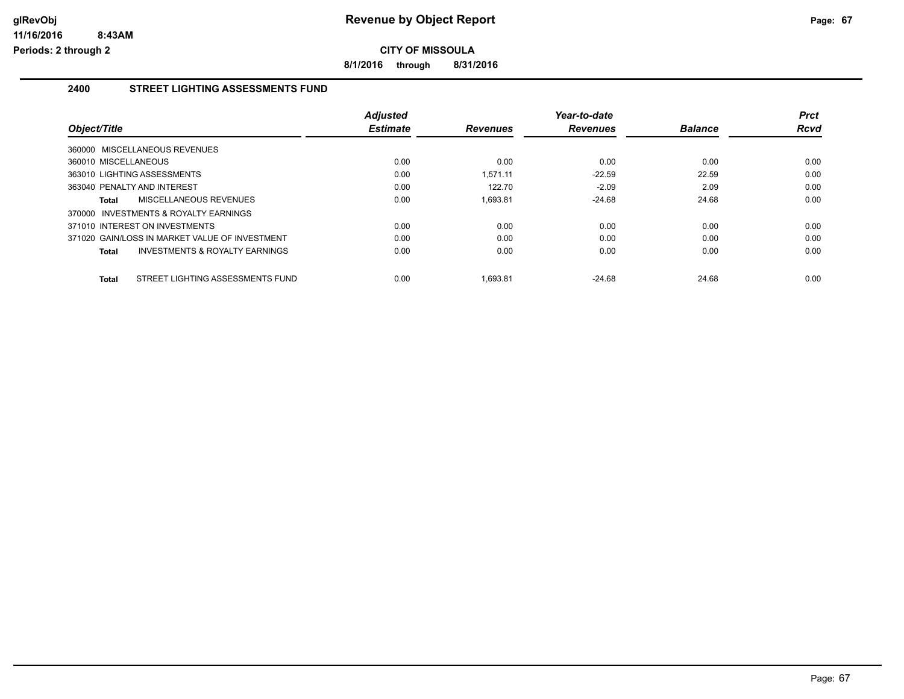**8/1/2016 through 8/31/2016**

### **2400 STREET LIGHTING ASSESSMENTS FUND**

| Object/Title                                       | <b>Adjusted</b><br><b>Estimate</b> | <b>Revenues</b> | Year-to-date<br><b>Revenues</b> | <b>Balance</b> | <b>Prct</b><br><b>Rcvd</b> |
|----------------------------------------------------|------------------------------------|-----------------|---------------------------------|----------------|----------------------------|
| 360000 MISCELLANEOUS REVENUES                      |                                    |                 |                                 |                |                            |
| 360010 MISCELLANEOUS                               | 0.00                               | 0.00            | 0.00                            | 0.00           | 0.00                       |
| 363010 LIGHTING ASSESSMENTS                        | 0.00                               | 1.571.11        | $-22.59$                        | 22.59          | 0.00                       |
| 363040 PENALTY AND INTEREST                        | 0.00                               | 122.70          | $-2.09$                         | 2.09           | 0.00                       |
| MISCELLANEOUS REVENUES<br>Total                    | 0.00                               | 1,693.81        | $-24.68$                        | 24.68          | 0.00                       |
| 370000 INVESTMENTS & ROYALTY EARNINGS              |                                    |                 |                                 |                |                            |
| 371010 INTEREST ON INVESTMENTS                     | 0.00                               | 0.00            | 0.00                            | 0.00           | 0.00                       |
| 371020 GAIN/LOSS IN MARKET VALUE OF INVESTMENT     | 0.00                               | 0.00            | 0.00                            | 0.00           | 0.00                       |
| <b>INVESTMENTS &amp; ROYALTY EARNINGS</b><br>Total | 0.00                               | 0.00            | 0.00                            | 0.00           | 0.00                       |
| STREET LIGHTING ASSESSMENTS FUND<br>Total          | 0.00                               | 1.693.81        | $-24.68$                        | 24.68          | 0.00                       |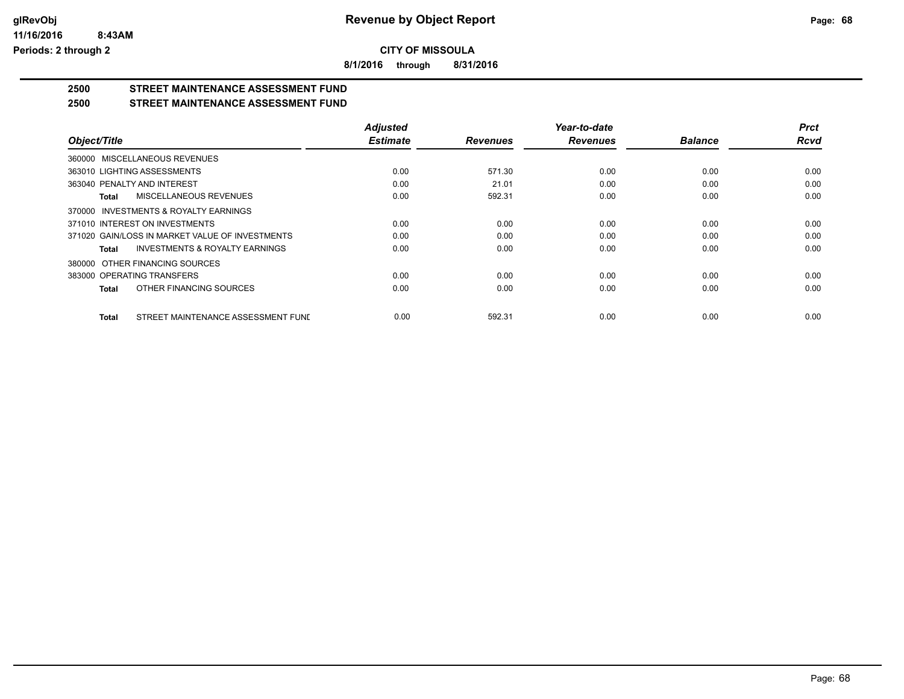**8:43AM**

**CITY OF MISSOULA**

**8/1/2016 through 8/31/2016**

## **2500 STREET MAINTENANCE ASSESSMENT FUND**

### **2500 STREET MAINTENANCE ASSESSMENT FUND**

|                                                    | <b>Adjusted</b> |                 | Year-to-date    |                | <b>Prct</b> |
|----------------------------------------------------|-----------------|-----------------|-----------------|----------------|-------------|
| Object/Title                                       | <b>Estimate</b> | <b>Revenues</b> | <b>Revenues</b> | <b>Balance</b> | <b>Rcvd</b> |
| 360000 MISCELLANEOUS REVENUES                      |                 |                 |                 |                |             |
| 363010 LIGHTING ASSESSMENTS                        | 0.00            | 571.30          | 0.00            | 0.00           | 0.00        |
| 363040 PENALTY AND INTEREST                        | 0.00            | 21.01           | 0.00            | 0.00           | 0.00        |
| <b>MISCELLANEOUS REVENUES</b><br>Total             | 0.00            | 592.31          | 0.00            | 0.00           | 0.00        |
| 370000 INVESTMENTS & ROYALTY EARNINGS              |                 |                 |                 |                |             |
| 371010 INTEREST ON INVESTMENTS                     | 0.00            | 0.00            | 0.00            | 0.00           | 0.00        |
| 371020 GAIN/LOSS IN MARKET VALUE OF INVESTMENTS    | 0.00            | 0.00            | 0.00            | 0.00           | 0.00        |
| <b>INVESTMENTS &amp; ROYALTY EARNINGS</b><br>Total | 0.00            | 0.00            | 0.00            | 0.00           | 0.00        |
| 380000 OTHER FINANCING SOURCES                     |                 |                 |                 |                |             |
| 383000 OPERATING TRANSFERS                         | 0.00            | 0.00            | 0.00            | 0.00           | 0.00        |
| OTHER FINANCING SOURCES<br><b>Total</b>            | 0.00            | 0.00            | 0.00            | 0.00           | 0.00        |
| STREET MAINTENANCE ASSESSMENT FUND<br>Total        | 0.00            | 592.31          | 0.00            | 0.00           | 0.00        |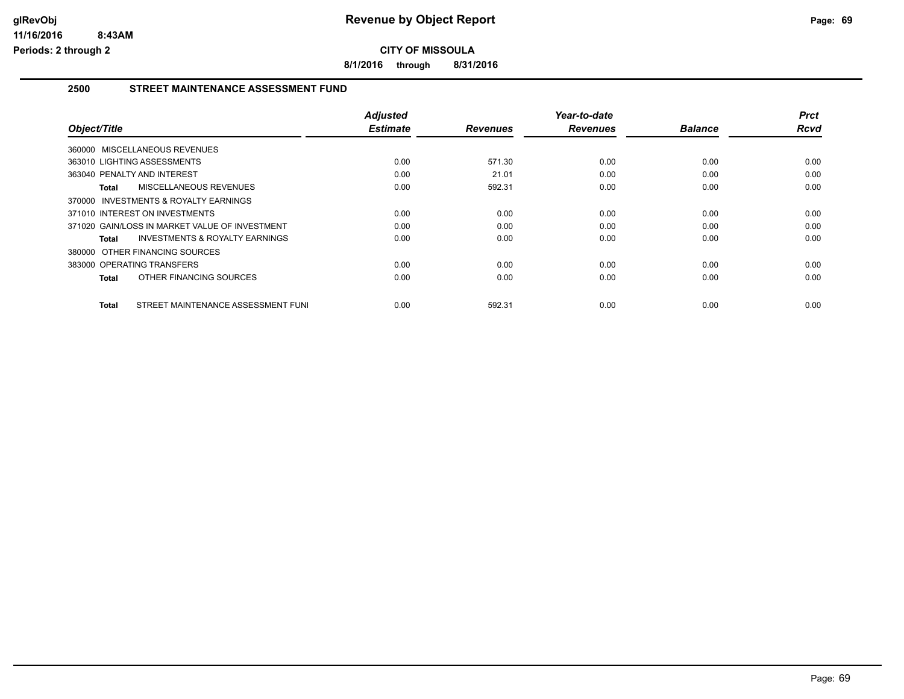**CITY OF MISSOULA**

**8/1/2016 through 8/31/2016**

### **2500 STREET MAINTENANCE ASSESSMENT FUND**

| Object/Title                                       | Adjusted<br><b>Estimate</b> | <b>Revenues</b> | Year-to-date<br><b>Revenues</b> | <b>Balance</b> | <b>Prct</b><br>Rcvd |
|----------------------------------------------------|-----------------------------|-----------------|---------------------------------|----------------|---------------------|
| 360000 MISCELLANEOUS REVENUES                      |                             |                 |                                 |                |                     |
| 363010 LIGHTING ASSESSMENTS                        | 0.00                        | 571.30          | 0.00                            | 0.00           | 0.00                |
| 363040 PENALTY AND INTEREST                        | 0.00                        | 21.01           | 0.00                            | 0.00           | 0.00                |
| MISCELLANEOUS REVENUES<br>Total                    | 0.00                        | 592.31          | 0.00                            | 0.00           | 0.00                |
| INVESTMENTS & ROYALTY EARNINGS<br>370000           |                             |                 |                                 |                |                     |
| 371010 INTEREST ON INVESTMENTS                     | 0.00                        | 0.00            | 0.00                            | 0.00           | 0.00                |
| 371020 GAIN/LOSS IN MARKET VALUE OF INVESTMENT     | 0.00                        | 0.00            | 0.00                            | 0.00           | 0.00                |
| <b>INVESTMENTS &amp; ROYALTY EARNINGS</b><br>Total | 0.00                        | 0.00            | 0.00                            | 0.00           | 0.00                |
| 380000 OTHER FINANCING SOURCES                     |                             |                 |                                 |                |                     |
| 383000 OPERATING TRANSFERS                         | 0.00                        | 0.00            | 0.00                            | 0.00           | 0.00                |
| OTHER FINANCING SOURCES<br>Total                   | 0.00                        | 0.00            | 0.00                            | 0.00           | 0.00                |
| STREET MAINTENANCE ASSESSMENT FUNI<br>Total        | 0.00                        | 592.31          | 0.00                            | 0.00           | 0.00                |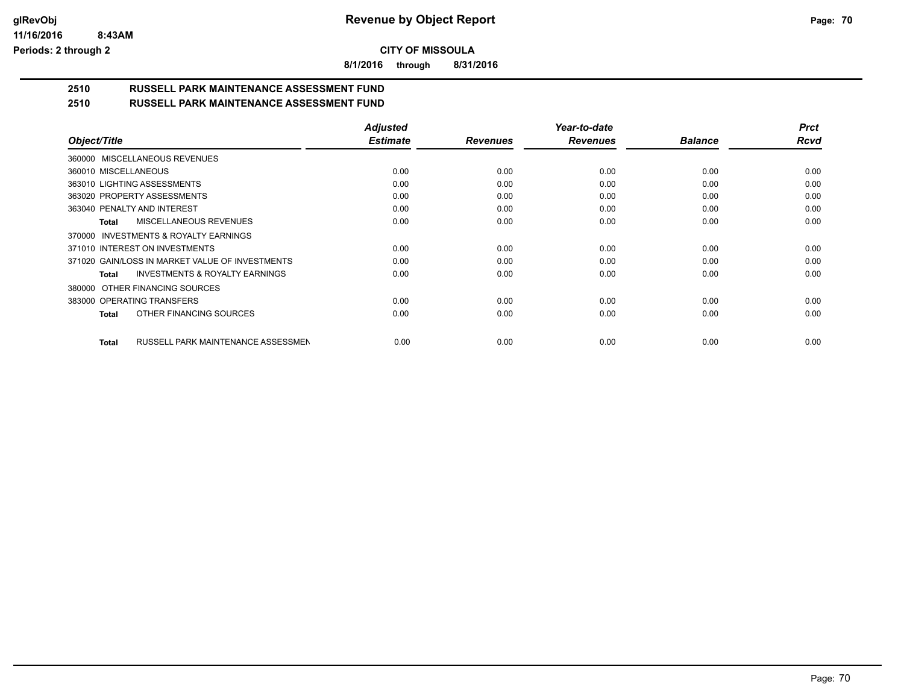**8:43AM**

**CITY OF MISSOULA**

**8/1/2016 through 8/31/2016**

# **2510 RUSSELL PARK MAINTENANCE ASSESSMENT FUND**

| 2510 | <b>RUSSELL PARK MAINTENANCE ASSESSMENT FUND</b> |
|------|-------------------------------------------------|
|------|-------------------------------------------------|

|                                                    | <b>Adjusted</b> |                 | Year-to-date    |                | <b>Prct</b> |
|----------------------------------------------------|-----------------|-----------------|-----------------|----------------|-------------|
| Object/Title                                       | <b>Estimate</b> | <b>Revenues</b> | <b>Revenues</b> | <b>Balance</b> | Rcvd        |
| 360000 MISCELLANEOUS REVENUES                      |                 |                 |                 |                |             |
| 360010 MISCELLANEOUS                               | 0.00            | 0.00            | 0.00            | 0.00           | 0.00        |
| 363010 LIGHTING ASSESSMENTS                        | 0.00            | 0.00            | 0.00            | 0.00           | 0.00        |
| 363020 PROPERTY ASSESSMENTS                        | 0.00            | 0.00            | 0.00            | 0.00           | 0.00        |
| 363040 PENALTY AND INTEREST                        | 0.00            | 0.00            | 0.00            | 0.00           | 0.00        |
| MISCELLANEOUS REVENUES<br><b>Total</b>             | 0.00            | 0.00            | 0.00            | 0.00           | 0.00        |
| 370000 INVESTMENTS & ROYALTY EARNINGS              |                 |                 |                 |                |             |
| 371010 INTEREST ON INVESTMENTS                     | 0.00            | 0.00            | 0.00            | 0.00           | 0.00        |
| 371020 GAIN/LOSS IN MARKET VALUE OF INVESTMENTS    | 0.00            | 0.00            | 0.00            | 0.00           | 0.00        |
| <b>INVESTMENTS &amp; ROYALTY EARNINGS</b><br>Total | 0.00            | 0.00            | 0.00            | 0.00           | 0.00        |
| 380000 OTHER FINANCING SOURCES                     |                 |                 |                 |                |             |
| 383000 OPERATING TRANSFERS                         | 0.00            | 0.00            | 0.00            | 0.00           | 0.00        |
| OTHER FINANCING SOURCES<br><b>Total</b>            | 0.00            | 0.00            | 0.00            | 0.00           | 0.00        |
|                                                    |                 |                 |                 |                |             |
| RUSSELL PARK MAINTENANCE ASSESSMEN<br><b>Total</b> | 0.00            | 0.00            | 0.00            | 0.00           | 0.00        |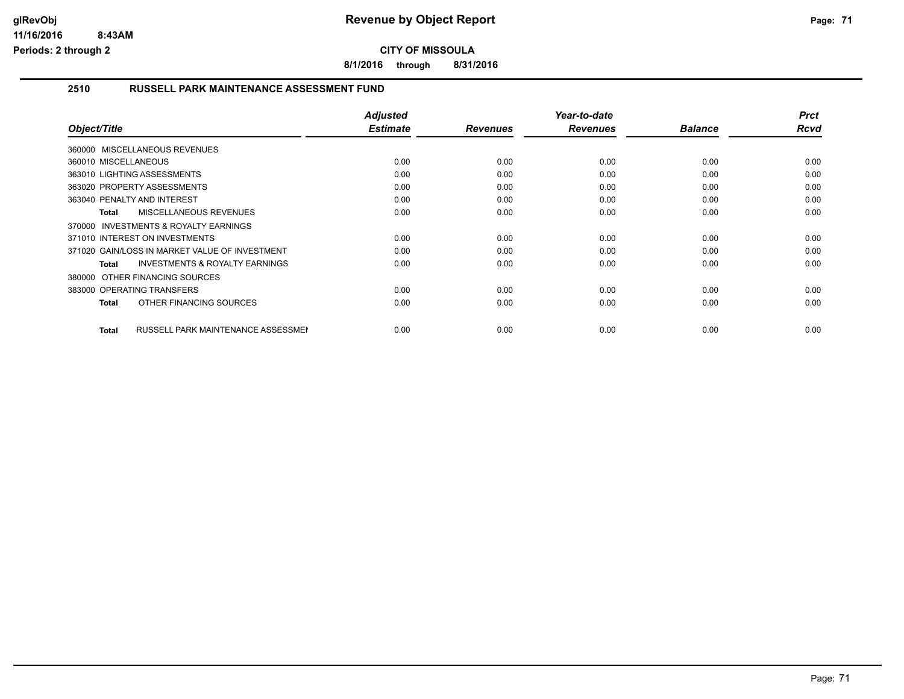**8/1/2016 through 8/31/2016**

### **2510 RUSSELL PARK MAINTENANCE ASSESSMENT FUND**

| Object/Title                                              | <b>Adjusted</b><br><b>Estimate</b> | <b>Revenues</b> | Year-to-date<br><b>Revenues</b> | <b>Balance</b> | <b>Prct</b><br>Rcvd |
|-----------------------------------------------------------|------------------------------------|-----------------|---------------------------------|----------------|---------------------|
| 360000 MISCELLANEOUS REVENUES                             |                                    |                 |                                 |                |                     |
| 360010 MISCELLANEOUS                                      | 0.00                               | 0.00            | 0.00                            | 0.00           | 0.00                |
| 363010 LIGHTING ASSESSMENTS                               | 0.00                               | 0.00            | 0.00                            | 0.00           | 0.00                |
| 363020 PROPERTY ASSESSMENTS                               | 0.00                               | 0.00            | 0.00                            | 0.00           | 0.00                |
| 363040 PENALTY AND INTEREST                               | 0.00                               | 0.00            | 0.00                            | 0.00           | 0.00                |
| <b>MISCELLANEOUS REVENUES</b><br>Total                    | 0.00                               | 0.00            | 0.00                            | 0.00           | 0.00                |
| 370000 INVESTMENTS & ROYALTY EARNINGS                     |                                    |                 |                                 |                |                     |
| 371010 INTEREST ON INVESTMENTS                            | 0.00                               | 0.00            | 0.00                            | 0.00           | 0.00                |
| 371020 GAIN/LOSS IN MARKET VALUE OF INVESTMENT            | 0.00                               | 0.00            | 0.00                            | 0.00           | 0.00                |
| <b>INVESTMENTS &amp; ROYALTY EARNINGS</b><br><b>Total</b> | 0.00                               | 0.00            | 0.00                            | 0.00           | 0.00                |
| 380000 OTHER FINANCING SOURCES                            |                                    |                 |                                 |                |                     |
| 383000 OPERATING TRANSFERS                                | 0.00                               | 0.00            | 0.00                            | 0.00           | 0.00                |
| OTHER FINANCING SOURCES<br><b>Total</b>                   | 0.00                               | 0.00            | 0.00                            | 0.00           | 0.00                |
|                                                           |                                    |                 |                                 |                |                     |
| RUSSELL PARK MAINTENANCE ASSESSMEN<br><b>Total</b>        | 0.00                               | 0.00            | 0.00                            | 0.00           | 0.00                |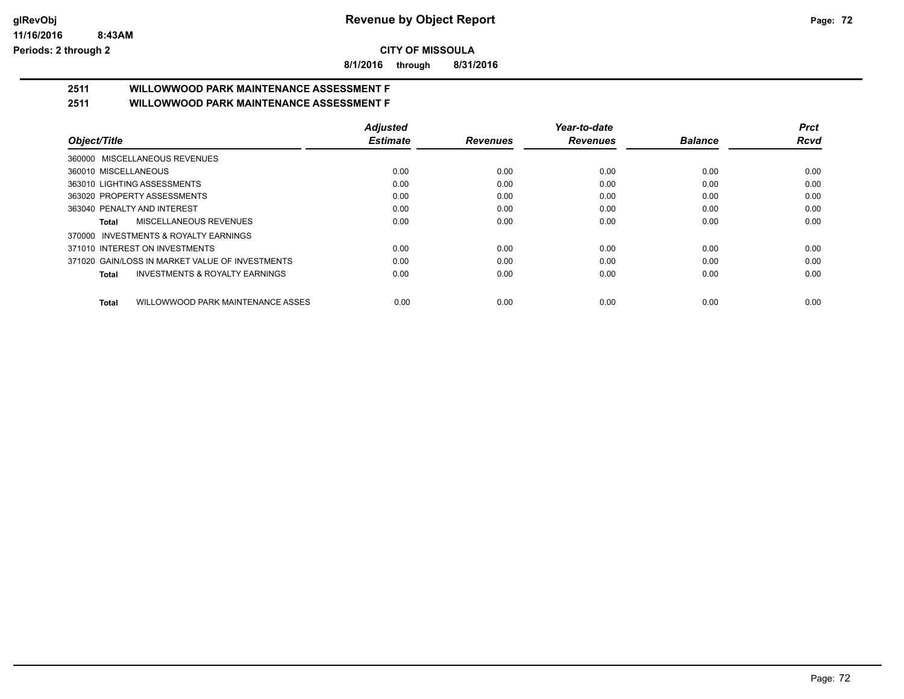**8/1/2016 through 8/31/2016**

# **2511 WILLOWWOOD PARK MAINTENANCE ASSESSMENT F**

**2511 WILLOWWOOD PARK MAINTENANCE ASSESSMENT F**

|                                                 | <b>Adjusted</b> |                 | Year-to-date    |                | Prct |
|-------------------------------------------------|-----------------|-----------------|-----------------|----------------|------|
| Object/Title                                    | <b>Estimate</b> | <b>Revenues</b> | <b>Revenues</b> | <b>Balance</b> | Rcvd |
| 360000 MISCELLANEOUS REVENUES                   |                 |                 |                 |                |      |
| 360010 MISCELLANEOUS                            | 0.00            | 0.00            | 0.00            | 0.00           | 0.00 |
| 363010 LIGHTING ASSESSMENTS                     | 0.00            | 0.00            | 0.00            | 0.00           | 0.00 |
| 363020 PROPERTY ASSESSMENTS                     | 0.00            | 0.00            | 0.00            | 0.00           | 0.00 |
| 363040 PENALTY AND INTEREST                     | 0.00            | 0.00            | 0.00            | 0.00           | 0.00 |
| MISCELLANEOUS REVENUES<br>Total                 | 0.00            | 0.00            | 0.00            | 0.00           | 0.00 |
| 370000 INVESTMENTS & ROYALTY EARNINGS           |                 |                 |                 |                |      |
| 371010 INTEREST ON INVESTMENTS                  | 0.00            | 0.00            | 0.00            | 0.00           | 0.00 |
| 371020 GAIN/LOSS IN MARKET VALUE OF INVESTMENTS | 0.00            | 0.00            | 0.00            | 0.00           | 0.00 |
| INVESTMENTS & ROYALTY EARNINGS<br>Total         | 0.00            | 0.00            | 0.00            | 0.00           | 0.00 |
| Total<br>WILLOWWOOD PARK MAINTENANCE ASSES      | 0.00            | 0.00            | 0.00            | 0.00           | 0.00 |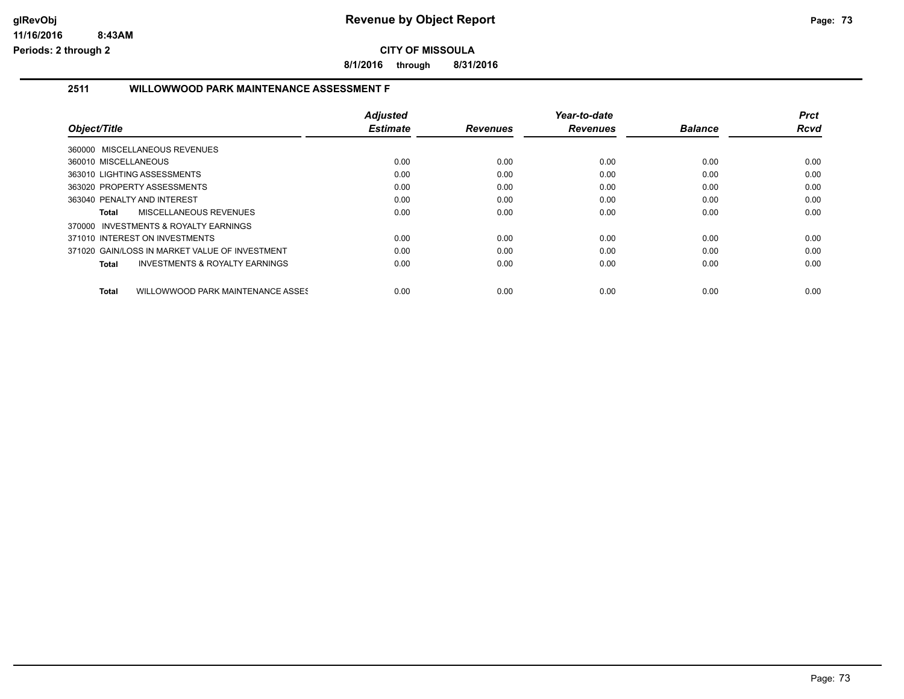**8/1/2016 through 8/31/2016**

#### **2511 WILLOWWOOD PARK MAINTENANCE ASSESSMENT F**

|                                                           | <b>Adjusted</b> |                 | Year-to-date    |                | <b>Prct</b> |
|-----------------------------------------------------------|-----------------|-----------------|-----------------|----------------|-------------|
| Object/Title                                              | <b>Estimate</b> | <b>Revenues</b> | <b>Revenues</b> | <b>Balance</b> | <b>Rcvd</b> |
| 360000 MISCELLANEOUS REVENUES                             |                 |                 |                 |                |             |
| 360010 MISCELLANEOUS                                      | 0.00            | 0.00            | 0.00            | 0.00           | 0.00        |
| 363010 LIGHTING ASSESSMENTS                               | 0.00            | 0.00            | 0.00            | 0.00           | 0.00        |
| 363020 PROPERTY ASSESSMENTS                               | 0.00            | 0.00            | 0.00            | 0.00           | 0.00        |
| 363040 PENALTY AND INTEREST                               | 0.00            | 0.00            | 0.00            | 0.00           | 0.00        |
| <b>MISCELLANEOUS REVENUES</b><br>Total                    | 0.00            | 0.00            | 0.00            | 0.00           | 0.00        |
| <b>INVESTMENTS &amp; ROYALTY EARNINGS</b><br>370000       |                 |                 |                 |                |             |
| 371010 INTEREST ON INVESTMENTS                            | 0.00            | 0.00            | 0.00            | 0.00           | 0.00        |
| 371020 GAIN/LOSS IN MARKET VALUE OF INVESTMENT            | 0.00            | 0.00            | 0.00            | 0.00           | 0.00        |
| <b>INVESTMENTS &amp; ROYALTY EARNINGS</b><br><b>Total</b> | 0.00            | 0.00            | 0.00            | 0.00           | 0.00        |
| WILLOWWOOD PARK MAINTENANCE ASSES<br><b>Total</b>         | 0.00            | 0.00            | 0.00            | 0.00           | 0.00        |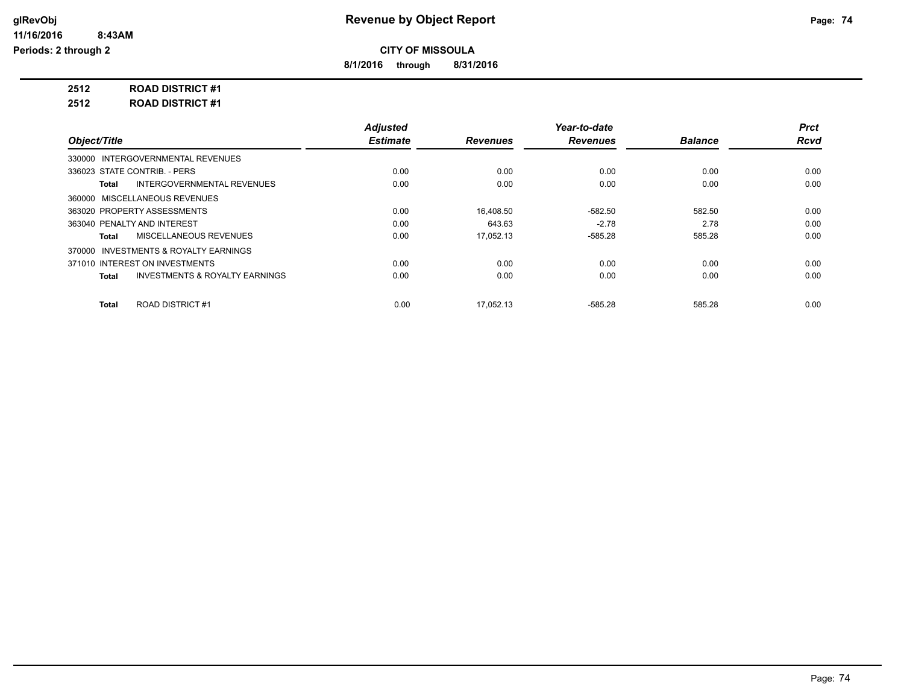**8/1/2016 through 8/31/2016**

**2512 ROAD DISTRICT #1**

**2512 ROAD DISTRICT #1**

|                                                    | <b>Adjusted</b> |                 | Year-to-date    |                | <b>Prct</b> |
|----------------------------------------------------|-----------------|-----------------|-----------------|----------------|-------------|
| Object/Title                                       | <b>Estimate</b> | <b>Revenues</b> | <b>Revenues</b> | <b>Balance</b> | <b>Rcvd</b> |
| 330000 INTERGOVERNMENTAL REVENUES                  |                 |                 |                 |                |             |
| 336023 STATE CONTRIB. - PERS                       | 0.00            | 0.00            | 0.00            | 0.00           | 0.00        |
| INTERGOVERNMENTAL REVENUES<br>Total                | 0.00            | 0.00            | 0.00            | 0.00           | 0.00        |
| 360000 MISCELLANEOUS REVENUES                      |                 |                 |                 |                |             |
| 363020 PROPERTY ASSESSMENTS                        | 0.00            | 16,408.50       | $-582.50$       | 582.50         | 0.00        |
| 363040 PENALTY AND INTEREST                        | 0.00            | 643.63          | $-2.78$         | 2.78           | 0.00        |
| MISCELLANEOUS REVENUES<br>Total                    | 0.00            | 17.052.13       | $-585.28$       | 585.28         | 0.00        |
| 370000 INVESTMENTS & ROYALTY EARNINGS              |                 |                 |                 |                |             |
| 371010 INTEREST ON INVESTMENTS                     | 0.00            | 0.00            | 0.00            | 0.00           | 0.00        |
| <b>INVESTMENTS &amp; ROYALTY EARNINGS</b><br>Total | 0.00            | 0.00            | 0.00            | 0.00           | 0.00        |
| <b>ROAD DISTRICT#1</b><br>Total                    | 0.00            | 17.052.13       | $-585.28$       | 585.28         | 0.00        |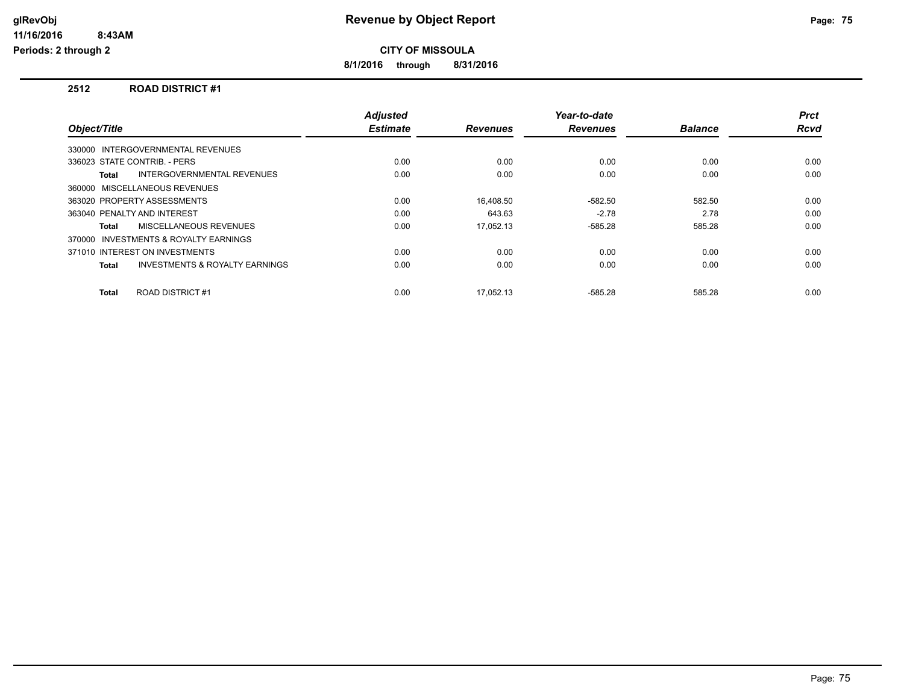**8/1/2016 through 8/31/2016**

#### **2512 ROAD DISTRICT #1**

|                                                     | <b>Adjusted</b> |                 | Year-to-date    |                | <b>Prct</b> |
|-----------------------------------------------------|-----------------|-----------------|-----------------|----------------|-------------|
| Object/Title                                        | <b>Estimate</b> | <b>Revenues</b> | <b>Revenues</b> | <b>Balance</b> | <b>Rcvd</b> |
| 330000 INTERGOVERNMENTAL REVENUES                   |                 |                 |                 |                |             |
| 336023 STATE CONTRIB. - PERS                        | 0.00            | 0.00            | 0.00            | 0.00           | 0.00        |
| INTERGOVERNMENTAL REVENUES<br>Total                 | 0.00            | 0.00            | 0.00            | 0.00           | 0.00        |
| 360000 MISCELLANEOUS REVENUES                       |                 |                 |                 |                |             |
| 363020 PROPERTY ASSESSMENTS                         | 0.00            | 16,408.50       | $-582.50$       | 582.50         | 0.00        |
| 363040 PENALTY AND INTEREST                         | 0.00            | 643.63          | $-2.78$         | 2.78           | 0.00        |
| MISCELLANEOUS REVENUES<br>Total                     | 0.00            | 17.052.13       | $-585.28$       | 585.28         | 0.00        |
| <b>INVESTMENTS &amp; ROYALTY EARNINGS</b><br>370000 |                 |                 |                 |                |             |
| 371010 INTEREST ON INVESTMENTS                      | 0.00            | 0.00            | 0.00            | 0.00           | 0.00        |
| <b>INVESTMENTS &amp; ROYALTY EARNINGS</b><br>Total  | 0.00            | 0.00            | 0.00            | 0.00           | 0.00        |
| ROAD DISTRICT #1<br><b>Total</b>                    | 0.00            | 17.052.13       | $-585.28$       | 585.28         | 0.00        |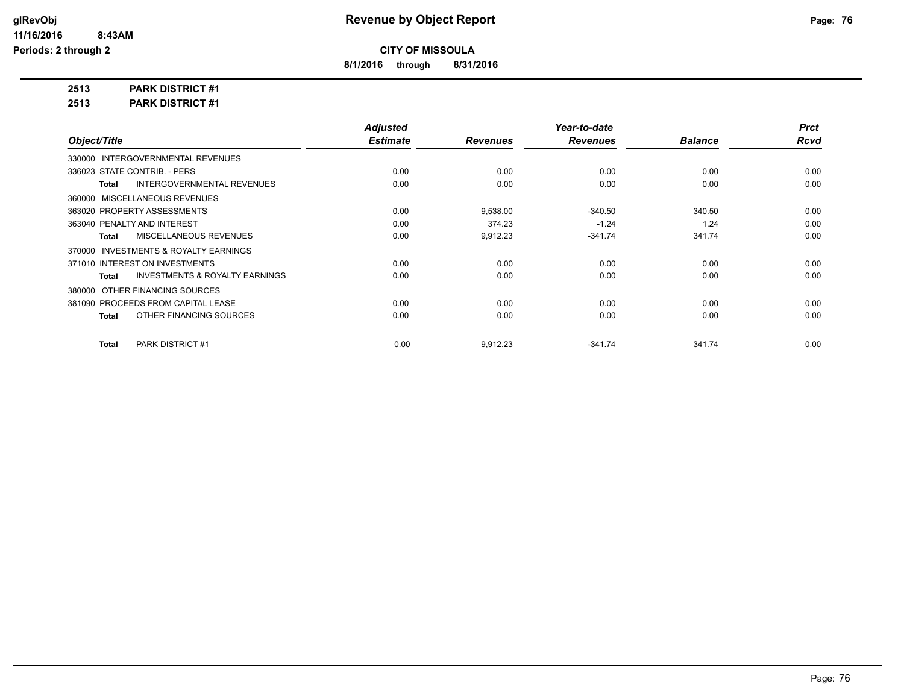**8/1/2016 through 8/31/2016**

**2513 PARK DISTRICT #1**

**2513 PARK DISTRICT #1**

|                                                    | <b>Adjusted</b> |                 | Year-to-date    |                | <b>Prct</b> |
|----------------------------------------------------|-----------------|-----------------|-----------------|----------------|-------------|
| Object/Title                                       | <b>Estimate</b> | <b>Revenues</b> | <b>Revenues</b> | <b>Balance</b> | <b>Rcvd</b> |
| 330000 INTERGOVERNMENTAL REVENUES                  |                 |                 |                 |                |             |
| 336023 STATE CONTRIB. - PERS                       | 0.00            | 0.00            | 0.00            | 0.00           | 0.00        |
| <b>INTERGOVERNMENTAL REVENUES</b><br>Total         | 0.00            | 0.00            | 0.00            | 0.00           | 0.00        |
| 360000 MISCELLANEOUS REVENUES                      |                 |                 |                 |                |             |
| 363020 PROPERTY ASSESSMENTS                        | 0.00            | 9,538.00        | $-340.50$       | 340.50         | 0.00        |
| 363040 PENALTY AND INTEREST                        | 0.00            | 374.23          | $-1.24$         | 1.24           | 0.00        |
| MISCELLANEOUS REVENUES<br><b>Total</b>             | 0.00            | 9,912.23        | $-341.74$       | 341.74         | 0.00        |
| INVESTMENTS & ROYALTY EARNINGS<br>370000           |                 |                 |                 |                |             |
| 371010 INTEREST ON INVESTMENTS                     | 0.00            | 0.00            | 0.00            | 0.00           | 0.00        |
| <b>INVESTMENTS &amp; ROYALTY EARNINGS</b><br>Total | 0.00            | 0.00            | 0.00            | 0.00           | 0.00        |
| OTHER FINANCING SOURCES<br>380000                  |                 |                 |                 |                |             |
| 381090 PROCEEDS FROM CAPITAL LEASE                 | 0.00            | 0.00            | 0.00            | 0.00           | 0.00        |
| OTHER FINANCING SOURCES<br>Total                   | 0.00            | 0.00            | 0.00            | 0.00           | 0.00        |
|                                                    |                 |                 |                 |                |             |
| <b>PARK DISTRICT #1</b><br><b>Total</b>            | 0.00            | 9,912.23        | $-341.74$       | 341.74         | 0.00        |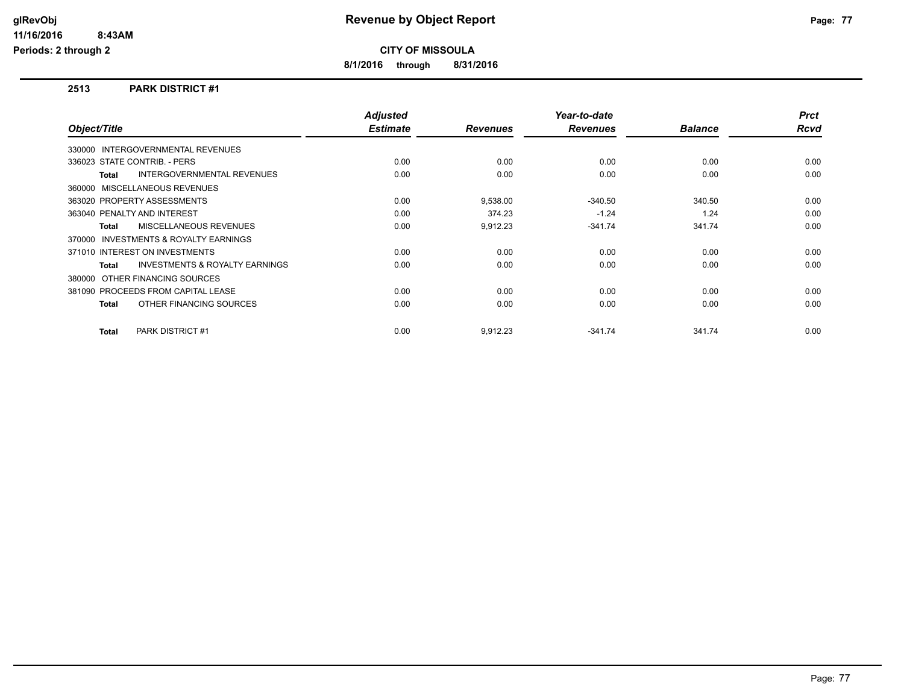**8/1/2016 through 8/31/2016**

#### **2513 PARK DISTRICT #1**

| Object/Title                                              | <b>Adjusted</b><br><b>Estimate</b> | <b>Revenues</b> | Year-to-date<br><b>Revenues</b> | <b>Balance</b> | <b>Prct</b><br>Rcvd |
|-----------------------------------------------------------|------------------------------------|-----------------|---------------------------------|----------------|---------------------|
| 330000 INTERGOVERNMENTAL REVENUES                         |                                    |                 |                                 |                |                     |
| 336023 STATE CONTRIB. - PERS                              | 0.00                               | 0.00            | 0.00                            | 0.00           | 0.00                |
| <b>INTERGOVERNMENTAL REVENUES</b><br>Total                | 0.00                               | 0.00            | 0.00                            | 0.00           | 0.00                |
| 360000 MISCELLANEOUS REVENUES                             |                                    |                 |                                 |                |                     |
| 363020 PROPERTY ASSESSMENTS                               | 0.00                               | 9,538.00        | $-340.50$                       | 340.50         | 0.00                |
| 363040 PENALTY AND INTEREST                               | 0.00                               | 374.23          | $-1.24$                         | 1.24           | 0.00                |
| MISCELLANEOUS REVENUES<br><b>Total</b>                    | 0.00                               | 9,912.23        | $-341.74$                       | 341.74         | 0.00                |
| 370000 INVESTMENTS & ROYALTY EARNINGS                     |                                    |                 |                                 |                |                     |
| 371010 INTEREST ON INVESTMENTS                            | 0.00                               | 0.00            | 0.00                            | 0.00           | 0.00                |
| <b>INVESTMENTS &amp; ROYALTY EARNINGS</b><br><b>Total</b> | 0.00                               | 0.00            | 0.00                            | 0.00           | 0.00                |
| 380000 OTHER FINANCING SOURCES                            |                                    |                 |                                 |                |                     |
| 381090 PROCEEDS FROM CAPITAL LEASE                        | 0.00                               | 0.00            | 0.00                            | 0.00           | 0.00                |
| OTHER FINANCING SOURCES<br><b>Total</b>                   | 0.00                               | 0.00            | 0.00                            | 0.00           | 0.00                |
| <b>PARK DISTRICT #1</b><br><b>Total</b>                   | 0.00                               | 9,912.23        | $-341.74$                       | 341.74         | 0.00                |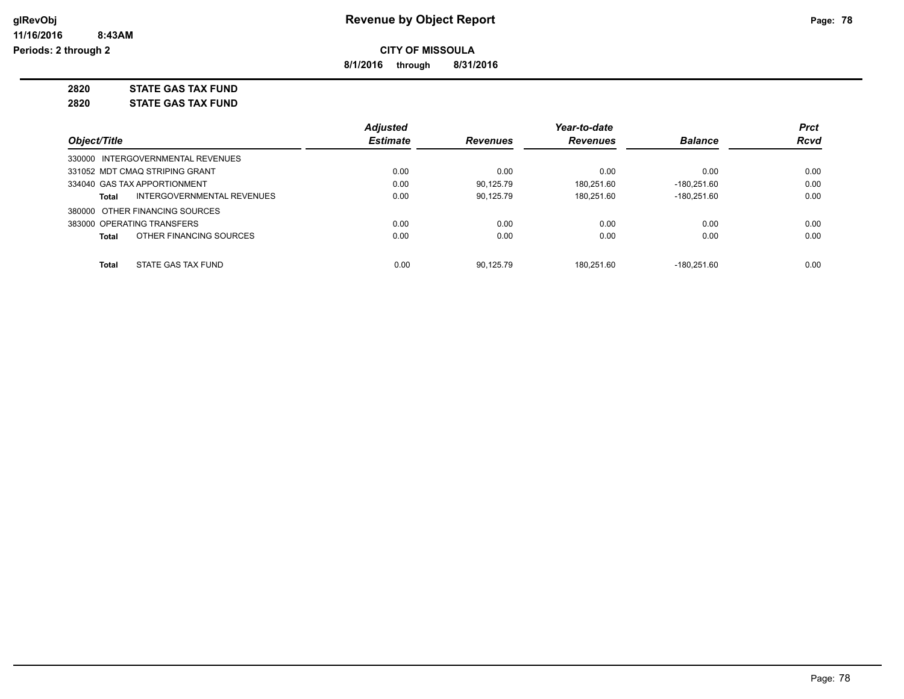**8/1/2016 through 8/31/2016**

**2820 STATE GAS TAX FUND**

**2820 STATE GAS TAX FUND**

|                                     | <b>Adjusted</b> |                 | Year-to-date    |                | <b>Prct</b> |
|-------------------------------------|-----------------|-----------------|-----------------|----------------|-------------|
| Object/Title                        | <b>Estimate</b> | <b>Revenues</b> | <b>Revenues</b> | <b>Balance</b> | <b>Rcvd</b> |
| 330000 INTERGOVERNMENTAL REVENUES   |                 |                 |                 |                |             |
| 331052 MDT CMAQ STRIPING GRANT      | 0.00            | 0.00            | 0.00            | 0.00           | 0.00        |
| 334040 GAS TAX APPORTIONMENT        | 0.00            | 90.125.79       | 180.251.60      | $-180.251.60$  | 0.00        |
| INTERGOVERNMENTAL REVENUES<br>Total | 0.00            | 90.125.79       | 180.251.60      | $-180,251.60$  | 0.00        |
| 380000 OTHER FINANCING SOURCES      |                 |                 |                 |                |             |
| 383000 OPERATING TRANSFERS          | 0.00            | 0.00            | 0.00            | 0.00           | 0.00        |
| OTHER FINANCING SOURCES<br>Total    | 0.00            | 0.00            | 0.00            | 0.00           | 0.00        |
|                                     |                 |                 |                 |                |             |
| STATE GAS TAX FUND<br>Total         | 0.00            | 90.125.79       | 180.251.60      | $-180.251.60$  | 0.00        |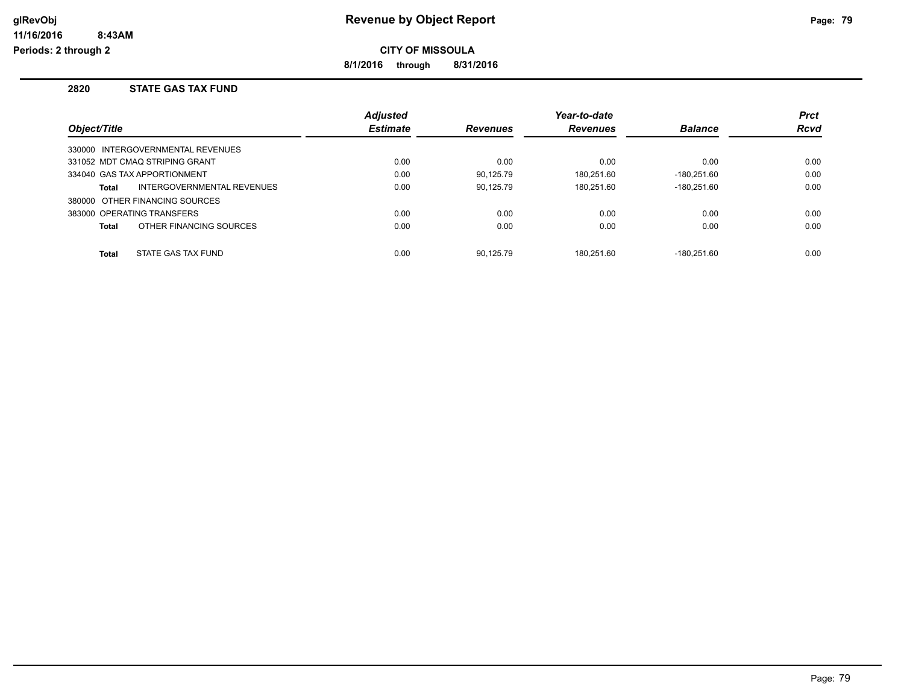**CITY OF MISSOULA**

**8/1/2016 through 8/31/2016**

#### **2820 STATE GAS TAX FUND**

 **8:43AM**

|                                            | <b>Adjusted</b> |                 | Year-to-date    |                | <b>Prct</b> |
|--------------------------------------------|-----------------|-----------------|-----------------|----------------|-------------|
| Object/Title                               | <b>Estimate</b> | <b>Revenues</b> | <b>Revenues</b> | <b>Balance</b> | <b>Rcvd</b> |
| 330000 INTERGOVERNMENTAL REVENUES          |                 |                 |                 |                |             |
| 331052 MDT CMAQ STRIPING GRANT             | 0.00            | 0.00            | 0.00            | 0.00           | 0.00        |
| 334040 GAS TAX APPORTIONMENT               | 0.00            | 90.125.79       | 180.251.60      | $-180.251.60$  | 0.00        |
| INTERGOVERNMENTAL REVENUES<br><b>Total</b> | 0.00            | 90.125.79       | 180.251.60      | $-180.251.60$  | 0.00        |
| 380000 OTHER FINANCING SOURCES             |                 |                 |                 |                |             |
| 383000 OPERATING TRANSFERS                 | 0.00            | 0.00            | 0.00            | 0.00           | 0.00        |
| OTHER FINANCING SOURCES<br><b>Total</b>    | 0.00            | 0.00            | 0.00            | 0.00           | 0.00        |
| <b>Total</b><br>STATE GAS TAX FUND         | 0.00            | 90.125.79       | 180.251.60      | $-180.251.60$  | 0.00        |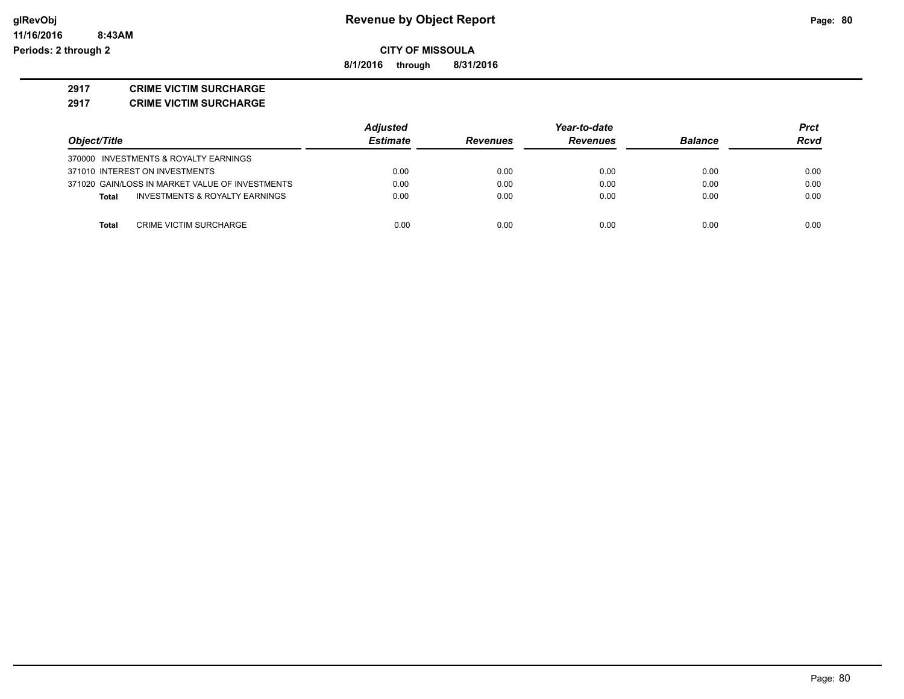**8/1/2016 through 8/31/2016**

#### **2917 CRIME VICTIM SURCHARGE**

**2917 CRIME VICTIM SURCHARGE**

|                                                           | <b>Adjusted</b> |                 | Year-to-date    |                | Prct |  |
|-----------------------------------------------------------|-----------------|-----------------|-----------------|----------------|------|--|
| Object/Title                                              | <b>Estimate</b> | <b>Revenues</b> | <b>Revenues</b> | <b>Balance</b> | Rcvd |  |
| 370000 INVESTMENTS & ROYALTY EARNINGS                     |                 |                 |                 |                |      |  |
| 371010 INTEREST ON INVESTMENTS                            | 0.00            | 0.00            | 0.00            | 0.00           | 0.00 |  |
| 371020 GAIN/LOSS IN MARKET VALUE OF INVESTMENTS           | 0.00            | 0.00            | 0.00            | 0.00           | 0.00 |  |
| <b>INVESTMENTS &amp; ROYALTY EARNINGS</b><br><b>Total</b> | 0.00            | 0.00            | 0.00            | 0.00           | 0.00 |  |
|                                                           |                 |                 |                 |                |      |  |
| <b>Total</b><br>CRIME VICTIM SURCHARGE                    | 0.00            | 0.00            | 0.00            | 0.00           | 0.00 |  |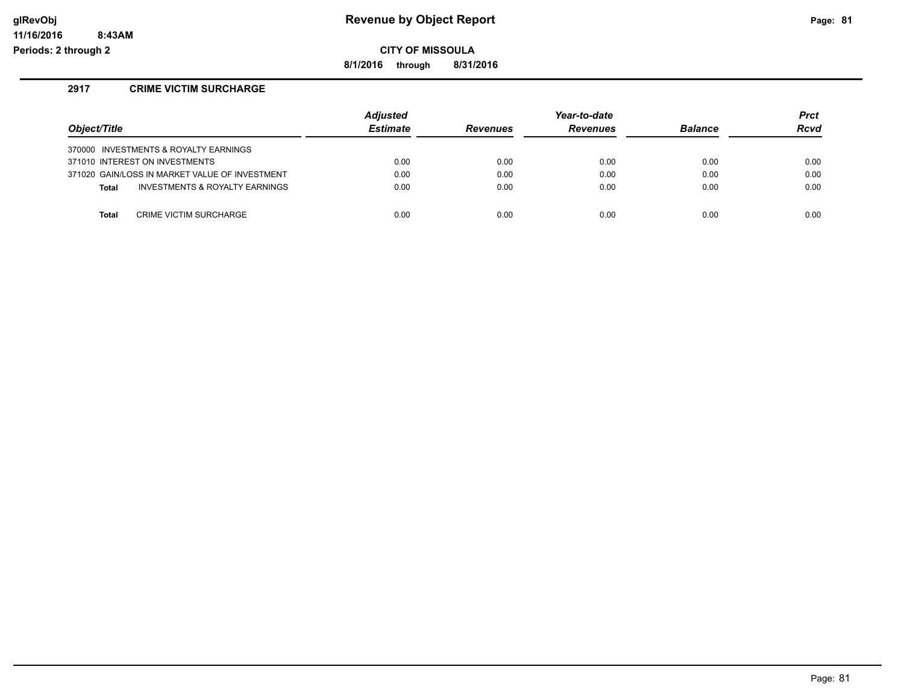**CITY OF MISSOULA**

**8/1/2016 through 8/31/2016**

## **2917 CRIME VICTIM SURCHARGE**

 **8:43AM**

| Object/Title                                   | Adjusted<br><b>Estimate</b> | <b>Revenues</b> | Year-to-date<br><b>Revenues</b> | <b>Balance</b> | <b>Prct</b><br><b>Rcvd</b> |
|------------------------------------------------|-----------------------------|-----------------|---------------------------------|----------------|----------------------------|
| 370000 INVESTMENTS & ROYALTY EARNINGS          |                             |                 |                                 |                |                            |
| 371010 INTEREST ON INVESTMENTS                 | 0.00                        | 0.00            | 0.00                            | 0.00           | 0.00                       |
| 371020 GAIN/LOSS IN MARKET VALUE OF INVESTMENT | 0.00                        | 0.00            | 0.00                            | 0.00           | 0.00                       |
| INVESTMENTS & ROYALTY EARNINGS<br><b>Total</b> | 0.00                        | 0.00            | 0.00                            | 0.00           | 0.00                       |
| <b>CRIME VICTIM SURCHARGE</b><br>Total         | 0.00                        | 0.00            | 0.00                            | 0.00           | 0.00                       |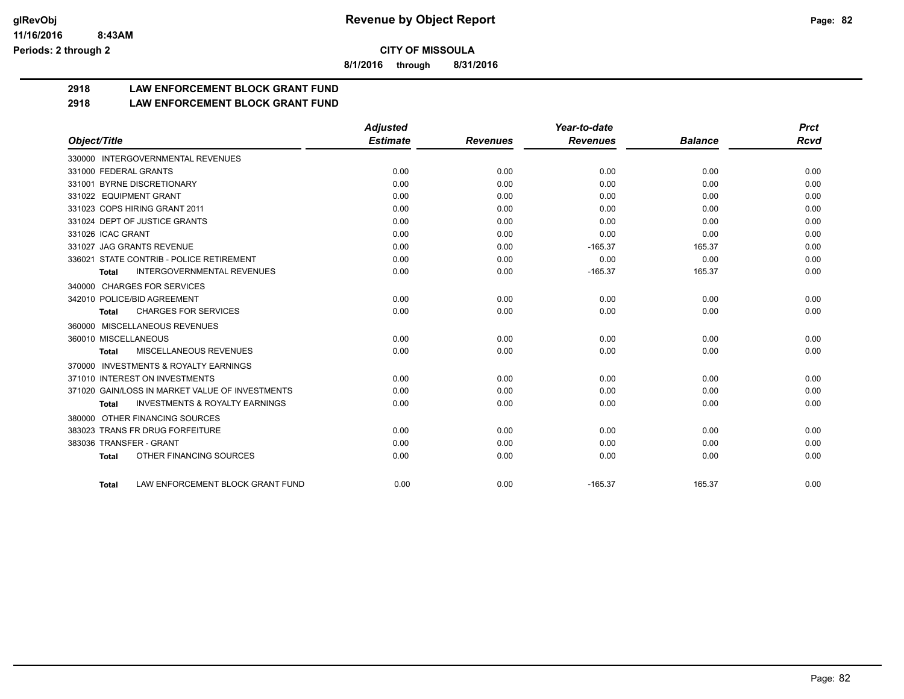**8/1/2016 through 8/31/2016**

# **2918 LAW ENFORCEMENT BLOCK GRANT FUND**

## **2918 LAW ENFORCEMENT BLOCK GRANT FUND**

|                                                           | <b>Adjusted</b> |                 | Year-to-date    |                | <b>Prct</b> |
|-----------------------------------------------------------|-----------------|-----------------|-----------------|----------------|-------------|
| Object/Title                                              | <b>Estimate</b> | <b>Revenues</b> | <b>Revenues</b> | <b>Balance</b> | <b>Rcvd</b> |
| 330000 INTERGOVERNMENTAL REVENUES                         |                 |                 |                 |                |             |
| 331000 FEDERAL GRANTS                                     | 0.00            | 0.00            | 0.00            | 0.00           | 0.00        |
| 331001 BYRNE DISCRETIONARY                                | 0.00            | 0.00            | 0.00            | 0.00           | 0.00        |
| 331022 EQUIPMENT GRANT                                    | 0.00            | 0.00            | 0.00            | 0.00           | 0.00        |
| 331023 COPS HIRING GRANT 2011                             | 0.00            | 0.00            | 0.00            | 0.00           | 0.00        |
| 331024 DEPT OF JUSTICE GRANTS                             | 0.00            | 0.00            | 0.00            | 0.00           | 0.00        |
| 331026 ICAC GRANT                                         | 0.00            | 0.00            | 0.00            | 0.00           | 0.00        |
| 331027 JAG GRANTS REVENUE                                 | 0.00            | 0.00            | $-165.37$       | 165.37         | 0.00        |
| 336021 STATE CONTRIB - POLICE RETIREMENT                  | 0.00            | 0.00            | 0.00            | 0.00           | 0.00        |
| <b>INTERGOVERNMENTAL REVENUES</b><br><b>Total</b>         | 0.00            | 0.00            | $-165.37$       | 165.37         | 0.00        |
| 340000 CHARGES FOR SERVICES                               |                 |                 |                 |                |             |
| 342010 POLICE/BID AGREEMENT                               | 0.00            | 0.00            | 0.00            | 0.00           | 0.00        |
| <b>CHARGES FOR SERVICES</b><br><b>Total</b>               | 0.00            | 0.00            | 0.00            | 0.00           | 0.00        |
| 360000 MISCELLANEOUS REVENUES                             |                 |                 |                 |                |             |
| 360010 MISCELLANEOUS                                      | 0.00            | 0.00            | 0.00            | 0.00           | 0.00        |
| MISCELLANEOUS REVENUES<br><b>Total</b>                    | 0.00            | 0.00            | 0.00            | 0.00           | 0.00        |
| <b>INVESTMENTS &amp; ROYALTY EARNINGS</b><br>370000       |                 |                 |                 |                |             |
| 371010 INTEREST ON INVESTMENTS                            | 0.00            | 0.00            | 0.00            | 0.00           | 0.00        |
| 371020 GAIN/LOSS IN MARKET VALUE OF INVESTMENTS           | 0.00            | 0.00            | 0.00            | 0.00           | 0.00        |
| <b>INVESTMENTS &amp; ROYALTY EARNINGS</b><br><b>Total</b> | 0.00            | 0.00            | 0.00            | 0.00           | 0.00        |
| OTHER FINANCING SOURCES<br>380000                         |                 |                 |                 |                |             |
| 383023 TRANS FR DRUG FORFEITURE                           | 0.00            | 0.00            | 0.00            | 0.00           | 0.00        |
| 383036 TRANSFER - GRANT                                   | 0.00            | 0.00            | 0.00            | 0.00           | 0.00        |
| OTHER FINANCING SOURCES<br><b>Total</b>                   | 0.00            | 0.00            | 0.00            | 0.00           | 0.00        |
|                                                           |                 |                 |                 |                |             |
| LAW ENFORCEMENT BLOCK GRANT FUND<br><b>Total</b>          | 0.00            | 0.00            | $-165.37$       | 165.37         | 0.00        |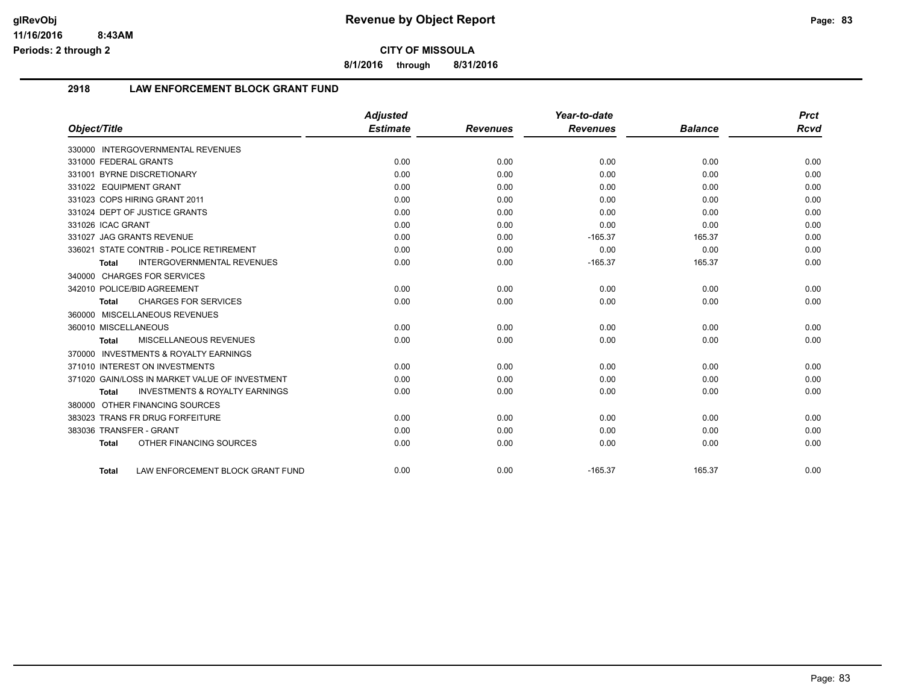**8/1/2016 through 8/31/2016**

#### **2918 LAW ENFORCEMENT BLOCK GRANT FUND**

|                                                           | <b>Adjusted</b> |                 | Year-to-date    |                | <b>Prct</b> |
|-----------------------------------------------------------|-----------------|-----------------|-----------------|----------------|-------------|
| Object/Title                                              | <b>Estimate</b> | <b>Revenues</b> | <b>Revenues</b> | <b>Balance</b> | <b>Rcvd</b> |
| 330000 INTERGOVERNMENTAL REVENUES                         |                 |                 |                 |                |             |
| 331000 FEDERAL GRANTS                                     | 0.00            | 0.00            | 0.00            | 0.00           | 0.00        |
| 331001 BYRNE DISCRETIONARY                                | 0.00            | 0.00            | 0.00            | 0.00           | 0.00        |
| 331022 EQUIPMENT GRANT                                    | 0.00            | 0.00            | 0.00            | 0.00           | 0.00        |
| 331023 COPS HIRING GRANT 2011                             | 0.00            | 0.00            | 0.00            | 0.00           | 0.00        |
| 331024 DEPT OF JUSTICE GRANTS                             | 0.00            | 0.00            | 0.00            | 0.00           | 0.00        |
| 331026 ICAC GRANT                                         | 0.00            | 0.00            | 0.00            | 0.00           | 0.00        |
| 331027 JAG GRANTS REVENUE                                 | 0.00            | 0.00            | $-165.37$       | 165.37         | 0.00        |
| 336021 STATE CONTRIB - POLICE RETIREMENT                  | 0.00            | 0.00            | 0.00            | 0.00           | 0.00        |
| <b>INTERGOVERNMENTAL REVENUES</b><br><b>Total</b>         | 0.00            | 0.00            | $-165.37$       | 165.37         | 0.00        |
| 340000 CHARGES FOR SERVICES                               |                 |                 |                 |                |             |
| 342010 POLICE/BID AGREEMENT                               | 0.00            | 0.00            | 0.00            | 0.00           | 0.00        |
| <b>CHARGES FOR SERVICES</b><br><b>Total</b>               | 0.00            | 0.00            | 0.00            | 0.00           | 0.00        |
| 360000 MISCELLANEOUS REVENUES                             |                 |                 |                 |                |             |
| 360010 MISCELLANEOUS                                      | 0.00            | 0.00            | 0.00            | 0.00           | 0.00        |
| MISCELLANEOUS REVENUES<br><b>Total</b>                    | 0.00            | 0.00            | 0.00            | 0.00           | 0.00        |
| 370000 INVESTMENTS & ROYALTY EARNINGS                     |                 |                 |                 |                |             |
| 371010 INTEREST ON INVESTMENTS                            | 0.00            | 0.00            | 0.00            | 0.00           | 0.00        |
| 371020 GAIN/LOSS IN MARKET VALUE OF INVESTMENT            | 0.00            | 0.00            | 0.00            | 0.00           | 0.00        |
| <b>INVESTMENTS &amp; ROYALTY EARNINGS</b><br><b>Total</b> | 0.00            | 0.00            | 0.00            | 0.00           | 0.00        |
| 380000 OTHER FINANCING SOURCES                            |                 |                 |                 |                |             |
| 383023 TRANS FR DRUG FORFEITURE                           | 0.00            | 0.00            | 0.00            | 0.00           | 0.00        |
| 383036 TRANSFER - GRANT                                   | 0.00            | 0.00            | 0.00            | 0.00           | 0.00        |
| OTHER FINANCING SOURCES<br><b>Total</b>                   | 0.00            | 0.00            | 0.00            | 0.00           | 0.00        |
| LAW ENFORCEMENT BLOCK GRANT FUND<br>Total                 | 0.00            | 0.00            | $-165.37$       | 165.37         | 0.00        |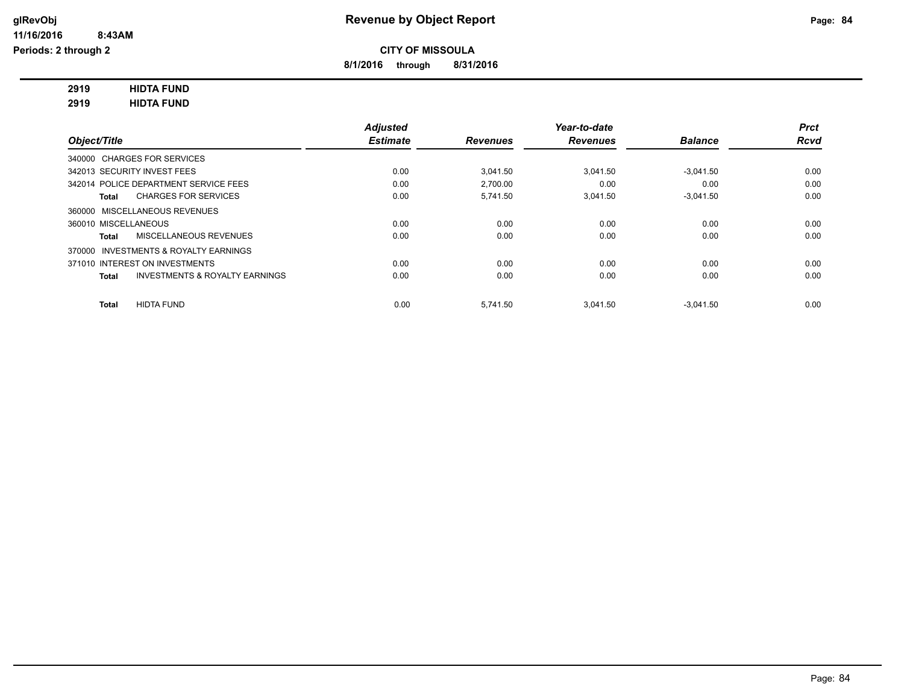**8/1/2016 through 8/31/2016**

## **2919 HIDTA FUND**

**2919 HIDTA FUND**

|                                                           | <b>Adjusted</b> |                 | Year-to-date    |                | <b>Prct</b> |
|-----------------------------------------------------------|-----------------|-----------------|-----------------|----------------|-------------|
| Object/Title                                              | <b>Estimate</b> | <b>Revenues</b> | <b>Revenues</b> | <b>Balance</b> | <b>Rcvd</b> |
| 340000 CHARGES FOR SERVICES                               |                 |                 |                 |                |             |
| 342013 SECURITY INVEST FEES                               | 0.00            | 3.041.50        | 3.041.50        | $-3.041.50$    | 0.00        |
| 342014 POLICE DEPARTMENT SERVICE FEES                     | 0.00            | 2.700.00        | 0.00            | 0.00           | 0.00        |
| <b>CHARGES FOR SERVICES</b><br>Total                      | 0.00            | 5.741.50        | 3.041.50        | $-3,041.50$    | 0.00        |
| 360000 MISCELLANEOUS REVENUES                             |                 |                 |                 |                |             |
| 360010 MISCELLANEOUS                                      | 0.00            | 0.00            | 0.00            | 0.00           | 0.00        |
| MISCELLANEOUS REVENUES<br>Total                           | 0.00            | 0.00            | 0.00            | 0.00           | 0.00        |
| 370000 INVESTMENTS & ROYALTY EARNINGS                     |                 |                 |                 |                |             |
| 371010 INTEREST ON INVESTMENTS                            | 0.00            | 0.00            | 0.00            | 0.00           | 0.00        |
| <b>INVESTMENTS &amp; ROYALTY EARNINGS</b><br><b>Total</b> | 0.00            | 0.00            | 0.00            | 0.00           | 0.00        |
| <b>HIDTA FUND</b><br><b>Total</b>                         | 0.00            | 5.741.50        | 3,041.50        | $-3,041.50$    | 0.00        |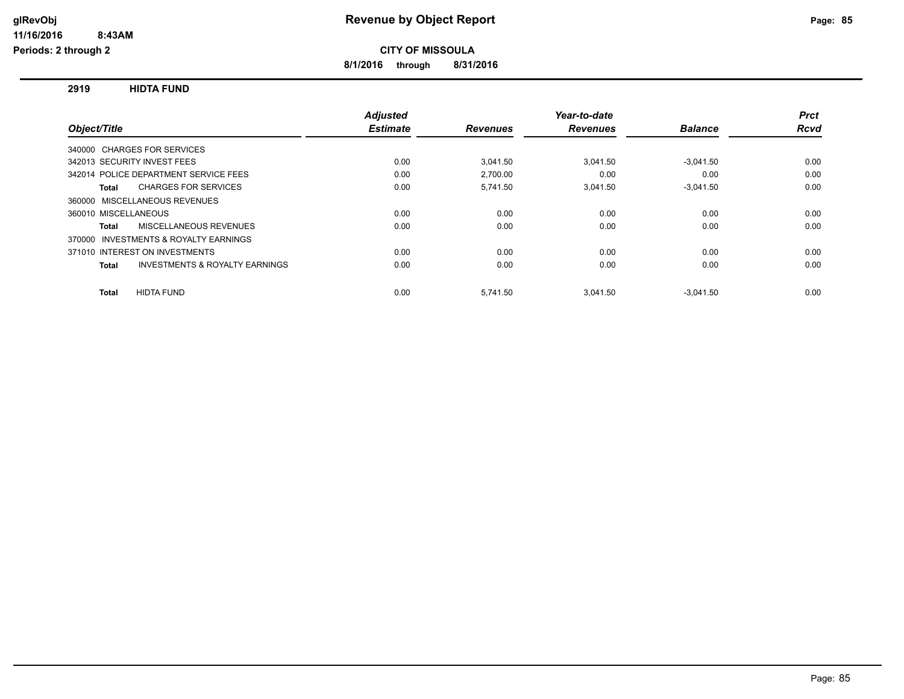**11/16/2016 8:43AM Periods: 2 through 2**

**CITY OF MISSOULA**

**8/1/2016 through 8/31/2016**

**2919 HIDTA FUND**

|                                                           | <b>Adjusted</b> |                 | Year-to-date    |                | <b>Prct</b> |
|-----------------------------------------------------------|-----------------|-----------------|-----------------|----------------|-------------|
| Object/Title                                              | <b>Estimate</b> | <b>Revenues</b> | <b>Revenues</b> | <b>Balance</b> | <b>Rcvd</b> |
| 340000 CHARGES FOR SERVICES                               |                 |                 |                 |                |             |
| 342013 SECURITY INVEST FEES                               | 0.00            | 3.041.50        | 3,041.50        | $-3,041.50$    | 0.00        |
| 342014 POLICE DEPARTMENT SERVICE FEES                     | 0.00            | 2,700.00        | 0.00            | 0.00           | 0.00        |
| <b>CHARGES FOR SERVICES</b><br>Total                      | 0.00            | 5.741.50        | 3.041.50        | $-3,041.50$    | 0.00        |
| 360000 MISCELLANEOUS REVENUES                             |                 |                 |                 |                |             |
| 360010 MISCELLANEOUS                                      | 0.00            | 0.00            | 0.00            | 0.00           | 0.00        |
| MISCELLANEOUS REVENUES<br><b>Total</b>                    | 0.00            | 0.00            | 0.00            | 0.00           | 0.00        |
| 370000 INVESTMENTS & ROYALTY EARNINGS                     |                 |                 |                 |                |             |
| 371010 INTEREST ON INVESTMENTS                            | 0.00            | 0.00            | 0.00            | 0.00           | 0.00        |
| <b>INVESTMENTS &amp; ROYALTY EARNINGS</b><br><b>Total</b> | 0.00            | 0.00            | 0.00            | 0.00           | 0.00        |
| <b>HIDTA FUND</b><br><b>Total</b>                         | 0.00            | 5.741.50        | 3.041.50        | $-3.041.50$    | 0.00        |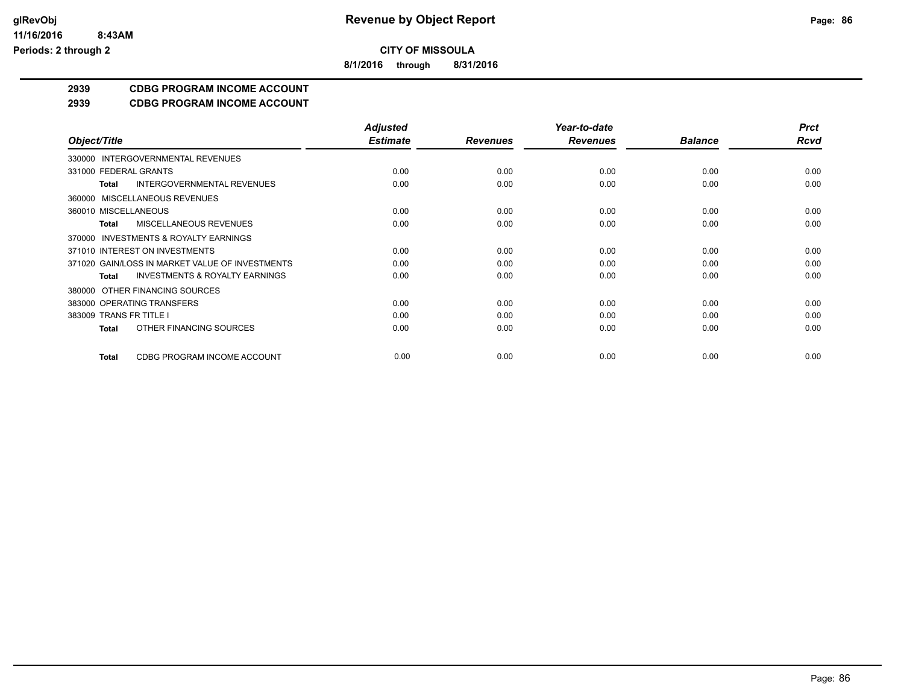**8:43AM**

**CITY OF MISSOULA**

**8/1/2016 through 8/31/2016**

## **2939 CDBG PROGRAM INCOME ACCOUNT**

#### **2939 CDBG PROGRAM INCOME ACCOUNT**

|                                                           | <b>Adjusted</b> |                 | Year-to-date    |                | <b>Prct</b> |
|-----------------------------------------------------------|-----------------|-----------------|-----------------|----------------|-------------|
| Object/Title                                              | <b>Estimate</b> | <b>Revenues</b> | <b>Revenues</b> | <b>Balance</b> | Rcvd        |
| 330000 INTERGOVERNMENTAL REVENUES                         |                 |                 |                 |                |             |
| 331000 FEDERAL GRANTS                                     | 0.00            | 0.00            | 0.00            | 0.00           | 0.00        |
| INTERGOVERNMENTAL REVENUES<br><b>Total</b>                | 0.00            | 0.00            | 0.00            | 0.00           | 0.00        |
| 360000 MISCELLANEOUS REVENUES                             |                 |                 |                 |                |             |
| 360010 MISCELLANEOUS                                      | 0.00            | 0.00            | 0.00            | 0.00           | 0.00        |
| MISCELLANEOUS REVENUES<br><b>Total</b>                    | 0.00            | 0.00            | 0.00            | 0.00           | 0.00        |
| 370000 INVESTMENTS & ROYALTY EARNINGS                     |                 |                 |                 |                |             |
| 371010 INTEREST ON INVESTMENTS                            | 0.00            | 0.00            | 0.00            | 0.00           | 0.00        |
| 371020 GAIN/LOSS IN MARKET VALUE OF INVESTMENTS           | 0.00            | 0.00            | 0.00            | 0.00           | 0.00        |
| <b>INVESTMENTS &amp; ROYALTY EARNINGS</b><br><b>Total</b> | 0.00            | 0.00            | 0.00            | 0.00           | 0.00        |
| 380000 OTHER FINANCING SOURCES                            |                 |                 |                 |                |             |
| 383000 OPERATING TRANSFERS                                | 0.00            | 0.00            | 0.00            | 0.00           | 0.00        |
| 383009 TRANS FR TITLE I                                   | 0.00            | 0.00            | 0.00            | 0.00           | 0.00        |
| OTHER FINANCING SOURCES<br><b>Total</b>                   | 0.00            | 0.00            | 0.00            | 0.00           | 0.00        |
|                                                           |                 |                 |                 |                |             |
| CDBG PROGRAM INCOME ACCOUNT<br><b>Total</b>               | 0.00            | 0.00            | 0.00            | 0.00           | 0.00        |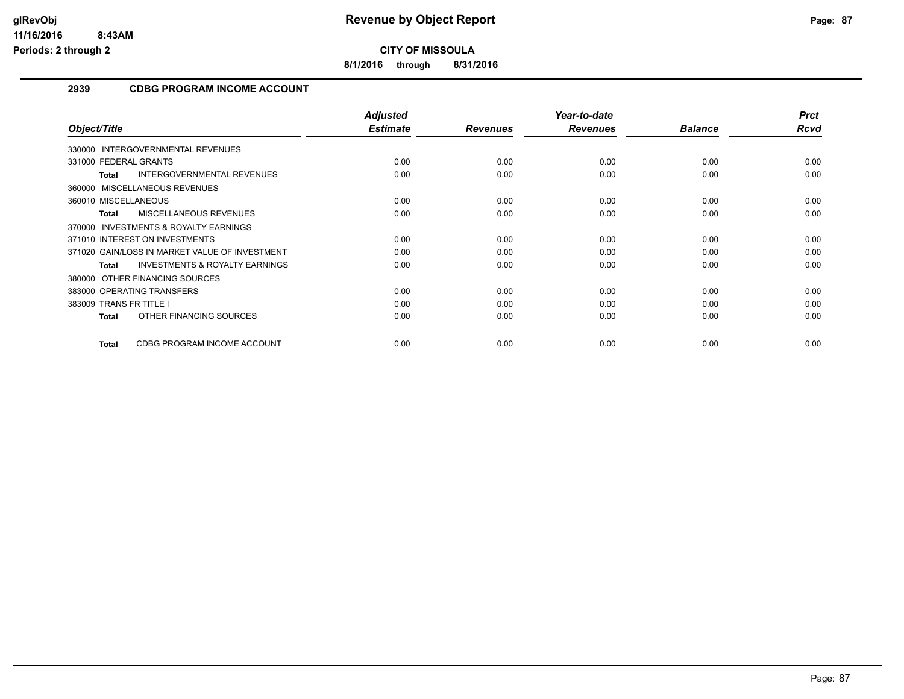**8:43AM**

**CITY OF MISSOULA**

**8/1/2016 through 8/31/2016**

#### **2939 CDBG PROGRAM INCOME ACCOUNT**

|                                                    | <b>Adjusted</b> |                 | Year-to-date    |                | <b>Prct</b> |
|----------------------------------------------------|-----------------|-----------------|-----------------|----------------|-------------|
| Object/Title                                       | <b>Estimate</b> | <b>Revenues</b> | <b>Revenues</b> | <b>Balance</b> | <b>Rcvd</b> |
| 330000 INTERGOVERNMENTAL REVENUES                  |                 |                 |                 |                |             |
| 331000 FEDERAL GRANTS                              | 0.00            | 0.00            | 0.00            | 0.00           | 0.00        |
| <b>INTERGOVERNMENTAL REVENUES</b><br><b>Total</b>  | 0.00            | 0.00            | 0.00            | 0.00           | 0.00        |
| 360000 MISCELLANEOUS REVENUES                      |                 |                 |                 |                |             |
| 360010 MISCELLANEOUS                               | 0.00            | 0.00            | 0.00            | 0.00           | 0.00        |
| <b>MISCELLANEOUS REVENUES</b><br><b>Total</b>      | 0.00            | 0.00            | 0.00            | 0.00           | 0.00        |
| 370000 INVESTMENTS & ROYALTY EARNINGS              |                 |                 |                 |                |             |
| 371010 INTEREST ON INVESTMENTS                     | 0.00            | 0.00            | 0.00            | 0.00           | 0.00        |
| 371020 GAIN/LOSS IN MARKET VALUE OF INVESTMENT     | 0.00            | 0.00            | 0.00            | 0.00           | 0.00        |
| <b>INVESTMENTS &amp; ROYALTY EARNINGS</b><br>Total | 0.00            | 0.00            | 0.00            | 0.00           | 0.00        |
| 380000 OTHER FINANCING SOURCES                     |                 |                 |                 |                |             |
| 383000 OPERATING TRANSFERS                         | 0.00            | 0.00            | 0.00            | 0.00           | 0.00        |
| 383009 TRANS FR TITLE I                            | 0.00            | 0.00            | 0.00            | 0.00           | 0.00        |
| OTHER FINANCING SOURCES<br><b>Total</b>            | 0.00            | 0.00            | 0.00            | 0.00           | 0.00        |
| CDBG PROGRAM INCOME ACCOUNT<br><b>Total</b>        | 0.00            | 0.00            | 0.00            | 0.00           | 0.00        |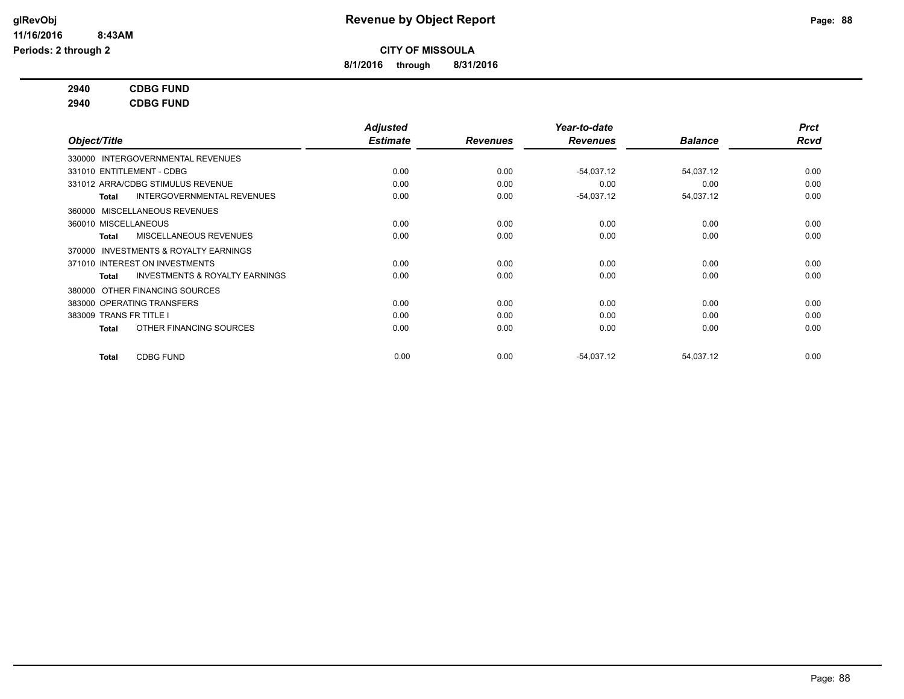**8/1/2016 through 8/31/2016**

## **2940 CDBG FUND**

**2940 CDBG FUND**

|                                                           | <b>Adjusted</b> |                 | Year-to-date    |                | <b>Prct</b> |
|-----------------------------------------------------------|-----------------|-----------------|-----------------|----------------|-------------|
| Object/Title                                              | <b>Estimate</b> | <b>Revenues</b> | <b>Revenues</b> | <b>Balance</b> | <b>Rcvd</b> |
| 330000 INTERGOVERNMENTAL REVENUES                         |                 |                 |                 |                |             |
| 331010 ENTITLEMENT - CDBG                                 | 0.00            | 0.00            | $-54,037.12$    | 54,037.12      | 0.00        |
| 331012 ARRA/CDBG STIMULUS REVENUE                         | 0.00            | 0.00            | 0.00            | 0.00           | 0.00        |
| <b>INTERGOVERNMENTAL REVENUES</b><br><b>Total</b>         | 0.00            | 0.00            | $-54,037.12$    | 54,037.12      | 0.00        |
| 360000 MISCELLANEOUS REVENUES                             |                 |                 |                 |                |             |
| 360010 MISCELLANEOUS                                      | 0.00            | 0.00            | 0.00            | 0.00           | 0.00        |
| MISCELLANEOUS REVENUES<br><b>Total</b>                    | 0.00            | 0.00            | 0.00            | 0.00           | 0.00        |
| 370000 INVESTMENTS & ROYALTY EARNINGS                     |                 |                 |                 |                |             |
| 371010 INTEREST ON INVESTMENTS                            | 0.00            | 0.00            | 0.00            | 0.00           | 0.00        |
| <b>INVESTMENTS &amp; ROYALTY EARNINGS</b><br><b>Total</b> | 0.00            | 0.00            | 0.00            | 0.00           | 0.00        |
| OTHER FINANCING SOURCES<br>380000                         |                 |                 |                 |                |             |
| 383000 OPERATING TRANSFERS                                | 0.00            | 0.00            | 0.00            | 0.00           | 0.00        |
| 383009 TRANS FR TITLE I                                   | 0.00            | 0.00            | 0.00            | 0.00           | 0.00        |
| OTHER FINANCING SOURCES<br><b>Total</b>                   | 0.00            | 0.00            | 0.00            | 0.00           | 0.00        |
| <b>CDBG FUND</b><br><b>Total</b>                          | 0.00            | 0.00            | $-54,037.12$    | 54,037.12      | 0.00        |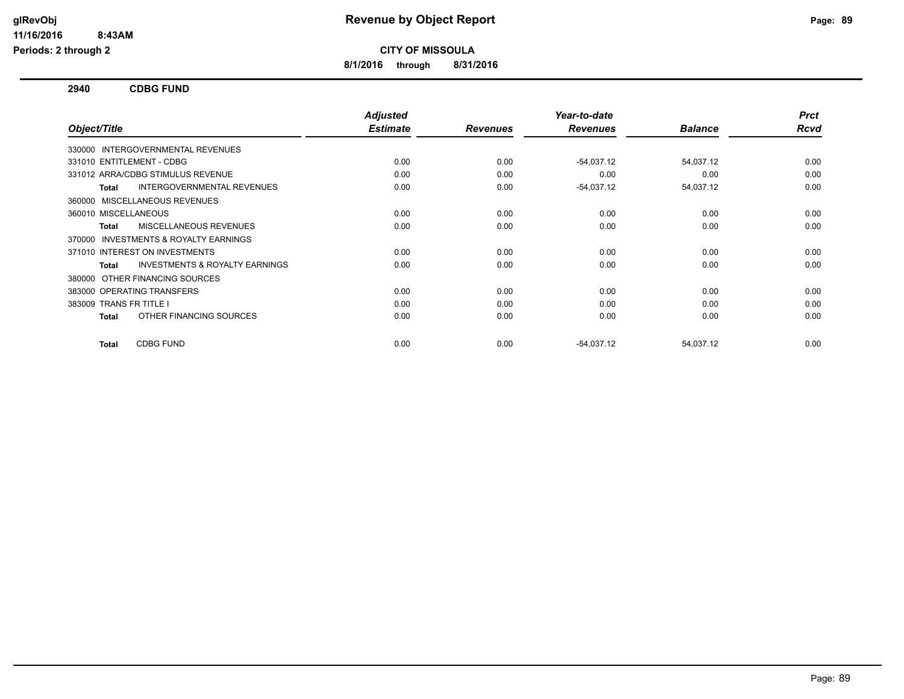**8/1/2016 through 8/31/2016**

**2940 CDBG FUND**

|                                                           | <b>Adjusted</b> |                 | Year-to-date    |                | <b>Prct</b> |
|-----------------------------------------------------------|-----------------|-----------------|-----------------|----------------|-------------|
| Object/Title                                              | <b>Estimate</b> | <b>Revenues</b> | <b>Revenues</b> | <b>Balance</b> | <b>Rcvd</b> |
| 330000 INTERGOVERNMENTAL REVENUES                         |                 |                 |                 |                |             |
| 331010 ENTITLEMENT - CDBG                                 | 0.00            | 0.00            | $-54,037.12$    | 54,037.12      | 0.00        |
| 331012 ARRA/CDBG STIMULUS REVENUE                         | 0.00            | 0.00            | 0.00            | 0.00           | 0.00        |
| <b>INTERGOVERNMENTAL REVENUES</b><br><b>Total</b>         | 0.00            | 0.00            | $-54,037.12$    | 54,037.12      | 0.00        |
| 360000 MISCELLANEOUS REVENUES                             |                 |                 |                 |                |             |
| 360010 MISCELLANEOUS                                      | 0.00            | 0.00            | 0.00            | 0.00           | 0.00        |
| MISCELLANEOUS REVENUES<br><b>Total</b>                    | 0.00            | 0.00            | 0.00            | 0.00           | 0.00        |
| 370000 INVESTMENTS & ROYALTY EARNINGS                     |                 |                 |                 |                |             |
| 371010 INTEREST ON INVESTMENTS                            | 0.00            | 0.00            | 0.00            | 0.00           | 0.00        |
| <b>INVESTMENTS &amp; ROYALTY EARNINGS</b><br><b>Total</b> | 0.00            | 0.00            | 0.00            | 0.00           | 0.00        |
| 380000 OTHER FINANCING SOURCES                            |                 |                 |                 |                |             |
| 383000 OPERATING TRANSFERS                                | 0.00            | 0.00            | 0.00            | 0.00           | 0.00        |
| 383009 TRANS FR TITLE I                                   | 0.00            | 0.00            | 0.00            | 0.00           | 0.00        |
| OTHER FINANCING SOURCES<br><b>Total</b>                   | 0.00            | 0.00            | 0.00            | 0.00           | 0.00        |
|                                                           |                 |                 |                 |                |             |
| <b>CDBG FUND</b><br><b>Total</b>                          | 0.00            | 0.00            | $-54,037.12$    | 54,037.12      | 0.00        |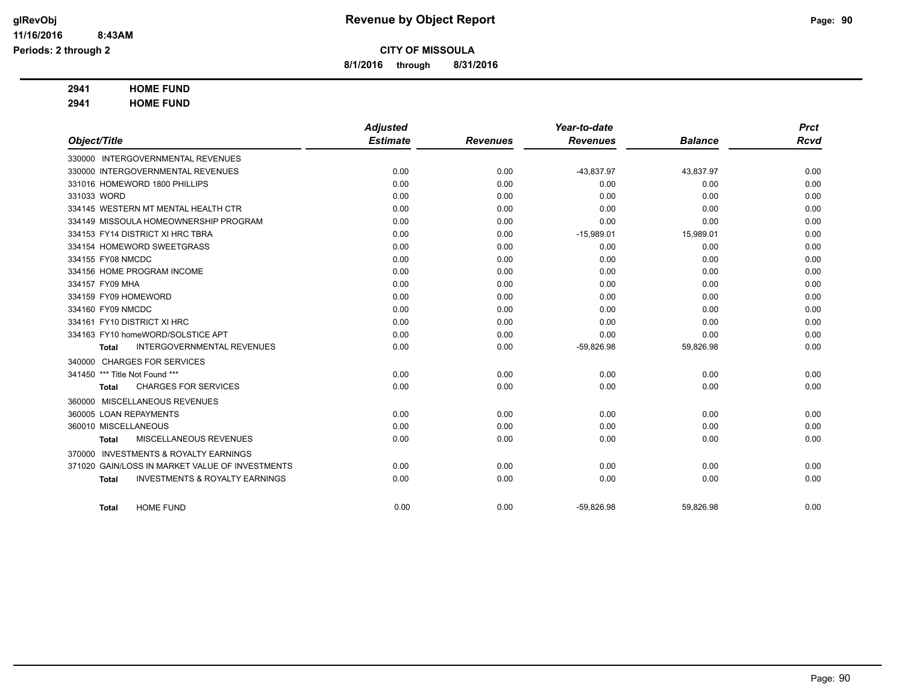**8/1/2016 through 8/31/2016**

## **2941 HOME FUND**

**2941 HOME FUND**

|                                                           | <b>Adjusted</b> |                 | Year-to-date    |                | <b>Prct</b> |
|-----------------------------------------------------------|-----------------|-----------------|-----------------|----------------|-------------|
| Object/Title                                              | <b>Estimate</b> | <b>Revenues</b> | <b>Revenues</b> | <b>Balance</b> | <b>Rcvd</b> |
| 330000 INTERGOVERNMENTAL REVENUES                         |                 |                 |                 |                |             |
| 330000 INTERGOVERNMENTAL REVENUES                         | 0.00            | 0.00            | -43,837.97      | 43,837.97      | 0.00        |
| 331016 HOMEWORD 1800 PHILLIPS                             | 0.00            | 0.00            | 0.00            | 0.00           | 0.00        |
| 331033 WORD                                               | 0.00            | 0.00            | 0.00            | 0.00           | 0.00        |
| 334145 WESTERN MT MENTAL HEALTH CTR                       | 0.00            | 0.00            | 0.00            | 0.00           | 0.00        |
| 334149 MISSOULA HOMEOWNERSHIP PROGRAM                     | 0.00            | 0.00            | 0.00            | 0.00           | 0.00        |
| 334153 FY14 DISTRICT XI HRC TBRA                          | 0.00            | 0.00            | $-15,989.01$    | 15,989.01      | 0.00        |
| 334154 HOMEWORD SWEETGRASS                                | 0.00            | 0.00            | 0.00            | 0.00           | 0.00        |
| 334155 FY08 NMCDC                                         | 0.00            | 0.00            | 0.00            | 0.00           | 0.00        |
| 334156 HOME PROGRAM INCOME                                | 0.00            | 0.00            | 0.00            | 0.00           | 0.00        |
| 334157 FY09 MHA                                           | 0.00            | 0.00            | 0.00            | 0.00           | 0.00        |
| 334159 FY09 HOMEWORD                                      | 0.00            | 0.00            | 0.00            | 0.00           | 0.00        |
| 334160 FY09 NMCDC                                         | 0.00            | 0.00            | 0.00            | 0.00           | 0.00        |
| 334161 FY10 DISTRICT XI HRC                               | 0.00            | 0.00            | 0.00            | 0.00           | 0.00        |
| 334163 FY10 homeWORD/SOLSTICE APT                         | 0.00            | 0.00            | 0.00            | 0.00           | 0.00        |
| <b>INTERGOVERNMENTAL REVENUES</b><br><b>Total</b>         | 0.00            | 0.00            | $-59,826.98$    | 59,826.98      | 0.00        |
| 340000 CHARGES FOR SERVICES                               |                 |                 |                 |                |             |
| 341450 *** Title Not Found ***                            | 0.00            | 0.00            | 0.00            | 0.00           | 0.00        |
| <b>CHARGES FOR SERVICES</b><br>Total                      | 0.00            | 0.00            | 0.00            | 0.00           | 0.00        |
| 360000 MISCELLANEOUS REVENUES                             |                 |                 |                 |                |             |
| 360005 LOAN REPAYMENTS                                    | 0.00            | 0.00            | 0.00            | 0.00           | 0.00        |
| 360010 MISCELLANEOUS                                      | 0.00            | 0.00            | 0.00            | 0.00           | 0.00        |
| <b>MISCELLANEOUS REVENUES</b><br><b>Total</b>             | 0.00            | 0.00            | 0.00            | 0.00           | 0.00        |
| 370000 INVESTMENTS & ROYALTY EARNINGS                     |                 |                 |                 |                |             |
| 371020 GAIN/LOSS IN MARKET VALUE OF INVESTMENTS           | 0.00            | 0.00            | 0.00            | 0.00           | 0.00        |
| <b>INVESTMENTS &amp; ROYALTY EARNINGS</b><br><b>Total</b> | 0.00            | 0.00            | 0.00            | 0.00           | 0.00        |
|                                                           |                 |                 |                 |                |             |
| <b>HOME FUND</b><br><b>Total</b>                          | 0.00            | 0.00            | $-59,826.98$    | 59,826.98      | 0.00        |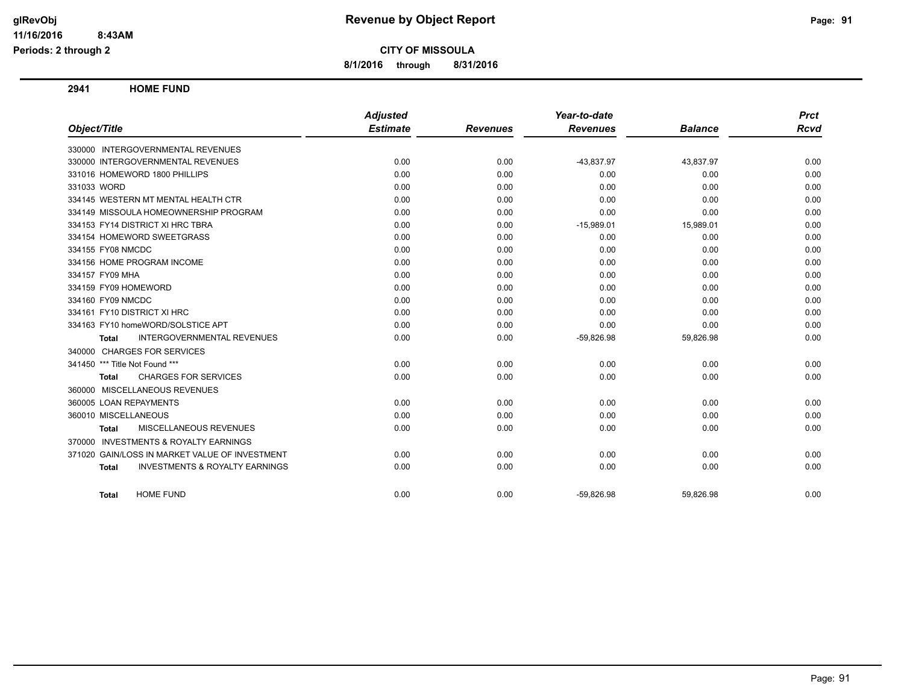**CITY OF MISSOULA**

**8/1/2016 through 8/31/2016**

**2941 HOME FUND**

|                                                           | <b>Adjusted</b> |                 | Year-to-date    |                | <b>Prct</b> |
|-----------------------------------------------------------|-----------------|-----------------|-----------------|----------------|-------------|
| Object/Title                                              | <b>Estimate</b> | <b>Revenues</b> | <b>Revenues</b> | <b>Balance</b> | <b>Rcvd</b> |
| 330000 INTERGOVERNMENTAL REVENUES                         |                 |                 |                 |                |             |
| 330000 INTERGOVERNMENTAL REVENUES                         | 0.00            | 0.00            | -43,837.97      | 43,837.97      | 0.00        |
| 331016 HOMEWORD 1800 PHILLIPS                             | 0.00            | 0.00            | 0.00            | 0.00           | 0.00        |
| 331033 WORD                                               | 0.00            | 0.00            | 0.00            | 0.00           | 0.00        |
| 334145 WESTERN MT MENTAL HEALTH CTR                       | 0.00            | 0.00            | 0.00            | 0.00           | 0.00        |
| 334149 MISSOULA HOMEOWNERSHIP PROGRAM                     | 0.00            | 0.00            | 0.00            | 0.00           | 0.00        |
| 334153 FY14 DISTRICT XI HRC TBRA                          | 0.00            | 0.00            | $-15,989.01$    | 15,989.01      | 0.00        |
| 334154 HOMEWORD SWEETGRASS                                | 0.00            | 0.00            | 0.00            | 0.00           | 0.00        |
| 334155 FY08 NMCDC                                         | 0.00            | 0.00            | 0.00            | 0.00           | 0.00        |
| 334156 HOME PROGRAM INCOME                                | 0.00            | 0.00            | 0.00            | 0.00           | 0.00        |
| 334157 FY09 MHA                                           | 0.00            | 0.00            | 0.00            | 0.00           | 0.00        |
| 334159 FY09 HOMEWORD                                      | 0.00            | 0.00            | 0.00            | 0.00           | 0.00        |
| 334160 FY09 NMCDC                                         | 0.00            | 0.00            | 0.00            | 0.00           | 0.00        |
| 334161 FY10 DISTRICT XI HRC                               | 0.00            | 0.00            | 0.00            | 0.00           | 0.00        |
| 334163 FY10 homeWORD/SOLSTICE APT                         | 0.00            | 0.00            | 0.00            | 0.00           | 0.00        |
| INTERGOVERNMENTAL REVENUES<br><b>Total</b>                | 0.00            | 0.00            | $-59,826.98$    | 59,826.98      | 0.00        |
| 340000 CHARGES FOR SERVICES                               |                 |                 |                 |                |             |
| 341450 *** Title Not Found ***                            | 0.00            | 0.00            | 0.00            | 0.00           | 0.00        |
| <b>CHARGES FOR SERVICES</b><br><b>Total</b>               | 0.00            | 0.00            | 0.00            | 0.00           | 0.00        |
| 360000 MISCELLANEOUS REVENUES                             |                 |                 |                 |                |             |
| 360005 LOAN REPAYMENTS                                    | 0.00            | 0.00            | 0.00            | 0.00           | 0.00        |
| 360010 MISCELLANEOUS                                      | 0.00            | 0.00            | 0.00            | 0.00           | 0.00        |
| MISCELLANEOUS REVENUES<br>Total                           | 0.00            | 0.00            | 0.00            | 0.00           | 0.00        |
| 370000 INVESTMENTS & ROYALTY EARNINGS                     |                 |                 |                 |                |             |
| 371020 GAIN/LOSS IN MARKET VALUE OF INVESTMENT            | 0.00            | 0.00            | 0.00            | 0.00           | 0.00        |
| <b>INVESTMENTS &amp; ROYALTY EARNINGS</b><br><b>Total</b> | 0.00            | 0.00            | 0.00            | 0.00           | 0.00        |
| <b>HOME FUND</b><br><b>Total</b>                          | 0.00            | 0.00            | $-59,826.98$    | 59,826.98      | 0.00        |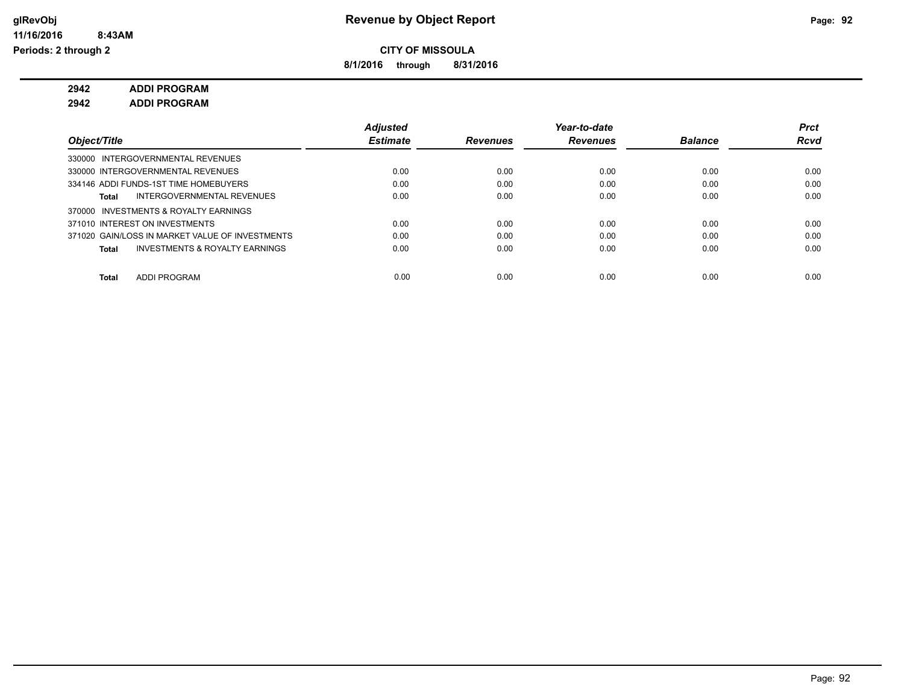**8/1/2016 through 8/31/2016**

**2942 ADDI PROGRAM**

**2942 ADDI PROGRAM**

|                                                    | Adjusted        |                 | Year-to-date    |                | <b>Prct</b> |
|----------------------------------------------------|-----------------|-----------------|-----------------|----------------|-------------|
| Object/Title                                       | <b>Estimate</b> | <b>Revenues</b> | <b>Revenues</b> | <b>Balance</b> | <b>Rcvd</b> |
| 330000 INTERGOVERNMENTAL REVENUES                  |                 |                 |                 |                |             |
| 330000 INTERGOVERNMENTAL REVENUES                  | 0.00            | 0.00            | 0.00            | 0.00           | 0.00        |
| 334146 ADDI FUNDS-1ST TIME HOMEBUYERS              | 0.00            | 0.00            | 0.00            | 0.00           | 0.00        |
| INTERGOVERNMENTAL REVENUES<br>Total                | 0.00            | 0.00            | 0.00            | 0.00           | 0.00        |
| 370000 INVESTMENTS & ROYALTY EARNINGS              |                 |                 |                 |                |             |
| 371010 INTEREST ON INVESTMENTS                     | 0.00            | 0.00            | 0.00            | 0.00           | 0.00        |
| 371020 GAIN/LOSS IN MARKET VALUE OF INVESTMENTS    | 0.00            | 0.00            | 0.00            | 0.00           | 0.00        |
| <b>INVESTMENTS &amp; ROYALTY EARNINGS</b><br>Total | 0.00            | 0.00            | 0.00            | 0.00           | 0.00        |
| <b>ADDI PROGRAM</b><br>Total                       | 0.00            | 0.00            | 0.00            | 0.00           | 0.00        |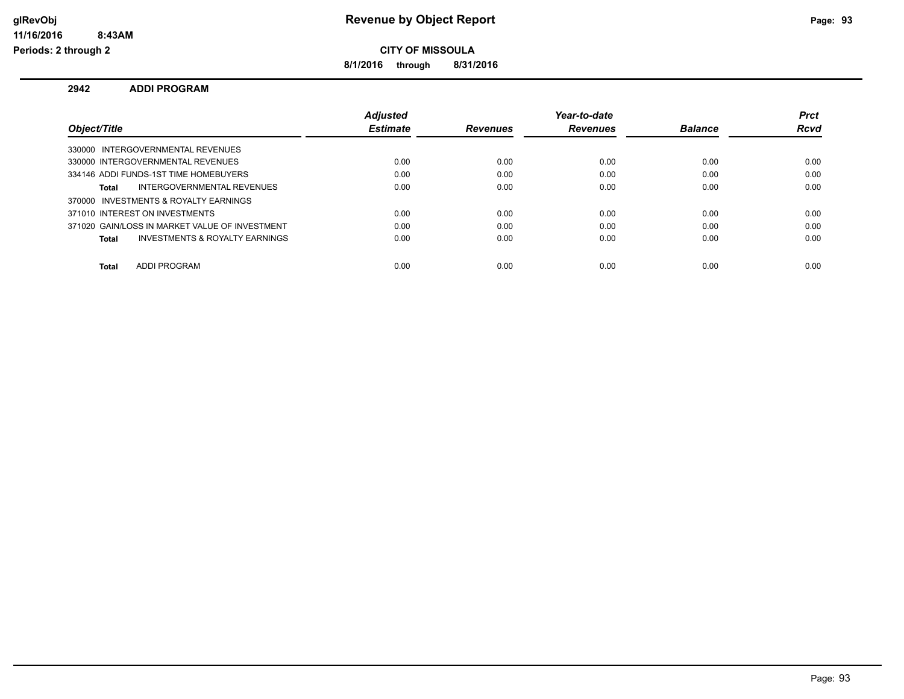**CITY OF MISSOULA**

**8/1/2016 through 8/31/2016**

**2942 ADDI PROGRAM**

 **8:43AM**

|                                                | <b>Adiusted</b> |                 | Year-to-date    |                | <b>Prct</b> |
|------------------------------------------------|-----------------|-----------------|-----------------|----------------|-------------|
| Object/Title                                   | <b>Estimate</b> | <b>Revenues</b> | <b>Revenues</b> | <b>Balance</b> | <b>Rcvd</b> |
| 330000 INTERGOVERNMENTAL REVENUES              |                 |                 |                 |                |             |
| 330000 INTERGOVERNMENTAL REVENUES              | 0.00            | 0.00            | 0.00            | 0.00           | 0.00        |
| 334146 ADDI FUNDS-1ST TIME HOMEBUYERS          | 0.00            | 0.00            | 0.00            | 0.00           | 0.00        |
| INTERGOVERNMENTAL REVENUES<br><b>Total</b>     | 0.00            | 0.00            | 0.00            | 0.00           | 0.00        |
| 370000 INVESTMENTS & ROYALTY EARNINGS          |                 |                 |                 |                |             |
| 371010 INTEREST ON INVESTMENTS                 | 0.00            | 0.00            | 0.00            | 0.00           | 0.00        |
| 371020 GAIN/LOSS IN MARKET VALUE OF INVESTMENT | 0.00            | 0.00            | 0.00            | 0.00           | 0.00        |
| INVESTMENTS & ROYALTY EARNINGS<br>Total        | 0.00            | 0.00            | 0.00            | 0.00           | 0.00        |
|                                                |                 |                 |                 |                |             |
| ADDI PROGRAM<br><b>Total</b>                   | 0.00            | 0.00            | 0.00            | 0.00           | 0.00        |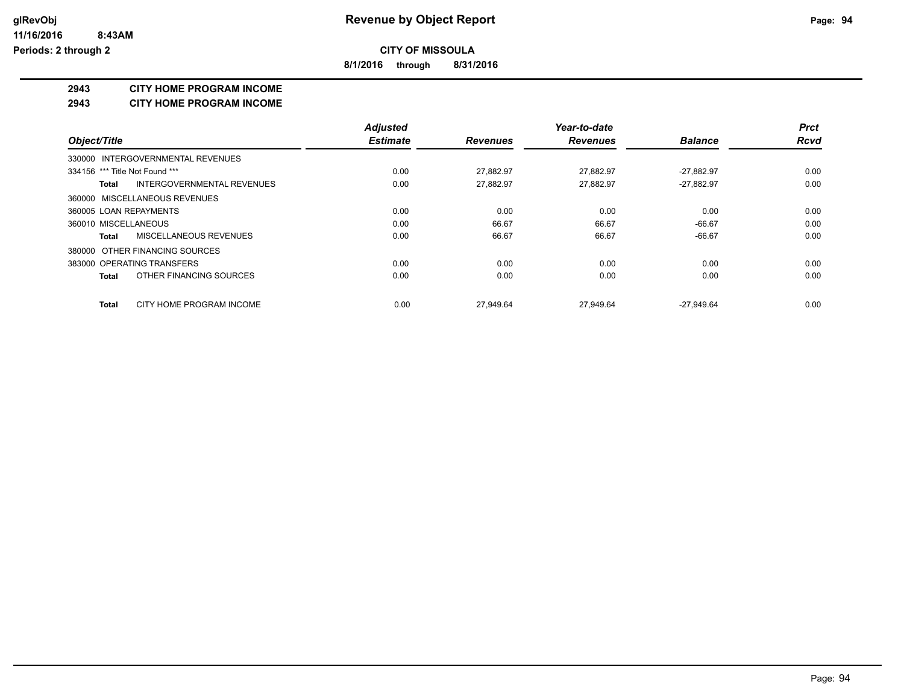**CITY OF MISSOULA**

**8/1/2016 through 8/31/2016**

#### **2943 CITY HOME PROGRAM INCOME**

 **8:43AM**

#### **2943 CITY HOME PROGRAM INCOME**

|                                     | <b>Adjusted</b> |                 | Year-to-date    |                | <b>Prct</b> |
|-------------------------------------|-----------------|-----------------|-----------------|----------------|-------------|
| Object/Title                        | <b>Estimate</b> | <b>Revenues</b> | <b>Revenues</b> | <b>Balance</b> | <b>Rcvd</b> |
| 330000 INTERGOVERNMENTAL REVENUES   |                 |                 |                 |                |             |
| 334156 *** Title Not Found ***      | 0.00            | 27.882.97       | 27.882.97       | $-27,882.97$   | 0.00        |
| INTERGOVERNMENTAL REVENUES<br>Total | 0.00            | 27.882.97       | 27.882.97       | $-27.882.97$   | 0.00        |
| 360000 MISCELLANEOUS REVENUES       |                 |                 |                 |                |             |
| 360005 LOAN REPAYMENTS              | 0.00            | 0.00            | 0.00            | 0.00           | 0.00        |
| 360010 MISCELLANEOUS                | 0.00            | 66.67           | 66.67           | $-66.67$       | 0.00        |
| MISCELLANEOUS REVENUES<br>Total     | 0.00            | 66.67           | 66.67           | $-66.67$       | 0.00        |
| 380000 OTHER FINANCING SOURCES      |                 |                 |                 |                |             |
| 383000 OPERATING TRANSFERS          | 0.00            | 0.00            | 0.00            | 0.00           | 0.00        |
| OTHER FINANCING SOURCES<br>Total    | 0.00            | 0.00            | 0.00            | 0.00           | 0.00        |
| CITY HOME PROGRAM INCOME<br>Total   | 0.00            | 27.949.64       | 27.949.64       | $-27.949.64$   | 0.00        |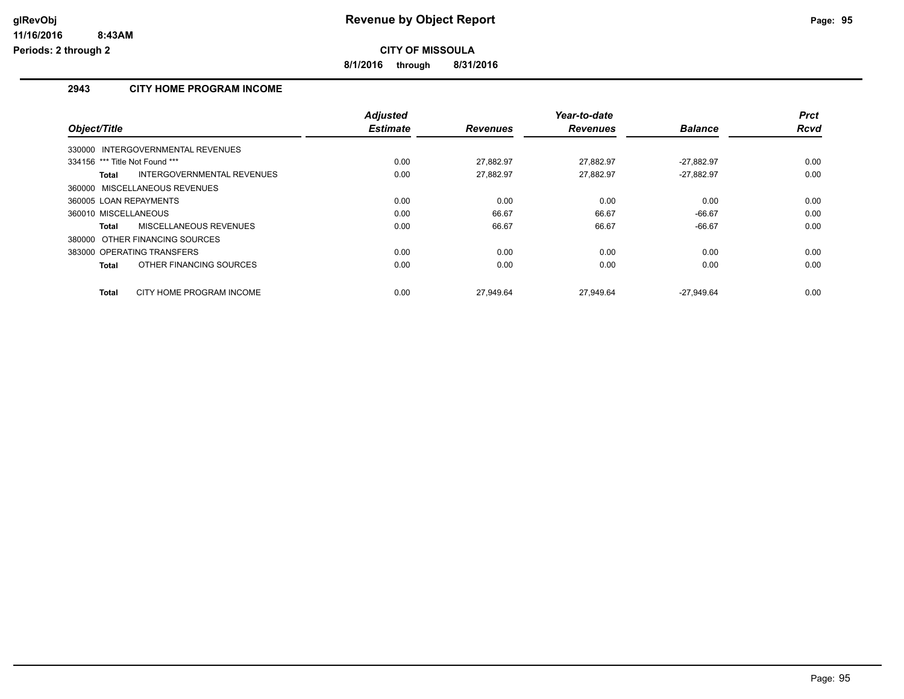**CITY OF MISSOULA**

**8/1/2016 through 8/31/2016**

#### **2943 CITY HOME PROGRAM INCOME**

 **8:43AM**

|                                            | <b>Adjusted</b><br><b>Estimate</b> |                 | Year-to-date    |                | <b>Prct</b><br><b>Rcvd</b> |
|--------------------------------------------|------------------------------------|-----------------|-----------------|----------------|----------------------------|
| Object/Title                               |                                    | <b>Revenues</b> | <b>Revenues</b> | <b>Balance</b> |                            |
| 330000 INTERGOVERNMENTAL REVENUES          |                                    |                 |                 |                |                            |
| 334156 *** Title Not Found ***             | 0.00                               | 27,882.97       | 27,882.97       | $-27,882.97$   | 0.00                       |
| INTERGOVERNMENTAL REVENUES<br><b>Total</b> | 0.00                               | 27,882.97       | 27,882.97       | $-27,882.97$   | 0.00                       |
| 360000 MISCELLANEOUS REVENUES              |                                    |                 |                 |                |                            |
| 360005 LOAN REPAYMENTS                     | 0.00                               | 0.00            | 0.00            | 0.00           | 0.00                       |
| 360010 MISCELLANEOUS                       | 0.00                               | 66.67           | 66.67           | $-66.67$       | 0.00                       |
| <b>MISCELLANEOUS REVENUES</b><br>Total     | 0.00                               | 66.67           | 66.67           | $-66.67$       | 0.00                       |
| 380000 OTHER FINANCING SOURCES             |                                    |                 |                 |                |                            |
| 383000 OPERATING TRANSFERS                 | 0.00                               | 0.00            | 0.00            | 0.00           | 0.00                       |
| OTHER FINANCING SOURCES<br>Total           | 0.00                               | 0.00            | 0.00            | 0.00           | 0.00                       |
| CITY HOME PROGRAM INCOME<br><b>Total</b>   | 0.00                               | 27.949.64       | 27.949.64       | $-27.949.64$   | 0.00                       |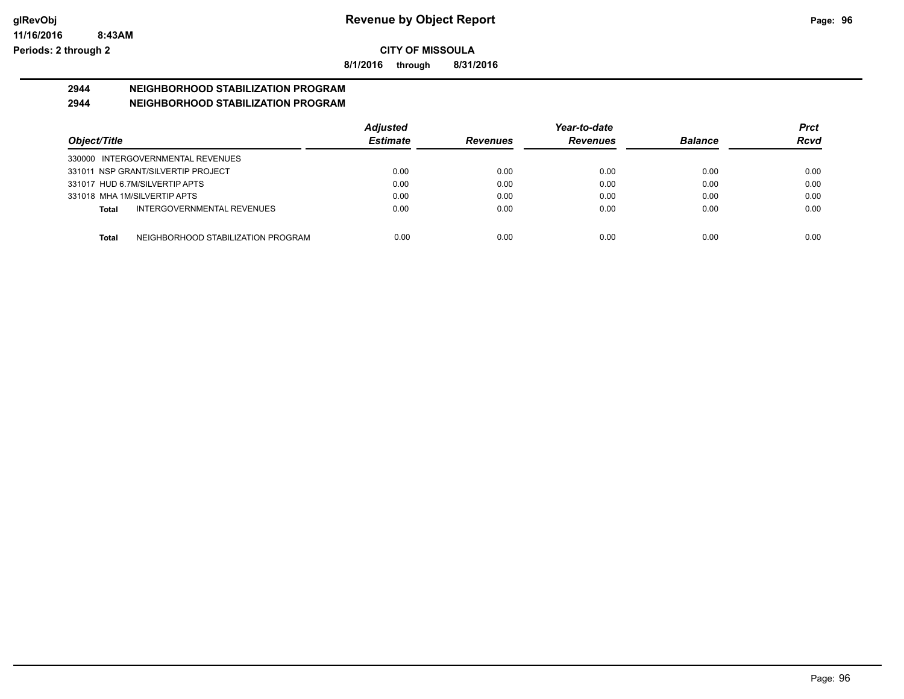**8/1/2016 through 8/31/2016**

# **2944 NEIGHBORHOOD STABILIZATION PROGRAM**

## **2944 NEIGHBORHOOD STABILIZATION PROGRAM**

|                                                    | <b>Adjusted</b> |                 | Year-to-date    |                | <b>Prct</b> |
|----------------------------------------------------|-----------------|-----------------|-----------------|----------------|-------------|
| Object/Title                                       | <b>Estimate</b> | <b>Revenues</b> | <b>Revenues</b> | <b>Balance</b> | Rcvd        |
| 330000 INTERGOVERNMENTAL REVENUES                  |                 |                 |                 |                |             |
| 331011 NSP GRANT/SILVERTIP PROJECT                 | 0.00            | 0.00            | 0.00            | 0.00           | 0.00        |
| 331017 HUD 6.7M/SILVERTIP APTS                     | 0.00            | 0.00            | 0.00            | 0.00           | 0.00        |
| 331018 MHA 1M/SILVERTIP APTS                       | 0.00            | 0.00            | 0.00            | 0.00           | 0.00        |
| INTERGOVERNMENTAL REVENUES<br><b>Total</b>         | 0.00            | 0.00            | 0.00            | 0.00           | 0.00        |
| NEIGHBORHOOD STABILIZATION PROGRAM<br><b>Total</b> | 0.00            | 0.00            | 0.00            | 0.00           | 0.00        |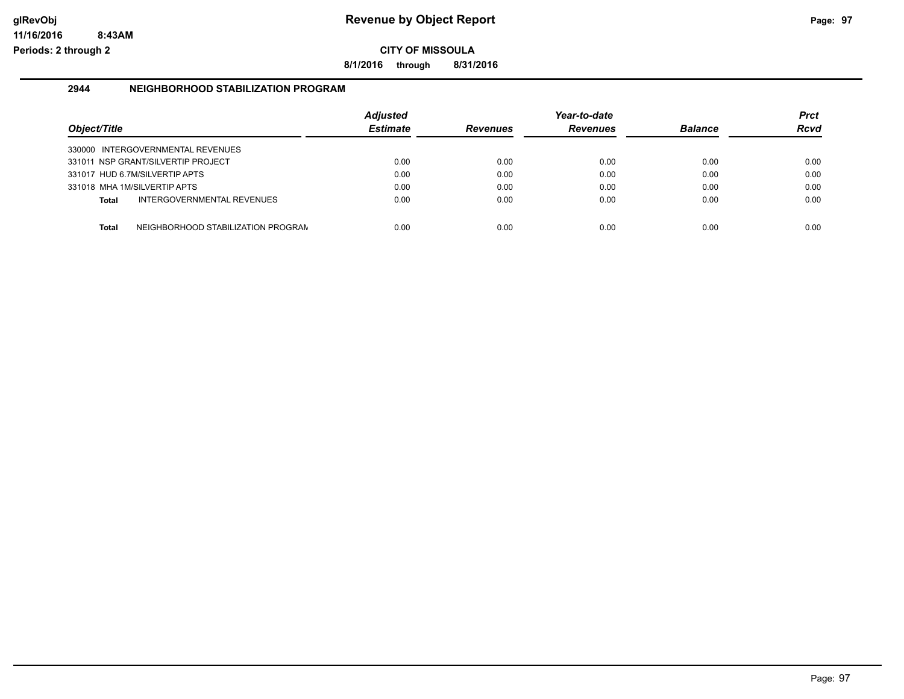**8/1/2016 through 8/31/2016**

#### **2944 NEIGHBORHOOD STABILIZATION PROGRAM**

| Object/Title |                                    | <b>Adjusted</b><br><b>Estimate</b> | <b>Revenues</b> | Year-to-date<br><b>Revenues</b> | <b>Balance</b> | <b>Prct</b><br><b>Rcvd</b> |
|--------------|------------------------------------|------------------------------------|-----------------|---------------------------------|----------------|----------------------------|
|              | 330000 INTERGOVERNMENTAL REVENUES  |                                    |                 |                                 |                |                            |
|              | 331011 NSP GRANT/SILVERTIP PROJECT | 0.00                               | 0.00            | 0.00                            | 0.00           | 0.00                       |
|              | 331017 HUD 6.7M/SILVERTIP APTS     | 0.00                               | 0.00            | 0.00                            | 0.00           | 0.00                       |
|              | 331018 MHA 1M/SILVERTIP APTS       | 0.00                               | 0.00            | 0.00                            | 0.00           | 0.00                       |
| Total        | INTERGOVERNMENTAL REVENUES         | 0.00                               | 0.00            | 0.00                            | 0.00           | 0.00                       |
| <b>Total</b> | NEIGHBORHOOD STABILIZATION PROGRAN | 0.00                               | 0.00            | 0.00                            | 0.00           | 0.00                       |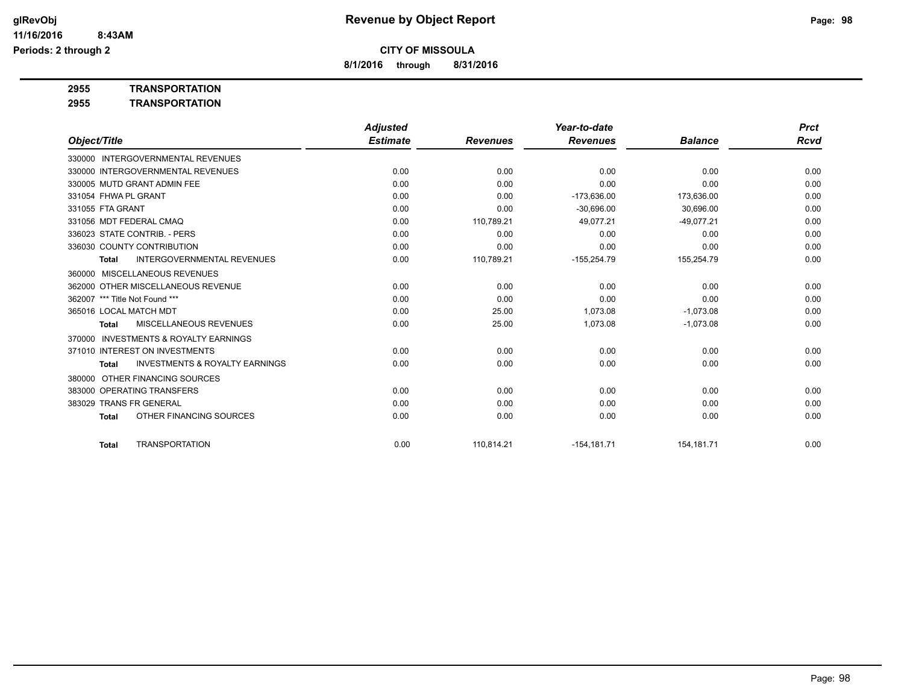**8/1/2016 through 8/31/2016**

**2955 TRANSPORTATION**

**2955 TRANSPORTATION**

|                                                           | <b>Adjusted</b> |                 | Year-to-date    |                | <b>Prct</b> |
|-----------------------------------------------------------|-----------------|-----------------|-----------------|----------------|-------------|
| Object/Title                                              | <b>Estimate</b> | <b>Revenues</b> | <b>Revenues</b> | <b>Balance</b> | <b>Rcvd</b> |
| 330000 INTERGOVERNMENTAL REVENUES                         |                 |                 |                 |                |             |
| 330000 INTERGOVERNMENTAL REVENUES                         | 0.00            | 0.00            | 0.00            | 0.00           | 0.00        |
| 330005 MUTD GRANT ADMIN FEE                               | 0.00            | 0.00            | 0.00            | 0.00           | 0.00        |
| 331054 FHWA PL GRANT                                      | 0.00            | 0.00            | $-173.636.00$   | 173.636.00     | 0.00        |
| 331055 FTA GRANT                                          | 0.00            | 0.00            | $-30.696.00$    | 30.696.00      | 0.00        |
| 331056 MDT FEDERAL CMAQ                                   | 0.00            | 110,789.21      | 49,077.21       | $-49,077.21$   | 0.00        |
| 336023 STATE CONTRIB. - PERS                              | 0.00            | 0.00            | 0.00            | 0.00           | 0.00        |
| 336030 COUNTY CONTRIBUTION                                | 0.00            | 0.00            | 0.00            | 0.00           | 0.00        |
| <b>INTERGOVERNMENTAL REVENUES</b><br><b>Total</b>         | 0.00            | 110,789.21      | $-155,254.79$   | 155,254.79     | 0.00        |
| <b>MISCELLANEOUS REVENUES</b><br>360000                   |                 |                 |                 |                |             |
| 362000 OTHER MISCELLANEOUS REVENUE                        | 0.00            | 0.00            | 0.00            | 0.00           | 0.00        |
| 362007 *** Title Not Found ***                            | 0.00            | 0.00            | 0.00            | 0.00           | 0.00        |
| 365016 LOCAL MATCH MDT                                    | 0.00            | 25.00           | 1,073.08        | $-1,073.08$    | 0.00        |
| MISCELLANEOUS REVENUES<br><b>Total</b>                    | 0.00            | 25.00           | 1,073.08        | $-1,073.08$    | 0.00        |
| <b>INVESTMENTS &amp; ROYALTY EARNINGS</b><br>370000       |                 |                 |                 |                |             |
| 371010 INTEREST ON INVESTMENTS                            | 0.00            | 0.00            | 0.00            | 0.00           | 0.00        |
| <b>INVESTMENTS &amp; ROYALTY EARNINGS</b><br><b>Total</b> | 0.00            | 0.00            | 0.00            | 0.00           | 0.00        |
| OTHER FINANCING SOURCES<br>380000                         |                 |                 |                 |                |             |
| 383000 OPERATING TRANSFERS                                | 0.00            | 0.00            | 0.00            | 0.00           | 0.00        |
| 383029 TRANS FR GENERAL                                   | 0.00            | 0.00            | 0.00            | 0.00           | 0.00        |
| OTHER FINANCING SOURCES<br><b>Total</b>                   | 0.00            | 0.00            | 0.00            | 0.00           | 0.00        |
| <b>TRANSPORTATION</b><br><b>Total</b>                     | 0.00            | 110,814.21      | $-154, 181.71$  | 154, 181. 71   | 0.00        |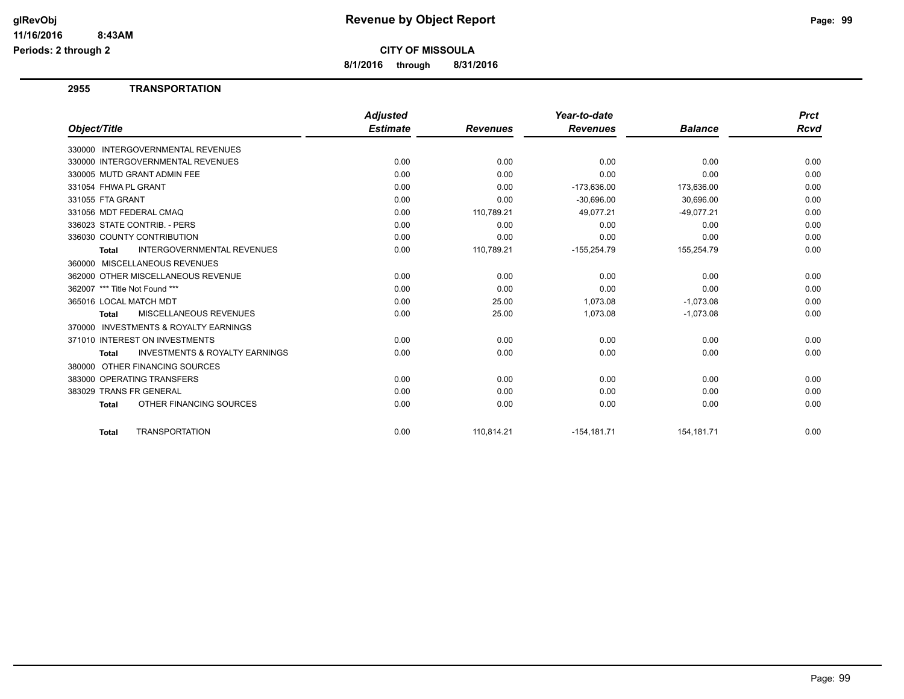**8/1/2016 through 8/31/2016**

#### **2955 TRANSPORTATION**

|                                                           | <b>Adjusted</b> |                 | Year-to-date    |                | <b>Prct</b> |
|-----------------------------------------------------------|-----------------|-----------------|-----------------|----------------|-------------|
| Object/Title                                              | <b>Estimate</b> | <b>Revenues</b> | <b>Revenues</b> | <b>Balance</b> | Rcvd        |
| 330000 INTERGOVERNMENTAL REVENUES                         |                 |                 |                 |                |             |
| 330000 INTERGOVERNMENTAL REVENUES                         | 0.00            | 0.00            | 0.00            | 0.00           | 0.00        |
| 330005 MUTD GRANT ADMIN FEE                               | 0.00            | 0.00            | 0.00            | 0.00           | 0.00        |
| 331054 FHWA PL GRANT                                      | 0.00            | 0.00            | $-173,636.00$   | 173,636.00     | 0.00        |
| 331055 FTA GRANT                                          | 0.00            | 0.00            | $-30,696.00$    | 30,696.00      | 0.00        |
| 331056 MDT FEDERAL CMAQ                                   | 0.00            | 110,789.21      | 49,077.21       | $-49,077.21$   | 0.00        |
| 336023 STATE CONTRIB. - PERS                              | 0.00            | 0.00            | 0.00            | 0.00           | 0.00        |
| 336030 COUNTY CONTRIBUTION                                | 0.00            | 0.00            | 0.00            | 0.00           | 0.00        |
| <b>INTERGOVERNMENTAL REVENUES</b><br><b>Total</b>         | 0.00            | 110,789.21      | $-155,254.79$   | 155,254.79     | 0.00        |
| 360000 MISCELLANEOUS REVENUES                             |                 |                 |                 |                |             |
| 362000 OTHER MISCELLANEOUS REVENUE                        | 0.00            | 0.00            | 0.00            | 0.00           | 0.00        |
| 362007 *** Title Not Found ***                            | 0.00            | 0.00            | 0.00            | 0.00           | 0.00        |
| 365016 LOCAL MATCH MDT                                    | 0.00            | 25.00           | 1,073.08        | $-1,073.08$    | 0.00        |
| MISCELLANEOUS REVENUES<br><b>Total</b>                    | 0.00            | 25.00           | 1,073.08        | $-1,073.08$    | 0.00        |
| 370000 INVESTMENTS & ROYALTY EARNINGS                     |                 |                 |                 |                |             |
| 371010 INTEREST ON INVESTMENTS                            | 0.00            | 0.00            | 0.00            | 0.00           | 0.00        |
| <b>INVESTMENTS &amp; ROYALTY EARNINGS</b><br><b>Total</b> | 0.00            | 0.00            | 0.00            | 0.00           | 0.00        |
| 380000 OTHER FINANCING SOURCES                            |                 |                 |                 |                |             |
| 383000 OPERATING TRANSFERS                                | 0.00            | 0.00            | 0.00            | 0.00           | 0.00        |
| 383029 TRANS FR GENERAL                                   | 0.00            | 0.00            | 0.00            | 0.00           | 0.00        |
| OTHER FINANCING SOURCES<br><b>Total</b>                   | 0.00            | 0.00            | 0.00            | 0.00           | 0.00        |
| <b>TRANSPORTATION</b><br><b>Total</b>                     | 0.00            | 110.814.21      | $-154.181.71$   | 154.181.71     | 0.00        |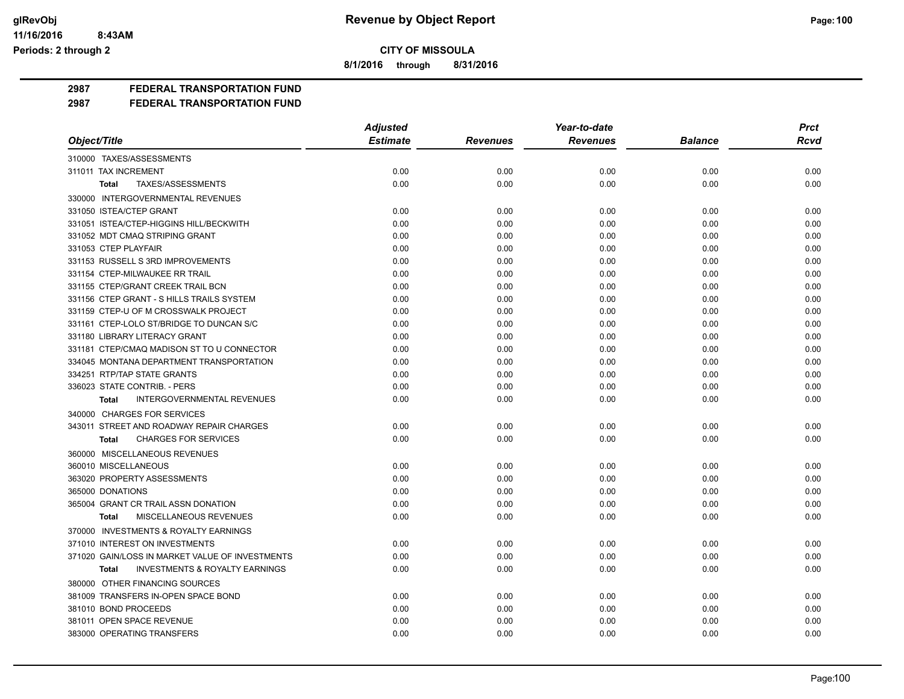**8/1/2016 through 8/31/2016**

**2987 FEDERAL TRANSPORTATION FUND**

|                                                           | <b>Adjusted</b> |                 | Year-to-date    | <b>Prct</b>    |      |
|-----------------------------------------------------------|-----------------|-----------------|-----------------|----------------|------|
| Object/Title                                              | <b>Estimate</b> | <b>Revenues</b> | <b>Revenues</b> | <b>Balance</b> | Rcvd |
| 310000 TAXES/ASSESSMENTS                                  |                 |                 |                 |                |      |
| 311011 TAX INCREMENT                                      | 0.00            | 0.00            | 0.00            | 0.00           | 0.00 |
| TAXES/ASSESSMENTS<br><b>Total</b>                         | 0.00            | 0.00            | 0.00            | 0.00           | 0.00 |
| 330000 INTERGOVERNMENTAL REVENUES                         |                 |                 |                 |                |      |
| 331050 ISTEA/CTEP GRANT                                   | 0.00            | 0.00            | 0.00            | 0.00           | 0.00 |
| 331051 ISTEA/CTEP-HIGGINS HILL/BECKWITH                   | 0.00            | 0.00            | 0.00            | 0.00           | 0.00 |
| 331052 MDT CMAQ STRIPING GRANT                            | 0.00            | 0.00            | 0.00            | 0.00           | 0.00 |
| 331053 CTEP PLAYFAIR                                      | 0.00            | 0.00            | 0.00            | 0.00           | 0.00 |
| 331153 RUSSELL S 3RD IMPROVEMENTS                         | 0.00            | 0.00            | 0.00            | 0.00           | 0.00 |
| 331154 CTEP-MILWAUKEE RR TRAIL                            | 0.00            | 0.00            | 0.00            | 0.00           | 0.00 |
| 331155 CTEP/GRANT CREEK TRAIL BCN                         | 0.00            | 0.00            | 0.00            | 0.00           | 0.00 |
| 331156 CTEP GRANT - S HILLS TRAILS SYSTEM                 | 0.00            | 0.00            | 0.00            | 0.00           | 0.00 |
| 331159 CTEP-U OF M CROSSWALK PROJECT                      | 0.00            | 0.00            | 0.00            | 0.00           | 0.00 |
| 331161 CTEP-LOLO ST/BRIDGE TO DUNCAN S/C                  | 0.00            | 0.00            | 0.00            | 0.00           | 0.00 |
| 331180 LIBRARY LITERACY GRANT                             | 0.00            | 0.00            | 0.00            | 0.00           | 0.00 |
| 331181 CTEP/CMAQ MADISON ST TO U CONNECTOR                | 0.00            | 0.00            | 0.00            | 0.00           | 0.00 |
| 334045 MONTANA DEPARTMENT TRANSPORTATION                  | 0.00            | 0.00            | 0.00            | 0.00           | 0.00 |
| 334251 RTP/TAP STATE GRANTS                               | 0.00            | 0.00            | 0.00            | 0.00           | 0.00 |
| 336023 STATE CONTRIB. - PERS                              | 0.00            | 0.00            | 0.00            | 0.00           | 0.00 |
| <b>INTERGOVERNMENTAL REVENUES</b><br><b>Total</b>         | 0.00            | 0.00            | 0.00            | 0.00           | 0.00 |
| 340000 CHARGES FOR SERVICES                               |                 |                 |                 |                |      |
| 343011 STREET AND ROADWAY REPAIR CHARGES                  | 0.00            | 0.00            | 0.00            | 0.00           | 0.00 |
| <b>CHARGES FOR SERVICES</b><br><b>Total</b>               | 0.00            | 0.00            | 0.00            | 0.00           | 0.00 |
| 360000 MISCELLANEOUS REVENUES                             |                 |                 |                 |                |      |
| 360010 MISCELLANEOUS                                      | 0.00            | 0.00            | 0.00            | 0.00           | 0.00 |
| 363020 PROPERTY ASSESSMENTS                               | 0.00            | 0.00            | 0.00            | 0.00           | 0.00 |
| 365000 DONATIONS                                          | 0.00            | 0.00            | 0.00            | 0.00           | 0.00 |
| 365004 GRANT CR TRAIL ASSN DONATION                       | 0.00            | 0.00            | 0.00            | 0.00           | 0.00 |
| MISCELLANEOUS REVENUES<br><b>Total</b>                    | 0.00            | 0.00            | 0.00            | 0.00           | 0.00 |
| 370000 INVESTMENTS & ROYALTY EARNINGS                     |                 |                 |                 |                |      |
| 371010 INTEREST ON INVESTMENTS                            | 0.00            | 0.00            | 0.00            | 0.00           | 0.00 |
| 371020 GAIN/LOSS IN MARKET VALUE OF INVESTMENTS           | 0.00            | 0.00            | 0.00            | 0.00           | 0.00 |
| <b>INVESTMENTS &amp; ROYALTY EARNINGS</b><br><b>Total</b> | 0.00            | 0.00            | 0.00            | 0.00           | 0.00 |
| 380000 OTHER FINANCING SOURCES                            |                 |                 |                 |                |      |
| 381009 TRANSFERS IN-OPEN SPACE BOND                       | 0.00            | 0.00            | 0.00            | 0.00           | 0.00 |
| 381010 BOND PROCEEDS                                      | 0.00            | 0.00            | 0.00            | 0.00           | 0.00 |
| 381011 OPEN SPACE REVENUE                                 | 0.00            | 0.00            | 0.00            | 0.00           | 0.00 |
| 383000 OPERATING TRANSFERS                                | 0.00            | 0.00            | 0.00            | 0.00           | 0.00 |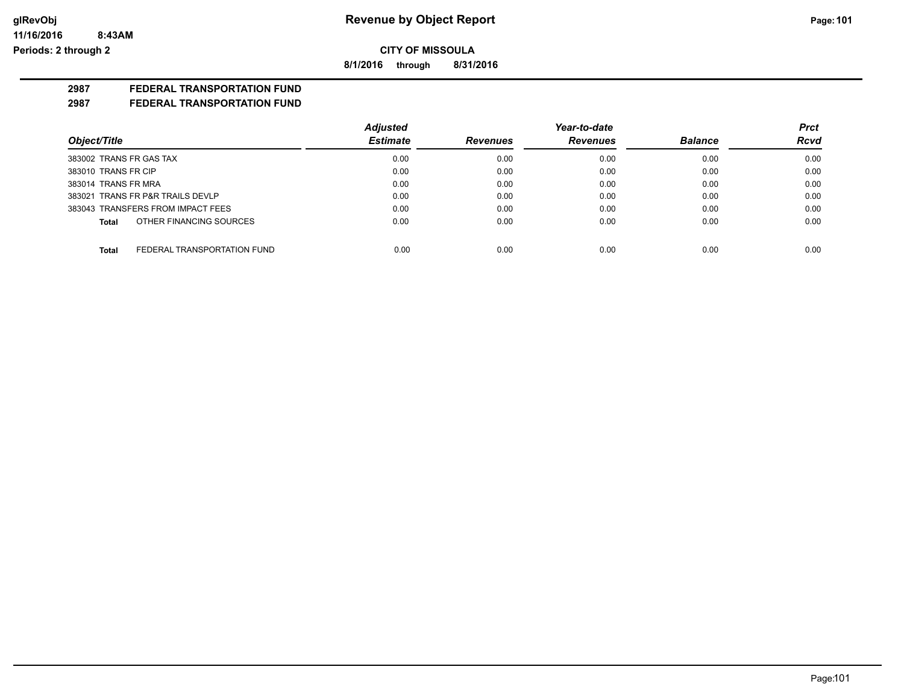**8/1/2016 through 8/31/2016**

## **2987 FEDERAL TRANSPORTATION FUND**

|                                             | <b>Adjusted</b> |                 | Year-to-date    |                | <b>Prct</b> |
|---------------------------------------------|-----------------|-----------------|-----------------|----------------|-------------|
| Obiect/Title                                | <b>Estimate</b> | <b>Revenues</b> | <b>Revenues</b> | <b>Balance</b> | Rcvd        |
| 383002 TRANS FR GAS TAX                     | 0.00            | 0.00            | 0.00            | 0.00           | 0.00        |
| 383010 TRANS FR CIP                         | 0.00            | 0.00            | 0.00            | 0.00           | 0.00        |
| 383014 TRANS FR MRA                         | 0.00            | 0.00            | 0.00            | 0.00           | 0.00        |
| 383021 TRANS FR P&R TRAILS DEVLP            | 0.00            | 0.00            | 0.00            | 0.00           | 0.00        |
| 383043 TRANSFERS FROM IMPACT FEES           | 0.00            | 0.00            | 0.00            | 0.00           | 0.00        |
| OTHER FINANCING SOURCES<br><b>Total</b>     | 0.00            | 0.00            | 0.00            | 0.00           | 0.00        |
| FEDERAL TRANSPORTATION FUND<br><b>Total</b> | 0.00            | 0.00            | 0.00            | 0.00           | 0.00        |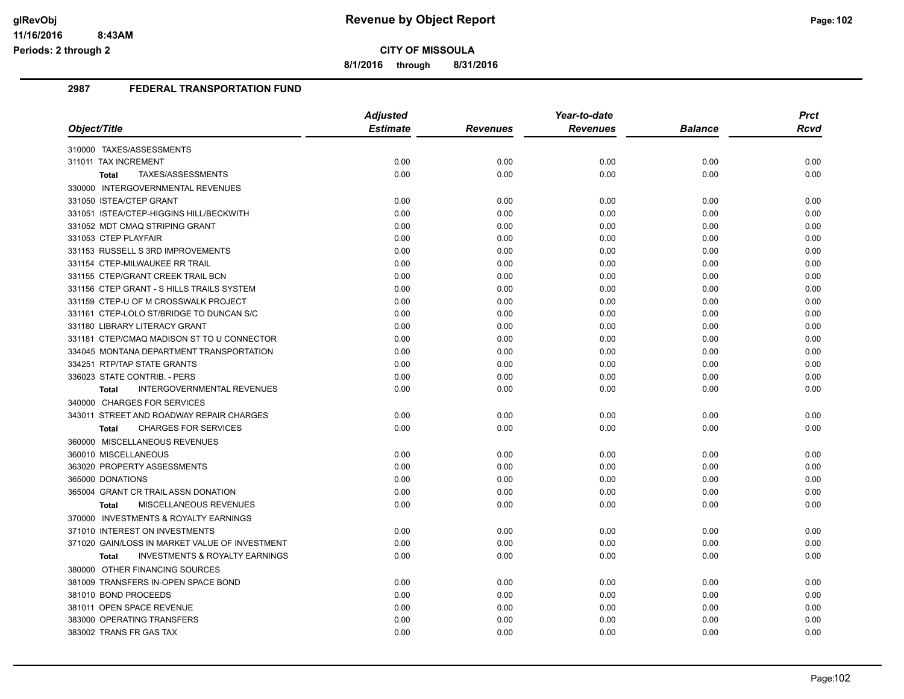**CITY OF MISSOULA**

**8/1/2016 through 8/31/2016**

|                                                           | <b>Adjusted</b> |                 | Year-to-date    |                | <b>Prct</b> |
|-----------------------------------------------------------|-----------------|-----------------|-----------------|----------------|-------------|
| Object/Title                                              | <b>Estimate</b> | <b>Revenues</b> | <b>Revenues</b> | <b>Balance</b> | <b>Rcvd</b> |
| 310000 TAXES/ASSESSMENTS                                  |                 |                 |                 |                |             |
| 311011 TAX INCREMENT                                      | 0.00            | 0.00            | 0.00            | 0.00           | 0.00        |
| TAXES/ASSESSMENTS<br><b>Total</b>                         | 0.00            | 0.00            | 0.00            | 0.00           | 0.00        |
| 330000 INTERGOVERNMENTAL REVENUES                         |                 |                 |                 |                |             |
| 331050 ISTEA/CTEP GRANT                                   | 0.00            | 0.00            | 0.00            | 0.00           | 0.00        |
| 331051 ISTEA/CTEP-HIGGINS HILL/BECKWITH                   | 0.00            | 0.00            | 0.00            | 0.00           | 0.00        |
| 331052 MDT CMAQ STRIPING GRANT                            | 0.00            | 0.00            | 0.00            | 0.00           | 0.00        |
| 331053 CTEP PLAYFAIR                                      | 0.00            | 0.00            | 0.00            | 0.00           | 0.00        |
| 331153 RUSSELL S 3RD IMPROVEMENTS                         | 0.00            | 0.00            | 0.00            | 0.00           | 0.00        |
| 331154 CTEP-MILWAUKEE RR TRAIL                            | 0.00            | 0.00            | 0.00            | 0.00           | 0.00        |
| 331155 CTEP/GRANT CREEK TRAIL BCN                         | 0.00            | 0.00            | 0.00            | 0.00           | 0.00        |
| 331156 CTEP GRANT - S HILLS TRAILS SYSTEM                 | 0.00            | 0.00            | 0.00            | 0.00           | 0.00        |
| 331159 CTEP-U OF M CROSSWALK PROJECT                      | 0.00            | 0.00            | 0.00            | 0.00           | 0.00        |
| 331161 CTEP-LOLO ST/BRIDGE TO DUNCAN S/C                  | 0.00            | 0.00            | 0.00            | 0.00           | 0.00        |
| 331180 LIBRARY LITERACY GRANT                             | 0.00            | 0.00            | 0.00            | 0.00           | 0.00        |
| 331181 CTEP/CMAQ MADISON ST TO U CONNECTOR                | 0.00            | 0.00            | 0.00            | 0.00           | 0.00        |
| 334045 MONTANA DEPARTMENT TRANSPORTATION                  | 0.00            | 0.00            | 0.00            | 0.00           | 0.00        |
| 334251 RTP/TAP STATE GRANTS                               | 0.00            | 0.00            | 0.00            | 0.00           | 0.00        |
| 336023 STATE CONTRIB. - PERS                              | 0.00            | 0.00            | 0.00            | 0.00           | 0.00        |
| INTERGOVERNMENTAL REVENUES<br><b>Total</b>                | 0.00            | 0.00            | 0.00            | 0.00           | 0.00        |
| 340000 CHARGES FOR SERVICES                               |                 |                 |                 |                |             |
| 343011 STREET AND ROADWAY REPAIR CHARGES                  | 0.00            | 0.00            | 0.00            | 0.00           | 0.00        |
| <b>CHARGES FOR SERVICES</b><br><b>Total</b>               | 0.00            | 0.00            | 0.00            | 0.00           | 0.00        |
| 360000 MISCELLANEOUS REVENUES                             |                 |                 |                 |                |             |
| 360010 MISCELLANEOUS                                      | 0.00            | 0.00            | 0.00            | 0.00           | 0.00        |
| 363020 PROPERTY ASSESSMENTS                               | 0.00            | 0.00            | 0.00            | 0.00           | 0.00        |
| 365000 DONATIONS                                          | 0.00            | 0.00            | 0.00            | 0.00           | 0.00        |
| 365004 GRANT CR TRAIL ASSN DONATION                       | 0.00            | 0.00            | 0.00            | 0.00           | 0.00        |
| MISCELLANEOUS REVENUES<br><b>Total</b>                    | 0.00            | 0.00            | 0.00            | 0.00           | 0.00        |
| 370000 INVESTMENTS & ROYALTY EARNINGS                     |                 |                 |                 |                |             |
| 371010 INTEREST ON INVESTMENTS                            | 0.00            | 0.00            | 0.00            | 0.00           | 0.00        |
| 371020 GAIN/LOSS IN MARKET VALUE OF INVESTMENT            | 0.00            | 0.00            | 0.00            | 0.00           | 0.00        |
| <b>INVESTMENTS &amp; ROYALTY EARNINGS</b><br><b>Total</b> | 0.00            | 0.00            | 0.00            | 0.00           | 0.00        |
| 380000 OTHER FINANCING SOURCES                            |                 |                 |                 |                |             |
| 381009 TRANSFERS IN-OPEN SPACE BOND                       | 0.00            | 0.00            | 0.00            | 0.00           | 0.00        |
| 381010 BOND PROCEEDS                                      | 0.00            | 0.00            | 0.00            | 0.00           | 0.00        |
| 381011 OPEN SPACE REVENUE                                 | 0.00            | 0.00            | 0.00            | 0.00           | 0.00        |
| 383000 OPERATING TRANSFERS                                | 0.00            | 0.00            | 0.00            | 0.00           | 0.00        |
| 383002 TRANS FR GAS TAX                                   | 0.00            | 0.00            | 0.00            | 0.00           | 0.00        |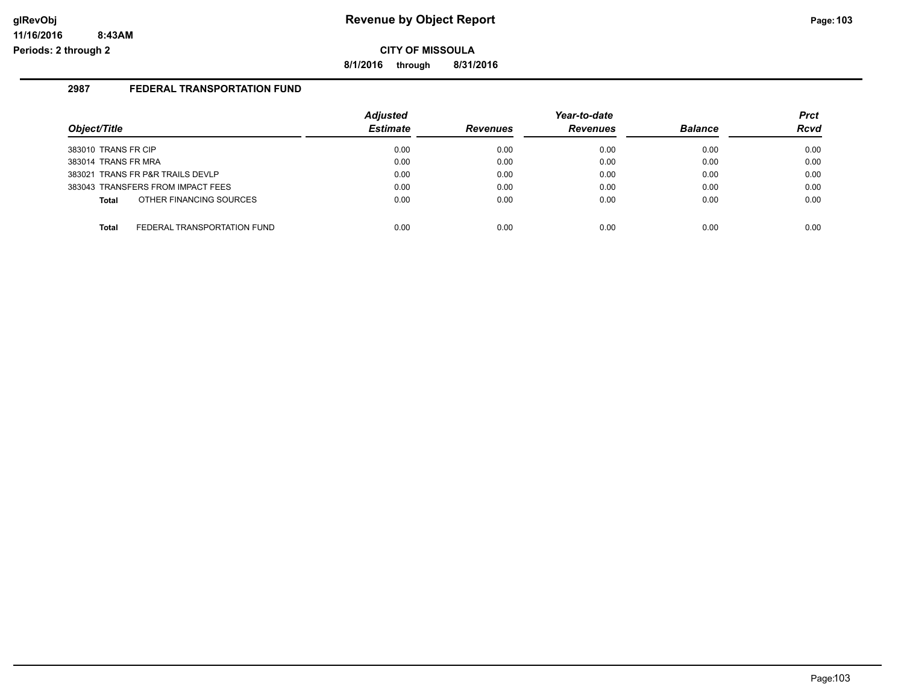**8/1/2016 through 8/31/2016**

| Object/Title                                | Adjusted<br><b>Estimate</b> | <b>Revenues</b> | Year-to-date<br><b>Revenues</b> | <b>Balance</b> | <b>Prct</b><br><b>Rcvd</b> |
|---------------------------------------------|-----------------------------|-----------------|---------------------------------|----------------|----------------------------|
| 383010 TRANS FR CIP                         | 0.00                        | 0.00            | 0.00                            | 0.00           | 0.00                       |
| 383014 TRANS FR MRA                         | 0.00                        | 0.00            | 0.00                            | 0.00           | 0.00                       |
| 383021 TRANS FR P&R TRAILS DEVLP            | 0.00                        | 0.00            | 0.00                            | 0.00           | 0.00                       |
| 383043 TRANSFERS FROM IMPACT FEES           | 0.00                        | 0.00            | 0.00                            | 0.00           | 0.00                       |
| OTHER FINANCING SOURCES<br><b>Total</b>     | 0.00                        | 0.00            | 0.00                            | 0.00           | 0.00                       |
| FEDERAL TRANSPORTATION FUND<br><b>Total</b> | 0.00                        | 0.00            | 0.00                            | 0.00           | 0.00                       |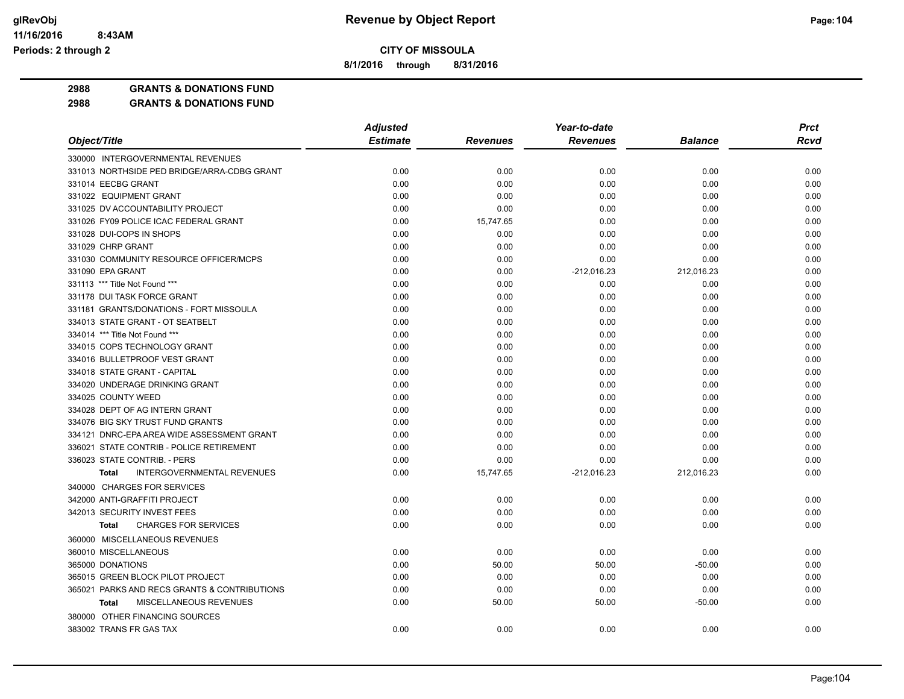**8/1/2016 through 8/31/2016**

**2988 GRANTS & DONATIONS FUND**

**2988 GRANTS & DONATIONS FUND**

|                                              | <b>Adjusted</b> |                 | Year-to-date    |                | <b>Prct</b> |
|----------------------------------------------|-----------------|-----------------|-----------------|----------------|-------------|
| Object/Title                                 | <b>Estimate</b> | <b>Revenues</b> | <b>Revenues</b> | <b>Balance</b> | Rcvd        |
| 330000 INTERGOVERNMENTAL REVENUES            |                 |                 |                 |                |             |
| 331013 NORTHSIDE PED BRIDGE/ARRA-CDBG GRANT  | 0.00            | 0.00            | 0.00            | 0.00           | 0.00        |
| 331014 EECBG GRANT                           | 0.00            | 0.00            | 0.00            | 0.00           | 0.00        |
| 331022 EQUIPMENT GRANT                       | 0.00            | 0.00            | 0.00            | 0.00           | 0.00        |
| 331025 DV ACCOUNTABILITY PROJECT             | 0.00            | 0.00            | 0.00            | 0.00           | 0.00        |
| 331026 FY09 POLICE ICAC FEDERAL GRANT        | 0.00            | 15,747.65       | 0.00            | 0.00           | 0.00        |
| 331028 DUI-COPS IN SHOPS                     | 0.00            | 0.00            | 0.00            | 0.00           | 0.00        |
| 331029 CHRP GRANT                            | 0.00            | 0.00            | 0.00            | 0.00           | 0.00        |
| 331030 COMMUNITY RESOURCE OFFICER/MCPS       | 0.00            | 0.00            | 0.00            | 0.00           | 0.00        |
| 331090 EPA GRANT                             | 0.00            | 0.00            | $-212,016.23$   | 212,016.23     | 0.00        |
| 331113 *** Title Not Found ***               | 0.00            | 0.00            | 0.00            | 0.00           | 0.00        |
| 331178 DUI TASK FORCE GRANT                  | 0.00            | 0.00            | 0.00            | 0.00           | 0.00        |
| 331181 GRANTS/DONATIONS - FORT MISSOULA      | 0.00            | 0.00            | 0.00            | 0.00           | 0.00        |
| 334013 STATE GRANT - OT SEATBELT             | 0.00            | 0.00            | 0.00            | 0.00           | 0.00        |
| 334014 *** Title Not Found ***               | 0.00            | 0.00            | 0.00            | 0.00           | 0.00        |
| 334015 COPS TECHNOLOGY GRANT                 | 0.00            | 0.00            | 0.00            | 0.00           | 0.00        |
| 334016 BULLETPROOF VEST GRANT                | 0.00            | 0.00            | 0.00            | 0.00           | 0.00        |
| 334018 STATE GRANT - CAPITAL                 | 0.00            | 0.00            | 0.00            | 0.00           | 0.00        |
| 334020 UNDERAGE DRINKING GRANT               | 0.00            | 0.00            | 0.00            | 0.00           | 0.00        |
| 334025 COUNTY WEED                           | 0.00            | 0.00            | 0.00            | 0.00           | 0.00        |
| 334028 DEPT OF AG INTERN GRANT               | 0.00            | 0.00            | 0.00            | 0.00           | 0.00        |
| 334076 BIG SKY TRUST FUND GRANTS             | 0.00            | 0.00            | 0.00            | 0.00           | 0.00        |
| 334121 DNRC-EPA AREA WIDE ASSESSMENT GRANT   | 0.00            | 0.00            | 0.00            | 0.00           | 0.00        |
| 336021 STATE CONTRIB - POLICE RETIREMENT     | 0.00            | 0.00            | 0.00            | 0.00           | 0.00        |
| 336023 STATE CONTRIB. - PERS                 | 0.00            | 0.00            | 0.00            | 0.00           | 0.00        |
| <b>INTERGOVERNMENTAL REVENUES</b><br>Total   | 0.00            | 15,747.65       | $-212,016.23$   | 212,016.23     | 0.00        |
| 340000 CHARGES FOR SERVICES                  |                 |                 |                 |                |             |
| 342000 ANTI-GRAFFITI PROJECT                 | 0.00            | 0.00            | 0.00            | 0.00           | 0.00        |
| 342013 SECURITY INVEST FEES                  | 0.00            | 0.00            | 0.00            | 0.00           | 0.00        |
| <b>CHARGES FOR SERVICES</b><br>Total         | 0.00            | 0.00            | 0.00            | 0.00           | 0.00        |
| 360000 MISCELLANEOUS REVENUES                |                 |                 |                 |                |             |
| 360010 MISCELLANEOUS                         | 0.00            | 0.00            | 0.00            | 0.00           | 0.00        |
| 365000 DONATIONS                             | 0.00            | 50.00           | 50.00           | $-50.00$       | 0.00        |
| 365015 GREEN BLOCK PILOT PROJECT             | 0.00            | 0.00            | 0.00            | 0.00           | 0.00        |
| 365021 PARKS AND RECS GRANTS & CONTRIBUTIONS | 0.00            | 0.00            | 0.00            | 0.00           | 0.00        |
| MISCELLANEOUS REVENUES<br><b>Total</b>       | 0.00            | 50.00           | 50.00           | $-50.00$       | 0.00        |
| 380000 OTHER FINANCING SOURCES               |                 |                 |                 |                |             |
| 383002 TRANS FR GAS TAX                      | 0.00            | 0.00            | 0.00            | 0.00           | 0.00        |
|                                              |                 |                 |                 |                |             |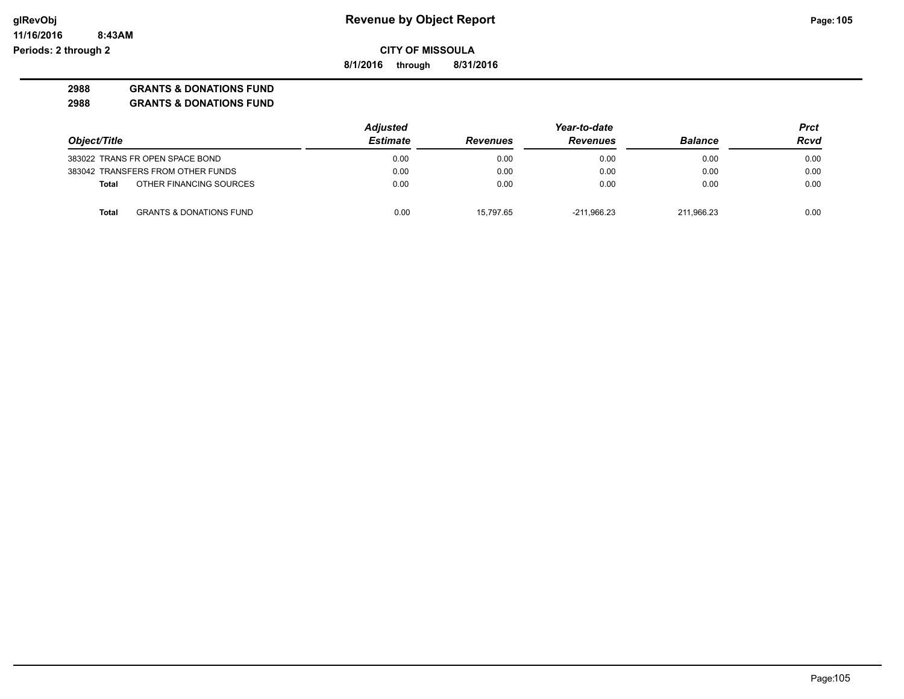**11/16/2016 8:43AM Periods: 2 through 2**

# **CITY OF MISSOULA**

**8/1/2016 through 8/31/2016**

## **2988 GRANTS & DONATIONS FUND**

**2988 GRANTS & DONATIONS FUND**

|                                             | <b>Adjusted</b> | Year-to-date    |                 |                | Prct |
|---------------------------------------------|-----------------|-----------------|-----------------|----------------|------|
| Object/Title                                | <b>Estimate</b> | <b>Revenues</b> | <b>Revenues</b> | <b>Balance</b> | Rcvd |
| 383022 TRANS FR OPEN SPACE BOND             | 0.00            | 0.00            | 0.00            | 0.00           | 0.00 |
| 383042 TRANSFERS FROM OTHER FUNDS           | 0.00            | 0.00            | 0.00            | 0.00           | 0.00 |
| OTHER FINANCING SOURCES<br>Total            | 0.00            | 0.00            | 0.00            | 0.00           | 0.00 |
| <b>GRANTS &amp; DONATIONS FUND</b><br>Total | 0.00            | 15.797.65       | $-211.966.23$   | 211.966.23     | 0.00 |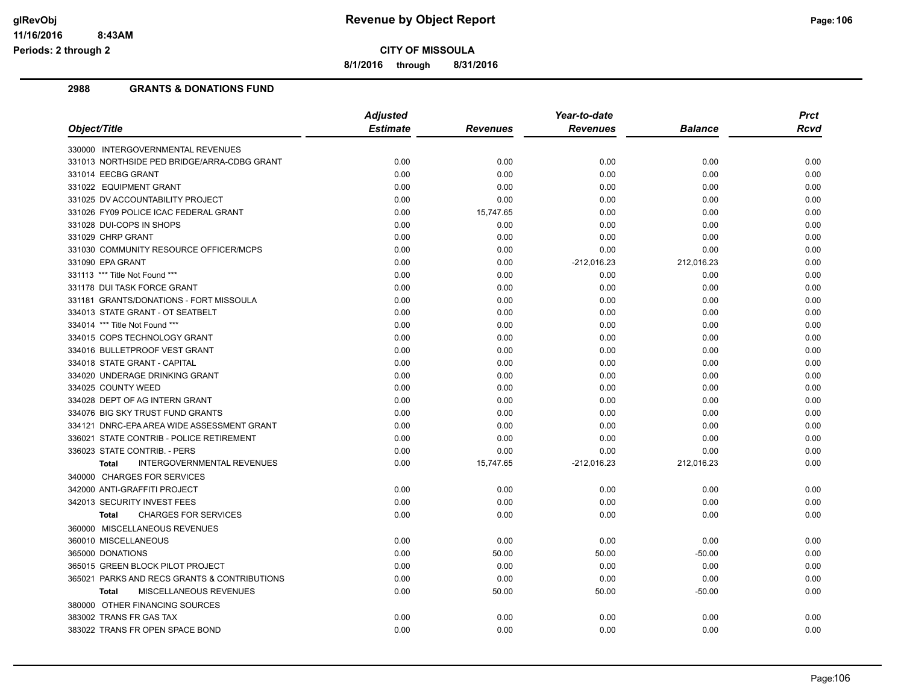**CITY OF MISSOULA**

**8/1/2016 through 8/31/2016**

#### **2988 GRANTS & DONATIONS FUND**

|                                              | <b>Adjusted</b> |           | Year-to-date    | <b>Prct</b>    |      |
|----------------------------------------------|-----------------|-----------|-----------------|----------------|------|
| Object/Title                                 | <b>Estimate</b> | Revenues  | <b>Revenues</b> | <b>Balance</b> | Rcvd |
| 330000 INTERGOVERNMENTAL REVENUES            |                 |           |                 |                |      |
| 331013 NORTHSIDE PED BRIDGE/ARRA-CDBG GRANT  | 0.00            | 0.00      | 0.00            | 0.00           | 0.00 |
| 331014 EECBG GRANT                           | 0.00            | 0.00      | 0.00            | 0.00           | 0.00 |
| 331022 EQUIPMENT GRANT                       | 0.00            | 0.00      | 0.00            | 0.00           | 0.00 |
| 331025 DV ACCOUNTABILITY PROJECT             | 0.00            | 0.00      | 0.00            | 0.00           | 0.00 |
| 331026 FY09 POLICE ICAC FEDERAL GRANT        | 0.00            | 15,747.65 | 0.00            | 0.00           | 0.00 |
| 331028 DUI-COPS IN SHOPS                     | 0.00            | 0.00      | 0.00            | 0.00           | 0.00 |
| 331029 CHRP GRANT                            | 0.00            | 0.00      | 0.00            | 0.00           | 0.00 |
| 331030 COMMUNITY RESOURCE OFFICER/MCPS       | 0.00            | 0.00      | 0.00            | 0.00           | 0.00 |
| 331090 EPA GRANT                             | 0.00            | 0.00      | $-212,016.23$   | 212,016.23     | 0.00 |
| 331113 *** Title Not Found ***               | 0.00            | 0.00      | 0.00            | 0.00           | 0.00 |
| 331178 DUI TASK FORCE GRANT                  | 0.00            | 0.00      | 0.00            | 0.00           | 0.00 |
| 331181 GRANTS/DONATIONS - FORT MISSOULA      | 0.00            | 0.00      | 0.00            | 0.00           | 0.00 |
| 334013 STATE GRANT - OT SEATBELT             | 0.00            | 0.00      | 0.00            | 0.00           | 0.00 |
| 334014 *** Title Not Found ***               | 0.00            | 0.00      | 0.00            | 0.00           | 0.00 |
| 334015 COPS TECHNOLOGY GRANT                 | 0.00            | 0.00      | 0.00            | 0.00           | 0.00 |
| 334016 BULLETPROOF VEST GRANT                | 0.00            | 0.00      | 0.00            | 0.00           | 0.00 |
| 334018 STATE GRANT - CAPITAL                 | 0.00            | 0.00      | 0.00            | 0.00           | 0.00 |
| 334020 UNDERAGE DRINKING GRANT               | 0.00            | 0.00      | 0.00            | 0.00           | 0.00 |
| 334025 COUNTY WEED                           | 0.00            | 0.00      | 0.00            | 0.00           | 0.00 |
| 334028 DEPT OF AG INTERN GRANT               | 0.00            | 0.00      | 0.00            | 0.00           | 0.00 |
| 334076 BIG SKY TRUST FUND GRANTS             | 0.00            | 0.00      | 0.00            | 0.00           | 0.00 |
| 334121 DNRC-EPA AREA WIDE ASSESSMENT GRANT   | 0.00            | 0.00      | 0.00            | 0.00           | 0.00 |
| 336021 STATE CONTRIB - POLICE RETIREMENT     | 0.00            | 0.00      | 0.00            | 0.00           | 0.00 |
| 336023 STATE CONTRIB. - PERS                 | 0.00            | 0.00      | 0.00            | 0.00           | 0.00 |
| INTERGOVERNMENTAL REVENUES<br><b>Total</b>   | 0.00            | 15,747.65 | $-212,016.23$   | 212,016.23     | 0.00 |
| 340000 CHARGES FOR SERVICES                  |                 |           |                 |                |      |
| 342000 ANTI-GRAFFITI PROJECT                 | 0.00            | 0.00      | 0.00            | 0.00           | 0.00 |
| 342013 SECURITY INVEST FEES                  | 0.00            | 0.00      | 0.00            | 0.00           | 0.00 |
| <b>CHARGES FOR SERVICES</b><br><b>Total</b>  | 0.00            | 0.00      | 0.00            | 0.00           | 0.00 |
| 360000 MISCELLANEOUS REVENUES                |                 |           |                 |                |      |
| 360010 MISCELLANEOUS                         | 0.00            | 0.00      | 0.00            | 0.00           | 0.00 |
| 365000 DONATIONS                             | 0.00            | 50.00     | 50.00           | $-50.00$       | 0.00 |
| 365015 GREEN BLOCK PILOT PROJECT             | 0.00            | 0.00      | 0.00            | 0.00           | 0.00 |
| 365021 PARKS AND RECS GRANTS & CONTRIBUTIONS | 0.00            | 0.00      | 0.00            | 0.00           | 0.00 |
| MISCELLANEOUS REVENUES<br><b>Total</b>       | 0.00            | 50.00     | 50.00           | $-50.00$       | 0.00 |
| 380000 OTHER FINANCING SOURCES               |                 |           |                 |                |      |
| 383002 TRANS FR GAS TAX                      | 0.00            | 0.00      | 0.00            | 0.00           | 0.00 |
| 383022 TRANS FR OPEN SPACE BOND              | 0.00            | 0.00      | 0.00            | 0.00           | 0.00 |
|                                              |                 |           |                 |                |      |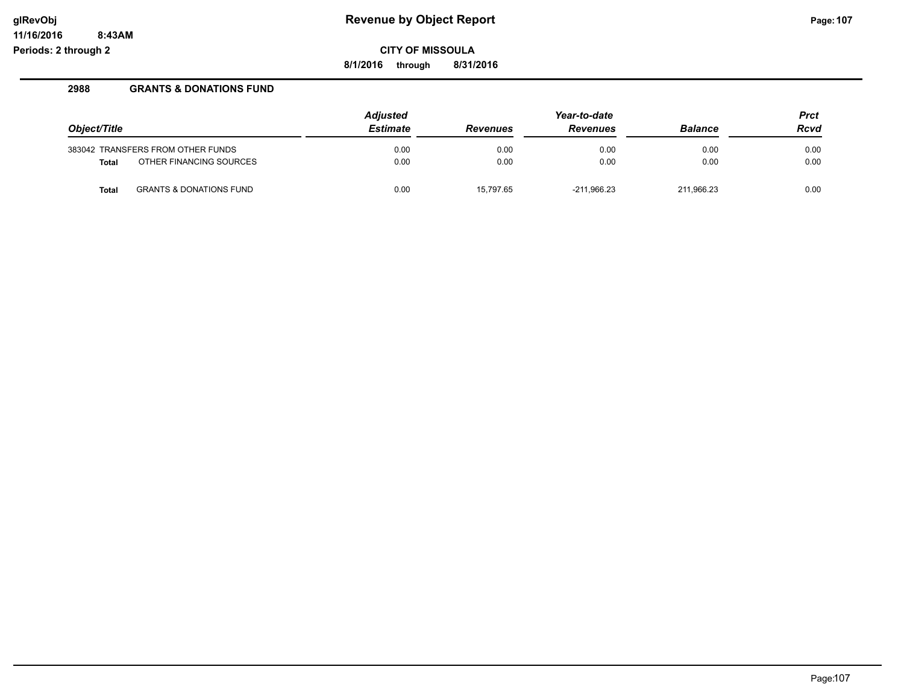**CITY OF MISSOULA**

**8/1/2016 through 8/31/2016**

#### **2988 GRANTS & DONATIONS FUND**

 **8:43AM**

|                                                    | <b>Adjusted</b> |                 | <b>Prct</b>     |                |             |
|----------------------------------------------------|-----------------|-----------------|-----------------|----------------|-------------|
| Object/Title                                       | Estimate        | <b>Revenues</b> | <b>Revenues</b> | <b>Balance</b> | <b>Rcvd</b> |
| 383042 TRANSFERS FROM OTHER FUNDS                  | 0.00            | 0.00            | 0.00            | 0.00           | 0.00        |
| OTHER FINANCING SOURCES<br><b>Total</b>            | 0.00            | 0.00            | 0.00            | 0.00           | 0.00        |
| <b>GRANTS &amp; DONATIONS FUND</b><br><b>Total</b> | 0.00            | 15.797.65       | $-211,966.23$   | 211,966.23     | 0.00        |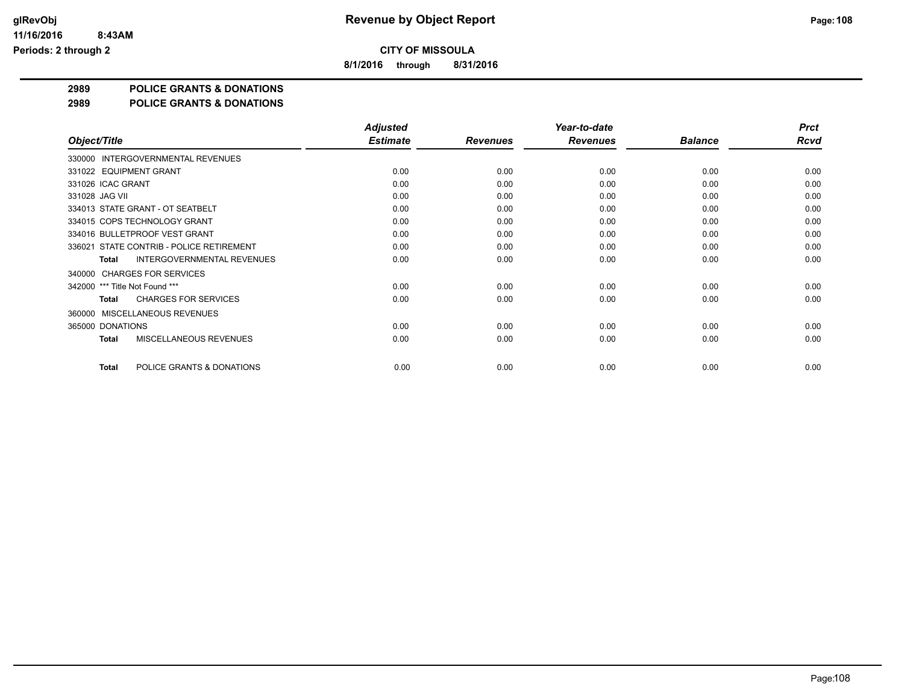**8/1/2016 through 8/31/2016**

**2989 POLICE GRANTS & DONATIONS**

**2989 POLICE GRANTS & DONATIONS**

|                                             | <b>Adjusted</b> |                 | Year-to-date    |                | <b>Prct</b> |
|---------------------------------------------|-----------------|-----------------|-----------------|----------------|-------------|
| Object/Title                                | <b>Estimate</b> | <b>Revenues</b> | <b>Revenues</b> | <b>Balance</b> | <b>Rcvd</b> |
| 330000 INTERGOVERNMENTAL REVENUES           |                 |                 |                 |                |             |
| 331022 EQUIPMENT GRANT                      | 0.00            | 0.00            | 0.00            | 0.00           | 0.00        |
| 331026 ICAC GRANT                           | 0.00            | 0.00            | 0.00            | 0.00           | 0.00        |
| 331028 JAG VII                              | 0.00            | 0.00            | 0.00            | 0.00           | 0.00        |
| 334013 STATE GRANT - OT SEATBELT            | 0.00            | 0.00            | 0.00            | 0.00           | 0.00        |
| 334015 COPS TECHNOLOGY GRANT                | 0.00            | 0.00            | 0.00            | 0.00           | 0.00        |
| 334016 BULLETPROOF VEST GRANT               | 0.00            | 0.00            | 0.00            | 0.00           | 0.00        |
| 336021 STATE CONTRIB - POLICE RETIREMENT    | 0.00            | 0.00            | 0.00            | 0.00           | 0.00        |
| <b>INTERGOVERNMENTAL REVENUES</b><br>Total  | 0.00            | 0.00            | 0.00            | 0.00           | 0.00        |
| <b>CHARGES FOR SERVICES</b><br>340000       |                 |                 |                 |                |             |
| 342000 *** Title Not Found ***              | 0.00            | 0.00            | 0.00            | 0.00           | 0.00        |
| <b>CHARGES FOR SERVICES</b><br><b>Total</b> | 0.00            | 0.00            | 0.00            | 0.00           | 0.00        |
| <b>MISCELLANEOUS REVENUES</b><br>360000     |                 |                 |                 |                |             |
| 365000 DONATIONS                            | 0.00            | 0.00            | 0.00            | 0.00           | 0.00        |
| MISCELLANEOUS REVENUES<br>Total             | 0.00            | 0.00            | 0.00            | 0.00           | 0.00        |
| POLICE GRANTS & DONATIONS<br>Total          | 0.00            | 0.00            | 0.00            | 0.00           | 0.00        |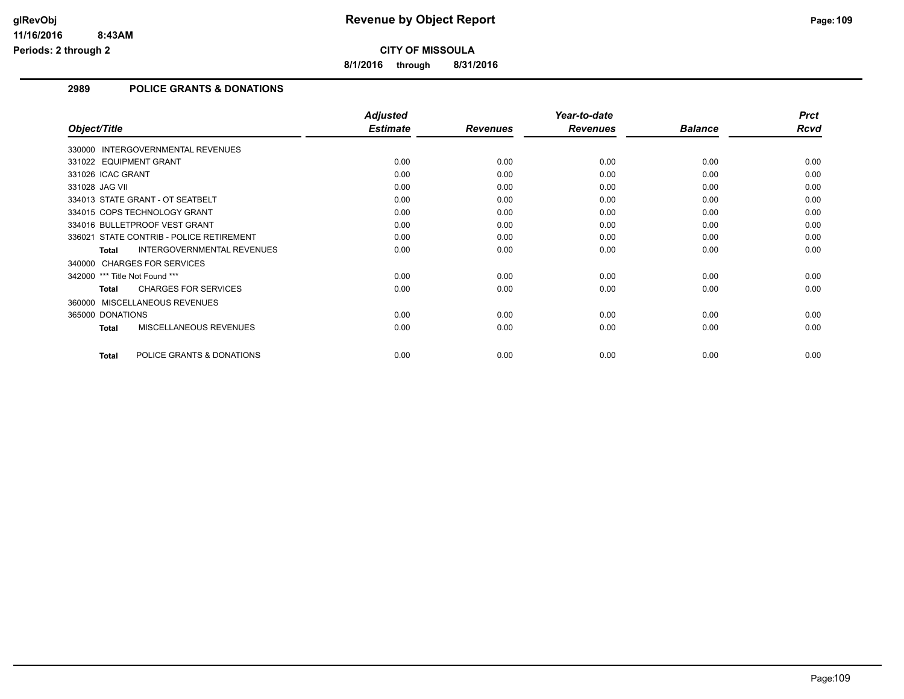**8/1/2016 through 8/31/2016**

## **2989 POLICE GRANTS & DONATIONS**

|                                                   | <b>Adjusted</b> |                 | Year-to-date    |                | <b>Prct</b> |
|---------------------------------------------------|-----------------|-----------------|-----------------|----------------|-------------|
| Object/Title                                      | <b>Estimate</b> | <b>Revenues</b> | <b>Revenues</b> | <b>Balance</b> | <b>Rcvd</b> |
| 330000 INTERGOVERNMENTAL REVENUES                 |                 |                 |                 |                |             |
| 331022 EQUIPMENT GRANT                            | 0.00            | 0.00            | 0.00            | 0.00           | 0.00        |
| 331026 ICAC GRANT                                 | 0.00            | 0.00            | 0.00            | 0.00           | 0.00        |
| 331028 JAG VII                                    | 0.00            | 0.00            | 0.00            | 0.00           | 0.00        |
| 334013 STATE GRANT - OT SEATBELT                  | 0.00            | 0.00            | 0.00            | 0.00           | 0.00        |
| 334015 COPS TECHNOLOGY GRANT                      | 0.00            | 0.00            | 0.00            | 0.00           | 0.00        |
| 334016 BULLETPROOF VEST GRANT                     | 0.00            | 0.00            | 0.00            | 0.00           | 0.00        |
| 336021 STATE CONTRIB - POLICE RETIREMENT          | 0.00            | 0.00            | 0.00            | 0.00           | 0.00        |
| <b>INTERGOVERNMENTAL REVENUES</b><br><b>Total</b> | 0.00            | 0.00            | 0.00            | 0.00           | 0.00        |
| 340000 CHARGES FOR SERVICES                       |                 |                 |                 |                |             |
| 342000 *** Title Not Found ***                    | 0.00            | 0.00            | 0.00            | 0.00           | 0.00        |
| <b>CHARGES FOR SERVICES</b><br><b>Total</b>       | 0.00            | 0.00            | 0.00            | 0.00           | 0.00        |
| 360000 MISCELLANEOUS REVENUES                     |                 |                 |                 |                |             |
| 365000 DONATIONS                                  | 0.00            | 0.00            | 0.00            | 0.00           | 0.00        |
| <b>MISCELLANEOUS REVENUES</b><br><b>Total</b>     | 0.00            | 0.00            | 0.00            | 0.00           | 0.00        |
| POLICE GRANTS & DONATIONS<br><b>Total</b>         | 0.00            | 0.00            | 0.00            | 0.00           | 0.00        |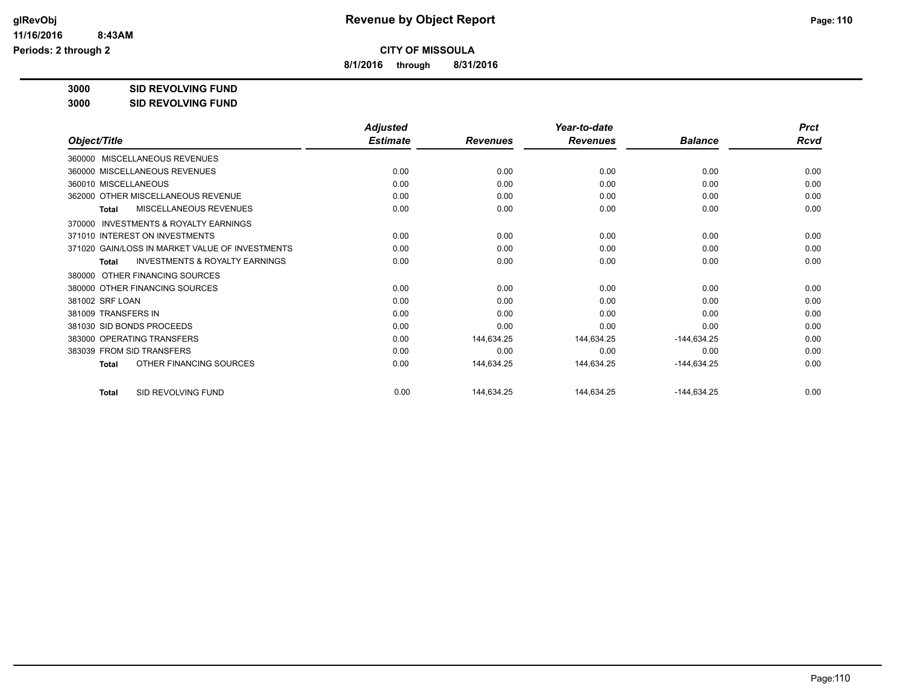**8/1/2016 through 8/31/2016**

**3000 SID REVOLVING FUND**

**3000 SID REVOLVING FUND**

|                                                    | <b>Adjusted</b> |                 | Year-to-date    |                | <b>Prct</b> |
|----------------------------------------------------|-----------------|-----------------|-----------------|----------------|-------------|
| Object/Title                                       | <b>Estimate</b> | <b>Revenues</b> | <b>Revenues</b> | <b>Balance</b> | <b>Rcvd</b> |
| 360000 MISCELLANEOUS REVENUES                      |                 |                 |                 |                |             |
| 360000 MISCELLANEOUS REVENUES                      | 0.00            | 0.00            | 0.00            | 0.00           | 0.00        |
| 360010 MISCELLANEOUS                               | 0.00            | 0.00            | 0.00            | 0.00           | 0.00        |
| 362000 OTHER MISCELLANEOUS REVENUE                 | 0.00            | 0.00            | 0.00            | 0.00           | 0.00        |
| MISCELLANEOUS REVENUES<br>Total                    | 0.00            | 0.00            | 0.00            | 0.00           | 0.00        |
| INVESTMENTS & ROYALTY EARNINGS<br>370000           |                 |                 |                 |                |             |
| 371010 INTEREST ON INVESTMENTS                     | 0.00            | 0.00            | 0.00            | 0.00           | 0.00        |
| 371020 GAIN/LOSS IN MARKET VALUE OF INVESTMENTS    | 0.00            | 0.00            | 0.00            | 0.00           | 0.00        |
| <b>INVESTMENTS &amp; ROYALTY EARNINGS</b><br>Total | 0.00            | 0.00            | 0.00            | 0.00           | 0.00        |
| OTHER FINANCING SOURCES<br>380000                  |                 |                 |                 |                |             |
| 380000 OTHER FINANCING SOURCES                     | 0.00            | 0.00            | 0.00            | 0.00           | 0.00        |
| 381002 SRF LOAN                                    | 0.00            | 0.00            | 0.00            | 0.00           | 0.00        |
| 381009 TRANSFERS IN                                | 0.00            | 0.00            | 0.00            | 0.00           | 0.00        |
| 381030 SID BONDS PROCEEDS                          | 0.00            | 0.00            | 0.00            | 0.00           | 0.00        |
| 383000 OPERATING TRANSFERS                         | 0.00            | 144,634.25      | 144,634.25      | $-144,634.25$  | 0.00        |
| 383039 FROM SID TRANSFERS                          | 0.00            | 0.00            | 0.00            | 0.00           | 0.00        |
| OTHER FINANCING SOURCES<br><b>Total</b>            | 0.00            | 144,634.25      | 144,634.25      | $-144,634.25$  | 0.00        |
| SID REVOLVING FUND<br><b>Total</b>                 | 0.00            | 144,634.25      | 144,634.25      | $-144,634.25$  | 0.00        |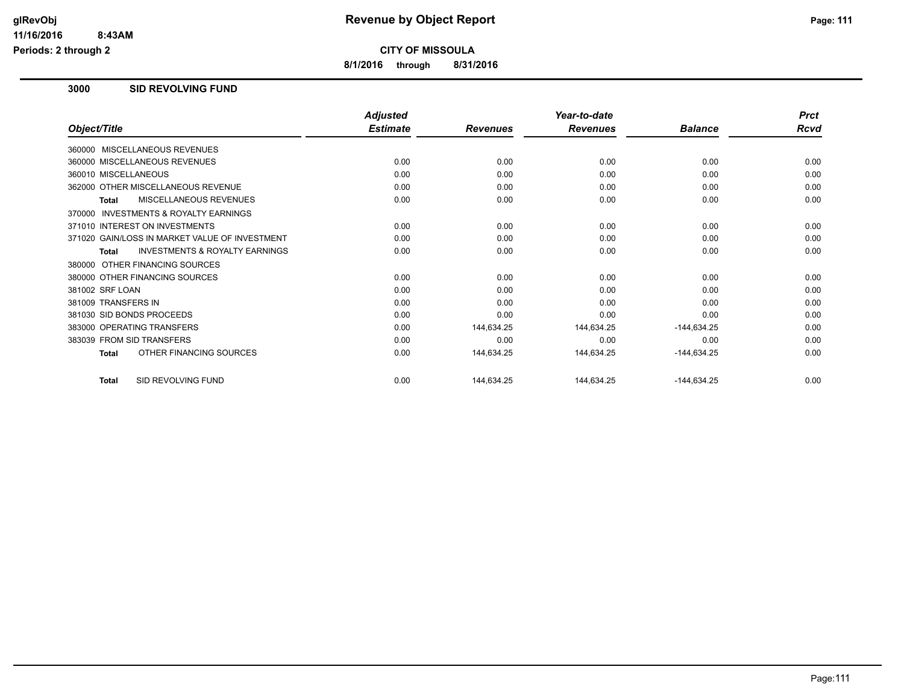**8/1/2016 through 8/31/2016**

## **3000 SID REVOLVING FUND**

|                                                           | <b>Adjusted</b> |                 | Year-to-date    |                | <b>Prct</b> |
|-----------------------------------------------------------|-----------------|-----------------|-----------------|----------------|-------------|
| Object/Title                                              | <b>Estimate</b> | <b>Revenues</b> | <b>Revenues</b> | <b>Balance</b> | <b>Rcvd</b> |
| 360000 MISCELLANEOUS REVENUES                             |                 |                 |                 |                |             |
| 360000 MISCELLANEOUS REVENUES                             | 0.00            | 0.00            | 0.00            | 0.00           | 0.00        |
| 360010 MISCELLANEOUS                                      | 0.00            | 0.00            | 0.00            | 0.00           | 0.00        |
| 362000 OTHER MISCELLANEOUS REVENUE                        | 0.00            | 0.00            | 0.00            | 0.00           | 0.00        |
| MISCELLANEOUS REVENUES<br><b>Total</b>                    | 0.00            | 0.00            | 0.00            | 0.00           | 0.00        |
| <b>INVESTMENTS &amp; ROYALTY EARNINGS</b><br>370000       |                 |                 |                 |                |             |
| 371010 INTEREST ON INVESTMENTS                            | 0.00            | 0.00            | 0.00            | 0.00           | 0.00        |
| 371020 GAIN/LOSS IN MARKET VALUE OF INVESTMENT            | 0.00            | 0.00            | 0.00            | 0.00           | 0.00        |
| <b>INVESTMENTS &amp; ROYALTY EARNINGS</b><br><b>Total</b> | 0.00            | 0.00            | 0.00            | 0.00           | 0.00        |
| 380000 OTHER FINANCING SOURCES                            |                 |                 |                 |                |             |
| 380000 OTHER FINANCING SOURCES                            | 0.00            | 0.00            | 0.00            | 0.00           | 0.00        |
| 381002 SRF LOAN                                           | 0.00            | 0.00            | 0.00            | 0.00           | 0.00        |
| 381009 TRANSFERS IN                                       | 0.00            | 0.00            | 0.00            | 0.00           | 0.00        |
| 381030 SID BONDS PROCEEDS                                 | 0.00            | 0.00            | 0.00            | 0.00           | 0.00        |
| 383000 OPERATING TRANSFERS                                | 0.00            | 144,634.25      | 144,634.25      | $-144,634.25$  | 0.00        |
| 383039 FROM SID TRANSFERS                                 | 0.00            | 0.00            | 0.00            | 0.00           | 0.00        |
| OTHER FINANCING SOURCES<br><b>Total</b>                   | 0.00            | 144,634.25      | 144,634.25      | $-144,634.25$  | 0.00        |
| SID REVOLVING FUND<br><b>Total</b>                        | 0.00            | 144,634.25      | 144,634.25      | $-144,634.25$  | 0.00        |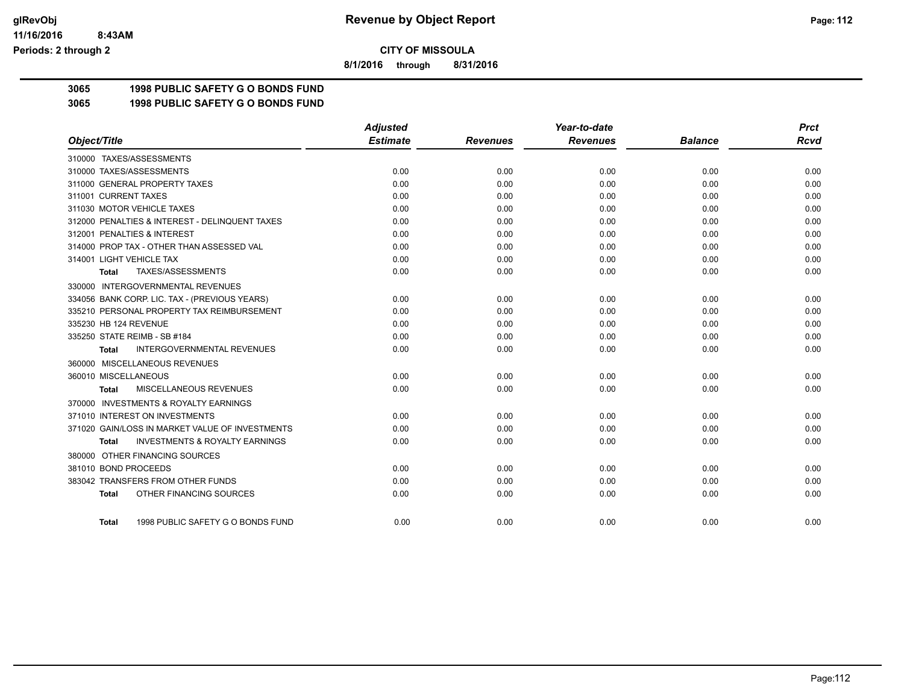**8/1/2016 through 8/31/2016**

# **3065 1998 PUBLIC SAFETY G O BONDS FUND**

**3065 1998 PUBLIC SAFETY G O BONDS FUND**

|                                                    | <b>Adjusted</b> |                 | Year-to-date    |                | <b>Prct</b> |
|----------------------------------------------------|-----------------|-----------------|-----------------|----------------|-------------|
| Object/Title                                       | <b>Estimate</b> | <b>Revenues</b> | <b>Revenues</b> | <b>Balance</b> | <b>Rcvd</b> |
| 310000 TAXES/ASSESSMENTS                           |                 |                 |                 |                |             |
| 310000 TAXES/ASSESSMENTS                           | 0.00            | 0.00            | 0.00            | 0.00           | 0.00        |
| 311000 GENERAL PROPERTY TAXES                      | 0.00            | 0.00            | 0.00            | 0.00           | 0.00        |
| 311001 CURRENT TAXES                               | 0.00            | 0.00            | 0.00            | 0.00           | 0.00        |
| 311030 MOTOR VEHICLE TAXES                         | 0.00            | 0.00            | 0.00            | 0.00           | 0.00        |
| 312000 PENALTIES & INTEREST - DELINQUENT TAXES     | 0.00            | 0.00            | 0.00            | 0.00           | 0.00        |
| 312001 PENALTIES & INTEREST                        | 0.00            | 0.00            | 0.00            | 0.00           | 0.00        |
| 314000 PROP TAX - OTHER THAN ASSESSED VAL          | 0.00            | 0.00            | 0.00            | 0.00           | 0.00        |
| 314001 LIGHT VEHICLE TAX                           | 0.00            | 0.00            | 0.00            | 0.00           | 0.00        |
| TAXES/ASSESSMENTS<br>Total                         | 0.00            | 0.00            | 0.00            | 0.00           | 0.00        |
| 330000 INTERGOVERNMENTAL REVENUES                  |                 |                 |                 |                |             |
| 334056 BANK CORP. LIC. TAX - (PREVIOUS YEARS)      | 0.00            | 0.00            | 0.00            | 0.00           | 0.00        |
| 335210 PERSONAL PROPERTY TAX REIMBURSEMENT         | 0.00            | 0.00            | 0.00            | 0.00           | 0.00        |
| 335230 HB 124 REVENUE                              | 0.00            | 0.00            | 0.00            | 0.00           | 0.00        |
| 335250 STATE REIMB - SB #184                       | 0.00            | 0.00            | 0.00            | 0.00           | 0.00        |
| <b>INTERGOVERNMENTAL REVENUES</b><br>Total         | 0.00            | 0.00            | 0.00            | 0.00           | 0.00        |
| 360000 MISCELLANEOUS REVENUES                      |                 |                 |                 |                |             |
| 360010 MISCELLANEOUS                               | 0.00            | 0.00            | 0.00            | 0.00           | 0.00        |
| <b>MISCELLANEOUS REVENUES</b><br>Total             | 0.00            | 0.00            | 0.00            | 0.00           | 0.00        |
| 370000 INVESTMENTS & ROYALTY EARNINGS              |                 |                 |                 |                |             |
| 371010 INTEREST ON INVESTMENTS                     | 0.00            | 0.00            | 0.00            | 0.00           | 0.00        |
| 371020 GAIN/LOSS IN MARKET VALUE OF INVESTMENTS    | 0.00            | 0.00            | 0.00            | 0.00           | 0.00        |
| <b>INVESTMENTS &amp; ROYALTY EARNINGS</b><br>Total | 0.00            | 0.00            | 0.00            | 0.00           | 0.00        |
| 380000 OTHER FINANCING SOURCES                     |                 |                 |                 |                |             |
| 381010 BOND PROCEEDS                               | 0.00            | 0.00            | 0.00            | 0.00           | 0.00        |
| 383042 TRANSFERS FROM OTHER FUNDS                  | 0.00            | 0.00            | 0.00            | 0.00           | 0.00        |
| OTHER FINANCING SOURCES<br>Total                   | 0.00            | 0.00            | 0.00            | 0.00           | 0.00        |
| 1998 PUBLIC SAFETY G O BONDS FUND<br>Total         | 0.00            | 0.00            | 0.00            | 0.00           | 0.00        |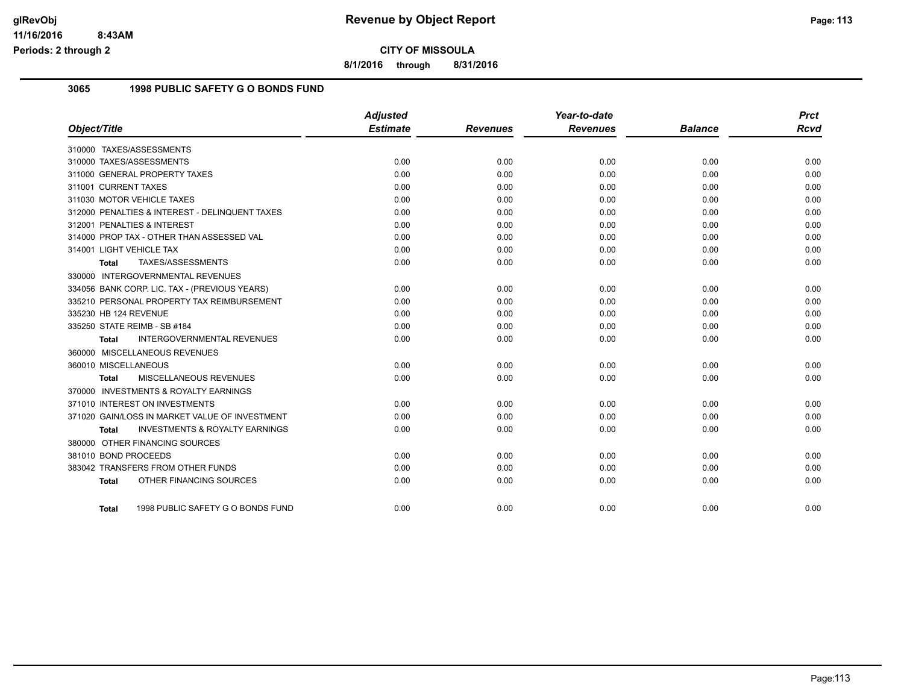**8/1/2016 through 8/31/2016**

## **3065 1998 PUBLIC SAFETY G O BONDS FUND**

|                                                    | <b>Adjusted</b><br><b>Estimate</b> | <b>Revenues</b> | Year-to-date<br><b>Revenues</b> | <b>Balance</b> | <b>Prct</b><br>Rcvd |
|----------------------------------------------------|------------------------------------|-----------------|---------------------------------|----------------|---------------------|
| Object/Title                                       |                                    |                 |                                 |                |                     |
| 310000 TAXES/ASSESSMENTS                           |                                    |                 |                                 |                |                     |
| 310000 TAXES/ASSESSMENTS                           | 0.00                               | 0.00            | 0.00                            | 0.00           | 0.00                |
| 311000 GENERAL PROPERTY TAXES                      | 0.00                               | 0.00            | 0.00                            | 0.00           | 0.00                |
| 311001 CURRENT TAXES                               | 0.00                               | 0.00            | 0.00                            | 0.00           | 0.00                |
| 311030 MOTOR VEHICLE TAXES                         | 0.00                               | 0.00            | 0.00                            | 0.00           | 0.00                |
| 312000 PENALTIES & INTEREST - DELINQUENT TAXES     | 0.00                               | 0.00            | 0.00                            | 0.00           | 0.00                |
| 312001 PENALTIES & INTEREST                        | 0.00                               | 0.00            | 0.00                            | 0.00           | 0.00                |
| 314000 PROP TAX - OTHER THAN ASSESSED VAL          | 0.00                               | 0.00            | 0.00                            | 0.00           | 0.00                |
| 314001 LIGHT VEHICLE TAX                           | 0.00                               | 0.00            | 0.00                            | 0.00           | 0.00                |
| TAXES/ASSESSMENTS<br>Total                         | 0.00                               | 0.00            | 0.00                            | 0.00           | 0.00                |
| 330000 INTERGOVERNMENTAL REVENUES                  |                                    |                 |                                 |                |                     |
| 334056 BANK CORP. LIC. TAX - (PREVIOUS YEARS)      | 0.00                               | 0.00            | 0.00                            | 0.00           | 0.00                |
| 335210 PERSONAL PROPERTY TAX REIMBURSEMENT         | 0.00                               | 0.00            | 0.00                            | 0.00           | 0.00                |
| 335230 HB 124 REVENUE                              | 0.00                               | 0.00            | 0.00                            | 0.00           | 0.00                |
| 335250 STATE REIMB - SB #184                       | 0.00                               | 0.00            | 0.00                            | 0.00           | 0.00                |
| <b>INTERGOVERNMENTAL REVENUES</b><br>Total         | 0.00                               | 0.00            | 0.00                            | 0.00           | 0.00                |
| 360000 MISCELLANEOUS REVENUES                      |                                    |                 |                                 |                |                     |
| 360010 MISCELLANEOUS                               | 0.00                               | 0.00            | 0.00                            | 0.00           | 0.00                |
| MISCELLANEOUS REVENUES<br><b>Total</b>             | 0.00                               | 0.00            | 0.00                            | 0.00           | 0.00                |
| 370000 INVESTMENTS & ROYALTY EARNINGS              |                                    |                 |                                 |                |                     |
| 371010 INTEREST ON INVESTMENTS                     | 0.00                               | 0.00            | 0.00                            | 0.00           | 0.00                |
| 371020 GAIN/LOSS IN MARKET VALUE OF INVESTMENT     | 0.00                               | 0.00            | 0.00                            | 0.00           | 0.00                |
| <b>INVESTMENTS &amp; ROYALTY EARNINGS</b><br>Total | 0.00                               | 0.00            | 0.00                            | 0.00           | 0.00                |
| 380000 OTHER FINANCING SOURCES                     |                                    |                 |                                 |                |                     |
| 381010 BOND PROCEEDS                               | 0.00                               | 0.00            | 0.00                            | 0.00           | 0.00                |
| 383042 TRANSFERS FROM OTHER FUNDS                  | 0.00                               | 0.00            | 0.00                            | 0.00           | 0.00                |
| OTHER FINANCING SOURCES<br><b>Total</b>            | 0.00                               | 0.00            | 0.00                            | 0.00           | 0.00                |
|                                                    |                                    |                 |                                 |                |                     |
| 1998 PUBLIC SAFETY G O BONDS FUND<br>Total         | 0.00                               | 0.00            | 0.00                            | 0.00           | 0.00                |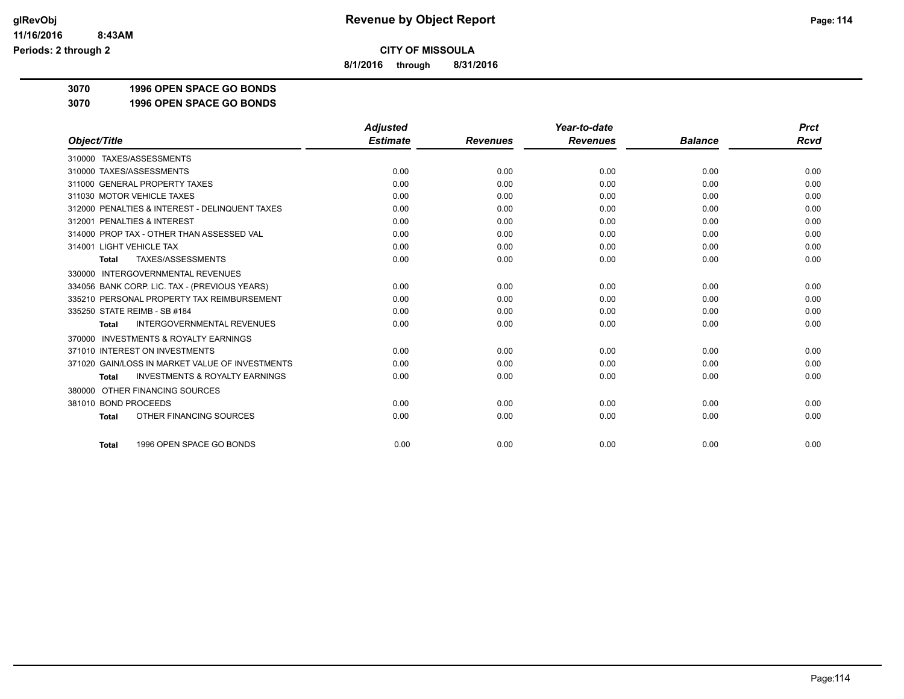**Periods: 2 through 2**

**CITY OF MISSOULA**

**8/1/2016 through 8/31/2016**

**3070 1996 OPEN SPACE GO BONDS**

**3070 1996 OPEN SPACE GO BONDS**

|                                                           | <b>Adjusted</b> |                 | Year-to-date    |                | <b>Prct</b> |
|-----------------------------------------------------------|-----------------|-----------------|-----------------|----------------|-------------|
| Object/Title                                              | <b>Estimate</b> | <b>Revenues</b> | <b>Revenues</b> | <b>Balance</b> | <b>Rcvd</b> |
| 310000 TAXES/ASSESSMENTS                                  |                 |                 |                 |                |             |
| 310000 TAXES/ASSESSMENTS                                  | 0.00            | 0.00            | 0.00            | 0.00           | 0.00        |
| 311000 GENERAL PROPERTY TAXES                             | 0.00            | 0.00            | 0.00            | 0.00           | 0.00        |
| 311030 MOTOR VEHICLE TAXES                                | 0.00            | 0.00            | 0.00            | 0.00           | 0.00        |
| 312000 PENALTIES & INTEREST - DELINQUENT TAXES            | 0.00            | 0.00            | 0.00            | 0.00           | 0.00        |
| 312001 PENALTIES & INTEREST                               | 0.00            | 0.00            | 0.00            | 0.00           | 0.00        |
| 314000 PROP TAX - OTHER THAN ASSESSED VAL                 | 0.00            | 0.00            | 0.00            | 0.00           | 0.00        |
| 314001 LIGHT VEHICLE TAX                                  | 0.00            | 0.00            | 0.00            | 0.00           | 0.00        |
| TAXES/ASSESSMENTS<br><b>Total</b>                         | 0.00            | 0.00            | 0.00            | 0.00           | 0.00        |
| <b>INTERGOVERNMENTAL REVENUES</b><br>330000               |                 |                 |                 |                |             |
| 334056 BANK CORP. LIC. TAX - (PREVIOUS YEARS)             | 0.00            | 0.00            | 0.00            | 0.00           | 0.00        |
| 335210 PERSONAL PROPERTY TAX REIMBURSEMENT                | 0.00            | 0.00            | 0.00            | 0.00           | 0.00        |
| 335250 STATE REIMB - SB #184                              | 0.00            | 0.00            | 0.00            | 0.00           | 0.00        |
| <b>INTERGOVERNMENTAL REVENUES</b><br><b>Total</b>         | 0.00            | 0.00            | 0.00            | 0.00           | 0.00        |
| INVESTMENTS & ROYALTY EARNINGS<br>370000                  |                 |                 |                 |                |             |
| 371010 INTEREST ON INVESTMENTS                            | 0.00            | 0.00            | 0.00            | 0.00           | 0.00        |
| 371020 GAIN/LOSS IN MARKET VALUE OF INVESTMENTS           | 0.00            | 0.00            | 0.00            | 0.00           | 0.00        |
| <b>INVESTMENTS &amp; ROYALTY EARNINGS</b><br><b>Total</b> | 0.00            | 0.00            | 0.00            | 0.00           | 0.00        |
| OTHER FINANCING SOURCES<br>380000                         |                 |                 |                 |                |             |
| 381010 BOND PROCEEDS                                      | 0.00            | 0.00            | 0.00            | 0.00           | 0.00        |
| OTHER FINANCING SOURCES<br><b>Total</b>                   | 0.00            | 0.00            | 0.00            | 0.00           | 0.00        |
| 1996 OPEN SPACE GO BONDS<br><b>Total</b>                  | 0.00            | 0.00            | 0.00            | 0.00           | 0.00        |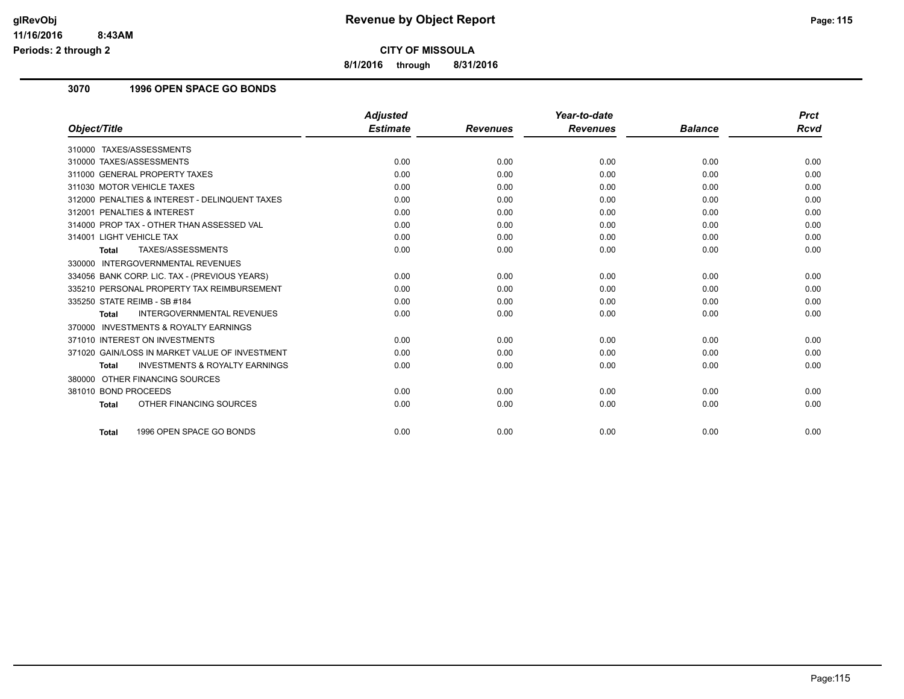**8/1/2016 through 8/31/2016**

## **3070 1996 OPEN SPACE GO BONDS**

|                                                           | <b>Adjusted</b> |                 | Year-to-date    |                | <b>Prct</b> |
|-----------------------------------------------------------|-----------------|-----------------|-----------------|----------------|-------------|
| Object/Title                                              | <b>Estimate</b> | <b>Revenues</b> | <b>Revenues</b> | <b>Balance</b> | Rcvd        |
| 310000 TAXES/ASSESSMENTS                                  |                 |                 |                 |                |             |
| 310000 TAXES/ASSESSMENTS                                  | 0.00            | 0.00            | 0.00            | 0.00           | 0.00        |
| 311000 GENERAL PROPERTY TAXES                             | 0.00            | 0.00            | 0.00            | 0.00           | 0.00        |
| 311030 MOTOR VEHICLE TAXES                                | 0.00            | 0.00            | 0.00            | 0.00           | 0.00        |
| 312000 PENALTIES & INTEREST - DELINQUENT TAXES            | 0.00            | 0.00            | 0.00            | 0.00           | 0.00        |
| 312001 PENALTIES & INTEREST                               | 0.00            | 0.00            | 0.00            | 0.00           | 0.00        |
| 314000 PROP TAX - OTHER THAN ASSESSED VAL                 | 0.00            | 0.00            | 0.00            | 0.00           | 0.00        |
| 314001 LIGHT VEHICLE TAX                                  | 0.00            | 0.00            | 0.00            | 0.00           | 0.00        |
| TAXES/ASSESSMENTS<br><b>Total</b>                         | 0.00            | 0.00            | 0.00            | 0.00           | 0.00        |
| 330000 INTERGOVERNMENTAL REVENUES                         |                 |                 |                 |                |             |
| 334056 BANK CORP. LIC. TAX - (PREVIOUS YEARS)             | 0.00            | 0.00            | 0.00            | 0.00           | 0.00        |
| 335210 PERSONAL PROPERTY TAX REIMBURSEMENT                | 0.00            | 0.00            | 0.00            | 0.00           | 0.00        |
| 335250 STATE REIMB - SB #184                              | 0.00            | 0.00            | 0.00            | 0.00           | 0.00        |
| <b>INTERGOVERNMENTAL REVENUES</b><br>Total                | 0.00            | 0.00            | 0.00            | 0.00           | 0.00        |
| 370000 INVESTMENTS & ROYALTY EARNINGS                     |                 |                 |                 |                |             |
| 371010 INTEREST ON INVESTMENTS                            | 0.00            | 0.00            | 0.00            | 0.00           | 0.00        |
| 371020 GAIN/LOSS IN MARKET VALUE OF INVESTMENT            | 0.00            | 0.00            | 0.00            | 0.00           | 0.00        |
| <b>INVESTMENTS &amp; ROYALTY EARNINGS</b><br><b>Total</b> | 0.00            | 0.00            | 0.00            | 0.00           | 0.00        |
| 380000 OTHER FINANCING SOURCES                            |                 |                 |                 |                |             |
| 381010 BOND PROCEEDS                                      | 0.00            | 0.00            | 0.00            | 0.00           | 0.00        |
| OTHER FINANCING SOURCES<br>Total                          | 0.00            | 0.00            | 0.00            | 0.00           | 0.00        |
|                                                           |                 |                 |                 |                |             |
| 1996 OPEN SPACE GO BONDS<br><b>Total</b>                  | 0.00            | 0.00            | 0.00            | 0.00           | 0.00        |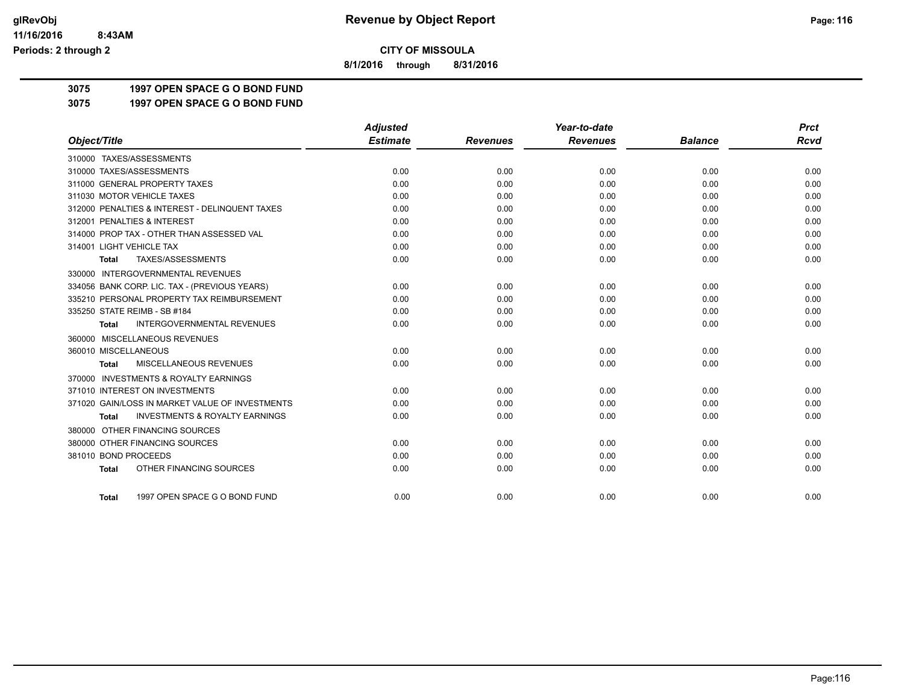**8/1/2016 through 8/31/2016**

# **3075 1997 OPEN SPACE G O BOND FUND**

## **3075 1997 OPEN SPACE G O BOND FUND**

|                                       |                                                 | <b>Adjusted</b> |                 | Year-to-date    |                | <b>Prct</b> |
|---------------------------------------|-------------------------------------------------|-----------------|-----------------|-----------------|----------------|-------------|
| Object/Title                          |                                                 | <b>Estimate</b> | <b>Revenues</b> | <b>Revenues</b> | <b>Balance</b> | <b>Rcvd</b> |
| 310000 TAXES/ASSESSMENTS              |                                                 |                 |                 |                 |                |             |
| 310000 TAXES/ASSESSMENTS              |                                                 | 0.00            | 0.00            | 0.00            | 0.00           | 0.00        |
| 311000 GENERAL PROPERTY TAXES         |                                                 | 0.00            | 0.00            | 0.00            | 0.00           | 0.00        |
| 311030 MOTOR VEHICLE TAXES            |                                                 | 0.00            | 0.00            | 0.00            | 0.00           | 0.00        |
|                                       | 312000 PENALTIES & INTEREST - DELINQUENT TAXES  | 0.00            | 0.00            | 0.00            | 0.00           | 0.00        |
| 312001 PENALTIES & INTEREST           |                                                 | 0.00            | 0.00            | 0.00            | 0.00           | 0.00        |
|                                       | 314000 PROP TAX - OTHER THAN ASSESSED VAL       | 0.00            | 0.00            | 0.00            | 0.00           | 0.00        |
| 314001 LIGHT VEHICLE TAX              |                                                 | 0.00            | 0.00            | 0.00            | 0.00           | 0.00        |
| <b>Total</b>                          | TAXES/ASSESSMENTS                               | 0.00            | 0.00            | 0.00            | 0.00           | 0.00        |
| 330000 INTERGOVERNMENTAL REVENUES     |                                                 |                 |                 |                 |                |             |
|                                       | 334056 BANK CORP. LIC. TAX - (PREVIOUS YEARS)   | 0.00            | 0.00            | 0.00            | 0.00           | 0.00        |
|                                       | 335210 PERSONAL PROPERTY TAX REIMBURSEMENT      | 0.00            | 0.00            | 0.00            | 0.00           | 0.00        |
| 335250 STATE REIMB - SB #184          |                                                 | 0.00            | 0.00            | 0.00            | 0.00           | 0.00        |
| <b>Total</b>                          | <b>INTERGOVERNMENTAL REVENUES</b>               | 0.00            | 0.00            | 0.00            | 0.00           | 0.00        |
| 360000 MISCELLANEOUS REVENUES         |                                                 |                 |                 |                 |                |             |
| 360010 MISCELLANEOUS                  |                                                 | 0.00            | 0.00            | 0.00            | 0.00           | 0.00        |
| <b>Total</b>                          | <b>MISCELLANEOUS REVENUES</b>                   | 0.00            | 0.00            | 0.00            | 0.00           | 0.00        |
| 370000 INVESTMENTS & ROYALTY EARNINGS |                                                 |                 |                 |                 |                |             |
| 371010 INTEREST ON INVESTMENTS        |                                                 | 0.00            | 0.00            | 0.00            | 0.00           | 0.00        |
|                                       | 371020 GAIN/LOSS IN MARKET VALUE OF INVESTMENTS | 0.00            | 0.00            | 0.00            | 0.00           | 0.00        |
| Total                                 | <b>INVESTMENTS &amp; ROYALTY EARNINGS</b>       | 0.00            | 0.00            | 0.00            | 0.00           | 0.00        |
| 380000 OTHER FINANCING SOURCES        |                                                 |                 |                 |                 |                |             |
| 380000 OTHER FINANCING SOURCES        |                                                 | 0.00            | 0.00            | 0.00            | 0.00           | 0.00        |
| 381010 BOND PROCEEDS                  |                                                 | 0.00            | 0.00            | 0.00            | 0.00           | 0.00        |
| <b>Total</b>                          | OTHER FINANCING SOURCES                         | 0.00            | 0.00            | 0.00            | 0.00           | 0.00        |
|                                       |                                                 |                 |                 |                 |                |             |
| <b>Total</b>                          | 1997 OPEN SPACE G O BOND FUND                   | 0.00            | 0.00            | 0.00            | 0.00           | 0.00        |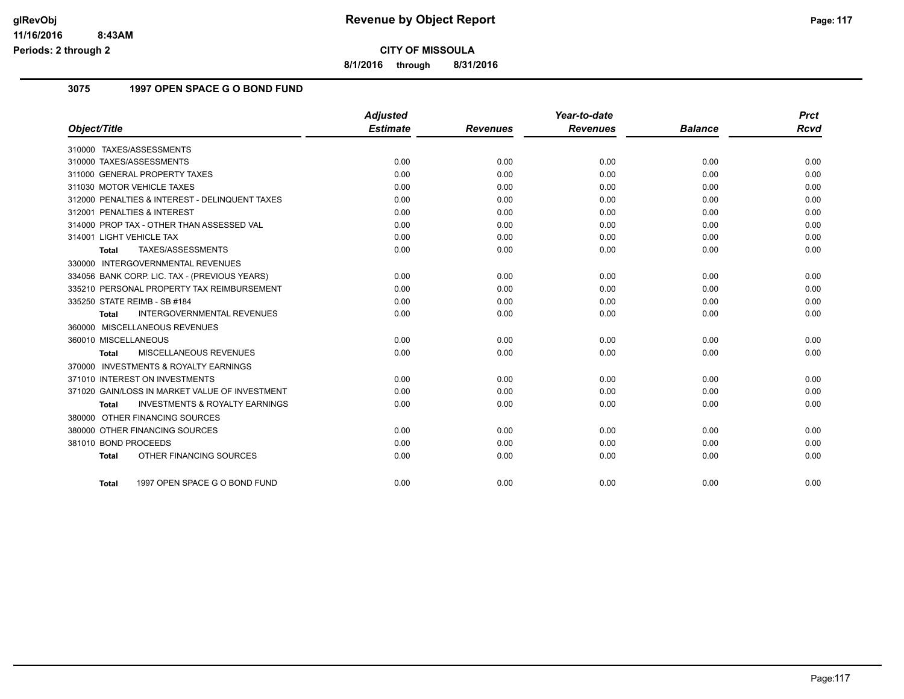**8/1/2016 through 8/31/2016**

## **3075 1997 OPEN SPACE G O BOND FUND**

|                                                           | <b>Adjusted</b> |                 | Year-to-date    |                | <b>Prct</b> |
|-----------------------------------------------------------|-----------------|-----------------|-----------------|----------------|-------------|
| Object/Title                                              | <b>Estimate</b> | <b>Revenues</b> | <b>Revenues</b> | <b>Balance</b> | <b>Rcvd</b> |
| 310000 TAXES/ASSESSMENTS                                  |                 |                 |                 |                |             |
| 310000 TAXES/ASSESSMENTS                                  | 0.00            | 0.00            | 0.00            | 0.00           | 0.00        |
| 311000 GENERAL PROPERTY TAXES                             | 0.00            | 0.00            | 0.00            | 0.00           | 0.00        |
| 311030 MOTOR VEHICLE TAXES                                | 0.00            | 0.00            | 0.00            | 0.00           | 0.00        |
| 312000 PENALTIES & INTEREST - DELINQUENT TAXES            | 0.00            | 0.00            | 0.00            | 0.00           | 0.00        |
| 312001 PENALTIES & INTEREST                               | 0.00            | 0.00            | 0.00            | 0.00           | 0.00        |
| 314000 PROP TAX - OTHER THAN ASSESSED VAL                 | 0.00            | 0.00            | 0.00            | 0.00           | 0.00        |
| 314001 LIGHT VEHICLE TAX                                  | 0.00            | 0.00            | 0.00            | 0.00           | 0.00        |
| TAXES/ASSESSMENTS<br><b>Total</b>                         | 0.00            | 0.00            | 0.00            | 0.00           | 0.00        |
| 330000 INTERGOVERNMENTAL REVENUES                         |                 |                 |                 |                |             |
| 334056 BANK CORP. LIC. TAX - (PREVIOUS YEARS)             | 0.00            | 0.00            | 0.00            | 0.00           | 0.00        |
| 335210 PERSONAL PROPERTY TAX REIMBURSEMENT                | 0.00            | 0.00            | 0.00            | 0.00           | 0.00        |
| 335250 STATE REIMB - SB #184                              | 0.00            | 0.00            | 0.00            | 0.00           | 0.00        |
| <b>INTERGOVERNMENTAL REVENUES</b><br><b>Total</b>         | 0.00            | 0.00            | 0.00            | 0.00           | 0.00        |
| 360000 MISCELLANEOUS REVENUES                             |                 |                 |                 |                |             |
| 360010 MISCELLANEOUS                                      | 0.00            | 0.00            | 0.00            | 0.00           | 0.00        |
| MISCELLANEOUS REVENUES<br><b>Total</b>                    | 0.00            | 0.00            | 0.00            | 0.00           | 0.00        |
| 370000 INVESTMENTS & ROYALTY EARNINGS                     |                 |                 |                 |                |             |
| 371010 INTEREST ON INVESTMENTS                            | 0.00            | 0.00            | 0.00            | 0.00           | 0.00        |
| 371020 GAIN/LOSS IN MARKET VALUE OF INVESTMENT            | 0.00            | 0.00            | 0.00            | 0.00           | 0.00        |
| <b>INVESTMENTS &amp; ROYALTY EARNINGS</b><br><b>Total</b> | 0.00            | 0.00            | 0.00            | 0.00           | 0.00        |
| 380000 OTHER FINANCING SOURCES                            |                 |                 |                 |                |             |
| 380000 OTHER FINANCING SOURCES                            | 0.00            | 0.00            | 0.00            | 0.00           | 0.00        |
| 381010 BOND PROCEEDS                                      | 0.00            | 0.00            | 0.00            | 0.00           | 0.00        |
| OTHER FINANCING SOURCES<br><b>Total</b>                   | 0.00            | 0.00            | 0.00            | 0.00           | 0.00        |
| 1997 OPEN SPACE G O BOND FUND<br><b>Total</b>             | 0.00            | 0.00            | 0.00            | 0.00           | 0.00        |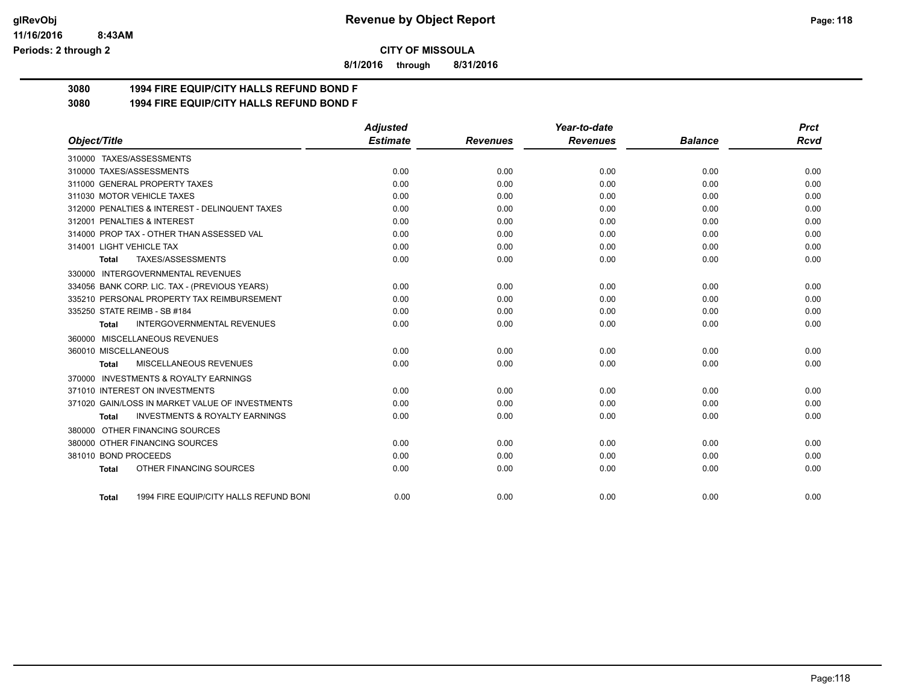**11/16/2016 8:43AM Periods: 2 through 2**

**CITY OF MISSOULA**

**8/1/2016 through 8/31/2016**

# **3080 1994 FIRE EQUIP/CITY HALLS REFUND BOND F**

**3080 1994 FIRE EQUIP/CITY HALLS REFUND BOND F**

|                                                           | <b>Adjusted</b> |                 | Year-to-date    |                | <b>Prct</b> |
|-----------------------------------------------------------|-----------------|-----------------|-----------------|----------------|-------------|
| Object/Title                                              | <b>Estimate</b> | <b>Revenues</b> | <b>Revenues</b> | <b>Balance</b> | <b>Rcvd</b> |
| 310000 TAXES/ASSESSMENTS                                  |                 |                 |                 |                |             |
| 310000 TAXES/ASSESSMENTS                                  | 0.00            | 0.00            | 0.00            | 0.00           | 0.00        |
| 311000 GENERAL PROPERTY TAXES                             | 0.00            | 0.00            | 0.00            | 0.00           | 0.00        |
| 311030 MOTOR VEHICLE TAXES                                | 0.00            | 0.00            | 0.00            | 0.00           | 0.00        |
| 312000 PENALTIES & INTEREST - DELINQUENT TAXES            | 0.00            | 0.00            | 0.00            | 0.00           | 0.00        |
| 312001 PENALTIES & INTEREST                               | 0.00            | 0.00            | 0.00            | 0.00           | 0.00        |
| 314000 PROP TAX - OTHER THAN ASSESSED VAL                 | 0.00            | 0.00            | 0.00            | 0.00           | 0.00        |
| 314001 LIGHT VEHICLE TAX                                  | 0.00            | 0.00            | 0.00            | 0.00           | 0.00        |
| TAXES/ASSESSMENTS<br>Total                                | 0.00            | 0.00            | 0.00            | 0.00           | 0.00        |
| 330000 INTERGOVERNMENTAL REVENUES                         |                 |                 |                 |                |             |
| 334056 BANK CORP. LIC. TAX - (PREVIOUS YEARS)             | 0.00            | 0.00            | 0.00            | 0.00           | 0.00        |
| 335210 PERSONAL PROPERTY TAX REIMBURSEMENT                | 0.00            | 0.00            | 0.00            | 0.00           | 0.00        |
| 335250 STATE REIMB - SB #184                              | 0.00            | 0.00            | 0.00            | 0.00           | 0.00        |
| <b>INTERGOVERNMENTAL REVENUES</b><br><b>Total</b>         | 0.00            | 0.00            | 0.00            | 0.00           | 0.00        |
| 360000 MISCELLANEOUS REVENUES                             |                 |                 |                 |                |             |
| 360010 MISCELLANEOUS                                      | 0.00            | 0.00            | 0.00            | 0.00           | 0.00        |
| MISCELLANEOUS REVENUES<br><b>Total</b>                    | 0.00            | 0.00            | 0.00            | 0.00           | 0.00        |
| <b>INVESTMENTS &amp; ROYALTY EARNINGS</b><br>370000       |                 |                 |                 |                |             |
| 371010 INTEREST ON INVESTMENTS                            | 0.00            | 0.00            | 0.00            | 0.00           | 0.00        |
| 371020 GAIN/LOSS IN MARKET VALUE OF INVESTMENTS           | 0.00            | 0.00            | 0.00            | 0.00           | 0.00        |
| <b>INVESTMENTS &amp; ROYALTY EARNINGS</b><br><b>Total</b> | 0.00            | 0.00            | 0.00            | 0.00           | 0.00        |
| 380000 OTHER FINANCING SOURCES                            |                 |                 |                 |                |             |
| 380000 OTHER FINANCING SOURCES                            | 0.00            | 0.00            | 0.00            | 0.00           | 0.00        |
| 381010 BOND PROCEEDS                                      | 0.00            | 0.00            | 0.00            | 0.00           | 0.00        |
| OTHER FINANCING SOURCES<br><b>Total</b>                   | 0.00            | 0.00            | 0.00            | 0.00           | 0.00        |
|                                                           |                 |                 |                 |                |             |
| 1994 FIRE EQUIP/CITY HALLS REFUND BONI<br><b>Total</b>    | 0.00            | 0.00            | 0.00            | 0.00           | 0.00        |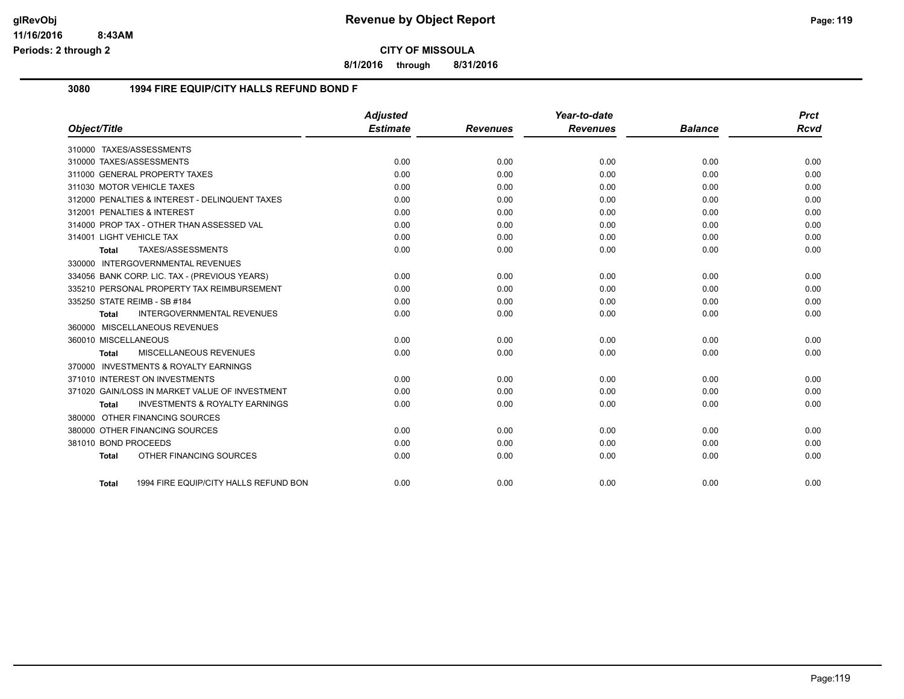**8/1/2016 through 8/31/2016**

## **3080 1994 FIRE EQUIP/CITY HALLS REFUND BOND F**

|                              |                                                | <b>Adjusted</b> |                 | Year-to-date    |                | <b>Prct</b> |
|------------------------------|------------------------------------------------|-----------------|-----------------|-----------------|----------------|-------------|
| Object/Title                 |                                                | <b>Estimate</b> | <b>Revenues</b> | <b>Revenues</b> | <b>Balance</b> | Rcvd        |
| 310000 TAXES/ASSESSMENTS     |                                                |                 |                 |                 |                |             |
| 310000 TAXES/ASSESSMENTS     |                                                | 0.00            | 0.00            | 0.00            | 0.00           | 0.00        |
|                              | 311000 GENERAL PROPERTY TAXES                  | 0.00            | 0.00            | 0.00            | 0.00           | 0.00        |
| 311030 MOTOR VEHICLE TAXES   |                                                | 0.00            | 0.00            | 0.00            | 0.00           | 0.00        |
|                              | 312000 PENALTIES & INTEREST - DELINQUENT TAXES | 0.00            | 0.00            | 0.00            | 0.00           | 0.00        |
| 312001 PENALTIES & INTEREST  |                                                | 0.00            | 0.00            | 0.00            | 0.00           | 0.00        |
|                              | 314000 PROP TAX - OTHER THAN ASSESSED VAL      | 0.00            | 0.00            | 0.00            | 0.00           | 0.00        |
| 314001 LIGHT VEHICLE TAX     |                                                | 0.00            | 0.00            | 0.00            | 0.00           | 0.00        |
| <b>Total</b>                 | TAXES/ASSESSMENTS                              | 0.00            | 0.00            | 0.00            | 0.00           | 0.00        |
|                              | 330000 INTERGOVERNMENTAL REVENUES              |                 |                 |                 |                |             |
|                              | 334056 BANK CORP. LIC. TAX - (PREVIOUS YEARS)  | 0.00            | 0.00            | 0.00            | 0.00           | 0.00        |
|                              | 335210 PERSONAL PROPERTY TAX REIMBURSEMENT     | 0.00            | 0.00            | 0.00            | 0.00           | 0.00        |
| 335250 STATE REIMB - SB #184 |                                                | 0.00            | 0.00            | 0.00            | 0.00           | 0.00        |
| <b>Total</b>                 | <b>INTERGOVERNMENTAL REVENUES</b>              | 0.00            | 0.00            | 0.00            | 0.00           | 0.00        |
|                              | 360000 MISCELLANEOUS REVENUES                  |                 |                 |                 |                |             |
| 360010 MISCELLANEOUS         |                                                | 0.00            | 0.00            | 0.00            | 0.00           | 0.00        |
| <b>Total</b>                 | MISCELLANEOUS REVENUES                         | 0.00            | 0.00            | 0.00            | 0.00           | 0.00        |
|                              | 370000 INVESTMENTS & ROYALTY EARNINGS          |                 |                 |                 |                |             |
|                              | 371010 INTEREST ON INVESTMENTS                 | 0.00            | 0.00            | 0.00            | 0.00           | 0.00        |
|                              | 371020 GAIN/LOSS IN MARKET VALUE OF INVESTMENT | 0.00            | 0.00            | 0.00            | 0.00           | 0.00        |
| <b>Total</b>                 | <b>INVESTMENTS &amp; ROYALTY EARNINGS</b>      | 0.00            | 0.00            | 0.00            | 0.00           | 0.00        |
|                              | 380000 OTHER FINANCING SOURCES                 |                 |                 |                 |                |             |
|                              | 380000 OTHER FINANCING SOURCES                 | 0.00            | 0.00            | 0.00            | 0.00           | 0.00        |
| 381010 BOND PROCEEDS         |                                                | 0.00            | 0.00            | 0.00            | 0.00           | 0.00        |
| <b>Total</b>                 | OTHER FINANCING SOURCES                        | 0.00            | 0.00            | 0.00            | 0.00           | 0.00        |
|                              |                                                |                 |                 |                 |                |             |
| Total                        | 1994 FIRE EQUIP/CITY HALLS REFUND BON          | 0.00            | 0.00            | 0.00            | 0.00           | 0.00        |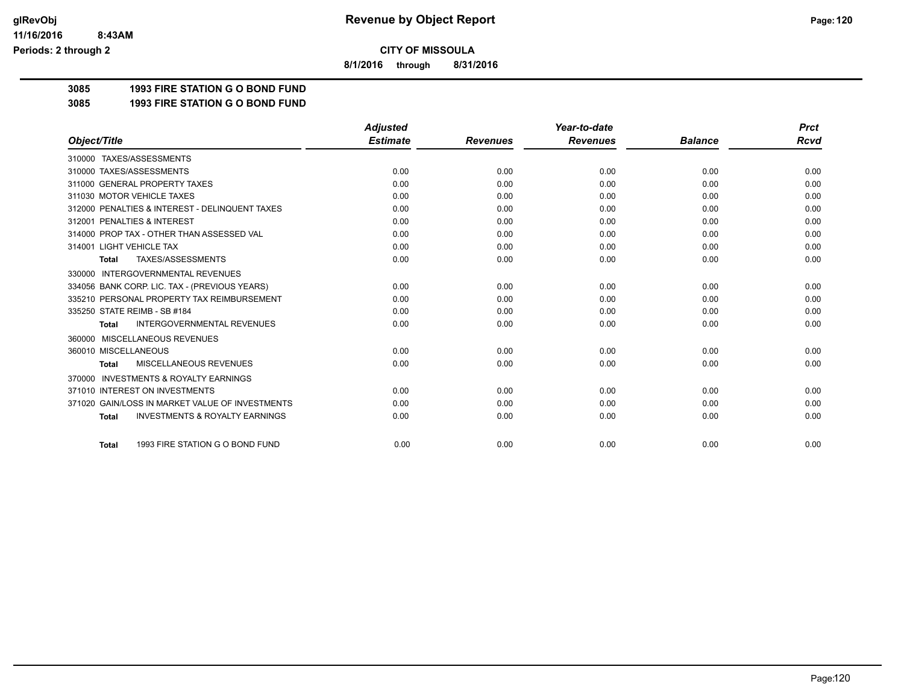**8/1/2016 through 8/31/2016**

# **3085 1993 FIRE STATION G O BOND FUND**

**3085 1993 FIRE STATION G O BOND FUND**

|                                                           | <b>Adjusted</b> |                 | Year-to-date    |                | <b>Prct</b> |
|-----------------------------------------------------------|-----------------|-----------------|-----------------|----------------|-------------|
| Object/Title                                              | <b>Estimate</b> | <b>Revenues</b> | <b>Revenues</b> | <b>Balance</b> | <b>Rcvd</b> |
| 310000 TAXES/ASSESSMENTS                                  |                 |                 |                 |                |             |
| 310000 TAXES/ASSESSMENTS                                  | 0.00            | 0.00            | 0.00            | 0.00           | 0.00        |
| 311000 GENERAL PROPERTY TAXES                             | 0.00            | 0.00            | 0.00            | 0.00           | 0.00        |
| 311030 MOTOR VEHICLE TAXES                                | 0.00            | 0.00            | 0.00            | 0.00           | 0.00        |
| 312000 PENALTIES & INTEREST - DELINQUENT TAXES            | 0.00            | 0.00            | 0.00            | 0.00           | 0.00        |
| 312001 PENALTIES & INTEREST                               | 0.00            | 0.00            | 0.00            | 0.00           | 0.00        |
| 314000 PROP TAX - OTHER THAN ASSESSED VAL                 | 0.00            | 0.00            | 0.00            | 0.00           | 0.00        |
| 314001 LIGHT VEHICLE TAX                                  | 0.00            | 0.00            | 0.00            | 0.00           | 0.00        |
| TAXES/ASSESSMENTS<br><b>Total</b>                         | 0.00            | 0.00            | 0.00            | 0.00           | 0.00        |
| <b>INTERGOVERNMENTAL REVENUES</b><br>330000               |                 |                 |                 |                |             |
| 334056 BANK CORP. LIC. TAX - (PREVIOUS YEARS)             | 0.00            | 0.00            | 0.00            | 0.00           | 0.00        |
| 335210 PERSONAL PROPERTY TAX REIMBURSEMENT                | 0.00            | 0.00            | 0.00            | 0.00           | 0.00        |
| 335250 STATE REIMB - SB #184                              | 0.00            | 0.00            | 0.00            | 0.00           | 0.00        |
| <b>INTERGOVERNMENTAL REVENUES</b><br><b>Total</b>         | 0.00            | 0.00            | 0.00            | 0.00           | 0.00        |
| MISCELLANEOUS REVENUES<br>360000                          |                 |                 |                 |                |             |
| 360010 MISCELLANEOUS                                      | 0.00            | 0.00            | 0.00            | 0.00           | 0.00        |
| MISCELLANEOUS REVENUES<br><b>Total</b>                    | 0.00            | 0.00            | 0.00            | 0.00           | 0.00        |
| <b>INVESTMENTS &amp; ROYALTY EARNINGS</b><br>370000       |                 |                 |                 |                |             |
| 371010 INTEREST ON INVESTMENTS                            | 0.00            | 0.00            | 0.00            | 0.00           | 0.00        |
| 371020 GAIN/LOSS IN MARKET VALUE OF INVESTMENTS           | 0.00            | 0.00            | 0.00            | 0.00           | 0.00        |
| <b>INVESTMENTS &amp; ROYALTY EARNINGS</b><br><b>Total</b> | 0.00            | 0.00            | 0.00            | 0.00           | 0.00        |
| 1993 FIRE STATION G O BOND FUND<br><b>Total</b>           | 0.00            | 0.00            | 0.00            | 0.00           | 0.00        |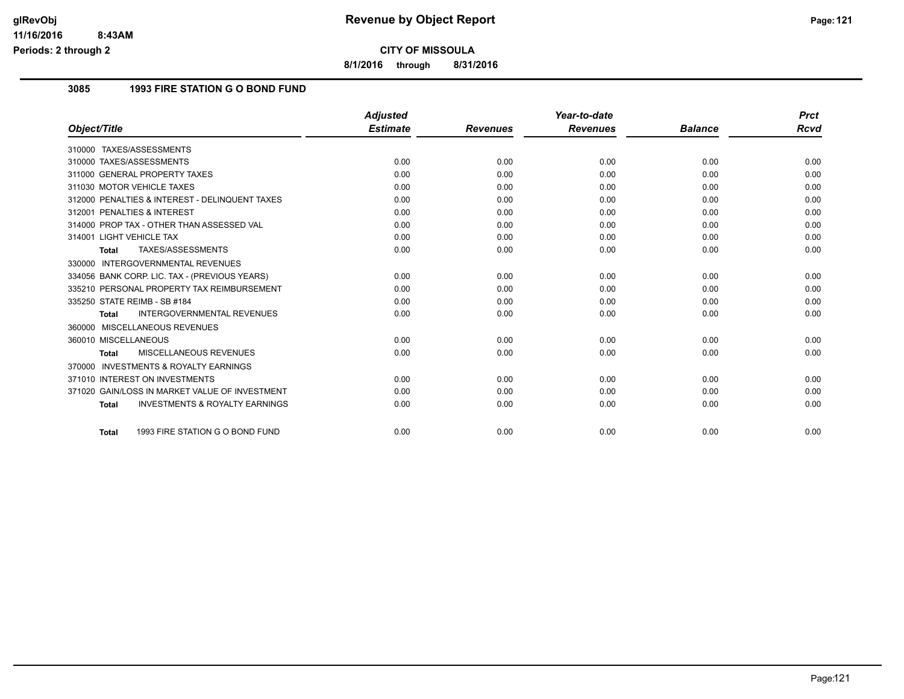**8/1/2016 through 8/31/2016**

## **3085 1993 FIRE STATION G O BOND FUND**

|                                                           | <b>Adjusted</b> |                 | Year-to-date    |                | <b>Prct</b> |
|-----------------------------------------------------------|-----------------|-----------------|-----------------|----------------|-------------|
| Object/Title                                              | <b>Estimate</b> | <b>Revenues</b> | <b>Revenues</b> | <b>Balance</b> | Rcvd        |
| 310000 TAXES/ASSESSMENTS                                  |                 |                 |                 |                |             |
| 310000 TAXES/ASSESSMENTS                                  | 0.00            | 0.00            | 0.00            | 0.00           | 0.00        |
| 311000 GENERAL PROPERTY TAXES                             | 0.00            | 0.00            | 0.00            | 0.00           | 0.00        |
| 311030 MOTOR VEHICLE TAXES                                | 0.00            | 0.00            | 0.00            | 0.00           | 0.00        |
| 312000 PENALTIES & INTEREST - DELINQUENT TAXES            | 0.00            | 0.00            | 0.00            | 0.00           | 0.00        |
| 312001 PENALTIES & INTEREST                               | 0.00            | 0.00            | 0.00            | 0.00           | 0.00        |
| 314000 PROP TAX - OTHER THAN ASSESSED VAL                 | 0.00            | 0.00            | 0.00            | 0.00           | 0.00        |
| 314001 LIGHT VEHICLE TAX                                  | 0.00            | 0.00            | 0.00            | 0.00           | 0.00        |
| TAXES/ASSESSMENTS<br>Total                                | 0.00            | 0.00            | 0.00            | 0.00           | 0.00        |
| 330000 INTERGOVERNMENTAL REVENUES                         |                 |                 |                 |                |             |
| 334056 BANK CORP. LIC. TAX - (PREVIOUS YEARS)             | 0.00            | 0.00            | 0.00            | 0.00           | 0.00        |
| 335210 PERSONAL PROPERTY TAX REIMBURSEMENT                | 0.00            | 0.00            | 0.00            | 0.00           | 0.00        |
| 335250 STATE REIMB - SB #184                              | 0.00            | 0.00            | 0.00            | 0.00           | 0.00        |
| <b>INTERGOVERNMENTAL REVENUES</b><br><b>Total</b>         | 0.00            | 0.00            | 0.00            | 0.00           | 0.00        |
| 360000 MISCELLANEOUS REVENUES                             |                 |                 |                 |                |             |
| 360010 MISCELLANEOUS                                      | 0.00            | 0.00            | 0.00            | 0.00           | 0.00        |
| MISCELLANEOUS REVENUES<br><b>Total</b>                    | 0.00            | 0.00            | 0.00            | 0.00           | 0.00        |
| 370000 INVESTMENTS & ROYALTY EARNINGS                     |                 |                 |                 |                |             |
| 371010 INTEREST ON INVESTMENTS                            | 0.00            | 0.00            | 0.00            | 0.00           | 0.00        |
| 371020 GAIN/LOSS IN MARKET VALUE OF INVESTMENT            | 0.00            | 0.00            | 0.00            | 0.00           | 0.00        |
| <b>INVESTMENTS &amp; ROYALTY EARNINGS</b><br><b>Total</b> | 0.00            | 0.00            | 0.00            | 0.00           | 0.00        |
| 1993 FIRE STATION G O BOND FUND<br>Total                  | 0.00            | 0.00            | 0.00            | 0.00           | 0.00        |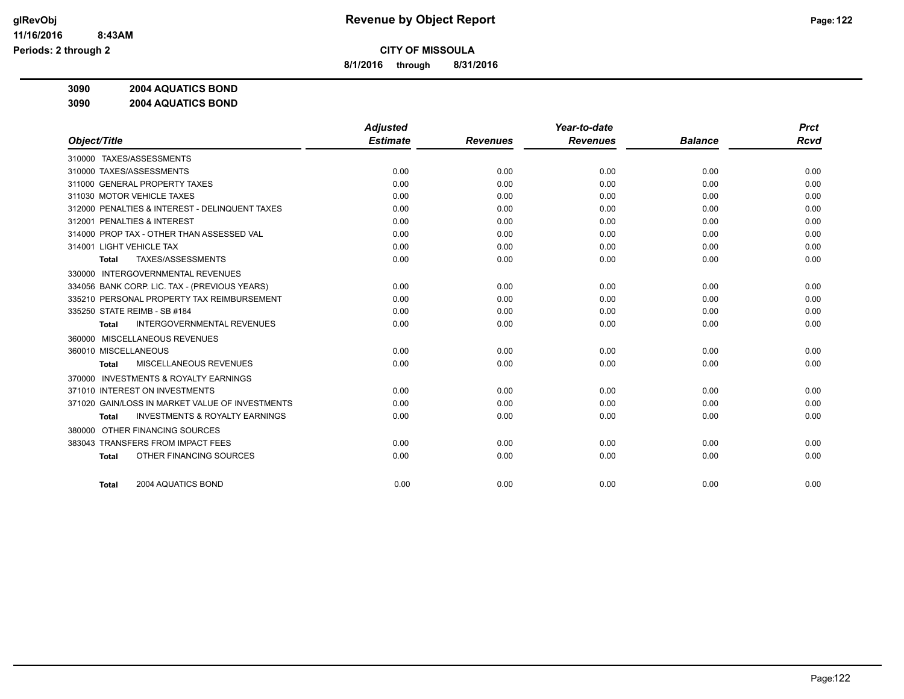**8/1/2016 through 8/31/2016**

**3090 2004 AQUATICS BOND**

**3090 2004 AQUATICS BOND**

|                                                           | <b>Adjusted</b> |                 | Year-to-date    |                | <b>Prct</b> |
|-----------------------------------------------------------|-----------------|-----------------|-----------------|----------------|-------------|
| Object/Title                                              | <b>Estimate</b> | <b>Revenues</b> | <b>Revenues</b> | <b>Balance</b> | <b>Rcvd</b> |
| 310000 TAXES/ASSESSMENTS                                  |                 |                 |                 |                |             |
| 310000 TAXES/ASSESSMENTS                                  | 0.00            | 0.00            | 0.00            | 0.00           | 0.00        |
| 311000 GENERAL PROPERTY TAXES                             | 0.00            | 0.00            | 0.00            | 0.00           | 0.00        |
| 311030 MOTOR VEHICLE TAXES                                | 0.00            | 0.00            | 0.00            | 0.00           | 0.00        |
| 312000 PENALTIES & INTEREST - DELINQUENT TAXES            | 0.00            | 0.00            | 0.00            | 0.00           | 0.00        |
| 312001 PENALTIES & INTEREST                               | 0.00            | 0.00            | 0.00            | 0.00           | 0.00        |
| 314000 PROP TAX - OTHER THAN ASSESSED VAL                 | 0.00            | 0.00            | 0.00            | 0.00           | 0.00        |
| 314001 LIGHT VEHICLE TAX                                  | 0.00            | 0.00            | 0.00            | 0.00           | 0.00        |
| TAXES/ASSESSMENTS<br><b>Total</b>                         | 0.00            | 0.00            | 0.00            | 0.00           | 0.00        |
| 330000 INTERGOVERNMENTAL REVENUES                         |                 |                 |                 |                |             |
| 334056 BANK CORP. LIC. TAX - (PREVIOUS YEARS)             | 0.00            | 0.00            | 0.00            | 0.00           | 0.00        |
| 335210 PERSONAL PROPERTY TAX REIMBURSEMENT                | 0.00            | 0.00            | 0.00            | 0.00           | 0.00        |
| 335250 STATE REIMB - SB #184                              | 0.00            | 0.00            | 0.00            | 0.00           | 0.00        |
| <b>INTERGOVERNMENTAL REVENUES</b><br><b>Total</b>         | 0.00            | 0.00            | 0.00            | 0.00           | 0.00        |
| MISCELLANEOUS REVENUES<br>360000                          |                 |                 |                 |                |             |
| 360010 MISCELLANEOUS                                      | 0.00            | 0.00            | 0.00            | 0.00           | 0.00        |
| MISCELLANEOUS REVENUES<br><b>Total</b>                    | 0.00            | 0.00            | 0.00            | 0.00           | 0.00        |
| <b>INVESTMENTS &amp; ROYALTY EARNINGS</b><br>370000       |                 |                 |                 |                |             |
| 371010 INTEREST ON INVESTMENTS                            | 0.00            | 0.00            | 0.00            | 0.00           | 0.00        |
| 371020 GAIN/LOSS IN MARKET VALUE OF INVESTMENTS           | 0.00            | 0.00            | 0.00            | 0.00           | 0.00        |
| <b>INVESTMENTS &amp; ROYALTY EARNINGS</b><br><b>Total</b> | 0.00            | 0.00            | 0.00            | 0.00           | 0.00        |
| 380000 OTHER FINANCING SOURCES                            |                 |                 |                 |                |             |
| 383043 TRANSFERS FROM IMPACT FEES                         | 0.00            | 0.00            | 0.00            | 0.00           | 0.00        |
| OTHER FINANCING SOURCES<br><b>Total</b>                   | 0.00            | 0.00            | 0.00            | 0.00           | 0.00        |
| 2004 AQUATICS BOND<br><b>Total</b>                        | 0.00            | 0.00            | 0.00            | 0.00           | 0.00        |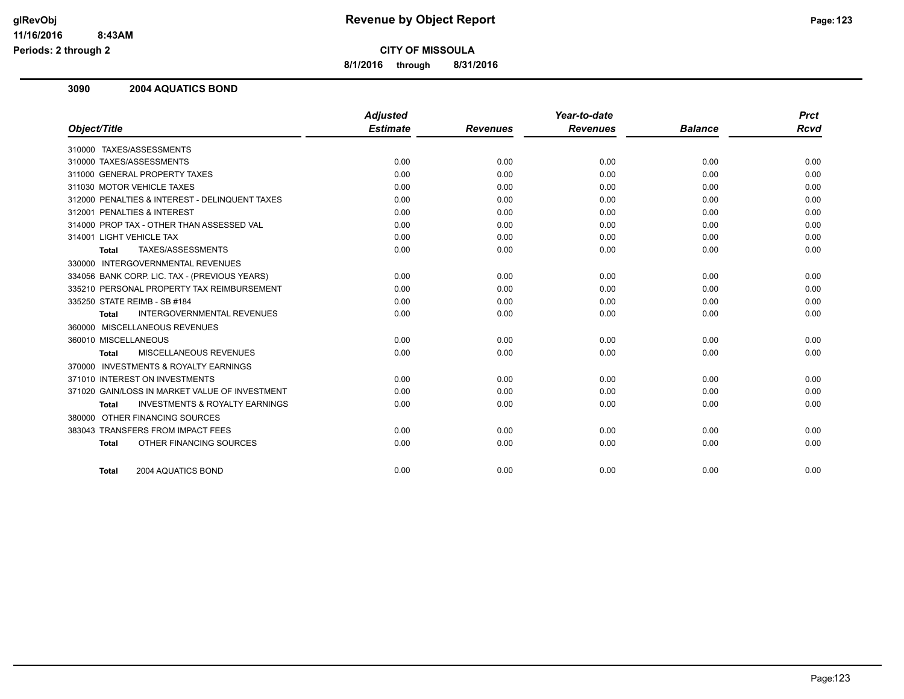**Periods: 2 through 2**

**CITY OF MISSOULA**

**8/1/2016 through 8/31/2016**

## **3090 2004 AQUATICS BOND**

 **8:43AM**

|                                                           | <b>Adjusted</b> |                 | Year-to-date    |                | <b>Prct</b> |
|-----------------------------------------------------------|-----------------|-----------------|-----------------|----------------|-------------|
| Object/Title                                              | <b>Estimate</b> | <b>Revenues</b> | <b>Revenues</b> | <b>Balance</b> | <b>Rcvd</b> |
| 310000 TAXES/ASSESSMENTS                                  |                 |                 |                 |                |             |
| 310000 TAXES/ASSESSMENTS                                  | 0.00            | 0.00            | 0.00            | 0.00           | 0.00        |
| 311000 GENERAL PROPERTY TAXES                             | 0.00            | 0.00            | 0.00            | 0.00           | 0.00        |
| 311030 MOTOR VEHICLE TAXES                                | 0.00            | 0.00            | 0.00            | 0.00           | 0.00        |
| 312000 PENALTIES & INTEREST - DELINQUENT TAXES            | 0.00            | 0.00            | 0.00            | 0.00           | 0.00        |
| 312001 PENALTIES & INTEREST                               | 0.00            | 0.00            | 0.00            | 0.00           | 0.00        |
| 314000 PROP TAX - OTHER THAN ASSESSED VAL                 | 0.00            | 0.00            | 0.00            | 0.00           | 0.00        |
| 314001 LIGHT VEHICLE TAX                                  | 0.00            | 0.00            | 0.00            | 0.00           | 0.00        |
| TAXES/ASSESSMENTS<br><b>Total</b>                         | 0.00            | 0.00            | 0.00            | 0.00           | 0.00        |
| 330000 INTERGOVERNMENTAL REVENUES                         |                 |                 |                 |                |             |
| 334056 BANK CORP. LIC. TAX - (PREVIOUS YEARS)             | 0.00            | 0.00            | 0.00            | 0.00           | 0.00        |
| 335210 PERSONAL PROPERTY TAX REIMBURSEMENT                | 0.00            | 0.00            | 0.00            | 0.00           | 0.00        |
| 335250 STATE REIMB - SB #184                              | 0.00            | 0.00            | 0.00            | 0.00           | 0.00        |
| INTERGOVERNMENTAL REVENUES<br><b>Total</b>                | 0.00            | 0.00            | 0.00            | 0.00           | 0.00        |
| 360000 MISCELLANEOUS REVENUES                             |                 |                 |                 |                |             |
| 360010 MISCELLANEOUS                                      | 0.00            | 0.00            | 0.00            | 0.00           | 0.00        |
| MISCELLANEOUS REVENUES<br><b>Total</b>                    | 0.00            | 0.00            | 0.00            | 0.00           | 0.00        |
| 370000 INVESTMENTS & ROYALTY EARNINGS                     |                 |                 |                 |                |             |
| 371010 INTEREST ON INVESTMENTS                            | 0.00            | 0.00            | 0.00            | 0.00           | 0.00        |
| 371020 GAIN/LOSS IN MARKET VALUE OF INVESTMENT            | 0.00            | 0.00            | 0.00            | 0.00           | 0.00        |
| <b>INVESTMENTS &amp; ROYALTY EARNINGS</b><br><b>Total</b> | 0.00            | 0.00            | 0.00            | 0.00           | 0.00        |
| 380000 OTHER FINANCING SOURCES                            |                 |                 |                 |                |             |
| 383043 TRANSFERS FROM IMPACT FEES                         | 0.00            | 0.00            | 0.00            | 0.00           | 0.00        |
| OTHER FINANCING SOURCES<br><b>Total</b>                   | 0.00            | 0.00            | 0.00            | 0.00           | 0.00        |
| 2004 AQUATICS BOND<br><b>Total</b>                        | 0.00            | 0.00            | 0.00            | 0.00           | 0.00        |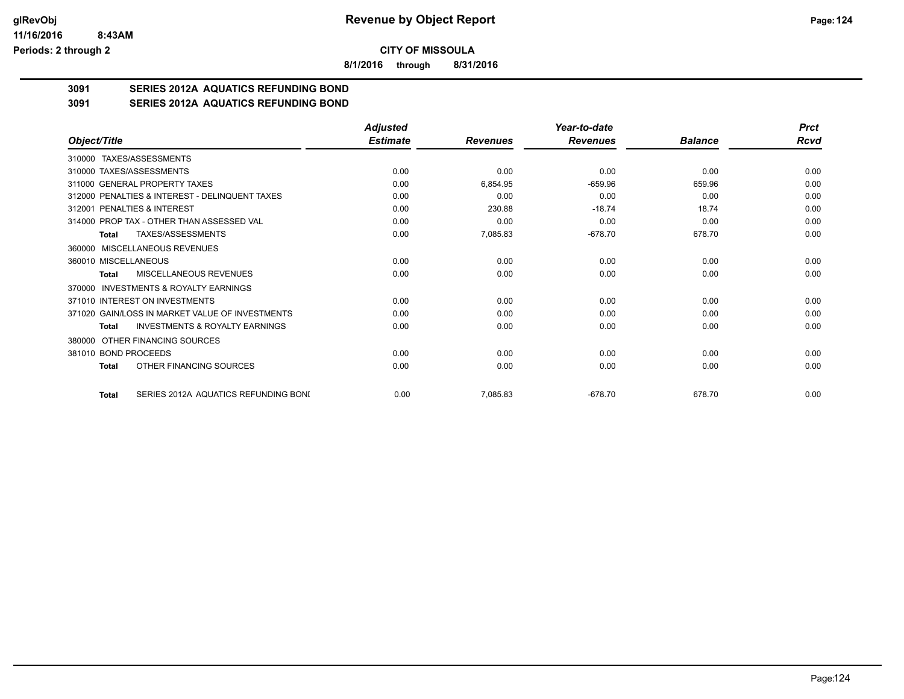**8/1/2016 through 8/31/2016**

# **3091 SERIES 2012A AQUATICS REFUNDING BOND**

# **3091 SERIES 2012A AQUATICS REFUNDING BOND**

|                                                           | <b>Adjusted</b> |                 | Year-to-date    |                | <b>Prct</b> |
|-----------------------------------------------------------|-----------------|-----------------|-----------------|----------------|-------------|
| Object/Title                                              | <b>Estimate</b> | <b>Revenues</b> | <b>Revenues</b> | <b>Balance</b> | Rcvd        |
| 310000 TAXES/ASSESSMENTS                                  |                 |                 |                 |                |             |
| 310000 TAXES/ASSESSMENTS                                  | 0.00            | 0.00            | 0.00            | 0.00           | 0.00        |
| 311000 GENERAL PROPERTY TAXES                             | 0.00            | 6,854.95        | $-659.96$       | 659.96         | 0.00        |
| 312000 PENALTIES & INTEREST - DELINQUENT TAXES            | 0.00            | 0.00            | 0.00            | 0.00           | 0.00        |
| 312001 PENALTIES & INTEREST                               | 0.00            | 230.88          | $-18.74$        | 18.74          | 0.00        |
| 314000 PROP TAX - OTHER THAN ASSESSED VAL                 | 0.00            | 0.00            | 0.00            | 0.00           | 0.00        |
| <b>TAXES/ASSESSMENTS</b><br><b>Total</b>                  | 0.00            | 7,085.83        | $-678.70$       | 678.70         | 0.00        |
| MISCELLANEOUS REVENUES<br>360000                          |                 |                 |                 |                |             |
| 360010 MISCELLANEOUS                                      | 0.00            | 0.00            | 0.00            | 0.00           | 0.00        |
| MISCELLANEOUS REVENUES<br><b>Total</b>                    | 0.00            | 0.00            | 0.00            | 0.00           | 0.00        |
| <b>INVESTMENTS &amp; ROYALTY EARNINGS</b><br>370000       |                 |                 |                 |                |             |
| 371010 INTEREST ON INVESTMENTS                            | 0.00            | 0.00            | 0.00            | 0.00           | 0.00        |
| 371020 GAIN/LOSS IN MARKET VALUE OF INVESTMENTS           | 0.00            | 0.00            | 0.00            | 0.00           | 0.00        |
| <b>INVESTMENTS &amp; ROYALTY EARNINGS</b><br><b>Total</b> | 0.00            | 0.00            | 0.00            | 0.00           | 0.00        |
| OTHER FINANCING SOURCES<br>380000                         |                 |                 |                 |                |             |
| 381010 BOND PROCEEDS                                      | 0.00            | 0.00            | 0.00            | 0.00           | 0.00        |
| OTHER FINANCING SOURCES<br><b>Total</b>                   | 0.00            | 0.00            | 0.00            | 0.00           | 0.00        |
| SERIES 2012A AQUATICS REFUNDING BONI<br><b>Total</b>      | 0.00            | 7,085.83        | $-678.70$       | 678.70         | 0.00        |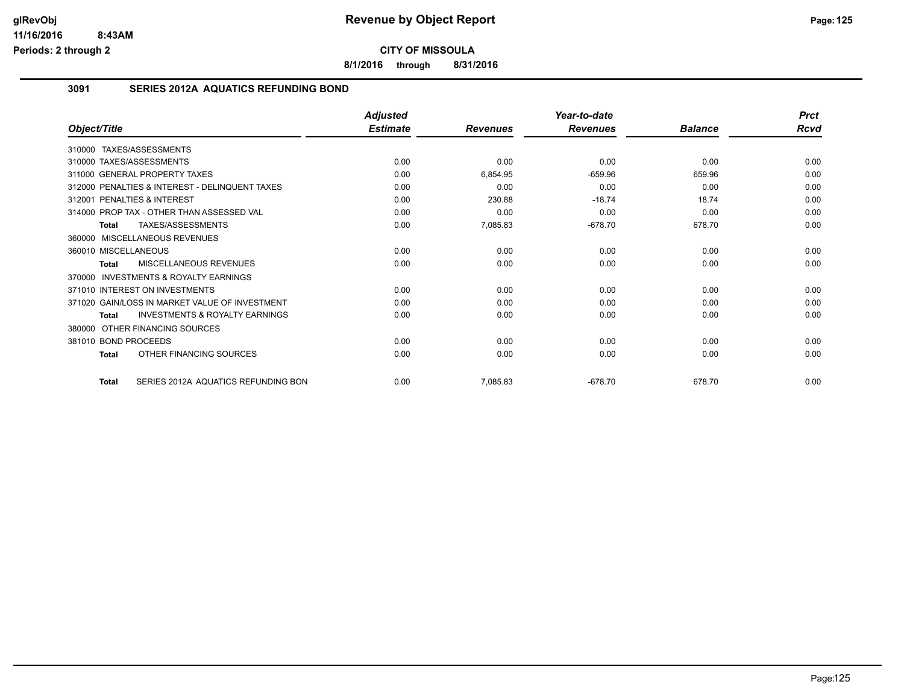**8/1/2016 through 8/31/2016**

## **3091 SERIES 2012A AQUATICS REFUNDING BOND**

|                                                           | <b>Adjusted</b> |                 | Year-to-date    |                | <b>Prct</b> |
|-----------------------------------------------------------|-----------------|-----------------|-----------------|----------------|-------------|
| Object/Title                                              | <b>Estimate</b> | <b>Revenues</b> | <b>Revenues</b> | <b>Balance</b> | <b>Rcvd</b> |
| 310000 TAXES/ASSESSMENTS                                  |                 |                 |                 |                |             |
| 310000 TAXES/ASSESSMENTS                                  | 0.00            | 0.00            | 0.00            | 0.00           | 0.00        |
| 311000 GENERAL PROPERTY TAXES                             | 0.00            | 6,854.95        | $-659.96$       | 659.96         | 0.00        |
| 312000 PENALTIES & INTEREST - DELINQUENT TAXES            | 0.00            | 0.00            | 0.00            | 0.00           | 0.00        |
| 312001 PENALTIES & INTEREST                               | 0.00            | 230.88          | $-18.74$        | 18.74          | 0.00        |
| 314000 PROP TAX - OTHER THAN ASSESSED VAL                 | 0.00            | 0.00            | 0.00            | 0.00           | 0.00        |
| TAXES/ASSESSMENTS<br><b>Total</b>                         | 0.00            | 7,085.83        | $-678.70$       | 678.70         | 0.00        |
| 360000 MISCELLANEOUS REVENUES                             |                 |                 |                 |                |             |
| 360010 MISCELLANEOUS                                      | 0.00            | 0.00            | 0.00            | 0.00           | 0.00        |
| <b>MISCELLANEOUS REVENUES</b><br><b>Total</b>             | 0.00            | 0.00            | 0.00            | 0.00           | 0.00        |
| 370000 INVESTMENTS & ROYALTY EARNINGS                     |                 |                 |                 |                |             |
| 371010 INTEREST ON INVESTMENTS                            | 0.00            | 0.00            | 0.00            | 0.00           | 0.00        |
| 371020 GAIN/LOSS IN MARKET VALUE OF INVESTMENT            | 0.00            | 0.00            | 0.00            | 0.00           | 0.00        |
| <b>INVESTMENTS &amp; ROYALTY EARNINGS</b><br><b>Total</b> | 0.00            | 0.00            | 0.00            | 0.00           | 0.00        |
| 380000 OTHER FINANCING SOURCES                            |                 |                 |                 |                |             |
| 381010 BOND PROCEEDS                                      | 0.00            | 0.00            | 0.00            | 0.00           | 0.00        |
| OTHER FINANCING SOURCES<br><b>Total</b>                   | 0.00            | 0.00            | 0.00            | 0.00           | 0.00        |
|                                                           |                 |                 |                 |                |             |
| SERIES 2012A AQUATICS REFUNDING BON<br><b>Total</b>       | 0.00            | 7,085.83        | $-678.70$       | 678.70         | 0.00        |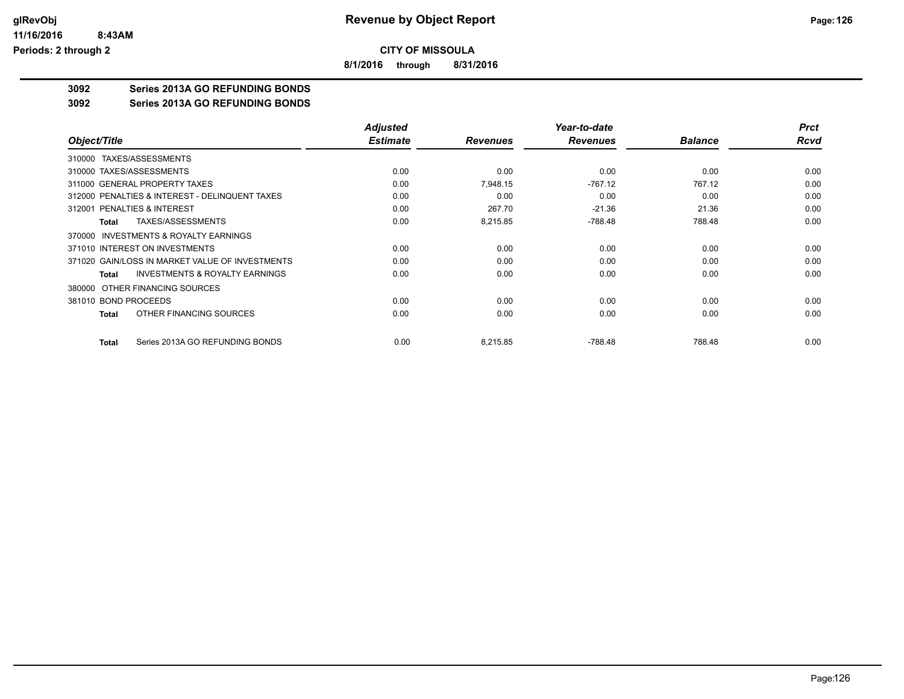**8/1/2016 through 8/31/2016**

# **3092 Series 2013A GO REFUNDING BONDS**

## **3092 Series 2013A GO REFUNDING BONDS**

|                                                    | <b>Adjusted</b> |                 | Year-to-date    |                | <b>Prct</b> |
|----------------------------------------------------|-----------------|-----------------|-----------------|----------------|-------------|
| Object/Title                                       | <b>Estimate</b> | <b>Revenues</b> | <b>Revenues</b> | <b>Balance</b> | <b>Rcvd</b> |
| 310000 TAXES/ASSESSMENTS                           |                 |                 |                 |                |             |
| 310000 TAXES/ASSESSMENTS                           | 0.00            | 0.00            | 0.00            | 0.00           | 0.00        |
| 311000 GENERAL PROPERTY TAXES                      | 0.00            | 7,948.15        | $-767.12$       | 767.12         | 0.00        |
| 312000 PENALTIES & INTEREST - DELINQUENT TAXES     | 0.00            | 0.00            | 0.00            | 0.00           | 0.00        |
| 312001 PENALTIES & INTEREST                        | 0.00            | 267.70          | $-21.36$        | 21.36          | 0.00        |
| TAXES/ASSESSMENTS<br>Total                         | 0.00            | 8,215.85        | $-788.48$       | 788.48         | 0.00        |
| 370000 INVESTMENTS & ROYALTY EARNINGS              |                 |                 |                 |                |             |
| 371010 INTEREST ON INVESTMENTS                     | 0.00            | 0.00            | 0.00            | 0.00           | 0.00        |
| 371020 GAIN/LOSS IN MARKET VALUE OF INVESTMENTS    | 0.00            | 0.00            | 0.00            | 0.00           | 0.00        |
| <b>INVESTMENTS &amp; ROYALTY EARNINGS</b><br>Total | 0.00            | 0.00            | 0.00            | 0.00           | 0.00        |
| OTHER FINANCING SOURCES<br>380000                  |                 |                 |                 |                |             |
| 381010 BOND PROCEEDS                               | 0.00            | 0.00            | 0.00            | 0.00           | 0.00        |
| OTHER FINANCING SOURCES<br>Total                   | 0.00            | 0.00            | 0.00            | 0.00           | 0.00        |
| Series 2013A GO REFUNDING BONDS<br><b>Total</b>    | 0.00            | 8,215.85        | $-788.48$       | 788.48         | 0.00        |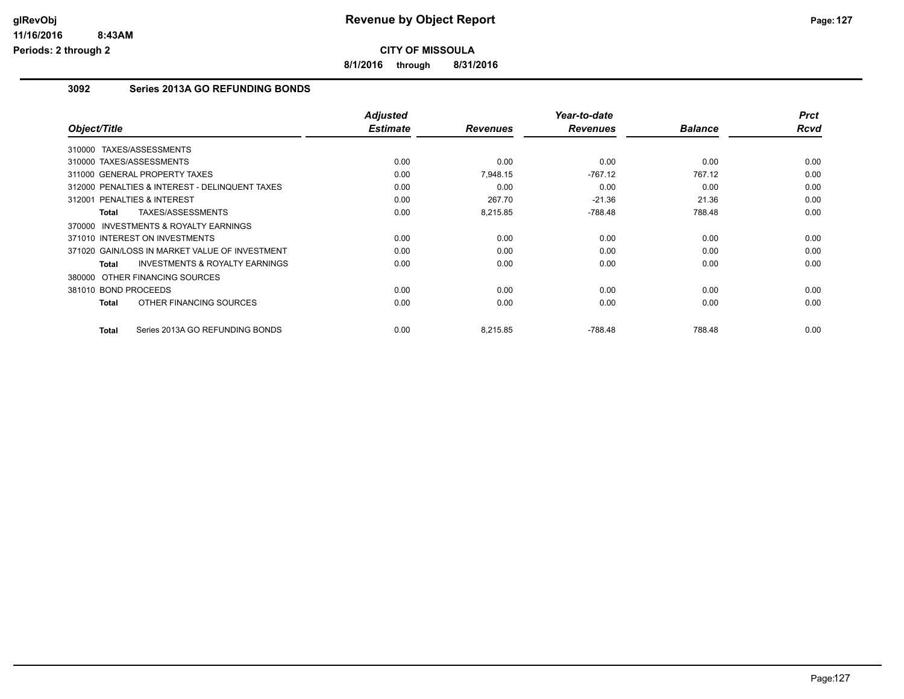**8/1/2016 through 8/31/2016**

## **3092 Series 2013A GO REFUNDING BONDS**

| Object/Title                                              | <b>Adjusted</b><br><b>Estimate</b> | <b>Revenues</b> | Year-to-date<br><b>Revenues</b> | <b>Balance</b> | <b>Prct</b><br><b>Rcvd</b> |
|-----------------------------------------------------------|------------------------------------|-----------------|---------------------------------|----------------|----------------------------|
| TAXES/ASSESSMENTS<br>310000                               |                                    |                 |                                 |                |                            |
| 310000 TAXES/ASSESSMENTS                                  | 0.00                               | 0.00            | 0.00                            | 0.00           | 0.00                       |
| 311000 GENERAL PROPERTY TAXES                             | 0.00                               | 7,948.15        | $-767.12$                       | 767.12         | 0.00                       |
| 312000 PENALTIES & INTEREST - DELINQUENT TAXES            | 0.00                               | 0.00            | 0.00                            | 0.00           | 0.00                       |
| 312001 PENALTIES & INTEREST                               | 0.00                               | 267.70          | $-21.36$                        | 21.36          | 0.00                       |
| TAXES/ASSESSMENTS<br><b>Total</b>                         | 0.00                               | 8,215.85        | $-788.48$                       | 788.48         | 0.00                       |
| <b>INVESTMENTS &amp; ROYALTY EARNINGS</b><br>370000       |                                    |                 |                                 |                |                            |
| 371010 INTEREST ON INVESTMENTS                            | 0.00                               | 0.00            | 0.00                            | 0.00           | 0.00                       |
| 371020 GAIN/LOSS IN MARKET VALUE OF INVESTMENT            | 0.00                               | 0.00            | 0.00                            | 0.00           | 0.00                       |
| <b>INVESTMENTS &amp; ROYALTY EARNINGS</b><br><b>Total</b> | 0.00                               | 0.00            | 0.00                            | 0.00           | 0.00                       |
| 380000 OTHER FINANCING SOURCES                            |                                    |                 |                                 |                |                            |
| 381010 BOND PROCEEDS                                      | 0.00                               | 0.00            | 0.00                            | 0.00           | 0.00                       |
| OTHER FINANCING SOURCES<br><b>Total</b>                   | 0.00                               | 0.00            | 0.00                            | 0.00           | 0.00                       |
| Series 2013A GO REFUNDING BONDS<br><b>Total</b>           | 0.00                               | 8,215.85        | $-788.48$                       | 788.48         | 0.00                       |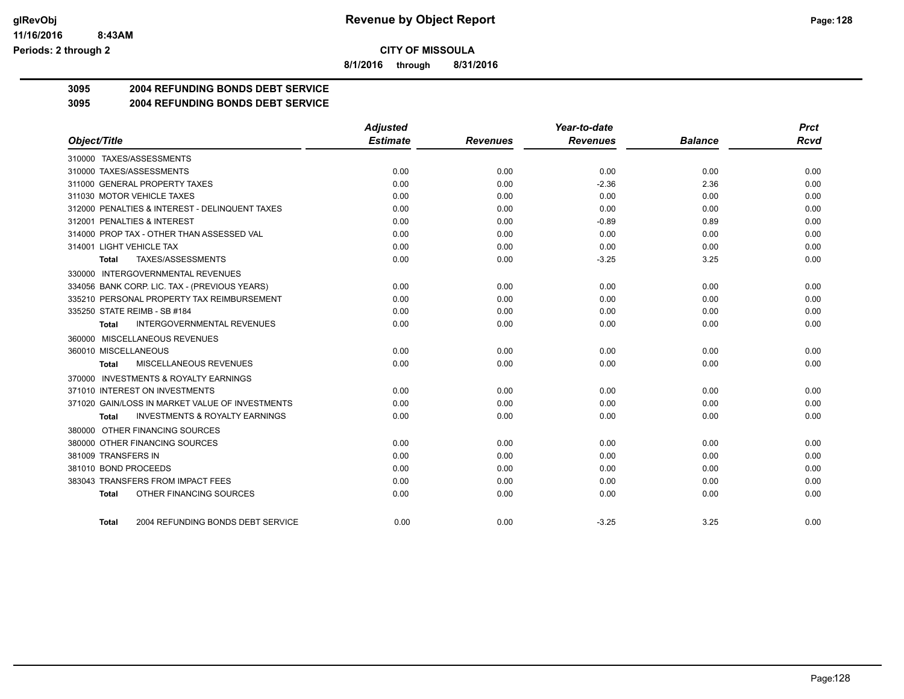**8/1/2016 through 8/31/2016**

# **3095 2004 REFUNDING BONDS DEBT SERVICE**

## **3095 2004 REFUNDING BONDS DEBT SERVICE**

|                                                    | <b>Adjusted</b> |                 | Year-to-date    |                | <b>Prct</b> |
|----------------------------------------------------|-----------------|-----------------|-----------------|----------------|-------------|
| Object/Title                                       | <b>Estimate</b> | <b>Revenues</b> | <b>Revenues</b> | <b>Balance</b> | Rcvd        |
| 310000 TAXES/ASSESSMENTS                           |                 |                 |                 |                |             |
| 310000 TAXES/ASSESSMENTS                           | 0.00            | 0.00            | 0.00            | 0.00           | 0.00        |
| 311000 GENERAL PROPERTY TAXES                      | 0.00            | 0.00            | $-2.36$         | 2.36           | 0.00        |
| 311030 MOTOR VEHICLE TAXES                         | 0.00            | 0.00            | 0.00            | 0.00           | 0.00        |
| 312000 PENALTIES & INTEREST - DELINQUENT TAXES     | 0.00            | 0.00            | 0.00            | 0.00           | 0.00        |
| 312001 PENALTIES & INTEREST                        | 0.00            | 0.00            | $-0.89$         | 0.89           | 0.00        |
| 314000 PROP TAX - OTHER THAN ASSESSED VAL          | 0.00            | 0.00            | 0.00            | 0.00           | 0.00        |
| 314001 LIGHT VEHICLE TAX                           | 0.00            | 0.00            | 0.00            | 0.00           | 0.00        |
| TAXES/ASSESSMENTS<br>Total                         | 0.00            | 0.00            | $-3.25$         | 3.25           | 0.00        |
| 330000 INTERGOVERNMENTAL REVENUES                  |                 |                 |                 |                |             |
| 334056 BANK CORP. LIC. TAX - (PREVIOUS YEARS)      | 0.00            | 0.00            | 0.00            | 0.00           | 0.00        |
| 335210 PERSONAL PROPERTY TAX REIMBURSEMENT         | 0.00            | 0.00            | 0.00            | 0.00           | 0.00        |
| 335250 STATE REIMB - SB #184                       | 0.00            | 0.00            | 0.00            | 0.00           | 0.00        |
| <b>INTERGOVERNMENTAL REVENUES</b><br>Total         | 0.00            | 0.00            | 0.00            | 0.00           | 0.00        |
| 360000 MISCELLANEOUS REVENUES                      |                 |                 |                 |                |             |
| 360010 MISCELLANEOUS                               | 0.00            | 0.00            | 0.00            | 0.00           | 0.00        |
| MISCELLANEOUS REVENUES<br>Total                    | 0.00            | 0.00            | 0.00            | 0.00           | 0.00        |
| 370000 INVESTMENTS & ROYALTY EARNINGS              |                 |                 |                 |                |             |
| 371010 INTEREST ON INVESTMENTS                     | 0.00            | 0.00            | 0.00            | 0.00           | 0.00        |
| 371020 GAIN/LOSS IN MARKET VALUE OF INVESTMENTS    | 0.00            | 0.00            | 0.00            | 0.00           | 0.00        |
| <b>INVESTMENTS &amp; ROYALTY EARNINGS</b><br>Total | 0.00            | 0.00            | 0.00            | 0.00           | 0.00        |
| 380000 OTHER FINANCING SOURCES                     |                 |                 |                 |                |             |
| 380000 OTHER FINANCING SOURCES                     | 0.00            | 0.00            | 0.00            | 0.00           | 0.00        |
| 381009 TRANSFERS IN                                | 0.00            | 0.00            | 0.00            | 0.00           | 0.00        |
| 381010 BOND PROCEEDS                               | 0.00            | 0.00            | 0.00            | 0.00           | 0.00        |
| 383043 TRANSFERS FROM IMPACT FEES                  | 0.00            | 0.00            | 0.00            | 0.00           | 0.00        |
| OTHER FINANCING SOURCES<br><b>Total</b>            | 0.00            | 0.00            | 0.00            | 0.00           | 0.00        |
| 2004 REFUNDING BONDS DEBT SERVICE<br>Total         | 0.00            | 0.00            | $-3.25$         | 3.25           | 0.00        |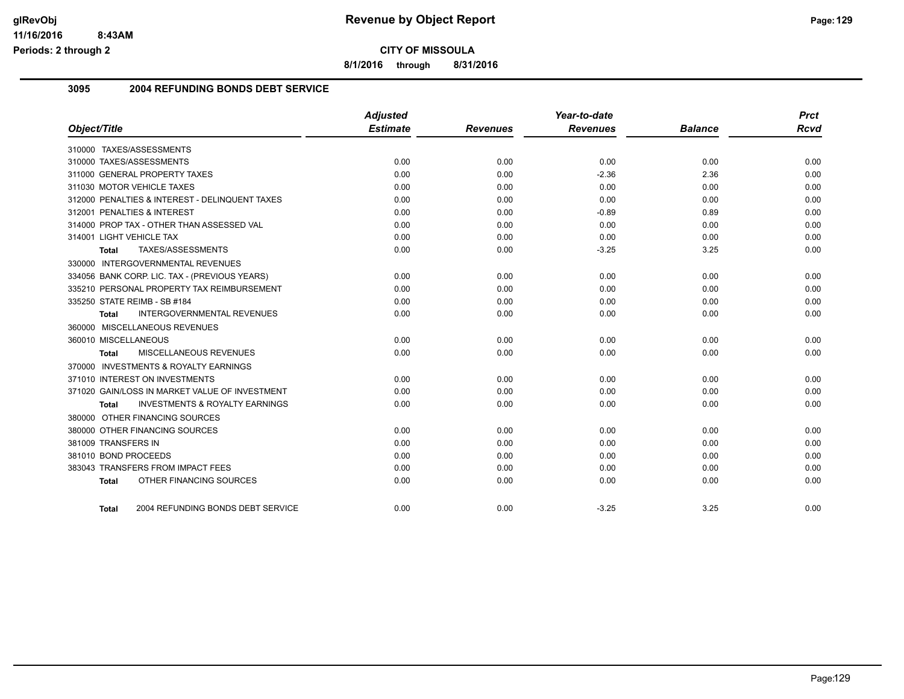**8/1/2016 through 8/31/2016**

## **3095 2004 REFUNDING BONDS DEBT SERVICE**

| Object/Title                                              |                                   | <b>Adjusted</b><br><b>Estimate</b> | <b>Revenues</b> | Year-to-date<br><b>Revenues</b> | <b>Balance</b> | <b>Prct</b><br>Rcvd |
|-----------------------------------------------------------|-----------------------------------|------------------------------------|-----------------|---------------------------------|----------------|---------------------|
| 310000 TAXES/ASSESSMENTS                                  |                                   |                                    |                 |                                 |                |                     |
| 310000 TAXES/ASSESSMENTS                                  |                                   | 0.00                               | 0.00            | 0.00                            | 0.00           | 0.00                |
| 311000 GENERAL PROPERTY TAXES                             |                                   | 0.00                               | 0.00            | $-2.36$                         | 2.36           | 0.00                |
| 311030 MOTOR VEHICLE TAXES                                |                                   | 0.00                               | 0.00            | 0.00                            | 0.00           | 0.00                |
| 312000 PENALTIES & INTEREST - DELINQUENT TAXES            |                                   | 0.00                               | 0.00            | 0.00                            | 0.00           | 0.00                |
| 312001 PENALTIES & INTEREST                               |                                   | 0.00                               | 0.00            | $-0.89$                         | 0.89           | 0.00                |
| 314000 PROP TAX - OTHER THAN ASSESSED VAL                 |                                   | 0.00                               | 0.00            | 0.00                            | 0.00           | 0.00                |
| 314001 LIGHT VEHICLE TAX                                  |                                   | 0.00                               | 0.00            | 0.00                            | 0.00           | 0.00                |
| TAXES/ASSESSMENTS<br><b>Total</b>                         |                                   | 0.00                               | 0.00            | $-3.25$                         | 3.25           | 0.00                |
| 330000 INTERGOVERNMENTAL REVENUES                         |                                   |                                    |                 |                                 |                |                     |
| 334056 BANK CORP. LIC. TAX - (PREVIOUS YEARS)             |                                   | 0.00                               | 0.00            | 0.00                            | 0.00           | 0.00                |
| 335210 PERSONAL PROPERTY TAX REIMBURSEMENT                |                                   | 0.00                               | 0.00            | 0.00                            | 0.00           | 0.00                |
| 335250 STATE REIMB - SB #184                              |                                   | 0.00                               | 0.00            | 0.00                            | 0.00           | 0.00                |
| <b>INTERGOVERNMENTAL REVENUES</b><br><b>Total</b>         |                                   | 0.00                               | 0.00            | 0.00                            | 0.00           | 0.00                |
| 360000 MISCELLANEOUS REVENUES                             |                                   |                                    |                 |                                 |                |                     |
| 360010 MISCELLANEOUS                                      |                                   | 0.00                               | 0.00            | 0.00                            | 0.00           | 0.00                |
| MISCELLANEOUS REVENUES<br><b>Total</b>                    |                                   | 0.00                               | 0.00            | 0.00                            | 0.00           | 0.00                |
| 370000 INVESTMENTS & ROYALTY EARNINGS                     |                                   |                                    |                 |                                 |                |                     |
| 371010 INTEREST ON INVESTMENTS                            |                                   | 0.00                               | 0.00            | 0.00                            | 0.00           | 0.00                |
| 371020 GAIN/LOSS IN MARKET VALUE OF INVESTMENT            |                                   | 0.00                               | 0.00            | 0.00                            | 0.00           | 0.00                |
| <b>INVESTMENTS &amp; ROYALTY EARNINGS</b><br><b>Total</b> |                                   | 0.00                               | 0.00            | 0.00                            | 0.00           | 0.00                |
| 380000 OTHER FINANCING SOURCES                            |                                   |                                    |                 |                                 |                |                     |
| 380000 OTHER FINANCING SOURCES                            |                                   | 0.00                               | 0.00            | 0.00                            | 0.00           | 0.00                |
| 381009 TRANSFERS IN                                       |                                   | 0.00                               | 0.00            | 0.00                            | 0.00           | 0.00                |
| 381010 BOND PROCEEDS                                      |                                   | 0.00                               | 0.00            | 0.00                            | 0.00           | 0.00                |
| 383043 TRANSFERS FROM IMPACT FEES                         |                                   | 0.00                               | 0.00            | 0.00                            | 0.00           | 0.00                |
| OTHER FINANCING SOURCES<br><b>Total</b>                   |                                   | 0.00                               | 0.00            | 0.00                            | 0.00           | 0.00                |
| Total                                                     | 2004 REFUNDING BONDS DEBT SERVICE | 0.00                               | 0.00            | $-3.25$                         | 3.25           | 0.00                |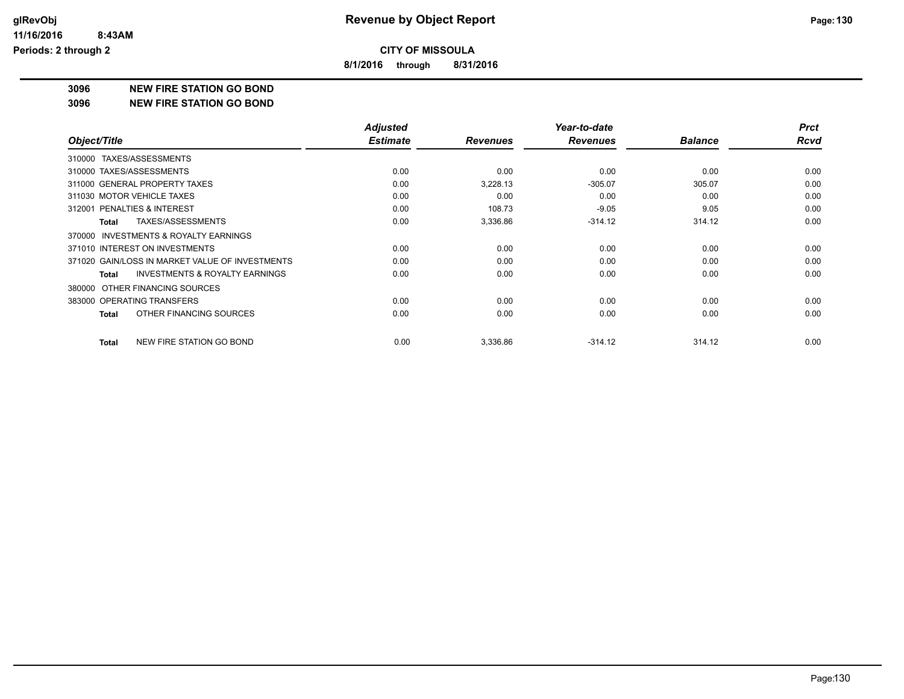**8/1/2016 through 8/31/2016**

**3096 NEW FIRE STATION GO BOND**

**3096 NEW FIRE STATION GO BOND**

|                                                     | <b>Adjusted</b> |                 | Year-to-date    |                | <b>Prct</b> |
|-----------------------------------------------------|-----------------|-----------------|-----------------|----------------|-------------|
| Object/Title                                        | <b>Estimate</b> | <b>Revenues</b> | <b>Revenues</b> | <b>Balance</b> | <b>Rcvd</b> |
| TAXES/ASSESSMENTS<br>310000                         |                 |                 |                 |                |             |
| 310000 TAXES/ASSESSMENTS                            | 0.00            | 0.00            | 0.00            | 0.00           | 0.00        |
| 311000 GENERAL PROPERTY TAXES                       | 0.00            | 3,228.13        | $-305.07$       | 305.07         | 0.00        |
| 311030 MOTOR VEHICLE TAXES                          | 0.00            | 0.00            | 0.00            | 0.00           | 0.00        |
| 312001 PENALTIES & INTEREST                         | 0.00            | 108.73          | $-9.05$         | 9.05           | 0.00        |
| TAXES/ASSESSMENTS<br>Total                          | 0.00            | 3,336.86        | $-314.12$       | 314.12         | 0.00        |
| <b>INVESTMENTS &amp; ROYALTY EARNINGS</b><br>370000 |                 |                 |                 |                |             |
| 371010 INTEREST ON INVESTMENTS                      | 0.00            | 0.00            | 0.00            | 0.00           | 0.00        |
| 371020 GAIN/LOSS IN MARKET VALUE OF INVESTMENTS     | 0.00            | 0.00            | 0.00            | 0.00           | 0.00        |
| <b>INVESTMENTS &amp; ROYALTY EARNINGS</b><br>Total  | 0.00            | 0.00            | 0.00            | 0.00           | 0.00        |
| OTHER FINANCING SOURCES<br>380000                   |                 |                 |                 |                |             |
| 383000 OPERATING TRANSFERS                          | 0.00            | 0.00            | 0.00            | 0.00           | 0.00        |
| OTHER FINANCING SOURCES<br>Total                    | 0.00            | 0.00            | 0.00            | 0.00           | 0.00        |
| NEW FIRE STATION GO BOND<br><b>Total</b>            | 0.00            | 3,336.86        | $-314.12$       | 314.12         | 0.00        |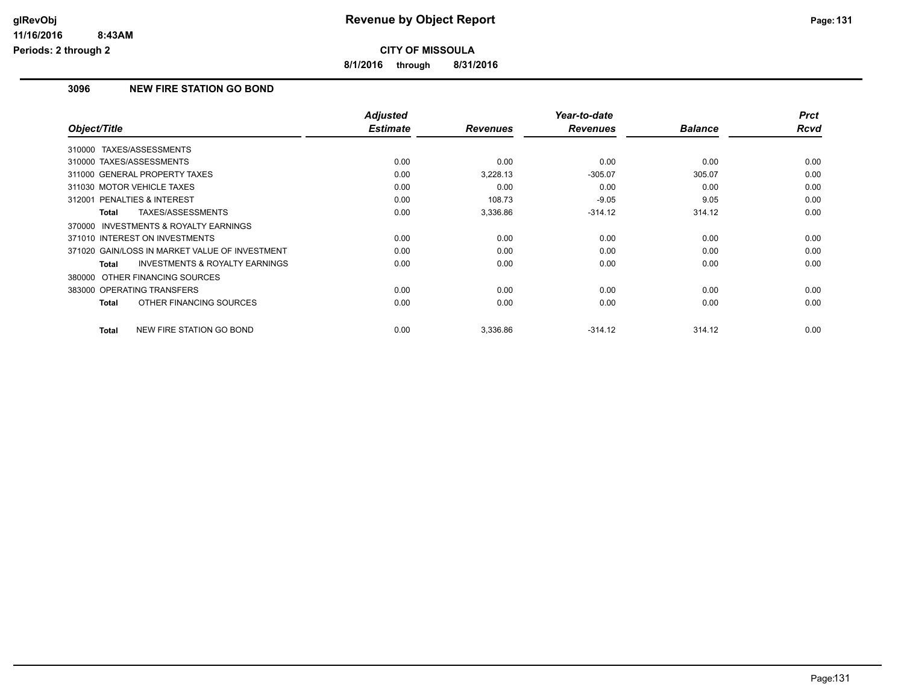**8/1/2016 through 8/31/2016**

## **3096 NEW FIRE STATION GO BOND**

| Object/Title                                       | <b>Adjusted</b><br><b>Estimate</b> | <b>Revenues</b> | Year-to-date<br><b>Revenues</b> | <b>Balance</b> | <b>Prct</b><br><b>Rcvd</b> |
|----------------------------------------------------|------------------------------------|-----------------|---------------------------------|----------------|----------------------------|
|                                                    |                                    |                 |                                 |                |                            |
| 310000 TAXES/ASSESSMENTS                           |                                    |                 |                                 |                |                            |
| 310000 TAXES/ASSESSMENTS                           | 0.00                               | 0.00            | 0.00                            | 0.00           | 0.00                       |
| 311000 GENERAL PROPERTY TAXES                      | 0.00                               | 3,228.13        | $-305.07$                       | 305.07         | 0.00                       |
| 311030 MOTOR VEHICLE TAXES                         | 0.00                               | 0.00            | 0.00                            | 0.00           | 0.00                       |
| 312001 PENALTIES & INTEREST                        | 0.00                               | 108.73          | $-9.05$                         | 9.05           | 0.00                       |
| TAXES/ASSESSMENTS<br>Total                         | 0.00                               | 3,336.86        | $-314.12$                       | 314.12         | 0.00                       |
| 370000 INVESTMENTS & ROYALTY EARNINGS              |                                    |                 |                                 |                |                            |
| 371010 INTEREST ON INVESTMENTS                     | 0.00                               | 0.00            | 0.00                            | 0.00           | 0.00                       |
| 371020 GAIN/LOSS IN MARKET VALUE OF INVESTMENT     | 0.00                               | 0.00            | 0.00                            | 0.00           | 0.00                       |
| <b>INVESTMENTS &amp; ROYALTY EARNINGS</b><br>Total | 0.00                               | 0.00            | 0.00                            | 0.00           | 0.00                       |
| 380000 OTHER FINANCING SOURCES                     |                                    |                 |                                 |                |                            |
| 383000 OPERATING TRANSFERS                         | 0.00                               | 0.00            | 0.00                            | 0.00           | 0.00                       |
| OTHER FINANCING SOURCES<br>Total                   | 0.00                               | 0.00            | 0.00                            | 0.00           | 0.00                       |
|                                                    |                                    |                 |                                 |                |                            |
| NEW FIRE STATION GO BOND<br>Total                  | 0.00                               | 3.336.86        | $-314.12$                       | 314.12         | 0.00                       |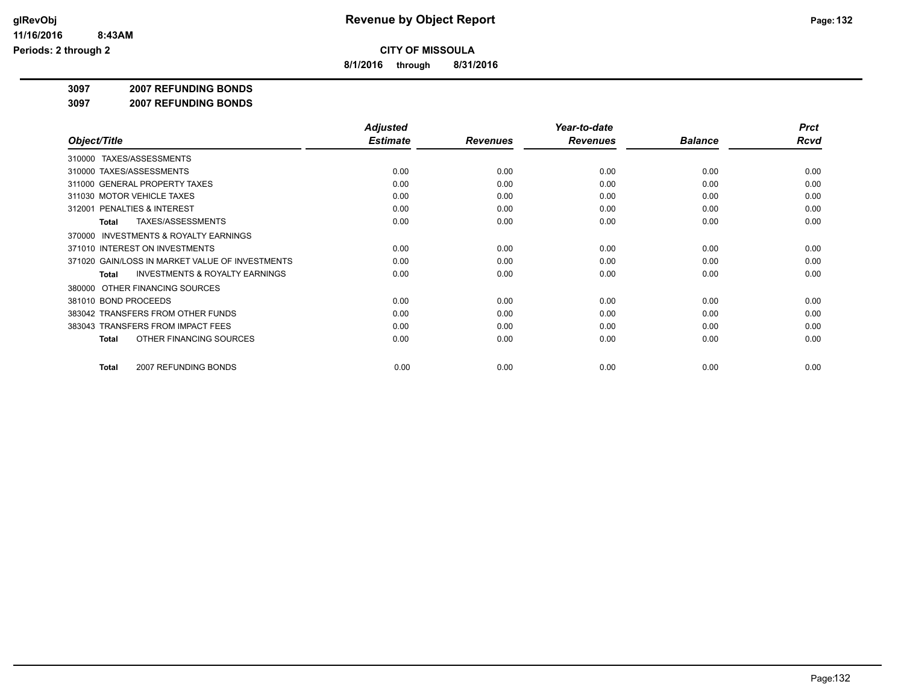**8/1/2016 through 8/31/2016**

**3097 2007 REFUNDING BONDS**

**3097 2007 REFUNDING BONDS**

|                                                     | <b>Adjusted</b> |                 | Year-to-date    |                | <b>Prct</b> |
|-----------------------------------------------------|-----------------|-----------------|-----------------|----------------|-------------|
| Object/Title                                        | <b>Estimate</b> | <b>Revenues</b> | <b>Revenues</b> | <b>Balance</b> | Rcvd        |
| 310000 TAXES/ASSESSMENTS                            |                 |                 |                 |                |             |
| 310000 TAXES/ASSESSMENTS                            | 0.00            | 0.00            | 0.00            | 0.00           | 0.00        |
| 311000 GENERAL PROPERTY TAXES                       | 0.00            | 0.00            | 0.00            | 0.00           | 0.00        |
| 311030 MOTOR VEHICLE TAXES                          | 0.00            | 0.00            | 0.00            | 0.00           | 0.00        |
| 312001 PENALTIES & INTEREST                         | 0.00            | 0.00            | 0.00            | 0.00           | 0.00        |
| TAXES/ASSESSMENTS<br>Total                          | 0.00            | 0.00            | 0.00            | 0.00           | 0.00        |
| <b>INVESTMENTS &amp; ROYALTY EARNINGS</b><br>370000 |                 |                 |                 |                |             |
| 371010 INTEREST ON INVESTMENTS                      | 0.00            | 0.00            | 0.00            | 0.00           | 0.00        |
| 371020 GAIN/LOSS IN MARKET VALUE OF INVESTMENTS     | 0.00            | 0.00            | 0.00            | 0.00           | 0.00        |
| <b>INVESTMENTS &amp; ROYALTY EARNINGS</b><br>Total  | 0.00            | 0.00            | 0.00            | 0.00           | 0.00        |
| OTHER FINANCING SOURCES<br>380000                   |                 |                 |                 |                |             |
| 381010 BOND PROCEEDS                                | 0.00            | 0.00            | 0.00            | 0.00           | 0.00        |
| 383042 TRANSFERS FROM OTHER FUNDS                   | 0.00            | 0.00            | 0.00            | 0.00           | 0.00        |
| 383043 TRANSFERS FROM IMPACT FEES                   | 0.00            | 0.00            | 0.00            | 0.00           | 0.00        |
| OTHER FINANCING SOURCES<br>Total                    | 0.00            | 0.00            | 0.00            | 0.00           | 0.00        |
| 2007 REFUNDING BONDS<br>Total                       | 0.00            | 0.00            | 0.00            | 0.00           | 0.00        |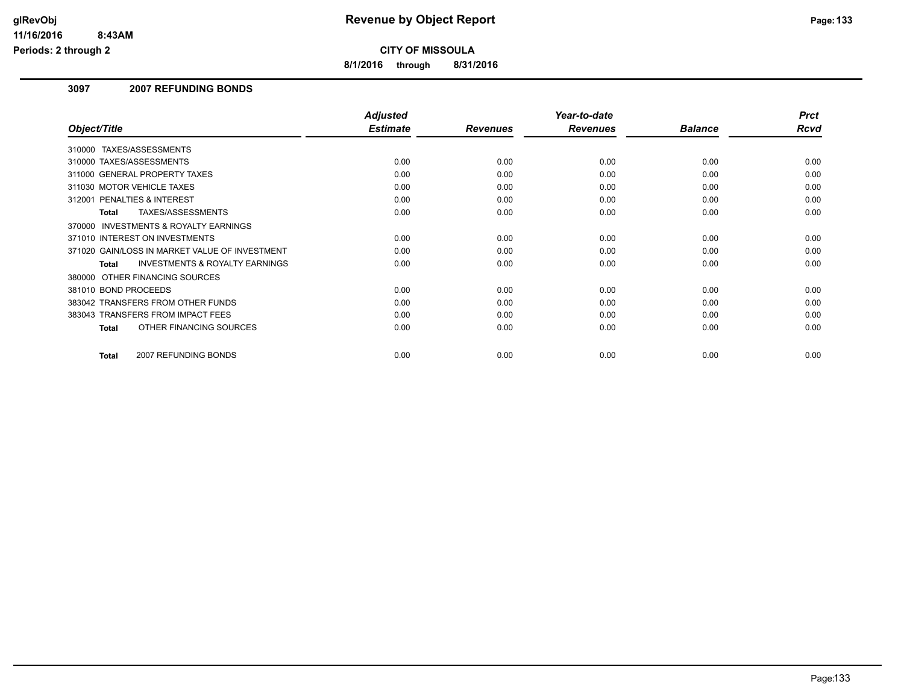**8/1/2016 through 8/31/2016**

## **3097 2007 REFUNDING BONDS**

|                                                           | <b>Adjusted</b> |                 | Year-to-date    |                | <b>Prct</b> |
|-----------------------------------------------------------|-----------------|-----------------|-----------------|----------------|-------------|
| Object/Title                                              | <b>Estimate</b> | <b>Revenues</b> | <b>Revenues</b> | <b>Balance</b> | Rcvd        |
| 310000 TAXES/ASSESSMENTS                                  |                 |                 |                 |                |             |
| 310000 TAXES/ASSESSMENTS                                  | 0.00            | 0.00            | 0.00            | 0.00           | 0.00        |
| 311000 GENERAL PROPERTY TAXES                             | 0.00            | 0.00            | 0.00            | 0.00           | 0.00        |
| 311030 MOTOR VEHICLE TAXES                                | 0.00            | 0.00            | 0.00            | 0.00           | 0.00        |
| PENALTIES & INTEREST<br>312001                            | 0.00            | 0.00            | 0.00            | 0.00           | 0.00        |
| TAXES/ASSESSMENTS<br>Total                                | 0.00            | 0.00            | 0.00            | 0.00           | 0.00        |
| 370000 INVESTMENTS & ROYALTY EARNINGS                     |                 |                 |                 |                |             |
| 371010 INTEREST ON INVESTMENTS                            | 0.00            | 0.00            | 0.00            | 0.00           | 0.00        |
| 371020 GAIN/LOSS IN MARKET VALUE OF INVESTMENT            | 0.00            | 0.00            | 0.00            | 0.00           | 0.00        |
| <b>INVESTMENTS &amp; ROYALTY EARNINGS</b><br><b>Total</b> | 0.00            | 0.00            | 0.00            | 0.00           | 0.00        |
| 380000 OTHER FINANCING SOURCES                            |                 |                 |                 |                |             |
| 381010 BOND PROCEEDS                                      | 0.00            | 0.00            | 0.00            | 0.00           | 0.00        |
| 383042 TRANSFERS FROM OTHER FUNDS                         | 0.00            | 0.00            | 0.00            | 0.00           | 0.00        |
| 383043 TRANSFERS FROM IMPACT FEES                         | 0.00            | 0.00            | 0.00            | 0.00           | 0.00        |
| OTHER FINANCING SOURCES<br><b>Total</b>                   | 0.00            | 0.00            | 0.00            | 0.00           | 0.00        |
| 2007 REFUNDING BONDS<br><b>Total</b>                      | 0.00            | 0.00            | 0.00            | 0.00           | 0.00        |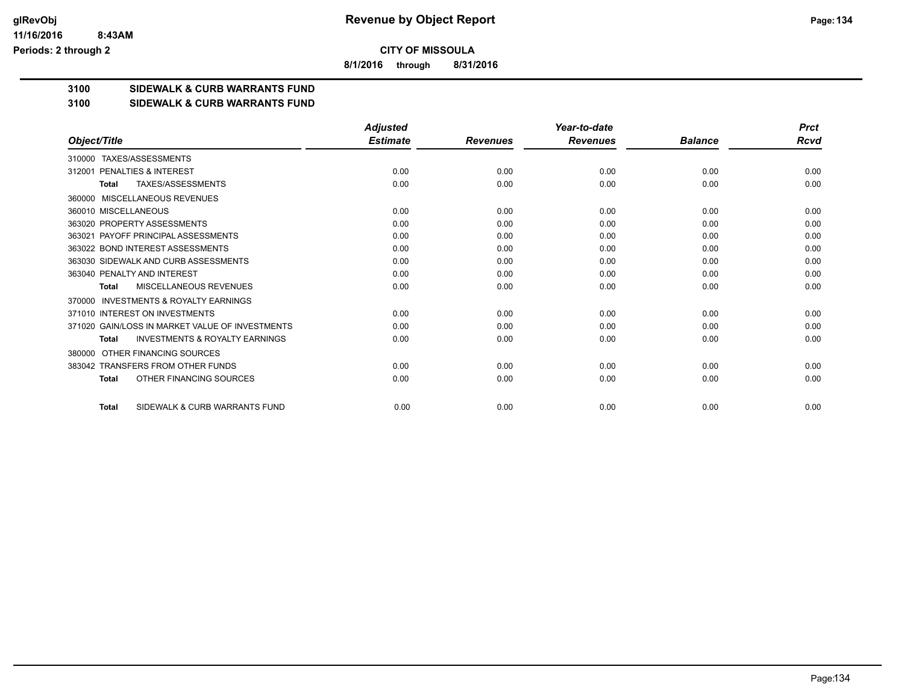**Periods: 2 through 2**

**CITY OF MISSOULA**

**8/1/2016 through 8/31/2016**

# **3100 SIDEWALK & CURB WARRANTS FUND**

## **3100 SIDEWALK & CURB WARRANTS FUND**

|                                                           | <b>Adjusted</b> |                 | Year-to-date    |                | <b>Prct</b> |
|-----------------------------------------------------------|-----------------|-----------------|-----------------|----------------|-------------|
| Object/Title                                              | <b>Estimate</b> | <b>Revenues</b> | <b>Revenues</b> | <b>Balance</b> | Rcvd        |
| TAXES/ASSESSMENTS<br>310000                               |                 |                 |                 |                |             |
| 312001 PENALTIES & INTEREST                               | 0.00            | 0.00            | 0.00            | 0.00           | 0.00        |
| <b>TAXES/ASSESSMENTS</b><br><b>Total</b>                  | 0.00            | 0.00            | 0.00            | 0.00           | 0.00        |
| MISCELLANEOUS REVENUES<br>360000                          |                 |                 |                 |                |             |
| 360010 MISCELLANEOUS                                      | 0.00            | 0.00            | 0.00            | 0.00           | 0.00        |
| 363020 PROPERTY ASSESSMENTS                               | 0.00            | 0.00            | 0.00            | 0.00           | 0.00        |
| PAYOFF PRINCIPAL ASSESSMENTS<br>363021                    | 0.00            | 0.00            | 0.00            | 0.00           | 0.00        |
| 363022 BOND INTEREST ASSESSMENTS                          | 0.00            | 0.00            | 0.00            | 0.00           | 0.00        |
| 363030 SIDEWALK AND CURB ASSESSMENTS                      | 0.00            | 0.00            | 0.00            | 0.00           | 0.00        |
| 363040 PENALTY AND INTEREST                               | 0.00            | 0.00            | 0.00            | 0.00           | 0.00        |
| MISCELLANEOUS REVENUES<br><b>Total</b>                    | 0.00            | 0.00            | 0.00            | 0.00           | 0.00        |
| <b>INVESTMENTS &amp; ROYALTY EARNINGS</b><br>370000       |                 |                 |                 |                |             |
| 371010 INTEREST ON INVESTMENTS                            | 0.00            | 0.00            | 0.00            | 0.00           | 0.00        |
| 371020 GAIN/LOSS IN MARKET VALUE OF INVESTMENTS           | 0.00            | 0.00            | 0.00            | 0.00           | 0.00        |
| <b>INVESTMENTS &amp; ROYALTY EARNINGS</b><br><b>Total</b> | 0.00            | 0.00            | 0.00            | 0.00           | 0.00        |
| OTHER FINANCING SOURCES<br>380000                         |                 |                 |                 |                |             |
| 383042 TRANSFERS FROM OTHER FUNDS                         | 0.00            | 0.00            | 0.00            | 0.00           | 0.00        |
| OTHER FINANCING SOURCES<br><b>Total</b>                   | 0.00            | 0.00            | 0.00            | 0.00           | 0.00        |
| SIDEWALK & CURB WARRANTS FUND<br><b>Total</b>             | 0.00            | 0.00            | 0.00            | 0.00           | 0.00        |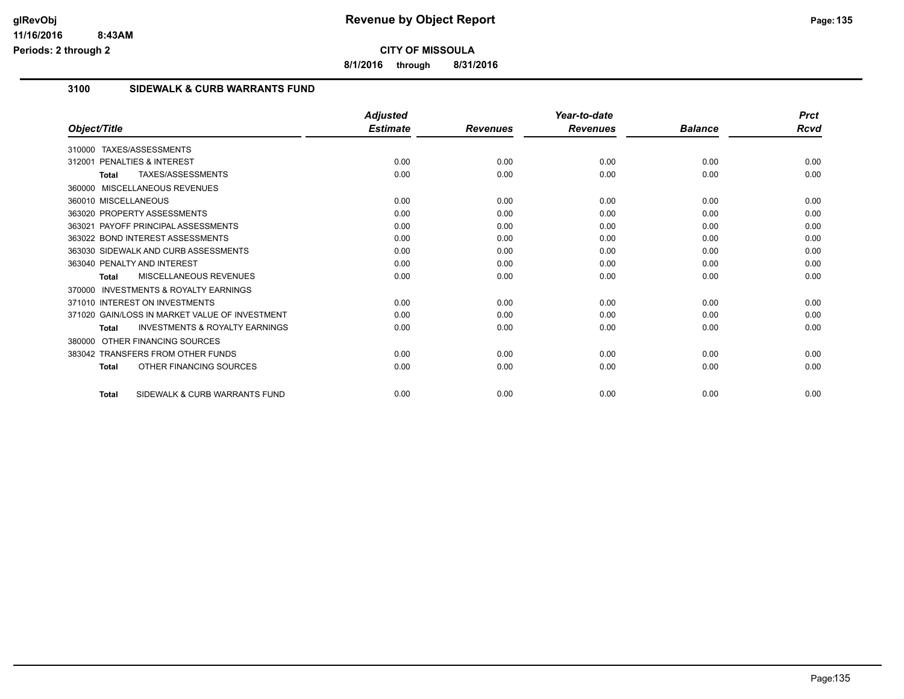**8/1/2016 through 8/31/2016**

## **3100 SIDEWALK & CURB WARRANTS FUND**

|                                                           | <b>Adjusted</b> |                 | Year-to-date    |                | <b>Prct</b> |
|-----------------------------------------------------------|-----------------|-----------------|-----------------|----------------|-------------|
| Object/Title                                              | <b>Estimate</b> | <b>Revenues</b> | <b>Revenues</b> | <b>Balance</b> | Rcvd        |
| TAXES/ASSESSMENTS<br>310000                               |                 |                 |                 |                |             |
| PENALTIES & INTEREST<br>312001                            | 0.00            | 0.00            | 0.00            | 0.00           | 0.00        |
| TAXES/ASSESSMENTS<br><b>Total</b>                         | 0.00            | 0.00            | 0.00            | 0.00           | 0.00        |
| 360000 MISCELLANEOUS REVENUES                             |                 |                 |                 |                |             |
| 360010 MISCELLANEOUS                                      | 0.00            | 0.00            | 0.00            | 0.00           | 0.00        |
| 363020 PROPERTY ASSESSMENTS                               | 0.00            | 0.00            | 0.00            | 0.00           | 0.00        |
| 363021 PAYOFF PRINCIPAL ASSESSMENTS                       | 0.00            | 0.00            | 0.00            | 0.00           | 0.00        |
| 363022 BOND INTEREST ASSESSMENTS                          | 0.00            | 0.00            | 0.00            | 0.00           | 0.00        |
| 363030 SIDEWALK AND CURB ASSESSMENTS                      | 0.00            | 0.00            | 0.00            | 0.00           | 0.00        |
| 363040 PENALTY AND INTEREST                               | 0.00            | 0.00            | 0.00            | 0.00           | 0.00        |
| MISCELLANEOUS REVENUES<br><b>Total</b>                    | 0.00            | 0.00            | 0.00            | 0.00           | 0.00        |
| <b>INVESTMENTS &amp; ROYALTY EARNINGS</b><br>370000       |                 |                 |                 |                |             |
| 371010 INTEREST ON INVESTMENTS                            | 0.00            | 0.00            | 0.00            | 0.00           | 0.00        |
| 371020 GAIN/LOSS IN MARKET VALUE OF INVESTMENT            | 0.00            | 0.00            | 0.00            | 0.00           | 0.00        |
| <b>INVESTMENTS &amp; ROYALTY EARNINGS</b><br><b>Total</b> | 0.00            | 0.00            | 0.00            | 0.00           | 0.00        |
| OTHER FINANCING SOURCES<br>380000                         |                 |                 |                 |                |             |
| 383042 TRANSFERS FROM OTHER FUNDS                         | 0.00            | 0.00            | 0.00            | 0.00           | 0.00        |
| OTHER FINANCING SOURCES<br><b>Total</b>                   | 0.00            | 0.00            | 0.00            | 0.00           | 0.00        |
| SIDEWALK & CURB WARRANTS FUND<br><b>Total</b>             | 0.00            | 0.00            | 0.00            | 0.00           | 0.00        |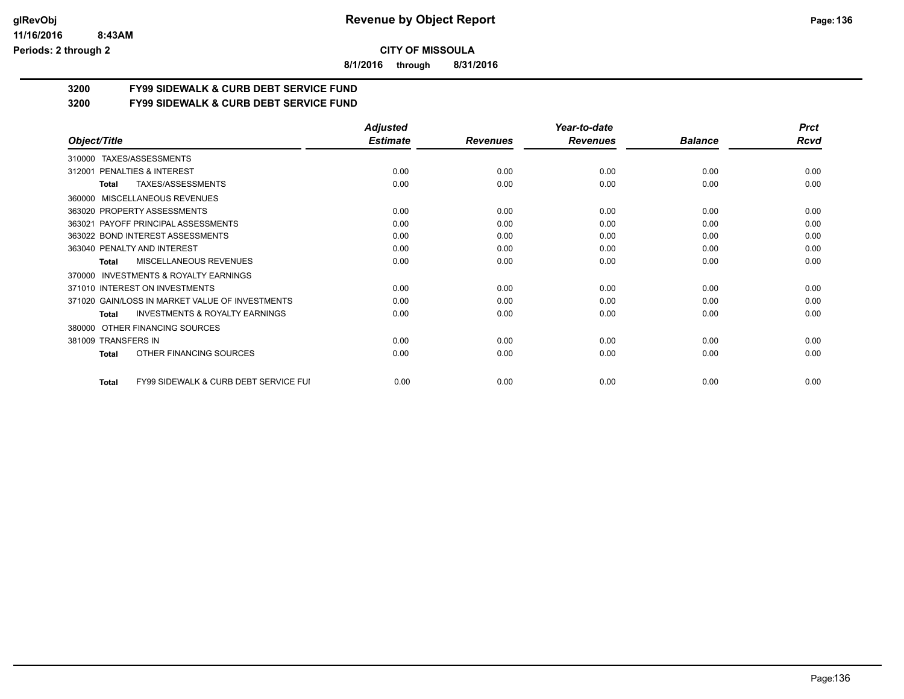**11/16/2016 8:43AM Periods: 2 through 2**

**CITY OF MISSOULA**

**8/1/2016 through 8/31/2016**

# **3200 FY99 SIDEWALK & CURB DEBT SERVICE FUND**

**3200 FY99 SIDEWALK & CURB DEBT SERVICE FUND**

|                                                       | <b>Adjusted</b> |                 | Year-to-date    |                | <b>Prct</b> |
|-------------------------------------------------------|-----------------|-----------------|-----------------|----------------|-------------|
| Object/Title                                          | <b>Estimate</b> | <b>Revenues</b> | <b>Revenues</b> | <b>Balance</b> | <b>Rcvd</b> |
| TAXES/ASSESSMENTS<br>310000                           |                 |                 |                 |                |             |
| PENALTIES & INTEREST<br>312001                        | 0.00            | 0.00            | 0.00            | 0.00           | 0.00        |
| TAXES/ASSESSMENTS<br>Total                            | 0.00            | 0.00            | 0.00            | 0.00           | 0.00        |
| MISCELLANEOUS REVENUES<br>360000                      |                 |                 |                 |                |             |
| 363020 PROPERTY ASSESSMENTS                           | 0.00            | 0.00            | 0.00            | 0.00           | 0.00        |
| 363021 PAYOFF PRINCIPAL ASSESSMENTS                   | 0.00            | 0.00            | 0.00            | 0.00           | 0.00        |
| 363022 BOND INTEREST ASSESSMENTS                      | 0.00            | 0.00            | 0.00            | 0.00           | 0.00        |
| 363040 PENALTY AND INTEREST                           | 0.00            | 0.00            | 0.00            | 0.00           | 0.00        |
| MISCELLANEOUS REVENUES<br><b>Total</b>                | 0.00            | 0.00            | 0.00            | 0.00           | 0.00        |
| <b>INVESTMENTS &amp; ROYALTY EARNINGS</b><br>370000   |                 |                 |                 |                |             |
| 371010 INTEREST ON INVESTMENTS                        | 0.00            | 0.00            | 0.00            | 0.00           | 0.00        |
| 371020 GAIN/LOSS IN MARKET VALUE OF INVESTMENTS       | 0.00            | 0.00            | 0.00            | 0.00           | 0.00        |
| <b>INVESTMENTS &amp; ROYALTY EARNINGS</b><br>Total    | 0.00            | 0.00            | 0.00            | 0.00           | 0.00        |
| OTHER FINANCING SOURCES<br>380000                     |                 |                 |                 |                |             |
| 381009 TRANSFERS IN                                   | 0.00            | 0.00            | 0.00            | 0.00           | 0.00        |
| OTHER FINANCING SOURCES<br><b>Total</b>               | 0.00            | 0.00            | 0.00            | 0.00           | 0.00        |
| FY99 SIDEWALK & CURB DEBT SERVICE FUI<br><b>Total</b> | 0.00            | 0.00            | 0.00            | 0.00           | 0.00        |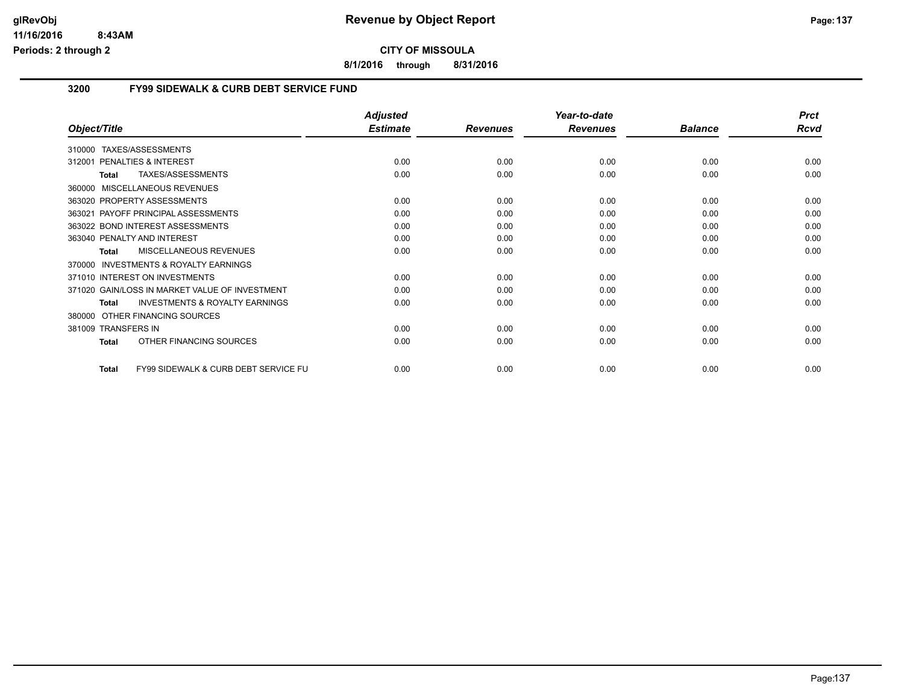**Periods: 2 through 2**

**CITY OF MISSOULA**

**8/1/2016 through 8/31/2016**

## **3200 FY99 SIDEWALK & CURB DEBT SERVICE FUND**

|                                                                 | <b>Adjusted</b> |                 | Year-to-date    |                | <b>Prct</b> |
|-----------------------------------------------------------------|-----------------|-----------------|-----------------|----------------|-------------|
| Object/Title                                                    | <b>Estimate</b> | <b>Revenues</b> | <b>Revenues</b> | <b>Balance</b> | <b>Rcvd</b> |
| TAXES/ASSESSMENTS<br>310000                                     |                 |                 |                 |                |             |
| <b>PENALTIES &amp; INTEREST</b><br>312001                       | 0.00            | 0.00            | 0.00            | 0.00           | 0.00        |
| TAXES/ASSESSMENTS<br>Total                                      | 0.00            | 0.00            | 0.00            | 0.00           | 0.00        |
| <b>MISCELLANEOUS REVENUES</b><br>360000                         |                 |                 |                 |                |             |
| 363020 PROPERTY ASSESSMENTS                                     | 0.00            | 0.00            | 0.00            | 0.00           | 0.00        |
| PAYOFF PRINCIPAL ASSESSMENTS<br>363021                          | 0.00            | 0.00            | 0.00            | 0.00           | 0.00        |
| 363022 BOND INTEREST ASSESSMENTS                                | 0.00            | 0.00            | 0.00            | 0.00           | 0.00        |
| 363040 PENALTY AND INTEREST                                     | 0.00            | 0.00            | 0.00            | 0.00           | 0.00        |
| MISCELLANEOUS REVENUES<br><b>Total</b>                          | 0.00            | 0.00            | 0.00            | 0.00           | 0.00        |
| <b>INVESTMENTS &amp; ROYALTY EARNINGS</b><br>370000             |                 |                 |                 |                |             |
| 371010 INTEREST ON INVESTMENTS                                  | 0.00            | 0.00            | 0.00            | 0.00           | 0.00        |
| 371020 GAIN/LOSS IN MARKET VALUE OF INVESTMENT                  | 0.00            | 0.00            | 0.00            | 0.00           | 0.00        |
| <b>INVESTMENTS &amp; ROYALTY EARNINGS</b><br><b>Total</b>       | 0.00            | 0.00            | 0.00            | 0.00           | 0.00        |
| OTHER FINANCING SOURCES<br>380000                               |                 |                 |                 |                |             |
| 381009 TRANSFERS IN                                             | 0.00            | 0.00            | 0.00            | 0.00           | 0.00        |
| OTHER FINANCING SOURCES<br><b>Total</b>                         | 0.00            | 0.00            | 0.00            | 0.00           | 0.00        |
| <b>FY99 SIDEWALK &amp; CURB DEBT SERVICE FU</b><br><b>Total</b> | 0.00            | 0.00            | 0.00            | 0.00           | 0.00        |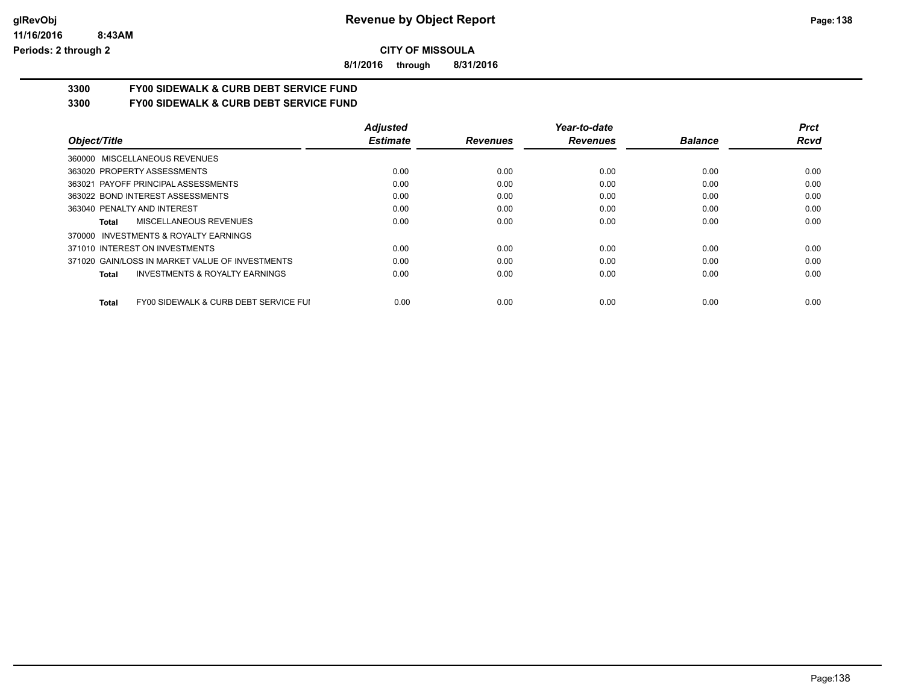## **11/16/2016 8:43AM**

**Periods: 2 through 2**

**CITY OF MISSOULA**

**8/1/2016 through 8/31/2016**

# **3300 FY00 SIDEWALK & CURB DEBT SERVICE FUND**

**3300 FY00 SIDEWALK & CURB DEBT SERVICE FUND**

|                                                       | <b>Adjusted</b> |                 | Year-to-date    |                | <b>Prct</b> |
|-------------------------------------------------------|-----------------|-----------------|-----------------|----------------|-------------|
| Object/Title                                          | <b>Estimate</b> | <b>Revenues</b> | <b>Revenues</b> | <b>Balance</b> | <b>Rcvd</b> |
| 360000 MISCELLANEOUS REVENUES                         |                 |                 |                 |                |             |
| 363020 PROPERTY ASSESSMENTS                           | 0.00            | 0.00            | 0.00            | 0.00           | 0.00        |
| 363021 PAYOFF PRINCIPAL ASSESSMENTS                   | 0.00            | 0.00            | 0.00            | 0.00           | 0.00        |
| 363022 BOND INTEREST ASSESSMENTS                      | 0.00            | 0.00            | 0.00            | 0.00           | 0.00        |
| 363040 PENALTY AND INTEREST                           | 0.00            | 0.00            | 0.00            | 0.00           | 0.00        |
| MISCELLANEOUS REVENUES<br>Total                       | 0.00            | 0.00            | 0.00            | 0.00           | 0.00        |
| INVESTMENTS & ROYALTY EARNINGS<br>370000              |                 |                 |                 |                |             |
| 371010 INTEREST ON INVESTMENTS                        | 0.00            | 0.00            | 0.00            | 0.00           | 0.00        |
| 371020 GAIN/LOSS IN MARKET VALUE OF INVESTMENTS       | 0.00            | 0.00            | 0.00            | 0.00           | 0.00        |
| <b>INVESTMENTS &amp; ROYALTY EARNINGS</b><br>Total    | 0.00            | 0.00            | 0.00            | 0.00           | 0.00        |
| FY00 SIDEWALK & CURB DEBT SERVICE FUI<br><b>Total</b> | 0.00            | 0.00            | 0.00            | 0.00           | 0.00        |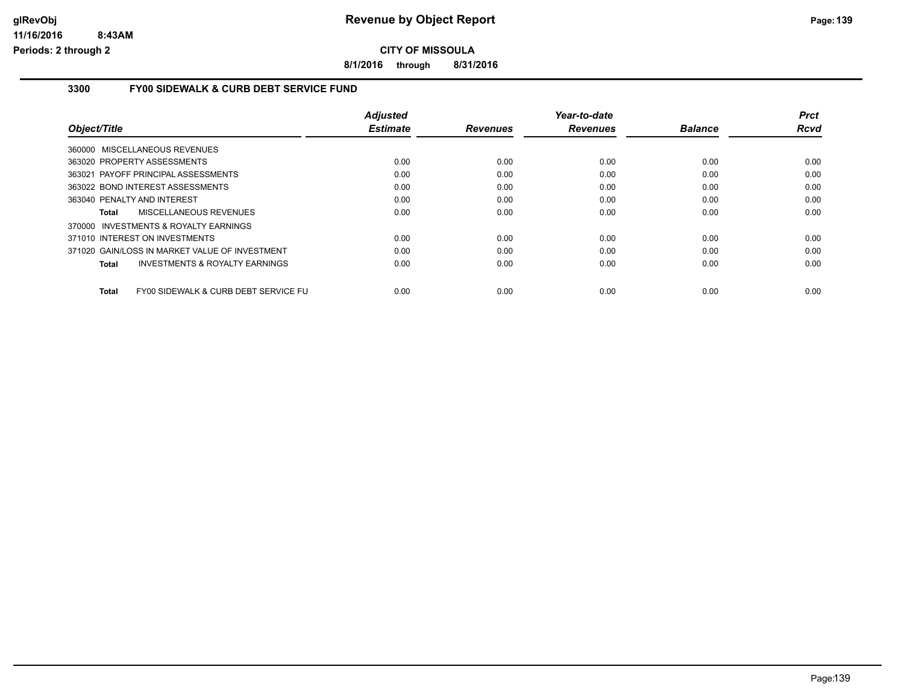**8/1/2016 through 8/31/2016**

## **3300 FY00 SIDEWALK & CURB DEBT SERVICE FUND**

|                                                      | <b>Adjusted</b> |                 | Year-to-date    |                | <b>Prct</b> |
|------------------------------------------------------|-----------------|-----------------|-----------------|----------------|-------------|
| Object/Title                                         | <b>Estimate</b> | <b>Revenues</b> | <b>Revenues</b> | <b>Balance</b> | <b>Rcvd</b> |
| 360000 MISCELLANEOUS REVENUES                        |                 |                 |                 |                |             |
| 363020 PROPERTY ASSESSMENTS                          | 0.00            | 0.00            | 0.00            | 0.00           | 0.00        |
| 363021 PAYOFF PRINCIPAL ASSESSMENTS                  | 0.00            | 0.00            | 0.00            | 0.00           | 0.00        |
| 363022 BOND INTEREST ASSESSMENTS                     | 0.00            | 0.00            | 0.00            | 0.00           | 0.00        |
| 363040 PENALTY AND INTEREST                          | 0.00            | 0.00            | 0.00            | 0.00           | 0.00        |
| <b>MISCELLANEOUS REVENUES</b><br>Total               | 0.00            | 0.00            | 0.00            | 0.00           | 0.00        |
| 370000 INVESTMENTS & ROYALTY EARNINGS                |                 |                 |                 |                |             |
| 371010 INTEREST ON INVESTMENTS                       | 0.00            | 0.00            | 0.00            | 0.00           | 0.00        |
| 371020 GAIN/LOSS IN MARKET VALUE OF INVESTMENT       | 0.00            | 0.00            | 0.00            | 0.00           | 0.00        |
| <b>INVESTMENTS &amp; ROYALTY EARNINGS</b><br>Total   | 0.00            | 0.00            | 0.00            | 0.00           | 0.00        |
| FY00 SIDEWALK & CURB DEBT SERVICE FU<br><b>Total</b> | 0.00            | 0.00            | 0.00            | 0.00           | 0.00        |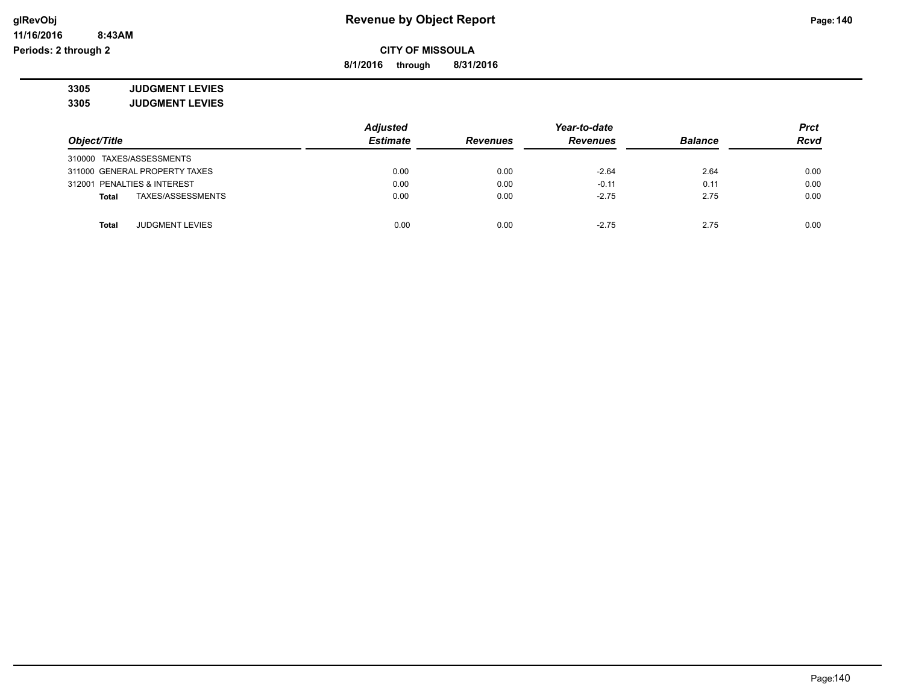**8/1/2016 through 8/31/2016**

**3305 JUDGMENT LEVIES**

**3305 JUDGMENT LEVIES**

|                                 | <b>Adjusted</b> |                 | Year-to-date    |                | <b>Prct</b> |
|---------------------------------|-----------------|-----------------|-----------------|----------------|-------------|
| Object/Title                    | <b>Estimate</b> | <b>Revenues</b> | <b>Revenues</b> | <b>Balance</b> | <b>Rcvd</b> |
| 310000 TAXES/ASSESSMENTS        |                 |                 |                 |                |             |
| 311000 GENERAL PROPERTY TAXES   | 0.00            | 0.00            | $-2.64$         | 2.64           | 0.00        |
| 312001 PENALTIES & INTEREST     | 0.00            | 0.00            | $-0.11$         | 0.11           | 0.00        |
| TAXES/ASSESSMENTS<br>Total      | 0.00            | 0.00            | $-2.75$         | 2.75           | 0.00        |
| <b>JUDGMENT LEVIES</b><br>Total | 0.00            | 0.00            | $-2.75$         | 2.75           | 0.00        |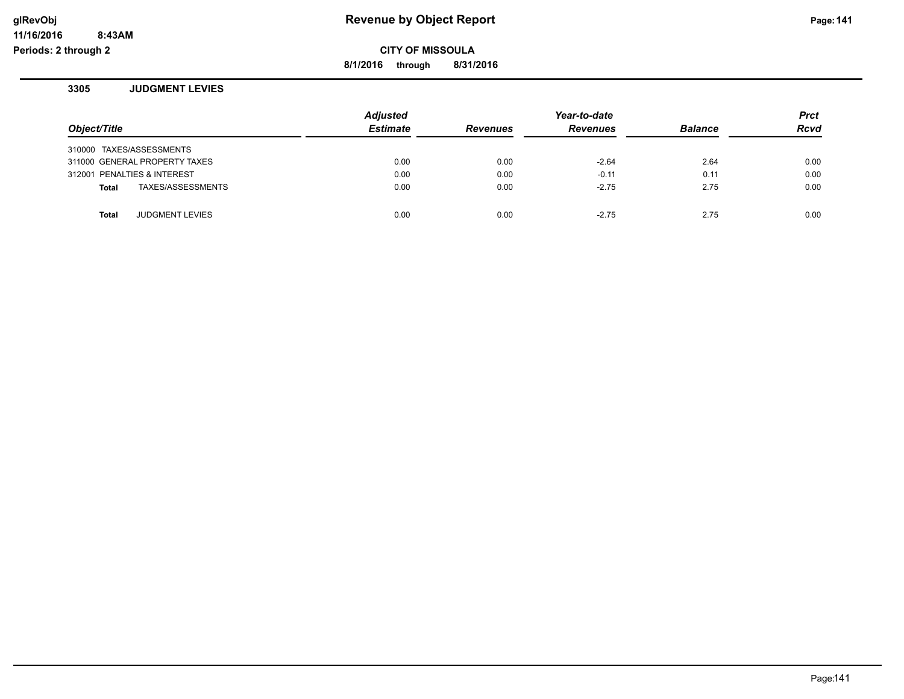**Periods: 2 through 2**

**CITY OF MISSOULA**

**8/1/2016 through 8/31/2016**

## **3305 JUDGMENT LEVIES**

 **8:43AM**

|                                        | <b>Adjusted</b> |                 | Year-to-date    |                | <b>Prct</b> |
|----------------------------------------|-----------------|-----------------|-----------------|----------------|-------------|
| Object/Title                           | <b>Estimate</b> | <b>Revenues</b> | <b>Revenues</b> | <b>Balance</b> | <b>Rcvd</b> |
| 310000 TAXES/ASSESSMENTS               |                 |                 |                 |                |             |
| 311000 GENERAL PROPERTY TAXES          | 0.00            | 0.00            | $-2.64$         | 2.64           | 0.00        |
| 312001 PENALTIES & INTEREST            | 0.00            | 0.00            | $-0.11$         | 0.11           | 0.00        |
| TAXES/ASSESSMENTS<br>Total             | 0.00            | 0.00            | $-2.75$         | 2.75           | 0.00        |
|                                        |                 |                 |                 |                |             |
| <b>JUDGMENT LEVIES</b><br><b>Total</b> | 0.00            | 0.00            | $-2.75$         | 2.75           | 0.00        |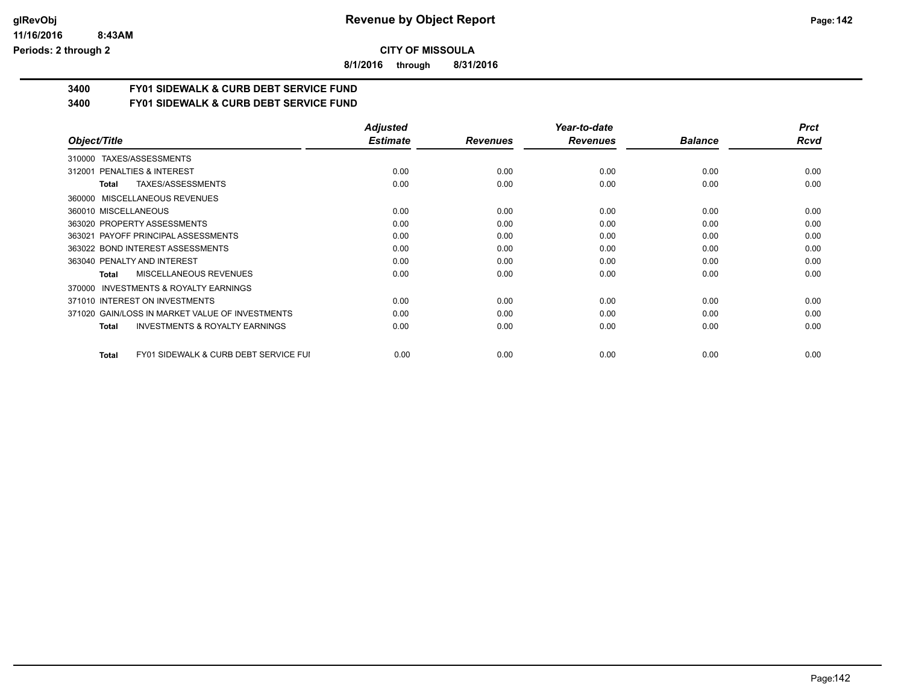**11/16/2016 8:43AM Periods: 2 through 2**

**CITY OF MISSOULA**

**8/1/2016 through 8/31/2016**

# **3400 FY01 SIDEWALK & CURB DEBT SERVICE FUND**

# **3400 FY01 SIDEWALK & CURB DEBT SERVICE FUND**

|                                                                  | <b>Adjusted</b> |                 | Year-to-date    |                | <b>Prct</b> |
|------------------------------------------------------------------|-----------------|-----------------|-----------------|----------------|-------------|
| Object/Title                                                     | <b>Estimate</b> | <b>Revenues</b> | <b>Revenues</b> | <b>Balance</b> | Rcvd        |
| 310000 TAXES/ASSESSMENTS                                         |                 |                 |                 |                |             |
| 312001 PENALTIES & INTEREST                                      | 0.00            | 0.00            | 0.00            | 0.00           | 0.00        |
| TAXES/ASSESSMENTS<br>Total                                       | 0.00            | 0.00            | 0.00            | 0.00           | 0.00        |
| MISCELLANEOUS REVENUES<br>360000                                 |                 |                 |                 |                |             |
| 360010 MISCELLANEOUS                                             | 0.00            | 0.00            | 0.00            | 0.00           | 0.00        |
| 363020 PROPERTY ASSESSMENTS                                      | 0.00            | 0.00            | 0.00            | 0.00           | 0.00        |
| 363021 PAYOFF PRINCIPAL ASSESSMENTS                              | 0.00            | 0.00            | 0.00            | 0.00           | 0.00        |
| 363022 BOND INTEREST ASSESSMENTS                                 | 0.00            | 0.00            | 0.00            | 0.00           | 0.00        |
| 363040 PENALTY AND INTEREST                                      | 0.00            | 0.00            | 0.00            | 0.00           | 0.00        |
| MISCELLANEOUS REVENUES<br>Total                                  | 0.00            | 0.00            | 0.00            | 0.00           | 0.00        |
| <b>INVESTMENTS &amp; ROYALTY EARNINGS</b><br>370000              |                 |                 |                 |                |             |
| 371010 INTEREST ON INVESTMENTS                                   | 0.00            | 0.00            | 0.00            | 0.00           | 0.00        |
| 371020 GAIN/LOSS IN MARKET VALUE OF INVESTMENTS                  | 0.00            | 0.00            | 0.00            | 0.00           | 0.00        |
| <b>INVESTMENTS &amp; ROYALTY EARNINGS</b><br>Total               | 0.00            | 0.00            | 0.00            | 0.00           | 0.00        |
| <b>FY01 SIDEWALK &amp; CURB DEBT SERVICE FUI</b><br><b>Total</b> | 0.00            | 0.00            | 0.00            | 0.00           | 0.00        |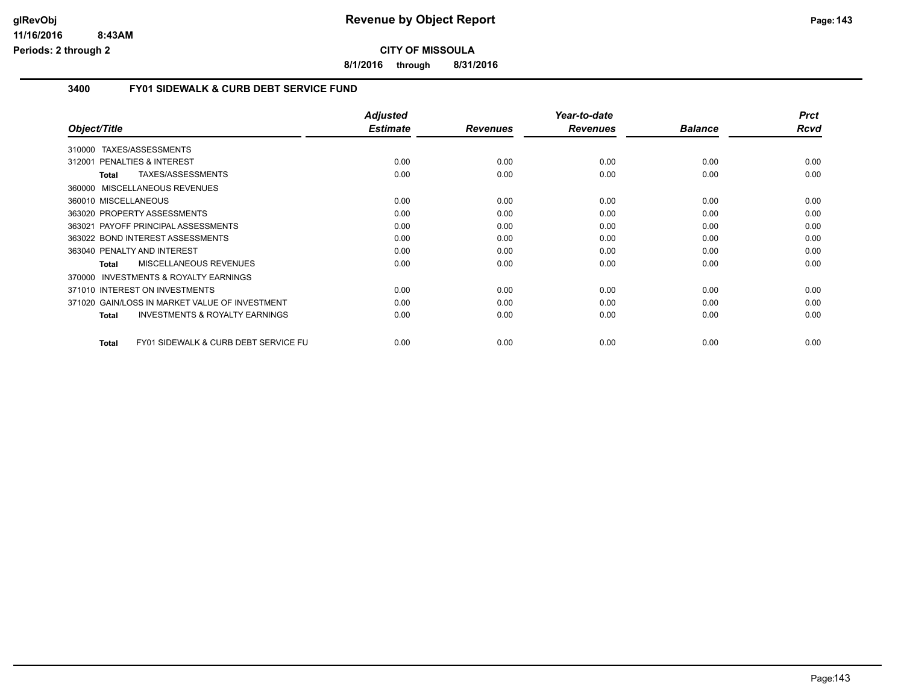**Periods: 2 through 2**

 **8:43AM**

**CITY OF MISSOULA**

**8/1/2016 through 8/31/2016**

## **3400 FY01 SIDEWALK & CURB DEBT SERVICE FUND**

|                                                           | <b>Adjusted</b> |                 | Year-to-date    |                | <b>Prct</b> |
|-----------------------------------------------------------|-----------------|-----------------|-----------------|----------------|-------------|
| Object/Title                                              | <b>Estimate</b> | <b>Revenues</b> | <b>Revenues</b> | <b>Balance</b> | <b>Rcvd</b> |
| 310000 TAXES/ASSESSMENTS                                  |                 |                 |                 |                |             |
| PENALTIES & INTEREST<br>312001                            | 0.00            | 0.00            | 0.00            | 0.00           | 0.00        |
| TAXES/ASSESSMENTS<br><b>Total</b>                         | 0.00            | 0.00            | 0.00            | 0.00           | 0.00        |
| 360000 MISCELLANEOUS REVENUES                             |                 |                 |                 |                |             |
| 360010 MISCELLANEOUS                                      | 0.00            | 0.00            | 0.00            | 0.00           | 0.00        |
| 363020 PROPERTY ASSESSMENTS                               | 0.00            | 0.00            | 0.00            | 0.00           | 0.00        |
| PAYOFF PRINCIPAL ASSESSMENTS<br>363021                    | 0.00            | 0.00            | 0.00            | 0.00           | 0.00        |
| 363022 BOND INTEREST ASSESSMENTS                          | 0.00            | 0.00            | 0.00            | 0.00           | 0.00        |
| 363040 PENALTY AND INTEREST                               | 0.00            | 0.00            | 0.00            | 0.00           | 0.00        |
| <b>MISCELLANEOUS REVENUES</b><br>Total                    | 0.00            | 0.00            | 0.00            | 0.00           | 0.00        |
| INVESTMENTS & ROYALTY EARNINGS<br>370000                  |                 |                 |                 |                |             |
| 371010 INTEREST ON INVESTMENTS                            | 0.00            | 0.00            | 0.00            | 0.00           | 0.00        |
| 371020 GAIN/LOSS IN MARKET VALUE OF INVESTMENT            | 0.00            | 0.00            | 0.00            | 0.00           | 0.00        |
| <b>INVESTMENTS &amp; ROYALTY EARNINGS</b><br><b>Total</b> | 0.00            | 0.00            | 0.00            | 0.00           | 0.00        |
| FY01 SIDEWALK & CURB DEBT SERVICE FU<br><b>Total</b>      | 0.00            | 0.00            | 0.00            | 0.00           | 0.00        |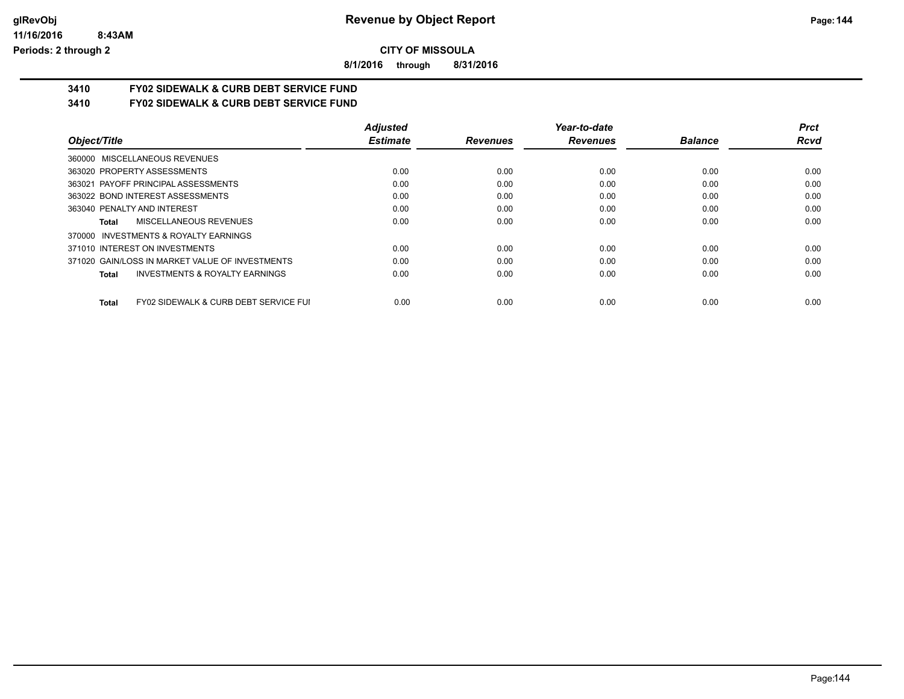**11/16/2016 8:43AM Periods: 2 through 2**

**CITY OF MISSOULA**

**8/1/2016 through 8/31/2016**

# **3410 FY02 SIDEWALK & CURB DEBT SERVICE FUND**

# **3410 FY02 SIDEWALK & CURB DEBT SERVICE FUND**

|                                                                  | <b>Adjusted</b> |                 | Year-to-date    |                | <b>Prct</b> |
|------------------------------------------------------------------|-----------------|-----------------|-----------------|----------------|-------------|
| Object/Title                                                     | <b>Estimate</b> | <b>Revenues</b> | <b>Revenues</b> | <b>Balance</b> | <b>Rcvd</b> |
| 360000 MISCELLANEOUS REVENUES                                    |                 |                 |                 |                |             |
| 363020 PROPERTY ASSESSMENTS                                      | 0.00            | 0.00            | 0.00            | 0.00           | 0.00        |
| 363021 PAYOFF PRINCIPAL ASSESSMENTS                              | 0.00            | 0.00            | 0.00            | 0.00           | 0.00        |
| 363022 BOND INTEREST ASSESSMENTS                                 | 0.00            | 0.00            | 0.00            | 0.00           | 0.00        |
| 363040 PENALTY AND INTEREST                                      | 0.00            | 0.00            | 0.00            | 0.00           | 0.00        |
| MISCELLANEOUS REVENUES<br>Total                                  | 0.00            | 0.00            | 0.00            | 0.00           | 0.00        |
| 370000 INVESTMENTS & ROYALTY EARNINGS                            |                 |                 |                 |                |             |
| 371010 INTEREST ON INVESTMENTS                                   | 0.00            | 0.00            | 0.00            | 0.00           | 0.00        |
| 371020 GAIN/LOSS IN MARKET VALUE OF INVESTMENTS                  | 0.00            | 0.00            | 0.00            | 0.00           | 0.00        |
| <b>INVESTMENTS &amp; ROYALTY EARNINGS</b><br>Total               | 0.00            | 0.00            | 0.00            | 0.00           | 0.00        |
| <b>FY02 SIDEWALK &amp; CURB DEBT SERVICE FUI</b><br><b>Total</b> | 0.00            | 0.00            | 0.00            | 0.00           | 0.00        |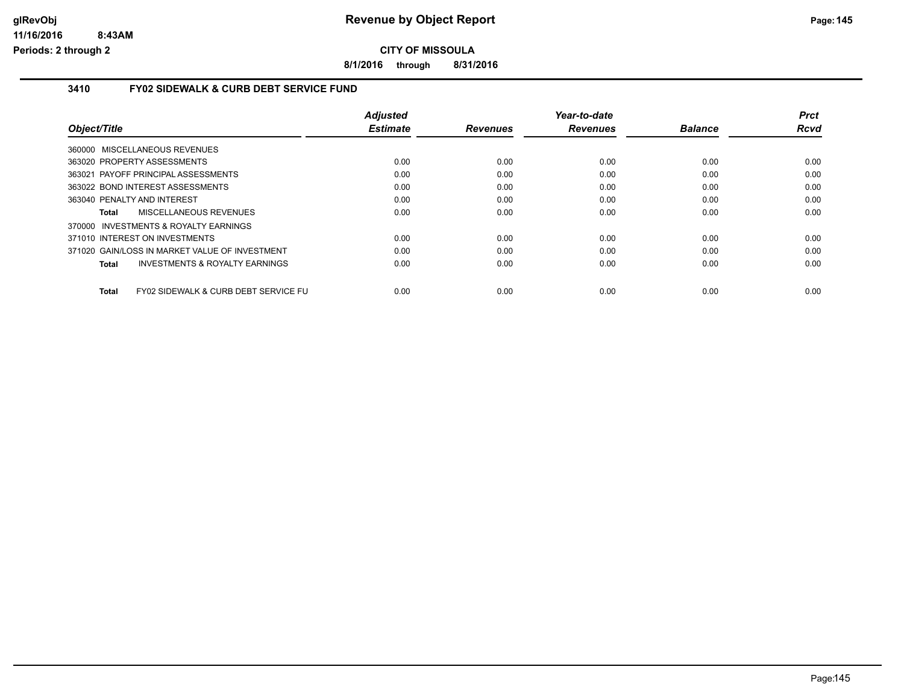**8/1/2016 through 8/31/2016**

## **3410 FY02 SIDEWALK & CURB DEBT SERVICE FUND**

|                                                      | <b>Adjusted</b> |                 | Year-to-date    |                | <b>Prct</b> |
|------------------------------------------------------|-----------------|-----------------|-----------------|----------------|-------------|
| Object/Title                                         | <b>Estimate</b> | <b>Revenues</b> | <b>Revenues</b> | <b>Balance</b> | <b>Rcvd</b> |
| 360000 MISCELLANEOUS REVENUES                        |                 |                 |                 |                |             |
| 363020 PROPERTY ASSESSMENTS                          | 0.00            | 0.00            | 0.00            | 0.00           | 0.00        |
| 363021 PAYOFF PRINCIPAL ASSESSMENTS                  | 0.00            | 0.00            | 0.00            | 0.00           | 0.00        |
| 363022 BOND INTEREST ASSESSMENTS                     | 0.00            | 0.00            | 0.00            | 0.00           | 0.00        |
| 363040 PENALTY AND INTEREST                          | 0.00            | 0.00            | 0.00            | 0.00           | 0.00        |
| <b>MISCELLANEOUS REVENUES</b><br>Total               | 0.00            | 0.00            | 0.00            | 0.00           | 0.00        |
| 370000 INVESTMENTS & ROYALTY EARNINGS                |                 |                 |                 |                |             |
| 371010 INTEREST ON INVESTMENTS                       | 0.00            | 0.00            | 0.00            | 0.00           | 0.00        |
| 371020 GAIN/LOSS IN MARKET VALUE OF INVESTMENT       | 0.00            | 0.00            | 0.00            | 0.00           | 0.00        |
| <b>INVESTMENTS &amp; ROYALTY EARNINGS</b><br>Total   | 0.00            | 0.00            | 0.00            | 0.00           | 0.00        |
| FY02 SIDEWALK & CURB DEBT SERVICE FU<br><b>Total</b> | 0.00            | 0.00            | 0.00            | 0.00           | 0.00        |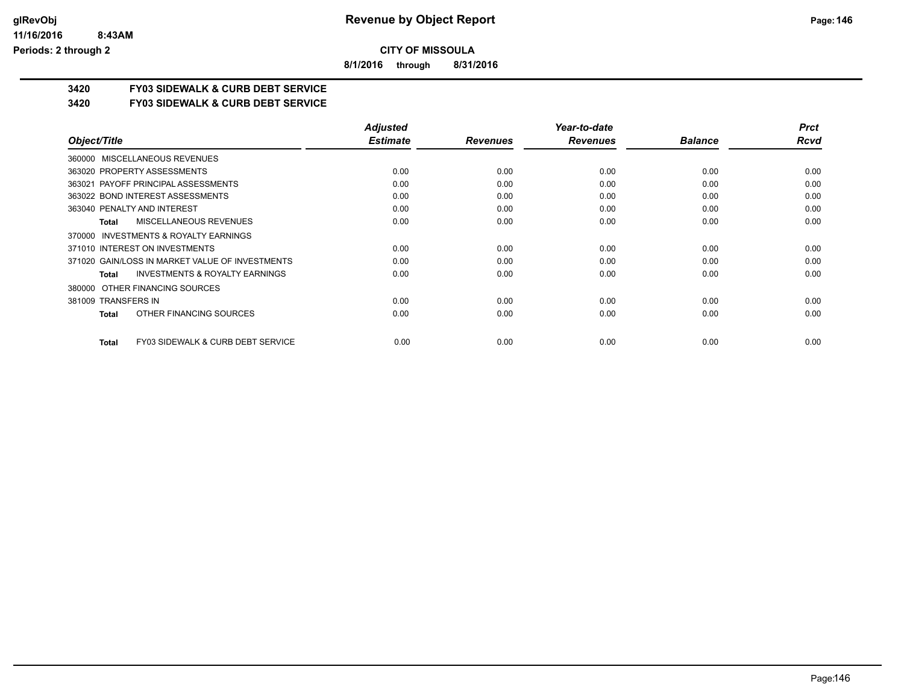**8/1/2016 through 8/31/2016**

# **3420 FY03 SIDEWALK & CURB DEBT SERVICE**

## **3420 FY03 SIDEWALK & CURB DEBT SERVICE**

|                                                     | <b>Adjusted</b> |                 | Year-to-date    |                | <b>Prct</b> |
|-----------------------------------------------------|-----------------|-----------------|-----------------|----------------|-------------|
| Object/Title                                        | <b>Estimate</b> | <b>Revenues</b> | <b>Revenues</b> | <b>Balance</b> | Rcvd        |
| MISCELLANEOUS REVENUES<br>360000                    |                 |                 |                 |                |             |
| 363020 PROPERTY ASSESSMENTS                         | 0.00            | 0.00            | 0.00            | 0.00           | 0.00        |
| 363021 PAYOFF PRINCIPAL ASSESSMENTS                 | 0.00            | 0.00            | 0.00            | 0.00           | 0.00        |
| 363022 BOND INTEREST ASSESSMENTS                    | 0.00            | 0.00            | 0.00            | 0.00           | 0.00        |
| 363040 PENALTY AND INTEREST                         | 0.00            | 0.00            | 0.00            | 0.00           | 0.00        |
| MISCELLANEOUS REVENUES<br><b>Total</b>              | 0.00            | 0.00            | 0.00            | 0.00           | 0.00        |
| <b>INVESTMENTS &amp; ROYALTY EARNINGS</b><br>370000 |                 |                 |                 |                |             |
| 371010 INTEREST ON INVESTMENTS                      | 0.00            | 0.00            | 0.00            | 0.00           | 0.00        |
| 371020 GAIN/LOSS IN MARKET VALUE OF INVESTMENTS     | 0.00            | 0.00            | 0.00            | 0.00           | 0.00        |
| <b>INVESTMENTS &amp; ROYALTY EARNINGS</b><br>Total  | 0.00            | 0.00            | 0.00            | 0.00           | 0.00        |
| OTHER FINANCING SOURCES<br>380000                   |                 |                 |                 |                |             |
| 381009 TRANSFERS IN                                 | 0.00            | 0.00            | 0.00            | 0.00           | 0.00        |
| OTHER FINANCING SOURCES<br><b>Total</b>             | 0.00            | 0.00            | 0.00            | 0.00           | 0.00        |
| FY03 SIDEWALK & CURB DEBT SERVICE<br><b>Total</b>   | 0.00            | 0.00            | 0.00            | 0.00           | 0.00        |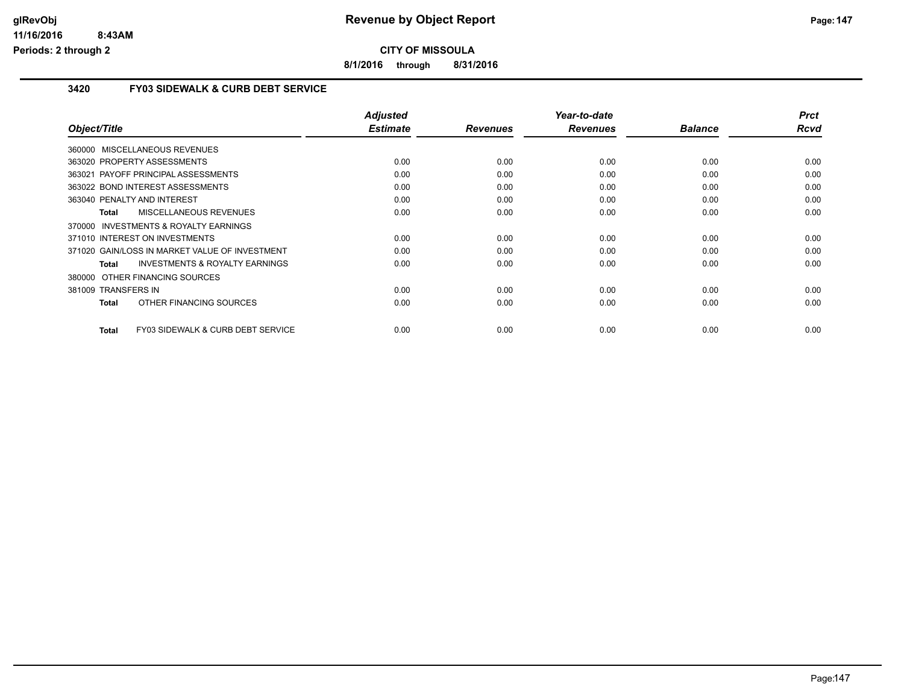**8/1/2016 through 8/31/2016**

## **3420 FY03 SIDEWALK & CURB DEBT SERVICE**

| Object/Title                                              | <b>Adjusted</b><br><b>Estimate</b> | <b>Revenues</b> | Year-to-date<br><b>Revenues</b> | <b>Balance</b> | <b>Prct</b><br>Rcvd |
|-----------------------------------------------------------|------------------------------------|-----------------|---------------------------------|----------------|---------------------|
| 360000 MISCELLANEOUS REVENUES                             |                                    |                 |                                 |                |                     |
| 363020 PROPERTY ASSESSMENTS                               | 0.00                               | 0.00            | 0.00                            | 0.00           | 0.00                |
| 363021 PAYOFF PRINCIPAL ASSESSMENTS                       | 0.00                               | 0.00            | 0.00                            | 0.00           | 0.00                |
| 363022 BOND INTEREST ASSESSMENTS                          | 0.00                               | 0.00            | 0.00                            | 0.00           | 0.00                |
| 363040 PENALTY AND INTEREST                               | 0.00                               | 0.00            | 0.00                            | 0.00           | 0.00                |
| <b>MISCELLANEOUS REVENUES</b><br><b>Total</b>             | 0.00                               | 0.00            | 0.00                            | 0.00           | 0.00                |
| 370000 INVESTMENTS & ROYALTY EARNINGS                     |                                    |                 |                                 |                |                     |
| 371010 INTEREST ON INVESTMENTS                            | 0.00                               | 0.00            | 0.00                            | 0.00           | 0.00                |
| 371020 GAIN/LOSS IN MARKET VALUE OF INVESTMENT            | 0.00                               | 0.00            | 0.00                            | 0.00           | 0.00                |
| <b>INVESTMENTS &amp; ROYALTY EARNINGS</b><br><b>Total</b> | 0.00                               | 0.00            | 0.00                            | 0.00           | 0.00                |
| 380000 OTHER FINANCING SOURCES                            |                                    |                 |                                 |                |                     |
| 381009 TRANSFERS IN                                       | 0.00                               | 0.00            | 0.00                            | 0.00           | 0.00                |
| OTHER FINANCING SOURCES<br>Total                          | 0.00                               | 0.00            | 0.00                            | 0.00           | 0.00                |
|                                                           |                                    |                 |                                 |                |                     |
| FY03 SIDEWALK & CURB DEBT SERVICE<br>Total                | 0.00                               | 0.00            | 0.00                            | 0.00           | 0.00                |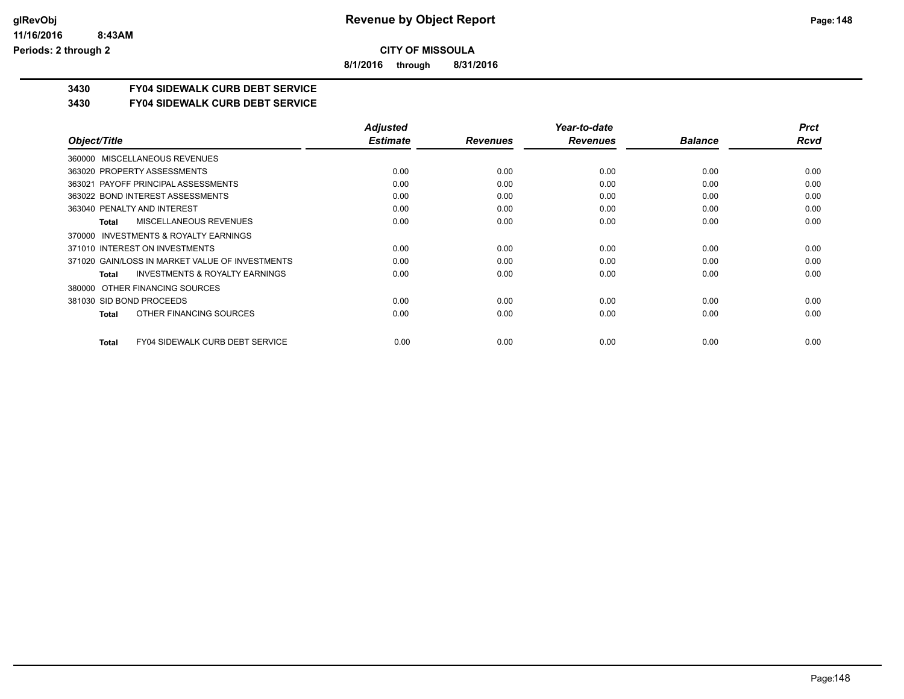**8/1/2016 through 8/31/2016**

## **3430 FY04 SIDEWALK CURB DEBT SERVICE**

### **3430 FY04 SIDEWALK CURB DEBT SERVICE**

|                                                           | <b>Adjusted</b> |                 | Year-to-date    |                | <b>Prct</b> |
|-----------------------------------------------------------|-----------------|-----------------|-----------------|----------------|-------------|
| Object/Title                                              | <b>Estimate</b> | <b>Revenues</b> | <b>Revenues</b> | <b>Balance</b> | <b>Rcvd</b> |
| 360000 MISCELLANEOUS REVENUES                             |                 |                 |                 |                |             |
| 363020 PROPERTY ASSESSMENTS                               | 0.00            | 0.00            | 0.00            | 0.00           | 0.00        |
| 363021 PAYOFF PRINCIPAL ASSESSMENTS                       | 0.00            | 0.00            | 0.00            | 0.00           | 0.00        |
| 363022 BOND INTEREST ASSESSMENTS                          | 0.00            | 0.00            | 0.00            | 0.00           | 0.00        |
| 363040 PENALTY AND INTEREST                               | 0.00            | 0.00            | 0.00            | 0.00           | 0.00        |
| MISCELLANEOUS REVENUES<br><b>Total</b>                    | 0.00            | 0.00            | 0.00            | 0.00           | 0.00        |
| 370000 INVESTMENTS & ROYALTY EARNINGS                     |                 |                 |                 |                |             |
| 371010 INTEREST ON INVESTMENTS                            | 0.00            | 0.00            | 0.00            | 0.00           | 0.00        |
| 371020 GAIN/LOSS IN MARKET VALUE OF INVESTMENTS           | 0.00            | 0.00            | 0.00            | 0.00           | 0.00        |
| <b>INVESTMENTS &amp; ROYALTY EARNINGS</b><br><b>Total</b> | 0.00            | 0.00            | 0.00            | 0.00           | 0.00        |
| 380000 OTHER FINANCING SOURCES                            |                 |                 |                 |                |             |
| 381030 SID BOND PROCEEDS                                  | 0.00            | 0.00            | 0.00            | 0.00           | 0.00        |
| OTHER FINANCING SOURCES<br><b>Total</b>                   | 0.00            | 0.00            | 0.00            | 0.00           | 0.00        |
| FY04 SIDEWALK CURB DEBT SERVICE<br><b>Total</b>           | 0.00            | 0.00            | 0.00            | 0.00           | 0.00        |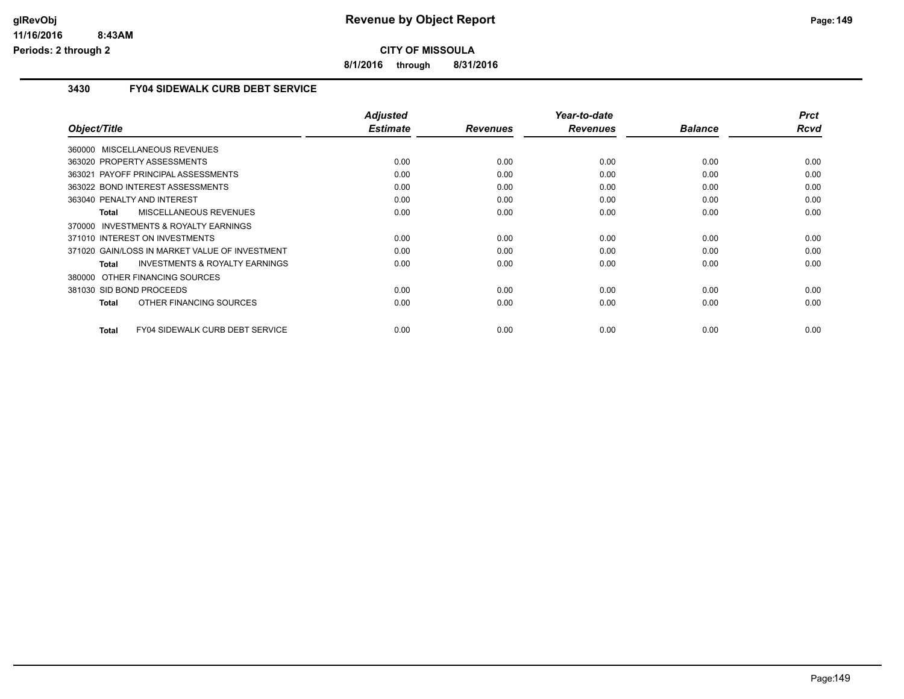**8/1/2016 through 8/31/2016**

## **3430 FY04 SIDEWALK CURB DEBT SERVICE**

| Object/Title                                       | <b>Adjusted</b><br><b>Estimate</b> | <b>Revenues</b> | Year-to-date<br><b>Revenues</b> | <b>Balance</b> | <b>Prct</b><br><b>Rcvd</b> |
|----------------------------------------------------|------------------------------------|-----------------|---------------------------------|----------------|----------------------------|
|                                                    |                                    |                 |                                 |                |                            |
| 360000 MISCELLANEOUS REVENUES                      |                                    |                 |                                 |                |                            |
| 363020 PROPERTY ASSESSMENTS                        | 0.00                               | 0.00            | 0.00                            | 0.00           | 0.00                       |
| 363021 PAYOFF PRINCIPAL ASSESSMENTS                | 0.00                               | 0.00            | 0.00                            | 0.00           | 0.00                       |
| 363022 BOND INTEREST ASSESSMENTS                   | 0.00                               | 0.00            | 0.00                            | 0.00           | 0.00                       |
| 363040 PENALTY AND INTEREST                        | 0.00                               | 0.00            | 0.00                            | 0.00           | 0.00                       |
| MISCELLANEOUS REVENUES<br>Total                    | 0.00                               | 0.00            | 0.00                            | 0.00           | 0.00                       |
| 370000 INVESTMENTS & ROYALTY EARNINGS              |                                    |                 |                                 |                |                            |
| 371010 INTEREST ON INVESTMENTS                     | 0.00                               | 0.00            | 0.00                            | 0.00           | 0.00                       |
| 371020 GAIN/LOSS IN MARKET VALUE OF INVESTMENT     | 0.00                               | 0.00            | 0.00                            | 0.00           | 0.00                       |
| <b>INVESTMENTS &amp; ROYALTY EARNINGS</b><br>Total | 0.00                               | 0.00            | 0.00                            | 0.00           | 0.00                       |
| 380000 OTHER FINANCING SOURCES                     |                                    |                 |                                 |                |                            |
| 381030 SID BOND PROCEEDS                           | 0.00                               | 0.00            | 0.00                            | 0.00           | 0.00                       |
| OTHER FINANCING SOURCES<br>Total                   | 0.00                               | 0.00            | 0.00                            | 0.00           | 0.00                       |
|                                                    |                                    |                 |                                 |                |                            |
| FY04 SIDEWALK CURB DEBT SERVICE<br>Total           | 0.00                               | 0.00            | 0.00                            | 0.00           | 0.00                       |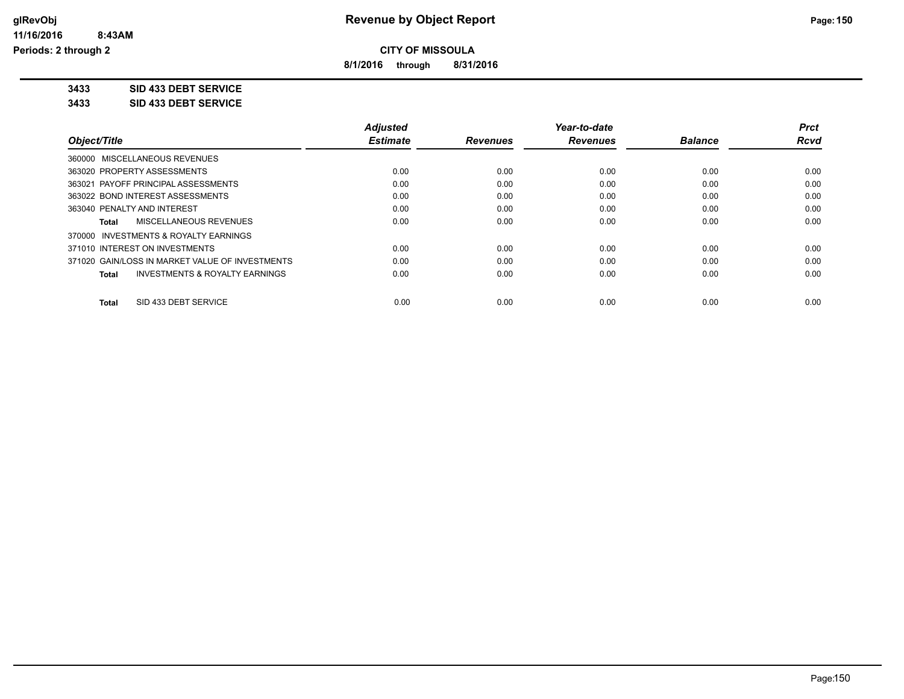**8/1/2016 through 8/31/2016**

**3433 SID 433 DEBT SERVICE**

**3433 SID 433 DEBT SERVICE**

|                                                    | <b>Adjusted</b> |                 | Year-to-date    |                | <b>Prct</b> |
|----------------------------------------------------|-----------------|-----------------|-----------------|----------------|-------------|
| Object/Title                                       | <b>Estimate</b> | <b>Revenues</b> | <b>Revenues</b> | <b>Balance</b> | Rcvd        |
| 360000 MISCELLANEOUS REVENUES                      |                 |                 |                 |                |             |
| 363020 PROPERTY ASSESSMENTS                        | 0.00            | 0.00            | 0.00            | 0.00           | 0.00        |
| 363021 PAYOFF PRINCIPAL ASSESSMENTS                | 0.00            | 0.00            | 0.00            | 0.00           | 0.00        |
| 363022 BOND INTEREST ASSESSMENTS                   | 0.00            | 0.00            | 0.00            | 0.00           | 0.00        |
| 363040 PENALTY AND INTEREST                        | 0.00            | 0.00            | 0.00            | 0.00           | 0.00        |
| MISCELLANEOUS REVENUES<br>Total                    | 0.00            | 0.00            | 0.00            | 0.00           | 0.00        |
| 370000 INVESTMENTS & ROYALTY EARNINGS              |                 |                 |                 |                |             |
| 371010 INTEREST ON INVESTMENTS                     | 0.00            | 0.00            | 0.00            | 0.00           | 0.00        |
| 371020 GAIN/LOSS IN MARKET VALUE OF INVESTMENTS    | 0.00            | 0.00            | 0.00            | 0.00           | 0.00        |
| <b>INVESTMENTS &amp; ROYALTY EARNINGS</b><br>Total | 0.00            | 0.00            | 0.00            | 0.00           | 0.00        |
| SID 433 DEBT SERVICE<br><b>Total</b>               | 0.00            | 0.00            | 0.00            | 0.00           | 0.00        |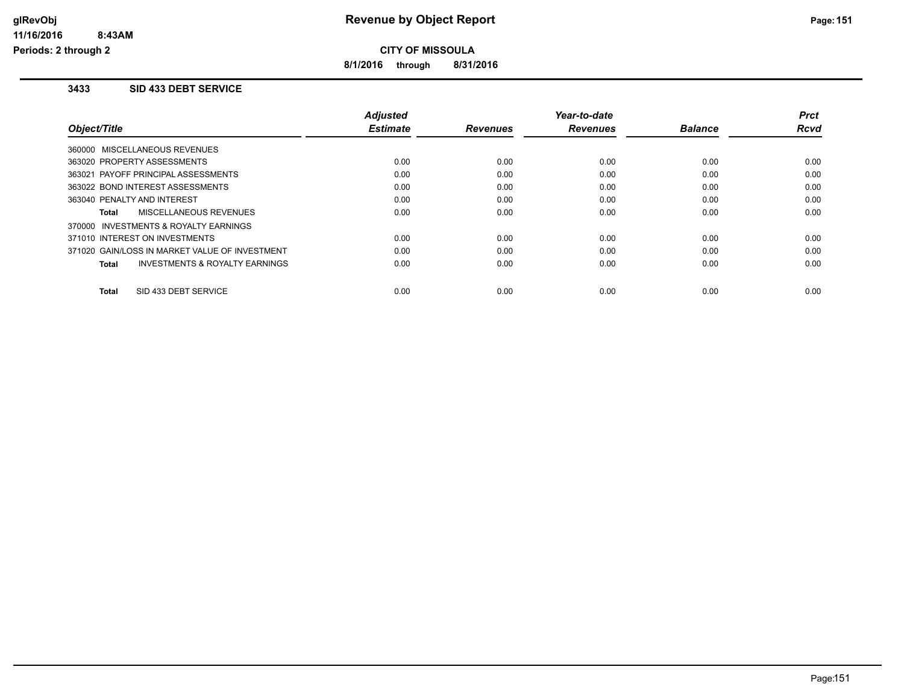**8/1/2016 through 8/31/2016**

### **3433 SID 433 DEBT SERVICE**

|                                                           | <b>Adjusted</b> |                 | Year-to-date    |                | <b>Prct</b> |
|-----------------------------------------------------------|-----------------|-----------------|-----------------|----------------|-------------|
| Object/Title                                              | <b>Estimate</b> | <b>Revenues</b> | <b>Revenues</b> | <b>Balance</b> | <b>Rcvd</b> |
| 360000 MISCELLANEOUS REVENUES                             |                 |                 |                 |                |             |
| 363020 PROPERTY ASSESSMENTS                               | 0.00            | 0.00            | 0.00            | 0.00           | 0.00        |
| 363021 PAYOFF PRINCIPAL ASSESSMENTS                       | 0.00            | 0.00            | 0.00            | 0.00           | 0.00        |
| 363022 BOND INTEREST ASSESSMENTS                          | 0.00            | 0.00            | 0.00            | 0.00           | 0.00        |
| 363040 PENALTY AND INTEREST                               | 0.00            | 0.00            | 0.00            | 0.00           | 0.00        |
| MISCELLANEOUS REVENUES<br><b>Total</b>                    | 0.00            | 0.00            | 0.00            | 0.00           | 0.00        |
| INVESTMENTS & ROYALTY EARNINGS<br>370000                  |                 |                 |                 |                |             |
| 371010 INTEREST ON INVESTMENTS                            | 0.00            | 0.00            | 0.00            | 0.00           | 0.00        |
| 371020 GAIN/LOSS IN MARKET VALUE OF INVESTMENT            | 0.00            | 0.00            | 0.00            | 0.00           | 0.00        |
| <b>INVESTMENTS &amp; ROYALTY EARNINGS</b><br><b>Total</b> | 0.00            | 0.00            | 0.00            | 0.00           | 0.00        |
|                                                           |                 |                 |                 |                |             |
| SID 433 DEBT SERVICE<br><b>Total</b>                      | 0.00            | 0.00            | 0.00            | 0.00           | 0.00        |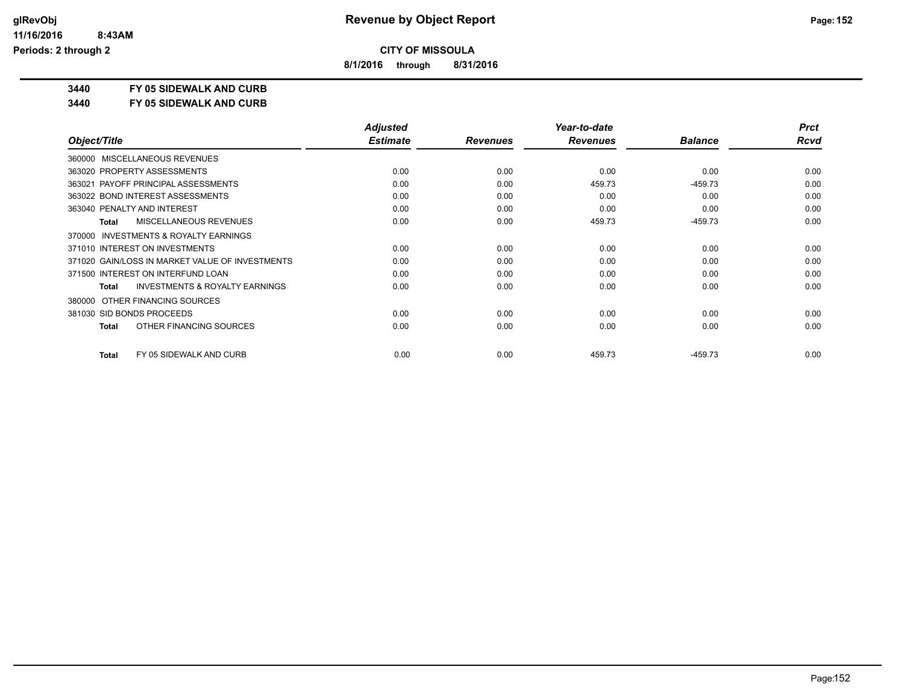**8/1/2016 through 8/31/2016**

**3440 FY 05 SIDEWALK AND CURB**

**3440 FY 05 SIDEWALK AND CURB**

|                                                           | <b>Adjusted</b> |                 | Year-to-date    |                | <b>Prct</b> |
|-----------------------------------------------------------|-----------------|-----------------|-----------------|----------------|-------------|
| Object/Title                                              | <b>Estimate</b> | <b>Revenues</b> | <b>Revenues</b> | <b>Balance</b> | Rcvd        |
| 360000 MISCELLANEOUS REVENUES                             |                 |                 |                 |                |             |
| 363020 PROPERTY ASSESSMENTS                               | 0.00            | 0.00            | 0.00            | 0.00           | 0.00        |
| 363021 PAYOFF PRINCIPAL ASSESSMENTS                       | 0.00            | 0.00            | 459.73          | $-459.73$      | 0.00        |
| 363022 BOND INTEREST ASSESSMENTS                          | 0.00            | 0.00            | 0.00            | 0.00           | 0.00        |
| 363040 PENALTY AND INTEREST                               | 0.00            | 0.00            | 0.00            | 0.00           | 0.00        |
| MISCELLANEOUS REVENUES<br><b>Total</b>                    | 0.00            | 0.00            | 459.73          | $-459.73$      | 0.00        |
| 370000 INVESTMENTS & ROYALTY EARNINGS                     |                 |                 |                 |                |             |
| 371010 INTEREST ON INVESTMENTS                            | 0.00            | 0.00            | 0.00            | 0.00           | 0.00        |
| 371020 GAIN/LOSS IN MARKET VALUE OF INVESTMENTS           | 0.00            | 0.00            | 0.00            | 0.00           | 0.00        |
| 371500 INTEREST ON INTERFUND LOAN                         | 0.00            | 0.00            | 0.00            | 0.00           | 0.00        |
| <b>INVESTMENTS &amp; ROYALTY EARNINGS</b><br><b>Total</b> | 0.00            | 0.00            | 0.00            | 0.00           | 0.00        |
| OTHER FINANCING SOURCES<br>380000                         |                 |                 |                 |                |             |
| 381030 SID BONDS PROCEEDS                                 | 0.00            | 0.00            | 0.00            | 0.00           | 0.00        |
| OTHER FINANCING SOURCES<br>Total                          | 0.00            | 0.00            | 0.00            | 0.00           | 0.00        |
| FY 05 SIDEWALK AND CURB<br><b>Total</b>                   | 0.00            | 0.00            | 459.73          | $-459.73$      | 0.00        |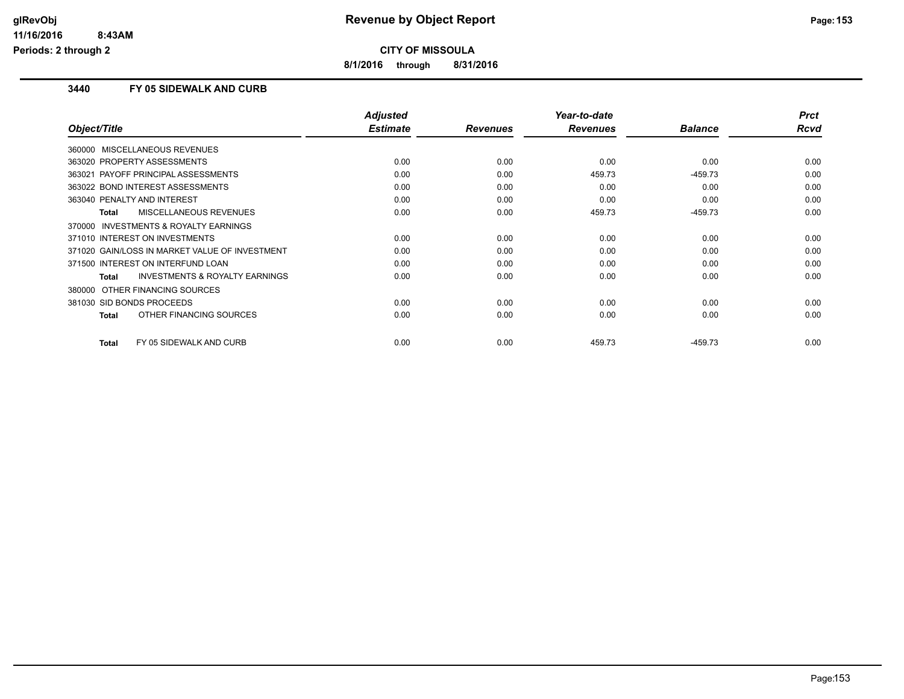**8/1/2016 through 8/31/2016**

## **3440 FY 05 SIDEWALK AND CURB**

|                                                     | <b>Adjusted</b> |                 | Year-to-date    |                | <b>Prct</b> |
|-----------------------------------------------------|-----------------|-----------------|-----------------|----------------|-------------|
| Object/Title                                        | <b>Estimate</b> | <b>Revenues</b> | <b>Revenues</b> | <b>Balance</b> | Rcvd        |
| 360000 MISCELLANEOUS REVENUES                       |                 |                 |                 |                |             |
| 363020 PROPERTY ASSESSMENTS                         | 0.00            | 0.00            | 0.00            | 0.00           | 0.00        |
| 363021 PAYOFF PRINCIPAL ASSESSMENTS                 | 0.00            | 0.00            | 459.73          | $-459.73$      | 0.00        |
| 363022 BOND INTEREST ASSESSMENTS                    | 0.00            | 0.00            | 0.00            | 0.00           | 0.00        |
| 363040 PENALTY AND INTEREST                         | 0.00            | 0.00            | 0.00            | 0.00           | 0.00        |
| <b>MISCELLANEOUS REVENUES</b><br><b>Total</b>       | 0.00            | 0.00            | 459.73          | $-459.73$      | 0.00        |
| <b>INVESTMENTS &amp; ROYALTY EARNINGS</b><br>370000 |                 |                 |                 |                |             |
| 371010 INTEREST ON INVESTMENTS                      | 0.00            | 0.00            | 0.00            | 0.00           | 0.00        |
| 371020 GAIN/LOSS IN MARKET VALUE OF INVESTMENT      | 0.00            | 0.00            | 0.00            | 0.00           | 0.00        |
| 371500 INTEREST ON INTERFUND LOAN                   | 0.00            | 0.00            | 0.00            | 0.00           | 0.00        |
| <b>INVESTMENTS &amp; ROYALTY EARNINGS</b><br>Total  | 0.00            | 0.00            | 0.00            | 0.00           | 0.00        |
| 380000 OTHER FINANCING SOURCES                      |                 |                 |                 |                |             |
| 381030 SID BONDS PROCEEDS                           | 0.00            | 0.00            | 0.00            | 0.00           | 0.00        |
| OTHER FINANCING SOURCES<br>Total                    | 0.00            | 0.00            | 0.00            | 0.00           | 0.00        |
|                                                     |                 |                 |                 |                |             |
| FY 05 SIDEWALK AND CURB<br><b>Total</b>             | 0.00            | 0.00            | 459.73          | $-459.73$      | 0.00        |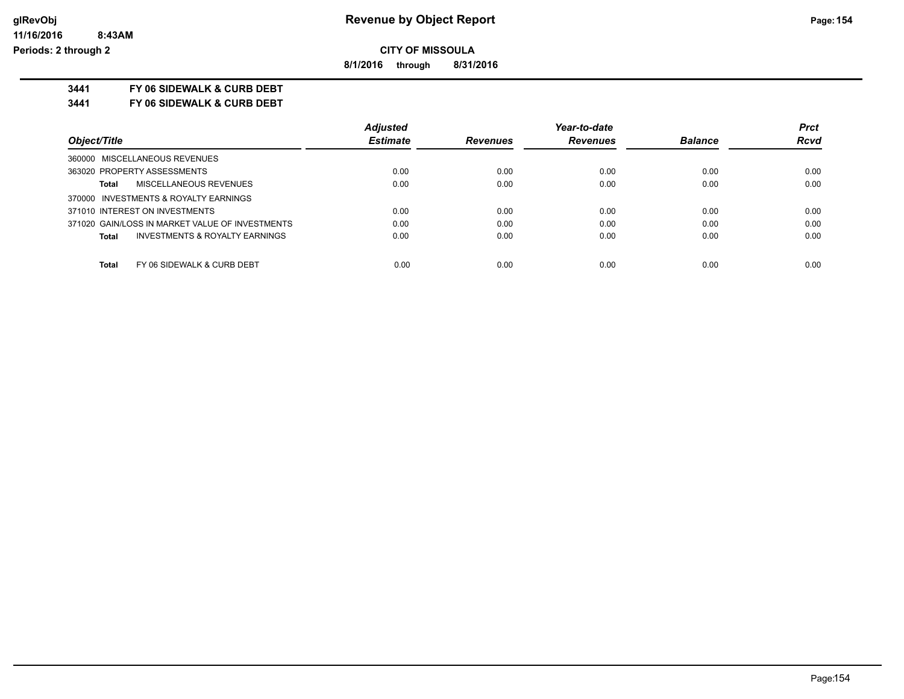**CITY OF MISSOULA**

**8/1/2016 through 8/31/2016**

**3441 FY 06 SIDEWALK & CURB DEBT**

 **8:43AM**

**3441 FY 06 SIDEWALK & CURB DEBT**

|                                                 | <b>Adjusted</b> |                 | Year-to-date    |                | <b>Prct</b> |
|-------------------------------------------------|-----------------|-----------------|-----------------|----------------|-------------|
| Object/Title                                    | <b>Estimate</b> | <b>Revenues</b> | <b>Revenues</b> | <b>Balance</b> | <b>Rcvd</b> |
| 360000 MISCELLANEOUS REVENUES                   |                 |                 |                 |                |             |
| 363020 PROPERTY ASSESSMENTS                     | 0.00            | 0.00            | 0.00            | 0.00           | 0.00        |
| MISCELLANEOUS REVENUES<br>Total                 | 0.00            | 0.00            | 0.00            | 0.00           | 0.00        |
| 370000 INVESTMENTS & ROYALTY EARNINGS           |                 |                 |                 |                |             |
| 371010 INTEREST ON INVESTMENTS                  | 0.00            | 0.00            | 0.00            | 0.00           | 0.00        |
| 371020 GAIN/LOSS IN MARKET VALUE OF INVESTMENTS | 0.00            | 0.00            | 0.00            | 0.00           | 0.00        |
| INVESTMENTS & ROYALTY EARNINGS<br>Total         | 0.00            | 0.00            | 0.00            | 0.00           | 0.00        |
|                                                 |                 |                 |                 |                |             |
| Total<br>FY 06 SIDEWALK & CURB DEBT             | 0.00            | 0.00            | 0.00            | 0.00           | 0.00        |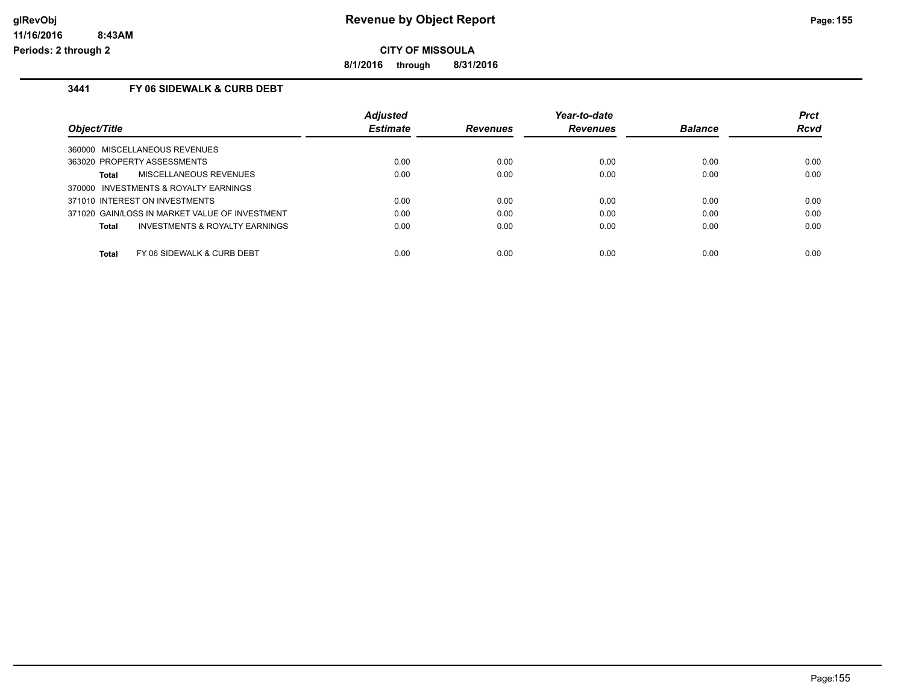**8:43AM**

**CITY OF MISSOULA**

**8/1/2016 through 8/31/2016**

## **3441 FY 06 SIDEWALK & CURB DEBT**

|                                                    | <b>Adjusted</b> |                 | Year-to-date    |                | <b>Prct</b> |
|----------------------------------------------------|-----------------|-----------------|-----------------|----------------|-------------|
| Object/Title                                       | <b>Estimate</b> | <b>Revenues</b> | <b>Revenues</b> | <b>Balance</b> | <b>Rcvd</b> |
| 360000 MISCELLANEOUS REVENUES                      |                 |                 |                 |                |             |
| 363020 PROPERTY ASSESSMENTS                        | 0.00            | 0.00            | 0.00            | 0.00           | 0.00        |
| MISCELLANEOUS REVENUES<br>Total                    | 0.00            | 0.00            | 0.00            | 0.00           | 0.00        |
| 370000 INVESTMENTS & ROYALTY EARNINGS              |                 |                 |                 |                |             |
| 371010 INTEREST ON INVESTMENTS                     | 0.00            | 0.00            | 0.00            | 0.00           | 0.00        |
| 371020 GAIN/LOSS IN MARKET VALUE OF INVESTMENT     | 0.00            | 0.00            | 0.00            | 0.00           | 0.00        |
| <b>INVESTMENTS &amp; ROYALTY EARNINGS</b><br>Total | 0.00            | 0.00            | 0.00            | 0.00           | 0.00        |
| Total<br>FY 06 SIDEWALK & CURB DEBT                | 0.00            | 0.00            | 0.00            | 0.00           | 0.00        |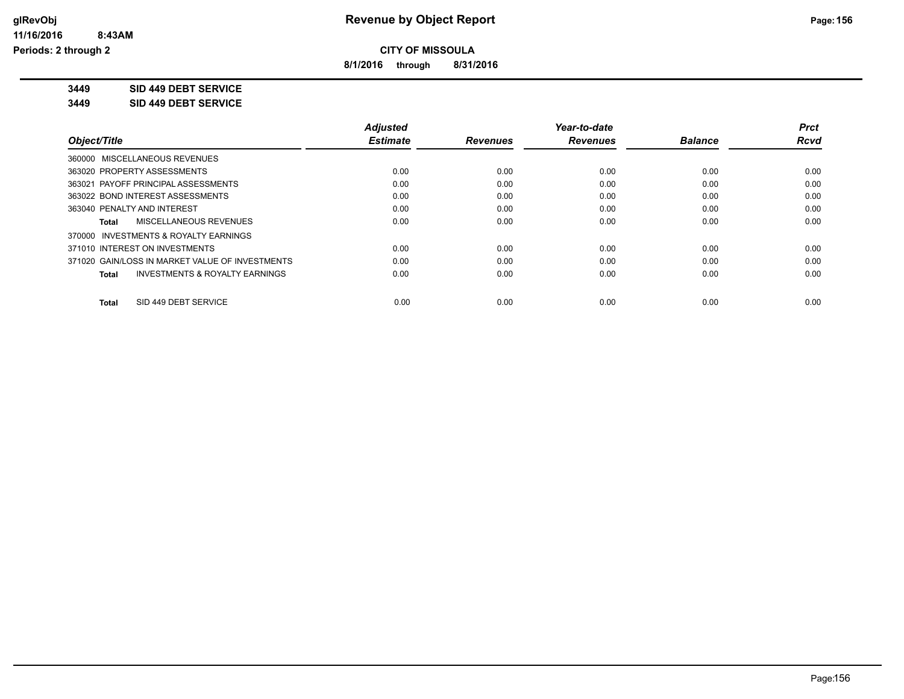**8/1/2016 through 8/31/2016**

**3449 SID 449 DEBT SERVICE**

**3449 SID 449 DEBT SERVICE**

|                                                    | <b>Adjusted</b> |                 | Year-to-date    |                | <b>Prct</b> |
|----------------------------------------------------|-----------------|-----------------|-----------------|----------------|-------------|
| Object/Title                                       | <b>Estimate</b> | <b>Revenues</b> | <b>Revenues</b> | <b>Balance</b> | Rcvd        |
| 360000 MISCELLANEOUS REVENUES                      |                 |                 |                 |                |             |
| 363020 PROPERTY ASSESSMENTS                        | 0.00            | 0.00            | 0.00            | 0.00           | 0.00        |
| 363021 PAYOFF PRINCIPAL ASSESSMENTS                | 0.00            | 0.00            | 0.00            | 0.00           | 0.00        |
| 363022 BOND INTEREST ASSESSMENTS                   | 0.00            | 0.00            | 0.00            | 0.00           | 0.00        |
| 363040 PENALTY AND INTEREST                        | 0.00            | 0.00            | 0.00            | 0.00           | 0.00        |
| MISCELLANEOUS REVENUES<br>Total                    | 0.00            | 0.00            | 0.00            | 0.00           | 0.00        |
| 370000 INVESTMENTS & ROYALTY EARNINGS              |                 |                 |                 |                |             |
| 371010 INTEREST ON INVESTMENTS                     | 0.00            | 0.00            | 0.00            | 0.00           | 0.00        |
| 371020 GAIN/LOSS IN MARKET VALUE OF INVESTMENTS    | 0.00            | 0.00            | 0.00            | 0.00           | 0.00        |
| <b>INVESTMENTS &amp; ROYALTY EARNINGS</b><br>Total | 0.00            | 0.00            | 0.00            | 0.00           | 0.00        |
| SID 449 DEBT SERVICE<br><b>Total</b>               | 0.00            | 0.00            | 0.00            | 0.00           | 0.00        |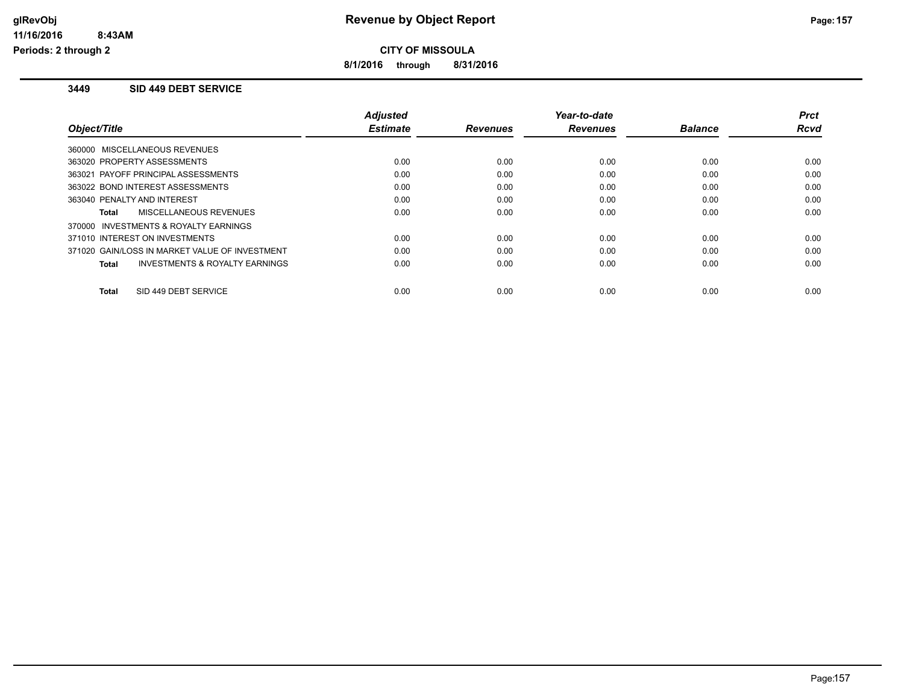**8/1/2016 through 8/31/2016**

### **3449 SID 449 DEBT SERVICE**

|                                                           | <b>Adjusted</b> |                 | Year-to-date    |                | <b>Prct</b> |
|-----------------------------------------------------------|-----------------|-----------------|-----------------|----------------|-------------|
| Object/Title                                              | <b>Estimate</b> | <b>Revenues</b> | <b>Revenues</b> | <b>Balance</b> | <b>Rcvd</b> |
| 360000 MISCELLANEOUS REVENUES                             |                 |                 |                 |                |             |
| 363020 PROPERTY ASSESSMENTS                               | 0.00            | 0.00            | 0.00            | 0.00           | 0.00        |
| 363021 PAYOFF PRINCIPAL ASSESSMENTS                       | 0.00            | 0.00            | 0.00            | 0.00           | 0.00        |
| 363022 BOND INTEREST ASSESSMENTS                          | 0.00            | 0.00            | 0.00            | 0.00           | 0.00        |
| 363040 PENALTY AND INTEREST                               | 0.00            | 0.00            | 0.00            | 0.00           | 0.00        |
| MISCELLANEOUS REVENUES<br><b>Total</b>                    | 0.00            | 0.00            | 0.00            | 0.00           | 0.00        |
| INVESTMENTS & ROYALTY EARNINGS<br>370000                  |                 |                 |                 |                |             |
| 371010 INTEREST ON INVESTMENTS                            | 0.00            | 0.00            | 0.00            | 0.00           | 0.00        |
| 371020 GAIN/LOSS IN MARKET VALUE OF INVESTMENT            | 0.00            | 0.00            | 0.00            | 0.00           | 0.00        |
| <b>INVESTMENTS &amp; ROYALTY EARNINGS</b><br><b>Total</b> | 0.00            | 0.00            | 0.00            | 0.00           | 0.00        |
|                                                           |                 |                 |                 |                |             |
| SID 449 DEBT SERVICE<br><b>Total</b>                      | 0.00            | 0.00            | 0.00            | 0.00           | 0.00        |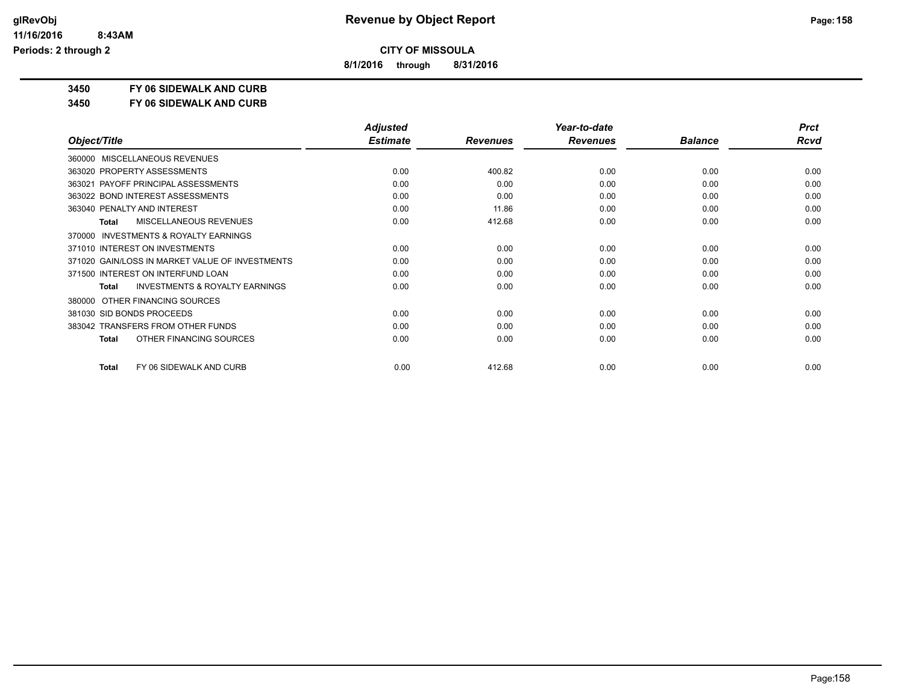**8/1/2016 through 8/31/2016**

**3450 FY 06 SIDEWALK AND CURB**

**3450 FY 06 SIDEWALK AND CURB**

|                                                           | <b>Adjusted</b> |                 | Year-to-date    |                | <b>Prct</b> |
|-----------------------------------------------------------|-----------------|-----------------|-----------------|----------------|-------------|
| Object/Title                                              | <b>Estimate</b> | <b>Revenues</b> | <b>Revenues</b> | <b>Balance</b> | <b>Rcvd</b> |
| 360000 MISCELLANEOUS REVENUES                             |                 |                 |                 |                |             |
| 363020 PROPERTY ASSESSMENTS                               | 0.00            | 400.82          | 0.00            | 0.00           | 0.00        |
| 363021 PAYOFF PRINCIPAL ASSESSMENTS                       | 0.00            | 0.00            | 0.00            | 0.00           | 0.00        |
| 363022 BOND INTEREST ASSESSMENTS                          | 0.00            | 0.00            | 0.00            | 0.00           | 0.00        |
| 363040 PENALTY AND INTEREST                               | 0.00            | 11.86           | 0.00            | 0.00           | 0.00        |
| MISCELLANEOUS REVENUES<br><b>Total</b>                    | 0.00            | 412.68          | 0.00            | 0.00           | 0.00        |
| <b>INVESTMENTS &amp; ROYALTY EARNINGS</b><br>370000       |                 |                 |                 |                |             |
| 371010 INTEREST ON INVESTMENTS                            | 0.00            | 0.00            | 0.00            | 0.00           | 0.00        |
| 371020 GAIN/LOSS IN MARKET VALUE OF INVESTMENTS           | 0.00            | 0.00            | 0.00            | 0.00           | 0.00        |
| 371500 INTEREST ON INTERFUND LOAN                         | 0.00            | 0.00            | 0.00            | 0.00           | 0.00        |
| <b>INVESTMENTS &amp; ROYALTY EARNINGS</b><br><b>Total</b> | 0.00            | 0.00            | 0.00            | 0.00           | 0.00        |
| OTHER FINANCING SOURCES<br>380000                         |                 |                 |                 |                |             |
| 381030 SID BONDS PROCEEDS                                 | 0.00            | 0.00            | 0.00            | 0.00           | 0.00        |
| 383042 TRANSFERS FROM OTHER FUNDS                         | 0.00            | 0.00            | 0.00            | 0.00           | 0.00        |
| OTHER FINANCING SOURCES<br><b>Total</b>                   | 0.00            | 0.00            | 0.00            | 0.00           | 0.00        |
| FY 06 SIDEWALK AND CURB<br>Total                          | 0.00            | 412.68          | 0.00            | 0.00           | 0.00        |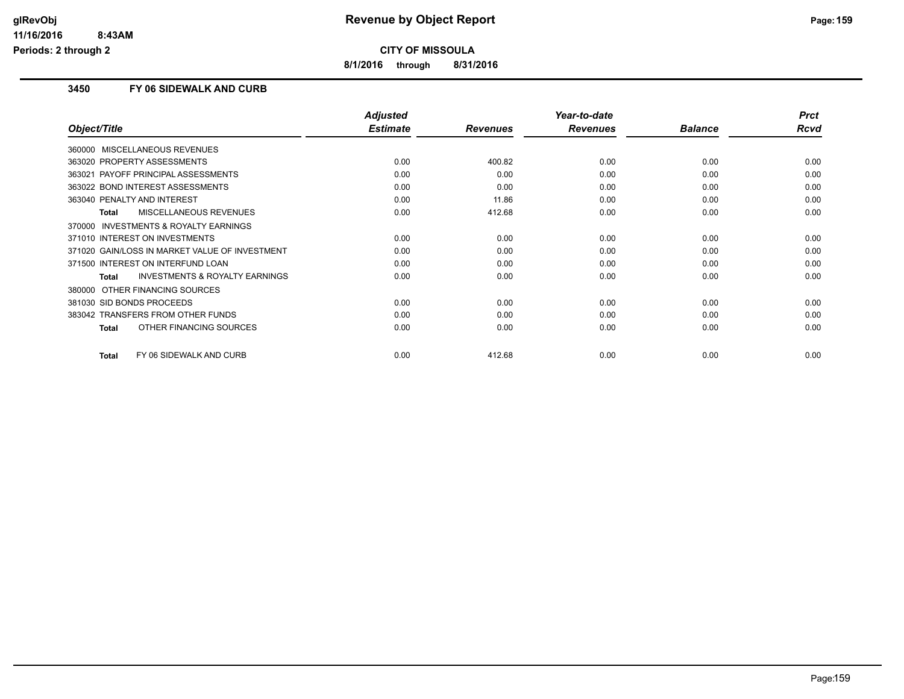**CITY OF MISSOULA**

**8/1/2016 through 8/31/2016**

## **3450 FY 06 SIDEWALK AND CURB**

|                                                           | <b>Adjusted</b> |                 | Year-to-date    |                | <b>Prct</b> |
|-----------------------------------------------------------|-----------------|-----------------|-----------------|----------------|-------------|
| Object/Title                                              | <b>Estimate</b> | <b>Revenues</b> | <b>Revenues</b> | <b>Balance</b> | Rcvd        |
| 360000 MISCELLANEOUS REVENUES                             |                 |                 |                 |                |             |
| 363020 PROPERTY ASSESSMENTS                               | 0.00            | 400.82          | 0.00            | 0.00           | 0.00        |
| 363021 PAYOFF PRINCIPAL ASSESSMENTS                       | 0.00            | 0.00            | 0.00            | 0.00           | 0.00        |
| 363022 BOND INTEREST ASSESSMENTS                          | 0.00            | 0.00            | 0.00            | 0.00           | 0.00        |
| 363040 PENALTY AND INTEREST                               | 0.00            | 11.86           | 0.00            | 0.00           | 0.00        |
| <b>MISCELLANEOUS REVENUES</b><br><b>Total</b>             | 0.00            | 412.68          | 0.00            | 0.00           | 0.00        |
| 370000 INVESTMENTS & ROYALTY EARNINGS                     |                 |                 |                 |                |             |
| 371010 INTEREST ON INVESTMENTS                            | 0.00            | 0.00            | 0.00            | 0.00           | 0.00        |
| 371020 GAIN/LOSS IN MARKET VALUE OF INVESTMENT            | 0.00            | 0.00            | 0.00            | 0.00           | 0.00        |
| 371500 INTEREST ON INTERFUND LOAN                         | 0.00            | 0.00            | 0.00            | 0.00           | 0.00        |
| <b>INVESTMENTS &amp; ROYALTY EARNINGS</b><br><b>Total</b> | 0.00            | 0.00            | 0.00            | 0.00           | 0.00        |
| 380000 OTHER FINANCING SOURCES                            |                 |                 |                 |                |             |
| 381030 SID BONDS PROCEEDS                                 | 0.00            | 0.00            | 0.00            | 0.00           | 0.00        |
| 383042 TRANSFERS FROM OTHER FUNDS                         | 0.00            | 0.00            | 0.00            | 0.00           | 0.00        |
| OTHER FINANCING SOURCES<br><b>Total</b>                   | 0.00            | 0.00            | 0.00            | 0.00           | 0.00        |
| FY 06 SIDEWALK AND CURB<br><b>Total</b>                   | 0.00            | 412.68          | 0.00            | 0.00           | 0.00        |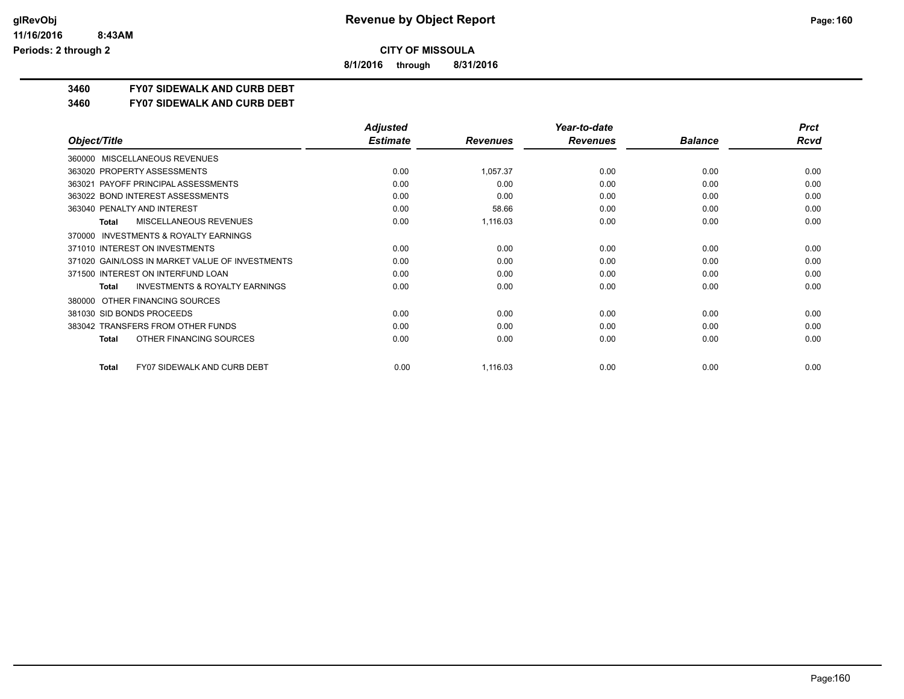**8/1/2016 through 8/31/2016**

**3460 FY07 SIDEWALK AND CURB DEBT**

#### **3460 FY07 SIDEWALK AND CURB DEBT**

|                                                     | <b>Adjusted</b> |                 | Year-to-date    |                | <b>Prct</b> |
|-----------------------------------------------------|-----------------|-----------------|-----------------|----------------|-------------|
| Object/Title                                        | <b>Estimate</b> | <b>Revenues</b> | <b>Revenues</b> | <b>Balance</b> | Rcvd        |
| 360000 MISCELLANEOUS REVENUES                       |                 |                 |                 |                |             |
| 363020 PROPERTY ASSESSMENTS                         | 0.00            | 1,057.37        | 0.00            | 0.00           | 0.00        |
| 363021 PAYOFF PRINCIPAL ASSESSMENTS                 | 0.00            | 0.00            | 0.00            | 0.00           | 0.00        |
| 363022 BOND INTEREST ASSESSMENTS                    | 0.00            | 0.00            | 0.00            | 0.00           | 0.00        |
| 363040 PENALTY AND INTEREST                         | 0.00            | 58.66           | 0.00            | 0.00           | 0.00        |
| <b>MISCELLANEOUS REVENUES</b><br><b>Total</b>       | 0.00            | 1,116.03        | 0.00            | 0.00           | 0.00        |
| <b>INVESTMENTS &amp; ROYALTY EARNINGS</b><br>370000 |                 |                 |                 |                |             |
| 371010 INTEREST ON INVESTMENTS                      | 0.00            | 0.00            | 0.00            | 0.00           | 0.00        |
| 371020 GAIN/LOSS IN MARKET VALUE OF INVESTMENTS     | 0.00            | 0.00            | 0.00            | 0.00           | 0.00        |
| 371500 INTEREST ON INTERFUND LOAN                   | 0.00            | 0.00            | 0.00            | 0.00           | 0.00        |
| <b>INVESTMENTS &amp; ROYALTY EARNINGS</b><br>Total  | 0.00            | 0.00            | 0.00            | 0.00           | 0.00        |
| OTHER FINANCING SOURCES<br>380000                   |                 |                 |                 |                |             |
| 381030 SID BONDS PROCEEDS                           | 0.00            | 0.00            | 0.00            | 0.00           | 0.00        |
| 383042 TRANSFERS FROM OTHER FUNDS                   | 0.00            | 0.00            | 0.00            | 0.00           | 0.00        |
| OTHER FINANCING SOURCES<br>Total                    | 0.00            | 0.00            | 0.00            | 0.00           | 0.00        |
| <b>FY07 SIDEWALK AND CURB DEBT</b><br><b>Total</b>  | 0.00            | 1,116.03        | 0.00            | 0.00           | 0.00        |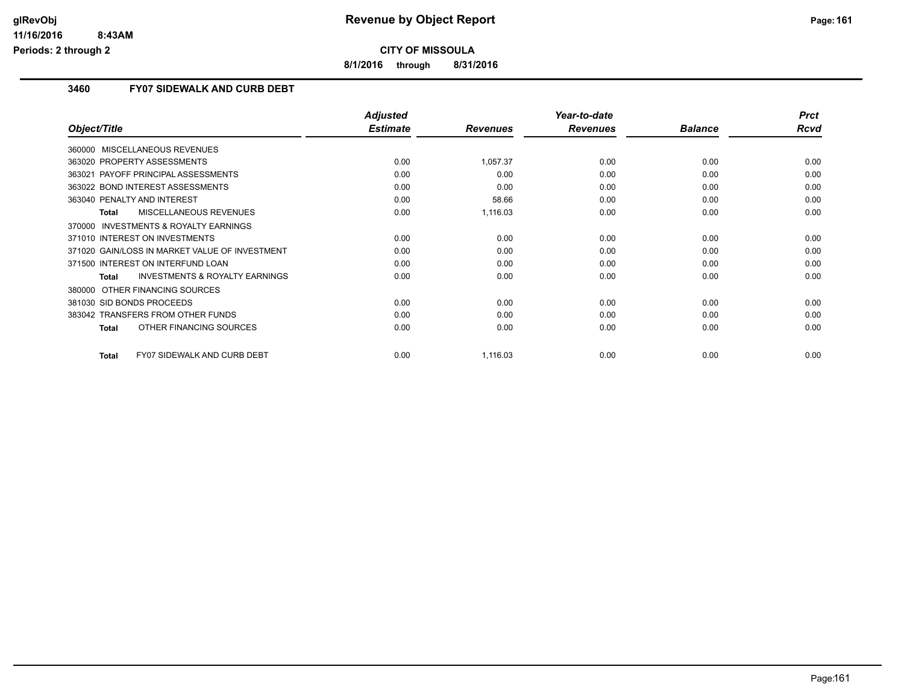**8:43AM**

**CITY OF MISSOULA**

**8/1/2016 through 8/31/2016**

## **3460 FY07 SIDEWALK AND CURB DEBT**

|                                                           | <b>Adjusted</b> |                 | Year-to-date    |                | <b>Prct</b> |
|-----------------------------------------------------------|-----------------|-----------------|-----------------|----------------|-------------|
| Object/Title                                              | <b>Estimate</b> | <b>Revenues</b> | <b>Revenues</b> | <b>Balance</b> | Rcvd        |
| 360000 MISCELLANEOUS REVENUES                             |                 |                 |                 |                |             |
| 363020 PROPERTY ASSESSMENTS                               | 0.00            | 1,057.37        | 0.00            | 0.00           | 0.00        |
| 363021 PAYOFF PRINCIPAL ASSESSMENTS                       | 0.00            | 0.00            | 0.00            | 0.00           | 0.00        |
| 363022 BOND INTEREST ASSESSMENTS                          | 0.00            | 0.00            | 0.00            | 0.00           | 0.00        |
| 363040 PENALTY AND INTEREST                               | 0.00            | 58.66           | 0.00            | 0.00           | 0.00        |
| <b>MISCELLANEOUS REVENUES</b><br>Total                    | 0.00            | 1,116.03        | 0.00            | 0.00           | 0.00        |
| 370000 INVESTMENTS & ROYALTY EARNINGS                     |                 |                 |                 |                |             |
| 371010 INTEREST ON INVESTMENTS                            | 0.00            | 0.00            | 0.00            | 0.00           | 0.00        |
| 371020 GAIN/LOSS IN MARKET VALUE OF INVESTMENT            | 0.00            | 0.00            | 0.00            | 0.00           | 0.00        |
| 371500 INTEREST ON INTERFUND LOAN                         | 0.00            | 0.00            | 0.00            | 0.00           | 0.00        |
| <b>INVESTMENTS &amp; ROYALTY EARNINGS</b><br><b>Total</b> | 0.00            | 0.00            | 0.00            | 0.00           | 0.00        |
| 380000 OTHER FINANCING SOURCES                            |                 |                 |                 |                |             |
| 381030 SID BONDS PROCEEDS                                 | 0.00            | 0.00            | 0.00            | 0.00           | 0.00        |
| 383042 TRANSFERS FROM OTHER FUNDS                         | 0.00            | 0.00            | 0.00            | 0.00           | 0.00        |
| OTHER FINANCING SOURCES<br><b>Total</b>                   | 0.00            | 0.00            | 0.00            | 0.00           | 0.00        |
| <b>FY07 SIDEWALK AND CURB DEBT</b><br><b>Total</b>        | 0.00            | 1,116.03        | 0.00            | 0.00           | 0.00        |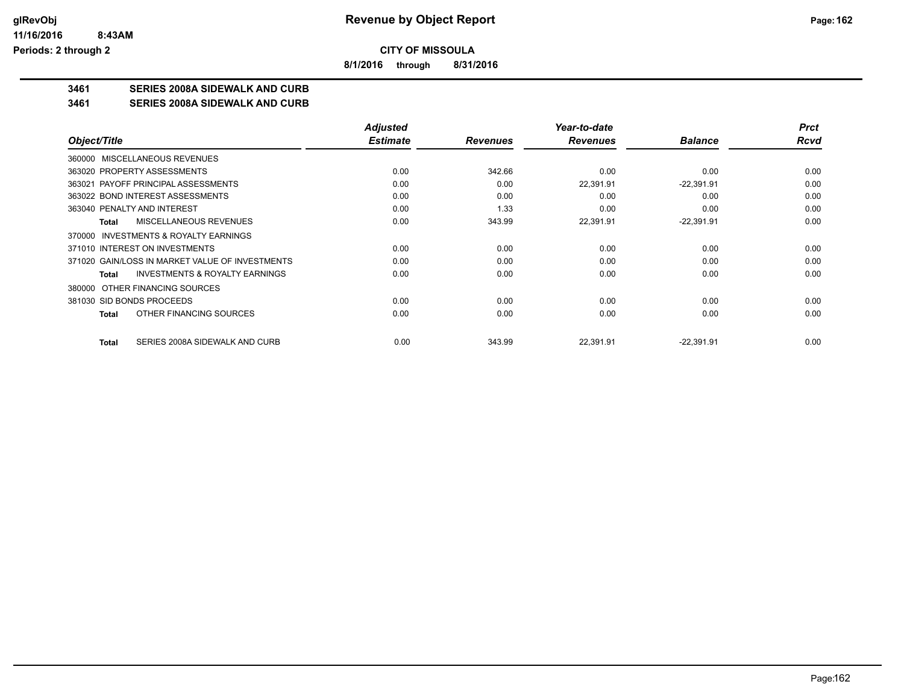**8/1/2016 through 8/31/2016**

## **3461 SERIES 2008A SIDEWALK AND CURB**

### **3461 SERIES 2008A SIDEWALK AND CURB**

|                                                    | <b>Adjusted</b> |                 | Year-to-date    |                | <b>Prct</b> |
|----------------------------------------------------|-----------------|-----------------|-----------------|----------------|-------------|
| Object/Title                                       | <b>Estimate</b> | <b>Revenues</b> | <b>Revenues</b> | <b>Balance</b> | Rcvd        |
| 360000 MISCELLANEOUS REVENUES                      |                 |                 |                 |                |             |
| 363020 PROPERTY ASSESSMENTS                        | 0.00            | 342.66          | 0.00            | 0.00           | 0.00        |
| PAYOFF PRINCIPAL ASSESSMENTS<br>363021             | 0.00            | 0.00            | 22,391.91       | $-22,391.91$   | 0.00        |
| 363022 BOND INTEREST ASSESSMENTS                   | 0.00            | 0.00            | 0.00            | 0.00           | 0.00        |
| 363040 PENALTY AND INTEREST                        | 0.00            | 1.33            | 0.00            | 0.00           | 0.00        |
| MISCELLANEOUS REVENUES<br>Total                    | 0.00            | 343.99          | 22,391.91       | $-22,391.91$   | 0.00        |
| 370000 INVESTMENTS & ROYALTY EARNINGS              |                 |                 |                 |                |             |
| 371010 INTEREST ON INVESTMENTS                     | 0.00            | 0.00            | 0.00            | 0.00           | 0.00        |
| 371020 GAIN/LOSS IN MARKET VALUE OF INVESTMENTS    | 0.00            | 0.00            | 0.00            | 0.00           | 0.00        |
| <b>INVESTMENTS &amp; ROYALTY EARNINGS</b><br>Total | 0.00            | 0.00            | 0.00            | 0.00           | 0.00        |
| OTHER FINANCING SOURCES<br>380000                  |                 |                 |                 |                |             |
| 381030 SID BONDS PROCEEDS                          | 0.00            | 0.00            | 0.00            | 0.00           | 0.00        |
| OTHER FINANCING SOURCES<br>Total                   | 0.00            | 0.00            | 0.00            | 0.00           | 0.00        |
| SERIES 2008A SIDEWALK AND CURB<br><b>Total</b>     | 0.00            | 343.99          | 22,391.91       | $-22,391.91$   | 0.00        |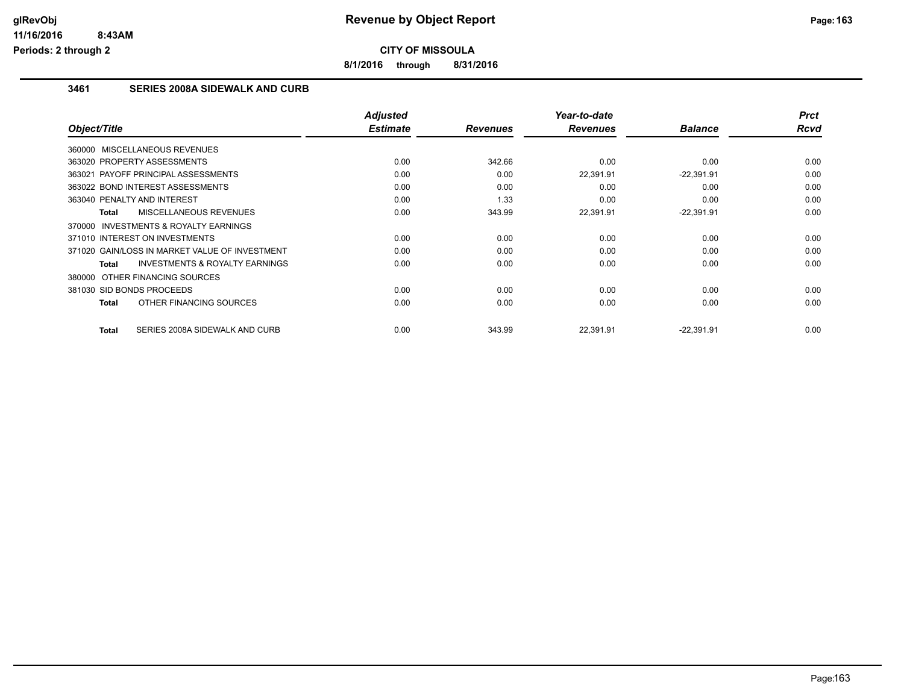**8/1/2016 through 8/31/2016**

## **3461 SERIES 2008A SIDEWALK AND CURB**

| Object/Title                                              | <b>Adjusted</b><br><b>Estimate</b> | <b>Revenues</b> | Year-to-date<br><b>Revenues</b> | <b>Balance</b> | <b>Prct</b><br><b>Rcvd</b> |
|-----------------------------------------------------------|------------------------------------|-----------------|---------------------------------|----------------|----------------------------|
| 360000 MISCELLANEOUS REVENUES                             |                                    |                 |                                 |                |                            |
| 363020 PROPERTY ASSESSMENTS                               | 0.00                               | 342.66          | 0.00                            | 0.00           | 0.00                       |
| 363021 PAYOFF PRINCIPAL ASSESSMENTS                       | 0.00                               | 0.00            | 22,391.91                       | $-22,391.91$   | 0.00                       |
| 363022 BOND INTEREST ASSESSMENTS                          | 0.00                               | 0.00            | 0.00                            | 0.00           | 0.00                       |
| 363040 PENALTY AND INTEREST                               | 0.00                               | 1.33            | 0.00                            | 0.00           | 0.00                       |
| MISCELLANEOUS REVENUES<br><b>Total</b>                    | 0.00                               | 343.99          | 22,391.91                       | $-22,391.91$   | 0.00                       |
| 370000 INVESTMENTS & ROYALTY EARNINGS                     |                                    |                 |                                 |                |                            |
| 371010 INTEREST ON INVESTMENTS                            | 0.00                               | 0.00            | 0.00                            | 0.00           | 0.00                       |
| 371020 GAIN/LOSS IN MARKET VALUE OF INVESTMENT            | 0.00                               | 0.00            | 0.00                            | 0.00           | 0.00                       |
| <b>INVESTMENTS &amp; ROYALTY EARNINGS</b><br><b>Total</b> | 0.00                               | 0.00            | 0.00                            | 0.00           | 0.00                       |
| 380000 OTHER FINANCING SOURCES                            |                                    |                 |                                 |                |                            |
| 381030 SID BONDS PROCEEDS                                 | 0.00                               | 0.00            | 0.00                            | 0.00           | 0.00                       |
| OTHER FINANCING SOURCES<br><b>Total</b>                   | 0.00                               | 0.00            | 0.00                            | 0.00           | 0.00                       |
| SERIES 2008A SIDEWALK AND CURB<br><b>Total</b>            | 0.00                               | 343.99          | 22.391.91                       | $-22.391.91$   | 0.00                       |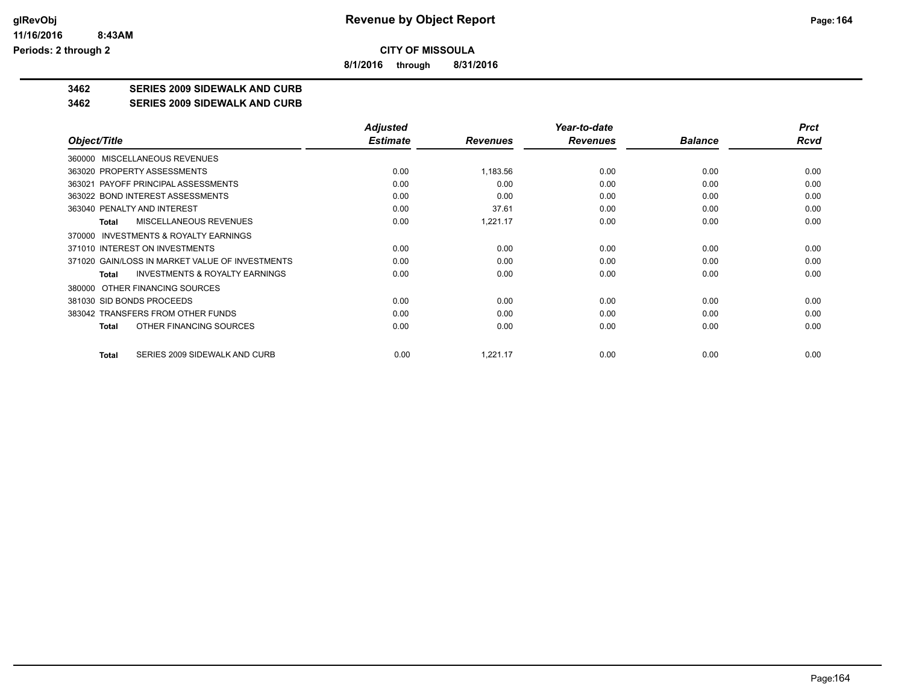**8/1/2016 through 8/31/2016**

## **3462 SERIES 2009 SIDEWALK AND CURB**

## **3462 SERIES 2009 SIDEWALK AND CURB**

|                                                           | <b>Adjusted</b> |                 | Year-to-date    |                | <b>Prct</b> |
|-----------------------------------------------------------|-----------------|-----------------|-----------------|----------------|-------------|
| Object/Title                                              | <b>Estimate</b> | <b>Revenues</b> | <b>Revenues</b> | <b>Balance</b> | Rcvd        |
| 360000 MISCELLANEOUS REVENUES                             |                 |                 |                 |                |             |
| 363020 PROPERTY ASSESSMENTS                               | 0.00            | 1,183.56        | 0.00            | 0.00           | 0.00        |
| 363021 PAYOFF PRINCIPAL ASSESSMENTS                       | 0.00            | 0.00            | 0.00            | 0.00           | 0.00        |
| 363022 BOND INTEREST ASSESSMENTS                          | 0.00            | 0.00            | 0.00            | 0.00           | 0.00        |
| 363040 PENALTY AND INTEREST                               | 0.00            | 37.61           | 0.00            | 0.00           | 0.00        |
| MISCELLANEOUS REVENUES<br>Total                           | 0.00            | 1,221.17        | 0.00            | 0.00           | 0.00        |
| INVESTMENTS & ROYALTY EARNINGS<br>370000                  |                 |                 |                 |                |             |
| 371010 INTEREST ON INVESTMENTS                            | 0.00            | 0.00            | 0.00            | 0.00           | 0.00        |
| 371020 GAIN/LOSS IN MARKET VALUE OF INVESTMENTS           | 0.00            | 0.00            | 0.00            | 0.00           | 0.00        |
| <b>INVESTMENTS &amp; ROYALTY EARNINGS</b><br><b>Total</b> | 0.00            | 0.00            | 0.00            | 0.00           | 0.00        |
| 380000 OTHER FINANCING SOURCES                            |                 |                 |                 |                |             |
| 381030 SID BONDS PROCEEDS                                 | 0.00            | 0.00            | 0.00            | 0.00           | 0.00        |
| 383042 TRANSFERS FROM OTHER FUNDS                         | 0.00            | 0.00            | 0.00            | 0.00           | 0.00        |
| OTHER FINANCING SOURCES<br>Total                          | 0.00            | 0.00            | 0.00            | 0.00           | 0.00        |
| SERIES 2009 SIDEWALK AND CURB<br>Total                    | 0.00            | 1,221.17        | 0.00            | 0.00           | 0.00        |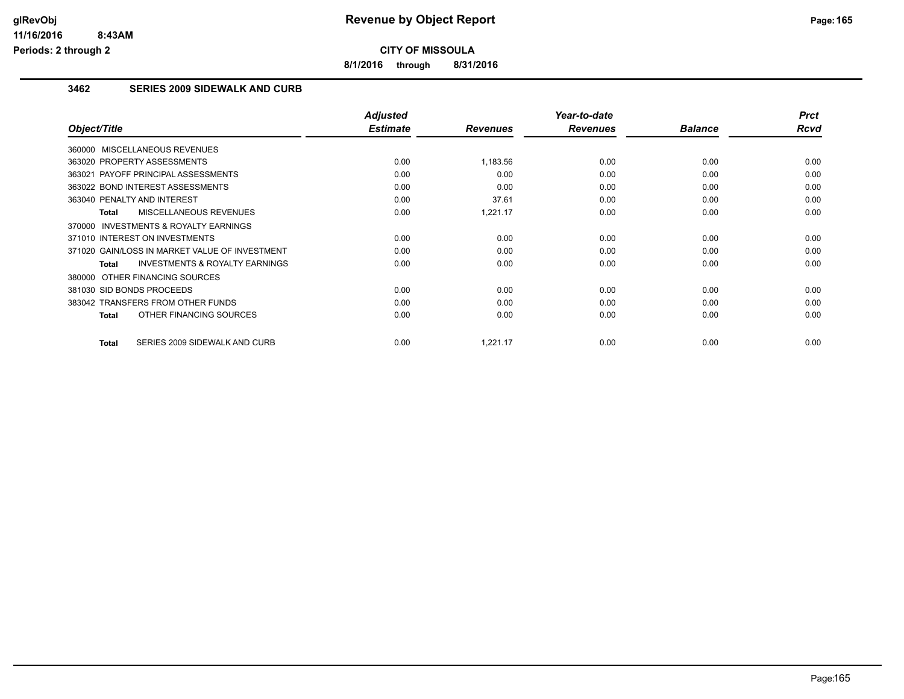**8/1/2016 through 8/31/2016**

## **3462 SERIES 2009 SIDEWALK AND CURB**

|                                                     | <b>Adjusted</b> |                 | Year-to-date    |                | <b>Prct</b> |
|-----------------------------------------------------|-----------------|-----------------|-----------------|----------------|-------------|
| Object/Title                                        | <b>Estimate</b> | <b>Revenues</b> | <b>Revenues</b> | <b>Balance</b> | Rcvd        |
| 360000 MISCELLANEOUS REVENUES                       |                 |                 |                 |                |             |
| 363020 PROPERTY ASSESSMENTS                         | 0.00            | 1,183.56        | 0.00            | 0.00           | 0.00        |
| 363021 PAYOFF PRINCIPAL ASSESSMENTS                 | 0.00            | 0.00            | 0.00            | 0.00           | 0.00        |
| 363022 BOND INTEREST ASSESSMENTS                    | 0.00            | 0.00            | 0.00            | 0.00           | 0.00        |
| 363040 PENALTY AND INTEREST                         | 0.00            | 37.61           | 0.00            | 0.00           | 0.00        |
| <b>MISCELLANEOUS REVENUES</b><br>Total              | 0.00            | 1,221.17        | 0.00            | 0.00           | 0.00        |
| <b>INVESTMENTS &amp; ROYALTY EARNINGS</b><br>370000 |                 |                 |                 |                |             |
| 371010 INTEREST ON INVESTMENTS                      | 0.00            | 0.00            | 0.00            | 0.00           | 0.00        |
| 371020 GAIN/LOSS IN MARKET VALUE OF INVESTMENT      | 0.00            | 0.00            | 0.00            | 0.00           | 0.00        |
| <b>INVESTMENTS &amp; ROYALTY EARNINGS</b><br>Total  | 0.00            | 0.00            | 0.00            | 0.00           | 0.00        |
| OTHER FINANCING SOURCES<br>380000                   |                 |                 |                 |                |             |
| 381030 SID BONDS PROCEEDS                           | 0.00            | 0.00            | 0.00            | 0.00           | 0.00        |
| 383042 TRANSFERS FROM OTHER FUNDS                   | 0.00            | 0.00            | 0.00            | 0.00           | 0.00        |
| OTHER FINANCING SOURCES<br>Total                    | 0.00            | 0.00            | 0.00            | 0.00           | 0.00        |
| SERIES 2009 SIDEWALK AND CURB<br><b>Total</b>       | 0.00            | 1,221.17        | 0.00            | 0.00           | 0.00        |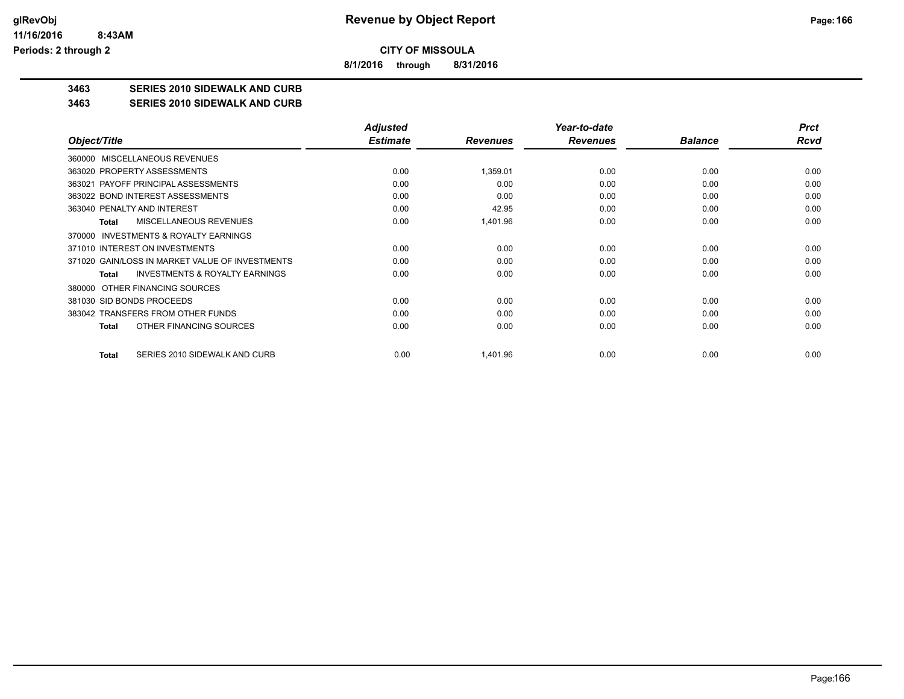**8/1/2016 through 8/31/2016**

## **3463 SERIES 2010 SIDEWALK AND CURB**

## **3463 SERIES 2010 SIDEWALK AND CURB**

|                                                    | <b>Adjusted</b> |                 | Year-to-date    |                | <b>Prct</b> |
|----------------------------------------------------|-----------------|-----------------|-----------------|----------------|-------------|
| Object/Title                                       | <b>Estimate</b> | <b>Revenues</b> | <b>Revenues</b> | <b>Balance</b> | Rcvd        |
| 360000 MISCELLANEOUS REVENUES                      |                 |                 |                 |                |             |
| 363020 PROPERTY ASSESSMENTS                        | 0.00            | 1,359.01        | 0.00            | 0.00           | 0.00        |
| 363021 PAYOFF PRINCIPAL ASSESSMENTS                | 0.00            | 0.00            | 0.00            | 0.00           | 0.00        |
| 363022 BOND INTEREST ASSESSMENTS                   | 0.00            | 0.00            | 0.00            | 0.00           | 0.00        |
| 363040 PENALTY AND INTEREST                        | 0.00            | 42.95           | 0.00            | 0.00           | 0.00        |
| <b>MISCELLANEOUS REVENUES</b><br>Total             | 0.00            | 1,401.96        | 0.00            | 0.00           | 0.00        |
| INVESTMENTS & ROYALTY EARNINGS<br>370000           |                 |                 |                 |                |             |
| 371010 INTEREST ON INVESTMENTS                     | 0.00            | 0.00            | 0.00            | 0.00           | 0.00        |
| 371020 GAIN/LOSS IN MARKET VALUE OF INVESTMENTS    | 0.00            | 0.00            | 0.00            | 0.00           | 0.00        |
| <b>INVESTMENTS &amp; ROYALTY EARNINGS</b><br>Total | 0.00            | 0.00            | 0.00            | 0.00           | 0.00        |
| 380000 OTHER FINANCING SOURCES                     |                 |                 |                 |                |             |
| 381030 SID BONDS PROCEEDS                          | 0.00            | 0.00            | 0.00            | 0.00           | 0.00        |
| 383042 TRANSFERS FROM OTHER FUNDS                  | 0.00            | 0.00            | 0.00            | 0.00           | 0.00        |
| OTHER FINANCING SOURCES<br>Total                   | 0.00            | 0.00            | 0.00            | 0.00           | 0.00        |
| SERIES 2010 SIDEWALK AND CURB<br>Total             | 0.00            | 1,401.96        | 0.00            | 0.00           | 0.00        |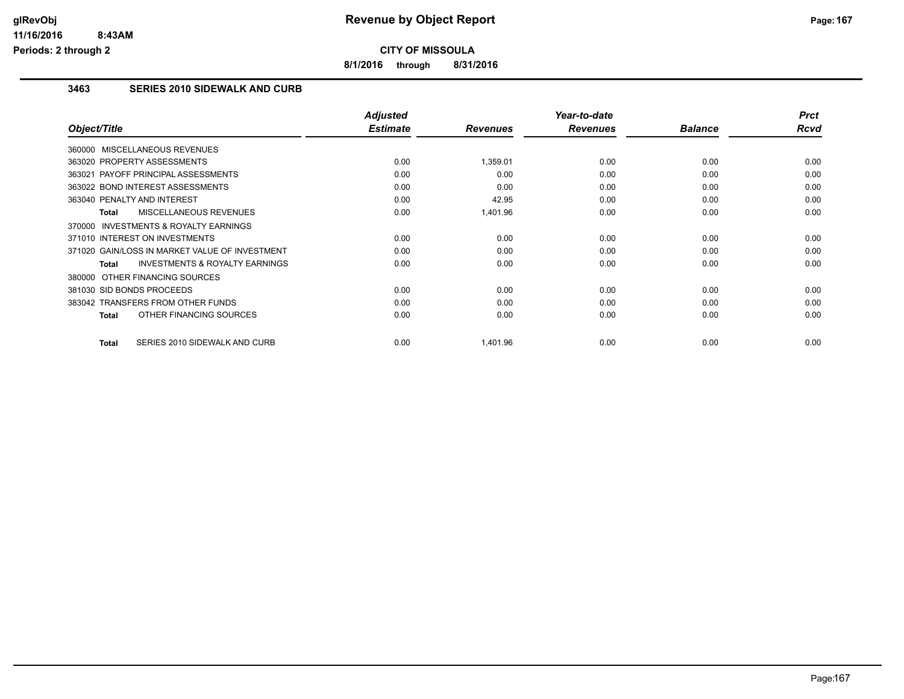**8/1/2016 through 8/31/2016**

## **3463 SERIES 2010 SIDEWALK AND CURB**

|                                                    | <b>Adjusted</b> |                 | Year-to-date    |                | <b>Prct</b> |
|----------------------------------------------------|-----------------|-----------------|-----------------|----------------|-------------|
| Object/Title                                       | <b>Estimate</b> | <b>Revenues</b> | <b>Revenues</b> | <b>Balance</b> | Rcvd        |
| 360000 MISCELLANEOUS REVENUES                      |                 |                 |                 |                |             |
| 363020 PROPERTY ASSESSMENTS                        | 0.00            | 1,359.01        | 0.00            | 0.00           | 0.00        |
| 363021 PAYOFF PRINCIPAL ASSESSMENTS                | 0.00            | 0.00            | 0.00            | 0.00           | 0.00        |
| 363022 BOND INTEREST ASSESSMENTS                   | 0.00            | 0.00            | 0.00            | 0.00           | 0.00        |
| 363040 PENALTY AND INTEREST                        | 0.00            | 42.95           | 0.00            | 0.00           | 0.00        |
| <b>MISCELLANEOUS REVENUES</b><br><b>Total</b>      | 0.00            | 1,401.96        | 0.00            | 0.00           | 0.00        |
| INVESTMENTS & ROYALTY EARNINGS<br>370000           |                 |                 |                 |                |             |
| 371010 INTEREST ON INVESTMENTS                     | 0.00            | 0.00            | 0.00            | 0.00           | 0.00        |
| 371020 GAIN/LOSS IN MARKET VALUE OF INVESTMENT     | 0.00            | 0.00            | 0.00            | 0.00           | 0.00        |
| <b>INVESTMENTS &amp; ROYALTY EARNINGS</b><br>Total | 0.00            | 0.00            | 0.00            | 0.00           | 0.00        |
| OTHER FINANCING SOURCES<br>380000                  |                 |                 |                 |                |             |
| 381030 SID BONDS PROCEEDS                          | 0.00            | 0.00            | 0.00            | 0.00           | 0.00        |
| 383042 TRANSFERS FROM OTHER FUNDS                  | 0.00            | 0.00            | 0.00            | 0.00           | 0.00        |
| OTHER FINANCING SOURCES<br>Total                   | 0.00            | 0.00            | 0.00            | 0.00           | 0.00        |
| SERIES 2010 SIDEWALK AND CURB<br><b>Total</b>      | 0.00            | 1,401.96        | 0.00            | 0.00           | 0.00        |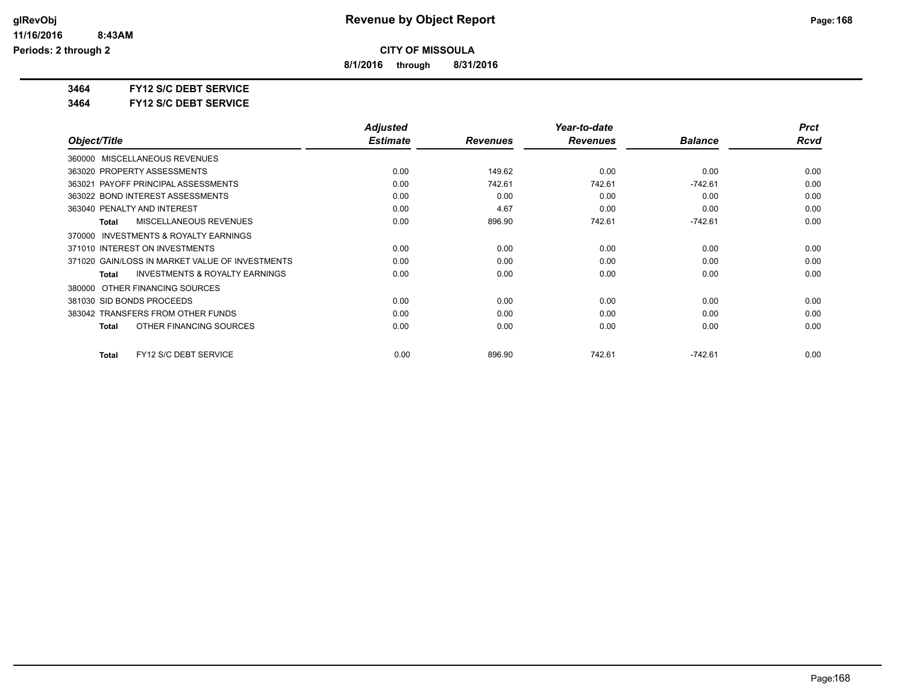**8/1/2016 through 8/31/2016**

**3464 FY12 S/C DEBT SERVICE**

**3464 FY12 S/C DEBT SERVICE**

|                                                           | <b>Adjusted</b> |                 | Year-to-date    |                | <b>Prct</b> |
|-----------------------------------------------------------|-----------------|-----------------|-----------------|----------------|-------------|
| Object/Title                                              | <b>Estimate</b> | <b>Revenues</b> | <b>Revenues</b> | <b>Balance</b> | <b>Rcvd</b> |
| 360000 MISCELLANEOUS REVENUES                             |                 |                 |                 |                |             |
| 363020 PROPERTY ASSESSMENTS                               | 0.00            | 149.62          | 0.00            | 0.00           | 0.00        |
| 363021 PAYOFF PRINCIPAL ASSESSMENTS                       | 0.00            | 742.61          | 742.61          | $-742.61$      | 0.00        |
| 363022 BOND INTEREST ASSESSMENTS                          | 0.00            | 0.00            | 0.00            | 0.00           | 0.00        |
| 363040 PENALTY AND INTEREST                               | 0.00            | 4.67            | 0.00            | 0.00           | 0.00        |
| MISCELLANEOUS REVENUES<br><b>Total</b>                    | 0.00            | 896.90          | 742.61          | $-742.61$      | 0.00        |
| 370000 INVESTMENTS & ROYALTY EARNINGS                     |                 |                 |                 |                |             |
| 371010 INTEREST ON INVESTMENTS                            | 0.00            | 0.00            | 0.00            | 0.00           | 0.00        |
| 371020 GAIN/LOSS IN MARKET VALUE OF INVESTMENTS           | 0.00            | 0.00            | 0.00            | 0.00           | 0.00        |
| <b>INVESTMENTS &amp; ROYALTY EARNINGS</b><br><b>Total</b> | 0.00            | 0.00            | 0.00            | 0.00           | 0.00        |
| OTHER FINANCING SOURCES<br>380000                         |                 |                 |                 |                |             |
| 381030 SID BONDS PROCEEDS                                 | 0.00            | 0.00            | 0.00            | 0.00           | 0.00        |
| 383042 TRANSFERS FROM OTHER FUNDS                         | 0.00            | 0.00            | 0.00            | 0.00           | 0.00        |
| OTHER FINANCING SOURCES<br><b>Total</b>                   | 0.00            | 0.00            | 0.00            | 0.00           | 0.00        |
| FY12 S/C DEBT SERVICE<br><b>Total</b>                     | 0.00            | 896.90          | 742.61          | $-742.61$      | 0.00        |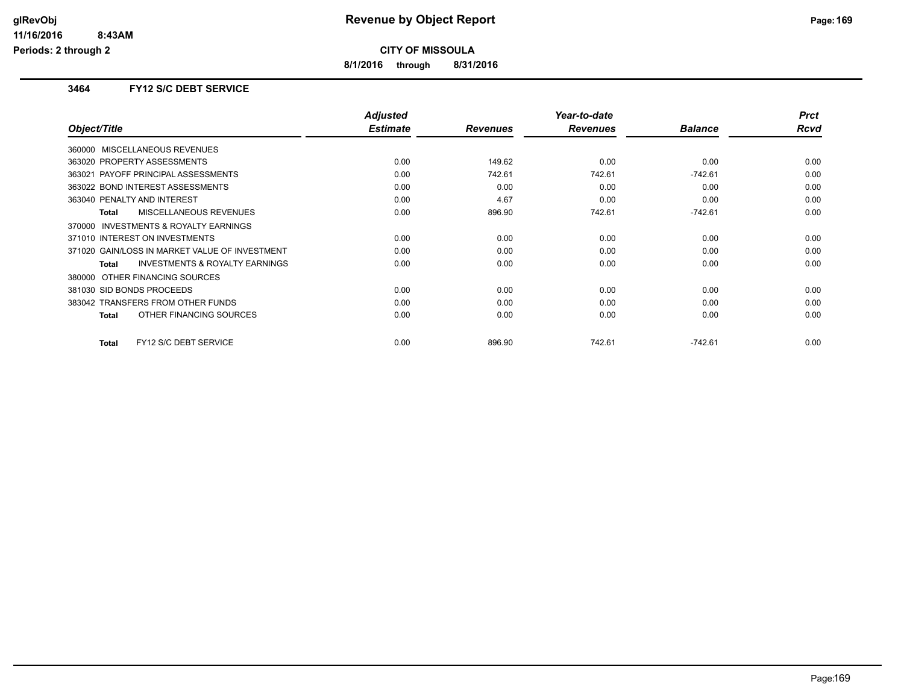**8/1/2016 through 8/31/2016**

## **3464 FY12 S/C DEBT SERVICE**

|                                                     | <b>Adjusted</b> |                 | Year-to-date    |                | <b>Prct</b> |
|-----------------------------------------------------|-----------------|-----------------|-----------------|----------------|-------------|
| Object/Title                                        | <b>Estimate</b> | <b>Revenues</b> | <b>Revenues</b> | <b>Balance</b> | Rcvd        |
| 360000 MISCELLANEOUS REVENUES                       |                 |                 |                 |                |             |
| 363020 PROPERTY ASSESSMENTS                         | 0.00            | 149.62          | 0.00            | 0.00           | 0.00        |
| 363021 PAYOFF PRINCIPAL ASSESSMENTS                 | 0.00            | 742.61          | 742.61          | $-742.61$      | 0.00        |
| 363022 BOND INTEREST ASSESSMENTS                    | 0.00            | 0.00            | 0.00            | 0.00           | 0.00        |
| 363040 PENALTY AND INTEREST                         | 0.00            | 4.67            | 0.00            | 0.00           | 0.00        |
| MISCELLANEOUS REVENUES<br>Total                     | 0.00            | 896.90          | 742.61          | $-742.61$      | 0.00        |
| <b>INVESTMENTS &amp; ROYALTY EARNINGS</b><br>370000 |                 |                 |                 |                |             |
| 371010 INTEREST ON INVESTMENTS                      | 0.00            | 0.00            | 0.00            | 0.00           | 0.00        |
| 371020 GAIN/LOSS IN MARKET VALUE OF INVESTMENT      | 0.00            | 0.00            | 0.00            | 0.00           | 0.00        |
| <b>INVESTMENTS &amp; ROYALTY EARNINGS</b><br>Total  | 0.00            | 0.00            | 0.00            | 0.00           | 0.00        |
| 380000 OTHER FINANCING SOURCES                      |                 |                 |                 |                |             |
| 381030 SID BONDS PROCEEDS                           | 0.00            | 0.00            | 0.00            | 0.00           | 0.00        |
| 383042 TRANSFERS FROM OTHER FUNDS                   | 0.00            | 0.00            | 0.00            | 0.00           | 0.00        |
| OTHER FINANCING SOURCES<br>Total                    | 0.00            | 0.00            | 0.00            | 0.00           | 0.00        |
| FY12 S/C DEBT SERVICE<br>Total                      | 0.00            | 896.90          | 742.61          | $-742.61$      | 0.00        |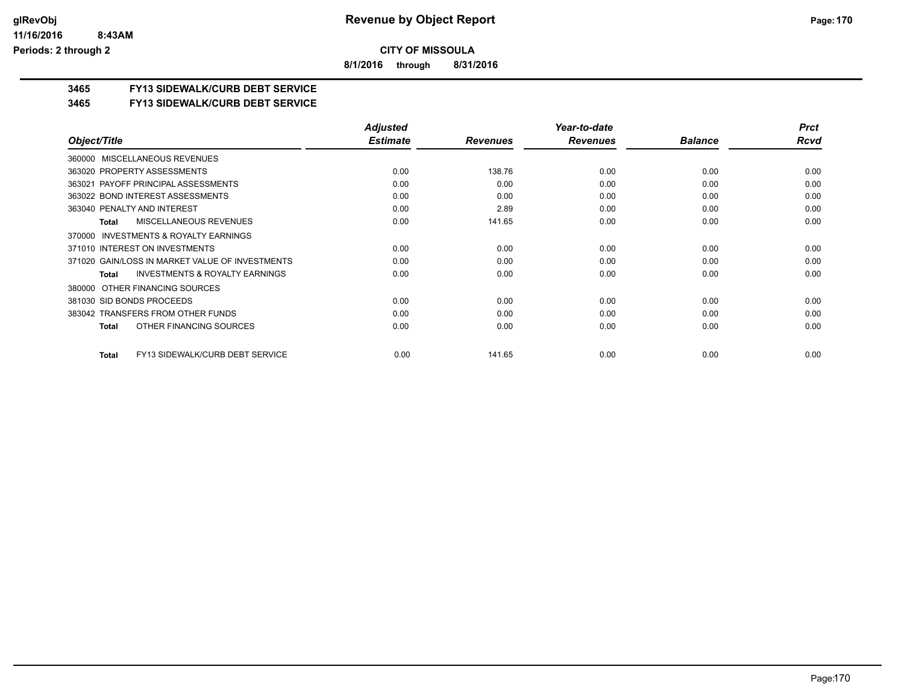**8/1/2016 through 8/31/2016**

## **3465 FY13 SIDEWALK/CURB DEBT SERVICE**

### **3465 FY13 SIDEWALK/CURB DEBT SERVICE**

|                                                           | <b>Adjusted</b> |                 | Year-to-date    |                | <b>Prct</b> |
|-----------------------------------------------------------|-----------------|-----------------|-----------------|----------------|-------------|
| Object/Title                                              | <b>Estimate</b> | <b>Revenues</b> | <b>Revenues</b> | <b>Balance</b> | Rcvd        |
| MISCELLANEOUS REVENUES<br>360000                          |                 |                 |                 |                |             |
| 363020 PROPERTY ASSESSMENTS                               | 0.00            | 138.76          | 0.00            | 0.00           | 0.00        |
| 363021 PAYOFF PRINCIPAL ASSESSMENTS                       | 0.00            | 0.00            | 0.00            | 0.00           | 0.00        |
| 363022 BOND INTEREST ASSESSMENTS                          | 0.00            | 0.00            | 0.00            | 0.00           | 0.00        |
| 363040 PENALTY AND INTEREST                               | 0.00            | 2.89            | 0.00            | 0.00           | 0.00        |
| MISCELLANEOUS REVENUES<br><b>Total</b>                    | 0.00            | 141.65          | 0.00            | 0.00           | 0.00        |
| INVESTMENTS & ROYALTY EARNINGS<br>370000                  |                 |                 |                 |                |             |
| 371010 INTEREST ON INVESTMENTS                            | 0.00            | 0.00            | 0.00            | 0.00           | 0.00        |
| 371020 GAIN/LOSS IN MARKET VALUE OF INVESTMENTS           | 0.00            | 0.00            | 0.00            | 0.00           | 0.00        |
| <b>INVESTMENTS &amp; ROYALTY EARNINGS</b><br><b>Total</b> | 0.00            | 0.00            | 0.00            | 0.00           | 0.00        |
| OTHER FINANCING SOURCES<br>380000                         |                 |                 |                 |                |             |
| 381030 SID BONDS PROCEEDS                                 | 0.00            | 0.00            | 0.00            | 0.00           | 0.00        |
| 383042 TRANSFERS FROM OTHER FUNDS                         | 0.00            | 0.00            | 0.00            | 0.00           | 0.00        |
| OTHER FINANCING SOURCES<br><b>Total</b>                   | 0.00            | 0.00            | 0.00            | 0.00           | 0.00        |
| FY13 SIDEWALK/CURB DEBT SERVICE<br><b>Total</b>           | 0.00            | 141.65          | 0.00            | 0.00           | 0.00        |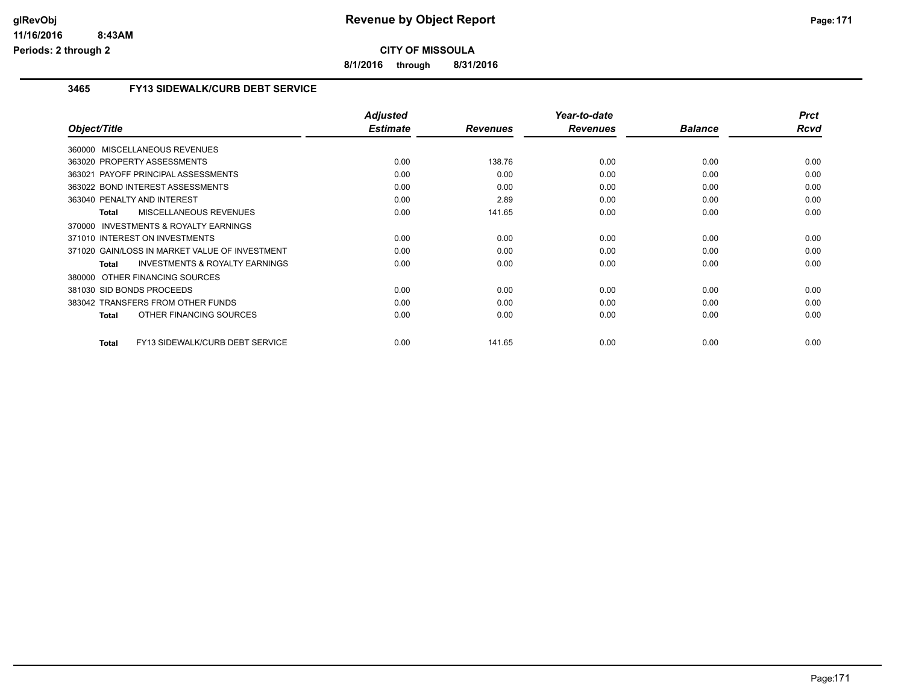**8/1/2016 through 8/31/2016**

## **3465 FY13 SIDEWALK/CURB DEBT SERVICE**

|                                                           | <b>Adjusted</b> |                 | Year-to-date    |                | <b>Prct</b> |
|-----------------------------------------------------------|-----------------|-----------------|-----------------|----------------|-------------|
| Object/Title                                              | <b>Estimate</b> | <b>Revenues</b> | <b>Revenues</b> | <b>Balance</b> | Rcvd        |
| 360000 MISCELLANEOUS REVENUES                             |                 |                 |                 |                |             |
| 363020 PROPERTY ASSESSMENTS                               | 0.00            | 138.76          | 0.00            | 0.00           | 0.00        |
| 363021 PAYOFF PRINCIPAL ASSESSMENTS                       | 0.00            | 0.00            | 0.00            | 0.00           | 0.00        |
| 363022 BOND INTEREST ASSESSMENTS                          | 0.00            | 0.00            | 0.00            | 0.00           | 0.00        |
| 363040 PENALTY AND INTEREST                               | 0.00            | 2.89            | 0.00            | 0.00           | 0.00        |
| <b>MISCELLANEOUS REVENUES</b><br><b>Total</b>             | 0.00            | 141.65          | 0.00            | 0.00           | 0.00        |
| <b>INVESTMENTS &amp; ROYALTY EARNINGS</b><br>370000       |                 |                 |                 |                |             |
| 371010 INTEREST ON INVESTMENTS                            | 0.00            | 0.00            | 0.00            | 0.00           | 0.00        |
| 371020 GAIN/LOSS IN MARKET VALUE OF INVESTMENT            | 0.00            | 0.00            | 0.00            | 0.00           | 0.00        |
| <b>INVESTMENTS &amp; ROYALTY EARNINGS</b><br><b>Total</b> | 0.00            | 0.00            | 0.00            | 0.00           | 0.00        |
| OTHER FINANCING SOURCES<br>380000                         |                 |                 |                 |                |             |
| 381030 SID BONDS PROCEEDS                                 | 0.00            | 0.00            | 0.00            | 0.00           | 0.00        |
| 383042 TRANSFERS FROM OTHER FUNDS                         | 0.00            | 0.00            | 0.00            | 0.00           | 0.00        |
| OTHER FINANCING SOURCES<br>Total                          | 0.00            | 0.00            | 0.00            | 0.00           | 0.00        |
| FY13 SIDEWALK/CURB DEBT SERVICE<br><b>Total</b>           | 0.00            | 141.65          | 0.00            | 0.00           | 0.00        |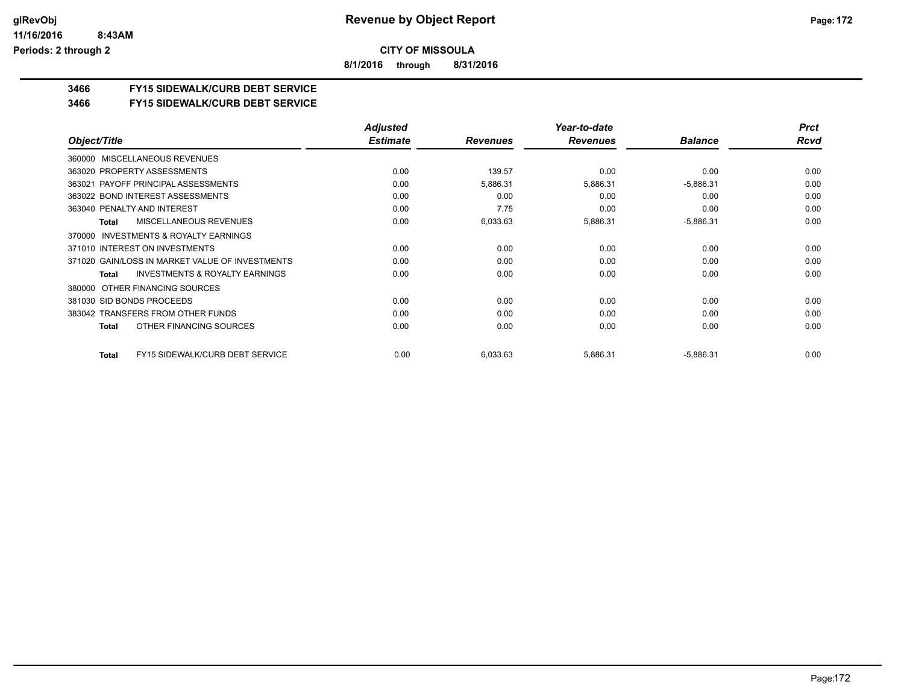**8/1/2016 through 8/31/2016**

## **3466 FY15 SIDEWALK/CURB DEBT SERVICE**

## **3466 FY15 SIDEWALK/CURB DEBT SERVICE**

|                                                    | <b>Adjusted</b> |                 | Year-to-date    |                | <b>Prct</b> |
|----------------------------------------------------|-----------------|-----------------|-----------------|----------------|-------------|
| Object/Title                                       | <b>Estimate</b> | <b>Revenues</b> | <b>Revenues</b> | <b>Balance</b> | Rcvd        |
| MISCELLANEOUS REVENUES<br>360000                   |                 |                 |                 |                |             |
| 363020 PROPERTY ASSESSMENTS                        | 0.00            | 139.57          | 0.00            | 0.00           | 0.00        |
| 363021 PAYOFF PRINCIPAL ASSESSMENTS                | 0.00            | 5,886.31        | 5,886.31        | $-5,886.31$    | 0.00        |
| 363022 BOND INTEREST ASSESSMENTS                   | 0.00            | 0.00            | 0.00            | 0.00           | 0.00        |
| 363040 PENALTY AND INTEREST                        | 0.00            | 7.75            | 0.00            | 0.00           | 0.00        |
| <b>MISCELLANEOUS REVENUES</b><br>Total             | 0.00            | 6,033.63        | 5,886.31        | $-5,886.31$    | 0.00        |
| INVESTMENTS & ROYALTY EARNINGS<br>370000           |                 |                 |                 |                |             |
| 371010 INTEREST ON INVESTMENTS                     | 0.00            | 0.00            | 0.00            | 0.00           | 0.00        |
| 371020 GAIN/LOSS IN MARKET VALUE OF INVESTMENTS    | 0.00            | 0.00            | 0.00            | 0.00           | 0.00        |
| <b>INVESTMENTS &amp; ROYALTY EARNINGS</b><br>Total | 0.00            | 0.00            | 0.00            | 0.00           | 0.00        |
| 380000 OTHER FINANCING SOURCES                     |                 |                 |                 |                |             |
| 381030 SID BONDS PROCEEDS                          | 0.00            | 0.00            | 0.00            | 0.00           | 0.00        |
| 383042 TRANSFERS FROM OTHER FUNDS                  | 0.00            | 0.00            | 0.00            | 0.00           | 0.00        |
| OTHER FINANCING SOURCES<br>Total                   | 0.00            | 0.00            | 0.00            | 0.00           | 0.00        |
| FY15 SIDEWALK/CURB DEBT SERVICE<br>Total           | 0.00            | 6,033.63        | 5,886.31        | $-5,886.31$    | 0.00        |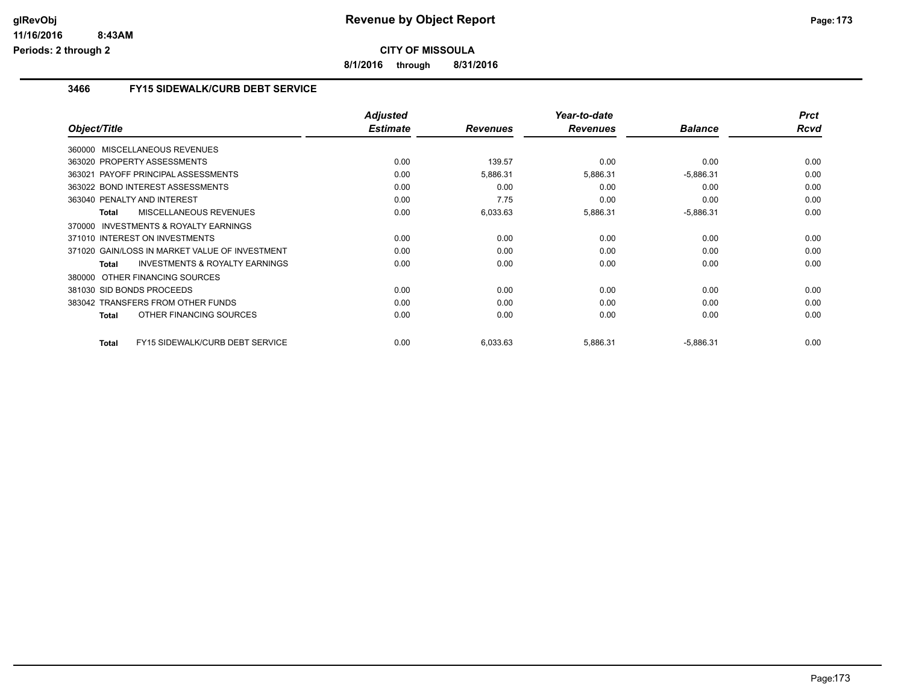**8/1/2016 through 8/31/2016**

## **3466 FY15 SIDEWALK/CURB DEBT SERVICE**

|                                                           | <b>Adjusted</b> |                 | Year-to-date    |                | <b>Prct</b> |
|-----------------------------------------------------------|-----------------|-----------------|-----------------|----------------|-------------|
| Object/Title                                              | <b>Estimate</b> | <b>Revenues</b> | <b>Revenues</b> | <b>Balance</b> | Rcvd        |
| 360000 MISCELLANEOUS REVENUES                             |                 |                 |                 |                |             |
| 363020 PROPERTY ASSESSMENTS                               | 0.00            | 139.57          | 0.00            | 0.00           | 0.00        |
| 363021 PAYOFF PRINCIPAL ASSESSMENTS                       | 0.00            | 5,886.31        | 5,886.31        | $-5,886.31$    | 0.00        |
| 363022 BOND INTEREST ASSESSMENTS                          | 0.00            | 0.00            | 0.00            | 0.00           | 0.00        |
| 363040 PENALTY AND INTEREST                               | 0.00            | 7.75            | 0.00            | 0.00           | 0.00        |
| <b>MISCELLANEOUS REVENUES</b><br><b>Total</b>             | 0.00            | 6,033.63        | 5,886.31        | $-5,886.31$    | 0.00        |
| INVESTMENTS & ROYALTY EARNINGS<br>370000                  |                 |                 |                 |                |             |
| 371010 INTEREST ON INVESTMENTS                            | 0.00            | 0.00            | 0.00            | 0.00           | 0.00        |
| 371020 GAIN/LOSS IN MARKET VALUE OF INVESTMENT            | 0.00            | 0.00            | 0.00            | 0.00           | 0.00        |
| <b>INVESTMENTS &amp; ROYALTY EARNINGS</b><br><b>Total</b> | 0.00            | 0.00            | 0.00            | 0.00           | 0.00        |
| OTHER FINANCING SOURCES<br>380000                         |                 |                 |                 |                |             |
| 381030 SID BONDS PROCEEDS                                 | 0.00            | 0.00            | 0.00            | 0.00           | 0.00        |
| 383042 TRANSFERS FROM OTHER FUNDS                         | 0.00            | 0.00            | 0.00            | 0.00           | 0.00        |
| OTHER FINANCING SOURCES<br>Total                          | 0.00            | 0.00            | 0.00            | 0.00           | 0.00        |
| FY15 SIDEWALK/CURB DEBT SERVICE<br><b>Total</b>           | 0.00            | 6,033.63        | 5,886.31        | $-5,886.31$    | 0.00        |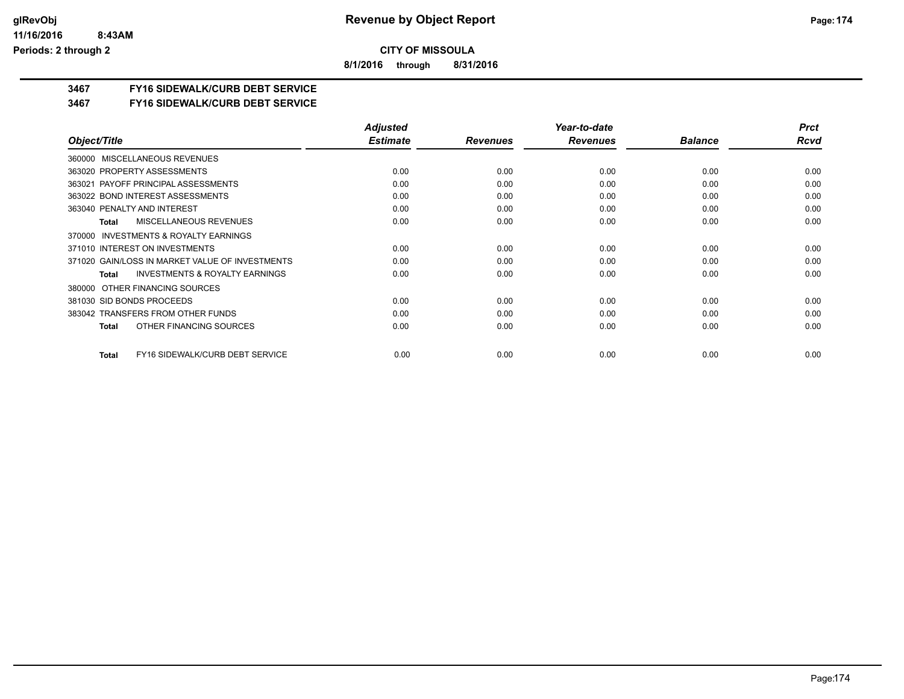**8/1/2016 through 8/31/2016**

## **3467 FY16 SIDEWALK/CURB DEBT SERVICE**

## **3467 FY16 SIDEWALK/CURB DEBT SERVICE**

|                                                           | <b>Adjusted</b> |                 | Year-to-date    |                | <b>Prct</b> |
|-----------------------------------------------------------|-----------------|-----------------|-----------------|----------------|-------------|
| Object/Title                                              | <b>Estimate</b> | <b>Revenues</b> | <b>Revenues</b> | <b>Balance</b> | Rcvd        |
| MISCELLANEOUS REVENUES<br>360000                          |                 |                 |                 |                |             |
| 363020 PROPERTY ASSESSMENTS                               | 0.00            | 0.00            | 0.00            | 0.00           | 0.00        |
| 363021 PAYOFF PRINCIPAL ASSESSMENTS                       | 0.00            | 0.00            | 0.00            | 0.00           | 0.00        |
| 363022 BOND INTEREST ASSESSMENTS                          | 0.00            | 0.00            | 0.00            | 0.00           | 0.00        |
| 363040 PENALTY AND INTEREST                               | 0.00            | 0.00            | 0.00            | 0.00           | 0.00        |
| <b>MISCELLANEOUS REVENUES</b><br>Total                    | 0.00            | 0.00            | 0.00            | 0.00           | 0.00        |
| <b>INVESTMENTS &amp; ROYALTY EARNINGS</b><br>370000       |                 |                 |                 |                |             |
| 371010 INTEREST ON INVESTMENTS                            | 0.00            | 0.00            | 0.00            | 0.00           | 0.00        |
| 371020 GAIN/LOSS IN MARKET VALUE OF INVESTMENTS           | 0.00            | 0.00            | 0.00            | 0.00           | 0.00        |
| <b>INVESTMENTS &amp; ROYALTY EARNINGS</b><br><b>Total</b> | 0.00            | 0.00            | 0.00            | 0.00           | 0.00        |
| 380000 OTHER FINANCING SOURCES                            |                 |                 |                 |                |             |
| 381030 SID BONDS PROCEEDS                                 | 0.00            | 0.00            | 0.00            | 0.00           | 0.00        |
| 383042 TRANSFERS FROM OTHER FUNDS                         | 0.00            | 0.00            | 0.00            | 0.00           | 0.00        |
| OTHER FINANCING SOURCES<br>Total                          | 0.00            | 0.00            | 0.00            | 0.00           | 0.00        |
| FY16 SIDEWALK/CURB DEBT SERVICE<br>Total                  | 0.00            | 0.00            | 0.00            | 0.00           | 0.00        |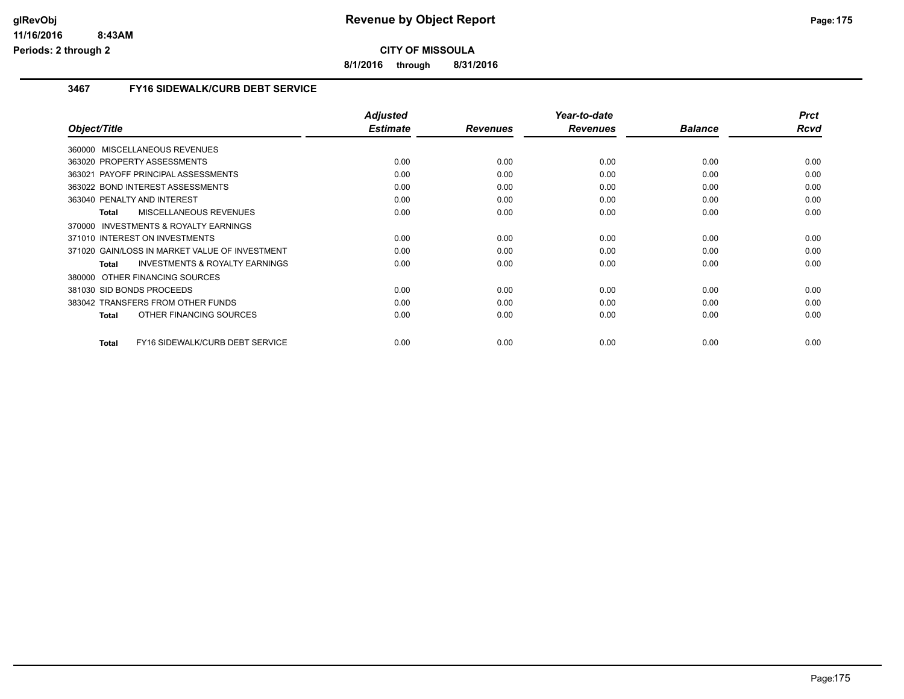**8/1/2016 through 8/31/2016**

## **3467 FY16 SIDEWALK/CURB DEBT SERVICE**

|                                                    | <b>Adjusted</b> |                 | Year-to-date    |                | <b>Prct</b> |
|----------------------------------------------------|-----------------|-----------------|-----------------|----------------|-------------|
| Object/Title                                       | <b>Estimate</b> | <b>Revenues</b> | <b>Revenues</b> | <b>Balance</b> | Rcvd        |
| 360000 MISCELLANEOUS REVENUES                      |                 |                 |                 |                |             |
| 363020 PROPERTY ASSESSMENTS                        | 0.00            | 0.00            | 0.00            | 0.00           | 0.00        |
| PAYOFF PRINCIPAL ASSESSMENTS<br>363021             | 0.00            | 0.00            | 0.00            | 0.00           | 0.00        |
| 363022 BOND INTEREST ASSESSMENTS                   | 0.00            | 0.00            | 0.00            | 0.00           | 0.00        |
| 363040 PENALTY AND INTEREST                        | 0.00            | 0.00            | 0.00            | 0.00           | 0.00        |
| <b>MISCELLANEOUS REVENUES</b><br>Total             | 0.00            | 0.00            | 0.00            | 0.00           | 0.00        |
| 370000 INVESTMENTS & ROYALTY EARNINGS              |                 |                 |                 |                |             |
| 371010 INTEREST ON INVESTMENTS                     | 0.00            | 0.00            | 0.00            | 0.00           | 0.00        |
| 371020 GAIN/LOSS IN MARKET VALUE OF INVESTMENT     | 0.00            | 0.00            | 0.00            | 0.00           | 0.00        |
| <b>INVESTMENTS &amp; ROYALTY EARNINGS</b><br>Total | 0.00            | 0.00            | 0.00            | 0.00           | 0.00        |
| OTHER FINANCING SOURCES<br>380000                  |                 |                 |                 |                |             |
| 381030 SID BONDS PROCEEDS                          | 0.00            | 0.00            | 0.00            | 0.00           | 0.00        |
| 383042 TRANSFERS FROM OTHER FUNDS                  | 0.00            | 0.00            | 0.00            | 0.00           | 0.00        |
| OTHER FINANCING SOURCES<br><b>Total</b>            | 0.00            | 0.00            | 0.00            | 0.00           | 0.00        |
|                                                    |                 |                 |                 |                |             |
| FY16 SIDEWALK/CURB DEBT SERVICE<br><b>Total</b>    | 0.00            | 0.00            | 0.00            | 0.00           | 0.00        |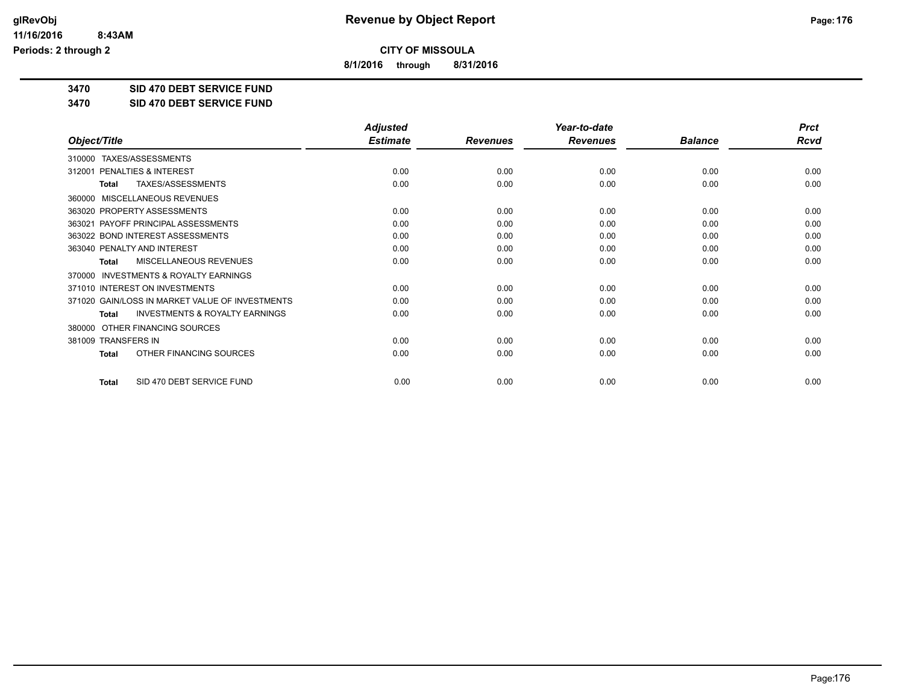**CITY OF MISSOULA**

**8/1/2016 through 8/31/2016**

**3470 SID 470 DEBT SERVICE FUND**

**3470 SID 470 DEBT SERVICE FUND**

|                                                           | <b>Adjusted</b> |                 | Year-to-date    |                | <b>Prct</b> |
|-----------------------------------------------------------|-----------------|-----------------|-----------------|----------------|-------------|
| Object/Title                                              | <b>Estimate</b> | <b>Revenues</b> | <b>Revenues</b> | <b>Balance</b> | <b>Rcvd</b> |
| TAXES/ASSESSMENTS<br>310000                               |                 |                 |                 |                |             |
| PENALTIES & INTEREST<br>312001                            | 0.00            | 0.00            | 0.00            | 0.00           | 0.00        |
| TAXES/ASSESSMENTS<br><b>Total</b>                         | 0.00            | 0.00            | 0.00            | 0.00           | 0.00        |
| MISCELLANEOUS REVENUES<br>360000                          |                 |                 |                 |                |             |
| 363020 PROPERTY ASSESSMENTS                               | 0.00            | 0.00            | 0.00            | 0.00           | 0.00        |
| 363021 PAYOFF PRINCIPAL ASSESSMENTS                       | 0.00            | 0.00            | 0.00            | 0.00           | 0.00        |
| 363022 BOND INTEREST ASSESSMENTS                          | 0.00            | 0.00            | 0.00            | 0.00           | 0.00        |
| 363040 PENALTY AND INTEREST                               | 0.00            | 0.00            | 0.00            | 0.00           | 0.00        |
| MISCELLANEOUS REVENUES<br><b>Total</b>                    | 0.00            | 0.00            | 0.00            | 0.00           | 0.00        |
| <b>INVESTMENTS &amp; ROYALTY EARNINGS</b><br>370000       |                 |                 |                 |                |             |
| 371010 INTEREST ON INVESTMENTS                            | 0.00            | 0.00            | 0.00            | 0.00           | 0.00        |
| 371020 GAIN/LOSS IN MARKET VALUE OF INVESTMENTS           | 0.00            | 0.00            | 0.00            | 0.00           | 0.00        |
| <b>INVESTMENTS &amp; ROYALTY EARNINGS</b><br><b>Total</b> | 0.00            | 0.00            | 0.00            | 0.00           | 0.00        |
| OTHER FINANCING SOURCES<br>380000                         |                 |                 |                 |                |             |
| 381009 TRANSFERS IN                                       | 0.00            | 0.00            | 0.00            | 0.00           | 0.00        |
| OTHER FINANCING SOURCES<br><b>Total</b>                   | 0.00            | 0.00            | 0.00            | 0.00           | 0.00        |
| SID 470 DEBT SERVICE FUND<br><b>Total</b>                 | 0.00            | 0.00            | 0.00            | 0.00           | 0.00        |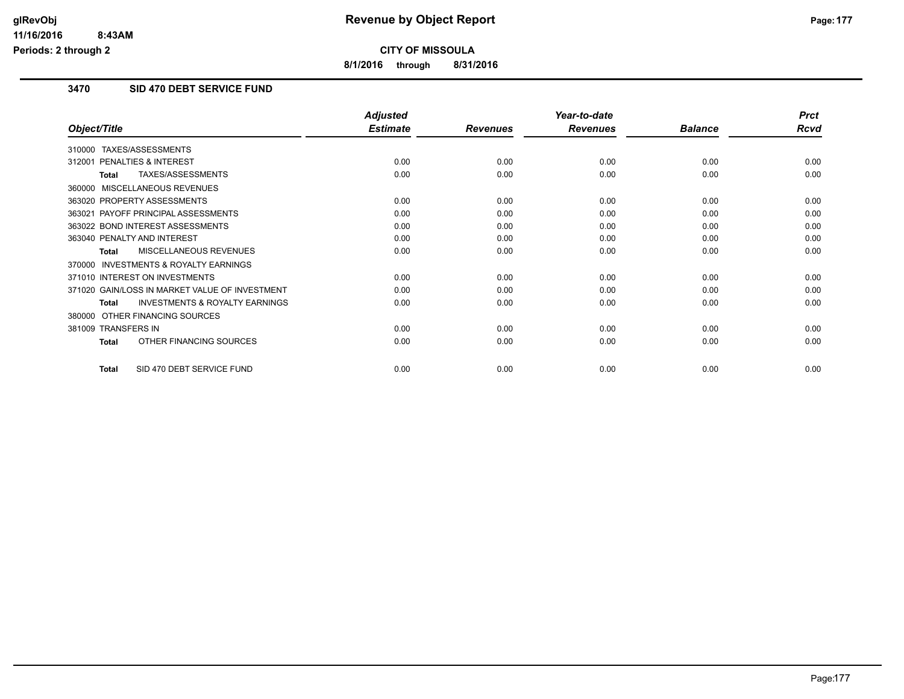**CITY OF MISSOULA**

**8/1/2016 through 8/31/2016**

## **3470 SID 470 DEBT SERVICE FUND**

 **8:43AM**

|                                                           | <b>Adjusted</b> |                 | Year-to-date    |                | <b>Prct</b> |
|-----------------------------------------------------------|-----------------|-----------------|-----------------|----------------|-------------|
| Object/Title                                              | <b>Estimate</b> | <b>Revenues</b> | <b>Revenues</b> | <b>Balance</b> | <b>Rcvd</b> |
| TAXES/ASSESSMENTS<br>310000                               |                 |                 |                 |                |             |
| 312001 PENALTIES & INTEREST                               | 0.00            | 0.00            | 0.00            | 0.00           | 0.00        |
| TAXES/ASSESSMENTS<br><b>Total</b>                         | 0.00            | 0.00            | 0.00            | 0.00           | 0.00        |
| MISCELLANEOUS REVENUES<br>360000                          |                 |                 |                 |                |             |
| 363020 PROPERTY ASSESSMENTS                               | 0.00            | 0.00            | 0.00            | 0.00           | 0.00        |
| 363021 PAYOFF PRINCIPAL ASSESSMENTS                       | 0.00            | 0.00            | 0.00            | 0.00           | 0.00        |
| 363022 BOND INTEREST ASSESSMENTS                          | 0.00            | 0.00            | 0.00            | 0.00           | 0.00        |
| 363040 PENALTY AND INTEREST                               | 0.00            | 0.00            | 0.00            | 0.00           | 0.00        |
| <b>MISCELLANEOUS REVENUES</b><br><b>Total</b>             | 0.00            | 0.00            | 0.00            | 0.00           | 0.00        |
| <b>INVESTMENTS &amp; ROYALTY EARNINGS</b><br>370000       |                 |                 |                 |                |             |
| 371010 INTEREST ON INVESTMENTS                            | 0.00            | 0.00            | 0.00            | 0.00           | 0.00        |
| 371020 GAIN/LOSS IN MARKET VALUE OF INVESTMENT            | 0.00            | 0.00            | 0.00            | 0.00           | 0.00        |
| <b>INVESTMENTS &amp; ROYALTY EARNINGS</b><br><b>Total</b> | 0.00            | 0.00            | 0.00            | 0.00           | 0.00        |
| OTHER FINANCING SOURCES<br>380000                         |                 |                 |                 |                |             |
| 381009 TRANSFERS IN                                       | 0.00            | 0.00            | 0.00            | 0.00           | 0.00        |
| OTHER FINANCING SOURCES<br><b>Total</b>                   | 0.00            | 0.00            | 0.00            | 0.00           | 0.00        |
| SID 470 DEBT SERVICE FUND<br><b>Total</b>                 | 0.00            | 0.00            | 0.00            | 0.00           | 0.00        |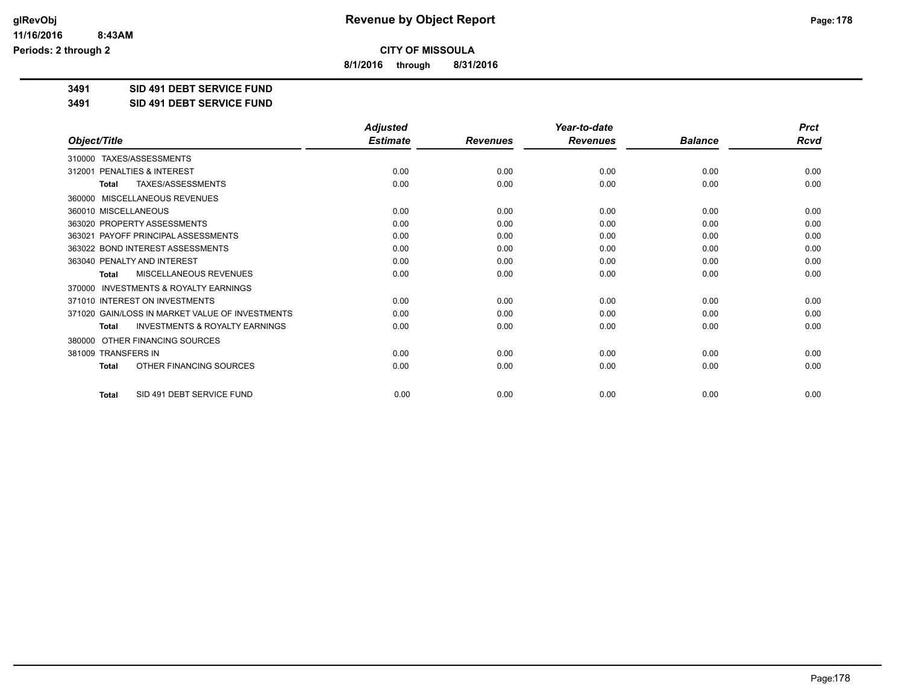**CITY OF MISSOULA**

**8/1/2016 through 8/31/2016**

**3491 SID 491 DEBT SERVICE FUND**

 **8:43AM**

**3491 SID 491 DEBT SERVICE FUND**

|                                                           | <b>Adjusted</b> |                 | Year-to-date    |                | <b>Prct</b> |
|-----------------------------------------------------------|-----------------|-----------------|-----------------|----------------|-------------|
| Object/Title                                              | <b>Estimate</b> | <b>Revenues</b> | <b>Revenues</b> | <b>Balance</b> | <b>Rcvd</b> |
| TAXES/ASSESSMENTS<br>310000                               |                 |                 |                 |                |             |
| PENALTIES & INTEREST<br>312001                            | 0.00            | 0.00            | 0.00            | 0.00           | 0.00        |
| TAXES/ASSESSMENTS<br><b>Total</b>                         | 0.00            | 0.00            | 0.00            | 0.00           | 0.00        |
| MISCELLANEOUS REVENUES<br>360000                          |                 |                 |                 |                |             |
| 360010 MISCELLANEOUS                                      | 0.00            | 0.00            | 0.00            | 0.00           | 0.00        |
| 363020 PROPERTY ASSESSMENTS                               | 0.00            | 0.00            | 0.00            | 0.00           | 0.00        |
| 363021 PAYOFF PRINCIPAL ASSESSMENTS                       | 0.00            | 0.00            | 0.00            | 0.00           | 0.00        |
| 363022 BOND INTEREST ASSESSMENTS                          | 0.00            | 0.00            | 0.00            | 0.00           | 0.00        |
| 363040 PENALTY AND INTEREST                               | 0.00            | 0.00            | 0.00            | 0.00           | 0.00        |
| MISCELLANEOUS REVENUES<br><b>Total</b>                    | 0.00            | 0.00            | 0.00            | 0.00           | 0.00        |
| <b>INVESTMENTS &amp; ROYALTY EARNINGS</b><br>370000       |                 |                 |                 |                |             |
| 371010 INTEREST ON INVESTMENTS                            | 0.00            | 0.00            | 0.00            | 0.00           | 0.00        |
| 371020 GAIN/LOSS IN MARKET VALUE OF INVESTMENTS           | 0.00            | 0.00            | 0.00            | 0.00           | 0.00        |
| <b>INVESTMENTS &amp; ROYALTY EARNINGS</b><br><b>Total</b> | 0.00            | 0.00            | 0.00            | 0.00           | 0.00        |
| OTHER FINANCING SOURCES<br>380000                         |                 |                 |                 |                |             |
| 381009 TRANSFERS IN                                       | 0.00            | 0.00            | 0.00            | 0.00           | 0.00        |
| OTHER FINANCING SOURCES<br><b>Total</b>                   | 0.00            | 0.00            | 0.00            | 0.00           | 0.00        |
| SID 491 DEBT SERVICE FUND<br><b>Total</b>                 | 0.00            | 0.00            | 0.00            | 0.00           | 0.00        |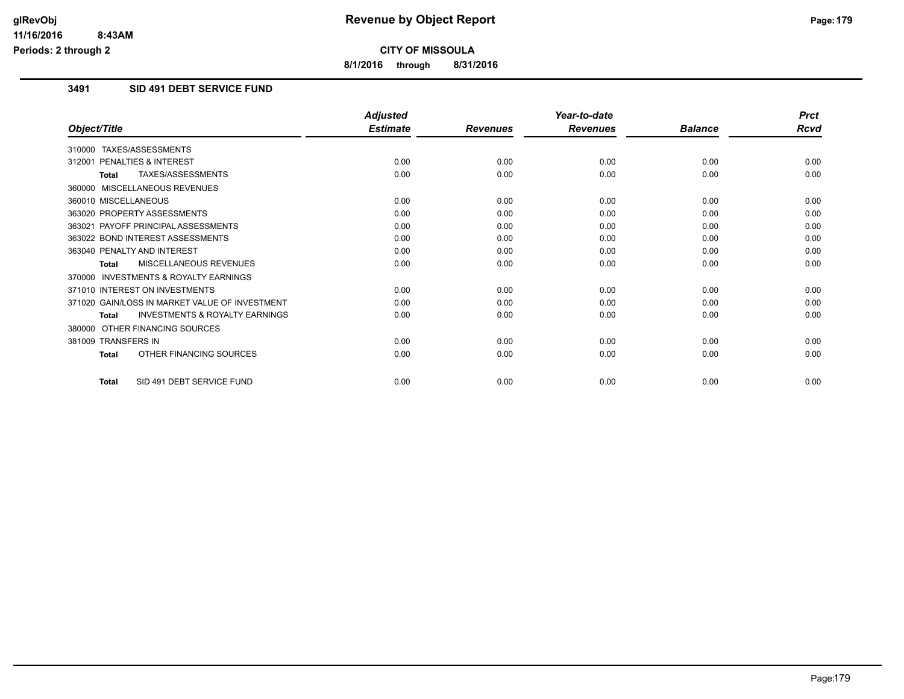**CITY OF MISSOULA**

**8/1/2016 through 8/31/2016**

## **3491 SID 491 DEBT SERVICE FUND**

 **8:43AM**

|                                                           | <b>Adjusted</b> |                 | Year-to-date    |                | <b>Prct</b> |
|-----------------------------------------------------------|-----------------|-----------------|-----------------|----------------|-------------|
| Object/Title                                              | <b>Estimate</b> | <b>Revenues</b> | <b>Revenues</b> | <b>Balance</b> | <b>Rcvd</b> |
| 310000 TAXES/ASSESSMENTS                                  |                 |                 |                 |                |             |
| PENALTIES & INTEREST<br>312001                            | 0.00            | 0.00            | 0.00            | 0.00           | 0.00        |
| TAXES/ASSESSMENTS<br><b>Total</b>                         | 0.00            | 0.00            | 0.00            | 0.00           | 0.00        |
| 360000 MISCELLANEOUS REVENUES                             |                 |                 |                 |                |             |
| 360010 MISCELLANEOUS                                      | 0.00            | 0.00            | 0.00            | 0.00           | 0.00        |
| 363020 PROPERTY ASSESSMENTS                               | 0.00            | 0.00            | 0.00            | 0.00           | 0.00        |
| 363021 PAYOFF PRINCIPAL ASSESSMENTS                       | 0.00            | 0.00            | 0.00            | 0.00           | 0.00        |
| 363022 BOND INTEREST ASSESSMENTS                          | 0.00            | 0.00            | 0.00            | 0.00           | 0.00        |
| 363040 PENALTY AND INTEREST                               | 0.00            | 0.00            | 0.00            | 0.00           | 0.00        |
| MISCELLANEOUS REVENUES<br><b>Total</b>                    | 0.00            | 0.00            | 0.00            | 0.00           | 0.00        |
| <b>INVESTMENTS &amp; ROYALTY EARNINGS</b><br>370000       |                 |                 |                 |                |             |
| 371010 INTEREST ON INVESTMENTS                            | 0.00            | 0.00            | 0.00            | 0.00           | 0.00        |
| 371020 GAIN/LOSS IN MARKET VALUE OF INVESTMENT            | 0.00            | 0.00            | 0.00            | 0.00           | 0.00        |
| <b>INVESTMENTS &amp; ROYALTY EARNINGS</b><br><b>Total</b> | 0.00            | 0.00            | 0.00            | 0.00           | 0.00        |
| OTHER FINANCING SOURCES<br>380000                         |                 |                 |                 |                |             |
| 381009 TRANSFERS IN                                       | 0.00            | 0.00            | 0.00            | 0.00           | 0.00        |
| OTHER FINANCING SOURCES<br><b>Total</b>                   | 0.00            | 0.00            | 0.00            | 0.00           | 0.00        |
| SID 491 DEBT SERVICE FUND<br><b>Total</b>                 | 0.00            | 0.00            | 0.00            | 0.00           | 0.00        |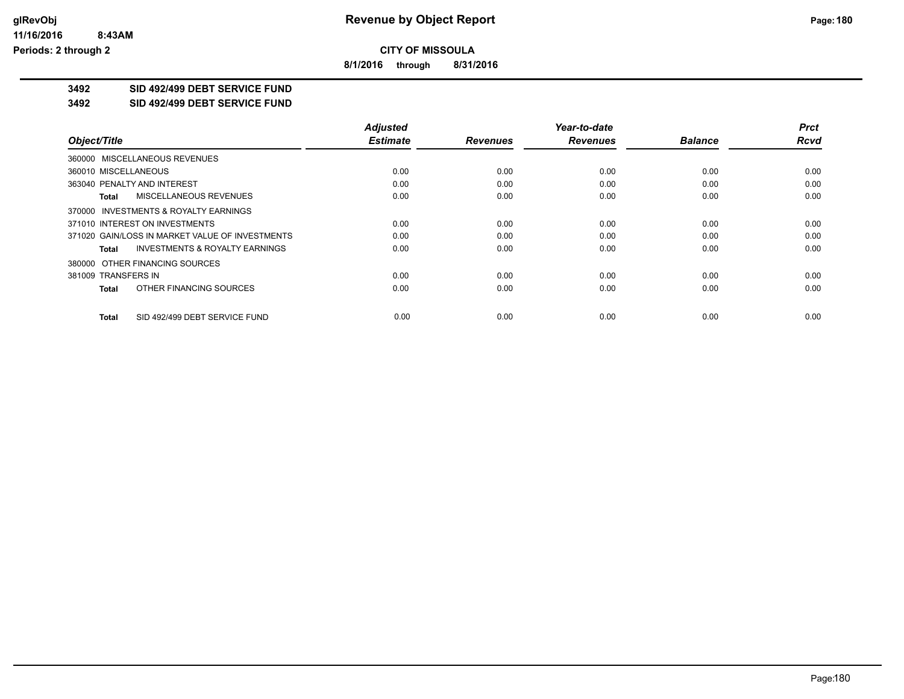**8/1/2016 through 8/31/2016**

## **3492 SID 492/499 DEBT SERVICE FUND**

#### **3492 SID 492/499 DEBT SERVICE FUND**

|                                                    | <b>Adjusted</b> |                 | Year-to-date    |                | <b>Prct</b> |
|----------------------------------------------------|-----------------|-----------------|-----------------|----------------|-------------|
| Object/Title                                       | <b>Estimate</b> | <b>Revenues</b> | <b>Revenues</b> | <b>Balance</b> | <b>Rcvd</b> |
| 360000 MISCELLANEOUS REVENUES                      |                 |                 |                 |                |             |
| 360010 MISCELLANEOUS                               | 0.00            | 0.00            | 0.00            | 0.00           | 0.00        |
| 363040 PENALTY AND INTEREST                        | 0.00            | 0.00            | 0.00            | 0.00           | 0.00        |
| <b>MISCELLANEOUS REVENUES</b><br>Total             | 0.00            | 0.00            | 0.00            | 0.00           | 0.00        |
| 370000 INVESTMENTS & ROYALTY EARNINGS              |                 |                 |                 |                |             |
| 371010 INTEREST ON INVESTMENTS                     | 0.00            | 0.00            | 0.00            | 0.00           | 0.00        |
| 371020 GAIN/LOSS IN MARKET VALUE OF INVESTMENTS    | 0.00            | 0.00            | 0.00            | 0.00           | 0.00        |
| <b>INVESTMENTS &amp; ROYALTY EARNINGS</b><br>Total | 0.00            | 0.00            | 0.00            | 0.00           | 0.00        |
| 380000 OTHER FINANCING SOURCES                     |                 |                 |                 |                |             |
| 381009 TRANSFERS IN                                | 0.00            | 0.00            | 0.00            | 0.00           | 0.00        |
| OTHER FINANCING SOURCES<br>Total                   | 0.00            | 0.00            | 0.00            | 0.00           | 0.00        |
| SID 492/499 DEBT SERVICE FUND<br>Total             | 0.00            | 0.00            | 0.00            | 0.00           | 0.00        |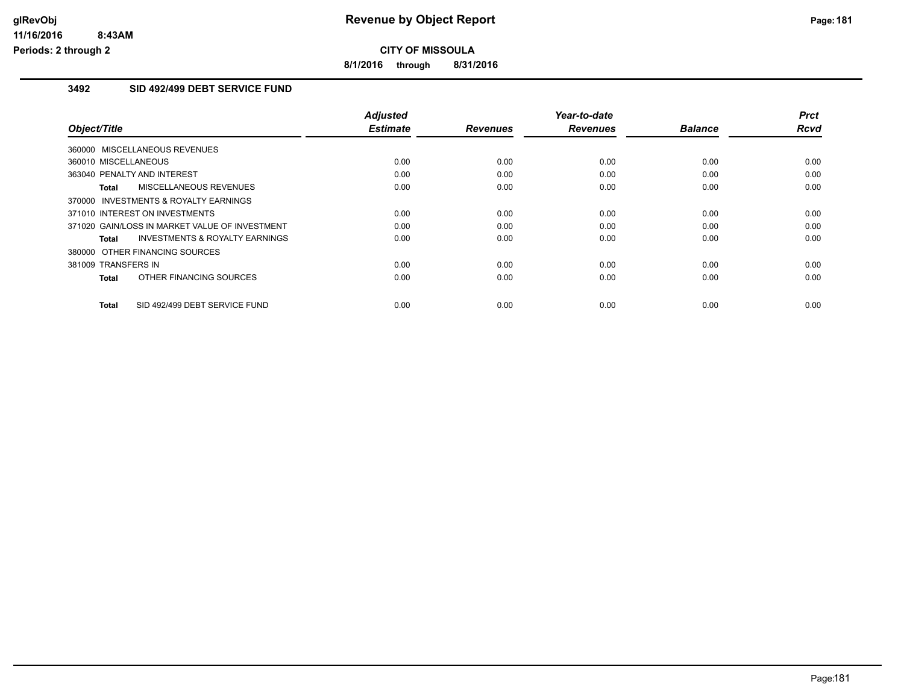**8/1/2016 through 8/31/2016**

## **3492 SID 492/499 DEBT SERVICE FUND**

| Object/Title                                        | <b>Adjusted</b><br><b>Estimate</b> | <b>Revenues</b> | Year-to-date<br><b>Revenues</b> | <b>Balance</b> | <b>Prct</b><br><b>Rcvd</b> |
|-----------------------------------------------------|------------------------------------|-----------------|---------------------------------|----------------|----------------------------|
| 360000 MISCELLANEOUS REVENUES                       |                                    |                 |                                 |                |                            |
| 360010 MISCELLANEOUS                                | 0.00                               | 0.00            | 0.00                            | 0.00           | 0.00                       |
| 363040 PENALTY AND INTEREST                         | 0.00                               | 0.00            | 0.00                            | 0.00           | 0.00                       |
| MISCELLANEOUS REVENUES<br><b>Total</b>              | 0.00                               | 0.00            | 0.00                            | 0.00           | 0.00                       |
| <b>INVESTMENTS &amp; ROYALTY EARNINGS</b><br>370000 |                                    |                 |                                 |                |                            |
| 371010 INTEREST ON INVESTMENTS                      | 0.00                               | 0.00            | 0.00                            | 0.00           | 0.00                       |
| 371020 GAIN/LOSS IN MARKET VALUE OF INVESTMENT      | 0.00                               | 0.00            | 0.00                            | 0.00           | 0.00                       |
| INVESTMENTS & ROYALTY EARNINGS<br>Total             | 0.00                               | 0.00            | 0.00                            | 0.00           | 0.00                       |
| 380000 OTHER FINANCING SOURCES                      |                                    |                 |                                 |                |                            |
| 381009 TRANSFERS IN                                 | 0.00                               | 0.00            | 0.00                            | 0.00           | 0.00                       |
| OTHER FINANCING SOURCES<br><b>Total</b>             | 0.00                               | 0.00            | 0.00                            | 0.00           | 0.00                       |
| SID 492/499 DEBT SERVICE FUND<br><b>Total</b>       | 0.00                               | 0.00            | 0.00                            | 0.00           | 0.00                       |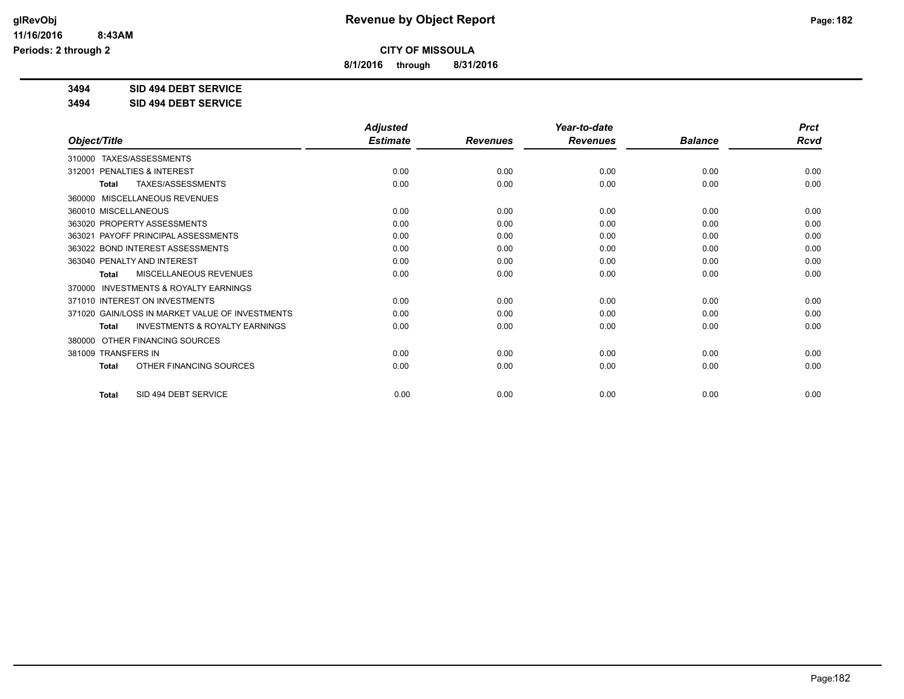**8/1/2016 through 8/31/2016**

**3494 SID 494 DEBT SERVICE**

**3494 SID 494 DEBT SERVICE**

|                                                           | <b>Adjusted</b> |                 | Year-to-date    |                | <b>Prct</b> |
|-----------------------------------------------------------|-----------------|-----------------|-----------------|----------------|-------------|
| Object/Title                                              | <b>Estimate</b> | <b>Revenues</b> | <b>Revenues</b> | <b>Balance</b> | <b>Rcvd</b> |
| TAXES/ASSESSMENTS<br>310000                               |                 |                 |                 |                |             |
| PENALTIES & INTEREST<br>312001                            | 0.00            | 0.00            | 0.00            | 0.00           | 0.00        |
| TAXES/ASSESSMENTS<br><b>Total</b>                         | 0.00            | 0.00            | 0.00            | 0.00           | 0.00        |
| MISCELLANEOUS REVENUES<br>360000                          |                 |                 |                 |                |             |
| 360010 MISCELLANEOUS                                      | 0.00            | 0.00            | 0.00            | 0.00           | 0.00        |
| 363020 PROPERTY ASSESSMENTS                               | 0.00            | 0.00            | 0.00            | 0.00           | 0.00        |
| 363021 PAYOFF PRINCIPAL ASSESSMENTS                       | 0.00            | 0.00            | 0.00            | 0.00           | 0.00        |
| 363022 BOND INTEREST ASSESSMENTS                          | 0.00            | 0.00            | 0.00            | 0.00           | 0.00        |
| 363040 PENALTY AND INTEREST                               | 0.00            | 0.00            | 0.00            | 0.00           | 0.00        |
| MISCELLANEOUS REVENUES<br>Total                           | 0.00            | 0.00            | 0.00            | 0.00           | 0.00        |
| <b>INVESTMENTS &amp; ROYALTY EARNINGS</b><br>370000       |                 |                 |                 |                |             |
| 371010 INTEREST ON INVESTMENTS                            | 0.00            | 0.00            | 0.00            | 0.00           | 0.00        |
| 371020 GAIN/LOSS IN MARKET VALUE OF INVESTMENTS           | 0.00            | 0.00            | 0.00            | 0.00           | 0.00        |
| <b>INVESTMENTS &amp; ROYALTY EARNINGS</b><br><b>Total</b> | 0.00            | 0.00            | 0.00            | 0.00           | 0.00        |
| OTHER FINANCING SOURCES<br>380000                         |                 |                 |                 |                |             |
| 381009 TRANSFERS IN                                       | 0.00            | 0.00            | 0.00            | 0.00           | 0.00        |
| OTHER FINANCING SOURCES<br><b>Total</b>                   | 0.00            | 0.00            | 0.00            | 0.00           | 0.00        |
| SID 494 DEBT SERVICE<br><b>Total</b>                      | 0.00            | 0.00            | 0.00            | 0.00           | 0.00        |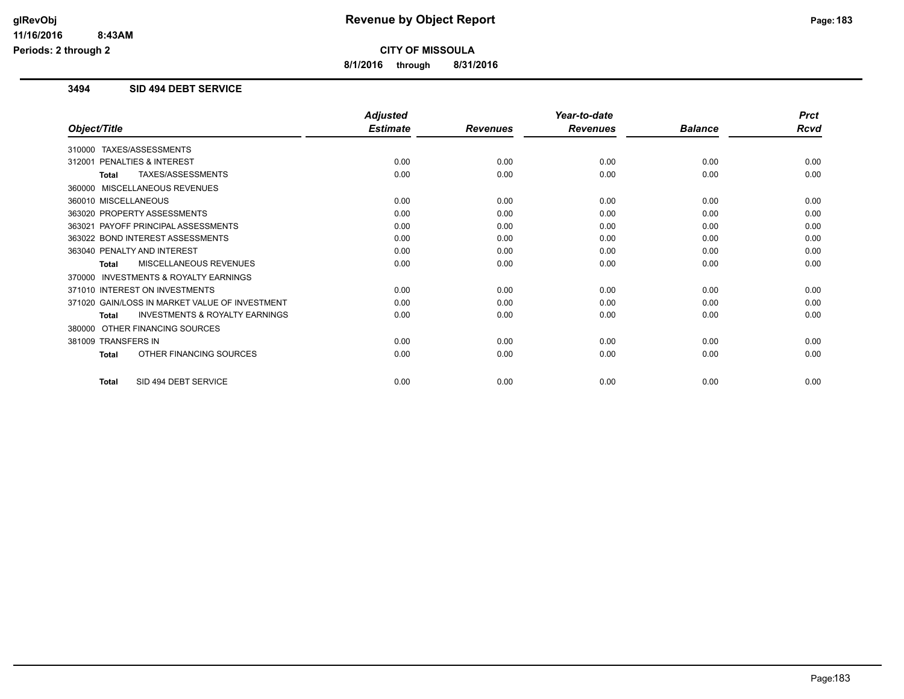**CITY OF MISSOULA**

**8/1/2016 through 8/31/2016**

#### **3494 SID 494 DEBT SERVICE**

|                                                           | <b>Adjusted</b> |                 | Year-to-date    |                | <b>Prct</b> |
|-----------------------------------------------------------|-----------------|-----------------|-----------------|----------------|-------------|
| Object/Title                                              | <b>Estimate</b> | <b>Revenues</b> | <b>Revenues</b> | <b>Balance</b> | <b>Rcvd</b> |
| 310000 TAXES/ASSESSMENTS                                  |                 |                 |                 |                |             |
| 312001 PENALTIES & INTEREST                               | 0.00            | 0.00            | 0.00            | 0.00           | 0.00        |
| TAXES/ASSESSMENTS<br>Total                                | 0.00            | 0.00            | 0.00            | 0.00           | 0.00        |
| 360000 MISCELLANEOUS REVENUES                             |                 |                 |                 |                |             |
| 360010 MISCELLANEOUS                                      | 0.00            | 0.00            | 0.00            | 0.00           | 0.00        |
| 363020 PROPERTY ASSESSMENTS                               | 0.00            | 0.00            | 0.00            | 0.00           | 0.00        |
| 363021 PAYOFF PRINCIPAL ASSESSMENTS                       | 0.00            | 0.00            | 0.00            | 0.00           | 0.00        |
| 363022 BOND INTEREST ASSESSMENTS                          | 0.00            | 0.00            | 0.00            | 0.00           | 0.00        |
| 363040 PENALTY AND INTEREST                               | 0.00            | 0.00            | 0.00            | 0.00           | 0.00        |
| MISCELLANEOUS REVENUES<br><b>Total</b>                    | 0.00            | 0.00            | 0.00            | 0.00           | 0.00        |
| <b>INVESTMENTS &amp; ROYALTY EARNINGS</b><br>370000       |                 |                 |                 |                |             |
| 371010 INTEREST ON INVESTMENTS                            | 0.00            | 0.00            | 0.00            | 0.00           | 0.00        |
| 371020 GAIN/LOSS IN MARKET VALUE OF INVESTMENT            | 0.00            | 0.00            | 0.00            | 0.00           | 0.00        |
| <b>INVESTMENTS &amp; ROYALTY EARNINGS</b><br><b>Total</b> | 0.00            | 0.00            | 0.00            | 0.00           | 0.00        |
| 380000 OTHER FINANCING SOURCES                            |                 |                 |                 |                |             |
| 381009 TRANSFERS IN                                       | 0.00            | 0.00            | 0.00            | 0.00           | 0.00        |
| OTHER FINANCING SOURCES<br><b>Total</b>                   | 0.00            | 0.00            | 0.00            | 0.00           | 0.00        |
| SID 494 DEBT SERVICE<br><b>Total</b>                      | 0.00            | 0.00            | 0.00            | 0.00           | 0.00        |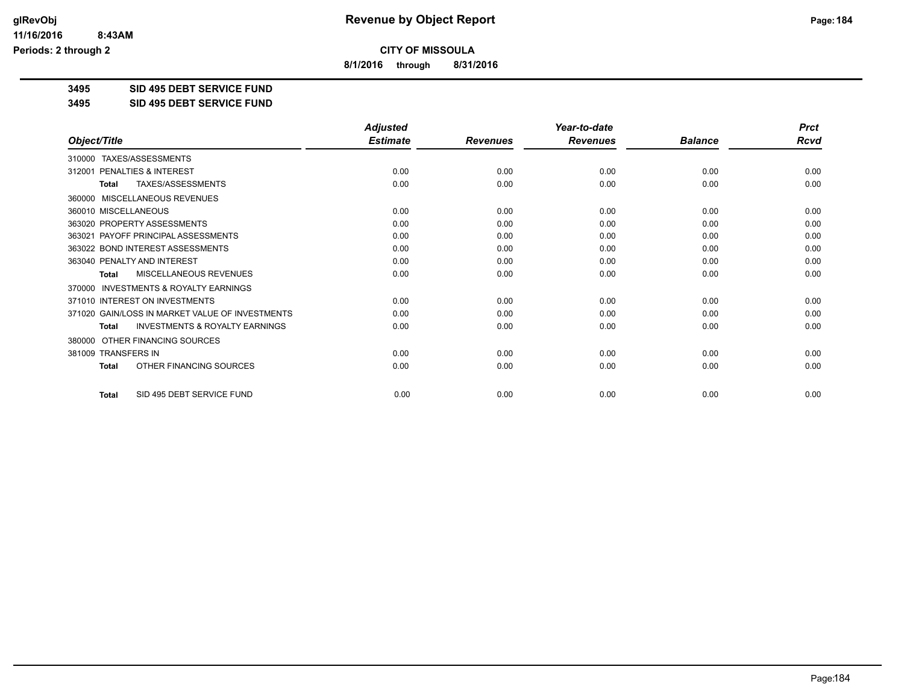**CITY OF MISSOULA**

**8/1/2016 through 8/31/2016**

**3495 SID 495 DEBT SERVICE FUND**

 **8:43AM**

**3495 SID 495 DEBT SERVICE FUND**

|                                                           | <b>Adjusted</b> |                 | Year-to-date    |                | <b>Prct</b> |
|-----------------------------------------------------------|-----------------|-----------------|-----------------|----------------|-------------|
| Object/Title                                              | <b>Estimate</b> | <b>Revenues</b> | <b>Revenues</b> | <b>Balance</b> | <b>Rcvd</b> |
| TAXES/ASSESSMENTS<br>310000                               |                 |                 |                 |                |             |
| PENALTIES & INTEREST<br>312001                            | 0.00            | 0.00            | 0.00            | 0.00           | 0.00        |
| TAXES/ASSESSMENTS<br>Total                                | 0.00            | 0.00            | 0.00            | 0.00           | 0.00        |
| MISCELLANEOUS REVENUES<br>360000                          |                 |                 |                 |                |             |
| 360010 MISCELLANEOUS                                      | 0.00            | 0.00            | 0.00            | 0.00           | 0.00        |
| 363020 PROPERTY ASSESSMENTS                               | 0.00            | 0.00            | 0.00            | 0.00           | 0.00        |
| 363021 PAYOFF PRINCIPAL ASSESSMENTS                       | 0.00            | 0.00            | 0.00            | 0.00           | 0.00        |
| 363022 BOND INTEREST ASSESSMENTS                          | 0.00            | 0.00            | 0.00            | 0.00           | 0.00        |
| 363040 PENALTY AND INTEREST                               | 0.00            | 0.00            | 0.00            | 0.00           | 0.00        |
| MISCELLANEOUS REVENUES<br><b>Total</b>                    | 0.00            | 0.00            | 0.00            | 0.00           | 0.00        |
| <b>INVESTMENTS &amp; ROYALTY EARNINGS</b><br>370000       |                 |                 |                 |                |             |
| 371010 INTEREST ON INVESTMENTS                            | 0.00            | 0.00            | 0.00            | 0.00           | 0.00        |
| 371020 GAIN/LOSS IN MARKET VALUE OF INVESTMENTS           | 0.00            | 0.00            | 0.00            | 0.00           | 0.00        |
| <b>INVESTMENTS &amp; ROYALTY EARNINGS</b><br><b>Total</b> | 0.00            | 0.00            | 0.00            | 0.00           | 0.00        |
| OTHER FINANCING SOURCES<br>380000                         |                 |                 |                 |                |             |
| 381009 TRANSFERS IN                                       | 0.00            | 0.00            | 0.00            | 0.00           | 0.00        |
| OTHER FINANCING SOURCES<br>Total                          | 0.00            | 0.00            | 0.00            | 0.00           | 0.00        |
| SID 495 DEBT SERVICE FUND<br><b>Total</b>                 | 0.00            | 0.00            | 0.00            | 0.00           | 0.00        |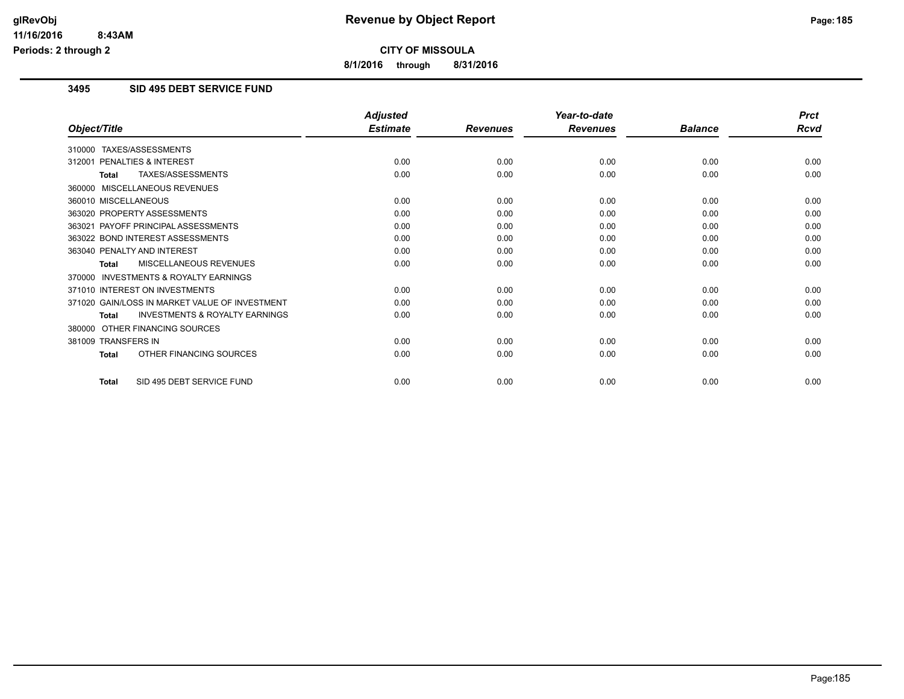**8/1/2016 through 8/31/2016**

## **3495 SID 495 DEBT SERVICE FUND**

|                                                           | <b>Adjusted</b> |                 | Year-to-date    |                | <b>Prct</b> |
|-----------------------------------------------------------|-----------------|-----------------|-----------------|----------------|-------------|
| Object/Title                                              | <b>Estimate</b> | <b>Revenues</b> | <b>Revenues</b> | <b>Balance</b> | Rcvd        |
| 310000 TAXES/ASSESSMENTS                                  |                 |                 |                 |                |             |
| PENALTIES & INTEREST<br>312001                            | 0.00            | 0.00            | 0.00            | 0.00           | 0.00        |
| TAXES/ASSESSMENTS<br><b>Total</b>                         | 0.00            | 0.00            | 0.00            | 0.00           | 0.00        |
| 360000 MISCELLANEOUS REVENUES                             |                 |                 |                 |                |             |
| 360010 MISCELLANEOUS                                      | 0.00            | 0.00            | 0.00            | 0.00           | 0.00        |
| 363020 PROPERTY ASSESSMENTS                               | 0.00            | 0.00            | 0.00            | 0.00           | 0.00        |
| 363021 PAYOFF PRINCIPAL ASSESSMENTS                       | 0.00            | 0.00            | 0.00            | 0.00           | 0.00        |
| 363022 BOND INTEREST ASSESSMENTS                          | 0.00            | 0.00            | 0.00            | 0.00           | 0.00        |
| 363040 PENALTY AND INTEREST                               | 0.00            | 0.00            | 0.00            | 0.00           | 0.00        |
| MISCELLANEOUS REVENUES<br><b>Total</b>                    | 0.00            | 0.00            | 0.00            | 0.00           | 0.00        |
| <b>INVESTMENTS &amp; ROYALTY EARNINGS</b><br>370000       |                 |                 |                 |                |             |
| 371010 INTEREST ON INVESTMENTS                            | 0.00            | 0.00            | 0.00            | 0.00           | 0.00        |
| 371020 GAIN/LOSS IN MARKET VALUE OF INVESTMENT            | 0.00            | 0.00            | 0.00            | 0.00           | 0.00        |
| <b>INVESTMENTS &amp; ROYALTY EARNINGS</b><br><b>Total</b> | 0.00            | 0.00            | 0.00            | 0.00           | 0.00        |
| 380000 OTHER FINANCING SOURCES                            |                 |                 |                 |                |             |
| 381009 TRANSFERS IN                                       | 0.00            | 0.00            | 0.00            | 0.00           | 0.00        |
| OTHER FINANCING SOURCES<br><b>Total</b>                   | 0.00            | 0.00            | 0.00            | 0.00           | 0.00        |
| SID 495 DEBT SERVICE FUND<br><b>Total</b>                 | 0.00            | 0.00            | 0.00            | 0.00           | 0.00        |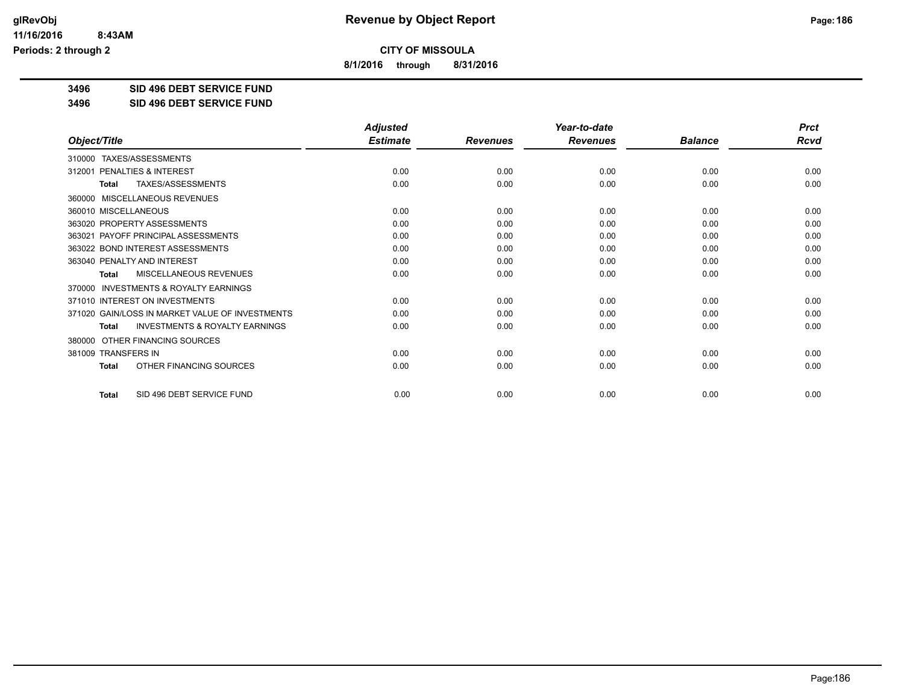**CITY OF MISSOULA**

**8/1/2016 through 8/31/2016**

**3496 SID 496 DEBT SERVICE FUND**

 **8:43AM**

**3496 SID 496 DEBT SERVICE FUND**

|                                                           | <b>Adjusted</b> |                 | Year-to-date    |                | <b>Prct</b> |
|-----------------------------------------------------------|-----------------|-----------------|-----------------|----------------|-------------|
| Object/Title                                              | <b>Estimate</b> | <b>Revenues</b> | <b>Revenues</b> | <b>Balance</b> | <b>Rcvd</b> |
| TAXES/ASSESSMENTS<br>310000                               |                 |                 |                 |                |             |
| PENALTIES & INTEREST<br>312001                            | 0.00            | 0.00            | 0.00            | 0.00           | 0.00        |
| TAXES/ASSESSMENTS<br><b>Total</b>                         | 0.00            | 0.00            | 0.00            | 0.00           | 0.00        |
| MISCELLANEOUS REVENUES<br>360000                          |                 |                 |                 |                |             |
| 360010 MISCELLANEOUS                                      | 0.00            | 0.00            | 0.00            | 0.00           | 0.00        |
| 363020 PROPERTY ASSESSMENTS                               | 0.00            | 0.00            | 0.00            | 0.00           | 0.00        |
| 363021 PAYOFF PRINCIPAL ASSESSMENTS                       | 0.00            | 0.00            | 0.00            | 0.00           | 0.00        |
| 363022 BOND INTEREST ASSESSMENTS                          | 0.00            | 0.00            | 0.00            | 0.00           | 0.00        |
| 363040 PENALTY AND INTEREST                               | 0.00            | 0.00            | 0.00            | 0.00           | 0.00        |
| MISCELLANEOUS REVENUES<br><b>Total</b>                    | 0.00            | 0.00            | 0.00            | 0.00           | 0.00        |
| <b>INVESTMENTS &amp; ROYALTY EARNINGS</b><br>370000       |                 |                 |                 |                |             |
| 371010 INTEREST ON INVESTMENTS                            | 0.00            | 0.00            | 0.00            | 0.00           | 0.00        |
| 371020 GAIN/LOSS IN MARKET VALUE OF INVESTMENTS           | 0.00            | 0.00            | 0.00            | 0.00           | 0.00        |
| <b>INVESTMENTS &amp; ROYALTY EARNINGS</b><br><b>Total</b> | 0.00            | 0.00            | 0.00            | 0.00           | 0.00        |
| OTHER FINANCING SOURCES<br>380000                         |                 |                 |                 |                |             |
| 381009 TRANSFERS IN                                       | 0.00            | 0.00            | 0.00            | 0.00           | 0.00        |
| OTHER FINANCING SOURCES<br><b>Total</b>                   | 0.00            | 0.00            | 0.00            | 0.00           | 0.00        |
| SID 496 DEBT SERVICE FUND<br><b>Total</b>                 | 0.00            | 0.00            | 0.00            | 0.00           | 0.00        |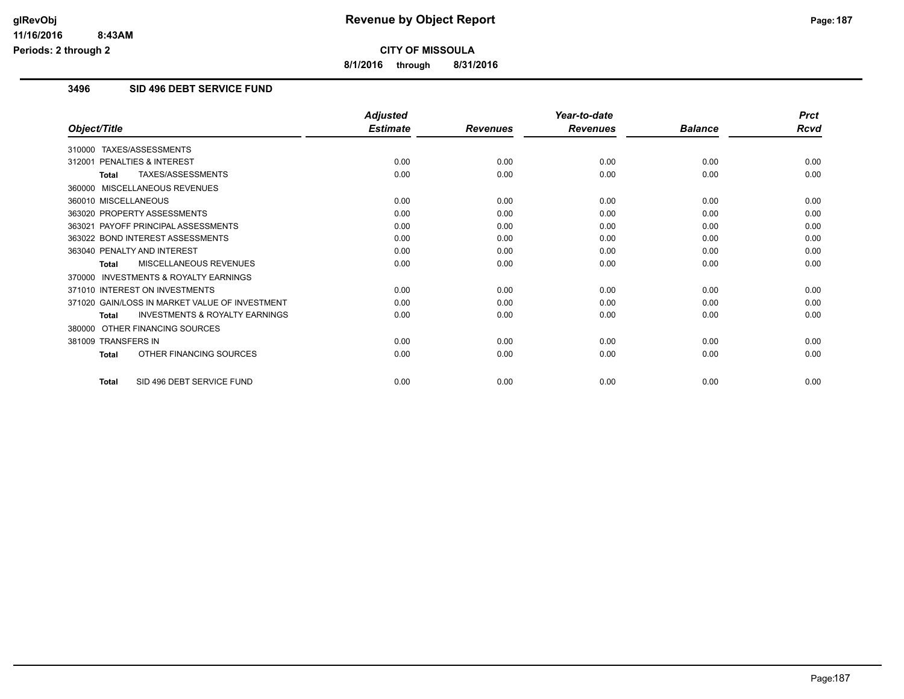**CITY OF MISSOULA**

**8/1/2016 through 8/31/2016**

#### **3496 SID 496 DEBT SERVICE FUND**

|                                                    | <b>Adjusted</b> |                 | Year-to-date    |                | <b>Prct</b> |
|----------------------------------------------------|-----------------|-----------------|-----------------|----------------|-------------|
| Object/Title                                       | <b>Estimate</b> | <b>Revenues</b> | <b>Revenues</b> | <b>Balance</b> | <b>Rcvd</b> |
| 310000 TAXES/ASSESSMENTS                           |                 |                 |                 |                |             |
| PENALTIES & INTEREST<br>312001                     | 0.00            | 0.00            | 0.00            | 0.00           | 0.00        |
| TAXES/ASSESSMENTS<br><b>Total</b>                  | 0.00            | 0.00            | 0.00            | 0.00           | 0.00        |
| 360000 MISCELLANEOUS REVENUES                      |                 |                 |                 |                |             |
| 360010 MISCELLANEOUS                               | 0.00            | 0.00            | 0.00            | 0.00           | 0.00        |
| 363020 PROPERTY ASSESSMENTS                        | 0.00            | 0.00            | 0.00            | 0.00           | 0.00        |
| 363021 PAYOFF PRINCIPAL ASSESSMENTS                | 0.00            | 0.00            | 0.00            | 0.00           | 0.00        |
| 363022 BOND INTEREST ASSESSMENTS                   | 0.00            | 0.00            | 0.00            | 0.00           | 0.00        |
| 363040 PENALTY AND INTEREST                        | 0.00            | 0.00            | 0.00            | 0.00           | 0.00        |
| MISCELLANEOUS REVENUES<br><b>Total</b>             | 0.00            | 0.00            | 0.00            | 0.00           | 0.00        |
| 370000 INVESTMENTS & ROYALTY EARNINGS              |                 |                 |                 |                |             |
| 371010 INTEREST ON INVESTMENTS                     | 0.00            | 0.00            | 0.00            | 0.00           | 0.00        |
| 371020 GAIN/LOSS IN MARKET VALUE OF INVESTMENT     | 0.00            | 0.00            | 0.00            | 0.00           | 0.00        |
| <b>INVESTMENTS &amp; ROYALTY EARNINGS</b><br>Total | 0.00            | 0.00            | 0.00            | 0.00           | 0.00        |
| 380000 OTHER FINANCING SOURCES                     |                 |                 |                 |                |             |
| 381009 TRANSFERS IN                                | 0.00            | 0.00            | 0.00            | 0.00           | 0.00        |
| OTHER FINANCING SOURCES<br>Total                   | 0.00            | 0.00            | 0.00            | 0.00           | 0.00        |
| SID 496 DEBT SERVICE FUND<br><b>Total</b>          | 0.00            | 0.00            | 0.00            | 0.00           | 0.00        |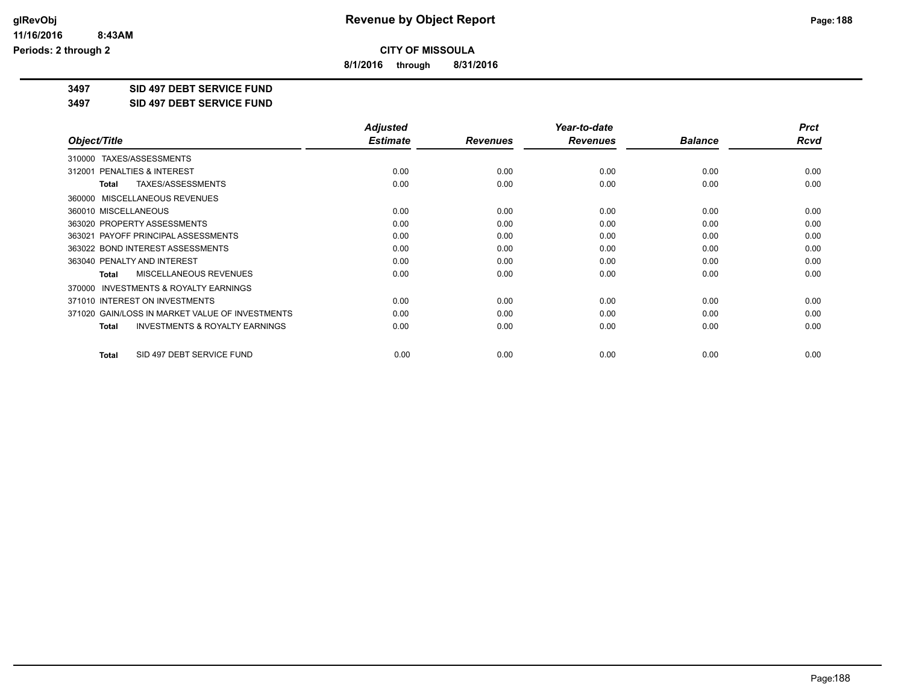**glRevObj Revenue by Object Report Page:188** 

**CITY OF MISSOULA**

**8/1/2016 through 8/31/2016**

**3497 SID 497 DEBT SERVICE FUND**

 **8:43AM**

**3497 SID 497 DEBT SERVICE FUND**

|                                                     | <b>Adjusted</b> |                 | Year-to-date    |                | <b>Prct</b> |
|-----------------------------------------------------|-----------------|-----------------|-----------------|----------------|-------------|
| Object/Title                                        | <b>Estimate</b> | <b>Revenues</b> | <b>Revenues</b> | <b>Balance</b> | <b>Rcvd</b> |
| 310000 TAXES/ASSESSMENTS                            |                 |                 |                 |                |             |
| 312001 PENALTIES & INTEREST                         | 0.00            | 0.00            | 0.00            | 0.00           | 0.00        |
| TAXES/ASSESSMENTS<br>Total                          | 0.00            | 0.00            | 0.00            | 0.00           | 0.00        |
| 360000 MISCELLANEOUS REVENUES                       |                 |                 |                 |                |             |
| 360010 MISCELLANEOUS                                | 0.00            | 0.00            | 0.00            | 0.00           | 0.00        |
| 363020 PROPERTY ASSESSMENTS                         | 0.00            | 0.00            | 0.00            | 0.00           | 0.00        |
| 363021 PAYOFF PRINCIPAL ASSESSMENTS                 | 0.00            | 0.00            | 0.00            | 0.00           | 0.00        |
| 363022 BOND INTEREST ASSESSMENTS                    | 0.00            | 0.00            | 0.00            | 0.00           | 0.00        |
| 363040 PENALTY AND INTEREST                         | 0.00            | 0.00            | 0.00            | 0.00           | 0.00        |
| <b>MISCELLANEOUS REVENUES</b><br>Total              | 0.00            | 0.00            | 0.00            | 0.00           | 0.00        |
| <b>INVESTMENTS &amp; ROYALTY EARNINGS</b><br>370000 |                 |                 |                 |                |             |
| 371010 INTEREST ON INVESTMENTS                      | 0.00            | 0.00            | 0.00            | 0.00           | 0.00        |
| 371020 GAIN/LOSS IN MARKET VALUE OF INVESTMENTS     | 0.00            | 0.00            | 0.00            | 0.00           | 0.00        |
| <b>INVESTMENTS &amp; ROYALTY EARNINGS</b><br>Total  | 0.00            | 0.00            | 0.00            | 0.00           | 0.00        |
| SID 497 DEBT SERVICE FUND<br><b>Total</b>           | 0.00            | 0.00            | 0.00            | 0.00           | 0.00        |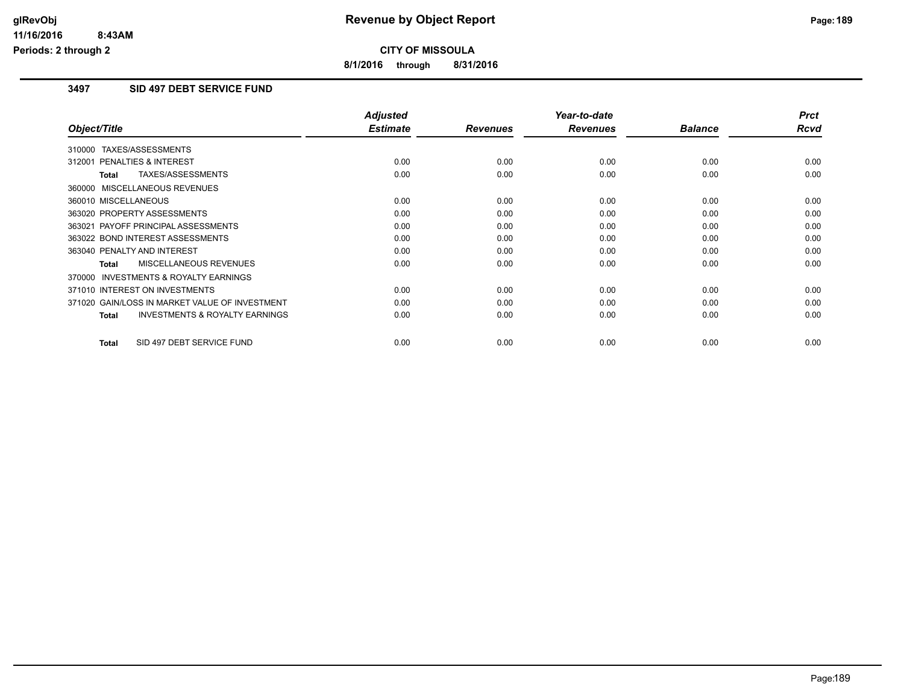**11/16/2016 8:43AM Periods: 2 through 2**

**CITY OF MISSOULA**

**8/1/2016 through 8/31/2016**

## **3497 SID 497 DEBT SERVICE FUND**

|                                                           | <b>Adjusted</b> |                 | Year-to-date    |                | <b>Prct</b> |
|-----------------------------------------------------------|-----------------|-----------------|-----------------|----------------|-------------|
| Object/Title                                              | <b>Estimate</b> | <b>Revenues</b> | <b>Revenues</b> | <b>Balance</b> | Rcvd        |
| 310000 TAXES/ASSESSMENTS                                  |                 |                 |                 |                |             |
| 312001 PENALTIES & INTEREST                               | 0.00            | 0.00            | 0.00            | 0.00           | 0.00        |
| TAXES/ASSESSMENTS<br><b>Total</b>                         | 0.00            | 0.00            | 0.00            | 0.00           | 0.00        |
| 360000 MISCELLANEOUS REVENUES                             |                 |                 |                 |                |             |
| 360010 MISCELLANEOUS                                      | 0.00            | 0.00            | 0.00            | 0.00           | 0.00        |
| 363020 PROPERTY ASSESSMENTS                               | 0.00            | 0.00            | 0.00            | 0.00           | 0.00        |
| 363021 PAYOFF PRINCIPAL ASSESSMENTS                       | 0.00            | 0.00            | 0.00            | 0.00           | 0.00        |
| 363022 BOND INTEREST ASSESSMENTS                          | 0.00            | 0.00            | 0.00            | 0.00           | 0.00        |
| 363040 PENALTY AND INTEREST                               | 0.00            | 0.00            | 0.00            | 0.00           | 0.00        |
| <b>MISCELLANEOUS REVENUES</b><br><b>Total</b>             | 0.00            | 0.00            | 0.00            | 0.00           | 0.00        |
| INVESTMENTS & ROYALTY EARNINGS<br>370000                  |                 |                 |                 |                |             |
| 371010 INTEREST ON INVESTMENTS                            | 0.00            | 0.00            | 0.00            | 0.00           | 0.00        |
| 371020 GAIN/LOSS IN MARKET VALUE OF INVESTMENT            | 0.00            | 0.00            | 0.00            | 0.00           | 0.00        |
| <b>INVESTMENTS &amp; ROYALTY EARNINGS</b><br><b>Total</b> | 0.00            | 0.00            | 0.00            | 0.00           | 0.00        |
| SID 497 DEBT SERVICE FUND<br><b>Total</b>                 | 0.00            | 0.00            | 0.00            | 0.00           | 0.00        |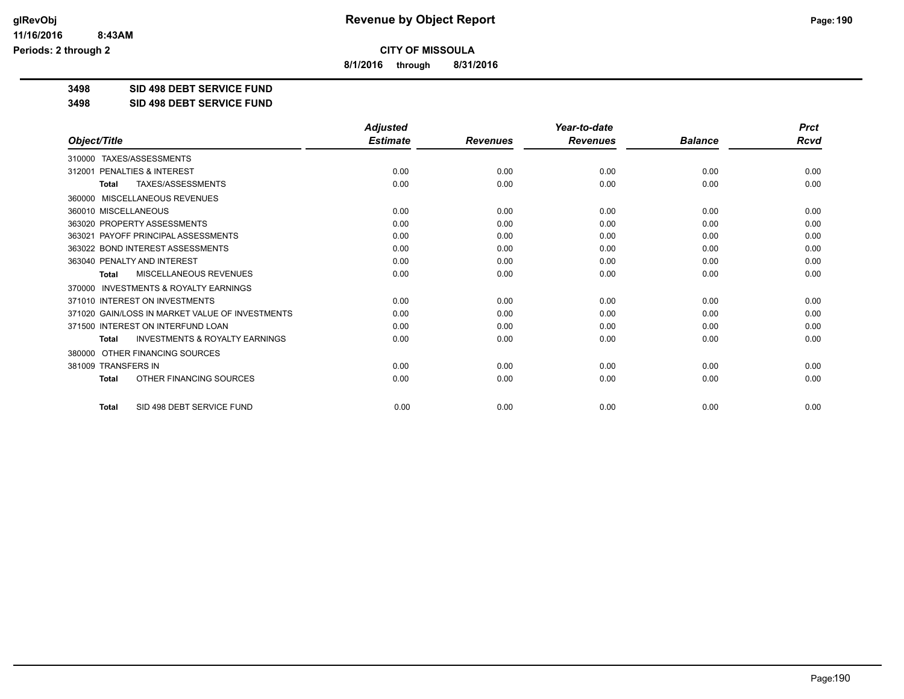**CITY OF MISSOULA**

**8/1/2016 through 8/31/2016**

**3498 SID 498 DEBT SERVICE FUND**

 **8:43AM**

**3498 SID 498 DEBT SERVICE FUND**

|                                                           | <b>Adjusted</b> |                 | Year-to-date    |                | <b>Prct</b> |
|-----------------------------------------------------------|-----------------|-----------------|-----------------|----------------|-------------|
| Object/Title                                              | <b>Estimate</b> | <b>Revenues</b> | <b>Revenues</b> | <b>Balance</b> | Rcvd        |
| TAXES/ASSESSMENTS<br>310000                               |                 |                 |                 |                |             |
| PENALTIES & INTEREST<br>312001                            | 0.00            | 0.00            | 0.00            | 0.00           | 0.00        |
| TAXES/ASSESSMENTS<br><b>Total</b>                         | 0.00            | 0.00            | 0.00            | 0.00           | 0.00        |
| 360000 MISCELLANEOUS REVENUES                             |                 |                 |                 |                |             |
| 360010 MISCELLANEOUS                                      | 0.00            | 0.00            | 0.00            | 0.00           | 0.00        |
| 363020 PROPERTY ASSESSMENTS                               | 0.00            | 0.00            | 0.00            | 0.00           | 0.00        |
| PAYOFF PRINCIPAL ASSESSMENTS<br>363021                    | 0.00            | 0.00            | 0.00            | 0.00           | 0.00        |
| 363022 BOND INTEREST ASSESSMENTS                          | 0.00            | 0.00            | 0.00            | 0.00           | 0.00        |
| 363040 PENALTY AND INTEREST                               | 0.00            | 0.00            | 0.00            | 0.00           | 0.00        |
| MISCELLANEOUS REVENUES<br><b>Total</b>                    | 0.00            | 0.00            | 0.00            | 0.00           | 0.00        |
| 370000 INVESTMENTS & ROYALTY EARNINGS                     |                 |                 |                 |                |             |
| 371010 INTEREST ON INVESTMENTS                            | 0.00            | 0.00            | 0.00            | 0.00           | 0.00        |
| 371020 GAIN/LOSS IN MARKET VALUE OF INVESTMENTS           | 0.00            | 0.00            | 0.00            | 0.00           | 0.00        |
| 371500 INTEREST ON INTERFUND LOAN                         | 0.00            | 0.00            | 0.00            | 0.00           | 0.00        |
| <b>INVESTMENTS &amp; ROYALTY EARNINGS</b><br><b>Total</b> | 0.00            | 0.00            | 0.00            | 0.00           | 0.00        |
| OTHER FINANCING SOURCES<br>380000                         |                 |                 |                 |                |             |
| 381009 TRANSFERS IN                                       | 0.00            | 0.00            | 0.00            | 0.00           | 0.00        |
| OTHER FINANCING SOURCES<br><b>Total</b>                   | 0.00            | 0.00            | 0.00            | 0.00           | 0.00        |
| SID 498 DEBT SERVICE FUND<br>Total                        | 0.00            | 0.00            | 0.00            | 0.00           | 0.00        |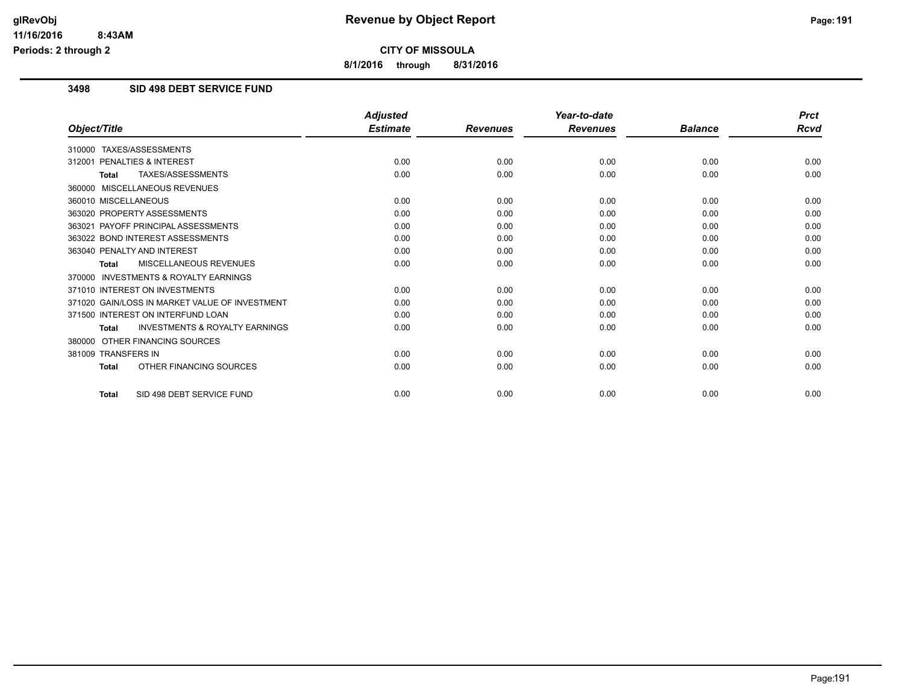**11/16/2016 8:43AM Periods: 2 through 2**

**CITY OF MISSOULA**

**8/1/2016 through 8/31/2016**

## **3498 SID 498 DEBT SERVICE FUND**

|                                                           | <b>Adjusted</b> |                 | Year-to-date    |                | <b>Prct</b> |
|-----------------------------------------------------------|-----------------|-----------------|-----------------|----------------|-------------|
| Object/Title                                              | <b>Estimate</b> | <b>Revenues</b> | <b>Revenues</b> | <b>Balance</b> | <b>Rcvd</b> |
| TAXES/ASSESSMENTS<br>310000                               |                 |                 |                 |                |             |
| PENALTIES & INTEREST<br>312001                            | 0.00            | 0.00            | 0.00            | 0.00           | 0.00        |
| TAXES/ASSESSMENTS<br>Total                                | 0.00            | 0.00            | 0.00            | 0.00           | 0.00        |
| 360000 MISCELLANEOUS REVENUES                             |                 |                 |                 |                |             |
| 360010 MISCELLANEOUS                                      | 0.00            | 0.00            | 0.00            | 0.00           | 0.00        |
| 363020 PROPERTY ASSESSMENTS                               | 0.00            | 0.00            | 0.00            | 0.00           | 0.00        |
| 363021 PAYOFF PRINCIPAL ASSESSMENTS                       | 0.00            | 0.00            | 0.00            | 0.00           | 0.00        |
| 363022 BOND INTEREST ASSESSMENTS                          | 0.00            | 0.00            | 0.00            | 0.00           | 0.00        |
| 363040 PENALTY AND INTEREST                               | 0.00            | 0.00            | 0.00            | 0.00           | 0.00        |
| MISCELLANEOUS REVENUES<br><b>Total</b>                    | 0.00            | 0.00            | 0.00            | 0.00           | 0.00        |
| 370000 INVESTMENTS & ROYALTY EARNINGS                     |                 |                 |                 |                |             |
| 371010 INTEREST ON INVESTMENTS                            | 0.00            | 0.00            | 0.00            | 0.00           | 0.00        |
| 371020 GAIN/LOSS IN MARKET VALUE OF INVESTMENT            | 0.00            | 0.00            | 0.00            | 0.00           | 0.00        |
| 371500 INTEREST ON INTERFUND LOAN                         | 0.00            | 0.00            | 0.00            | 0.00           | 0.00        |
| <b>INVESTMENTS &amp; ROYALTY EARNINGS</b><br><b>Total</b> | 0.00            | 0.00            | 0.00            | 0.00           | 0.00        |
| OTHER FINANCING SOURCES<br>380000                         |                 |                 |                 |                |             |
| 381009 TRANSFERS IN                                       | 0.00            | 0.00            | 0.00            | 0.00           | 0.00        |
| OTHER FINANCING SOURCES<br><b>Total</b>                   | 0.00            | 0.00            | 0.00            | 0.00           | 0.00        |
| SID 498 DEBT SERVICE FUND<br><b>Total</b>                 | 0.00            | 0.00            | 0.00            | 0.00           | 0.00        |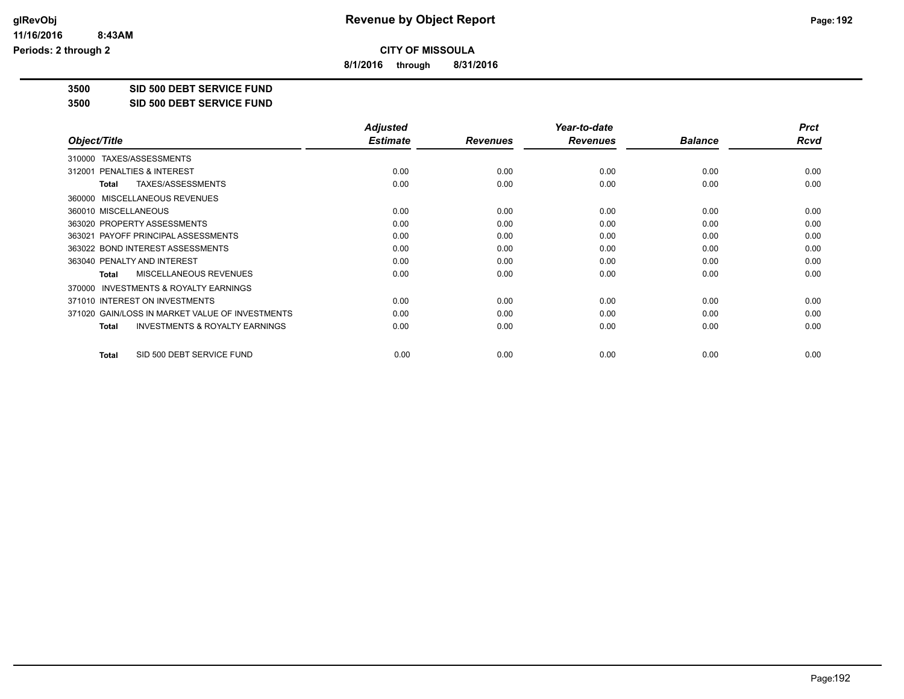**8/1/2016 through 8/31/2016**

**3500 SID 500 DEBT SERVICE FUND**

**3500 SID 500 DEBT SERVICE FUND**

|                                                           | <b>Adjusted</b> |                 | Year-to-date    |                | <b>Prct</b> |
|-----------------------------------------------------------|-----------------|-----------------|-----------------|----------------|-------------|
| Object/Title                                              | <b>Estimate</b> | <b>Revenues</b> | <b>Revenues</b> | <b>Balance</b> | Rcvd        |
| 310000 TAXES/ASSESSMENTS                                  |                 |                 |                 |                |             |
| 312001 PENALTIES & INTEREST                               | 0.00            | 0.00            | 0.00            | 0.00           | 0.00        |
| TAXES/ASSESSMENTS<br><b>Total</b>                         | 0.00            | 0.00            | 0.00            | 0.00           | 0.00        |
| MISCELLANEOUS REVENUES<br>360000                          |                 |                 |                 |                |             |
| 360010 MISCELLANEOUS                                      | 0.00            | 0.00            | 0.00            | 0.00           | 0.00        |
| 363020 PROPERTY ASSESSMENTS                               | 0.00            | 0.00            | 0.00            | 0.00           | 0.00        |
| 363021 PAYOFF PRINCIPAL ASSESSMENTS                       | 0.00            | 0.00            | 0.00            | 0.00           | 0.00        |
| 363022 BOND INTEREST ASSESSMENTS                          | 0.00            | 0.00            | 0.00            | 0.00           | 0.00        |
| 363040 PENALTY AND INTEREST                               | 0.00            | 0.00            | 0.00            | 0.00           | 0.00        |
| <b>MISCELLANEOUS REVENUES</b><br>Total                    | 0.00            | 0.00            | 0.00            | 0.00           | 0.00        |
| 370000 INVESTMENTS & ROYALTY EARNINGS                     |                 |                 |                 |                |             |
| 371010 INTEREST ON INVESTMENTS                            | 0.00            | 0.00            | 0.00            | 0.00           | 0.00        |
| 371020 GAIN/LOSS IN MARKET VALUE OF INVESTMENTS           | 0.00            | 0.00            | 0.00            | 0.00           | 0.00        |
| <b>INVESTMENTS &amp; ROYALTY EARNINGS</b><br><b>Total</b> | 0.00            | 0.00            | 0.00            | 0.00           | 0.00        |
| SID 500 DEBT SERVICE FUND<br><b>Total</b>                 | 0.00            | 0.00            | 0.00            | 0.00           | 0.00        |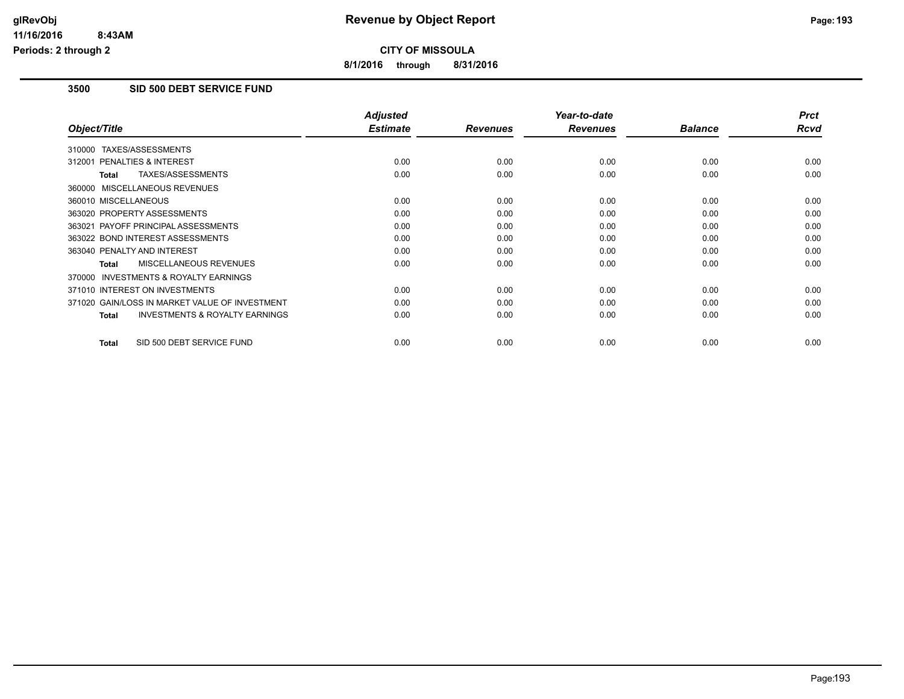**11/16/2016 8:43AM Periods: 2 through 2**

**CITY OF MISSOULA**

**8/1/2016 through 8/31/2016**

# **3500 SID 500 DEBT SERVICE FUND**

| Object/Title                                              | <b>Adjusted</b><br><b>Estimate</b> | <b>Revenues</b> | Year-to-date<br><b>Revenues</b> | <b>Balance</b> | <b>Prct</b><br>Rcvd |
|-----------------------------------------------------------|------------------------------------|-----------------|---------------------------------|----------------|---------------------|
|                                                           |                                    |                 |                                 |                |                     |
| 310000 TAXES/ASSESSMENTS                                  |                                    |                 |                                 |                |                     |
| 312001 PENALTIES & INTEREST                               | 0.00                               | 0.00            | 0.00                            | 0.00           | 0.00                |
| TAXES/ASSESSMENTS<br><b>Total</b>                         | 0.00                               | 0.00            | 0.00                            | 0.00           | 0.00                |
| 360000 MISCELLANEOUS REVENUES                             |                                    |                 |                                 |                |                     |
| 360010 MISCELLANEOUS                                      | 0.00                               | 0.00            | 0.00                            | 0.00           | 0.00                |
| 363020 PROPERTY ASSESSMENTS                               | 0.00                               | 0.00            | 0.00                            | 0.00           | 0.00                |
| 363021 PAYOFF PRINCIPAL ASSESSMENTS                       | 0.00                               | 0.00            | 0.00                            | 0.00           | 0.00                |
| 363022 BOND INTEREST ASSESSMENTS                          | 0.00                               | 0.00            | 0.00                            | 0.00           | 0.00                |
| 363040 PENALTY AND INTEREST                               | 0.00                               | 0.00            | 0.00                            | 0.00           | 0.00                |
| <b>MISCELLANEOUS REVENUES</b><br><b>Total</b>             | 0.00                               | 0.00            | 0.00                            | 0.00           | 0.00                |
| <b>INVESTMENTS &amp; ROYALTY EARNINGS</b><br>370000       |                                    |                 |                                 |                |                     |
| 371010 INTEREST ON INVESTMENTS                            | 0.00                               | 0.00            | 0.00                            | 0.00           | 0.00                |
| 371020 GAIN/LOSS IN MARKET VALUE OF INVESTMENT            | 0.00                               | 0.00            | 0.00                            | 0.00           | 0.00                |
| <b>INVESTMENTS &amp; ROYALTY EARNINGS</b><br><b>Total</b> | 0.00                               | 0.00            | 0.00                            | 0.00           | 0.00                |
| SID 500 DEBT SERVICE FUND<br><b>Total</b>                 | 0.00                               | 0.00            | 0.00                            | 0.00           | 0.00                |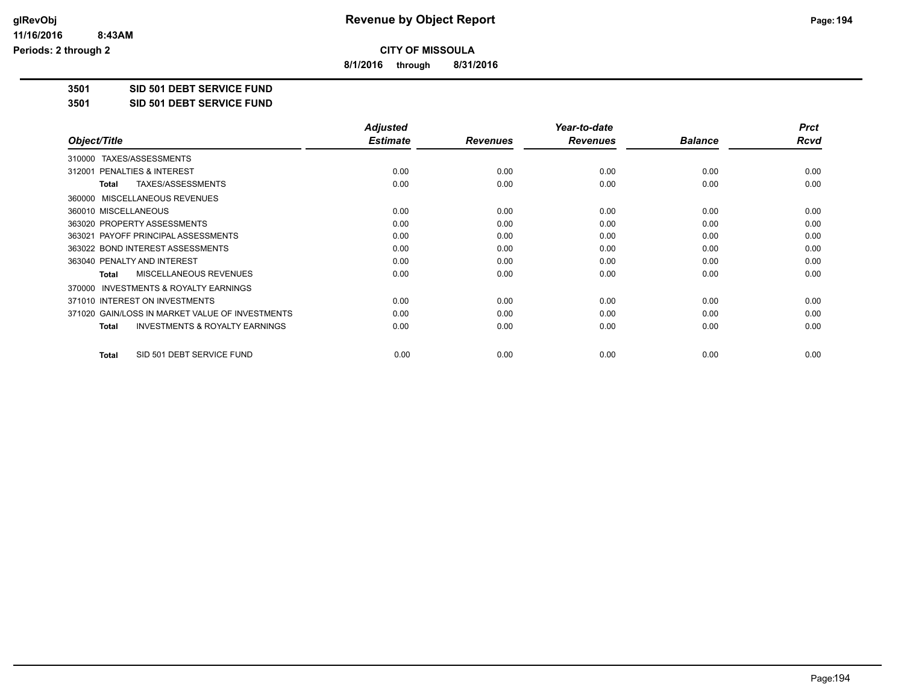**8/1/2016 through 8/31/2016**

**3501 SID 501 DEBT SERVICE FUND**

**3501 SID 501 DEBT SERVICE FUND**

|                                                           | <b>Adjusted</b> |                 | Year-to-date    |                | <b>Prct</b> |
|-----------------------------------------------------------|-----------------|-----------------|-----------------|----------------|-------------|
| Object/Title                                              | <b>Estimate</b> | <b>Revenues</b> | <b>Revenues</b> | <b>Balance</b> | Rcvd        |
| 310000 TAXES/ASSESSMENTS                                  |                 |                 |                 |                |             |
| 312001 PENALTIES & INTEREST                               | 0.00            | 0.00            | 0.00            | 0.00           | 0.00        |
| TAXES/ASSESSMENTS<br><b>Total</b>                         | 0.00            | 0.00            | 0.00            | 0.00           | 0.00        |
| MISCELLANEOUS REVENUES<br>360000                          |                 |                 |                 |                |             |
| 360010 MISCELLANEOUS                                      | 0.00            | 0.00            | 0.00            | 0.00           | 0.00        |
| 363020 PROPERTY ASSESSMENTS                               | 0.00            | 0.00            | 0.00            | 0.00           | 0.00        |
| 363021 PAYOFF PRINCIPAL ASSESSMENTS                       | 0.00            | 0.00            | 0.00            | 0.00           | 0.00        |
| 363022 BOND INTEREST ASSESSMENTS                          | 0.00            | 0.00            | 0.00            | 0.00           | 0.00        |
| 363040 PENALTY AND INTEREST                               | 0.00            | 0.00            | 0.00            | 0.00           | 0.00        |
| <b>MISCELLANEOUS REVENUES</b><br>Total                    | 0.00            | 0.00            | 0.00            | 0.00           | 0.00        |
| 370000 INVESTMENTS & ROYALTY EARNINGS                     |                 |                 |                 |                |             |
| 371010 INTEREST ON INVESTMENTS                            | 0.00            | 0.00            | 0.00            | 0.00           | 0.00        |
| 371020 GAIN/LOSS IN MARKET VALUE OF INVESTMENTS           | 0.00            | 0.00            | 0.00            | 0.00           | 0.00        |
| <b>INVESTMENTS &amp; ROYALTY EARNINGS</b><br><b>Total</b> | 0.00            | 0.00            | 0.00            | 0.00           | 0.00        |
| SID 501 DEBT SERVICE FUND<br><b>Total</b>                 | 0.00            | 0.00            | 0.00            | 0.00           | 0.00        |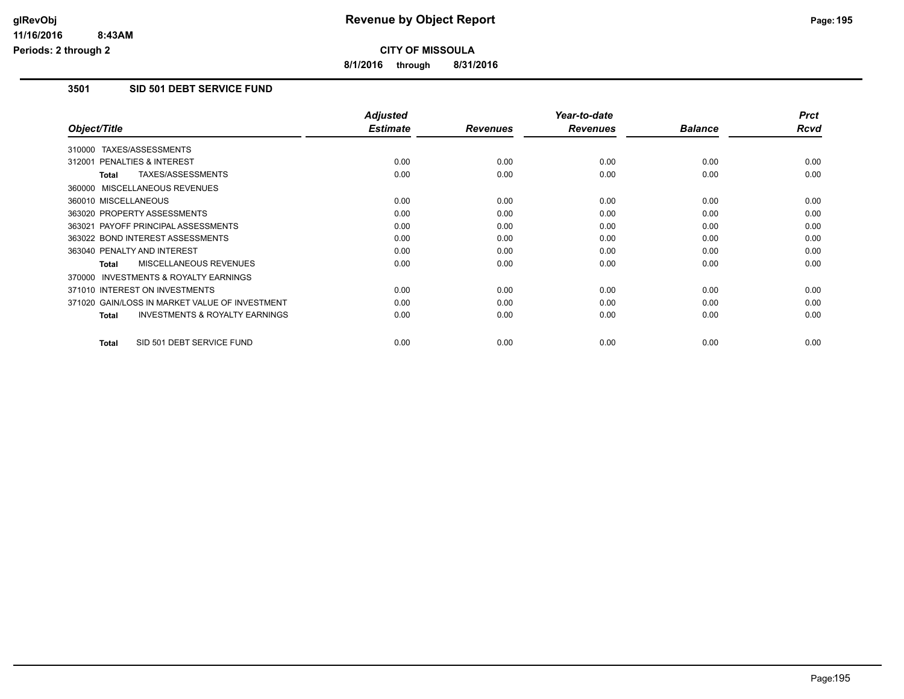**CITY OF MISSOULA**

**8/1/2016 through 8/31/2016**

# **3501 SID 501 DEBT SERVICE FUND**

|                                                           | <b>Adjusted</b> |                 | Year-to-date    |                | <b>Prct</b> |
|-----------------------------------------------------------|-----------------|-----------------|-----------------|----------------|-------------|
| Object/Title                                              | <b>Estimate</b> | <b>Revenues</b> | <b>Revenues</b> | <b>Balance</b> | Rcvd        |
| 310000 TAXES/ASSESSMENTS                                  |                 |                 |                 |                |             |
| 312001 PENALTIES & INTEREST                               | 0.00            | 0.00            | 0.00            | 0.00           | 0.00        |
| TAXES/ASSESSMENTS<br><b>Total</b>                         | 0.00            | 0.00            | 0.00            | 0.00           | 0.00        |
| 360000 MISCELLANEOUS REVENUES                             |                 |                 |                 |                |             |
| 360010 MISCELLANEOUS                                      | 0.00            | 0.00            | 0.00            | 0.00           | 0.00        |
| 363020 PROPERTY ASSESSMENTS                               | 0.00            | 0.00            | 0.00            | 0.00           | 0.00        |
| 363021 PAYOFF PRINCIPAL ASSESSMENTS                       | 0.00            | 0.00            | 0.00            | 0.00           | 0.00        |
| 363022 BOND INTEREST ASSESSMENTS                          | 0.00            | 0.00            | 0.00            | 0.00           | 0.00        |
| 363040 PENALTY AND INTEREST                               | 0.00            | 0.00            | 0.00            | 0.00           | 0.00        |
| <b>MISCELLANEOUS REVENUES</b><br><b>Total</b>             | 0.00            | 0.00            | 0.00            | 0.00           | 0.00        |
| INVESTMENTS & ROYALTY EARNINGS<br>370000                  |                 |                 |                 |                |             |
| 371010 INTEREST ON INVESTMENTS                            | 0.00            | 0.00            | 0.00            | 0.00           | 0.00        |
| 371020 GAIN/LOSS IN MARKET VALUE OF INVESTMENT            | 0.00            | 0.00            | 0.00            | 0.00           | 0.00        |
| <b>INVESTMENTS &amp; ROYALTY EARNINGS</b><br><b>Total</b> | 0.00            | 0.00            | 0.00            | 0.00           | 0.00        |
| SID 501 DEBT SERVICE FUND<br><b>Total</b>                 | 0.00            | 0.00            | 0.00            | 0.00           | 0.00        |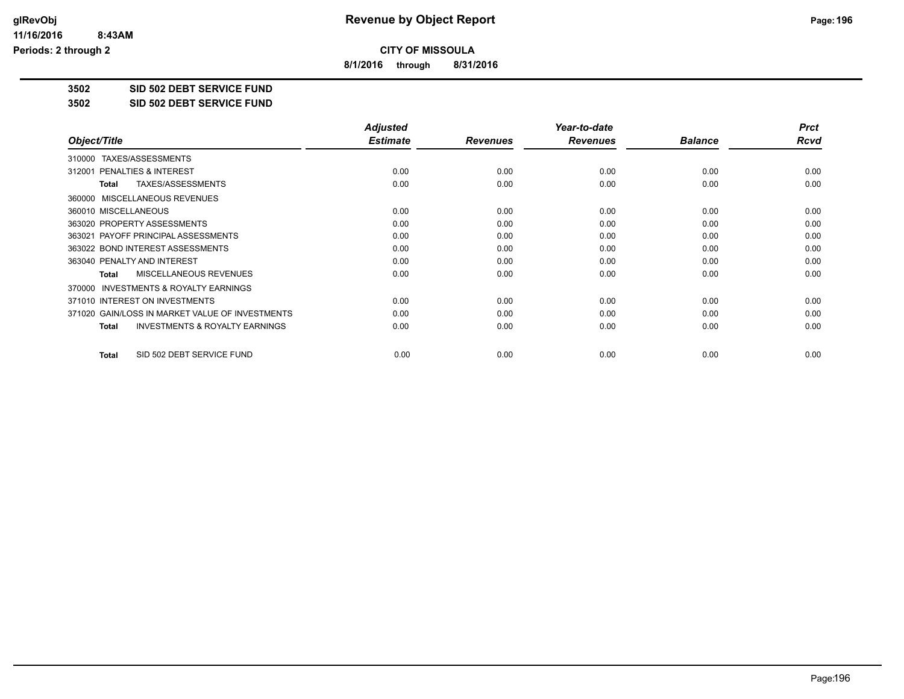**8/1/2016 through 8/31/2016**

**3502 SID 502 DEBT SERVICE FUND**

**3502 SID 502 DEBT SERVICE FUND**

|                                                           | <b>Adjusted</b> |                 | Year-to-date    |                | <b>Prct</b> |
|-----------------------------------------------------------|-----------------|-----------------|-----------------|----------------|-------------|
| Object/Title                                              | <b>Estimate</b> | <b>Revenues</b> | <b>Revenues</b> | <b>Balance</b> | Rcvd        |
| 310000 TAXES/ASSESSMENTS                                  |                 |                 |                 |                |             |
| <b>PENALTIES &amp; INTEREST</b><br>312001                 | 0.00            | 0.00            | 0.00            | 0.00           | 0.00        |
| TAXES/ASSESSMENTS<br>Total                                | 0.00            | 0.00            | 0.00            | 0.00           | 0.00        |
| 360000 MISCELLANEOUS REVENUES                             |                 |                 |                 |                |             |
| 360010 MISCELLANEOUS                                      | 0.00            | 0.00            | 0.00            | 0.00           | 0.00        |
| 363020 PROPERTY ASSESSMENTS                               | 0.00            | 0.00            | 0.00            | 0.00           | 0.00        |
| 363021 PAYOFF PRINCIPAL ASSESSMENTS                       | 0.00            | 0.00            | 0.00            | 0.00           | 0.00        |
| 363022 BOND INTEREST ASSESSMENTS                          | 0.00            | 0.00            | 0.00            | 0.00           | 0.00        |
| 363040 PENALTY AND INTEREST                               | 0.00            | 0.00            | 0.00            | 0.00           | 0.00        |
| <b>MISCELLANEOUS REVENUES</b><br>Total                    | 0.00            | 0.00            | 0.00            | 0.00           | 0.00        |
| <b>INVESTMENTS &amp; ROYALTY EARNINGS</b><br>370000       |                 |                 |                 |                |             |
| 371010 INTEREST ON INVESTMENTS                            | 0.00            | 0.00            | 0.00            | 0.00           | 0.00        |
| 371020 GAIN/LOSS IN MARKET VALUE OF INVESTMENTS           | 0.00            | 0.00            | 0.00            | 0.00           | 0.00        |
| <b>INVESTMENTS &amp; ROYALTY EARNINGS</b><br><b>Total</b> | 0.00            | 0.00            | 0.00            | 0.00           | 0.00        |
| SID 502 DEBT SERVICE FUND<br><b>Total</b>                 | 0.00            | 0.00            | 0.00            | 0.00           | 0.00        |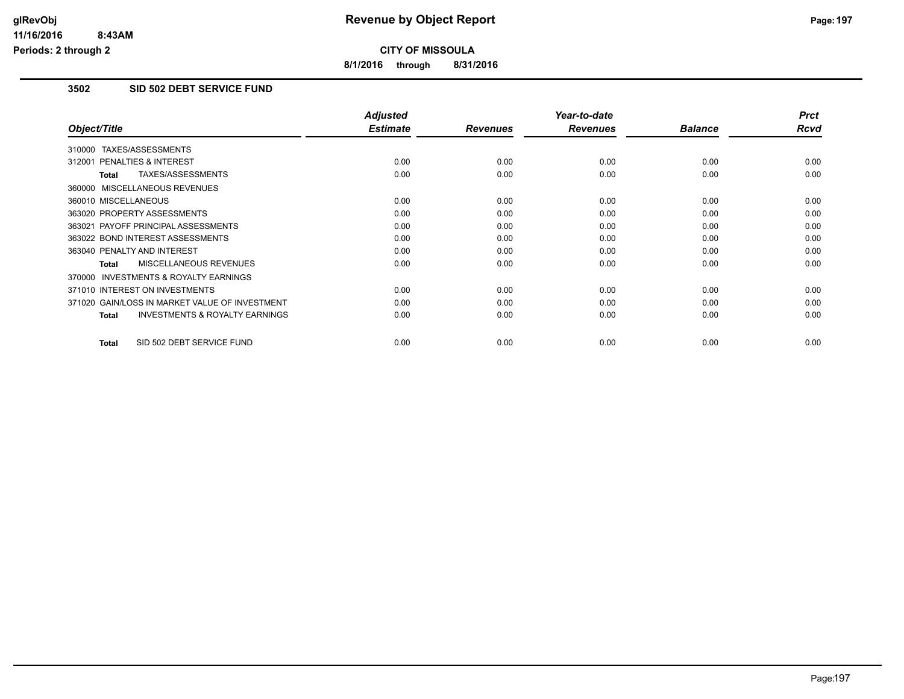**CITY OF MISSOULA**

**8/1/2016 through 8/31/2016**

## **3502 SID 502 DEBT SERVICE FUND**

|                                                    | <b>Adjusted</b> |                 | Year-to-date    |                | <b>Prct</b> |
|----------------------------------------------------|-----------------|-----------------|-----------------|----------------|-------------|
| Object/Title                                       | <b>Estimate</b> | <b>Revenues</b> | <b>Revenues</b> | <b>Balance</b> | <b>Rcvd</b> |
| 310000 TAXES/ASSESSMENTS                           |                 |                 |                 |                |             |
| PENALTIES & INTEREST<br>312001                     | 0.00            | 0.00            | 0.00            | 0.00           | 0.00        |
| TAXES/ASSESSMENTS<br>Total                         | 0.00            | 0.00            | 0.00            | 0.00           | 0.00        |
| 360000 MISCELLANEOUS REVENUES                      |                 |                 |                 |                |             |
| 360010 MISCELLANEOUS                               | 0.00            | 0.00            | 0.00            | 0.00           | 0.00        |
| 363020 PROPERTY ASSESSMENTS                        | 0.00            | 0.00            | 0.00            | 0.00           | 0.00        |
| 363021 PAYOFF PRINCIPAL ASSESSMENTS                | 0.00            | 0.00            | 0.00            | 0.00           | 0.00        |
| 363022 BOND INTEREST ASSESSMENTS                   | 0.00            | 0.00            | 0.00            | 0.00           | 0.00        |
| 363040 PENALTY AND INTEREST                        | 0.00            | 0.00            | 0.00            | 0.00           | 0.00        |
| MISCELLANEOUS REVENUES<br>Total                    | 0.00            | 0.00            | 0.00            | 0.00           | 0.00        |
| 370000 INVESTMENTS & ROYALTY EARNINGS              |                 |                 |                 |                |             |
| 371010 INTEREST ON INVESTMENTS                     | 0.00            | 0.00            | 0.00            | 0.00           | 0.00        |
| 371020 GAIN/LOSS IN MARKET VALUE OF INVESTMENT     | 0.00            | 0.00            | 0.00            | 0.00           | 0.00        |
| <b>INVESTMENTS &amp; ROYALTY EARNINGS</b><br>Total | 0.00            | 0.00            | 0.00            | 0.00           | 0.00        |
| SID 502 DEBT SERVICE FUND<br>Total                 | 0.00            | 0.00            | 0.00            | 0.00           | 0.00        |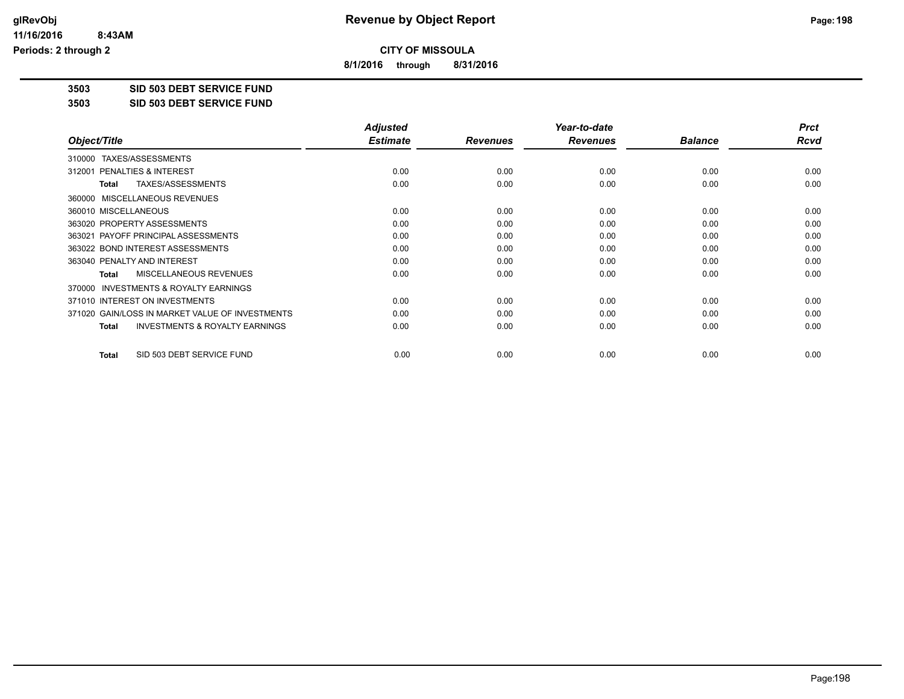**8/1/2016 through 8/31/2016**

**3503 SID 503 DEBT SERVICE FUND**

**3503 SID 503 DEBT SERVICE FUND**

|                                                           | <b>Adjusted</b> |                 | Year-to-date    |                | <b>Prct</b> |
|-----------------------------------------------------------|-----------------|-----------------|-----------------|----------------|-------------|
| Object/Title                                              | <b>Estimate</b> | <b>Revenues</b> | <b>Revenues</b> | <b>Balance</b> | Rcvd        |
| TAXES/ASSESSMENTS<br>310000                               |                 |                 |                 |                |             |
| 312001 PENALTIES & INTEREST                               | 0.00            | 0.00            | 0.00            | 0.00           | 0.00        |
| TAXES/ASSESSMENTS<br><b>Total</b>                         | 0.00            | 0.00            | 0.00            | 0.00           | 0.00        |
| MISCELLANEOUS REVENUES<br>360000                          |                 |                 |                 |                |             |
| 360010 MISCELLANEOUS                                      | 0.00            | 0.00            | 0.00            | 0.00           | 0.00        |
| 363020 PROPERTY ASSESSMENTS                               | 0.00            | 0.00            | 0.00            | 0.00           | 0.00        |
| 363021 PAYOFF PRINCIPAL ASSESSMENTS                       | 0.00            | 0.00            | 0.00            | 0.00           | 0.00        |
| 363022 BOND INTEREST ASSESSMENTS                          | 0.00            | 0.00            | 0.00            | 0.00           | 0.00        |
| 363040 PENALTY AND INTEREST                               | 0.00            | 0.00            | 0.00            | 0.00           | 0.00        |
| <b>MISCELLANEOUS REVENUES</b><br>Total                    | 0.00            | 0.00            | 0.00            | 0.00           | 0.00        |
| <b>INVESTMENTS &amp; ROYALTY EARNINGS</b><br>370000       |                 |                 |                 |                |             |
| 371010 INTEREST ON INVESTMENTS                            | 0.00            | 0.00            | 0.00            | 0.00           | 0.00        |
| 371020 GAIN/LOSS IN MARKET VALUE OF INVESTMENTS           | 0.00            | 0.00            | 0.00            | 0.00           | 0.00        |
| <b>INVESTMENTS &amp; ROYALTY EARNINGS</b><br><b>Total</b> | 0.00            | 0.00            | 0.00            | 0.00           | 0.00        |
| SID 503 DEBT SERVICE FUND<br><b>Total</b>                 | 0.00            | 0.00            | 0.00            | 0.00           | 0.00        |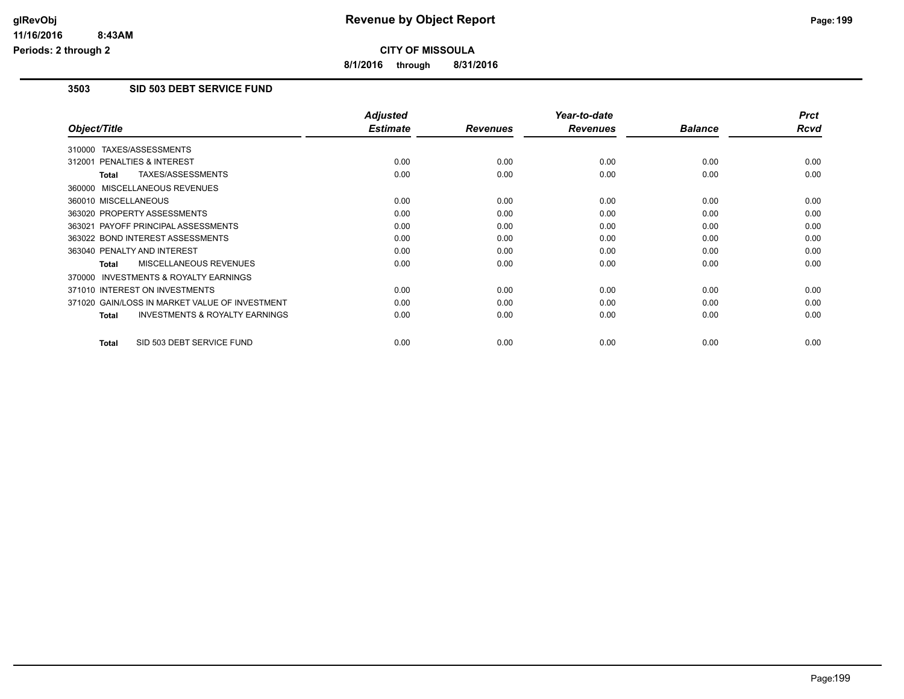**CITY OF MISSOULA**

**8/1/2016 through 8/31/2016**

# **3503 SID 503 DEBT SERVICE FUND**

| Object/Title                                              | <b>Adjusted</b><br><b>Estimate</b> | <b>Revenues</b> | Year-to-date<br><b>Revenues</b> | <b>Balance</b> | <b>Prct</b><br><b>Rcvd</b> |
|-----------------------------------------------------------|------------------------------------|-----------------|---------------------------------|----------------|----------------------------|
|                                                           |                                    |                 |                                 |                |                            |
| 310000 TAXES/ASSESSMENTS                                  |                                    |                 |                                 |                |                            |
| 312001 PENALTIES & INTEREST                               | 0.00                               | 0.00            | 0.00                            | 0.00           | 0.00                       |
| TAXES/ASSESSMENTS<br><b>Total</b>                         | 0.00                               | 0.00            | 0.00                            | 0.00           | 0.00                       |
| 360000 MISCELLANEOUS REVENUES                             |                                    |                 |                                 |                |                            |
| 360010 MISCELLANEOUS                                      | 0.00                               | 0.00            | 0.00                            | 0.00           | 0.00                       |
| 363020 PROPERTY ASSESSMENTS                               | 0.00                               | 0.00            | 0.00                            | 0.00           | 0.00                       |
| 363021 PAYOFF PRINCIPAL ASSESSMENTS                       | 0.00                               | 0.00            | 0.00                            | 0.00           | 0.00                       |
| 363022 BOND INTEREST ASSESSMENTS                          | 0.00                               | 0.00            | 0.00                            | 0.00           | 0.00                       |
| 363040 PENALTY AND INTEREST                               | 0.00                               | 0.00            | 0.00                            | 0.00           | 0.00                       |
| MISCELLANEOUS REVENUES<br>Total                           | 0.00                               | 0.00            | 0.00                            | 0.00           | 0.00                       |
| <b>INVESTMENTS &amp; ROYALTY EARNINGS</b><br>370000       |                                    |                 |                                 |                |                            |
| 371010 INTEREST ON INVESTMENTS                            | 0.00                               | 0.00            | 0.00                            | 0.00           | 0.00                       |
| 371020 GAIN/LOSS IN MARKET VALUE OF INVESTMENT            | 0.00                               | 0.00            | 0.00                            | 0.00           | 0.00                       |
| <b>INVESTMENTS &amp; ROYALTY EARNINGS</b><br><b>Total</b> | 0.00                               | 0.00            | 0.00                            | 0.00           | 0.00                       |
|                                                           |                                    |                 |                                 |                |                            |
| SID 503 DEBT SERVICE FUND<br><b>Total</b>                 | 0.00                               | 0.00            | 0.00                            | 0.00           | 0.00                       |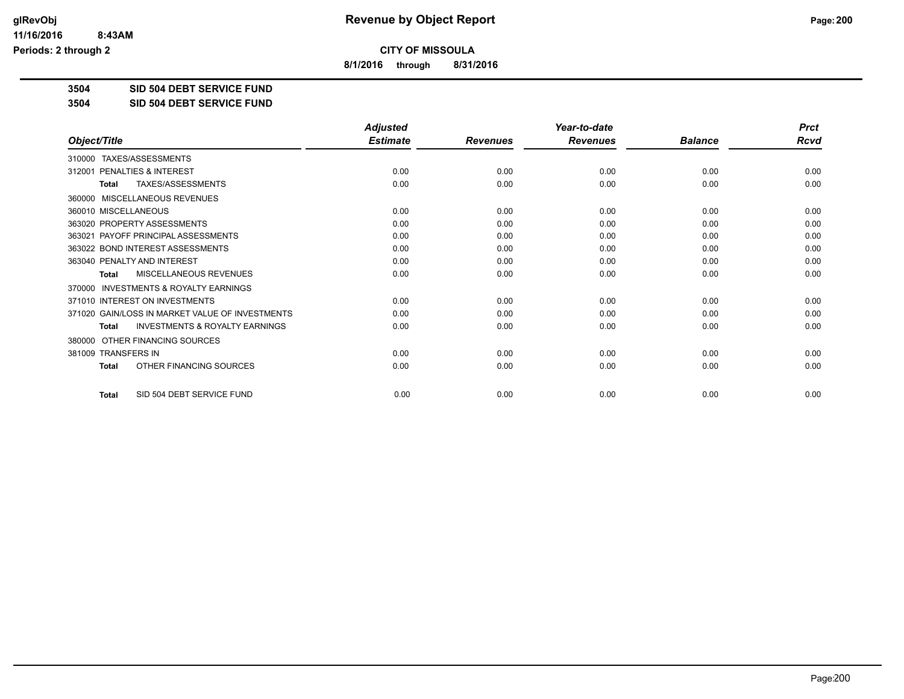**8/1/2016 through 8/31/2016**

**3504 SID 504 DEBT SERVICE FUND**

**3504 SID 504 DEBT SERVICE FUND**

|                                                           | <b>Adjusted</b> |                 | Year-to-date    |                | <b>Prct</b> |
|-----------------------------------------------------------|-----------------|-----------------|-----------------|----------------|-------------|
| Object/Title                                              | <b>Estimate</b> | <b>Revenues</b> | <b>Revenues</b> | <b>Balance</b> | <b>Rcvd</b> |
| TAXES/ASSESSMENTS<br>310000                               |                 |                 |                 |                |             |
| PENALTIES & INTEREST<br>312001                            | 0.00            | 0.00            | 0.00            | 0.00           | 0.00        |
| TAXES/ASSESSMENTS<br>Total                                | 0.00            | 0.00            | 0.00            | 0.00           | 0.00        |
| MISCELLANEOUS REVENUES<br>360000                          |                 |                 |                 |                |             |
| 360010 MISCELLANEOUS                                      | 0.00            | 0.00            | 0.00            | 0.00           | 0.00        |
| 363020 PROPERTY ASSESSMENTS                               | 0.00            | 0.00            | 0.00            | 0.00           | 0.00        |
| 363021 PAYOFF PRINCIPAL ASSESSMENTS                       | 0.00            | 0.00            | 0.00            | 0.00           | 0.00        |
| 363022 BOND INTEREST ASSESSMENTS                          | 0.00            | 0.00            | 0.00            | 0.00           | 0.00        |
| 363040 PENALTY AND INTEREST                               | 0.00            | 0.00            | 0.00            | 0.00           | 0.00        |
| MISCELLANEOUS REVENUES<br><b>Total</b>                    | 0.00            | 0.00            | 0.00            | 0.00           | 0.00        |
| <b>INVESTMENTS &amp; ROYALTY EARNINGS</b><br>370000       |                 |                 |                 |                |             |
| 371010 INTEREST ON INVESTMENTS                            | 0.00            | 0.00            | 0.00            | 0.00           | 0.00        |
| 371020 GAIN/LOSS IN MARKET VALUE OF INVESTMENTS           | 0.00            | 0.00            | 0.00            | 0.00           | 0.00        |
| <b>INVESTMENTS &amp; ROYALTY EARNINGS</b><br><b>Total</b> | 0.00            | 0.00            | 0.00            | 0.00           | 0.00        |
| OTHER FINANCING SOURCES<br>380000                         |                 |                 |                 |                |             |
| 381009 TRANSFERS IN                                       | 0.00            | 0.00            | 0.00            | 0.00           | 0.00        |
| OTHER FINANCING SOURCES<br>Total                          | 0.00            | 0.00            | 0.00            | 0.00           | 0.00        |
| SID 504 DEBT SERVICE FUND<br><b>Total</b>                 | 0.00            | 0.00            | 0.00            | 0.00           | 0.00        |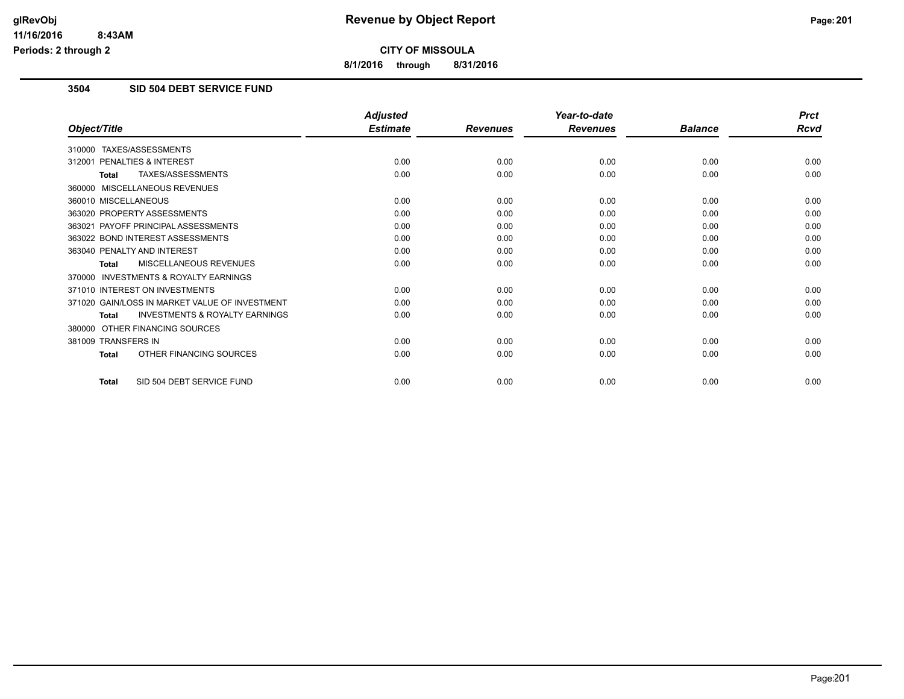**CITY OF MISSOULA**

**8/1/2016 through 8/31/2016**

#### **3504 SID 504 DEBT SERVICE FUND**

|                                                    | <b>Adjusted</b> |                 | Year-to-date    |                | <b>Prct</b> |
|----------------------------------------------------|-----------------|-----------------|-----------------|----------------|-------------|
| Object/Title                                       | <b>Estimate</b> | <b>Revenues</b> | <b>Revenues</b> | <b>Balance</b> | <b>Rcvd</b> |
| 310000 TAXES/ASSESSMENTS                           |                 |                 |                 |                |             |
| PENALTIES & INTEREST<br>312001                     | 0.00            | 0.00            | 0.00            | 0.00           | 0.00        |
| TAXES/ASSESSMENTS<br><b>Total</b>                  | 0.00            | 0.00            | 0.00            | 0.00           | 0.00        |
| 360000 MISCELLANEOUS REVENUES                      |                 |                 |                 |                |             |
| 360010 MISCELLANEOUS                               | 0.00            | 0.00            | 0.00            | 0.00           | 0.00        |
| 363020 PROPERTY ASSESSMENTS                        | 0.00            | 0.00            | 0.00            | 0.00           | 0.00        |
| 363021 PAYOFF PRINCIPAL ASSESSMENTS                | 0.00            | 0.00            | 0.00            | 0.00           | 0.00        |
| 363022 BOND INTEREST ASSESSMENTS                   | 0.00            | 0.00            | 0.00            | 0.00           | 0.00        |
| 363040 PENALTY AND INTEREST                        | 0.00            | 0.00            | 0.00            | 0.00           | 0.00        |
| MISCELLANEOUS REVENUES<br><b>Total</b>             | 0.00            | 0.00            | 0.00            | 0.00           | 0.00        |
| 370000 INVESTMENTS & ROYALTY EARNINGS              |                 |                 |                 |                |             |
| 371010 INTEREST ON INVESTMENTS                     | 0.00            | 0.00            | 0.00            | 0.00           | 0.00        |
| 371020 GAIN/LOSS IN MARKET VALUE OF INVESTMENT     | 0.00            | 0.00            | 0.00            | 0.00           | 0.00        |
| <b>INVESTMENTS &amp; ROYALTY EARNINGS</b><br>Total | 0.00            | 0.00            | 0.00            | 0.00           | 0.00        |
| 380000 OTHER FINANCING SOURCES                     |                 |                 |                 |                |             |
| 381009 TRANSFERS IN                                | 0.00            | 0.00            | 0.00            | 0.00           | 0.00        |
| OTHER FINANCING SOURCES<br>Total                   | 0.00            | 0.00            | 0.00            | 0.00           | 0.00        |
| SID 504 DEBT SERVICE FUND<br><b>Total</b>          | 0.00            | 0.00            | 0.00            | 0.00           | 0.00        |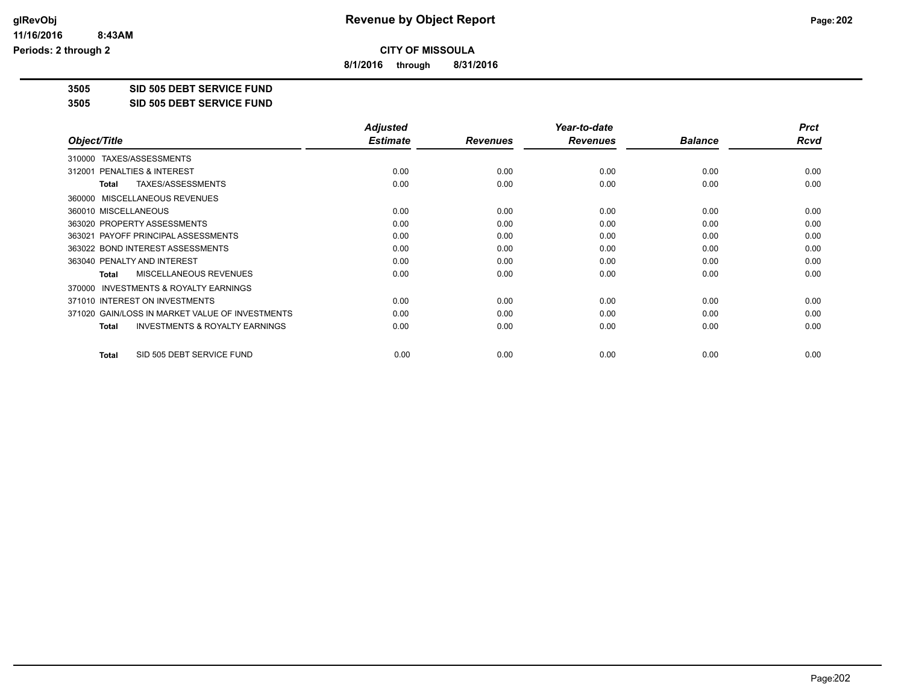**8/1/2016 through 8/31/2016**

**3505 SID 505 DEBT SERVICE FUND**

**3505 SID 505 DEBT SERVICE FUND**

|                                                           | <b>Adjusted</b> |                 | Year-to-date    |                | <b>Prct</b> |
|-----------------------------------------------------------|-----------------|-----------------|-----------------|----------------|-------------|
| Object/Title                                              | <b>Estimate</b> | <b>Revenues</b> | <b>Revenues</b> | <b>Balance</b> | Rcvd        |
| TAXES/ASSESSMENTS<br>310000                               |                 |                 |                 |                |             |
| 312001 PENALTIES & INTEREST                               | 0.00            | 0.00            | 0.00            | 0.00           | 0.00        |
| TAXES/ASSESSMENTS<br>Total                                | 0.00            | 0.00            | 0.00            | 0.00           | 0.00        |
| MISCELLANEOUS REVENUES<br>360000                          |                 |                 |                 |                |             |
| 360010 MISCELLANEOUS                                      | 0.00            | 0.00            | 0.00            | 0.00           | 0.00        |
| 363020 PROPERTY ASSESSMENTS                               | 0.00            | 0.00            | 0.00            | 0.00           | 0.00        |
| 363021 PAYOFF PRINCIPAL ASSESSMENTS                       | 0.00            | 0.00            | 0.00            | 0.00           | 0.00        |
| 363022 BOND INTEREST ASSESSMENTS                          | 0.00            | 0.00            | 0.00            | 0.00           | 0.00        |
| 363040 PENALTY AND INTEREST                               | 0.00            | 0.00            | 0.00            | 0.00           | 0.00        |
| <b>MISCELLANEOUS REVENUES</b><br>Total                    | 0.00            | 0.00            | 0.00            | 0.00           | 0.00        |
| INVESTMENTS & ROYALTY EARNINGS<br>370000                  |                 |                 |                 |                |             |
| 371010 INTEREST ON INVESTMENTS                            | 0.00            | 0.00            | 0.00            | 0.00           | 0.00        |
| 371020 GAIN/LOSS IN MARKET VALUE OF INVESTMENTS           | 0.00            | 0.00            | 0.00            | 0.00           | 0.00        |
| <b>INVESTMENTS &amp; ROYALTY EARNINGS</b><br><b>Total</b> | 0.00            | 0.00            | 0.00            | 0.00           | 0.00        |
| SID 505 DEBT SERVICE FUND<br><b>Total</b>                 | 0.00            | 0.00            | 0.00            | 0.00           | 0.00        |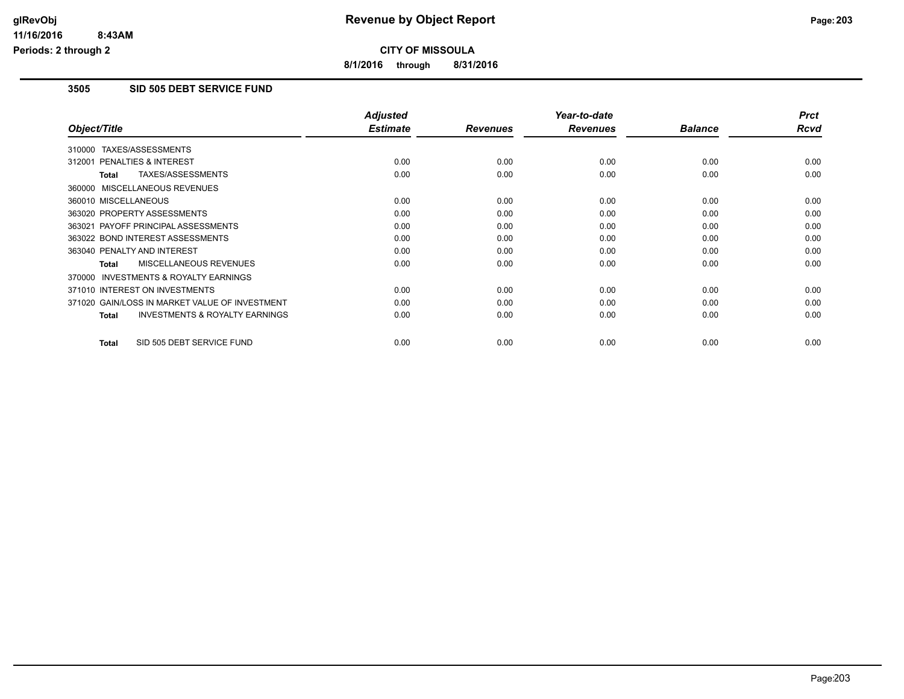**CITY OF MISSOULA**

**8/1/2016 through 8/31/2016**

# **3505 SID 505 DEBT SERVICE FUND**

|                                                     | <b>Adjusted</b> |                 | Year-to-date    |                | <b>Prct</b> |
|-----------------------------------------------------|-----------------|-----------------|-----------------|----------------|-------------|
| Object/Title                                        | <b>Estimate</b> | <b>Revenues</b> | <b>Revenues</b> | <b>Balance</b> | Rcvd        |
| 310000 TAXES/ASSESSMENTS                            |                 |                 |                 |                |             |
| 312001 PENALTIES & INTEREST                         | 0.00            | 0.00            | 0.00            | 0.00           | 0.00        |
| TAXES/ASSESSMENTS<br>Total                          | 0.00            | 0.00            | 0.00            | 0.00           | 0.00        |
| 360000 MISCELLANEOUS REVENUES                       |                 |                 |                 |                |             |
| 360010 MISCELLANEOUS                                | 0.00            | 0.00            | 0.00            | 0.00           | 0.00        |
| 363020 PROPERTY ASSESSMENTS                         | 0.00            | 0.00            | 0.00            | 0.00           | 0.00        |
| 363021 PAYOFF PRINCIPAL ASSESSMENTS                 | 0.00            | 0.00            | 0.00            | 0.00           | 0.00        |
| 363022 BOND INTEREST ASSESSMENTS                    | 0.00            | 0.00            | 0.00            | 0.00           | 0.00        |
| 363040 PENALTY AND INTEREST                         | 0.00            | 0.00            | 0.00            | 0.00           | 0.00        |
| MISCELLANEOUS REVENUES<br>Total                     | 0.00            | 0.00            | 0.00            | 0.00           | 0.00        |
| <b>INVESTMENTS &amp; ROYALTY EARNINGS</b><br>370000 |                 |                 |                 |                |             |
| 371010 INTEREST ON INVESTMENTS                      | 0.00            | 0.00            | 0.00            | 0.00           | 0.00        |
| 371020 GAIN/LOSS IN MARKET VALUE OF INVESTMENT      | 0.00            | 0.00            | 0.00            | 0.00           | 0.00        |
| <b>INVESTMENTS &amp; ROYALTY EARNINGS</b><br>Total  | 0.00            | 0.00            | 0.00            | 0.00           | 0.00        |
| SID 505 DEBT SERVICE FUND<br><b>Total</b>           | 0.00            | 0.00            | 0.00            | 0.00           | 0.00        |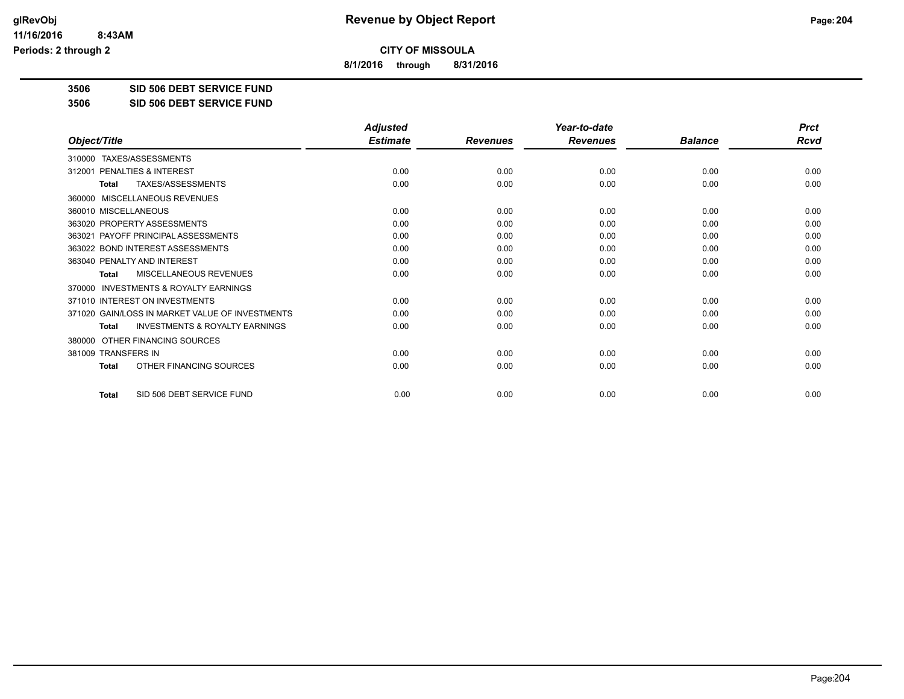**8/1/2016 through 8/31/2016**

**3506 SID 506 DEBT SERVICE FUND**

**3506 SID 506 DEBT SERVICE FUND**

|                                                           | <b>Adjusted</b> |                 | Year-to-date    |                | <b>Prct</b> |
|-----------------------------------------------------------|-----------------|-----------------|-----------------|----------------|-------------|
| Object/Title                                              | <b>Estimate</b> | <b>Revenues</b> | <b>Revenues</b> | <b>Balance</b> | <b>Rcvd</b> |
| <b>TAXES/ASSESSMENTS</b><br>310000                        |                 |                 |                 |                |             |
| PENALTIES & INTEREST<br>312001                            | 0.00            | 0.00            | 0.00            | 0.00           | 0.00        |
| TAXES/ASSESSMENTS<br>Total                                | 0.00            | 0.00            | 0.00            | 0.00           | 0.00        |
| MISCELLANEOUS REVENUES<br>360000                          |                 |                 |                 |                |             |
| 360010 MISCELLANEOUS                                      | 0.00            | 0.00            | 0.00            | 0.00           | 0.00        |
| 363020 PROPERTY ASSESSMENTS                               | 0.00            | 0.00            | 0.00            | 0.00           | 0.00        |
| 363021 PAYOFF PRINCIPAL ASSESSMENTS                       | 0.00            | 0.00            | 0.00            | 0.00           | 0.00        |
| 363022 BOND INTEREST ASSESSMENTS                          | 0.00            | 0.00            | 0.00            | 0.00           | 0.00        |
| 363040 PENALTY AND INTEREST                               | 0.00            | 0.00            | 0.00            | 0.00           | 0.00        |
| MISCELLANEOUS REVENUES<br><b>Total</b>                    | 0.00            | 0.00            | 0.00            | 0.00           | 0.00        |
| <b>INVESTMENTS &amp; ROYALTY EARNINGS</b><br>370000       |                 |                 |                 |                |             |
| 371010 INTEREST ON INVESTMENTS                            | 0.00            | 0.00            | 0.00            | 0.00           | 0.00        |
| 371020 GAIN/LOSS IN MARKET VALUE OF INVESTMENTS           | 0.00            | 0.00            | 0.00            | 0.00           | 0.00        |
| <b>INVESTMENTS &amp; ROYALTY EARNINGS</b><br><b>Total</b> | 0.00            | 0.00            | 0.00            | 0.00           | 0.00        |
| OTHER FINANCING SOURCES<br>380000                         |                 |                 |                 |                |             |
| 381009 TRANSFERS IN                                       | 0.00            | 0.00            | 0.00            | 0.00           | 0.00        |
| OTHER FINANCING SOURCES<br><b>Total</b>                   | 0.00            | 0.00            | 0.00            | 0.00           | 0.00        |
| SID 506 DEBT SERVICE FUND<br><b>Total</b>                 | 0.00            | 0.00            | 0.00            | 0.00           | 0.00        |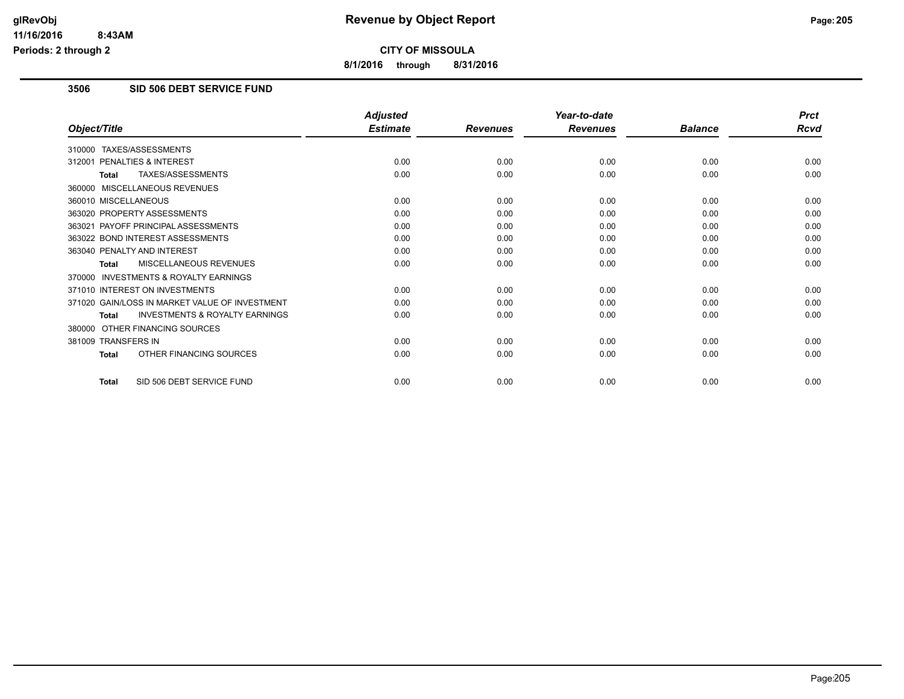**CITY OF MISSOULA**

**8/1/2016 through 8/31/2016**

## **3506 SID 506 DEBT SERVICE FUND**

|                                                    | <b>Adjusted</b> |                 | Year-to-date    |                | <b>Prct</b> |
|----------------------------------------------------|-----------------|-----------------|-----------------|----------------|-------------|
| Object/Title                                       | <b>Estimate</b> | <b>Revenues</b> | <b>Revenues</b> | <b>Balance</b> | Rcvd        |
| 310000 TAXES/ASSESSMENTS                           |                 |                 |                 |                |             |
| 312001 PENALTIES & INTEREST                        | 0.00            | 0.00            | 0.00            | 0.00           | 0.00        |
| TAXES/ASSESSMENTS<br><b>Total</b>                  | 0.00            | 0.00            | 0.00            | 0.00           | 0.00        |
| 360000 MISCELLANEOUS REVENUES                      |                 |                 |                 |                |             |
| 360010 MISCELLANEOUS                               | 0.00            | 0.00            | 0.00            | 0.00           | 0.00        |
| 363020 PROPERTY ASSESSMENTS                        | 0.00            | 0.00            | 0.00            | 0.00           | 0.00        |
| 363021 PAYOFF PRINCIPAL ASSESSMENTS                | 0.00            | 0.00            | 0.00            | 0.00           | 0.00        |
| 363022 BOND INTEREST ASSESSMENTS                   | 0.00            | 0.00            | 0.00            | 0.00           | 0.00        |
| 363040 PENALTY AND INTEREST                        | 0.00            | 0.00            | 0.00            | 0.00           | 0.00        |
| MISCELLANEOUS REVENUES<br><b>Total</b>             | 0.00            | 0.00            | 0.00            | 0.00           | 0.00        |
| 370000 INVESTMENTS & ROYALTY EARNINGS              |                 |                 |                 |                |             |
| 371010 INTEREST ON INVESTMENTS                     | 0.00            | 0.00            | 0.00            | 0.00           | 0.00        |
| 371020 GAIN/LOSS IN MARKET VALUE OF INVESTMENT     | 0.00            | 0.00            | 0.00            | 0.00           | 0.00        |
| <b>INVESTMENTS &amp; ROYALTY EARNINGS</b><br>Total | 0.00            | 0.00            | 0.00            | 0.00           | 0.00        |
| 380000 OTHER FINANCING SOURCES                     |                 |                 |                 |                |             |
| 381009 TRANSFERS IN                                | 0.00            | 0.00            | 0.00            | 0.00           | 0.00        |
| OTHER FINANCING SOURCES<br>Total                   | 0.00            | 0.00            | 0.00            | 0.00           | 0.00        |
| SID 506 DEBT SERVICE FUND<br><b>Total</b>          | 0.00            | 0.00            | 0.00            | 0.00           | 0.00        |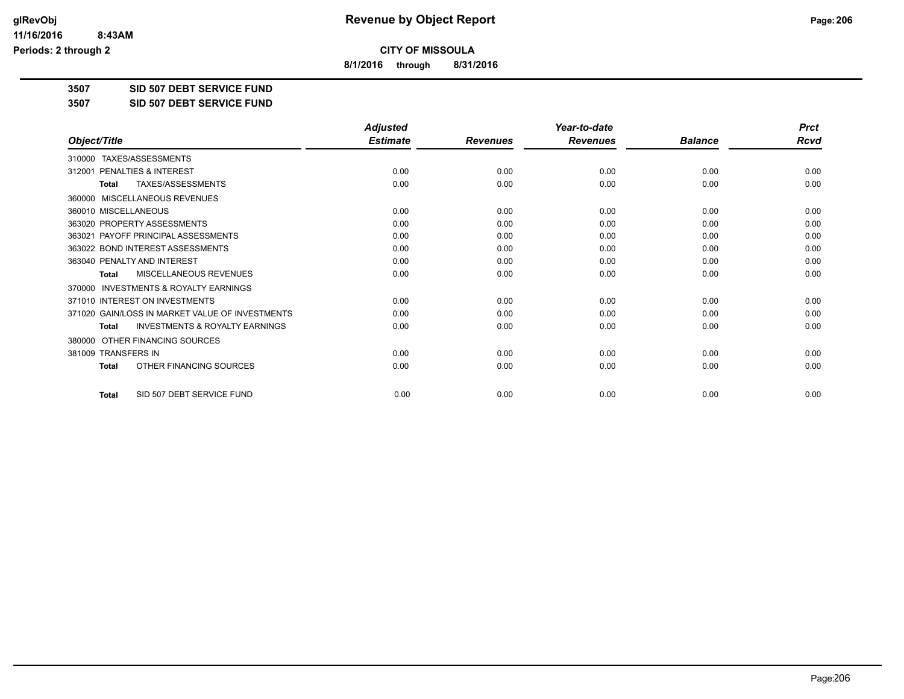**CITY OF MISSOULA**

**8/1/2016 through 8/31/2016**

**3507 SID 507 DEBT SERVICE FUND**

 **8:43AM**

**3507 SID 507 DEBT SERVICE FUND**

|                                                           | <b>Adjusted</b> |                 | Year-to-date    |                | <b>Prct</b> |
|-----------------------------------------------------------|-----------------|-----------------|-----------------|----------------|-------------|
| Object/Title                                              | <b>Estimate</b> | <b>Revenues</b> | <b>Revenues</b> | <b>Balance</b> | <b>Rcvd</b> |
| <b>TAXES/ASSESSMENTS</b><br>310000                        |                 |                 |                 |                |             |
| PENALTIES & INTEREST<br>312001                            | 0.00            | 0.00            | 0.00            | 0.00           | 0.00        |
| TAXES/ASSESSMENTS<br>Total                                | 0.00            | 0.00            | 0.00            | 0.00           | 0.00        |
| MISCELLANEOUS REVENUES<br>360000                          |                 |                 |                 |                |             |
| 360010 MISCELLANEOUS                                      | 0.00            | 0.00            | 0.00            | 0.00           | 0.00        |
| 363020 PROPERTY ASSESSMENTS                               | 0.00            | 0.00            | 0.00            | 0.00           | 0.00        |
| 363021 PAYOFF PRINCIPAL ASSESSMENTS                       | 0.00            | 0.00            | 0.00            | 0.00           | 0.00        |
| 363022 BOND INTEREST ASSESSMENTS                          | 0.00            | 0.00            | 0.00            | 0.00           | 0.00        |
| 363040 PENALTY AND INTEREST                               | 0.00            | 0.00            | 0.00            | 0.00           | 0.00        |
| MISCELLANEOUS REVENUES<br><b>Total</b>                    | 0.00            | 0.00            | 0.00            | 0.00           | 0.00        |
| <b>INVESTMENTS &amp; ROYALTY EARNINGS</b><br>370000       |                 |                 |                 |                |             |
| 371010 INTEREST ON INVESTMENTS                            | 0.00            | 0.00            | 0.00            | 0.00           | 0.00        |
| 371020 GAIN/LOSS IN MARKET VALUE OF INVESTMENTS           | 0.00            | 0.00            | 0.00            | 0.00           | 0.00        |
| <b>INVESTMENTS &amp; ROYALTY EARNINGS</b><br><b>Total</b> | 0.00            | 0.00            | 0.00            | 0.00           | 0.00        |
| OTHER FINANCING SOURCES<br>380000                         |                 |                 |                 |                |             |
| 381009 TRANSFERS IN                                       | 0.00            | 0.00            | 0.00            | 0.00           | 0.00        |
| OTHER FINANCING SOURCES<br><b>Total</b>                   | 0.00            | 0.00            | 0.00            | 0.00           | 0.00        |
| SID 507 DEBT SERVICE FUND<br><b>Total</b>                 | 0.00            | 0.00            | 0.00            | 0.00           | 0.00        |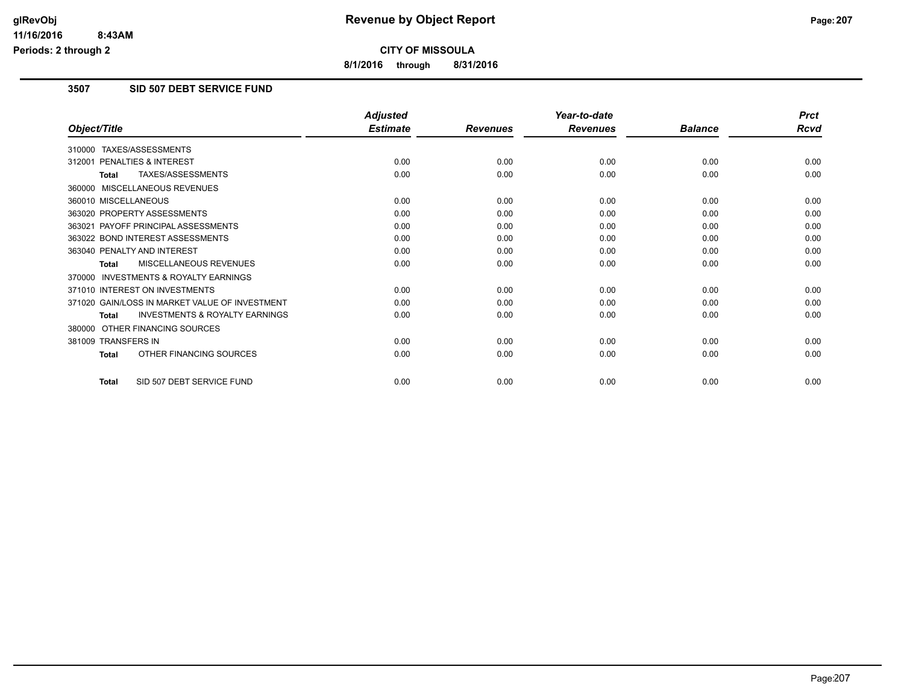**CITY OF MISSOULA**

**8/1/2016 through 8/31/2016**

## **3507 SID 507 DEBT SERVICE FUND**

|                                                           | <b>Adjusted</b> |                 | Year-to-date    |                | <b>Prct</b> |
|-----------------------------------------------------------|-----------------|-----------------|-----------------|----------------|-------------|
| Object/Title                                              | <b>Estimate</b> | <b>Revenues</b> | <b>Revenues</b> | <b>Balance</b> | <b>Rcvd</b> |
| 310000 TAXES/ASSESSMENTS                                  |                 |                 |                 |                |             |
| PENALTIES & INTEREST<br>312001                            | 0.00            | 0.00            | 0.00            | 0.00           | 0.00        |
| TAXES/ASSESSMENTS<br><b>Total</b>                         | 0.00            | 0.00            | 0.00            | 0.00           | 0.00        |
| 360000 MISCELLANEOUS REVENUES                             |                 |                 |                 |                |             |
| 360010 MISCELLANEOUS                                      | 0.00            | 0.00            | 0.00            | 0.00           | 0.00        |
| 363020 PROPERTY ASSESSMENTS                               | 0.00            | 0.00            | 0.00            | 0.00           | 0.00        |
| 363021 PAYOFF PRINCIPAL ASSESSMENTS                       | 0.00            | 0.00            | 0.00            | 0.00           | 0.00        |
| 363022 BOND INTEREST ASSESSMENTS                          | 0.00            | 0.00            | 0.00            | 0.00           | 0.00        |
| 363040 PENALTY AND INTEREST                               | 0.00            | 0.00            | 0.00            | 0.00           | 0.00        |
| MISCELLANEOUS REVENUES<br><b>Total</b>                    | 0.00            | 0.00            | 0.00            | 0.00           | 0.00        |
| <b>INVESTMENTS &amp; ROYALTY EARNINGS</b><br>370000       |                 |                 |                 |                |             |
| 371010 INTEREST ON INVESTMENTS                            | 0.00            | 0.00            | 0.00            | 0.00           | 0.00        |
| 371020 GAIN/LOSS IN MARKET VALUE OF INVESTMENT            | 0.00            | 0.00            | 0.00            | 0.00           | 0.00        |
| <b>INVESTMENTS &amp; ROYALTY EARNINGS</b><br><b>Total</b> | 0.00            | 0.00            | 0.00            | 0.00           | 0.00        |
| OTHER FINANCING SOURCES<br>380000                         |                 |                 |                 |                |             |
| 381009 TRANSFERS IN                                       | 0.00            | 0.00            | 0.00            | 0.00           | 0.00        |
| OTHER FINANCING SOURCES<br><b>Total</b>                   | 0.00            | 0.00            | 0.00            | 0.00           | 0.00        |
| SID 507 DEBT SERVICE FUND<br><b>Total</b>                 | 0.00            | 0.00            | 0.00            | 0.00           | 0.00        |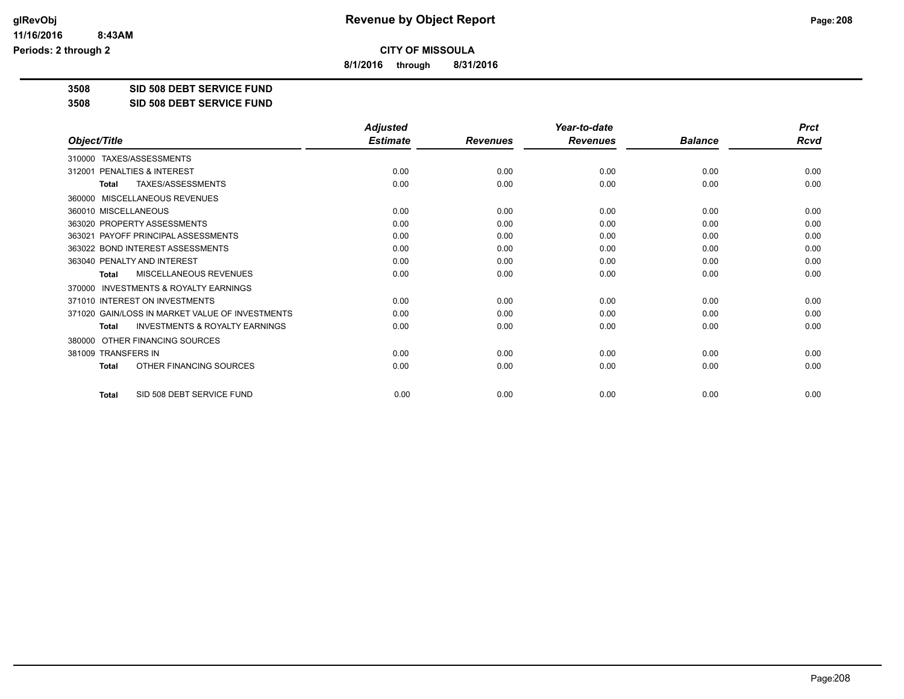**8/1/2016 through 8/31/2016**

**3508 SID 508 DEBT SERVICE FUND**

**3508 SID 508 DEBT SERVICE FUND**

|                                                           | <b>Adjusted</b> |                 | Year-to-date    |                | <b>Prct</b> |
|-----------------------------------------------------------|-----------------|-----------------|-----------------|----------------|-------------|
| Object/Title                                              | <b>Estimate</b> | <b>Revenues</b> | <b>Revenues</b> | <b>Balance</b> | <b>Rcvd</b> |
| TAXES/ASSESSMENTS<br>310000                               |                 |                 |                 |                |             |
| PENALTIES & INTEREST<br>312001                            | 0.00            | 0.00            | 0.00            | 0.00           | 0.00        |
| TAXES/ASSESSMENTS<br>Total                                | 0.00            | 0.00            | 0.00            | 0.00           | 0.00        |
| MISCELLANEOUS REVENUES<br>360000                          |                 |                 |                 |                |             |
| 360010 MISCELLANEOUS                                      | 0.00            | 0.00            | 0.00            | 0.00           | 0.00        |
| 363020 PROPERTY ASSESSMENTS                               | 0.00            | 0.00            | 0.00            | 0.00           | 0.00        |
| 363021 PAYOFF PRINCIPAL ASSESSMENTS                       | 0.00            | 0.00            | 0.00            | 0.00           | 0.00        |
| 363022 BOND INTEREST ASSESSMENTS                          | 0.00            | 0.00            | 0.00            | 0.00           | 0.00        |
| 363040 PENALTY AND INTEREST                               | 0.00            | 0.00            | 0.00            | 0.00           | 0.00        |
| MISCELLANEOUS REVENUES<br>Total                           | 0.00            | 0.00            | 0.00            | 0.00           | 0.00        |
| <b>INVESTMENTS &amp; ROYALTY EARNINGS</b><br>370000       |                 |                 |                 |                |             |
| 371010 INTEREST ON INVESTMENTS                            | 0.00            | 0.00            | 0.00            | 0.00           | 0.00        |
| 371020 GAIN/LOSS IN MARKET VALUE OF INVESTMENTS           | 0.00            | 0.00            | 0.00            | 0.00           | 0.00        |
| <b>INVESTMENTS &amp; ROYALTY EARNINGS</b><br><b>Total</b> | 0.00            | 0.00            | 0.00            | 0.00           | 0.00        |
| OTHER FINANCING SOURCES<br>380000                         |                 |                 |                 |                |             |
| 381009 TRANSFERS IN                                       | 0.00            | 0.00            | 0.00            | 0.00           | 0.00        |
| OTHER FINANCING SOURCES<br><b>Total</b>                   | 0.00            | 0.00            | 0.00            | 0.00           | 0.00        |
| SID 508 DEBT SERVICE FUND<br><b>Total</b>                 | 0.00            | 0.00            | 0.00            | 0.00           | 0.00        |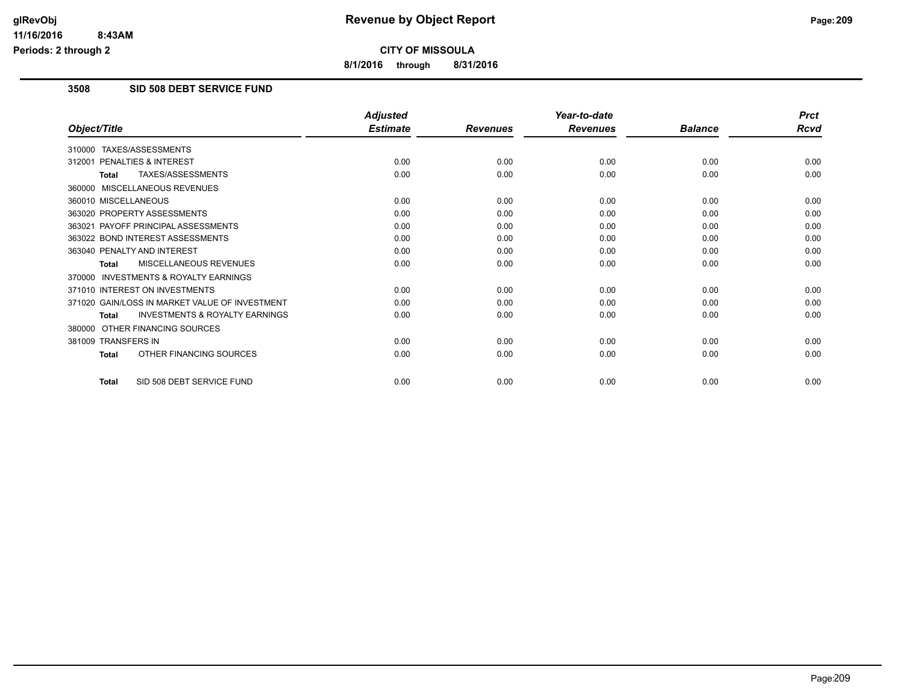**11/16/2016 8:43AM Periods: 2 through 2**

**CITY OF MISSOULA**

**8/1/2016 through 8/31/2016**

# **3508 SID 508 DEBT SERVICE FUND**

|                                                    | <b>Adjusted</b> |                 | Year-to-date    |                | <b>Prct</b> |
|----------------------------------------------------|-----------------|-----------------|-----------------|----------------|-------------|
| Object/Title                                       | <b>Estimate</b> | <b>Revenues</b> | <b>Revenues</b> | <b>Balance</b> | <b>Rcvd</b> |
| 310000 TAXES/ASSESSMENTS                           |                 |                 |                 |                |             |
| 312001 PENALTIES & INTEREST                        | 0.00            | 0.00            | 0.00            | 0.00           | 0.00        |
| TAXES/ASSESSMENTS<br>Total                         | 0.00            | 0.00            | 0.00            | 0.00           | 0.00        |
| 360000 MISCELLANEOUS REVENUES                      |                 |                 |                 |                |             |
| 360010 MISCELLANEOUS                               | 0.00            | 0.00            | 0.00            | 0.00           | 0.00        |
| 363020 PROPERTY ASSESSMENTS                        | 0.00            | 0.00            | 0.00            | 0.00           | 0.00        |
| 363021 PAYOFF PRINCIPAL ASSESSMENTS                | 0.00            | 0.00            | 0.00            | 0.00           | 0.00        |
| 363022 BOND INTEREST ASSESSMENTS                   | 0.00            | 0.00            | 0.00            | 0.00           | 0.00        |
| 363040 PENALTY AND INTEREST                        | 0.00            | 0.00            | 0.00            | 0.00           | 0.00        |
| MISCELLANEOUS REVENUES<br><b>Total</b>             | 0.00            | 0.00            | 0.00            | 0.00           | 0.00        |
| 370000 INVESTMENTS & ROYALTY EARNINGS              |                 |                 |                 |                |             |
| 371010 INTEREST ON INVESTMENTS                     | 0.00            | 0.00            | 0.00            | 0.00           | 0.00        |
| 371020 GAIN/LOSS IN MARKET VALUE OF INVESTMENT     | 0.00            | 0.00            | 0.00            | 0.00           | 0.00        |
| <b>INVESTMENTS &amp; ROYALTY EARNINGS</b><br>Total | 0.00            | 0.00            | 0.00            | 0.00           | 0.00        |
| 380000 OTHER FINANCING SOURCES                     |                 |                 |                 |                |             |
| 381009 TRANSFERS IN                                | 0.00            | 0.00            | 0.00            | 0.00           | 0.00        |
| OTHER FINANCING SOURCES<br>Total                   | 0.00            | 0.00            | 0.00            | 0.00           | 0.00        |
| SID 508 DEBT SERVICE FUND<br><b>Total</b>          | 0.00            | 0.00            | 0.00            | 0.00           | 0.00        |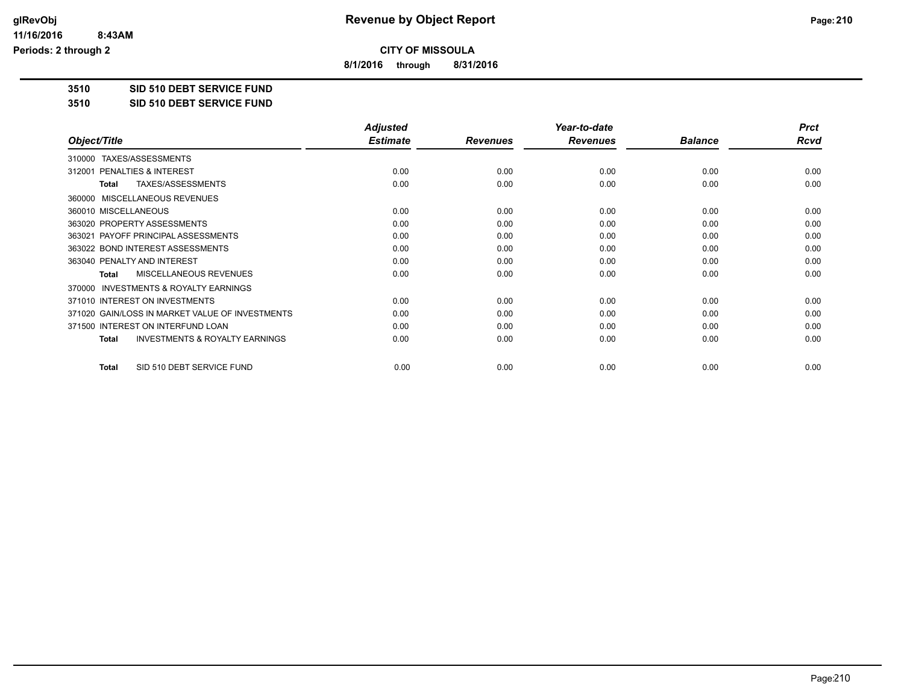**8/1/2016 through 8/31/2016**

**3510 SID 510 DEBT SERVICE FUND**

**3510 SID 510 DEBT SERVICE FUND**

|                                                           | <b>Adjusted</b> |                 | Year-to-date    |                | <b>Prct</b> |
|-----------------------------------------------------------|-----------------|-----------------|-----------------|----------------|-------------|
| Object/Title                                              | <b>Estimate</b> | <b>Revenues</b> | <b>Revenues</b> | <b>Balance</b> | <b>Rcvd</b> |
| TAXES/ASSESSMENTS<br>310000                               |                 |                 |                 |                |             |
| PENALTIES & INTEREST<br>312001                            | 0.00            | 0.00            | 0.00            | 0.00           | 0.00        |
| TAXES/ASSESSMENTS<br><b>Total</b>                         | 0.00            | 0.00            | 0.00            | 0.00           | 0.00        |
| MISCELLANEOUS REVENUES<br>360000                          |                 |                 |                 |                |             |
| 360010 MISCELLANEOUS                                      | 0.00            | 0.00            | 0.00            | 0.00           | 0.00        |
| 363020 PROPERTY ASSESSMENTS                               | 0.00            | 0.00            | 0.00            | 0.00           | 0.00        |
| 363021 PAYOFF PRINCIPAL ASSESSMENTS                       | 0.00            | 0.00            | 0.00            | 0.00           | 0.00        |
| 363022 BOND INTEREST ASSESSMENTS                          | 0.00            | 0.00            | 0.00            | 0.00           | 0.00        |
| 363040 PENALTY AND INTEREST                               | 0.00            | 0.00            | 0.00            | 0.00           | 0.00        |
| <b>MISCELLANEOUS REVENUES</b><br>Total                    | 0.00            | 0.00            | 0.00            | 0.00           | 0.00        |
| <b>INVESTMENTS &amp; ROYALTY EARNINGS</b><br>370000       |                 |                 |                 |                |             |
| 371010 INTEREST ON INVESTMENTS                            | 0.00            | 0.00            | 0.00            | 0.00           | 0.00        |
| 371020 GAIN/LOSS IN MARKET VALUE OF INVESTMENTS           | 0.00            | 0.00            | 0.00            | 0.00           | 0.00        |
| 371500 INTEREST ON INTERFUND LOAN                         | 0.00            | 0.00            | 0.00            | 0.00           | 0.00        |
| <b>INVESTMENTS &amp; ROYALTY EARNINGS</b><br><b>Total</b> | 0.00            | 0.00            | 0.00            | 0.00           | 0.00        |
| SID 510 DEBT SERVICE FUND<br>Total                        | 0.00            | 0.00            | 0.00            | 0.00           | 0.00        |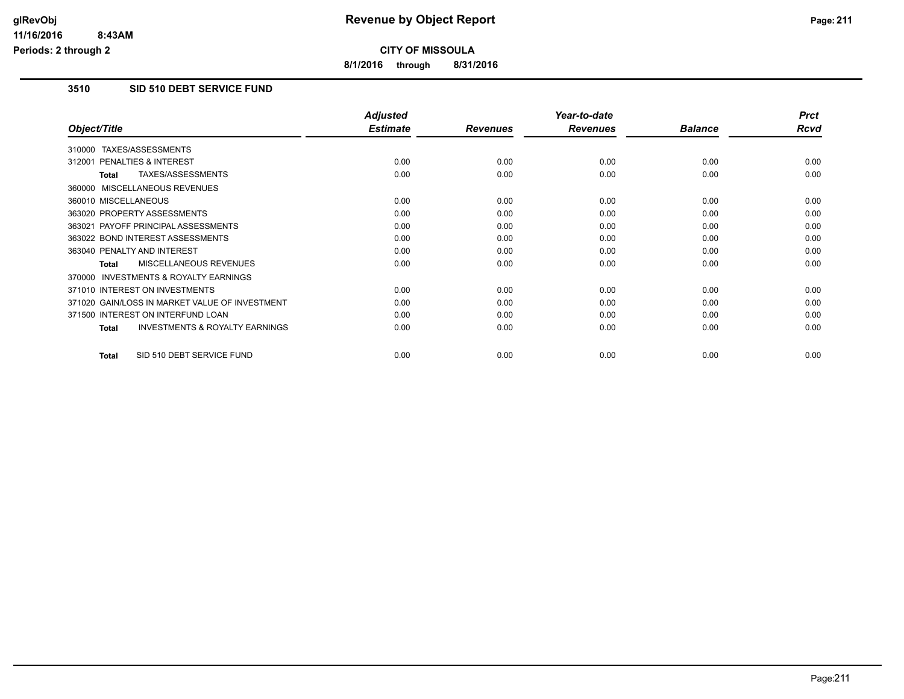**CITY OF MISSOULA**

**8/1/2016 through 8/31/2016**

# **3510 SID 510 DEBT SERVICE FUND**

|                                                           | <b>Adjusted</b> |                 | Year-to-date    |                | <b>Prct</b> |
|-----------------------------------------------------------|-----------------|-----------------|-----------------|----------------|-------------|
| Object/Title                                              | <b>Estimate</b> | <b>Revenues</b> | <b>Revenues</b> | <b>Balance</b> | <b>Rcvd</b> |
| TAXES/ASSESSMENTS<br>310000                               |                 |                 |                 |                |             |
| 312001 PENALTIES & INTEREST                               | 0.00            | 0.00            | 0.00            | 0.00           | 0.00        |
| TAXES/ASSESSMENTS<br><b>Total</b>                         | 0.00            | 0.00            | 0.00            | 0.00           | 0.00        |
| 360000 MISCELLANEOUS REVENUES                             |                 |                 |                 |                |             |
| 360010 MISCELLANEOUS                                      | 0.00            | 0.00            | 0.00            | 0.00           | 0.00        |
| 363020 PROPERTY ASSESSMENTS                               | 0.00            | 0.00            | 0.00            | 0.00           | 0.00        |
| 363021 PAYOFF PRINCIPAL ASSESSMENTS                       | 0.00            | 0.00            | 0.00            | 0.00           | 0.00        |
| 363022 BOND INTEREST ASSESSMENTS                          | 0.00            | 0.00            | 0.00            | 0.00           | 0.00        |
| 363040 PENALTY AND INTEREST                               | 0.00            | 0.00            | 0.00            | 0.00           | 0.00        |
| MISCELLANEOUS REVENUES<br><b>Total</b>                    | 0.00            | 0.00            | 0.00            | 0.00           | 0.00        |
| <b>INVESTMENTS &amp; ROYALTY EARNINGS</b><br>370000       |                 |                 |                 |                |             |
| 371010 INTEREST ON INVESTMENTS                            | 0.00            | 0.00            | 0.00            | 0.00           | 0.00        |
| 371020 GAIN/LOSS IN MARKET VALUE OF INVESTMENT            | 0.00            | 0.00            | 0.00            | 0.00           | 0.00        |
| 371500 INTEREST ON INTERFUND LOAN                         | 0.00            | 0.00            | 0.00            | 0.00           | 0.00        |
| <b>INVESTMENTS &amp; ROYALTY EARNINGS</b><br><b>Total</b> | 0.00            | 0.00            | 0.00            | 0.00           | 0.00        |
| SID 510 DEBT SERVICE FUND<br><b>Total</b>                 | 0.00            | 0.00            | 0.00            | 0.00           | 0.00        |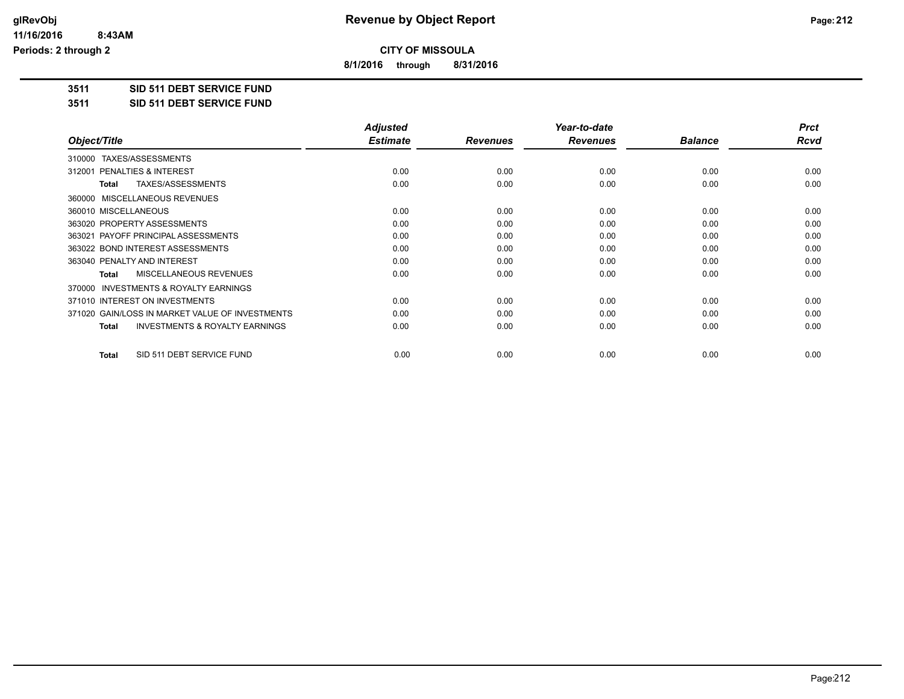**8/1/2016 through 8/31/2016**

**3511 SID 511 DEBT SERVICE FUND**

**3511 SID 511 DEBT SERVICE FUND**

|                                                           | <b>Adjusted</b> |                 | Year-to-date    |                | <b>Prct</b> |
|-----------------------------------------------------------|-----------------|-----------------|-----------------|----------------|-------------|
| Object/Title                                              | <b>Estimate</b> | <b>Revenues</b> | <b>Revenues</b> | <b>Balance</b> | Rcvd        |
| 310000 TAXES/ASSESSMENTS                                  |                 |                 |                 |                |             |
| 312001 PENALTIES & INTEREST                               | 0.00            | 0.00            | 0.00            | 0.00           | 0.00        |
| TAXES/ASSESSMENTS<br><b>Total</b>                         | 0.00            | 0.00            | 0.00            | 0.00           | 0.00        |
| MISCELLANEOUS REVENUES<br>360000                          |                 |                 |                 |                |             |
| 360010 MISCELLANEOUS                                      | 0.00            | 0.00            | 0.00            | 0.00           | 0.00        |
| 363020 PROPERTY ASSESSMENTS                               | 0.00            | 0.00            | 0.00            | 0.00           | 0.00        |
| 363021 PAYOFF PRINCIPAL ASSESSMENTS                       | 0.00            | 0.00            | 0.00            | 0.00           | 0.00        |
| 363022 BOND INTEREST ASSESSMENTS                          | 0.00            | 0.00            | 0.00            | 0.00           | 0.00        |
| 363040 PENALTY AND INTEREST                               | 0.00            | 0.00            | 0.00            | 0.00           | 0.00        |
| <b>MISCELLANEOUS REVENUES</b><br>Total                    | 0.00            | 0.00            | 0.00            | 0.00           | 0.00        |
| INVESTMENTS & ROYALTY EARNINGS<br>370000                  |                 |                 |                 |                |             |
| 371010 INTEREST ON INVESTMENTS                            | 0.00            | 0.00            | 0.00            | 0.00           | 0.00        |
| 371020 GAIN/LOSS IN MARKET VALUE OF INVESTMENTS           | 0.00            | 0.00            | 0.00            | 0.00           | 0.00        |
| <b>INVESTMENTS &amp; ROYALTY EARNINGS</b><br><b>Total</b> | 0.00            | 0.00            | 0.00            | 0.00           | 0.00        |
| SID 511 DEBT SERVICE FUND<br><b>Total</b>                 | 0.00            | 0.00            | 0.00            | 0.00           | 0.00        |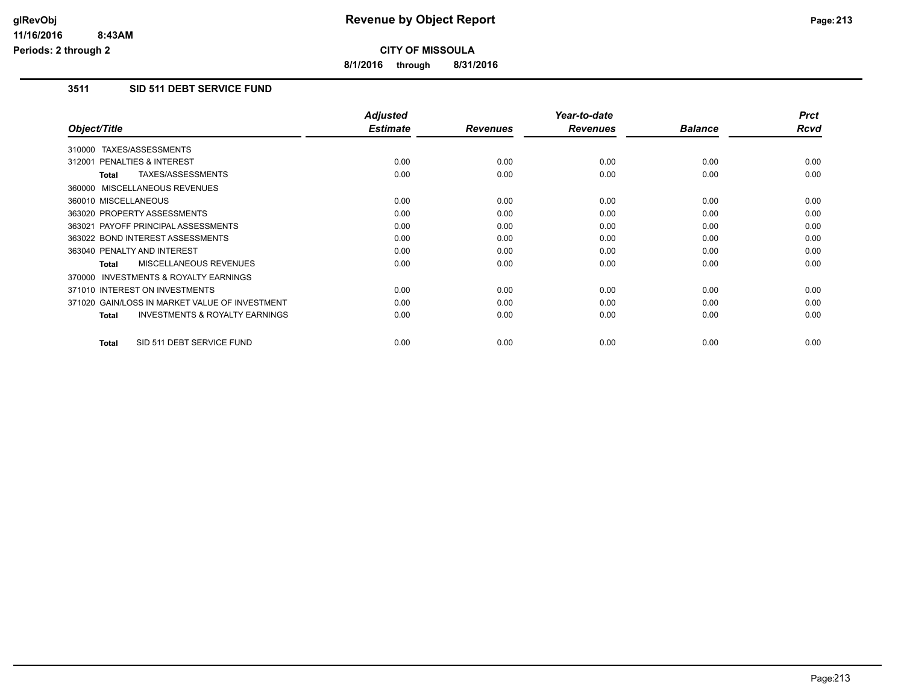**CITY OF MISSOULA**

**8/1/2016 through 8/31/2016**

# **3511 SID 511 DEBT SERVICE FUND**

|                                                           | <b>Adjusted</b> |                 | Year-to-date    |                | <b>Prct</b> |
|-----------------------------------------------------------|-----------------|-----------------|-----------------|----------------|-------------|
| Object/Title                                              | <b>Estimate</b> | <b>Revenues</b> | <b>Revenues</b> | <b>Balance</b> | Rcvd        |
| TAXES/ASSESSMENTS<br>310000                               |                 |                 |                 |                |             |
| 312001 PENALTIES & INTEREST                               | 0.00            | 0.00            | 0.00            | 0.00           | 0.00        |
| TAXES/ASSESSMENTS<br><b>Total</b>                         | 0.00            | 0.00            | 0.00            | 0.00           | 0.00        |
| 360000 MISCELLANEOUS REVENUES                             |                 |                 |                 |                |             |
| 360010 MISCELLANEOUS                                      | 0.00            | 0.00            | 0.00            | 0.00           | 0.00        |
| 363020 PROPERTY ASSESSMENTS                               | 0.00            | 0.00            | 0.00            | 0.00           | 0.00        |
| 363021 PAYOFF PRINCIPAL ASSESSMENTS                       | 0.00            | 0.00            | 0.00            | 0.00           | 0.00        |
| 363022 BOND INTEREST ASSESSMENTS                          | 0.00            | 0.00            | 0.00            | 0.00           | 0.00        |
| 363040 PENALTY AND INTEREST                               | 0.00            | 0.00            | 0.00            | 0.00           | 0.00        |
| <b>MISCELLANEOUS REVENUES</b><br><b>Total</b>             | 0.00            | 0.00            | 0.00            | 0.00           | 0.00        |
| 370000 INVESTMENTS & ROYALTY EARNINGS                     |                 |                 |                 |                |             |
| 371010 INTEREST ON INVESTMENTS                            | 0.00            | 0.00            | 0.00            | 0.00           | 0.00        |
| 371020 GAIN/LOSS IN MARKET VALUE OF INVESTMENT            | 0.00            | 0.00            | 0.00            | 0.00           | 0.00        |
| <b>INVESTMENTS &amp; ROYALTY EARNINGS</b><br><b>Total</b> | 0.00            | 0.00            | 0.00            | 0.00           | 0.00        |
| SID 511 DEBT SERVICE FUND<br><b>Total</b>                 | 0.00            | 0.00            | 0.00            | 0.00           | 0.00        |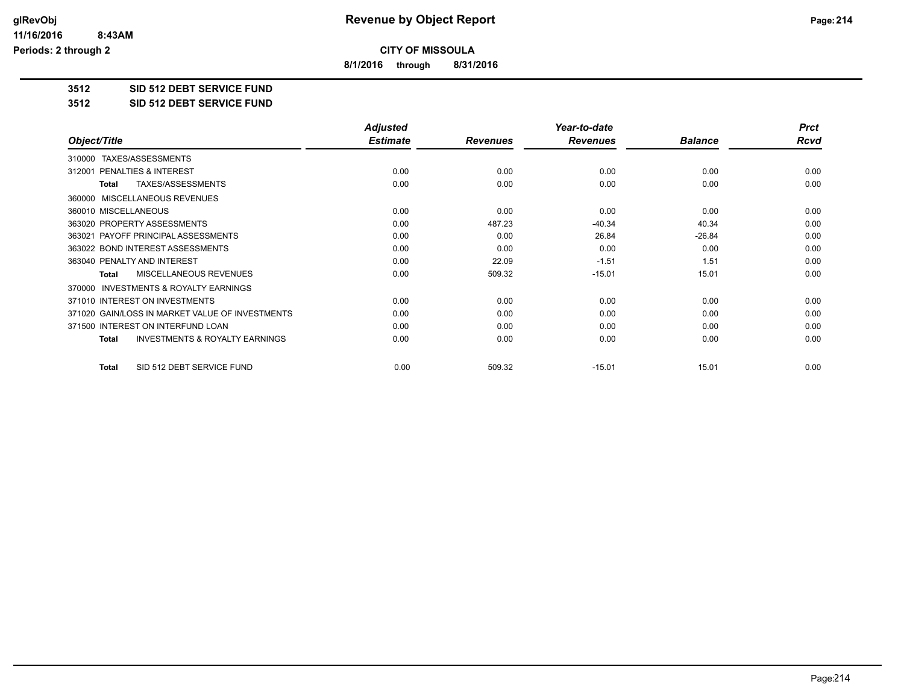**8/1/2016 through 8/31/2016**

**3512 SID 512 DEBT SERVICE FUND**

**3512 SID 512 DEBT SERVICE FUND**

|                                                           | <b>Adjusted</b> |                 | Year-to-date    |                | <b>Prct</b> |
|-----------------------------------------------------------|-----------------|-----------------|-----------------|----------------|-------------|
| Object/Title                                              | <b>Estimate</b> | <b>Revenues</b> | <b>Revenues</b> | <b>Balance</b> | <b>Rcvd</b> |
| TAXES/ASSESSMENTS<br>310000                               |                 |                 |                 |                |             |
| PENALTIES & INTEREST<br>312001                            | 0.00            | 0.00            | 0.00            | 0.00           | 0.00        |
| TAXES/ASSESSMENTS<br>Total                                | 0.00            | 0.00            | 0.00            | 0.00           | 0.00        |
| MISCELLANEOUS REVENUES<br>360000                          |                 |                 |                 |                |             |
| 360010 MISCELLANEOUS                                      | 0.00            | 0.00            | 0.00            | 0.00           | 0.00        |
| 363020 PROPERTY ASSESSMENTS                               | 0.00            | 487.23          | $-40.34$        | 40.34          | 0.00        |
| 363021 PAYOFF PRINCIPAL ASSESSMENTS                       | 0.00            | 0.00            | 26.84           | $-26.84$       | 0.00        |
| 363022 BOND INTEREST ASSESSMENTS                          | 0.00            | 0.00            | 0.00            | 0.00           | 0.00        |
| 363040 PENALTY AND INTEREST                               | 0.00            | 22.09           | $-1.51$         | 1.51           | 0.00        |
| <b>MISCELLANEOUS REVENUES</b><br>Total                    | 0.00            | 509.32          | $-15.01$        | 15.01          | 0.00        |
| <b>INVESTMENTS &amp; ROYALTY EARNINGS</b><br>370000       |                 |                 |                 |                |             |
| 371010 INTEREST ON INVESTMENTS                            | 0.00            | 0.00            | 0.00            | 0.00           | 0.00        |
| 371020 GAIN/LOSS IN MARKET VALUE OF INVESTMENTS           | 0.00            | 0.00            | 0.00            | 0.00           | 0.00        |
| 371500 INTEREST ON INTERFUND LOAN                         | 0.00            | 0.00            | 0.00            | 0.00           | 0.00        |
| <b>INVESTMENTS &amp; ROYALTY EARNINGS</b><br><b>Total</b> | 0.00            | 0.00            | 0.00            | 0.00           | 0.00        |
| SID 512 DEBT SERVICE FUND<br><b>Total</b>                 | 0.00            | 509.32          | $-15.01$        | 15.01          | 0.00        |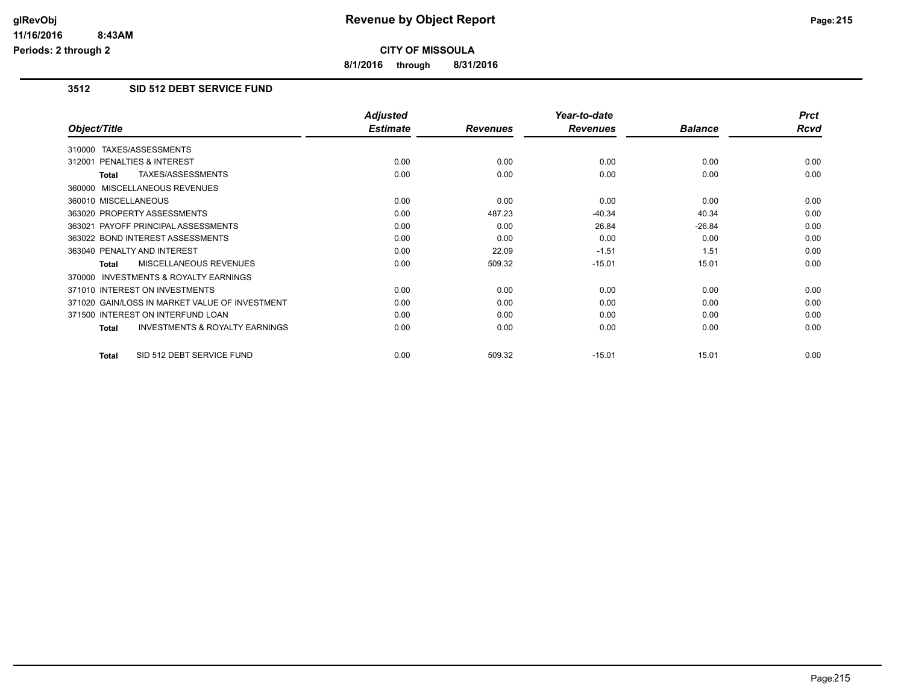**8/1/2016 through 8/31/2016**

# **3512 SID 512 DEBT SERVICE FUND**

|                                                           | <b>Adjusted</b> |                 | Year-to-date    |                | <b>Prct</b> |
|-----------------------------------------------------------|-----------------|-----------------|-----------------|----------------|-------------|
| Object/Title                                              | <b>Estimate</b> | <b>Revenues</b> | <b>Revenues</b> | <b>Balance</b> | <b>Rcvd</b> |
| TAXES/ASSESSMENTS<br>310000                               |                 |                 |                 |                |             |
| 312001 PENALTIES & INTEREST                               | 0.00            | 0.00            | 0.00            | 0.00           | 0.00        |
| TAXES/ASSESSMENTS<br><b>Total</b>                         | 0.00            | 0.00            | 0.00            | 0.00           | 0.00        |
| 360000 MISCELLANEOUS REVENUES                             |                 |                 |                 |                |             |
| 360010 MISCELLANEOUS                                      | 0.00            | 0.00            | 0.00            | 0.00           | 0.00        |
| 363020 PROPERTY ASSESSMENTS                               | 0.00            | 487.23          | $-40.34$        | 40.34          | 0.00        |
| 363021 PAYOFF PRINCIPAL ASSESSMENTS                       | 0.00            | 0.00            | 26.84           | $-26.84$       | 0.00        |
| 363022 BOND INTEREST ASSESSMENTS                          | 0.00            | 0.00            | 0.00            | 0.00           | 0.00        |
| 363040 PENALTY AND INTEREST                               | 0.00            | 22.09           | $-1.51$         | 1.51           | 0.00        |
| MISCELLANEOUS REVENUES<br><b>Total</b>                    | 0.00            | 509.32          | $-15.01$        | 15.01          | 0.00        |
| <b>INVESTMENTS &amp; ROYALTY EARNINGS</b><br>370000       |                 |                 |                 |                |             |
| 371010 INTEREST ON INVESTMENTS                            | 0.00            | 0.00            | 0.00            | 0.00           | 0.00        |
| 371020 GAIN/LOSS IN MARKET VALUE OF INVESTMENT            | 0.00            | 0.00            | 0.00            | 0.00           | 0.00        |
| 371500 INTEREST ON INTERFUND LOAN                         | 0.00            | 0.00            | 0.00            | 0.00           | 0.00        |
| <b>INVESTMENTS &amp; ROYALTY EARNINGS</b><br><b>Total</b> | 0.00            | 0.00            | 0.00            | 0.00           | 0.00        |
| SID 512 DEBT SERVICE FUND<br><b>Total</b>                 | 0.00            | 509.32          | $-15.01$        | 15.01          | 0.00        |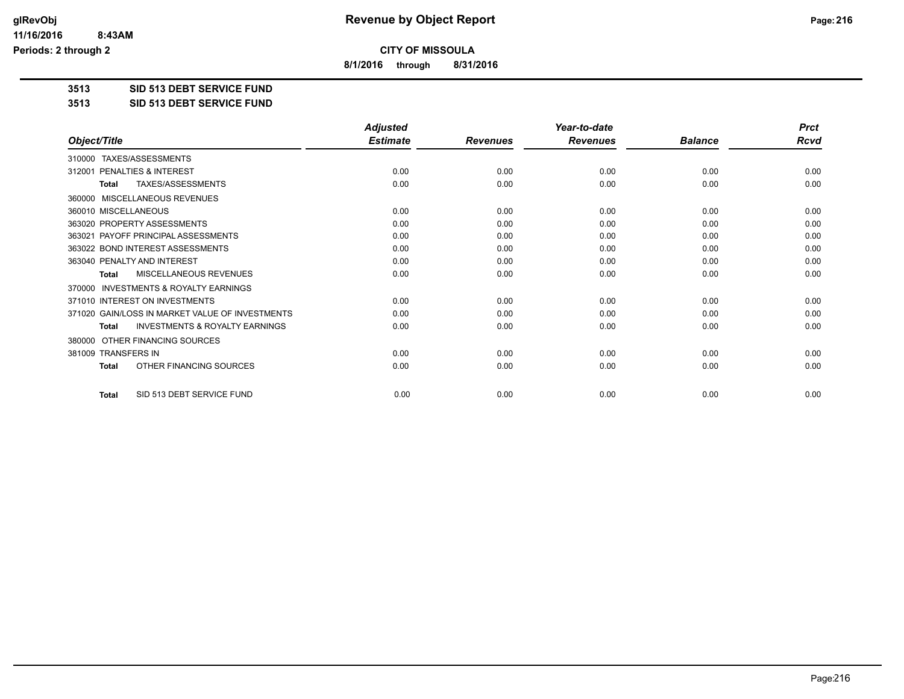**8/1/2016 through 8/31/2016**

**3513 SID 513 DEBT SERVICE FUND**

**3513 SID 513 DEBT SERVICE FUND**

|                                                           | <b>Adjusted</b> |                 | Year-to-date    |                | <b>Prct</b> |
|-----------------------------------------------------------|-----------------|-----------------|-----------------|----------------|-------------|
| Object/Title                                              | <b>Estimate</b> | <b>Revenues</b> | <b>Revenues</b> | <b>Balance</b> | <b>Rcvd</b> |
| TAXES/ASSESSMENTS<br>310000                               |                 |                 |                 |                |             |
| PENALTIES & INTEREST<br>312001                            | 0.00            | 0.00            | 0.00            | 0.00           | 0.00        |
| <b>TAXES/ASSESSMENTS</b><br>Total                         | 0.00            | 0.00            | 0.00            | 0.00           | 0.00        |
| MISCELLANEOUS REVENUES<br>360000                          |                 |                 |                 |                |             |
| 360010 MISCELLANEOUS                                      | 0.00            | 0.00            | 0.00            | 0.00           | 0.00        |
| 363020 PROPERTY ASSESSMENTS                               | 0.00            | 0.00            | 0.00            | 0.00           | 0.00        |
| 363021 PAYOFF PRINCIPAL ASSESSMENTS                       | 0.00            | 0.00            | 0.00            | 0.00           | 0.00        |
| 363022 BOND INTEREST ASSESSMENTS                          | 0.00            | 0.00            | 0.00            | 0.00           | 0.00        |
| 363040 PENALTY AND INTEREST                               | 0.00            | 0.00            | 0.00            | 0.00           | 0.00        |
| MISCELLANEOUS REVENUES<br>Total                           | 0.00            | 0.00            | 0.00            | 0.00           | 0.00        |
| <b>INVESTMENTS &amp; ROYALTY EARNINGS</b><br>370000       |                 |                 |                 |                |             |
| 371010 INTEREST ON INVESTMENTS                            | 0.00            | 0.00            | 0.00            | 0.00           | 0.00        |
| 371020 GAIN/LOSS IN MARKET VALUE OF INVESTMENTS           | 0.00            | 0.00            | 0.00            | 0.00           | 0.00        |
| <b>INVESTMENTS &amp; ROYALTY EARNINGS</b><br><b>Total</b> | 0.00            | 0.00            | 0.00            | 0.00           | 0.00        |
| OTHER FINANCING SOURCES<br>380000                         |                 |                 |                 |                |             |
| 381009 TRANSFERS IN                                       | 0.00            | 0.00            | 0.00            | 0.00           | 0.00        |
| OTHER FINANCING SOURCES<br><b>Total</b>                   | 0.00            | 0.00            | 0.00            | 0.00           | 0.00        |
| SID 513 DEBT SERVICE FUND<br><b>Total</b>                 | 0.00            | 0.00            | 0.00            | 0.00           | 0.00        |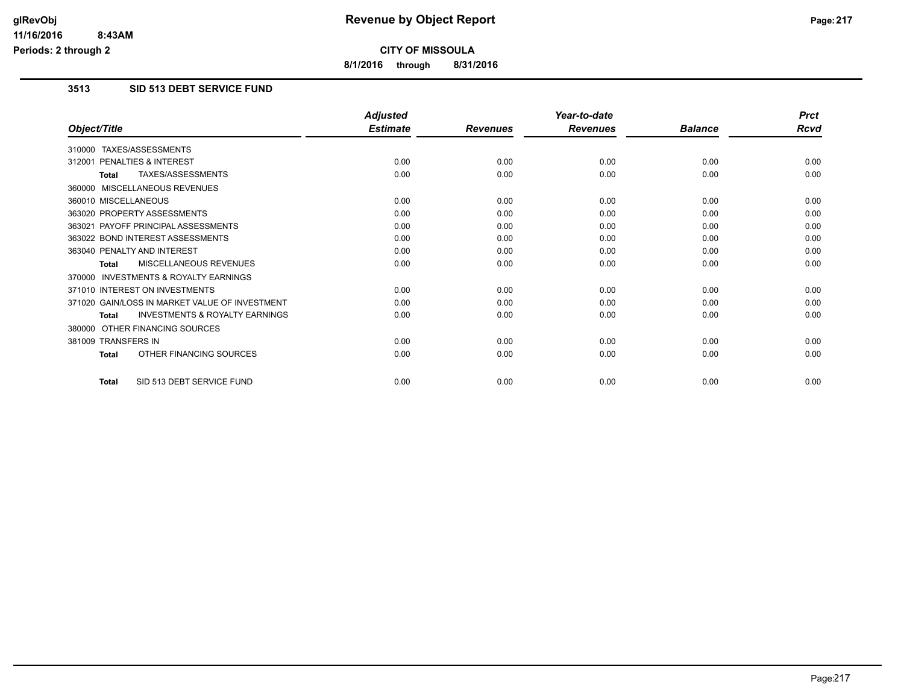**CITY OF MISSOULA**

**8/1/2016 through 8/31/2016**

## **3513 SID 513 DEBT SERVICE FUND**

|                                                           | <b>Adjusted</b> |                 | Year-to-date    |                | <b>Prct</b> |
|-----------------------------------------------------------|-----------------|-----------------|-----------------|----------------|-------------|
| Object/Title                                              | <b>Estimate</b> | <b>Revenues</b> | <b>Revenues</b> | <b>Balance</b> | <b>Rcvd</b> |
| 310000 TAXES/ASSESSMENTS                                  |                 |                 |                 |                |             |
| 312001 PENALTIES & INTEREST                               | 0.00            | 0.00            | 0.00            | 0.00           | 0.00        |
| TAXES/ASSESSMENTS<br><b>Total</b>                         | 0.00            | 0.00            | 0.00            | 0.00           | 0.00        |
| 360000 MISCELLANEOUS REVENUES                             |                 |                 |                 |                |             |
| 360010 MISCELLANEOUS                                      | 0.00            | 0.00            | 0.00            | 0.00           | 0.00        |
| 363020 PROPERTY ASSESSMENTS                               | 0.00            | 0.00            | 0.00            | 0.00           | 0.00        |
| 363021 PAYOFF PRINCIPAL ASSESSMENTS                       | 0.00            | 0.00            | 0.00            | 0.00           | 0.00        |
| 363022 BOND INTEREST ASSESSMENTS                          | 0.00            | 0.00            | 0.00            | 0.00           | 0.00        |
| 363040 PENALTY AND INTEREST                               | 0.00            | 0.00            | 0.00            | 0.00           | 0.00        |
| <b>MISCELLANEOUS REVENUES</b><br><b>Total</b>             | 0.00            | 0.00            | 0.00            | 0.00           | 0.00        |
| <b>INVESTMENTS &amp; ROYALTY EARNINGS</b><br>370000       |                 |                 |                 |                |             |
| 371010 INTEREST ON INVESTMENTS                            | 0.00            | 0.00            | 0.00            | 0.00           | 0.00        |
| 371020 GAIN/LOSS IN MARKET VALUE OF INVESTMENT            | 0.00            | 0.00            | 0.00            | 0.00           | 0.00        |
| <b>INVESTMENTS &amp; ROYALTY EARNINGS</b><br><b>Total</b> | 0.00            | 0.00            | 0.00            | 0.00           | 0.00        |
| OTHER FINANCING SOURCES<br>380000                         |                 |                 |                 |                |             |
| 381009 TRANSFERS IN                                       | 0.00            | 0.00            | 0.00            | 0.00           | 0.00        |
| OTHER FINANCING SOURCES<br>Total                          | 0.00            | 0.00            | 0.00            | 0.00           | 0.00        |
| SID 513 DEBT SERVICE FUND<br><b>Total</b>                 | 0.00            | 0.00            | 0.00            | 0.00           | 0.00        |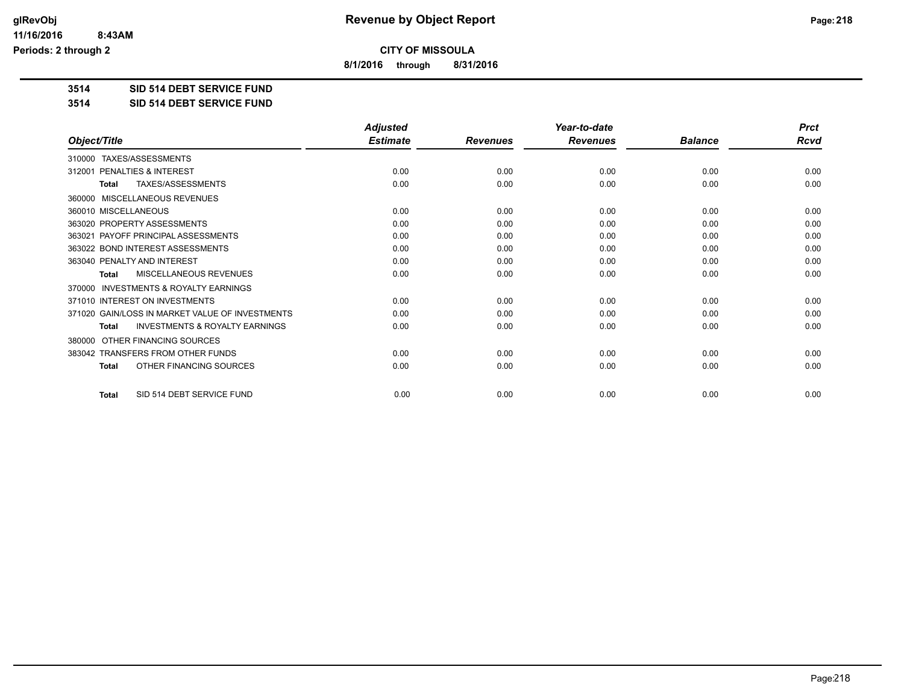**8/1/2016 through 8/31/2016**

**3514 SID 514 DEBT SERVICE FUND**

**3514 SID 514 DEBT SERVICE FUND**

|                                                     | <b>Adjusted</b> |                 | Year-to-date    |                | <b>Prct</b> |
|-----------------------------------------------------|-----------------|-----------------|-----------------|----------------|-------------|
| Object/Title                                        | <b>Estimate</b> | <b>Revenues</b> | <b>Revenues</b> | <b>Balance</b> | <b>Rcvd</b> |
| TAXES/ASSESSMENTS<br>310000                         |                 |                 |                 |                |             |
| PENALTIES & INTEREST<br>312001                      | 0.00            | 0.00            | 0.00            | 0.00           | 0.00        |
| TAXES/ASSESSMENTS<br><b>Total</b>                   | 0.00            | 0.00            | 0.00            | 0.00           | 0.00        |
| MISCELLANEOUS REVENUES<br>360000                    |                 |                 |                 |                |             |
| 360010 MISCELLANEOUS                                | 0.00            | 0.00            | 0.00            | 0.00           | 0.00        |
| 363020 PROPERTY ASSESSMENTS                         | 0.00            | 0.00            | 0.00            | 0.00           | 0.00        |
| 363021 PAYOFF PRINCIPAL ASSESSMENTS                 | 0.00            | 0.00            | 0.00            | 0.00           | 0.00        |
| 363022 BOND INTEREST ASSESSMENTS                    | 0.00            | 0.00            | 0.00            | 0.00           | 0.00        |
| 363040 PENALTY AND INTEREST                         | 0.00            | 0.00            | 0.00            | 0.00           | 0.00        |
| MISCELLANEOUS REVENUES<br>Total                     | 0.00            | 0.00            | 0.00            | 0.00           | 0.00        |
| <b>INVESTMENTS &amp; ROYALTY EARNINGS</b><br>370000 |                 |                 |                 |                |             |
| 371010 INTEREST ON INVESTMENTS                      | 0.00            | 0.00            | 0.00            | 0.00           | 0.00        |
| 371020 GAIN/LOSS IN MARKET VALUE OF INVESTMENTS     | 0.00            | 0.00            | 0.00            | 0.00           | 0.00        |
| <b>INVESTMENTS &amp; ROYALTY EARNINGS</b><br>Total  | 0.00            | 0.00            | 0.00            | 0.00           | 0.00        |
| OTHER FINANCING SOURCES<br>380000                   |                 |                 |                 |                |             |
| 383042 TRANSFERS FROM OTHER FUNDS                   | 0.00            | 0.00            | 0.00            | 0.00           | 0.00        |
| OTHER FINANCING SOURCES<br><b>Total</b>             | 0.00            | 0.00            | 0.00            | 0.00           | 0.00        |
| SID 514 DEBT SERVICE FUND<br><b>Total</b>           | 0.00            | 0.00            | 0.00            | 0.00           | 0.00        |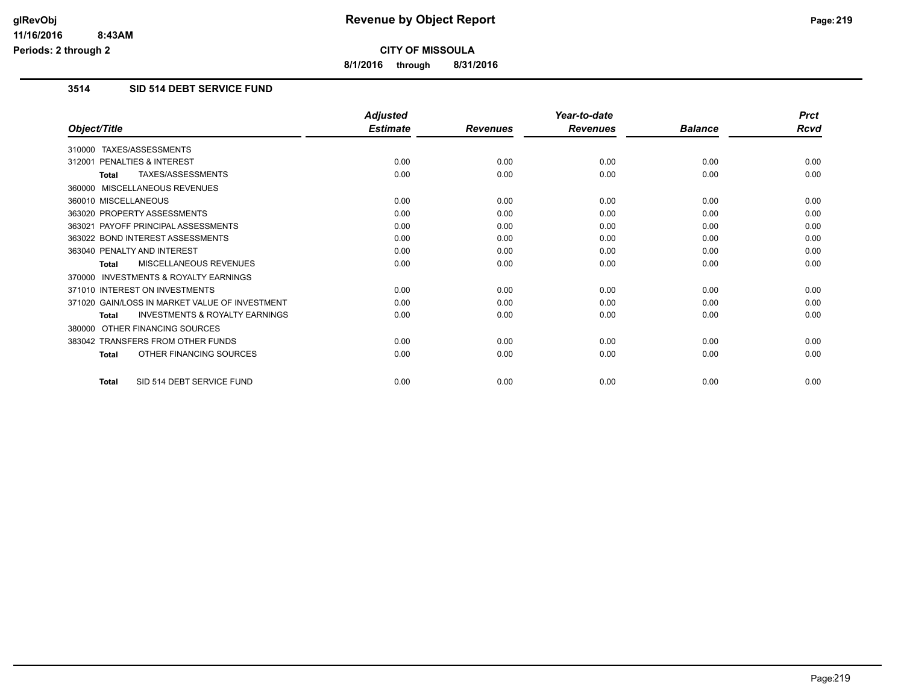**CITY OF MISSOULA**

**8/1/2016 through 8/31/2016**

## **3514 SID 514 DEBT SERVICE FUND**

|                                                           | <b>Adjusted</b> |                 | Year-to-date    |                | <b>Prct</b> |
|-----------------------------------------------------------|-----------------|-----------------|-----------------|----------------|-------------|
| Object/Title                                              | <b>Estimate</b> | <b>Revenues</b> | <b>Revenues</b> | <b>Balance</b> | <b>Rcvd</b> |
| 310000 TAXES/ASSESSMENTS                                  |                 |                 |                 |                |             |
| 312001 PENALTIES & INTEREST                               | 0.00            | 0.00            | 0.00            | 0.00           | 0.00        |
| TAXES/ASSESSMENTS<br><b>Total</b>                         | 0.00            | 0.00            | 0.00            | 0.00           | 0.00        |
| 360000 MISCELLANEOUS REVENUES                             |                 |                 |                 |                |             |
| 360010 MISCELLANEOUS                                      | 0.00            | 0.00            | 0.00            | 0.00           | 0.00        |
| 363020 PROPERTY ASSESSMENTS                               | 0.00            | 0.00            | 0.00            | 0.00           | 0.00        |
| 363021 PAYOFF PRINCIPAL ASSESSMENTS                       | 0.00            | 0.00            | 0.00            | 0.00           | 0.00        |
| 363022 BOND INTEREST ASSESSMENTS                          | 0.00            | 0.00            | 0.00            | 0.00           | 0.00        |
| 363040 PENALTY AND INTEREST                               | 0.00            | 0.00            | 0.00            | 0.00           | 0.00        |
| MISCELLANEOUS REVENUES<br><b>Total</b>                    | 0.00            | 0.00            | 0.00            | 0.00           | 0.00        |
| INVESTMENTS & ROYALTY EARNINGS<br>370000                  |                 |                 |                 |                |             |
| 371010 INTEREST ON INVESTMENTS                            | 0.00            | 0.00            | 0.00            | 0.00           | 0.00        |
| 371020 GAIN/LOSS IN MARKET VALUE OF INVESTMENT            | 0.00            | 0.00            | 0.00            | 0.00           | 0.00        |
| <b>INVESTMENTS &amp; ROYALTY EARNINGS</b><br><b>Total</b> | 0.00            | 0.00            | 0.00            | 0.00           | 0.00        |
| OTHER FINANCING SOURCES<br>380000                         |                 |                 |                 |                |             |
| 383042 TRANSFERS FROM OTHER FUNDS                         | 0.00            | 0.00            | 0.00            | 0.00           | 0.00        |
| OTHER FINANCING SOURCES<br><b>Total</b>                   | 0.00            | 0.00            | 0.00            | 0.00           | 0.00        |
| SID 514 DEBT SERVICE FUND<br><b>Total</b>                 | 0.00            | 0.00            | 0.00            | 0.00           | 0.00        |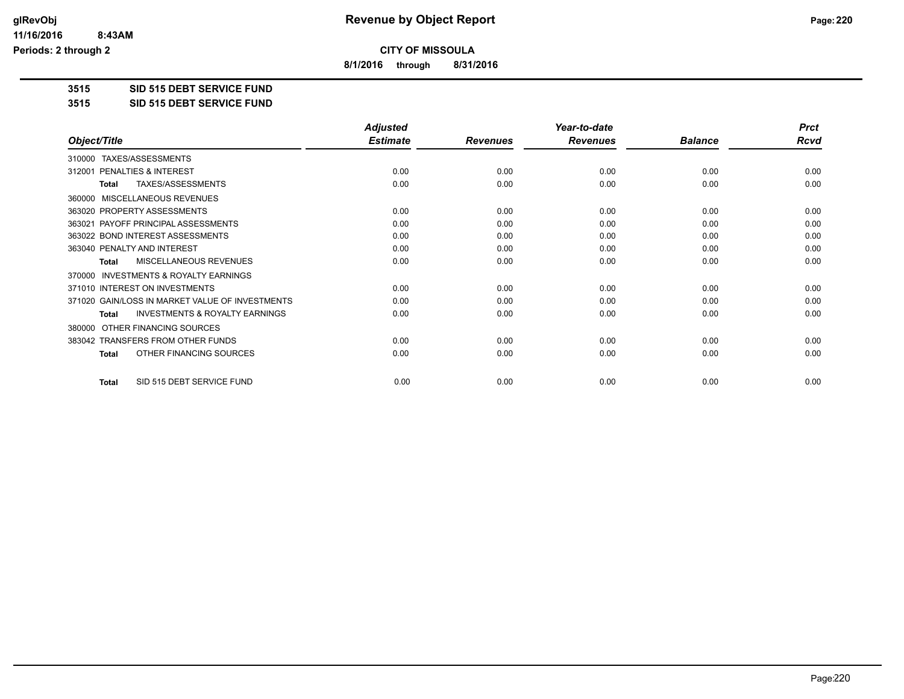**8/1/2016 through 8/31/2016**

**3515 SID 515 DEBT SERVICE FUND**

**3515 SID 515 DEBT SERVICE FUND**

|                                                           | <b>Adjusted</b> |                 | Year-to-date    |                | <b>Prct</b> |
|-----------------------------------------------------------|-----------------|-----------------|-----------------|----------------|-------------|
| Object/Title                                              | <b>Estimate</b> | <b>Revenues</b> | <b>Revenues</b> | <b>Balance</b> | <b>Rcvd</b> |
| TAXES/ASSESSMENTS<br>310000                               |                 |                 |                 |                |             |
| PENALTIES & INTEREST<br>312001                            | 0.00            | 0.00            | 0.00            | 0.00           | 0.00        |
| TAXES/ASSESSMENTS<br><b>Total</b>                         | 0.00            | 0.00            | 0.00            | 0.00           | 0.00        |
| MISCELLANEOUS REVENUES<br>360000                          |                 |                 |                 |                |             |
| 363020 PROPERTY ASSESSMENTS                               | 0.00            | 0.00            | 0.00            | 0.00           | 0.00        |
| 363021 PAYOFF PRINCIPAL ASSESSMENTS                       | 0.00            | 0.00            | 0.00            | 0.00           | 0.00        |
| 363022 BOND INTEREST ASSESSMENTS                          | 0.00            | 0.00            | 0.00            | 0.00           | 0.00        |
| 363040 PENALTY AND INTEREST                               | 0.00            | 0.00            | 0.00            | 0.00           | 0.00        |
| MISCELLANEOUS REVENUES<br><b>Total</b>                    | 0.00            | 0.00            | 0.00            | 0.00           | 0.00        |
| <b>INVESTMENTS &amp; ROYALTY EARNINGS</b><br>370000       |                 |                 |                 |                |             |
| 371010 INTEREST ON INVESTMENTS                            | 0.00            | 0.00            | 0.00            | 0.00           | 0.00        |
| 371020 GAIN/LOSS IN MARKET VALUE OF INVESTMENTS           | 0.00            | 0.00            | 0.00            | 0.00           | 0.00        |
| <b>INVESTMENTS &amp; ROYALTY EARNINGS</b><br><b>Total</b> | 0.00            | 0.00            | 0.00            | 0.00           | 0.00        |
| OTHER FINANCING SOURCES<br>380000                         |                 |                 |                 |                |             |
| 383042 TRANSFERS FROM OTHER FUNDS                         | 0.00            | 0.00            | 0.00            | 0.00           | 0.00        |
| OTHER FINANCING SOURCES<br><b>Total</b>                   | 0.00            | 0.00            | 0.00            | 0.00           | 0.00        |
| SID 515 DEBT SERVICE FUND<br><b>Total</b>                 | 0.00            | 0.00            | 0.00            | 0.00           | 0.00        |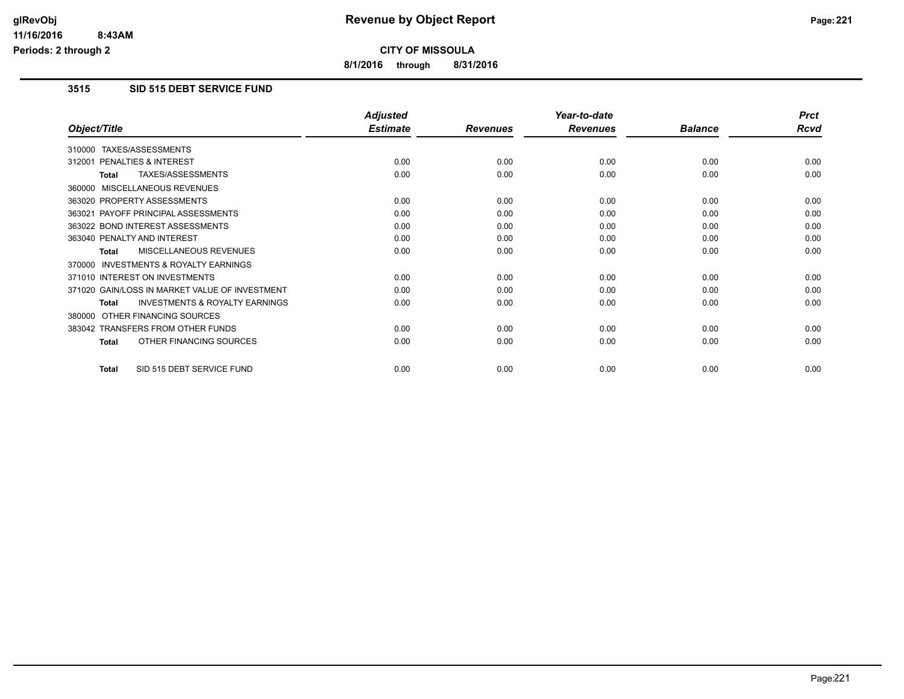**8/1/2016 through 8/31/2016**

## **3515 SID 515 DEBT SERVICE FUND**

|                                                           | <b>Adjusted</b> |                 | Year-to-date    |                | <b>Prct</b> |
|-----------------------------------------------------------|-----------------|-----------------|-----------------|----------------|-------------|
| Object/Title                                              | <b>Estimate</b> | <b>Revenues</b> | <b>Revenues</b> | <b>Balance</b> | <b>Rcvd</b> |
| TAXES/ASSESSMENTS<br>310000                               |                 |                 |                 |                |             |
| PENALTIES & INTEREST<br>312001                            | 0.00            | 0.00            | 0.00            | 0.00           | 0.00        |
| TAXES/ASSESSMENTS<br><b>Total</b>                         | 0.00            | 0.00            | 0.00            | 0.00           | 0.00        |
| MISCELLANEOUS REVENUES<br>360000                          |                 |                 |                 |                |             |
| 363020 PROPERTY ASSESSMENTS                               | 0.00            | 0.00            | 0.00            | 0.00           | 0.00        |
| PAYOFF PRINCIPAL ASSESSMENTS<br>363021                    | 0.00            | 0.00            | 0.00            | 0.00           | 0.00        |
| 363022 BOND INTEREST ASSESSMENTS                          | 0.00            | 0.00            | 0.00            | 0.00           | 0.00        |
| 363040 PENALTY AND INTEREST                               | 0.00            | 0.00            | 0.00            | 0.00           | 0.00        |
| <b>MISCELLANEOUS REVENUES</b><br><b>Total</b>             | 0.00            | 0.00            | 0.00            | 0.00           | 0.00        |
| <b>INVESTMENTS &amp; ROYALTY EARNINGS</b><br>370000       |                 |                 |                 |                |             |
| 371010 INTEREST ON INVESTMENTS                            | 0.00            | 0.00            | 0.00            | 0.00           | 0.00        |
| 371020 GAIN/LOSS IN MARKET VALUE OF INVESTMENT            | 0.00            | 0.00            | 0.00            | 0.00           | 0.00        |
| <b>INVESTMENTS &amp; ROYALTY EARNINGS</b><br><b>Total</b> | 0.00            | 0.00            | 0.00            | 0.00           | 0.00        |
| OTHER FINANCING SOURCES<br>380000                         |                 |                 |                 |                |             |
| 383042 TRANSFERS FROM OTHER FUNDS                         | 0.00            | 0.00            | 0.00            | 0.00           | 0.00        |
| OTHER FINANCING SOURCES<br><b>Total</b>                   | 0.00            | 0.00            | 0.00            | 0.00           | 0.00        |
| SID 515 DEBT SERVICE FUND<br><b>Total</b>                 | 0.00            | 0.00            | 0.00            | 0.00           | 0.00        |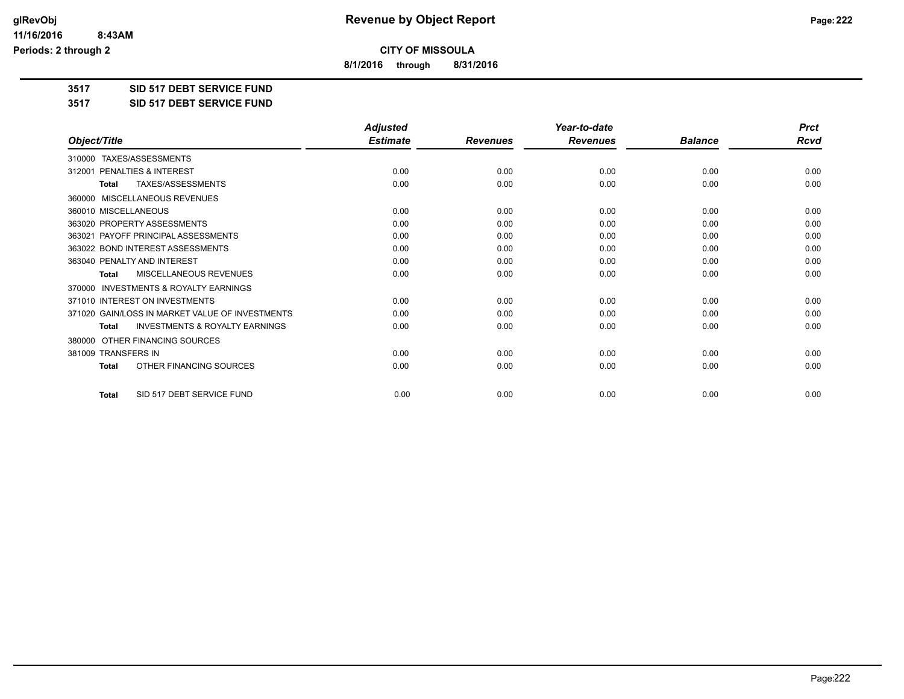**CITY OF MISSOULA**

**8/1/2016 through 8/31/2016**

**3517 SID 517 DEBT SERVICE FUND**

**3517 SID 517 DEBT SERVICE FUND**

|                                                           | <b>Adjusted</b> |                 | Year-to-date    |                | <b>Prct</b> |
|-----------------------------------------------------------|-----------------|-----------------|-----------------|----------------|-------------|
| Object/Title                                              | <b>Estimate</b> | <b>Revenues</b> | <b>Revenues</b> | <b>Balance</b> | <b>Rcvd</b> |
| TAXES/ASSESSMENTS<br>310000                               |                 |                 |                 |                |             |
| PENALTIES & INTEREST<br>312001                            | 0.00            | 0.00            | 0.00            | 0.00           | 0.00        |
| <b>TAXES/ASSESSMENTS</b><br><b>Total</b>                  | 0.00            | 0.00            | 0.00            | 0.00           | 0.00        |
| 360000 MISCELLANEOUS REVENUES                             |                 |                 |                 |                |             |
| 360010 MISCELLANEOUS                                      | 0.00            | 0.00            | 0.00            | 0.00           | 0.00        |
| 363020 PROPERTY ASSESSMENTS                               | 0.00            | 0.00            | 0.00            | 0.00           | 0.00        |
| PAYOFF PRINCIPAL ASSESSMENTS<br>363021                    | 0.00            | 0.00            | 0.00            | 0.00           | 0.00        |
| 363022 BOND INTEREST ASSESSMENTS                          | 0.00            | 0.00            | 0.00            | 0.00           | 0.00        |
| 363040 PENALTY AND INTEREST                               | 0.00            | 0.00            | 0.00            | 0.00           | 0.00        |
| MISCELLANEOUS REVENUES<br><b>Total</b>                    | 0.00            | 0.00            | 0.00            | 0.00           | 0.00        |
| <b>INVESTMENTS &amp; ROYALTY EARNINGS</b><br>370000       |                 |                 |                 |                |             |
| 371010 INTEREST ON INVESTMENTS                            | 0.00            | 0.00            | 0.00            | 0.00           | 0.00        |
| 371020 GAIN/LOSS IN MARKET VALUE OF INVESTMENTS           | 0.00            | 0.00            | 0.00            | 0.00           | 0.00        |
| <b>INVESTMENTS &amp; ROYALTY EARNINGS</b><br><b>Total</b> | 0.00            | 0.00            | 0.00            | 0.00           | 0.00        |
| OTHER FINANCING SOURCES<br>380000                         |                 |                 |                 |                |             |
| 381009 TRANSFERS IN                                       | 0.00            | 0.00            | 0.00            | 0.00           | 0.00        |
| OTHER FINANCING SOURCES<br><b>Total</b>                   | 0.00            | 0.00            | 0.00            | 0.00           | 0.00        |
| SID 517 DEBT SERVICE FUND<br><b>Total</b>                 | 0.00            | 0.00            | 0.00            | 0.00           | 0.00        |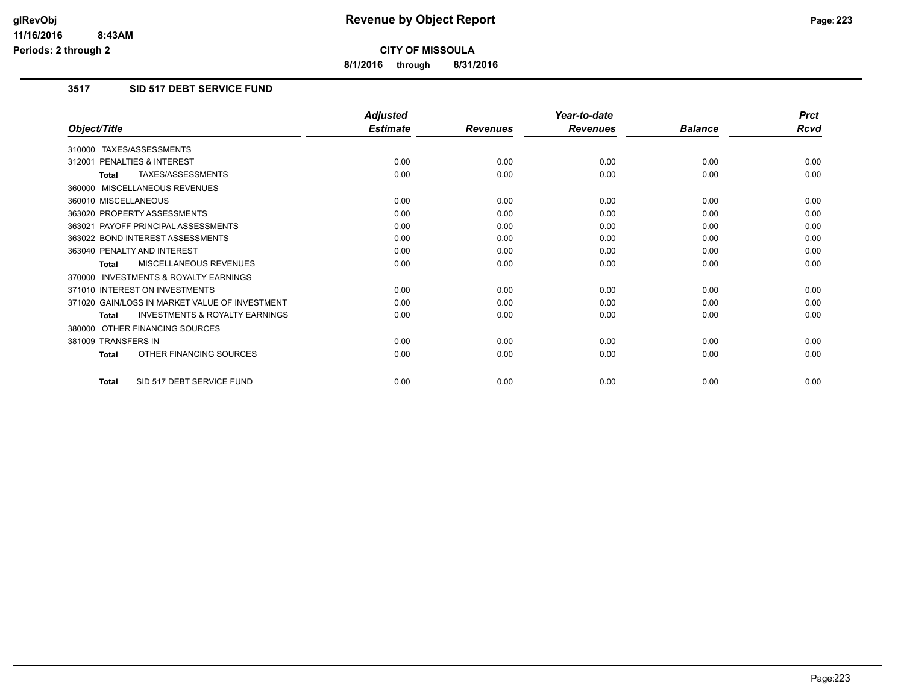**CITY OF MISSOULA**

**8/1/2016 through 8/31/2016**

## **3517 SID 517 DEBT SERVICE FUND**

|                                                           | <b>Adjusted</b> |                 | Year-to-date    |                | <b>Prct</b> |
|-----------------------------------------------------------|-----------------|-----------------|-----------------|----------------|-------------|
| Object/Title                                              | <b>Estimate</b> | <b>Revenues</b> | <b>Revenues</b> | <b>Balance</b> | Rcvd        |
| 310000 TAXES/ASSESSMENTS                                  |                 |                 |                 |                |             |
| PENALTIES & INTEREST<br>312001                            | 0.00            | 0.00            | 0.00            | 0.00           | 0.00        |
| TAXES/ASSESSMENTS<br><b>Total</b>                         | 0.00            | 0.00            | 0.00            | 0.00           | 0.00        |
| 360000 MISCELLANEOUS REVENUES                             |                 |                 |                 |                |             |
| 360010 MISCELLANEOUS                                      | 0.00            | 0.00            | 0.00            | 0.00           | 0.00        |
| 363020 PROPERTY ASSESSMENTS                               | 0.00            | 0.00            | 0.00            | 0.00           | 0.00        |
| 363021 PAYOFF PRINCIPAL ASSESSMENTS                       | 0.00            | 0.00            | 0.00            | 0.00           | 0.00        |
| 363022 BOND INTEREST ASSESSMENTS                          | 0.00            | 0.00            | 0.00            | 0.00           | 0.00        |
| 363040 PENALTY AND INTEREST                               | 0.00            | 0.00            | 0.00            | 0.00           | 0.00        |
| <b>MISCELLANEOUS REVENUES</b><br><b>Total</b>             | 0.00            | 0.00            | 0.00            | 0.00           | 0.00        |
| <b>INVESTMENTS &amp; ROYALTY EARNINGS</b><br>370000       |                 |                 |                 |                |             |
| 371010 INTEREST ON INVESTMENTS                            | 0.00            | 0.00            | 0.00            | 0.00           | 0.00        |
| 371020 GAIN/LOSS IN MARKET VALUE OF INVESTMENT            | 0.00            | 0.00            | 0.00            | 0.00           | 0.00        |
| <b>INVESTMENTS &amp; ROYALTY EARNINGS</b><br><b>Total</b> | 0.00            | 0.00            | 0.00            | 0.00           | 0.00        |
| 380000 OTHER FINANCING SOURCES                            |                 |                 |                 |                |             |
| 381009 TRANSFERS IN                                       | 0.00            | 0.00            | 0.00            | 0.00           | 0.00        |
| OTHER FINANCING SOURCES<br><b>Total</b>                   | 0.00            | 0.00            | 0.00            | 0.00           | 0.00        |
| SID 517 DEBT SERVICE FUND<br><b>Total</b>                 | 0.00            | 0.00            | 0.00            | 0.00           | 0.00        |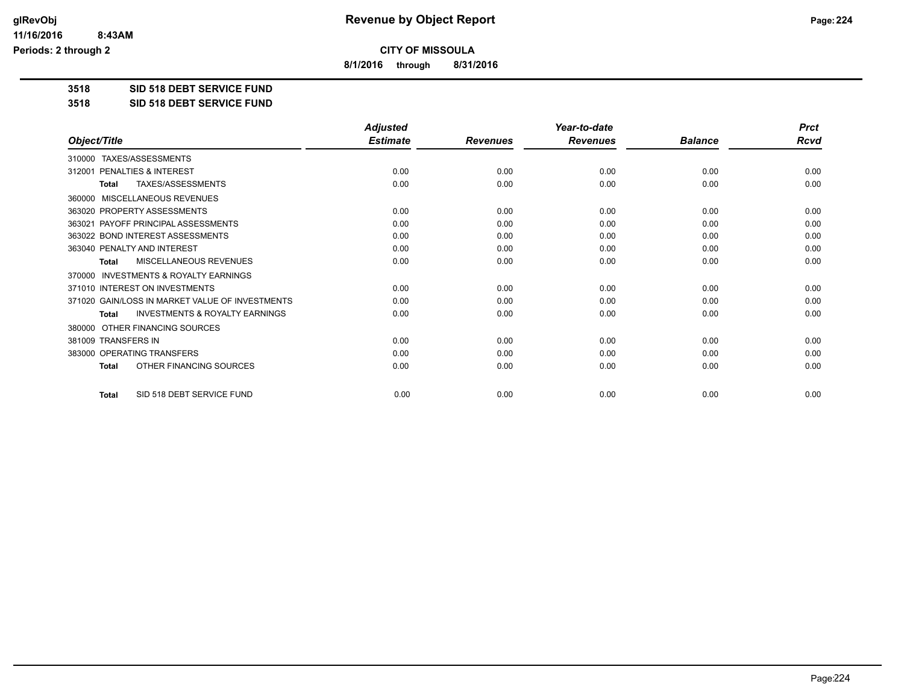**8/1/2016 through 8/31/2016**

**3518 SID 518 DEBT SERVICE FUND**

**3518 SID 518 DEBT SERVICE FUND**

|                                                           | <b>Adjusted</b> |                 | Year-to-date    |                | <b>Prct</b> |
|-----------------------------------------------------------|-----------------|-----------------|-----------------|----------------|-------------|
| Object/Title                                              | <b>Estimate</b> | <b>Revenues</b> | <b>Revenues</b> | <b>Balance</b> | <b>Rcvd</b> |
| TAXES/ASSESSMENTS<br>310000                               |                 |                 |                 |                |             |
| PENALTIES & INTEREST<br>312001                            | 0.00            | 0.00            | 0.00            | 0.00           | 0.00        |
| TAXES/ASSESSMENTS<br><b>Total</b>                         | 0.00            | 0.00            | 0.00            | 0.00           | 0.00        |
| MISCELLANEOUS REVENUES<br>360000                          |                 |                 |                 |                |             |
| 363020 PROPERTY ASSESSMENTS                               | 0.00            | 0.00            | 0.00            | 0.00           | 0.00        |
| 363021 PAYOFF PRINCIPAL ASSESSMENTS                       | 0.00            | 0.00            | 0.00            | 0.00           | 0.00        |
| 363022 BOND INTEREST ASSESSMENTS                          | 0.00            | 0.00            | 0.00            | 0.00           | 0.00        |
| 363040 PENALTY AND INTEREST                               | 0.00            | 0.00            | 0.00            | 0.00           | 0.00        |
| MISCELLANEOUS REVENUES<br><b>Total</b>                    | 0.00            | 0.00            | 0.00            | 0.00           | 0.00        |
| <b>INVESTMENTS &amp; ROYALTY EARNINGS</b><br>370000       |                 |                 |                 |                |             |
| 371010 INTEREST ON INVESTMENTS                            | 0.00            | 0.00            | 0.00            | 0.00           | 0.00        |
| 371020 GAIN/LOSS IN MARKET VALUE OF INVESTMENTS           | 0.00            | 0.00            | 0.00            | 0.00           | 0.00        |
| <b>INVESTMENTS &amp; ROYALTY EARNINGS</b><br><b>Total</b> | 0.00            | 0.00            | 0.00            | 0.00           | 0.00        |
| OTHER FINANCING SOURCES<br>380000                         |                 |                 |                 |                |             |
| 381009 TRANSFERS IN                                       | 0.00            | 0.00            | 0.00            | 0.00           | 0.00        |
| 383000 OPERATING TRANSFERS                                | 0.00            | 0.00            | 0.00            | 0.00           | 0.00        |
| OTHER FINANCING SOURCES<br><b>Total</b>                   | 0.00            | 0.00            | 0.00            | 0.00           | 0.00        |
| SID 518 DEBT SERVICE FUND<br><b>Total</b>                 | 0.00            | 0.00            | 0.00            | 0.00           | 0.00        |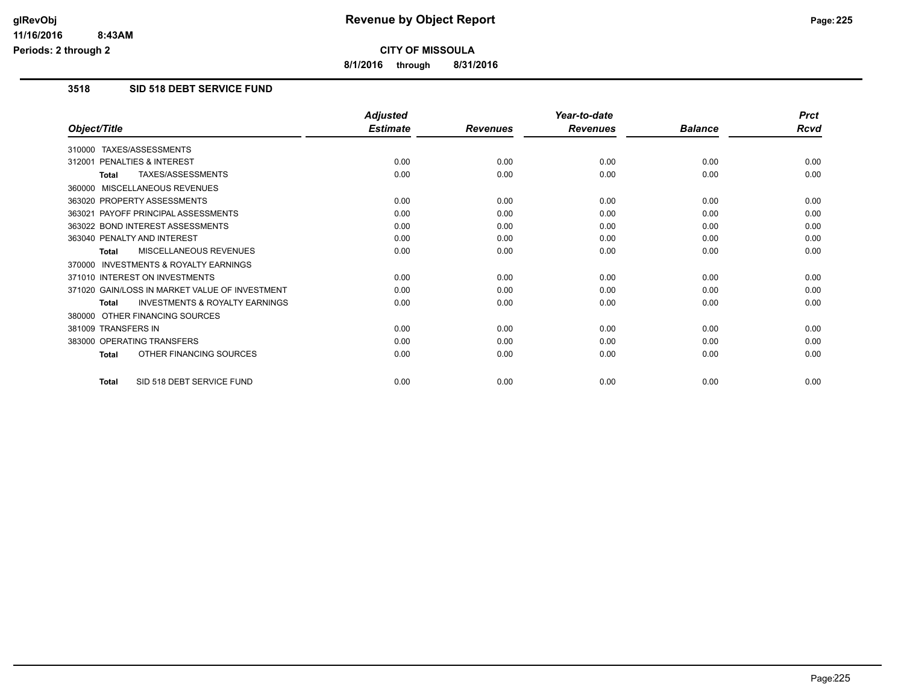**CITY OF MISSOULA**

**8/1/2016 through 8/31/2016**

## **3518 SID 518 DEBT SERVICE FUND**

|                                                           | <b>Adjusted</b> |                 | Year-to-date    |                | <b>Prct</b> |
|-----------------------------------------------------------|-----------------|-----------------|-----------------|----------------|-------------|
| Object/Title                                              | <b>Estimate</b> | <b>Revenues</b> | <b>Revenues</b> | <b>Balance</b> | <b>Rcvd</b> |
| 310000 TAXES/ASSESSMENTS                                  |                 |                 |                 |                |             |
| PENALTIES & INTEREST<br>312001                            | 0.00            | 0.00            | 0.00            | 0.00           | 0.00        |
| TAXES/ASSESSMENTS<br><b>Total</b>                         | 0.00            | 0.00            | 0.00            | 0.00           | 0.00        |
| MISCELLANEOUS REVENUES<br>360000                          |                 |                 |                 |                |             |
| 363020 PROPERTY ASSESSMENTS                               | 0.00            | 0.00            | 0.00            | 0.00           | 0.00        |
| 363021 PAYOFF PRINCIPAL ASSESSMENTS                       | 0.00            | 0.00            | 0.00            | 0.00           | 0.00        |
| 363022 BOND INTEREST ASSESSMENTS                          | 0.00            | 0.00            | 0.00            | 0.00           | 0.00        |
| 363040 PENALTY AND INTEREST                               | 0.00            | 0.00            | 0.00            | 0.00           | 0.00        |
| <b>MISCELLANEOUS REVENUES</b><br><b>Total</b>             | 0.00            | 0.00            | 0.00            | 0.00           | 0.00        |
| <b>INVESTMENTS &amp; ROYALTY EARNINGS</b><br>370000       |                 |                 |                 |                |             |
| 371010 INTEREST ON INVESTMENTS                            | 0.00            | 0.00            | 0.00            | 0.00           | 0.00        |
| 371020 GAIN/LOSS IN MARKET VALUE OF INVESTMENT            | 0.00            | 0.00            | 0.00            | 0.00           | 0.00        |
| <b>INVESTMENTS &amp; ROYALTY EARNINGS</b><br><b>Total</b> | 0.00            | 0.00            | 0.00            | 0.00           | 0.00        |
| 380000 OTHER FINANCING SOURCES                            |                 |                 |                 |                |             |
| 381009 TRANSFERS IN                                       | 0.00            | 0.00            | 0.00            | 0.00           | 0.00        |
| 383000 OPERATING TRANSFERS                                | 0.00            | 0.00            | 0.00            | 0.00           | 0.00        |
| OTHER FINANCING SOURCES<br><b>Total</b>                   | 0.00            | 0.00            | 0.00            | 0.00           | 0.00        |
| SID 518 DEBT SERVICE FUND<br><b>Total</b>                 | 0.00            | 0.00            | 0.00            | 0.00           | 0.00        |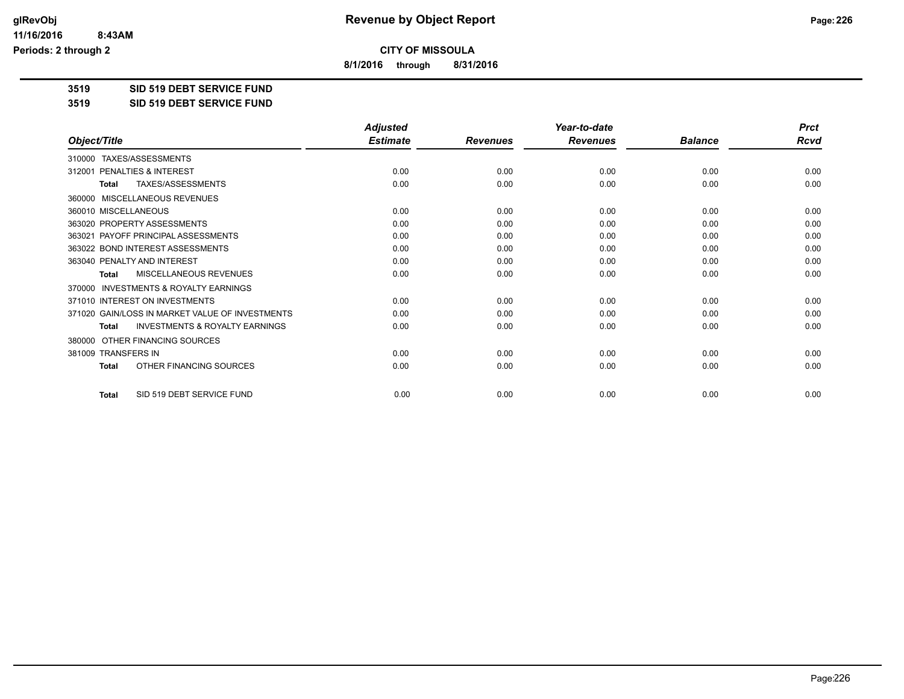**8/1/2016 through 8/31/2016**

**3519 SID 519 DEBT SERVICE FUND**

**3519 SID 519 DEBT SERVICE FUND**

|                                                           | <b>Adjusted</b> |                 | Year-to-date    |                | <b>Prct</b> |
|-----------------------------------------------------------|-----------------|-----------------|-----------------|----------------|-------------|
| Object/Title                                              | <b>Estimate</b> | <b>Revenues</b> | <b>Revenues</b> | <b>Balance</b> | <b>Rcvd</b> |
| TAXES/ASSESSMENTS<br>310000                               |                 |                 |                 |                |             |
| PENALTIES & INTEREST<br>312001                            | 0.00            | 0.00            | 0.00            | 0.00           | 0.00        |
| TAXES/ASSESSMENTS<br>Total                                | 0.00            | 0.00            | 0.00            | 0.00           | 0.00        |
| MISCELLANEOUS REVENUES<br>360000                          |                 |                 |                 |                |             |
| 360010 MISCELLANEOUS                                      | 0.00            | 0.00            | 0.00            | 0.00           | 0.00        |
| 363020 PROPERTY ASSESSMENTS                               | 0.00            | 0.00            | 0.00            | 0.00           | 0.00        |
| 363021 PAYOFF PRINCIPAL ASSESSMENTS                       | 0.00            | 0.00            | 0.00            | 0.00           | 0.00        |
| 363022 BOND INTEREST ASSESSMENTS                          | 0.00            | 0.00            | 0.00            | 0.00           | 0.00        |
| 363040 PENALTY AND INTEREST                               | 0.00            | 0.00            | 0.00            | 0.00           | 0.00        |
| MISCELLANEOUS REVENUES<br><b>Total</b>                    | 0.00            | 0.00            | 0.00            | 0.00           | 0.00        |
| <b>INVESTMENTS &amp; ROYALTY EARNINGS</b><br>370000       |                 |                 |                 |                |             |
| 371010 INTEREST ON INVESTMENTS                            | 0.00            | 0.00            | 0.00            | 0.00           | 0.00        |
| 371020 GAIN/LOSS IN MARKET VALUE OF INVESTMENTS           | 0.00            | 0.00            | 0.00            | 0.00           | 0.00        |
| <b>INVESTMENTS &amp; ROYALTY EARNINGS</b><br><b>Total</b> | 0.00            | 0.00            | 0.00            | 0.00           | 0.00        |
| OTHER FINANCING SOURCES<br>380000                         |                 |                 |                 |                |             |
| 381009 TRANSFERS IN                                       | 0.00            | 0.00            | 0.00            | 0.00           | 0.00        |
| OTHER FINANCING SOURCES<br>Total                          | 0.00            | 0.00            | 0.00            | 0.00           | 0.00        |
| SID 519 DEBT SERVICE FUND<br><b>Total</b>                 | 0.00            | 0.00            | 0.00            | 0.00           | 0.00        |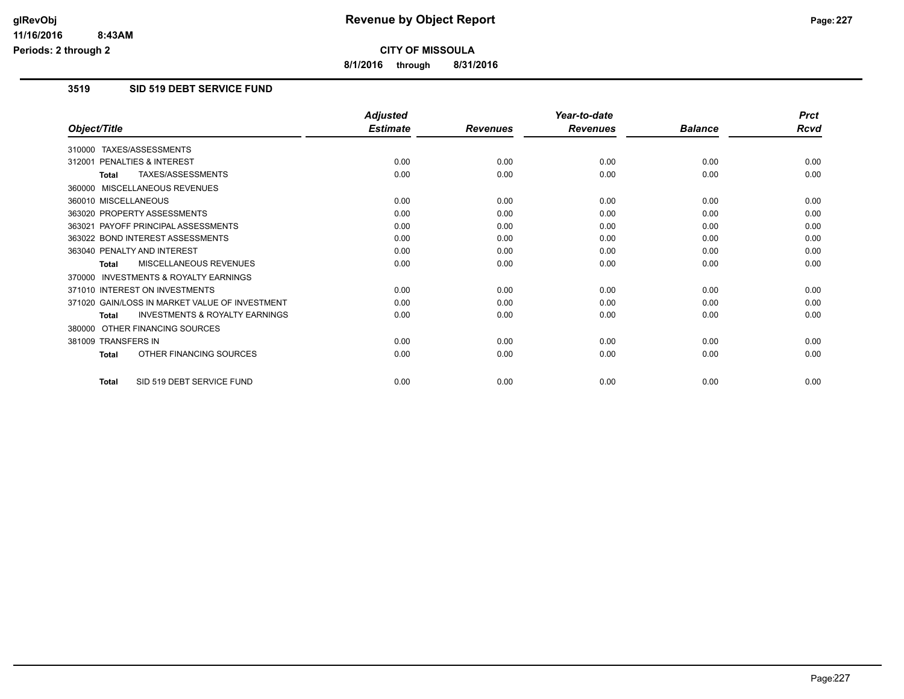**CITY OF MISSOULA**

**8/1/2016 through 8/31/2016**

## **3519 SID 519 DEBT SERVICE FUND**

 **8:43AM**

|                                                           | <b>Adjusted</b> |                 | Year-to-date    |                | <b>Prct</b> |
|-----------------------------------------------------------|-----------------|-----------------|-----------------|----------------|-------------|
| Object/Title                                              | <b>Estimate</b> | <b>Revenues</b> | <b>Revenues</b> | <b>Balance</b> | <b>Rcvd</b> |
| 310000 TAXES/ASSESSMENTS                                  |                 |                 |                 |                |             |
| PENALTIES & INTEREST<br>312001                            | 0.00            | 0.00            | 0.00            | 0.00           | 0.00        |
| <b>TAXES/ASSESSMENTS</b><br><b>Total</b>                  | 0.00            | 0.00            | 0.00            | 0.00           | 0.00        |
| 360000 MISCELLANEOUS REVENUES                             |                 |                 |                 |                |             |
| 360010 MISCELLANEOUS                                      | 0.00            | 0.00            | 0.00            | 0.00           | 0.00        |
| 363020 PROPERTY ASSESSMENTS                               | 0.00            | 0.00            | 0.00            | 0.00           | 0.00        |
| 363021 PAYOFF PRINCIPAL ASSESSMENTS                       | 0.00            | 0.00            | 0.00            | 0.00           | 0.00        |
| 363022 BOND INTEREST ASSESSMENTS                          | 0.00            | 0.00            | 0.00            | 0.00           | 0.00        |
| 363040 PENALTY AND INTEREST                               | 0.00            | 0.00            | 0.00            | 0.00           | 0.00        |
| <b>MISCELLANEOUS REVENUES</b><br><b>Total</b>             | 0.00            | 0.00            | 0.00            | 0.00           | 0.00        |
| <b>INVESTMENTS &amp; ROYALTY EARNINGS</b><br>370000       |                 |                 |                 |                |             |
| 371010 INTEREST ON INVESTMENTS                            | 0.00            | 0.00            | 0.00            | 0.00           | 0.00        |
| 371020 GAIN/LOSS IN MARKET VALUE OF INVESTMENT            | 0.00            | 0.00            | 0.00            | 0.00           | 0.00        |
| <b>INVESTMENTS &amp; ROYALTY EARNINGS</b><br><b>Total</b> | 0.00            | 0.00            | 0.00            | 0.00           | 0.00        |
| OTHER FINANCING SOURCES<br>380000                         |                 |                 |                 |                |             |
| 381009 TRANSFERS IN                                       | 0.00            | 0.00            | 0.00            | 0.00           | 0.00        |
| OTHER FINANCING SOURCES<br><b>Total</b>                   | 0.00            | 0.00            | 0.00            | 0.00           | 0.00        |
| SID 519 DEBT SERVICE FUND<br><b>Total</b>                 | 0.00            | 0.00            | 0.00            | 0.00           | 0.00        |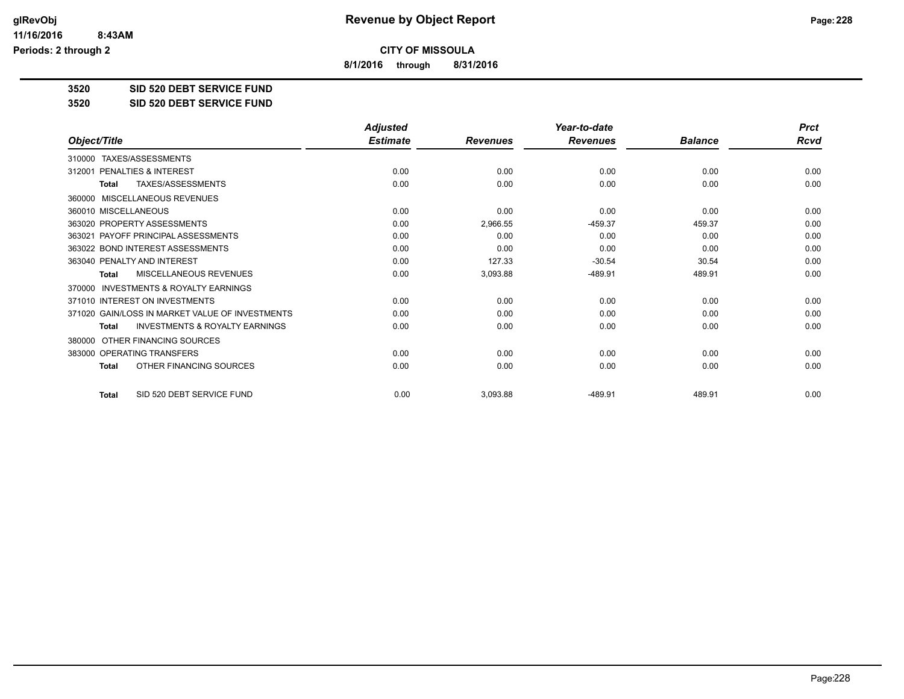**8/1/2016 through 8/31/2016**

**3520 SID 520 DEBT SERVICE FUND**

**3520 SID 520 DEBT SERVICE FUND**

|                                                           | <b>Adjusted</b> |                 | Year-to-date    |                | <b>Prct</b> |
|-----------------------------------------------------------|-----------------|-----------------|-----------------|----------------|-------------|
| Object/Title                                              | <b>Estimate</b> | <b>Revenues</b> | <b>Revenues</b> | <b>Balance</b> | Rcvd        |
| TAXES/ASSESSMENTS<br>310000                               |                 |                 |                 |                |             |
| PENALTIES & INTEREST<br>312001                            | 0.00            | 0.00            | 0.00            | 0.00           | 0.00        |
| <b>TAXES/ASSESSMENTS</b><br>Total                         | 0.00            | 0.00            | 0.00            | 0.00           | 0.00        |
| MISCELLANEOUS REVENUES<br>360000                          |                 |                 |                 |                |             |
| 360010 MISCELLANEOUS                                      | 0.00            | 0.00            | 0.00            | 0.00           | 0.00        |
| 363020 PROPERTY ASSESSMENTS                               | 0.00            | 2,966.55        | $-459.37$       | 459.37         | 0.00        |
| PAYOFF PRINCIPAL ASSESSMENTS<br>363021                    | 0.00            | 0.00            | 0.00            | 0.00           | 0.00        |
| 363022 BOND INTEREST ASSESSMENTS                          | 0.00            | 0.00            | 0.00            | 0.00           | 0.00        |
| 363040 PENALTY AND INTEREST                               | 0.00            | 127.33          | $-30.54$        | 30.54          | 0.00        |
| MISCELLANEOUS REVENUES<br>Total                           | 0.00            | 3,093.88        | $-489.91$       | 489.91         | 0.00        |
| <b>INVESTMENTS &amp; ROYALTY EARNINGS</b><br>370000       |                 |                 |                 |                |             |
| 371010 INTEREST ON INVESTMENTS                            | 0.00            | 0.00            | 0.00            | 0.00           | 0.00        |
| 371020 GAIN/LOSS IN MARKET VALUE OF INVESTMENTS           | 0.00            | 0.00            | 0.00            | 0.00           | 0.00        |
| <b>INVESTMENTS &amp; ROYALTY EARNINGS</b><br><b>Total</b> | 0.00            | 0.00            | 0.00            | 0.00           | 0.00        |
| OTHER FINANCING SOURCES<br>380000                         |                 |                 |                 |                |             |
| 383000 OPERATING TRANSFERS                                | 0.00            | 0.00            | 0.00            | 0.00           | 0.00        |
| OTHER FINANCING SOURCES<br><b>Total</b>                   | 0.00            | 0.00            | 0.00            | 0.00           | 0.00        |
| SID 520 DEBT SERVICE FUND<br><b>Total</b>                 | 0.00            | 3,093.88        | $-489.91$       | 489.91         | 0.00        |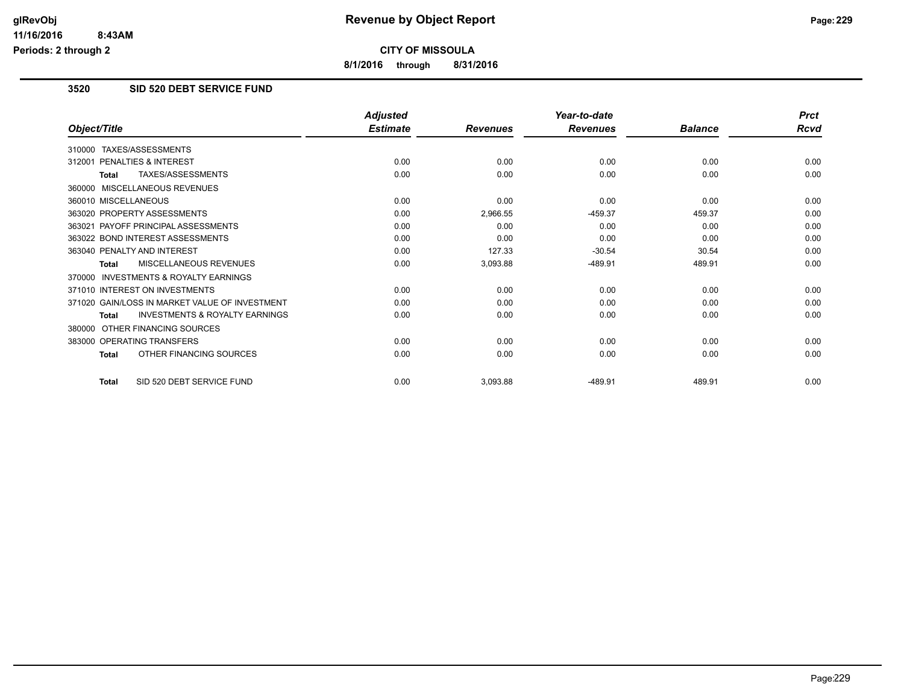**8:43AM**

**CITY OF MISSOULA**

**8/1/2016 through 8/31/2016**

## **3520 SID 520 DEBT SERVICE FUND**

|                                                           | <b>Adjusted</b> |                 | Year-to-date    |                | <b>Prct</b> |
|-----------------------------------------------------------|-----------------|-----------------|-----------------|----------------|-------------|
| Object/Title                                              | <b>Estimate</b> | <b>Revenues</b> | <b>Revenues</b> | <b>Balance</b> | Rcvd        |
| 310000 TAXES/ASSESSMENTS                                  |                 |                 |                 |                |             |
| PENALTIES & INTEREST<br>312001                            | 0.00            | 0.00            | 0.00            | 0.00           | 0.00        |
| TAXES/ASSESSMENTS<br><b>Total</b>                         | 0.00            | 0.00            | 0.00            | 0.00           | 0.00        |
| 360000 MISCELLANEOUS REVENUES                             |                 |                 |                 |                |             |
| 360010 MISCELLANEOUS                                      | 0.00            | 0.00            | 0.00            | 0.00           | 0.00        |
| 363020 PROPERTY ASSESSMENTS                               | 0.00            | 2,966.55        | $-459.37$       | 459.37         | 0.00        |
| 363021 PAYOFF PRINCIPAL ASSESSMENTS                       | 0.00            | 0.00            | 0.00            | 0.00           | 0.00        |
| 363022 BOND INTEREST ASSESSMENTS                          | 0.00            | 0.00            | 0.00            | 0.00           | 0.00        |
| 363040 PENALTY AND INTEREST                               | 0.00            | 127.33          | $-30.54$        | 30.54          | 0.00        |
| MISCELLANEOUS REVENUES<br><b>Total</b>                    | 0.00            | 3,093.88        | $-489.91$       | 489.91         | 0.00        |
| <b>INVESTMENTS &amp; ROYALTY EARNINGS</b><br>370000       |                 |                 |                 |                |             |
| 371010 INTEREST ON INVESTMENTS                            | 0.00            | 0.00            | 0.00            | 0.00           | 0.00        |
| 371020 GAIN/LOSS IN MARKET VALUE OF INVESTMENT            | 0.00            | 0.00            | 0.00            | 0.00           | 0.00        |
| <b>INVESTMENTS &amp; ROYALTY EARNINGS</b><br><b>Total</b> | 0.00            | 0.00            | 0.00            | 0.00           | 0.00        |
| OTHER FINANCING SOURCES<br>380000                         |                 |                 |                 |                |             |
| 383000 OPERATING TRANSFERS                                | 0.00            | 0.00            | 0.00            | 0.00           | 0.00        |
| OTHER FINANCING SOURCES<br><b>Total</b>                   | 0.00            | 0.00            | 0.00            | 0.00           | 0.00        |
| SID 520 DEBT SERVICE FUND<br><b>Total</b>                 | 0.00            | 3,093.88        | $-489.91$       | 489.91         | 0.00        |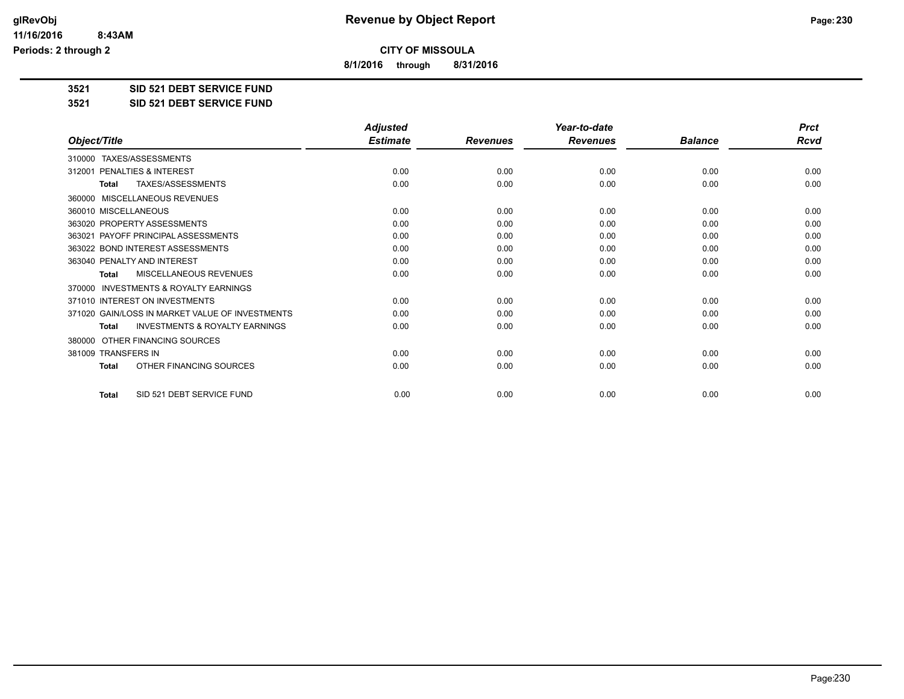**8/1/2016 through 8/31/2016**

**3521 SID 521 DEBT SERVICE FUND**

**3521 SID 521 DEBT SERVICE FUND**

|                                                           | <b>Adjusted</b> |                 | Year-to-date    |                | <b>Prct</b> |
|-----------------------------------------------------------|-----------------|-----------------|-----------------|----------------|-------------|
| Object/Title                                              | <b>Estimate</b> | <b>Revenues</b> | <b>Revenues</b> | <b>Balance</b> | <b>Rcvd</b> |
| TAXES/ASSESSMENTS<br>310000                               |                 |                 |                 |                |             |
| PENALTIES & INTEREST<br>312001                            | 0.00            | 0.00            | 0.00            | 0.00           | 0.00        |
| <b>TAXES/ASSESSMENTS</b><br>Total                         | 0.00            | 0.00            | 0.00            | 0.00           | 0.00        |
| MISCELLANEOUS REVENUES<br>360000                          |                 |                 |                 |                |             |
| 360010 MISCELLANEOUS                                      | 0.00            | 0.00            | 0.00            | 0.00           | 0.00        |
| 363020 PROPERTY ASSESSMENTS                               | 0.00            | 0.00            | 0.00            | 0.00           | 0.00        |
| 363021 PAYOFF PRINCIPAL ASSESSMENTS                       | 0.00            | 0.00            | 0.00            | 0.00           | 0.00        |
| 363022 BOND INTEREST ASSESSMENTS                          | 0.00            | 0.00            | 0.00            | 0.00           | 0.00        |
| 363040 PENALTY AND INTEREST                               | 0.00            | 0.00            | 0.00            | 0.00           | 0.00        |
| MISCELLANEOUS REVENUES<br>Total                           | 0.00            | 0.00            | 0.00            | 0.00           | 0.00        |
| <b>INVESTMENTS &amp; ROYALTY EARNINGS</b><br>370000       |                 |                 |                 |                |             |
| 371010 INTEREST ON INVESTMENTS                            | 0.00            | 0.00            | 0.00            | 0.00           | 0.00        |
| 371020 GAIN/LOSS IN MARKET VALUE OF INVESTMENTS           | 0.00            | 0.00            | 0.00            | 0.00           | 0.00        |
| <b>INVESTMENTS &amp; ROYALTY EARNINGS</b><br><b>Total</b> | 0.00            | 0.00            | 0.00            | 0.00           | 0.00        |
| OTHER FINANCING SOURCES<br>380000                         |                 |                 |                 |                |             |
| 381009 TRANSFERS IN                                       | 0.00            | 0.00            | 0.00            | 0.00           | 0.00        |
| OTHER FINANCING SOURCES<br><b>Total</b>                   | 0.00            | 0.00            | 0.00            | 0.00           | 0.00        |
| SID 521 DEBT SERVICE FUND<br><b>Total</b>                 | 0.00            | 0.00            | 0.00            | 0.00           | 0.00        |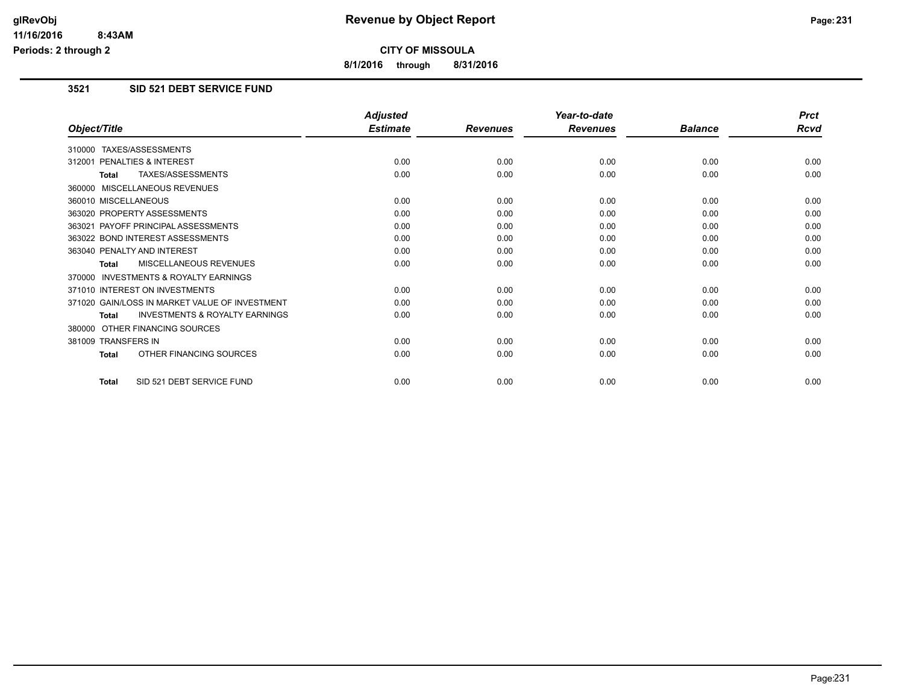**8/1/2016 through 8/31/2016**

## **3521 SID 521 DEBT SERVICE FUND**

|                                                    | <b>Adjusted</b> |                 | Year-to-date    |                | <b>Prct</b> |
|----------------------------------------------------|-----------------|-----------------|-----------------|----------------|-------------|
| Object/Title                                       | <b>Estimate</b> | <b>Revenues</b> | <b>Revenues</b> | <b>Balance</b> | Rcvd        |
| 310000 TAXES/ASSESSMENTS                           |                 |                 |                 |                |             |
| 312001 PENALTIES & INTEREST                        | 0.00            | 0.00            | 0.00            | 0.00           | 0.00        |
| TAXES/ASSESSMENTS<br><b>Total</b>                  | 0.00            | 0.00            | 0.00            | 0.00           | 0.00        |
| 360000 MISCELLANEOUS REVENUES                      |                 |                 |                 |                |             |
| 360010 MISCELLANEOUS                               | 0.00            | 0.00            | 0.00            | 0.00           | 0.00        |
| 363020 PROPERTY ASSESSMENTS                        | 0.00            | 0.00            | 0.00            | 0.00           | 0.00        |
| 363021 PAYOFF PRINCIPAL ASSESSMENTS                | 0.00            | 0.00            | 0.00            | 0.00           | 0.00        |
| 363022 BOND INTEREST ASSESSMENTS                   | 0.00            | 0.00            | 0.00            | 0.00           | 0.00        |
| 363040 PENALTY AND INTEREST                        | 0.00            | 0.00            | 0.00            | 0.00           | 0.00        |
| MISCELLANEOUS REVENUES<br><b>Total</b>             | 0.00            | 0.00            | 0.00            | 0.00           | 0.00        |
| 370000 INVESTMENTS & ROYALTY EARNINGS              |                 |                 |                 |                |             |
| 371010 INTEREST ON INVESTMENTS                     | 0.00            | 0.00            | 0.00            | 0.00           | 0.00        |
| 371020 GAIN/LOSS IN MARKET VALUE OF INVESTMENT     | 0.00            | 0.00            | 0.00            | 0.00           | 0.00        |
| <b>INVESTMENTS &amp; ROYALTY EARNINGS</b><br>Total | 0.00            | 0.00            | 0.00            | 0.00           | 0.00        |
| 380000 OTHER FINANCING SOURCES                     |                 |                 |                 |                |             |
| 381009 TRANSFERS IN                                | 0.00            | 0.00            | 0.00            | 0.00           | 0.00        |
| OTHER FINANCING SOURCES<br>Total                   | 0.00            | 0.00            | 0.00            | 0.00           | 0.00        |
| SID 521 DEBT SERVICE FUND<br><b>Total</b>          | 0.00            | 0.00            | 0.00            | 0.00           | 0.00        |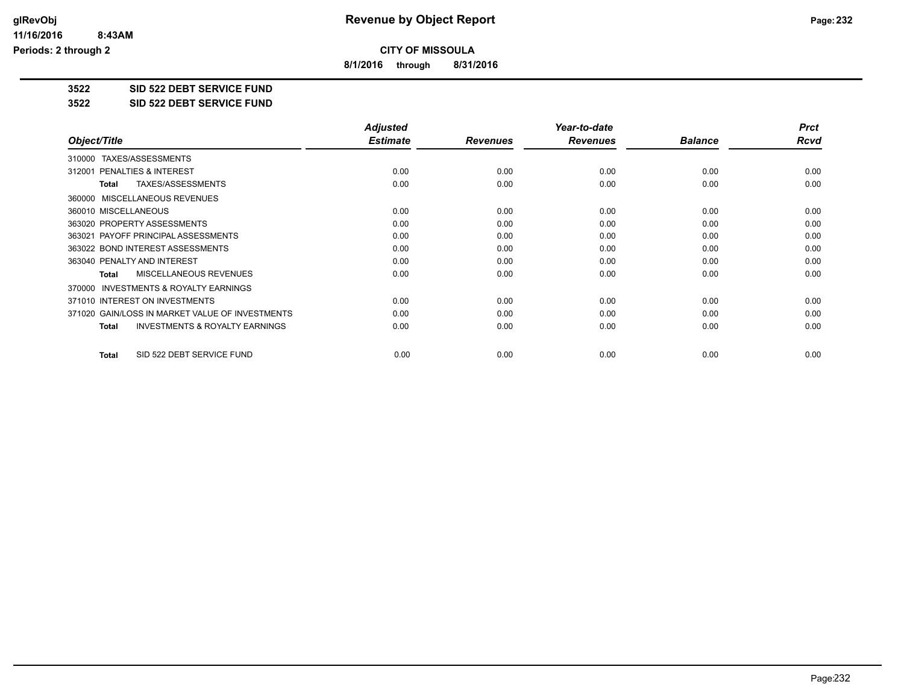**8/1/2016 through 8/31/2016**

**3522 SID 522 DEBT SERVICE FUND**

**3522 SID 522 DEBT SERVICE FUND**

|                                                    | <b>Adjusted</b> |                 | Year-to-date    |                | <b>Prct</b> |
|----------------------------------------------------|-----------------|-----------------|-----------------|----------------|-------------|
| Object/Title                                       | <b>Estimate</b> | <b>Revenues</b> | <b>Revenues</b> | <b>Balance</b> | Rcvd        |
| 310000 TAXES/ASSESSMENTS                           |                 |                 |                 |                |             |
| PENALTIES & INTEREST<br>312001                     | 0.00            | 0.00            | 0.00            | 0.00           | 0.00        |
| TAXES/ASSESSMENTS<br>Total                         | 0.00            | 0.00            | 0.00            | 0.00           | 0.00        |
| 360000 MISCELLANEOUS REVENUES                      |                 |                 |                 |                |             |
| 360010 MISCELLANEOUS                               | 0.00            | 0.00            | 0.00            | 0.00           | 0.00        |
| 363020 PROPERTY ASSESSMENTS                        | 0.00            | 0.00            | 0.00            | 0.00           | 0.00        |
| 363021 PAYOFF PRINCIPAL ASSESSMENTS                | 0.00            | 0.00            | 0.00            | 0.00           | 0.00        |
| 363022 BOND INTEREST ASSESSMENTS                   | 0.00            | 0.00            | 0.00            | 0.00           | 0.00        |
| 363040 PENALTY AND INTEREST                        | 0.00            | 0.00            | 0.00            | 0.00           | 0.00        |
| <b>MISCELLANEOUS REVENUES</b><br>Total             | 0.00            | 0.00            | 0.00            | 0.00           | 0.00        |
| INVESTMENTS & ROYALTY EARNINGS<br>370000           |                 |                 |                 |                |             |
| 371010 INTEREST ON INVESTMENTS                     | 0.00            | 0.00            | 0.00            | 0.00           | 0.00        |
| 371020 GAIN/LOSS IN MARKET VALUE OF INVESTMENTS    | 0.00            | 0.00            | 0.00            | 0.00           | 0.00        |
| <b>INVESTMENTS &amp; ROYALTY EARNINGS</b><br>Total | 0.00            | 0.00            | 0.00            | 0.00           | 0.00        |
| SID 522 DEBT SERVICE FUND<br><b>Total</b>          | 0.00            | 0.00            | 0.00            | 0.00           | 0.00        |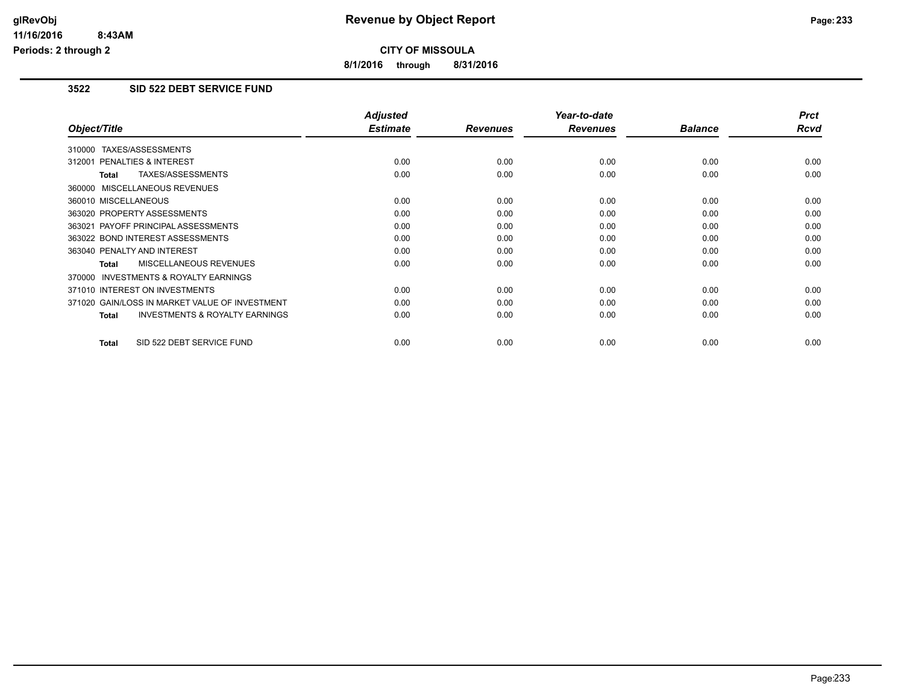**8/1/2016 through 8/31/2016**

## **3522 SID 522 DEBT SERVICE FUND**

|                                                    | Adjusted        |                 | Year-to-date    |                | <b>Prct</b> |
|----------------------------------------------------|-----------------|-----------------|-----------------|----------------|-------------|
| Object/Title                                       | <b>Estimate</b> | <b>Revenues</b> | <b>Revenues</b> | <b>Balance</b> | Rcvd        |
| 310000 TAXES/ASSESSMENTS                           |                 |                 |                 |                |             |
| 312001 PENALTIES & INTEREST                        | 0.00            | 0.00            | 0.00            | 0.00           | 0.00        |
| TAXES/ASSESSMENTS<br>Total                         | 0.00            | 0.00            | 0.00            | 0.00           | 0.00        |
| 360000 MISCELLANEOUS REVENUES                      |                 |                 |                 |                |             |
| 360010 MISCELLANEOUS                               | 0.00            | 0.00            | 0.00            | 0.00           | 0.00        |
| 363020 PROPERTY ASSESSMENTS                        | 0.00            | 0.00            | 0.00            | 0.00           | 0.00        |
| 363021 PAYOFF PRINCIPAL ASSESSMENTS                | 0.00            | 0.00            | 0.00            | 0.00           | 0.00        |
| 363022 BOND INTEREST ASSESSMENTS                   | 0.00            | 0.00            | 0.00            | 0.00           | 0.00        |
| 363040 PENALTY AND INTEREST                        | 0.00            | 0.00            | 0.00            | 0.00           | 0.00        |
| <b>MISCELLANEOUS REVENUES</b><br>Total             | 0.00            | 0.00            | 0.00            | 0.00           | 0.00        |
| INVESTMENTS & ROYALTY EARNINGS<br>370000           |                 |                 |                 |                |             |
| 371010 INTEREST ON INVESTMENTS                     | 0.00            | 0.00            | 0.00            | 0.00           | 0.00        |
| 371020 GAIN/LOSS IN MARKET VALUE OF INVESTMENT     | 0.00            | 0.00            | 0.00            | 0.00           | 0.00        |
| <b>INVESTMENTS &amp; ROYALTY EARNINGS</b><br>Total | 0.00            | 0.00            | 0.00            | 0.00           | 0.00        |
| SID 522 DEBT SERVICE FUND<br><b>Total</b>          | 0.00            | 0.00            | 0.00            | 0.00           | 0.00        |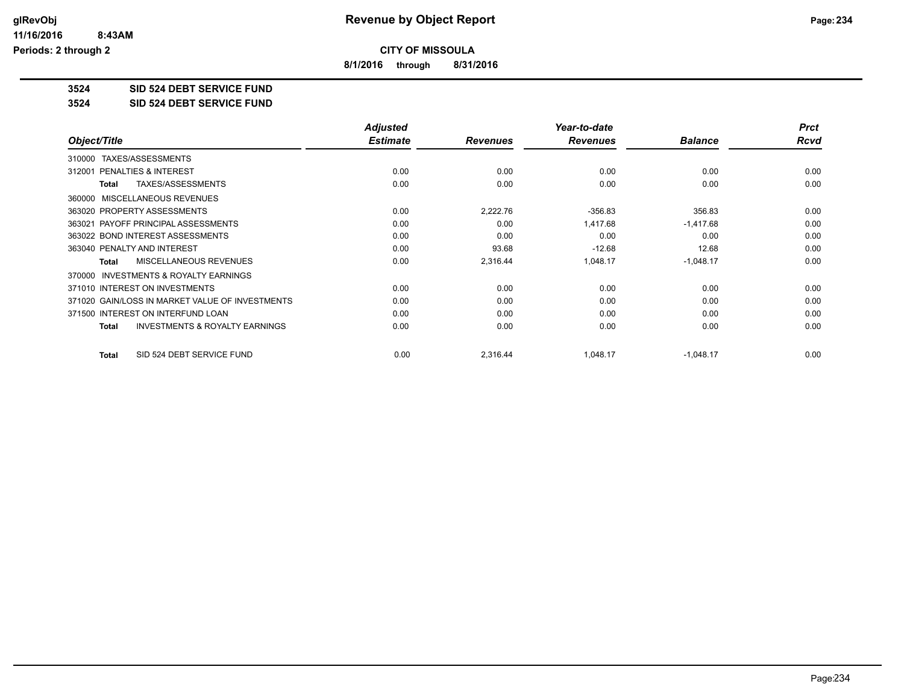**8/1/2016 through 8/31/2016**

**3524 SID 524 DEBT SERVICE FUND**

**3524 SID 524 DEBT SERVICE FUND**

|                                                    | <b>Adjusted</b> |                 | Year-to-date    |                | <b>Prct</b> |
|----------------------------------------------------|-----------------|-----------------|-----------------|----------------|-------------|
| Object/Title                                       | <b>Estimate</b> | <b>Revenues</b> | <b>Revenues</b> | <b>Balance</b> | Rcvd        |
| TAXES/ASSESSMENTS<br>310000                        |                 |                 |                 |                |             |
| <b>PENALTIES &amp; INTEREST</b><br>312001          | 0.00            | 0.00            | 0.00            | 0.00           | 0.00        |
| TAXES/ASSESSMENTS<br>Total                         | 0.00            | 0.00            | 0.00            | 0.00           | 0.00        |
| 360000 MISCELLANEOUS REVENUES                      |                 |                 |                 |                |             |
| 363020 PROPERTY ASSESSMENTS                        | 0.00            | 2,222.76        | $-356.83$       | 356.83         | 0.00        |
| 363021 PAYOFF PRINCIPAL ASSESSMENTS                | 0.00            | 0.00            | 1,417.68        | $-1,417.68$    | 0.00        |
| 363022 BOND INTEREST ASSESSMENTS                   | 0.00            | 0.00            | 0.00            | 0.00           | 0.00        |
| 363040 PENALTY AND INTEREST                        | 0.00            | 93.68           | $-12.68$        | 12.68          | 0.00        |
| <b>MISCELLANEOUS REVENUES</b><br>Total             | 0.00            | 2,316.44        | 1,048.17        | $-1,048.17$    | 0.00        |
| INVESTMENTS & ROYALTY EARNINGS<br>370000           |                 |                 |                 |                |             |
| 371010 INTEREST ON INVESTMENTS                     | 0.00            | 0.00            | 0.00            | 0.00           | 0.00        |
| 371020 GAIN/LOSS IN MARKET VALUE OF INVESTMENTS    | 0.00            | 0.00            | 0.00            | 0.00           | 0.00        |
| 371500 INTEREST ON INTERFUND LOAN                  | 0.00            | 0.00            | 0.00            | 0.00           | 0.00        |
| <b>INVESTMENTS &amp; ROYALTY EARNINGS</b><br>Total | 0.00            | 0.00            | 0.00            | 0.00           | 0.00        |
| SID 524 DEBT SERVICE FUND<br><b>Total</b>          | 0.00            | 2,316.44        | 1,048.17        | $-1,048.17$    | 0.00        |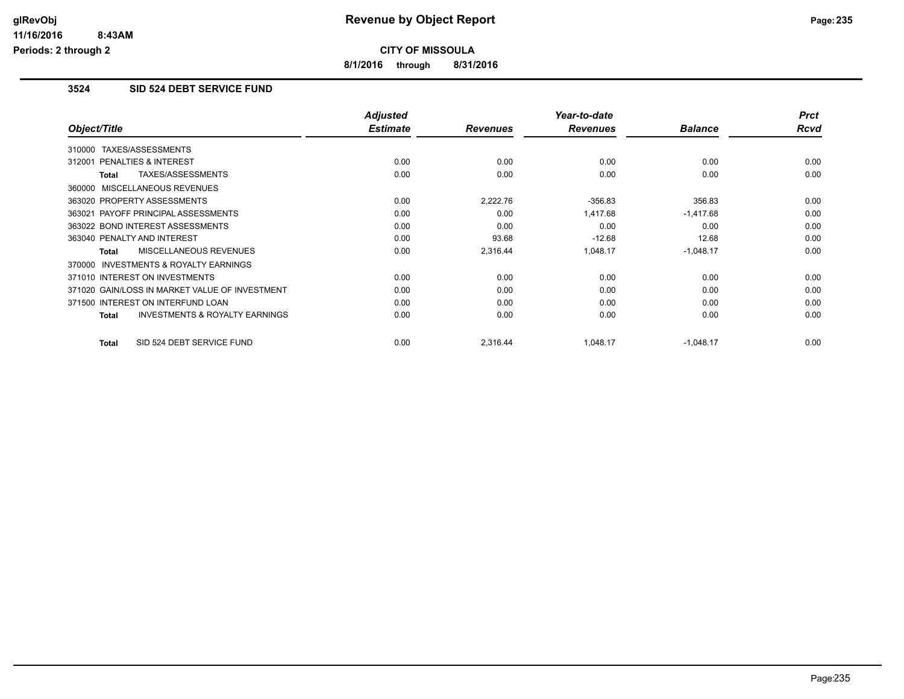**8/1/2016 through 8/31/2016**

## **3524 SID 524 DEBT SERVICE FUND**

|                                                    | <b>Adjusted</b> |                 | Year-to-date    |                | <b>Prct</b> |
|----------------------------------------------------|-----------------|-----------------|-----------------|----------------|-------------|
| Object/Title                                       | <b>Estimate</b> | <b>Revenues</b> | <b>Revenues</b> | <b>Balance</b> | Rcvd        |
| TAXES/ASSESSMENTS<br>310000                        |                 |                 |                 |                |             |
| 312001 PENALTIES & INTEREST                        | 0.00            | 0.00            | 0.00            | 0.00           | 0.00        |
| TAXES/ASSESSMENTS<br>Total                         | 0.00            | 0.00            | 0.00            | 0.00           | 0.00        |
| 360000 MISCELLANEOUS REVENUES                      |                 |                 |                 |                |             |
| 363020 PROPERTY ASSESSMENTS                        | 0.00            | 2,222.76        | $-356.83$       | 356.83         | 0.00        |
| 363021 PAYOFF PRINCIPAL ASSESSMENTS                | 0.00            | 0.00            | 1,417.68        | $-1,417.68$    | 0.00        |
| 363022 BOND INTEREST ASSESSMENTS                   | 0.00            | 0.00            | 0.00            | 0.00           | 0.00        |
| 363040 PENALTY AND INTEREST                        | 0.00            | 93.68           | $-12.68$        | 12.68          | 0.00        |
| <b>MISCELLANEOUS REVENUES</b><br>Total             | 0.00            | 2,316.44        | 1,048.17        | $-1,048.17$    | 0.00        |
| INVESTMENTS & ROYALTY EARNINGS<br>370000           |                 |                 |                 |                |             |
| 371010 INTEREST ON INVESTMENTS                     | 0.00            | 0.00            | 0.00            | 0.00           | 0.00        |
| 371020 GAIN/LOSS IN MARKET VALUE OF INVESTMENT     | 0.00            | 0.00            | 0.00            | 0.00           | 0.00        |
| 371500 INTEREST ON INTERFUND LOAN                  | 0.00            | 0.00            | 0.00            | 0.00           | 0.00        |
| <b>INVESTMENTS &amp; ROYALTY EARNINGS</b><br>Total | 0.00            | 0.00            | 0.00            | 0.00           | 0.00        |
| SID 524 DEBT SERVICE FUND<br>Total                 | 0.00            | 2,316.44        | 1,048.17        | $-1,048.17$    | 0.00        |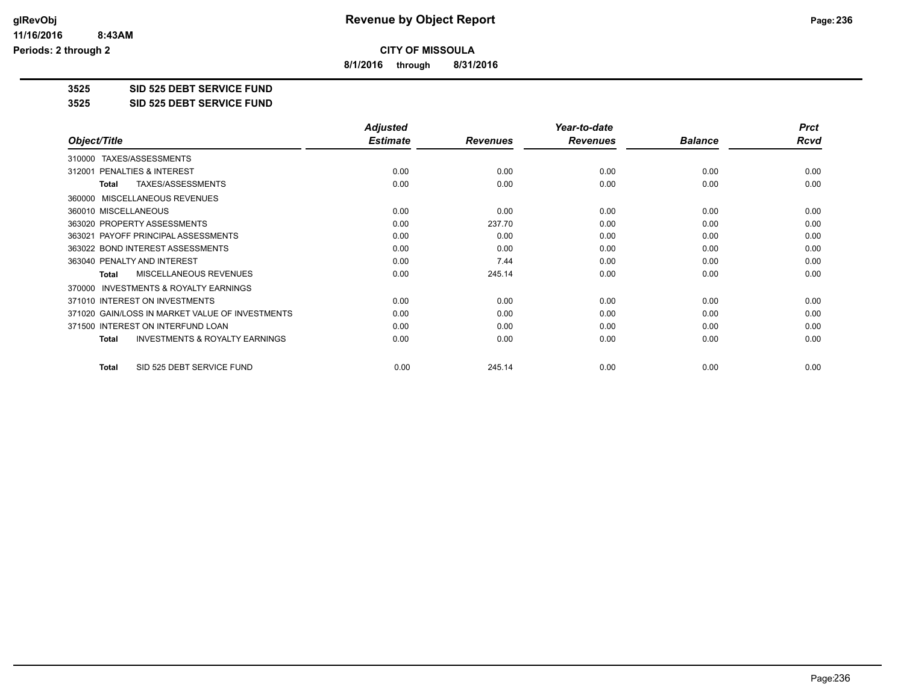**8/1/2016 through 8/31/2016**

**3525 SID 525 DEBT SERVICE FUND**

**3525 SID 525 DEBT SERVICE FUND**

|                                                           | <b>Adjusted</b> |                 | Year-to-date    |                | <b>Prct</b> |
|-----------------------------------------------------------|-----------------|-----------------|-----------------|----------------|-------------|
| Object/Title                                              | <b>Estimate</b> | <b>Revenues</b> | <b>Revenues</b> | <b>Balance</b> | <b>Rcvd</b> |
| TAXES/ASSESSMENTS<br>310000                               |                 |                 |                 |                |             |
| PENALTIES & INTEREST<br>312001                            | 0.00            | 0.00            | 0.00            | 0.00           | 0.00        |
| TAXES/ASSESSMENTS<br><b>Total</b>                         | 0.00            | 0.00            | 0.00            | 0.00           | 0.00        |
| 360000 MISCELLANEOUS REVENUES                             |                 |                 |                 |                |             |
| 360010 MISCELLANEOUS                                      | 0.00            | 0.00            | 0.00            | 0.00           | 0.00        |
| 363020 PROPERTY ASSESSMENTS                               | 0.00            | 237.70          | 0.00            | 0.00           | 0.00        |
| 363021 PAYOFF PRINCIPAL ASSESSMENTS                       | 0.00            | 0.00            | 0.00            | 0.00           | 0.00        |
| 363022 BOND INTEREST ASSESSMENTS                          | 0.00            | 0.00            | 0.00            | 0.00           | 0.00        |
| 363040 PENALTY AND INTEREST                               | 0.00            | 7.44            | 0.00            | 0.00           | 0.00        |
| <b>MISCELLANEOUS REVENUES</b><br><b>Total</b>             | 0.00            | 245.14          | 0.00            | 0.00           | 0.00        |
| <b>INVESTMENTS &amp; ROYALTY EARNINGS</b><br>370000       |                 |                 |                 |                |             |
| 371010 INTEREST ON INVESTMENTS                            | 0.00            | 0.00            | 0.00            | 0.00           | 0.00        |
| 371020 GAIN/LOSS IN MARKET VALUE OF INVESTMENTS           | 0.00            | 0.00            | 0.00            | 0.00           | 0.00        |
| 371500 INTEREST ON INTERFUND LOAN                         | 0.00            | 0.00            | 0.00            | 0.00           | 0.00        |
| <b>INVESTMENTS &amp; ROYALTY EARNINGS</b><br><b>Total</b> | 0.00            | 0.00            | 0.00            | 0.00           | 0.00        |
| SID 525 DEBT SERVICE FUND<br><b>Total</b>                 | 0.00            | 245.14          | 0.00            | 0.00           | 0.00        |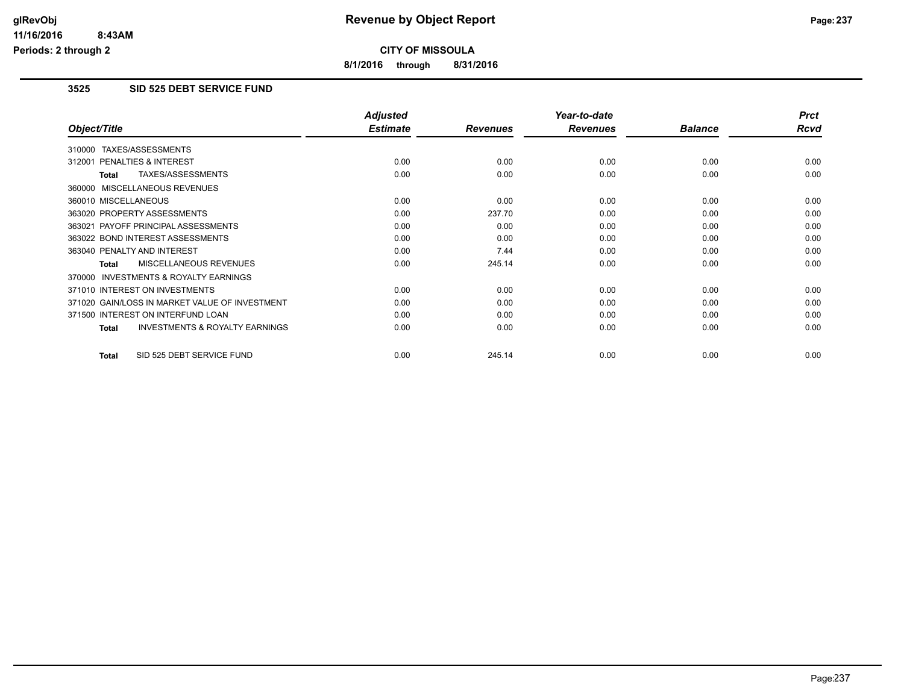**8/1/2016 through 8/31/2016**

## **3525 SID 525 DEBT SERVICE FUND**

|                                                           | <b>Adjusted</b> |                 | Year-to-date    |                | <b>Prct</b> |
|-----------------------------------------------------------|-----------------|-----------------|-----------------|----------------|-------------|
| Object/Title                                              | <b>Estimate</b> | <b>Revenues</b> | <b>Revenues</b> | <b>Balance</b> | Rcvd        |
| TAXES/ASSESSMENTS<br>310000                               |                 |                 |                 |                |             |
| PENALTIES & INTEREST<br>312001                            | 0.00            | 0.00            | 0.00            | 0.00           | 0.00        |
| TAXES/ASSESSMENTS<br><b>Total</b>                         | 0.00            | 0.00            | 0.00            | 0.00           | 0.00        |
| 360000 MISCELLANEOUS REVENUES                             |                 |                 |                 |                |             |
| 360010 MISCELLANEOUS                                      | 0.00            | 0.00            | 0.00            | 0.00           | 0.00        |
| 363020 PROPERTY ASSESSMENTS                               | 0.00            | 237.70          | 0.00            | 0.00           | 0.00        |
| 363021 PAYOFF PRINCIPAL ASSESSMENTS                       | 0.00            | 0.00            | 0.00            | 0.00           | 0.00        |
| 363022 BOND INTEREST ASSESSMENTS                          | 0.00            | 0.00            | 0.00            | 0.00           | 0.00        |
| 363040 PENALTY AND INTEREST                               | 0.00            | 7.44            | 0.00            | 0.00           | 0.00        |
| <b>MISCELLANEOUS REVENUES</b><br><b>Total</b>             | 0.00            | 245.14          | 0.00            | 0.00           | 0.00        |
| <b>INVESTMENTS &amp; ROYALTY EARNINGS</b><br>370000       |                 |                 |                 |                |             |
| 371010 INTEREST ON INVESTMENTS                            | 0.00            | 0.00            | 0.00            | 0.00           | 0.00        |
| 371020 GAIN/LOSS IN MARKET VALUE OF INVESTMENT            | 0.00            | 0.00            | 0.00            | 0.00           | 0.00        |
| 371500 INTEREST ON INTERFUND LOAN                         | 0.00            | 0.00            | 0.00            | 0.00           | 0.00        |
| <b>INVESTMENTS &amp; ROYALTY EARNINGS</b><br><b>Total</b> | 0.00            | 0.00            | 0.00            | 0.00           | 0.00        |
| SID 525 DEBT SERVICE FUND<br><b>Total</b>                 | 0.00            | 245.14          | 0.00            | 0.00           | 0.00        |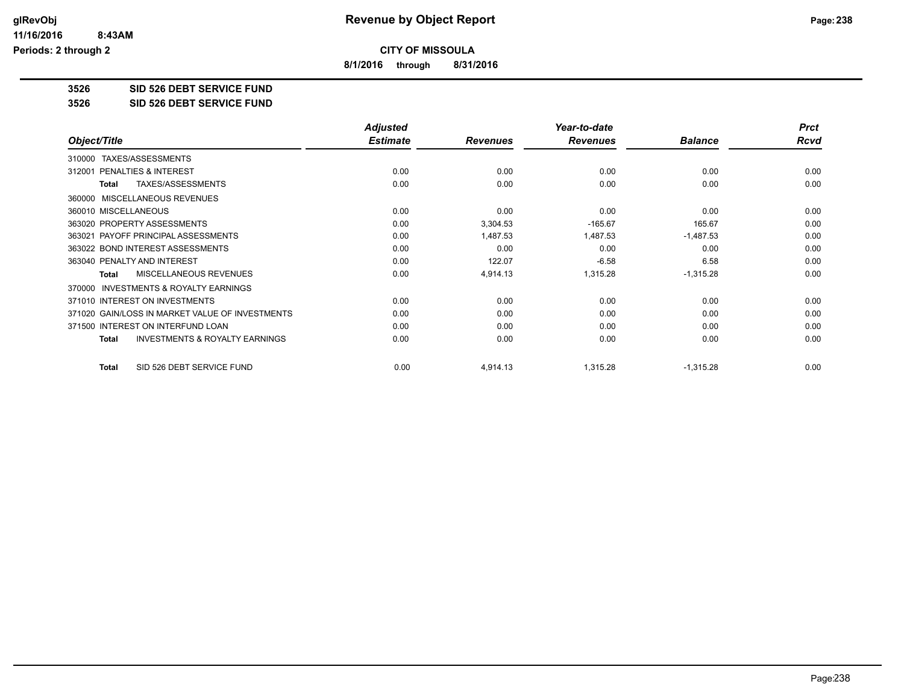**8/1/2016 through 8/31/2016**

**3526 SID 526 DEBT SERVICE FUND**

**3526 SID 526 DEBT SERVICE FUND**

|                                                           | <b>Adjusted</b> |                 | Year-to-date    |                | <b>Prct</b> |
|-----------------------------------------------------------|-----------------|-----------------|-----------------|----------------|-------------|
| Object/Title                                              | <b>Estimate</b> | <b>Revenues</b> | <b>Revenues</b> | <b>Balance</b> | <b>Rcvd</b> |
| TAXES/ASSESSMENTS<br>310000                               |                 |                 |                 |                |             |
| PENALTIES & INTEREST<br>312001                            | 0.00            | 0.00            | 0.00            | 0.00           | 0.00        |
| TAXES/ASSESSMENTS<br><b>Total</b>                         | 0.00            | 0.00            | 0.00            | 0.00           | 0.00        |
| MISCELLANEOUS REVENUES<br>360000                          |                 |                 |                 |                |             |
| 360010 MISCELLANEOUS                                      | 0.00            | 0.00            | 0.00            | 0.00           | 0.00        |
| 363020 PROPERTY ASSESSMENTS                               | 0.00            | 3,304.53        | $-165.67$       | 165.67         | 0.00        |
| 363021 PAYOFF PRINCIPAL ASSESSMENTS                       | 0.00            | 1,487.53        | 1,487.53        | $-1,487.53$    | 0.00        |
| 363022 BOND INTEREST ASSESSMENTS                          | 0.00            | 0.00            | 0.00            | 0.00           | 0.00        |
| 363040 PENALTY AND INTEREST                               | 0.00            | 122.07          | $-6.58$         | 6.58           | 0.00        |
| <b>MISCELLANEOUS REVENUES</b><br><b>Total</b>             | 0.00            | 4,914.13        | 1,315.28        | $-1,315.28$    | 0.00        |
| <b>INVESTMENTS &amp; ROYALTY EARNINGS</b><br>370000       |                 |                 |                 |                |             |
| 371010 INTEREST ON INVESTMENTS                            | 0.00            | 0.00            | 0.00            | 0.00           | 0.00        |
| 371020 GAIN/LOSS IN MARKET VALUE OF INVESTMENTS           | 0.00            | 0.00            | 0.00            | 0.00           | 0.00        |
| 371500 INTEREST ON INTERFUND LOAN                         | 0.00            | 0.00            | 0.00            | 0.00           | 0.00        |
| <b>INVESTMENTS &amp; ROYALTY EARNINGS</b><br><b>Total</b> | 0.00            | 0.00            | 0.00            | 0.00           | 0.00        |
| SID 526 DEBT SERVICE FUND<br><b>Total</b>                 | 0.00            | 4,914.13        | 1,315.28        | $-1,315.28$    | 0.00        |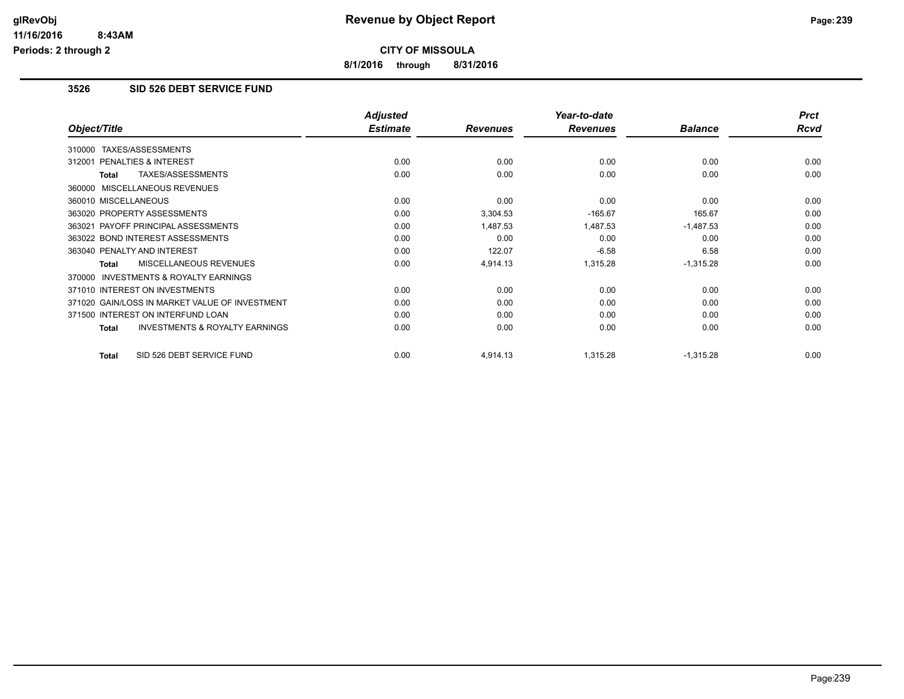**CITY OF MISSOULA**

**8/1/2016 through 8/31/2016**

## **3526 SID 526 DEBT SERVICE FUND**

|                                                           | <b>Adjusted</b> |                 | Year-to-date    |                | <b>Prct</b> |
|-----------------------------------------------------------|-----------------|-----------------|-----------------|----------------|-------------|
| Object/Title                                              | <b>Estimate</b> | <b>Revenues</b> | <b>Revenues</b> | <b>Balance</b> | <b>Rcvd</b> |
| TAXES/ASSESSMENTS<br>310000                               |                 |                 |                 |                |             |
| PENALTIES & INTEREST<br>312001                            | 0.00            | 0.00            | 0.00            | 0.00           | 0.00        |
| TAXES/ASSESSMENTS<br><b>Total</b>                         | 0.00            | 0.00            | 0.00            | 0.00           | 0.00        |
| 360000 MISCELLANEOUS REVENUES                             |                 |                 |                 |                |             |
| 360010 MISCELLANEOUS                                      | 0.00            | 0.00            | 0.00            | 0.00           | 0.00        |
| 363020 PROPERTY ASSESSMENTS                               | 0.00            | 3,304.53        | $-165.67$       | 165.67         | 0.00        |
| 363021 PAYOFF PRINCIPAL ASSESSMENTS                       | 0.00            | 1,487.53        | 1,487.53        | $-1,487.53$    | 0.00        |
| 363022 BOND INTEREST ASSESSMENTS                          | 0.00            | 0.00            | 0.00            | 0.00           | 0.00        |
| 363040 PENALTY AND INTEREST                               | 0.00            | 122.07          | $-6.58$         | 6.58           | 0.00        |
| <b>MISCELLANEOUS REVENUES</b><br><b>Total</b>             | 0.00            | 4,914.13        | 1,315.28        | $-1,315.28$    | 0.00        |
| <b>INVESTMENTS &amp; ROYALTY EARNINGS</b><br>370000       |                 |                 |                 |                |             |
| 371010 INTEREST ON INVESTMENTS                            | 0.00            | 0.00            | 0.00            | 0.00           | 0.00        |
| 371020 GAIN/LOSS IN MARKET VALUE OF INVESTMENT            | 0.00            | 0.00            | 0.00            | 0.00           | 0.00        |
| 371500 INTEREST ON INTERFUND LOAN                         | 0.00            | 0.00            | 0.00            | 0.00           | 0.00        |
| <b>INVESTMENTS &amp; ROYALTY EARNINGS</b><br><b>Total</b> | 0.00            | 0.00            | 0.00            | 0.00           | 0.00        |
| SID 526 DEBT SERVICE FUND<br><b>Total</b>                 | 0.00            | 4,914.13        | 1,315.28        | $-1,315.28$    | 0.00        |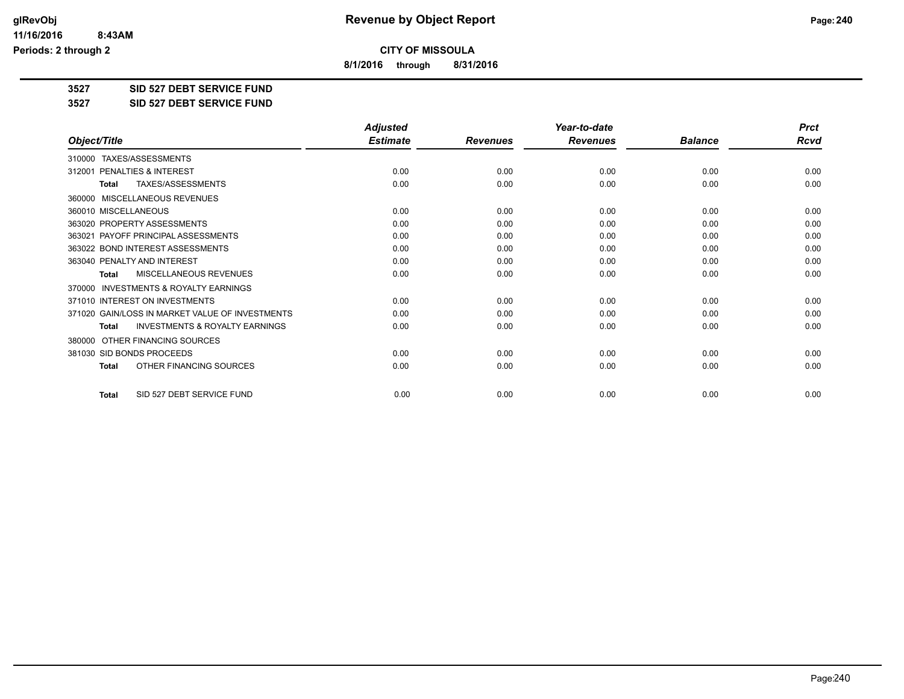**8/1/2016 through 8/31/2016**

**3527 SID 527 DEBT SERVICE FUND**

**3527 SID 527 DEBT SERVICE FUND**

|                                                     | <b>Adjusted</b> |                 | Year-to-date    |                | <b>Prct</b> |
|-----------------------------------------------------|-----------------|-----------------|-----------------|----------------|-------------|
| Object/Title                                        | <b>Estimate</b> | <b>Revenues</b> | <b>Revenues</b> | <b>Balance</b> | <b>Rcvd</b> |
| 310000 TAXES/ASSESSMENTS                            |                 |                 |                 |                |             |
| PENALTIES & INTEREST<br>312001                      | 0.00            | 0.00            | 0.00            | 0.00           | 0.00        |
| TAXES/ASSESSMENTS<br><b>Total</b>                   | 0.00            | 0.00            | 0.00            | 0.00           | 0.00        |
| MISCELLANEOUS REVENUES<br>360000                    |                 |                 |                 |                |             |
| 360010 MISCELLANEOUS                                | 0.00            | 0.00            | 0.00            | 0.00           | 0.00        |
| 363020 PROPERTY ASSESSMENTS                         | 0.00            | 0.00            | 0.00            | 0.00           | 0.00        |
| 363021 PAYOFF PRINCIPAL ASSESSMENTS                 | 0.00            | 0.00            | 0.00            | 0.00           | 0.00        |
| 363022 BOND INTEREST ASSESSMENTS                    | 0.00            | 0.00            | 0.00            | 0.00           | 0.00        |
| 363040 PENALTY AND INTEREST                         | 0.00            | 0.00            | 0.00            | 0.00           | 0.00        |
| MISCELLANEOUS REVENUES<br>Total                     | 0.00            | 0.00            | 0.00            | 0.00           | 0.00        |
| <b>INVESTMENTS &amp; ROYALTY EARNINGS</b><br>370000 |                 |                 |                 |                |             |
| 371010 INTEREST ON INVESTMENTS                      | 0.00            | 0.00            | 0.00            | 0.00           | 0.00        |
| 371020 GAIN/LOSS IN MARKET VALUE OF INVESTMENTS     | 0.00            | 0.00            | 0.00            | 0.00           | 0.00        |
| <b>INVESTMENTS &amp; ROYALTY EARNINGS</b><br>Total  | 0.00            | 0.00            | 0.00            | 0.00           | 0.00        |
| OTHER FINANCING SOURCES<br>380000                   |                 |                 |                 |                |             |
| 381030 SID BONDS PROCEEDS                           | 0.00            | 0.00            | 0.00            | 0.00           | 0.00        |
| OTHER FINANCING SOURCES<br><b>Total</b>             | 0.00            | 0.00            | 0.00            | 0.00           | 0.00        |
| SID 527 DEBT SERVICE FUND<br><b>Total</b>           | 0.00            | 0.00            | 0.00            | 0.00           | 0.00        |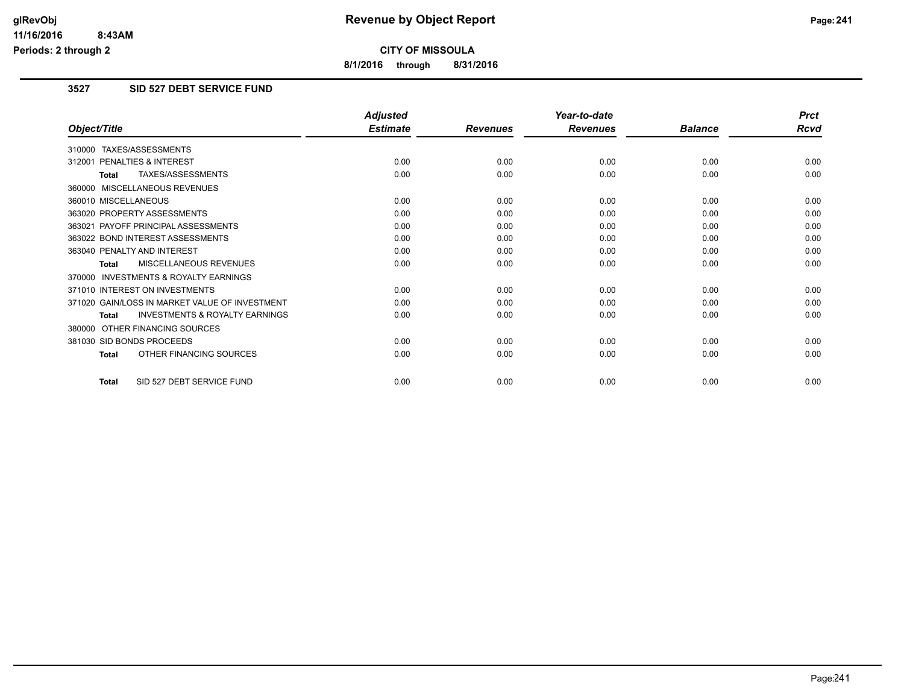**CITY OF MISSOULA**

**8/1/2016 through 8/31/2016**

## **3527 SID 527 DEBT SERVICE FUND**

|                                                    | <b>Adjusted</b> |                 | Year-to-date    |                | <b>Prct</b> |
|----------------------------------------------------|-----------------|-----------------|-----------------|----------------|-------------|
| Object/Title                                       | <b>Estimate</b> | <b>Revenues</b> | <b>Revenues</b> | <b>Balance</b> | <b>Rcvd</b> |
| 310000 TAXES/ASSESSMENTS                           |                 |                 |                 |                |             |
| PENALTIES & INTEREST<br>312001                     | 0.00            | 0.00            | 0.00            | 0.00           | 0.00        |
| TAXES/ASSESSMENTS<br><b>Total</b>                  | 0.00            | 0.00            | 0.00            | 0.00           | 0.00        |
| 360000 MISCELLANEOUS REVENUES                      |                 |                 |                 |                |             |
| 360010 MISCELLANEOUS                               | 0.00            | 0.00            | 0.00            | 0.00           | 0.00        |
| 363020 PROPERTY ASSESSMENTS                        | 0.00            | 0.00            | 0.00            | 0.00           | 0.00        |
| 363021 PAYOFF PRINCIPAL ASSESSMENTS                | 0.00            | 0.00            | 0.00            | 0.00           | 0.00        |
| 363022 BOND INTEREST ASSESSMENTS                   | 0.00            | 0.00            | 0.00            | 0.00           | 0.00        |
| 363040 PENALTY AND INTEREST                        | 0.00            | 0.00            | 0.00            | 0.00           | 0.00        |
| MISCELLANEOUS REVENUES<br><b>Total</b>             | 0.00            | 0.00            | 0.00            | 0.00           | 0.00        |
| 370000 INVESTMENTS & ROYALTY EARNINGS              |                 |                 |                 |                |             |
| 371010 INTEREST ON INVESTMENTS                     | 0.00            | 0.00            | 0.00            | 0.00           | 0.00        |
| 371020 GAIN/LOSS IN MARKET VALUE OF INVESTMENT     | 0.00            | 0.00            | 0.00            | 0.00           | 0.00        |
| <b>INVESTMENTS &amp; ROYALTY EARNINGS</b><br>Total | 0.00            | 0.00            | 0.00            | 0.00           | 0.00        |
| 380000 OTHER FINANCING SOURCES                     |                 |                 |                 |                |             |
| 381030 SID BONDS PROCEEDS                          | 0.00            | 0.00            | 0.00            | 0.00           | 0.00        |
| OTHER FINANCING SOURCES<br>Total                   | 0.00            | 0.00            | 0.00            | 0.00           | 0.00        |
| SID 527 DEBT SERVICE FUND<br><b>Total</b>          | 0.00            | 0.00            | 0.00            | 0.00           | 0.00        |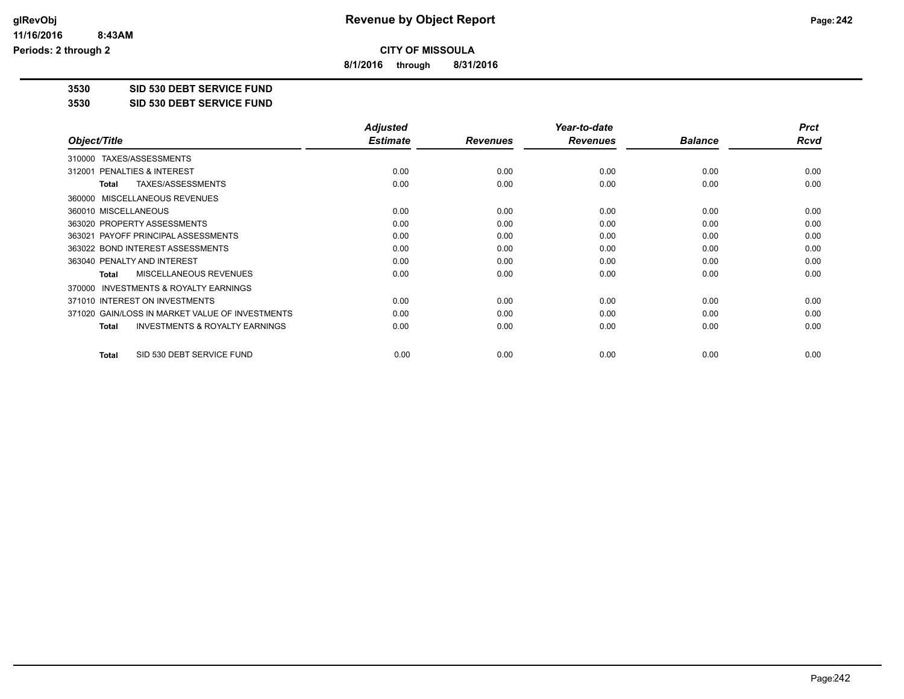**8/1/2016 through 8/31/2016**

**3530 SID 530 DEBT SERVICE FUND**

**3530 SID 530 DEBT SERVICE FUND**

|                                                    | <b>Adjusted</b> |                 | Year-to-date    |                | <b>Prct</b> |
|----------------------------------------------------|-----------------|-----------------|-----------------|----------------|-------------|
| Object/Title                                       | <b>Estimate</b> | <b>Revenues</b> | <b>Revenues</b> | <b>Balance</b> | Rcvd        |
| 310000 TAXES/ASSESSMENTS                           |                 |                 |                 |                |             |
| PENALTIES & INTEREST<br>312001                     | 0.00            | 0.00            | 0.00            | 0.00           | 0.00        |
| TAXES/ASSESSMENTS<br>Total                         | 0.00            | 0.00            | 0.00            | 0.00           | 0.00        |
| 360000 MISCELLANEOUS REVENUES                      |                 |                 |                 |                |             |
| 360010 MISCELLANEOUS                               | 0.00            | 0.00            | 0.00            | 0.00           | 0.00        |
| 363020 PROPERTY ASSESSMENTS                        | 0.00            | 0.00            | 0.00            | 0.00           | 0.00        |
| 363021 PAYOFF PRINCIPAL ASSESSMENTS                | 0.00            | 0.00            | 0.00            | 0.00           | 0.00        |
| 363022 BOND INTEREST ASSESSMENTS                   | 0.00            | 0.00            | 0.00            | 0.00           | 0.00        |
| 363040 PENALTY AND INTEREST                        | 0.00            | 0.00            | 0.00            | 0.00           | 0.00        |
| <b>MISCELLANEOUS REVENUES</b><br>Total             | 0.00            | 0.00            | 0.00            | 0.00           | 0.00        |
| 370000 INVESTMENTS & ROYALTY EARNINGS              |                 |                 |                 |                |             |
| 371010 INTEREST ON INVESTMENTS                     | 0.00            | 0.00            | 0.00            | 0.00           | 0.00        |
| 371020 GAIN/LOSS IN MARKET VALUE OF INVESTMENTS    | 0.00            | 0.00            | 0.00            | 0.00           | 0.00        |
| <b>INVESTMENTS &amp; ROYALTY EARNINGS</b><br>Total | 0.00            | 0.00            | 0.00            | 0.00           | 0.00        |
| SID 530 DEBT SERVICE FUND<br>Total                 | 0.00            | 0.00            | 0.00            | 0.00           | 0.00        |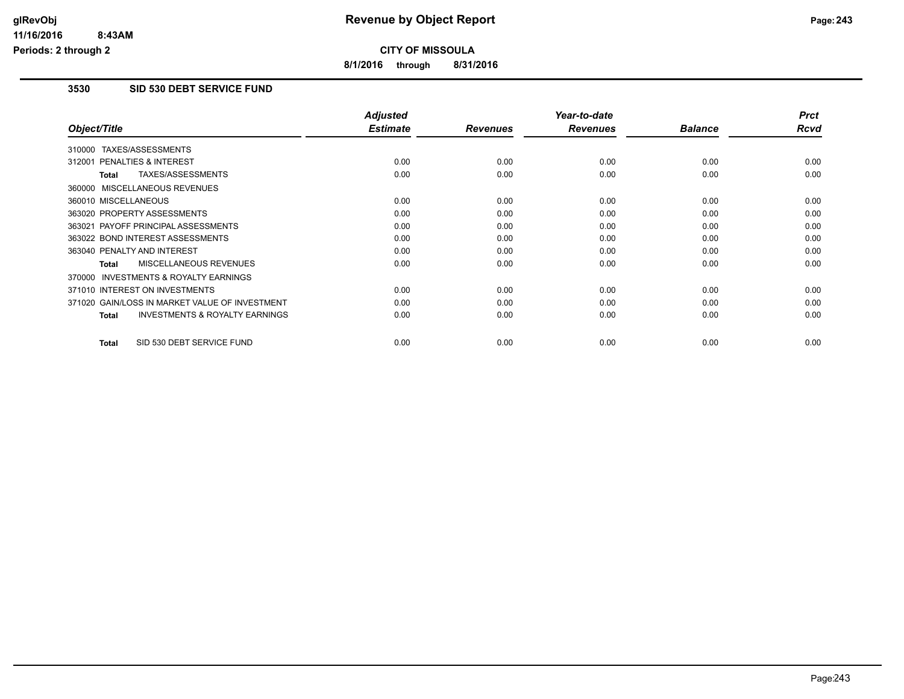**8:43AM**

**CITY OF MISSOULA**

**8/1/2016 through 8/31/2016**

## **3530 SID 530 DEBT SERVICE FUND**

|                                                           | <b>Adjusted</b> |                 | Year-to-date    |                | <b>Prct</b> |
|-----------------------------------------------------------|-----------------|-----------------|-----------------|----------------|-------------|
| Object/Title                                              | <b>Estimate</b> | <b>Revenues</b> | <b>Revenues</b> | <b>Balance</b> | <b>Rcvd</b> |
| 310000 TAXES/ASSESSMENTS                                  |                 |                 |                 |                |             |
| 312001 PENALTIES & INTEREST                               | 0.00            | 0.00            | 0.00            | 0.00           | 0.00        |
| <b>TAXES/ASSESSMENTS</b><br><b>Total</b>                  | 0.00            | 0.00            | 0.00            | 0.00           | 0.00        |
| 360000 MISCELLANEOUS REVENUES                             |                 |                 |                 |                |             |
| 360010 MISCELLANEOUS                                      | 0.00            | 0.00            | 0.00            | 0.00           | 0.00        |
| 363020 PROPERTY ASSESSMENTS                               | 0.00            | 0.00            | 0.00            | 0.00           | 0.00        |
| 363021 PAYOFF PRINCIPAL ASSESSMENTS                       | 0.00            | 0.00            | 0.00            | 0.00           | 0.00        |
| 363022 BOND INTEREST ASSESSMENTS                          | 0.00            | 0.00            | 0.00            | 0.00           | 0.00        |
| 363040 PENALTY AND INTEREST                               | 0.00            | 0.00            | 0.00            | 0.00           | 0.00        |
| <b>MISCELLANEOUS REVENUES</b><br>Total                    | 0.00            | 0.00            | 0.00            | 0.00           | 0.00        |
| <b>INVESTMENTS &amp; ROYALTY EARNINGS</b><br>370000       |                 |                 |                 |                |             |
| 371010 INTEREST ON INVESTMENTS                            | 0.00            | 0.00            | 0.00            | 0.00           | 0.00        |
| 371020 GAIN/LOSS IN MARKET VALUE OF INVESTMENT            | 0.00            | 0.00            | 0.00            | 0.00           | 0.00        |
| <b>INVESTMENTS &amp; ROYALTY EARNINGS</b><br><b>Total</b> | 0.00            | 0.00            | 0.00            | 0.00           | 0.00        |
|                                                           |                 |                 |                 |                |             |
| SID 530 DEBT SERVICE FUND<br><b>Total</b>                 | 0.00            | 0.00            | 0.00            | 0.00           | 0.00        |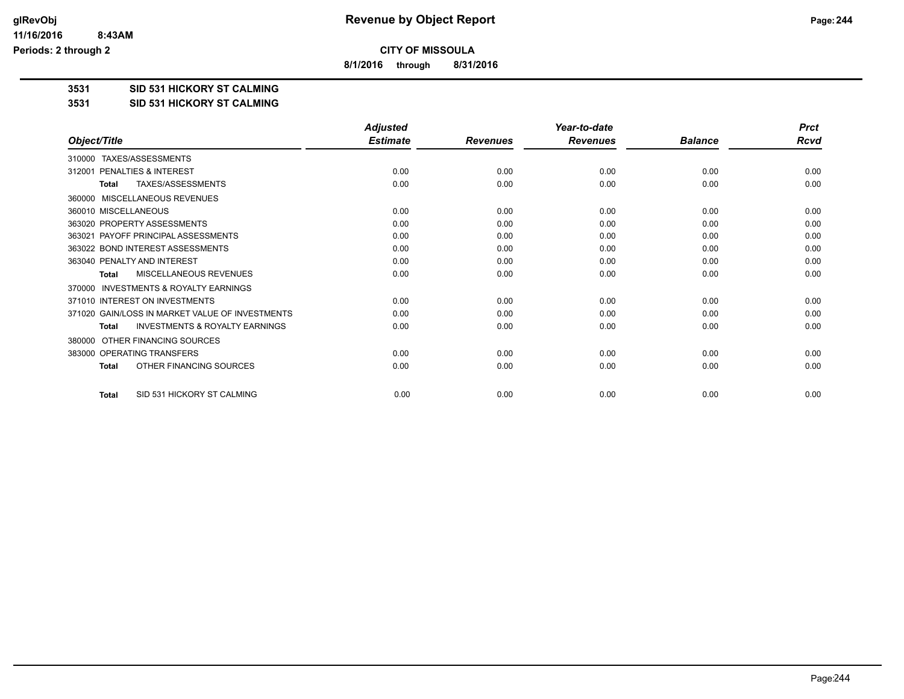**8/1/2016 through 8/31/2016**

**3531 SID 531 HICKORY ST CALMING**

**3531 SID 531 HICKORY ST CALMING**

|                                                           | <b>Adjusted</b> |                 | Year-to-date    |                | <b>Prct</b> |
|-----------------------------------------------------------|-----------------|-----------------|-----------------|----------------|-------------|
| Object/Title                                              | <b>Estimate</b> | <b>Revenues</b> | <b>Revenues</b> | <b>Balance</b> | Rcvd        |
| 310000 TAXES/ASSESSMENTS                                  |                 |                 |                 |                |             |
| PENALTIES & INTEREST<br>312001                            | 0.00            | 0.00            | 0.00            | 0.00           | 0.00        |
| TAXES/ASSESSMENTS<br><b>Total</b>                         | 0.00            | 0.00            | 0.00            | 0.00           | 0.00        |
| MISCELLANEOUS REVENUES<br>360000                          |                 |                 |                 |                |             |
| 360010 MISCELLANEOUS                                      | 0.00            | 0.00            | 0.00            | 0.00           | 0.00        |
| 363020 PROPERTY ASSESSMENTS                               | 0.00            | 0.00            | 0.00            | 0.00           | 0.00        |
| PAYOFF PRINCIPAL ASSESSMENTS<br>363021                    | 0.00            | 0.00            | 0.00            | 0.00           | 0.00        |
| 363022 BOND INTEREST ASSESSMENTS                          | 0.00            | 0.00            | 0.00            | 0.00           | 0.00        |
| 363040 PENALTY AND INTEREST                               | 0.00            | 0.00            | 0.00            | 0.00           | 0.00        |
| MISCELLANEOUS REVENUES<br><b>Total</b>                    | 0.00            | 0.00            | 0.00            | 0.00           | 0.00        |
| <b>INVESTMENTS &amp; ROYALTY EARNINGS</b><br>370000       |                 |                 |                 |                |             |
| 371010 INTEREST ON INVESTMENTS                            | 0.00            | 0.00            | 0.00            | 0.00           | 0.00        |
| 371020 GAIN/LOSS IN MARKET VALUE OF INVESTMENTS           | 0.00            | 0.00            | 0.00            | 0.00           | 0.00        |
| <b>INVESTMENTS &amp; ROYALTY EARNINGS</b><br><b>Total</b> | 0.00            | 0.00            | 0.00            | 0.00           | 0.00        |
| OTHER FINANCING SOURCES<br>380000                         |                 |                 |                 |                |             |
| 383000 OPERATING TRANSFERS                                | 0.00            | 0.00            | 0.00            | 0.00           | 0.00        |
| OTHER FINANCING SOURCES<br><b>Total</b>                   | 0.00            | 0.00            | 0.00            | 0.00           | 0.00        |
| SID 531 HICKORY ST CALMING<br><b>Total</b>                | 0.00            | 0.00            | 0.00            | 0.00           | 0.00        |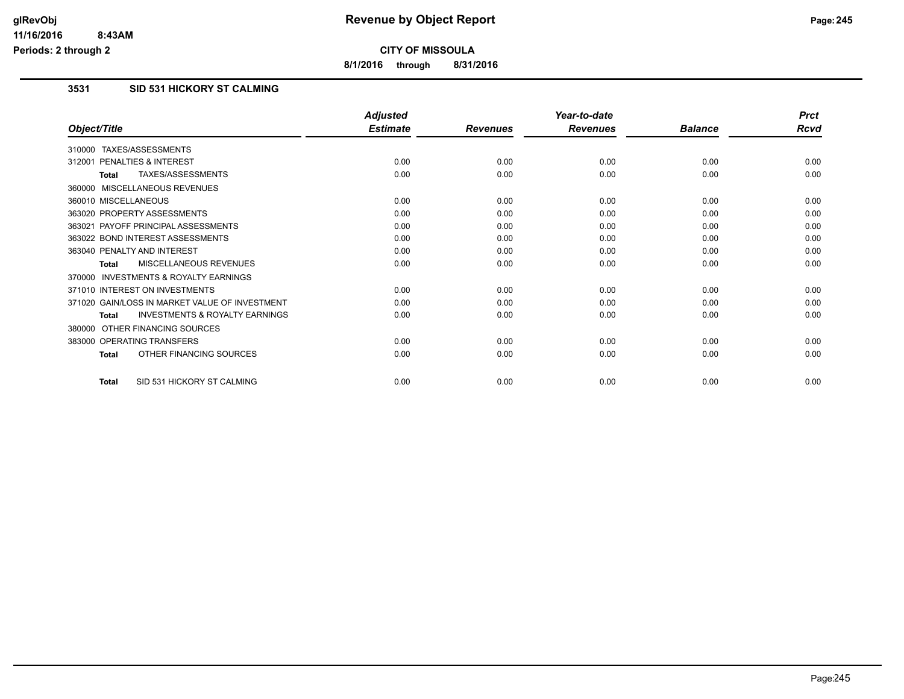**8/1/2016 through 8/31/2016**

## **3531 SID 531 HICKORY ST CALMING**

|                                                           | <b>Adjusted</b> |                 | Year-to-date    |                | <b>Prct</b> |
|-----------------------------------------------------------|-----------------|-----------------|-----------------|----------------|-------------|
| Object/Title                                              | <b>Estimate</b> | <b>Revenues</b> | <b>Revenues</b> | <b>Balance</b> | <b>Rcvd</b> |
| 310000 TAXES/ASSESSMENTS                                  |                 |                 |                 |                |             |
| 312001 PENALTIES & INTEREST                               | 0.00            | 0.00            | 0.00            | 0.00           | 0.00        |
| TAXES/ASSESSMENTS<br><b>Total</b>                         | 0.00            | 0.00            | 0.00            | 0.00           | 0.00        |
| 360000 MISCELLANEOUS REVENUES                             |                 |                 |                 |                |             |
| 360010 MISCELLANEOUS                                      | 0.00            | 0.00            | 0.00            | 0.00           | 0.00        |
| 363020 PROPERTY ASSESSMENTS                               | 0.00            | 0.00            | 0.00            | 0.00           | 0.00        |
| 363021 PAYOFF PRINCIPAL ASSESSMENTS                       | 0.00            | 0.00            | 0.00            | 0.00           | 0.00        |
| 363022 BOND INTEREST ASSESSMENTS                          | 0.00            | 0.00            | 0.00            | 0.00           | 0.00        |
| 363040 PENALTY AND INTEREST                               | 0.00            | 0.00            | 0.00            | 0.00           | 0.00        |
| MISCELLANEOUS REVENUES<br><b>Total</b>                    | 0.00            | 0.00            | 0.00            | 0.00           | 0.00        |
| <b>INVESTMENTS &amp; ROYALTY EARNINGS</b><br>370000       |                 |                 |                 |                |             |
| 371010 INTEREST ON INVESTMENTS                            | 0.00            | 0.00            | 0.00            | 0.00           | 0.00        |
| 371020 GAIN/LOSS IN MARKET VALUE OF INVESTMENT            | 0.00            | 0.00            | 0.00            | 0.00           | 0.00        |
| <b>INVESTMENTS &amp; ROYALTY EARNINGS</b><br><b>Total</b> | 0.00            | 0.00            | 0.00            | 0.00           | 0.00        |
| OTHER FINANCING SOURCES<br>380000                         |                 |                 |                 |                |             |
| 383000 OPERATING TRANSFERS                                | 0.00            | 0.00            | 0.00            | 0.00           | 0.00        |
| OTHER FINANCING SOURCES<br>Total                          | 0.00            | 0.00            | 0.00            | 0.00           | 0.00        |
| SID 531 HICKORY ST CALMING<br><b>Total</b>                | 0.00            | 0.00            | 0.00            | 0.00           | 0.00        |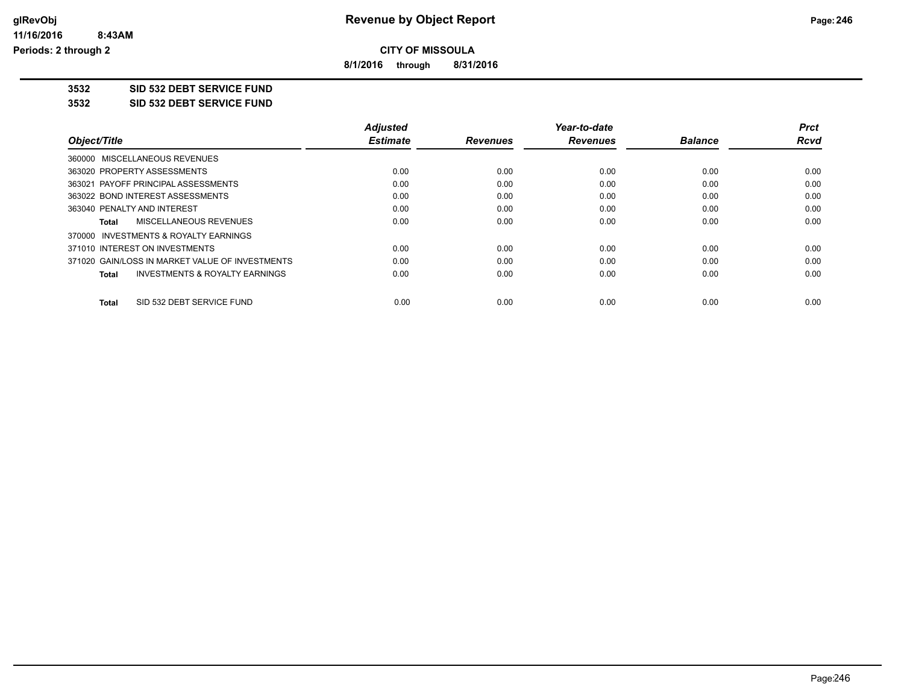**8/1/2016 through 8/31/2016**

**3532 SID 532 DEBT SERVICE FUND**

**3532 SID 532 DEBT SERVICE FUND**

|                                                           | <b>Adiusted</b> |                 | Year-to-date    |                | <b>Prct</b> |
|-----------------------------------------------------------|-----------------|-----------------|-----------------|----------------|-------------|
| Object/Title                                              | <b>Estimate</b> | <b>Revenues</b> | <b>Revenues</b> | <b>Balance</b> | Rcvd        |
| 360000 MISCELLANEOUS REVENUES                             |                 |                 |                 |                |             |
| 363020 PROPERTY ASSESSMENTS                               | 0.00            | 0.00            | 0.00            | 0.00           | 0.00        |
| 363021 PAYOFF PRINCIPAL ASSESSMENTS                       | 0.00            | 0.00            | 0.00            | 0.00           | 0.00        |
| 363022 BOND INTEREST ASSESSMENTS                          | 0.00            | 0.00            | 0.00            | 0.00           | 0.00        |
| 363040 PENALTY AND INTEREST                               | 0.00            | 0.00            | 0.00            | 0.00           | 0.00        |
| MISCELLANEOUS REVENUES<br>Total                           | 0.00            | 0.00            | 0.00            | 0.00           | 0.00        |
| 370000 INVESTMENTS & ROYALTY EARNINGS                     |                 |                 |                 |                |             |
| 371010 INTEREST ON INVESTMENTS                            | 0.00            | 0.00            | 0.00            | 0.00           | 0.00        |
| 371020 GAIN/LOSS IN MARKET VALUE OF INVESTMENTS           | 0.00            | 0.00            | 0.00            | 0.00           | 0.00        |
| <b>INVESTMENTS &amp; ROYALTY EARNINGS</b><br><b>Total</b> | 0.00            | 0.00            | 0.00            | 0.00           | 0.00        |
| SID 532 DEBT SERVICE FUND<br><b>Total</b>                 | 0.00            | 0.00            | 0.00            | 0.00           | 0.00        |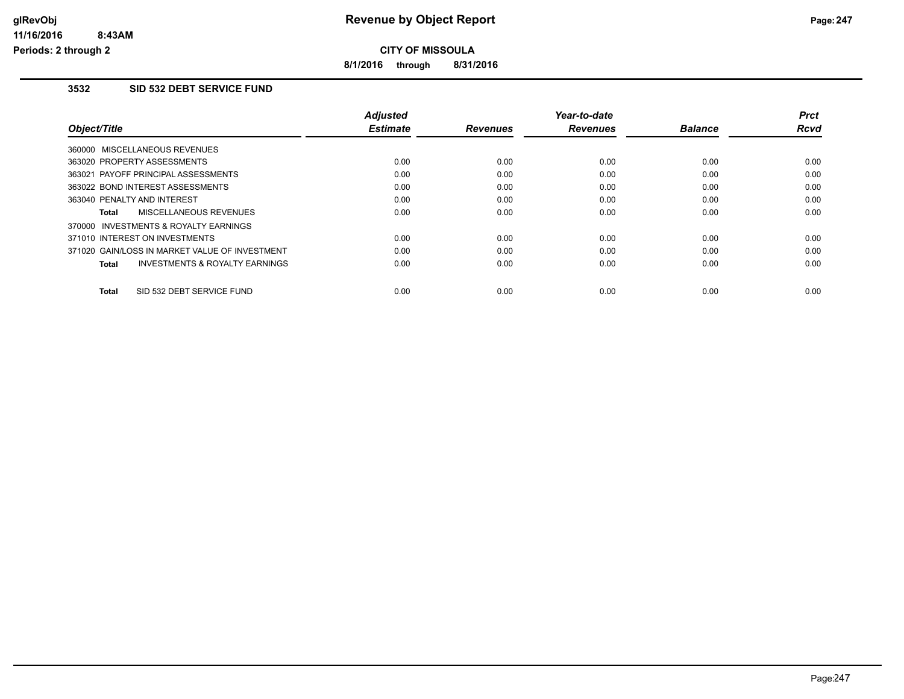**8/1/2016 through 8/31/2016**

#### **3532 SID 532 DEBT SERVICE FUND**

|                                                    | <b>Adjusted</b> |                 | Year-to-date    |                | <b>Prct</b> |
|----------------------------------------------------|-----------------|-----------------|-----------------|----------------|-------------|
| Object/Title                                       | <b>Estimate</b> | <b>Revenues</b> | <b>Revenues</b> | <b>Balance</b> | <b>Rcvd</b> |
| 360000 MISCELLANEOUS REVENUES                      |                 |                 |                 |                |             |
| 363020 PROPERTY ASSESSMENTS                        | 0.00            | 0.00            | 0.00            | 0.00           | 0.00        |
| 363021 PAYOFF PRINCIPAL ASSESSMENTS                | 0.00            | 0.00            | 0.00            | 0.00           | 0.00        |
| 363022 BOND INTEREST ASSESSMENTS                   | 0.00            | 0.00            | 0.00            | 0.00           | 0.00        |
| 363040 PENALTY AND INTEREST                        | 0.00            | 0.00            | 0.00            | 0.00           | 0.00        |
| <b>MISCELLANEOUS REVENUES</b><br>Total             | 0.00            | 0.00            | 0.00            | 0.00           | 0.00        |
| 370000 INVESTMENTS & ROYALTY EARNINGS              |                 |                 |                 |                |             |
| 371010 INTEREST ON INVESTMENTS                     | 0.00            | 0.00            | 0.00            | 0.00           | 0.00        |
| 371020 GAIN/LOSS IN MARKET VALUE OF INVESTMENT     | 0.00            | 0.00            | 0.00            | 0.00           | 0.00        |
| <b>INVESTMENTS &amp; ROYALTY EARNINGS</b><br>Total | 0.00            | 0.00            | 0.00            | 0.00           | 0.00        |
|                                                    |                 |                 |                 |                |             |
| SID 532 DEBT SERVICE FUND<br>Total                 | 0.00            | 0.00            | 0.00            | 0.00           | 0.00        |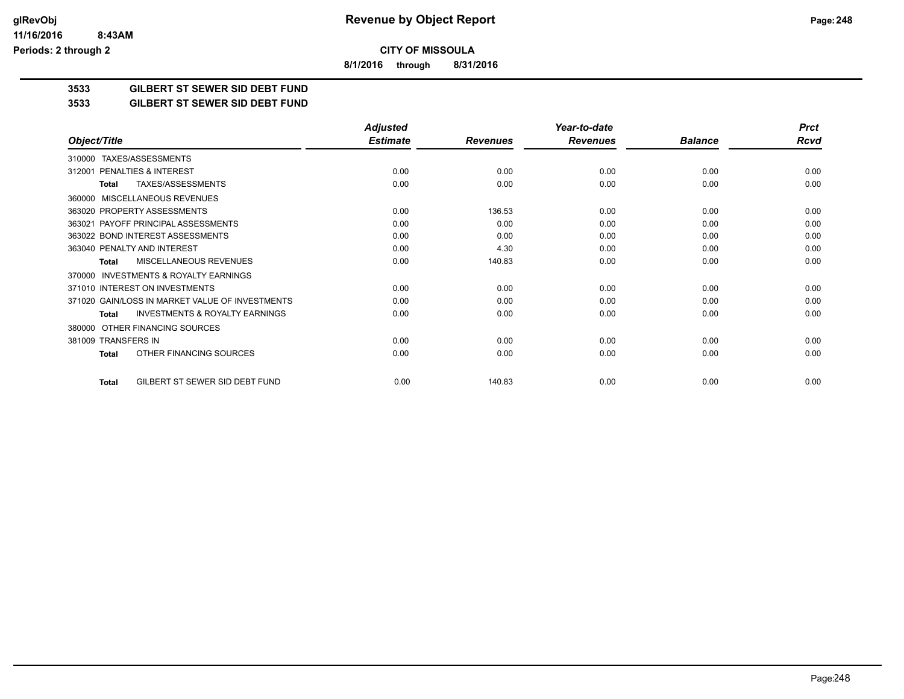**8/1/2016 through 8/31/2016**

# **3533 GILBERT ST SEWER SID DEBT FUND**

#### **3533 GILBERT ST SEWER SID DEBT FUND**

|                                                           | <b>Adjusted</b> |                 | Year-to-date    |                | <b>Prct</b> |
|-----------------------------------------------------------|-----------------|-----------------|-----------------|----------------|-------------|
| Object/Title                                              | <b>Estimate</b> | <b>Revenues</b> | <b>Revenues</b> | <b>Balance</b> | <b>Rcvd</b> |
| TAXES/ASSESSMENTS<br>310000                               |                 |                 |                 |                |             |
| <b>PENALTIES &amp; INTEREST</b><br>312001                 | 0.00            | 0.00            | 0.00            | 0.00           | 0.00        |
| TAXES/ASSESSMENTS<br><b>Total</b>                         | 0.00            | 0.00            | 0.00            | 0.00           | 0.00        |
| MISCELLANEOUS REVENUES<br>360000                          |                 |                 |                 |                |             |
| 363020 PROPERTY ASSESSMENTS                               | 0.00            | 136.53          | 0.00            | 0.00           | 0.00        |
| PAYOFF PRINCIPAL ASSESSMENTS<br>363021                    | 0.00            | 0.00            | 0.00            | 0.00           | 0.00        |
| 363022 BOND INTEREST ASSESSMENTS                          | 0.00            | 0.00            | 0.00            | 0.00           | 0.00        |
| 363040 PENALTY AND INTEREST                               | 0.00            | 4.30            | 0.00            | 0.00           | 0.00        |
| <b>MISCELLANEOUS REVENUES</b><br><b>Total</b>             | 0.00            | 140.83          | 0.00            | 0.00           | 0.00        |
| <b>INVESTMENTS &amp; ROYALTY EARNINGS</b><br>370000       |                 |                 |                 |                |             |
| 371010 INTEREST ON INVESTMENTS                            | 0.00            | 0.00            | 0.00            | 0.00           | 0.00        |
| 371020 GAIN/LOSS IN MARKET VALUE OF INVESTMENTS           | 0.00            | 0.00            | 0.00            | 0.00           | 0.00        |
| <b>INVESTMENTS &amp; ROYALTY EARNINGS</b><br><b>Total</b> | 0.00            | 0.00            | 0.00            | 0.00           | 0.00        |
| OTHER FINANCING SOURCES<br>380000                         |                 |                 |                 |                |             |
| 381009 TRANSFERS IN                                       | 0.00            | 0.00            | 0.00            | 0.00           | 0.00        |
| OTHER FINANCING SOURCES<br>Total                          | 0.00            | 0.00            | 0.00            | 0.00           | 0.00        |
| GILBERT ST SEWER SID DEBT FUND<br><b>Total</b>            | 0.00            | 140.83          | 0.00            | 0.00           | 0.00        |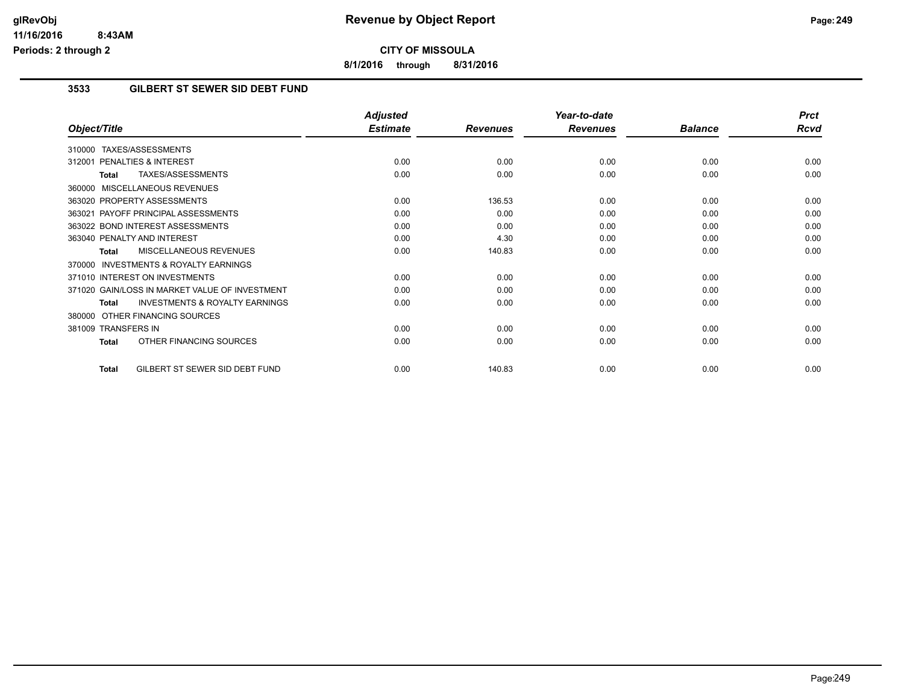**8/1/2016 through 8/31/2016**

#### **3533 GILBERT ST SEWER SID DEBT FUND**

|                                                    | <b>Adjusted</b> |                 | Year-to-date    |                | <b>Prct</b> |
|----------------------------------------------------|-----------------|-----------------|-----------------|----------------|-------------|
| Object/Title                                       | <b>Estimate</b> | <b>Revenues</b> | <b>Revenues</b> | <b>Balance</b> | <b>Rcvd</b> |
| TAXES/ASSESSMENTS<br>310000                        |                 |                 |                 |                |             |
| 312001 PENALTIES & INTEREST                        | 0.00            | 0.00            | 0.00            | 0.00           | 0.00        |
| TAXES/ASSESSMENTS<br><b>Total</b>                  | 0.00            | 0.00            | 0.00            | 0.00           | 0.00        |
| 360000 MISCELLANEOUS REVENUES                      |                 |                 |                 |                |             |
| 363020 PROPERTY ASSESSMENTS                        | 0.00            | 136.53          | 0.00            | 0.00           | 0.00        |
| 363021 PAYOFF PRINCIPAL ASSESSMENTS                | 0.00            | 0.00            | 0.00            | 0.00           | 0.00        |
| 363022 BOND INTEREST ASSESSMENTS                   | 0.00            | 0.00            | 0.00            | 0.00           | 0.00        |
| 363040 PENALTY AND INTEREST                        | 0.00            | 4.30            | 0.00            | 0.00           | 0.00        |
| MISCELLANEOUS REVENUES<br>Total                    | 0.00            | 140.83          | 0.00            | 0.00           | 0.00        |
| 370000 INVESTMENTS & ROYALTY EARNINGS              |                 |                 |                 |                |             |
| 371010 INTEREST ON INVESTMENTS                     | 0.00            | 0.00            | 0.00            | 0.00           | 0.00        |
| 371020 GAIN/LOSS IN MARKET VALUE OF INVESTMENT     | 0.00            | 0.00            | 0.00            | 0.00           | 0.00        |
| <b>INVESTMENTS &amp; ROYALTY EARNINGS</b><br>Total | 0.00            | 0.00            | 0.00            | 0.00           | 0.00        |
| 380000 OTHER FINANCING SOURCES                     |                 |                 |                 |                |             |
| 381009 TRANSFERS IN                                | 0.00            | 0.00            | 0.00            | 0.00           | 0.00        |
| OTHER FINANCING SOURCES<br><b>Total</b>            | 0.00            | 0.00            | 0.00            | 0.00           | 0.00        |
| GILBERT ST SEWER SID DEBT FUND<br><b>Total</b>     | 0.00            | 140.83          | 0.00            | 0.00           | 0.00        |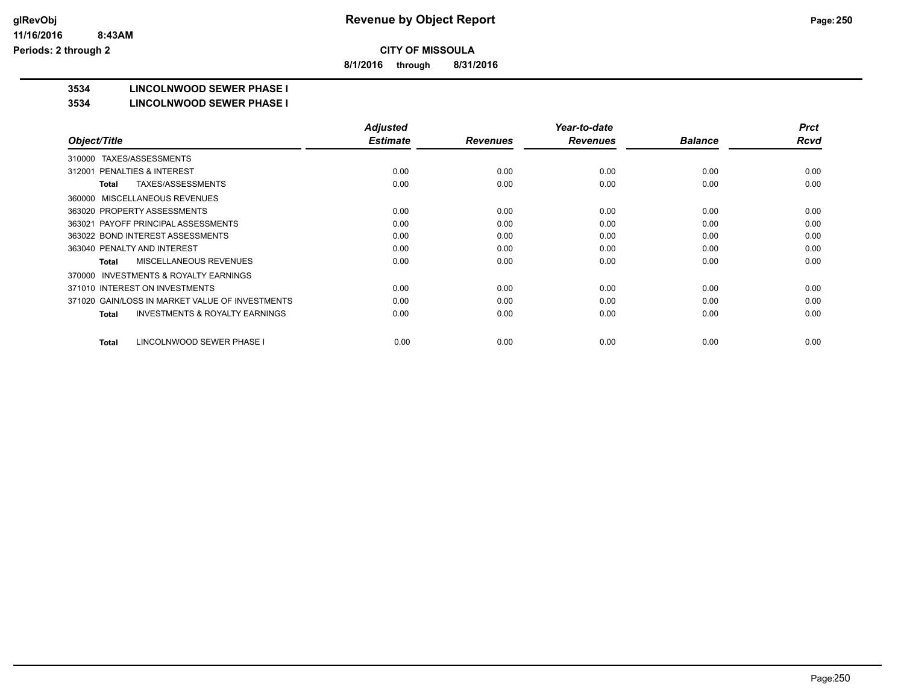**8/1/2016 through 8/31/2016**

## **3534 LINCOLNWOOD SEWER PHASE I**

#### **3534 LINCOLNWOOD SEWER PHASE I**

|                                                           | <b>Adjusted</b> |                 | Year-to-date    |                | <b>Prct</b> |
|-----------------------------------------------------------|-----------------|-----------------|-----------------|----------------|-------------|
| Object/Title                                              | <b>Estimate</b> | <b>Revenues</b> | <b>Revenues</b> | <b>Balance</b> | <b>Rcvd</b> |
| TAXES/ASSESSMENTS<br>310000                               |                 |                 |                 |                |             |
| PENALTIES & INTEREST<br>312001                            | 0.00            | 0.00            | 0.00            | 0.00           | 0.00        |
| TAXES/ASSESSMENTS<br>Total                                | 0.00            | 0.00            | 0.00            | 0.00           | 0.00        |
| MISCELLANEOUS REVENUES<br>360000                          |                 |                 |                 |                |             |
| 363020 PROPERTY ASSESSMENTS                               | 0.00            | 0.00            | 0.00            | 0.00           | 0.00        |
| 363021 PAYOFF PRINCIPAL ASSESSMENTS                       | 0.00            | 0.00            | 0.00            | 0.00           | 0.00        |
| 363022 BOND INTEREST ASSESSMENTS                          | 0.00            | 0.00            | 0.00            | 0.00           | 0.00        |
| 363040 PENALTY AND INTEREST                               | 0.00            | 0.00            | 0.00            | 0.00           | 0.00        |
| <b>MISCELLANEOUS REVENUES</b><br>Total                    | 0.00            | 0.00            | 0.00            | 0.00           | 0.00        |
| INVESTMENTS & ROYALTY EARNINGS<br>370000                  |                 |                 |                 |                |             |
| 371010 INTEREST ON INVESTMENTS                            | 0.00            | 0.00            | 0.00            | 0.00           | 0.00        |
| 371020 GAIN/LOSS IN MARKET VALUE OF INVESTMENTS           | 0.00            | 0.00            | 0.00            | 0.00           | 0.00        |
| <b>INVESTMENTS &amp; ROYALTY EARNINGS</b><br><b>Total</b> | 0.00            | 0.00            | 0.00            | 0.00           | 0.00        |
|                                                           |                 |                 |                 |                |             |
| LINCOLNWOOD SEWER PHASE I<br>Total                        | 0.00            | 0.00            | 0.00            | 0.00           | 0.00        |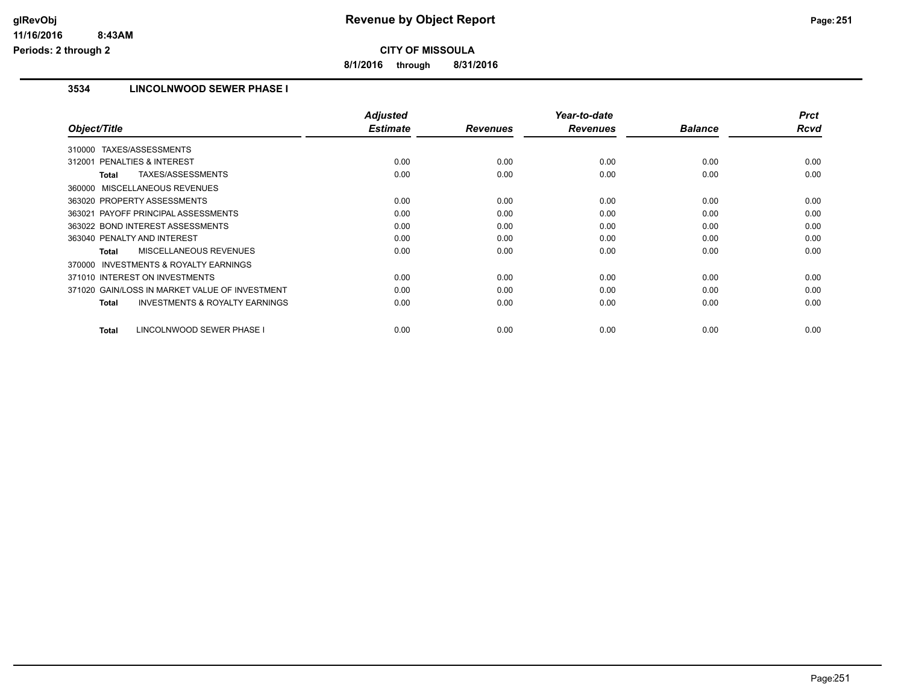**8/1/2016 through 8/31/2016**

## **3534 LINCOLNWOOD SEWER PHASE I**

| Object/Title                                              | <b>Adjusted</b><br><b>Estimate</b> | <b>Revenues</b> | Year-to-date<br><b>Revenues</b> | <b>Balance</b> | <b>Prct</b><br>Rcvd |
|-----------------------------------------------------------|------------------------------------|-----------------|---------------------------------|----------------|---------------------|
|                                                           |                                    |                 |                                 |                |                     |
| 310000 TAXES/ASSESSMENTS                                  |                                    |                 |                                 |                |                     |
| 312001 PENALTIES & INTEREST                               | 0.00                               | 0.00            | 0.00                            | 0.00           | 0.00                |
| TAXES/ASSESSMENTS<br>Total                                | 0.00                               | 0.00            | 0.00                            | 0.00           | 0.00                |
| 360000 MISCELLANEOUS REVENUES                             |                                    |                 |                                 |                |                     |
| 363020 PROPERTY ASSESSMENTS                               | 0.00                               | 0.00            | 0.00                            | 0.00           | 0.00                |
| 363021 PAYOFF PRINCIPAL ASSESSMENTS                       | 0.00                               | 0.00            | 0.00                            | 0.00           | 0.00                |
| 363022 BOND INTEREST ASSESSMENTS                          | 0.00                               | 0.00            | 0.00                            | 0.00           | 0.00                |
| 363040 PENALTY AND INTEREST                               | 0.00                               | 0.00            | 0.00                            | 0.00           | 0.00                |
| MISCELLANEOUS REVENUES<br><b>Total</b>                    | 0.00                               | 0.00            | 0.00                            | 0.00           | 0.00                |
| <b>INVESTMENTS &amp; ROYALTY EARNINGS</b><br>370000       |                                    |                 |                                 |                |                     |
| 371010 INTEREST ON INVESTMENTS                            | 0.00                               | 0.00            | 0.00                            | 0.00           | 0.00                |
| 371020 GAIN/LOSS IN MARKET VALUE OF INVESTMENT            | 0.00                               | 0.00            | 0.00                            | 0.00           | 0.00                |
| <b>INVESTMENTS &amp; ROYALTY EARNINGS</b><br><b>Total</b> | 0.00                               | 0.00            | 0.00                            | 0.00           | 0.00                |
|                                                           |                                    |                 |                                 |                |                     |
| LINCOLNWOOD SEWER PHASE I<br><b>Total</b>                 | 0.00                               | 0.00            | 0.00                            | 0.00           | 0.00                |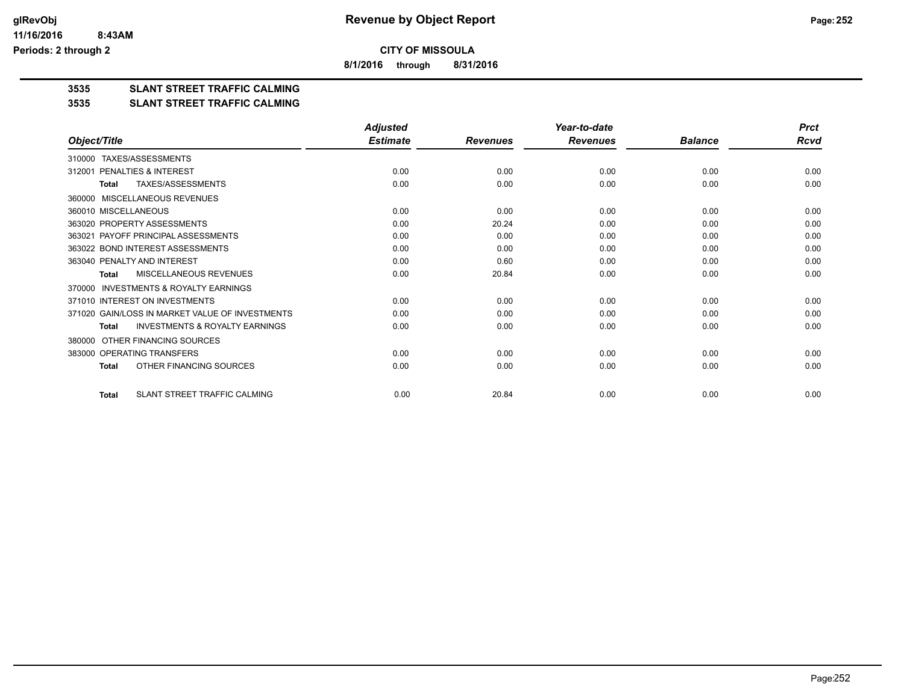**8/1/2016 through 8/31/2016**

# **3535 SLANT STREET TRAFFIC CALMING**

#### **3535 SLANT STREET TRAFFIC CALMING**

|                                                           | <b>Adjusted</b> |                 | Year-to-date    |                | <b>Prct</b> |
|-----------------------------------------------------------|-----------------|-----------------|-----------------|----------------|-------------|
| Object/Title                                              | <b>Estimate</b> | <b>Revenues</b> | <b>Revenues</b> | <b>Balance</b> | <b>Rcvd</b> |
| TAXES/ASSESSMENTS<br>310000                               |                 |                 |                 |                |             |
| PENALTIES & INTEREST<br>312001                            | 0.00            | 0.00            | 0.00            | 0.00           | 0.00        |
| TAXES/ASSESSMENTS<br>Total                                | 0.00            | 0.00            | 0.00            | 0.00           | 0.00        |
| MISCELLANEOUS REVENUES<br>360000                          |                 |                 |                 |                |             |
| 360010 MISCELLANEOUS                                      | 0.00            | 0.00            | 0.00            | 0.00           | 0.00        |
| 363020 PROPERTY ASSESSMENTS                               | 0.00            | 20.24           | 0.00            | 0.00           | 0.00        |
| 363021 PAYOFF PRINCIPAL ASSESSMENTS                       | 0.00            | 0.00            | 0.00            | 0.00           | 0.00        |
| 363022 BOND INTEREST ASSESSMENTS                          | 0.00            | 0.00            | 0.00            | 0.00           | 0.00        |
| 363040 PENALTY AND INTEREST                               | 0.00            | 0.60            | 0.00            | 0.00           | 0.00        |
| <b>MISCELLANEOUS REVENUES</b><br>Total                    | 0.00            | 20.84           | 0.00            | 0.00           | 0.00        |
| <b>INVESTMENTS &amp; ROYALTY EARNINGS</b><br>370000       |                 |                 |                 |                |             |
| 371010 INTEREST ON INVESTMENTS                            | 0.00            | 0.00            | 0.00            | 0.00           | 0.00        |
| 371020 GAIN/LOSS IN MARKET VALUE OF INVESTMENTS           | 0.00            | 0.00            | 0.00            | 0.00           | 0.00        |
| <b>INVESTMENTS &amp; ROYALTY EARNINGS</b><br><b>Total</b> | 0.00            | 0.00            | 0.00            | 0.00           | 0.00        |
| OTHER FINANCING SOURCES<br>380000                         |                 |                 |                 |                |             |
| 383000 OPERATING TRANSFERS                                | 0.00            | 0.00            | 0.00            | 0.00           | 0.00        |
| OTHER FINANCING SOURCES<br><b>Total</b>                   | 0.00            | 0.00            | 0.00            | 0.00           | 0.00        |
| SLANT STREET TRAFFIC CALMING<br><b>Total</b>              | 0.00            | 20.84           | 0.00            | 0.00           | 0.00        |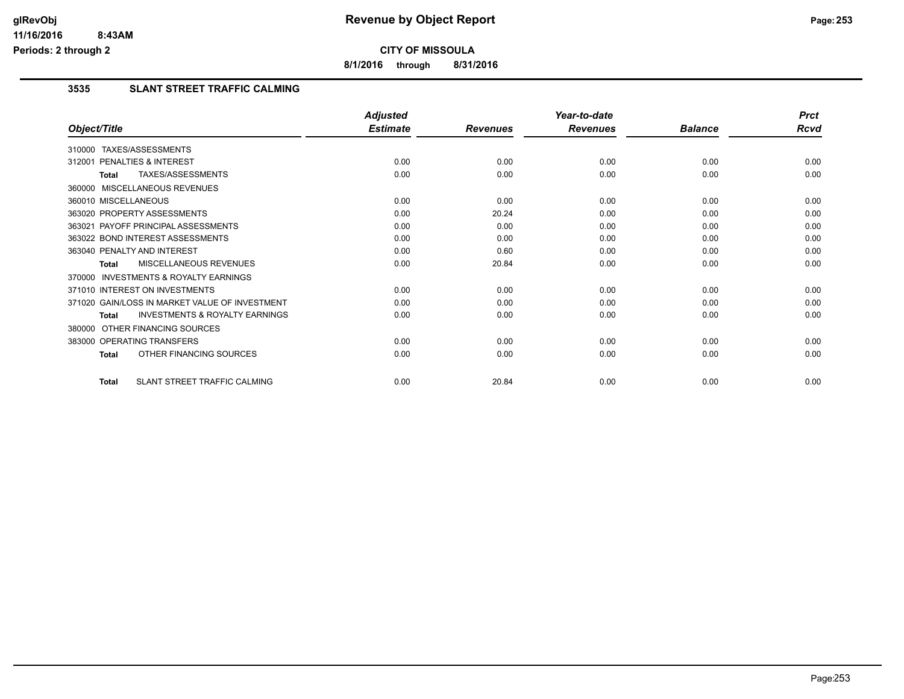**8/1/2016 through 8/31/2016**

#### **3535 SLANT STREET TRAFFIC CALMING**

|                                                     | <b>Adjusted</b> |                 | Year-to-date    |                | <b>Prct</b> |
|-----------------------------------------------------|-----------------|-----------------|-----------------|----------------|-------------|
| Object/Title                                        | <b>Estimate</b> | <b>Revenues</b> | <b>Revenues</b> | <b>Balance</b> | <b>Rcvd</b> |
| 310000 TAXES/ASSESSMENTS                            |                 |                 |                 |                |             |
| 312001 PENALTIES & INTEREST                         | 0.00            | 0.00            | 0.00            | 0.00           | 0.00        |
| TAXES/ASSESSMENTS<br><b>Total</b>                   | 0.00            | 0.00            | 0.00            | 0.00           | 0.00        |
| 360000 MISCELLANEOUS REVENUES                       |                 |                 |                 |                |             |
| 360010 MISCELLANEOUS                                | 0.00            | 0.00            | 0.00            | 0.00           | 0.00        |
| 363020 PROPERTY ASSESSMENTS                         | 0.00            | 20.24           | 0.00            | 0.00           | 0.00        |
| 363021 PAYOFF PRINCIPAL ASSESSMENTS                 | 0.00            | 0.00            | 0.00            | 0.00           | 0.00        |
| 363022 BOND INTEREST ASSESSMENTS                    | 0.00            | 0.00            | 0.00            | 0.00           | 0.00        |
| 363040 PENALTY AND INTEREST                         | 0.00            | 0.60            | 0.00            | 0.00           | 0.00        |
| MISCELLANEOUS REVENUES<br><b>Total</b>              | 0.00            | 20.84           | 0.00            | 0.00           | 0.00        |
| <b>INVESTMENTS &amp; ROYALTY EARNINGS</b><br>370000 |                 |                 |                 |                |             |
| 371010 INTEREST ON INVESTMENTS                      | 0.00            | 0.00            | 0.00            | 0.00           | 0.00        |
| 371020 GAIN/LOSS IN MARKET VALUE OF INVESTMENT      | 0.00            | 0.00            | 0.00            | 0.00           | 0.00        |
| <b>INVESTMENTS &amp; ROYALTY EARNINGS</b><br>Total  | 0.00            | 0.00            | 0.00            | 0.00           | 0.00        |
| OTHER FINANCING SOURCES<br>380000                   |                 |                 |                 |                |             |
| 383000 OPERATING TRANSFERS                          | 0.00            | 0.00            | 0.00            | 0.00           | 0.00        |
| OTHER FINANCING SOURCES<br><b>Total</b>             | 0.00            | 0.00            | 0.00            | 0.00           | 0.00        |
| SLANT STREET TRAFFIC CALMING<br><b>Total</b>        | 0.00            | 20.84           | 0.00            | 0.00           | 0.00        |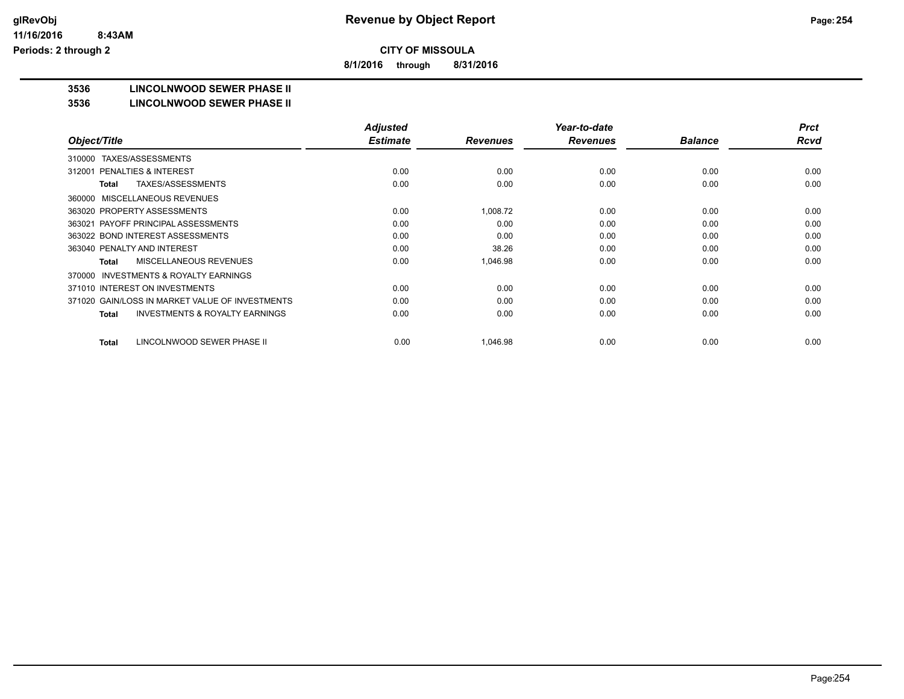**8/1/2016 through 8/31/2016**

#### **3536 LINCOLNWOOD SEWER PHASE II**

#### **3536 LINCOLNWOOD SEWER PHASE II**

|                                                     | <b>Adjusted</b> |                 | Year-to-date    |                | <b>Prct</b> |
|-----------------------------------------------------|-----------------|-----------------|-----------------|----------------|-------------|
| Object/Title                                        | <b>Estimate</b> | <b>Revenues</b> | <b>Revenues</b> | <b>Balance</b> | <b>Rcvd</b> |
| TAXES/ASSESSMENTS<br>310000                         |                 |                 |                 |                |             |
| <b>PENALTIES &amp; INTEREST</b><br>312001           | 0.00            | 0.00            | 0.00            | 0.00           | 0.00        |
| TAXES/ASSESSMENTS<br>Total                          | 0.00            | 0.00            | 0.00            | 0.00           | 0.00        |
| 360000 MISCELLANEOUS REVENUES                       |                 |                 |                 |                |             |
| 363020 PROPERTY ASSESSMENTS                         | 0.00            | 1,008.72        | 0.00            | 0.00           | 0.00        |
| 363021 PAYOFF PRINCIPAL ASSESSMENTS                 | 0.00            | 0.00            | 0.00            | 0.00           | 0.00        |
| 363022 BOND INTEREST ASSESSMENTS                    | 0.00            | 0.00            | 0.00            | 0.00           | 0.00        |
| 363040 PENALTY AND INTEREST                         | 0.00            | 38.26           | 0.00            | 0.00           | 0.00        |
| <b>MISCELLANEOUS REVENUES</b><br>Total              | 0.00            | 1,046.98        | 0.00            | 0.00           | 0.00        |
| <b>INVESTMENTS &amp; ROYALTY EARNINGS</b><br>370000 |                 |                 |                 |                |             |
| 371010 INTEREST ON INVESTMENTS                      | 0.00            | 0.00            | 0.00            | 0.00           | 0.00        |
| 371020 GAIN/LOSS IN MARKET VALUE OF INVESTMENTS     | 0.00            | 0.00            | 0.00            | 0.00           | 0.00        |
| <b>INVESTMENTS &amp; ROYALTY EARNINGS</b><br>Total  | 0.00            | 0.00            | 0.00            | 0.00           | 0.00        |
| LINCOLNWOOD SEWER PHASE II<br><b>Total</b>          | 0.00            | 1,046.98        | 0.00            | 0.00           | 0.00        |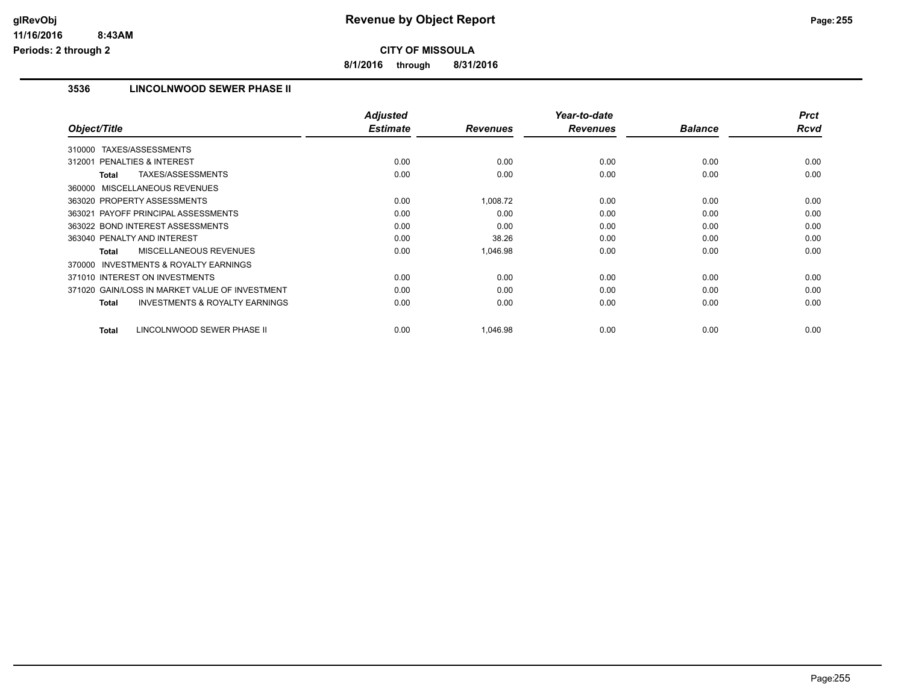**8/1/2016 through 8/31/2016**

#### **3536 LINCOLNWOOD SEWER PHASE II**

|                                                           | <b>Adjusted</b> |                 | Year-to-date    |                | <b>Prct</b> |
|-----------------------------------------------------------|-----------------|-----------------|-----------------|----------------|-------------|
| Object/Title                                              | <b>Estimate</b> | <b>Revenues</b> | <b>Revenues</b> | <b>Balance</b> | <b>Rcvd</b> |
| 310000 TAXES/ASSESSMENTS                                  |                 |                 |                 |                |             |
| 312001 PENALTIES & INTEREST                               | 0.00            | 0.00            | 0.00            | 0.00           | 0.00        |
| TAXES/ASSESSMENTS<br>Total                                | 0.00            | 0.00            | 0.00            | 0.00           | 0.00        |
| 360000 MISCELLANEOUS REVENUES                             |                 |                 |                 |                |             |
| 363020 PROPERTY ASSESSMENTS                               | 0.00            | 1,008.72        | 0.00            | 0.00           | 0.00        |
| 363021 PAYOFF PRINCIPAL ASSESSMENTS                       | 0.00            | 0.00            | 0.00            | 0.00           | 0.00        |
| 363022 BOND INTEREST ASSESSMENTS                          | 0.00            | 0.00            | 0.00            | 0.00           | 0.00        |
| 363040 PENALTY AND INTEREST                               | 0.00            | 38.26           | 0.00            | 0.00           | 0.00        |
| MISCELLANEOUS REVENUES<br><b>Total</b>                    | 0.00            | 1,046.98        | 0.00            | 0.00           | 0.00        |
| <b>INVESTMENTS &amp; ROYALTY EARNINGS</b><br>370000       |                 |                 |                 |                |             |
| 371010 INTEREST ON INVESTMENTS                            | 0.00            | 0.00            | 0.00            | 0.00           | 0.00        |
| 371020 GAIN/LOSS IN MARKET VALUE OF INVESTMENT            | 0.00            | 0.00            | 0.00            | 0.00           | 0.00        |
| <b>INVESTMENTS &amp; ROYALTY EARNINGS</b><br><b>Total</b> | 0.00            | 0.00            | 0.00            | 0.00           | 0.00        |
| LINCOLNWOOD SEWER PHASE II<br><b>Total</b>                | 0.00            | 1,046.98        | 0.00            | 0.00           | 0.00        |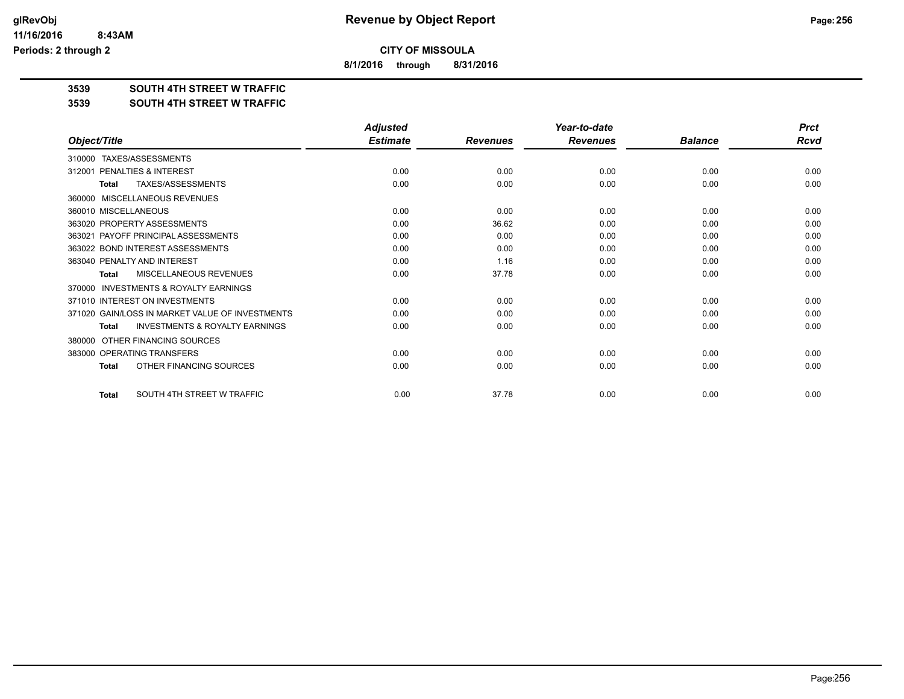**8/1/2016 through 8/31/2016**

#### **3539 SOUTH 4TH STREET W TRAFFIC**

#### **3539 SOUTH 4TH STREET W TRAFFIC**

|                                                     | <b>Adjusted</b> |                 | Year-to-date    |                | <b>Prct</b> |
|-----------------------------------------------------|-----------------|-----------------|-----------------|----------------|-------------|
| Object/Title                                        | <b>Estimate</b> | <b>Revenues</b> | <b>Revenues</b> | <b>Balance</b> | Rcvd        |
| TAXES/ASSESSMENTS<br>310000                         |                 |                 |                 |                |             |
| PENALTIES & INTEREST<br>312001                      | 0.00            | 0.00            | 0.00            | 0.00           | 0.00        |
| TAXES/ASSESSMENTS<br>Total                          | 0.00            | 0.00            | 0.00            | 0.00           | 0.00        |
| <b>MISCELLANEOUS REVENUES</b><br>360000             |                 |                 |                 |                |             |
| 360010 MISCELLANEOUS                                | 0.00            | 0.00            | 0.00            | 0.00           | 0.00        |
| 363020 PROPERTY ASSESSMENTS                         | 0.00            | 36.62           | 0.00            | 0.00           | 0.00        |
| 363021 PAYOFF PRINCIPAL ASSESSMENTS                 | 0.00            | 0.00            | 0.00            | 0.00           | 0.00        |
| 363022 BOND INTEREST ASSESSMENTS                    | 0.00            | 0.00            | 0.00            | 0.00           | 0.00        |
| 363040 PENALTY AND INTEREST                         | 0.00            | 1.16            | 0.00            | 0.00           | 0.00        |
| MISCELLANEOUS REVENUES<br>Total                     | 0.00            | 37.78           | 0.00            | 0.00           | 0.00        |
| <b>INVESTMENTS &amp; ROYALTY EARNINGS</b><br>370000 |                 |                 |                 |                |             |
| 371010 INTEREST ON INVESTMENTS                      | 0.00            | 0.00            | 0.00            | 0.00           | 0.00        |
| 371020 GAIN/LOSS IN MARKET VALUE OF INVESTMENTS     | 0.00            | 0.00            | 0.00            | 0.00           | 0.00        |
| <b>INVESTMENTS &amp; ROYALTY EARNINGS</b><br>Total  | 0.00            | 0.00            | 0.00            | 0.00           | 0.00        |
| OTHER FINANCING SOURCES<br>380000                   |                 |                 |                 |                |             |
| 383000 OPERATING TRANSFERS                          | 0.00            | 0.00            | 0.00            | 0.00           | 0.00        |
| OTHER FINANCING SOURCES<br><b>Total</b>             | 0.00            | 0.00            | 0.00            | 0.00           | 0.00        |
| SOUTH 4TH STREET W TRAFFIC<br><b>Total</b>          | 0.00            | 37.78           | 0.00            | 0.00           | 0.00        |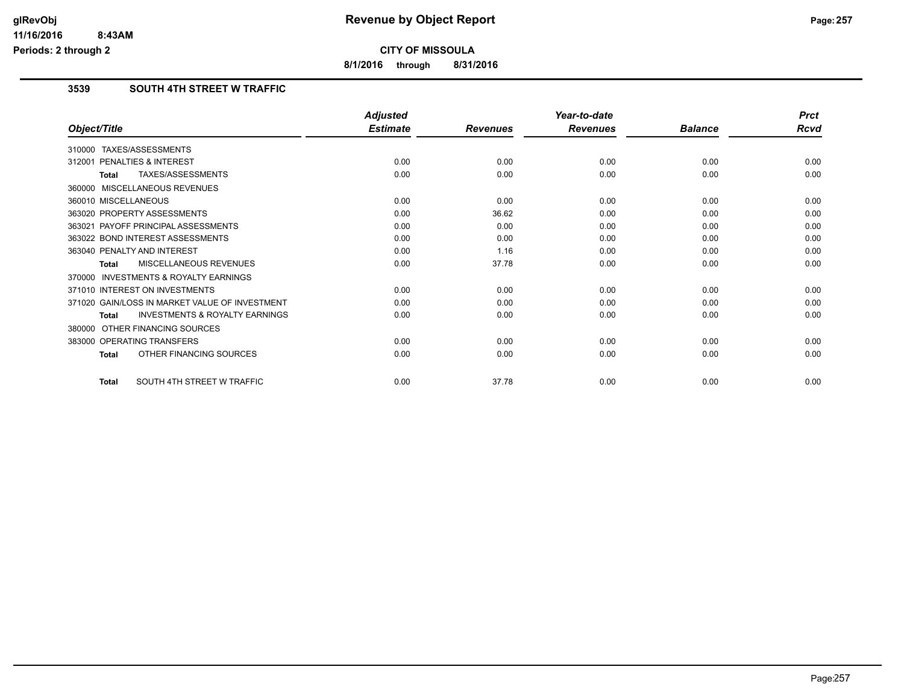**8/1/2016 through 8/31/2016**

#### **3539 SOUTH 4TH STREET W TRAFFIC**

|                                                     | <b>Adjusted</b> |                 | Year-to-date    |                | <b>Prct</b> |
|-----------------------------------------------------|-----------------|-----------------|-----------------|----------------|-------------|
| Object/Title                                        | <b>Estimate</b> | <b>Revenues</b> | <b>Revenues</b> | <b>Balance</b> | Rcvd        |
| 310000 TAXES/ASSESSMENTS                            |                 |                 |                 |                |             |
| 312001 PENALTIES & INTEREST                         | 0.00            | 0.00            | 0.00            | 0.00           | 0.00        |
| TAXES/ASSESSMENTS<br><b>Total</b>                   | 0.00            | 0.00            | 0.00            | 0.00           | 0.00        |
| 360000 MISCELLANEOUS REVENUES                       |                 |                 |                 |                |             |
| 360010 MISCELLANEOUS                                | 0.00            | 0.00            | 0.00            | 0.00           | 0.00        |
| 363020 PROPERTY ASSESSMENTS                         | 0.00            | 36.62           | 0.00            | 0.00           | 0.00        |
| 363021 PAYOFF PRINCIPAL ASSESSMENTS                 | 0.00            | 0.00            | 0.00            | 0.00           | 0.00        |
| 363022 BOND INTEREST ASSESSMENTS                    | 0.00            | 0.00            | 0.00            | 0.00           | 0.00        |
| 363040 PENALTY AND INTEREST                         | 0.00            | 1.16            | 0.00            | 0.00           | 0.00        |
| MISCELLANEOUS REVENUES<br><b>Total</b>              | 0.00            | 37.78           | 0.00            | 0.00           | 0.00        |
| <b>INVESTMENTS &amp; ROYALTY EARNINGS</b><br>370000 |                 |                 |                 |                |             |
| 371010 INTEREST ON INVESTMENTS                      | 0.00            | 0.00            | 0.00            | 0.00           | 0.00        |
| 371020 GAIN/LOSS IN MARKET VALUE OF INVESTMENT      | 0.00            | 0.00            | 0.00            | 0.00           | 0.00        |
| <b>INVESTMENTS &amp; ROYALTY EARNINGS</b><br>Total  | 0.00            | 0.00            | 0.00            | 0.00           | 0.00        |
| OTHER FINANCING SOURCES<br>380000                   |                 |                 |                 |                |             |
| 383000 OPERATING TRANSFERS                          | 0.00            | 0.00            | 0.00            | 0.00           | 0.00        |
| OTHER FINANCING SOURCES<br><b>Total</b>             | 0.00            | 0.00            | 0.00            | 0.00           | 0.00        |
| SOUTH 4TH STREET W TRAFFIC<br><b>Total</b>          | 0.00            | 37.78           | 0.00            | 0.00           | 0.00        |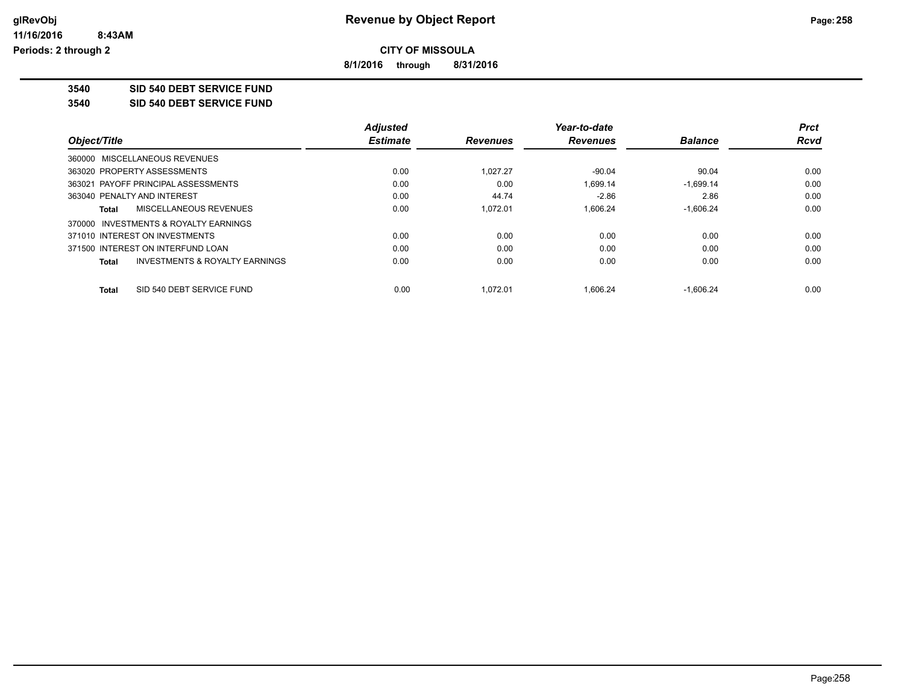**8/1/2016 through 8/31/2016**

**3540 SID 540 DEBT SERVICE FUND**

**3540 SID 540 DEBT SERVICE FUND**

|                                                | <b>Adjusted</b> |                 | Year-to-date    |                | <b>Prct</b> |
|------------------------------------------------|-----------------|-----------------|-----------------|----------------|-------------|
| Object/Title                                   | <b>Estimate</b> | <b>Revenues</b> | <b>Revenues</b> | <b>Balance</b> | <b>Rcvd</b> |
| 360000 MISCELLANEOUS REVENUES                  |                 |                 |                 |                |             |
| 363020 PROPERTY ASSESSMENTS                    | 0.00            | 1.027.27        | $-90.04$        | 90.04          | 0.00        |
| 363021 PAYOFF PRINCIPAL ASSESSMENTS            | 0.00            | 0.00            | 1.699.14        | $-1,699.14$    | 0.00        |
| 363040 PENALTY AND INTEREST                    | 0.00            | 44.74           | $-2.86$         | 2.86           | 0.00        |
| MISCELLANEOUS REVENUES<br>Total                | 0.00            | 1.072.01        | 1.606.24        | $-1,606.24$    | 0.00        |
| 370000 INVESTMENTS & ROYALTY EARNINGS          |                 |                 |                 |                |             |
| 371010 INTEREST ON INVESTMENTS                 | 0.00            | 0.00            | 0.00            | 0.00           | 0.00        |
| 371500 INTEREST ON INTERFUND LOAN              | 0.00            | 0.00            | 0.00            | 0.00           | 0.00        |
| INVESTMENTS & ROYALTY EARNINGS<br><b>Total</b> | 0.00            | 0.00            | 0.00            | 0.00           | 0.00        |
| SID 540 DEBT SERVICE FUND<br><b>Total</b>      | 0.00            | 1.072.01        | 1.606.24        | $-1.606.24$    | 0.00        |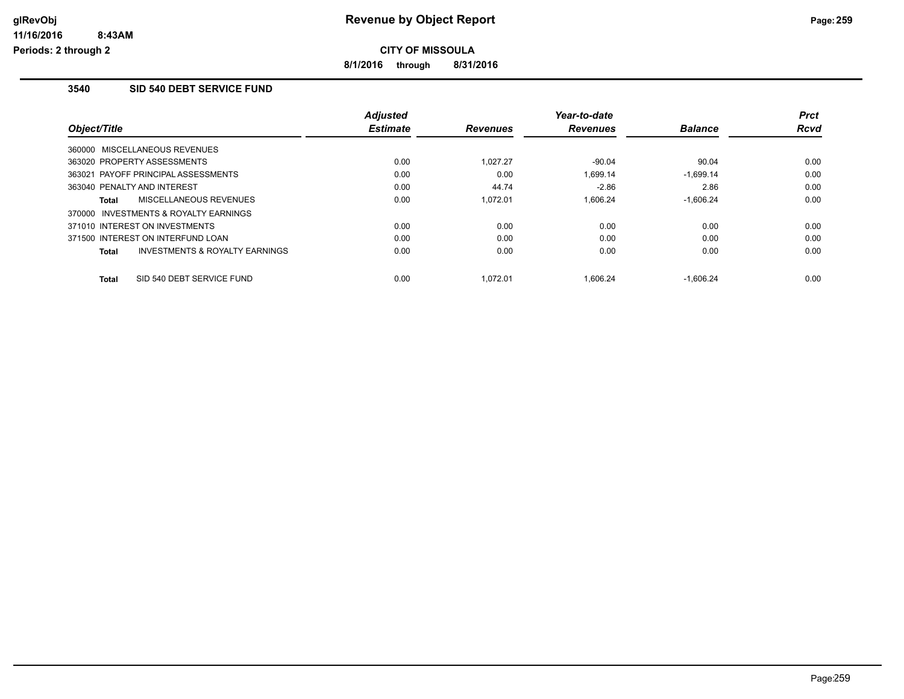**8:43AM**

**CITY OF MISSOULA**

**8/1/2016 through 8/31/2016**

#### **3540 SID 540 DEBT SERVICE FUND**

| Object/Title                                       | <b>Adjusted</b><br><b>Estimate</b> | <b>Revenues</b> | Year-to-date<br><b>Revenues</b> | <b>Balance</b> | <b>Prct</b><br>Rcvd |
|----------------------------------------------------|------------------------------------|-----------------|---------------------------------|----------------|---------------------|
| 360000 MISCELLANEOUS REVENUES                      |                                    |                 |                                 |                |                     |
| 363020 PROPERTY ASSESSMENTS                        | 0.00                               | 1.027.27        | $-90.04$                        | 90.04          | 0.00                |
| 363021 PAYOFF PRINCIPAL ASSESSMENTS                | 0.00                               | 0.00            | 1.699.14                        | $-1.699.14$    | 0.00                |
| 363040 PENALTY AND INTEREST                        | 0.00                               | 44.74           | $-2.86$                         | 2.86           | 0.00                |
| <b>MISCELLANEOUS REVENUES</b><br>Total             | 0.00                               | 1.072.01        | 1.606.24                        | $-1.606.24$    | 0.00                |
| 370000 INVESTMENTS & ROYALTY EARNINGS              |                                    |                 |                                 |                |                     |
| 371010 INTEREST ON INVESTMENTS                     | 0.00                               | 0.00            | 0.00                            | 0.00           | 0.00                |
| 371500 INTEREST ON INTERFUND LOAN                  | 0.00                               | 0.00            | 0.00                            | 0.00           | 0.00                |
| <b>INVESTMENTS &amp; ROYALTY EARNINGS</b><br>Total | 0.00                               | 0.00            | 0.00                            | 0.00           | 0.00                |
| SID 540 DEBT SERVICE FUND<br>Total                 | 0.00                               | 1.072.01        | 1.606.24                        | $-1.606.24$    | 0.00                |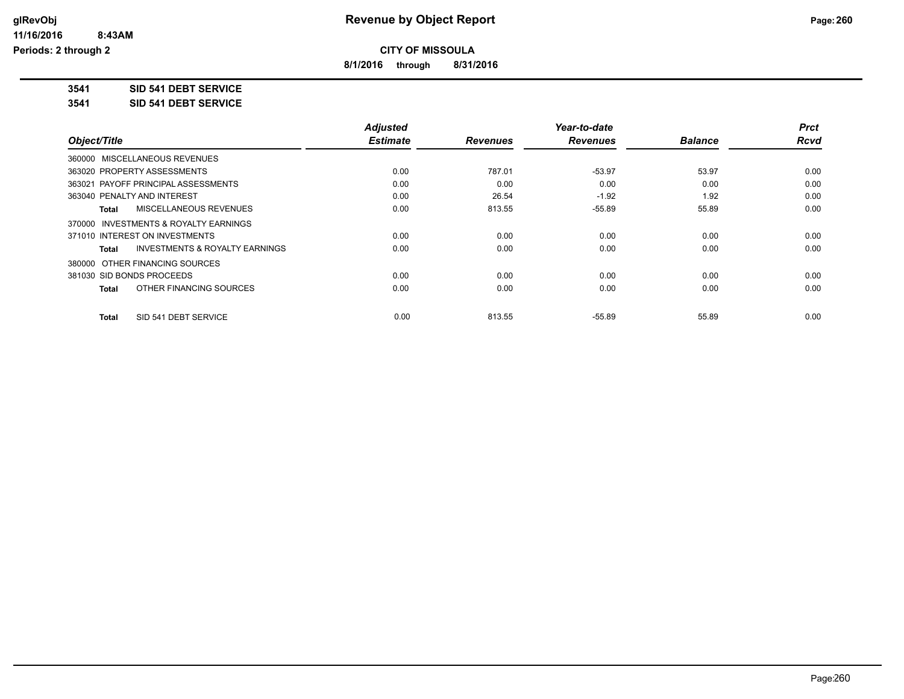**8/1/2016 through 8/31/2016**

**3541 SID 541 DEBT SERVICE**

**3541 SID 541 DEBT SERVICE**

|                                         | <b>Adjusted</b> |                 | Year-to-date    |                | <b>Prct</b> |
|-----------------------------------------|-----------------|-----------------|-----------------|----------------|-------------|
| Object/Title                            | <b>Estimate</b> | <b>Revenues</b> | <b>Revenues</b> | <b>Balance</b> | <b>Rcvd</b> |
| 360000 MISCELLANEOUS REVENUES           |                 |                 |                 |                |             |
| 363020 PROPERTY ASSESSMENTS             | 0.00            | 787.01          | $-53.97$        | 53.97          | 0.00        |
| 363021 PAYOFF PRINCIPAL ASSESSMENTS     | 0.00            | 0.00            | 0.00            | 0.00           | 0.00        |
| 363040 PENALTY AND INTEREST             | 0.00            | 26.54           | $-1.92$         | 1.92           | 0.00        |
| MISCELLANEOUS REVENUES<br>Total         | 0.00            | 813.55          | $-55.89$        | 55.89          | 0.00        |
| 370000 INVESTMENTS & ROYALTY EARNINGS   |                 |                 |                 |                |             |
| 371010 INTEREST ON INVESTMENTS          | 0.00            | 0.00            | 0.00            | 0.00           | 0.00        |
| INVESTMENTS & ROYALTY EARNINGS<br>Total | 0.00            | 0.00            | 0.00            | 0.00           | 0.00        |
| 380000 OTHER FINANCING SOURCES          |                 |                 |                 |                |             |
| 381030 SID BONDS PROCEEDS               | 0.00            | 0.00            | 0.00            | 0.00           | 0.00        |
| OTHER FINANCING SOURCES<br>Total        | 0.00            | 0.00            | 0.00            | 0.00           | 0.00        |
| SID 541 DEBT SERVICE<br>Total           | 0.00            | 813.55          | $-55.89$        | 55.89          | 0.00        |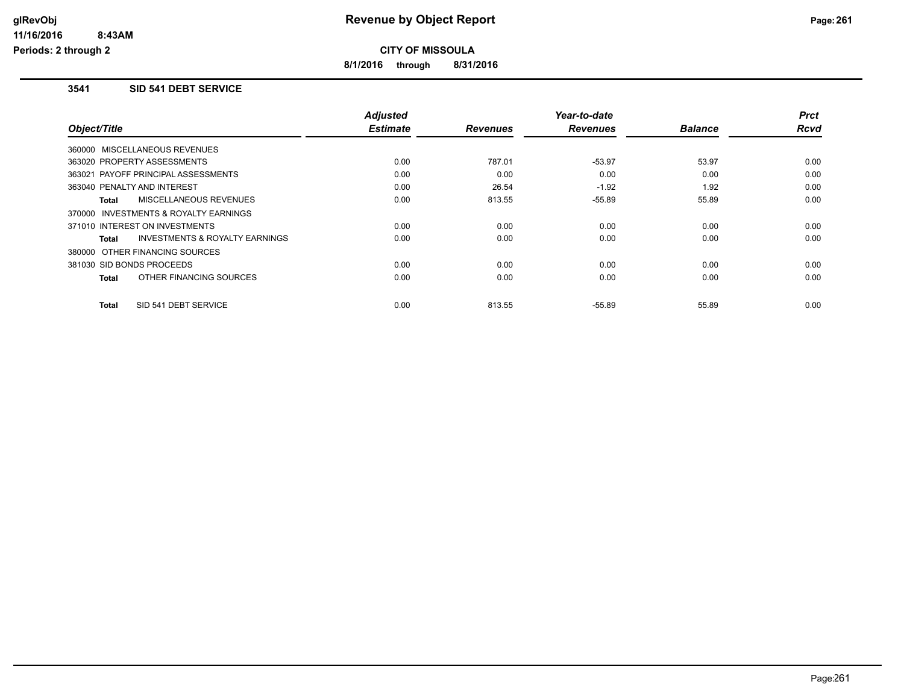**8/1/2016 through 8/31/2016**

#### **3541 SID 541 DEBT SERVICE**

| Object/Title                                        | <b>Adjusted</b><br><b>Estimate</b> | <b>Revenues</b> | Year-to-date<br><b>Revenues</b> | <b>Balance</b> | <b>Prct</b><br>Rcvd |
|-----------------------------------------------------|------------------------------------|-----------------|---------------------------------|----------------|---------------------|
| 360000 MISCELLANEOUS REVENUES                       |                                    |                 |                                 |                |                     |
| 363020 PROPERTY ASSESSMENTS                         | 0.00                               | 787.01          | $-53.97$                        | 53.97          | 0.00                |
| 363021 PAYOFF PRINCIPAL ASSESSMENTS                 | 0.00                               | 0.00            | 0.00                            | 0.00           | 0.00                |
| 363040 PENALTY AND INTEREST                         | 0.00                               | 26.54           | $-1.92$                         | 1.92           | 0.00                |
| MISCELLANEOUS REVENUES<br>Total                     | 0.00                               | 813.55          | $-55.89$                        | 55.89          | 0.00                |
| <b>INVESTMENTS &amp; ROYALTY EARNINGS</b><br>370000 |                                    |                 |                                 |                |                     |
| 371010 INTEREST ON INVESTMENTS                      | 0.00                               | 0.00            | 0.00                            | 0.00           | 0.00                |
| <b>INVESTMENTS &amp; ROYALTY EARNINGS</b><br>Total  | 0.00                               | 0.00            | 0.00                            | 0.00           | 0.00                |
| 380000 OTHER FINANCING SOURCES                      |                                    |                 |                                 |                |                     |
| 381030 SID BONDS PROCEEDS                           | 0.00                               | 0.00            | 0.00                            | 0.00           | 0.00                |
| OTHER FINANCING SOURCES<br><b>Total</b>             | 0.00                               | 0.00            | 0.00                            | 0.00           | 0.00                |
| SID 541 DEBT SERVICE<br><b>Total</b>                | 0.00                               | 813.55          | $-55.89$                        | 55.89          | 0.00                |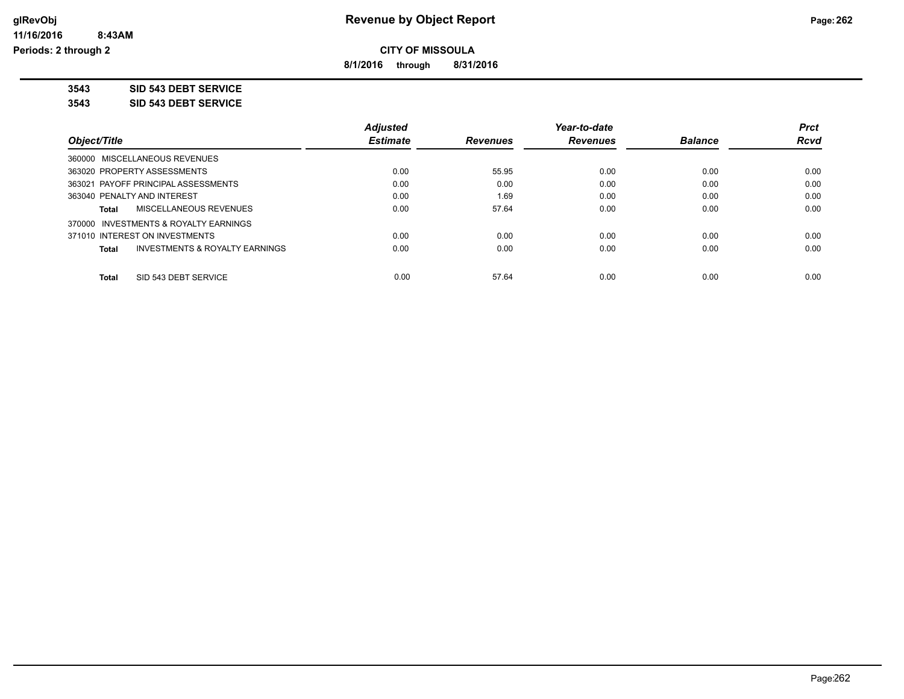**8/1/2016 through 8/31/2016**

**3543 SID 543 DEBT SERVICE**

**3543 SID 543 DEBT SERVICE**

|                                                    | <b>Adjusted</b> |                 | Year-to-date    |                | <b>Prct</b> |
|----------------------------------------------------|-----------------|-----------------|-----------------|----------------|-------------|
| Object/Title                                       | <b>Estimate</b> | <b>Revenues</b> | <b>Revenues</b> | <b>Balance</b> | <b>Rcvd</b> |
| 360000 MISCELLANEOUS REVENUES                      |                 |                 |                 |                |             |
| 363020 PROPERTY ASSESSMENTS                        | 0.00            | 55.95           | 0.00            | 0.00           | 0.00        |
| 363021 PAYOFF PRINCIPAL ASSESSMENTS                | 0.00            | 0.00            | 0.00            | 0.00           | 0.00        |
| 363040 PENALTY AND INTEREST                        | 0.00            | 1.69            | 0.00            | 0.00           | 0.00        |
| MISCELLANEOUS REVENUES<br>Total                    | 0.00            | 57.64           | 0.00            | 0.00           | 0.00        |
| 370000 INVESTMENTS & ROYALTY EARNINGS              |                 |                 |                 |                |             |
| 371010 INTEREST ON INVESTMENTS                     | 0.00            | 0.00            | 0.00            | 0.00           | 0.00        |
| <b>INVESTMENTS &amp; ROYALTY EARNINGS</b><br>Total | 0.00            | 0.00            | 0.00            | 0.00           | 0.00        |
| SID 543 DEBT SERVICE<br>Total                      | 0.00            | 57.64           | 0.00            | 0.00           | 0.00        |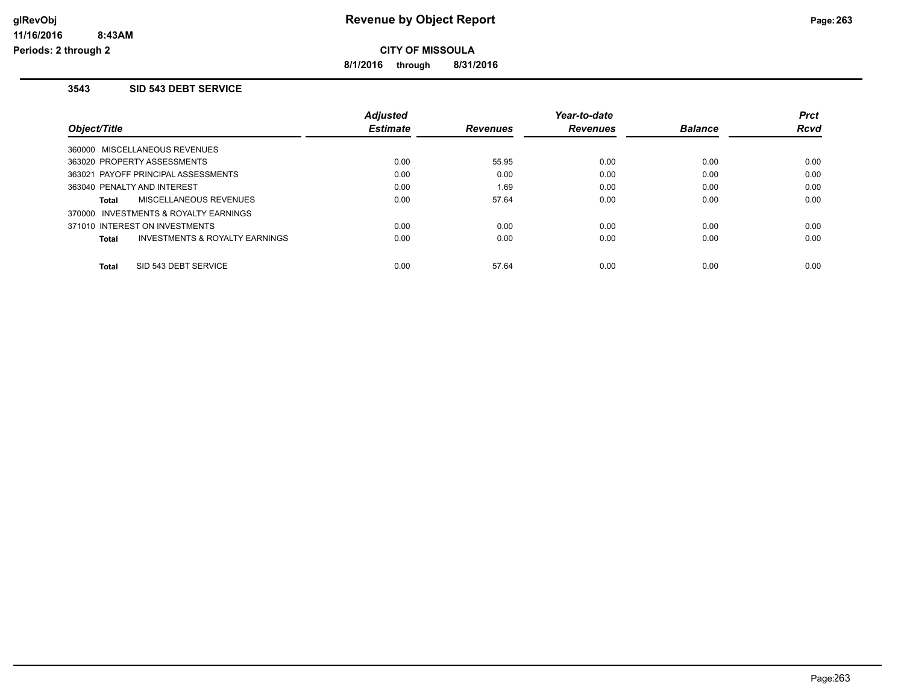**8/1/2016 through 8/31/2016**

#### **3543 SID 543 DEBT SERVICE**

|                                         | <b>Adjusted</b> |                 | Year-to-date    |                | <b>Prct</b> |
|-----------------------------------------|-----------------|-----------------|-----------------|----------------|-------------|
| Object/Title                            | <b>Estimate</b> | <b>Revenues</b> | <b>Revenues</b> | <b>Balance</b> | Rcvd        |
| 360000 MISCELLANEOUS REVENUES           |                 |                 |                 |                |             |
| 363020 PROPERTY ASSESSMENTS             | 0.00            | 55.95           | 0.00            | 0.00           | 0.00        |
| 363021 PAYOFF PRINCIPAL ASSESSMENTS     | 0.00            | 0.00            | 0.00            | 0.00           | 0.00        |
| 363040 PENALTY AND INTEREST             | 0.00            | 1.69            | 0.00            | 0.00           | 0.00        |
| MISCELLANEOUS REVENUES<br>Total         | 0.00            | 57.64           | 0.00            | 0.00           | 0.00        |
| 370000 INVESTMENTS & ROYALTY EARNINGS   |                 |                 |                 |                |             |
| 371010 INTEREST ON INVESTMENTS          | 0.00            | 0.00            | 0.00            | 0.00           | 0.00        |
| INVESTMENTS & ROYALTY EARNINGS<br>Total | 0.00            | 0.00            | 0.00            | 0.00           | 0.00        |
| SID 543 DEBT SERVICE<br><b>Total</b>    | 0.00            | 57.64           | 0.00            | 0.00           | 0.00        |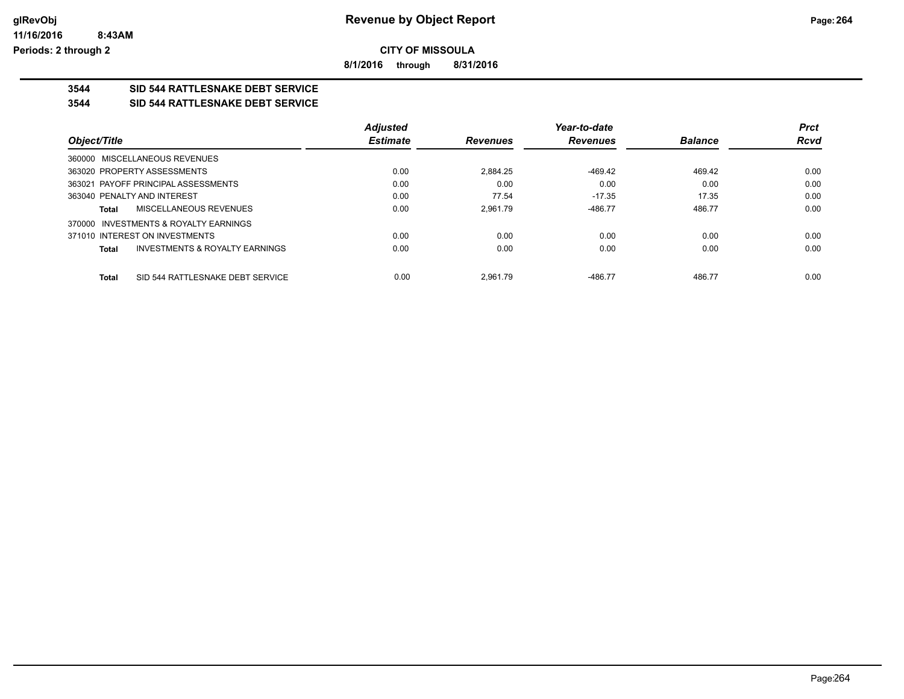**8/1/2016 through 8/31/2016**

# **3544 SID 544 RATTLESNAKE DEBT SERVICE**

#### **3544 SID 544 RATTLESNAKE DEBT SERVICE**

|                                                    | <b>Adjusted</b> |                 | Year-to-date    |                | <b>Prct</b> |
|----------------------------------------------------|-----------------|-----------------|-----------------|----------------|-------------|
| Object/Title                                       | <b>Estimate</b> | <b>Revenues</b> | <b>Revenues</b> | <b>Balance</b> | <b>Rcvd</b> |
| 360000 MISCELLANEOUS REVENUES                      |                 |                 |                 |                |             |
| 363020 PROPERTY ASSESSMENTS                        | 0.00            | 2.884.25        | -469.42         | 469.42         | 0.00        |
| 363021 PAYOFF PRINCIPAL ASSESSMENTS                | 0.00            | 0.00            | 0.00            | 0.00           | 0.00        |
| 363040 PENALTY AND INTEREST                        | 0.00            | 77.54           | $-17.35$        | 17.35          | 0.00        |
| MISCELLANEOUS REVENUES<br>Total                    | 0.00            | 2.961.79        | $-486.77$       | 486.77         | 0.00        |
| 370000 INVESTMENTS & ROYALTY EARNINGS              |                 |                 |                 |                |             |
| 371010 INTEREST ON INVESTMENTS                     | 0.00            | 0.00            | 0.00            | 0.00           | 0.00        |
| <b>INVESTMENTS &amp; ROYALTY EARNINGS</b><br>Total | 0.00            | 0.00            | 0.00            | 0.00           | 0.00        |
| SID 544 RATTLESNAKE DEBT SERVICE<br>Total          | 0.00            | 2.961.79        | $-486.77$       | 486.77         | 0.00        |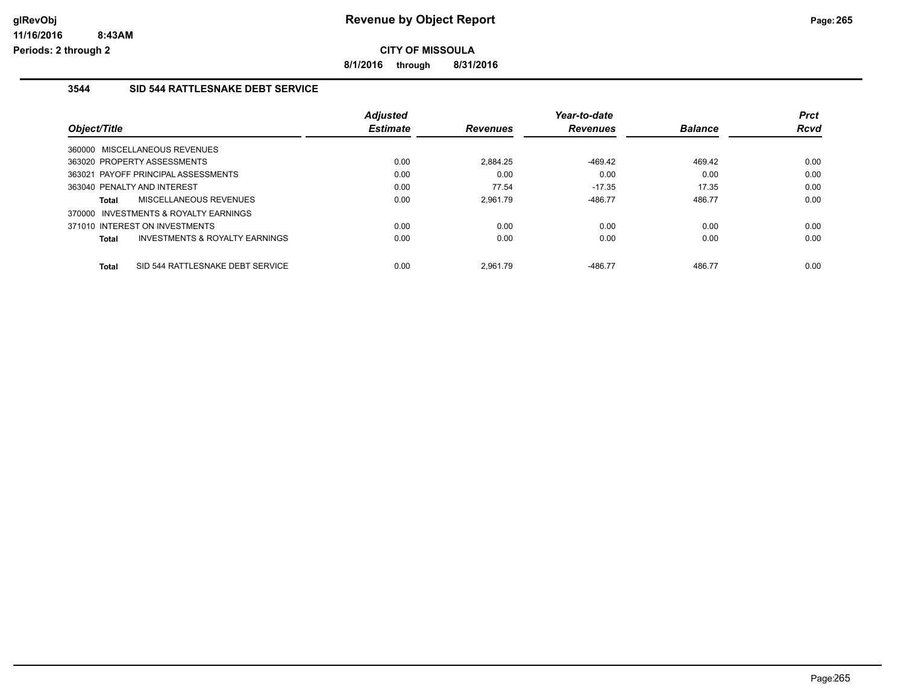**8/1/2016 through 8/31/2016**

#### **3544 SID 544 RATTLESNAKE DEBT SERVICE**

|                                |                                       | <b>Adjusted</b> |                 | Year-to-date   |             | <b>Prct</b> |
|--------------------------------|---------------------------------------|-----------------|-----------------|----------------|-------------|-------------|
| Object/Title                   | <b>Estimate</b>                       | <b>Revenues</b> | <b>Revenues</b> | <b>Balance</b> | <b>Rcvd</b> |             |
| 360000 MISCELLANEOUS REVENUES  |                                       |                 |                 |                |             |             |
| 363020 PROPERTY ASSESSMENTS    |                                       | 0.00            | 2.884.25        | $-469.42$      | 469.42      | 0.00        |
|                                | 363021 PAYOFF PRINCIPAL ASSESSMENTS   | 0.00            | 0.00            | 0.00           | 0.00        | 0.00        |
| 363040 PENALTY AND INTEREST    |                                       | 0.00            | 77.54           | $-17.35$       | 17.35       | 0.00        |
| <b>Total</b>                   | MISCELLANEOUS REVENUES                | 0.00            | 2.961.79        | $-486.77$      | 486.77      | 0.00        |
|                                | 370000 INVESTMENTS & ROYALTY EARNINGS |                 |                 |                |             |             |
| 371010 INTEREST ON INVESTMENTS |                                       | 0.00            | 0.00            | 0.00           | 0.00        | 0.00        |
| <b>Total</b>                   | INVESTMENTS & ROYALTY EARNINGS        | 0.00            | 0.00            | 0.00           | 0.00        | 0.00        |
| <b>Total</b>                   | SID 544 RATTLESNAKE DEBT SERVICE      | 0.00            | 2.961.79        | $-486.77$      | 486.77      | 0.00        |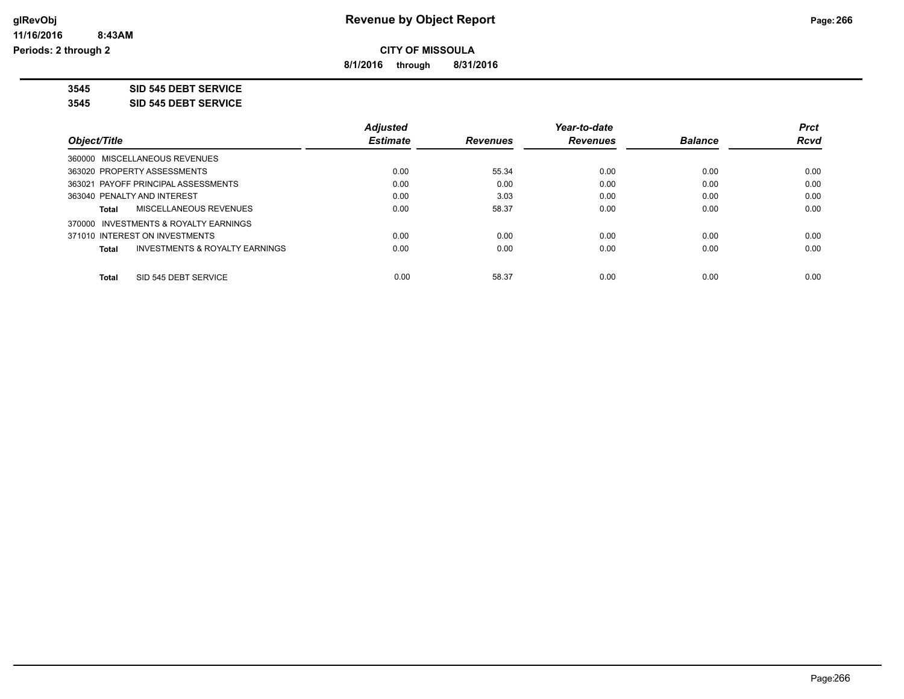**8/1/2016 through 8/31/2016**

**3545 SID 545 DEBT SERVICE**

**3545 SID 545 DEBT SERVICE**

|                                                    | <b>Adjusted</b> |                 | Year-to-date    |                | <b>Prct</b> |
|----------------------------------------------------|-----------------|-----------------|-----------------|----------------|-------------|
| Object/Title                                       | <b>Estimate</b> | <b>Revenues</b> | <b>Revenues</b> | <b>Balance</b> | <b>Rcvd</b> |
| 360000 MISCELLANEOUS REVENUES                      |                 |                 |                 |                |             |
| 363020 PROPERTY ASSESSMENTS                        | 0.00            | 55.34           | 0.00            | 0.00           | 0.00        |
| 363021 PAYOFF PRINCIPAL ASSESSMENTS                | 0.00            | 0.00            | 0.00            | 0.00           | 0.00        |
| 363040 PENALTY AND INTEREST                        | 0.00            | 3.03            | 0.00            | 0.00           | 0.00        |
| MISCELLANEOUS REVENUES<br>Total                    | 0.00            | 58.37           | 0.00            | 0.00           | 0.00        |
| 370000 INVESTMENTS & ROYALTY EARNINGS              |                 |                 |                 |                |             |
| 371010 INTEREST ON INVESTMENTS                     | 0.00            | 0.00            | 0.00            | 0.00           | 0.00        |
| <b>INVESTMENTS &amp; ROYALTY EARNINGS</b><br>Total | 0.00            | 0.00            | 0.00            | 0.00           | 0.00        |
|                                                    |                 |                 |                 |                |             |
| SID 545 DEBT SERVICE<br><b>Total</b>               | 0.00            | 58.37           | 0.00            | 0.00           | 0.00        |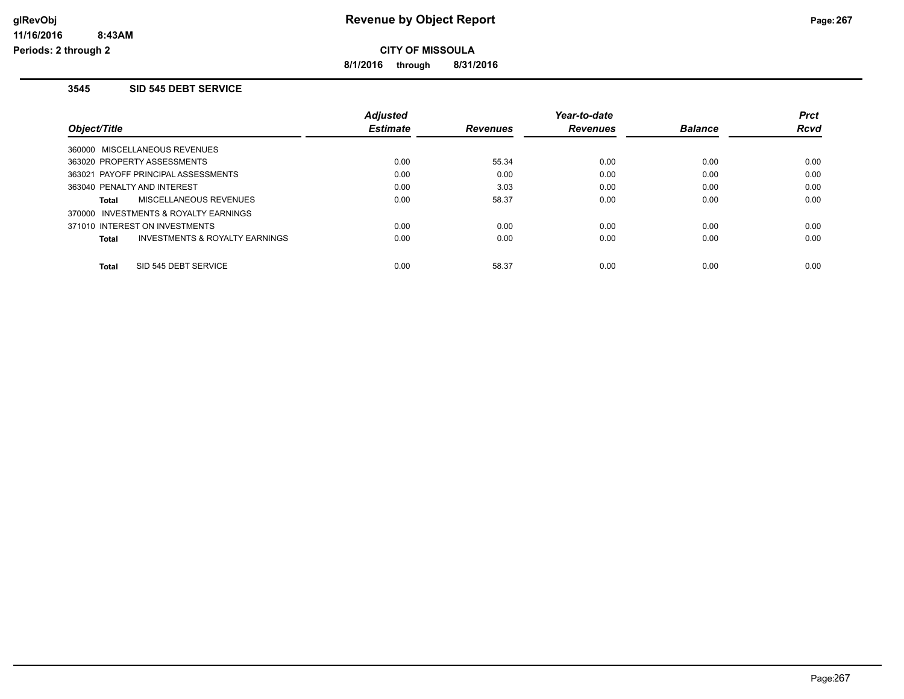**8/1/2016 through 8/31/2016**

#### **3545 SID 545 DEBT SERVICE**

|                                         | <b>Adjusted</b> |                 | Year-to-date    |                | <b>Prct</b> |
|-----------------------------------------|-----------------|-----------------|-----------------|----------------|-------------|
| Object/Title                            | <b>Estimate</b> | <b>Revenues</b> | <b>Revenues</b> | <b>Balance</b> | Rcvd        |
| 360000 MISCELLANEOUS REVENUES           |                 |                 |                 |                |             |
| 363020 PROPERTY ASSESSMENTS             | 0.00            | 55.34           | 0.00            | 0.00           | 0.00        |
| 363021 PAYOFF PRINCIPAL ASSESSMENTS     | 0.00            | 0.00            | 0.00            | 0.00           | 0.00        |
| 363040 PENALTY AND INTEREST             | 0.00            | 3.03            | 0.00            | 0.00           | 0.00        |
| MISCELLANEOUS REVENUES<br>Total         | 0.00            | 58.37           | 0.00            | 0.00           | 0.00        |
| 370000 INVESTMENTS & ROYALTY EARNINGS   |                 |                 |                 |                |             |
| 371010 INTEREST ON INVESTMENTS          | 0.00            | 0.00            | 0.00            | 0.00           | 0.00        |
| INVESTMENTS & ROYALTY EARNINGS<br>Total | 0.00            | 0.00            | 0.00            | 0.00           | 0.00        |
| SID 545 DEBT SERVICE<br><b>Total</b>    | 0.00            | 58.37           | 0.00            | 0.00           | 0.00        |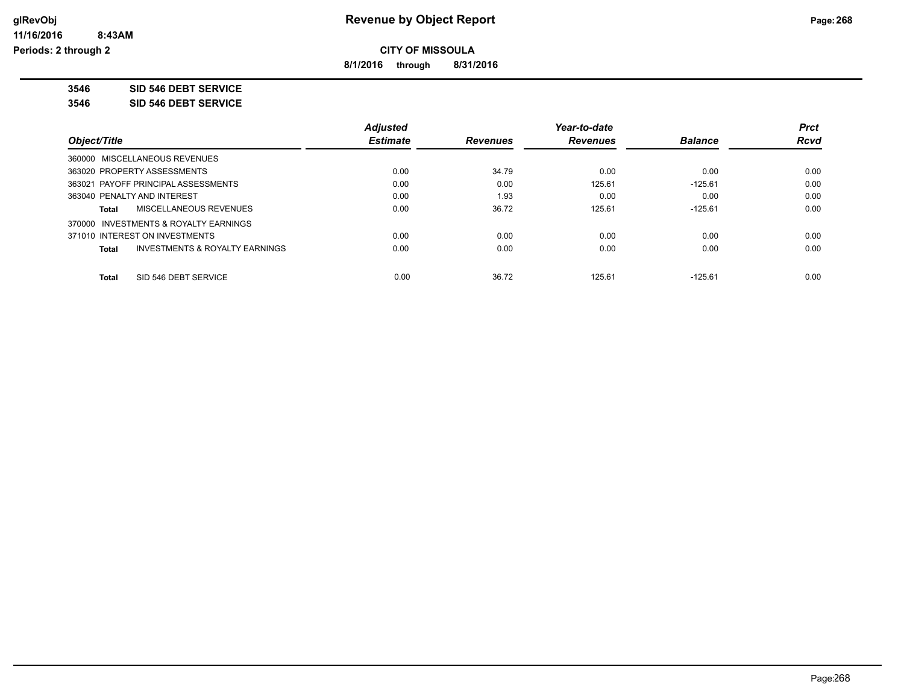**8/1/2016 through 8/31/2016**

**3546 SID 546 DEBT SERVICE**

**3546 SID 546 DEBT SERVICE**

|                                                    | <b>Adjusted</b> |                 | Year-to-date    |                | <b>Prct</b> |
|----------------------------------------------------|-----------------|-----------------|-----------------|----------------|-------------|
| Object/Title                                       | <b>Estimate</b> | <b>Revenues</b> | <b>Revenues</b> | <b>Balance</b> | <b>Rcvd</b> |
| 360000 MISCELLANEOUS REVENUES                      |                 |                 |                 |                |             |
| 363020 PROPERTY ASSESSMENTS                        | 0.00            | 34.79           | 0.00            | 0.00           | 0.00        |
| 363021 PAYOFF PRINCIPAL ASSESSMENTS                | 0.00            | 0.00            | 125.61          | $-125.61$      | 0.00        |
| 363040 PENALTY AND INTEREST                        | 0.00            | 1.93            | 0.00            | 0.00           | 0.00        |
| MISCELLANEOUS REVENUES<br>Total                    | 0.00            | 36.72           | 125.61          | $-125.61$      | 0.00        |
| 370000 INVESTMENTS & ROYALTY EARNINGS              |                 |                 |                 |                |             |
| 371010 INTEREST ON INVESTMENTS                     | 0.00            | 0.00            | 0.00            | 0.00           | 0.00        |
| <b>INVESTMENTS &amp; ROYALTY EARNINGS</b><br>Total | 0.00            | 0.00            | 0.00            | 0.00           | 0.00        |
| SID 546 DEBT SERVICE<br>Total                      | 0.00            | 36.72           | 125.61          | $-125.61$      | 0.00        |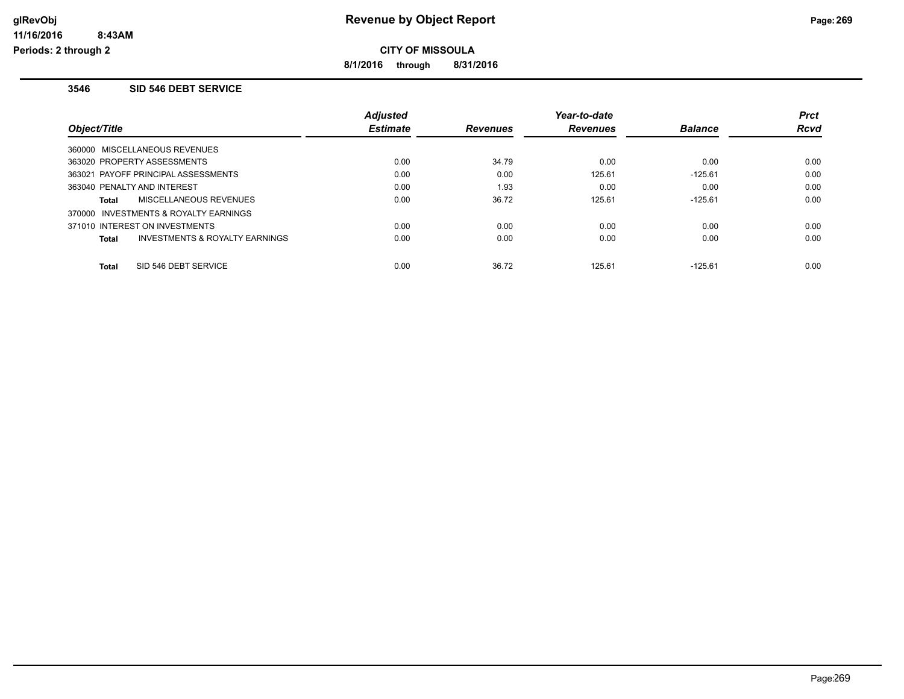**8/1/2016 through 8/31/2016**

#### **3546 SID 546 DEBT SERVICE**

|                                         | <b>Adjusted</b> |                 | Year-to-date    |                | <b>Prct</b> |
|-----------------------------------------|-----------------|-----------------|-----------------|----------------|-------------|
| Object/Title                            | <b>Estimate</b> | <b>Revenues</b> | <b>Revenues</b> | <b>Balance</b> | <b>Rcvd</b> |
| 360000 MISCELLANEOUS REVENUES           |                 |                 |                 |                |             |
| 363020 PROPERTY ASSESSMENTS             | 0.00            | 34.79           | 0.00            | 0.00           | 0.00        |
| 363021 PAYOFF PRINCIPAL ASSESSMENTS     | 0.00            | 0.00            | 125.61          | $-125.61$      | 0.00        |
| 363040 PENALTY AND INTEREST             | 0.00            | 1.93            | 0.00            | 0.00           | 0.00        |
| <b>MISCELLANEOUS REVENUES</b><br>Total  | 0.00            | 36.72           | 125.61          | $-125.61$      | 0.00        |
| 370000 INVESTMENTS & ROYALTY EARNINGS   |                 |                 |                 |                |             |
| 371010 INTEREST ON INVESTMENTS          | 0.00            | 0.00            | 0.00            | 0.00           | 0.00        |
| INVESTMENTS & ROYALTY EARNINGS<br>Total | 0.00            | 0.00            | 0.00            | 0.00           | 0.00        |
| SID 546 DEBT SERVICE<br><b>Total</b>    | 0.00            | 36.72           | 125.61          | $-125.61$      | 0.00        |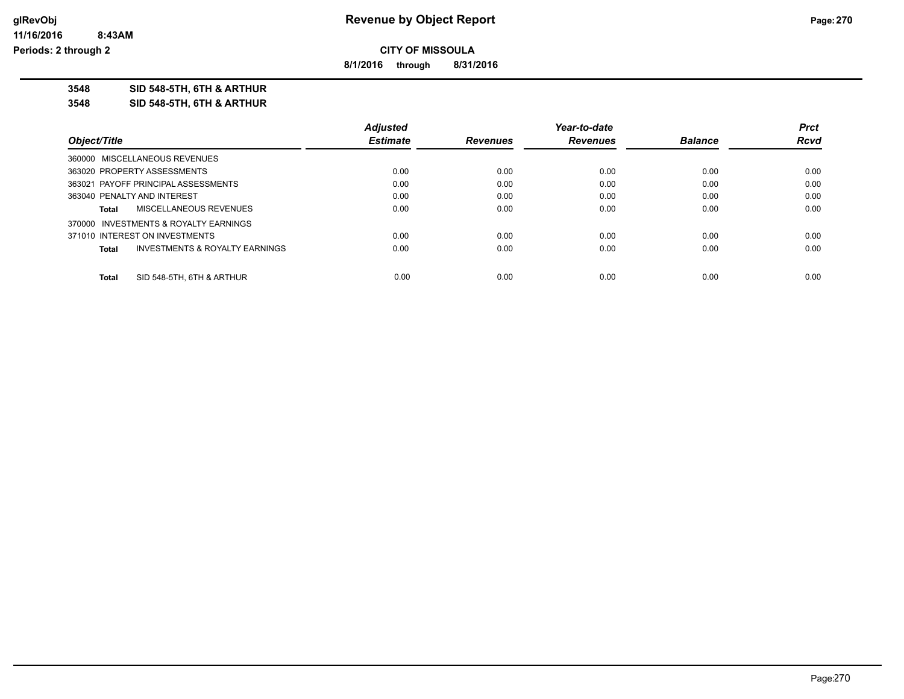**8/1/2016 through 8/31/2016**

**3548 SID 548-5TH, 6TH & ARTHUR**

**3548 SID 548-5TH, 6TH & ARTHUR**

|                                                    | <b>Adjusted</b> |                 | Year-to-date    |                | <b>Prct</b> |
|----------------------------------------------------|-----------------|-----------------|-----------------|----------------|-------------|
| Object/Title                                       | <b>Estimate</b> | <b>Revenues</b> | <b>Revenues</b> | <b>Balance</b> | <b>Rcvd</b> |
| 360000 MISCELLANEOUS REVENUES                      |                 |                 |                 |                |             |
| 363020 PROPERTY ASSESSMENTS                        | 0.00            | 0.00            | 0.00            | 0.00           | 0.00        |
| 363021 PAYOFF PRINCIPAL ASSESSMENTS                | 0.00            | 0.00            | 0.00            | 0.00           | 0.00        |
| 363040 PENALTY AND INTEREST                        | 0.00            | 0.00            | 0.00            | 0.00           | 0.00        |
| <b>MISCELLANEOUS REVENUES</b><br>Total             | 0.00            | 0.00            | 0.00            | 0.00           | 0.00        |
| 370000 INVESTMENTS & ROYALTY EARNINGS              |                 |                 |                 |                |             |
| 371010 INTEREST ON INVESTMENTS                     | 0.00            | 0.00            | 0.00            | 0.00           | 0.00        |
| <b>INVESTMENTS &amp; ROYALTY EARNINGS</b><br>Total | 0.00            | 0.00            | 0.00            | 0.00           | 0.00        |
| SID 548-5TH, 6TH & ARTHUR<br>Total                 | 0.00            | 0.00            | 0.00            | 0.00           | 0.00        |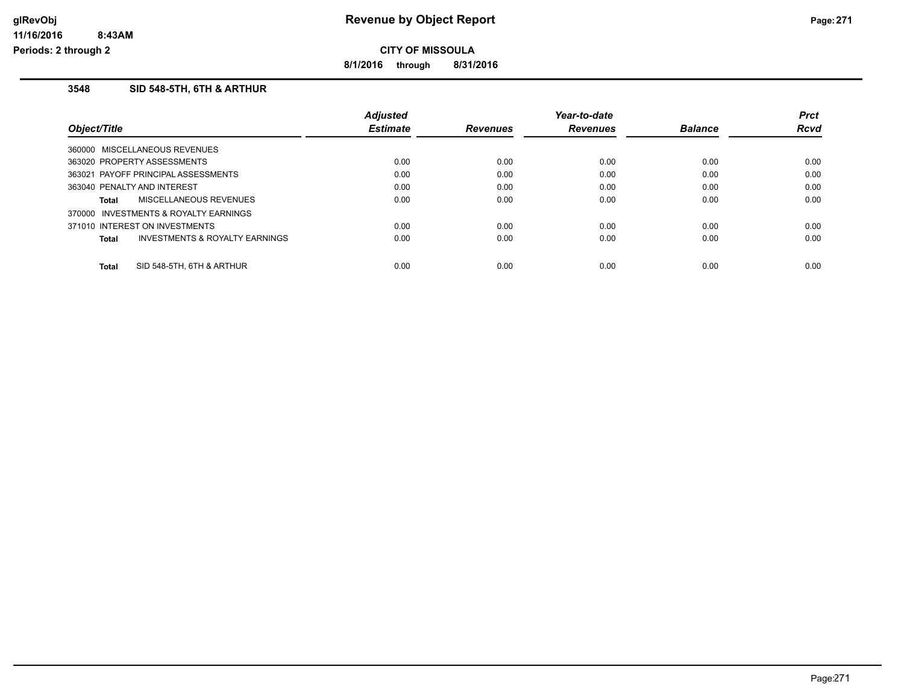**CITY OF MISSOULA**

**8/1/2016 through 8/31/2016**

#### **3548 SID 548-5TH, 6TH & ARTHUR**

|                                                | <b>Adiusted</b> |                 | Year-to-date    |                | <b>Prct</b> |
|------------------------------------------------|-----------------|-----------------|-----------------|----------------|-------------|
| Obiect/Title                                   | <b>Estimate</b> | <b>Revenues</b> | <b>Revenues</b> | <b>Balance</b> | <b>Rcvd</b> |
| 360000 MISCELLANEOUS REVENUES                  |                 |                 |                 |                |             |
| 363020 PROPERTY ASSESSMENTS                    | 0.00            | 0.00            | 0.00            | 0.00           | 0.00        |
| 363021 PAYOFF PRINCIPAL ASSESSMENTS            | 0.00            | 0.00            | 0.00            | 0.00           | 0.00        |
| 363040 PENALTY AND INTEREST                    | 0.00            | 0.00            | 0.00            | 0.00           | 0.00        |
| MISCELLANEOUS REVENUES<br><b>Total</b>         | 0.00            | 0.00            | 0.00            | 0.00           | 0.00        |
| 370000 INVESTMENTS & ROYALTY EARNINGS          |                 |                 |                 |                |             |
| 371010 INTEREST ON INVESTMENTS                 | 0.00            | 0.00            | 0.00            | 0.00           | 0.00        |
| INVESTMENTS & ROYALTY EARNINGS<br><b>Total</b> | 0.00            | 0.00            | 0.00            | 0.00           | 0.00        |
| SID 548-5TH, 6TH & ARTHUR<br><b>Total</b>      | 0.00            | 0.00            | 0.00            | 0.00           | 0.00        |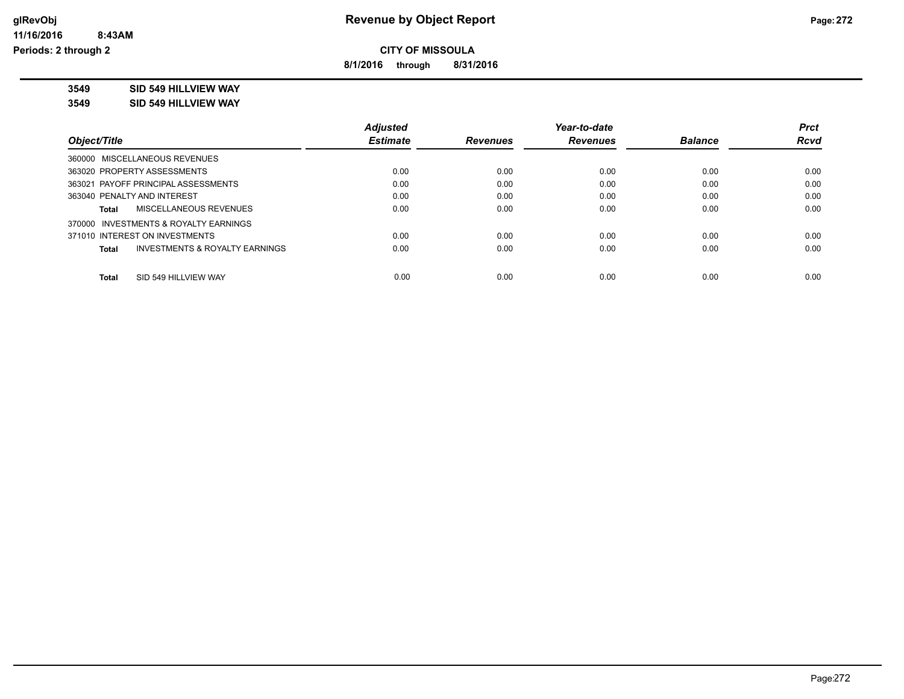**8/1/2016 through 8/31/2016**

**3549 SID 549 HILLVIEW WAY**

**3549 SID 549 HILLVIEW WAY**

|                                                    | <b>Adjusted</b> |                 | Year-to-date    |                | <b>Prct</b> |
|----------------------------------------------------|-----------------|-----------------|-----------------|----------------|-------------|
| Object/Title                                       | <b>Estimate</b> | <b>Revenues</b> | <b>Revenues</b> | <b>Balance</b> | <b>Rcvd</b> |
| 360000 MISCELLANEOUS REVENUES                      |                 |                 |                 |                |             |
| 363020 PROPERTY ASSESSMENTS                        | 0.00            | 0.00            | 0.00            | 0.00           | 0.00        |
| 363021 PAYOFF PRINCIPAL ASSESSMENTS                | 0.00            | 0.00            | 0.00            | 0.00           | 0.00        |
| 363040 PENALTY AND INTEREST                        | 0.00            | 0.00            | 0.00            | 0.00           | 0.00        |
| MISCELLANEOUS REVENUES<br>Total                    | 0.00            | 0.00            | 0.00            | 0.00           | 0.00        |
| 370000 INVESTMENTS & ROYALTY EARNINGS              |                 |                 |                 |                |             |
| 371010 INTEREST ON INVESTMENTS                     | 0.00            | 0.00            | 0.00            | 0.00           | 0.00        |
| <b>INVESTMENTS &amp; ROYALTY EARNINGS</b><br>Total | 0.00            | 0.00            | 0.00            | 0.00           | 0.00        |
| SID 549 HILLVIEW WAY<br>Total                      | 0.00            | 0.00            | 0.00            | 0.00           | 0.00        |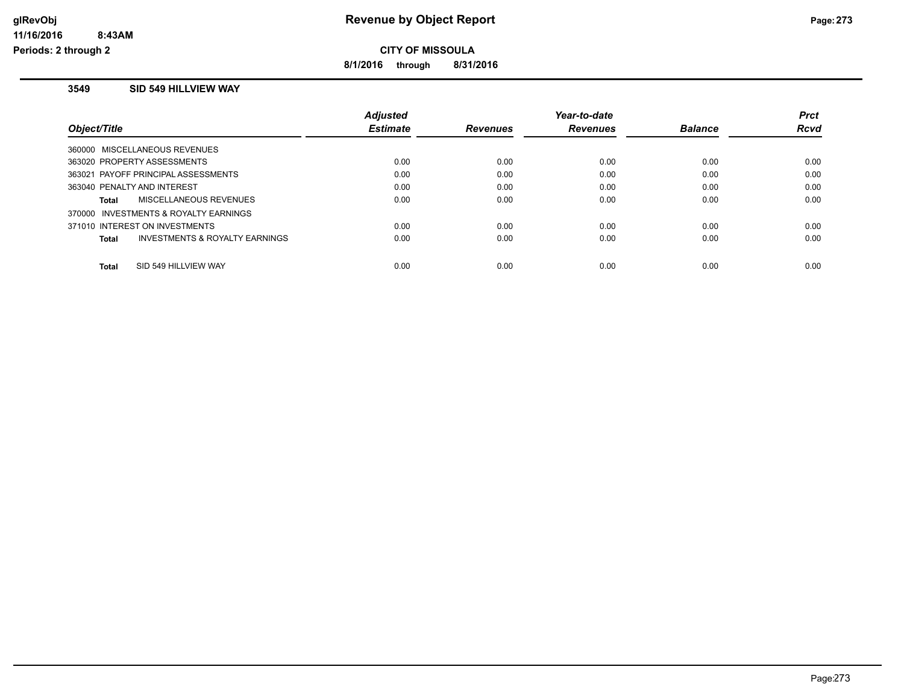**8/1/2016 through 8/31/2016**

#### **3549 SID 549 HILLVIEW WAY**

|                                                | <b>Adjusted</b> |                 | Year-to-date    |                | <b>Prct</b> |
|------------------------------------------------|-----------------|-----------------|-----------------|----------------|-------------|
| Object/Title                                   | <b>Estimate</b> | <b>Revenues</b> | <b>Revenues</b> | <b>Balance</b> | Rcvd        |
| 360000 MISCELLANEOUS REVENUES                  |                 |                 |                 |                |             |
| 363020 PROPERTY ASSESSMENTS                    | 0.00            | 0.00            | 0.00            | 0.00           | 0.00        |
| 363021 PAYOFF PRINCIPAL ASSESSMENTS            | 0.00            | 0.00            | 0.00            | 0.00           | 0.00        |
| 363040 PENALTY AND INTEREST                    | 0.00            | 0.00            | 0.00            | 0.00           | 0.00        |
| MISCELLANEOUS REVENUES<br>Total                | 0.00            | 0.00            | 0.00            | 0.00           | 0.00        |
| 370000 INVESTMENTS & ROYALTY EARNINGS          |                 |                 |                 |                |             |
| 371010 INTEREST ON INVESTMENTS                 | 0.00            | 0.00            | 0.00            | 0.00           | 0.00        |
| INVESTMENTS & ROYALTY EARNINGS<br><b>Total</b> | 0.00            | 0.00            | 0.00            | 0.00           | 0.00        |
| SID 549 HILLVIEW WAY<br><b>Total</b>           | 0.00            | 0.00            | 0.00            | 0.00           | 0.00        |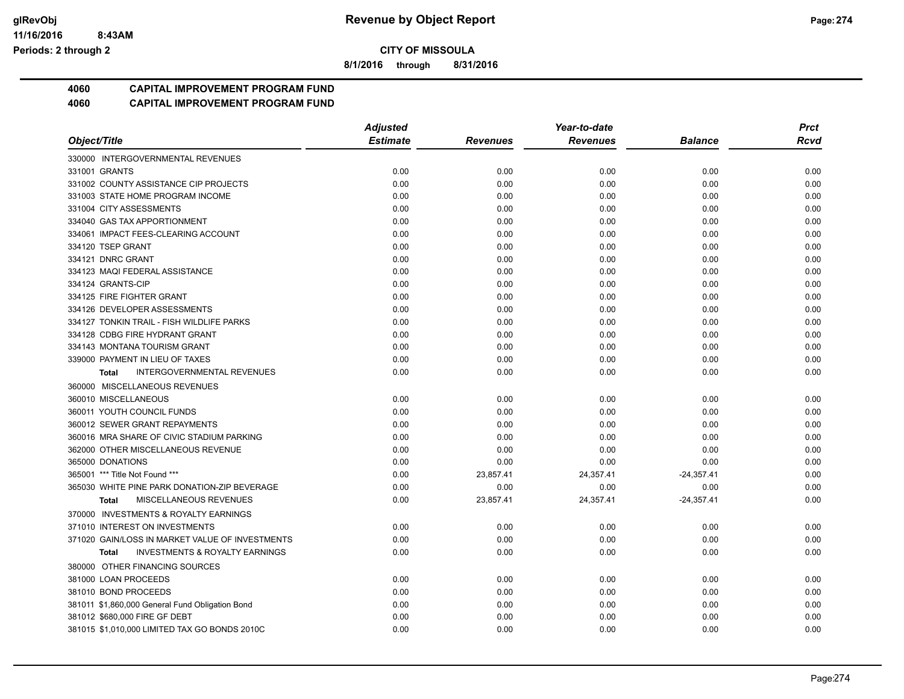**8/1/2016 through 8/31/2016**

# **4060 CAPITAL IMPROVEMENT PROGRAM FUND**

|                                                    | <b>Adjusted</b> |                 | Year-to-date    |                | <b>Prct</b> |
|----------------------------------------------------|-----------------|-----------------|-----------------|----------------|-------------|
| Object/Title                                       | <b>Estimate</b> | <b>Revenues</b> | <b>Revenues</b> | <b>Balance</b> | <b>Rcvd</b> |
| 330000 INTERGOVERNMENTAL REVENUES                  |                 |                 |                 |                |             |
| 331001 GRANTS                                      | 0.00            | 0.00            | 0.00            | 0.00           | 0.00        |
| 331002 COUNTY ASSISTANCE CIP PROJECTS              | 0.00            | 0.00            | 0.00            | 0.00           | 0.00        |
| 331003 STATE HOME PROGRAM INCOME                   | 0.00            | 0.00            | 0.00            | 0.00           | 0.00        |
| 331004 CITY ASSESSMENTS                            | 0.00            | 0.00            | 0.00            | 0.00           | 0.00        |
| 334040 GAS TAX APPORTIONMENT                       | 0.00            | 0.00            | 0.00            | 0.00           | 0.00        |
| 334061 IMPACT FEES-CLEARING ACCOUNT                | 0.00            | 0.00            | 0.00            | 0.00           | 0.00        |
| 334120 TSEP GRANT                                  | 0.00            | 0.00            | 0.00            | 0.00           | 0.00        |
| 334121 DNRC GRANT                                  | 0.00            | 0.00            | 0.00            | 0.00           | 0.00        |
| 334123 MAQI FEDERAL ASSISTANCE                     | 0.00            | 0.00            | 0.00            | 0.00           | 0.00        |
| 334124 GRANTS-CIP                                  | 0.00            | 0.00            | 0.00            | 0.00           | 0.00        |
| 334125 FIRE FIGHTER GRANT                          | 0.00            | 0.00            | 0.00            | 0.00           | 0.00        |
| 334126 DEVELOPER ASSESSMENTS                       | 0.00            | 0.00            | 0.00            | 0.00           | 0.00        |
| 334127 TONKIN TRAIL - FISH WILDLIFE PARKS          | 0.00            | 0.00            | 0.00            | 0.00           | 0.00        |
| 334128 CDBG FIRE HYDRANT GRANT                     | 0.00            | 0.00            | 0.00            | 0.00           | 0.00        |
| 334143 MONTANA TOURISM GRANT                       | 0.00            | 0.00            | 0.00            | 0.00           | 0.00        |
| 339000 PAYMENT IN LIEU OF TAXES                    | 0.00            | 0.00            | 0.00            | 0.00           | 0.00        |
| <b>INTERGOVERNMENTAL REVENUES</b><br><b>Total</b>  | 0.00            | 0.00            | 0.00            | 0.00           | 0.00        |
| 360000 MISCELLANEOUS REVENUES                      |                 |                 |                 |                |             |
| 360010 MISCELLANEOUS                               | 0.00            | 0.00            | 0.00            | 0.00           | 0.00        |
| 360011 YOUTH COUNCIL FUNDS                         | 0.00            | 0.00            | 0.00            | 0.00           | 0.00        |
| 360012 SEWER GRANT REPAYMENTS                      | 0.00            | 0.00            | 0.00            | 0.00           | 0.00        |
| 360016 MRA SHARE OF CIVIC STADIUM PARKING          | 0.00            | 0.00            | 0.00            | 0.00           | 0.00        |
| 362000 OTHER MISCELLANEOUS REVENUE                 | 0.00            | 0.00            | 0.00            | 0.00           | 0.00        |
| 365000 DONATIONS                                   | 0.00            | 0.00            | 0.00            | 0.00           | 0.00        |
| 365001 *** Title Not Found ***                     | 0.00            | 23,857.41       | 24,357.41       | $-24,357.41$   | 0.00        |
| 365030 WHITE PINE PARK DONATION-ZIP BEVERAGE       | 0.00            | 0.00            | 0.00            | 0.00           | 0.00        |
| MISCELLANEOUS REVENUES<br><b>Total</b>             | 0.00            | 23,857.41       | 24,357.41       | $-24,357.41$   | 0.00        |
| 370000 INVESTMENTS & ROYALTY EARNINGS              |                 |                 |                 |                |             |
| 371010 INTEREST ON INVESTMENTS                     | 0.00            | 0.00            | 0.00            | 0.00           | 0.00        |
| 371020 GAIN/LOSS IN MARKET VALUE OF INVESTMENTS    | 0.00            | 0.00            | 0.00            | 0.00           | 0.00        |
| <b>INVESTMENTS &amp; ROYALTY EARNINGS</b><br>Total | 0.00            | 0.00            | 0.00            | 0.00           | 0.00        |
| 380000 OTHER FINANCING SOURCES                     |                 |                 |                 |                |             |
| 381000 LOAN PROCEEDS                               | 0.00            | 0.00            | 0.00            | 0.00           | 0.00        |
| 381010 BOND PROCEEDS                               | 0.00            | 0.00            | 0.00            | 0.00           | 0.00        |
| 381011 \$1,860,000 General Fund Obligation Bond    | 0.00            | 0.00            | 0.00            | 0.00           | 0.00        |
| 381012 \$680,000 FIRE GF DEBT                      | 0.00            | 0.00            | 0.00            | 0.00           | 0.00        |
| 381015 \$1,010,000 LIMITED TAX GO BONDS 2010C      | 0.00            | 0.00            | 0.00            | 0.00           | 0.00        |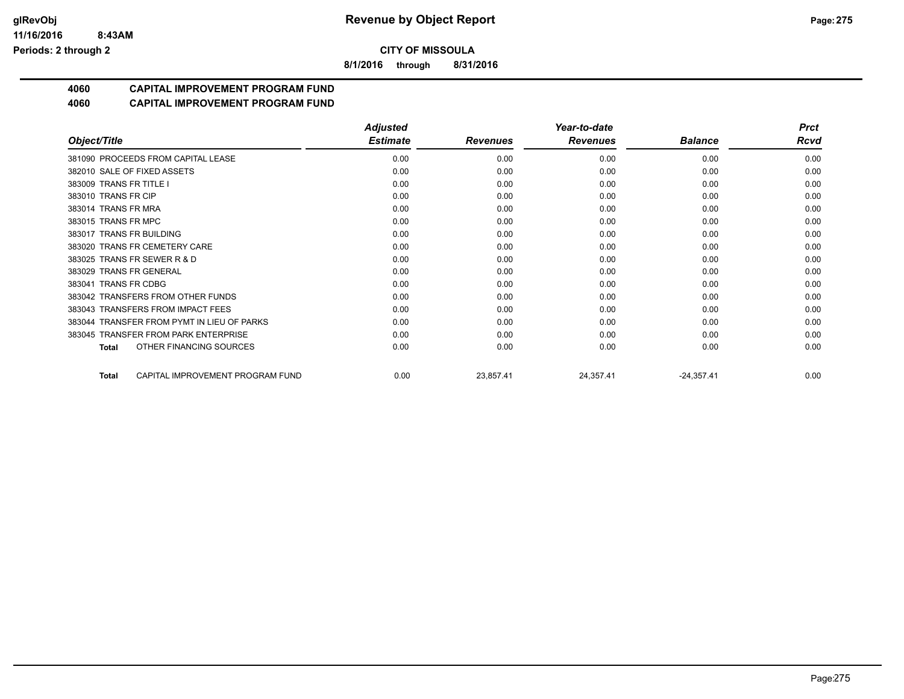**8:43AM**

**CITY OF MISSOULA**

**8/1/2016 through 8/31/2016**

# **4060 CAPITAL IMPROVEMENT PROGRAM FUND**

|                                                  | <b>Adjusted</b> |                 | Year-to-date    |                | Prct<br><b>Rcvd</b> |
|--------------------------------------------------|-----------------|-----------------|-----------------|----------------|---------------------|
| Object/Title                                     | <b>Estimate</b> | <b>Revenues</b> | <b>Revenues</b> | <b>Balance</b> |                     |
| 381090 PROCEEDS FROM CAPITAL LEASE               | 0.00            | 0.00            | 0.00            | 0.00           | 0.00                |
| 382010 SALE OF FIXED ASSETS                      | 0.00            | 0.00            | 0.00            | 0.00           | 0.00                |
| 383009 TRANS FR TITLE I                          | 0.00            | 0.00            | 0.00            | 0.00           | 0.00                |
| 383010 TRANS FR CIP                              | 0.00            | 0.00            | 0.00            | 0.00           | 0.00                |
| 383014 TRANS FR MRA                              | 0.00            | 0.00            | 0.00            | 0.00           | 0.00                |
| 383015 TRANS FR MPC                              | 0.00            | 0.00            | 0.00            | 0.00           | 0.00                |
| 383017 TRANS FR BUILDING                         | 0.00            | 0.00            | 0.00            | 0.00           | 0.00                |
| 383020 TRANS FR CEMETERY CARE                    | 0.00            | 0.00            | 0.00            | 0.00           | 0.00                |
| 383025 TRANS FR SEWER R & D                      | 0.00            | 0.00            | 0.00            | 0.00           | 0.00                |
| 383029 TRANS FR GENERAL                          | 0.00            | 0.00            | 0.00            | 0.00           | 0.00                |
| 383041 TRANS FR CDBG                             | 0.00            | 0.00            | 0.00            | 0.00           | 0.00                |
| 383042 TRANSFERS FROM OTHER FUNDS                | 0.00            | 0.00            | 0.00            | 0.00           | 0.00                |
| 383043 TRANSFERS FROM IMPACT FEES                | 0.00            | 0.00            | 0.00            | 0.00           | 0.00                |
| 383044 TRANSFER FROM PYMT IN LIEU OF PARKS       | 0.00            | 0.00            | 0.00            | 0.00           | 0.00                |
| 383045 TRANSFER FROM PARK ENTERPRISE             | 0.00            | 0.00            | 0.00            | 0.00           | 0.00                |
| OTHER FINANCING SOURCES<br><b>Total</b>          | 0.00            | 0.00            | 0.00            | 0.00           | 0.00                |
| CAPITAL IMPROVEMENT PROGRAM FUND<br><b>Total</b> | 0.00            | 23,857.41       | 24,357.41       | $-24,357.41$   | 0.00                |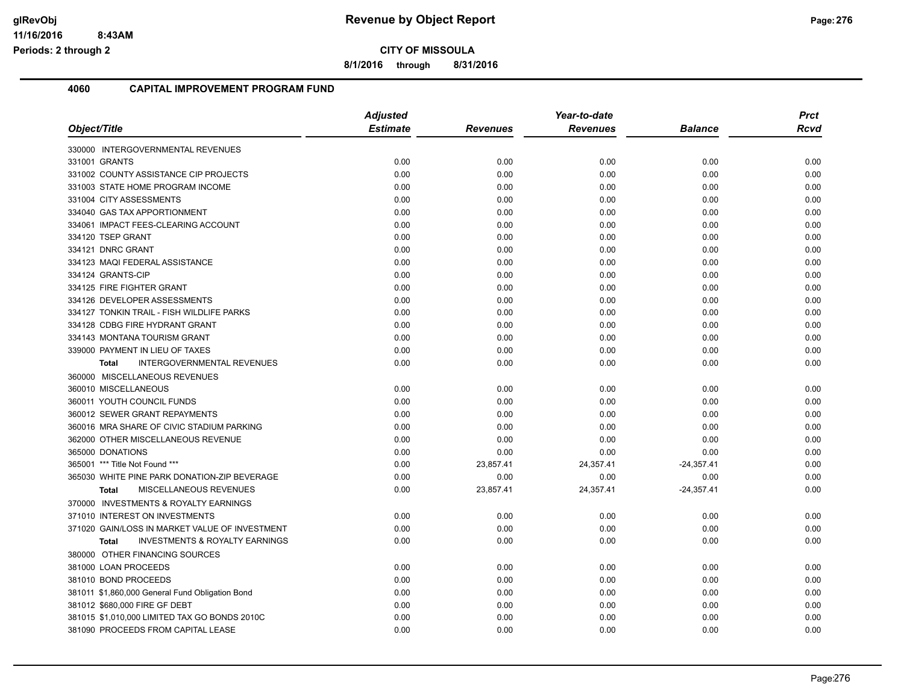**8:43AM**

**CITY OF MISSOULA**

**8/1/2016 through 8/31/2016**

|                                                           | <b>Adjusted</b> |                 | Year-to-date    |                | <b>Prct</b> |
|-----------------------------------------------------------|-----------------|-----------------|-----------------|----------------|-------------|
| Object/Title                                              | <b>Estimate</b> | <b>Revenues</b> | <b>Revenues</b> | <b>Balance</b> | <b>Rcvd</b> |
| 330000 INTERGOVERNMENTAL REVENUES                         |                 |                 |                 |                |             |
| 331001 GRANTS                                             | 0.00            | 0.00            | 0.00            | 0.00           | 0.00        |
| 331002 COUNTY ASSISTANCE CIP PROJECTS                     | 0.00            | 0.00            | 0.00            | 0.00           | 0.00        |
| 331003 STATE HOME PROGRAM INCOME                          | 0.00            | 0.00            | 0.00            | 0.00           | 0.00        |
| 331004 CITY ASSESSMENTS                                   | 0.00            | 0.00            | 0.00            | 0.00           | 0.00        |
| 334040 GAS TAX APPORTIONMENT                              | 0.00            | 0.00            | 0.00            | 0.00           | 0.00        |
| 334061 IMPACT FEES-CLEARING ACCOUNT                       | 0.00            | 0.00            | 0.00            | 0.00           | 0.00        |
| 334120 TSEP GRANT                                         | 0.00            | 0.00            | 0.00            | 0.00           | 0.00        |
| 334121 DNRC GRANT                                         | 0.00            | 0.00            | 0.00            | 0.00           | 0.00        |
| 334123 MAQI FEDERAL ASSISTANCE                            | 0.00            | 0.00            | 0.00            | 0.00           | 0.00        |
| 334124 GRANTS-CIP                                         | 0.00            | 0.00            | 0.00            | 0.00           | 0.00        |
| 334125 FIRE FIGHTER GRANT                                 | 0.00            | 0.00            | 0.00            | 0.00           | 0.00        |
| 334126 DEVELOPER ASSESSMENTS                              | 0.00            | 0.00            | 0.00            | 0.00           | 0.00        |
| 334127 TONKIN TRAIL - FISH WILDLIFE PARKS                 | 0.00            | 0.00            | 0.00            | 0.00           | 0.00        |
| 334128 CDBG FIRE HYDRANT GRANT                            | 0.00            | 0.00            | 0.00            | 0.00           | 0.00        |
| 334143 MONTANA TOURISM GRANT                              | 0.00            | 0.00            | 0.00            | 0.00           | 0.00        |
| 339000 PAYMENT IN LIEU OF TAXES                           | 0.00            | 0.00            | 0.00            | 0.00           | 0.00        |
| <b>INTERGOVERNMENTAL REVENUES</b><br><b>Total</b>         | 0.00            | 0.00            | 0.00            | 0.00           | 0.00        |
| 360000 MISCELLANEOUS REVENUES                             |                 |                 |                 |                |             |
| 360010 MISCELLANEOUS                                      | 0.00            | 0.00            | 0.00            | 0.00           | 0.00        |
| 360011 YOUTH COUNCIL FUNDS                                | 0.00            | 0.00            | 0.00            | 0.00           | 0.00        |
| 360012 SEWER GRANT REPAYMENTS                             | 0.00            | 0.00            | 0.00            | 0.00           | 0.00        |
| 360016 MRA SHARE OF CIVIC STADIUM PARKING                 | 0.00            | 0.00            | 0.00            | 0.00           | 0.00        |
| 362000 OTHER MISCELLANEOUS REVENUE                        | 0.00            | 0.00            | 0.00            | 0.00           | 0.00        |
| 365000 DONATIONS                                          | 0.00            | 0.00            | 0.00            | 0.00           | 0.00        |
| 365001 *** Title Not Found ***                            | 0.00            | 23,857.41       | 24,357.41       | $-24,357.41$   | 0.00        |
| 365030 WHITE PINE PARK DONATION-ZIP BEVERAGE              | 0.00            | 0.00            | 0.00            | 0.00           | 0.00        |
| MISCELLANEOUS REVENUES<br><b>Total</b>                    | 0.00            | 23,857.41       | 24,357.41       | $-24,357.41$   | 0.00        |
| 370000 INVESTMENTS & ROYALTY EARNINGS                     |                 |                 |                 |                |             |
| 371010 INTEREST ON INVESTMENTS                            | 0.00            | 0.00            | 0.00            | 0.00           | 0.00        |
| 371020 GAIN/LOSS IN MARKET VALUE OF INVESTMENT            | 0.00            | 0.00            | 0.00            | 0.00           | 0.00        |
| <b>INVESTMENTS &amp; ROYALTY EARNINGS</b><br><b>Total</b> | 0.00            | 0.00            | 0.00            | 0.00           | 0.00        |
| 380000 OTHER FINANCING SOURCES                            |                 |                 |                 |                |             |
| 381000 LOAN PROCEEDS                                      | 0.00            | 0.00            | 0.00            | 0.00           | 0.00        |
| 381010 BOND PROCEEDS                                      | 0.00            | 0.00            | 0.00            | 0.00           | 0.00        |
| 381011 \$1,860,000 General Fund Obligation Bond           | 0.00            | 0.00            | 0.00            | 0.00           | 0.00        |
| 381012 \$680,000 FIRE GF DEBT                             | 0.00            | 0.00            | 0.00            | 0.00           | 0.00        |
| 381015 \$1,010,000 LIMITED TAX GO BONDS 2010C             | 0.00            | 0.00            | 0.00            | 0.00           | 0.00        |
| 381090 PROCEEDS FROM CAPITAL LEASE                        | 0.00            | 0.00            | 0.00            | 0.00           | 0.00        |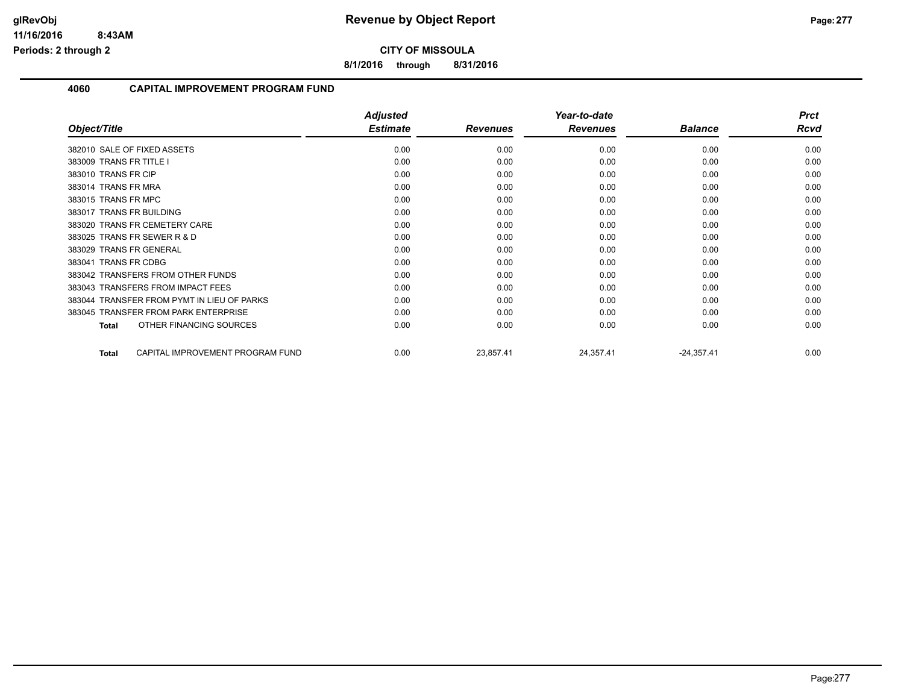**8:43AM**

**CITY OF MISSOULA**

**8/1/2016 through 8/31/2016**

|                                            | <b>Adjusted</b> |                 | Year-to-date    |                | <b>Prct</b> |
|--------------------------------------------|-----------------|-----------------|-----------------|----------------|-------------|
| Object/Title                               | <b>Estimate</b> | <b>Revenues</b> | <b>Revenues</b> | <b>Balance</b> | Rcvd        |
| 382010 SALE OF FIXED ASSETS                | 0.00            | 0.00            | 0.00            | 0.00           | 0.00        |
| 383009 TRANS FR TITLE I                    | 0.00            | 0.00            | 0.00            | 0.00           | 0.00        |
| 383010 TRANS FR CIP                        | 0.00            | 0.00            | 0.00            | 0.00           | 0.00        |
| 383014 TRANS FR MRA                        | 0.00            | 0.00            | 0.00            | 0.00           | 0.00        |
| 383015 TRANS FR MPC                        | 0.00            | 0.00            | 0.00            | 0.00           | 0.00        |
| 383017 TRANS FR BUILDING                   | 0.00            | 0.00            | 0.00            | 0.00           | 0.00        |
| 383020 TRANS FR CEMETERY CARE              | 0.00            | 0.00            | 0.00            | 0.00           | 0.00        |
| 383025 TRANS FR SEWER R & D                | 0.00            | 0.00            | 0.00            | 0.00           | 0.00        |
| 383029 TRANS FR GENERAL                    | 0.00            | 0.00            | 0.00            | 0.00           | 0.00        |
| 383041 TRANS FR CDBG                       | 0.00            | 0.00            | 0.00            | 0.00           | 0.00        |
| 383042 TRANSFERS FROM OTHER FUNDS          | 0.00            | 0.00            | 0.00            | 0.00           | 0.00        |
| 383043 TRANSFERS FROM IMPACT FEES          | 0.00            | 0.00            | 0.00            | 0.00           | 0.00        |
| 383044 TRANSFER FROM PYMT IN LIEU OF PARKS | 0.00            | 0.00            | 0.00            | 0.00           | 0.00        |
| 383045 TRANSFER FROM PARK ENTERPRISE       | 0.00            | 0.00            | 0.00            | 0.00           | 0.00        |
| OTHER FINANCING SOURCES<br><b>Total</b>    | 0.00            | 0.00            | 0.00            | 0.00           | 0.00        |
| CAPITAL IMPROVEMENT PROGRAM FUND<br>Total  | 0.00            | 23,857.41       | 24,357.41       | $-24,357.41$   | 0.00        |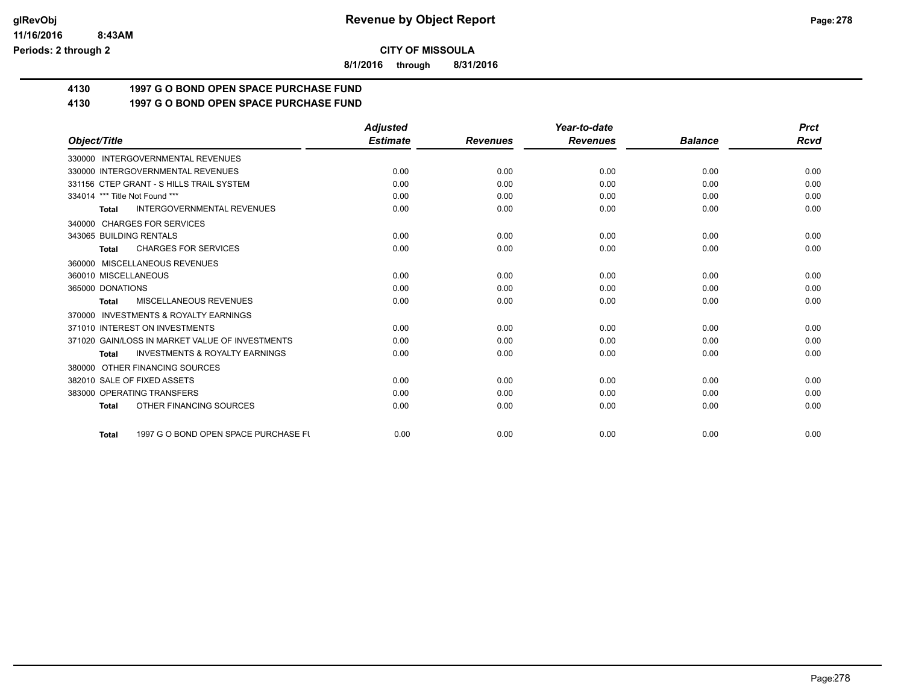**11/16/2016 8:43AM Periods: 2 through 2**

**CITY OF MISSOULA**

**8/1/2016 through 8/31/2016**

# **4130 1997 G O BOND OPEN SPACE PURCHASE FUND**

### **4130 1997 G O BOND OPEN SPACE PURCHASE FUND**

|                                                           | <b>Adjusted</b> |                 | Year-to-date    |                | <b>Prct</b> |
|-----------------------------------------------------------|-----------------|-----------------|-----------------|----------------|-------------|
| Object/Title                                              | <b>Estimate</b> | <b>Revenues</b> | <b>Revenues</b> | <b>Balance</b> | Rcvd        |
| 330000 INTERGOVERNMENTAL REVENUES                         |                 |                 |                 |                |             |
| 330000 INTERGOVERNMENTAL REVENUES                         | 0.00            | 0.00            | 0.00            | 0.00           | 0.00        |
| 331156 CTEP GRANT - S HILLS TRAIL SYSTEM                  | 0.00            | 0.00            | 0.00            | 0.00           | 0.00        |
| 334014 *** Title Not Found ***                            | 0.00            | 0.00            | 0.00            | 0.00           | 0.00        |
| <b>INTERGOVERNMENTAL REVENUES</b><br><b>Total</b>         | 0.00            | 0.00            | 0.00            | 0.00           | 0.00        |
| 340000 CHARGES FOR SERVICES                               |                 |                 |                 |                |             |
| 343065 BUILDING RENTALS                                   | 0.00            | 0.00            | 0.00            | 0.00           | 0.00        |
| <b>CHARGES FOR SERVICES</b><br><b>Total</b>               | 0.00            | 0.00            | 0.00            | 0.00           | 0.00        |
| 360000 MISCELLANEOUS REVENUES                             |                 |                 |                 |                |             |
| 360010 MISCELLANEOUS                                      | 0.00            | 0.00            | 0.00            | 0.00           | 0.00        |
| 365000 DONATIONS                                          | 0.00            | 0.00            | 0.00            | 0.00           | 0.00        |
| MISCELLANEOUS REVENUES<br><b>Total</b>                    | 0.00            | 0.00            | 0.00            | 0.00           | 0.00        |
| <b>INVESTMENTS &amp; ROYALTY EARNINGS</b><br>370000       |                 |                 |                 |                |             |
| 371010 INTEREST ON INVESTMENTS                            | 0.00            | 0.00            | 0.00            | 0.00           | 0.00        |
| 371020 GAIN/LOSS IN MARKET VALUE OF INVESTMENTS           | 0.00            | 0.00            | 0.00            | 0.00           | 0.00        |
| <b>INVESTMENTS &amp; ROYALTY EARNINGS</b><br><b>Total</b> | 0.00            | 0.00            | 0.00            | 0.00           | 0.00        |
| OTHER FINANCING SOURCES<br>380000                         |                 |                 |                 |                |             |
| 382010 SALE OF FIXED ASSETS                               | 0.00            | 0.00            | 0.00            | 0.00           | 0.00        |
| 383000 OPERATING TRANSFERS                                | 0.00            | 0.00            | 0.00            | 0.00           | 0.00        |
| OTHER FINANCING SOURCES<br><b>Total</b>                   | 0.00            | 0.00            | 0.00            | 0.00           | 0.00        |
| 1997 G O BOND OPEN SPACE PURCHASE FU<br><b>Total</b>      | 0.00            | 0.00            | 0.00            | 0.00           | 0.00        |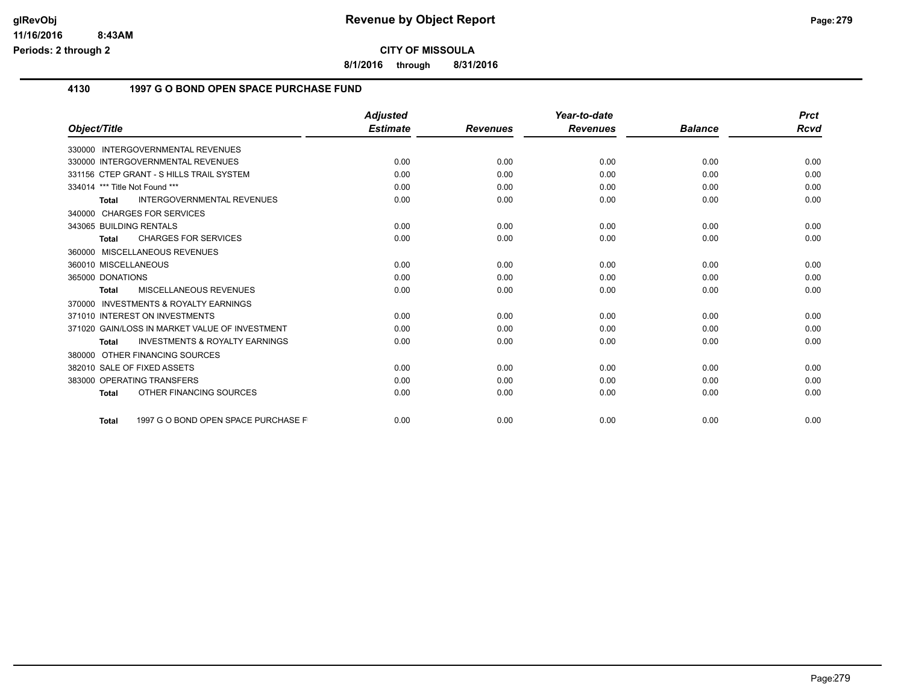**8/1/2016 through 8/31/2016**

#### **4130 1997 G O BOND OPEN SPACE PURCHASE FUND**

|                                                     | <b>Adjusted</b> |                 | Year-to-date    |                | <b>Prct</b> |
|-----------------------------------------------------|-----------------|-----------------|-----------------|----------------|-------------|
| Object/Title                                        | <b>Estimate</b> | <b>Revenues</b> | <b>Revenues</b> | <b>Balance</b> | <b>Rcvd</b> |
| 330000 INTERGOVERNMENTAL REVENUES                   |                 |                 |                 |                |             |
| 330000 INTERGOVERNMENTAL REVENUES                   | 0.00            | 0.00            | 0.00            | 0.00           | 0.00        |
| 331156 CTEP GRANT - S HILLS TRAIL SYSTEM            | 0.00            | 0.00            | 0.00            | 0.00           | 0.00        |
| 334014 *** Title Not Found ***                      | 0.00            | 0.00            | 0.00            | 0.00           | 0.00        |
| <b>INTERGOVERNMENTAL REVENUES</b><br>Total          | 0.00            | 0.00            | 0.00            | 0.00           | 0.00        |
| 340000 CHARGES FOR SERVICES                         |                 |                 |                 |                |             |
| 343065 BUILDING RENTALS                             | 0.00            | 0.00            | 0.00            | 0.00           | 0.00        |
| <b>CHARGES FOR SERVICES</b><br><b>Total</b>         | 0.00            | 0.00            | 0.00            | 0.00           | 0.00        |
| 360000 MISCELLANEOUS REVENUES                       |                 |                 |                 |                |             |
| 360010 MISCELLANEOUS                                | 0.00            | 0.00            | 0.00            | 0.00           | 0.00        |
| 365000 DONATIONS                                    | 0.00            | 0.00            | 0.00            | 0.00           | 0.00        |
| MISCELLANEOUS REVENUES<br><b>Total</b>              | 0.00            | 0.00            | 0.00            | 0.00           | 0.00        |
| 370000 INVESTMENTS & ROYALTY EARNINGS               |                 |                 |                 |                |             |
| 371010 INTEREST ON INVESTMENTS                      | 0.00            | 0.00            | 0.00            | 0.00           | 0.00        |
| 371020 GAIN/LOSS IN MARKET VALUE OF INVESTMENT      | 0.00            | 0.00            | 0.00            | 0.00           | 0.00        |
| <b>INVESTMENTS &amp; ROYALTY EARNINGS</b><br>Total  | 0.00            | 0.00            | 0.00            | 0.00           | 0.00        |
| 380000 OTHER FINANCING SOURCES                      |                 |                 |                 |                |             |
| 382010 SALE OF FIXED ASSETS                         | 0.00            | 0.00            | 0.00            | 0.00           | 0.00        |
| 383000 OPERATING TRANSFERS                          | 0.00            | 0.00            | 0.00            | 0.00           | 0.00        |
| OTHER FINANCING SOURCES<br>Total                    | 0.00            | 0.00            | 0.00            | 0.00           | 0.00        |
| 1997 G O BOND OPEN SPACE PURCHASE F<br><b>Total</b> | 0.00            | 0.00            | 0.00            | 0.00           | 0.00        |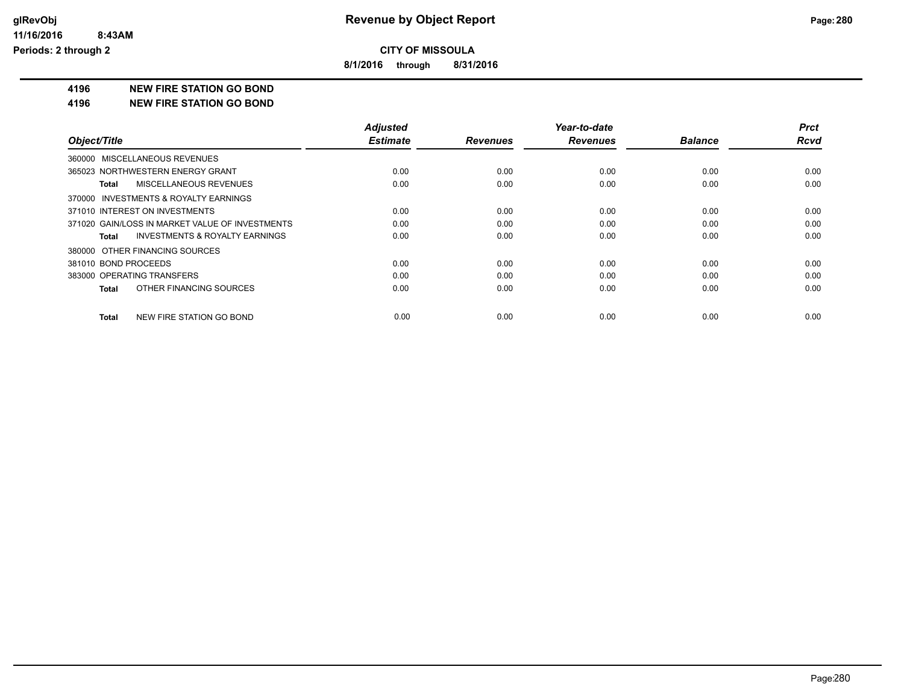**8/1/2016 through 8/31/2016**

#### **4196 NEW FIRE STATION GO BOND**

#### **4196 NEW FIRE STATION GO BOND**

|                                                    | <b>Adjusted</b> |                 | Year-to-date    |                | <b>Prct</b> |
|----------------------------------------------------|-----------------|-----------------|-----------------|----------------|-------------|
| Object/Title                                       | <b>Estimate</b> | <b>Revenues</b> | <b>Revenues</b> | <b>Balance</b> | <b>Rcvd</b> |
| 360000 MISCELLANEOUS REVENUES                      |                 |                 |                 |                |             |
| 365023 NORTHWESTERN ENERGY GRANT                   | 0.00            | 0.00            | 0.00            | 0.00           | 0.00        |
| <b>MISCELLANEOUS REVENUES</b><br>Total             | 0.00            | 0.00            | 0.00            | 0.00           | 0.00        |
| 370000 INVESTMENTS & ROYALTY EARNINGS              |                 |                 |                 |                |             |
| 371010 INTEREST ON INVESTMENTS                     | 0.00            | 0.00            | 0.00            | 0.00           | 0.00        |
| 371020 GAIN/LOSS IN MARKET VALUE OF INVESTMENTS    | 0.00            | 0.00            | 0.00            | 0.00           | 0.00        |
| <b>INVESTMENTS &amp; ROYALTY EARNINGS</b><br>Total | 0.00            | 0.00            | 0.00            | 0.00           | 0.00        |
| 380000 OTHER FINANCING SOURCES                     |                 |                 |                 |                |             |
| 381010 BOND PROCEEDS                               | 0.00            | 0.00            | 0.00            | 0.00           | 0.00        |
| 383000 OPERATING TRANSFERS                         | 0.00            | 0.00            | 0.00            | 0.00           | 0.00        |
| OTHER FINANCING SOURCES<br>Total                   | 0.00            | 0.00            | 0.00            | 0.00           | 0.00        |
| NEW FIRE STATION GO BOND<br>Total                  | 0.00            | 0.00            | 0.00            | 0.00           | 0.00        |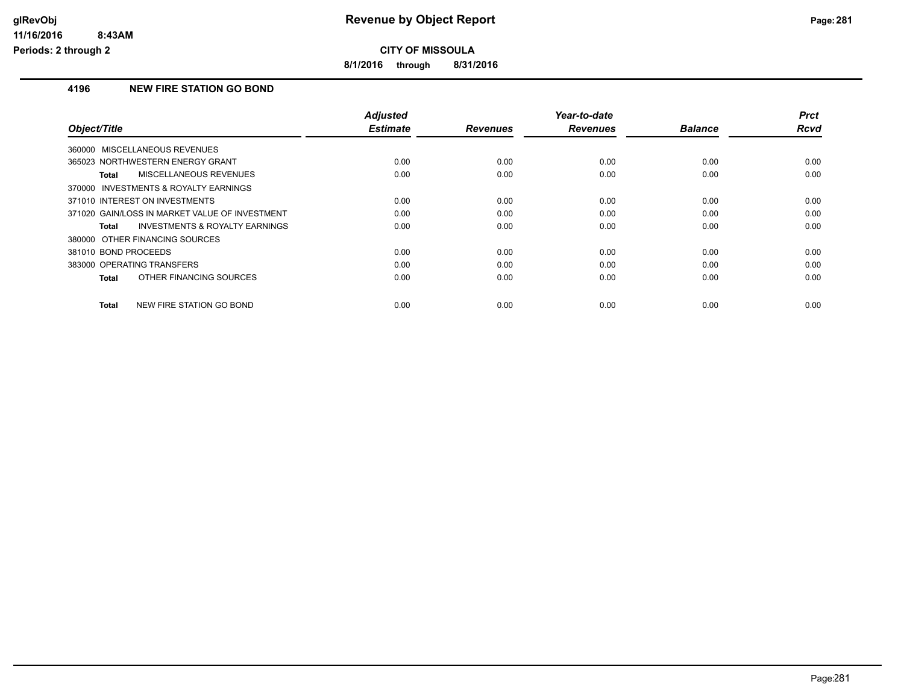**CITY OF MISSOULA**

**8/1/2016 through 8/31/2016**

#### **4196 NEW FIRE STATION GO BOND**

 **8:43AM**

| Object/Title                                       | <b>Adjusted</b><br><b>Estimate</b> | <b>Revenues</b> | Year-to-date<br><b>Revenues</b> | <b>Balance</b> | <b>Prct</b><br><b>Rcvd</b> |
|----------------------------------------------------|------------------------------------|-----------------|---------------------------------|----------------|----------------------------|
| 360000 MISCELLANEOUS REVENUES                      |                                    |                 |                                 |                |                            |
|                                                    |                                    |                 |                                 |                |                            |
| 365023 NORTHWESTERN ENERGY GRANT                   | 0.00                               | 0.00            | 0.00                            | 0.00           | 0.00                       |
| MISCELLANEOUS REVENUES<br><b>Total</b>             | 0.00                               | 0.00            | 0.00                            | 0.00           | 0.00                       |
| 370000 INVESTMENTS & ROYALTY EARNINGS              |                                    |                 |                                 |                |                            |
| 371010 INTEREST ON INVESTMENTS                     | 0.00                               | 0.00            | 0.00                            | 0.00           | 0.00                       |
| 371020 GAIN/LOSS IN MARKET VALUE OF INVESTMENT     | 0.00                               | 0.00            | 0.00                            | 0.00           | 0.00                       |
| <b>INVESTMENTS &amp; ROYALTY EARNINGS</b><br>Total | 0.00                               | 0.00            | 0.00                            | 0.00           | 0.00                       |
| 380000 OTHER FINANCING SOURCES                     |                                    |                 |                                 |                |                            |
| 381010 BOND PROCEEDS                               | 0.00                               | 0.00            | 0.00                            | 0.00           | 0.00                       |
| 383000 OPERATING TRANSFERS                         | 0.00                               | 0.00            | 0.00                            | 0.00           | 0.00                       |
| OTHER FINANCING SOURCES<br><b>Total</b>            | 0.00                               | 0.00            | 0.00                            | 0.00           | 0.00                       |
| NEW FIRE STATION GO BOND<br><b>Total</b>           | 0.00                               | 0.00            | 0.00                            | 0.00           | 0.00                       |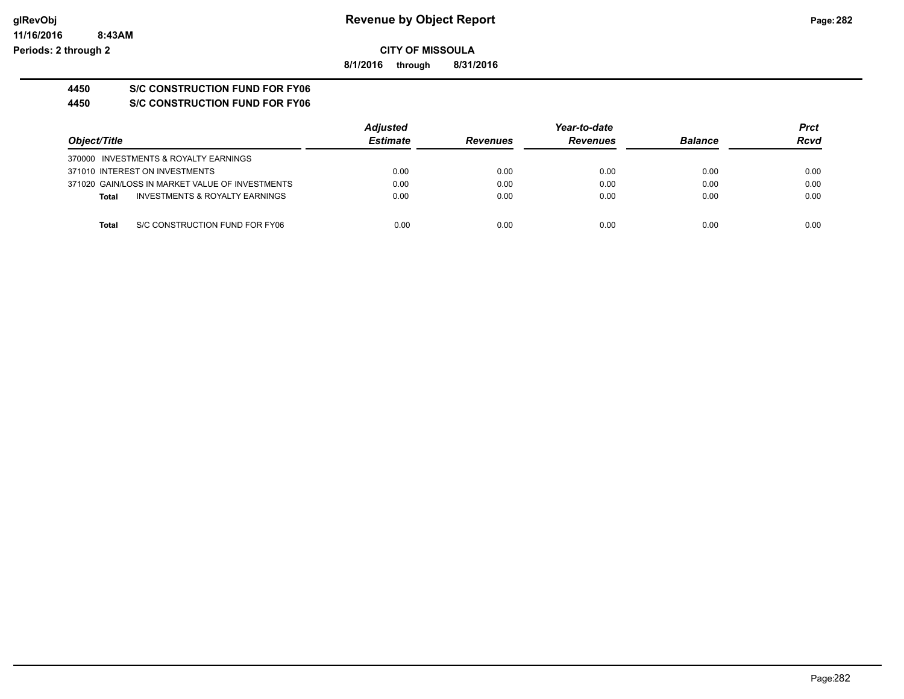**11/16/2016**

**Periods: 2 through 2**

 **8:43AM**

**CITY OF MISSOULA**

**8/1/2016 through 8/31/2016**

# **4450 S/C CONSTRUCTION FUND FOR FY06**

**4450 S/C CONSTRUCTION FUND FOR FY06**

|                                                 | <b>Adjusted</b> |                 | Year-to-date    |                | <b>Prct</b> |
|-------------------------------------------------|-----------------|-----------------|-----------------|----------------|-------------|
| Object/Title                                    | <b>Estimate</b> | <b>Revenues</b> | <b>Revenues</b> | <b>Balance</b> | <b>Rcvd</b> |
| 370000 INVESTMENTS & ROYALTY EARNINGS           |                 |                 |                 |                |             |
| 371010 INTEREST ON INVESTMENTS                  | 0.00            | 0.00            | 0.00            | 0.00           | 0.00        |
| 371020 GAIN/LOSS IN MARKET VALUE OF INVESTMENTS | 0.00            | 0.00            | 0.00            | 0.00           | 0.00        |
| INVESTMENTS & ROYALTY EARNINGS<br><b>Total</b>  | 0.00            | 0.00            | 0.00            | 0.00           | 0.00        |
|                                                 |                 |                 |                 |                |             |
| S/C CONSTRUCTION FUND FOR FY06<br><b>Total</b>  | 0.00            | 0.00            | 0.00            | 0.00           | 0.00        |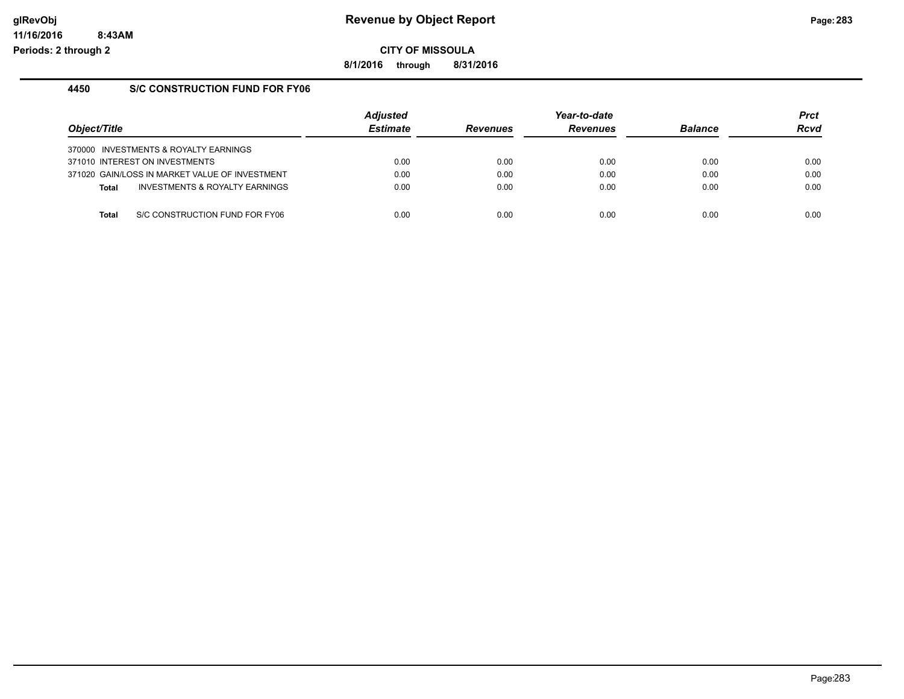**8:43AM**

**CITY OF MISSOULA**

**8/1/2016 through 8/31/2016**

#### **4450 S/C CONSTRUCTION FUND FOR FY06**

| Object/Title                   |                                                | <b>Adjusted</b><br><b>Estimate</b> | <b>Revenues</b> | Year-to-date<br><b>Revenues</b> | <b>Balance</b> | <b>Prct</b><br><b>Rcvd</b> |
|--------------------------------|------------------------------------------------|------------------------------------|-----------------|---------------------------------|----------------|----------------------------|
|                                | 370000 INVESTMENTS & ROYALTY EARNINGS          |                                    |                 |                                 |                |                            |
| 371010 INTEREST ON INVESTMENTS |                                                | 0.00                               | 0.00            | 0.00                            | 0.00           | 0.00                       |
|                                | 371020 GAIN/LOSS IN MARKET VALUE OF INVESTMENT | 0.00                               | 0.00            | 0.00                            | 0.00           | 0.00                       |
| Total                          | INVESTMENTS & ROYALTY EARNINGS                 | 0.00                               | 0.00            | 0.00                            | 0.00           | 0.00                       |
|                                |                                                |                                    |                 |                                 |                |                            |
| Total                          | S/C CONSTRUCTION FUND FOR FY06                 | 0.00                               | 0.00            | 0.00                            | 0.00           | 0.00                       |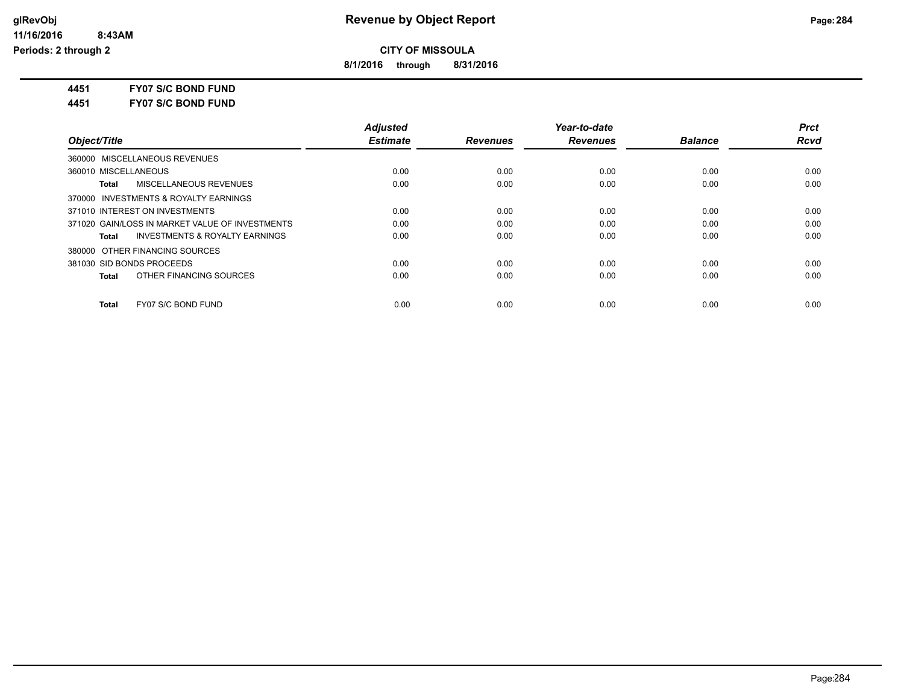**8/1/2016 through 8/31/2016**

**4451 FY07 S/C BOND FUND**

**4451 FY07 S/C BOND FUND**

|                                                    | <b>Adjusted</b> |                 | Year-to-date    |                | <b>Prct</b> |
|----------------------------------------------------|-----------------|-----------------|-----------------|----------------|-------------|
| Object/Title                                       | <b>Estimate</b> | <b>Revenues</b> | <b>Revenues</b> | <b>Balance</b> | <b>Rcvd</b> |
| 360000 MISCELLANEOUS REVENUES                      |                 |                 |                 |                |             |
| 360010 MISCELLANEOUS                               | 0.00            | 0.00            | 0.00            | 0.00           | 0.00        |
| MISCELLANEOUS REVENUES<br>Total                    | 0.00            | 0.00            | 0.00            | 0.00           | 0.00        |
| 370000 INVESTMENTS & ROYALTY EARNINGS              |                 |                 |                 |                |             |
| 371010 INTEREST ON INVESTMENTS                     | 0.00            | 0.00            | 0.00            | 0.00           | 0.00        |
| 371020 GAIN/LOSS IN MARKET VALUE OF INVESTMENTS    | 0.00            | 0.00            | 0.00            | 0.00           | 0.00        |
| <b>INVESTMENTS &amp; ROYALTY EARNINGS</b><br>Total | 0.00            | 0.00            | 0.00            | 0.00           | 0.00        |
| 380000 OTHER FINANCING SOURCES                     |                 |                 |                 |                |             |
| 381030 SID BONDS PROCEEDS                          | 0.00            | 0.00            | 0.00            | 0.00           | 0.00        |
| OTHER FINANCING SOURCES<br>Total                   | 0.00            | 0.00            | 0.00            | 0.00           | 0.00        |
| FY07 S/C BOND FUND<br><b>Total</b>                 | 0.00            | 0.00            | 0.00            | 0.00           | 0.00        |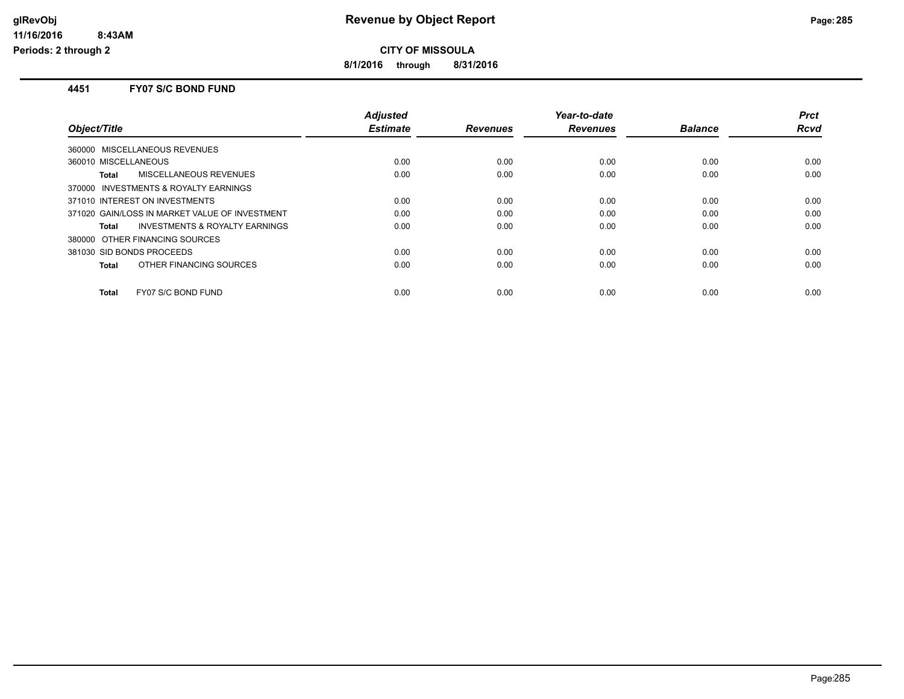**11/16/2016 8:43AM Periods: 2 through 2**

#### **CITY OF MISSOULA**

**8/1/2016 through 8/31/2016**

#### **4451 FY07 S/C BOND FUND**

|                                                    | <b>Adjusted</b> |                 | Year-to-date    |                | <b>Prct</b> |
|----------------------------------------------------|-----------------|-----------------|-----------------|----------------|-------------|
| Object/Title                                       | <b>Estimate</b> | <b>Revenues</b> | <b>Revenues</b> | <b>Balance</b> | <b>Rcvd</b> |
| 360000 MISCELLANEOUS REVENUES                      |                 |                 |                 |                |             |
| 360010 MISCELLANEOUS                               | 0.00            | 0.00            | 0.00            | 0.00           | 0.00        |
| MISCELLANEOUS REVENUES<br>Total                    | 0.00            | 0.00            | 0.00            | 0.00           | 0.00        |
| 370000 INVESTMENTS & ROYALTY EARNINGS              |                 |                 |                 |                |             |
| 371010 INTEREST ON INVESTMENTS                     | 0.00            | 0.00            | 0.00            | 0.00           | 0.00        |
| 371020 GAIN/LOSS IN MARKET VALUE OF INVESTMENT     | 0.00            | 0.00            | 0.00            | 0.00           | 0.00        |
| <b>INVESTMENTS &amp; ROYALTY EARNINGS</b><br>Total | 0.00            | 0.00            | 0.00            | 0.00           | 0.00        |
| 380000 OTHER FINANCING SOURCES                     |                 |                 |                 |                |             |
| 381030 SID BONDS PROCEEDS                          | 0.00            | 0.00            | 0.00            | 0.00           | 0.00        |
| OTHER FINANCING SOURCES<br>Total                   | 0.00            | 0.00            | 0.00            | 0.00           | 0.00        |
|                                                    |                 |                 |                 |                |             |
| FY07 S/C BOND FUND<br>Total                        | 0.00            | 0.00            | 0.00            | 0.00           | 0.00        |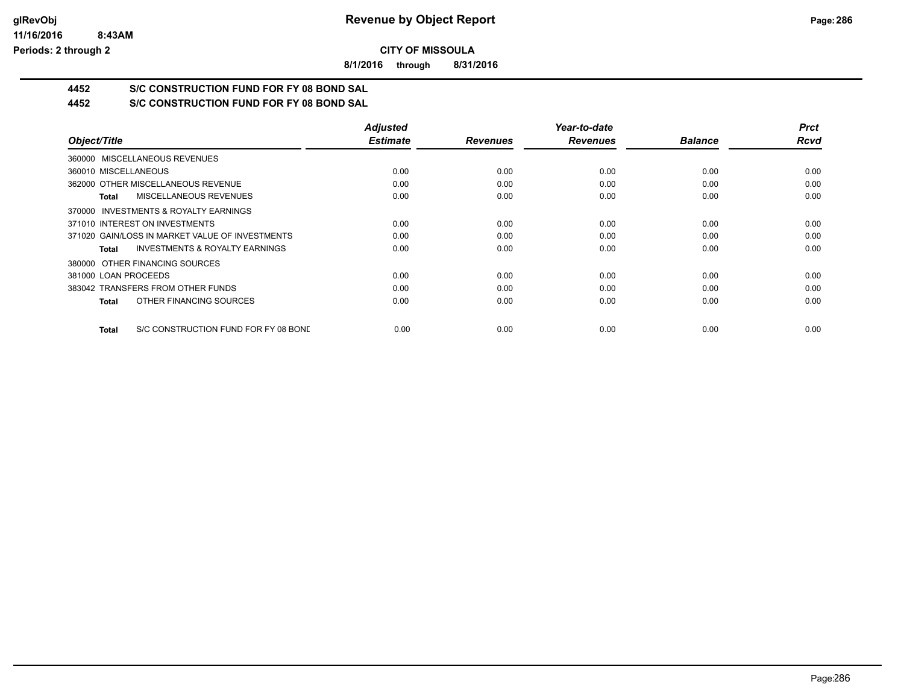**11/16/2016**

 **8:43AM Periods: 2 through 2**

**CITY OF MISSOULA**

**8/1/2016 through 8/31/2016**

# **4452 S/C CONSTRUCTION FUND FOR FY 08 BOND SAL**

# **4452 S/C CONSTRUCTION FUND FOR FY 08 BOND SAL**

|                                                      | <b>Adjusted</b> |                 | Year-to-date    |                | <b>Prct</b> |
|------------------------------------------------------|-----------------|-----------------|-----------------|----------------|-------------|
| Object/Title                                         | <b>Estimate</b> | <b>Revenues</b> | <b>Revenues</b> | <b>Balance</b> | Rcvd        |
| 360000 MISCELLANEOUS REVENUES                        |                 |                 |                 |                |             |
| 360010 MISCELLANEOUS                                 | 0.00            | 0.00            | 0.00            | 0.00           | 0.00        |
| 362000 OTHER MISCELLANEOUS REVENUE                   | 0.00            | 0.00            | 0.00            | 0.00           | 0.00        |
| MISCELLANEOUS REVENUES<br><b>Total</b>               | 0.00            | 0.00            | 0.00            | 0.00           | 0.00        |
| INVESTMENTS & ROYALTY EARNINGS<br>370000             |                 |                 |                 |                |             |
| 371010 INTEREST ON INVESTMENTS                       | 0.00            | 0.00            | 0.00            | 0.00           | 0.00        |
| 371020 GAIN/LOSS IN MARKET VALUE OF INVESTMENTS      | 0.00            | 0.00            | 0.00            | 0.00           | 0.00        |
| <b>INVESTMENTS &amp; ROYALTY EARNINGS</b><br>Total   | 0.00            | 0.00            | 0.00            | 0.00           | 0.00        |
| OTHER FINANCING SOURCES<br>380000                    |                 |                 |                 |                |             |
| 381000 LOAN PROCEEDS                                 | 0.00            | 0.00            | 0.00            | 0.00           | 0.00        |
| 383042 TRANSFERS FROM OTHER FUNDS                    | 0.00            | 0.00            | 0.00            | 0.00           | 0.00        |
| OTHER FINANCING SOURCES<br><b>Total</b>              | 0.00            | 0.00            | 0.00            | 0.00           | 0.00        |
| S/C CONSTRUCTION FUND FOR FY 08 BONE<br><b>Total</b> | 0.00            | 0.00            | 0.00            | 0.00           | 0.00        |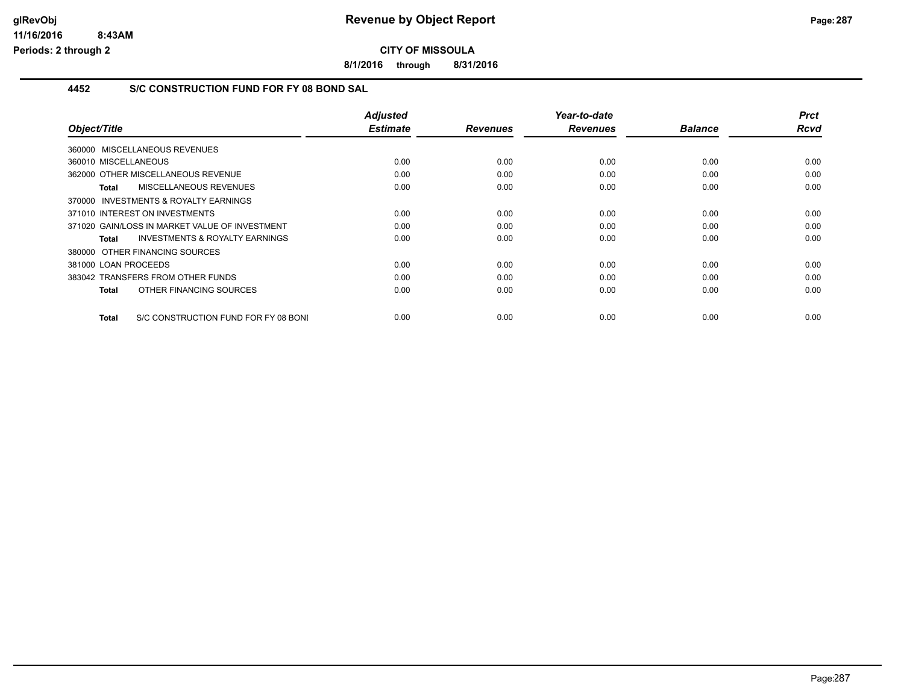**8/1/2016 through 8/31/2016**

#### **4452 S/C CONSTRUCTION FUND FOR FY 08 BOND SAL**

| Object/Title                                         | <b>Adjusted</b><br><b>Estimate</b> | <b>Revenues</b> | Year-to-date<br><b>Revenues</b> | <b>Balance</b> | <b>Prct</b><br><b>Rcvd</b> |
|------------------------------------------------------|------------------------------------|-----------------|---------------------------------|----------------|----------------------------|
|                                                      |                                    |                 |                                 |                |                            |
| 360000 MISCELLANEOUS REVENUES                        |                                    |                 |                                 |                |                            |
| 360010 MISCELLANEOUS                                 | 0.00                               | 0.00            | 0.00                            | 0.00           | 0.00                       |
| 362000 OTHER MISCELLANEOUS REVENUE                   | 0.00                               | 0.00            | 0.00                            | 0.00           | 0.00                       |
| MISCELLANEOUS REVENUES<br>Total                      | 0.00                               | 0.00            | 0.00                            | 0.00           | 0.00                       |
| 370000 INVESTMENTS & ROYALTY EARNINGS                |                                    |                 |                                 |                |                            |
| 371010 INTEREST ON INVESTMENTS                       | 0.00                               | 0.00            | 0.00                            | 0.00           | 0.00                       |
| 371020 GAIN/LOSS IN MARKET VALUE OF INVESTMENT       | 0.00                               | 0.00            | 0.00                            | 0.00           | 0.00                       |
| <b>INVESTMENTS &amp; ROYALTY EARNINGS</b><br>Total   | 0.00                               | 0.00            | 0.00                            | 0.00           | 0.00                       |
| 380000 OTHER FINANCING SOURCES                       |                                    |                 |                                 |                |                            |
| 381000 LOAN PROCEEDS                                 | 0.00                               | 0.00            | 0.00                            | 0.00           | 0.00                       |
| 383042 TRANSFERS FROM OTHER FUNDS                    | 0.00                               | 0.00            | 0.00                            | 0.00           | 0.00                       |
| OTHER FINANCING SOURCES<br>Total                     | 0.00                               | 0.00            | 0.00                            | 0.00           | 0.00                       |
|                                                      |                                    |                 |                                 |                |                            |
| S/C CONSTRUCTION FUND FOR FY 08 BONI<br><b>Total</b> | 0.00                               | 0.00            | 0.00                            | 0.00           | 0.00                       |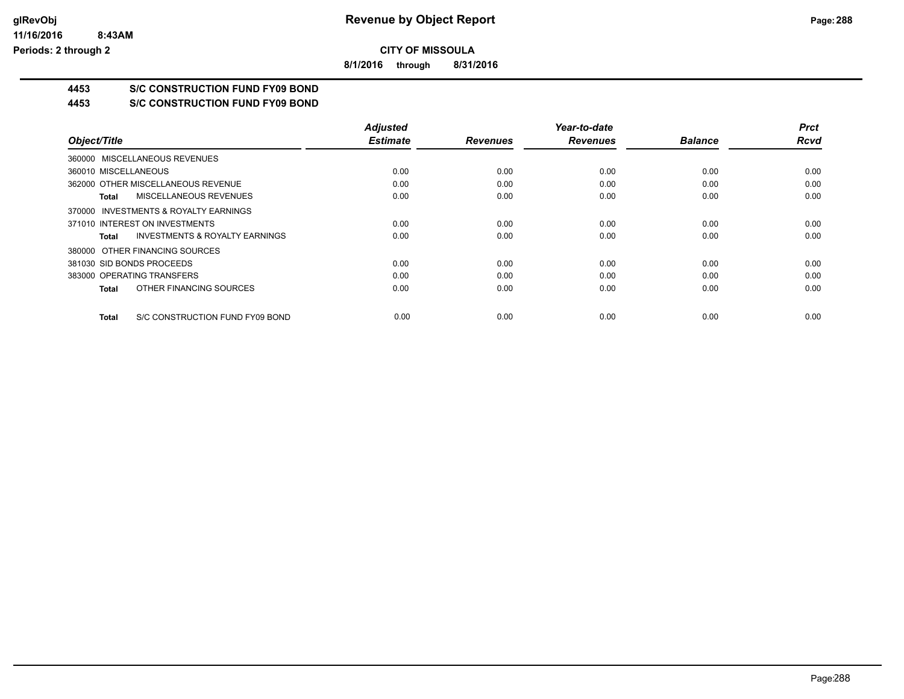**8/1/2016 through 8/31/2016**

# **4453 S/C CONSTRUCTION FUND FY09 BOND**

#### **4453 S/C CONSTRUCTION FUND FY09 BOND**

|                                                    | <b>Adjusted</b> |                 | Year-to-date    |                | <b>Prct</b> |
|----------------------------------------------------|-----------------|-----------------|-----------------|----------------|-------------|
| Object/Title                                       | <b>Estimate</b> | <b>Revenues</b> | <b>Revenues</b> | <b>Balance</b> | <b>Rcvd</b> |
| 360000 MISCELLANEOUS REVENUES                      |                 |                 |                 |                |             |
| 360010 MISCELLANEOUS                               | 0.00            | 0.00            | 0.00            | 0.00           | 0.00        |
| 362000 OTHER MISCELLANEOUS REVENUE                 | 0.00            | 0.00            | 0.00            | 0.00           | 0.00        |
| MISCELLANEOUS REVENUES<br>Total                    | 0.00            | 0.00            | 0.00            | 0.00           | 0.00        |
| 370000 INVESTMENTS & ROYALTY EARNINGS              |                 |                 |                 |                |             |
| 371010 INTEREST ON INVESTMENTS                     | 0.00            | 0.00            | 0.00            | 0.00           | 0.00        |
| <b>INVESTMENTS &amp; ROYALTY EARNINGS</b><br>Total | 0.00            | 0.00            | 0.00            | 0.00           | 0.00        |
| 380000 OTHER FINANCING SOURCES                     |                 |                 |                 |                |             |
| 381030 SID BONDS PROCEEDS                          | 0.00            | 0.00            | 0.00            | 0.00           | 0.00        |
| 383000 OPERATING TRANSFERS                         | 0.00            | 0.00            | 0.00            | 0.00           | 0.00        |
| OTHER FINANCING SOURCES<br>Total                   | 0.00            | 0.00            | 0.00            | 0.00           | 0.00        |
| S/C CONSTRUCTION FUND FY09 BOND<br><b>Total</b>    | 0.00            | 0.00            | 0.00            | 0.00           | 0.00        |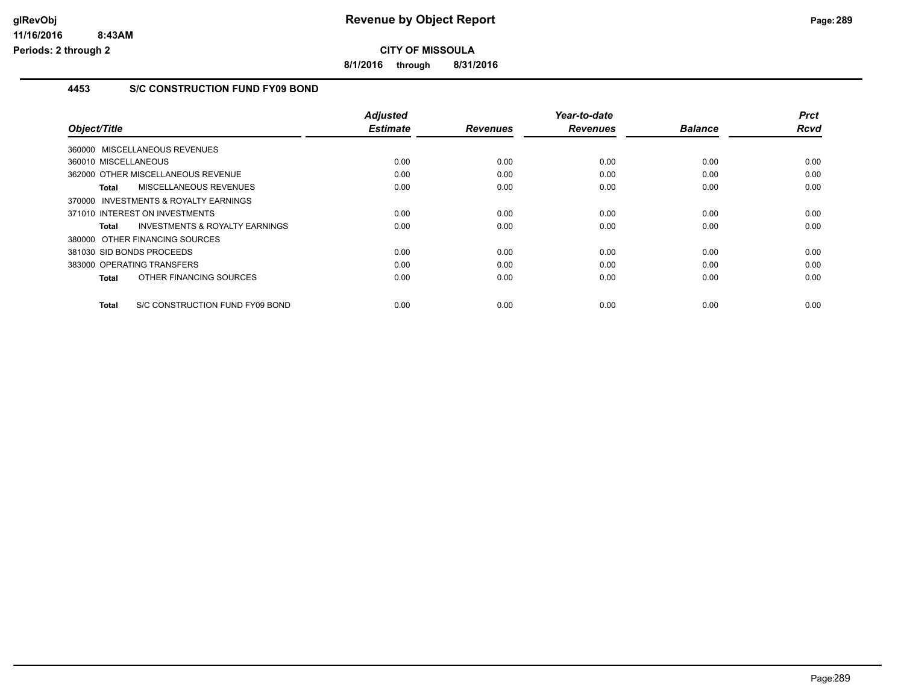**8/1/2016 through 8/31/2016**

## **4453 S/C CONSTRUCTION FUND FY09 BOND**

| Object/Title                                        |                                           | <b>Adjusted</b><br><b>Estimate</b> | <b>Revenues</b> | Year-to-date<br><b>Revenues</b> | <b>Balance</b> | <b>Prct</b><br>Rcvd |
|-----------------------------------------------------|-------------------------------------------|------------------------------------|-----------------|---------------------------------|----------------|---------------------|
|                                                     |                                           |                                    |                 |                                 |                |                     |
| 360000 MISCELLANEOUS REVENUES                       |                                           |                                    |                 |                                 |                |                     |
| 360010 MISCELLANEOUS                                |                                           | 0.00                               | 0.00            | 0.00                            | 0.00           | 0.00                |
| 362000 OTHER MISCELLANEOUS REVENUE                  |                                           | 0.00                               | 0.00            | 0.00                            | 0.00           | 0.00                |
| <b>MISCELLANEOUS REVENUES</b><br>Total              |                                           | 0.00                               | 0.00            | 0.00                            | 0.00           | 0.00                |
| <b>INVESTMENTS &amp; ROYALTY EARNINGS</b><br>370000 |                                           |                                    |                 |                                 |                |                     |
| 371010 INTEREST ON INVESTMENTS                      |                                           | 0.00                               | 0.00            | 0.00                            | 0.00           | 0.00                |
| Total                                               | <b>INVESTMENTS &amp; ROYALTY EARNINGS</b> | 0.00                               | 0.00            | 0.00                            | 0.00           | 0.00                |
| 380000 OTHER FINANCING SOURCES                      |                                           |                                    |                 |                                 |                |                     |
| 381030 SID BONDS PROCEEDS                           |                                           | 0.00                               | 0.00            | 0.00                            | 0.00           | 0.00                |
| 383000 OPERATING TRANSFERS                          |                                           | 0.00                               | 0.00            | 0.00                            | 0.00           | 0.00                |
| OTHER FINANCING SOURCES<br><b>Total</b>             |                                           | 0.00                               | 0.00            | 0.00                            | 0.00           | 0.00                |
| <b>Total</b>                                        | S/C CONSTRUCTION FUND FY09 BOND           | 0.00                               | 0.00            | 0.00                            | 0.00           | 0.00                |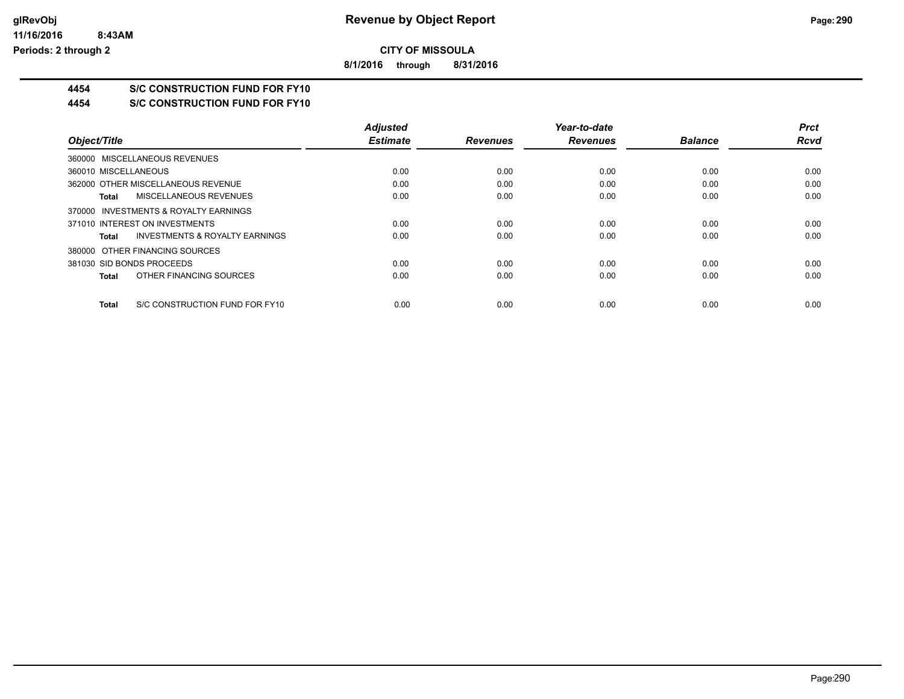**8:43AM**

**CITY OF MISSOULA**

**8/1/2016 through 8/31/2016**

# **4454 S/C CONSTRUCTION FUND FOR FY10**

**4454 S/C CONSTRUCTION FUND FOR FY10**

|                                                    | <b>Adjusted</b> |                 | Year-to-date    |                | <b>Prct</b> |
|----------------------------------------------------|-----------------|-----------------|-----------------|----------------|-------------|
| Object/Title                                       | <b>Estimate</b> | <b>Revenues</b> | <b>Revenues</b> | <b>Balance</b> | Rcvd        |
| 360000 MISCELLANEOUS REVENUES                      |                 |                 |                 |                |             |
| 360010 MISCELLANEOUS                               | 0.00            | 0.00            | 0.00            | 0.00           | 0.00        |
| 362000 OTHER MISCELLANEOUS REVENUE                 | 0.00            | 0.00            | 0.00            | 0.00           | 0.00        |
| <b>MISCELLANEOUS REVENUES</b><br>Total             | 0.00            | 0.00            | 0.00            | 0.00           | 0.00        |
| 370000 INVESTMENTS & ROYALTY EARNINGS              |                 |                 |                 |                |             |
| 371010 INTEREST ON INVESTMENTS                     | 0.00            | 0.00            | 0.00            | 0.00           | 0.00        |
| <b>INVESTMENTS &amp; ROYALTY EARNINGS</b><br>Total | 0.00            | 0.00            | 0.00            | 0.00           | 0.00        |
| 380000 OTHER FINANCING SOURCES                     |                 |                 |                 |                |             |
| 381030 SID BONDS PROCEEDS                          | 0.00            | 0.00            | 0.00            | 0.00           | 0.00        |
| OTHER FINANCING SOURCES<br>Total                   | 0.00            | 0.00            | 0.00            | 0.00           | 0.00        |
| S/C CONSTRUCTION FUND FOR FY10<br><b>Total</b>     | 0.00            | 0.00            | 0.00            | 0.00           | 0.00        |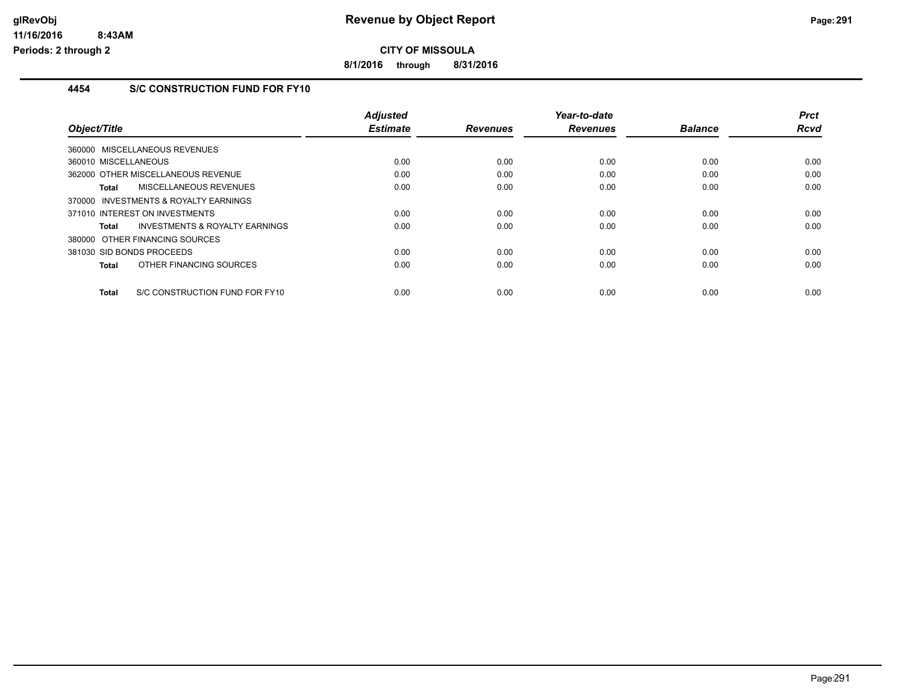**CITY OF MISSOULA**

**8/1/2016 through 8/31/2016**

# **4454 S/C CONSTRUCTION FUND FOR FY10**

|                                                     | <b>Adjusted</b> |                 | Year-to-date    |                | <b>Prct</b> |
|-----------------------------------------------------|-----------------|-----------------|-----------------|----------------|-------------|
| Object/Title                                        | <b>Estimate</b> | <b>Revenues</b> | <b>Revenues</b> | <b>Balance</b> | <b>Rcvd</b> |
| 360000 MISCELLANEOUS REVENUES                       |                 |                 |                 |                |             |
| 360010 MISCELLANEOUS                                | 0.00            | 0.00            | 0.00            | 0.00           | 0.00        |
| 362000 OTHER MISCELLANEOUS REVENUE                  | 0.00            | 0.00            | 0.00            | 0.00           | 0.00        |
| MISCELLANEOUS REVENUES<br>Total                     | 0.00            | 0.00            | 0.00            | 0.00           | 0.00        |
| <b>INVESTMENTS &amp; ROYALTY EARNINGS</b><br>370000 |                 |                 |                 |                |             |
| 371010 INTEREST ON INVESTMENTS                      | 0.00            | 0.00            | 0.00            | 0.00           | 0.00        |
| <b>INVESTMENTS &amp; ROYALTY EARNINGS</b><br>Total  | 0.00            | 0.00            | 0.00            | 0.00           | 0.00        |
| 380000 OTHER FINANCING SOURCES                      |                 |                 |                 |                |             |
| 381030 SID BONDS PROCEEDS                           | 0.00            | 0.00            | 0.00            | 0.00           | 0.00        |
| OTHER FINANCING SOURCES<br>Total                    | 0.00            | 0.00            | 0.00            | 0.00           | 0.00        |
| S/C CONSTRUCTION FUND FOR FY10<br><b>Total</b>      | 0.00            | 0.00            | 0.00            | 0.00           | 0.00        |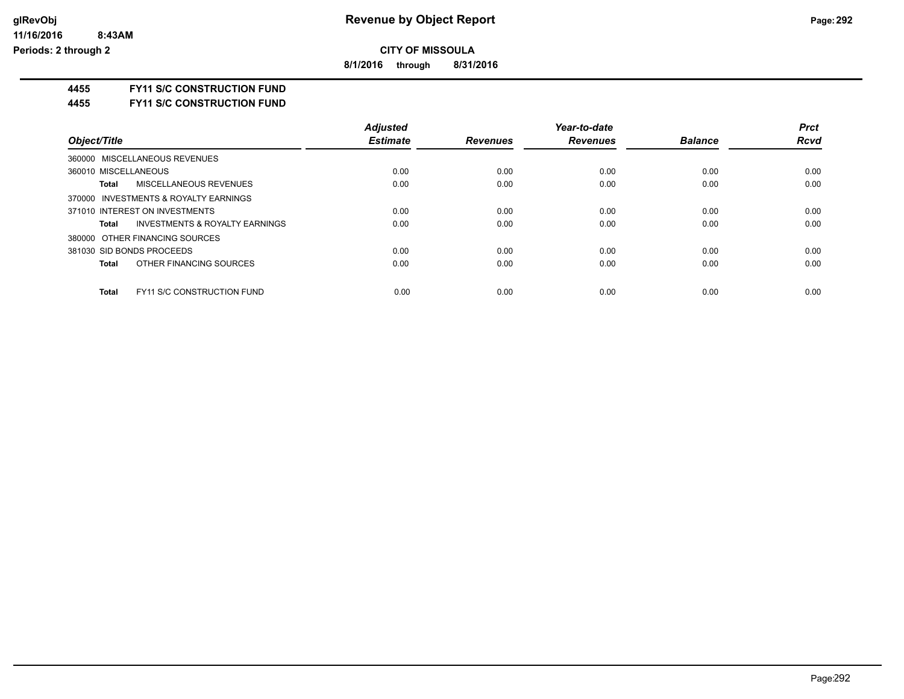**CITY OF MISSOULA**

**8/1/2016 through 8/31/2016**

# **4455 FY11 S/C CONSTRUCTION FUND**

 **8:43AM**

#### **4455 FY11 S/C CONSTRUCTION FUND**

|                                                    | <b>Adjusted</b> |                 | Year-to-date    |                | <b>Prct</b> |
|----------------------------------------------------|-----------------|-----------------|-----------------|----------------|-------------|
| Object/Title                                       | <b>Estimate</b> | <b>Revenues</b> | <b>Revenues</b> | <b>Balance</b> | <b>Rcvd</b> |
| 360000 MISCELLANEOUS REVENUES                      |                 |                 |                 |                |             |
| 360010 MISCELLANEOUS                               | 0.00            | 0.00            | 0.00            | 0.00           | 0.00        |
| <b>MISCELLANEOUS REVENUES</b><br>Total             | 0.00            | 0.00            | 0.00            | 0.00           | 0.00        |
| 370000 INVESTMENTS & ROYALTY EARNINGS              |                 |                 |                 |                |             |
| 371010 INTEREST ON INVESTMENTS                     | 0.00            | 0.00            | 0.00            | 0.00           | 0.00        |
| <b>INVESTMENTS &amp; ROYALTY EARNINGS</b><br>Total | 0.00            | 0.00            | 0.00            | 0.00           | 0.00        |
| 380000 OTHER FINANCING SOURCES                     |                 |                 |                 |                |             |
| 381030 SID BONDS PROCEEDS                          | 0.00            | 0.00            | 0.00            | 0.00           | 0.00        |
| OTHER FINANCING SOURCES<br><b>Total</b>            | 0.00            | 0.00            | 0.00            | 0.00           | 0.00        |
| <b>FY11 S/C CONSTRUCTION FUND</b><br><b>Total</b>  | 0.00            | 0.00            | 0.00            | 0.00           | 0.00        |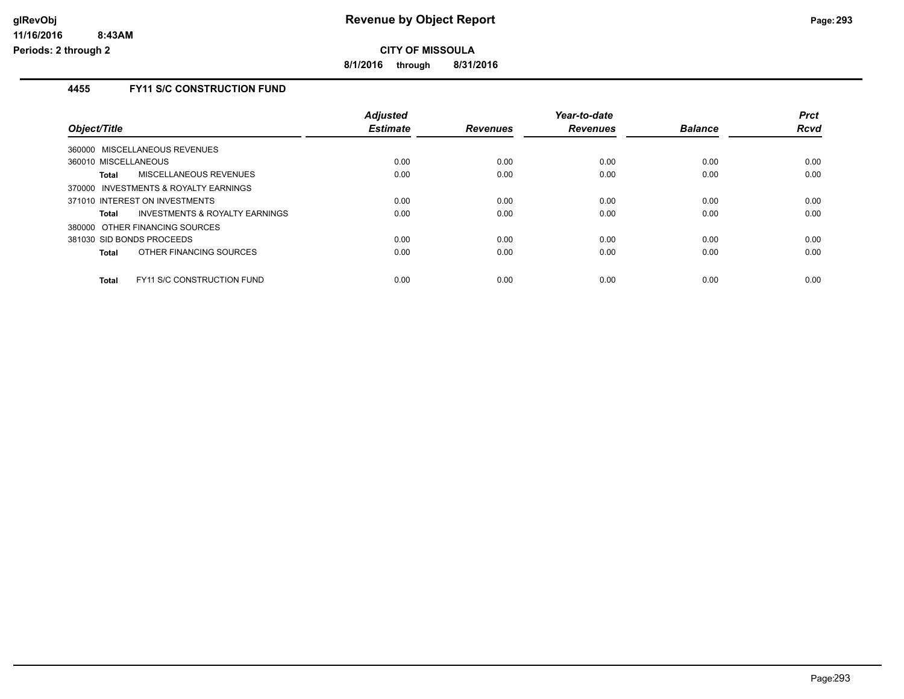**CITY OF MISSOULA**

**8/1/2016 through 8/31/2016**

# **4455 FY11 S/C CONSTRUCTION FUND**

 **8:43AM**

| Object/Title                                       | <b>Adjusted</b><br><b>Estimate</b> | <b>Revenues</b> | Year-to-date<br><b>Revenues</b> | <b>Balance</b> | <b>Prct</b><br><b>Rcvd</b> |
|----------------------------------------------------|------------------------------------|-----------------|---------------------------------|----------------|----------------------------|
| 360000 MISCELLANEOUS REVENUES                      |                                    |                 |                                 |                |                            |
| 360010 MISCELLANEOUS                               | 0.00                               | 0.00            | 0.00                            | 0.00           | 0.00                       |
| MISCELLANEOUS REVENUES<br>Total                    | 0.00                               | 0.00            | 0.00                            | 0.00           | 0.00                       |
| 370000 INVESTMENTS & ROYALTY EARNINGS              |                                    |                 |                                 |                |                            |
| 371010 INTEREST ON INVESTMENTS                     | 0.00                               | 0.00            | 0.00                            | 0.00           | 0.00                       |
| <b>INVESTMENTS &amp; ROYALTY EARNINGS</b><br>Total | 0.00                               | 0.00            | 0.00                            | 0.00           | 0.00                       |
| 380000 OTHER FINANCING SOURCES                     |                                    |                 |                                 |                |                            |
| 381030 SID BONDS PROCEEDS                          | 0.00                               | 0.00            | 0.00                            | 0.00           | 0.00                       |
| OTHER FINANCING SOURCES<br><b>Total</b>            | 0.00                               | 0.00            | 0.00                            | 0.00           | 0.00                       |
| <b>FY11 S/C CONSTRUCTION FUND</b><br><b>Total</b>  | 0.00                               | 0.00            | 0.00                            | 0.00           | 0.00                       |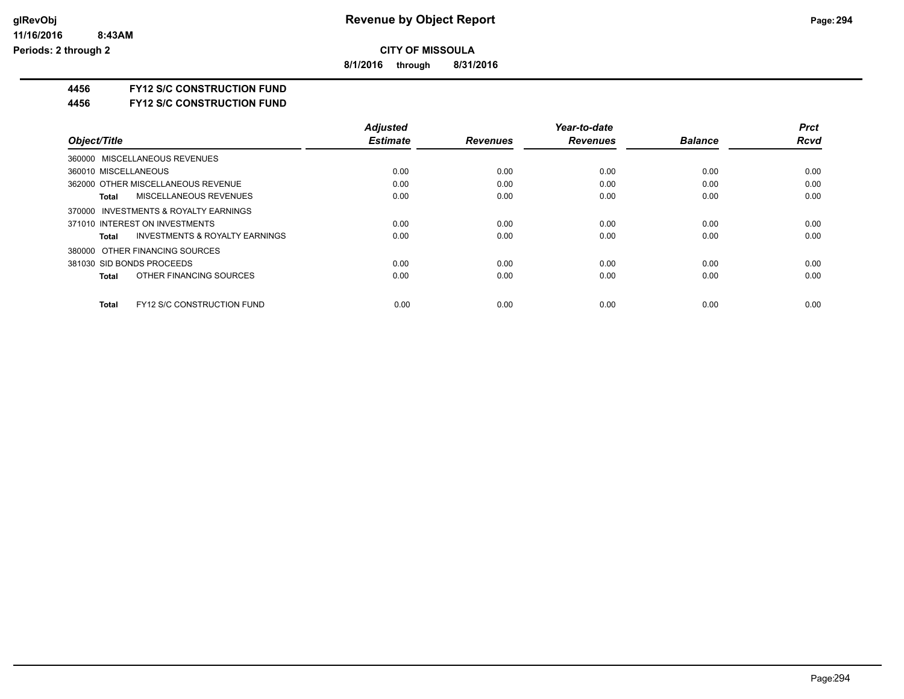**8/1/2016 through 8/31/2016**

# **4456 FY12 S/C CONSTRUCTION FUND**

**4456 FY12 S/C CONSTRUCTION FUND**

| Object/Title                                       | <b>Adjusted</b><br><b>Estimate</b> | <b>Revenues</b> | Year-to-date<br><b>Revenues</b> | <b>Balance</b> | <b>Prct</b><br><b>Rcvd</b> |
|----------------------------------------------------|------------------------------------|-----------------|---------------------------------|----------------|----------------------------|
|                                                    |                                    |                 |                                 |                |                            |
| 360000 MISCELLANEOUS REVENUES                      |                                    |                 |                                 |                |                            |
| 360010 MISCELLANEOUS                               | 0.00                               | 0.00            | 0.00                            | 0.00           | 0.00                       |
| 362000 OTHER MISCELLANEOUS REVENUE                 | 0.00                               | 0.00            | 0.00                            | 0.00           | 0.00                       |
| <b>MISCELLANEOUS REVENUES</b><br>Total             | 0.00                               | 0.00            | 0.00                            | 0.00           | 0.00                       |
| 370000 INVESTMENTS & ROYALTY EARNINGS              |                                    |                 |                                 |                |                            |
| 371010 INTEREST ON INVESTMENTS                     | 0.00                               | 0.00            | 0.00                            | 0.00           | 0.00                       |
| <b>INVESTMENTS &amp; ROYALTY EARNINGS</b><br>Total | 0.00                               | 0.00            | 0.00                            | 0.00           | 0.00                       |
| 380000 OTHER FINANCING SOURCES                     |                                    |                 |                                 |                |                            |
| 381030 SID BONDS PROCEEDS                          | 0.00                               | 0.00            | 0.00                            | 0.00           | 0.00                       |
| OTHER FINANCING SOURCES<br>Total                   | 0.00                               | 0.00            | 0.00                            | 0.00           | 0.00                       |
| FY12 S/C CONSTRUCTION FUND<br><b>Total</b>         | 0.00                               | 0.00            | 0.00                            | 0.00           | 0.00                       |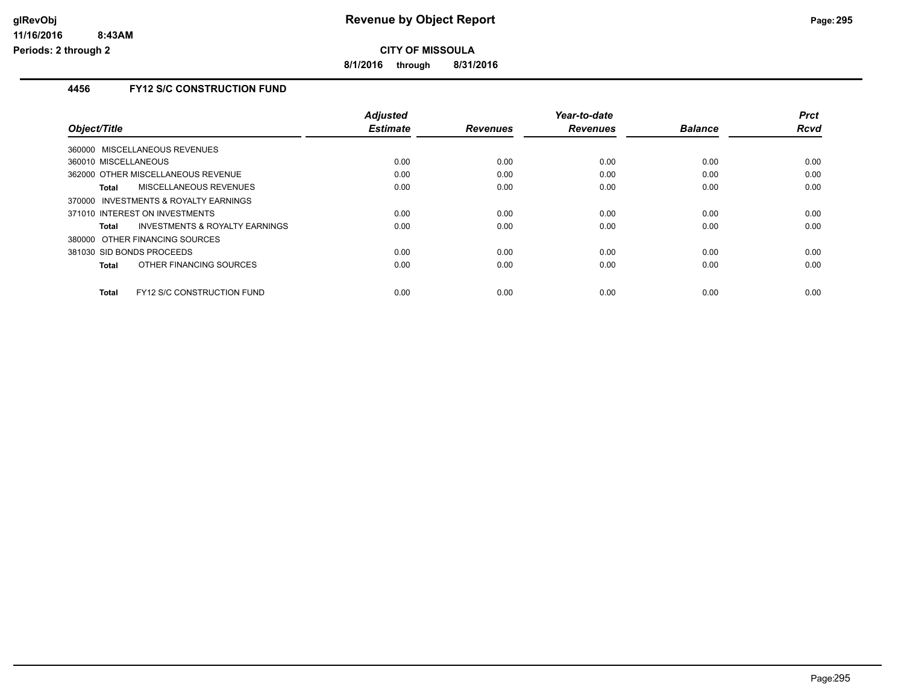**8:43AM**

**CITY OF MISSOULA**

**8/1/2016 through 8/31/2016**

# **4456 FY12 S/C CONSTRUCTION FUND**

|                                                    | <b>Adjusted</b> |                 | Year-to-date    |                | <b>Prct</b> |
|----------------------------------------------------|-----------------|-----------------|-----------------|----------------|-------------|
| Object/Title                                       | <b>Estimate</b> | <b>Revenues</b> | <b>Revenues</b> | <b>Balance</b> | <b>Rcvd</b> |
| 360000 MISCELLANEOUS REVENUES                      |                 |                 |                 |                |             |
| 360010 MISCELLANEOUS                               | 0.00            | 0.00            | 0.00            | 0.00           | 0.00        |
| 362000 OTHER MISCELLANEOUS REVENUE                 | 0.00            | 0.00            | 0.00            | 0.00           | 0.00        |
| <b>MISCELLANEOUS REVENUES</b><br>Total             | 0.00            | 0.00            | 0.00            | 0.00           | 0.00        |
| 370000 INVESTMENTS & ROYALTY EARNINGS              |                 |                 |                 |                |             |
| 371010 INTEREST ON INVESTMENTS                     | 0.00            | 0.00            | 0.00            | 0.00           | 0.00        |
| <b>INVESTMENTS &amp; ROYALTY EARNINGS</b><br>Total | 0.00            | 0.00            | 0.00            | 0.00           | 0.00        |
| 380000 OTHER FINANCING SOURCES                     |                 |                 |                 |                |             |
| 381030 SID BONDS PROCEEDS                          | 0.00            | 0.00            | 0.00            | 0.00           | 0.00        |
| OTHER FINANCING SOURCES<br>Total                   | 0.00            | 0.00            | 0.00            | 0.00           | 0.00        |
| FY12 S/C CONSTRUCTION FUND<br><b>Total</b>         | 0.00            | 0.00            | 0.00            | 0.00           | 0.00        |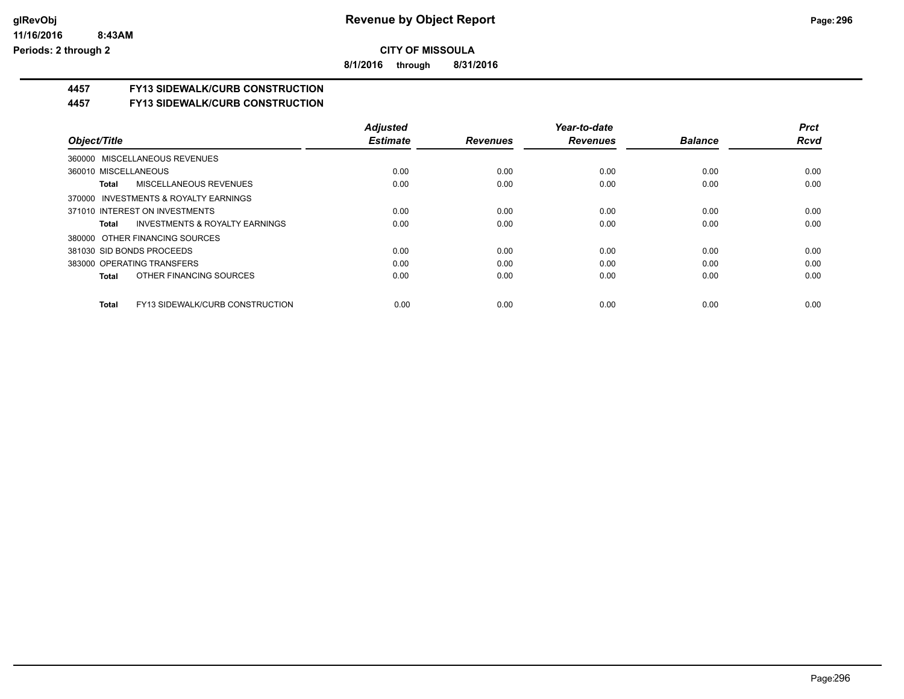**8:43AM**

**glRevObj Revenue by Object Report Page:296** 

**CITY OF MISSOULA**

**8/1/2016 through 8/31/2016**

# **4457 FY13 SIDEWALK/CURB CONSTRUCTION**

**4457 FY13 SIDEWALK/CURB CONSTRUCTION**

| Object/Title                                       | <b>Adjusted</b><br><b>Estimate</b> | <b>Revenues</b> | Year-to-date<br><b>Revenues</b> | <b>Balance</b> | <b>Prct</b><br><b>Rcvd</b> |
|----------------------------------------------------|------------------------------------|-----------------|---------------------------------|----------------|----------------------------|
| 360000 MISCELLANEOUS REVENUES                      |                                    |                 |                                 |                |                            |
| 360010 MISCELLANEOUS                               | 0.00                               | 0.00            | 0.00                            | 0.00           | 0.00                       |
| MISCELLANEOUS REVENUES<br>Total                    | 0.00                               | 0.00            | 0.00                            | 0.00           | 0.00                       |
| 370000 INVESTMENTS & ROYALTY EARNINGS              |                                    |                 |                                 |                |                            |
| 371010 INTEREST ON INVESTMENTS                     | 0.00                               | 0.00            | 0.00                            | 0.00           | 0.00                       |
| <b>INVESTMENTS &amp; ROYALTY EARNINGS</b><br>Total | 0.00                               | 0.00            | 0.00                            | 0.00           | 0.00                       |
| 380000 OTHER FINANCING SOURCES                     |                                    |                 |                                 |                |                            |
| 381030 SID BONDS PROCEEDS                          | 0.00                               | 0.00            | 0.00                            | 0.00           | 0.00                       |
| 383000 OPERATING TRANSFERS                         | 0.00                               | 0.00            | 0.00                            | 0.00           | 0.00                       |
| OTHER FINANCING SOURCES<br>Total                   | 0.00                               | 0.00            | 0.00                            | 0.00           | 0.00                       |
| FY13 SIDEWALK/CURB CONSTRUCTION<br><b>Total</b>    | 0.00                               | 0.00            | 0.00                            | 0.00           | 0.00                       |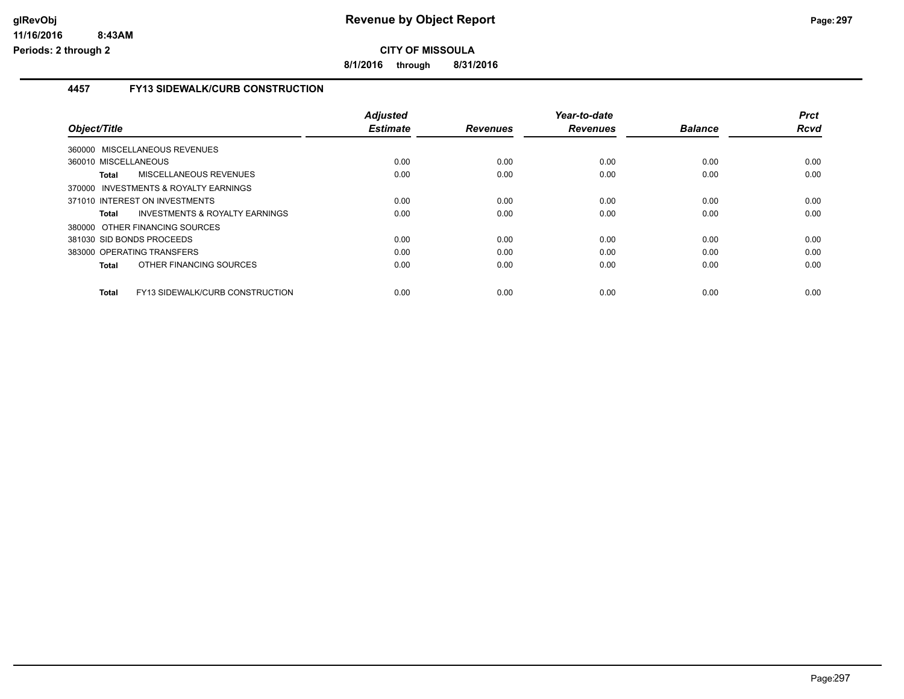**8/1/2016 through 8/31/2016**

# **4457 FY13 SIDEWALK/CURB CONSTRUCTION**

|                                                    | <b>Adjusted</b> |                 | Year-to-date    |                | <b>Prct</b> |
|----------------------------------------------------|-----------------|-----------------|-----------------|----------------|-------------|
| Object/Title                                       | <b>Estimate</b> | <b>Revenues</b> | <b>Revenues</b> | <b>Balance</b> | <b>Rcvd</b> |
| 360000 MISCELLANEOUS REVENUES                      |                 |                 |                 |                |             |
| 360010 MISCELLANEOUS                               | 0.00            | 0.00            | 0.00            | 0.00           | 0.00        |
| MISCELLANEOUS REVENUES<br><b>Total</b>             | 0.00            | 0.00            | 0.00            | 0.00           | 0.00        |
| 370000 INVESTMENTS & ROYALTY EARNINGS              |                 |                 |                 |                |             |
| 371010 INTEREST ON INVESTMENTS                     | 0.00            | 0.00            | 0.00            | 0.00           | 0.00        |
| <b>INVESTMENTS &amp; ROYALTY EARNINGS</b><br>Total | 0.00            | 0.00            | 0.00            | 0.00           | 0.00        |
| 380000 OTHER FINANCING SOURCES                     |                 |                 |                 |                |             |
| 381030 SID BONDS PROCEEDS                          | 0.00            | 0.00            | 0.00            | 0.00           | 0.00        |
| 383000 OPERATING TRANSFERS                         | 0.00            | 0.00            | 0.00            | 0.00           | 0.00        |
| OTHER FINANCING SOURCES<br><b>Total</b>            | 0.00            | 0.00            | 0.00            | 0.00           | 0.00        |
| <b>Total</b><br>FY13 SIDEWALK/CURB CONSTRUCTION    | 0.00            | 0.00            | 0.00            | 0.00           | 0.00        |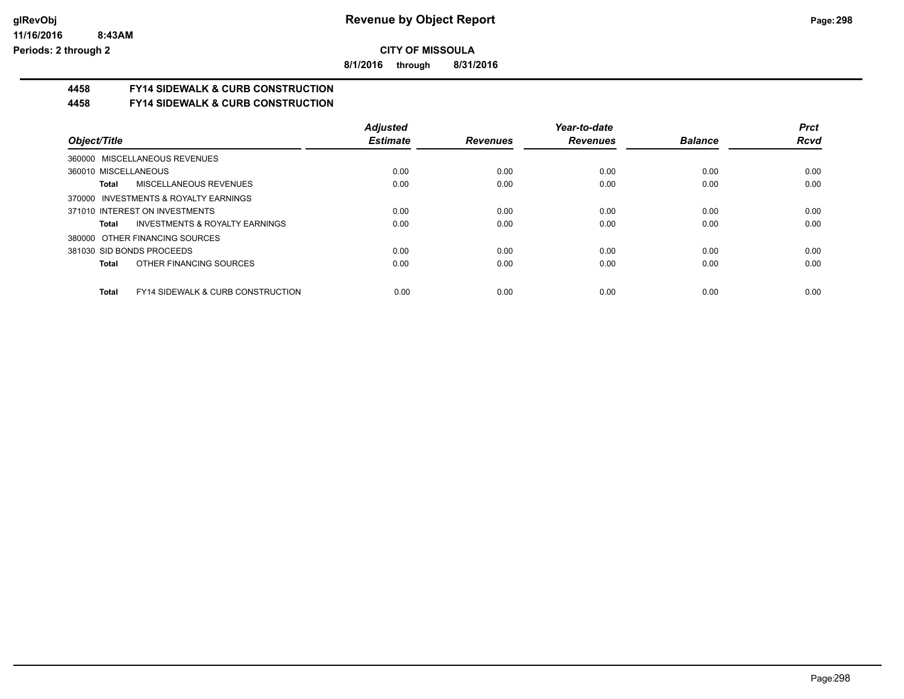**glRevObj Revenue by Object Report Page:298** 

**11/16/2016 8:43AM Periods: 2 through 2**

# **CITY OF MISSOULA**

**8/1/2016 through 8/31/2016**

# **4458 FY14 SIDEWALK & CURB CONSTRUCTION**

# **4458 FY14 SIDEWALK & CURB CONSTRUCTION**

|                                                              | <b>Adjusted</b> |                 | Year-to-date    |                | <b>Prct</b> |
|--------------------------------------------------------------|-----------------|-----------------|-----------------|----------------|-------------|
| Object/Title                                                 | <b>Estimate</b> | <b>Revenues</b> | <b>Revenues</b> | <b>Balance</b> | <b>Rcvd</b> |
| 360000 MISCELLANEOUS REVENUES                                |                 |                 |                 |                |             |
| 360010 MISCELLANEOUS                                         | 0.00            | 0.00            | 0.00            | 0.00           | 0.00        |
| MISCELLANEOUS REVENUES<br>Total                              | 0.00            | 0.00            | 0.00            | 0.00           | 0.00        |
| 370000 INVESTMENTS & ROYALTY EARNINGS                        |                 |                 |                 |                |             |
| 371010 INTEREST ON INVESTMENTS                               | 0.00            | 0.00            | 0.00            | 0.00           | 0.00        |
| <b>INVESTMENTS &amp; ROYALTY EARNINGS</b><br>Total           | 0.00            | 0.00            | 0.00            | 0.00           | 0.00        |
| 380000 OTHER FINANCING SOURCES                               |                 |                 |                 |                |             |
| 381030 SID BONDS PROCEEDS                                    | 0.00            | 0.00            | 0.00            | 0.00           | 0.00        |
| OTHER FINANCING SOURCES<br><b>Total</b>                      | 0.00            | 0.00            | 0.00            | 0.00           | 0.00        |
| <b>FY14 SIDEWALK &amp; CURB CONSTRUCTION</b><br><b>Total</b> | 0.00            | 0.00            | 0.00            | 0.00           | 0.00        |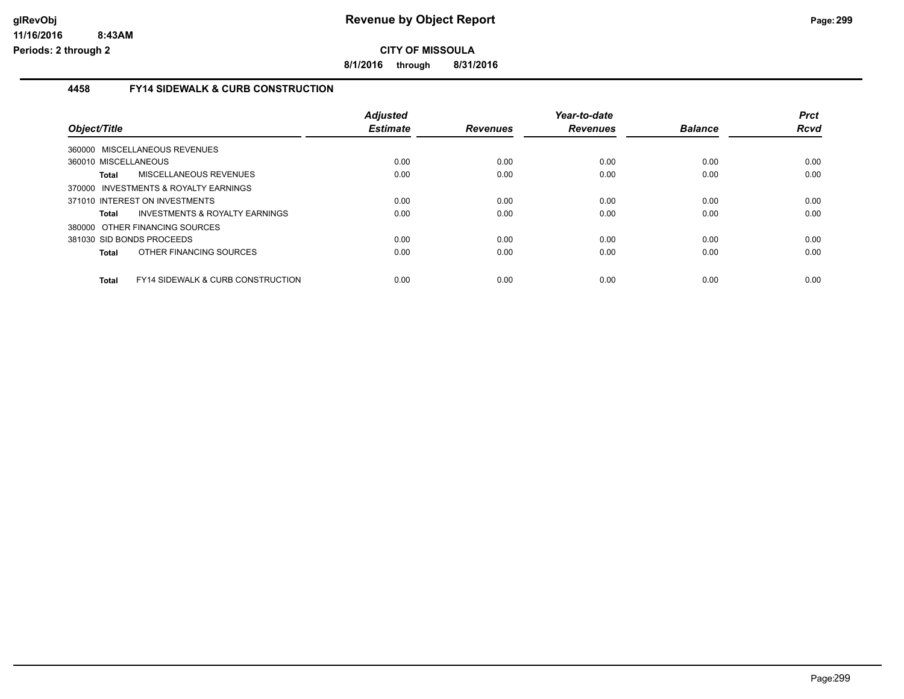**8:43AM**

**CITY OF MISSOULA**

**8/1/2016 through 8/31/2016**

# **4458 FY14 SIDEWALK & CURB CONSTRUCTION**

| Object/Title                                              |                                              | <b>Adjusted</b><br><b>Estimate</b> | <b>Revenues</b> | Year-to-date<br><b>Revenues</b> | <b>Balance</b> | <b>Prct</b><br><b>Rcvd</b> |
|-----------------------------------------------------------|----------------------------------------------|------------------------------------|-----------------|---------------------------------|----------------|----------------------------|
| 360000 MISCELLANEOUS REVENUES                             |                                              |                                    |                 |                                 |                |                            |
| 360010 MISCELLANEOUS                                      |                                              | 0.00                               | 0.00            | 0.00                            | 0.00           | 0.00                       |
| MISCELLANEOUS REVENUES<br><b>Total</b>                    |                                              | 0.00                               | 0.00            | 0.00                            | 0.00           | 0.00                       |
| 370000 INVESTMENTS & ROYALTY EARNINGS                     |                                              |                                    |                 |                                 |                |                            |
| 371010 INTEREST ON INVESTMENTS                            |                                              | 0.00                               | 0.00            | 0.00                            | 0.00           | 0.00                       |
| <b>INVESTMENTS &amp; ROYALTY EARNINGS</b><br><b>Total</b> |                                              | 0.00                               | 0.00            | 0.00                            | 0.00           | 0.00                       |
| 380000 OTHER FINANCING SOURCES                            |                                              |                                    |                 |                                 |                |                            |
| 381030 SID BONDS PROCEEDS                                 |                                              | 0.00                               | 0.00            | 0.00                            | 0.00           | 0.00                       |
| OTHER FINANCING SOURCES<br><b>Total</b>                   |                                              | 0.00                               | 0.00            | 0.00                            | 0.00           | 0.00                       |
| <b>Total</b>                                              | <b>FY14 SIDEWALK &amp; CURB CONSTRUCTION</b> | 0.00                               | 0.00            | 0.00                            | 0.00           | 0.00                       |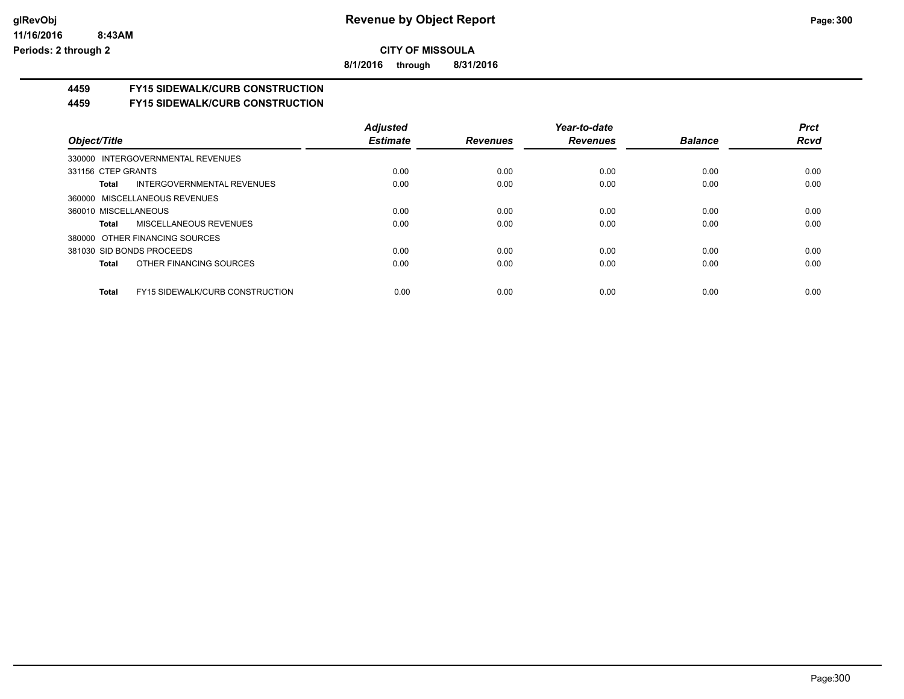**glRevObj Revenue by Object Report Page:300** 

**11/16/2016 8:43AM Periods: 2 through 2**

# **CITY OF MISSOULA**

**8/1/2016 through 8/31/2016**

# **4459 FY15 SIDEWALK/CURB CONSTRUCTION**

**4459 FY15 SIDEWALK/CURB CONSTRUCTION**

|                                                        | <b>Adjusted</b> |                 | Year-to-date    |                | <b>Prct</b> |
|--------------------------------------------------------|-----------------|-----------------|-----------------|----------------|-------------|
| Object/Title                                           | <b>Estimate</b> | <b>Revenues</b> | <b>Revenues</b> | <b>Balance</b> | <b>Rcvd</b> |
| 330000 INTERGOVERNMENTAL REVENUES                      |                 |                 |                 |                |             |
| 331156 CTEP GRANTS                                     | 0.00            | 0.00            | 0.00            | 0.00           | 0.00        |
| INTERGOVERNMENTAL REVENUES<br>Total                    | 0.00            | 0.00            | 0.00            | 0.00           | 0.00        |
| 360000 MISCELLANEOUS REVENUES                          |                 |                 |                 |                |             |
| 360010 MISCELLANEOUS                                   | 0.00            | 0.00            | 0.00            | 0.00           | 0.00        |
| MISCELLANEOUS REVENUES<br>Total                        | 0.00            | 0.00            | 0.00            | 0.00           | 0.00        |
| 380000 OTHER FINANCING SOURCES                         |                 |                 |                 |                |             |
| 381030 SID BONDS PROCEEDS                              | 0.00            | 0.00            | 0.00            | 0.00           | 0.00        |
| OTHER FINANCING SOURCES<br><b>Total</b>                | 0.00            | 0.00            | 0.00            | 0.00           | 0.00        |
| <b>FY15 SIDEWALK/CURB CONSTRUCTION</b><br><b>Total</b> | 0.00            | 0.00            | 0.00            | 0.00           | 0.00        |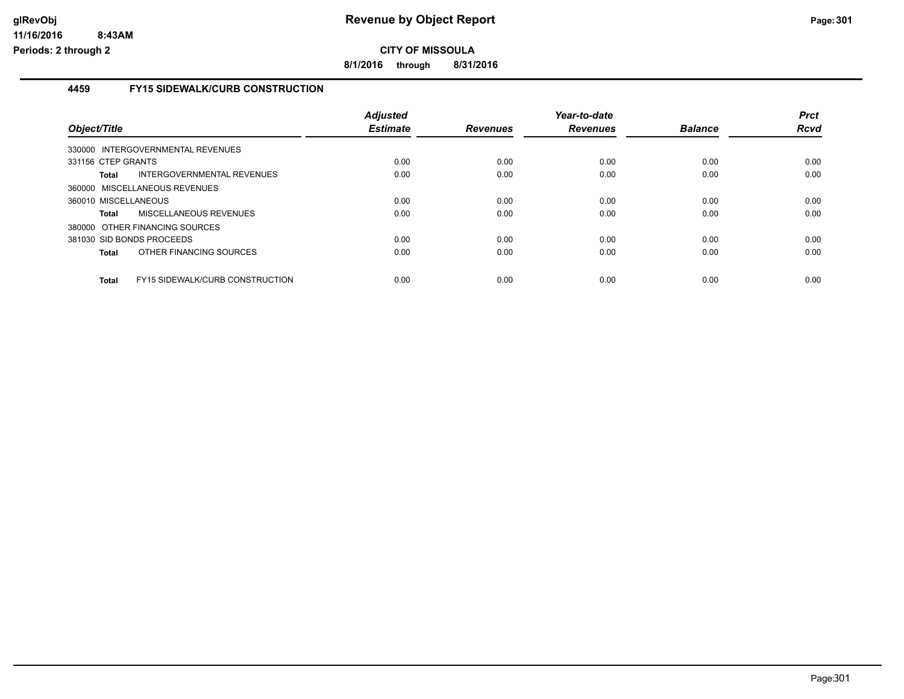**8:43AM**

**CITY OF MISSOULA**

**8/1/2016 through 8/31/2016**

# **4459 FY15 SIDEWALK/CURB CONSTRUCTION**

| Object/Title                                    | <b>Adjusted</b><br><b>Estimate</b> | <b>Revenues</b> | Year-to-date<br><b>Revenues</b> | <b>Balance</b> | <b>Prct</b><br><b>Rcvd</b> |
|-------------------------------------------------|------------------------------------|-----------------|---------------------------------|----------------|----------------------------|
| 330000 INTERGOVERNMENTAL REVENUES               |                                    |                 |                                 |                |                            |
| 331156 CTEP GRANTS                              | 0.00                               | 0.00            | 0.00                            | 0.00           | 0.00                       |
| INTERGOVERNMENTAL REVENUES<br>Total             | 0.00                               | 0.00            | 0.00                            | 0.00           | 0.00                       |
| 360000 MISCELLANEOUS REVENUES                   |                                    |                 |                                 |                |                            |
| 360010 MISCELLANEOUS                            | 0.00                               | 0.00            | 0.00                            | 0.00           | 0.00                       |
| MISCELLANEOUS REVENUES<br>Total                 | 0.00                               | 0.00            | 0.00                            | 0.00           | 0.00                       |
| 380000 OTHER FINANCING SOURCES                  |                                    |                 |                                 |                |                            |
| 381030 SID BONDS PROCEEDS                       | 0.00                               | 0.00            | 0.00                            | 0.00           | 0.00                       |
| OTHER FINANCING SOURCES<br>Total                | 0.00                               | 0.00            | 0.00                            | 0.00           | 0.00                       |
| FY15 SIDEWALK/CURB CONSTRUCTION<br><b>Total</b> | 0.00                               | 0.00            | 0.00                            | 0.00           | 0.00                       |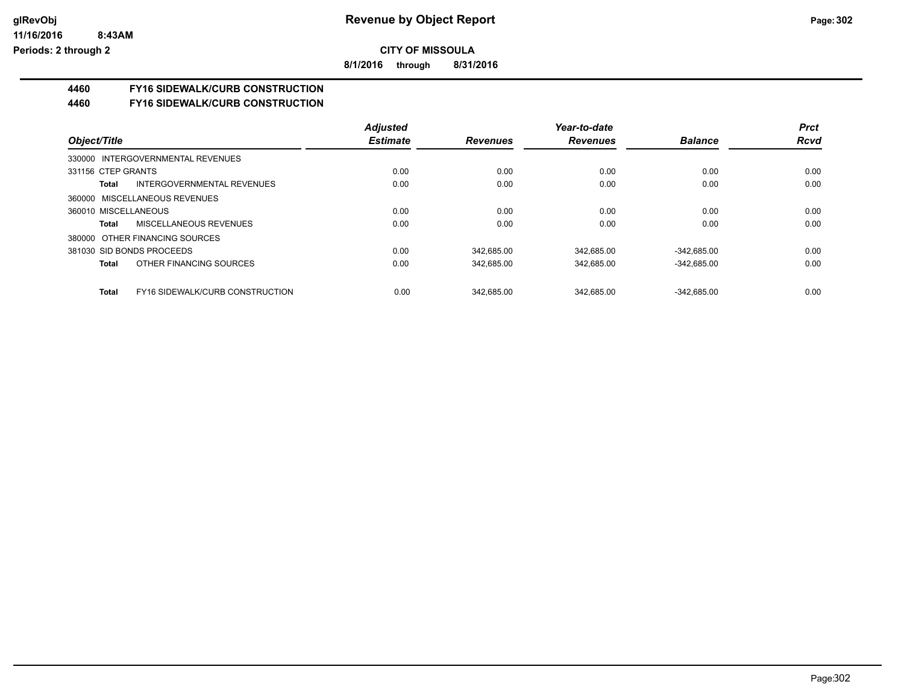**11/16/2016 8:43AM Periods: 2 through 2**

**CITY OF MISSOULA**

**8/1/2016 through 8/31/2016**

# **4460 FY16 SIDEWALK/CURB CONSTRUCTION**

**4460 FY16 SIDEWALK/CURB CONSTRUCTION**

|                                   |                                        | <b>Adjusted</b> |                 | Year-to-date    |                | <b>Prct</b> |
|-----------------------------------|----------------------------------------|-----------------|-----------------|-----------------|----------------|-------------|
| Object/Title                      |                                        | <b>Estimate</b> | <b>Revenues</b> | <b>Revenues</b> | <b>Balance</b> | <b>Rcvd</b> |
| 330000 INTERGOVERNMENTAL REVENUES |                                        |                 |                 |                 |                |             |
| 331156 CTEP GRANTS                |                                        | 0.00            | 0.00            | 0.00            | 0.00           | 0.00        |
| Total                             | <b>INTERGOVERNMENTAL REVENUES</b>      | 0.00            | 0.00            | 0.00            | 0.00           | 0.00        |
| 360000 MISCELLANEOUS REVENUES     |                                        |                 |                 |                 |                |             |
| 360010 MISCELLANEOUS              |                                        | 0.00            | 0.00            | 0.00            | 0.00           | 0.00        |
| Total                             | MISCELLANEOUS REVENUES                 | 0.00            | 0.00            | 0.00            | 0.00           | 0.00        |
| 380000 OTHER FINANCING SOURCES    |                                        |                 |                 |                 |                |             |
| 381030 SID BONDS PROCEEDS         |                                        | 0.00            | 342.685.00      | 342.685.00      | $-342.685.00$  | 0.00        |
| Total                             | OTHER FINANCING SOURCES                | 0.00            | 342.685.00      | 342.685.00      | $-342.685.00$  | 0.00        |
| Total                             | <b>FY16 SIDEWALK/CURB CONSTRUCTION</b> | 0.00            | 342.685.00      | 342.685.00      | $-342.685.00$  | 0.00        |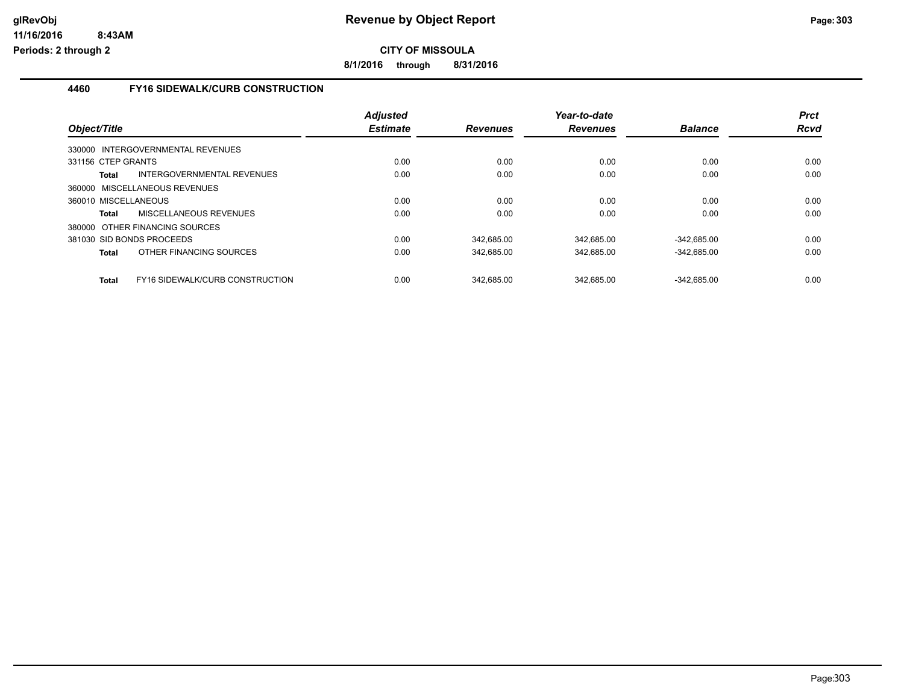**8:43AM**

**CITY OF MISSOULA**

**8/1/2016 through 8/31/2016**

#### **4460 FY16 SIDEWALK/CURB CONSTRUCTION**

| Object/Title                            |                                   | <b>Adjusted</b><br><b>Estimate</b> | <b>Revenues</b> | Year-to-date<br><b>Revenues</b> | <b>Balance</b> | <b>Prct</b><br><b>Rcvd</b> |
|-----------------------------------------|-----------------------------------|------------------------------------|-----------------|---------------------------------|----------------|----------------------------|
| 330000 INTERGOVERNMENTAL REVENUES       |                                   |                                    |                 |                                 |                |                            |
| 331156 CTEP GRANTS                      |                                   | 0.00                               | 0.00            | 0.00                            | 0.00           | 0.00                       |
| <b>Total</b>                            | <b>INTERGOVERNMENTAL REVENUES</b> | 0.00                               | 0.00            | 0.00                            | 0.00           | 0.00                       |
| 360000 MISCELLANEOUS REVENUES           |                                   |                                    |                 |                                 |                |                            |
| 360010 MISCELLANEOUS                    |                                   | 0.00                               | 0.00            | 0.00                            | 0.00           | 0.00                       |
| MISCELLANEOUS REVENUES<br><b>Total</b>  |                                   | 0.00                               | 0.00            | 0.00                            | 0.00           | 0.00                       |
| 380000 OTHER FINANCING SOURCES          |                                   |                                    |                 |                                 |                |                            |
| 381030 SID BONDS PROCEEDS               |                                   | 0.00                               | 342.685.00      | 342.685.00                      | $-342.685.00$  | 0.00                       |
| OTHER FINANCING SOURCES<br><b>Total</b> |                                   | 0.00                               | 342,685.00      | 342,685.00                      | $-342,685.00$  | 0.00                       |
| <b>Total</b>                            | FY16 SIDEWALK/CURB CONSTRUCTION   | 0.00                               | 342.685.00      | 342.685.00                      | $-342.685.00$  | 0.00                       |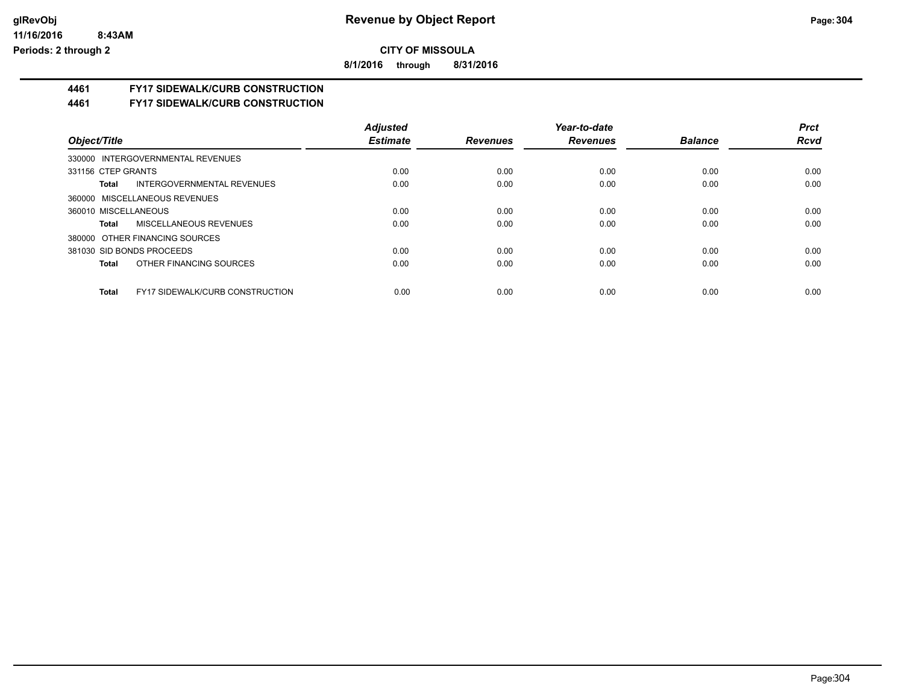**glRevObj Revenue by Object Report Page:304** 

**11/16/2016 8:43AM Periods: 2 through 2**

**CITY OF MISSOULA**

**8/1/2016 through 8/31/2016**

# **4461 FY17 SIDEWALK/CURB CONSTRUCTION**

**4461 FY17 SIDEWALK/CURB CONSTRUCTION**

|                                                 | <b>Adjusted</b> |                 | Year-to-date    |                | <b>Prct</b> |
|-------------------------------------------------|-----------------|-----------------|-----------------|----------------|-------------|
| Object/Title                                    | <b>Estimate</b> | <b>Revenues</b> | <b>Revenues</b> | <b>Balance</b> | <b>Rcvd</b> |
| 330000 INTERGOVERNMENTAL REVENUES               |                 |                 |                 |                |             |
| 331156 CTEP GRANTS                              | 0.00            | 0.00            | 0.00            | 0.00           | 0.00        |
| INTERGOVERNMENTAL REVENUES<br>Total             | 0.00            | 0.00            | 0.00            | 0.00           | 0.00        |
| 360000 MISCELLANEOUS REVENUES                   |                 |                 |                 |                |             |
| 360010 MISCELLANEOUS                            | 0.00            | 0.00            | 0.00            | 0.00           | 0.00        |
| <b>MISCELLANEOUS REVENUES</b><br>Total          | 0.00            | 0.00            | 0.00            | 0.00           | 0.00        |
| 380000 OTHER FINANCING SOURCES                  |                 |                 |                 |                |             |
| 381030 SID BONDS PROCEEDS                       | 0.00            | 0.00            | 0.00            | 0.00           | 0.00        |
| OTHER FINANCING SOURCES<br>Total                | 0.00            | 0.00            | 0.00            | 0.00           | 0.00        |
| <b>FY17 SIDEWALK/CURB CONSTRUCTION</b><br>Total | 0.00            | 0.00            | 0.00            | 0.00           | 0.00        |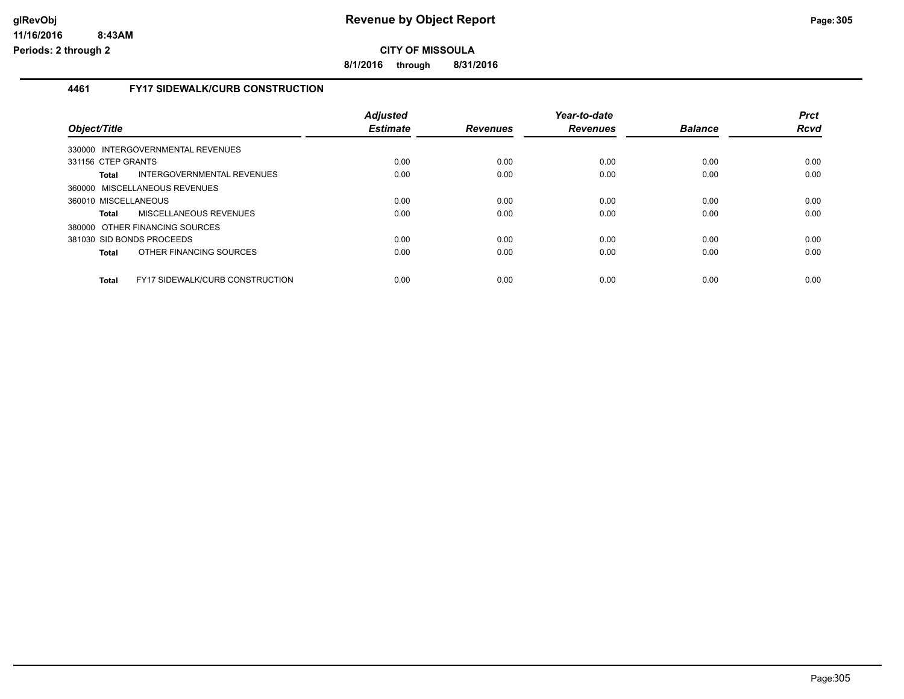**8:43AM**

**CITY OF MISSOULA**

**8/1/2016 through 8/31/2016**

# **4461 FY17 SIDEWALK/CURB CONSTRUCTION**

| Object/Title                                           | <b>Adjusted</b><br><b>Estimate</b> | <b>Revenues</b> | Year-to-date<br><b>Revenues</b> | <b>Balance</b> | <b>Prct</b><br><b>Rcvd</b> |
|--------------------------------------------------------|------------------------------------|-----------------|---------------------------------|----------------|----------------------------|
| 330000 INTERGOVERNMENTAL REVENUES                      |                                    |                 |                                 |                |                            |
| 331156 CTEP GRANTS                                     | 0.00                               | 0.00            | 0.00                            | 0.00           | 0.00                       |
| INTERGOVERNMENTAL REVENUES<br>Total                    | 0.00                               | 0.00            | 0.00                            | 0.00           | 0.00                       |
| 360000 MISCELLANEOUS REVENUES                          |                                    |                 |                                 |                |                            |
| 360010 MISCELLANEOUS                                   | 0.00                               | 0.00            | 0.00                            | 0.00           | 0.00                       |
| MISCELLANEOUS REVENUES<br>Total                        | 0.00                               | 0.00            | 0.00                            | 0.00           | 0.00                       |
| 380000 OTHER FINANCING SOURCES                         |                                    |                 |                                 |                |                            |
| 381030 SID BONDS PROCEEDS                              | 0.00                               | 0.00            | 0.00                            | 0.00           | 0.00                       |
| OTHER FINANCING SOURCES<br>Total                       | 0.00                               | 0.00            | 0.00                            | 0.00           | 0.00                       |
| <b>FY17 SIDEWALK/CURB CONSTRUCTION</b><br><b>Total</b> | 0.00                               | 0.00            | 0.00                            | 0.00           | 0.00                       |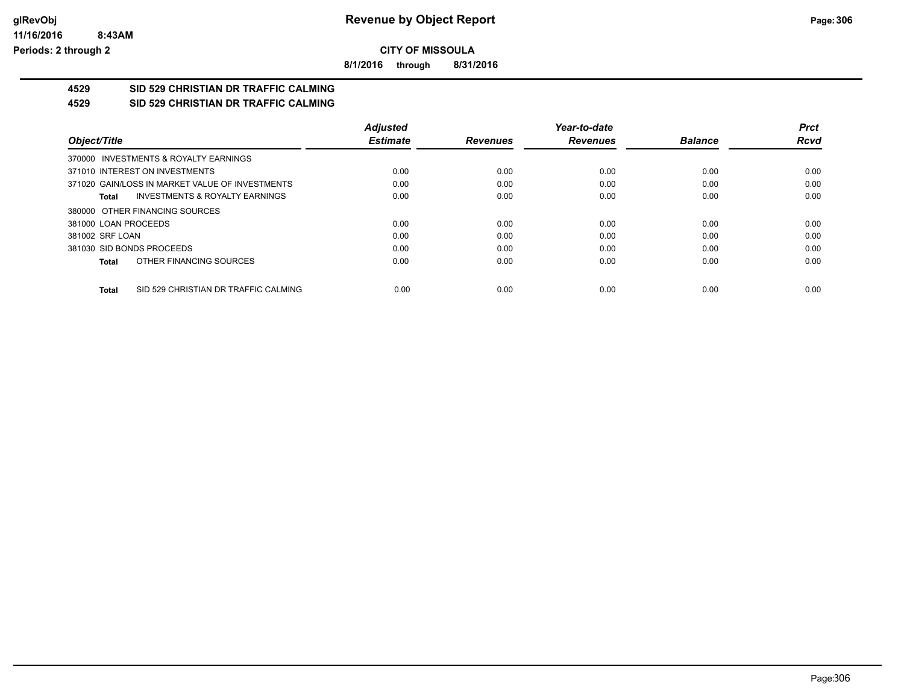**8:43AM**

**CITY OF MISSOULA**

**8/1/2016 through 8/31/2016**

#### **4529 SID 529 CHRISTIAN DR TRAFFIC CALMING 4529 SID 529 CHRISTIAN DR TRAFFIC CALMING**

|                      |                                                 | <b>Adjusted</b> |                 | Year-to-date    |                | <b>Prct</b> |
|----------------------|-------------------------------------------------|-----------------|-----------------|-----------------|----------------|-------------|
| Object/Title         |                                                 | <b>Estimate</b> | <b>Revenues</b> | <b>Revenues</b> | <b>Balance</b> | <b>Rcvd</b> |
|                      | 370000 INVESTMENTS & ROYALTY EARNINGS           |                 |                 |                 |                |             |
|                      | 371010 INTEREST ON INVESTMENTS                  | 0.00            | 0.00            | 0.00            | 0.00           | 0.00        |
|                      | 371020 GAIN/LOSS IN MARKET VALUE OF INVESTMENTS | 0.00            | 0.00            | 0.00            | 0.00           | 0.00        |
| Total                | <b>INVESTMENTS &amp; ROYALTY EARNINGS</b>       | 0.00            | 0.00            | 0.00            | 0.00           | 0.00        |
|                      | 380000 OTHER FINANCING SOURCES                  |                 |                 |                 |                |             |
| 381000 LOAN PROCEEDS |                                                 | 0.00            | 0.00            | 0.00            | 0.00           | 0.00        |
| 381002 SRF LOAN      |                                                 | 0.00            | 0.00            | 0.00            | 0.00           | 0.00        |
|                      | 381030 SID BONDS PROCEEDS                       | 0.00            | 0.00            | 0.00            | 0.00           | 0.00        |
| Total                | OTHER FINANCING SOURCES                         | 0.00            | 0.00            | 0.00            | 0.00           | 0.00        |
| <b>Total</b>         | SID 529 CHRISTIAN DR TRAFFIC CALMING            | 0.00            | 0.00            | 0.00            | 0.00           | 0.00        |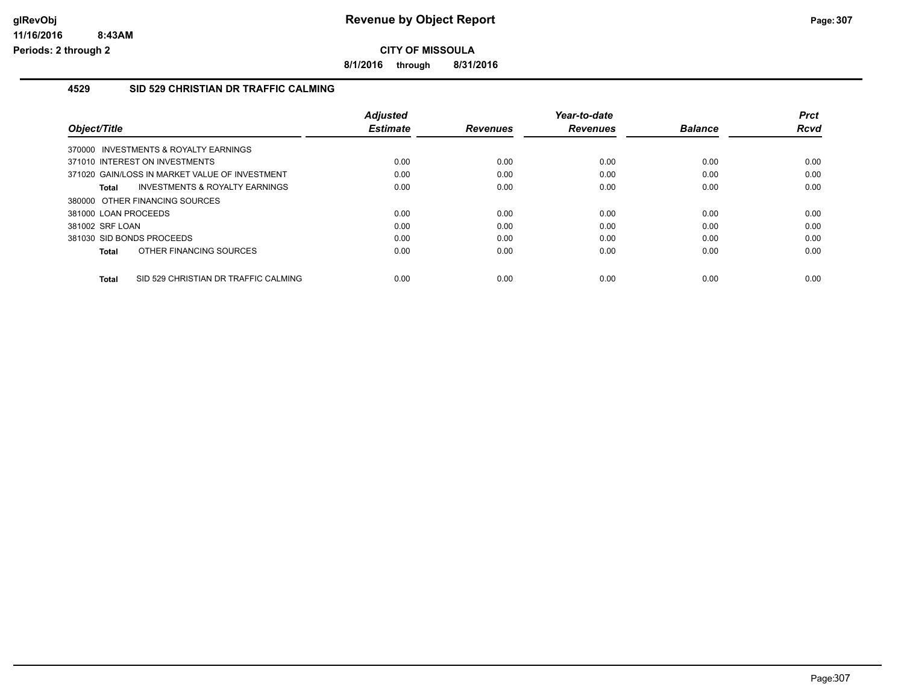**8:43AM**

**CITY OF MISSOULA**

**8/1/2016 through 8/31/2016**

# **4529 SID 529 CHRISTIAN DR TRAFFIC CALMING**

| Object/Title                                         | <b>Adjusted</b><br><b>Estimate</b> | <b>Revenues</b> | Year-to-date<br><b>Revenues</b> | <b>Balance</b> | <b>Prct</b><br>Rcvd |
|------------------------------------------------------|------------------------------------|-----------------|---------------------------------|----------------|---------------------|
| 370000 INVESTMENTS & ROYALTY EARNINGS                |                                    |                 |                                 |                |                     |
| 371010 INTEREST ON INVESTMENTS                       | 0.00                               | 0.00            | 0.00                            | 0.00           | 0.00                |
| 371020 GAIN/LOSS IN MARKET VALUE OF INVESTMENT       | 0.00                               | 0.00            | 0.00                            | 0.00           | 0.00                |
| <b>INVESTMENTS &amp; ROYALTY EARNINGS</b><br>Total   | 0.00                               | 0.00            | 0.00                            | 0.00           | 0.00                |
| 380000 OTHER FINANCING SOURCES                       |                                    |                 |                                 |                |                     |
| 381000 LOAN PROCEEDS                                 | 0.00                               | 0.00            | 0.00                            | 0.00           | 0.00                |
| 381002 SRF LOAN                                      | 0.00                               | 0.00            | 0.00                            | 0.00           | 0.00                |
| 381030 SID BONDS PROCEEDS                            | 0.00                               | 0.00            | 0.00                            | 0.00           | 0.00                |
| OTHER FINANCING SOURCES<br>Total                     | 0.00                               | 0.00            | 0.00                            | 0.00           | 0.00                |
| SID 529 CHRISTIAN DR TRAFFIC CALMING<br><b>Total</b> | 0.00                               | 0.00            | 0.00                            | 0.00           | 0.00                |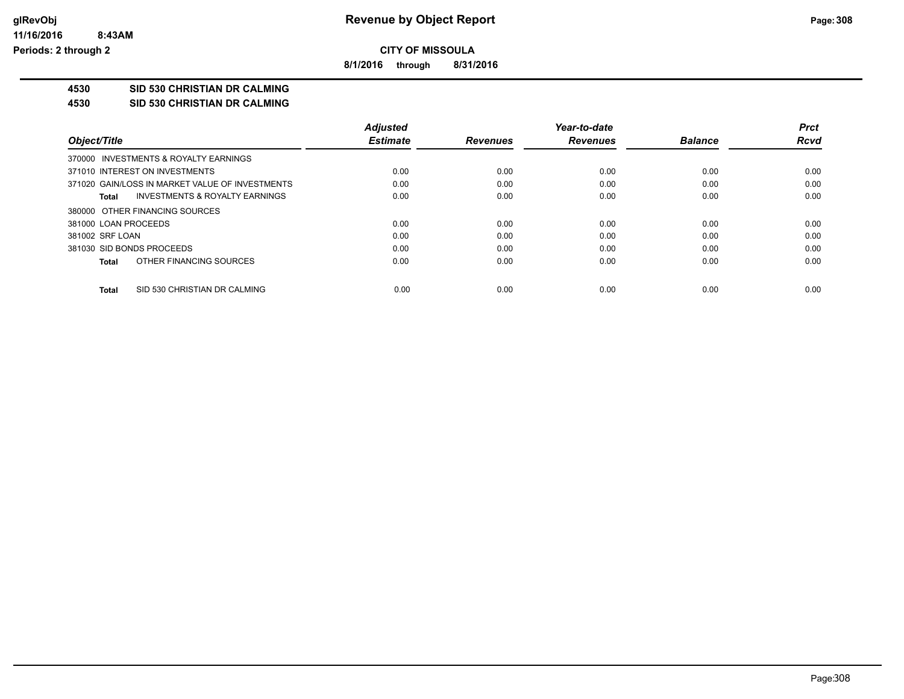**8/1/2016 through 8/31/2016**

# **4530 SID 530 CHRISTIAN DR CALMING**

**4530 SID 530 CHRISTIAN DR CALMING**

|                                                 | <b>Adjusted</b> |                 | Year-to-date    |                | Prct        |
|-------------------------------------------------|-----------------|-----------------|-----------------|----------------|-------------|
| Object/Title                                    | <b>Estimate</b> | <b>Revenues</b> | <b>Revenues</b> | <b>Balance</b> | <b>Rcvd</b> |
| 370000 INVESTMENTS & ROYALTY EARNINGS           |                 |                 |                 |                |             |
| 371010 INTEREST ON INVESTMENTS                  | 0.00            | 0.00            | 0.00            | 0.00           | 0.00        |
| 371020 GAIN/LOSS IN MARKET VALUE OF INVESTMENTS | 0.00            | 0.00            | 0.00            | 0.00           | 0.00        |
| INVESTMENTS & ROYALTY EARNINGS<br>Total         | 0.00            | 0.00            | 0.00            | 0.00           | 0.00        |
| 380000 OTHER FINANCING SOURCES                  |                 |                 |                 |                |             |
| 381000 LOAN PROCEEDS                            | 0.00            | 0.00            | 0.00            | 0.00           | 0.00        |
| 381002 SRF LOAN                                 | 0.00            | 0.00            | 0.00            | 0.00           | 0.00        |
| 381030 SID BONDS PROCEEDS                       | 0.00            | 0.00            | 0.00            | 0.00           | 0.00        |
| OTHER FINANCING SOURCES<br>Total                | 0.00            | 0.00            | 0.00            | 0.00           | 0.00        |
|                                                 |                 |                 |                 |                |             |
| SID 530 CHRISTIAN DR CALMING<br>Total           | 0.00            | 0.00            | 0.00            | 0.00           | 0.00        |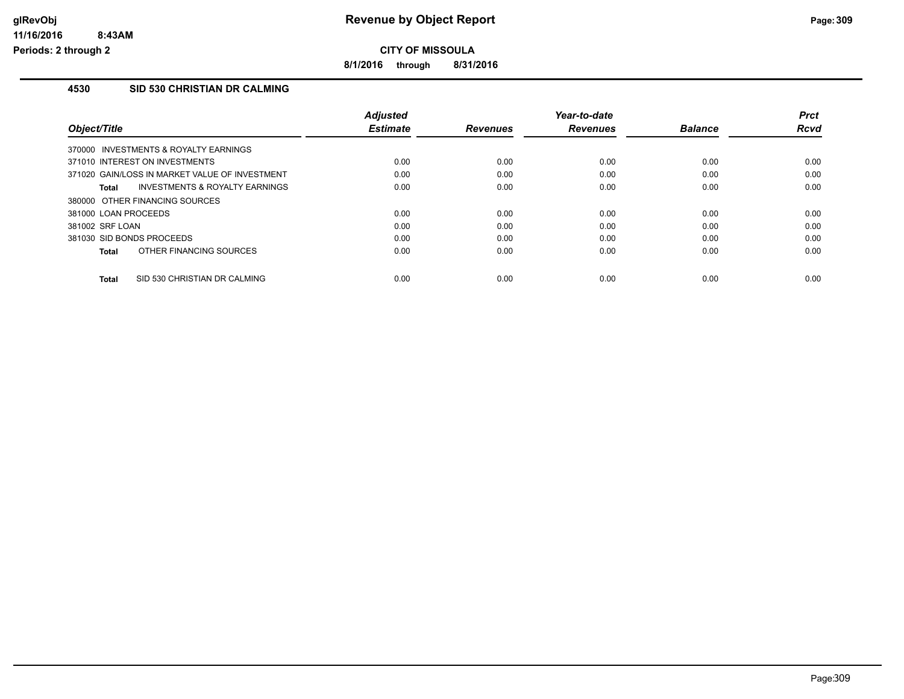**8:43AM**

**CITY OF MISSOULA**

**8/1/2016 through 8/31/2016**

# **4530 SID 530 CHRISTIAN DR CALMING**

| Object/Title                                   | <b>Adjusted</b><br><b>Estimate</b> | <b>Revenues</b> | Year-to-date<br><b>Revenues</b> | <b>Balance</b> | <b>Prct</b><br>Rcvd |
|------------------------------------------------|------------------------------------|-----------------|---------------------------------|----------------|---------------------|
| 370000 INVESTMENTS & ROYALTY EARNINGS          |                                    |                 |                                 |                |                     |
| 371010 INTEREST ON INVESTMENTS                 | 0.00                               | 0.00            | 0.00                            | 0.00           | 0.00                |
| 371020 GAIN/LOSS IN MARKET VALUE OF INVESTMENT | 0.00                               | 0.00            | 0.00                            | 0.00           | 0.00                |
| INVESTMENTS & ROYALTY EARNINGS<br>Total        | 0.00                               | 0.00            | 0.00                            | 0.00           | 0.00                |
| 380000 OTHER FINANCING SOURCES                 |                                    |                 |                                 |                |                     |
| 381000 LOAN PROCEEDS                           | 0.00                               | 0.00            | 0.00                            | 0.00           | 0.00                |
| 381002 SRF LOAN                                | 0.00                               | 0.00            | 0.00                            | 0.00           | 0.00                |
| 381030 SID BONDS PROCEEDS                      | 0.00                               | 0.00            | 0.00                            | 0.00           | 0.00                |
| OTHER FINANCING SOURCES<br><b>Total</b>        | 0.00                               | 0.00            | 0.00                            | 0.00           | 0.00                |
| SID 530 CHRISTIAN DR CALMING<br><b>Total</b>   | 0.00                               | 0.00            | 0.00                            | 0.00           | 0.00                |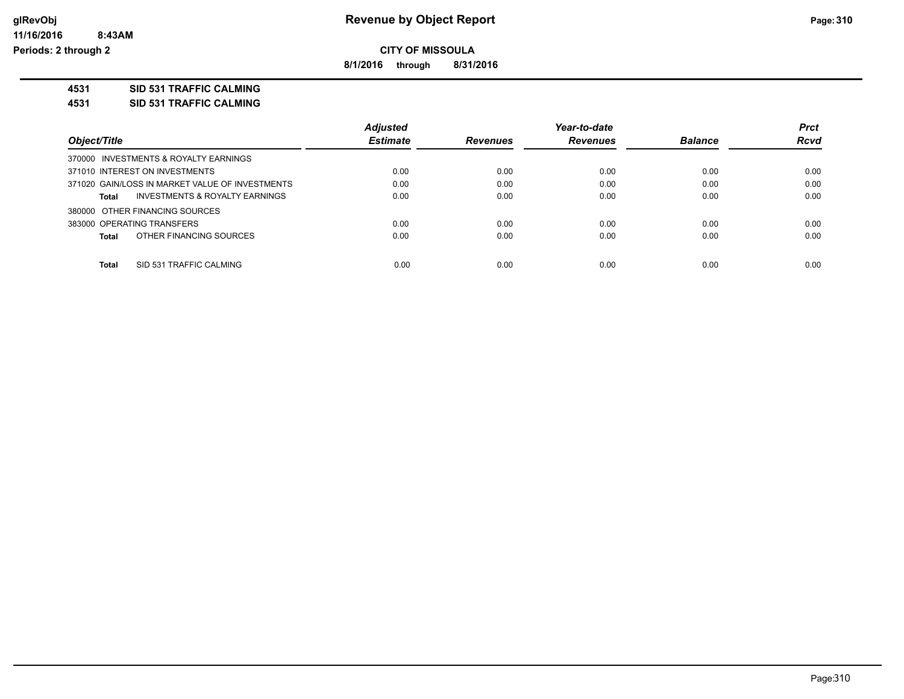**8/1/2016 through 8/31/2016**

#### **4531 SID 531 TRAFFIC CALMING**

**4531 SID 531 TRAFFIC CALMING**

|                                                 | <b>Adjusted</b> |                 | Year-to-date    |                | <b>Prct</b> |
|-------------------------------------------------|-----------------|-----------------|-----------------|----------------|-------------|
| Object/Title                                    | <b>Estimate</b> | <b>Revenues</b> | <b>Revenues</b> | <b>Balance</b> | <b>Rcvd</b> |
| 370000 INVESTMENTS & ROYALTY EARNINGS           |                 |                 |                 |                |             |
| 371010 INTEREST ON INVESTMENTS                  | 0.00            | 0.00            | 0.00            | 0.00           | 0.00        |
| 371020 GAIN/LOSS IN MARKET VALUE OF INVESTMENTS | 0.00            | 0.00            | 0.00            | 0.00           | 0.00        |
| INVESTMENTS & ROYALTY EARNINGS<br>Total         | 0.00            | 0.00            | 0.00            | 0.00           | 0.00        |
| 380000 OTHER FINANCING SOURCES                  |                 |                 |                 |                |             |
| 383000 OPERATING TRANSFERS                      | 0.00            | 0.00            | 0.00            | 0.00           | 0.00        |
| OTHER FINANCING SOURCES<br>Total                | 0.00            | 0.00            | 0.00            | 0.00           | 0.00        |
|                                                 |                 |                 |                 |                |             |
| <b>Total</b><br>SID 531 TRAFFIC CALMING         | 0.00            | 0.00            | 0.00            | 0.00           | 0.00        |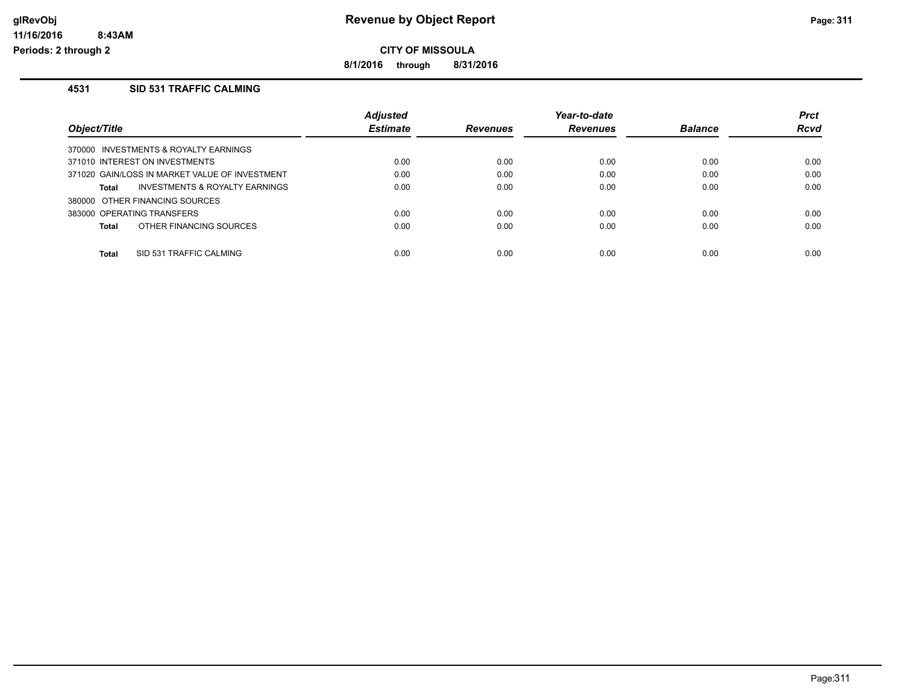**CITY OF MISSOULA**

**8/1/2016 through 8/31/2016**

#### **4531 SID 531 TRAFFIC CALMING**

 **8:43AM**

|                                                | <b>Adjusted</b> |                 | Year-to-date    |                | <b>Prct</b> |
|------------------------------------------------|-----------------|-----------------|-----------------|----------------|-------------|
| Object/Title                                   | <b>Estimate</b> | <b>Revenues</b> | <b>Revenues</b> | <b>Balance</b> | <b>Rcvd</b> |
| 370000 INVESTMENTS & ROYALTY EARNINGS          |                 |                 |                 |                |             |
| 371010 INTEREST ON INVESTMENTS                 | 0.00            | 0.00            | 0.00            | 0.00           | 0.00        |
| 371020 GAIN/LOSS IN MARKET VALUE OF INVESTMENT | 0.00            | 0.00            | 0.00            | 0.00           | 0.00        |
| INVESTMENTS & ROYALTY EARNINGS<br>Total        | 0.00            | 0.00            | 0.00            | 0.00           | 0.00        |
| 380000 OTHER FINANCING SOURCES                 |                 |                 |                 |                |             |
| 383000 OPERATING TRANSFERS                     | 0.00            | 0.00            | 0.00            | 0.00           | 0.00        |
| OTHER FINANCING SOURCES<br><b>Total</b>        | 0.00            | 0.00            | 0.00            | 0.00           | 0.00        |
|                                                |                 |                 |                 |                |             |
| <b>Total</b><br>SID 531 TRAFFIC CALMING        | 0.00            | 0.00            | 0.00            | 0.00           | 0.00        |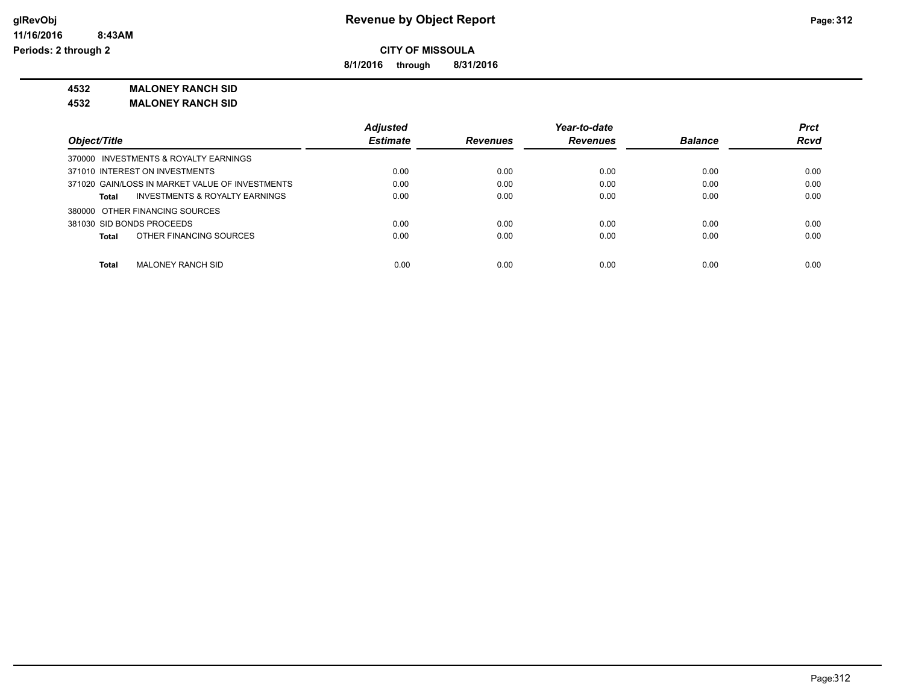**8/1/2016 through 8/31/2016**

**4532 MALONEY RANCH SID**

**4532 MALONEY RANCH SID**

|                                                    | <b>Adjusted</b> |                 | Year-to-date    |                | <b>Prct</b> |
|----------------------------------------------------|-----------------|-----------------|-----------------|----------------|-------------|
| Object/Title                                       | <b>Estimate</b> | <b>Revenues</b> | <b>Revenues</b> | <b>Balance</b> | <b>Rcvd</b> |
| 370000 INVESTMENTS & ROYALTY EARNINGS              |                 |                 |                 |                |             |
| 371010 INTEREST ON INVESTMENTS                     | 0.00            | 0.00            | 0.00            | 0.00           | 0.00        |
| 371020 GAIN/LOSS IN MARKET VALUE OF INVESTMENTS    | 0.00            | 0.00            | 0.00            | 0.00           | 0.00        |
| <b>INVESTMENTS &amp; ROYALTY EARNINGS</b><br>Total | 0.00            | 0.00            | 0.00            | 0.00           | 0.00        |
| 380000 OTHER FINANCING SOURCES                     |                 |                 |                 |                |             |
| 381030 SID BONDS PROCEEDS                          | 0.00            | 0.00            | 0.00            | 0.00           | 0.00        |
| OTHER FINANCING SOURCES<br>Total                   | 0.00            | 0.00            | 0.00            | 0.00           | 0.00        |
|                                                    |                 |                 |                 |                |             |
| <b>MALONEY RANCH SID</b><br>Total                  | 0.00            | 0.00            | 0.00            | 0.00           | 0.00        |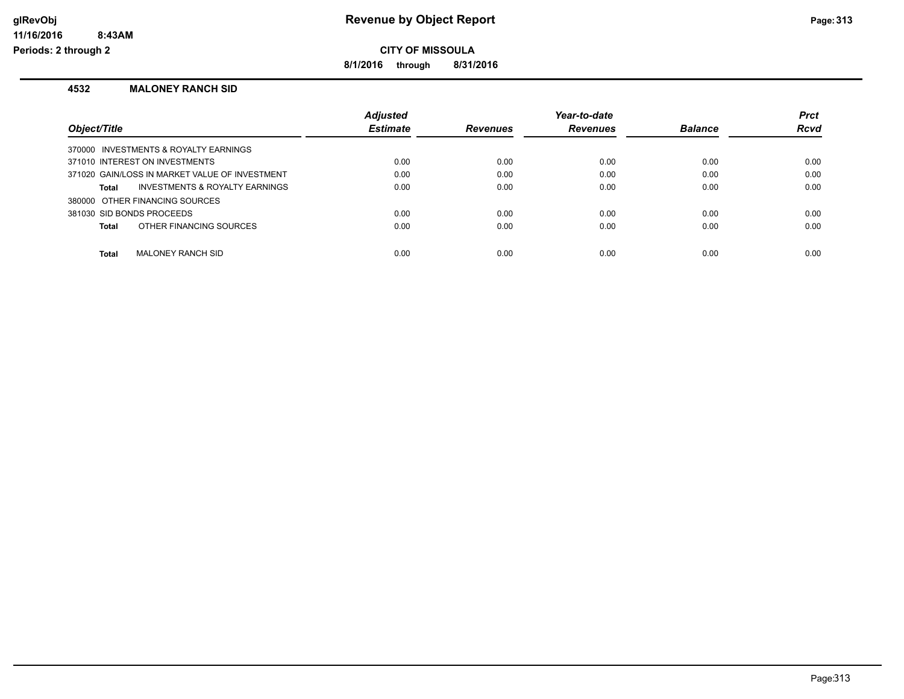#### **11/16/2016 8:43AM Periods: 2 through 2**

**CITY OF MISSOULA**

**8/1/2016 through 8/31/2016**

#### **4532 MALONEY RANCH SID**

|                                                | <b>Adjusted</b> |                 | Year-to-date    |                | <b>Prct</b> |
|------------------------------------------------|-----------------|-----------------|-----------------|----------------|-------------|
| Object/Title                                   | <b>Estimate</b> | <b>Revenues</b> | <b>Revenues</b> | <b>Balance</b> | <b>Rcvd</b> |
| 370000 INVESTMENTS & ROYALTY EARNINGS          |                 |                 |                 |                |             |
| 371010 INTEREST ON INVESTMENTS                 | 0.00            | 0.00            | 0.00            | 0.00           | 0.00        |
| 371020 GAIN/LOSS IN MARKET VALUE OF INVESTMENT | 0.00            | 0.00            | 0.00            | 0.00           | 0.00        |
| INVESTMENTS & ROYALTY EARNINGS<br>Total        | 0.00            | 0.00            | 0.00            | 0.00           | 0.00        |
| 380000 OTHER FINANCING SOURCES                 |                 |                 |                 |                |             |
| 381030 SID BONDS PROCEEDS                      | 0.00            | 0.00            | 0.00            | 0.00           | 0.00        |
| OTHER FINANCING SOURCES<br>Total               | 0.00            | 0.00            | 0.00            | 0.00           | 0.00        |
|                                                |                 |                 |                 |                |             |
| <b>Total</b><br><b>MALONEY RANCH SID</b>       | 0.00            | 0.00            | 0.00            | 0.00           | 0.00        |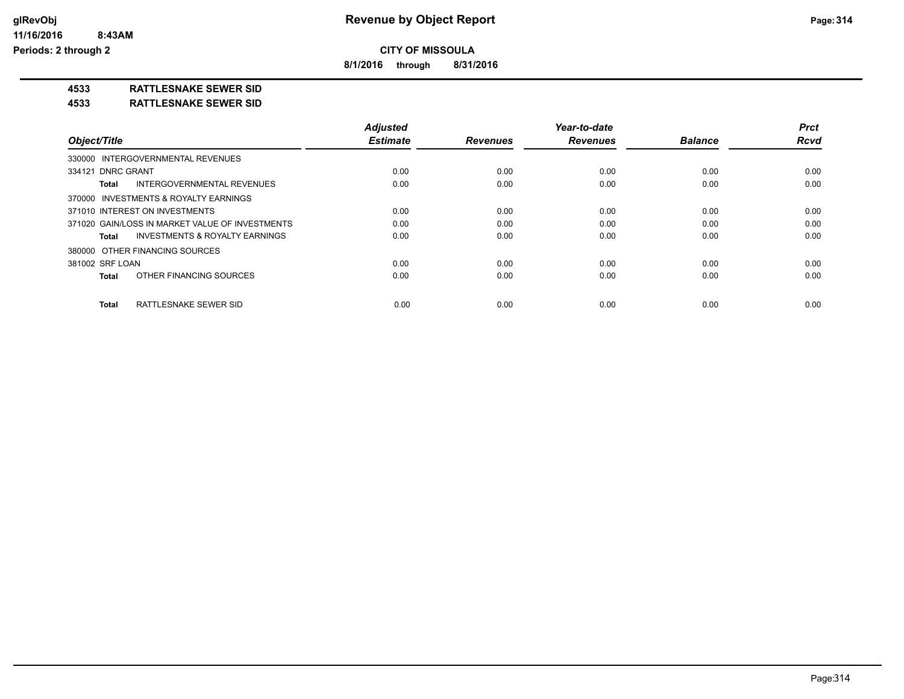**8/1/2016 through 8/31/2016**

#### **4533 RATTLESNAKE SEWER SID**

**4533 RATTLESNAKE SEWER SID**

|                                                    | <b>Adjusted</b> |                 | Year-to-date    |                | <b>Prct</b> |
|----------------------------------------------------|-----------------|-----------------|-----------------|----------------|-------------|
| Object/Title                                       | <b>Estimate</b> | <b>Revenues</b> | <b>Revenues</b> | <b>Balance</b> | <b>Rcvd</b> |
| 330000 INTERGOVERNMENTAL REVENUES                  |                 |                 |                 |                |             |
| 334121 DNRC GRANT                                  | 0.00            | 0.00            | 0.00            | 0.00           | 0.00        |
| INTERGOVERNMENTAL REVENUES<br>Total                | 0.00            | 0.00            | 0.00            | 0.00           | 0.00        |
| 370000 INVESTMENTS & ROYALTY EARNINGS              |                 |                 |                 |                |             |
| 371010 INTEREST ON INVESTMENTS                     | 0.00            | 0.00            | 0.00            | 0.00           | 0.00        |
| 371020 GAIN/LOSS IN MARKET VALUE OF INVESTMENTS    | 0.00            | 0.00            | 0.00            | 0.00           | 0.00        |
| <b>INVESTMENTS &amp; ROYALTY EARNINGS</b><br>Total | 0.00            | 0.00            | 0.00            | 0.00           | 0.00        |
| 380000 OTHER FINANCING SOURCES                     |                 |                 |                 |                |             |
| 381002 SRF LOAN                                    | 0.00            | 0.00            | 0.00            | 0.00           | 0.00        |
| OTHER FINANCING SOURCES<br>Total                   | 0.00            | 0.00            | 0.00            | 0.00           | 0.00        |
| RATTLESNAKE SEWER SID<br><b>Total</b>              | 0.00            | 0.00            | 0.00            | 0.00           | 0.00        |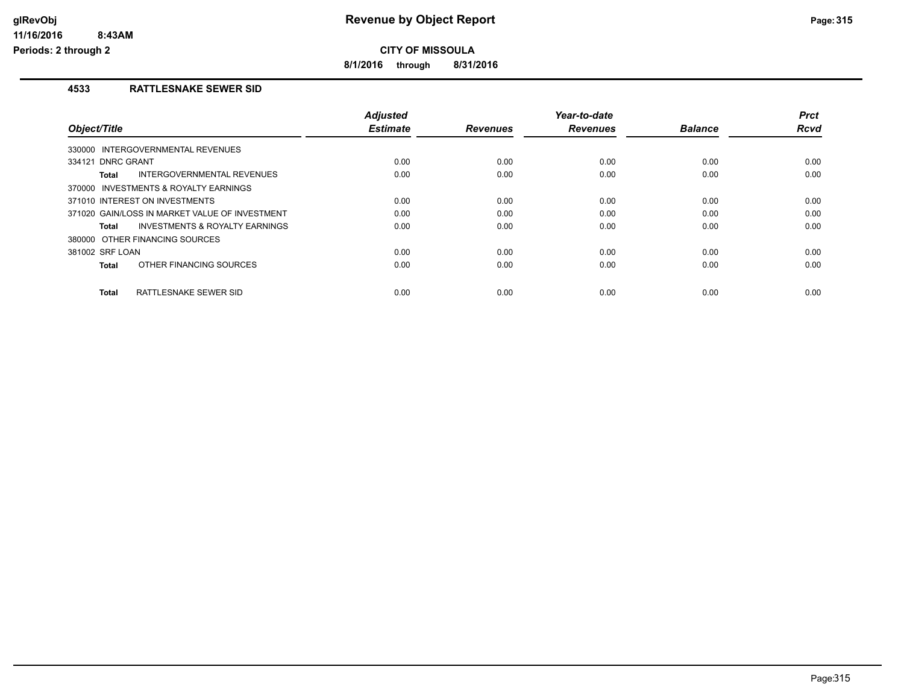**8/1/2016 through 8/31/2016**

# **4533 RATTLESNAKE SEWER SID**

|                                                    | <b>Adjusted</b> |                 | Year-to-date    |                | <b>Prct</b> |
|----------------------------------------------------|-----------------|-----------------|-----------------|----------------|-------------|
| Object/Title                                       | <b>Estimate</b> | <b>Revenues</b> | <b>Revenues</b> | <b>Balance</b> | <b>Rcvd</b> |
| 330000 INTERGOVERNMENTAL REVENUES                  |                 |                 |                 |                |             |
| 334121 DNRC GRANT                                  | 0.00            | 0.00            | 0.00            | 0.00           | 0.00        |
| INTERGOVERNMENTAL REVENUES<br>Total                | 0.00            | 0.00            | 0.00            | 0.00           | 0.00        |
| 370000 INVESTMENTS & ROYALTY EARNINGS              |                 |                 |                 |                |             |
| 371010 INTEREST ON INVESTMENTS                     | 0.00            | 0.00            | 0.00            | 0.00           | 0.00        |
| 371020 GAIN/LOSS IN MARKET VALUE OF INVESTMENT     | 0.00            | 0.00            | 0.00            | 0.00           | 0.00        |
| <b>INVESTMENTS &amp; ROYALTY EARNINGS</b><br>Total | 0.00            | 0.00            | 0.00            | 0.00           | 0.00        |
| 380000 OTHER FINANCING SOURCES                     |                 |                 |                 |                |             |
| 381002 SRF LOAN                                    | 0.00            | 0.00            | 0.00            | 0.00           | 0.00        |
| OTHER FINANCING SOURCES<br>Total                   | 0.00            | 0.00            | 0.00            | 0.00           | 0.00        |
| RATTLESNAKE SEWER SID<br><b>Total</b>              | 0.00            | 0.00            | 0.00            | 0.00           | 0.00        |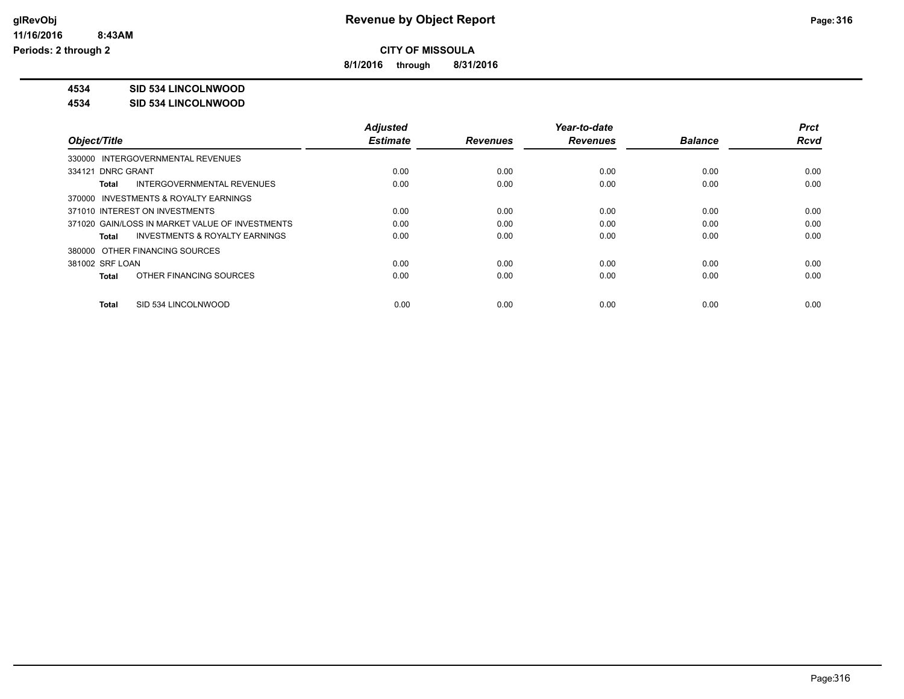**8/1/2016 through 8/31/2016**

## **4534 SID 534 LINCOLNWOOD**

#### **4534 SID 534 LINCOLNWOOD**

|                                                    | <b>Adjusted</b> |                 | Year-to-date    |                | <b>Prct</b> |
|----------------------------------------------------|-----------------|-----------------|-----------------|----------------|-------------|
| Object/Title                                       | <b>Estimate</b> | <b>Revenues</b> | <b>Revenues</b> | <b>Balance</b> | <b>Rcvd</b> |
| 330000 INTERGOVERNMENTAL REVENUES                  |                 |                 |                 |                |             |
| 334121 DNRC GRANT                                  | 0.00            | 0.00            | 0.00            | 0.00           | 0.00        |
| INTERGOVERNMENTAL REVENUES<br>Total                | 0.00            | 0.00            | 0.00            | 0.00           | 0.00        |
| 370000 INVESTMENTS & ROYALTY EARNINGS              |                 |                 |                 |                |             |
| 371010 INTEREST ON INVESTMENTS                     | 0.00            | 0.00            | 0.00            | 0.00           | 0.00        |
| 371020 GAIN/LOSS IN MARKET VALUE OF INVESTMENTS    | 0.00            | 0.00            | 0.00            | 0.00           | 0.00        |
| <b>INVESTMENTS &amp; ROYALTY EARNINGS</b><br>Total | 0.00            | 0.00            | 0.00            | 0.00           | 0.00        |
| 380000 OTHER FINANCING SOURCES                     |                 |                 |                 |                |             |
| 381002 SRF LOAN                                    | 0.00            | 0.00            | 0.00            | 0.00           | 0.00        |
| OTHER FINANCING SOURCES<br>Total                   | 0.00            | 0.00            | 0.00            | 0.00           | 0.00        |
| SID 534 LINCOLNWOOD<br>Total                       | 0.00            | 0.00            | 0.00            | 0.00           | 0.00        |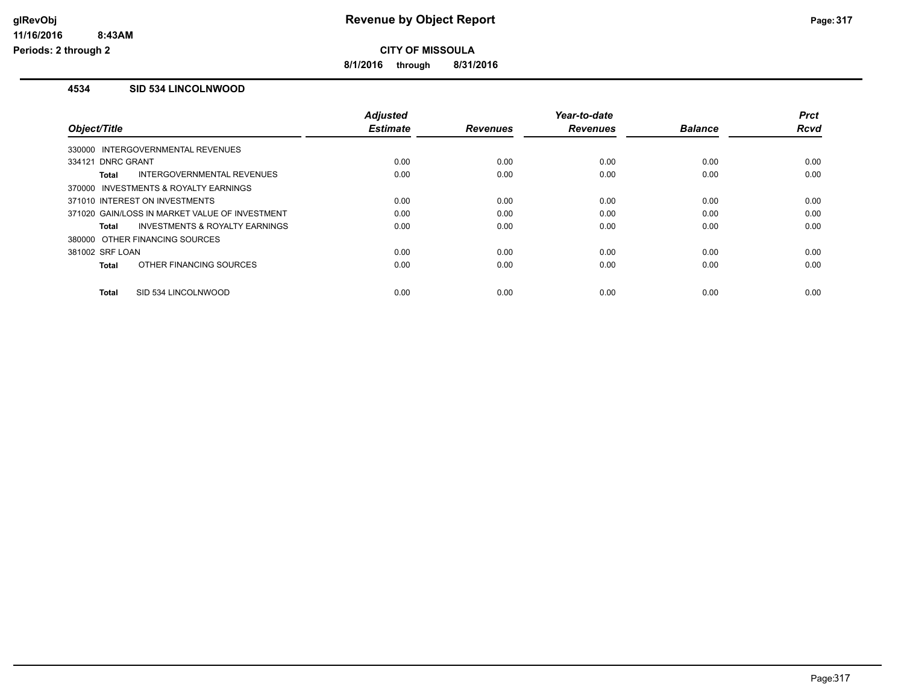**8/1/2016 through 8/31/2016**

#### **4534 SID 534 LINCOLNWOOD**

|                                                    | <b>Adjusted</b> |                 | Year-to-date    |                | <b>Prct</b> |
|----------------------------------------------------|-----------------|-----------------|-----------------|----------------|-------------|
| Object/Title                                       | <b>Estimate</b> | <b>Revenues</b> | <b>Revenues</b> | <b>Balance</b> | <b>Rcvd</b> |
| 330000 INTERGOVERNMENTAL REVENUES                  |                 |                 |                 |                |             |
| 334121 DNRC GRANT                                  | 0.00            | 0.00            | 0.00            | 0.00           | 0.00        |
| INTERGOVERNMENTAL REVENUES<br>Total                | 0.00            | 0.00            | 0.00            | 0.00           | 0.00        |
| 370000 INVESTMENTS & ROYALTY EARNINGS              |                 |                 |                 |                |             |
| 371010 INTEREST ON INVESTMENTS                     | 0.00            | 0.00            | 0.00            | 0.00           | 0.00        |
| 371020 GAIN/LOSS IN MARKET VALUE OF INVESTMENT     | 0.00            | 0.00            | 0.00            | 0.00           | 0.00        |
| <b>INVESTMENTS &amp; ROYALTY EARNINGS</b><br>Total | 0.00            | 0.00            | 0.00            | 0.00           | 0.00        |
| 380000 OTHER FINANCING SOURCES                     |                 |                 |                 |                |             |
| 381002 SRF LOAN                                    | 0.00            | 0.00            | 0.00            | 0.00           | 0.00        |
| OTHER FINANCING SOURCES<br>Total                   | 0.00            | 0.00            | 0.00            | 0.00           | 0.00        |
| <b>Total</b><br>SID 534 LINCOLNWOOD                | 0.00            | 0.00            | 0.00            | 0.00           | 0.00        |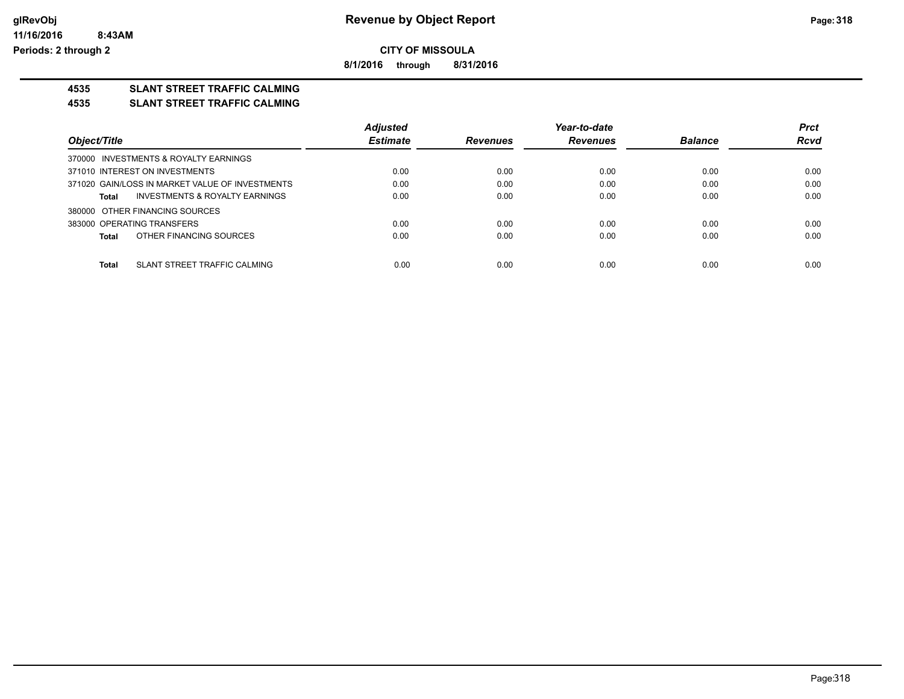**8/1/2016 through 8/31/2016**

# **4535 SLANT STREET TRAFFIC CALMING**

# **4535 SLANT STREET TRAFFIC CALMING**

|                                                    | <b>Adjusted</b> |                 | Year-to-date    |                | <b>Prct</b> |
|----------------------------------------------------|-----------------|-----------------|-----------------|----------------|-------------|
| Object/Title                                       | <b>Estimate</b> | <b>Revenues</b> | <b>Revenues</b> | <b>Balance</b> | <b>Rcvd</b> |
| 370000 INVESTMENTS & ROYALTY EARNINGS              |                 |                 |                 |                |             |
| 371010 INTEREST ON INVESTMENTS                     | 0.00            | 0.00            | 0.00            | 0.00           | 0.00        |
| 371020 GAIN/LOSS IN MARKET VALUE OF INVESTMENTS    | 0.00            | 0.00            | 0.00            | 0.00           | 0.00        |
| <b>INVESTMENTS &amp; ROYALTY EARNINGS</b><br>Total | 0.00            | 0.00            | 0.00            | 0.00           | 0.00        |
| 380000 OTHER FINANCING SOURCES                     |                 |                 |                 |                |             |
| 383000 OPERATING TRANSFERS                         | 0.00            | 0.00            | 0.00            | 0.00           | 0.00        |
| OTHER FINANCING SOURCES<br><b>Total</b>            | 0.00            | 0.00            | 0.00            | 0.00           | 0.00        |
| <b>Total</b><br>SLANT STREET TRAFFIC CALMING       | 0.00            | 0.00            | 0.00            | 0.00           | 0.00        |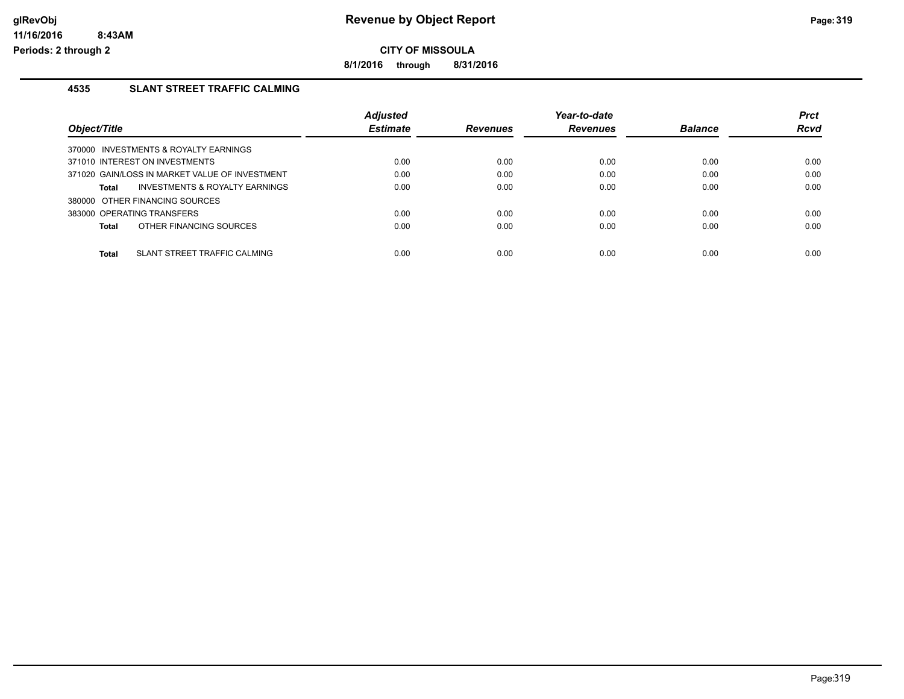**8/1/2016 through 8/31/2016**

# **4535 SLANT STREET TRAFFIC CALMING**

|                                                | <b>Adjusted</b> |                 | Year-to-date    |                | <b>Prct</b> |
|------------------------------------------------|-----------------|-----------------|-----------------|----------------|-------------|
| Object/Title                                   | <b>Estimate</b> | <b>Revenues</b> | <b>Revenues</b> | <b>Balance</b> | <b>Rcvd</b> |
| 370000 INVESTMENTS & ROYALTY EARNINGS          |                 |                 |                 |                |             |
| 371010 INTEREST ON INVESTMENTS                 | 0.00            | 0.00            | 0.00            | 0.00           | 0.00        |
| 371020 GAIN/LOSS IN MARKET VALUE OF INVESTMENT | 0.00            | 0.00            | 0.00            | 0.00           | 0.00        |
| INVESTMENTS & ROYALTY EARNINGS<br>Total        | 0.00            | 0.00            | 0.00            | 0.00           | 0.00        |
| 380000 OTHER FINANCING SOURCES                 |                 |                 |                 |                |             |
| 383000 OPERATING TRANSFERS                     | 0.00            | 0.00            | 0.00            | 0.00           | 0.00        |
| OTHER FINANCING SOURCES<br>Total               | 0.00            | 0.00            | 0.00            | 0.00           | 0.00        |
|                                                |                 |                 |                 |                |             |
| Total<br>SLANT STREET TRAFFIC CALMING          | 0.00            | 0.00            | 0.00            | 0.00           | 0.00        |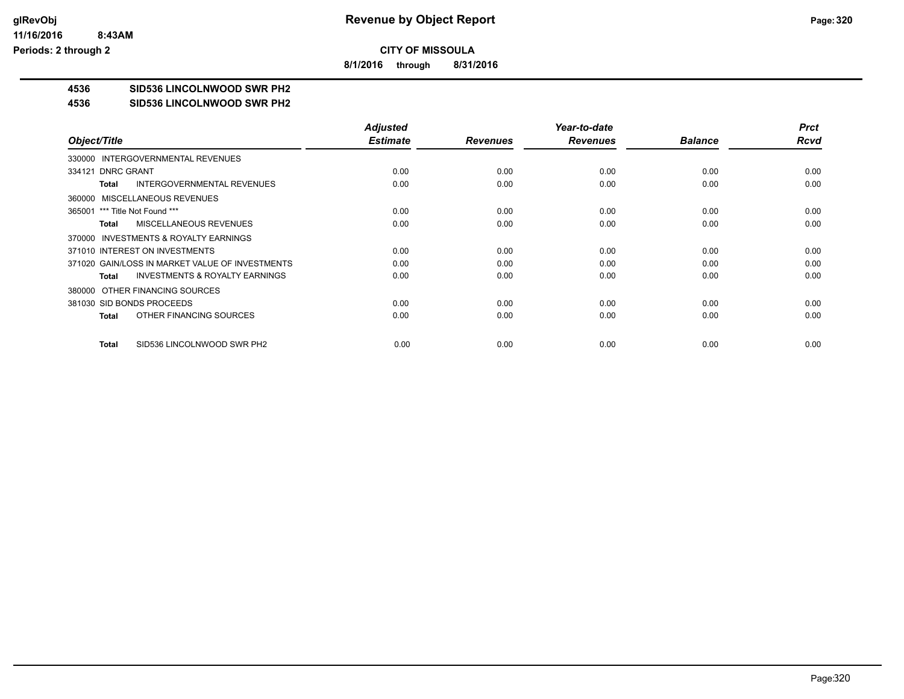**8/1/2016 through 8/31/2016**

# **4536 SID536 LINCOLNWOOD SWR PH2**

#### **4536 SID536 LINCOLNWOOD SWR PH2**

|                                                    | <b>Adjusted</b> |                 | Year-to-date    |                | <b>Prct</b> |
|----------------------------------------------------|-----------------|-----------------|-----------------|----------------|-------------|
| Object/Title                                       | <b>Estimate</b> | <b>Revenues</b> | <b>Revenues</b> | <b>Balance</b> | Rcvd        |
| 330000 INTERGOVERNMENTAL REVENUES                  |                 |                 |                 |                |             |
| 334121 DNRC GRANT                                  | 0.00            | 0.00            | 0.00            | 0.00           | 0.00        |
| <b>INTERGOVERNMENTAL REVENUES</b><br>Total         | 0.00            | 0.00            | 0.00            | 0.00           | 0.00        |
| 360000 MISCELLANEOUS REVENUES                      |                 |                 |                 |                |             |
| 365001 *** Title Not Found ***                     | 0.00            | 0.00            | 0.00            | 0.00           | 0.00        |
| <b>MISCELLANEOUS REVENUES</b><br>Total             | 0.00            | 0.00            | 0.00            | 0.00           | 0.00        |
| 370000 INVESTMENTS & ROYALTY EARNINGS              |                 |                 |                 |                |             |
| 371010 INTEREST ON INVESTMENTS                     | 0.00            | 0.00            | 0.00            | 0.00           | 0.00        |
| 371020 GAIN/LOSS IN MARKET VALUE OF INVESTMENTS    | 0.00            | 0.00            | 0.00            | 0.00           | 0.00        |
| <b>INVESTMENTS &amp; ROYALTY EARNINGS</b><br>Total | 0.00            | 0.00            | 0.00            | 0.00           | 0.00        |
| 380000 OTHER FINANCING SOURCES                     |                 |                 |                 |                |             |
| 381030 SID BONDS PROCEEDS                          | 0.00            | 0.00            | 0.00            | 0.00           | 0.00        |
| OTHER FINANCING SOURCES<br>Total                   | 0.00            | 0.00            | 0.00            | 0.00           | 0.00        |
|                                                    |                 |                 |                 |                |             |
| SID536 LINCOLNWOOD SWR PH2<br>Total                | 0.00            | 0.00            | 0.00            | 0.00           | 0.00        |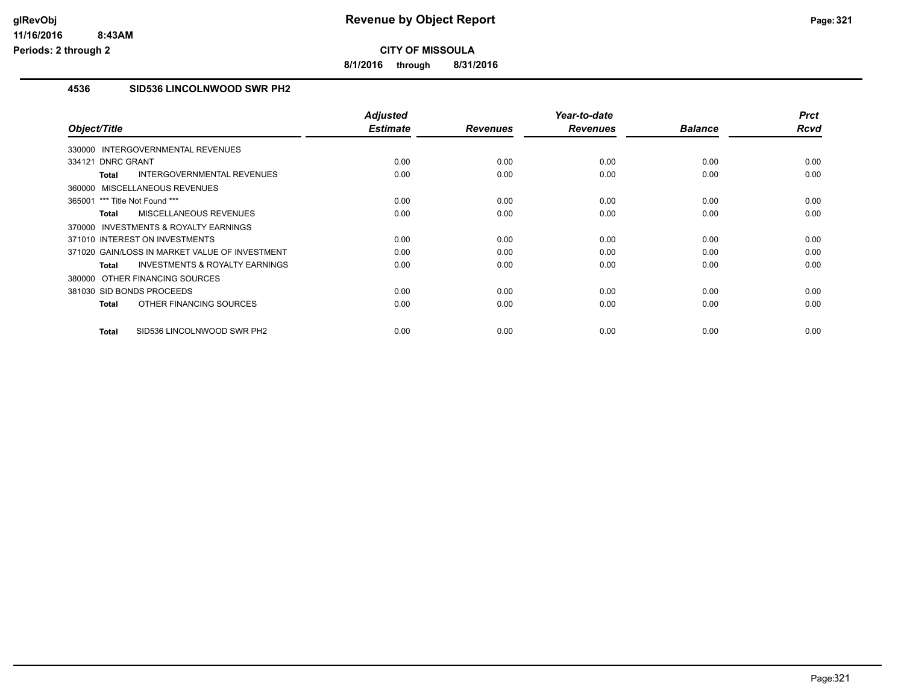**8/1/2016 through 8/31/2016**

# **4536 SID536 LINCOLNWOOD SWR PH2**

| Object/Title                                              | <b>Adjusted</b><br><b>Estimate</b> | <b>Revenues</b> | Year-to-date<br><b>Revenues</b> | <b>Balance</b> | <b>Prct</b><br><b>Rcvd</b> |
|-----------------------------------------------------------|------------------------------------|-----------------|---------------------------------|----------------|----------------------------|
|                                                           |                                    |                 |                                 |                |                            |
| 330000 INTERGOVERNMENTAL REVENUES                         |                                    |                 |                                 |                |                            |
| 334121 DNRC GRANT                                         | 0.00                               | 0.00            | 0.00                            | 0.00           | 0.00                       |
| <b>INTERGOVERNMENTAL REVENUES</b><br><b>Total</b>         | 0.00                               | 0.00            | 0.00                            | 0.00           | 0.00                       |
| 360000 MISCELLANEOUS REVENUES                             |                                    |                 |                                 |                |                            |
| 365001 *** Title Not Found ***                            | 0.00                               | 0.00            | 0.00                            | 0.00           | 0.00                       |
| MISCELLANEOUS REVENUES<br><b>Total</b>                    | 0.00                               | 0.00            | 0.00                            | 0.00           | 0.00                       |
| 370000 INVESTMENTS & ROYALTY EARNINGS                     |                                    |                 |                                 |                |                            |
| 371010 INTEREST ON INVESTMENTS                            | 0.00                               | 0.00            | 0.00                            | 0.00           | 0.00                       |
| 371020 GAIN/LOSS IN MARKET VALUE OF INVESTMENT            | 0.00                               | 0.00            | 0.00                            | 0.00           | 0.00                       |
| <b>INVESTMENTS &amp; ROYALTY EARNINGS</b><br><b>Total</b> | 0.00                               | 0.00            | 0.00                            | 0.00           | 0.00                       |
| 380000 OTHER FINANCING SOURCES                            |                                    |                 |                                 |                |                            |
| 381030 SID BONDS PROCEEDS                                 | 0.00                               | 0.00            | 0.00                            | 0.00           | 0.00                       |
| OTHER FINANCING SOURCES<br><b>Total</b>                   | 0.00                               | 0.00            | 0.00                            | 0.00           | 0.00                       |
|                                                           |                                    |                 |                                 |                |                            |
| SID536 LINCOLNWOOD SWR PH2<br><b>Total</b>                | 0.00                               | 0.00            | 0.00                            | 0.00           | 0.00                       |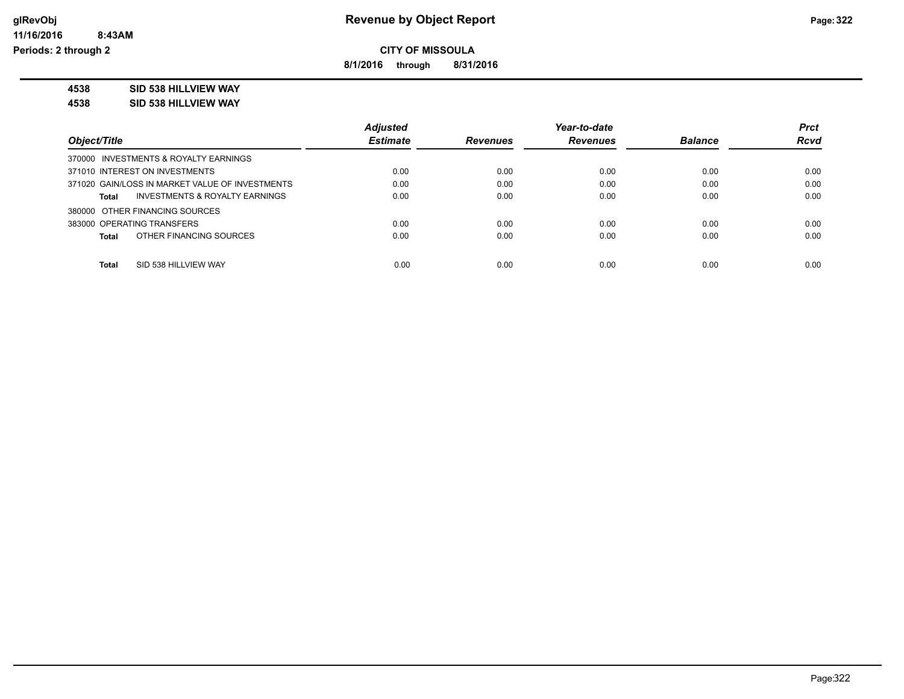**8/1/2016 through 8/31/2016**

#### **4538 SID 538 HILLVIEW WAY**

**4538 SID 538 HILLVIEW WAY**

|                                                 | <b>Adjusted</b> |                 | Year-to-date    |                | <b>Prct</b> |
|-------------------------------------------------|-----------------|-----------------|-----------------|----------------|-------------|
| Object/Title                                    | <b>Estimate</b> | <b>Revenues</b> | <b>Revenues</b> | <b>Balance</b> | <b>Rcvd</b> |
| 370000 INVESTMENTS & ROYALTY EARNINGS           |                 |                 |                 |                |             |
| 371010 INTEREST ON INVESTMENTS                  | 0.00            | 0.00            | 0.00            | 0.00           | 0.00        |
| 371020 GAIN/LOSS IN MARKET VALUE OF INVESTMENTS | 0.00            | 0.00            | 0.00            | 0.00           | 0.00        |
| INVESTMENTS & ROYALTY EARNINGS<br>Total         | 0.00            | 0.00            | 0.00            | 0.00           | 0.00        |
| 380000 OTHER FINANCING SOURCES                  |                 |                 |                 |                |             |
| 383000 OPERATING TRANSFERS                      | 0.00            | 0.00            | 0.00            | 0.00           | 0.00        |
| OTHER FINANCING SOURCES<br>Total                | 0.00            | 0.00            | 0.00            | 0.00           | 0.00        |
|                                                 |                 |                 |                 |                |             |
| <b>Total</b><br>SID 538 HILLVIEW WAY            | 0.00            | 0.00            | 0.00            | 0.00           | 0.00        |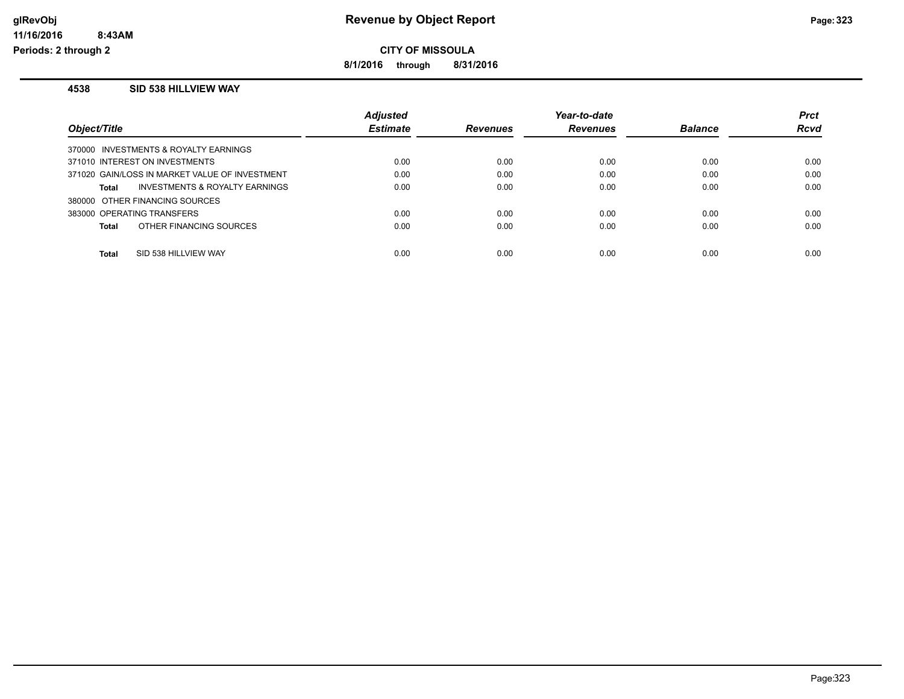**8/1/2016 through 8/31/2016**

#### **4538 SID 538 HILLVIEW WAY**

|                                                | <b>Adjusted</b> |                 | Year-to-date    |                | <b>Prct</b> |
|------------------------------------------------|-----------------|-----------------|-----------------|----------------|-------------|
| Object/Title                                   | <b>Estimate</b> | <b>Revenues</b> | <b>Revenues</b> | <b>Balance</b> | <b>Rcvd</b> |
| 370000 INVESTMENTS & ROYALTY EARNINGS          |                 |                 |                 |                |             |
| 371010 INTEREST ON INVESTMENTS                 | 0.00            | 0.00            | 0.00            | 0.00           | 0.00        |
| 371020 GAIN/LOSS IN MARKET VALUE OF INVESTMENT | 0.00            | 0.00            | 0.00            | 0.00           | 0.00        |
| INVESTMENTS & ROYALTY EARNINGS<br>Total        | 0.00            | 0.00            | 0.00            | 0.00           | 0.00        |
| 380000 OTHER FINANCING SOURCES                 |                 |                 |                 |                |             |
| 383000 OPERATING TRANSFERS                     | 0.00            | 0.00            | 0.00            | 0.00           | 0.00        |
| OTHER FINANCING SOURCES<br>Total               | 0.00            | 0.00            | 0.00            | 0.00           | 0.00        |
| Total<br>SID 538 HILLVIEW WAY                  | 0.00            | 0.00            | 0.00            | 0.00           | 0.00        |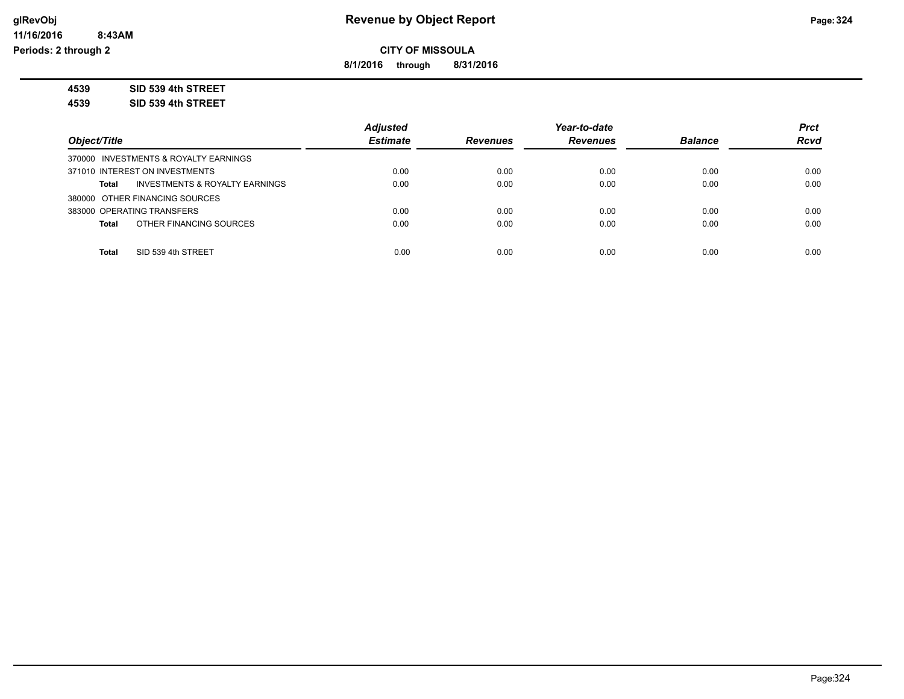**8/1/2016 through 8/31/2016**

**4539 SID 539 4th STREET**

**4539 SID 539 4th STREET**

|                                                    | <b>Adjusted</b> |                 | Year-to-date    |                | <b>Prct</b> |
|----------------------------------------------------|-----------------|-----------------|-----------------|----------------|-------------|
| Object/Title                                       | <b>Estimate</b> | <b>Revenues</b> | <b>Revenues</b> | <b>Balance</b> | <b>Rcvd</b> |
| 370000 INVESTMENTS & ROYALTY EARNINGS              |                 |                 |                 |                |             |
| 371010 INTEREST ON INVESTMENTS                     | 0.00            | 0.00            | 0.00            | 0.00           | 0.00        |
| <b>INVESTMENTS &amp; ROYALTY EARNINGS</b><br>Total | 0.00            | 0.00            | 0.00            | 0.00           | 0.00        |
| 380000 OTHER FINANCING SOURCES                     |                 |                 |                 |                |             |
| 383000 OPERATING TRANSFERS                         | 0.00            | 0.00            | 0.00            | 0.00           | 0.00        |
| OTHER FINANCING SOURCES<br>Total                   | 0.00            | 0.00            | 0.00            | 0.00           | 0.00        |
|                                                    |                 |                 |                 |                |             |
| SID 539 4th STREET<br>Total                        | 0.00            | 0.00            | 0.00            | 0.00           | 0.00        |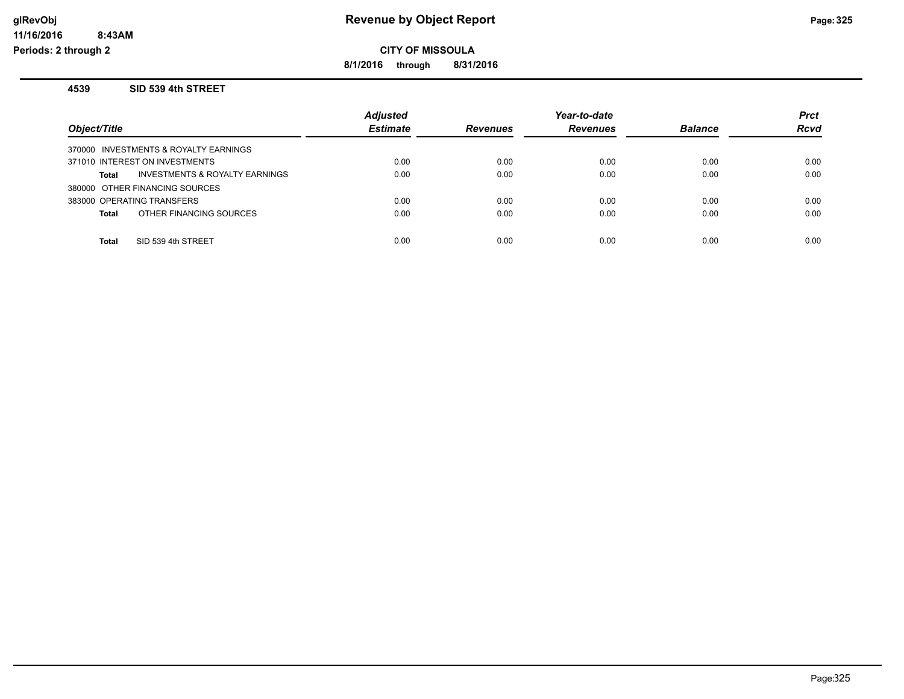**CITY OF MISSOULA**

**8/1/2016 through 8/31/2016**

#### **4539 SID 539 4th STREET**

 **8:43AM**

| Object/Title                                              | <b>Adjusted</b><br><b>Estimate</b> | <b>Revenues</b> | Year-to-date<br><b>Revenues</b> | <b>Balance</b> | <b>Prct</b><br><b>Rcvd</b> |
|-----------------------------------------------------------|------------------------------------|-----------------|---------------------------------|----------------|----------------------------|
| 370000 INVESTMENTS & ROYALTY EARNINGS                     |                                    |                 |                                 |                |                            |
| 371010 INTEREST ON INVESTMENTS                            | 0.00                               | 0.00            | 0.00                            | 0.00           | 0.00                       |
| <b>INVESTMENTS &amp; ROYALTY EARNINGS</b><br><b>Total</b> | 0.00                               | 0.00            | 0.00                            | 0.00           | 0.00                       |
| 380000 OTHER FINANCING SOURCES                            |                                    |                 |                                 |                |                            |
| 383000 OPERATING TRANSFERS                                | 0.00                               | 0.00            | 0.00                            | 0.00           | 0.00                       |
| OTHER FINANCING SOURCES<br><b>Total</b>                   | 0.00                               | 0.00            | 0.00                            | 0.00           | 0.00                       |
|                                                           |                                    |                 |                                 |                |                            |
| SID 539 4th STREET<br><b>Total</b>                        | 0.00                               | 0.00            | 0.00                            | 0.00           | 0.00                       |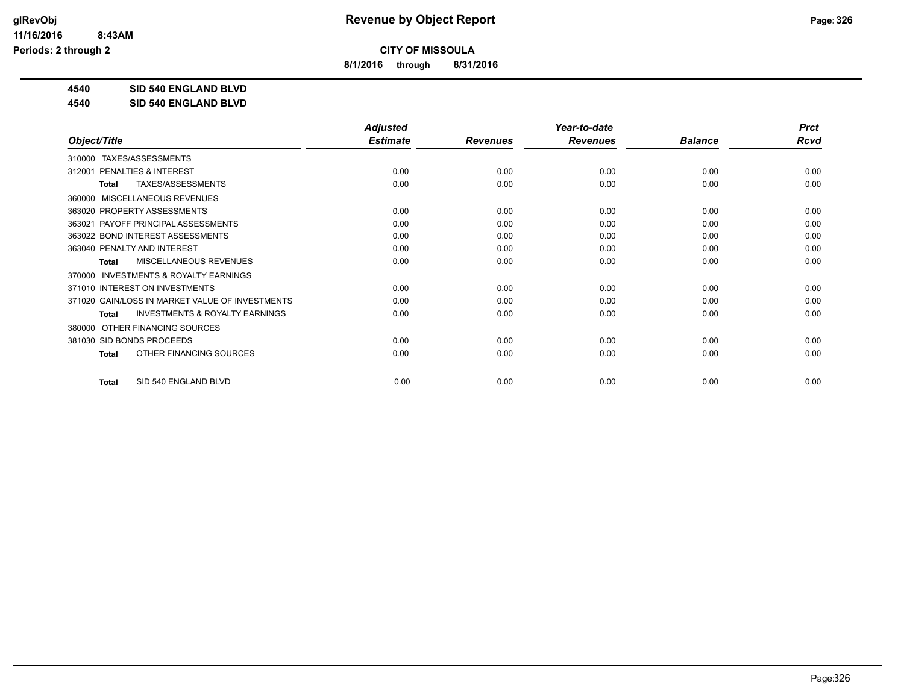**8/1/2016 through 8/31/2016**

**4540 SID 540 ENGLAND BLVD**

**4540 SID 540 ENGLAND BLVD**

|                                                           | <b>Adjusted</b> |                 | Year-to-date    |                | <b>Prct</b> |
|-----------------------------------------------------------|-----------------|-----------------|-----------------|----------------|-------------|
| Object/Title                                              | <b>Estimate</b> | <b>Revenues</b> | <b>Revenues</b> | <b>Balance</b> | <b>Rcvd</b> |
| TAXES/ASSESSMENTS<br>310000                               |                 |                 |                 |                |             |
| PENALTIES & INTEREST<br>312001                            | 0.00            | 0.00            | 0.00            | 0.00           | 0.00        |
| TAXES/ASSESSMENTS<br><b>Total</b>                         | 0.00            | 0.00            | 0.00            | 0.00           | 0.00        |
| MISCELLANEOUS REVENUES<br>360000                          |                 |                 |                 |                |             |
| 363020 PROPERTY ASSESSMENTS                               | 0.00            | 0.00            | 0.00            | 0.00           | 0.00        |
| 363021 PAYOFF PRINCIPAL ASSESSMENTS                       | 0.00            | 0.00            | 0.00            | 0.00           | 0.00        |
| 363022 BOND INTEREST ASSESSMENTS                          | 0.00            | 0.00            | 0.00            | 0.00           | 0.00        |
| 363040 PENALTY AND INTEREST                               | 0.00            | 0.00            | 0.00            | 0.00           | 0.00        |
| <b>MISCELLANEOUS REVENUES</b><br><b>Total</b>             | 0.00            | 0.00            | 0.00            | 0.00           | 0.00        |
| <b>INVESTMENTS &amp; ROYALTY EARNINGS</b><br>370000       |                 |                 |                 |                |             |
| 371010 INTEREST ON INVESTMENTS                            | 0.00            | 0.00            | 0.00            | 0.00           | 0.00        |
| 371020 GAIN/LOSS IN MARKET VALUE OF INVESTMENTS           | 0.00            | 0.00            | 0.00            | 0.00           | 0.00        |
| <b>INVESTMENTS &amp; ROYALTY EARNINGS</b><br><b>Total</b> | 0.00            | 0.00            | 0.00            | 0.00           | 0.00        |
| OTHER FINANCING SOURCES<br>380000                         |                 |                 |                 |                |             |
| 381030 SID BONDS PROCEEDS                                 | 0.00            | 0.00            | 0.00            | 0.00           | 0.00        |
| OTHER FINANCING SOURCES<br><b>Total</b>                   | 0.00            | 0.00            | 0.00            | 0.00           | 0.00        |
|                                                           |                 |                 |                 |                |             |
| SID 540 ENGLAND BLVD<br><b>Total</b>                      | 0.00            | 0.00            | 0.00            | 0.00           | 0.00        |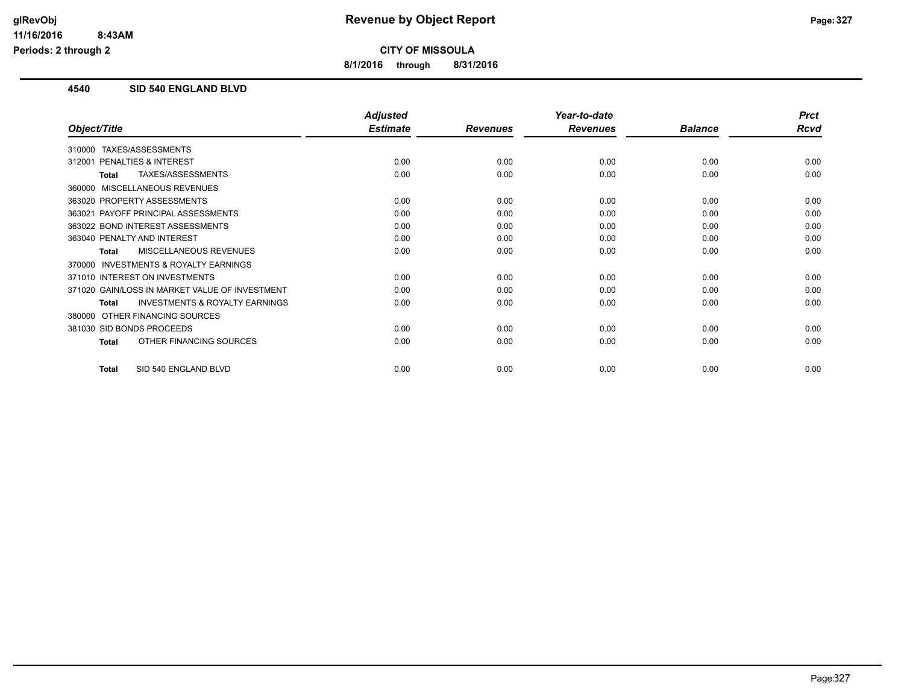**CITY OF MISSOULA**

**8/1/2016 through 8/31/2016**

#### **4540 SID 540 ENGLAND BLVD**

|                                                           | <b>Adjusted</b> |                 | Year-to-date    |                | <b>Prct</b> |
|-----------------------------------------------------------|-----------------|-----------------|-----------------|----------------|-------------|
| Object/Title                                              | <b>Estimate</b> | <b>Revenues</b> | <b>Revenues</b> | <b>Balance</b> | <b>Rcvd</b> |
| <b>TAXES/ASSESSMENTS</b><br>310000                        |                 |                 |                 |                |             |
| 312001 PENALTIES & INTEREST                               | 0.00            | 0.00            | 0.00            | 0.00           | 0.00        |
| TAXES/ASSESSMENTS<br><b>Total</b>                         | 0.00            | 0.00            | 0.00            | 0.00           | 0.00        |
| MISCELLANEOUS REVENUES<br>360000                          |                 |                 |                 |                |             |
| 363020 PROPERTY ASSESSMENTS                               | 0.00            | 0.00            | 0.00            | 0.00           | 0.00        |
| 363021 PAYOFF PRINCIPAL ASSESSMENTS                       | 0.00            | 0.00            | 0.00            | 0.00           | 0.00        |
| 363022 BOND INTEREST ASSESSMENTS                          | 0.00            | 0.00            | 0.00            | 0.00           | 0.00        |
| 363040 PENALTY AND INTEREST                               | 0.00            | 0.00            | 0.00            | 0.00           | 0.00        |
| <b>MISCELLANEOUS REVENUES</b><br><b>Total</b>             | 0.00            | 0.00            | 0.00            | 0.00           | 0.00        |
| <b>INVESTMENTS &amp; ROYALTY EARNINGS</b><br>370000       |                 |                 |                 |                |             |
| 371010 INTEREST ON INVESTMENTS                            | 0.00            | 0.00            | 0.00            | 0.00           | 0.00        |
| 371020 GAIN/LOSS IN MARKET VALUE OF INVESTMENT            | 0.00            | 0.00            | 0.00            | 0.00           | 0.00        |
| <b>INVESTMENTS &amp; ROYALTY EARNINGS</b><br><b>Total</b> | 0.00            | 0.00            | 0.00            | 0.00           | 0.00        |
| OTHER FINANCING SOURCES<br>380000                         |                 |                 |                 |                |             |
| 381030 SID BONDS PROCEEDS                                 | 0.00            | 0.00            | 0.00            | 0.00           | 0.00        |
| OTHER FINANCING SOURCES<br><b>Total</b>                   | 0.00            | 0.00            | 0.00            | 0.00           | 0.00        |
| SID 540 ENGLAND BLVD<br><b>Total</b>                      | 0.00            | 0.00            | 0.00            | 0.00           | 0.00        |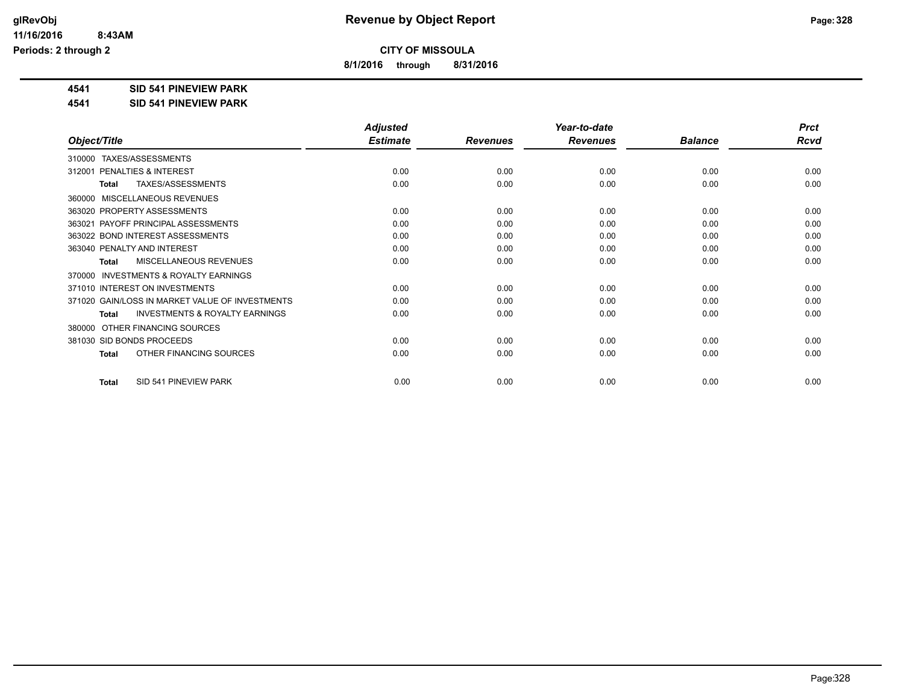**8/1/2016 through 8/31/2016**

**4541 SID 541 PINEVIEW PARK**

**4541 SID 541 PINEVIEW PARK**

|                                                     | <b>Adjusted</b> |                 | Year-to-date    |                | <b>Prct</b> |
|-----------------------------------------------------|-----------------|-----------------|-----------------|----------------|-------------|
| Object/Title                                        | <b>Estimate</b> | <b>Revenues</b> | <b>Revenues</b> | <b>Balance</b> | <b>Rcvd</b> |
| TAXES/ASSESSMENTS<br>310000                         |                 |                 |                 |                |             |
| PENALTIES & INTEREST<br>312001                      | 0.00            | 0.00            | 0.00            | 0.00           | 0.00        |
| <b>TAXES/ASSESSMENTS</b><br><b>Total</b>            | 0.00            | 0.00            | 0.00            | 0.00           | 0.00        |
| MISCELLANEOUS REVENUES<br>360000                    |                 |                 |                 |                |             |
| 363020 PROPERTY ASSESSMENTS                         | 0.00            | 0.00            | 0.00            | 0.00           | 0.00        |
| 363021 PAYOFF PRINCIPAL ASSESSMENTS                 | 0.00            | 0.00            | 0.00            | 0.00           | 0.00        |
| 363022 BOND INTEREST ASSESSMENTS                    | 0.00            | 0.00            | 0.00            | 0.00           | 0.00        |
| 363040 PENALTY AND INTEREST                         | 0.00            | 0.00            | 0.00            | 0.00           | 0.00        |
| <b>MISCELLANEOUS REVENUES</b><br><b>Total</b>       | 0.00            | 0.00            | 0.00            | 0.00           | 0.00        |
| <b>INVESTMENTS &amp; ROYALTY EARNINGS</b><br>370000 |                 |                 |                 |                |             |
| 371010 INTEREST ON INVESTMENTS                      | 0.00            | 0.00            | 0.00            | 0.00           | 0.00        |
| 371020 GAIN/LOSS IN MARKET VALUE OF INVESTMENTS     | 0.00            | 0.00            | 0.00            | 0.00           | 0.00        |
| <b>INVESTMENTS &amp; ROYALTY EARNINGS</b><br>Total  | 0.00            | 0.00            | 0.00            | 0.00           | 0.00        |
| OTHER FINANCING SOURCES<br>380000                   |                 |                 |                 |                |             |
| 381030 SID BONDS PROCEEDS                           | 0.00            | 0.00            | 0.00            | 0.00           | 0.00        |
| OTHER FINANCING SOURCES<br><b>Total</b>             | 0.00            | 0.00            | 0.00            | 0.00           | 0.00        |
| SID 541 PINEVIEW PARK<br><b>Total</b>               | 0.00            | 0.00            | 0.00            | 0.00           | 0.00        |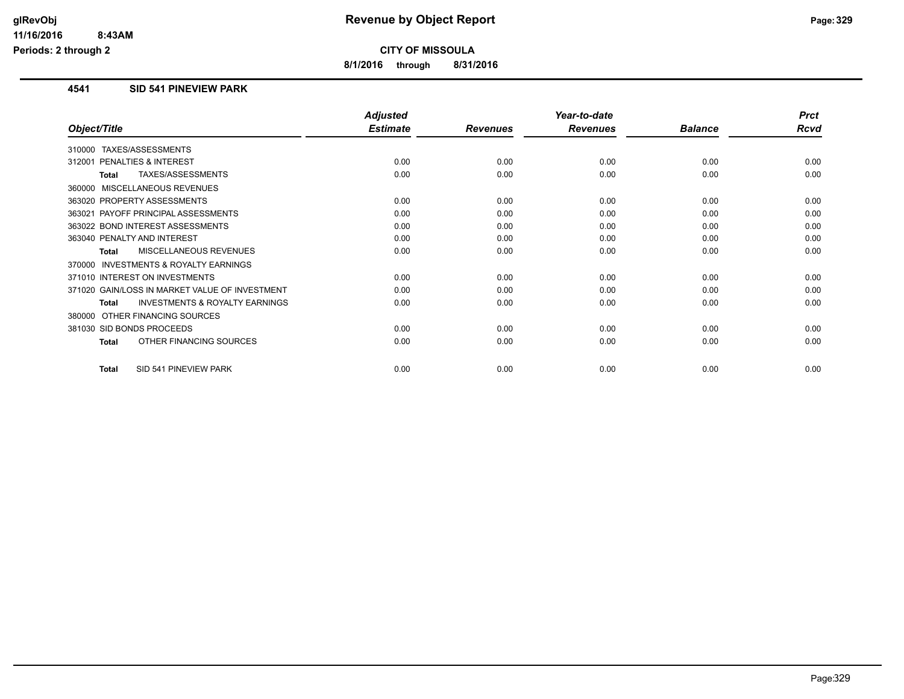**CITY OF MISSOULA**

**8/1/2016 through 8/31/2016**

#### **4541 SID 541 PINEVIEW PARK**

|                                                           | <b>Adjusted</b> |                 | Year-to-date    |                | <b>Prct</b> |
|-----------------------------------------------------------|-----------------|-----------------|-----------------|----------------|-------------|
| Object/Title                                              | <b>Estimate</b> | <b>Revenues</b> | <b>Revenues</b> | <b>Balance</b> | <b>Rcvd</b> |
| <b>TAXES/ASSESSMENTS</b><br>310000                        |                 |                 |                 |                |             |
| 312001 PENALTIES & INTEREST                               | 0.00            | 0.00            | 0.00            | 0.00           | 0.00        |
| TAXES/ASSESSMENTS<br><b>Total</b>                         | 0.00            | 0.00            | 0.00            | 0.00           | 0.00        |
| MISCELLANEOUS REVENUES<br>360000                          |                 |                 |                 |                |             |
| 363020 PROPERTY ASSESSMENTS                               | 0.00            | 0.00            | 0.00            | 0.00           | 0.00        |
| 363021 PAYOFF PRINCIPAL ASSESSMENTS                       | 0.00            | 0.00            | 0.00            | 0.00           | 0.00        |
| 363022 BOND INTEREST ASSESSMENTS                          | 0.00            | 0.00            | 0.00            | 0.00           | 0.00        |
| 363040 PENALTY AND INTEREST                               | 0.00            | 0.00            | 0.00            | 0.00           | 0.00        |
| <b>MISCELLANEOUS REVENUES</b><br><b>Total</b>             | 0.00            | 0.00            | 0.00            | 0.00           | 0.00        |
| <b>INVESTMENTS &amp; ROYALTY EARNINGS</b><br>370000       |                 |                 |                 |                |             |
| 371010 INTEREST ON INVESTMENTS                            | 0.00            | 0.00            | 0.00            | 0.00           | 0.00        |
| 371020 GAIN/LOSS IN MARKET VALUE OF INVESTMENT            | 0.00            | 0.00            | 0.00            | 0.00           | 0.00        |
| <b>INVESTMENTS &amp; ROYALTY EARNINGS</b><br><b>Total</b> | 0.00            | 0.00            | 0.00            | 0.00           | 0.00        |
| OTHER FINANCING SOURCES<br>380000                         |                 |                 |                 |                |             |
| 381030 SID BONDS PROCEEDS                                 | 0.00            | 0.00            | 0.00            | 0.00           | 0.00        |
| OTHER FINANCING SOURCES<br><b>Total</b>                   | 0.00            | 0.00            | 0.00            | 0.00           | 0.00        |
| SID 541 PINEVIEW PARK<br><b>Total</b>                     | 0.00            | 0.00            | 0.00            | 0.00           | 0.00        |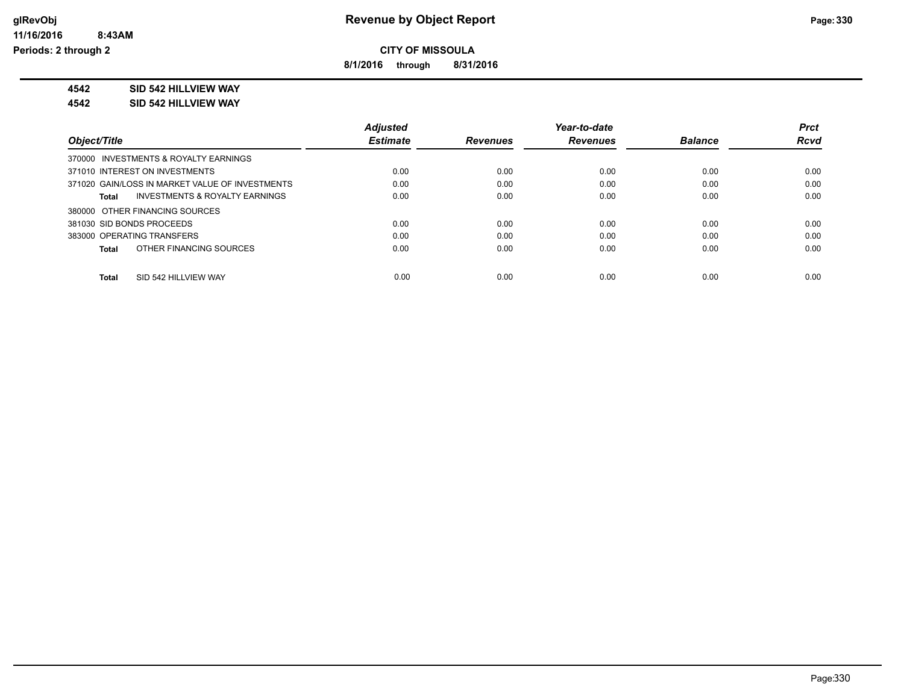**8/1/2016 through 8/31/2016**

#### **4542 SID 542 HILLVIEW WAY**

**4542 SID 542 HILLVIEW WAY**

|                                                    | <b>Adjusted</b> |                 | Year-to-date    |                | <b>Prct</b> |
|----------------------------------------------------|-----------------|-----------------|-----------------|----------------|-------------|
| Object/Title                                       | <b>Estimate</b> | <b>Revenues</b> | <b>Revenues</b> | <b>Balance</b> | <b>Rcvd</b> |
| 370000 INVESTMENTS & ROYALTY EARNINGS              |                 |                 |                 |                |             |
| 371010 INTEREST ON INVESTMENTS                     | 0.00            | 0.00            | 0.00            | 0.00           | 0.00        |
| 371020 GAIN/LOSS IN MARKET VALUE OF INVESTMENTS    | 0.00            | 0.00            | 0.00            | 0.00           | 0.00        |
| <b>INVESTMENTS &amp; ROYALTY EARNINGS</b><br>Total | 0.00            | 0.00            | 0.00            | 0.00           | 0.00        |
| 380000 OTHER FINANCING SOURCES                     |                 |                 |                 |                |             |
| 381030 SID BONDS PROCEEDS                          | 0.00            | 0.00            | 0.00            | 0.00           | 0.00        |
| 383000 OPERATING TRANSFERS                         | 0.00            | 0.00            | 0.00            | 0.00           | 0.00        |
| OTHER FINANCING SOURCES<br><b>Total</b>            | 0.00            | 0.00            | 0.00            | 0.00           | 0.00        |
|                                                    |                 |                 |                 |                |             |
| SID 542 HILLVIEW WAY<br><b>Total</b>               | 0.00            | 0.00            | 0.00            | 0.00           | 0.00        |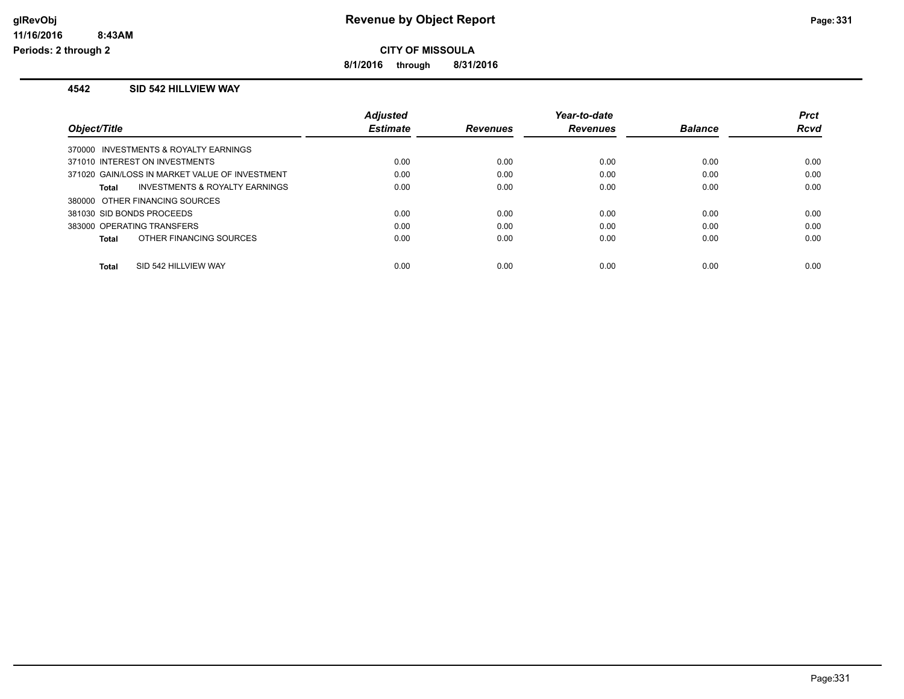**8/1/2016 through 8/31/2016**

#### **4542 SID 542 HILLVIEW WAY**

|                                                | <b>Adiusted</b> |                 | Year-to-date    |                | <b>Prct</b> |
|------------------------------------------------|-----------------|-----------------|-----------------|----------------|-------------|
| Object/Title                                   | <b>Estimate</b> | <b>Revenues</b> | <b>Revenues</b> | <b>Balance</b> | <b>Rcvd</b> |
| 370000 INVESTMENTS & ROYALTY EARNINGS          |                 |                 |                 |                |             |
| 371010 INTEREST ON INVESTMENTS                 | 0.00            | 0.00            | 0.00            | 0.00           | 0.00        |
| 371020 GAIN/LOSS IN MARKET VALUE OF INVESTMENT | 0.00            | 0.00            | 0.00            | 0.00           | 0.00        |
| INVESTMENTS & ROYALTY EARNINGS<br>Total        | 0.00            | 0.00            | 0.00            | 0.00           | 0.00        |
| 380000 OTHER FINANCING SOURCES                 |                 |                 |                 |                |             |
| 381030 SID BONDS PROCEEDS                      | 0.00            | 0.00            | 0.00            | 0.00           | 0.00        |
| 383000 OPERATING TRANSFERS                     | 0.00            | 0.00            | 0.00            | 0.00           | 0.00        |
| OTHER FINANCING SOURCES<br>Total               | 0.00            | 0.00            | 0.00            | 0.00           | 0.00        |
| SID 542 HILLVIEW WAY<br>Total                  | 0.00            | 0.00            | 0.00            | 0.00           | 0.00        |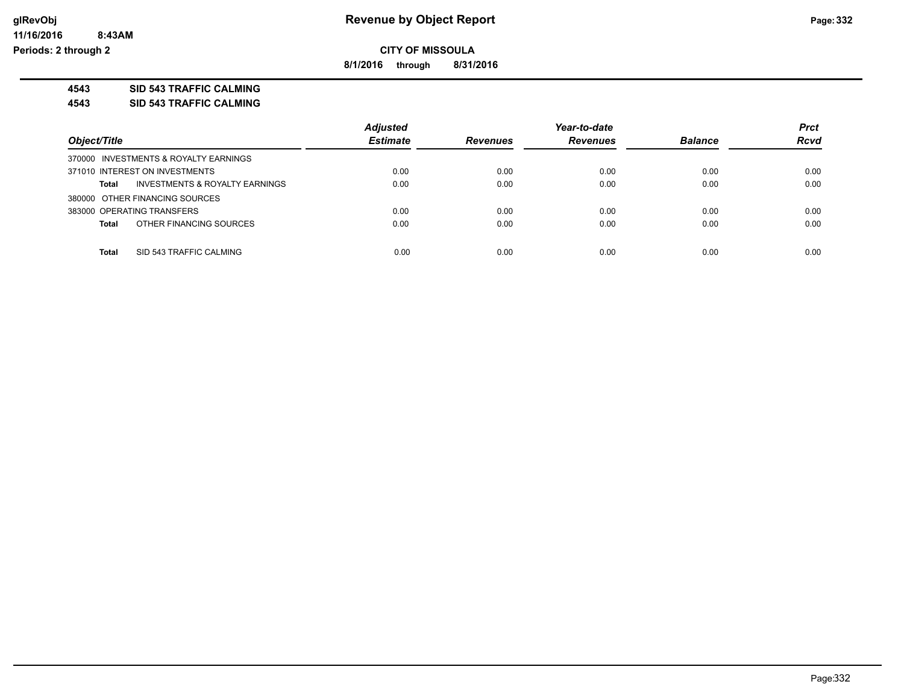**8/1/2016 through 8/31/2016**

#### **4543 SID 543 TRAFFIC CALMING**

#### **4543 SID 543 TRAFFIC CALMING**

|                                                           | <b>Adjusted</b> |                 | Year-to-date    |                | <b>Prct</b> |
|-----------------------------------------------------------|-----------------|-----------------|-----------------|----------------|-------------|
| Object/Title                                              | <b>Estimate</b> | <b>Revenues</b> | <b>Revenues</b> | <b>Balance</b> | <b>Rcvd</b> |
| 370000 INVESTMENTS & ROYALTY EARNINGS                     |                 |                 |                 |                |             |
| 371010 INTEREST ON INVESTMENTS                            | 0.00            | 0.00            | 0.00            | 0.00           | 0.00        |
| <b>INVESTMENTS &amp; ROYALTY EARNINGS</b><br><b>Total</b> | 0.00            | 0.00            | 0.00            | 0.00           | 0.00        |
| 380000 OTHER FINANCING SOURCES                            |                 |                 |                 |                |             |
| 383000 OPERATING TRANSFERS                                | 0.00            | 0.00            | 0.00            | 0.00           | 0.00        |
| OTHER FINANCING SOURCES<br><b>Total</b>                   | 0.00            | 0.00            | 0.00            | 0.00           | 0.00        |
|                                                           |                 |                 |                 |                |             |
| SID 543 TRAFFIC CALMING<br><b>Total</b>                   | 0.00            | 0.00            | 0.00            | 0.00           | 0.00        |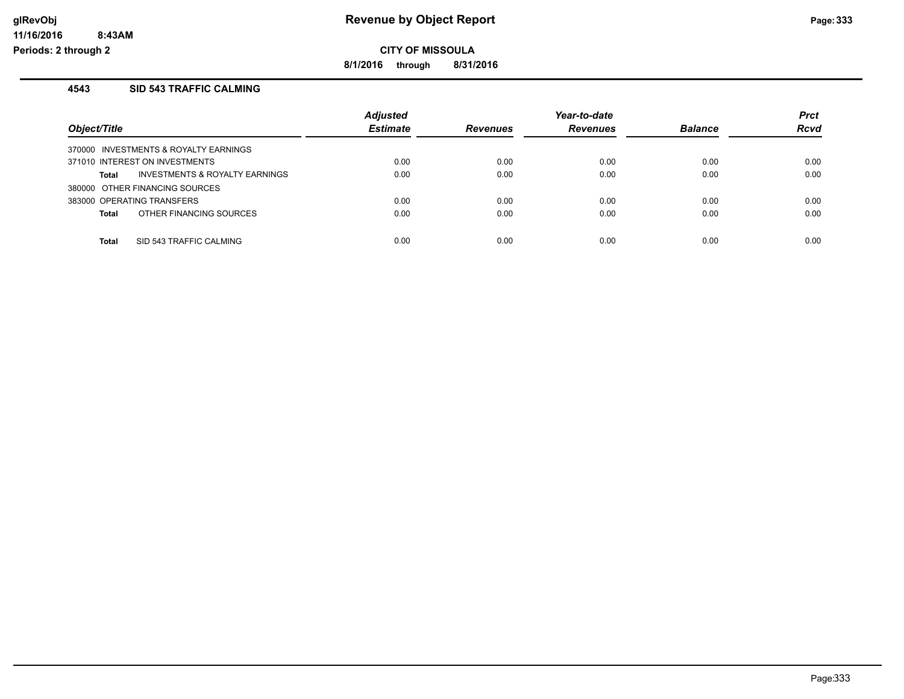**CITY OF MISSOULA**

**8/1/2016 through 8/31/2016**

#### **4543 SID 543 TRAFFIC CALMING**

 **8:43AM**

| Object/Title                             | <b>Adjusted</b><br><b>Estimate</b> | <b>Revenues</b> | Year-to-date<br><b>Revenues</b> | <b>Balance</b> | <b>Prct</b><br><b>Rcvd</b> |
|------------------------------------------|------------------------------------|-----------------|---------------------------------|----------------|----------------------------|
| INVESTMENTS & ROYALTY EARNINGS<br>370000 |                                    |                 |                                 |                |                            |
| 371010 INTEREST ON INVESTMENTS           | 0.00                               | 0.00            | 0.00                            | 0.00           | 0.00                       |
| INVESTMENTS & ROYALTY EARNINGS<br>Total  | 0.00                               | 0.00            | 0.00                            | 0.00           | 0.00                       |
| 380000 OTHER FINANCING SOURCES           |                                    |                 |                                 |                |                            |
| 383000 OPERATING TRANSFERS               | 0.00                               | 0.00            | 0.00                            | 0.00           | 0.00                       |
| OTHER FINANCING SOURCES<br><b>Total</b>  | 0.00                               | 0.00            | 0.00                            | 0.00           | 0.00                       |
|                                          |                                    |                 |                                 |                |                            |
| SID 543 TRAFFIC CALMING<br>Total         | 0.00                               | 0.00            | 0.00                            | 0.00           | 0.00                       |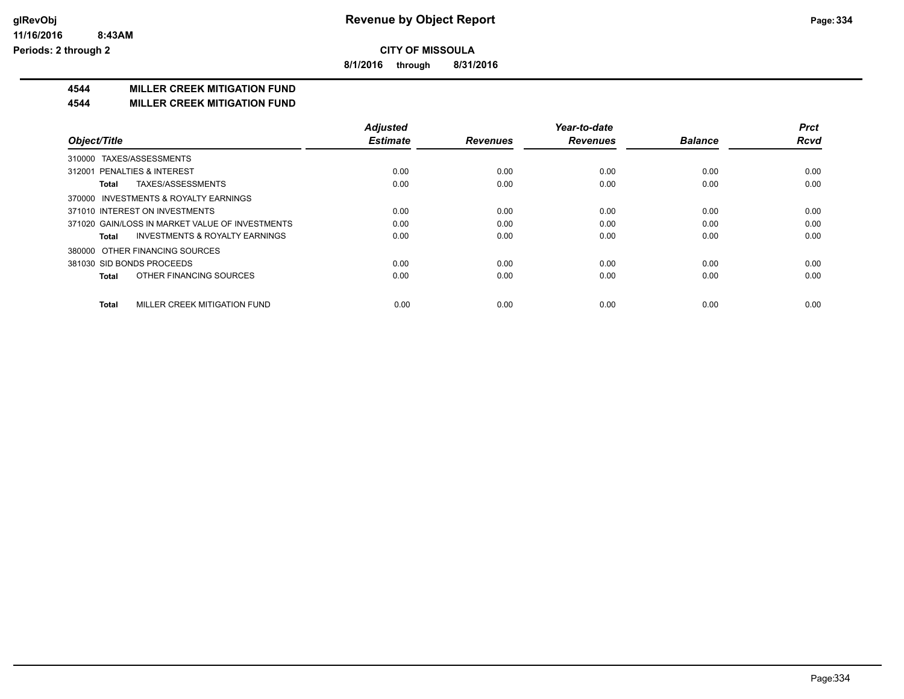**11/16/2016 8:43AM Periods: 2 through 2**

**CITY OF MISSOULA**

**8/1/2016 through 8/31/2016**

#### **4544 MILLER CREEK MITIGATION FUND**

#### **4544 MILLER CREEK MITIGATION FUND**

|                                                    | <b>Adjusted</b> |                 | Year-to-date    |                | <b>Prct</b> |
|----------------------------------------------------|-----------------|-----------------|-----------------|----------------|-------------|
| Object/Title                                       | <b>Estimate</b> | <b>Revenues</b> | <b>Revenues</b> | <b>Balance</b> | <b>Rcvd</b> |
| 310000 TAXES/ASSESSMENTS                           |                 |                 |                 |                |             |
| 312001 PENALTIES & INTEREST                        | 0.00            | 0.00            | 0.00            | 0.00           | 0.00        |
| TAXES/ASSESSMENTS<br>Total                         | 0.00            | 0.00            | 0.00            | 0.00           | 0.00        |
| 370000 INVESTMENTS & ROYALTY EARNINGS              |                 |                 |                 |                |             |
| 371010 INTEREST ON INVESTMENTS                     | 0.00            | 0.00            | 0.00            | 0.00           | 0.00        |
| 371020 GAIN/LOSS IN MARKET VALUE OF INVESTMENTS    | 0.00            | 0.00            | 0.00            | 0.00           | 0.00        |
| <b>INVESTMENTS &amp; ROYALTY EARNINGS</b><br>Total | 0.00            | 0.00            | 0.00            | 0.00           | 0.00        |
| 380000 OTHER FINANCING SOURCES                     |                 |                 |                 |                |             |
| 381030 SID BONDS PROCEEDS                          | 0.00            | 0.00            | 0.00            | 0.00           | 0.00        |
| OTHER FINANCING SOURCES<br>Total                   | 0.00            | 0.00            | 0.00            | 0.00           | 0.00        |
| MILLER CREEK MITIGATION FUND<br><b>Total</b>       | 0.00            | 0.00            | 0.00            | 0.00           | 0.00        |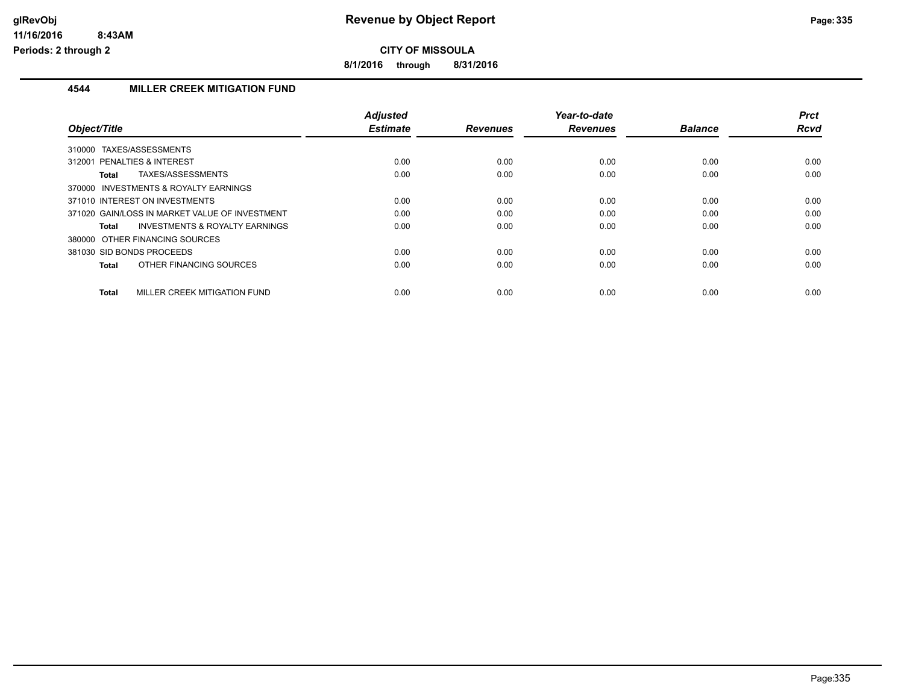**8/1/2016 through 8/31/2016**

#### **4544 MILLER CREEK MITIGATION FUND**

| Object/Title                                              | <b>Adjusted</b><br><b>Estimate</b> | <b>Revenues</b> | Year-to-date<br><b>Revenues</b> | <b>Balance</b> | <b>Prct</b><br><b>Rcvd</b> |
|-----------------------------------------------------------|------------------------------------|-----------------|---------------------------------|----------------|----------------------------|
|                                                           |                                    |                 |                                 |                |                            |
| 310000 TAXES/ASSESSMENTS                                  |                                    |                 |                                 |                |                            |
| 312001 PENALTIES & INTEREST                               | 0.00                               | 0.00            | 0.00                            | 0.00           | 0.00                       |
| TAXES/ASSESSMENTS<br><b>Total</b>                         | 0.00                               | 0.00            | 0.00                            | 0.00           | 0.00                       |
| 370000 INVESTMENTS & ROYALTY EARNINGS                     |                                    |                 |                                 |                |                            |
| 371010 INTEREST ON INVESTMENTS                            | 0.00                               | 0.00            | 0.00                            | 0.00           | 0.00                       |
| 371020 GAIN/LOSS IN MARKET VALUE OF INVESTMENT            | 0.00                               | 0.00            | 0.00                            | 0.00           | 0.00                       |
| <b>INVESTMENTS &amp; ROYALTY EARNINGS</b><br><b>Total</b> | 0.00                               | 0.00            | 0.00                            | 0.00           | 0.00                       |
| 380000 OTHER FINANCING SOURCES                            |                                    |                 |                                 |                |                            |
| 381030 SID BONDS PROCEEDS                                 | 0.00                               | 0.00            | 0.00                            | 0.00           | 0.00                       |
| OTHER FINANCING SOURCES<br><b>Total</b>                   | 0.00                               | 0.00            | 0.00                            | 0.00           | 0.00                       |
| MILLER CREEK MITIGATION FUND<br><b>Total</b>              | 0.00                               | 0.00            | 0.00                            | 0.00           | 0.00                       |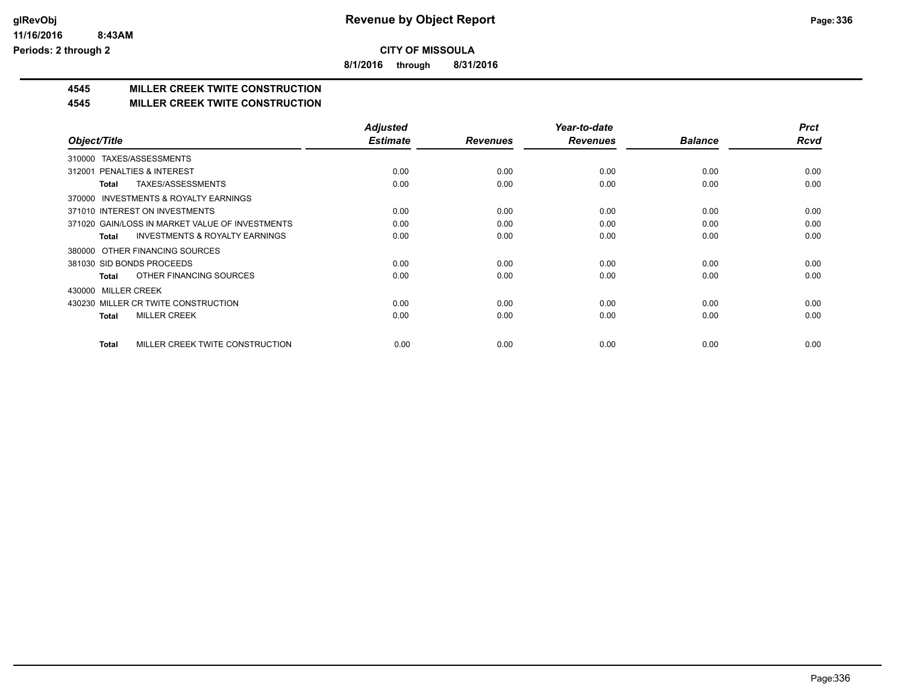**8/1/2016 through 8/31/2016**

## **4545 MILLER CREEK TWITE CONSTRUCTION**

#### **4545 MILLER CREEK TWITE CONSTRUCTION**

|                                                     | Adjusted        |                 | Year-to-date    |                | <b>Prct</b> |
|-----------------------------------------------------|-----------------|-----------------|-----------------|----------------|-------------|
| Object/Title                                        | <b>Estimate</b> | <b>Revenues</b> | <b>Revenues</b> | <b>Balance</b> | Rcvd        |
| TAXES/ASSESSMENTS<br>310000                         |                 |                 |                 |                |             |
| 312001 PENALTIES & INTEREST                         | 0.00            | 0.00            | 0.00            | 0.00           | 0.00        |
| <b>TAXES/ASSESSMENTS</b><br>Total                   | 0.00            | 0.00            | 0.00            | 0.00           | 0.00        |
| <b>INVESTMENTS &amp; ROYALTY EARNINGS</b><br>370000 |                 |                 |                 |                |             |
| 371010 INTEREST ON INVESTMENTS                      | 0.00            | 0.00            | 0.00            | 0.00           | 0.00        |
| 371020 GAIN/LOSS IN MARKET VALUE OF INVESTMENTS     | 0.00            | 0.00            | 0.00            | 0.00           | 0.00        |
| <b>INVESTMENTS &amp; ROYALTY EARNINGS</b><br>Total  | 0.00            | 0.00            | 0.00            | 0.00           | 0.00        |
| OTHER FINANCING SOURCES<br>380000                   |                 |                 |                 |                |             |
| 381030 SID BONDS PROCEEDS                           | 0.00            | 0.00            | 0.00            | 0.00           | 0.00        |
| OTHER FINANCING SOURCES<br>Total                    | 0.00            | 0.00            | 0.00            | 0.00           | 0.00        |
| <b>MILLER CREEK</b><br>430000                       |                 |                 |                 |                |             |
| 430230 MILLER CR TWITE CONSTRUCTION                 | 0.00            | 0.00            | 0.00            | 0.00           | 0.00        |
| <b>MILLER CREEK</b><br>Total                        | 0.00            | 0.00            | 0.00            | 0.00           | 0.00        |
|                                                     |                 |                 |                 |                |             |
| MILLER CREEK TWITE CONSTRUCTION<br>Total            | 0.00            | 0.00            | 0.00            | 0.00           | 0.00        |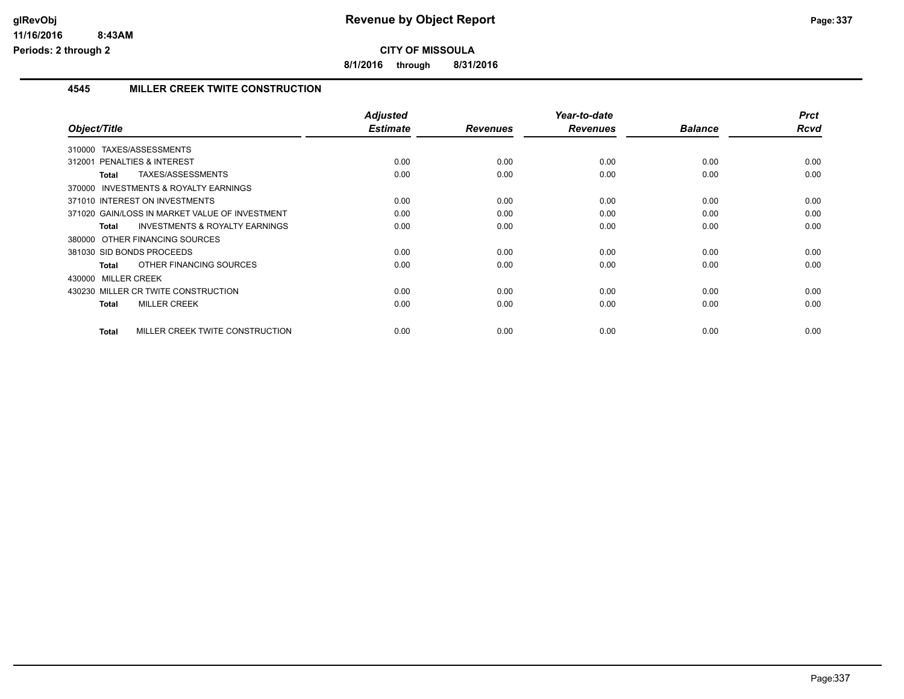**8:43AM**

**CITY OF MISSOULA**

**8/1/2016 through 8/31/2016**

#### **4545 MILLER CREEK TWITE CONSTRUCTION**

| Object/Title                                              | <b>Adjusted</b><br><b>Estimate</b> | <b>Revenues</b> | Year-to-date<br><b>Revenues</b> | <b>Balance</b> | <b>Prct</b><br><b>Rcvd</b> |
|-----------------------------------------------------------|------------------------------------|-----------------|---------------------------------|----------------|----------------------------|
| TAXES/ASSESSMENTS<br>310000                               |                                    |                 |                                 |                |                            |
| 312001 PENALTIES & INTEREST                               | 0.00                               | 0.00            | 0.00                            | 0.00           | 0.00                       |
| TAXES/ASSESSMENTS<br><b>Total</b>                         | 0.00                               | 0.00            | 0.00                            | 0.00           | 0.00                       |
| <b>INVESTMENTS &amp; ROYALTY EARNINGS</b><br>370000       |                                    |                 |                                 |                |                            |
| 371010 INTEREST ON INVESTMENTS                            | 0.00                               | 0.00            | 0.00                            | 0.00           | 0.00                       |
| 371020 GAIN/LOSS IN MARKET VALUE OF INVESTMENT            | 0.00                               | 0.00            | 0.00                            | 0.00           | 0.00                       |
| <b>INVESTMENTS &amp; ROYALTY EARNINGS</b><br><b>Total</b> | 0.00                               | 0.00            | 0.00                            | 0.00           | 0.00                       |
| 380000 OTHER FINANCING SOURCES                            |                                    |                 |                                 |                |                            |
| 381030 SID BONDS PROCEEDS                                 | 0.00                               | 0.00            | 0.00                            | 0.00           | 0.00                       |
| OTHER FINANCING SOURCES<br>Total                          | 0.00                               | 0.00            | 0.00                            | 0.00           | 0.00                       |
| 430000 MILLER CREEK                                       |                                    |                 |                                 |                |                            |
| 430230 MILLER CR TWITE CONSTRUCTION                       | 0.00                               | 0.00            | 0.00                            | 0.00           | 0.00                       |
| <b>MILLER CREEK</b><br><b>Total</b>                       | 0.00                               | 0.00            | 0.00                            | 0.00           | 0.00                       |
| MILLER CREEK TWITE CONSTRUCTION<br><b>Total</b>           | 0.00                               | 0.00            | 0.00                            | 0.00           | 0.00                       |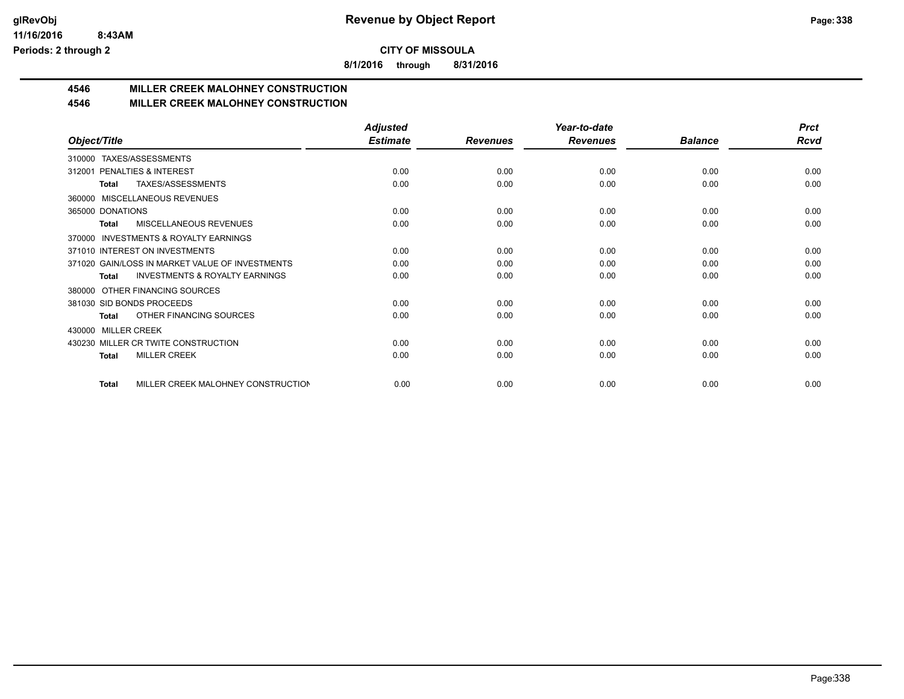**8:43AM**

**CITY OF MISSOULA**

**8/1/2016 through 8/31/2016**

## **4546 MILLER CREEK MALOHNEY CONSTRUCTION**

#### **4546 MILLER CREEK MALOHNEY CONSTRUCTION**

|                                                           | <b>Adjusted</b> |                 | Year-to-date    |                | <b>Prct</b> |
|-----------------------------------------------------------|-----------------|-----------------|-----------------|----------------|-------------|
| Object/Title                                              | <b>Estimate</b> | <b>Revenues</b> | <b>Revenues</b> | <b>Balance</b> | Rcvd        |
| 310000 TAXES/ASSESSMENTS                                  |                 |                 |                 |                |             |
| PENALTIES & INTEREST<br>312001                            | 0.00            | 0.00            | 0.00            | 0.00           | 0.00        |
| TAXES/ASSESSMENTS<br><b>Total</b>                         | 0.00            | 0.00            | 0.00            | 0.00           | 0.00        |
| 360000 MISCELLANEOUS REVENUES                             |                 |                 |                 |                |             |
| 365000 DONATIONS                                          | 0.00            | 0.00            | 0.00            | 0.00           | 0.00        |
| <b>MISCELLANEOUS REVENUES</b><br>Total                    | 0.00            | 0.00            | 0.00            | 0.00           | 0.00        |
| <b>INVESTMENTS &amp; ROYALTY EARNINGS</b><br>370000       |                 |                 |                 |                |             |
| 371010 INTEREST ON INVESTMENTS                            | 0.00            | 0.00            | 0.00            | 0.00           | 0.00        |
| 371020 GAIN/LOSS IN MARKET VALUE OF INVESTMENTS           | 0.00            | 0.00            | 0.00            | 0.00           | 0.00        |
| <b>INVESTMENTS &amp; ROYALTY EARNINGS</b><br><b>Total</b> | 0.00            | 0.00            | 0.00            | 0.00           | 0.00        |
| OTHER FINANCING SOURCES<br>380000                         |                 |                 |                 |                |             |
| 381030 SID BONDS PROCEEDS                                 | 0.00            | 0.00            | 0.00            | 0.00           | 0.00        |
| OTHER FINANCING SOURCES<br><b>Total</b>                   | 0.00            | 0.00            | 0.00            | 0.00           | 0.00        |
| 430000 MILLER CREEK                                       |                 |                 |                 |                |             |
| 430230 MILLER CR TWITE CONSTRUCTION                       | 0.00            | 0.00            | 0.00            | 0.00           | 0.00        |
| <b>MILLER CREEK</b><br><b>Total</b>                       | 0.00            | 0.00            | 0.00            | 0.00           | 0.00        |
| MILLER CREEK MALOHNEY CONSTRUCTION<br><b>Total</b>        | 0.00            | 0.00            | 0.00            | 0.00           | 0.00        |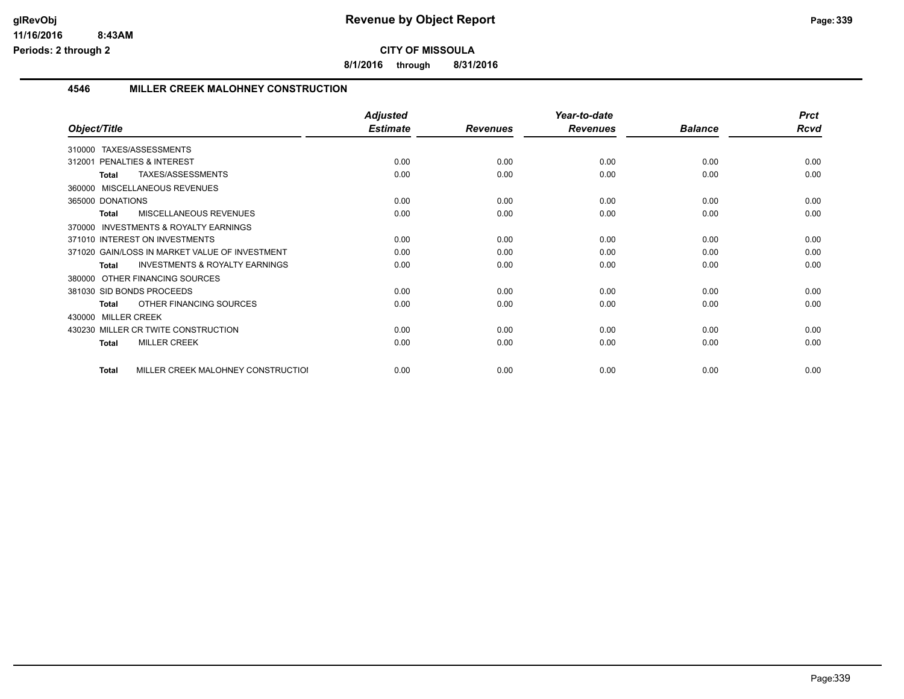**8:43AM**

**CITY OF MISSOULA**

**8/1/2016 through 8/31/2016**

#### **4546 MILLER CREEK MALOHNEY CONSTRUCTION**

|                                                    | <b>Adjusted</b> |                 | Year-to-date    |                | <b>Prct</b> |
|----------------------------------------------------|-----------------|-----------------|-----------------|----------------|-------------|
| Object/Title                                       | <b>Estimate</b> | <b>Revenues</b> | <b>Revenues</b> | <b>Balance</b> | <b>Rcvd</b> |
| TAXES/ASSESSMENTS<br>310000                        |                 |                 |                 |                |             |
| PENALTIES & INTEREST<br>312001                     | 0.00            | 0.00            | 0.00            | 0.00           | 0.00        |
| TAXES/ASSESSMENTS<br>Total                         | 0.00            | 0.00            | 0.00            | 0.00           | 0.00        |
| 360000 MISCELLANEOUS REVENUES                      |                 |                 |                 |                |             |
| 365000 DONATIONS                                   | 0.00            | 0.00            | 0.00            | 0.00           | 0.00        |
| MISCELLANEOUS REVENUES<br><b>Total</b>             | 0.00            | 0.00            | 0.00            | 0.00           | 0.00        |
| INVESTMENTS & ROYALTY EARNINGS<br>370000           |                 |                 |                 |                |             |
| 371010 INTEREST ON INVESTMENTS                     | 0.00            | 0.00            | 0.00            | 0.00           | 0.00        |
| 371020 GAIN/LOSS IN MARKET VALUE OF INVESTMENT     | 0.00            | 0.00            | 0.00            | 0.00           | 0.00        |
| <b>INVESTMENTS &amp; ROYALTY EARNINGS</b><br>Total | 0.00            | 0.00            | 0.00            | 0.00           | 0.00        |
| 380000 OTHER FINANCING SOURCES                     |                 |                 |                 |                |             |
| 381030 SID BONDS PROCEEDS                          | 0.00            | 0.00            | 0.00            | 0.00           | 0.00        |
| OTHER FINANCING SOURCES<br>Total                   | 0.00            | 0.00            | 0.00            | 0.00           | 0.00        |
| 430000 MILLER CREEK                                |                 |                 |                 |                |             |
| 430230 MILLER CR TWITE CONSTRUCTION                | 0.00            | 0.00            | 0.00            | 0.00           | 0.00        |
| <b>MILLER CREEK</b><br><b>Total</b>                | 0.00            | 0.00            | 0.00            | 0.00           | 0.00        |
| MILLER CREEK MALOHNEY CONSTRUCTIOI<br>Total        | 0.00            | 0.00            | 0.00            | 0.00           | 0.00        |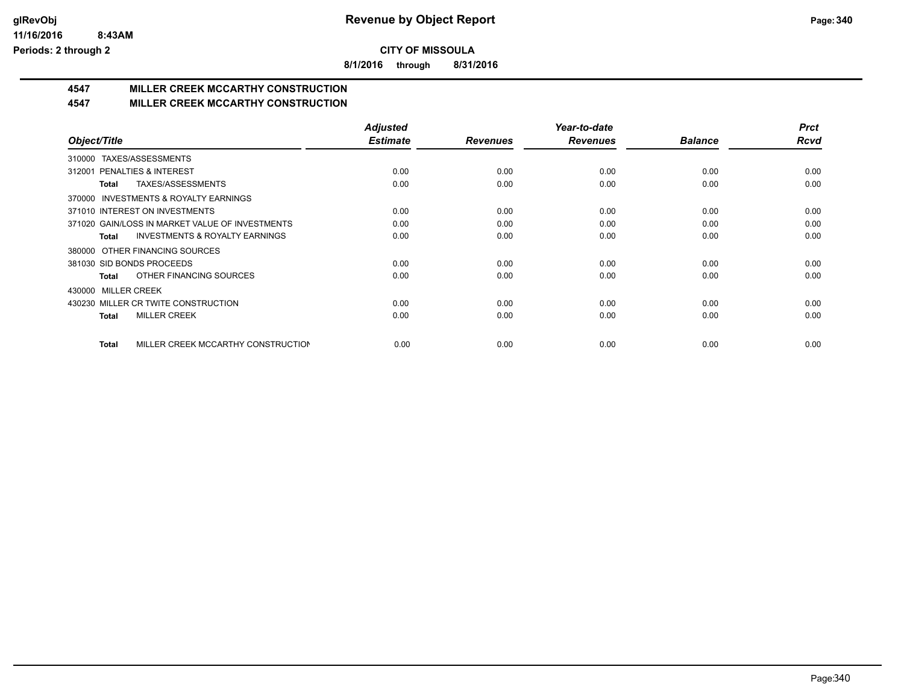**8:43AM Periods: 2 through 2**

**CITY OF MISSOULA**

**8/1/2016 through 8/31/2016**

## **4547 MILLER CREEK MCCARTHY CONSTRUCTION**

#### **4547 MILLER CREEK MCCARTHY CONSTRUCTION**

|                                                     | <b>Adjusted</b> |                 | Year-to-date    |                | <b>Prct</b> |
|-----------------------------------------------------|-----------------|-----------------|-----------------|----------------|-------------|
| Object/Title                                        | <b>Estimate</b> | <b>Revenues</b> | <b>Revenues</b> | <b>Balance</b> | <b>Rcvd</b> |
| TAXES/ASSESSMENTS<br>310000                         |                 |                 |                 |                |             |
| <b>PENALTIES &amp; INTEREST</b><br>312001           | 0.00            | 0.00            | 0.00            | 0.00           | 0.00        |
| <b>TAXES/ASSESSMENTS</b><br>Total                   | 0.00            | 0.00            | 0.00            | 0.00           | 0.00        |
| <b>INVESTMENTS &amp; ROYALTY EARNINGS</b><br>370000 |                 |                 |                 |                |             |
| 371010 INTEREST ON INVESTMENTS                      | 0.00            | 0.00            | 0.00            | 0.00           | 0.00        |
| 371020 GAIN/LOSS IN MARKET VALUE OF INVESTMENTS     | 0.00            | 0.00            | 0.00            | 0.00           | 0.00        |
| <b>INVESTMENTS &amp; ROYALTY EARNINGS</b><br>Total  | 0.00            | 0.00            | 0.00            | 0.00           | 0.00        |
| OTHER FINANCING SOURCES<br>380000                   |                 |                 |                 |                |             |
| 381030 SID BONDS PROCEEDS                           | 0.00            | 0.00            | 0.00            | 0.00           | 0.00        |
| OTHER FINANCING SOURCES<br>Total                    | 0.00            | 0.00            | 0.00            | 0.00           | 0.00        |
| <b>MILLER CREEK</b><br>430000                       |                 |                 |                 |                |             |
| 430230 MILLER CR TWITE CONSTRUCTION                 | 0.00            | 0.00            | 0.00            | 0.00           | 0.00        |
| <b>MILLER CREEK</b><br>Total                        | 0.00            | 0.00            | 0.00            | 0.00           | 0.00        |
|                                                     |                 |                 |                 |                |             |
| MILLER CREEK MCCARTHY CONSTRUCTION<br>Total         | 0.00            | 0.00            | 0.00            | 0.00           | 0.00        |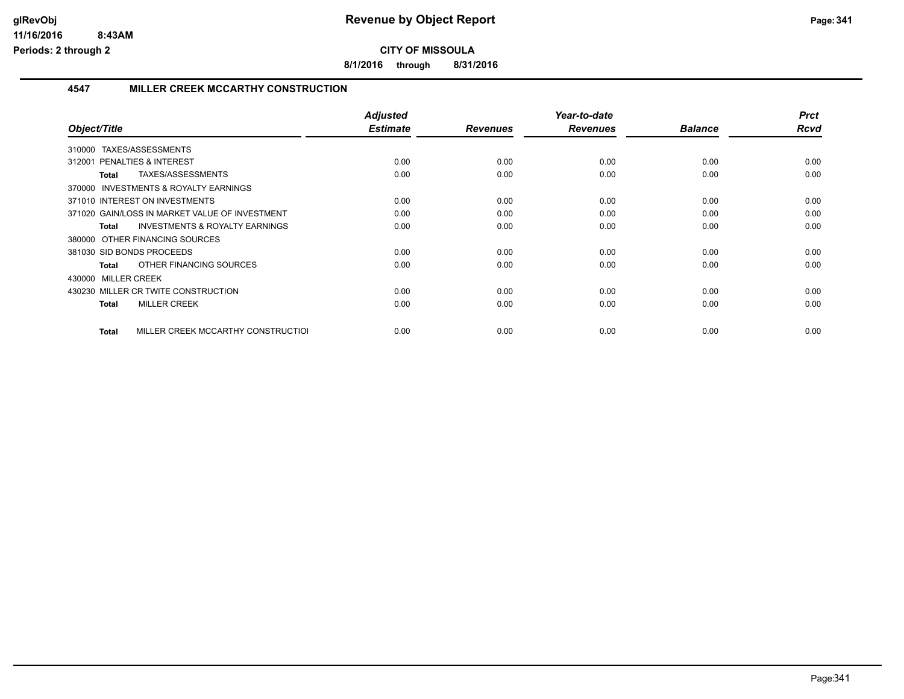**8:43AM**

**CITY OF MISSOULA**

**8/1/2016 through 8/31/2016**

#### **4547 MILLER CREEK MCCARTHY CONSTRUCTION**

| Object/Title                                              | <b>Adjusted</b><br><b>Estimate</b> | <b>Revenues</b> | Year-to-date<br><b>Revenues</b> | <b>Balance</b> | <b>Prct</b><br><b>Rcvd</b> |
|-----------------------------------------------------------|------------------------------------|-----------------|---------------------------------|----------------|----------------------------|
| 310000 TAXES/ASSESSMENTS                                  |                                    |                 |                                 |                |                            |
| PENALTIES & INTEREST<br>312001                            | 0.00                               | 0.00            | 0.00                            | 0.00           | 0.00                       |
| TAXES/ASSESSMENTS<br>Total                                | 0.00                               | 0.00            | 0.00                            | 0.00           | 0.00                       |
| 370000 INVESTMENTS & ROYALTY EARNINGS                     |                                    |                 |                                 |                |                            |
| 371010 INTEREST ON INVESTMENTS                            | 0.00                               | 0.00            | 0.00                            | 0.00           | 0.00                       |
| 371020 GAIN/LOSS IN MARKET VALUE OF INVESTMENT            | 0.00                               | 0.00            | 0.00                            | 0.00           | 0.00                       |
| <b>INVESTMENTS &amp; ROYALTY EARNINGS</b><br><b>Total</b> | 0.00                               | 0.00            | 0.00                            | 0.00           | 0.00                       |
| 380000 OTHER FINANCING SOURCES                            |                                    |                 |                                 |                |                            |
| 381030 SID BONDS PROCEEDS                                 | 0.00                               | 0.00            | 0.00                            | 0.00           | 0.00                       |
| OTHER FINANCING SOURCES<br>Total                          | 0.00                               | 0.00            | 0.00                            | 0.00           | 0.00                       |
| 430000 MILLER CREEK                                       |                                    |                 |                                 |                |                            |
| 430230 MILLER CR TWITE CONSTRUCTION                       | 0.00                               | 0.00            | 0.00                            | 0.00           | 0.00                       |
| <b>MILLER CREEK</b><br><b>Total</b>                       | 0.00                               | 0.00            | 0.00                            | 0.00           | 0.00                       |
| MILLER CREEK MCCARTHY CONSTRUCTION<br><b>Total</b>        | 0.00                               | 0.00            | 0.00                            | 0.00           | 0.00                       |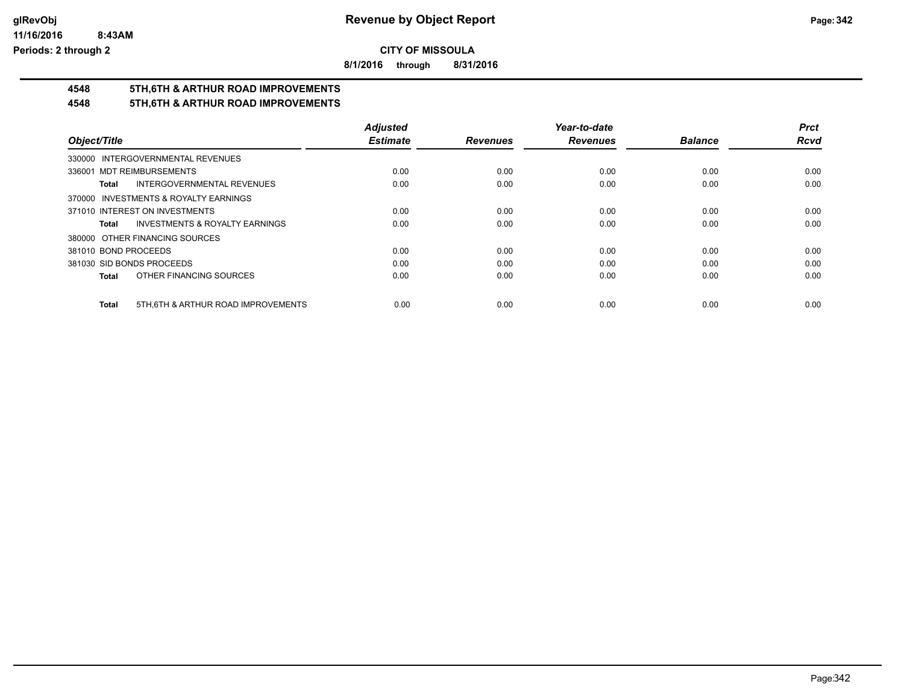**11/16/2016**

 **8:43AM Periods: 2 through 2**

#### **CITY OF MISSOULA**

**8/1/2016 through 8/31/2016**

# **4548 5TH,6TH & ARTHUR ROAD IMPROVEMENTS**

## **4548 5TH,6TH & ARTHUR ROAD IMPROVEMENTS**

|                                                    | <b>Adjusted</b> |                 | Year-to-date    |                | <b>Prct</b> |
|----------------------------------------------------|-----------------|-----------------|-----------------|----------------|-------------|
| Object/Title                                       | <b>Estimate</b> | <b>Revenues</b> | <b>Revenues</b> | <b>Balance</b> | <b>Rcvd</b> |
| 330000 INTERGOVERNMENTAL REVENUES                  |                 |                 |                 |                |             |
| <b>MDT REIMBURSEMENTS</b><br>336001                | 0.00            | 0.00            | 0.00            | 0.00           | 0.00        |
| INTERGOVERNMENTAL REVENUES<br>Total                | 0.00            | 0.00            | 0.00            | 0.00           | 0.00        |
| 370000 INVESTMENTS & ROYALTY EARNINGS              |                 |                 |                 |                |             |
| 371010 INTEREST ON INVESTMENTS                     | 0.00            | 0.00            | 0.00            | 0.00           | 0.00        |
| <b>INVESTMENTS &amp; ROYALTY EARNINGS</b><br>Total | 0.00            | 0.00            | 0.00            | 0.00           | 0.00        |
| 380000 OTHER FINANCING SOURCES                     |                 |                 |                 |                |             |
| 381010 BOND PROCEEDS                               | 0.00            | 0.00            | 0.00            | 0.00           | 0.00        |
| 381030 SID BONDS PROCEEDS                          | 0.00            | 0.00            | 0.00            | 0.00           | 0.00        |
| OTHER FINANCING SOURCES<br>Total                   | 0.00            | 0.00            | 0.00            | 0.00           | 0.00        |
| Total<br>5TH.6TH & ARTHUR ROAD IMPROVEMENTS        | 0.00            | 0.00            | 0.00            | 0.00           | 0.00        |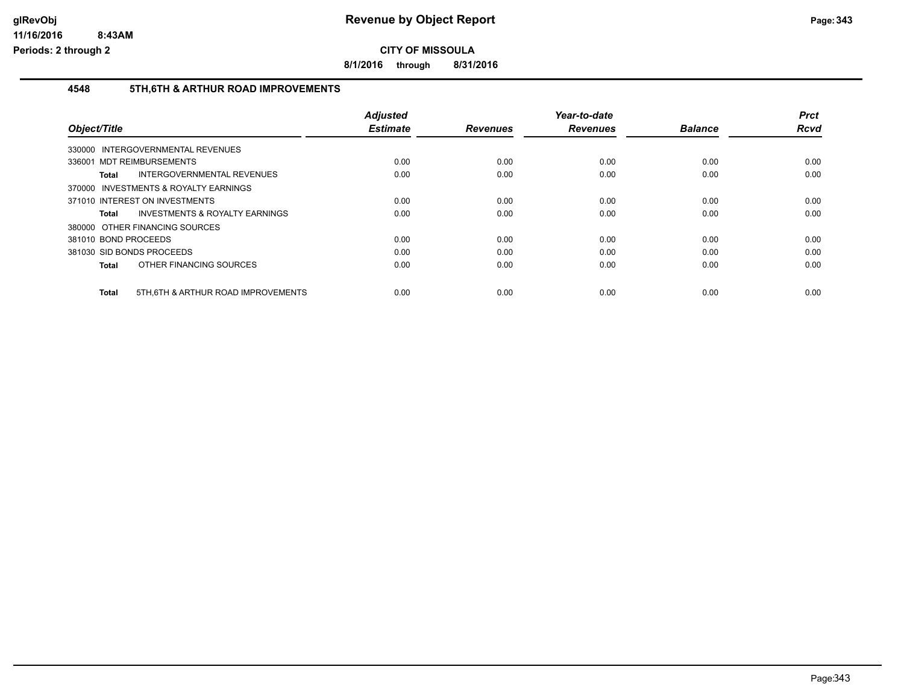**CITY OF MISSOULA**

**8/1/2016 through 8/31/2016**

#### **4548 5TH,6TH & ARTHUR ROAD IMPROVEMENTS**

|                                                     | <b>Adjusted</b> |                 | Year-to-date    |                | <b>Prct</b> |
|-----------------------------------------------------|-----------------|-----------------|-----------------|----------------|-------------|
| Object/Title                                        | <b>Estimate</b> | <b>Revenues</b> | <b>Revenues</b> | <b>Balance</b> | <b>Rcvd</b> |
| 330000 INTERGOVERNMENTAL REVENUES                   |                 |                 |                 |                |             |
| 336001 MDT REIMBURSEMENTS                           | 0.00            | 0.00            | 0.00            | 0.00           | 0.00        |
| <b>INTERGOVERNMENTAL REVENUES</b><br>Total          | 0.00            | 0.00            | 0.00            | 0.00           | 0.00        |
| 370000 INVESTMENTS & ROYALTY EARNINGS               |                 |                 |                 |                |             |
| 371010 INTEREST ON INVESTMENTS                      | 0.00            | 0.00            | 0.00            | 0.00           | 0.00        |
| <b>INVESTMENTS &amp; ROYALTY EARNINGS</b><br>Total  | 0.00            | 0.00            | 0.00            | 0.00           | 0.00        |
| 380000 OTHER FINANCING SOURCES                      |                 |                 |                 |                |             |
| 381010 BOND PROCEEDS                                | 0.00            | 0.00            | 0.00            | 0.00           | 0.00        |
| 381030 SID BONDS PROCEEDS                           | 0.00            | 0.00            | 0.00            | 0.00           | 0.00        |
| OTHER FINANCING SOURCES<br>Total                    | 0.00            | 0.00            | 0.00            | 0.00           | 0.00        |
|                                                     |                 |                 |                 |                |             |
| 5TH, 6TH & ARTHUR ROAD IMPROVEMENTS<br><b>Total</b> | 0.00            | 0.00            | 0.00            | 0.00           | 0.00        |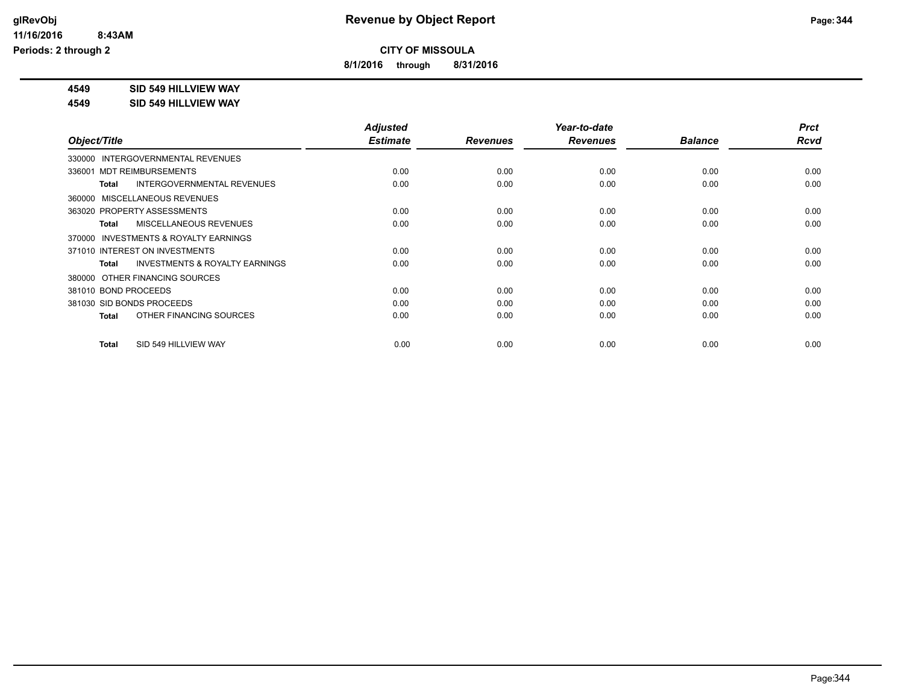**8/1/2016 through 8/31/2016**

**4549 SID 549 HILLVIEW WAY**

**4549 SID 549 HILLVIEW WAY**

|                                                    | <b>Adjusted</b> |                 | Year-to-date    |                | <b>Prct</b> |
|----------------------------------------------------|-----------------|-----------------|-----------------|----------------|-------------|
| Object/Title                                       | <b>Estimate</b> | <b>Revenues</b> | <b>Revenues</b> | <b>Balance</b> | <b>Rcvd</b> |
| INTERGOVERNMENTAL REVENUES<br>330000               |                 |                 |                 |                |             |
| <b>MDT REIMBURSEMENTS</b><br>336001                | 0.00            | 0.00            | 0.00            | 0.00           | 0.00        |
| <b>INTERGOVERNMENTAL REVENUES</b><br>Total         | 0.00            | 0.00            | 0.00            | 0.00           | 0.00        |
| 360000 MISCELLANEOUS REVENUES                      |                 |                 |                 |                |             |
| 363020 PROPERTY ASSESSMENTS                        | 0.00            | 0.00            | 0.00            | 0.00           | 0.00        |
| MISCELLANEOUS REVENUES<br>Total                    | 0.00            | 0.00            | 0.00            | 0.00           | 0.00        |
| 370000 INVESTMENTS & ROYALTY EARNINGS              |                 |                 |                 |                |             |
| 371010 INTEREST ON INVESTMENTS                     | 0.00            | 0.00            | 0.00            | 0.00           | 0.00        |
| <b>INVESTMENTS &amp; ROYALTY EARNINGS</b><br>Total | 0.00            | 0.00            | 0.00            | 0.00           | 0.00        |
| 380000 OTHER FINANCING SOURCES                     |                 |                 |                 |                |             |
| 381010 BOND PROCEEDS                               | 0.00            | 0.00            | 0.00            | 0.00           | 0.00        |
| 381030 SID BONDS PROCEEDS                          | 0.00            | 0.00            | 0.00            | 0.00           | 0.00        |
| OTHER FINANCING SOURCES<br>Total                   | 0.00            | 0.00            | 0.00            | 0.00           | 0.00        |
|                                                    |                 |                 |                 |                |             |
| SID 549 HILLVIEW WAY<br>Total                      | 0.00            | 0.00            | 0.00            | 0.00           | 0.00        |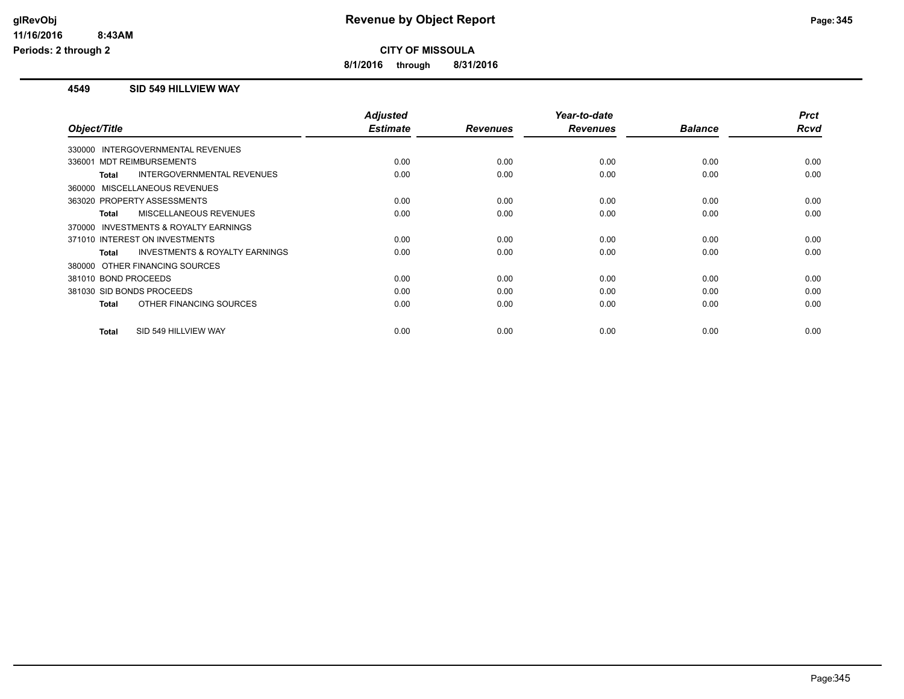**8/1/2016 through 8/31/2016**

#### **4549 SID 549 HILLVIEW WAY**

| Object/Title                                       | <b>Adjusted</b><br><b>Estimate</b> | <b>Revenues</b> | Year-to-date<br><b>Revenues</b> | <b>Balance</b> | <b>Prct</b><br><b>Rcvd</b> |
|----------------------------------------------------|------------------------------------|-----------------|---------------------------------|----------------|----------------------------|
|                                                    |                                    |                 |                                 |                |                            |
| 330000 INTERGOVERNMENTAL REVENUES                  |                                    |                 |                                 |                |                            |
| 336001 MDT REIMBURSEMENTS                          | 0.00                               | 0.00            | 0.00                            | 0.00           | 0.00                       |
| INTERGOVERNMENTAL REVENUES<br>Total                | 0.00                               | 0.00            | 0.00                            | 0.00           | 0.00                       |
| 360000 MISCELLANEOUS REVENUES                      |                                    |                 |                                 |                |                            |
| 363020 PROPERTY ASSESSMENTS                        | 0.00                               | 0.00            | 0.00                            | 0.00           | 0.00                       |
| <b>MISCELLANEOUS REVENUES</b><br><b>Total</b>      | 0.00                               | 0.00            | 0.00                            | 0.00           | 0.00                       |
| 370000 INVESTMENTS & ROYALTY EARNINGS              |                                    |                 |                                 |                |                            |
| 371010 INTEREST ON INVESTMENTS                     | 0.00                               | 0.00            | 0.00                            | 0.00           | 0.00                       |
| <b>INVESTMENTS &amp; ROYALTY EARNINGS</b><br>Total | 0.00                               | 0.00            | 0.00                            | 0.00           | 0.00                       |
| 380000 OTHER FINANCING SOURCES                     |                                    |                 |                                 |                |                            |
| 381010 BOND PROCEEDS                               | 0.00                               | 0.00            | 0.00                            | 0.00           | 0.00                       |
| 381030 SID BONDS PROCEEDS                          | 0.00                               | 0.00            | 0.00                            | 0.00           | 0.00                       |
| OTHER FINANCING SOURCES<br><b>Total</b>            | 0.00                               | 0.00            | 0.00                            | 0.00           | 0.00                       |
| SID 549 HILLVIEW WAY<br><b>Total</b>               | 0.00                               | 0.00            | 0.00                            | 0.00           | 0.00                       |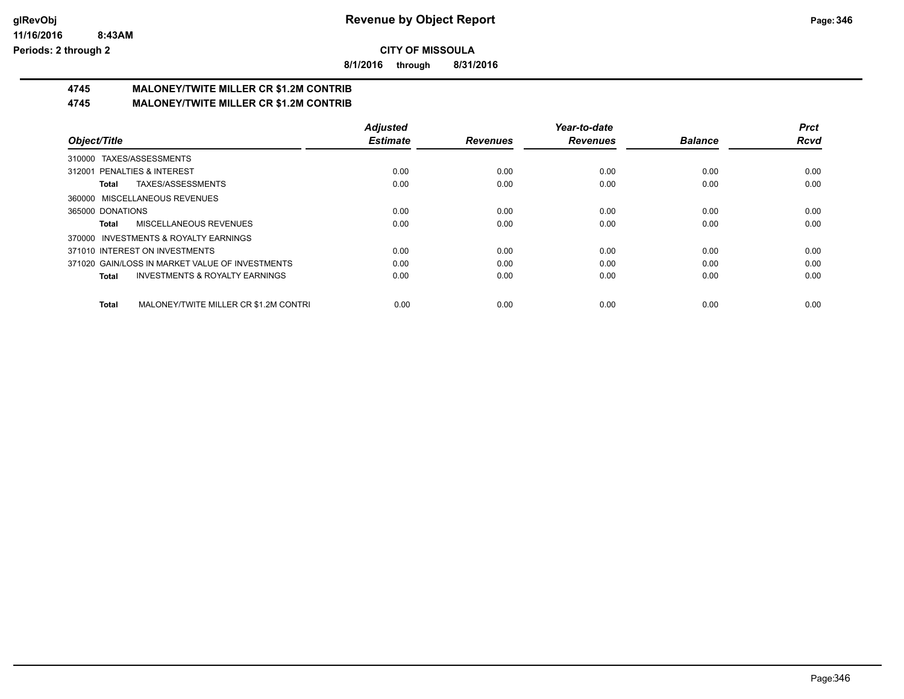**11/16/2016**

 **8:43AM Periods: 2 through 2**

**CITY OF MISSOULA**

**8/1/2016 through 8/31/2016**

# **4745 MALONEY/TWITE MILLER CR \$1.2M CONTRIB**

## **4745 MALONEY/TWITE MILLER CR \$1.2M CONTRIB**

|                                                    | <b>Adjusted</b> |                 | Year-to-date    |                | <b>Prct</b> |
|----------------------------------------------------|-----------------|-----------------|-----------------|----------------|-------------|
| Object/Title                                       | <b>Estimate</b> | <b>Revenues</b> | <b>Revenues</b> | <b>Balance</b> | <b>Rcvd</b> |
| 310000 TAXES/ASSESSMENTS                           |                 |                 |                 |                |             |
| 312001 PENALTIES & INTEREST                        | 0.00            | 0.00            | 0.00            | 0.00           | 0.00        |
| TAXES/ASSESSMENTS<br>Total                         | 0.00            | 0.00            | 0.00            | 0.00           | 0.00        |
| 360000 MISCELLANEOUS REVENUES                      |                 |                 |                 |                |             |
| 365000 DONATIONS                                   | 0.00            | 0.00            | 0.00            | 0.00           | 0.00        |
| MISCELLANEOUS REVENUES<br>Total                    | 0.00            | 0.00            | 0.00            | 0.00           | 0.00        |
| 370000 INVESTMENTS & ROYALTY EARNINGS              |                 |                 |                 |                |             |
| 371010 INTEREST ON INVESTMENTS                     | 0.00            | 0.00            | 0.00            | 0.00           | 0.00        |
| 371020 GAIN/LOSS IN MARKET VALUE OF INVESTMENTS    | 0.00            | 0.00            | 0.00            | 0.00           | 0.00        |
| <b>INVESTMENTS &amp; ROYALTY EARNINGS</b><br>Total | 0.00            | 0.00            | 0.00            | 0.00           | 0.00        |
| MALONEY/TWITE MILLER CR \$1.2M CONTRI<br>Total     | 0.00            | 0.00            | 0.00            | 0.00           | 0.00        |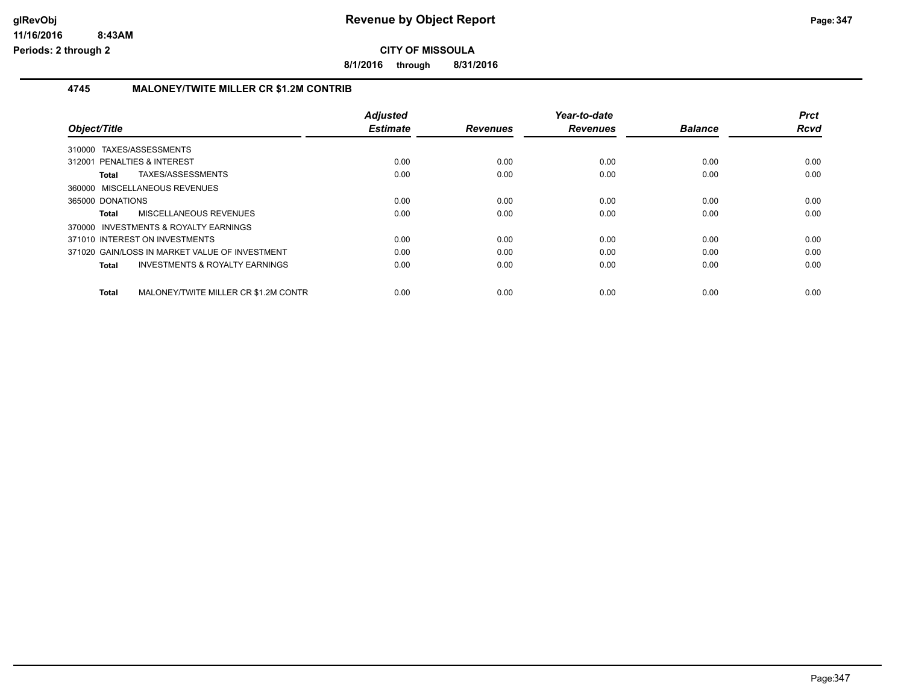**8:43AM**

**CITY OF MISSOULA**

**8/1/2016 through 8/31/2016**

#### **4745 MALONEY/TWITE MILLER CR \$1.2M CONTRIB**

| Object/Title                                       | <b>Adjusted</b><br><b>Estimate</b> | <b>Revenues</b> | Year-to-date<br><b>Revenues</b> | <b>Balance</b> | <b>Prct</b><br><b>Rcvd</b> |
|----------------------------------------------------|------------------------------------|-----------------|---------------------------------|----------------|----------------------------|
| 310000 TAXES/ASSESSMENTS                           |                                    |                 |                                 |                |                            |
| 312001 PENALTIES & INTEREST                        | 0.00                               | 0.00            | 0.00                            | 0.00           | 0.00                       |
| TAXES/ASSESSMENTS<br>Total                         | 0.00                               | 0.00            | 0.00                            | 0.00           | 0.00                       |
| 360000 MISCELLANEOUS REVENUES                      |                                    |                 |                                 |                |                            |
| 365000 DONATIONS                                   | 0.00                               | 0.00            | 0.00                            | 0.00           | 0.00                       |
| MISCELLANEOUS REVENUES<br>Total                    | 0.00                               | 0.00            | 0.00                            | 0.00           | 0.00                       |
| 370000 INVESTMENTS & ROYALTY EARNINGS              |                                    |                 |                                 |                |                            |
| 371010 INTEREST ON INVESTMENTS                     | 0.00                               | 0.00            | 0.00                            | 0.00           | 0.00                       |
| 371020 GAIN/LOSS IN MARKET VALUE OF INVESTMENT     | 0.00                               | 0.00            | 0.00                            | 0.00           | 0.00                       |
| <b>INVESTMENTS &amp; ROYALTY EARNINGS</b><br>Total | 0.00                               | 0.00            | 0.00                            | 0.00           | 0.00                       |
| MALONEY/TWITE MILLER CR \$1.2M CONTR<br>Total      | 0.00                               | 0.00            | 0.00                            | 0.00           | 0.00                       |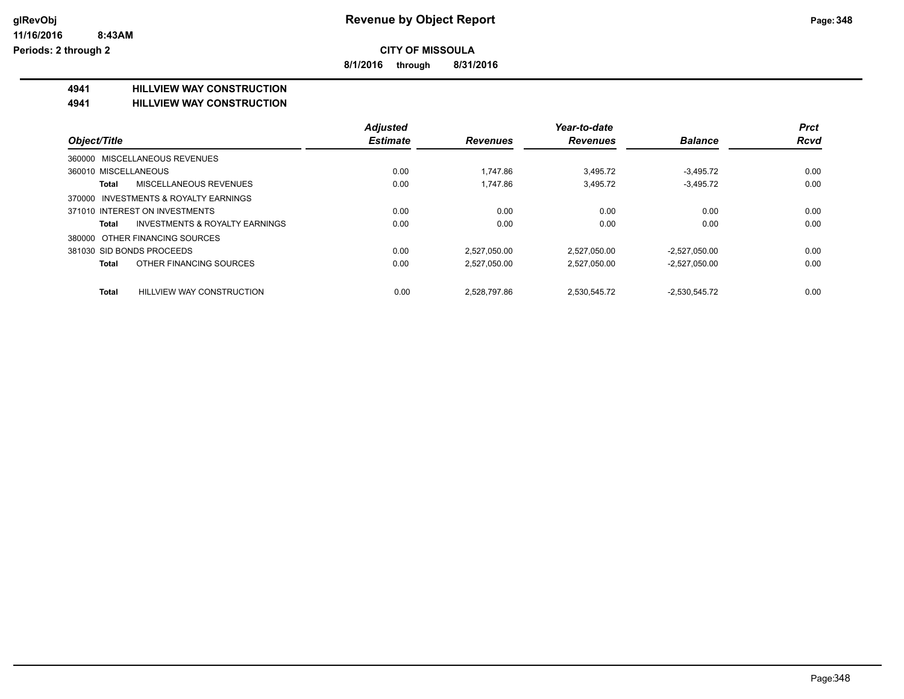**8/1/2016 through 8/31/2016**

#### **4941 HILLVIEW WAY CONSTRUCTION**

#### **4941 HILLVIEW WAY CONSTRUCTION**

|                                                    | <b>Adjusted</b> |                 | Year-to-date    |                 | <b>Prct</b> |
|----------------------------------------------------|-----------------|-----------------|-----------------|-----------------|-------------|
| Object/Title                                       | <b>Estimate</b> | <b>Revenues</b> | <b>Revenues</b> | <b>Balance</b>  | <b>Rcvd</b> |
| 360000 MISCELLANEOUS REVENUES                      |                 |                 |                 |                 |             |
| 360010 MISCELLANEOUS                               | 0.00            | 1.747.86        | 3.495.72        | $-3.495.72$     | 0.00        |
| MISCELLANEOUS REVENUES<br>Total                    | 0.00            | 1.747.86        | 3,495.72        | $-3,495.72$     | 0.00        |
| 370000 INVESTMENTS & ROYALTY EARNINGS              |                 |                 |                 |                 |             |
| 371010 INTEREST ON INVESTMENTS                     | 0.00            | 0.00            | 0.00            | 0.00            | 0.00        |
| <b>INVESTMENTS &amp; ROYALTY EARNINGS</b><br>Total | 0.00            | 0.00            | 0.00            | 0.00            | 0.00        |
| 380000 OTHER FINANCING SOURCES                     |                 |                 |                 |                 |             |
| 381030 SID BONDS PROCEEDS                          | 0.00            | 2,527,050.00    | 2,527,050.00    | $-2,527,050.00$ | 0.00        |
| OTHER FINANCING SOURCES<br>Total                   | 0.00            | 2.527.050.00    | 2.527.050.00    | $-2,527,050.00$ | 0.00        |
|                                                    |                 |                 |                 |                 |             |
| HILLVIEW WAY CONSTRUCTION<br>Total                 | 0.00            | 2.528.797.86    | 2.530.545.72    | $-2.530.545.72$ | 0.00        |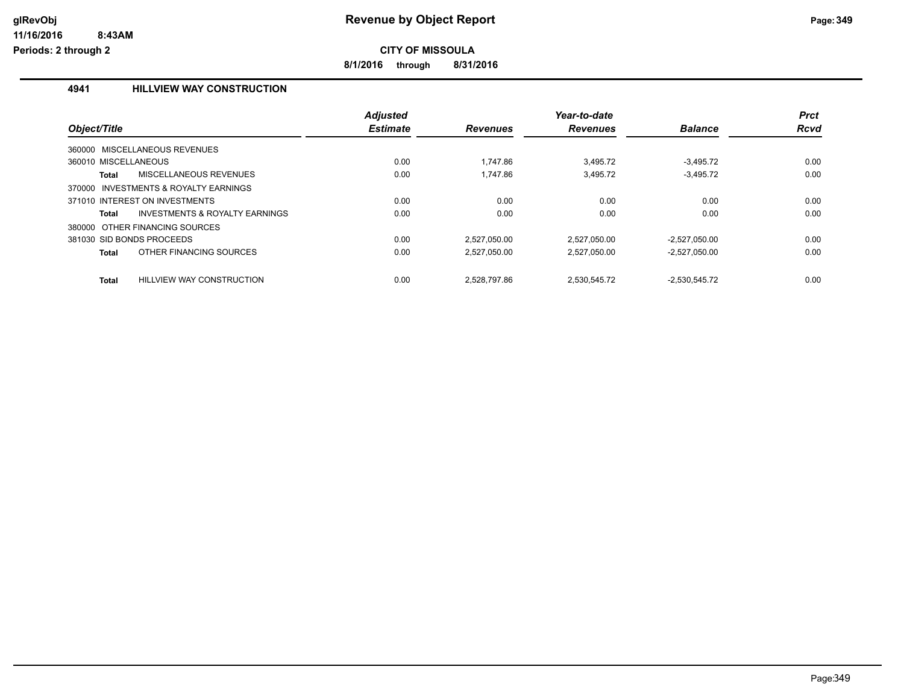**CITY OF MISSOULA**

**8/1/2016 through 8/31/2016**

#### **4941 HILLVIEW WAY CONSTRUCTION**

 **8:43AM**

| Object/Title                                        | <b>Adjusted</b><br><b>Estimate</b> | <b>Revenues</b> | Year-to-date<br><b>Revenues</b> | <b>Balance</b>  | <b>Prct</b><br><b>Rcvd</b> |
|-----------------------------------------------------|------------------------------------|-----------------|---------------------------------|-----------------|----------------------------|
| 360000 MISCELLANEOUS REVENUES                       |                                    |                 |                                 |                 |                            |
| 360010 MISCELLANEOUS                                | 0.00                               | 1.747.86        | 3.495.72                        | $-3.495.72$     | 0.00                       |
| MISCELLANEOUS REVENUES<br>Total                     | 0.00                               | 1.747.86        | 3,495.72                        | $-3,495.72$     | 0.00                       |
| <b>INVESTMENTS &amp; ROYALTY EARNINGS</b><br>370000 |                                    |                 |                                 |                 |                            |
| 371010 INTEREST ON INVESTMENTS                      | 0.00                               | 0.00            | 0.00                            | 0.00            | 0.00                       |
| INVESTMENTS & ROYALTY EARNINGS<br>Total             | 0.00                               | 0.00            | 0.00                            | 0.00            | 0.00                       |
| 380000 OTHER FINANCING SOURCES                      |                                    |                 |                                 |                 |                            |
| 381030 SID BONDS PROCEEDS                           | 0.00                               | 2,527,050.00    | 2,527,050.00                    | $-2,527,050.00$ | 0.00                       |
| OTHER FINANCING SOURCES<br><b>Total</b>             | 0.00                               | 2.527.050.00    | 2.527.050.00                    | $-2,527,050.00$ | 0.00                       |
| HILLVIEW WAY CONSTRUCTION<br><b>Total</b>           | 0.00                               | 2.528.797.86    | 2.530.545.72                    | $-2.530.545.72$ | 0.00                       |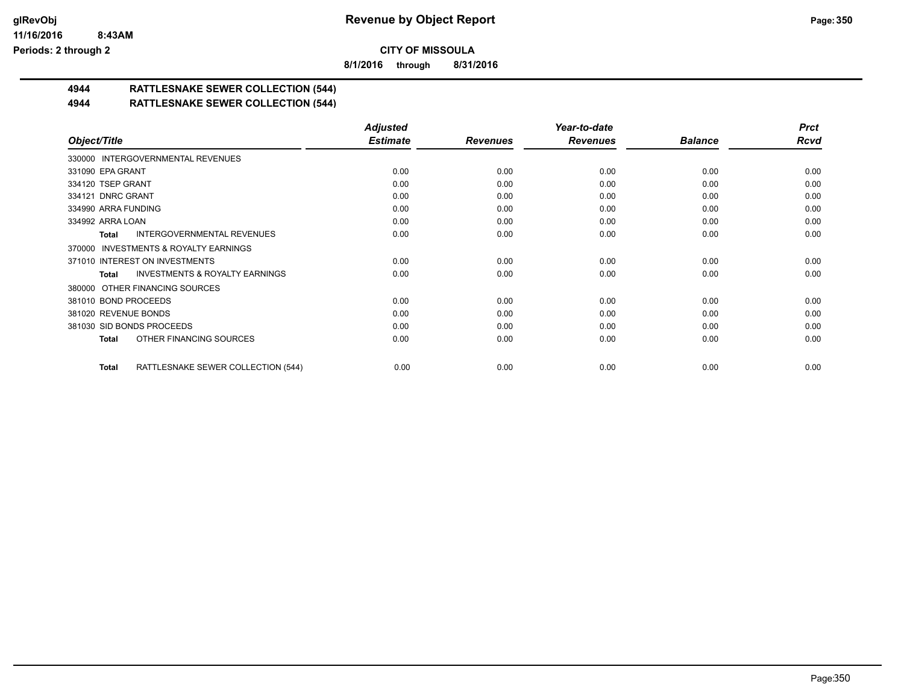**11/16/2016**

 **8:43AM Periods: 2 through 2**

**CITY OF MISSOULA**

**8/1/2016 through 8/31/2016**

## **4944 RATTLESNAKE SEWER COLLECTION (544)**

## **4944 RATTLESNAKE SEWER COLLECTION (544)**

|                                                     | <b>Adjusted</b> |                 | Year-to-date    |                | <b>Prct</b> |
|-----------------------------------------------------|-----------------|-----------------|-----------------|----------------|-------------|
| Object/Title                                        | <b>Estimate</b> | <b>Revenues</b> | <b>Revenues</b> | <b>Balance</b> | <b>Rcvd</b> |
| <b>INTERGOVERNMENTAL REVENUES</b><br>330000         |                 |                 |                 |                |             |
| 331090 EPA GRANT                                    | 0.00            | 0.00            | 0.00            | 0.00           | 0.00        |
| 334120 TSEP GRANT                                   | 0.00            | 0.00            | 0.00            | 0.00           | 0.00        |
| 334121 DNRC GRANT                                   | 0.00            | 0.00            | 0.00            | 0.00           | 0.00        |
| 334990 ARRA FUNDING                                 | 0.00            | 0.00            | 0.00            | 0.00           | 0.00        |
| 334992 ARRA LOAN                                    | 0.00            | 0.00            | 0.00            | 0.00           | 0.00        |
| <b>INTERGOVERNMENTAL REVENUES</b><br><b>Total</b>   | 0.00            | 0.00            | 0.00            | 0.00           | 0.00        |
| <b>INVESTMENTS &amp; ROYALTY EARNINGS</b><br>370000 |                 |                 |                 |                |             |
| 371010 INTEREST ON INVESTMENTS                      | 0.00            | 0.00            | 0.00            | 0.00           | 0.00        |
| <b>INVESTMENTS &amp; ROYALTY EARNINGS</b><br>Total  | 0.00            | 0.00            | 0.00            | 0.00           | 0.00        |
| 380000 OTHER FINANCING SOURCES                      |                 |                 |                 |                |             |
| 381010 BOND PROCEEDS                                | 0.00            | 0.00            | 0.00            | 0.00           | 0.00        |
| 381020 REVENUE BONDS                                | 0.00            | 0.00            | 0.00            | 0.00           | 0.00        |
| 381030 SID BONDS PROCEEDS                           | 0.00            | 0.00            | 0.00            | 0.00           | 0.00        |
| OTHER FINANCING SOURCES<br><b>Total</b>             | 0.00            | 0.00            | 0.00            | 0.00           | 0.00        |
| RATTLESNAKE SEWER COLLECTION (544)<br>Total         | 0.00            | 0.00            | 0.00            | 0.00           | 0.00        |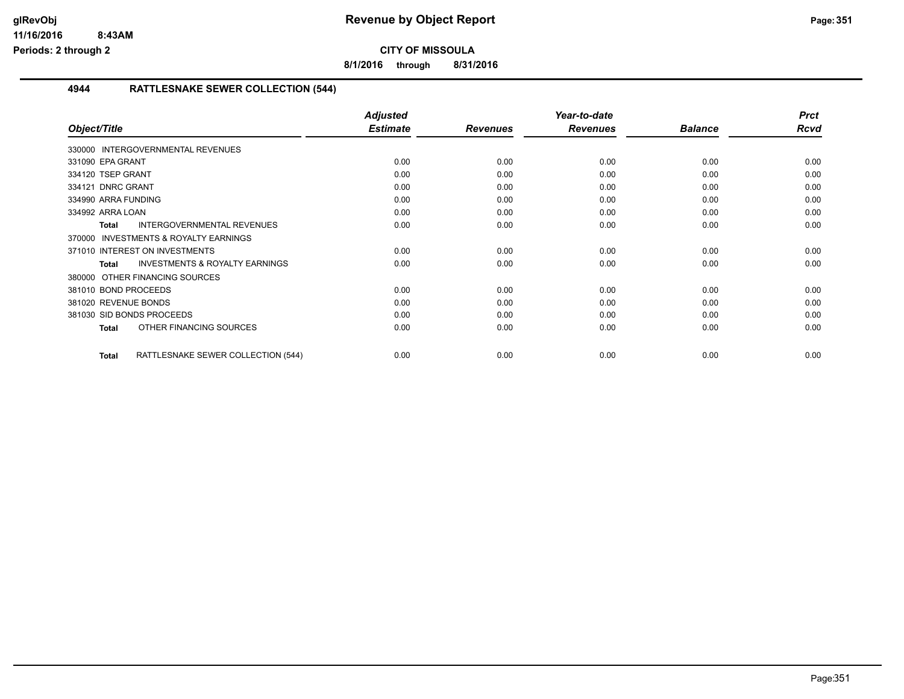**8/1/2016 through 8/31/2016**

#### **4944 RATTLESNAKE SEWER COLLECTION (544)**

|                                                    | <b>Adjusted</b> |                 | Year-to-date    |                | <b>Prct</b> |
|----------------------------------------------------|-----------------|-----------------|-----------------|----------------|-------------|
| Object/Title                                       | <b>Estimate</b> | <b>Revenues</b> | <b>Revenues</b> | <b>Balance</b> | <b>Rcvd</b> |
| 330000 INTERGOVERNMENTAL REVENUES                  |                 |                 |                 |                |             |
| 331090 EPA GRANT                                   | 0.00            | 0.00            | 0.00            | 0.00           | 0.00        |
| 334120 TSEP GRANT                                  | 0.00            | 0.00            | 0.00            | 0.00           | 0.00        |
| 334121 DNRC GRANT                                  | 0.00            | 0.00            | 0.00            | 0.00           | 0.00        |
| 334990 ARRA FUNDING                                | 0.00            | 0.00            | 0.00            | 0.00           | 0.00        |
| 334992 ARRA LOAN                                   | 0.00            | 0.00            | 0.00            | 0.00           | 0.00        |
| <b>INTERGOVERNMENTAL REVENUES</b><br>Total         | 0.00            | 0.00            | 0.00            | 0.00           | 0.00        |
| 370000 INVESTMENTS & ROYALTY EARNINGS              |                 |                 |                 |                |             |
| 371010 INTEREST ON INVESTMENTS                     | 0.00            | 0.00            | 0.00            | 0.00           | 0.00        |
| <b>INVESTMENTS &amp; ROYALTY EARNINGS</b><br>Total | 0.00            | 0.00            | 0.00            | 0.00           | 0.00        |
| 380000 OTHER FINANCING SOURCES                     |                 |                 |                 |                |             |
| 381010 BOND PROCEEDS                               | 0.00            | 0.00            | 0.00            | 0.00           | 0.00        |
| 381020 REVENUE BONDS                               | 0.00            | 0.00            | 0.00            | 0.00           | 0.00        |
| 381030 SID BONDS PROCEEDS                          | 0.00            | 0.00            | 0.00            | 0.00           | 0.00        |
| OTHER FINANCING SOURCES<br><b>Total</b>            | 0.00            | 0.00            | 0.00            | 0.00           | 0.00        |
| RATTLESNAKE SEWER COLLECTION (544)<br><b>Total</b> | 0.00            | 0.00            | 0.00            | 0.00           | 0.00        |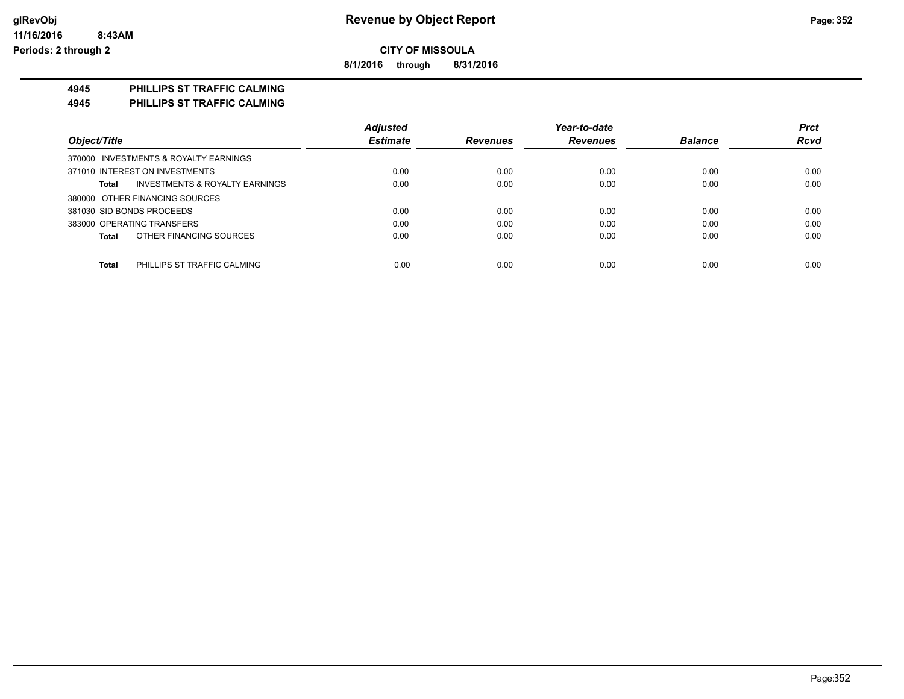**8/1/2016 through 8/31/2016**

#### **4945 PHILLIPS ST TRAFFIC CALMING**

**4945 PHILLIPS ST TRAFFIC CALMING**

|                                             |                                           | <b>Adjusted</b> |                 | Year-to-date    |                | <b>Prct</b> |
|---------------------------------------------|-------------------------------------------|-----------------|-----------------|-----------------|----------------|-------------|
| Object/Title                                |                                           | <b>Estimate</b> | <b>Revenues</b> | <b>Revenues</b> | <b>Balance</b> | <b>Rcvd</b> |
| 370000 INVESTMENTS & ROYALTY EARNINGS       |                                           |                 |                 |                 |                |             |
| 371010 INTEREST ON INVESTMENTS              |                                           | 0.00            | 0.00            | 0.00            | 0.00           | 0.00        |
| Total                                       | <b>INVESTMENTS &amp; ROYALTY EARNINGS</b> | 0.00            | 0.00            | 0.00            | 0.00           | 0.00        |
| 380000 OTHER FINANCING SOURCES              |                                           |                 |                 |                 |                |             |
| 381030 SID BONDS PROCEEDS                   |                                           | 0.00            | 0.00            | 0.00            | 0.00           | 0.00        |
| 383000 OPERATING TRANSFERS                  |                                           | 0.00            | 0.00            | 0.00            | 0.00           | 0.00        |
| OTHER FINANCING SOURCES<br>Total            |                                           | 0.00            | 0.00            | 0.00            | 0.00           | 0.00        |
| <b>Total</b><br>PHILLIPS ST TRAFFIC CALMING |                                           | 0.00            | 0.00            | 0.00            | 0.00           | 0.00        |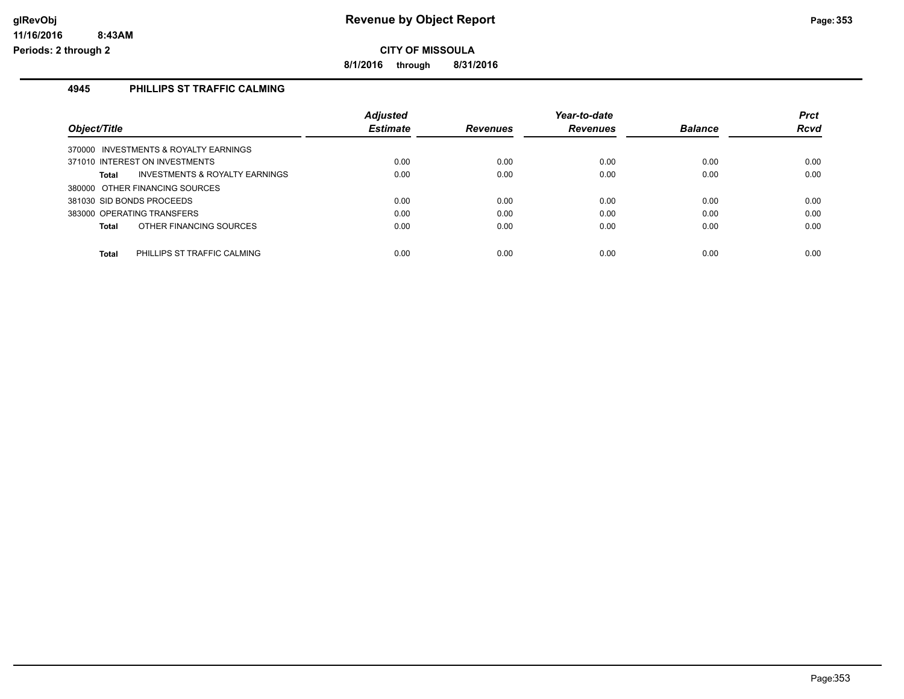**CITY OF MISSOULA**

**8/1/2016 through 8/31/2016**

#### **4945 PHILLIPS ST TRAFFIC CALMING**

 **8:43AM**

|                                                    | <b>Adjusted</b> |                 | Year-to-date    |                | <b>Prct</b> |
|----------------------------------------------------|-----------------|-----------------|-----------------|----------------|-------------|
| Object/Title                                       | <b>Estimate</b> | <b>Revenues</b> | <b>Revenues</b> | <b>Balance</b> | <b>Rcvd</b> |
| 370000 INVESTMENTS & ROYALTY EARNINGS              |                 |                 |                 |                |             |
| 371010 INTEREST ON INVESTMENTS                     | 0.00            | 0.00            | 0.00            | 0.00           | 0.00        |
| <b>INVESTMENTS &amp; ROYALTY EARNINGS</b><br>Total | 0.00            | 0.00            | 0.00            | 0.00           | 0.00        |
| 380000 OTHER FINANCING SOURCES                     |                 |                 |                 |                |             |
| 381030 SID BONDS PROCEEDS                          | 0.00            | 0.00            | 0.00            | 0.00           | 0.00        |
| 383000 OPERATING TRANSFERS                         | 0.00            | 0.00            | 0.00            | 0.00           | 0.00        |
| OTHER FINANCING SOURCES<br>Total                   | 0.00            | 0.00            | 0.00            | 0.00           | 0.00        |
|                                                    |                 |                 |                 |                |             |
| <b>Total</b><br>PHILLIPS ST TRAFFIC CALMING        | 0.00            | 0.00            | 0.00            | 0.00           | 0.00        |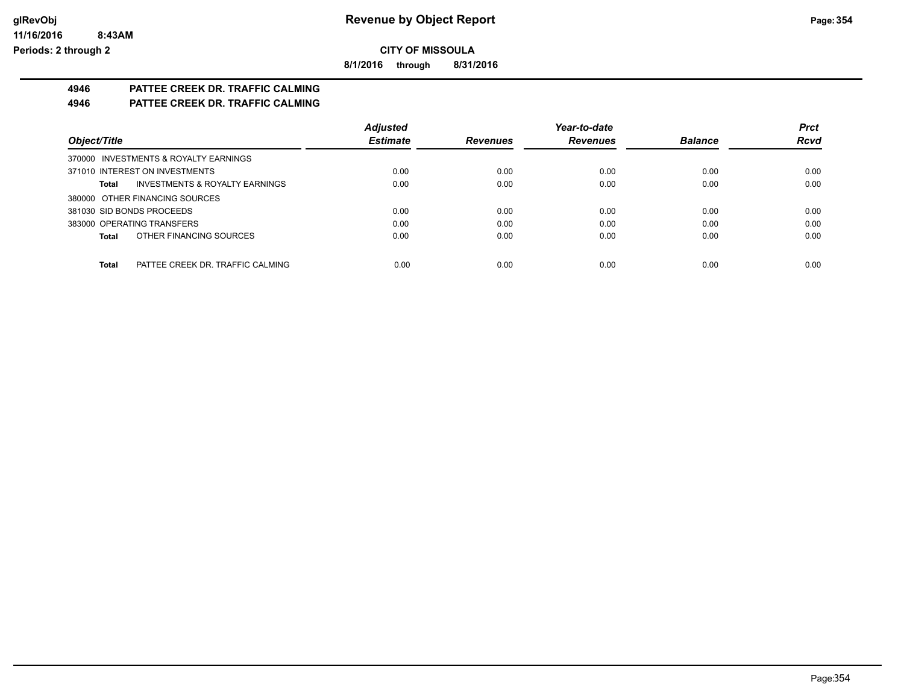**8/1/2016 through 8/31/2016**

# **4946 PATTEE CREEK DR. TRAFFIC CALMING**

## **4946 PATTEE CREEK DR. TRAFFIC CALMING**

|                                           | <b>Adjusted</b> |                 | Year-to-date    |                | <b>Prct</b> |
|-------------------------------------------|-----------------|-----------------|-----------------|----------------|-------------|
| Object/Title                              | <b>Estimate</b> | <b>Revenues</b> | <b>Revenues</b> | <b>Balance</b> | <b>Rcvd</b> |
| 370000 INVESTMENTS & ROYALTY EARNINGS     |                 |                 |                 |                |             |
| 371010 INTEREST ON INVESTMENTS            | 0.00            | 0.00            | 0.00            | 0.00           | 0.00        |
| INVESTMENTS & ROYALTY EARNINGS<br>Total   | 0.00            | 0.00            | 0.00            | 0.00           | 0.00        |
| 380000 OTHER FINANCING SOURCES            |                 |                 |                 |                |             |
| 381030 SID BONDS PROCEEDS                 | 0.00            | 0.00            | 0.00            | 0.00           | 0.00        |
| 383000 OPERATING TRANSFERS                | 0.00            | 0.00            | 0.00            | 0.00           | 0.00        |
| OTHER FINANCING SOURCES<br>Total          | 0.00            | 0.00            | 0.00            | 0.00           | 0.00        |
|                                           |                 |                 |                 |                |             |
| Total<br>PATTEE CREEK DR. TRAFFIC CALMING | 0.00            | 0.00            | 0.00            | 0.00           | 0.00        |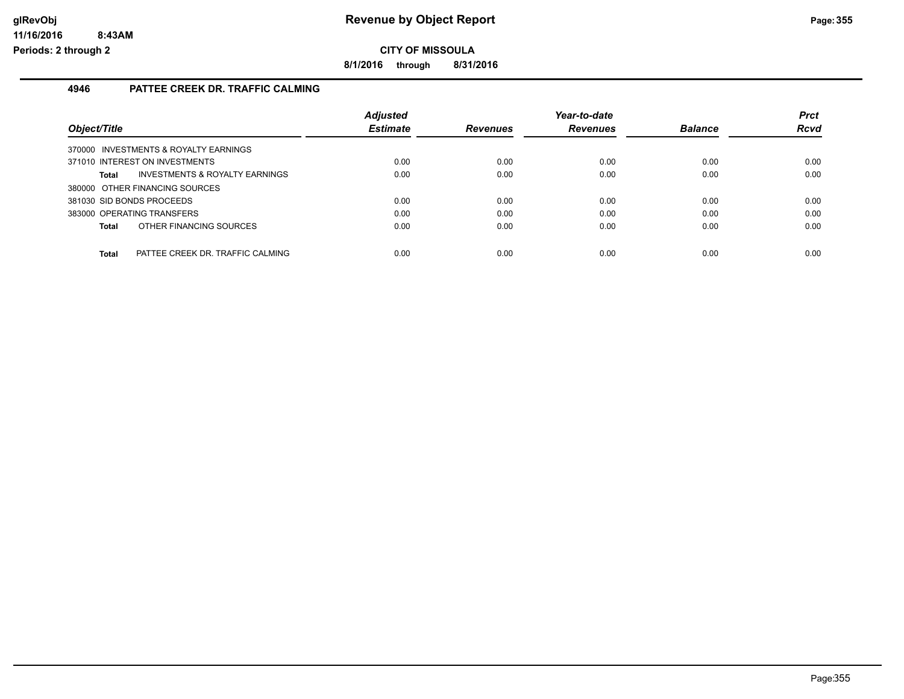**CITY OF MISSOULA**

**8/1/2016 through 8/31/2016**

#### **4946 PATTEE CREEK DR. TRAFFIC CALMING**

|                                                  | <b>Adjusted</b> |                 | Year-to-date    |                | <b>Prct</b> |
|--------------------------------------------------|-----------------|-----------------|-----------------|----------------|-------------|
| Object/Title                                     | <b>Estimate</b> | <b>Revenues</b> | <b>Revenues</b> | <b>Balance</b> | <b>Rcvd</b> |
| 370000 INVESTMENTS & ROYALTY EARNINGS            |                 |                 |                 |                |             |
| 371010 INTEREST ON INVESTMENTS                   | 0.00            | 0.00            | 0.00            | 0.00           | 0.00        |
| INVESTMENTS & ROYALTY EARNINGS<br>Total          | 0.00            | 0.00            | 0.00            | 0.00           | 0.00        |
| 380000 OTHER FINANCING SOURCES                   |                 |                 |                 |                |             |
| 381030 SID BONDS PROCEEDS                        | 0.00            | 0.00            | 0.00            | 0.00           | 0.00        |
| 383000 OPERATING TRANSFERS                       | 0.00            | 0.00            | 0.00            | 0.00           | 0.00        |
| OTHER FINANCING SOURCES<br><b>Total</b>          | 0.00            | 0.00            | 0.00            | 0.00           | 0.00        |
|                                                  |                 |                 |                 |                |             |
| <b>Total</b><br>PATTEE CREEK DR. TRAFFIC CALMING | 0.00            | 0.00            | 0.00            | 0.00           | 0.00        |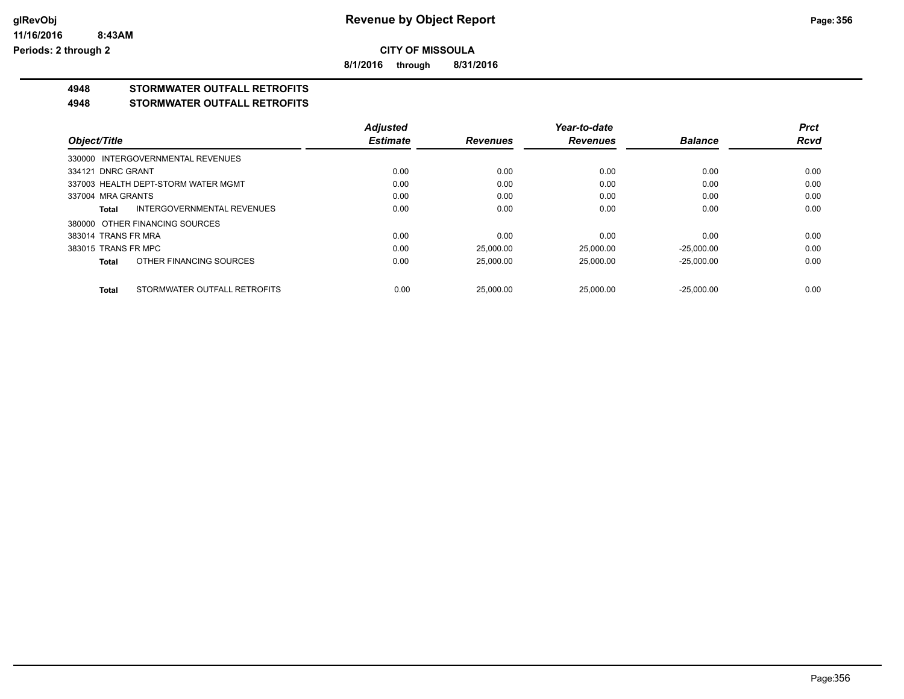**8/1/2016 through 8/31/2016**

## **4948 STORMWATER OUTFALL RETROFITS**

#### **4948 STORMWATER OUTFALL RETROFITS**

|                     |                                     | <b>Adjusted</b> |                 | Year-to-date    |                | Prct        |
|---------------------|-------------------------------------|-----------------|-----------------|-----------------|----------------|-------------|
| Object/Title        |                                     | <b>Estimate</b> | <b>Revenues</b> | <b>Revenues</b> | <b>Balance</b> | <b>Rcvd</b> |
|                     | 330000 INTERGOVERNMENTAL REVENUES   |                 |                 |                 |                |             |
| 334121 DNRC GRANT   |                                     | 0.00            | 0.00            | 0.00            | 0.00           | 0.00        |
|                     | 337003 HEALTH DEPT-STORM WATER MGMT | 0.00            | 0.00            | 0.00            | 0.00           | 0.00        |
| 337004 MRA GRANTS   |                                     | 0.00            | 0.00            | 0.00            | 0.00           | 0.00        |
| Total               | <b>INTERGOVERNMENTAL REVENUES</b>   | 0.00            | 0.00            | 0.00            | 0.00           | 0.00        |
|                     | 380000 OTHER FINANCING SOURCES      |                 |                 |                 |                |             |
| 383014 TRANS FR MRA |                                     | 0.00            | 0.00            | 0.00            | 0.00           | 0.00        |
| 383015 TRANS FR MPC |                                     | 0.00            | 25.000.00       | 25.000.00       | $-25.000.00$   | 0.00        |
| <b>Total</b>        | OTHER FINANCING SOURCES             | 0.00            | 25,000.00       | 25.000.00       | $-25.000.00$   | 0.00        |
| <b>Total</b>        | STORMWATER OUTFALL RETROFITS        | 0.00            | 25.000.00       | 25.000.00       | $-25.000.00$   | 0.00        |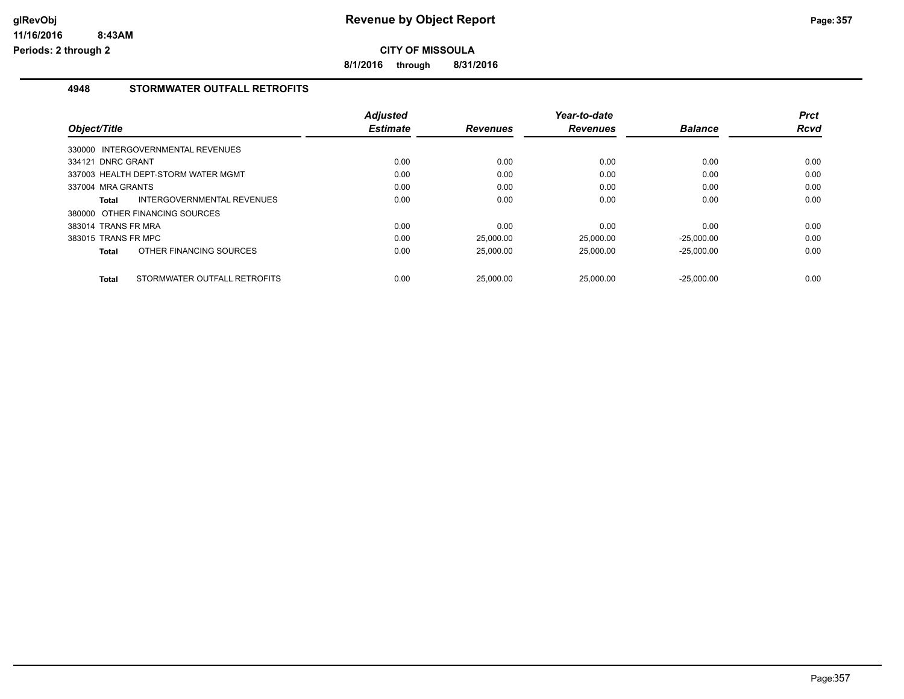**8/1/2016 through 8/31/2016**

#### **4948 STORMWATER OUTFALL RETROFITS**

| Object/Title                        |                              | <b>Adjusted</b><br><b>Estimate</b> | <b>Revenues</b> | Year-to-date<br><b>Revenues</b> | <b>Balance</b> | <b>Prct</b><br><b>Rcvd</b> |
|-------------------------------------|------------------------------|------------------------------------|-----------------|---------------------------------|----------------|----------------------------|
| 330000 INTERGOVERNMENTAL REVENUES   |                              |                                    |                 |                                 |                |                            |
| 334121 DNRC GRANT                   |                              | 0.00                               | 0.00            | 0.00                            | 0.00           | 0.00                       |
| 337003 HEALTH DEPT-STORM WATER MGMT |                              | 0.00                               | 0.00            | 0.00                            | 0.00           | 0.00                       |
| 337004 MRA GRANTS                   |                              | 0.00                               | 0.00            | 0.00                            | 0.00           | 0.00                       |
| Total                               | INTERGOVERNMENTAL REVENUES   | 0.00                               | 0.00            | 0.00                            | 0.00           | 0.00                       |
| 380000 OTHER FINANCING SOURCES      |                              |                                    |                 |                                 |                |                            |
| 383014 TRANS FR MRA                 |                              | 0.00                               | 0.00            | 0.00                            | 0.00           | 0.00                       |
| 383015 TRANS FR MPC                 |                              | 0.00                               | 25.000.00       | 25.000.00                       | $-25.000.00$   | 0.00                       |
| Total                               | OTHER FINANCING SOURCES      | 0.00                               | 25,000.00       | 25,000.00                       | $-25,000.00$   | 0.00                       |
| Total                               | STORMWATER OUTFALL RETROFITS | 0.00                               | 25,000.00       | 25,000.00                       | $-25.000.00$   | 0.00                       |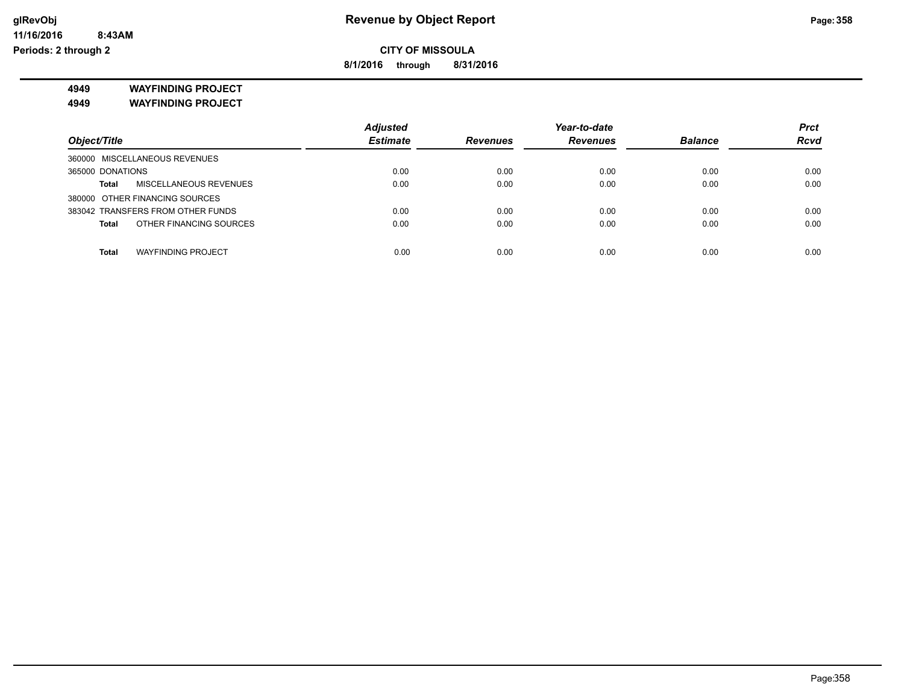**8/1/2016 through 8/31/2016**

**4949 WAYFINDING PROJECT**

**4949 WAYFINDING PROJECT**

|                                           | <b>Adjusted</b> |                 | Year-to-date    |                | <b>Prct</b> |
|-------------------------------------------|-----------------|-----------------|-----------------|----------------|-------------|
| Object/Title                              | <b>Estimate</b> | <b>Revenues</b> | <b>Revenues</b> | <b>Balance</b> | <b>Rcvd</b> |
| 360000 MISCELLANEOUS REVENUES             |                 |                 |                 |                |             |
| 365000 DONATIONS                          | 0.00            | 0.00            | 0.00            | 0.00           | 0.00        |
| MISCELLANEOUS REVENUES<br><b>Total</b>    | 0.00            | 0.00            | 0.00            | 0.00           | 0.00        |
| 380000 OTHER FINANCING SOURCES            |                 |                 |                 |                |             |
| 383042 TRANSFERS FROM OTHER FUNDS         | 0.00            | 0.00            | 0.00            | 0.00           | 0.00        |
| OTHER FINANCING SOURCES<br><b>Total</b>   | 0.00            | 0.00            | 0.00            | 0.00           | 0.00        |
|                                           |                 |                 |                 |                |             |
| <b>WAYFINDING PROJECT</b><br><b>Total</b> | 0.00            | 0.00            | 0.00            | 0.00           | 0.00        |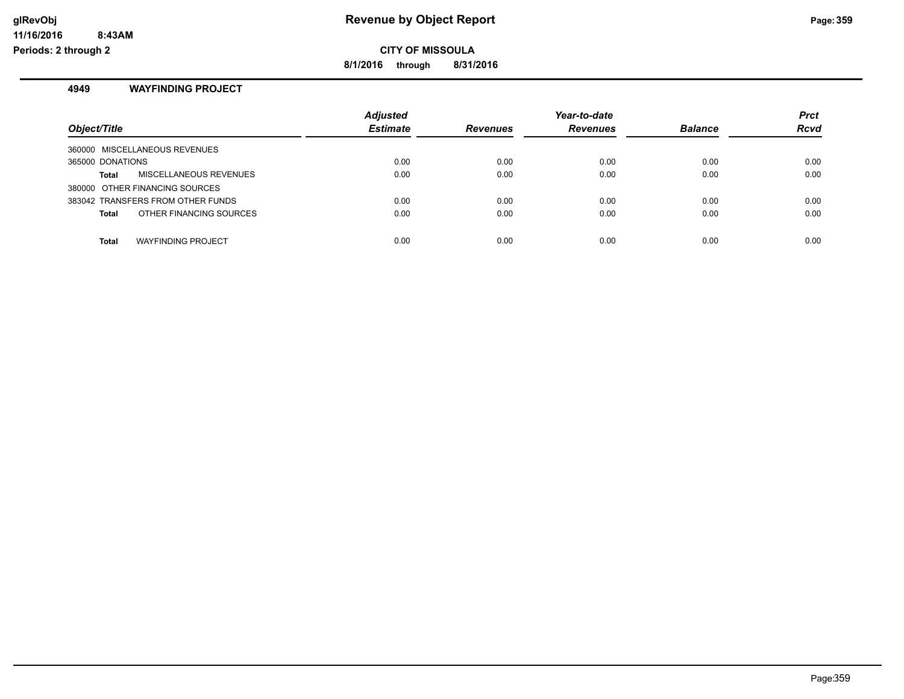**glRevObj Revenue by Object Report Page:359** 

**CITY OF MISSOULA**

**8/1/2016 through 8/31/2016**

#### **4949 WAYFINDING PROJECT**

 **8:43AM**

| Object/Title                            | <b>Adjusted</b><br><b>Estimate</b> | <b>Revenues</b> | Year-to-date<br><b>Revenues</b> | <b>Balance</b> | <b>Prct</b><br><b>Rcvd</b> |
|-----------------------------------------|------------------------------------|-----------------|---------------------------------|----------------|----------------------------|
| 360000 MISCELLANEOUS REVENUES           |                                    |                 |                                 |                |                            |
| 365000 DONATIONS                        | 0.00                               | 0.00            | 0.00                            | 0.00           | 0.00                       |
| MISCELLANEOUS REVENUES<br><b>Total</b>  | 0.00                               | 0.00            | 0.00                            | 0.00           | 0.00                       |
| 380000 OTHER FINANCING SOURCES          |                                    |                 |                                 |                |                            |
| 383042 TRANSFERS FROM OTHER FUNDS       | 0.00                               | 0.00            | 0.00                            | 0.00           | 0.00                       |
| OTHER FINANCING SOURCES<br><b>Total</b> | 0.00                               | 0.00            | 0.00                            | 0.00           | 0.00                       |
| <b>WAYFINDING PROJECT</b><br>Total      | 0.00                               | 0.00            | 0.00                            | 0.00           | 0.00                       |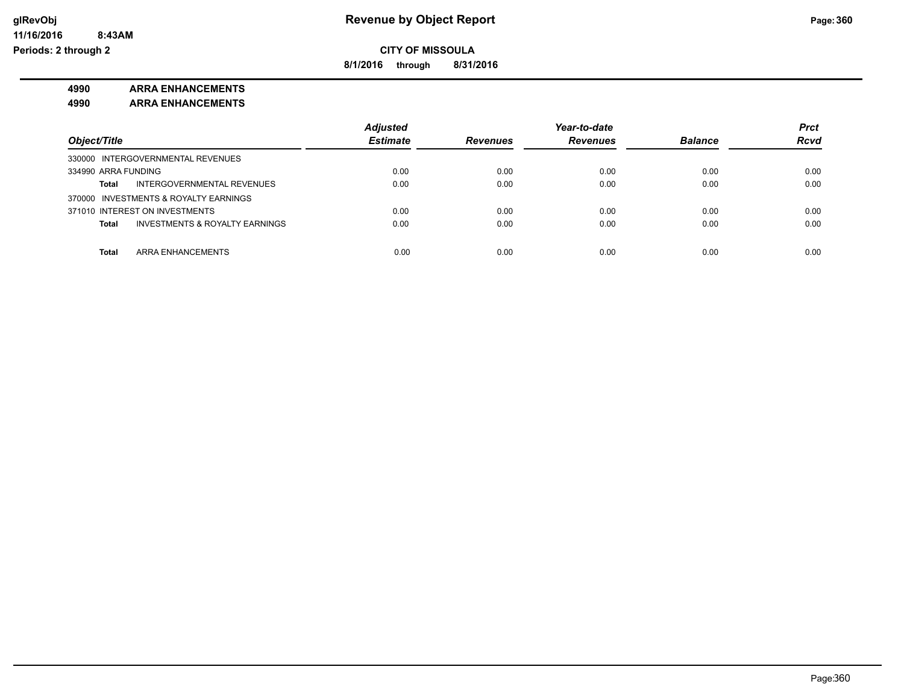**8/1/2016 through 8/31/2016**

#### **4990 ARRA ENHANCEMENTS**

**4990 ARRA ENHANCEMENTS**

|                                                           | <b>Adjusted</b> |                 | Year-to-date    |                | <b>Prct</b> |
|-----------------------------------------------------------|-----------------|-----------------|-----------------|----------------|-------------|
| Object/Title                                              | <b>Estimate</b> | <b>Revenues</b> | <b>Revenues</b> | <b>Balance</b> | <b>Rcvd</b> |
| 330000 INTERGOVERNMENTAL REVENUES                         |                 |                 |                 |                |             |
| 334990 ARRA FUNDING                                       | 0.00            | 0.00            | 0.00            | 0.00           | 0.00        |
| INTERGOVERNMENTAL REVENUES<br>Total                       | 0.00            | 0.00            | 0.00            | 0.00           | 0.00        |
| 370000 INVESTMENTS & ROYALTY EARNINGS                     |                 |                 |                 |                |             |
| 371010 INTEREST ON INVESTMENTS                            | 0.00            | 0.00            | 0.00            | 0.00           | 0.00        |
| <b>INVESTMENTS &amp; ROYALTY EARNINGS</b><br><b>Total</b> | 0.00            | 0.00            | 0.00            | 0.00           | 0.00        |
|                                                           |                 |                 |                 |                |             |
| ARRA ENHANCEMENTS<br><b>Total</b>                         | 0.00            | 0.00            | 0.00            | 0.00           | 0.00        |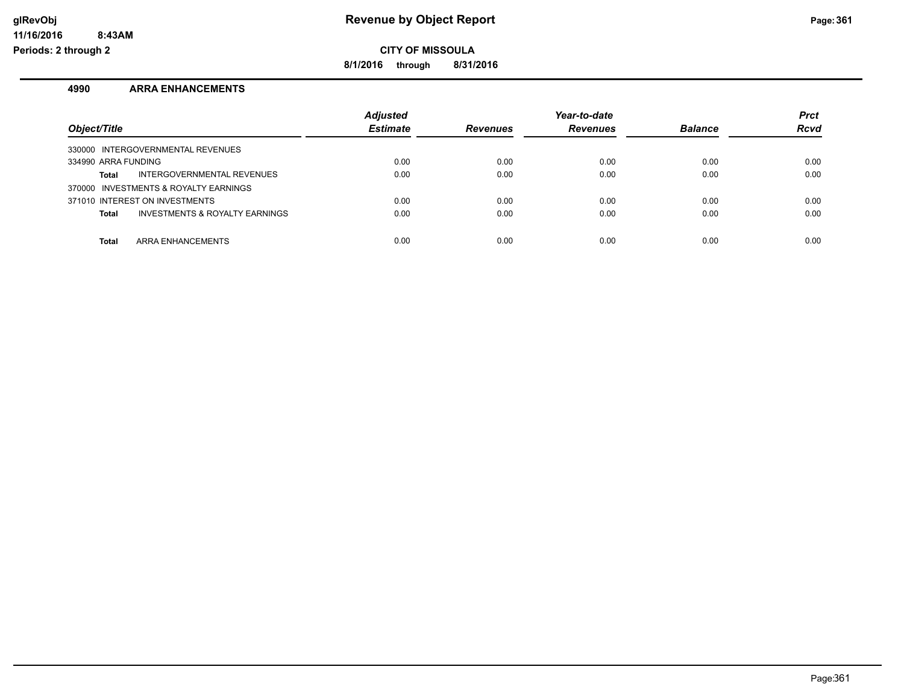**8/1/2016 through 8/31/2016**

#### **4990 ARRA ENHANCEMENTS**

| Object/Title                                              | <b>Adjusted</b><br><b>Estimate</b> | <b>Revenues</b> | Year-to-date<br><b>Revenues</b> | <b>Balance</b> | <b>Prct</b><br><b>Rcvd</b> |
|-----------------------------------------------------------|------------------------------------|-----------------|---------------------------------|----------------|----------------------------|
| 330000 INTERGOVERNMENTAL REVENUES                         |                                    |                 |                                 |                |                            |
| 334990 ARRA FUNDING                                       | 0.00                               | 0.00            | 0.00                            | 0.00           | 0.00                       |
| INTERGOVERNMENTAL REVENUES<br>Total                       | 0.00                               | 0.00            | 0.00                            | 0.00           | 0.00                       |
| 370000 INVESTMENTS & ROYALTY EARNINGS                     |                                    |                 |                                 |                |                            |
| 371010 INTEREST ON INVESTMENTS                            | 0.00                               | 0.00            | 0.00                            | 0.00           | 0.00                       |
| <b>INVESTMENTS &amp; ROYALTY EARNINGS</b><br><b>Total</b> | 0.00                               | 0.00            | 0.00                            | 0.00           | 0.00                       |
|                                                           |                                    |                 |                                 |                |                            |
| ARRA ENHANCEMENTS<br><b>Total</b>                         | 0.00                               | 0.00            | 0.00                            | 0.00           | 0.00                       |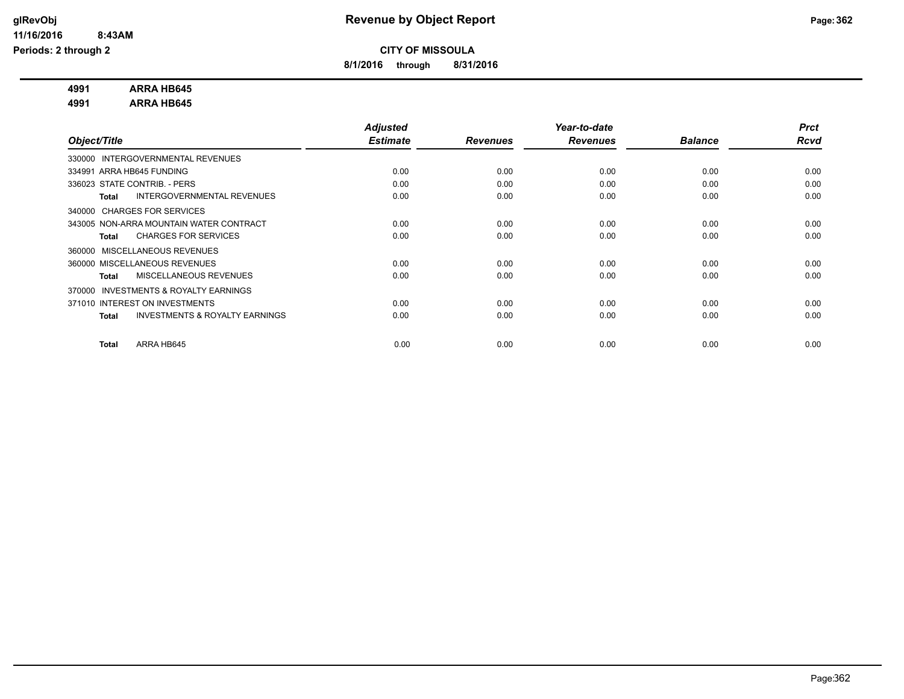**8/1/2016 through 8/31/2016**

## **4991 ARRA HB645**

**4991 ARRA HB645**

|                                                    | <b>Adjusted</b> |                 | Year-to-date    |                | <b>Prct</b> |
|----------------------------------------------------|-----------------|-----------------|-----------------|----------------|-------------|
| Object/Title                                       | <b>Estimate</b> | <b>Revenues</b> | <b>Revenues</b> | <b>Balance</b> | <b>Rcvd</b> |
| 330000 INTERGOVERNMENTAL REVENUES                  |                 |                 |                 |                |             |
| 334991 ARRA HB645 FUNDING                          | 0.00            | 0.00            | 0.00            | 0.00           | 0.00        |
| 336023 STATE CONTRIB. - PERS                       | 0.00            | 0.00            | 0.00            | 0.00           | 0.00        |
| <b>INTERGOVERNMENTAL REVENUES</b><br>Total         | 0.00            | 0.00            | 0.00            | 0.00           | 0.00        |
| 340000 CHARGES FOR SERVICES                        |                 |                 |                 |                |             |
| 343005 NON-ARRA MOUNTAIN WATER CONTRACT            | 0.00            | 0.00            | 0.00            | 0.00           | 0.00        |
| <b>CHARGES FOR SERVICES</b><br>Total               | 0.00            | 0.00            | 0.00            | 0.00           | 0.00        |
| 360000 MISCELLANEOUS REVENUES                      |                 |                 |                 |                |             |
| 360000 MISCELLANEOUS REVENUES                      | 0.00            | 0.00            | 0.00            | 0.00           | 0.00        |
| MISCELLANEOUS REVENUES<br>Total                    | 0.00            | 0.00            | 0.00            | 0.00           | 0.00        |
| 370000 INVESTMENTS & ROYALTY EARNINGS              |                 |                 |                 |                |             |
| 371010 INTEREST ON INVESTMENTS                     | 0.00            | 0.00            | 0.00            | 0.00           | 0.00        |
| <b>INVESTMENTS &amp; ROYALTY EARNINGS</b><br>Total | 0.00            | 0.00            | 0.00            | 0.00           | 0.00        |
|                                                    |                 |                 |                 |                |             |
| ARRA HB645<br><b>Total</b>                         | 0.00            | 0.00            | 0.00            | 0.00           | 0.00        |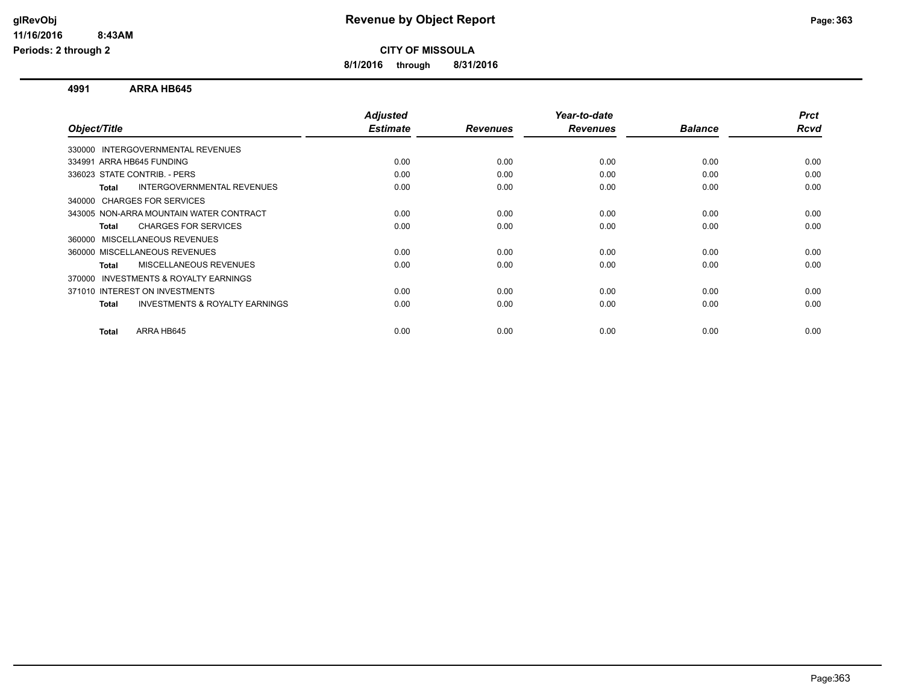**8:43AM Periods: 2 through 2**

**CITY OF MISSOULA**

**8/1/2016 through 8/31/2016**

**4991 ARRA HB645**

| Object/Title                                              | <b>Adjusted</b><br><b>Estimate</b> | <b>Revenues</b> | Year-to-date<br><b>Revenues</b> | <b>Balance</b> | <b>Prct</b><br>Rcvd |
|-----------------------------------------------------------|------------------------------------|-----------------|---------------------------------|----------------|---------------------|
|                                                           |                                    |                 |                                 |                |                     |
| 330000 INTERGOVERNMENTAL REVENUES                         |                                    |                 |                                 |                |                     |
| 334991 ARRA HB645 FUNDING                                 | 0.00                               | 0.00            | 0.00                            | 0.00           | 0.00                |
| 336023 STATE CONTRIB. - PERS                              | 0.00                               | 0.00            | 0.00                            | 0.00           | 0.00                |
| <b>INTERGOVERNMENTAL REVENUES</b><br>Total                | 0.00                               | 0.00            | 0.00                            | 0.00           | 0.00                |
| 340000 CHARGES FOR SERVICES                               |                                    |                 |                                 |                |                     |
| 343005 NON-ARRA MOUNTAIN WATER CONTRACT                   | 0.00                               | 0.00            | 0.00                            | 0.00           | 0.00                |
| <b>CHARGES FOR SERVICES</b><br><b>Total</b>               | 0.00                               | 0.00            | 0.00                            | 0.00           | 0.00                |
| 360000 MISCELLANEOUS REVENUES                             |                                    |                 |                                 |                |                     |
| 360000 MISCELLANEOUS REVENUES                             | 0.00                               | 0.00            | 0.00                            | 0.00           | 0.00                |
| <b>MISCELLANEOUS REVENUES</b><br><b>Total</b>             | 0.00                               | 0.00            | 0.00                            | 0.00           | 0.00                |
| 370000 INVESTMENTS & ROYALTY EARNINGS                     |                                    |                 |                                 |                |                     |
| 371010 INTEREST ON INVESTMENTS                            | 0.00                               | 0.00            | 0.00                            | 0.00           | 0.00                |
| <b>INVESTMENTS &amp; ROYALTY EARNINGS</b><br><b>Total</b> | 0.00                               | 0.00            | 0.00                            | 0.00           | 0.00                |
|                                                           |                                    |                 |                                 |                |                     |
| ARRA HB645<br><b>Total</b>                                | 0.00                               | 0.00            | 0.00                            | 0.00           | 0.00                |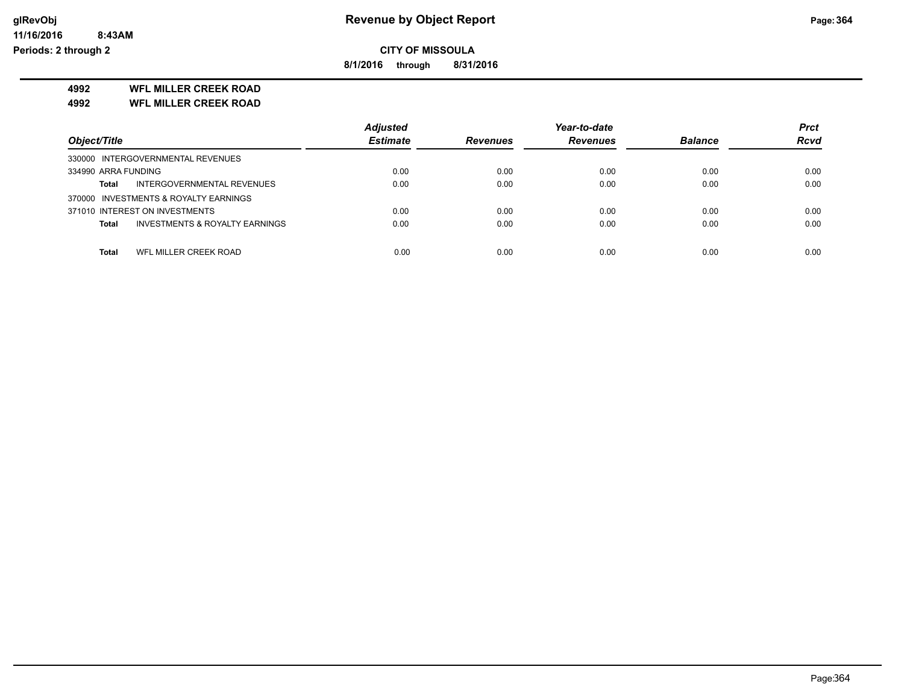**8/1/2016 through 8/31/2016**

#### **4992 WFL MILLER CREEK ROAD**

**4992 WFL MILLER CREEK ROAD**

|                                                           | <b>Adjusted</b> |                 | Year-to-date    |                | <b>Prct</b> |
|-----------------------------------------------------------|-----------------|-----------------|-----------------|----------------|-------------|
| Object/Title                                              | <b>Estimate</b> | <b>Revenues</b> | <b>Revenues</b> | <b>Balance</b> | <b>Rcvd</b> |
| 330000 INTERGOVERNMENTAL REVENUES                         |                 |                 |                 |                |             |
| 334990 ARRA FUNDING                                       | 0.00            | 0.00            | 0.00            | 0.00           | 0.00        |
| INTERGOVERNMENTAL REVENUES<br>Total                       | 0.00            | 0.00            | 0.00            | 0.00           | 0.00        |
| 370000 INVESTMENTS & ROYALTY EARNINGS                     |                 |                 |                 |                |             |
| 371010 INTEREST ON INVESTMENTS                            | 0.00            | 0.00            | 0.00            | 0.00           | 0.00        |
| <b>INVESTMENTS &amp; ROYALTY EARNINGS</b><br><b>Total</b> | 0.00            | 0.00            | 0.00            | 0.00           | 0.00        |
|                                                           |                 |                 |                 |                |             |
| WFL MILLER CREEK ROAD<br><b>Total</b>                     | 0.00            | 0.00            | 0.00            | 0.00           | 0.00        |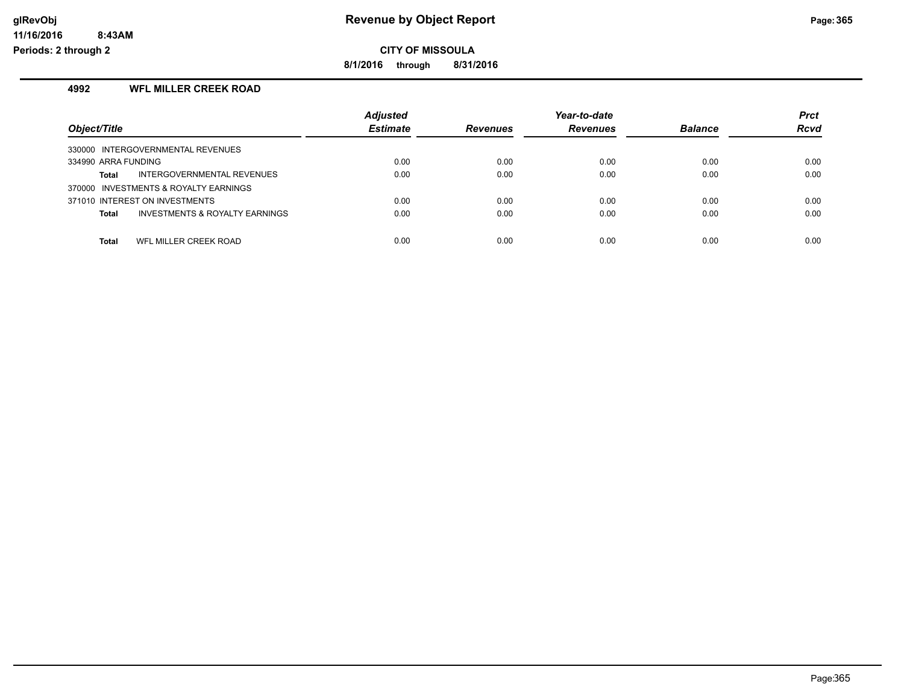**Periods: 2 through 2**

**CITY OF MISSOULA**

**8/1/2016 through 8/31/2016**

## **4992 WFL MILLER CREEK ROAD**

 **8:43AM**

| Object/Title                                              | <b>Adjusted</b><br><b>Estimate</b> | <b>Revenues</b> | Year-to-date<br><b>Revenues</b> | <b>Balance</b> | <b>Prct</b><br><b>Rcvd</b> |
|-----------------------------------------------------------|------------------------------------|-----------------|---------------------------------|----------------|----------------------------|
| 330000 INTERGOVERNMENTAL REVENUES                         |                                    |                 |                                 |                |                            |
| 334990 ARRA FUNDING                                       | 0.00                               | 0.00            | 0.00                            | 0.00           | 0.00                       |
| INTERGOVERNMENTAL REVENUES<br>Total                       | 0.00                               | 0.00            | 0.00                            | 0.00           | 0.00                       |
| 370000 INVESTMENTS & ROYALTY EARNINGS                     |                                    |                 |                                 |                |                            |
| 371010 INTEREST ON INVESTMENTS                            | 0.00                               | 0.00            | 0.00                            | 0.00           | 0.00                       |
| <b>INVESTMENTS &amp; ROYALTY EARNINGS</b><br><b>Total</b> | 0.00                               | 0.00            | 0.00                            | 0.00           | 0.00                       |
| WFL MILLER CREEK ROAD<br>Total                            | 0.00                               | 0.00            | 0.00                            | 0.00           | 0.00                       |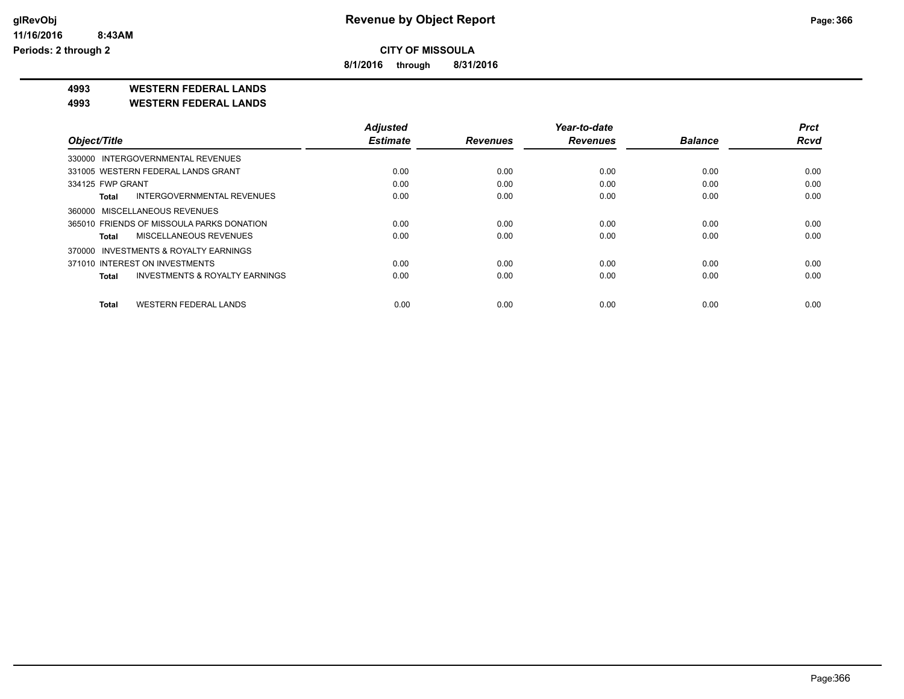**8/1/2016 through 8/31/2016**

#### **4993 WESTERN FEDERAL LANDS**

**4993 WESTERN FEDERAL LANDS**

|                                              | <b>Adjusted</b> |                 | Year-to-date    |                | <b>Prct</b> |
|----------------------------------------------|-----------------|-----------------|-----------------|----------------|-------------|
| Object/Title                                 | <b>Estimate</b> | <b>Revenues</b> | <b>Revenues</b> | <b>Balance</b> | <b>Rcvd</b> |
| 330000 INTERGOVERNMENTAL REVENUES            |                 |                 |                 |                |             |
| 331005 WESTERN FEDERAL LANDS GRANT           | 0.00            | 0.00            | 0.00            | 0.00           | 0.00        |
| 334125 FWP GRANT                             | 0.00            | 0.00            | 0.00            | 0.00           | 0.00        |
| INTERGOVERNMENTAL REVENUES<br>Total          | 0.00            | 0.00            | 0.00            | 0.00           | 0.00        |
| 360000 MISCELLANEOUS REVENUES                |                 |                 |                 |                |             |
| 365010 FRIENDS OF MISSOULA PARKS DONATION    | 0.00            | 0.00            | 0.00            | 0.00           | 0.00        |
| MISCELLANEOUS REVENUES<br>Total              | 0.00            | 0.00            | 0.00            | 0.00           | 0.00        |
| 370000 INVESTMENTS & ROYALTY EARNINGS        |                 |                 |                 |                |             |
| 371010 INTEREST ON INVESTMENTS               | 0.00            | 0.00            | 0.00            | 0.00           | 0.00        |
| INVESTMENTS & ROYALTY EARNINGS<br>Total      | 0.00            | 0.00            | 0.00            | 0.00           | 0.00        |
| <b>WESTERN FEDERAL LANDS</b><br><b>Total</b> | 0.00            | 0.00            | 0.00            | 0.00           | 0.00        |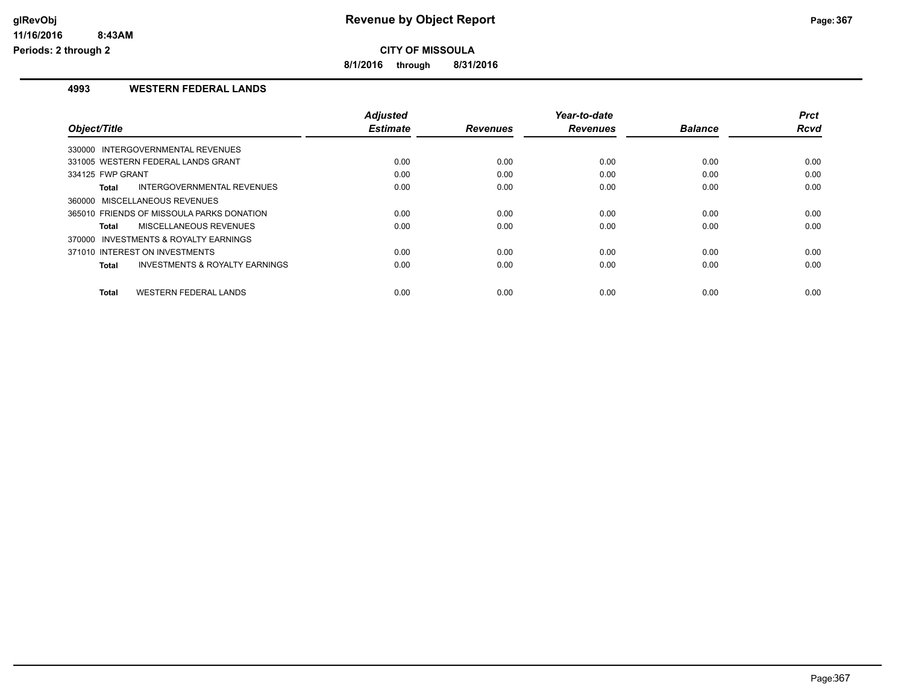**8/1/2016 through 8/31/2016**

### **4993 WESTERN FEDERAL LANDS**

| Object/Title                                 | <b>Adjusted</b><br><b>Estimate</b> | <b>Revenues</b> | Year-to-date<br><b>Revenues</b> | <b>Balance</b> | <b>Prct</b><br>Rcvd |
|----------------------------------------------|------------------------------------|-----------------|---------------------------------|----------------|---------------------|
|                                              |                                    |                 |                                 |                |                     |
| 330000 INTERGOVERNMENTAL REVENUES            |                                    |                 |                                 |                |                     |
| 331005 WESTERN FEDERAL LANDS GRANT           | 0.00                               | 0.00            | 0.00                            | 0.00           | 0.00                |
| 334125 FWP GRANT                             | 0.00                               | 0.00            | 0.00                            | 0.00           | 0.00                |
| INTERGOVERNMENTAL REVENUES<br>Total          | 0.00                               | 0.00            | 0.00                            | 0.00           | 0.00                |
| 360000 MISCELLANEOUS REVENUES                |                                    |                 |                                 |                |                     |
| 365010 FRIENDS OF MISSOULA PARKS DONATION    | 0.00                               | 0.00            | 0.00                            | 0.00           | 0.00                |
| MISCELLANEOUS REVENUES<br>Total              | 0.00                               | 0.00            | 0.00                            | 0.00           | 0.00                |
| 370000 INVESTMENTS & ROYALTY EARNINGS        |                                    |                 |                                 |                |                     |
| 371010 INTEREST ON INVESTMENTS               | 0.00                               | 0.00            | 0.00                            | 0.00           | 0.00                |
| INVESTMENTS & ROYALTY EARNINGS<br>Total      | 0.00                               | 0.00            | 0.00                            | 0.00           | 0.00                |
|                                              |                                    |                 |                                 |                |                     |
| <b>WESTERN FEDERAL LANDS</b><br><b>Total</b> | 0.00                               | 0.00            | 0.00                            | 0.00           | 0.00                |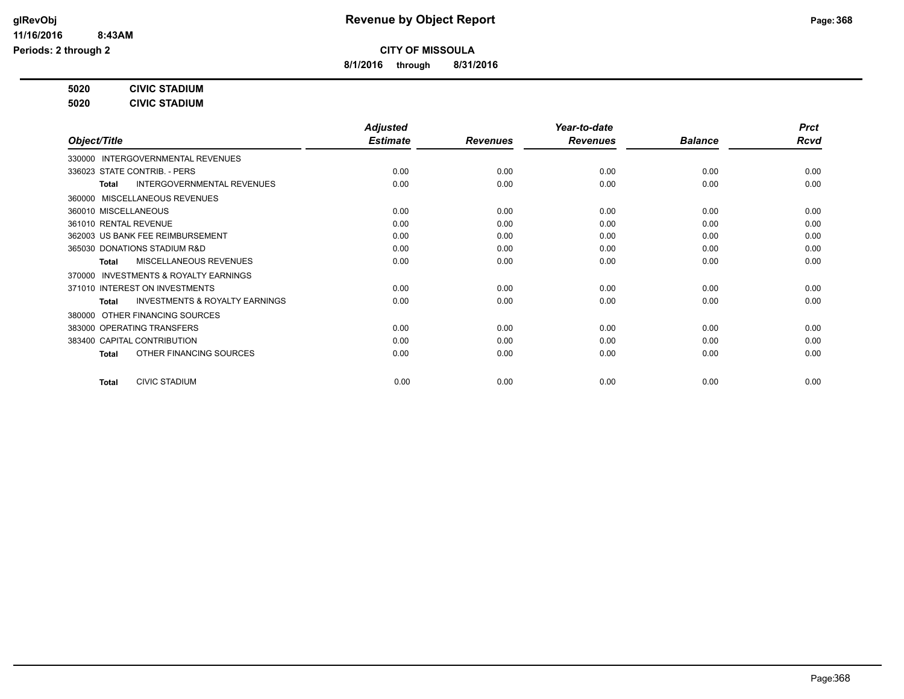**8/1/2016 through 8/31/2016**

**Periods: 2 through 2**

#### **5020 CIVIC STADIUM**

 **8:43AM**

**5020 CIVIC STADIUM**

|                                                           | <b>Adjusted</b> |                 | Year-to-date    |                | <b>Prct</b> |
|-----------------------------------------------------------|-----------------|-----------------|-----------------|----------------|-------------|
| Object/Title                                              | <b>Estimate</b> | <b>Revenues</b> | <b>Revenues</b> | <b>Balance</b> | <b>Rcvd</b> |
| 330000 INTERGOVERNMENTAL REVENUES                         |                 |                 |                 |                |             |
| 336023 STATE CONTRIB. - PERS                              | 0.00            | 0.00            | 0.00            | 0.00           | 0.00        |
| <b>INTERGOVERNMENTAL REVENUES</b><br><b>Total</b>         | 0.00            | 0.00            | 0.00            | 0.00           | 0.00        |
| 360000 MISCELLANEOUS REVENUES                             |                 |                 |                 |                |             |
| 360010 MISCELLANEOUS                                      | 0.00            | 0.00            | 0.00            | 0.00           | 0.00        |
| 361010 RENTAL REVENUE                                     | 0.00            | 0.00            | 0.00            | 0.00           | 0.00        |
| 362003 US BANK FEE REIMBURSEMENT                          | 0.00            | 0.00            | 0.00            | 0.00           | 0.00        |
| 365030 DONATIONS STADIUM R&D                              | 0.00            | 0.00            | 0.00            | 0.00           | 0.00        |
| MISCELLANEOUS REVENUES<br><b>Total</b>                    | 0.00            | 0.00            | 0.00            | 0.00           | 0.00        |
| 370000 INVESTMENTS & ROYALTY EARNINGS                     |                 |                 |                 |                |             |
| 371010 INTEREST ON INVESTMENTS                            | 0.00            | 0.00            | 0.00            | 0.00           | 0.00        |
| <b>INVESTMENTS &amp; ROYALTY EARNINGS</b><br><b>Total</b> | 0.00            | 0.00            | 0.00            | 0.00           | 0.00        |
| OTHER FINANCING SOURCES<br>380000                         |                 |                 |                 |                |             |
| 383000 OPERATING TRANSFERS                                | 0.00            | 0.00            | 0.00            | 0.00           | 0.00        |
| 383400 CAPITAL CONTRIBUTION                               | 0.00            | 0.00            | 0.00            | 0.00           | 0.00        |
| OTHER FINANCING SOURCES<br><b>Total</b>                   | 0.00            | 0.00            | 0.00            | 0.00           | 0.00        |
|                                                           |                 |                 |                 |                |             |
| <b>CIVIC STADIUM</b><br><b>Total</b>                      | 0.00            | 0.00            | 0.00            | 0.00           | 0.00        |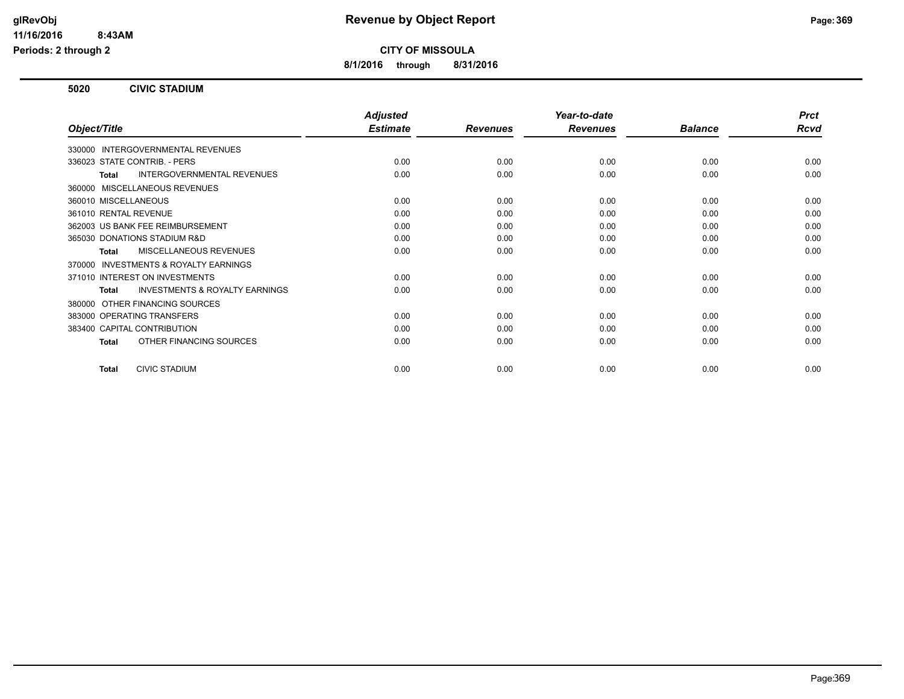**8/1/2016 through 8/31/2016**

#### **5020 CIVIC STADIUM**

|                                                    | <b>Adjusted</b> |                 | Year-to-date    |                | <b>Prct</b> |
|----------------------------------------------------|-----------------|-----------------|-----------------|----------------|-------------|
| Object/Title                                       | <b>Estimate</b> | <b>Revenues</b> | <b>Revenues</b> | <b>Balance</b> | <b>Rcvd</b> |
| 330000 INTERGOVERNMENTAL REVENUES                  |                 |                 |                 |                |             |
| 336023 STATE CONTRIB. - PERS                       | 0.00            | 0.00            | 0.00            | 0.00           | 0.00        |
| <b>INTERGOVERNMENTAL REVENUES</b><br>Total         | 0.00            | 0.00            | 0.00            | 0.00           | 0.00        |
| 360000 MISCELLANEOUS REVENUES                      |                 |                 |                 |                |             |
| 360010 MISCELLANEOUS                               | 0.00            | 0.00            | 0.00            | 0.00           | 0.00        |
| 361010 RENTAL REVENUE                              | 0.00            | 0.00            | 0.00            | 0.00           | 0.00        |
| 362003 US BANK FEE REIMBURSEMENT                   | 0.00            | 0.00            | 0.00            | 0.00           | 0.00        |
| 365030 DONATIONS STADIUM R&D                       | 0.00            | 0.00            | 0.00            | 0.00           | 0.00        |
| MISCELLANEOUS REVENUES<br>Total                    | 0.00            | 0.00            | 0.00            | 0.00           | 0.00        |
| 370000 INVESTMENTS & ROYALTY EARNINGS              |                 |                 |                 |                |             |
| 371010 INTEREST ON INVESTMENTS                     | 0.00            | 0.00            | 0.00            | 0.00           | 0.00        |
| <b>INVESTMENTS &amp; ROYALTY EARNINGS</b><br>Total | 0.00            | 0.00            | 0.00            | 0.00           | 0.00        |
| 380000 OTHER FINANCING SOURCES                     |                 |                 |                 |                |             |
| 383000 OPERATING TRANSFERS                         | 0.00            | 0.00            | 0.00            | 0.00           | 0.00        |
| 383400 CAPITAL CONTRIBUTION                        | 0.00            | 0.00            | 0.00            | 0.00           | 0.00        |
| OTHER FINANCING SOURCES<br><b>Total</b>            | 0.00            | 0.00            | 0.00            | 0.00           | 0.00        |
| <b>CIVIC STADIUM</b><br><b>Total</b>               | 0.00            | 0.00            | 0.00            | 0.00           | 0.00        |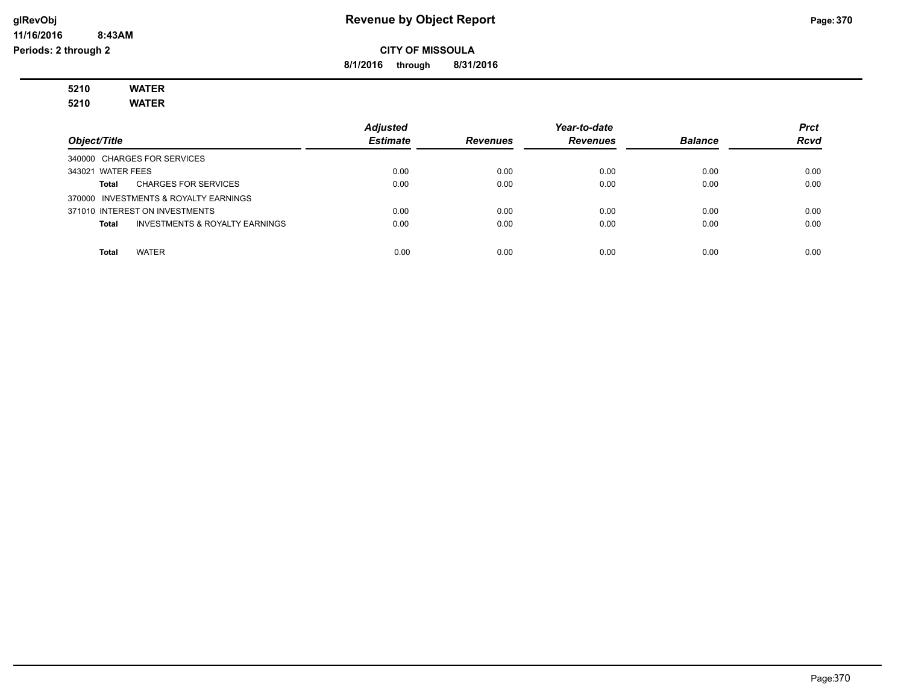**8/1/2016 through 8/31/2016**

# **5210 WATER**

**5210 WATER**

|                                                           | <b>Adjusted</b> |                 | Year-to-date    |                | <b>Prct</b> |
|-----------------------------------------------------------|-----------------|-----------------|-----------------|----------------|-------------|
| Object/Title                                              | <b>Estimate</b> | <b>Revenues</b> | <b>Revenues</b> | <b>Balance</b> | <b>Rcvd</b> |
| 340000 CHARGES FOR SERVICES                               |                 |                 |                 |                |             |
| 343021 WATER FEES                                         | 0.00            | 0.00            | 0.00            | 0.00           | 0.00        |
| <b>CHARGES FOR SERVICES</b><br><b>Total</b>               | 0.00            | 0.00            | 0.00            | 0.00           | 0.00        |
| 370000 INVESTMENTS & ROYALTY EARNINGS                     |                 |                 |                 |                |             |
| 371010 INTEREST ON INVESTMENTS                            | 0.00            | 0.00            | 0.00            | 0.00           | 0.00        |
| <b>INVESTMENTS &amp; ROYALTY EARNINGS</b><br><b>Total</b> | 0.00            | 0.00            | 0.00            | 0.00           | 0.00        |
| <b>WATER</b><br><b>Total</b>                              | 0.00            | 0.00            | 0.00            | 0.00           | 0.00        |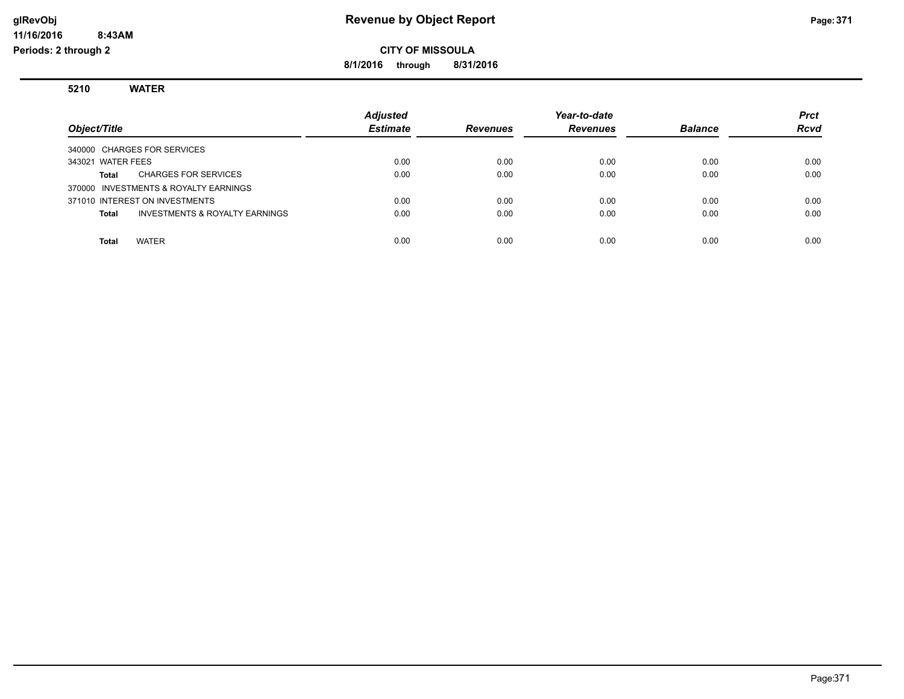**11/16/2016 8:43AM Periods: 2 through 2**

**CITY OF MISSOULA**

**8/1/2016 through 8/31/2016**

**5210 WATER**

| Object/Title                                              | <b>Adjusted</b><br><b>Estimate</b> | <b>Revenues</b> | Year-to-date<br><b>Revenues</b> | <b>Balance</b> | <b>Prct</b><br><b>Rcvd</b> |
|-----------------------------------------------------------|------------------------------------|-----------------|---------------------------------|----------------|----------------------------|
| 340000 CHARGES FOR SERVICES                               |                                    |                 |                                 |                |                            |
| 343021 WATER FEES                                         | 0.00                               | 0.00            | 0.00                            | 0.00           | 0.00                       |
| <b>CHARGES FOR SERVICES</b><br>Total                      | 0.00                               | 0.00            | 0.00                            | 0.00           | 0.00                       |
| 370000 INVESTMENTS & ROYALTY EARNINGS                     |                                    |                 |                                 |                |                            |
| 371010 INTEREST ON INVESTMENTS                            | 0.00                               | 0.00            | 0.00                            | 0.00           | 0.00                       |
| <b>INVESTMENTS &amp; ROYALTY EARNINGS</b><br><b>Total</b> | 0.00                               | 0.00            | 0.00                            | 0.00           | 0.00                       |
|                                                           |                                    |                 |                                 |                |                            |
| <b>WATER</b><br>Total                                     | 0.00                               | 0.00            | 0.00                            | 0.00           | 0.00                       |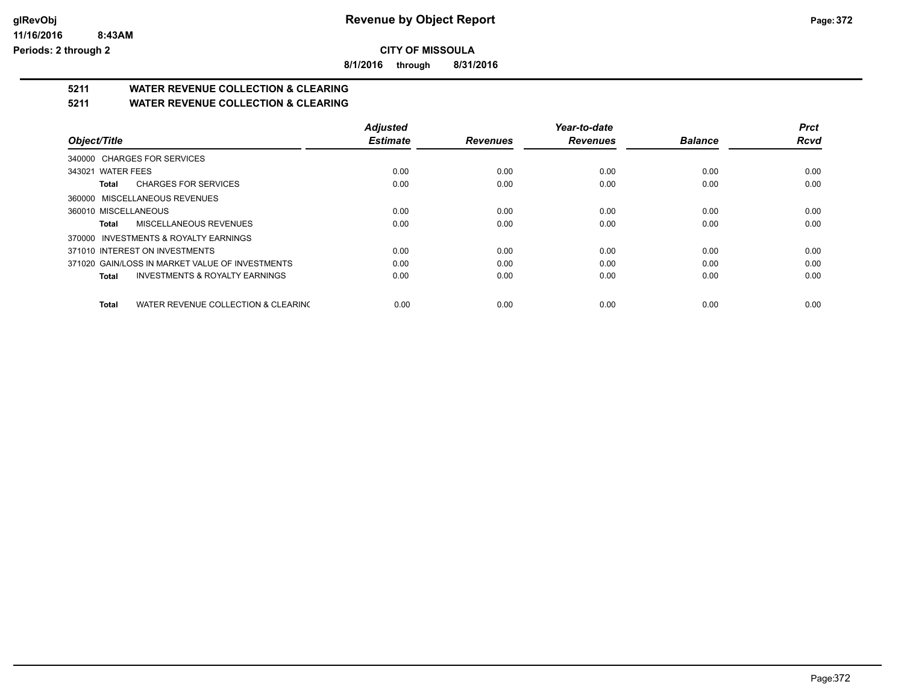**8/1/2016 through 8/31/2016**

## **5211 WATER REVENUE COLLECTION & CLEARING**

**5211 WATER REVENUE COLLECTION & CLEARING**

|                                                    | <b>Adjusted</b> |                 | Year-to-date    |                | <b>Prct</b> |
|----------------------------------------------------|-----------------|-----------------|-----------------|----------------|-------------|
| Object/Title                                       | <b>Estimate</b> | <b>Revenues</b> | <b>Revenues</b> | <b>Balance</b> | <b>Rcvd</b> |
| 340000 CHARGES FOR SERVICES                        |                 |                 |                 |                |             |
| 343021 WATER FEES                                  | 0.00            | 0.00            | 0.00            | 0.00           | 0.00        |
| <b>CHARGES FOR SERVICES</b><br>Total               | 0.00            | 0.00            | 0.00            | 0.00           | 0.00        |
| 360000 MISCELLANEOUS REVENUES                      |                 |                 |                 |                |             |
| 360010 MISCELLANEOUS                               | 0.00            | 0.00            | 0.00            | 0.00           | 0.00        |
| MISCELLANEOUS REVENUES<br>Total                    | 0.00            | 0.00            | 0.00            | 0.00           | 0.00        |
| 370000 INVESTMENTS & ROYALTY EARNINGS              |                 |                 |                 |                |             |
| 371010 INTEREST ON INVESTMENTS                     | 0.00            | 0.00            | 0.00            | 0.00           | 0.00        |
| 371020 GAIN/LOSS IN MARKET VALUE OF INVESTMENTS    | 0.00            | 0.00            | 0.00            | 0.00           | 0.00        |
| <b>INVESTMENTS &amp; ROYALTY EARNINGS</b><br>Total | 0.00            | 0.00            | 0.00            | 0.00           | 0.00        |
| WATER REVENUE COLLECTION & CLEARING<br>Total       | 0.00            | 0.00            | 0.00            | 0.00           | 0.00        |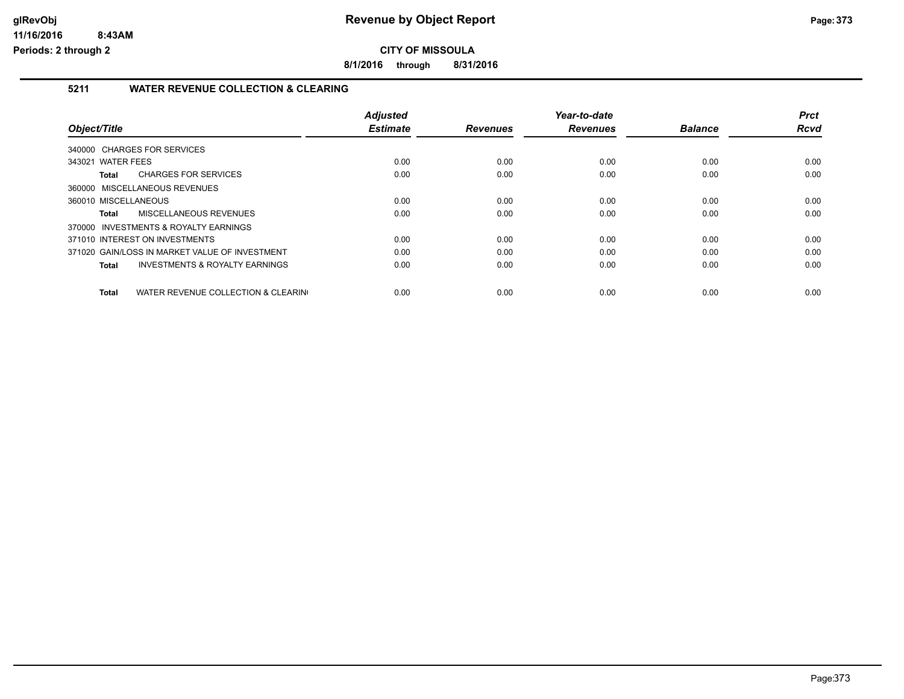**8/1/2016 through 8/31/2016**

## **5211 WATER REVENUE COLLECTION & CLEARING**

|                                                     | <b>Adjusted</b> |                 | Year-to-date    |                | <b>Prct</b> |
|-----------------------------------------------------|-----------------|-----------------|-----------------|----------------|-------------|
| Object/Title                                        | <b>Estimate</b> | <b>Revenues</b> | <b>Revenues</b> | <b>Balance</b> | <b>Rcvd</b> |
| 340000 CHARGES FOR SERVICES                         |                 |                 |                 |                |             |
| 343021 WATER FEES                                   | 0.00            | 0.00            | 0.00            | 0.00           | 0.00        |
| <b>CHARGES FOR SERVICES</b><br><b>Total</b>         | 0.00            | 0.00            | 0.00            | 0.00           | 0.00        |
| 360000 MISCELLANEOUS REVENUES                       |                 |                 |                 |                |             |
| 360010 MISCELLANEOUS                                | 0.00            | 0.00            | 0.00            | 0.00           | 0.00        |
| MISCELLANEOUS REVENUES<br>Total                     | 0.00            | 0.00            | 0.00            | 0.00           | 0.00        |
| 370000 INVESTMENTS & ROYALTY EARNINGS               |                 |                 |                 |                |             |
| 371010 INTEREST ON INVESTMENTS                      | 0.00            | 0.00            | 0.00            | 0.00           | 0.00        |
| 371020 GAIN/LOSS IN MARKET VALUE OF INVESTMENT      | 0.00            | 0.00            | 0.00            | 0.00           | 0.00        |
| INVESTMENTS & ROYALTY EARNINGS<br><b>Total</b>      | 0.00            | 0.00            | 0.00            | 0.00           | 0.00        |
| WATER REVENUE COLLECTION & CLEARING<br><b>Total</b> | 0.00            | 0.00            | 0.00            | 0.00           | 0.00        |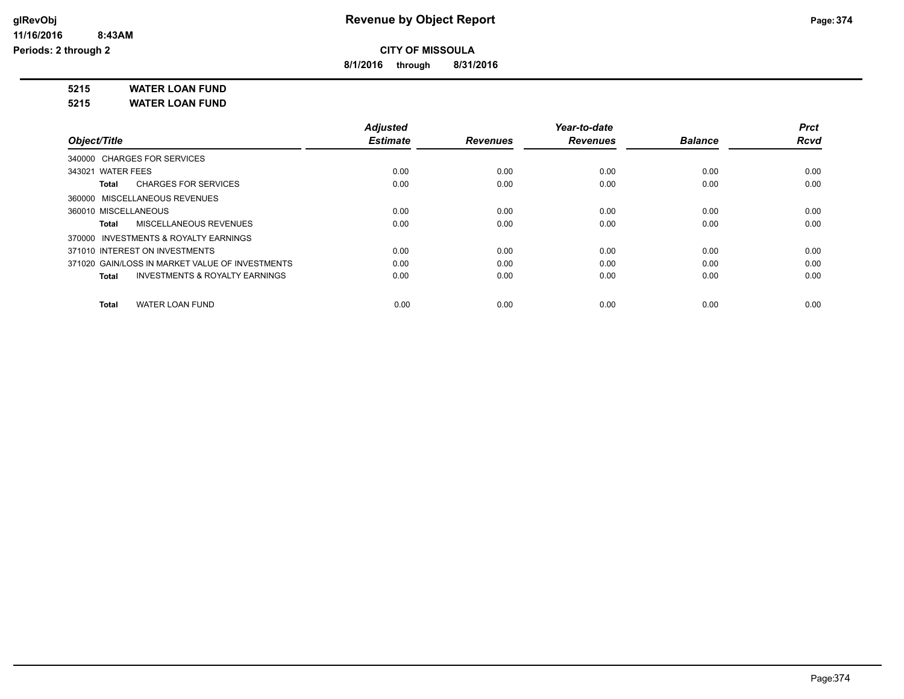**8/1/2016 through 8/31/2016**

**5215 WATER LOAN FUND**

**5215 WATER LOAN FUND**

|                                                 | <b>Adjusted</b> |                 | Year-to-date    |                | <b>Prct</b> |
|-------------------------------------------------|-----------------|-----------------|-----------------|----------------|-------------|
| Object/Title                                    | <b>Estimate</b> | <b>Revenues</b> | <b>Revenues</b> | <b>Balance</b> | <b>Rcvd</b> |
| 340000 CHARGES FOR SERVICES                     |                 |                 |                 |                |             |
| 343021 WATER FEES                               | 0.00            | 0.00            | 0.00            | 0.00           | 0.00        |
| <b>CHARGES FOR SERVICES</b><br>Total            | 0.00            | 0.00            | 0.00            | 0.00           | 0.00        |
| 360000 MISCELLANEOUS REVENUES                   |                 |                 |                 |                |             |
| 360010 MISCELLANEOUS                            | 0.00            | 0.00            | 0.00            | 0.00           | 0.00        |
| <b>MISCELLANEOUS REVENUES</b><br>Total          | 0.00            | 0.00            | 0.00            | 0.00           | 0.00        |
| 370000 INVESTMENTS & ROYALTY EARNINGS           |                 |                 |                 |                |             |
| 371010 INTEREST ON INVESTMENTS                  | 0.00            | 0.00            | 0.00            | 0.00           | 0.00        |
| 371020 GAIN/LOSS IN MARKET VALUE OF INVESTMENTS | 0.00            | 0.00            | 0.00            | 0.00           | 0.00        |
| INVESTMENTS & ROYALTY EARNINGS<br>Total         | 0.00            | 0.00            | 0.00            | 0.00           | 0.00        |
| <b>WATER LOAN FUND</b><br>Total                 | 0.00            | 0.00            | 0.00            | 0.00           | 0.00        |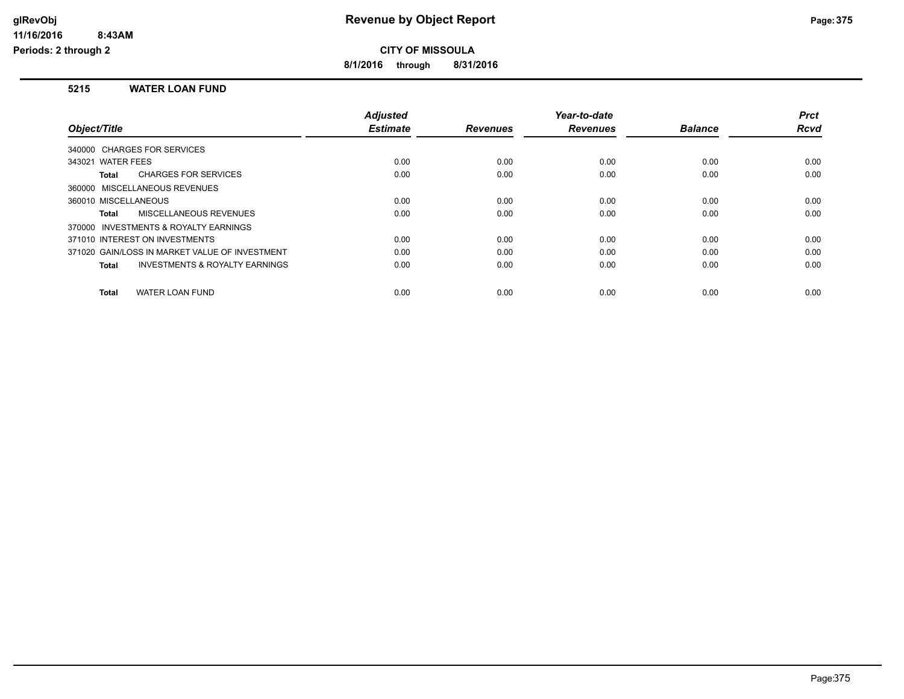**8/1/2016 through 8/31/2016**

#### **5215 WATER LOAN FUND**

|                                                    | <b>Adjusted</b> |                 | Year-to-date    |                | <b>Prct</b> |
|----------------------------------------------------|-----------------|-----------------|-----------------|----------------|-------------|
| Object/Title                                       | <b>Estimate</b> | <b>Revenues</b> | <b>Revenues</b> | <b>Balance</b> | <b>Rcvd</b> |
| 340000 CHARGES FOR SERVICES                        |                 |                 |                 |                |             |
| 343021 WATER FEES                                  | 0.00            | 0.00            | 0.00            | 0.00           | 0.00        |
| <b>CHARGES FOR SERVICES</b><br>Total               | 0.00            | 0.00            | 0.00            | 0.00           | 0.00        |
| 360000 MISCELLANEOUS REVENUES                      |                 |                 |                 |                |             |
| 360010 MISCELLANEOUS                               | 0.00            | 0.00            | 0.00            | 0.00           | 0.00        |
| MISCELLANEOUS REVENUES<br>Total                    | 0.00            | 0.00            | 0.00            | 0.00           | 0.00        |
| 370000 INVESTMENTS & ROYALTY EARNINGS              |                 |                 |                 |                |             |
| 371010 INTEREST ON INVESTMENTS                     | 0.00            | 0.00            | 0.00            | 0.00           | 0.00        |
| 371020 GAIN/LOSS IN MARKET VALUE OF INVESTMENT     | 0.00            | 0.00            | 0.00            | 0.00           | 0.00        |
| <b>INVESTMENTS &amp; ROYALTY EARNINGS</b><br>Total | 0.00            | 0.00            | 0.00            | 0.00           | 0.00        |
|                                                    |                 |                 |                 |                |             |
| WATER LOAN FUND<br><b>Total</b>                    | 0.00            | 0.00            | 0.00            | 0.00           | 0.00        |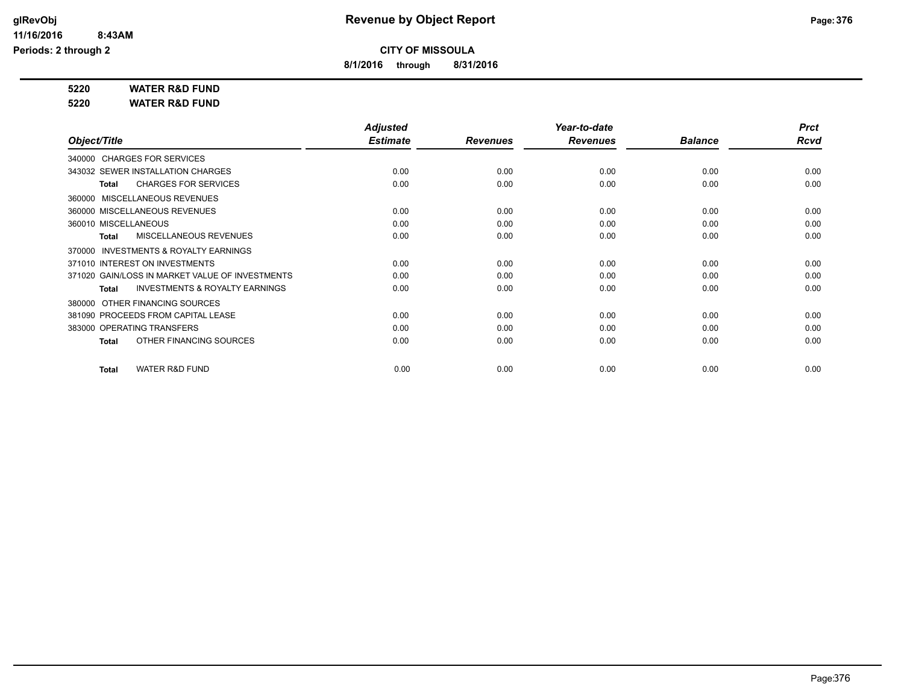**8/1/2016 through 8/31/2016**

**5220 WATER R&D FUND**

**5220 WATER R&D FUND**

|                                                           | <b>Adjusted</b> |                 | Year-to-date    |                | <b>Prct</b> |
|-----------------------------------------------------------|-----------------|-----------------|-----------------|----------------|-------------|
| Object/Title                                              | <b>Estimate</b> | <b>Revenues</b> | <b>Revenues</b> | <b>Balance</b> | <b>Rcvd</b> |
| 340000 CHARGES FOR SERVICES                               |                 |                 |                 |                |             |
| 343032 SEWER INSTALLATION CHARGES                         | 0.00            | 0.00            | 0.00            | 0.00           | 0.00        |
| <b>CHARGES FOR SERVICES</b><br><b>Total</b>               | 0.00            | 0.00            | 0.00            | 0.00           | 0.00        |
| MISCELLANEOUS REVENUES<br>360000                          |                 |                 |                 |                |             |
| 360000 MISCELLANEOUS REVENUES                             | 0.00            | 0.00            | 0.00            | 0.00           | 0.00        |
| 360010 MISCELLANEOUS                                      | 0.00            | 0.00            | 0.00            | 0.00           | 0.00        |
| <b>MISCELLANEOUS REVENUES</b><br><b>Total</b>             | 0.00            | 0.00            | 0.00            | 0.00           | 0.00        |
| <b>INVESTMENTS &amp; ROYALTY EARNINGS</b><br>370000       |                 |                 |                 |                |             |
| 371010 INTEREST ON INVESTMENTS                            | 0.00            | 0.00            | 0.00            | 0.00           | 0.00        |
| 371020 GAIN/LOSS IN MARKET VALUE OF INVESTMENTS           | 0.00            | 0.00            | 0.00            | 0.00           | 0.00        |
| <b>INVESTMENTS &amp; ROYALTY EARNINGS</b><br><b>Total</b> | 0.00            | 0.00            | 0.00            | 0.00           | 0.00        |
| OTHER FINANCING SOURCES<br>380000                         |                 |                 |                 |                |             |
| 381090 PROCEEDS FROM CAPITAL LEASE                        | 0.00            | 0.00            | 0.00            | 0.00           | 0.00        |
| 383000 OPERATING TRANSFERS                                | 0.00            | 0.00            | 0.00            | 0.00           | 0.00        |
| OTHER FINANCING SOURCES<br><b>Total</b>                   | 0.00            | 0.00            | 0.00            | 0.00           | 0.00        |
| <b>WATER R&amp;D FUND</b><br>Total                        | 0.00            | 0.00            | 0.00            | 0.00           | 0.00        |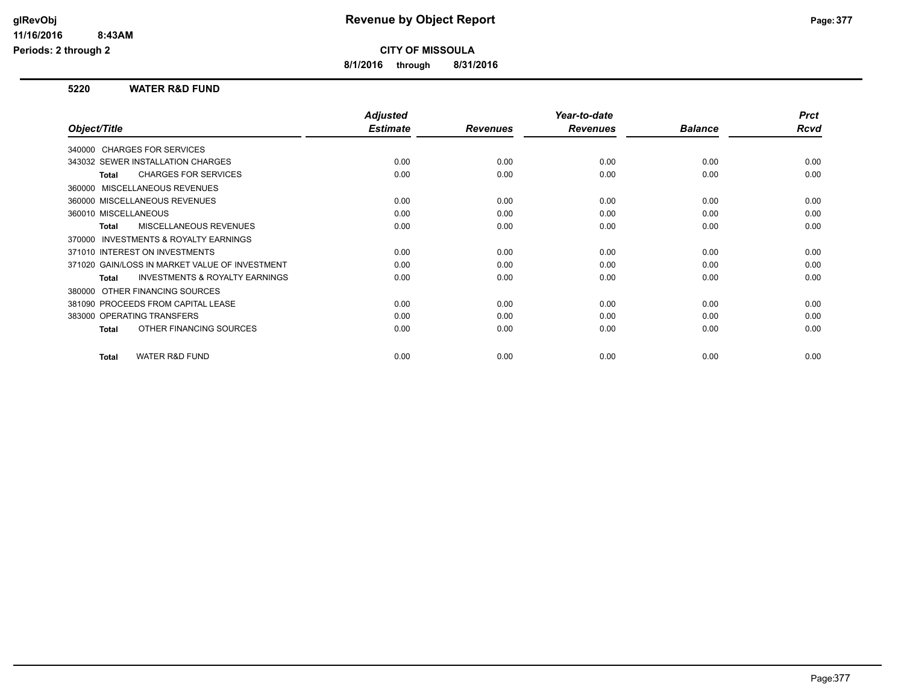**8/1/2016 through 8/31/2016**

#### **5220 WATER R&D FUND**

|                                                           | <b>Adjusted</b> |                 | Year-to-date    |                | <b>Prct</b> |
|-----------------------------------------------------------|-----------------|-----------------|-----------------|----------------|-------------|
| Object/Title                                              | <b>Estimate</b> | <b>Revenues</b> | <b>Revenues</b> | <b>Balance</b> | Rcvd        |
| 340000 CHARGES FOR SERVICES                               |                 |                 |                 |                |             |
| 343032 SEWER INSTALLATION CHARGES                         | 0.00            | 0.00            | 0.00            | 0.00           | 0.00        |
| <b>CHARGES FOR SERVICES</b><br><b>Total</b>               | 0.00            | 0.00            | 0.00            | 0.00           | 0.00        |
| 360000 MISCELLANEOUS REVENUES                             |                 |                 |                 |                |             |
| 360000 MISCELLANEOUS REVENUES                             | 0.00            | 0.00            | 0.00            | 0.00           | 0.00        |
| 360010 MISCELLANEOUS                                      | 0.00            | 0.00            | 0.00            | 0.00           | 0.00        |
| MISCELLANEOUS REVENUES<br><b>Total</b>                    | 0.00            | 0.00            | 0.00            | 0.00           | 0.00        |
| <b>INVESTMENTS &amp; ROYALTY EARNINGS</b><br>370000       |                 |                 |                 |                |             |
| 371010 INTEREST ON INVESTMENTS                            | 0.00            | 0.00            | 0.00            | 0.00           | 0.00        |
| 371020 GAIN/LOSS IN MARKET VALUE OF INVESTMENT            | 0.00            | 0.00            | 0.00            | 0.00           | 0.00        |
| <b>INVESTMENTS &amp; ROYALTY EARNINGS</b><br><b>Total</b> | 0.00            | 0.00            | 0.00            | 0.00           | 0.00        |
| 380000 OTHER FINANCING SOURCES                            |                 |                 |                 |                |             |
| 381090 PROCEEDS FROM CAPITAL LEASE                        | 0.00            | 0.00            | 0.00            | 0.00           | 0.00        |
| 383000 OPERATING TRANSFERS                                | 0.00            | 0.00            | 0.00            | 0.00           | 0.00        |
| OTHER FINANCING SOURCES<br><b>Total</b>                   | 0.00            | 0.00            | 0.00            | 0.00           | 0.00        |
|                                                           |                 |                 |                 |                |             |
| <b>WATER R&amp;D FUND</b><br><b>Total</b>                 | 0.00            | 0.00            | 0.00            | 0.00           | 0.00        |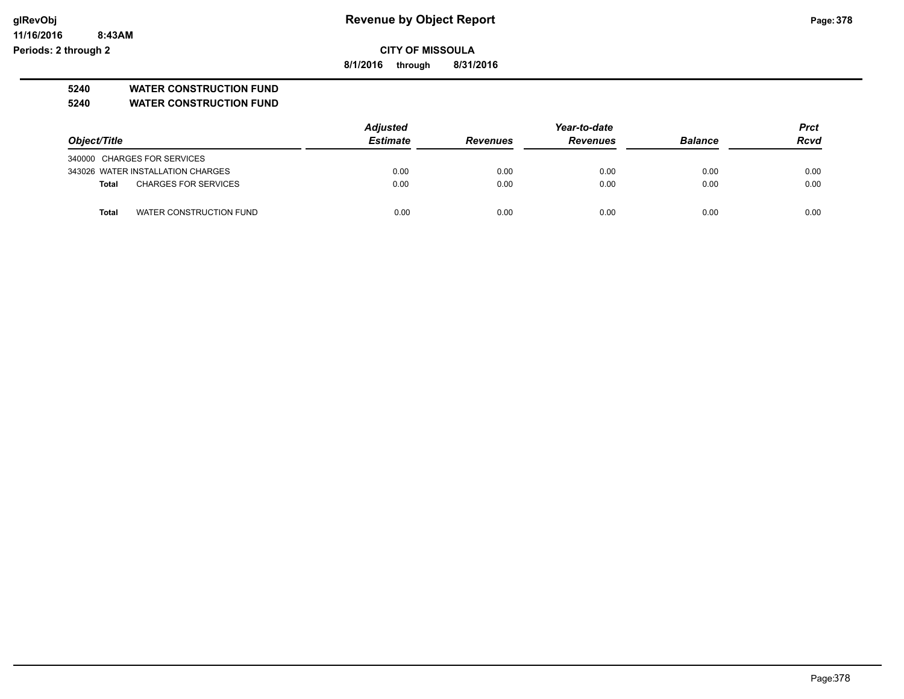**11/16/2016 8:43AM**

**Periods: 2 through 2**

**CITY OF MISSOULA**

**8/1/2016 through 8/31/2016**

## **5240 WATER CONSTRUCTION FUND**

**5240 WATER CONSTRUCTION FUND**

|                                         | <b>Adjusted</b> |                 |                 | <b>Prct</b>    |             |
|-----------------------------------------|-----------------|-----------------|-----------------|----------------|-------------|
| Object/Title                            | <b>Estimate</b> | <b>Revenues</b> | <b>Revenues</b> | <b>Balance</b> | <b>Rcvd</b> |
| 340000 CHARGES FOR SERVICES             |                 |                 |                 |                |             |
| 343026 WATER INSTALLATION CHARGES       | 0.00            | 0.00            | 0.00            | 0.00           | 0.00        |
| <b>CHARGES FOR SERVICES</b><br>Total    | 0.00            | 0.00            | 0.00            | 0.00           | 0.00        |
| WATER CONSTRUCTION FUND<br><b>Total</b> | 0.00            | 0.00            | 0.00            | 0.00           | 0.00        |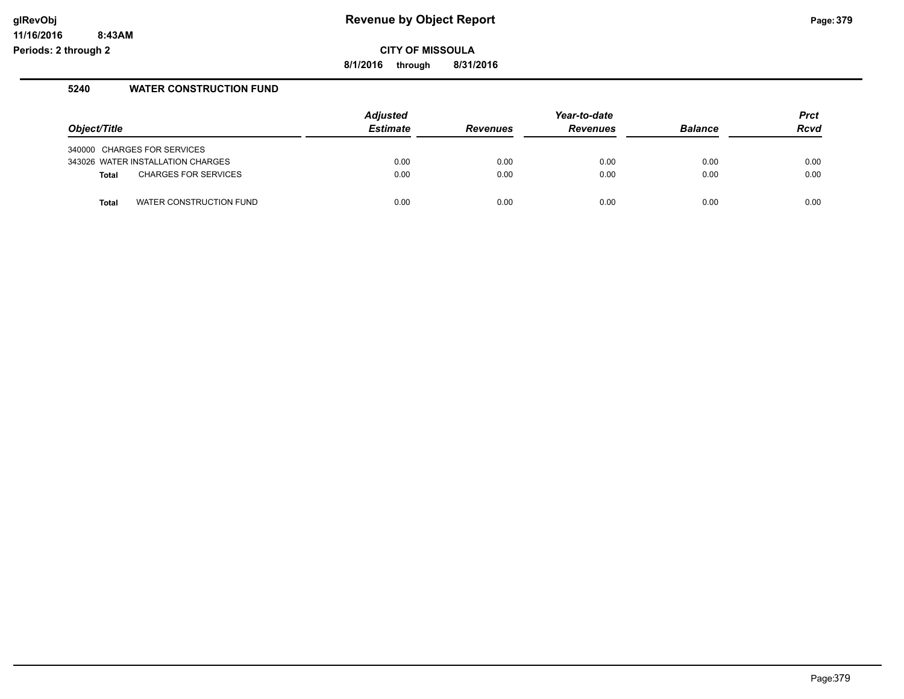**Periods: 2 through 2**

**CITY OF MISSOULA**

**8/1/2016 through 8/31/2016**

#### **5240 WATER CONSTRUCTION FUND**

 **8:43AM**

|                                   |                             | <b>Adjusted</b> |                 | Prct            |                |             |
|-----------------------------------|-----------------------------|-----------------|-----------------|-----------------|----------------|-------------|
| Object/Title                      |                             | <b>Estimate</b> | <b>Revenues</b> | <b>Revenues</b> | <b>Balance</b> | <b>Rcvd</b> |
| 340000 CHARGES FOR SERVICES       |                             |                 |                 |                 |                |             |
| 343026 WATER INSTALLATION CHARGES |                             | 0.00            | 0.00            | 0.00            | 0.00           | 0.00        |
| <b>Total</b>                      | <b>CHARGES FOR SERVICES</b> | 0.00            | 0.00            | 0.00            | 0.00           | 0.00        |
| Total                             | WATER CONSTRUCTION FUND     | 0.00            | 0.00            | 0.00            | 0.00           | 0.00        |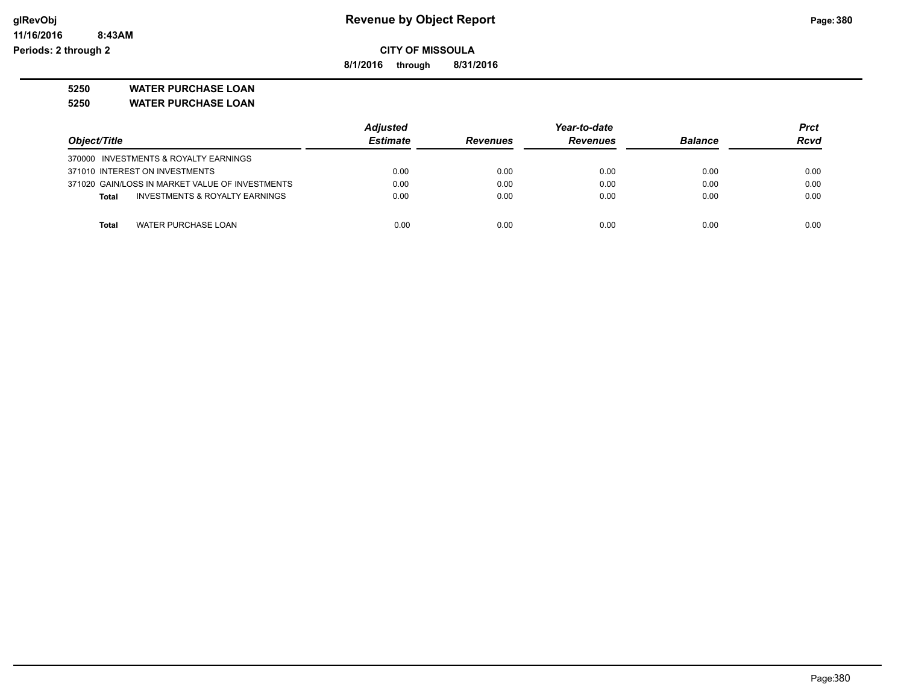**8/1/2016 through 8/31/2016**

## **5250 WATER PURCHASE LOAN**

**5250 WATER PURCHASE LOAN**

|                                                           | <b>Adjusted</b> |                 | Year-to-date    |                | Prct |
|-----------------------------------------------------------|-----------------|-----------------|-----------------|----------------|------|
| Object/Title                                              | <b>Estimate</b> | <b>Revenues</b> | <b>Revenues</b> | <b>Balance</b> | Rcvd |
| 370000 INVESTMENTS & ROYALTY EARNINGS                     |                 |                 |                 |                |      |
| 371010 INTEREST ON INVESTMENTS                            | 0.00            | 0.00            | 0.00            | 0.00           | 0.00 |
| 371020 GAIN/LOSS IN MARKET VALUE OF INVESTMENTS           | 0.00            | 0.00            | 0.00            | 0.00           | 0.00 |
| <b>INVESTMENTS &amp; ROYALTY EARNINGS</b><br><b>Total</b> | 0.00            | 0.00            | 0.00            | 0.00           | 0.00 |
|                                                           |                 |                 |                 |                |      |
| <b>Total</b><br>WATER PURCHASE LOAN                       | 0.00            | 0.00            | 0.00            | 0.00           | 0.00 |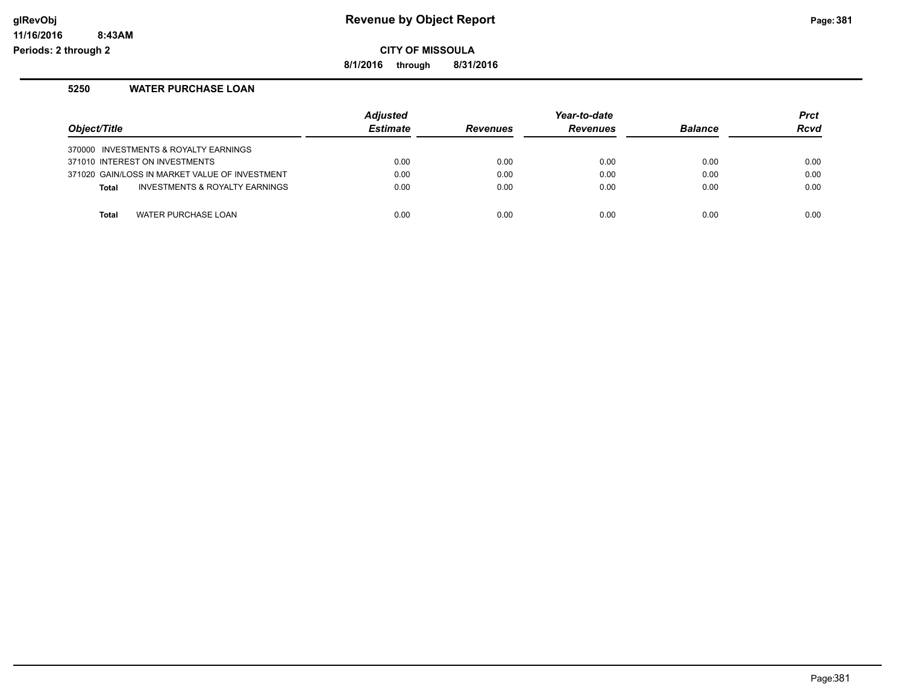**Periods: 2 through 2**

**CITY OF MISSOULA**

**8/1/2016 through 8/31/2016**

#### **5250 WATER PURCHASE LOAN**

 **8:43AM**

| Object/Title                                   | <b>Adjusted</b><br><b>Estimate</b> | <b>Revenues</b> | Year-to-date<br><b>Revenues</b> | <b>Balance</b> | <b>Prct</b><br><b>Rcvd</b> |
|------------------------------------------------|------------------------------------|-----------------|---------------------------------|----------------|----------------------------|
| 370000 INVESTMENTS & ROYALTY EARNINGS          |                                    |                 |                                 |                |                            |
| 371010 INTEREST ON INVESTMENTS                 | 0.00                               | 0.00            | 0.00                            | 0.00           | 0.00                       |
| 371020 GAIN/LOSS IN MARKET VALUE OF INVESTMENT | 0.00                               | 0.00            | 0.00                            | 0.00           | 0.00                       |
| INVESTMENTS & ROYALTY EARNINGS<br><b>Total</b> | 0.00                               | 0.00            | 0.00                            | 0.00           | 0.00                       |
|                                                |                                    |                 |                                 |                |                            |
| WATER PURCHASE LOAN<br>Total                   | 0.00                               | 0.00            | 0.00                            | 0.00           | 0.00                       |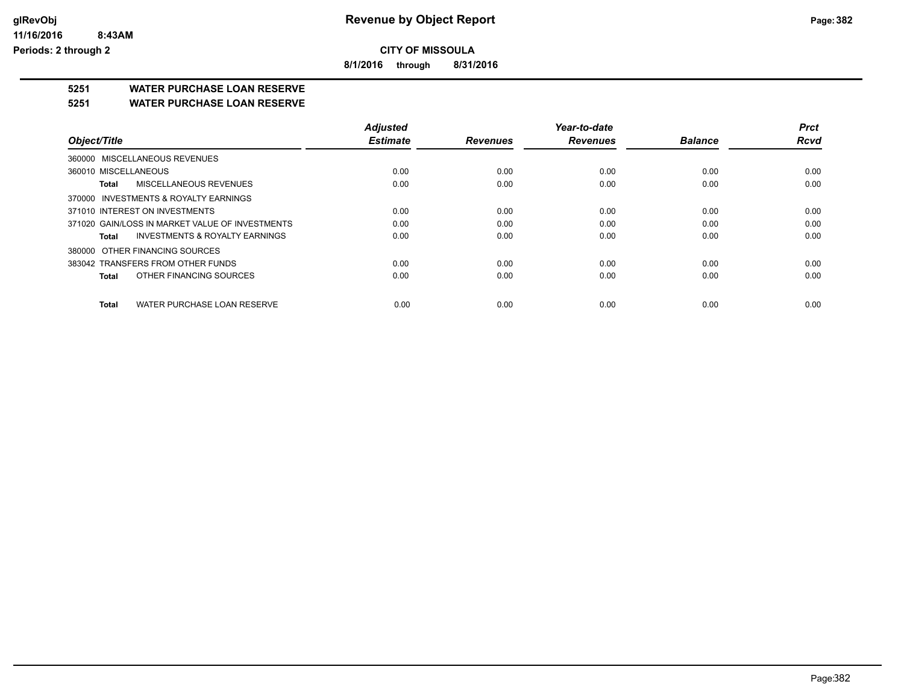**8/1/2016 through 8/31/2016**

## **5251 WATER PURCHASE LOAN RESERVE**

#### **5251 WATER PURCHASE LOAN RESERVE**

|                                                    | <b>Adjusted</b> |                 | Year-to-date    |                | <b>Prct</b> |
|----------------------------------------------------|-----------------|-----------------|-----------------|----------------|-------------|
| Object/Title                                       | <b>Estimate</b> | <b>Revenues</b> | <b>Revenues</b> | <b>Balance</b> | <b>Rcvd</b> |
| 360000 MISCELLANEOUS REVENUES                      |                 |                 |                 |                |             |
| 360010 MISCELLANEOUS                               | 0.00            | 0.00            | 0.00            | 0.00           | 0.00        |
| MISCELLANEOUS REVENUES<br>Total                    | 0.00            | 0.00            | 0.00            | 0.00           | 0.00        |
| 370000 INVESTMENTS & ROYALTY EARNINGS              |                 |                 |                 |                |             |
| 371010 INTEREST ON INVESTMENTS                     | 0.00            | 0.00            | 0.00            | 0.00           | 0.00        |
| 371020 GAIN/LOSS IN MARKET VALUE OF INVESTMENTS    | 0.00            | 0.00            | 0.00            | 0.00           | 0.00        |
| <b>INVESTMENTS &amp; ROYALTY EARNINGS</b><br>Total | 0.00            | 0.00            | 0.00            | 0.00           | 0.00        |
| 380000 OTHER FINANCING SOURCES                     |                 |                 |                 |                |             |
| 383042 TRANSFERS FROM OTHER FUNDS                  | 0.00            | 0.00            | 0.00            | 0.00           | 0.00        |
| OTHER FINANCING SOURCES<br>Total                   | 0.00            | 0.00            | 0.00            | 0.00           | 0.00        |
| WATER PURCHASE LOAN RESERVE<br>Total               | 0.00            | 0.00            | 0.00            | 0.00           | 0.00        |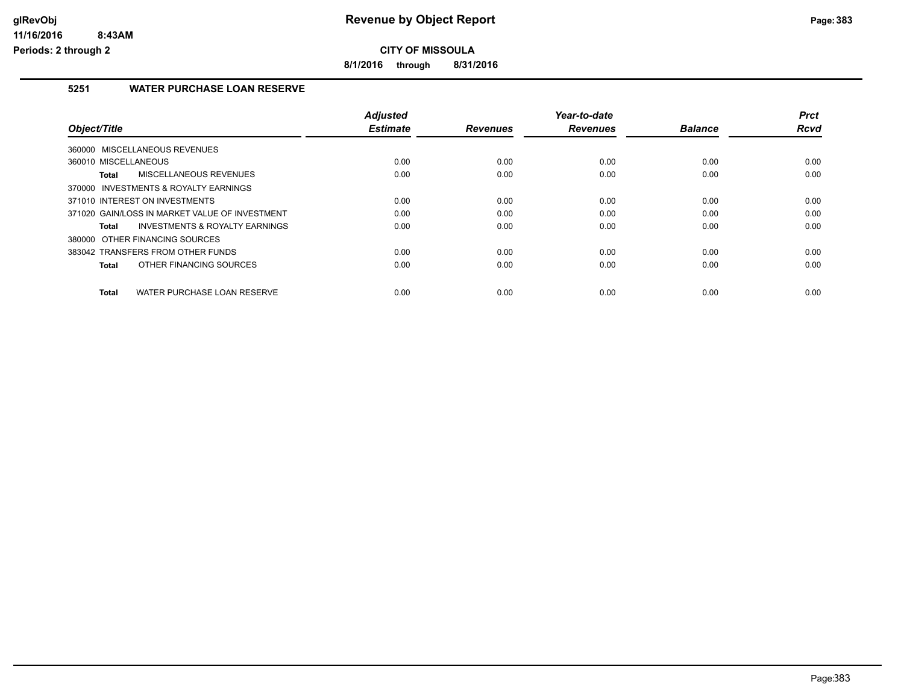**8/1/2016 through 8/31/2016**

## **5251 WATER PURCHASE LOAN RESERVE**

| Object/Title                                       | <b>Adjusted</b><br><b>Estimate</b> | <b>Revenues</b> | Year-to-date<br><b>Revenues</b> | <b>Balance</b> | <b>Prct</b><br><b>Rcvd</b> |
|----------------------------------------------------|------------------------------------|-----------------|---------------------------------|----------------|----------------------------|
|                                                    |                                    |                 |                                 |                |                            |
| 360000 MISCELLANEOUS REVENUES                      |                                    |                 |                                 |                |                            |
| 360010 MISCELLANEOUS                               | 0.00                               | 0.00            | 0.00                            | 0.00           | 0.00                       |
| <b>MISCELLANEOUS REVENUES</b><br>Total             | 0.00                               | 0.00            | 0.00                            | 0.00           | 0.00                       |
| 370000 INVESTMENTS & ROYALTY EARNINGS              |                                    |                 |                                 |                |                            |
| 371010 INTEREST ON INVESTMENTS                     | 0.00                               | 0.00            | 0.00                            | 0.00           | 0.00                       |
| 371020 GAIN/LOSS IN MARKET VALUE OF INVESTMENT     | 0.00                               | 0.00            | 0.00                            | 0.00           | 0.00                       |
| <b>INVESTMENTS &amp; ROYALTY EARNINGS</b><br>Total | 0.00                               | 0.00            | 0.00                            | 0.00           | 0.00                       |
| 380000 OTHER FINANCING SOURCES                     |                                    |                 |                                 |                |                            |
| 383042 TRANSFERS FROM OTHER FUNDS                  | 0.00                               | 0.00            | 0.00                            | 0.00           | 0.00                       |
| OTHER FINANCING SOURCES<br>Total                   | 0.00                               | 0.00            | 0.00                            | 0.00           | 0.00                       |
| WATER PURCHASE LOAN RESERVE<br><b>Total</b>        | 0.00                               | 0.00            | 0.00                            | 0.00           | 0.00                       |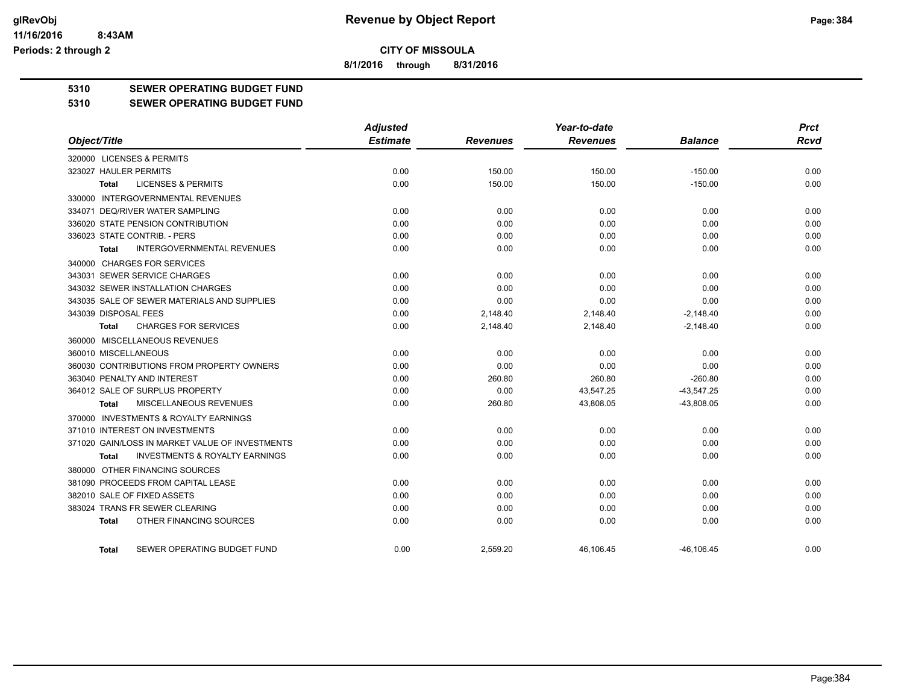**8/1/2016 through 8/31/2016**

## **5310 SEWER OPERATING BUDGET FUND**

#### **5310 SEWER OPERATING BUDGET FUND**

|                                                    | <b>Adjusted</b> |                 | Year-to-date    |                | <b>Prct</b> |
|----------------------------------------------------|-----------------|-----------------|-----------------|----------------|-------------|
| Object/Title                                       | <b>Estimate</b> | <b>Revenues</b> | <b>Revenues</b> | <b>Balance</b> | Rcvd        |
| 320000 LICENSES & PERMITS                          |                 |                 |                 |                |             |
| 323027 HAULER PERMITS                              | 0.00            | 150.00          | 150.00          | $-150.00$      | 0.00        |
| <b>LICENSES &amp; PERMITS</b><br>Total             | 0.00            | 150.00          | 150.00          | $-150.00$      | 0.00        |
| 330000 INTERGOVERNMENTAL REVENUES                  |                 |                 |                 |                |             |
| 334071 DEQ/RIVER WATER SAMPLING                    | 0.00            | 0.00            | 0.00            | 0.00           | 0.00        |
| 336020 STATE PENSION CONTRIBUTION                  | 0.00            | 0.00            | 0.00            | 0.00           | 0.00        |
| 336023 STATE CONTRIB. - PERS                       | 0.00            | 0.00            | 0.00            | 0.00           | 0.00        |
| <b>INTERGOVERNMENTAL REVENUES</b><br><b>Total</b>  | 0.00            | 0.00            | 0.00            | 0.00           | 0.00        |
| 340000 CHARGES FOR SERVICES                        |                 |                 |                 |                |             |
| 343031 SEWER SERVICE CHARGES                       | 0.00            | 0.00            | 0.00            | 0.00           | 0.00        |
| 343032 SEWER INSTALLATION CHARGES                  | 0.00            | 0.00            | 0.00            | 0.00           | 0.00        |
| 343035 SALE OF SEWER MATERIALS AND SUPPLIES        | 0.00            | 0.00            | 0.00            | 0.00           | 0.00        |
| 343039 DISPOSAL FEES                               | 0.00            | 2,148.40        | 2,148.40        | $-2,148.40$    | 0.00        |
| <b>CHARGES FOR SERVICES</b><br><b>Total</b>        | 0.00            | 2,148.40        | 2,148.40        | $-2,148.40$    | 0.00        |
| 360000 MISCELLANEOUS REVENUES                      |                 |                 |                 |                |             |
| 360010 MISCELLANEOUS                               | 0.00            | 0.00            | 0.00            | 0.00           | 0.00        |
| 360030 CONTRIBUTIONS FROM PROPERTY OWNERS          | 0.00            | 0.00            | 0.00            | 0.00           | 0.00        |
| 363040 PENALTY AND INTEREST                        | 0.00            | 260.80          | 260.80          | $-260.80$      | 0.00        |
| 364012 SALE OF SURPLUS PROPERTY                    | 0.00            | 0.00            | 43,547.25       | $-43,547.25$   | 0.00        |
| MISCELLANEOUS REVENUES<br><b>Total</b>             | 0.00            | 260.80          | 43,808.05       | $-43,808.05$   | 0.00        |
| 370000 INVESTMENTS & ROYALTY EARNINGS              |                 |                 |                 |                |             |
| 371010 INTEREST ON INVESTMENTS                     | 0.00            | 0.00            | 0.00            | 0.00           | 0.00        |
| 371020 GAIN/LOSS IN MARKET VALUE OF INVESTMENTS    | 0.00            | 0.00            | 0.00            | 0.00           | 0.00        |
| <b>INVESTMENTS &amp; ROYALTY EARNINGS</b><br>Total | 0.00            | 0.00            | 0.00            | 0.00           | 0.00        |
| 380000 OTHER FINANCING SOURCES                     |                 |                 |                 |                |             |
| 381090 PROCEEDS FROM CAPITAL LEASE                 | 0.00            | 0.00            | 0.00            | 0.00           | 0.00        |
| 382010 SALE OF FIXED ASSETS                        | 0.00            | 0.00            | 0.00            | 0.00           | 0.00        |
| 383024 TRANS FR SEWER CLEARING                     | 0.00            | 0.00            | 0.00            | 0.00           | 0.00        |
| OTHER FINANCING SOURCES<br><b>Total</b>            | 0.00            | 0.00            | 0.00            | 0.00           | 0.00        |
| SEWER OPERATING BUDGET FUND<br>Total               | 0.00            | 2.559.20        | 46.106.45       | $-46.106.45$   | 0.00        |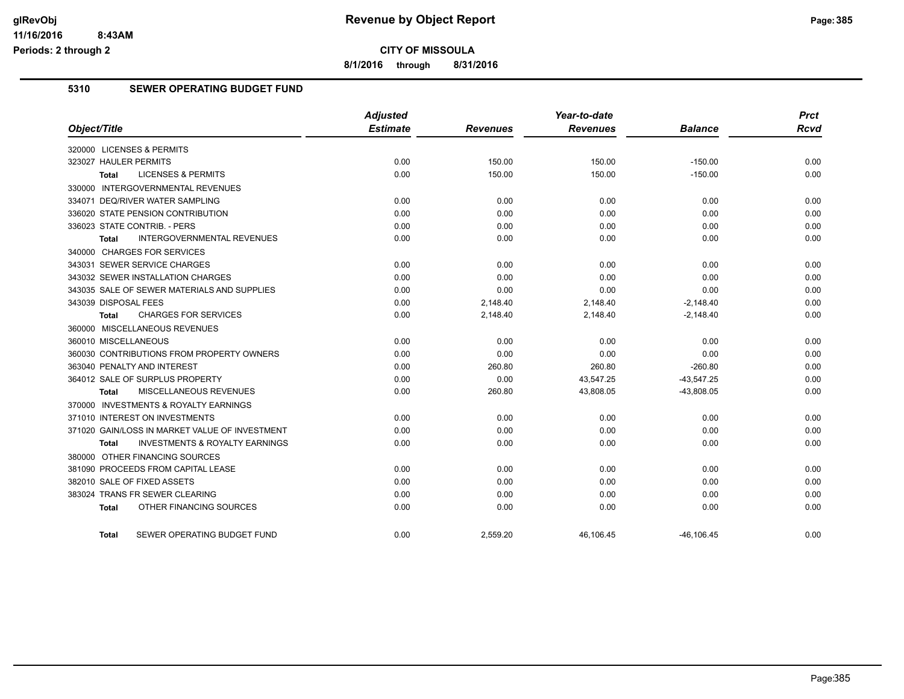**Periods: 2 through 2**

 **8:43AM**

**CITY OF MISSOULA**

**8/1/2016 through 8/31/2016**

## **5310 SEWER OPERATING BUDGET FUND**

|                                                           | <b>Adjusted</b> |                 | Year-to-date    |                | <b>Prct</b> |
|-----------------------------------------------------------|-----------------|-----------------|-----------------|----------------|-------------|
| Object/Title                                              | <b>Estimate</b> | <b>Revenues</b> | <b>Revenues</b> | <b>Balance</b> | <b>Rcvd</b> |
| 320000 LICENSES & PERMITS                                 |                 |                 |                 |                |             |
| 323027 HAULER PERMITS                                     | 0.00            | 150.00          | 150.00          | $-150.00$      | 0.00        |
| <b>LICENSES &amp; PERMITS</b><br>Total                    | 0.00            | 150.00          | 150.00          | $-150.00$      | 0.00        |
| 330000 INTERGOVERNMENTAL REVENUES                         |                 |                 |                 |                |             |
| 334071 DEQ/RIVER WATER SAMPLING                           | 0.00            | 0.00            | 0.00            | 0.00           | 0.00        |
| 336020 STATE PENSION CONTRIBUTION                         | 0.00            | 0.00            | 0.00            | 0.00           | 0.00        |
| 336023 STATE CONTRIB. - PERS                              | 0.00            | 0.00            | 0.00            | 0.00           | 0.00        |
| <b>INTERGOVERNMENTAL REVENUES</b><br><b>Total</b>         | 0.00            | 0.00            | 0.00            | 0.00           | 0.00        |
| 340000 CHARGES FOR SERVICES                               |                 |                 |                 |                |             |
| 343031 SEWER SERVICE CHARGES                              | 0.00            | 0.00            | 0.00            | 0.00           | 0.00        |
| 343032 SEWER INSTALLATION CHARGES                         | 0.00            | 0.00            | 0.00            | 0.00           | 0.00        |
| 343035 SALE OF SEWER MATERIALS AND SUPPLIES               | 0.00            | 0.00            | 0.00            | 0.00           | 0.00        |
| 343039 DISPOSAL FEES                                      | 0.00            | 2,148.40        | 2,148.40        | $-2,148.40$    | 0.00        |
| <b>CHARGES FOR SERVICES</b><br>Total                      | 0.00            | 2,148.40        | 2,148.40        | $-2,148.40$    | 0.00        |
| 360000 MISCELLANEOUS REVENUES                             |                 |                 |                 |                |             |
| 360010 MISCELLANEOUS                                      | 0.00            | 0.00            | 0.00            | 0.00           | 0.00        |
| 360030 CONTRIBUTIONS FROM PROPERTY OWNERS                 | 0.00            | 0.00            | 0.00            | 0.00           | 0.00        |
| 363040 PENALTY AND INTEREST                               | 0.00            | 260.80          | 260.80          | $-260.80$      | 0.00        |
| 364012 SALE OF SURPLUS PROPERTY                           | 0.00            | 0.00            | 43,547.25       | $-43,547.25$   | 0.00        |
| MISCELLANEOUS REVENUES<br>Total                           | 0.00            | 260.80          | 43,808.05       | $-43,808.05$   | 0.00        |
| 370000 INVESTMENTS & ROYALTY EARNINGS                     |                 |                 |                 |                |             |
| 371010 INTEREST ON INVESTMENTS                            | 0.00            | 0.00            | 0.00            | 0.00           | 0.00        |
| 371020 GAIN/LOSS IN MARKET VALUE OF INVESTMENT            | 0.00            | 0.00            | 0.00            | 0.00           | 0.00        |
| <b>INVESTMENTS &amp; ROYALTY EARNINGS</b><br><b>Total</b> | 0.00            | 0.00            | 0.00            | 0.00           | 0.00        |
| 380000 OTHER FINANCING SOURCES                            |                 |                 |                 |                |             |
| 381090 PROCEEDS FROM CAPITAL LEASE                        | 0.00            | 0.00            | 0.00            | 0.00           | 0.00        |
| 382010 SALE OF FIXED ASSETS                               | 0.00            | 0.00            | 0.00            | 0.00           | 0.00        |
| 383024 TRANS FR SEWER CLEARING                            | 0.00            | 0.00            | 0.00            | 0.00           | 0.00        |
| OTHER FINANCING SOURCES<br><b>Total</b>                   | 0.00            | 0.00            | 0.00            | 0.00           | 0.00        |
| SEWER OPERATING BUDGET FUND<br><b>Total</b>               | 0.00            | 2.559.20        | 46.106.45       | $-46.106.45$   | 0.00        |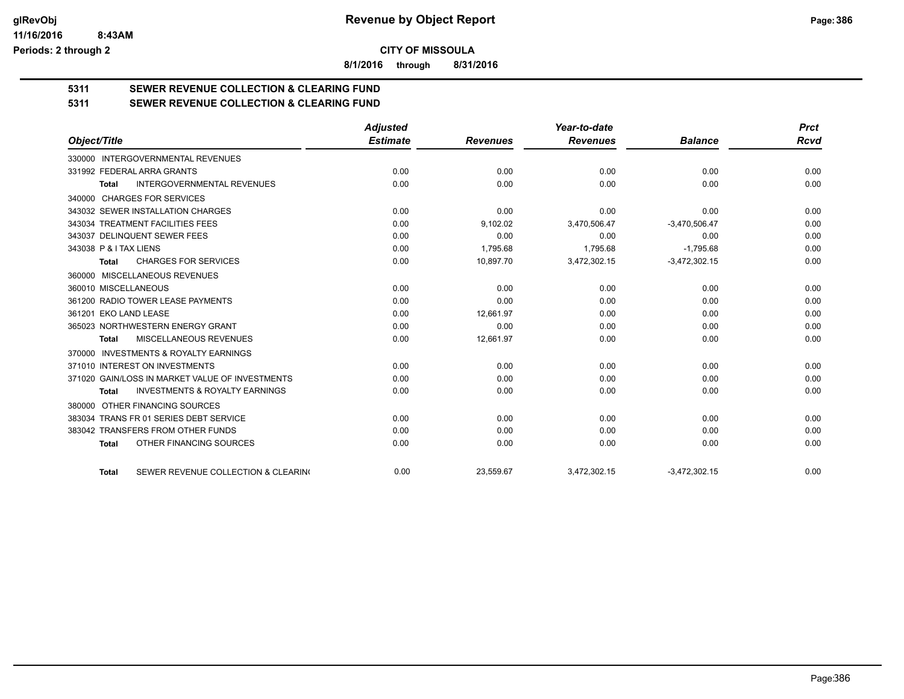**8/1/2016 through 8/31/2016**

# **5311 SEWER REVENUE COLLECTION & CLEARING FUND**

| 5311 | SEWER REVENUE COLLECTION & CLEARING FUND |
|------|------------------------------------------|
|      |                                          |

|                                                           | <b>Adjusted</b> |                 | Year-to-date    |                 | <b>Prct</b> |
|-----------------------------------------------------------|-----------------|-----------------|-----------------|-----------------|-------------|
| Object/Title                                              | <b>Estimate</b> | <b>Revenues</b> | <b>Revenues</b> | <b>Balance</b>  | <b>Rcvd</b> |
| 330000 INTERGOVERNMENTAL REVENUES                         |                 |                 |                 |                 |             |
| 331992 FEDERAL ARRA GRANTS                                | 0.00            | 0.00            | 0.00            | 0.00            | 0.00        |
| <b>INTERGOVERNMENTAL REVENUES</b><br><b>Total</b>         | 0.00            | 0.00            | 0.00            | 0.00            | 0.00        |
| 340000 CHARGES FOR SERVICES                               |                 |                 |                 |                 |             |
| 343032 SEWER INSTALLATION CHARGES                         | 0.00            | 0.00            | 0.00            | 0.00            | 0.00        |
| 343034 TREATMENT FACILITIES FEES                          | 0.00            | 9,102.02        | 3,470,506.47    | $-3,470,506.47$ | 0.00        |
| 343037 DELINQUENT SEWER FEES                              | 0.00            | 0.00            | 0.00            | 0.00            | 0.00        |
| 343038 P & I TAX LIENS                                    | 0.00            | 1,795.68        | 1,795.68        | $-1,795.68$     | 0.00        |
| <b>CHARGES FOR SERVICES</b><br>Total                      | 0.00            | 10,897.70       | 3,472,302.15    | $-3,472,302.15$ | 0.00        |
| 360000 MISCELLANEOUS REVENUES                             |                 |                 |                 |                 |             |
| 360010 MISCELLANEOUS                                      | 0.00            | 0.00            | 0.00            | 0.00            | 0.00        |
| 361200 RADIO TOWER LEASE PAYMENTS                         | 0.00            | 0.00            | 0.00            | 0.00            | 0.00        |
| 361201 EKO LAND LEASE                                     | 0.00            | 12,661.97       | 0.00            | 0.00            | 0.00        |
| 365023 NORTHWESTERN ENERGY GRANT                          | 0.00            | 0.00            | 0.00            | 0.00            | 0.00        |
| MISCELLANEOUS REVENUES<br><b>Total</b>                    | 0.00            | 12,661.97       | 0.00            | 0.00            | 0.00        |
| 370000 INVESTMENTS & ROYALTY EARNINGS                     |                 |                 |                 |                 |             |
| 371010 INTEREST ON INVESTMENTS                            | 0.00            | 0.00            | 0.00            | 0.00            | 0.00        |
| 371020 GAIN/LOSS IN MARKET VALUE OF INVESTMENTS           | 0.00            | 0.00            | 0.00            | 0.00            | 0.00        |
| <b>INVESTMENTS &amp; ROYALTY EARNINGS</b><br><b>Total</b> | 0.00            | 0.00            | 0.00            | 0.00            | 0.00        |
| 380000 OTHER FINANCING SOURCES                            |                 |                 |                 |                 |             |
| 383034 TRANS FR 01 SERIES DEBT SERVICE                    | 0.00            | 0.00            | 0.00            | 0.00            | 0.00        |
| 383042 TRANSFERS FROM OTHER FUNDS                         | 0.00            | 0.00            | 0.00            | 0.00            | 0.00        |
| OTHER FINANCING SOURCES<br><b>Total</b>                   | 0.00            | 0.00            | 0.00            | 0.00            | 0.00        |
| SEWER REVENUE COLLECTION & CLEARING<br><b>Total</b>       | 0.00            | 23,559.67       | 3,472,302.15    | $-3,472,302.15$ | 0.00        |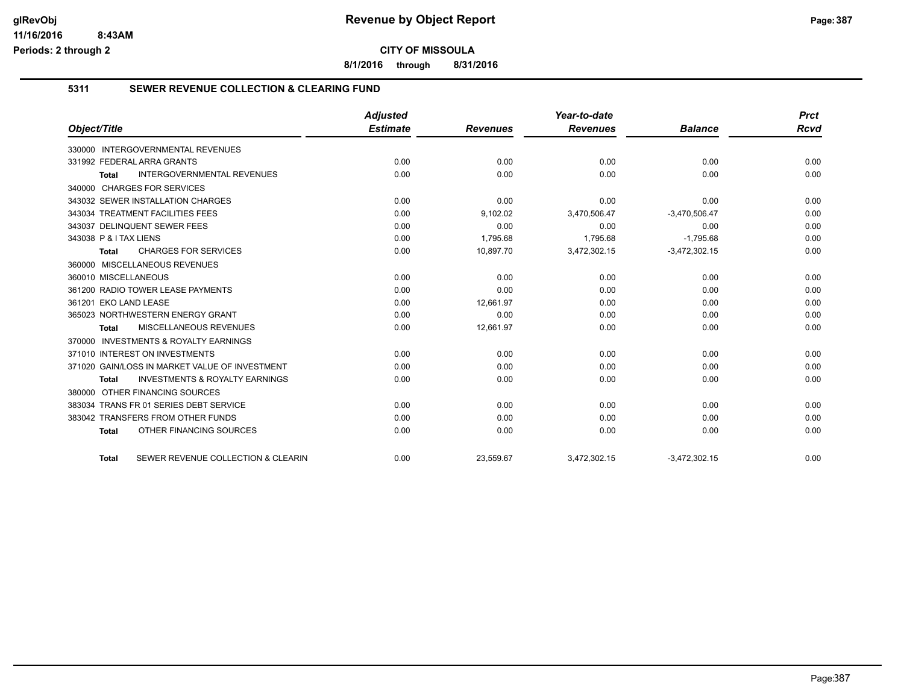**8/1/2016 through 8/31/2016**

## **5311 SEWER REVENUE COLLECTION & CLEARING FUND**

|                                                           | <b>Adjusted</b> |                 | Year-to-date    |                 | <b>Prct</b> |
|-----------------------------------------------------------|-----------------|-----------------|-----------------|-----------------|-------------|
| Object/Title                                              | <b>Estimate</b> | <b>Revenues</b> | <b>Revenues</b> | <b>Balance</b>  | <b>Rcvd</b> |
| <b>INTERGOVERNMENTAL REVENUES</b><br>330000               |                 |                 |                 |                 |             |
| 331992 FEDERAL ARRA GRANTS                                | 0.00            | 0.00            | 0.00            | 0.00            | 0.00        |
| <b>INTERGOVERNMENTAL REVENUES</b><br><b>Total</b>         | 0.00            | 0.00            | 0.00            | 0.00            | 0.00        |
| 340000 CHARGES FOR SERVICES                               |                 |                 |                 |                 |             |
| 343032 SEWER INSTALLATION CHARGES                         | 0.00            | 0.00            | 0.00            | 0.00            | 0.00        |
| 343034 TREATMENT FACILITIES FEES                          | 0.00            | 9,102.02        | 3,470,506.47    | $-3,470,506.47$ | 0.00        |
| 343037 DELINQUENT SEWER FEES                              | 0.00            | 0.00            | 0.00            | 0.00            | 0.00        |
| 343038 P & I TAX LIENS                                    | 0.00            | 1,795.68        | 1,795.68        | $-1,795.68$     | 0.00        |
| <b>CHARGES FOR SERVICES</b><br><b>Total</b>               | 0.00            | 10,897.70       | 3,472,302.15    | $-3,472,302.15$ | 0.00        |
| 360000 MISCELLANEOUS REVENUES                             |                 |                 |                 |                 |             |
| 360010 MISCELLANEOUS                                      | 0.00            | 0.00            | 0.00            | 0.00            | 0.00        |
| 361200 RADIO TOWER LEASE PAYMENTS                         | 0.00            | 0.00            | 0.00            | 0.00            | 0.00        |
| 361201 EKO LAND LEASE                                     | 0.00            | 12.661.97       | 0.00            | 0.00            | 0.00        |
| 365023 NORTHWESTERN ENERGY GRANT                          | 0.00            | 0.00            | 0.00            | 0.00            | 0.00        |
| MISCELLANEOUS REVENUES<br><b>Total</b>                    | 0.00            | 12,661.97       | 0.00            | 0.00            | 0.00        |
| 370000 INVESTMENTS & ROYALTY EARNINGS                     |                 |                 |                 |                 |             |
| 371010 INTEREST ON INVESTMENTS                            | 0.00            | 0.00            | 0.00            | 0.00            | 0.00        |
| 371020 GAIN/LOSS IN MARKET VALUE OF INVESTMENT            | 0.00            | 0.00            | 0.00            | 0.00            | 0.00        |
| <b>INVESTMENTS &amp; ROYALTY EARNINGS</b><br><b>Total</b> | 0.00            | 0.00            | 0.00            | 0.00            | 0.00        |
| OTHER FINANCING SOURCES<br>380000                         |                 |                 |                 |                 |             |
| 383034 TRANS FR 01 SERIES DEBT SERVICE                    | 0.00            | 0.00            | 0.00            | 0.00            | 0.00        |
| 383042 TRANSFERS FROM OTHER FUNDS                         | 0.00            | 0.00            | 0.00            | 0.00            | 0.00        |
| OTHER FINANCING SOURCES<br><b>Total</b>                   | 0.00            | 0.00            | 0.00            | 0.00            | 0.00        |
| SEWER REVENUE COLLECTION & CLEARIN<br><b>Total</b>        | 0.00            | 23,559.67       | 3,472,302.15    | $-3,472,302.15$ | 0.00        |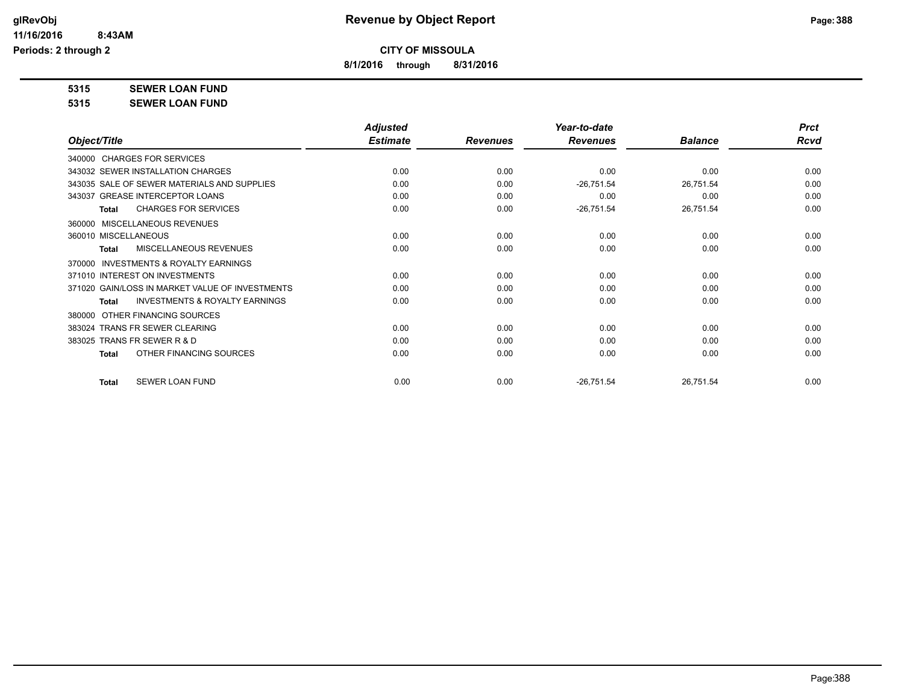**8/1/2016 through 8/31/2016**

**5315 SEWER LOAN FUND**

**5315 SEWER LOAN FUND**

|                                                           | <b>Adjusted</b> |                 | Year-to-date    |                | <b>Prct</b> |
|-----------------------------------------------------------|-----------------|-----------------|-----------------|----------------|-------------|
| Object/Title                                              | <b>Estimate</b> | <b>Revenues</b> | <b>Revenues</b> | <b>Balance</b> | <b>Rcvd</b> |
| 340000 CHARGES FOR SERVICES                               |                 |                 |                 |                |             |
| 343032 SEWER INSTALLATION CHARGES                         | 0.00            | 0.00            | 0.00            | 0.00           | 0.00        |
| 343035 SALE OF SEWER MATERIALS AND SUPPLIES               | 0.00            | 0.00            | $-26,751.54$    | 26,751.54      | 0.00        |
| 343037 GREASE INTERCEPTOR LOANS                           | 0.00            | 0.00            | 0.00            | 0.00           | 0.00        |
| <b>CHARGES FOR SERVICES</b><br>Total                      | 0.00            | 0.00            | $-26,751.54$    | 26,751.54      | 0.00        |
| MISCELLANEOUS REVENUES<br>360000                          |                 |                 |                 |                |             |
| 360010 MISCELLANEOUS                                      | 0.00            | 0.00            | 0.00            | 0.00           | 0.00        |
| MISCELLANEOUS REVENUES<br><b>Total</b>                    | 0.00            | 0.00            | 0.00            | 0.00           | 0.00        |
| <b>INVESTMENTS &amp; ROYALTY EARNINGS</b><br>370000       |                 |                 |                 |                |             |
| 371010 INTEREST ON INVESTMENTS                            | 0.00            | 0.00            | 0.00            | 0.00           | 0.00        |
| 371020 GAIN/LOSS IN MARKET VALUE OF INVESTMENTS           | 0.00            | 0.00            | 0.00            | 0.00           | 0.00        |
| <b>INVESTMENTS &amp; ROYALTY EARNINGS</b><br><b>Total</b> | 0.00            | 0.00            | 0.00            | 0.00           | 0.00        |
| OTHER FINANCING SOURCES<br>380000                         |                 |                 |                 |                |             |
| 383024 TRANS FR SEWER CLEARING                            | 0.00            | 0.00            | 0.00            | 0.00           | 0.00        |
| 383025 TRANS FR SEWER R & D                               | 0.00            | 0.00            | 0.00            | 0.00           | 0.00        |
| OTHER FINANCING SOURCES<br><b>Total</b>                   | 0.00            | 0.00            | 0.00            | 0.00           | 0.00        |
| <b>SEWER LOAN FUND</b><br><b>Total</b>                    | 0.00            | 0.00            | $-26,751.54$    | 26,751.54      | 0.00        |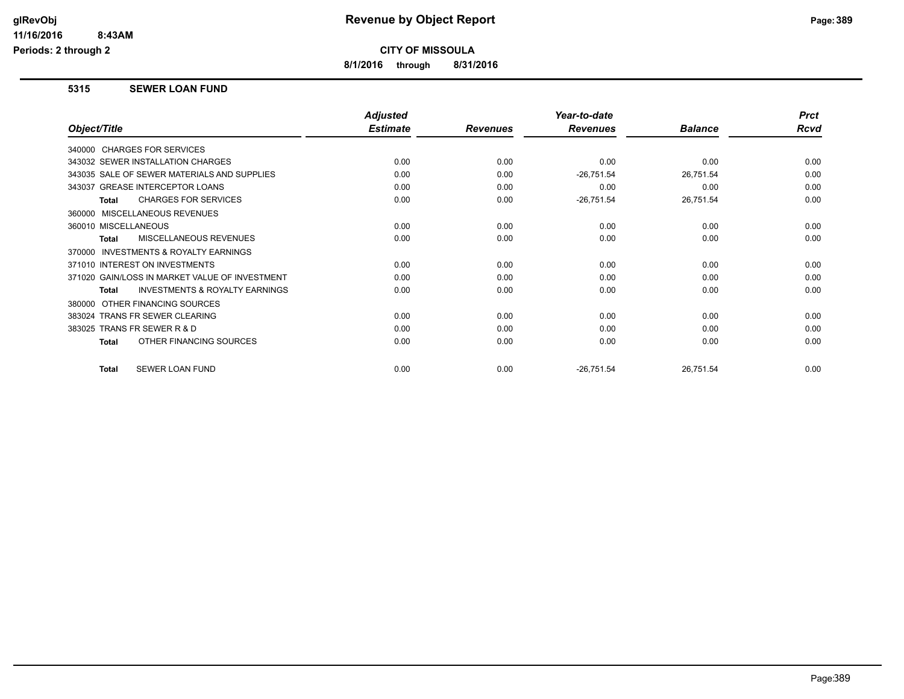**Periods: 2 through 2**

**CITY OF MISSOULA**

**8/1/2016 through 8/31/2016**

#### **5315 SEWER LOAN FUND**

|                                                           | <b>Adjusted</b> |                 | Year-to-date    |                | <b>Prct</b> |
|-----------------------------------------------------------|-----------------|-----------------|-----------------|----------------|-------------|
| Object/Title                                              | <b>Estimate</b> | <b>Revenues</b> | <b>Revenues</b> | <b>Balance</b> | <b>Rcvd</b> |
| 340000 CHARGES FOR SERVICES                               |                 |                 |                 |                |             |
| 343032 SEWER INSTALLATION CHARGES                         | 0.00            | 0.00            | 0.00            | 0.00           | 0.00        |
| 343035 SALE OF SEWER MATERIALS AND SUPPLIES               | 0.00            | 0.00            | $-26,751.54$    | 26,751.54      | 0.00        |
| 343037 GREASE INTERCEPTOR LOANS                           | 0.00            | 0.00            | 0.00            | 0.00           | 0.00        |
| <b>CHARGES FOR SERVICES</b><br><b>Total</b>               | 0.00            | 0.00            | $-26,751.54$    | 26,751.54      | 0.00        |
| 360000 MISCELLANEOUS REVENUES                             |                 |                 |                 |                |             |
| 360010 MISCELLANEOUS                                      | 0.00            | 0.00            | 0.00            | 0.00           | 0.00        |
| <b>MISCELLANEOUS REVENUES</b><br><b>Total</b>             | 0.00            | 0.00            | 0.00            | 0.00           | 0.00        |
| INVESTMENTS & ROYALTY EARNINGS<br>370000                  |                 |                 |                 |                |             |
| 371010 INTEREST ON INVESTMENTS                            | 0.00            | 0.00            | 0.00            | 0.00           | 0.00        |
| 371020 GAIN/LOSS IN MARKET VALUE OF INVESTMENT            | 0.00            | 0.00            | 0.00            | 0.00           | 0.00        |
| <b>INVESTMENTS &amp; ROYALTY EARNINGS</b><br><b>Total</b> | 0.00            | 0.00            | 0.00            | 0.00           | 0.00        |
| OTHER FINANCING SOURCES<br>380000                         |                 |                 |                 |                |             |
| 383024 TRANS FR SEWER CLEARING                            | 0.00            | 0.00            | 0.00            | 0.00           | 0.00        |
| 383025 TRANS FR SEWER R & D                               | 0.00            | 0.00            | 0.00            | 0.00           | 0.00        |
| OTHER FINANCING SOURCES<br><b>Total</b>                   | 0.00            | 0.00            | 0.00            | 0.00           | 0.00        |
| SEWER LOAN FUND<br><b>Total</b>                           | 0.00            | 0.00            | $-26,751.54$    | 26,751.54      | 0.00        |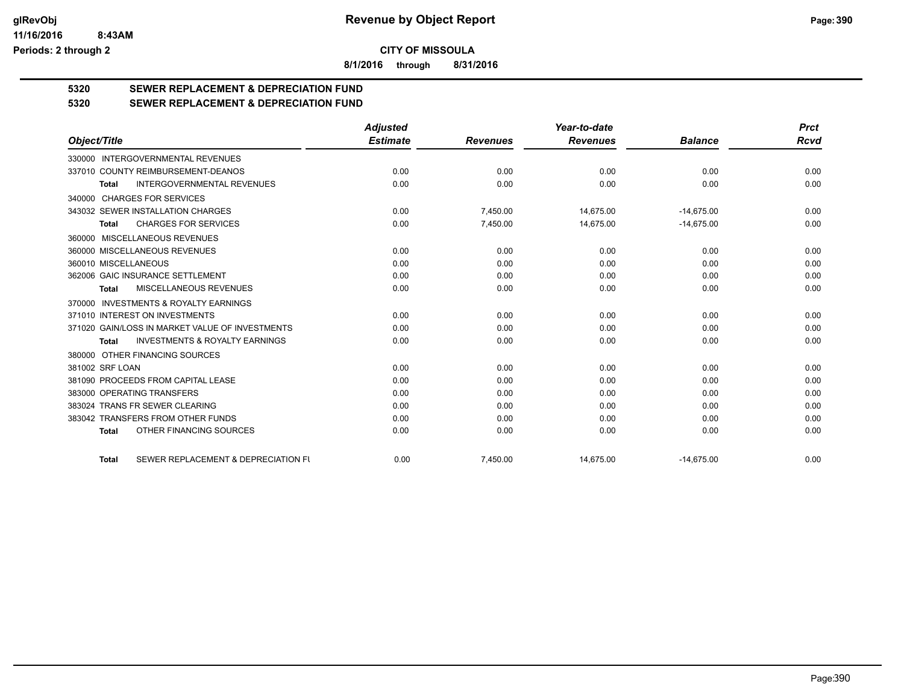**Periods: 2 through 2**

 **8:43AM**

**CITY OF MISSOULA**

**8/1/2016 through 8/31/2016**

# **5320 SEWER REPLACEMENT & DEPRECIATION FUND**

## **5320 SEWER REPLACEMENT & DEPRECIATION FUND**

|                                                           | <b>Adjusted</b> |                 | Year-to-date    |                | <b>Prct</b> |
|-----------------------------------------------------------|-----------------|-----------------|-----------------|----------------|-------------|
| Object/Title                                              | <b>Estimate</b> | <b>Revenues</b> | <b>Revenues</b> | <b>Balance</b> | <b>Rcvd</b> |
| 330000 INTERGOVERNMENTAL REVENUES                         |                 |                 |                 |                |             |
| 337010 COUNTY REIMBURSEMENT-DEANOS                        | 0.00            | 0.00            | 0.00            | 0.00           | 0.00        |
| <b>INTERGOVERNMENTAL REVENUES</b><br>Total                | 0.00            | 0.00            | 0.00            | 0.00           | 0.00        |
| 340000 CHARGES FOR SERVICES                               |                 |                 |                 |                |             |
| 343032 SEWER INSTALLATION CHARGES                         | 0.00            | 7,450.00        | 14.675.00       | $-14.675.00$   | 0.00        |
| <b>CHARGES FOR SERVICES</b><br><b>Total</b>               | 0.00            | 7,450.00        | 14,675.00       | $-14,675.00$   | 0.00        |
| 360000 MISCELLANEOUS REVENUES                             |                 |                 |                 |                |             |
| 360000 MISCELLANEOUS REVENUES                             | 0.00            | 0.00            | 0.00            | 0.00           | 0.00        |
| 360010 MISCELLANEOUS                                      | 0.00            | 0.00            | 0.00            | 0.00           | 0.00        |
| 362006 GAIC INSURANCE SETTLEMENT                          | 0.00            | 0.00            | 0.00            | 0.00           | 0.00        |
| MISCELLANEOUS REVENUES<br>Total                           | 0.00            | 0.00            | 0.00            | 0.00           | 0.00        |
| 370000 INVESTMENTS & ROYALTY EARNINGS                     |                 |                 |                 |                |             |
| 371010 INTEREST ON INVESTMENTS                            | 0.00            | 0.00            | 0.00            | 0.00           | 0.00        |
| 371020 GAIN/LOSS IN MARKET VALUE OF INVESTMENTS           | 0.00            | 0.00            | 0.00            | 0.00           | 0.00        |
| <b>INVESTMENTS &amp; ROYALTY EARNINGS</b><br><b>Total</b> | 0.00            | 0.00            | 0.00            | 0.00           | 0.00        |
| 380000 OTHER FINANCING SOURCES                            |                 |                 |                 |                |             |
| 381002 SRF LOAN                                           | 0.00            | 0.00            | 0.00            | 0.00           | 0.00        |
| 381090 PROCEEDS FROM CAPITAL LEASE                        | 0.00            | 0.00            | 0.00            | 0.00           | 0.00        |
| 383000 OPERATING TRANSFERS                                | 0.00            | 0.00            | 0.00            | 0.00           | 0.00        |
| 383024 TRANS FR SEWER CLEARING                            | 0.00            | 0.00            | 0.00            | 0.00           | 0.00        |
| 383042 TRANSFERS FROM OTHER FUNDS                         | 0.00            | 0.00            | 0.00            | 0.00           | 0.00        |
| OTHER FINANCING SOURCES<br><b>Total</b>                   | 0.00            | 0.00            | 0.00            | 0.00           | 0.00        |
| SEWER REPLACEMENT & DEPRECIATION FU<br><b>Total</b>       | 0.00            | 7,450.00        | 14,675.00       | $-14,675.00$   | 0.00        |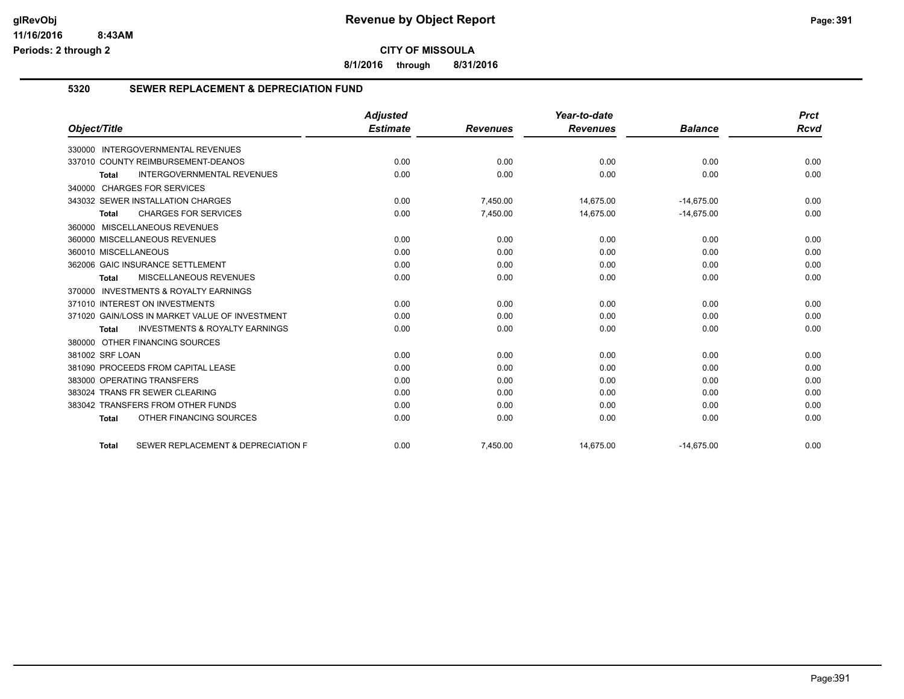**8/1/2016 through 8/31/2016**

## **5320 SEWER REPLACEMENT & DEPRECIATION FUND**

|                                                           | <b>Adjusted</b> |                 | Year-to-date    |                | <b>Prct</b> |
|-----------------------------------------------------------|-----------------|-----------------|-----------------|----------------|-------------|
| Object/Title                                              | <b>Estimate</b> | <b>Revenues</b> | <b>Revenues</b> | <b>Balance</b> | <b>Rcvd</b> |
| 330000 INTERGOVERNMENTAL REVENUES                         |                 |                 |                 |                |             |
| 337010 COUNTY REIMBURSEMENT-DEANOS                        | 0.00            | 0.00            | 0.00            | 0.00           | 0.00        |
| <b>INTERGOVERNMENTAL REVENUES</b><br><b>Total</b>         | 0.00            | 0.00            | 0.00            | 0.00           | 0.00        |
| 340000 CHARGES FOR SERVICES                               |                 |                 |                 |                |             |
| 343032 SEWER INSTALLATION CHARGES                         | 0.00            | 7,450.00        | 14,675.00       | $-14,675.00$   | 0.00        |
| <b>CHARGES FOR SERVICES</b><br><b>Total</b>               | 0.00            | 7,450.00        | 14,675.00       | $-14,675.00$   | 0.00        |
| MISCELLANEOUS REVENUES<br>360000                          |                 |                 |                 |                |             |
| 360000 MISCELLANEOUS REVENUES                             | 0.00            | 0.00            | 0.00            | 0.00           | 0.00        |
| 360010 MISCELLANEOUS                                      | 0.00            | 0.00            | 0.00            | 0.00           | 0.00        |
| 362006 GAIC INSURANCE SETTLEMENT                          | 0.00            | 0.00            | 0.00            | 0.00           | 0.00        |
| <b>MISCELLANEOUS REVENUES</b><br>Total                    | 0.00            | 0.00            | 0.00            | 0.00           | 0.00        |
| <b>INVESTMENTS &amp; ROYALTY EARNINGS</b><br>370000       |                 |                 |                 |                |             |
| 371010 INTEREST ON INVESTMENTS                            | 0.00            | 0.00            | 0.00            | 0.00           | 0.00        |
| 371020 GAIN/LOSS IN MARKET VALUE OF INVESTMENT            | 0.00            | 0.00            | 0.00            | 0.00           | 0.00        |
| <b>INVESTMENTS &amp; ROYALTY EARNINGS</b><br><b>Total</b> | 0.00            | 0.00            | 0.00            | 0.00           | 0.00        |
| 380000 OTHER FINANCING SOURCES                            |                 |                 |                 |                |             |
| 381002 SRF LOAN                                           | 0.00            | 0.00            | 0.00            | 0.00           | 0.00        |
| 381090 PROCEEDS FROM CAPITAL LEASE                        | 0.00            | 0.00            | 0.00            | 0.00           | 0.00        |
| 383000 OPERATING TRANSFERS                                | 0.00            | 0.00            | 0.00            | 0.00           | 0.00        |
| 383024 TRANS FR SEWER CLEARING                            | 0.00            | 0.00            | 0.00            | 0.00           | 0.00        |
| 383042 TRANSFERS FROM OTHER FUNDS                         | 0.00            | 0.00            | 0.00            | 0.00           | 0.00        |
| OTHER FINANCING SOURCES<br><b>Total</b>                   | 0.00            | 0.00            | 0.00            | 0.00           | 0.00        |
| SEWER REPLACEMENT & DEPRECIATION F<br><b>Total</b>        | 0.00            | 7.450.00        | 14.675.00       | $-14.675.00$   | 0.00        |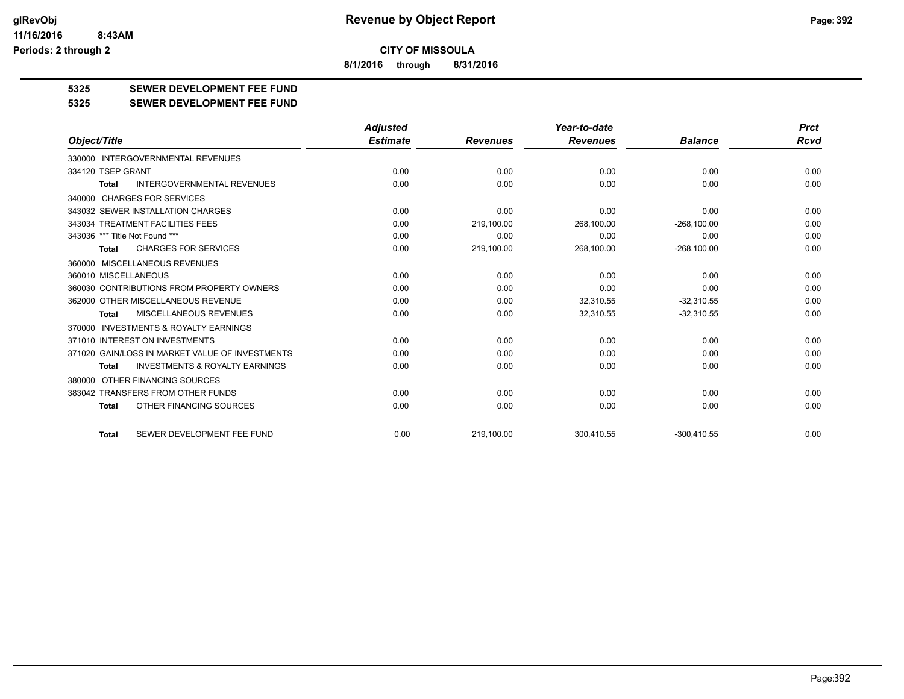**8/1/2016 through 8/31/2016**

**5325 SEWER DEVELOPMENT FEE FUND**

**5325 SEWER DEVELOPMENT FEE FUND**

|                                                           | <b>Adjusted</b> |                 | Year-to-date    |                | <b>Prct</b> |
|-----------------------------------------------------------|-----------------|-----------------|-----------------|----------------|-------------|
| Object/Title                                              | <b>Estimate</b> | <b>Revenues</b> | <b>Revenues</b> | <b>Balance</b> | <b>Rcvd</b> |
| 330000 INTERGOVERNMENTAL REVENUES                         |                 |                 |                 |                |             |
| 334120 TSEP GRANT                                         | 0.00            | 0.00            | 0.00            | 0.00           | 0.00        |
| <b>INTERGOVERNMENTAL REVENUES</b><br><b>Total</b>         | 0.00            | 0.00            | 0.00            | 0.00           | 0.00        |
| 340000 CHARGES FOR SERVICES                               |                 |                 |                 |                |             |
| 343032 SEWER INSTALLATION CHARGES                         | 0.00            | 0.00            | 0.00            | 0.00           | 0.00        |
| 343034 TREATMENT FACILITIES FEES                          | 0.00            | 219,100.00      | 268,100.00      | $-268,100.00$  | 0.00        |
| 343036 *** Title Not Found ***                            | 0.00            | 0.00            | 0.00            | 0.00           | 0.00        |
| <b>CHARGES FOR SERVICES</b><br><b>Total</b>               | 0.00            | 219,100.00      | 268,100.00      | $-268,100.00$  | 0.00        |
| 360000 MISCELLANEOUS REVENUES                             |                 |                 |                 |                |             |
| 360010 MISCELLANEOUS                                      | 0.00            | 0.00            | 0.00            | 0.00           | 0.00        |
| 360030 CONTRIBUTIONS FROM PROPERTY OWNERS                 | 0.00            | 0.00            | 0.00            | 0.00           | 0.00        |
| 362000 OTHER MISCELLANEOUS REVENUE                        | 0.00            | 0.00            | 32,310.55       | $-32,310.55$   | 0.00        |
| MISCELLANEOUS REVENUES<br><b>Total</b>                    | 0.00            | 0.00            | 32,310.55       | $-32,310.55$   | 0.00        |
| <b>INVESTMENTS &amp; ROYALTY EARNINGS</b><br>370000       |                 |                 |                 |                |             |
| 371010 INTEREST ON INVESTMENTS                            | 0.00            | 0.00            | 0.00            | 0.00           | 0.00        |
| 371020 GAIN/LOSS IN MARKET VALUE OF INVESTMENTS           | 0.00            | 0.00            | 0.00            | 0.00           | 0.00        |
| <b>INVESTMENTS &amp; ROYALTY EARNINGS</b><br><b>Total</b> | 0.00            | 0.00            | 0.00            | 0.00           | 0.00        |
| 380000 OTHER FINANCING SOURCES                            |                 |                 |                 |                |             |
| 383042 TRANSFERS FROM OTHER FUNDS                         | 0.00            | 0.00            | 0.00            | 0.00           | 0.00        |
| OTHER FINANCING SOURCES<br><b>Total</b>                   | 0.00            | 0.00            | 0.00            | 0.00           | 0.00        |
| SEWER DEVELOPMENT FEE FUND<br><b>Total</b>                | 0.00            | 219.100.00      | 300,410.55      | $-300.410.55$  | 0.00        |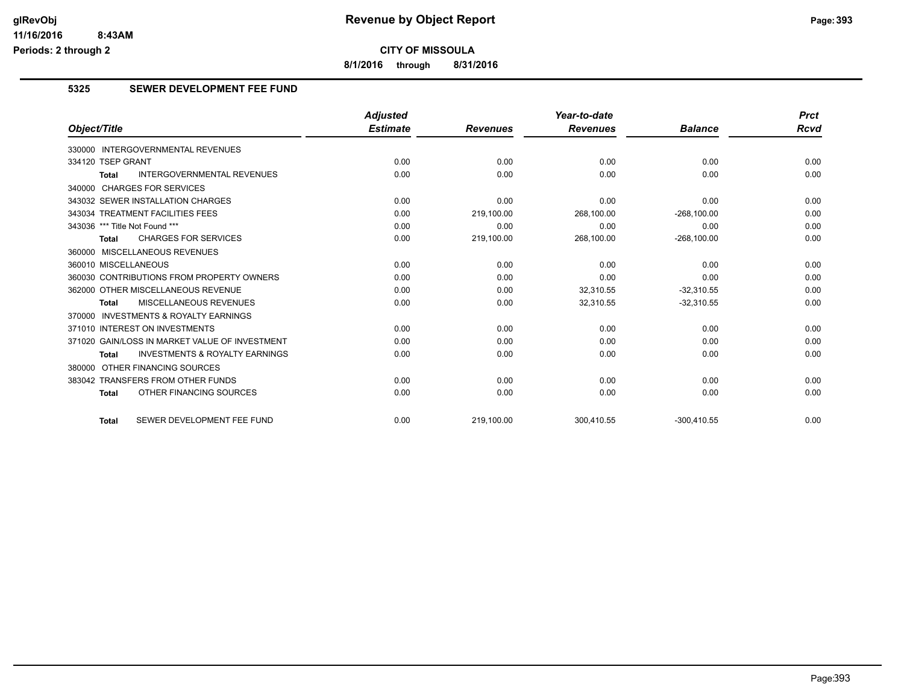**8/1/2016 through 8/31/2016**

## **5325 SEWER DEVELOPMENT FEE FUND**

|                                                           | <b>Adjusted</b> |                 | Year-to-date    |                | <b>Prct</b> |
|-----------------------------------------------------------|-----------------|-----------------|-----------------|----------------|-------------|
| Object/Title                                              | <b>Estimate</b> | <b>Revenues</b> | <b>Revenues</b> | <b>Balance</b> | <b>Rcvd</b> |
| 330000 INTERGOVERNMENTAL REVENUES                         |                 |                 |                 |                |             |
| 334120 TSEP GRANT                                         | 0.00            | 0.00            | 0.00            | 0.00           | 0.00        |
| <b>INTERGOVERNMENTAL REVENUES</b><br><b>Total</b>         | 0.00            | 0.00            | 0.00            | 0.00           | 0.00        |
| 340000 CHARGES FOR SERVICES                               |                 |                 |                 |                |             |
| 343032 SEWER INSTALLATION CHARGES                         | 0.00            | 0.00            | 0.00            | 0.00           | 0.00        |
| 343034 TREATMENT FACILITIES FEES                          | 0.00            | 219,100.00      | 268,100.00      | $-268,100.00$  | 0.00        |
| 343036 *** Title Not Found ***                            | 0.00            | 0.00            | 0.00            | 0.00           | 0.00        |
| <b>CHARGES FOR SERVICES</b><br><b>Total</b>               | 0.00            | 219,100.00      | 268,100.00      | $-268,100.00$  | 0.00        |
| 360000 MISCELLANEOUS REVENUES                             |                 |                 |                 |                |             |
| 360010 MISCELLANEOUS                                      | 0.00            | 0.00            | 0.00            | 0.00           | 0.00        |
| 360030 CONTRIBUTIONS FROM PROPERTY OWNERS                 | 0.00            | 0.00            | 0.00            | 0.00           | 0.00        |
| 362000 OTHER MISCELLANEOUS REVENUE                        | 0.00            | 0.00            | 32.310.55       | $-32.310.55$   | 0.00        |
| MISCELLANEOUS REVENUES<br><b>Total</b>                    | 0.00            | 0.00            | 32,310.55       | $-32,310.55$   | 0.00        |
| 370000 INVESTMENTS & ROYALTY EARNINGS                     |                 |                 |                 |                |             |
| 371010 INTEREST ON INVESTMENTS                            | 0.00            | 0.00            | 0.00            | 0.00           | 0.00        |
| 371020 GAIN/LOSS IN MARKET VALUE OF INVESTMENT            | 0.00            | 0.00            | 0.00            | 0.00           | 0.00        |
| <b>INVESTMENTS &amp; ROYALTY EARNINGS</b><br><b>Total</b> | 0.00            | 0.00            | 0.00            | 0.00           | 0.00        |
| 380000 OTHER FINANCING SOURCES                            |                 |                 |                 |                |             |
| 383042 TRANSFERS FROM OTHER FUNDS                         | 0.00            | 0.00            | 0.00            | 0.00           | 0.00        |
| OTHER FINANCING SOURCES<br><b>Total</b>                   | 0.00            | 0.00            | 0.00            | 0.00           | 0.00        |
| SEWER DEVELOPMENT FEE FUND<br><b>Total</b>                | 0.00            | 219,100.00      | 300,410.55      | $-300.410.55$  | 0.00        |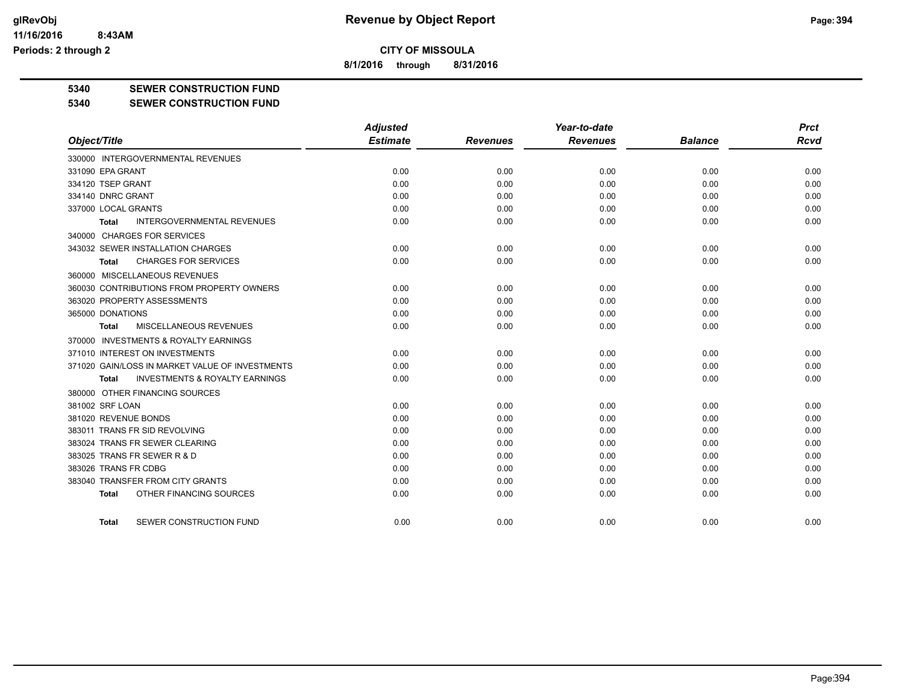**8/1/2016 through 8/31/2016**

**5340 SEWER CONSTRUCTION FUND**

**5340 SEWER CONSTRUCTION FUND**

|                                                    | <b>Adjusted</b> |                 | Year-to-date    |                | <b>Prct</b> |
|----------------------------------------------------|-----------------|-----------------|-----------------|----------------|-------------|
| Object/Title                                       | <b>Estimate</b> | <b>Revenues</b> | <b>Revenues</b> | <b>Balance</b> | <b>Rcvd</b> |
| 330000 INTERGOVERNMENTAL REVENUES                  |                 |                 |                 |                |             |
| 331090 EPA GRANT                                   | 0.00            | 0.00            | 0.00            | 0.00           | 0.00        |
| 334120 TSEP GRANT                                  | 0.00            | 0.00            | 0.00            | 0.00           | 0.00        |
| 334140 DNRC GRANT                                  | 0.00            | 0.00            | 0.00            | 0.00           | 0.00        |
| 337000 LOCAL GRANTS                                | 0.00            | 0.00            | 0.00            | 0.00           | 0.00        |
| <b>INTERGOVERNMENTAL REVENUES</b><br>Total         | 0.00            | 0.00            | 0.00            | 0.00           | 0.00        |
| 340000 CHARGES FOR SERVICES                        |                 |                 |                 |                |             |
| 343032 SEWER INSTALLATION CHARGES                  | 0.00            | 0.00            | 0.00            | 0.00           | 0.00        |
| <b>CHARGES FOR SERVICES</b><br>Total               | 0.00            | 0.00            | 0.00            | 0.00           | 0.00        |
| 360000 MISCELLANEOUS REVENUES                      |                 |                 |                 |                |             |
| 360030 CONTRIBUTIONS FROM PROPERTY OWNERS          | 0.00            | 0.00            | 0.00            | 0.00           | 0.00        |
| 363020 PROPERTY ASSESSMENTS                        | 0.00            | 0.00            | 0.00            | 0.00           | 0.00        |
| 365000 DONATIONS                                   | 0.00            | 0.00            | 0.00            | 0.00           | 0.00        |
| <b>MISCELLANEOUS REVENUES</b><br><b>Total</b>      | 0.00            | 0.00            | 0.00            | 0.00           | 0.00        |
| 370000 INVESTMENTS & ROYALTY EARNINGS              |                 |                 |                 |                |             |
| 371010 INTEREST ON INVESTMENTS                     | 0.00            | 0.00            | 0.00            | 0.00           | 0.00        |
| 371020 GAIN/LOSS IN MARKET VALUE OF INVESTMENTS    | 0.00            | 0.00            | 0.00            | 0.00           | 0.00        |
| <b>INVESTMENTS &amp; ROYALTY EARNINGS</b><br>Total | 0.00            | 0.00            | 0.00            | 0.00           | 0.00        |
| 380000 OTHER FINANCING SOURCES                     |                 |                 |                 |                |             |
| 381002 SRF LOAN                                    | 0.00            | 0.00            | 0.00            | 0.00           | 0.00        |
| 381020 REVENUE BONDS                               | 0.00            | 0.00            | 0.00            | 0.00           | 0.00        |
| 383011 TRANS FR SID REVOLVING                      | 0.00            | 0.00            | 0.00            | 0.00           | 0.00        |
| 383024 TRANS FR SEWER CLEARING                     | 0.00            | 0.00            | 0.00            | 0.00           | 0.00        |
| 383025 TRANS FR SEWER R & D                        | 0.00            | 0.00            | 0.00            | 0.00           | 0.00        |
| 383026 TRANS FR CDBG                               | 0.00            | 0.00            | 0.00            | 0.00           | 0.00        |
| 383040 TRANSFER FROM CITY GRANTS                   | 0.00            | 0.00            | 0.00            | 0.00           | 0.00        |
| OTHER FINANCING SOURCES<br><b>Total</b>            | 0.00            | 0.00            | 0.00            | 0.00           | 0.00        |
| SEWER CONSTRUCTION FUND<br>Total                   | 0.00            | 0.00            | 0.00            | 0.00           | 0.00        |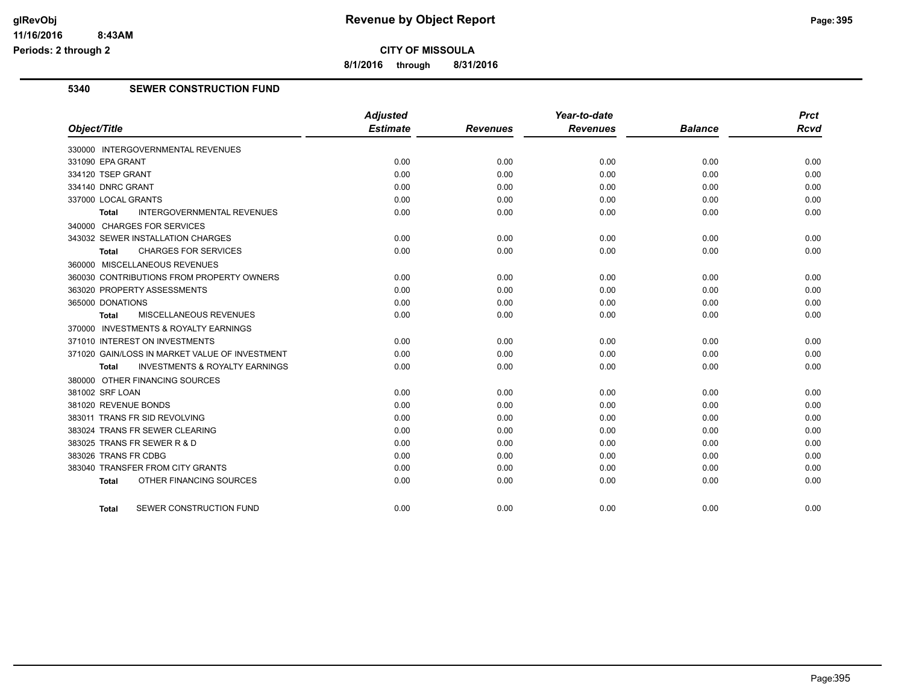**Periods: 2 through 2**

**CITY OF MISSOULA**

**8/1/2016 through 8/31/2016**

## **5340 SEWER CONSTRUCTION FUND**

|                                                    | <b>Adjusted</b> |                 | Year-to-date    |                | <b>Prct</b> |
|----------------------------------------------------|-----------------|-----------------|-----------------|----------------|-------------|
| Object/Title                                       | <b>Estimate</b> | <b>Revenues</b> | <b>Revenues</b> | <b>Balance</b> | <b>Rcvd</b> |
| 330000 INTERGOVERNMENTAL REVENUES                  |                 |                 |                 |                |             |
| 331090 EPA GRANT                                   | 0.00            | 0.00            | 0.00            | 0.00           | 0.00        |
| 334120 TSEP GRANT                                  | 0.00            | 0.00            | 0.00            | 0.00           | 0.00        |
| 334140 DNRC GRANT                                  | 0.00            | 0.00            | 0.00            | 0.00           | 0.00        |
| 337000 LOCAL GRANTS                                | 0.00            | 0.00            | 0.00            | 0.00           | 0.00        |
| <b>INTERGOVERNMENTAL REVENUES</b><br><b>Total</b>  | 0.00            | 0.00            | 0.00            | 0.00           | 0.00        |
| 340000 CHARGES FOR SERVICES                        |                 |                 |                 |                |             |
| 343032 SEWER INSTALLATION CHARGES                  | 0.00            | 0.00            | 0.00            | 0.00           | 0.00        |
| <b>CHARGES FOR SERVICES</b><br><b>Total</b>        | 0.00            | 0.00            | 0.00            | 0.00           | 0.00        |
| 360000 MISCELLANEOUS REVENUES                      |                 |                 |                 |                |             |
| 360030 CONTRIBUTIONS FROM PROPERTY OWNERS          | 0.00            | 0.00            | 0.00            | 0.00           | 0.00        |
| 363020 PROPERTY ASSESSMENTS                        | 0.00            | 0.00            | 0.00            | 0.00           | 0.00        |
| 365000 DONATIONS                                   | 0.00            | 0.00            | 0.00            | 0.00           | 0.00        |
| <b>MISCELLANEOUS REVENUES</b><br><b>Total</b>      | 0.00            | 0.00            | 0.00            | 0.00           | 0.00        |
| 370000 INVESTMENTS & ROYALTY EARNINGS              |                 |                 |                 |                |             |
| 371010 INTEREST ON INVESTMENTS                     | 0.00            | 0.00            | 0.00            | 0.00           | 0.00        |
| 371020 GAIN/LOSS IN MARKET VALUE OF INVESTMENT     | 0.00            | 0.00            | 0.00            | 0.00           | 0.00        |
| <b>INVESTMENTS &amp; ROYALTY EARNINGS</b><br>Total | 0.00            | 0.00            | 0.00            | 0.00           | 0.00        |
| 380000 OTHER FINANCING SOURCES                     |                 |                 |                 |                |             |
| 381002 SRF LOAN                                    | 0.00            | 0.00            | 0.00            | 0.00           | 0.00        |
| 381020 REVENUE BONDS                               | 0.00            | 0.00            | 0.00            | 0.00           | 0.00        |
| 383011 TRANS FR SID REVOLVING                      | 0.00            | 0.00            | 0.00            | 0.00           | 0.00        |
| 383024 TRANS FR SEWER CLEARING                     | 0.00            | 0.00            | 0.00            | 0.00           | 0.00        |
| 383025 TRANS FR SEWER R & D                        | 0.00            | 0.00            | 0.00            | 0.00           | 0.00        |
| 383026 TRANS FR CDBG                               | 0.00            | 0.00            | 0.00            | 0.00           | 0.00        |
| 383040 TRANSFER FROM CITY GRANTS                   | 0.00            | 0.00            | 0.00            | 0.00           | 0.00        |
| OTHER FINANCING SOURCES<br><b>Total</b>            | 0.00            | 0.00            | 0.00            | 0.00           | 0.00        |
| SEWER CONSTRUCTION FUND<br>Total                   | 0.00            | 0.00            | 0.00            | 0.00           | 0.00        |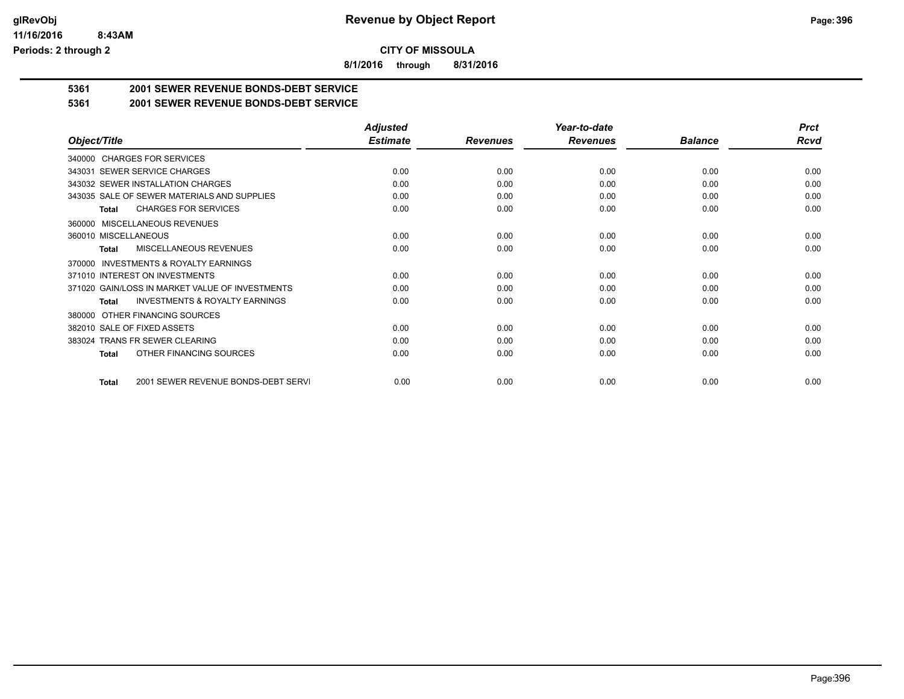**11/16/2016 8:43AM Periods: 2 through 2**

**CITY OF MISSOULA**

**8/1/2016 through 8/31/2016**

## **5361 2001 SEWER REVENUE BONDS-DEBT SERVICE**

## **5361 2001 SEWER REVENUE BONDS-DEBT SERVICE**

|                                                           | <b>Adjusted</b> |                 | Year-to-date    |                | <b>Prct</b> |
|-----------------------------------------------------------|-----------------|-----------------|-----------------|----------------|-------------|
| Object/Title                                              | <b>Estimate</b> | <b>Revenues</b> | <b>Revenues</b> | <b>Balance</b> | <b>Rcvd</b> |
| 340000 CHARGES FOR SERVICES                               |                 |                 |                 |                |             |
| SEWER SERVICE CHARGES<br>343031                           | 0.00            | 0.00            | 0.00            | 0.00           | 0.00        |
| 343032 SEWER INSTALLATION CHARGES                         | 0.00            | 0.00            | 0.00            | 0.00           | 0.00        |
| 343035 SALE OF SEWER MATERIALS AND SUPPLIES               | 0.00            | 0.00            | 0.00            | 0.00           | 0.00        |
| <b>CHARGES FOR SERVICES</b><br><b>Total</b>               | 0.00            | 0.00            | 0.00            | 0.00           | 0.00        |
| MISCELLANEOUS REVENUES<br>360000                          |                 |                 |                 |                |             |
| 360010 MISCELLANEOUS                                      | 0.00            | 0.00            | 0.00            | 0.00           | 0.00        |
| MISCELLANEOUS REVENUES<br><b>Total</b>                    | 0.00            | 0.00            | 0.00            | 0.00           | 0.00        |
| <b>INVESTMENTS &amp; ROYALTY EARNINGS</b><br>370000       |                 |                 |                 |                |             |
| 371010 INTEREST ON INVESTMENTS                            | 0.00            | 0.00            | 0.00            | 0.00           | 0.00        |
| 371020 GAIN/LOSS IN MARKET VALUE OF INVESTMENTS           | 0.00            | 0.00            | 0.00            | 0.00           | 0.00        |
| <b>INVESTMENTS &amp; ROYALTY EARNINGS</b><br><b>Total</b> | 0.00            | 0.00            | 0.00            | 0.00           | 0.00        |
| OTHER FINANCING SOURCES<br>380000                         |                 |                 |                 |                |             |
| 382010 SALE OF FIXED ASSETS                               | 0.00            | 0.00            | 0.00            | 0.00           | 0.00        |
| 383024 TRANS FR SEWER CLEARING                            | 0.00            | 0.00            | 0.00            | 0.00           | 0.00        |
| OTHER FINANCING SOURCES<br>Total                          | 0.00            | 0.00            | 0.00            | 0.00           | 0.00        |
|                                                           |                 |                 |                 |                |             |
| 2001 SEWER REVENUE BONDS-DEBT SERVI<br>Total              | 0.00            | 0.00            | 0.00            | 0.00           | 0.00        |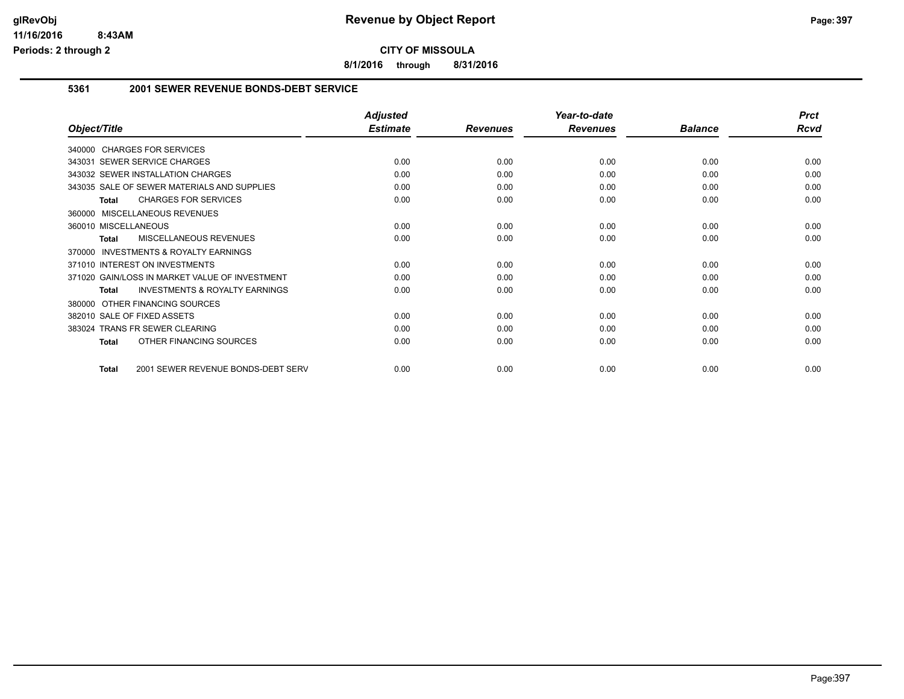**8:43AM**

**CITY OF MISSOULA**

**8/1/2016 through 8/31/2016**

#### **5361 2001 SEWER REVENUE BONDS-DEBT SERVICE**

|                                                           | <b>Adjusted</b> |                 | Year-to-date    |                | <b>Prct</b> |
|-----------------------------------------------------------|-----------------|-----------------|-----------------|----------------|-------------|
| Object/Title                                              | <b>Estimate</b> | <b>Revenues</b> | <b>Revenues</b> | <b>Balance</b> | <b>Rcvd</b> |
| 340000 CHARGES FOR SERVICES                               |                 |                 |                 |                |             |
| SEWER SERVICE CHARGES<br>343031                           | 0.00            | 0.00            | 0.00            | 0.00           | 0.00        |
| 343032 SEWER INSTALLATION CHARGES                         | 0.00            | 0.00            | 0.00            | 0.00           | 0.00        |
| 343035 SALE OF SEWER MATERIALS AND SUPPLIES               | 0.00            | 0.00            | 0.00            | 0.00           | 0.00        |
| <b>CHARGES FOR SERVICES</b><br><b>Total</b>               | 0.00            | 0.00            | 0.00            | 0.00           | 0.00        |
| 360000 MISCELLANEOUS REVENUES                             |                 |                 |                 |                |             |
| 360010 MISCELLANEOUS                                      | 0.00            | 0.00            | 0.00            | 0.00           | 0.00        |
| MISCELLANEOUS REVENUES<br><b>Total</b>                    | 0.00            | 0.00            | 0.00            | 0.00           | 0.00        |
| INVESTMENTS & ROYALTY EARNINGS<br>370000                  |                 |                 |                 |                |             |
| 371010 INTEREST ON INVESTMENTS                            | 0.00            | 0.00            | 0.00            | 0.00           | 0.00        |
| 371020 GAIN/LOSS IN MARKET VALUE OF INVESTMENT            | 0.00            | 0.00            | 0.00            | 0.00           | 0.00        |
| <b>INVESTMENTS &amp; ROYALTY EARNINGS</b><br><b>Total</b> | 0.00            | 0.00            | 0.00            | 0.00           | 0.00        |
| OTHER FINANCING SOURCES<br>380000                         |                 |                 |                 |                |             |
| 382010 SALE OF FIXED ASSETS                               | 0.00            | 0.00            | 0.00            | 0.00           | 0.00        |
| 383024 TRANS FR SEWER CLEARING                            | 0.00            | 0.00            | 0.00            | 0.00           | 0.00        |
| OTHER FINANCING SOURCES<br>Total                          | 0.00            | 0.00            | 0.00            | 0.00           | 0.00        |
| 2001 SEWER REVENUE BONDS-DEBT SERV<br><b>Total</b>        | 0.00            | 0.00            | 0.00            | 0.00           | 0.00        |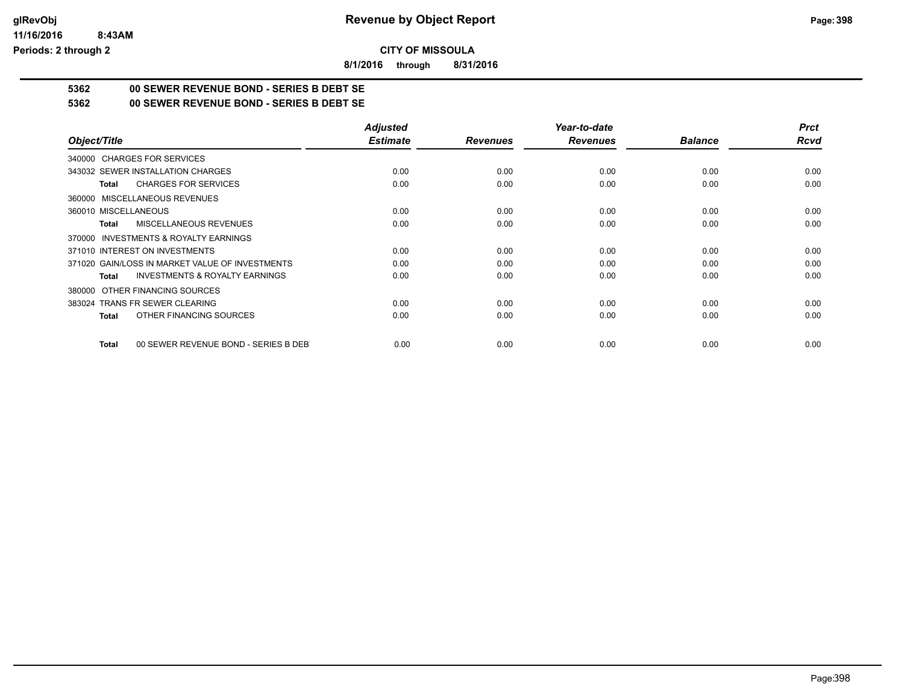**11/16/2016 8:43AM Periods: 2 through 2**

**CITY OF MISSOULA**

**8/1/2016 through 8/31/2016**

# **5362 00 SEWER REVENUE BOND - SERIES B DEBT SE**

**5362 00 SEWER REVENUE BOND - SERIES B DEBT SE**

|                                                      | <b>Adjusted</b> |                 | Year-to-date    |                | <b>Prct</b> |
|------------------------------------------------------|-----------------|-----------------|-----------------|----------------|-------------|
| Object/Title                                         | <b>Estimate</b> | <b>Revenues</b> | <b>Revenues</b> | <b>Balance</b> | <b>Rcvd</b> |
| 340000 CHARGES FOR SERVICES                          |                 |                 |                 |                |             |
| 343032 SEWER INSTALLATION CHARGES                    | 0.00            | 0.00            | 0.00            | 0.00           | 0.00        |
| <b>CHARGES FOR SERVICES</b><br><b>Total</b>          | 0.00            | 0.00            | 0.00            | 0.00           | 0.00        |
| 360000 MISCELLANEOUS REVENUES                        |                 |                 |                 |                |             |
| 360010 MISCELLANEOUS                                 | 0.00            | 0.00            | 0.00            | 0.00           | 0.00        |
| MISCELLANEOUS REVENUES<br><b>Total</b>               | 0.00            | 0.00            | 0.00            | 0.00           | 0.00        |
| 370000 INVESTMENTS & ROYALTY EARNINGS                |                 |                 |                 |                |             |
| 371010 INTEREST ON INVESTMENTS                       | 0.00            | 0.00            | 0.00            | 0.00           | 0.00        |
| 371020 GAIN/LOSS IN MARKET VALUE OF INVESTMENTS      | 0.00            | 0.00            | 0.00            | 0.00           | 0.00        |
| <b>INVESTMENTS &amp; ROYALTY EARNINGS</b><br>Total   | 0.00            | 0.00            | 0.00            | 0.00           | 0.00        |
| 380000 OTHER FINANCING SOURCES                       |                 |                 |                 |                |             |
| 383024 TRANS FR SEWER CLEARING                       | 0.00            | 0.00            | 0.00            | 0.00           | 0.00        |
| OTHER FINANCING SOURCES<br>Total                     | 0.00            | 0.00            | 0.00            | 0.00           | 0.00        |
|                                                      |                 |                 |                 |                |             |
| 00 SEWER REVENUE BOND - SERIES B DEB<br><b>Total</b> | 0.00            | 0.00            | 0.00            | 0.00           | 0.00        |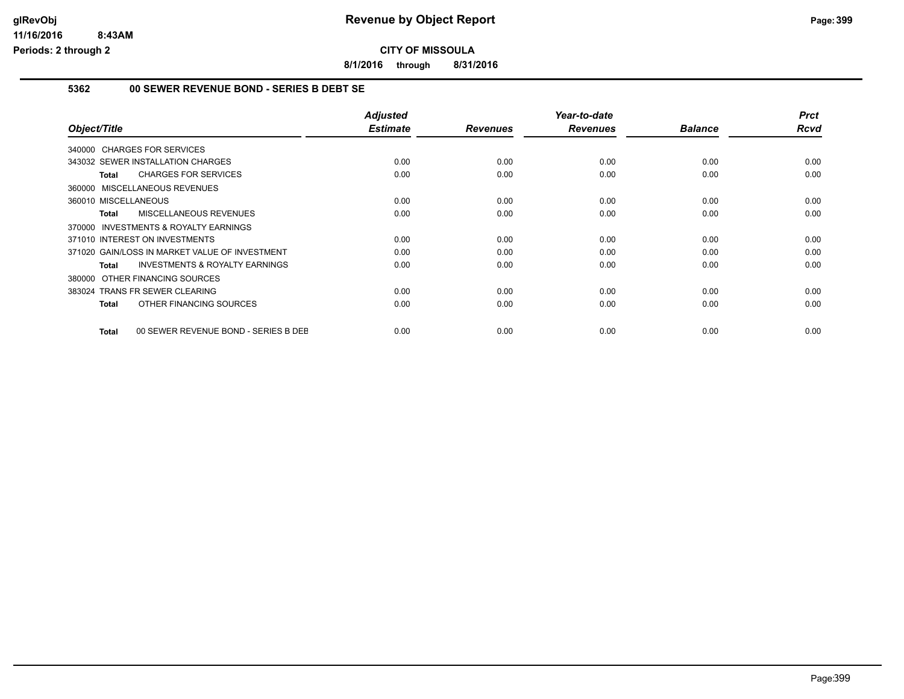**8:43AM**

**CITY OF MISSOULA**

**8/1/2016 through 8/31/2016**

### **5362 00 SEWER REVENUE BOND - SERIES B DEBT SE**

| Object/Title                                         | <b>Adjusted</b><br><b>Estimate</b> | <b>Revenues</b> | Year-to-date<br><b>Revenues</b> | <b>Balance</b> | <b>Prct</b><br><b>Rcvd</b> |
|------------------------------------------------------|------------------------------------|-----------------|---------------------------------|----------------|----------------------------|
| 340000 CHARGES FOR SERVICES                          |                                    |                 |                                 |                |                            |
| 343032 SEWER INSTALLATION CHARGES                    | 0.00                               | 0.00            | 0.00                            | 0.00           | 0.00                       |
| <b>CHARGES FOR SERVICES</b><br><b>Total</b>          | 0.00                               | 0.00            | 0.00                            | 0.00           | 0.00                       |
| 360000 MISCELLANEOUS REVENUES                        |                                    |                 |                                 |                |                            |
| 360010 MISCELLANEOUS                                 | 0.00                               | 0.00            | 0.00                            | 0.00           | 0.00                       |
| MISCELLANEOUS REVENUES<br><b>Total</b>               | 0.00                               | 0.00            | 0.00                            | 0.00           | 0.00                       |
| <b>INVESTMENTS &amp; ROYALTY EARNINGS</b><br>370000  |                                    |                 |                                 |                |                            |
| 371010 INTEREST ON INVESTMENTS                       | 0.00                               | 0.00            | 0.00                            | 0.00           | 0.00                       |
| 371020 GAIN/LOSS IN MARKET VALUE OF INVESTMENT       | 0.00                               | 0.00            | 0.00                            | 0.00           | 0.00                       |
| <b>INVESTMENTS &amp; ROYALTY EARNINGS</b><br>Total   | 0.00                               | 0.00            | 0.00                            | 0.00           | 0.00                       |
| 380000 OTHER FINANCING SOURCES                       |                                    |                 |                                 |                |                            |
| 383024 TRANS FR SEWER CLEARING                       | 0.00                               | 0.00            | 0.00                            | 0.00           | 0.00                       |
| OTHER FINANCING SOURCES<br><b>Total</b>              | 0.00                               | 0.00            | 0.00                            | 0.00           | 0.00                       |
| 00 SEWER REVENUE BOND - SERIES B DEE<br><b>Total</b> | 0.00                               | 0.00            | 0.00                            | 0.00           | 0.00                       |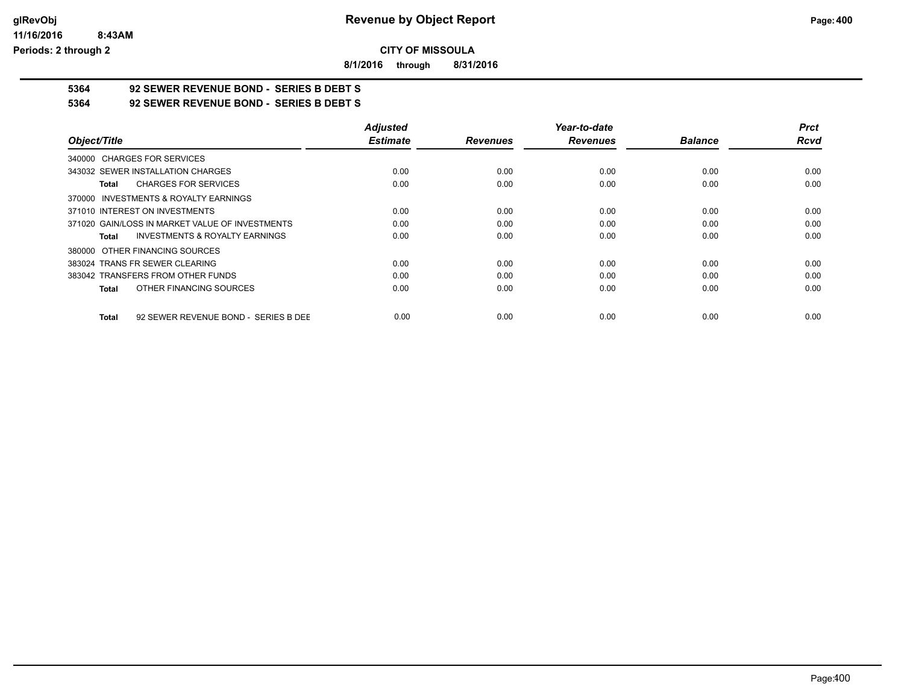**11/16/2016 8:43AM Periods: 2 through 2**

**CITY OF MISSOULA**

**8/1/2016 through 8/31/2016**

# **5364 92 SEWER REVENUE BOND - SERIES B DEBT S**

**5364 92 SEWER REVENUE BOND - SERIES B DEBT S**

|                                                    | <b>Adjusted</b> |                 | Year-to-date    |                | <b>Prct</b> |
|----------------------------------------------------|-----------------|-----------------|-----------------|----------------|-------------|
| Object/Title                                       | <b>Estimate</b> | <b>Revenues</b> | <b>Revenues</b> | <b>Balance</b> | <b>Rcvd</b> |
| 340000 CHARGES FOR SERVICES                        |                 |                 |                 |                |             |
| 343032 SEWER INSTALLATION CHARGES                  | 0.00            | 0.00            | 0.00            | 0.00           | 0.00        |
| <b>CHARGES FOR SERVICES</b><br>Total               | 0.00            | 0.00            | 0.00            | 0.00           | 0.00        |
| 370000 INVESTMENTS & ROYALTY EARNINGS              |                 |                 |                 |                |             |
| 371010 INTEREST ON INVESTMENTS                     | 0.00            | 0.00            | 0.00            | 0.00           | 0.00        |
| 371020 GAIN/LOSS IN MARKET VALUE OF INVESTMENTS    | 0.00            | 0.00            | 0.00            | 0.00           | 0.00        |
| <b>INVESTMENTS &amp; ROYALTY EARNINGS</b><br>Total | 0.00            | 0.00            | 0.00            | 0.00           | 0.00        |
| 380000 OTHER FINANCING SOURCES                     |                 |                 |                 |                |             |
| 383024 TRANS FR SEWER CLEARING                     | 0.00            | 0.00            | 0.00            | 0.00           | 0.00        |
| 383042 TRANSFERS FROM OTHER FUNDS                  | 0.00            | 0.00            | 0.00            | 0.00           | 0.00        |
| OTHER FINANCING SOURCES<br>Total                   | 0.00            | 0.00            | 0.00            | 0.00           | 0.00        |
| 92 SEWER REVENUE BOND - SERIES B DEE<br>Total      | 0.00            | 0.00            | 0.00            | 0.00           | 0.00        |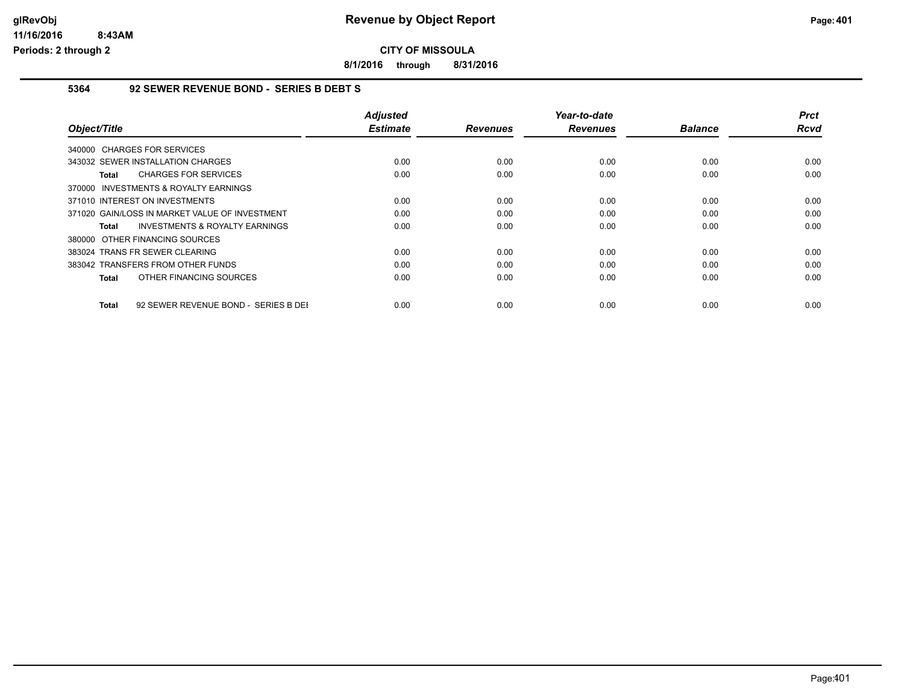**8/1/2016 through 8/31/2016**

#### **5364 92 SEWER REVENUE BOND - SERIES B DEBT S**

| Object/Title                                         | <b>Adjusted</b><br><b>Estimate</b> | <b>Revenues</b> | Year-to-date<br><b>Revenues</b> | <b>Balance</b> | <b>Prct</b><br><b>Rcvd</b> |
|------------------------------------------------------|------------------------------------|-----------------|---------------------------------|----------------|----------------------------|
|                                                      |                                    |                 |                                 |                |                            |
| 340000 CHARGES FOR SERVICES                          |                                    |                 |                                 |                |                            |
| 343032 SEWER INSTALLATION CHARGES                    | 0.00                               | 0.00            | 0.00                            | 0.00           | 0.00                       |
| <b>CHARGES FOR SERVICES</b><br>Total                 | 0.00                               | 0.00            | 0.00                            | 0.00           | 0.00                       |
| 370000 INVESTMENTS & ROYALTY EARNINGS                |                                    |                 |                                 |                |                            |
| 371010 INTEREST ON INVESTMENTS                       | 0.00                               | 0.00            | 0.00                            | 0.00           | 0.00                       |
| 371020 GAIN/LOSS IN MARKET VALUE OF INVESTMENT       | 0.00                               | 0.00            | 0.00                            | 0.00           | 0.00                       |
| <b>INVESTMENTS &amp; ROYALTY EARNINGS</b><br>Total   | 0.00                               | 0.00            | 0.00                            | 0.00           | 0.00                       |
| 380000 OTHER FINANCING SOURCES                       |                                    |                 |                                 |                |                            |
| 383024 TRANS FR SEWER CLEARING                       | 0.00                               | 0.00            | 0.00                            | 0.00           | 0.00                       |
| 383042 TRANSFERS FROM OTHER FUNDS                    | 0.00                               | 0.00            | 0.00                            | 0.00           | 0.00                       |
| OTHER FINANCING SOURCES<br>Total                     | 0.00                               | 0.00            | 0.00                            | 0.00           | 0.00                       |
| 92 SEWER REVENUE BOND - SERIES B DEI<br><b>Total</b> | 0.00                               | 0.00            | 0.00                            | 0.00           | 0.00                       |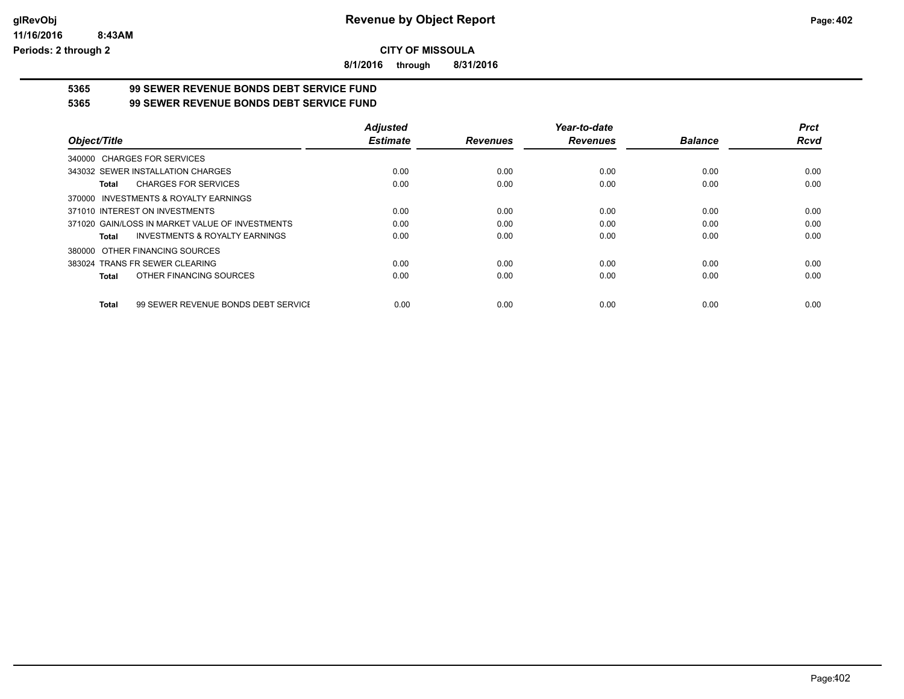**8:43AM**

**CITY OF MISSOULA**

**8/1/2016 through 8/31/2016**

# **5365 99 SEWER REVENUE BONDS DEBT SERVICE FUND**

# **5365 99 SEWER REVENUE BONDS DEBT SERVICE FUND**

|                                                     | <b>Adjusted</b> |                 | Year-to-date    |                | <b>Prct</b> |
|-----------------------------------------------------|-----------------|-----------------|-----------------|----------------|-------------|
| Object/Title                                        | <b>Estimate</b> | <b>Revenues</b> | <b>Revenues</b> | <b>Balance</b> | <b>Rcvd</b> |
| 340000 CHARGES FOR SERVICES                         |                 |                 |                 |                |             |
| 343032 SEWER INSTALLATION CHARGES                   | 0.00            | 0.00            | 0.00            | 0.00           | 0.00        |
| <b>CHARGES FOR SERVICES</b><br>Total                | 0.00            | 0.00            | 0.00            | 0.00           | 0.00        |
| 370000 INVESTMENTS & ROYALTY EARNINGS               |                 |                 |                 |                |             |
| 371010 INTEREST ON INVESTMENTS                      | 0.00            | 0.00            | 0.00            | 0.00           | 0.00        |
| 371020 GAIN/LOSS IN MARKET VALUE OF INVESTMENTS     | 0.00            | 0.00            | 0.00            | 0.00           | 0.00        |
| <b>INVESTMENTS &amp; ROYALTY EARNINGS</b><br>Total  | 0.00            | 0.00            | 0.00            | 0.00           | 0.00        |
| 380000 OTHER FINANCING SOURCES                      |                 |                 |                 |                |             |
| 383024 TRANS FR SEWER CLEARING                      | 0.00            | 0.00            | 0.00            | 0.00           | 0.00        |
| OTHER FINANCING SOURCES<br>Total                    | 0.00            | 0.00            | 0.00            | 0.00           | 0.00        |
| 99 SEWER REVENUE BONDS DEBT SERVICE<br><b>Total</b> | 0.00            | 0.00            | 0.00            | 0.00           | 0.00        |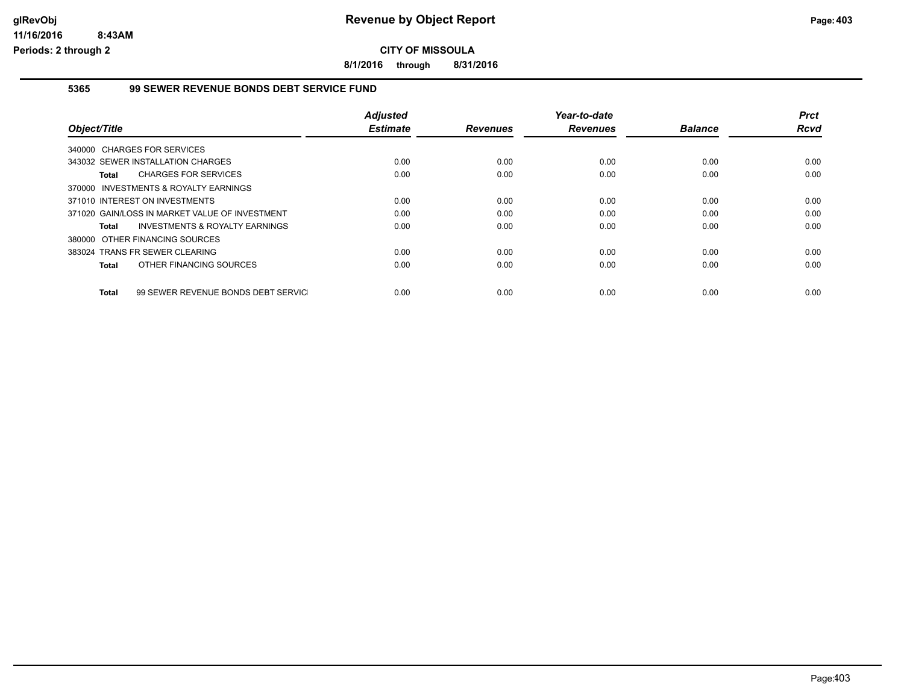**8/1/2016 through 8/31/2016**

### **5365 99 SEWER REVENUE BONDS DEBT SERVICE FUND**

| Object/Title                                       | <b>Adjusted</b><br><b>Estimate</b> | <b>Revenues</b> | Year-to-date<br><b>Revenues</b> | <b>Balance</b> | <b>Prct</b><br>Rcvd |
|----------------------------------------------------|------------------------------------|-----------------|---------------------------------|----------------|---------------------|
| 340000 CHARGES FOR SERVICES                        |                                    |                 |                                 |                |                     |
| 343032 SEWER INSTALLATION CHARGES                  | 0.00                               | 0.00            | 0.00                            | 0.00           | 0.00                |
| <b>CHARGES FOR SERVICES</b><br>Total               | 0.00                               | 0.00            | 0.00                            | 0.00           | 0.00                |
| 370000 INVESTMENTS & ROYALTY EARNINGS              |                                    |                 |                                 |                |                     |
| 371010 INTEREST ON INVESTMENTS                     | 0.00                               | 0.00            | 0.00                            | 0.00           | 0.00                |
| 371020 GAIN/LOSS IN MARKET VALUE OF INVESTMENT     | 0.00                               | 0.00            | 0.00                            | 0.00           | 0.00                |
| <b>INVESTMENTS &amp; ROYALTY EARNINGS</b><br>Total | 0.00                               | 0.00            | 0.00                            | 0.00           | 0.00                |
| 380000 OTHER FINANCING SOURCES                     |                                    |                 |                                 |                |                     |
| 383024 TRANS FR SEWER CLEARING                     | 0.00                               | 0.00            | 0.00                            | 0.00           | 0.00                |
| OTHER FINANCING SOURCES<br>Total                   | 0.00                               | 0.00            | 0.00                            | 0.00           | 0.00                |
| 99 SEWER REVENUE BONDS DEBT SERVIC<br><b>Total</b> | 0.00                               | 0.00            | 0.00                            | 0.00           | 0.00                |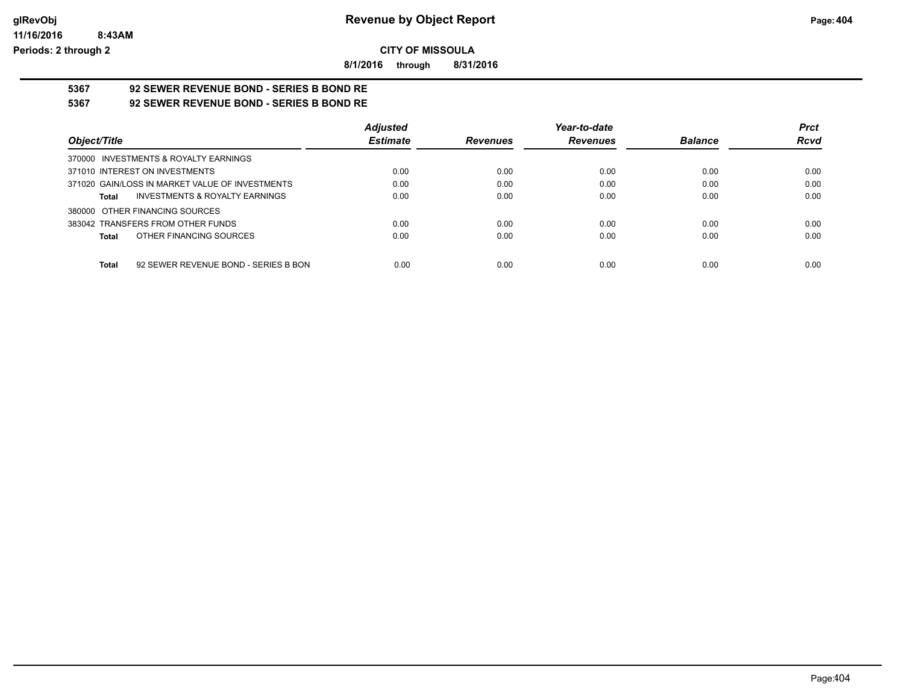**11/16/2016 8:43AM Periods: 2 through 2**

## **CITY OF MISSOULA**

**8/1/2016 through 8/31/2016**

# **5367 92 SEWER REVENUE BOND - SERIES B BOND RE**

**5367 92 SEWER REVENUE BOND - SERIES B BOND RE**

|                                                    | <b>Adjusted</b> |                 | Year-to-date    |                | <b>Prct</b> |
|----------------------------------------------------|-----------------|-----------------|-----------------|----------------|-------------|
| Object/Title                                       | <b>Estimate</b> | <b>Revenues</b> | <b>Revenues</b> | <b>Balance</b> | <b>Rcvd</b> |
| 370000 INVESTMENTS & ROYALTY EARNINGS              |                 |                 |                 |                |             |
| 371010 INTEREST ON INVESTMENTS                     | 0.00            | 0.00            | 0.00            | 0.00           | 0.00        |
| 371020 GAIN/LOSS IN MARKET VALUE OF INVESTMENTS    | 0.00            | 0.00            | 0.00            | 0.00           | 0.00        |
| <b>INVESTMENTS &amp; ROYALTY EARNINGS</b><br>Total | 0.00            | 0.00            | 0.00            | 0.00           | 0.00        |
| 380000 OTHER FINANCING SOURCES                     |                 |                 |                 |                |             |
| 383042 TRANSFERS FROM OTHER FUNDS                  | 0.00            | 0.00            | 0.00            | 0.00           | 0.00        |
| OTHER FINANCING SOURCES<br>Total                   | 0.00            | 0.00            | 0.00            | 0.00           | 0.00        |
|                                                    |                 |                 |                 |                |             |
| 92 SEWER REVENUE BOND - SERIES B BON<br>Total      | 0.00            | 0.00            | 0.00            | 0.00           | 0.00        |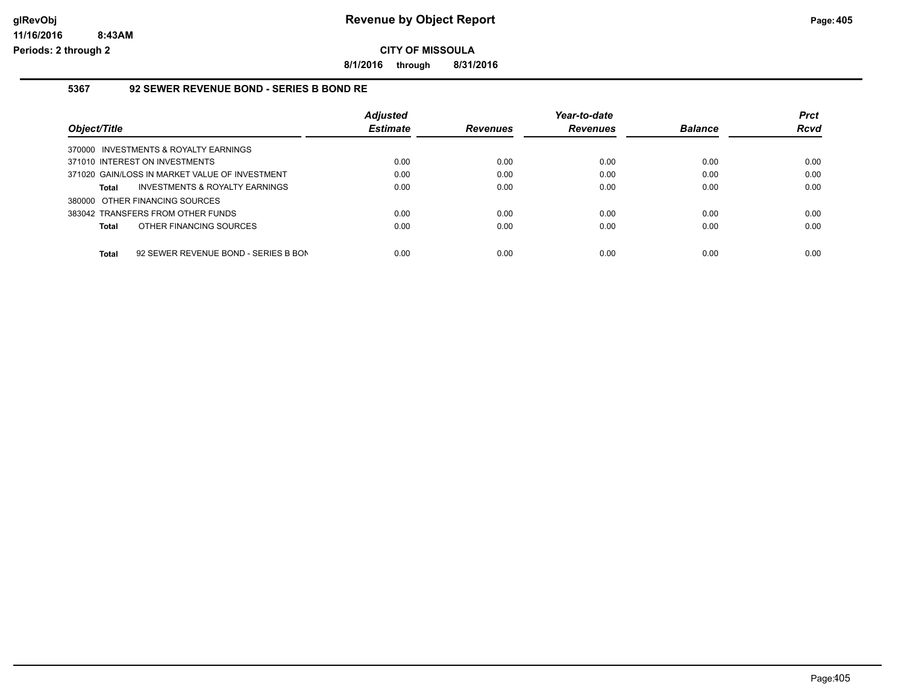**CITY OF MISSOULA**

**8/1/2016 through 8/31/2016**

#### **5367 92 SEWER REVENUE BOND - SERIES B BOND RE**

| Object/Title                                         | <b>Adjusted</b><br><b>Estimate</b> | <b>Revenues</b> | Year-to-date<br><b>Revenues</b> | <b>Balance</b> | <b>Prct</b><br><b>Rcvd</b> |
|------------------------------------------------------|------------------------------------|-----------------|---------------------------------|----------------|----------------------------|
|                                                      |                                    |                 |                                 |                |                            |
| 370000 INVESTMENTS & ROYALTY EARNINGS                |                                    |                 |                                 |                |                            |
| 371010 INTEREST ON INVESTMENTS                       | 0.00                               | 0.00            | 0.00                            | 0.00           | 0.00                       |
| 371020 GAIN/LOSS IN MARKET VALUE OF INVESTMENT       | 0.00                               | 0.00            | 0.00                            | 0.00           | 0.00                       |
| INVESTMENTS & ROYALTY EARNINGS<br>Total              | 0.00                               | 0.00            | 0.00                            | 0.00           | 0.00                       |
| 380000 OTHER FINANCING SOURCES                       |                                    |                 |                                 |                |                            |
| 383042 TRANSFERS FROM OTHER FUNDS                    | 0.00                               | 0.00            | 0.00                            | 0.00           | 0.00                       |
| OTHER FINANCING SOURCES<br>Total                     | 0.00                               | 0.00            | 0.00                            | 0.00           | 0.00                       |
|                                                      |                                    |                 |                                 |                |                            |
| <b>Total</b><br>92 SEWER REVENUE BOND - SERIES B BON | 0.00                               | 0.00            | 0.00                            | 0.00           | 0.00                       |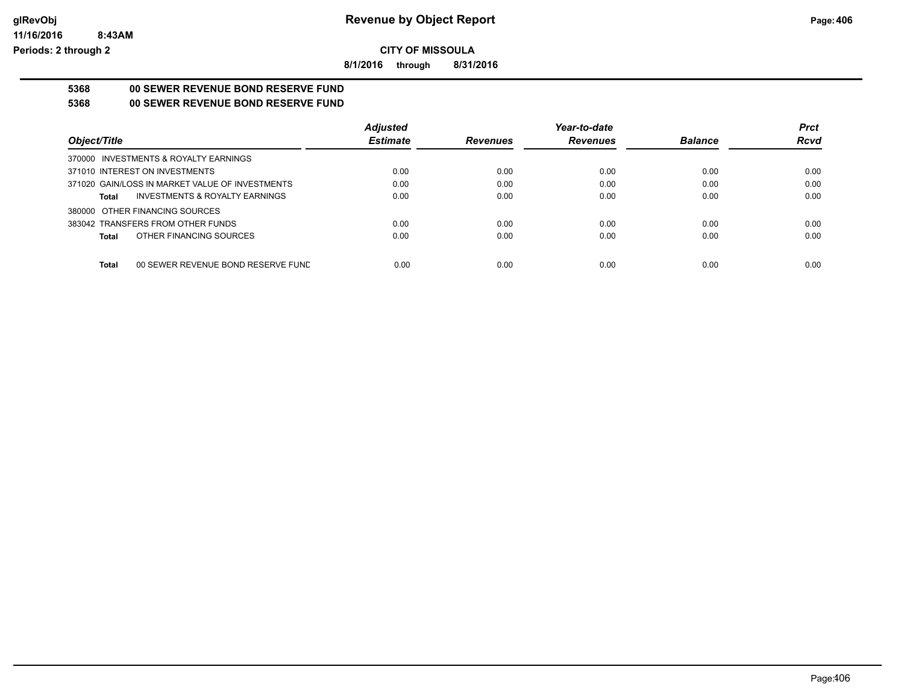**8/1/2016 through 8/31/2016**

# **5368 00 SEWER REVENUE BOND RESERVE FUND**

# **5368 00 SEWER REVENUE BOND RESERVE FUND**

|                                                    | <b>Adjusted</b> |          | Year-to-date    |                | <b>Prct</b> |
|----------------------------------------------------|-----------------|----------|-----------------|----------------|-------------|
| Object/Title                                       | <b>Estimate</b> | Revenues | <b>Revenues</b> | <b>Balance</b> | <b>Rcvd</b> |
| 370000 INVESTMENTS & ROYALTY EARNINGS              |                 |          |                 |                |             |
| 371010 INTEREST ON INVESTMENTS                     | 0.00            | 0.00     | 0.00            | 0.00           | 0.00        |
| 371020 GAIN/LOSS IN MARKET VALUE OF INVESTMENTS    | 0.00            | 0.00     | 0.00            | 0.00           | 0.00        |
| <b>INVESTMENTS &amp; ROYALTY EARNINGS</b><br>Total | 0.00            | 0.00     | 0.00            | 0.00           | 0.00        |
| 380000 OTHER FINANCING SOURCES                     |                 |          |                 |                |             |
| 383042 TRANSFERS FROM OTHER FUNDS                  | 0.00            | 0.00     | 0.00            | 0.00           | 0.00        |
| OTHER FINANCING SOURCES<br>Total                   | 0.00            | 0.00     | 0.00            | 0.00           | 0.00        |
|                                                    |                 |          |                 |                |             |
| 00 SEWER REVENUE BOND RESERVE FUND<br><b>Total</b> | 0.00            | 0.00     | 0.00            | 0.00           | 0.00        |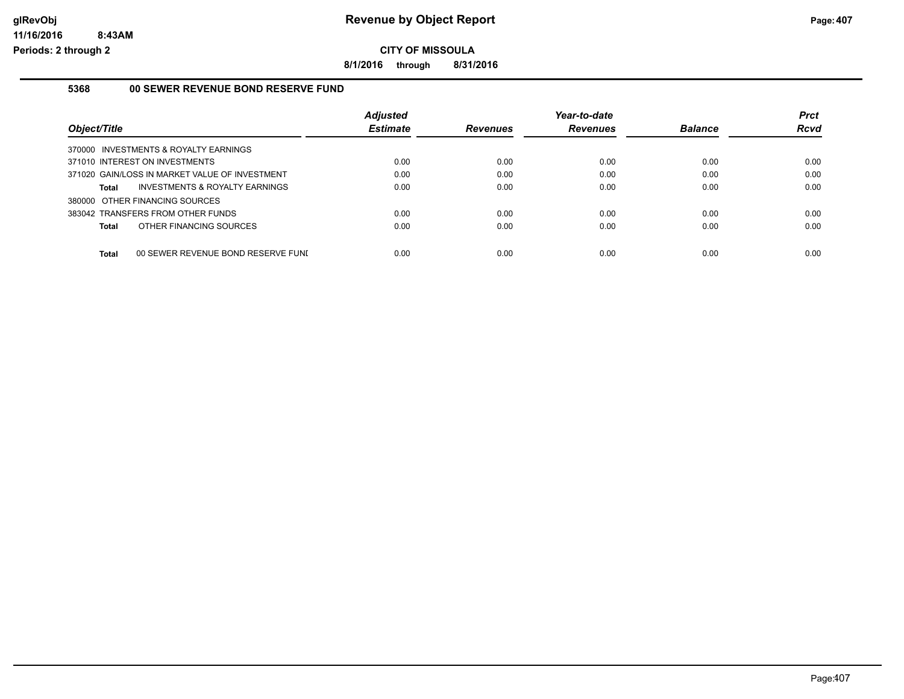#### **CITY OF MISSOULA**

**8/1/2016 through 8/31/2016**

#### **5368 00 SEWER REVENUE BOND RESERVE FUND**

|                                                    | <b>Adjusted</b> |                 | Year-to-date    |                | <b>Prct</b> |
|----------------------------------------------------|-----------------|-----------------|-----------------|----------------|-------------|
| Object/Title                                       | <b>Estimate</b> | <b>Revenues</b> | <b>Revenues</b> | <b>Balance</b> | <b>Rcvd</b> |
| 370000 INVESTMENTS & ROYALTY EARNINGS              |                 |                 |                 |                |             |
| 371010 INTEREST ON INVESTMENTS                     | 0.00            | 0.00            | 0.00            | 0.00           | 0.00        |
| 371020 GAIN/LOSS IN MARKET VALUE OF INVESTMENT     | 0.00            | 0.00            | 0.00            | 0.00           | 0.00        |
| INVESTMENTS & ROYALTY EARNINGS<br><b>Total</b>     | 0.00            | 0.00            | 0.00            | 0.00           | 0.00        |
| 380000 OTHER FINANCING SOURCES                     |                 |                 |                 |                |             |
| 383042 TRANSFERS FROM OTHER FUNDS                  | 0.00            | 0.00            | 0.00            | 0.00           | 0.00        |
| OTHER FINANCING SOURCES<br>Total                   | 0.00            | 0.00            | 0.00            | 0.00           | 0.00        |
|                                                    |                 |                 |                 |                |             |
| <b>Total</b><br>00 SEWER REVENUE BOND RESERVE FUNI | 0.00            | 0.00            | 0.00            | 0.00           | 0.00        |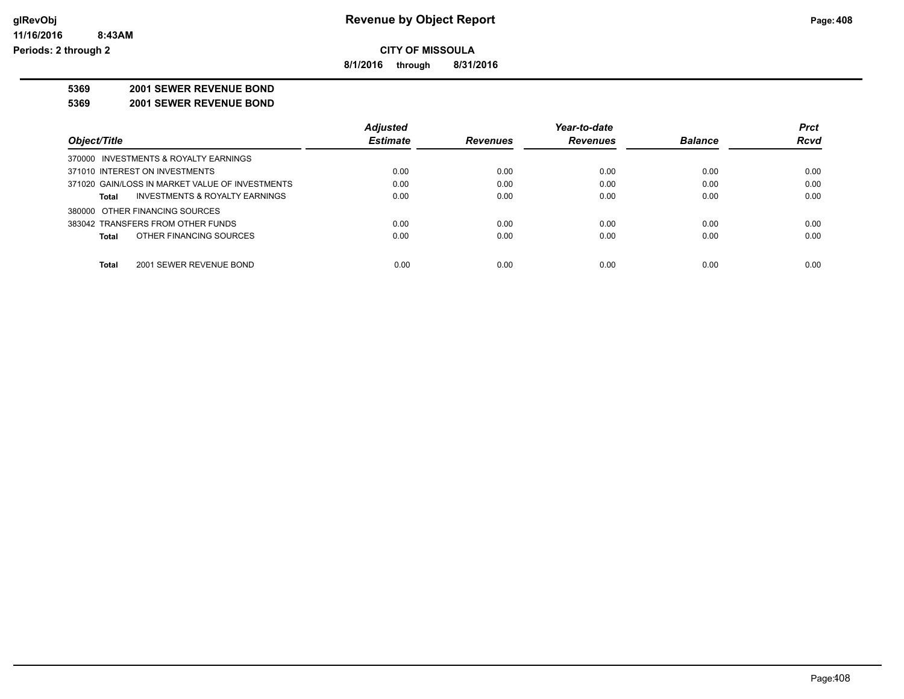**8/1/2016 through 8/31/2016**

#### **5369 2001 SEWER REVENUE BOND**

**5369 2001 SEWER REVENUE BOND**

|                                                    | <b>Adjusted</b> |                 | Year-to-date    |                | <b>Prct</b> |
|----------------------------------------------------|-----------------|-----------------|-----------------|----------------|-------------|
| Object/Title                                       | <b>Estimate</b> | <b>Revenues</b> | <b>Revenues</b> | <b>Balance</b> | <b>Rcvd</b> |
| 370000 INVESTMENTS & ROYALTY EARNINGS              |                 |                 |                 |                |             |
| 371010 INTEREST ON INVESTMENTS                     | 0.00            | 0.00            | 0.00            | 0.00           | 0.00        |
| 371020 GAIN/LOSS IN MARKET VALUE OF INVESTMENTS    | 0.00            | 0.00            | 0.00            | 0.00           | 0.00        |
| <b>INVESTMENTS &amp; ROYALTY EARNINGS</b><br>Total | 0.00            | 0.00            | 0.00            | 0.00           | 0.00        |
| 380000 OTHER FINANCING SOURCES                     |                 |                 |                 |                |             |
| 383042 TRANSFERS FROM OTHER FUNDS                  | 0.00            | 0.00            | 0.00            | 0.00           | 0.00        |
| OTHER FINANCING SOURCES<br>Total                   | 0.00            | 0.00            | 0.00            | 0.00           | 0.00        |
|                                                    |                 |                 |                 |                |             |
| Total<br>2001 SEWER REVENUE BOND                   | 0.00            | 0.00            | 0.00            | 0.00           | 0.00        |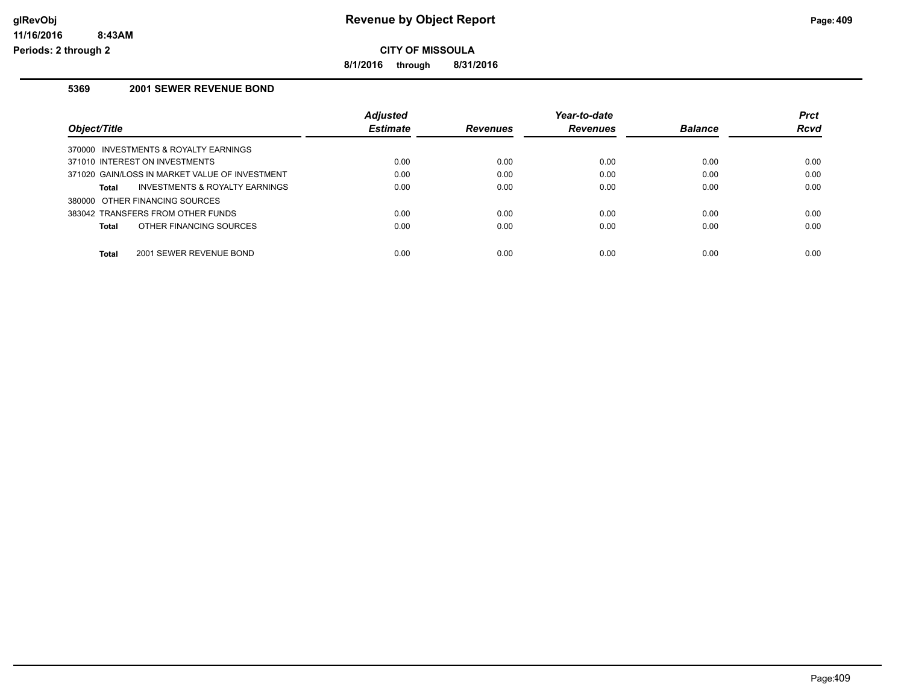**CITY OF MISSOULA**

**8/1/2016 through 8/31/2016**

## **5369 2001 SEWER REVENUE BOND**

 **8:43AM**

|                                                | <b>Adjusted</b> |                 | Year-to-date    |                | <b>Prct</b> |
|------------------------------------------------|-----------------|-----------------|-----------------|----------------|-------------|
| Object/Title                                   | <b>Estimate</b> | <b>Revenues</b> | <b>Revenues</b> | <b>Balance</b> | <b>Rcvd</b> |
| INVESTMENTS & ROYALTY EARNINGS<br>370000       |                 |                 |                 |                |             |
| 371010 INTEREST ON INVESTMENTS                 | 0.00            | 0.00            | 0.00            | 0.00           | 0.00        |
| 371020 GAIN/LOSS IN MARKET VALUE OF INVESTMENT | 0.00            | 0.00            | 0.00            | 0.00           | 0.00        |
| INVESTMENTS & ROYALTY EARNINGS<br>Total        | 0.00            | 0.00            | 0.00            | 0.00           | 0.00        |
| 380000 OTHER FINANCING SOURCES                 |                 |                 |                 |                |             |
| 383042 TRANSFERS FROM OTHER FUNDS              | 0.00            | 0.00            | 0.00            | 0.00           | 0.00        |
| OTHER FINANCING SOURCES<br>Total               | 0.00            | 0.00            | 0.00            | 0.00           | 0.00        |
| Total<br>2001 SEWER REVENUE BOND               | 0.00            | 0.00            | 0.00            | 0.00           | 0.00        |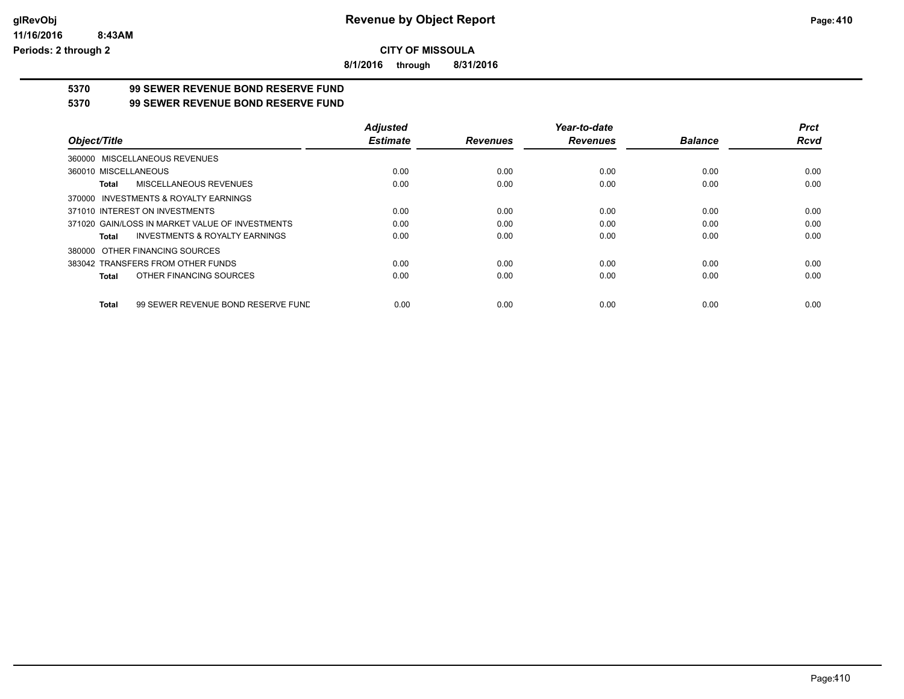**8:43AM**

**glRevObj Revenue by Object Report Page:410** 

**CITY OF MISSOULA**

**8/1/2016 through 8/31/2016**

# **5370 99 SEWER REVENUE BOND RESERVE FUND**

## **5370 99 SEWER REVENUE BOND RESERVE FUND**

|                                                    | <b>Adjusted</b> |                 | Year-to-date    |                | <b>Prct</b> |
|----------------------------------------------------|-----------------|-----------------|-----------------|----------------|-------------|
| Object/Title                                       | <b>Estimate</b> | <b>Revenues</b> | <b>Revenues</b> | <b>Balance</b> | <b>Rcvd</b> |
| 360000 MISCELLANEOUS REVENUES                      |                 |                 |                 |                |             |
| 360010 MISCELLANEOUS                               | 0.00            | 0.00            | 0.00            | 0.00           | 0.00        |
| <b>MISCELLANEOUS REVENUES</b><br>Total             | 0.00            | 0.00            | 0.00            | 0.00           | 0.00        |
| 370000 INVESTMENTS & ROYALTY EARNINGS              |                 |                 |                 |                |             |
| 371010 INTEREST ON INVESTMENTS                     | 0.00            | 0.00            | 0.00            | 0.00           | 0.00        |
| 371020 GAIN/LOSS IN MARKET VALUE OF INVESTMENTS    | 0.00            | 0.00            | 0.00            | 0.00           | 0.00        |
| <b>INVESTMENTS &amp; ROYALTY EARNINGS</b><br>Total | 0.00            | 0.00            | 0.00            | 0.00           | 0.00        |
| 380000 OTHER FINANCING SOURCES                     |                 |                 |                 |                |             |
| 383042 TRANSFERS FROM OTHER FUNDS                  | 0.00            | 0.00            | 0.00            | 0.00           | 0.00        |
| OTHER FINANCING SOURCES<br>Total                   | 0.00            | 0.00            | 0.00            | 0.00           | 0.00        |
| 99 SEWER REVENUE BOND RESERVE FUND<br><b>Total</b> | 0.00            | 0.00            | 0.00            | 0.00           | 0.00        |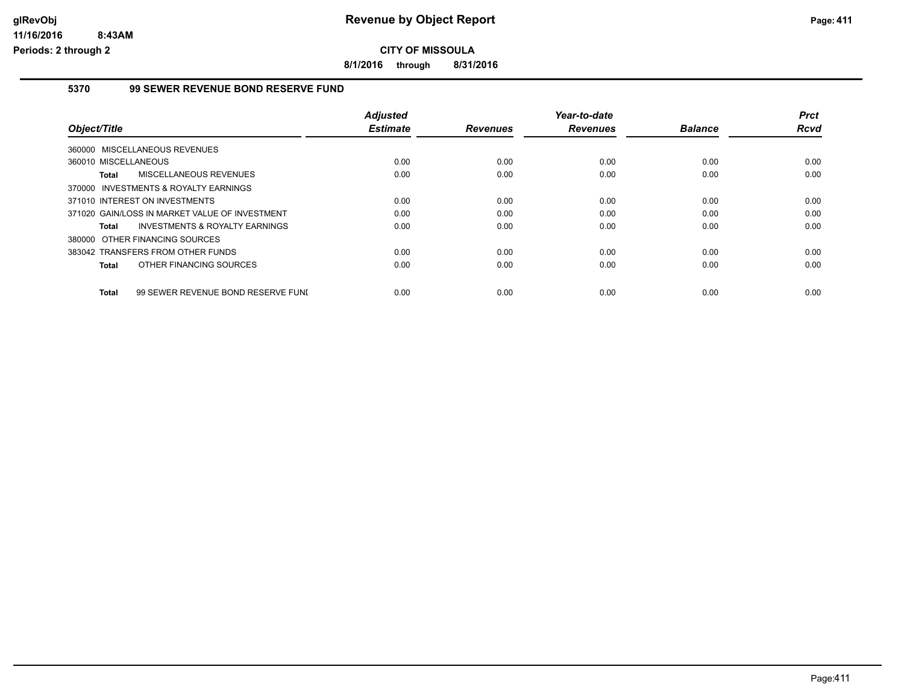**CITY OF MISSOULA**

**8/1/2016 through 8/31/2016**

### **5370 99 SEWER REVENUE BOND RESERVE FUND**

|                                                    | <b>Adjusted</b> |                 | Year-to-date    |                | <b>Prct</b> |
|----------------------------------------------------|-----------------|-----------------|-----------------|----------------|-------------|
| Object/Title                                       | <b>Estimate</b> | <b>Revenues</b> | <b>Revenues</b> | <b>Balance</b> | <b>Rcvd</b> |
| 360000 MISCELLANEOUS REVENUES                      |                 |                 |                 |                |             |
| 360010 MISCELLANEOUS                               | 0.00            | 0.00            | 0.00            | 0.00           | 0.00        |
| MISCELLANEOUS REVENUES<br>Total                    | 0.00            | 0.00            | 0.00            | 0.00           | 0.00        |
| 370000 INVESTMENTS & ROYALTY EARNINGS              |                 |                 |                 |                |             |
| 371010 INTEREST ON INVESTMENTS                     | 0.00            | 0.00            | 0.00            | 0.00           | 0.00        |
| 371020 GAIN/LOSS IN MARKET VALUE OF INVESTMENT     | 0.00            | 0.00            | 0.00            | 0.00           | 0.00        |
| <b>INVESTMENTS &amp; ROYALTY EARNINGS</b><br>Total | 0.00            | 0.00            | 0.00            | 0.00           | 0.00        |
| 380000 OTHER FINANCING SOURCES                     |                 |                 |                 |                |             |
| 383042 TRANSFERS FROM OTHER FUNDS                  | 0.00            | 0.00            | 0.00            | 0.00           | 0.00        |
| OTHER FINANCING SOURCES<br>Total                   | 0.00            | 0.00            | 0.00            | 0.00           | 0.00        |
| 99 SEWER REVENUE BOND RESERVE FUNI<br><b>Total</b> | 0.00            | 0.00            | 0.00            | 0.00           | 0.00        |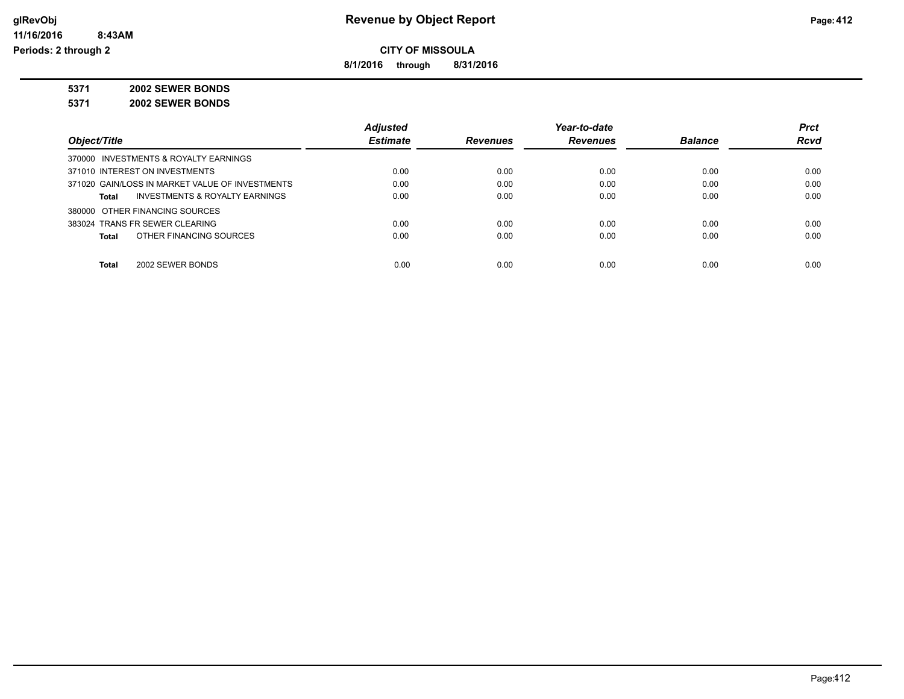**8/1/2016 through 8/31/2016**

**5371 2002 SEWER BONDS**

**5371 2002 SEWER BONDS**

|                                                 | <b>Adjusted</b> |                 | Year-to-date    |                | <b>Prct</b> |
|-------------------------------------------------|-----------------|-----------------|-----------------|----------------|-------------|
| Object/Title                                    | <b>Estimate</b> | <b>Revenues</b> | <b>Revenues</b> | <b>Balance</b> | <b>Rcvd</b> |
| 370000 INVESTMENTS & ROYALTY EARNINGS           |                 |                 |                 |                |             |
| 371010 INTEREST ON INVESTMENTS                  | 0.00            | 0.00            | 0.00            | 0.00           | 0.00        |
| 371020 GAIN/LOSS IN MARKET VALUE OF INVESTMENTS | 0.00            | 0.00            | 0.00            | 0.00           | 0.00        |
| INVESTMENTS & ROYALTY EARNINGS<br>Total         | 0.00            | 0.00            | 0.00            | 0.00           | 0.00        |
| 380000 OTHER FINANCING SOURCES                  |                 |                 |                 |                |             |
| 383024 TRANS FR SEWER CLEARING                  | 0.00            | 0.00            | 0.00            | 0.00           | 0.00        |
| OTHER FINANCING SOURCES<br>Total                | 0.00            | 0.00            | 0.00            | 0.00           | 0.00        |
|                                                 |                 |                 |                 |                |             |
| <b>Total</b><br>2002 SEWER BONDS                | 0.00            | 0.00            | 0.00            | 0.00           | 0.00        |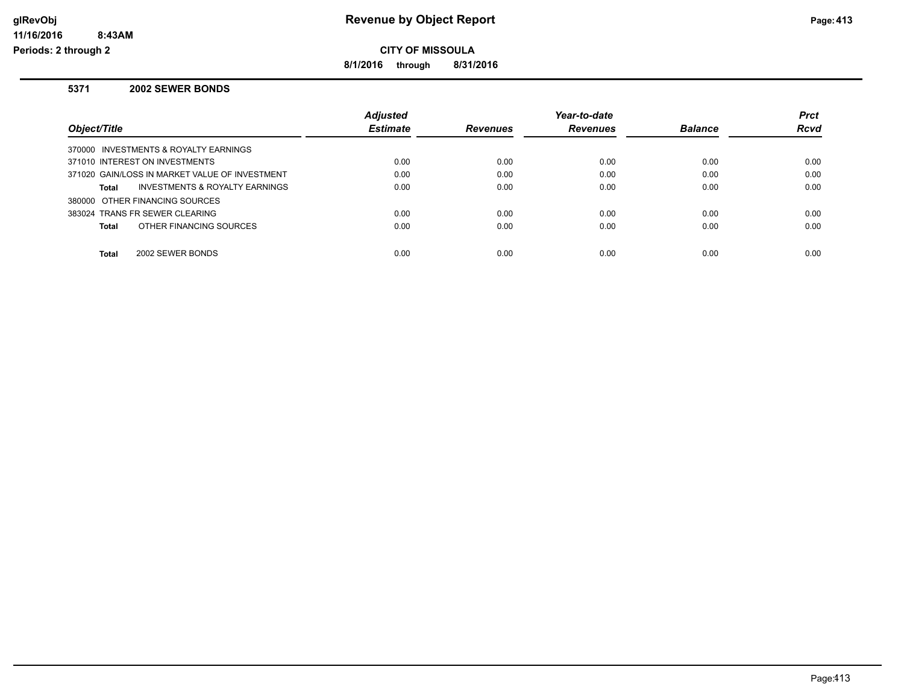**CITY OF MISSOULA**

**8/1/2016 through 8/31/2016**

#### **5371 2002 SEWER BONDS**

| <b>Adjusted</b> |                                                                                          | Year-to-date    |                | <b>Prct</b> |
|-----------------|------------------------------------------------------------------------------------------|-----------------|----------------|-------------|
| <b>Estimate</b> | <b>Revenues</b>                                                                          | <b>Revenues</b> | <b>Balance</b> | <b>Rcvd</b> |
|                 |                                                                                          |                 |                |             |
| 0.00            | 0.00                                                                                     | 0.00            | 0.00           | 0.00        |
| 0.00            | 0.00                                                                                     | 0.00            | 0.00           | 0.00        |
| 0.00            | 0.00                                                                                     | 0.00            | 0.00           | 0.00        |
|                 |                                                                                          |                 |                |             |
| 0.00            | 0.00                                                                                     | 0.00            | 0.00           | 0.00        |
| 0.00            | 0.00                                                                                     | 0.00            | 0.00           | 0.00        |
|                 |                                                                                          |                 |                | 0.00        |
|                 | 371020 GAIN/LOSS IN MARKET VALUE OF INVESTMENT<br>INVESTMENTS & ROYALTY EARNINGS<br>0.00 | 0.00            | 0.00           | 0.00        |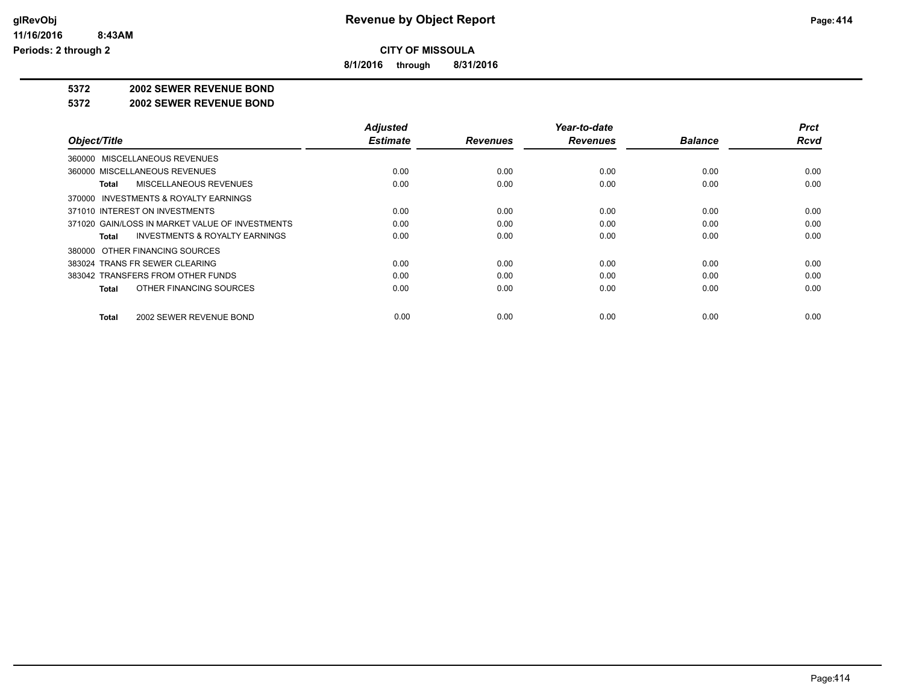**8/1/2016 through 8/31/2016**

#### **5372 2002 SEWER REVENUE BOND**

#### **5372 2002 SEWER REVENUE BOND**

|                                                 | <b>Adjusted</b> |                 | Year-to-date    |                | <b>Prct</b> |
|-------------------------------------------------|-----------------|-----------------|-----------------|----------------|-------------|
| Object/Title                                    | <b>Estimate</b> | <b>Revenues</b> | <b>Revenues</b> | <b>Balance</b> | <b>Rcvd</b> |
| 360000 MISCELLANEOUS REVENUES                   |                 |                 |                 |                |             |
| 360000 MISCELLANEOUS REVENUES                   | 0.00            | 0.00            | 0.00            | 0.00           | 0.00        |
| MISCELLANEOUS REVENUES<br>Total                 | 0.00            | 0.00            | 0.00            | 0.00           | 0.00        |
| 370000 INVESTMENTS & ROYALTY EARNINGS           |                 |                 |                 |                |             |
| 371010 INTEREST ON INVESTMENTS                  | 0.00            | 0.00            | 0.00            | 0.00           | 0.00        |
| 371020 GAIN/LOSS IN MARKET VALUE OF INVESTMENTS | 0.00            | 0.00            | 0.00            | 0.00           | 0.00        |
| INVESTMENTS & ROYALTY EARNINGS<br>Total         | 0.00            | 0.00            | 0.00            | 0.00           | 0.00        |
| 380000 OTHER FINANCING SOURCES                  |                 |                 |                 |                |             |
| 383024 TRANS FR SEWER CLEARING                  | 0.00            | 0.00            | 0.00            | 0.00           | 0.00        |
| 383042 TRANSFERS FROM OTHER FUNDS               | 0.00            | 0.00            | 0.00            | 0.00           | 0.00        |
| OTHER FINANCING SOURCES<br>Total                | 0.00            | 0.00            | 0.00            | 0.00           | 0.00        |
| 2002 SEWER REVENUE BOND<br>Total                | 0.00            | 0.00            | 0.00            | 0.00           | 0.00        |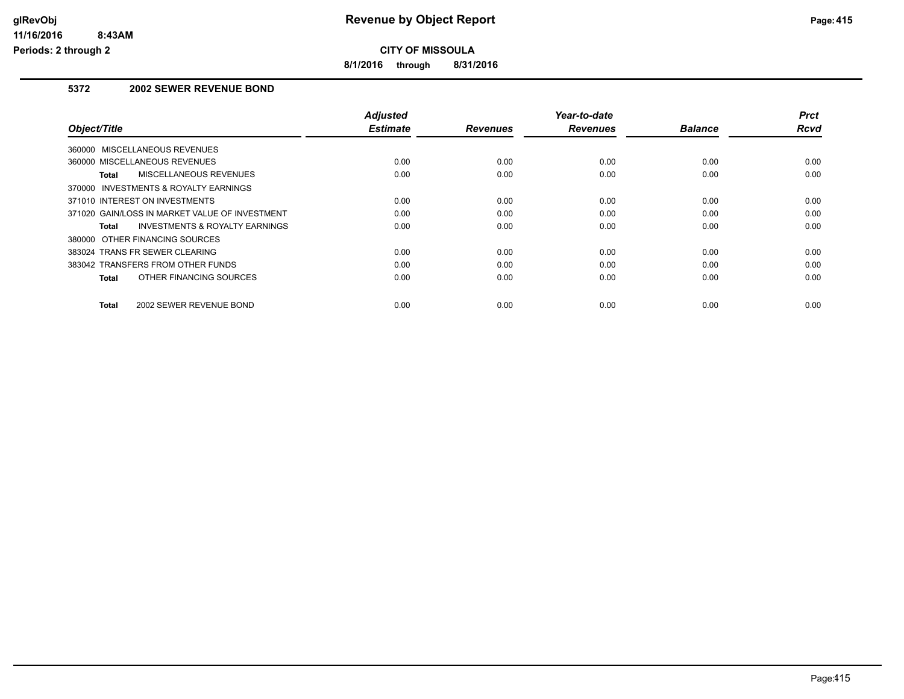**8/1/2016 through 8/31/2016**

### **5372 2002 SEWER REVENUE BOND**

| Object/Title                                       | <b>Adjusted</b><br><b>Estimate</b> | <b>Revenues</b> | Year-to-date<br><b>Revenues</b> | <b>Balance</b> | <b>Prct</b><br><b>Rcvd</b> |
|----------------------------------------------------|------------------------------------|-----------------|---------------------------------|----------------|----------------------------|
| 360000 MISCELLANEOUS REVENUES                      |                                    |                 |                                 |                |                            |
| 360000 MISCELLANEOUS REVENUES                      | 0.00                               | 0.00            | 0.00                            | 0.00           | 0.00                       |
| MISCELLANEOUS REVENUES<br><b>Total</b>             | 0.00                               | 0.00            | 0.00                            | 0.00           | 0.00                       |
| 370000 INVESTMENTS & ROYALTY EARNINGS              |                                    |                 |                                 |                |                            |
| 371010 INTEREST ON INVESTMENTS                     | 0.00                               | 0.00            | 0.00                            | 0.00           | 0.00                       |
| 371020 GAIN/LOSS IN MARKET VALUE OF INVESTMENT     | 0.00                               | 0.00            | 0.00                            | 0.00           | 0.00                       |
| <b>INVESTMENTS &amp; ROYALTY EARNINGS</b><br>Total | 0.00                               | 0.00            | 0.00                            | 0.00           | 0.00                       |
| 380000 OTHER FINANCING SOURCES                     |                                    |                 |                                 |                |                            |
| 383024 TRANS FR SEWER CLEARING                     | 0.00                               | 0.00            | 0.00                            | 0.00           | 0.00                       |
| 383042 TRANSFERS FROM OTHER FUNDS                  | 0.00                               | 0.00            | 0.00                            | 0.00           | 0.00                       |
| OTHER FINANCING SOURCES<br><b>Total</b>            | 0.00                               | 0.00            | 0.00                            | 0.00           | 0.00                       |
| 2002 SEWER REVENUE BOND<br><b>Total</b>            | 0.00                               | 0.00            | 0.00                            | 0.00           | 0.00                       |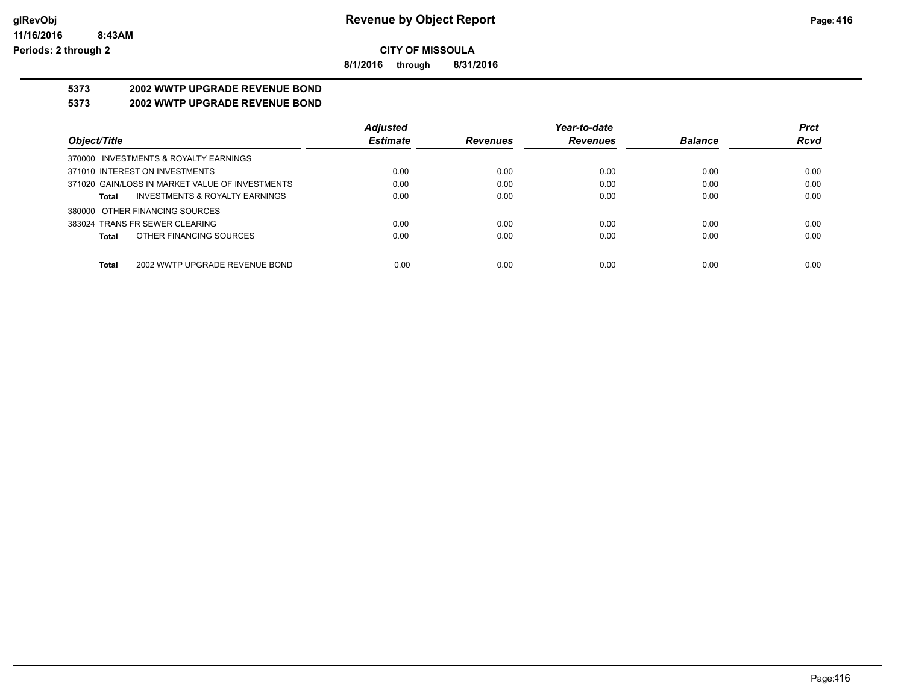**8/1/2016 through 8/31/2016**

# **5373 2002 WWTP UPGRADE REVENUE BOND**

## **5373 2002 WWTP UPGRADE REVENUE BOND**

|                                                 | <b>Adjusted</b> |                 | Year-to-date    |                | <b>Prct</b> |
|-------------------------------------------------|-----------------|-----------------|-----------------|----------------|-------------|
| Object/Title                                    | <b>Estimate</b> | <b>Revenues</b> | <b>Revenues</b> | <b>Balance</b> | <b>Rcvd</b> |
| 370000 INVESTMENTS & ROYALTY EARNINGS           |                 |                 |                 |                |             |
| 371010 INTEREST ON INVESTMENTS                  | 0.00            | 0.00            | 0.00            | 0.00           | 0.00        |
| 371020 GAIN/LOSS IN MARKET VALUE OF INVESTMENTS | 0.00            | 0.00            | 0.00            | 0.00           | 0.00        |
| INVESTMENTS & ROYALTY EARNINGS<br>Total         | 0.00            | 0.00            | 0.00            | 0.00           | 0.00        |
| 380000 OTHER FINANCING SOURCES                  |                 |                 |                 |                |             |
| 383024 TRANS FR SEWER CLEARING                  | 0.00            | 0.00            | 0.00            | 0.00           | 0.00        |
| OTHER FINANCING SOURCES<br>Total                | 0.00            | 0.00            | 0.00            | 0.00           | 0.00        |
|                                                 |                 |                 |                 |                |             |
| Total<br>2002 WWTP UPGRADE REVENUE BOND         | 0.00            | 0.00            | 0.00            | 0.00           | 0.00        |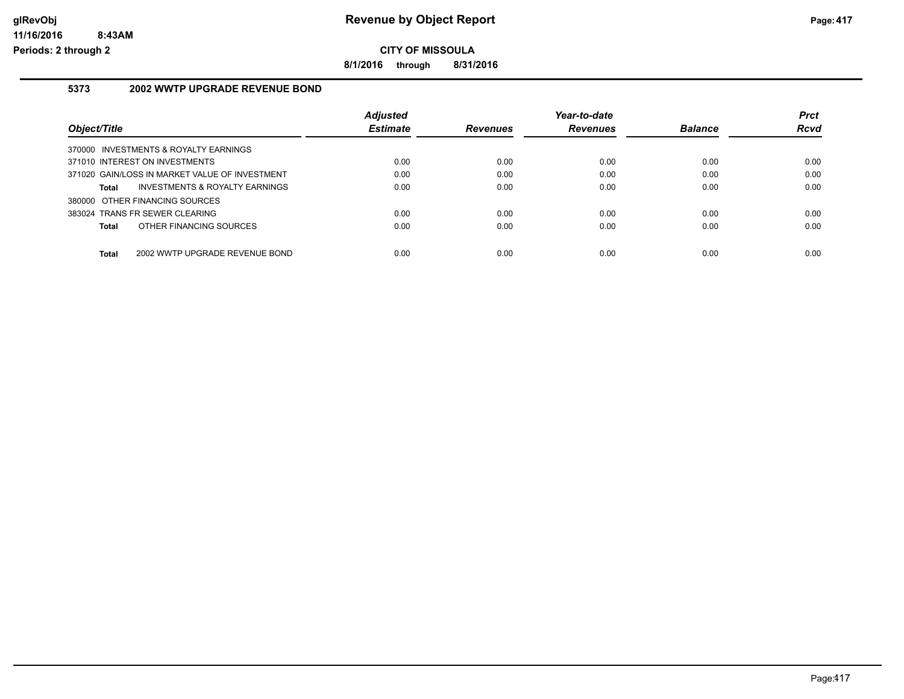**8/1/2016 through 8/31/2016**

### **5373 2002 WWTP UPGRADE REVENUE BOND**

|                                                | <b>Adjusted</b> |                 | Year-to-date    |                | <b>Prct</b> |
|------------------------------------------------|-----------------|-----------------|-----------------|----------------|-------------|
| Object/Title                                   | <b>Estimate</b> | <b>Revenues</b> | <b>Revenues</b> | <b>Balance</b> | <b>Rcvd</b> |
| 370000 INVESTMENTS & ROYALTY EARNINGS          |                 |                 |                 |                |             |
| 371010 INTEREST ON INVESTMENTS                 | 0.00            | 0.00            | 0.00            | 0.00           | 0.00        |
| 371020 GAIN/LOSS IN MARKET VALUE OF INVESTMENT | 0.00            | 0.00            | 0.00            | 0.00           | 0.00        |
| INVESTMENTS & ROYALTY EARNINGS<br>Total        | 0.00            | 0.00            | 0.00            | 0.00           | 0.00        |
| 380000 OTHER FINANCING SOURCES                 |                 |                 |                 |                |             |
| 383024 TRANS FR SEWER CLEARING                 | 0.00            | 0.00            | 0.00            | 0.00           | 0.00        |
| OTHER FINANCING SOURCES<br>Total               | 0.00            | 0.00            | 0.00            | 0.00           | 0.00        |
|                                                |                 |                 |                 |                |             |
| Total<br>2002 WWTP UPGRADE REVENUE BOND        | 0.00            | 0.00            | 0.00            | 0.00           | 0.00        |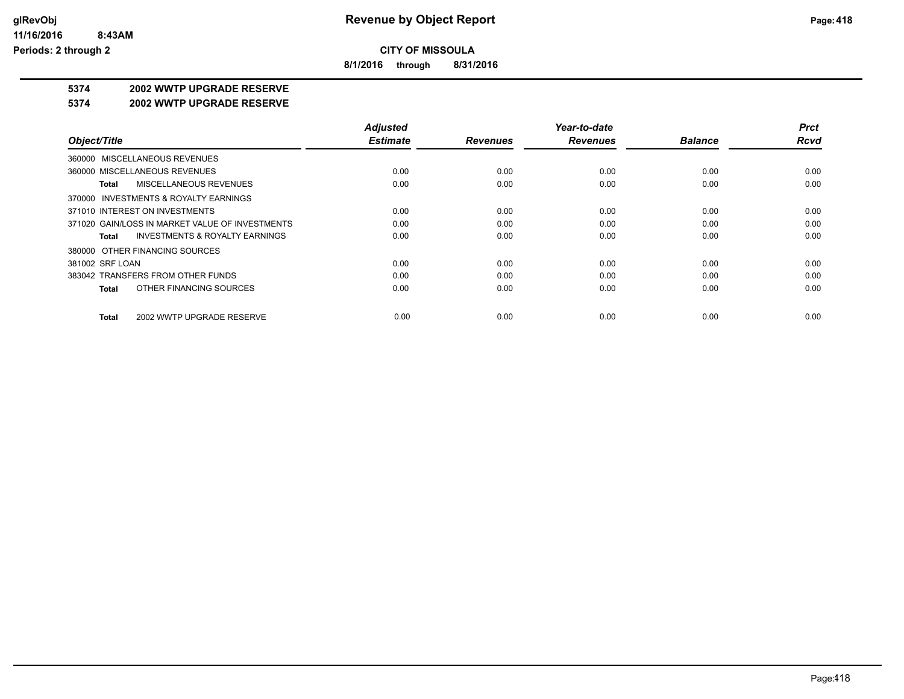**8/1/2016 through 8/31/2016**

**5374 2002 WWTP UPGRADE RESERVE**

#### **5374 2002 WWTP UPGRADE RESERVE**

|                                                    | <b>Adjusted</b> |                 | Year-to-date    |                | <b>Prct</b> |
|----------------------------------------------------|-----------------|-----------------|-----------------|----------------|-------------|
| Object/Title                                       | <b>Estimate</b> | <b>Revenues</b> | <b>Revenues</b> | <b>Balance</b> | <b>Rcvd</b> |
| 360000 MISCELLANEOUS REVENUES                      |                 |                 |                 |                |             |
| 360000 MISCELLANEOUS REVENUES                      | 0.00            | 0.00            | 0.00            | 0.00           | 0.00        |
| <b>MISCELLANEOUS REVENUES</b><br>Total             | 0.00            | 0.00            | 0.00            | 0.00           | 0.00        |
| 370000 INVESTMENTS & ROYALTY EARNINGS              |                 |                 |                 |                |             |
| 371010 INTEREST ON INVESTMENTS                     | 0.00            | 0.00            | 0.00            | 0.00           | 0.00        |
| 371020 GAIN/LOSS IN MARKET VALUE OF INVESTMENTS    | 0.00            | 0.00            | 0.00            | 0.00           | 0.00        |
| <b>INVESTMENTS &amp; ROYALTY EARNINGS</b><br>Total | 0.00            | 0.00            | 0.00            | 0.00           | 0.00        |
| 380000 OTHER FINANCING SOURCES                     |                 |                 |                 |                |             |
| 381002 SRF LOAN                                    | 0.00            | 0.00            | 0.00            | 0.00           | 0.00        |
| 383042 TRANSFERS FROM OTHER FUNDS                  | 0.00            | 0.00            | 0.00            | 0.00           | 0.00        |
| OTHER FINANCING SOURCES<br>Total                   | 0.00            | 0.00            | 0.00            | 0.00           | 0.00        |
| 2002 WWTP UPGRADE RESERVE<br>Total                 | 0.00            | 0.00            | 0.00            | 0.00           | 0.00        |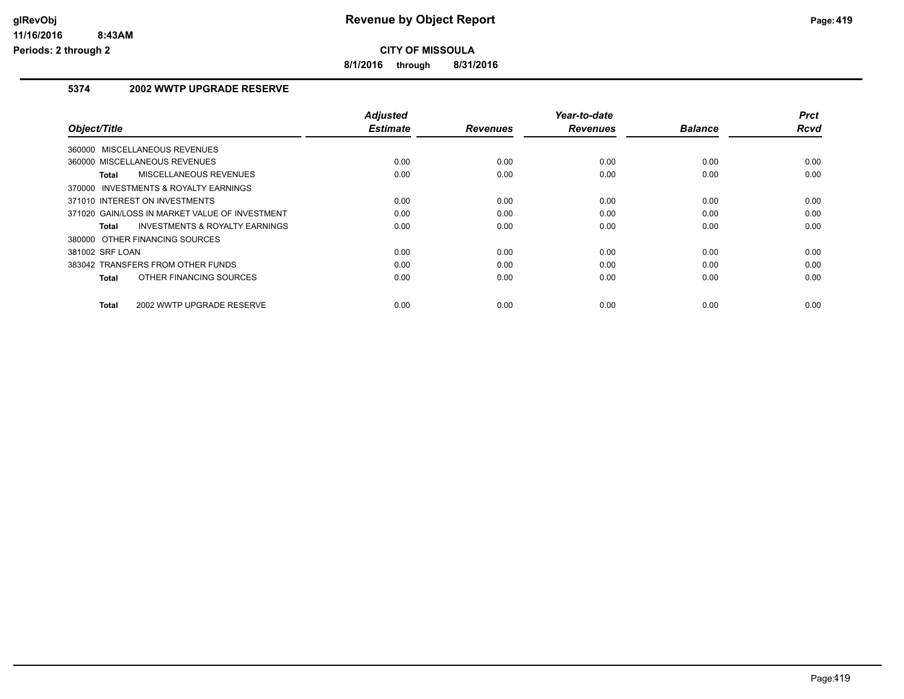**CITY OF MISSOULA**

**8/1/2016 through 8/31/2016**

### **5374 2002 WWTP UPGRADE RESERVE**

| Object/Title                                       | <b>Adjusted</b><br><b>Estimate</b> | <b>Revenues</b> | Year-to-date<br><b>Revenues</b> | <b>Balance</b> | <b>Prct</b><br><b>Rcvd</b> |
|----------------------------------------------------|------------------------------------|-----------------|---------------------------------|----------------|----------------------------|
|                                                    |                                    |                 |                                 |                |                            |
| 360000 MISCELLANEOUS REVENUES                      |                                    |                 |                                 |                |                            |
| 360000 MISCELLANEOUS REVENUES                      | 0.00                               | 0.00            | 0.00                            | 0.00           | 0.00                       |
| MISCELLANEOUS REVENUES<br>Total                    | 0.00                               | 0.00            | 0.00                            | 0.00           | 0.00                       |
| 370000 INVESTMENTS & ROYALTY EARNINGS              |                                    |                 |                                 |                |                            |
| 371010 INTEREST ON INVESTMENTS                     | 0.00                               | 0.00            | 0.00                            | 0.00           | 0.00                       |
| 371020 GAIN/LOSS IN MARKET VALUE OF INVESTMENT     | 0.00                               | 0.00            | 0.00                            | 0.00           | 0.00                       |
| <b>INVESTMENTS &amp; ROYALTY EARNINGS</b><br>Total | 0.00                               | 0.00            | 0.00                            | 0.00           | 0.00                       |
| 380000 OTHER FINANCING SOURCES                     |                                    |                 |                                 |                |                            |
| 381002 SRF LOAN                                    | 0.00                               | 0.00            | 0.00                            | 0.00           | 0.00                       |
| 383042 TRANSFERS FROM OTHER FUNDS                  | 0.00                               | 0.00            | 0.00                            | 0.00           | 0.00                       |
| OTHER FINANCING SOURCES<br><b>Total</b>            | 0.00                               | 0.00            | 0.00                            | 0.00           | 0.00                       |
| 2002 WWTP UPGRADE RESERVE<br><b>Total</b>          | 0.00                               | 0.00            | 0.00                            | 0.00           | 0.00                       |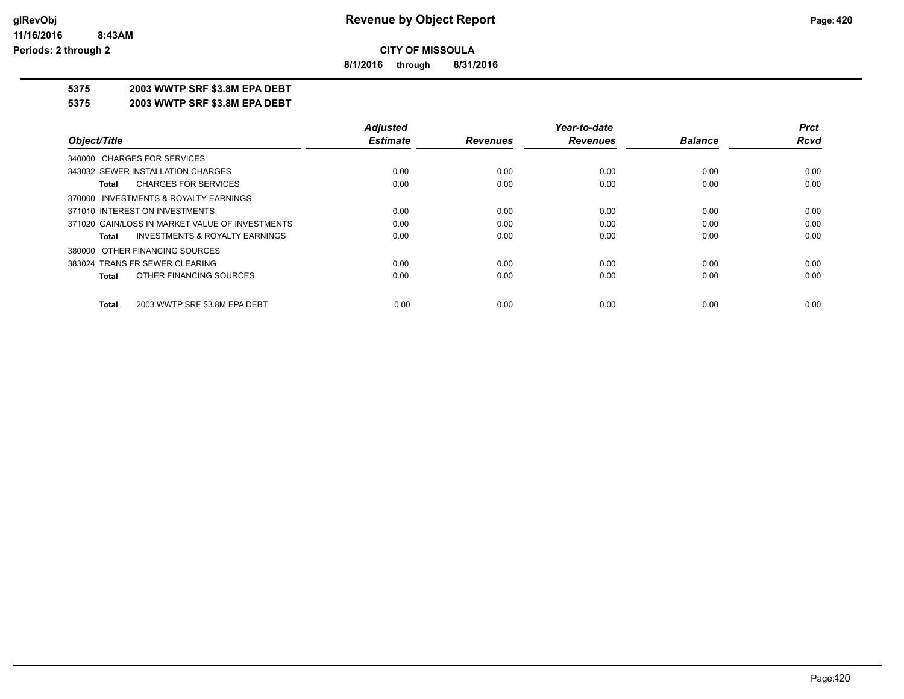**CITY OF MISSOULA**

**8/1/2016 through 8/31/2016**

**5375 2003 WWTP SRF \$3.8M EPA DEBT**

 **8:43AM**

**5375 2003 WWTP SRF \$3.8M EPA DEBT**

|                                                    | <b>Adjusted</b> |                 | Year-to-date    |                | <b>Prct</b> |
|----------------------------------------------------|-----------------|-----------------|-----------------|----------------|-------------|
| Object/Title                                       | <b>Estimate</b> | <b>Revenues</b> | <b>Revenues</b> | <b>Balance</b> | <b>Rcvd</b> |
| 340000 CHARGES FOR SERVICES                        |                 |                 |                 |                |             |
| 343032 SEWER INSTALLATION CHARGES                  | 0.00            | 0.00            | 0.00            | 0.00           | 0.00        |
| <b>CHARGES FOR SERVICES</b><br>Total               | 0.00            | 0.00            | 0.00            | 0.00           | 0.00        |
| 370000 INVESTMENTS & ROYALTY EARNINGS              |                 |                 |                 |                |             |
| 371010 INTEREST ON INVESTMENTS                     | 0.00            | 0.00            | 0.00            | 0.00           | 0.00        |
| 371020 GAIN/LOSS IN MARKET VALUE OF INVESTMENTS    | 0.00            | 0.00            | 0.00            | 0.00           | 0.00        |
| <b>INVESTMENTS &amp; ROYALTY EARNINGS</b><br>Total | 0.00            | 0.00            | 0.00            | 0.00           | 0.00        |
| 380000 OTHER FINANCING SOURCES                     |                 |                 |                 |                |             |
| 383024 TRANS FR SEWER CLEARING                     | 0.00            | 0.00            | 0.00            | 0.00           | 0.00        |
| OTHER FINANCING SOURCES<br>Total                   | 0.00            | 0.00            | 0.00            | 0.00           | 0.00        |
| 2003 WWTP SRF \$3.8M EPA DEBT<br>Total             | 0.00            | 0.00            | 0.00            | 0.00           | 0.00        |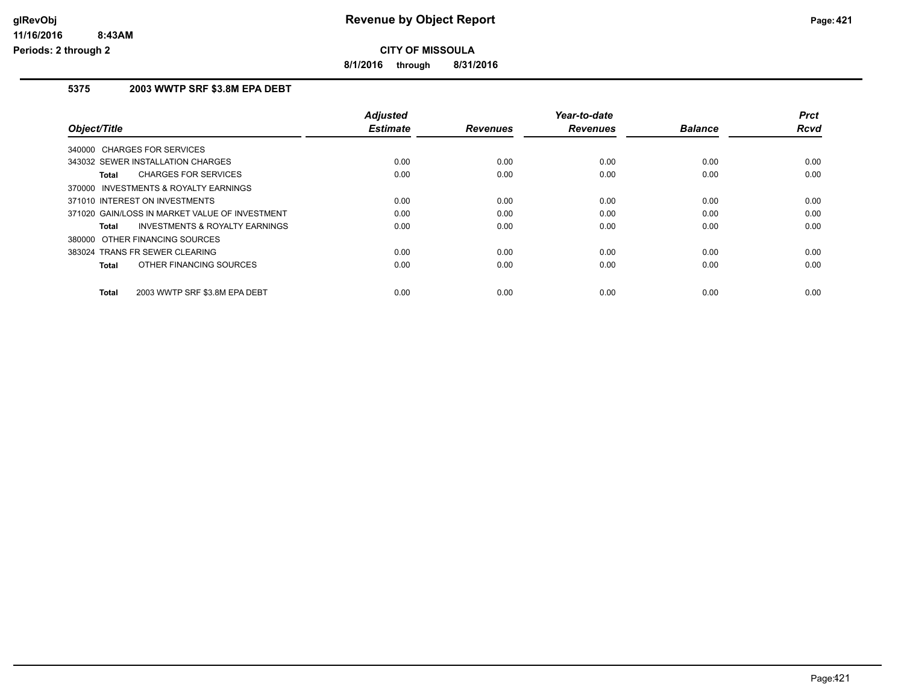**8/1/2016 through 8/31/2016**

### **5375 2003 WWTP SRF \$3.8M EPA DEBT**

| Object/Title                                       | <b>Adjusted</b><br><b>Estimate</b> | <b>Revenues</b> | Year-to-date<br><b>Revenues</b> | <b>Balance</b> | <b>Prct</b><br><b>Rcvd</b> |
|----------------------------------------------------|------------------------------------|-----------------|---------------------------------|----------------|----------------------------|
|                                                    |                                    |                 |                                 |                |                            |
| 340000 CHARGES FOR SERVICES                        |                                    |                 |                                 |                |                            |
| 343032 SEWER INSTALLATION CHARGES                  | 0.00                               | 0.00            | 0.00                            | 0.00           | 0.00                       |
| <b>CHARGES FOR SERVICES</b><br>Total               | 0.00                               | 0.00            | 0.00                            | 0.00           | 0.00                       |
| 370000 INVESTMENTS & ROYALTY EARNINGS              |                                    |                 |                                 |                |                            |
| 371010 INTEREST ON INVESTMENTS                     | 0.00                               | 0.00            | 0.00                            | 0.00           | 0.00                       |
| 371020 GAIN/LOSS IN MARKET VALUE OF INVESTMENT     | 0.00                               | 0.00            | 0.00                            | 0.00           | 0.00                       |
| <b>INVESTMENTS &amp; ROYALTY EARNINGS</b><br>Total | 0.00                               | 0.00            | 0.00                            | 0.00           | 0.00                       |
| 380000 OTHER FINANCING SOURCES                     |                                    |                 |                                 |                |                            |
| 383024 TRANS FR SEWER CLEARING                     | 0.00                               | 0.00            | 0.00                            | 0.00           | 0.00                       |
| OTHER FINANCING SOURCES<br>Total                   | 0.00                               | 0.00            | 0.00                            | 0.00           | 0.00                       |
| 2003 WWTP SRF \$3.8M EPA DEBT<br><b>Total</b>      | 0.00                               | 0.00            | 0.00                            | 0.00           | 0.00                       |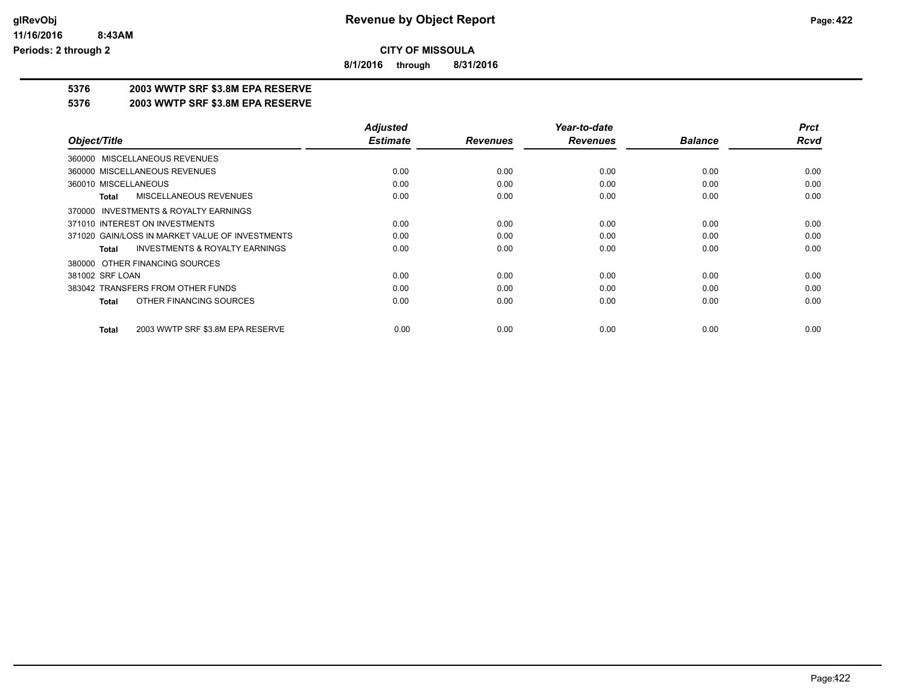**8/1/2016 through 8/31/2016**

## **5376 2003 WWTP SRF \$3.8M EPA RESERVE**

#### **5376 2003 WWTP SRF \$3.8M EPA RESERVE**

|                                                    | <b>Adjusted</b> |                 | Year-to-date    |                | <b>Prct</b> |
|----------------------------------------------------|-----------------|-----------------|-----------------|----------------|-------------|
| Object/Title                                       | <b>Estimate</b> | <b>Revenues</b> | <b>Revenues</b> | <b>Balance</b> | <b>Rcvd</b> |
| 360000 MISCELLANEOUS REVENUES                      |                 |                 |                 |                |             |
| 360000 MISCELLANEOUS REVENUES                      | 0.00            | 0.00            | 0.00            | 0.00           | 0.00        |
| 360010 MISCELLANEOUS                               | 0.00            | 0.00            | 0.00            | 0.00           | 0.00        |
| MISCELLANEOUS REVENUES<br>Total                    | 0.00            | 0.00            | 0.00            | 0.00           | 0.00        |
| 370000 INVESTMENTS & ROYALTY EARNINGS              |                 |                 |                 |                |             |
| 371010 INTEREST ON INVESTMENTS                     | 0.00            | 0.00            | 0.00            | 0.00           | 0.00        |
| 371020 GAIN/LOSS IN MARKET VALUE OF INVESTMENTS    | 0.00            | 0.00            | 0.00            | 0.00           | 0.00        |
| <b>INVESTMENTS &amp; ROYALTY EARNINGS</b><br>Total | 0.00            | 0.00            | 0.00            | 0.00           | 0.00        |
| 380000 OTHER FINANCING SOURCES                     |                 |                 |                 |                |             |
| 381002 SRF LOAN                                    | 0.00            | 0.00            | 0.00            | 0.00           | 0.00        |
| 383042 TRANSFERS FROM OTHER FUNDS                  | 0.00            | 0.00            | 0.00            | 0.00           | 0.00        |
| OTHER FINANCING SOURCES<br>Total                   | 0.00            | 0.00            | 0.00            | 0.00           | 0.00        |
| 2003 WWTP SRF \$3.8M EPA RESERVE<br>Total          | 0.00            | 0.00            | 0.00            | 0.00           | 0.00        |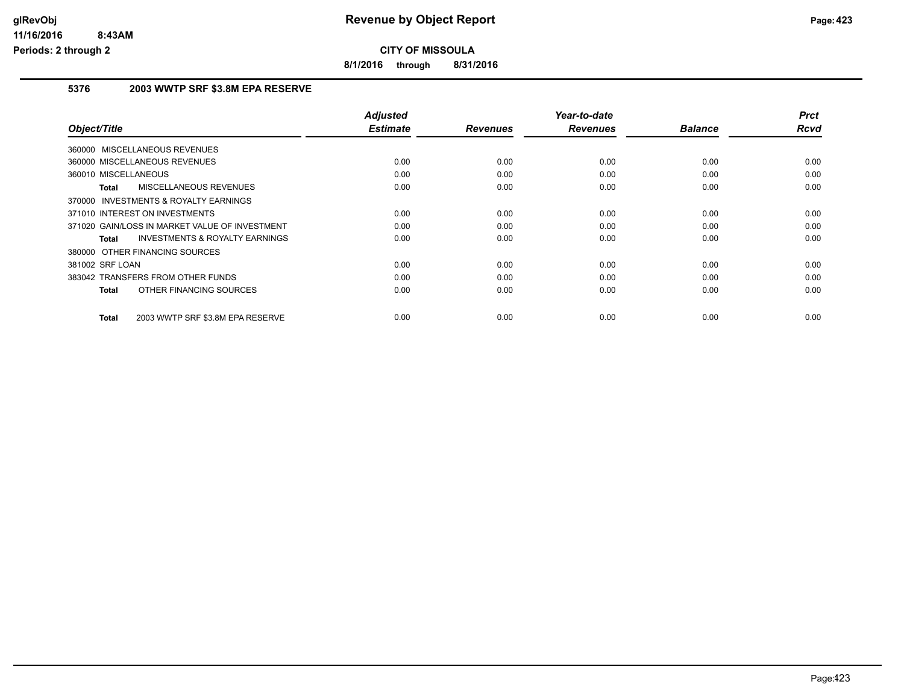**8/1/2016 through 8/31/2016**

#### **5376 2003 WWTP SRF \$3.8M EPA RESERVE**

| Object/Title                                        | <b>Adjusted</b><br><b>Estimate</b> | <b>Revenues</b> | Year-to-date<br><b>Revenues</b> | <b>Balance</b> | <b>Prct</b><br>Rcvd |
|-----------------------------------------------------|------------------------------------|-----------------|---------------------------------|----------------|---------------------|
|                                                     |                                    |                 |                                 |                |                     |
| 360000 MISCELLANEOUS REVENUES                       |                                    |                 |                                 |                |                     |
| 360000 MISCELLANEOUS REVENUES                       | 0.00                               | 0.00            | 0.00                            | 0.00           | 0.00                |
| 360010 MISCELLANEOUS                                | 0.00                               | 0.00            | 0.00                            | 0.00           | 0.00                |
| <b>MISCELLANEOUS REVENUES</b><br>Total              | 0.00                               | 0.00            | 0.00                            | 0.00           | 0.00                |
| <b>INVESTMENTS &amp; ROYALTY EARNINGS</b><br>370000 |                                    |                 |                                 |                |                     |
| 371010 INTEREST ON INVESTMENTS                      | 0.00                               | 0.00            | 0.00                            | 0.00           | 0.00                |
| 371020 GAIN/LOSS IN MARKET VALUE OF INVESTMENT      | 0.00                               | 0.00            | 0.00                            | 0.00           | 0.00                |
| <b>INVESTMENTS &amp; ROYALTY EARNINGS</b><br>Total  | 0.00                               | 0.00            | 0.00                            | 0.00           | 0.00                |
| 380000 OTHER FINANCING SOURCES                      |                                    |                 |                                 |                |                     |
| 381002 SRF LOAN                                     | 0.00                               | 0.00            | 0.00                            | 0.00           | 0.00                |
| 383042 TRANSFERS FROM OTHER FUNDS                   | 0.00                               | 0.00            | 0.00                            | 0.00           | 0.00                |
| OTHER FINANCING SOURCES<br>Total                    | 0.00                               | 0.00            | 0.00                            | 0.00           | 0.00                |
|                                                     |                                    |                 |                                 |                |                     |
| 2003 WWTP SRF \$3.8M EPA RESERVE<br>Total           | 0.00                               | 0.00            | 0.00                            | 0.00           | 0.00                |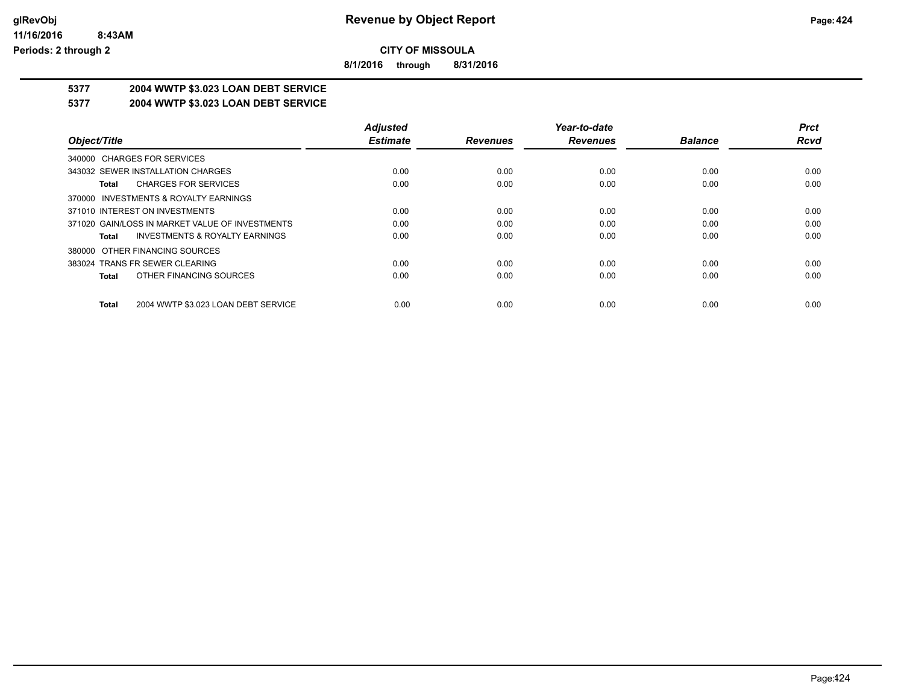**8/1/2016 through 8/31/2016**

# **5377 2004 WWTP \$3.023 LOAN DEBT SERVICE**

# **5377 2004 WWTP \$3.023 LOAN DEBT SERVICE**

| Object/Title                                       | <b>Adjusted</b><br><b>Estimate</b> | <b>Revenues</b> | Year-to-date<br><b>Revenues</b> | <b>Balance</b> | <b>Prct</b><br><b>Rcvd</b> |
|----------------------------------------------------|------------------------------------|-----------------|---------------------------------|----------------|----------------------------|
|                                                    |                                    |                 |                                 |                |                            |
| 340000 CHARGES FOR SERVICES                        |                                    |                 |                                 |                |                            |
| 343032 SEWER INSTALLATION CHARGES                  | 0.00                               | 0.00            | 0.00                            | 0.00           | 0.00                       |
| <b>CHARGES FOR SERVICES</b><br>Total               | 0.00                               | 0.00            | 0.00                            | 0.00           | 0.00                       |
| 370000 INVESTMENTS & ROYALTY EARNINGS              |                                    |                 |                                 |                |                            |
| 371010 INTEREST ON INVESTMENTS                     | 0.00                               | 0.00            | 0.00                            | 0.00           | 0.00                       |
| 371020 GAIN/LOSS IN MARKET VALUE OF INVESTMENTS    | 0.00                               | 0.00            | 0.00                            | 0.00           | 0.00                       |
| <b>INVESTMENTS &amp; ROYALTY EARNINGS</b><br>Total | 0.00                               | 0.00            | 0.00                            | 0.00           | 0.00                       |
| 380000 OTHER FINANCING SOURCES                     |                                    |                 |                                 |                |                            |
| 383024 TRANS FR SEWER CLEARING                     | 0.00                               | 0.00            | 0.00                            | 0.00           | 0.00                       |
| OTHER FINANCING SOURCES<br><b>Total</b>            | 0.00                               | 0.00            | 0.00                            | 0.00           | 0.00                       |
| 2004 WWTP \$3.023 LOAN DEBT SERVICE<br>Total       | 0.00                               | 0.00            | 0.00                            | 0.00           | 0.00                       |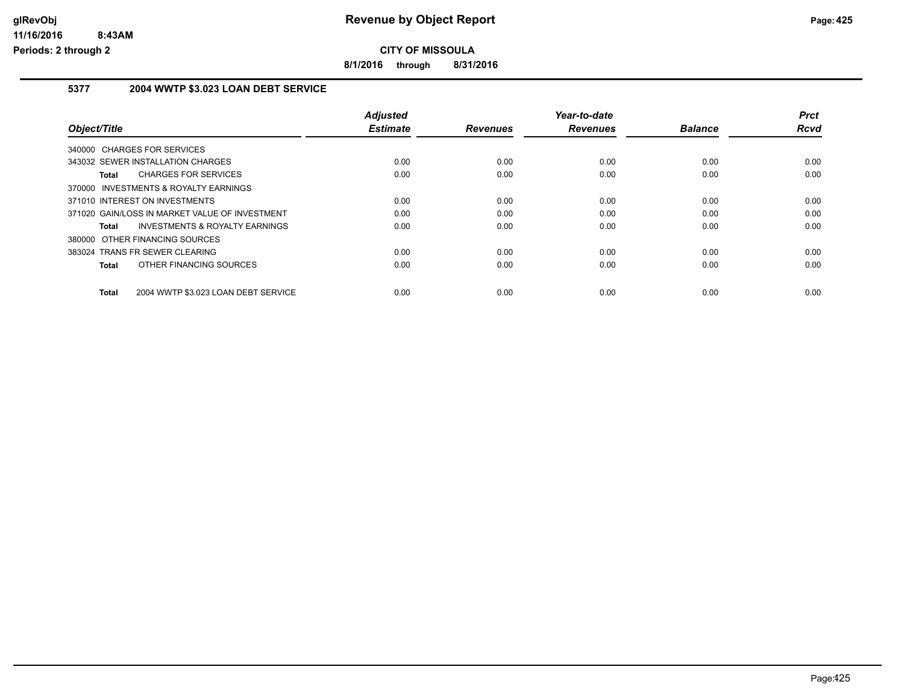**8/1/2016 through 8/31/2016**

### **5377 2004 WWTP \$3.023 LOAN DEBT SERVICE**

| Object/Title                                              | <b>Adjusted</b><br><b>Estimate</b> | <b>Revenues</b> | Year-to-date<br><b>Revenues</b> | <b>Balance</b> | <b>Prct</b><br><b>Rcvd</b> |
|-----------------------------------------------------------|------------------------------------|-----------------|---------------------------------|----------------|----------------------------|
| 340000 CHARGES FOR SERVICES                               |                                    |                 |                                 |                |                            |
| 343032 SEWER INSTALLATION CHARGES                         | 0.00                               | 0.00            | 0.00                            | 0.00           | 0.00                       |
| <b>CHARGES FOR SERVICES</b><br><b>Total</b>               | 0.00                               | 0.00            | 0.00                            | 0.00           | 0.00                       |
| 370000 INVESTMENTS & ROYALTY EARNINGS                     |                                    |                 |                                 |                |                            |
| 371010 INTEREST ON INVESTMENTS                            | 0.00                               | 0.00            | 0.00                            | 0.00           | 0.00                       |
| 371020 GAIN/LOSS IN MARKET VALUE OF INVESTMENT            | 0.00                               | 0.00            | 0.00                            | 0.00           | 0.00                       |
| <b>INVESTMENTS &amp; ROYALTY EARNINGS</b><br><b>Total</b> | 0.00                               | 0.00            | 0.00                            | 0.00           | 0.00                       |
| 380000 OTHER FINANCING SOURCES                            |                                    |                 |                                 |                |                            |
| 383024 TRANS FR SEWER CLEARING                            | 0.00                               | 0.00            | 0.00                            | 0.00           | 0.00                       |
| OTHER FINANCING SOURCES<br><b>Total</b>                   | 0.00                               | 0.00            | 0.00                            | 0.00           | 0.00                       |
| <b>Total</b><br>2004 WWTP \$3.023 LOAN DEBT SERVICE       | 0.00                               | 0.00            | 0.00                            | 0.00           | 0.00                       |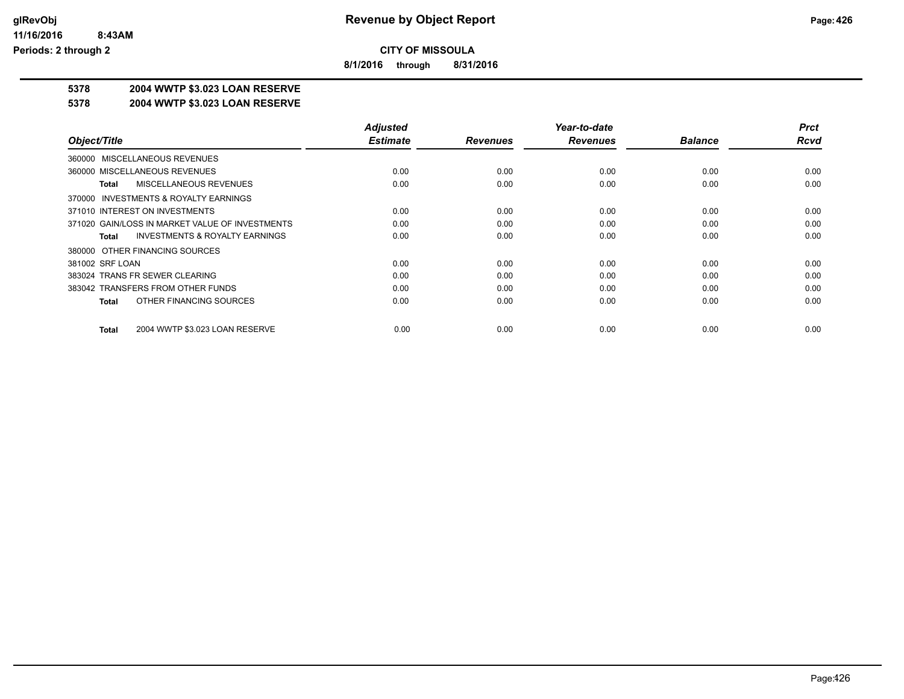**8/1/2016 through 8/31/2016**

## **5378 2004 WWTP \$3.023 LOAN RESERVE**

#### **5378 2004 WWTP \$3.023 LOAN RESERVE**

|                                                    | <b>Adjusted</b> |                 | Year-to-date    |                | <b>Prct</b> |
|----------------------------------------------------|-----------------|-----------------|-----------------|----------------|-------------|
| Object/Title                                       | <b>Estimate</b> | <b>Revenues</b> | <b>Revenues</b> | <b>Balance</b> | <b>Rcvd</b> |
| 360000 MISCELLANEOUS REVENUES                      |                 |                 |                 |                |             |
| 360000 MISCELLANEOUS REVENUES                      | 0.00            | 0.00            | 0.00            | 0.00           | 0.00        |
| MISCELLANEOUS REVENUES<br>Total                    | 0.00            | 0.00            | 0.00            | 0.00           | 0.00        |
| 370000 INVESTMENTS & ROYALTY EARNINGS              |                 |                 |                 |                |             |
| 371010 INTEREST ON INVESTMENTS                     | 0.00            | 0.00            | 0.00            | 0.00           | 0.00        |
| 371020 GAIN/LOSS IN MARKET VALUE OF INVESTMENTS    | 0.00            | 0.00            | 0.00            | 0.00           | 0.00        |
| <b>INVESTMENTS &amp; ROYALTY EARNINGS</b><br>Total | 0.00            | 0.00            | 0.00            | 0.00           | 0.00        |
| 380000 OTHER FINANCING SOURCES                     |                 |                 |                 |                |             |
| 381002 SRF LOAN                                    | 0.00            | 0.00            | 0.00            | 0.00           | 0.00        |
| 383024 TRANS FR SEWER CLEARING                     | 0.00            | 0.00            | 0.00            | 0.00           | 0.00        |
| 383042 TRANSFERS FROM OTHER FUNDS                  | 0.00            | 0.00            | 0.00            | 0.00           | 0.00        |
| OTHER FINANCING SOURCES<br>Total                   | 0.00            | 0.00            | 0.00            | 0.00           | 0.00        |
| 2004 WWTP \$3.023 LOAN RESERVE<br>Total            | 0.00            | 0.00            | 0.00            | 0.00           | 0.00        |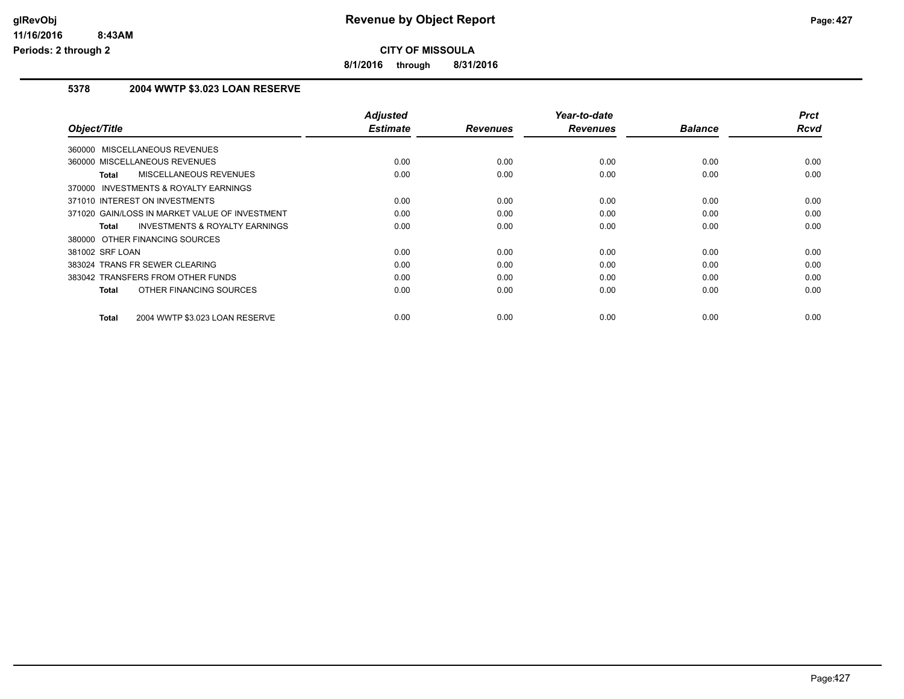**8/1/2016 through 8/31/2016**

### **5378 2004 WWTP \$3.023 LOAN RESERVE**

| Object/Title                                              | <b>Adjusted</b><br><b>Estimate</b> | <b>Revenues</b> | Year-to-date<br><b>Revenues</b> | <b>Balance</b> | <b>Prct</b><br>Rcvd |
|-----------------------------------------------------------|------------------------------------|-----------------|---------------------------------|----------------|---------------------|
| MISCELLANEOUS REVENUES<br>360000                          |                                    |                 |                                 |                |                     |
| 360000 MISCELLANEOUS REVENUES                             | 0.00                               | 0.00            | 0.00                            | 0.00           | 0.00                |
| MISCELLANEOUS REVENUES<br><b>Total</b>                    | 0.00                               | 0.00            | 0.00                            | 0.00           | 0.00                |
| INVESTMENTS & ROYALTY EARNINGS<br>370000                  |                                    |                 |                                 |                |                     |
| 371010 INTEREST ON INVESTMENTS                            | 0.00                               | 0.00            | 0.00                            | 0.00           | 0.00                |
| 371020 GAIN/LOSS IN MARKET VALUE OF INVESTMENT            | 0.00                               | 0.00            | 0.00                            | 0.00           | 0.00                |
| <b>INVESTMENTS &amp; ROYALTY EARNINGS</b><br><b>Total</b> | 0.00                               | 0.00            | 0.00                            | 0.00           | 0.00                |
| 380000 OTHER FINANCING SOURCES                            |                                    |                 |                                 |                |                     |
| 381002 SRF LOAN                                           | 0.00                               | 0.00            | 0.00                            | 0.00           | 0.00                |
| 383024 TRANS FR SEWER CLEARING                            | 0.00                               | 0.00            | 0.00                            | 0.00           | 0.00                |
| 383042 TRANSFERS FROM OTHER FUNDS                         | 0.00                               | 0.00            | 0.00                            | 0.00           | 0.00                |
| OTHER FINANCING SOURCES<br><b>Total</b>                   | 0.00                               | 0.00            | 0.00                            | 0.00           | 0.00                |
|                                                           |                                    |                 |                                 |                |                     |
| 2004 WWTP \$3.023 LOAN RESERVE<br><b>Total</b>            | 0.00                               | 0.00            | 0.00                            | 0.00           | 0.00                |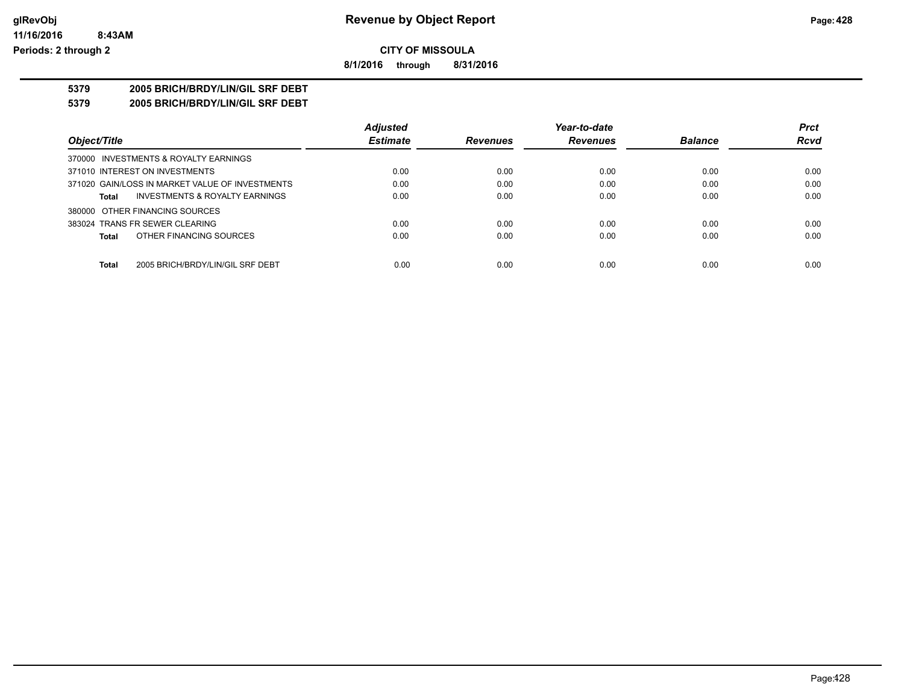**8/1/2016 through 8/31/2016**

## **5379 2005 BRICH/BRDY/LIN/GIL SRF DEBT**

#### **5379 2005 BRICH/BRDY/LIN/GIL SRF DEBT**

|                                                  | <b>Adjusted</b> |                 | Year-to-date    |                | <b>Prct</b> |
|--------------------------------------------------|-----------------|-----------------|-----------------|----------------|-------------|
| Object/Title                                     | <b>Estimate</b> | <b>Revenues</b> | <b>Revenues</b> | <b>Balance</b> | <b>Rcvd</b> |
| 370000 INVESTMENTS & ROYALTY EARNINGS            |                 |                 |                 |                |             |
| 371010 INTEREST ON INVESTMENTS                   | 0.00            | 0.00            | 0.00            | 0.00           | 0.00        |
| 371020 GAIN/LOSS IN MARKET VALUE OF INVESTMENTS  | 0.00            | 0.00            | 0.00            | 0.00           | 0.00        |
| INVESTMENTS & ROYALTY EARNINGS<br><b>Total</b>   | 0.00            | 0.00            | 0.00            | 0.00           | 0.00        |
| 380000 OTHER FINANCING SOURCES                   |                 |                 |                 |                |             |
| 383024 TRANS FR SEWER CLEARING                   | 0.00            | 0.00            | 0.00            | 0.00           | 0.00        |
| OTHER FINANCING SOURCES<br><b>Total</b>          | 0.00            | 0.00            | 0.00            | 0.00           | 0.00        |
|                                                  |                 |                 |                 |                |             |
| <b>Total</b><br>2005 BRICH/BRDY/LIN/GIL SRF DEBT | 0.00            | 0.00            | 0.00            | 0.00           | 0.00        |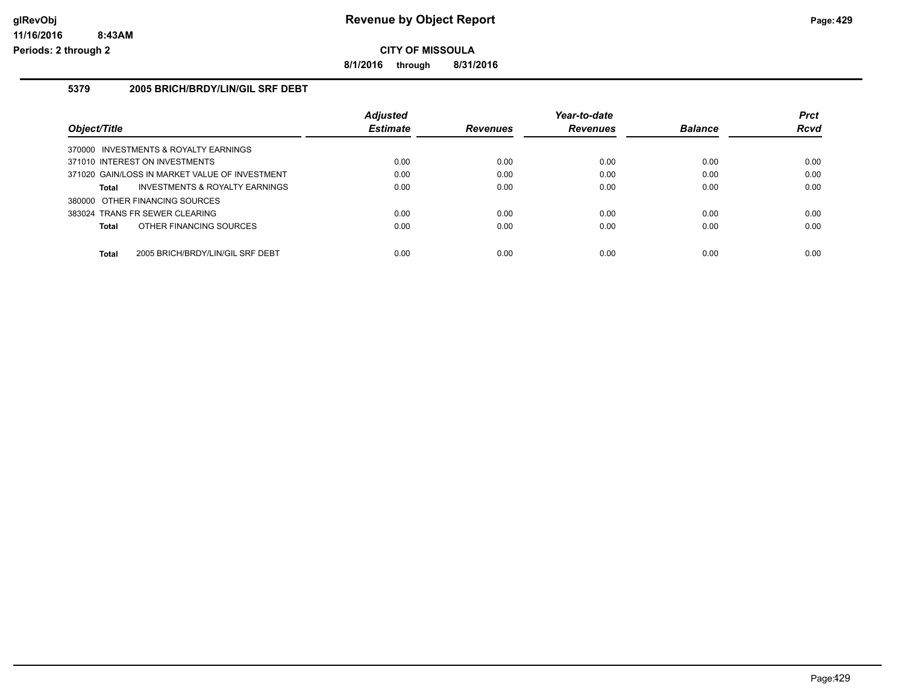**8:43AM**

#### **CITY OF MISSOULA**

**8/1/2016 through 8/31/2016**

### **5379 2005 BRICH/BRDY/LIN/GIL SRF DEBT**

|                                                | <b>Adjusted</b> |                 | Year-to-date    |                | <b>Prct</b> |
|------------------------------------------------|-----------------|-----------------|-----------------|----------------|-------------|
| Object/Title                                   | <b>Estimate</b> | <b>Revenues</b> | <b>Revenues</b> | <b>Balance</b> | <b>Rcvd</b> |
| 370000 INVESTMENTS & ROYALTY EARNINGS          |                 |                 |                 |                |             |
| 371010 INTEREST ON INVESTMENTS                 | 0.00            | 0.00            | 0.00            | 0.00           | 0.00        |
| 371020 GAIN/LOSS IN MARKET VALUE OF INVESTMENT | 0.00            | 0.00            | 0.00            | 0.00           | 0.00        |
| INVESTMENTS & ROYALTY EARNINGS<br>Total        | 0.00            | 0.00            | 0.00            | 0.00           | 0.00        |
| 380000 OTHER FINANCING SOURCES                 |                 |                 |                 |                |             |
| 383024 TRANS FR SEWER CLEARING                 | 0.00            | 0.00            | 0.00            | 0.00           | 0.00        |
| OTHER FINANCING SOURCES<br>Total               | 0.00            | 0.00            | 0.00            | 0.00           | 0.00        |
| Total<br>2005 BRICH/BRDY/LIN/GIL SRF DEBT      | 0.00            | 0.00            | 0.00            | 0.00           | 0.00        |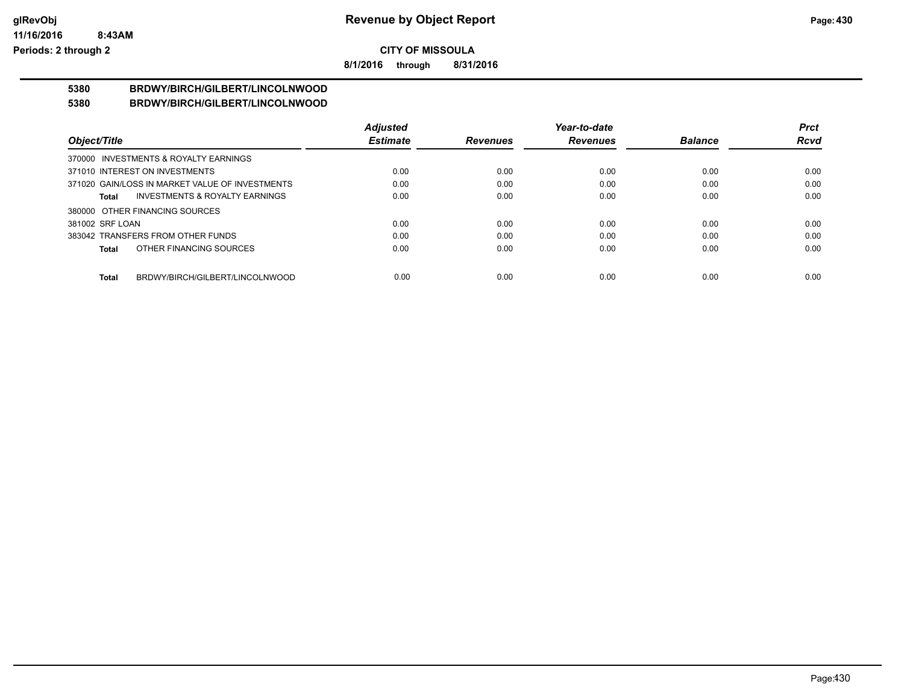**8/1/2016 through 8/31/2016**

#### **5380 BRDWY/BIRCH/GILBERT/LINCOLNWOOD 5380 BRDWY/BIRCH/GILBERT/LINCOLNWOOD**

|                                                    | <b>Adjusted</b> |                 | Year-to-date    |                | Prct        |
|----------------------------------------------------|-----------------|-----------------|-----------------|----------------|-------------|
| Object/Title                                       | <b>Estimate</b> | <b>Revenues</b> | <b>Revenues</b> | <b>Balance</b> | <b>Rcvd</b> |
| 370000 INVESTMENTS & ROYALTY EARNINGS              |                 |                 |                 |                |             |
| 371010 INTEREST ON INVESTMENTS                     | 0.00            | 0.00            | 0.00            | 0.00           | 0.00        |
| 371020 GAIN/LOSS IN MARKET VALUE OF INVESTMENTS    | 0.00            | 0.00            | 0.00            | 0.00           | 0.00        |
| <b>INVESTMENTS &amp; ROYALTY EARNINGS</b><br>Total | 0.00            | 0.00            | 0.00            | 0.00           | 0.00        |
| 380000 OTHER FINANCING SOURCES                     |                 |                 |                 |                |             |
| 381002 SRF LOAN                                    | 0.00            | 0.00            | 0.00            | 0.00           | 0.00        |
| 383042 TRANSFERS FROM OTHER FUNDS                  | 0.00            | 0.00            | 0.00            | 0.00           | 0.00        |
| OTHER FINANCING SOURCES<br>Total                   | 0.00            | 0.00            | 0.00            | 0.00           | 0.00        |
|                                                    |                 |                 |                 |                |             |
| BRDWY/BIRCH/GILBERT/LINCOLNWOOD<br>Total           | 0.00            | 0.00            | 0.00            | 0.00           | 0.00        |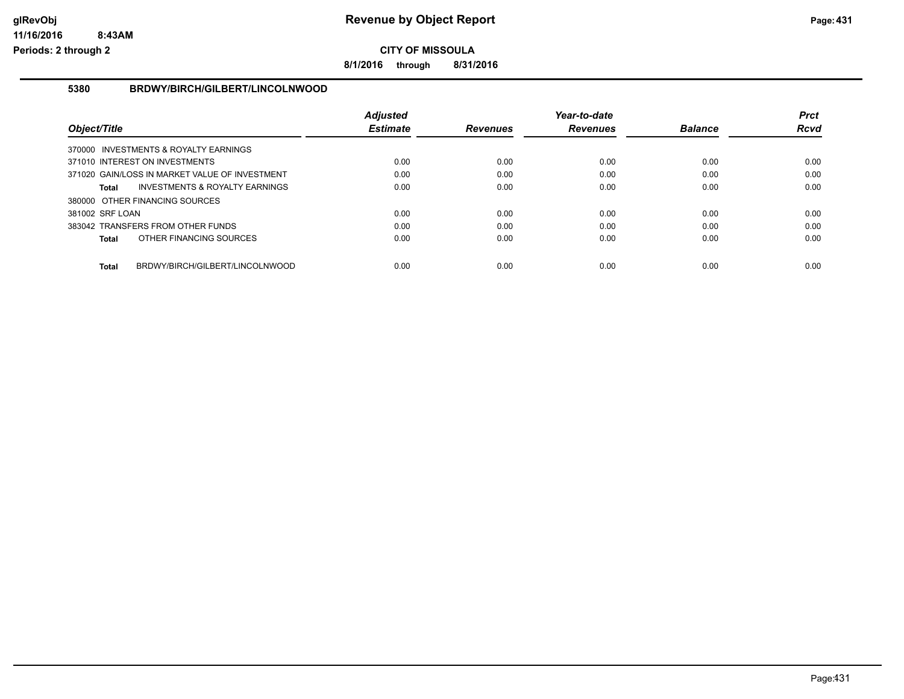**8:43AM**

**CITY OF MISSOULA**

**8/1/2016 through 8/31/2016**

### **5380 BRDWY/BIRCH/GILBERT/LINCOLNWOOD**

|                                                 | <b>Adjusted</b> |                 | Year-to-date    |                | <b>Prct</b> |
|-------------------------------------------------|-----------------|-----------------|-----------------|----------------|-------------|
| Object/Title                                    | <b>Estimate</b> | <b>Revenues</b> | <b>Revenues</b> | <b>Balance</b> | Rcvd        |
| 370000 INVESTMENTS & ROYALTY EARNINGS           |                 |                 |                 |                |             |
| 371010 INTEREST ON INVESTMENTS                  | 0.00            | 0.00            | 0.00            | 0.00           | 0.00        |
| 371020 GAIN/LOSS IN MARKET VALUE OF INVESTMENT  | 0.00            | 0.00            | 0.00            | 0.00           | 0.00        |
| INVESTMENTS & ROYALTY EARNINGS<br>Total         | 0.00            | 0.00            | 0.00            | 0.00           | 0.00        |
| 380000 OTHER FINANCING SOURCES                  |                 |                 |                 |                |             |
| 381002 SRF LOAN                                 | 0.00            | 0.00            | 0.00            | 0.00           | 0.00        |
| 383042 TRANSFERS FROM OTHER FUNDS               | 0.00            | 0.00            | 0.00            | 0.00           | 0.00        |
| OTHER FINANCING SOURCES<br><b>Total</b>         | 0.00            | 0.00            | 0.00            | 0.00           | 0.00        |
|                                                 |                 |                 |                 |                |             |
| BRDWY/BIRCH/GILBERT/LINCOLNWOOD<br><b>Total</b> | 0.00            | 0.00            | 0.00            | 0.00           | 0.00        |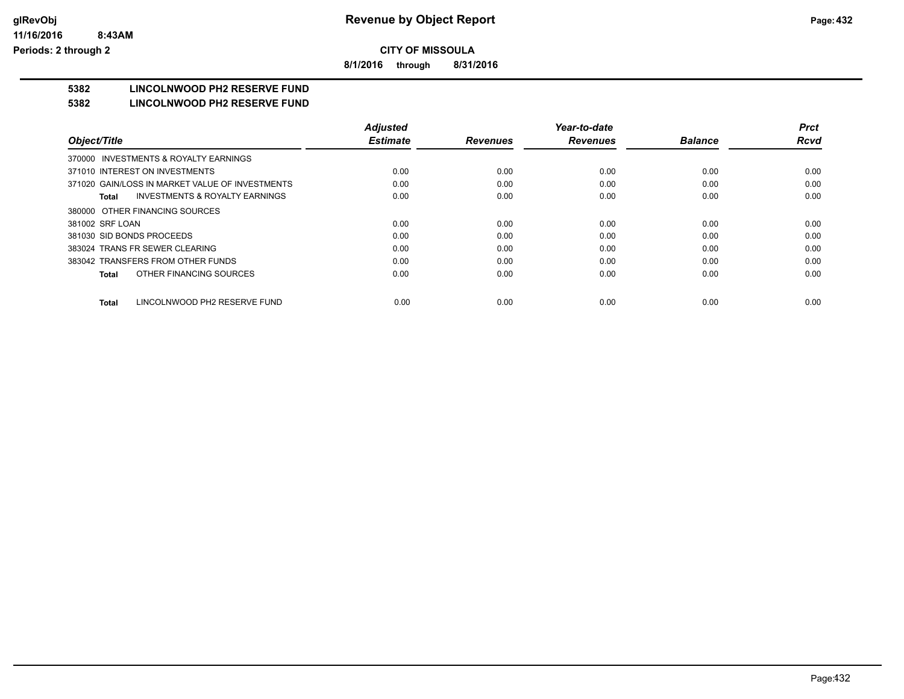**8/1/2016 through 8/31/2016**

## **5382 LINCOLNWOOD PH2 RESERVE FUND**

### **5382 LINCOLNWOOD PH2 RESERVE FUND**

|                                                    | <b>Adiusted</b> |                 | Year-to-date    |                | <b>Prct</b> |
|----------------------------------------------------|-----------------|-----------------|-----------------|----------------|-------------|
| Object/Title                                       | <b>Estimate</b> | <b>Revenues</b> | <b>Revenues</b> | <b>Balance</b> | <b>Rcvd</b> |
| INVESTMENTS & ROYALTY EARNINGS<br>370000           |                 |                 |                 |                |             |
| 371010 INTEREST ON INVESTMENTS                     | 0.00            | 0.00            | 0.00            | 0.00           | 0.00        |
| 371020 GAIN/LOSS IN MARKET VALUE OF INVESTMENTS    | 0.00            | 0.00            | 0.00            | 0.00           | 0.00        |
| <b>INVESTMENTS &amp; ROYALTY EARNINGS</b><br>Total | 0.00            | 0.00            | 0.00            | 0.00           | 0.00        |
| 380000 OTHER FINANCING SOURCES                     |                 |                 |                 |                |             |
| 381002 SRF LOAN                                    | 0.00            | 0.00            | 0.00            | 0.00           | 0.00        |
| 381030 SID BONDS PROCEEDS                          | 0.00            | 0.00            | 0.00            | 0.00           | 0.00        |
| 383024 TRANS FR SEWER CLEARING                     | 0.00            | 0.00            | 0.00            | 0.00           | 0.00        |
| 383042 TRANSFERS FROM OTHER FUNDS                  | 0.00            | 0.00            | 0.00            | 0.00           | 0.00        |
| OTHER FINANCING SOURCES<br>Total                   | 0.00            | 0.00            | 0.00            | 0.00           | 0.00        |
| LINCOLNWOOD PH2 RESERVE FUND<br><b>Total</b>       | 0.00            | 0.00            | 0.00            | 0.00           | 0.00        |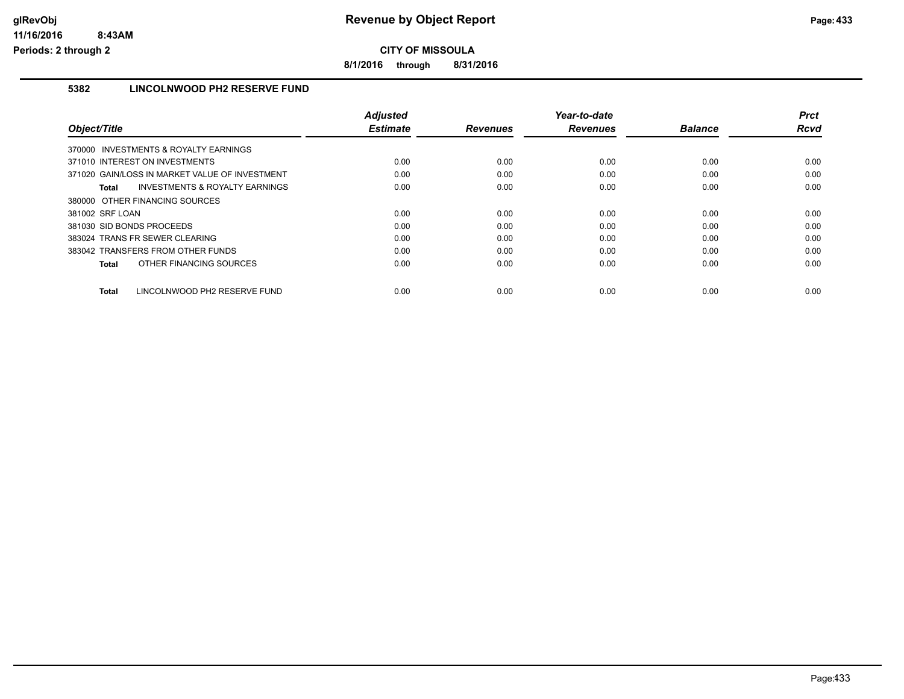**8/1/2016 through 8/31/2016**

## **5382 LINCOLNWOOD PH2 RESERVE FUND**

|                                                    | <b>Adjusted</b> |                 | Year-to-date    |                | <b>Prct</b> |
|----------------------------------------------------|-----------------|-----------------|-----------------|----------------|-------------|
| Object/Title                                       | <b>Estimate</b> | <b>Revenues</b> | <b>Revenues</b> | <b>Balance</b> | <b>Rcvd</b> |
| 370000 INVESTMENTS & ROYALTY EARNINGS              |                 |                 |                 |                |             |
| 371010 INTEREST ON INVESTMENTS                     | 0.00            | 0.00            | 0.00            | 0.00           | 0.00        |
| 371020 GAIN/LOSS IN MARKET VALUE OF INVESTMENT     | 0.00            | 0.00            | 0.00            | 0.00           | 0.00        |
| <b>INVESTMENTS &amp; ROYALTY EARNINGS</b><br>Total | 0.00            | 0.00            | 0.00            | 0.00           | 0.00        |
| 380000 OTHER FINANCING SOURCES                     |                 |                 |                 |                |             |
| 381002 SRF LOAN                                    | 0.00            | 0.00            | 0.00            | 0.00           | 0.00        |
| 381030 SID BONDS PROCEEDS                          | 0.00            | 0.00            | 0.00            | 0.00           | 0.00        |
| 383024 TRANS FR SEWER CLEARING                     | 0.00            | 0.00            | 0.00            | 0.00           | 0.00        |
| 383042 TRANSFERS FROM OTHER FUNDS                  | 0.00            | 0.00            | 0.00            | 0.00           | 0.00        |
| OTHER FINANCING SOURCES<br>Total                   | 0.00            | 0.00            | 0.00            | 0.00           | 0.00        |
| <b>Total</b><br>LINCOLNWOOD PH2 RESERVE FUND       | 0.00            | 0.00            | 0.00            | 0.00           | 0.00        |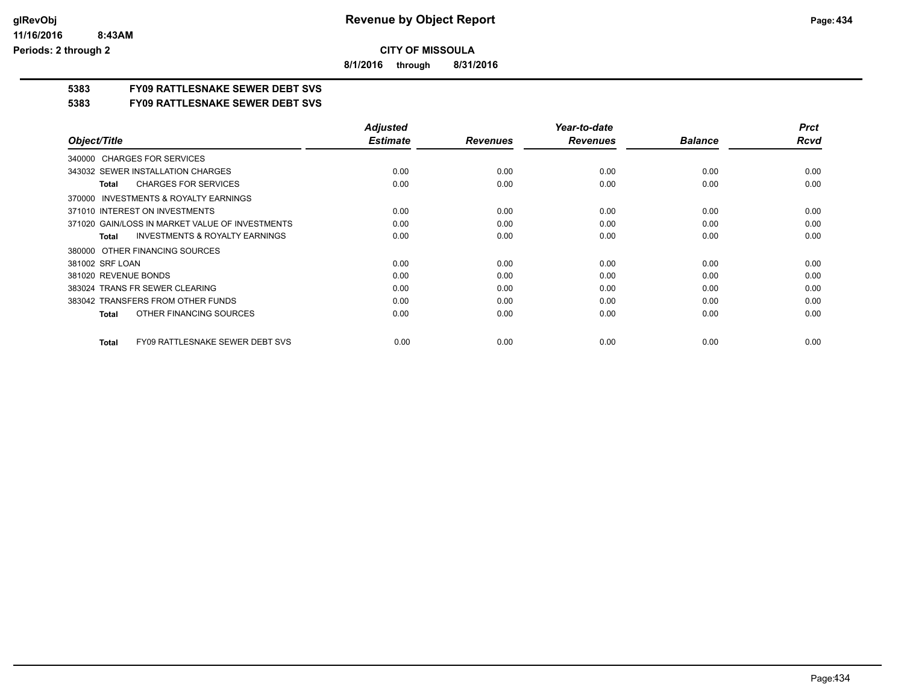**8/1/2016 through 8/31/2016**

## **5383 FY09 RATTLESNAKE SEWER DEBT SVS**

## **5383 FY09 RATTLESNAKE SEWER DEBT SVS**

|                                                        | <b>Adjusted</b> |                 | Year-to-date    |                | <b>Prct</b> |
|--------------------------------------------------------|-----------------|-----------------|-----------------|----------------|-------------|
| Object/Title                                           | <b>Estimate</b> | <b>Revenues</b> | <b>Revenues</b> | <b>Balance</b> | <b>Rcvd</b> |
| 340000 CHARGES FOR SERVICES                            |                 |                 |                 |                |             |
| 343032 SEWER INSTALLATION CHARGES                      | 0.00            | 0.00            | 0.00            | 0.00           | 0.00        |
| <b>CHARGES FOR SERVICES</b><br><b>Total</b>            | 0.00            | 0.00            | 0.00            | 0.00           | 0.00        |
| <b>INVESTMENTS &amp; ROYALTY EARNINGS</b><br>370000    |                 |                 |                 |                |             |
| 371010 INTEREST ON INVESTMENTS                         | 0.00            | 0.00            | 0.00            | 0.00           | 0.00        |
| 371020 GAIN/LOSS IN MARKET VALUE OF INVESTMENTS        | 0.00            | 0.00            | 0.00            | 0.00           | 0.00        |
| <b>INVESTMENTS &amp; ROYALTY EARNINGS</b><br>Total     | 0.00            | 0.00            | 0.00            | 0.00           | 0.00        |
| OTHER FINANCING SOURCES<br>380000                      |                 |                 |                 |                |             |
| 381002 SRF LOAN                                        | 0.00            | 0.00            | 0.00            | 0.00           | 0.00        |
| 381020 REVENUE BONDS                                   | 0.00            | 0.00            | 0.00            | 0.00           | 0.00        |
| 383024 TRANS FR SEWER CLEARING                         | 0.00            | 0.00            | 0.00            | 0.00           | 0.00        |
| 383042 TRANSFERS FROM OTHER FUNDS                      | 0.00            | 0.00            | 0.00            | 0.00           | 0.00        |
| OTHER FINANCING SOURCES<br>Total                       | 0.00            | 0.00            | 0.00            | 0.00           | 0.00        |
| <b>FY09 RATTLESNAKE SEWER DEBT SVS</b><br><b>Total</b> | 0.00            | 0.00            | 0.00            | 0.00           | 0.00        |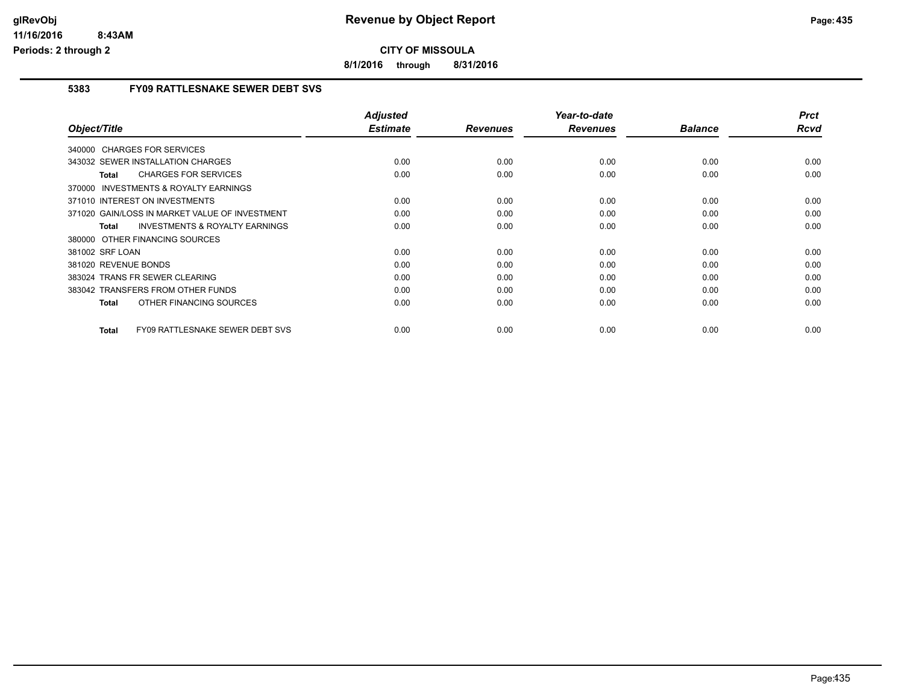**8/1/2016 through 8/31/2016**

## **5383 FY09 RATTLESNAKE SEWER DEBT SVS**

| Object/Title                                              | <b>Adjusted</b><br><b>Estimate</b> | <b>Revenues</b> | Year-to-date<br><b>Revenues</b> | <b>Balance</b> | <b>Prct</b><br><b>Rcvd</b> |
|-----------------------------------------------------------|------------------------------------|-----------------|---------------------------------|----------------|----------------------------|
|                                                           |                                    |                 |                                 |                |                            |
| 340000 CHARGES FOR SERVICES                               |                                    |                 |                                 |                |                            |
| 343032 SEWER INSTALLATION CHARGES                         | 0.00                               | 0.00            | 0.00                            | 0.00           | 0.00                       |
| <b>CHARGES FOR SERVICES</b><br>Total                      | 0.00                               | 0.00            | 0.00                            | 0.00           | 0.00                       |
| INVESTMENTS & ROYALTY EARNINGS<br>370000                  |                                    |                 |                                 |                |                            |
| 371010 INTEREST ON INVESTMENTS                            | 0.00                               | 0.00            | 0.00                            | 0.00           | 0.00                       |
| 371020 GAIN/LOSS IN MARKET VALUE OF INVESTMENT            | 0.00                               | 0.00            | 0.00                            | 0.00           | 0.00                       |
| <b>INVESTMENTS &amp; ROYALTY EARNINGS</b><br><b>Total</b> | 0.00                               | 0.00            | 0.00                            | 0.00           | 0.00                       |
| 380000 OTHER FINANCING SOURCES                            |                                    |                 |                                 |                |                            |
| 381002 SRF LOAN                                           | 0.00                               | 0.00            | 0.00                            | 0.00           | 0.00                       |
| 381020 REVENUE BONDS                                      | 0.00                               | 0.00            | 0.00                            | 0.00           | 0.00                       |
| 383024 TRANS FR SEWER CLEARING                            | 0.00                               | 0.00            | 0.00                            | 0.00           | 0.00                       |
| 383042 TRANSFERS FROM OTHER FUNDS                         | 0.00                               | 0.00            | 0.00                            | 0.00           | 0.00                       |
| OTHER FINANCING SOURCES<br><b>Total</b>                   | 0.00                               | 0.00            | 0.00                            | 0.00           | 0.00                       |
|                                                           |                                    |                 |                                 |                |                            |
| FY09 RATTLESNAKE SEWER DEBT SVS<br><b>Total</b>           | 0.00                               | 0.00            | 0.00                            | 0.00           | 0.00                       |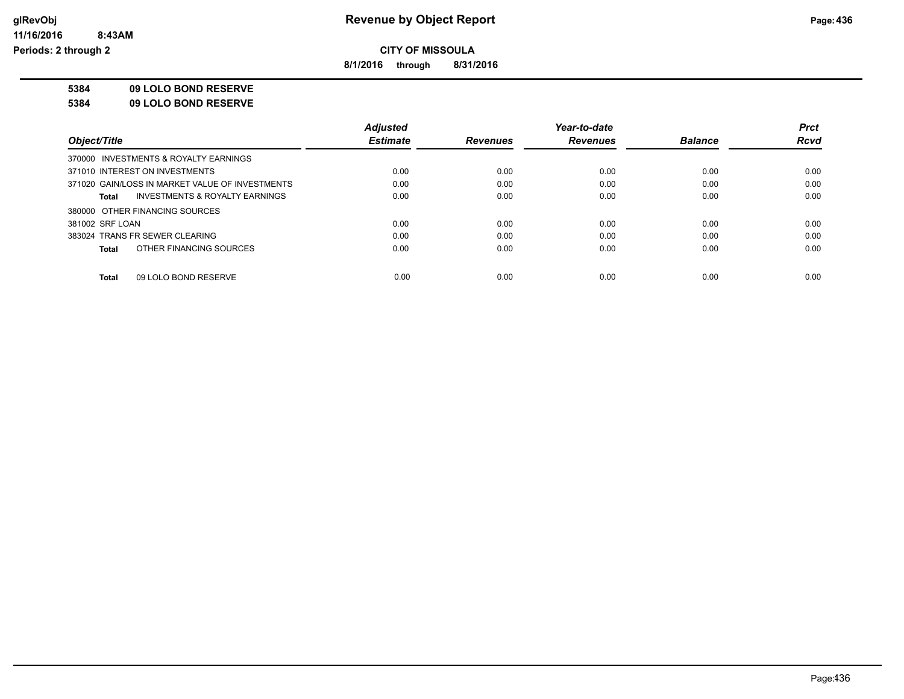**8/1/2016 through 8/31/2016**

**5384 09 LOLO BOND RESERVE**

**5384 09 LOLO BOND RESERVE**

|                                                    | <b>Adjusted</b> |                 | Year-to-date    |                | <b>Prct</b> |
|----------------------------------------------------|-----------------|-----------------|-----------------|----------------|-------------|
| Object/Title                                       | <b>Estimate</b> | <b>Revenues</b> | <b>Revenues</b> | <b>Balance</b> | <b>Rcvd</b> |
| 370000 INVESTMENTS & ROYALTY EARNINGS              |                 |                 |                 |                |             |
| 371010 INTEREST ON INVESTMENTS                     | 0.00            | 0.00            | 0.00            | 0.00           | 0.00        |
| 371020 GAIN/LOSS IN MARKET VALUE OF INVESTMENTS    | 0.00            | 0.00            | 0.00            | 0.00           | 0.00        |
| <b>INVESTMENTS &amp; ROYALTY EARNINGS</b><br>Total | 0.00            | 0.00            | 0.00            | 0.00           | 0.00        |
| 380000 OTHER FINANCING SOURCES                     |                 |                 |                 |                |             |
| 381002 SRF LOAN                                    | 0.00            | 0.00            | 0.00            | 0.00           | 0.00        |
| 383024 TRANS FR SEWER CLEARING                     | 0.00            | 0.00            | 0.00            | 0.00           | 0.00        |
| OTHER FINANCING SOURCES<br>Total                   | 0.00            | 0.00            | 0.00            | 0.00           | 0.00        |
| 09 LOLO BOND RESERVE<br>Total                      | 0.00            | 0.00            | 0.00            | 0.00           | 0.00        |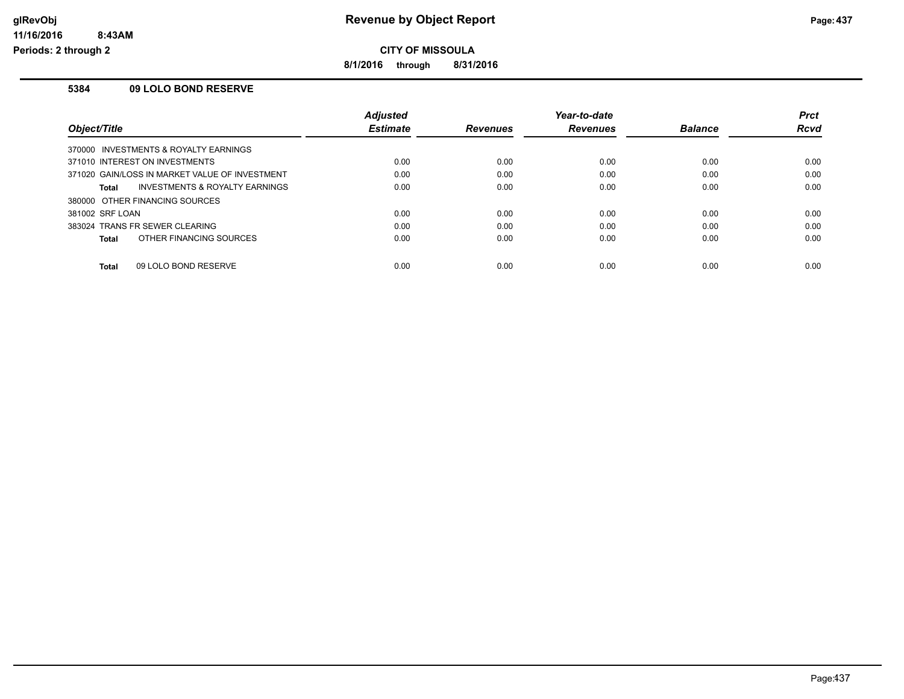**11/16/2016 8:43AM Periods: 2 through 2**

#### **CITY OF MISSOULA**

**8/1/2016 through 8/31/2016**

### **5384 09 LOLO BOND RESERVE**

|                                                | <b>Adiusted</b> |                 | Year-to-date    |                | <b>Prct</b> |
|------------------------------------------------|-----------------|-----------------|-----------------|----------------|-------------|
| Object/Title                                   | <b>Estimate</b> | <b>Revenues</b> | <b>Revenues</b> | <b>Balance</b> | <b>Rcvd</b> |
| 370000 INVESTMENTS & ROYALTY EARNINGS          |                 |                 |                 |                |             |
| 371010 INTEREST ON INVESTMENTS                 | 0.00            | 0.00            | 0.00            | 0.00           | 0.00        |
| 371020 GAIN/LOSS IN MARKET VALUE OF INVESTMENT | 0.00            | 0.00            | 0.00            | 0.00           | 0.00        |
| INVESTMENTS & ROYALTY EARNINGS<br><b>Total</b> | 0.00            | 0.00            | 0.00            | 0.00           | 0.00        |
| 380000 OTHER FINANCING SOURCES                 |                 |                 |                 |                |             |
| 381002 SRF LOAN                                | 0.00            | 0.00            | 0.00            | 0.00           | 0.00        |
| 383024 TRANS FR SEWER CLEARING                 | 0.00            | 0.00            | 0.00            | 0.00           | 0.00        |
| Total<br>OTHER FINANCING SOURCES               | 0.00            | 0.00            | 0.00            | 0.00           | 0.00        |
| 09 LOLO BOND RESERVE<br>Total                  | 0.00            | 0.00            | 0.00            | 0.00           | 0.00        |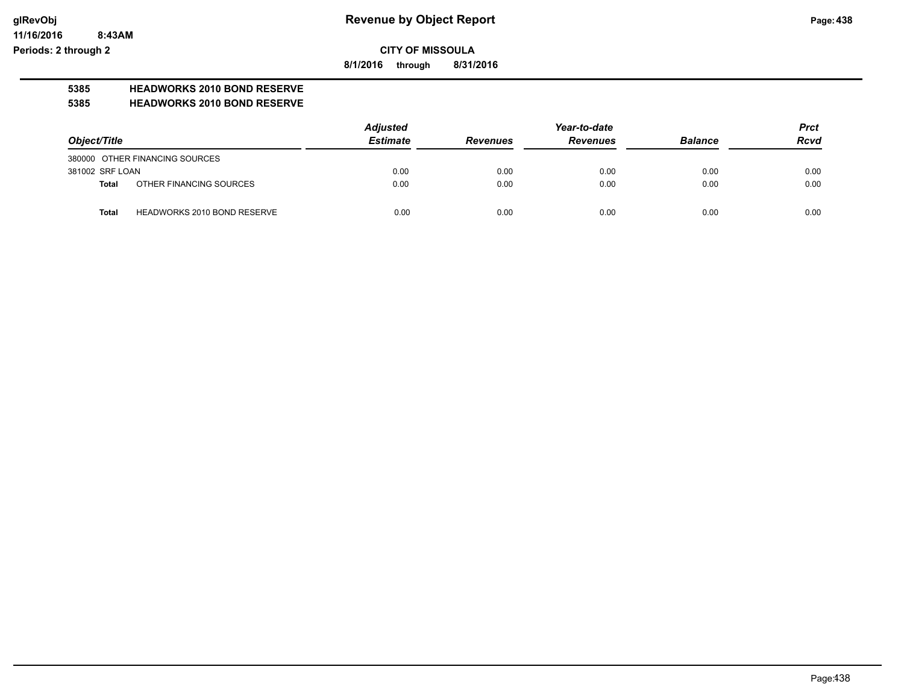**8/1/2016 through 8/31/2016**

## **5385 HEADWORKS 2010 BOND RESERVE**

## **5385 HEADWORKS 2010 BOND RESERVE**

|                 |                                | <b>Adjusted</b> |                 | Year-to-date    |                | <b>Prct</b> |
|-----------------|--------------------------------|-----------------|-----------------|-----------------|----------------|-------------|
| Object/Title    |                                | <b>Estimate</b> | <b>Revenues</b> | <b>Revenues</b> | <b>Balance</b> | <b>Rcvd</b> |
|                 | 380000 OTHER FINANCING SOURCES |                 |                 |                 |                |             |
| 381002 SRF LOAN |                                | 0.00            | 0.00            | 0.00            | 0.00           | 0.00        |
| <b>Total</b>    | OTHER FINANCING SOURCES        | 0.00            | 0.00            | 0.00            | 0.00           | 0.00        |
| <b>Total</b>    | HEADWORKS 2010 BOND RESERVE    | 0.00            | 0.00            | 0.00            | 0.00           | 0.00        |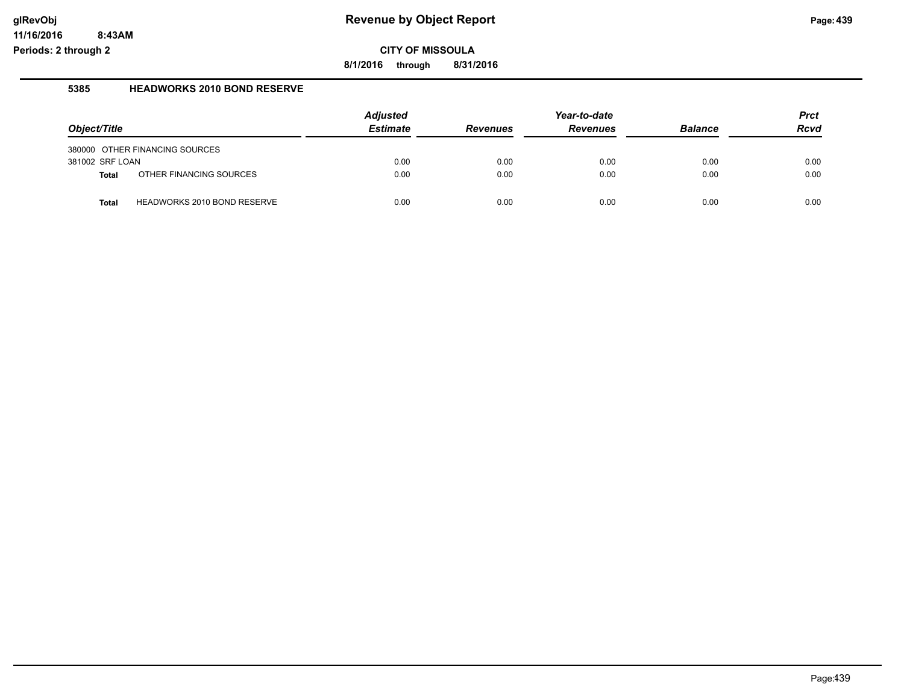**8/1/2016 through 8/31/2016**

### **5385 HEADWORKS 2010 BOND RESERVE**

|                 |                                | <b>Adjusted</b> |                 | <b>Prct</b>     |                |             |
|-----------------|--------------------------------|-----------------|-----------------|-----------------|----------------|-------------|
| Object/Title    |                                | <b>Estimate</b> | <b>Revenues</b> | <b>Revenues</b> | <b>Balance</b> | <b>Rcvd</b> |
|                 | 380000 OTHER FINANCING SOURCES |                 |                 |                 |                |             |
| 381002 SRF LOAN |                                | 0.00            | 0.00            | 0.00            | 0.00           | 0.00        |
| <b>Total</b>    | OTHER FINANCING SOURCES        | 0.00            | 0.00            | 0.00            | 0.00           | 0.00        |
| <b>Total</b>    | HEADWORKS 2010 BOND RESERVE    | 0.00            | 0.00            | 0.00            | 0.00           | 0.00        |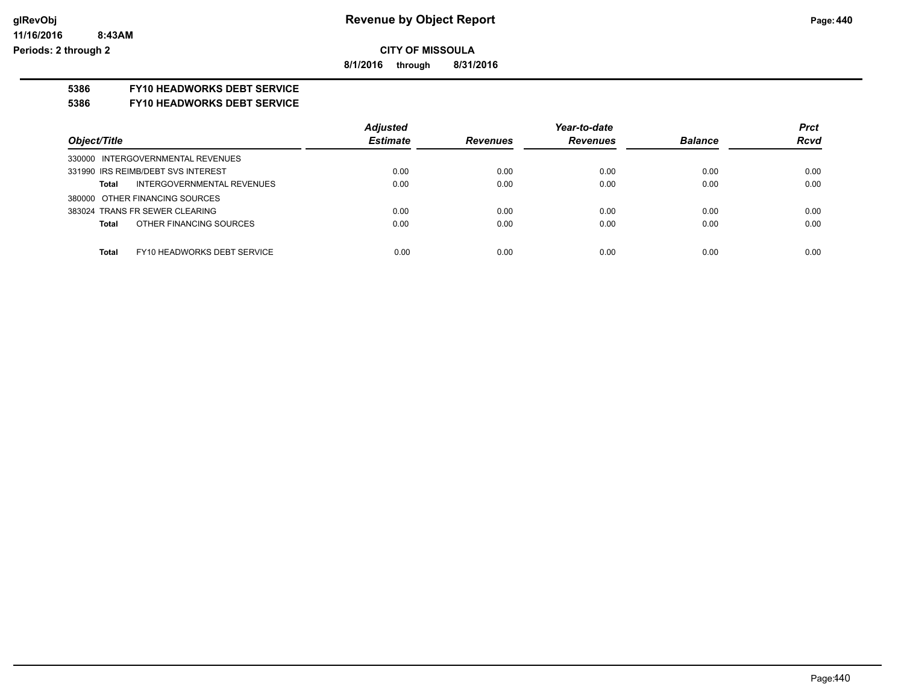**8/1/2016 through 8/31/2016**

## **5386 FY10 HEADWORKS DEBT SERVICE**

### **5386 FY10 HEADWORKS DEBT SERVICE**

|                                             | <b>Adiusted</b> |                 | Year-to-date    |                | <b>Prct</b> |
|---------------------------------------------|-----------------|-----------------|-----------------|----------------|-------------|
| Object/Title                                | <b>Estimate</b> | <b>Revenues</b> | <b>Revenues</b> | <b>Balance</b> | <b>Rcvd</b> |
| 330000 INTERGOVERNMENTAL REVENUES           |                 |                 |                 |                |             |
| 331990 IRS REIMB/DEBT SVS INTEREST          | 0.00            | 0.00            | 0.00            | 0.00           | 0.00        |
| INTERGOVERNMENTAL REVENUES<br><b>Total</b>  | 0.00            | 0.00            | 0.00            | 0.00           | 0.00        |
| 380000 OTHER FINANCING SOURCES              |                 |                 |                 |                |             |
| 383024 TRANS FR SEWER CLEARING              | 0.00            | 0.00            | 0.00            | 0.00           | 0.00        |
| OTHER FINANCING SOURCES<br>Total            | 0.00            | 0.00            | 0.00            | 0.00           | 0.00        |
|                                             |                 |                 |                 |                |             |
| <b>FY10 HEADWORKS DEBT SERVICE</b><br>Total | 0.00            | 0.00            | 0.00            | 0.00           | 0.00        |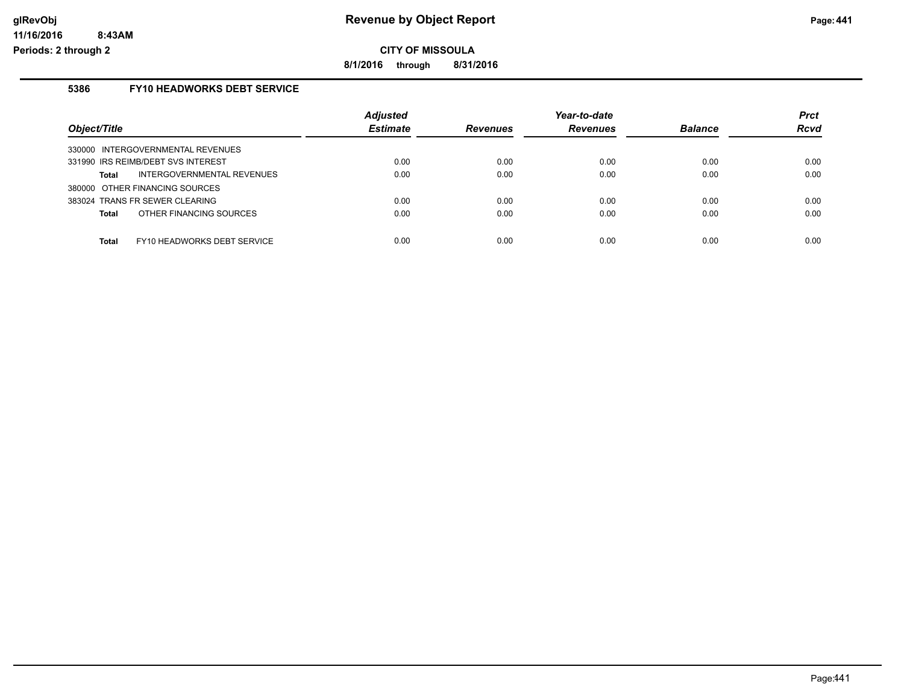**8/1/2016 through 8/31/2016**

## **5386 FY10 HEADWORKS DEBT SERVICE**

| Object/Title                                | <b>Adjusted</b><br><b>Estimate</b> | <b>Revenues</b> | Year-to-date<br><b>Revenues</b> | <b>Balance</b> | <b>Prct</b><br><b>Rcvd</b> |
|---------------------------------------------|------------------------------------|-----------------|---------------------------------|----------------|----------------------------|
| 330000 INTERGOVERNMENTAL REVENUES           |                                    |                 |                                 |                |                            |
| 331990 IRS REIMB/DEBT SVS INTEREST          | 0.00                               | 0.00            | 0.00                            | 0.00           | 0.00                       |
| INTERGOVERNMENTAL REVENUES<br>Total         | 0.00                               | 0.00            | 0.00                            | 0.00           | 0.00                       |
| 380000 OTHER FINANCING SOURCES              |                                    |                 |                                 |                |                            |
| 383024 TRANS FR SEWER CLEARING              | 0.00                               | 0.00            | 0.00                            | 0.00           | 0.00                       |
| OTHER FINANCING SOURCES<br><b>Total</b>     | 0.00                               | 0.00            | 0.00                            | 0.00           | 0.00                       |
|                                             |                                    |                 |                                 |                |                            |
| <b>FY10 HEADWORKS DEBT SERVICE</b><br>Total | 0.00                               | 0.00            | 0.00                            | 0.00           | 0.00                       |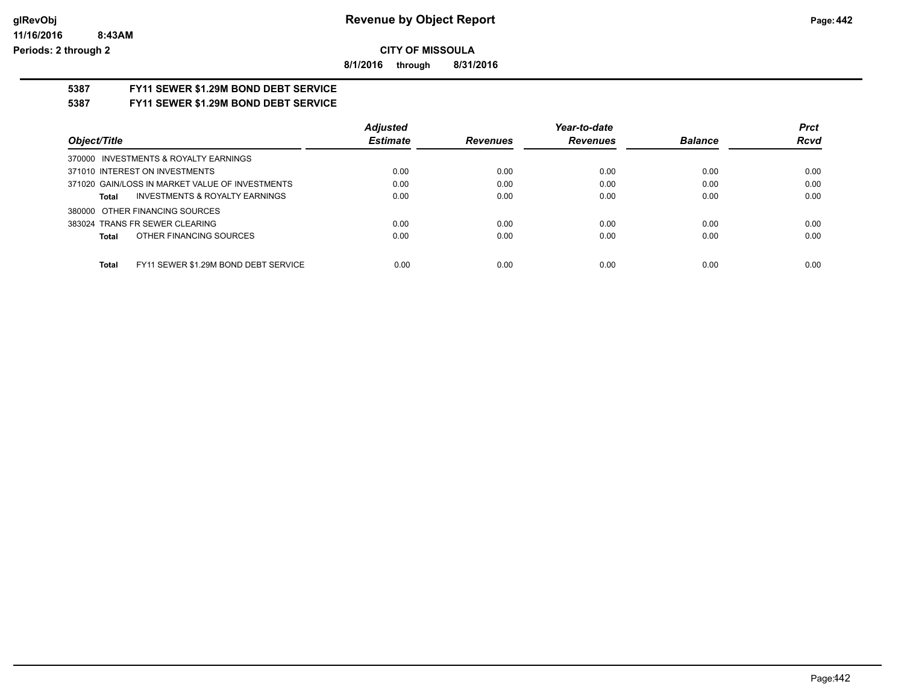**Periods: 2 through 2**

**CITY OF MISSOULA**

**8/1/2016 through 8/31/2016**

# **5387 FY11 SEWER \$1.29M BOND DEBT SERVICE**

## **5387 FY11 SEWER \$1.29M BOND DEBT SERVICE**

|                                                    | <b>Adjusted</b> |                 | Year-to-date    |                | <b>Prct</b> |
|----------------------------------------------------|-----------------|-----------------|-----------------|----------------|-------------|
| Object/Title                                       | <b>Estimate</b> | <b>Revenues</b> | <b>Revenues</b> | <b>Balance</b> | <b>Rcvd</b> |
| 370000 INVESTMENTS & ROYALTY EARNINGS              |                 |                 |                 |                |             |
| 371010 INTEREST ON INVESTMENTS                     | 0.00            | 0.00            | 0.00            | 0.00           | 0.00        |
| 371020 GAIN/LOSS IN MARKET VALUE OF INVESTMENTS    | 0.00            | 0.00            | 0.00            | 0.00           | 0.00        |
| <b>INVESTMENTS &amp; ROYALTY EARNINGS</b><br>Total | 0.00            | 0.00            | 0.00            | 0.00           | 0.00        |
| 380000 OTHER FINANCING SOURCES                     |                 |                 |                 |                |             |
| 383024 TRANS FR SEWER CLEARING                     | 0.00            | 0.00            | 0.00            | 0.00           | 0.00        |
| OTHER FINANCING SOURCES<br>Total                   | 0.00            | 0.00            | 0.00            | 0.00           | 0.00        |
|                                                    |                 |                 |                 |                |             |
| FY11 SEWER \$1.29M BOND DEBT SERVICE<br>Total      | 0.00            | 0.00            | 0.00            | 0.00           | 0.00        |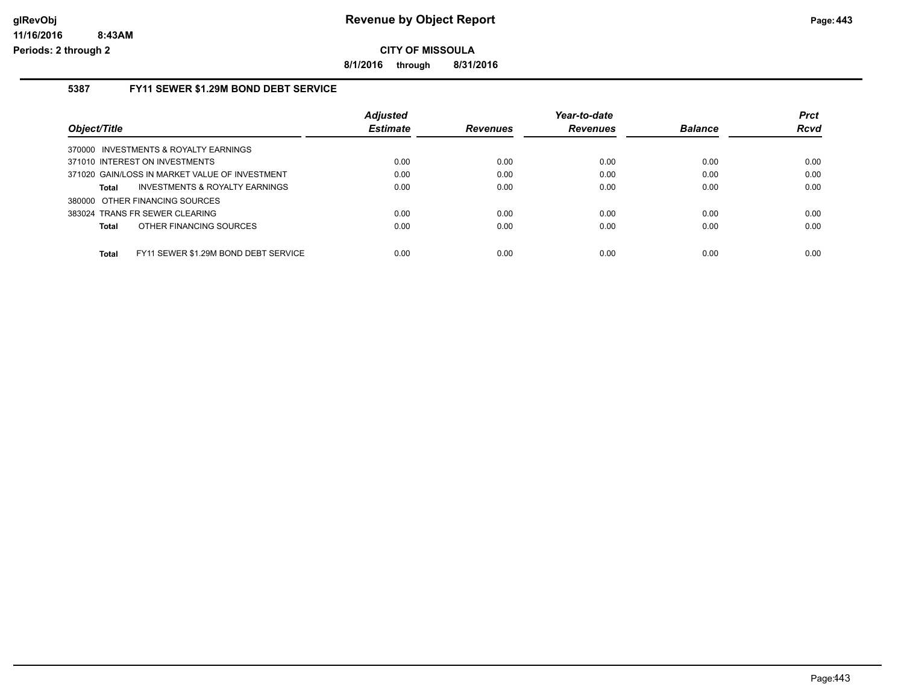**8/1/2016 through 8/31/2016**

## **5387 FY11 SEWER \$1.29M BOND DEBT SERVICE**

|                                                      | <b>Adjusted</b> |                 | Year-to-date    |                | <b>Prct</b> |
|------------------------------------------------------|-----------------|-----------------|-----------------|----------------|-------------|
| Object/Title                                         | <b>Estimate</b> | <b>Revenues</b> | <b>Revenues</b> | <b>Balance</b> | <b>Rcvd</b> |
| 370000 INVESTMENTS & ROYALTY EARNINGS                |                 |                 |                 |                |             |
| 371010 INTEREST ON INVESTMENTS                       | 0.00            | 0.00            | 0.00            | 0.00           | 0.00        |
| 371020 GAIN/LOSS IN MARKET VALUE OF INVESTMENT       | 0.00            | 0.00            | 0.00            | 0.00           | 0.00        |
| INVESTMENTS & ROYALTY EARNINGS<br>Total              | 0.00            | 0.00            | 0.00            | 0.00           | 0.00        |
| 380000 OTHER FINANCING SOURCES                       |                 |                 |                 |                |             |
| 383024 TRANS FR SEWER CLEARING                       | 0.00            | 0.00            | 0.00            | 0.00           | 0.00        |
| OTHER FINANCING SOURCES<br>Total                     | 0.00            | 0.00            | 0.00            | 0.00           | 0.00        |
|                                                      |                 |                 |                 |                |             |
| <b>Total</b><br>FY11 SEWER \$1.29M BOND DEBT SERVICE | 0.00            | 0.00            | 0.00            | 0.00           | 0.00        |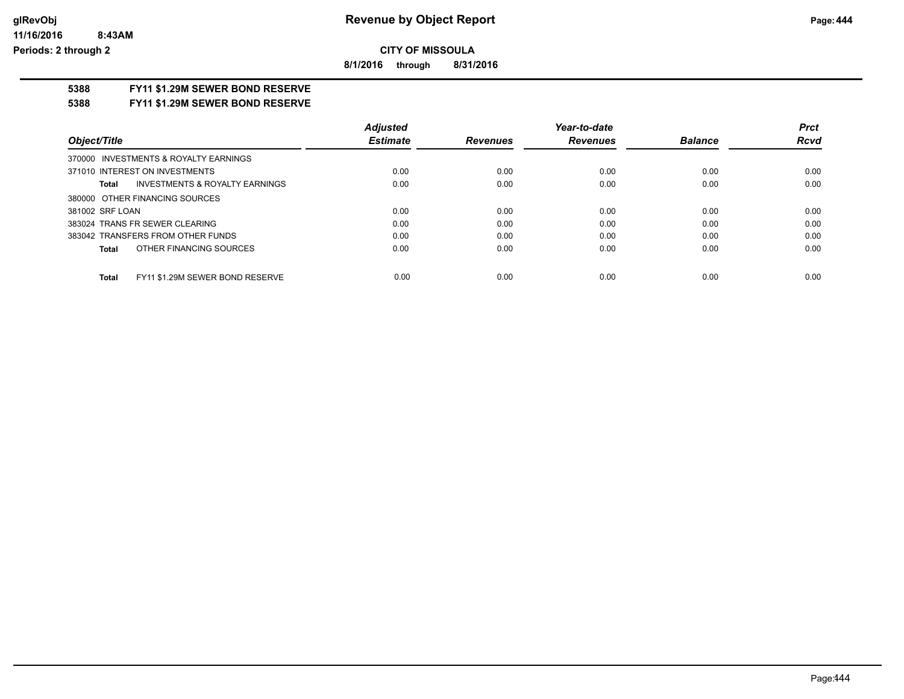**8/1/2016 through 8/31/2016**

## **5388 FY11 \$1.29M SEWER BOND RESERVE**

**5388 FY11 \$1.29M SEWER BOND RESERVE**

|                                          | <b>Adjusted</b> |                 | Year-to-date    |                | <b>Prct</b> |
|------------------------------------------|-----------------|-----------------|-----------------|----------------|-------------|
| Object/Title                             | <b>Estimate</b> | <b>Revenues</b> | <b>Revenues</b> | <b>Balance</b> | <b>Rcvd</b> |
| 370000 INVESTMENTS & ROYALTY EARNINGS    |                 |                 |                 |                |             |
| 371010 INTEREST ON INVESTMENTS           | 0.00            | 0.00            | 0.00            | 0.00           | 0.00        |
| INVESTMENTS & ROYALTY EARNINGS<br>Total  | 0.00            | 0.00            | 0.00            | 0.00           | 0.00        |
| 380000 OTHER FINANCING SOURCES           |                 |                 |                 |                |             |
| 381002 SRF LOAN                          | 0.00            | 0.00            | 0.00            | 0.00           | 0.00        |
| 383024 TRANS FR SEWER CLEARING           | 0.00            | 0.00            | 0.00            | 0.00           | 0.00        |
| 383042 TRANSFERS FROM OTHER FUNDS        | 0.00            | 0.00            | 0.00            | 0.00           | 0.00        |
| OTHER FINANCING SOURCES<br>Total         | 0.00            | 0.00            | 0.00            | 0.00           | 0.00        |
| FY11 \$1.29M SEWER BOND RESERVE<br>Total | 0.00            | 0.00            | 0.00            | 0.00           | 0.00        |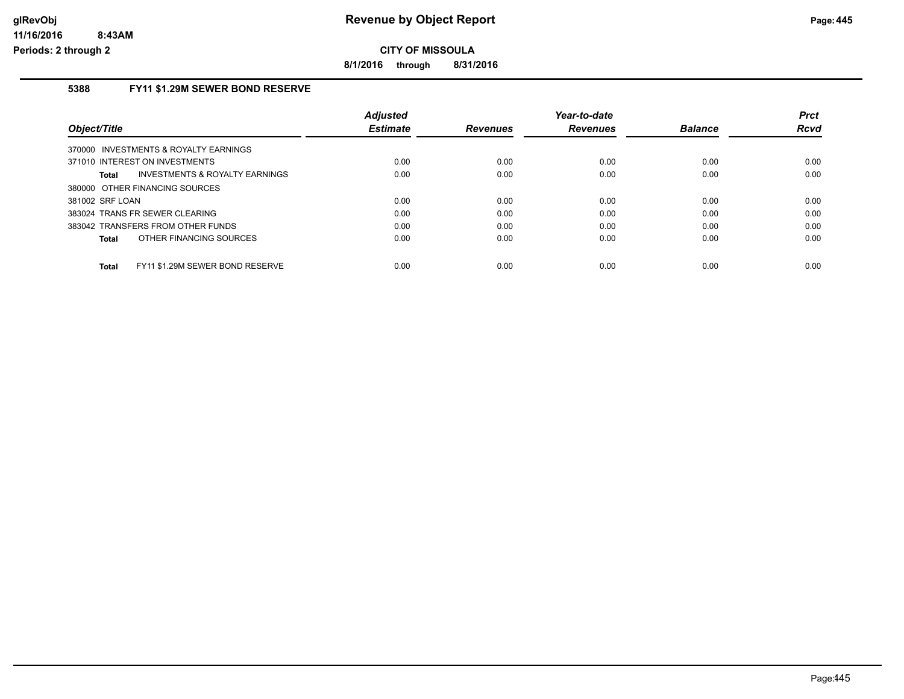**8/1/2016 through 8/31/2016**

## **5388 FY11 \$1.29M SEWER BOND RESERVE**

|                                                 | <b>Adjusted</b> |                 | Year-to-date    |                | <b>Prct</b> |
|-------------------------------------------------|-----------------|-----------------|-----------------|----------------|-------------|
| Object/Title                                    | <b>Estimate</b> | <b>Revenues</b> | <b>Revenues</b> | <b>Balance</b> | <b>Rcvd</b> |
| 370000 INVESTMENTS & ROYALTY EARNINGS           |                 |                 |                 |                |             |
| 371010 INTEREST ON INVESTMENTS                  | 0.00            | 0.00            | 0.00            | 0.00           | 0.00        |
| INVESTMENTS & ROYALTY EARNINGS<br>Total         | 0.00            | 0.00            | 0.00            | 0.00           | 0.00        |
| 380000 OTHER FINANCING SOURCES                  |                 |                 |                 |                |             |
| 381002 SRF LOAN                                 | 0.00            | 0.00            | 0.00            | 0.00           | 0.00        |
| 383024 TRANS FR SEWER CLEARING                  | 0.00            | 0.00            | 0.00            | 0.00           | 0.00        |
| 383042 TRANSFERS FROM OTHER FUNDS               | 0.00            | 0.00            | 0.00            | 0.00           | 0.00        |
| OTHER FINANCING SOURCES<br>Total                | 0.00            | 0.00            | 0.00            | 0.00           | 0.00        |
| FY11 \$1.29M SEWER BOND RESERVE<br><b>Total</b> | 0.00            | 0.00            | 0.00            | 0.00           | 0.00        |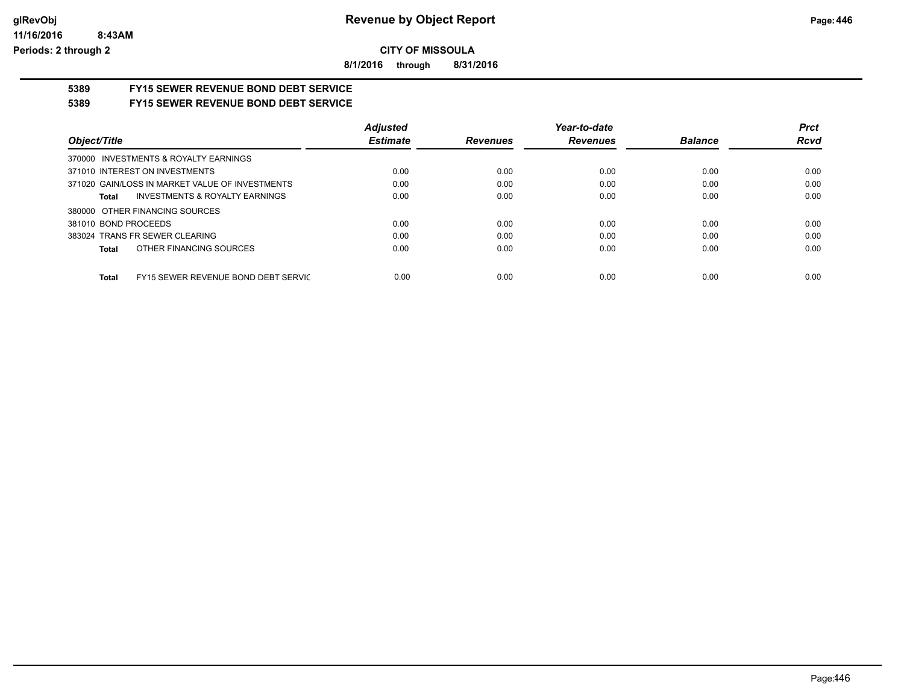**11/16/2016 8:43AM Periods: 2 through 2**

**CITY OF MISSOULA**

**8/1/2016 through 8/31/2016**

# **5389 FY15 SEWER REVENUE BOND DEBT SERVICE**

## **5389 FY15 SEWER REVENUE BOND DEBT SERVICE**

|                                                     | <b>Adjusted</b> |          | Year-to-date    |                | <b>Prct</b> |
|-----------------------------------------------------|-----------------|----------|-----------------|----------------|-------------|
| Object/Title                                        | <b>Estimate</b> | Revenues | <b>Revenues</b> | <b>Balance</b> | <b>Rcvd</b> |
| 370000 INVESTMENTS & ROYALTY EARNINGS               |                 |          |                 |                |             |
| 371010 INTEREST ON INVESTMENTS                      | 0.00            | 0.00     | 0.00            | 0.00           | 0.00        |
| 371020 GAIN/LOSS IN MARKET VALUE OF INVESTMENTS     | 0.00            | 0.00     | 0.00            | 0.00           | 0.00        |
| <b>INVESTMENTS &amp; ROYALTY EARNINGS</b><br>Total  | 0.00            | 0.00     | 0.00            | 0.00           | 0.00        |
| 380000 OTHER FINANCING SOURCES                      |                 |          |                 |                |             |
| 381010 BOND PROCEEDS                                | 0.00            | 0.00     | 0.00            | 0.00           | 0.00        |
| 383024 TRANS FR SEWER CLEARING                      | 0.00            | 0.00     | 0.00            | 0.00           | 0.00        |
| OTHER FINANCING SOURCES<br>Total                    | 0.00            | 0.00     | 0.00            | 0.00           | 0.00        |
|                                                     |                 |          |                 |                |             |
| FY15 SEWER REVENUE BOND DEBT SERVIC<br><b>Total</b> | 0.00            | 0.00     | 0.00            | 0.00           | 0.00        |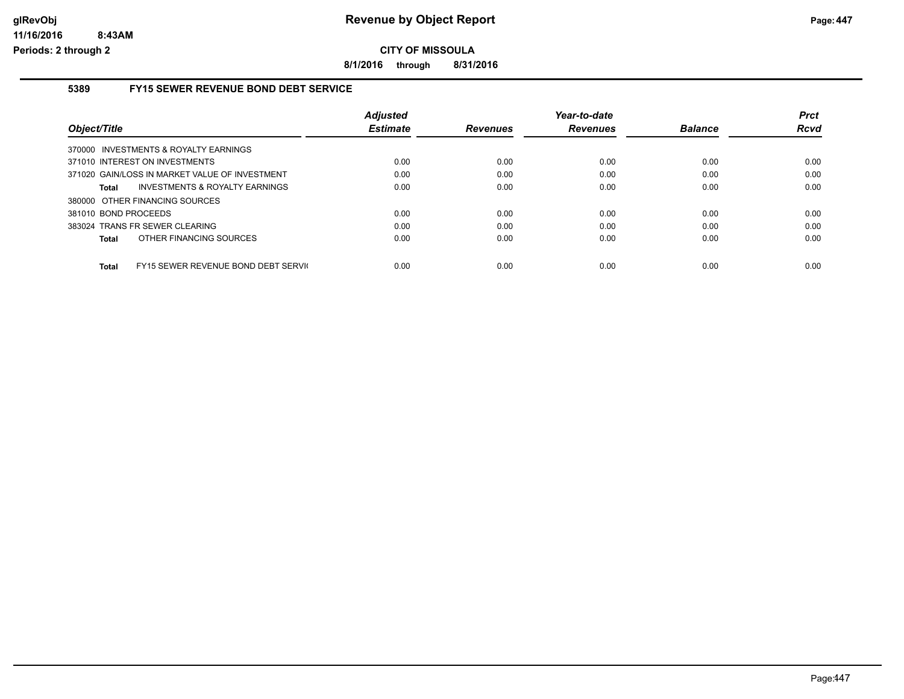**Periods: 2 through 2**

 **8:43AM**

**CITY OF MISSOULA**

**8/1/2016 through 8/31/2016**

## **5389 FY15 SEWER REVENUE BOND DEBT SERVICE**

|                                                     | <b>Adjusted</b> |                 | Year-to-date    |                | <b>Prct</b> |
|-----------------------------------------------------|-----------------|-----------------|-----------------|----------------|-------------|
| Object/Title                                        | <b>Estimate</b> | <b>Revenues</b> | <b>Revenues</b> | <b>Balance</b> | Rcvd        |
| 370000 INVESTMENTS & ROYALTY EARNINGS               |                 |                 |                 |                |             |
| 371010 INTEREST ON INVESTMENTS                      | 0.00            | 0.00            | 0.00            | 0.00           | 0.00        |
| 371020 GAIN/LOSS IN MARKET VALUE OF INVESTMENT      | 0.00            | 0.00            | 0.00            | 0.00           | 0.00        |
| INVESTMENTS & ROYALTY EARNINGS<br><b>Total</b>      | 0.00            | 0.00            | 0.00            | 0.00           | 0.00        |
| 380000 OTHER FINANCING SOURCES                      |                 |                 |                 |                |             |
| 381010 BOND PROCEEDS                                | 0.00            | 0.00            | 0.00            | 0.00           | 0.00        |
| 383024 TRANS FR SEWER CLEARING                      | 0.00            | 0.00            | 0.00            | 0.00           | 0.00        |
| OTHER FINANCING SOURCES<br>Total                    | 0.00            | 0.00            | 0.00            | 0.00           | 0.00        |
|                                                     |                 |                 |                 |                |             |
| FY15 SEWER REVENUE BOND DEBT SERVIC<br><b>Total</b> | 0.00            | 0.00            | 0.00            | 0.00           | 0.00        |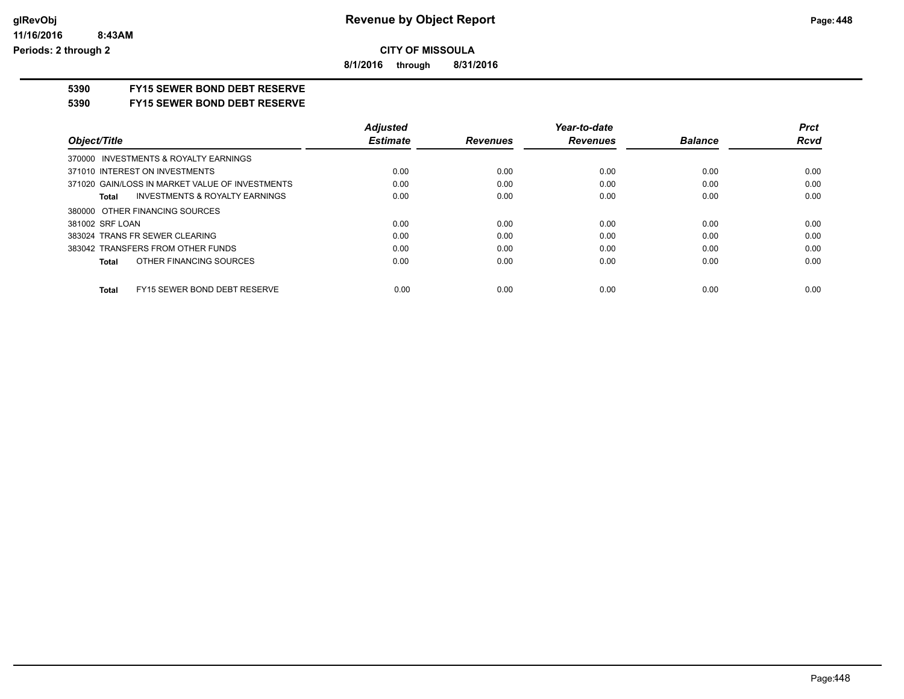**8/1/2016 through 8/31/2016**

## **5390 FY15 SEWER BOND DEBT RESERVE**

## **5390 FY15 SEWER BOND DEBT RESERVE**

|                                                    | <b>Adjusted</b> |                 | Year-to-date    |                | <b>Prct</b> |
|----------------------------------------------------|-----------------|-----------------|-----------------|----------------|-------------|
| Object/Title                                       | <b>Estimate</b> | <b>Revenues</b> | <b>Revenues</b> | <b>Balance</b> | <b>Rcvd</b> |
| 370000 INVESTMENTS & ROYALTY EARNINGS              |                 |                 |                 |                |             |
| 371010 INTEREST ON INVESTMENTS                     | 0.00            | 0.00            | 0.00            | 0.00           | 0.00        |
| 371020 GAIN/LOSS IN MARKET VALUE OF INVESTMENTS    | 0.00            | 0.00            | 0.00            | 0.00           | 0.00        |
| <b>INVESTMENTS &amp; ROYALTY EARNINGS</b><br>Total | 0.00            | 0.00            | 0.00            | 0.00           | 0.00        |
| 380000 OTHER FINANCING SOURCES                     |                 |                 |                 |                |             |
| 381002 SRF LOAN                                    | 0.00            | 0.00            | 0.00            | 0.00           | 0.00        |
| 383024 TRANS FR SEWER CLEARING                     | 0.00            | 0.00            | 0.00            | 0.00           | 0.00        |
| 383042 TRANSFERS FROM OTHER FUNDS                  | 0.00            | 0.00            | 0.00            | 0.00           | 0.00        |
| OTHER FINANCING SOURCES<br>Total                   | 0.00            | 0.00            | 0.00            | 0.00           | 0.00        |
| <b>FY15 SEWER BOND DEBT RESERVE</b><br>Total       | 0.00            | 0.00            | 0.00            | 0.00           | 0.00        |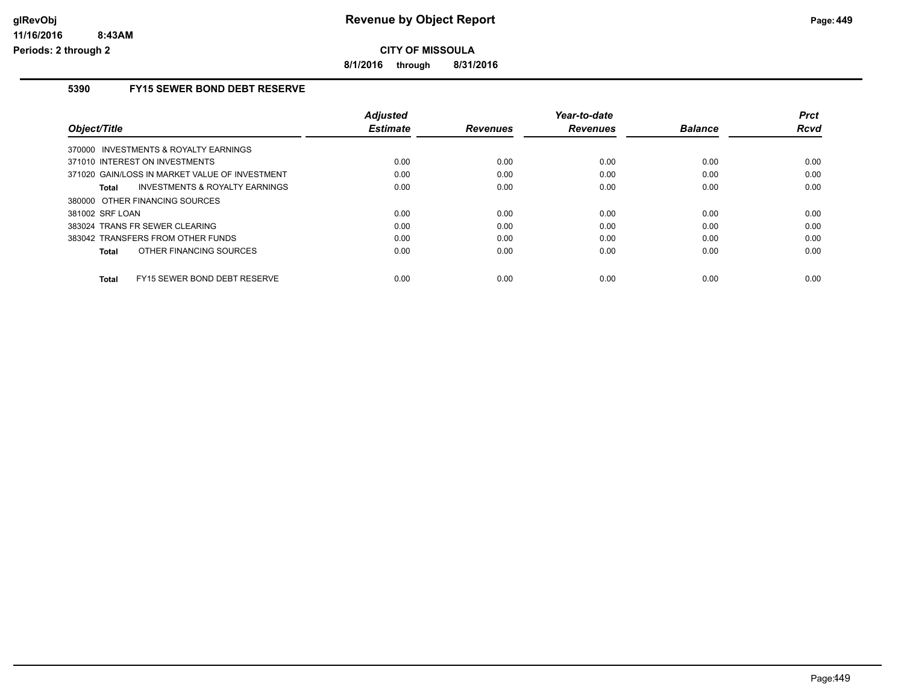**8/1/2016 through 8/31/2016**

## **5390 FY15 SEWER BOND DEBT RESERVE**

| Object/Title                                       | <b>Adjusted</b><br><b>Estimate</b> | <b>Revenues</b> | Year-to-date<br><b>Revenues</b> | <b>Balance</b> | <b>Prct</b><br>Rcvd |
|----------------------------------------------------|------------------------------------|-----------------|---------------------------------|----------------|---------------------|
| 370000 INVESTMENTS & ROYALTY EARNINGS              |                                    |                 |                                 |                |                     |
| 371010 INTEREST ON INVESTMENTS                     | 0.00                               | 0.00            | 0.00                            | 0.00           | 0.00                |
| 371020 GAIN/LOSS IN MARKET VALUE OF INVESTMENT     | 0.00                               | 0.00            | 0.00                            | 0.00           | 0.00                |
| <b>INVESTMENTS &amp; ROYALTY EARNINGS</b><br>Total | 0.00                               | 0.00            | 0.00                            | 0.00           | 0.00                |
| 380000 OTHER FINANCING SOURCES                     |                                    |                 |                                 |                |                     |
| 381002 SRF LOAN                                    | 0.00                               | 0.00            | 0.00                            | 0.00           | 0.00                |
| 383024 TRANS FR SEWER CLEARING                     | 0.00                               | 0.00            | 0.00                            | 0.00           | 0.00                |
| 383042 TRANSFERS FROM OTHER FUNDS                  | 0.00                               | 0.00            | 0.00                            | 0.00           | 0.00                |
| OTHER FINANCING SOURCES<br>Total                   | 0.00                               | 0.00            | 0.00                            | 0.00           | 0.00                |
| FY15 SEWER BOND DEBT RESERVE<br>Total              | 0.00                               | 0.00            | 0.00                            | 0.00           | 0.00                |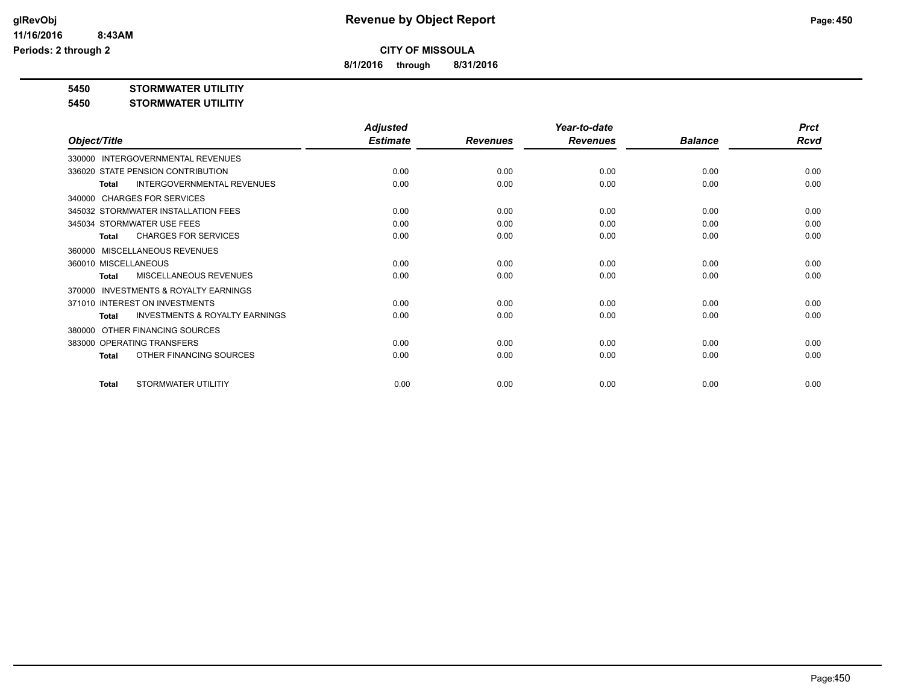**8/1/2016 through 8/31/2016**

#### **5450 STORMWATER UTILITIY**

#### **5450 STORMWATER UTILITIY**

|                                                     | <b>Adjusted</b> |                 | Year-to-date    |                | <b>Prct</b> |
|-----------------------------------------------------|-----------------|-----------------|-----------------|----------------|-------------|
| Object/Title                                        | <b>Estimate</b> | <b>Revenues</b> | <b>Revenues</b> | <b>Balance</b> | Rcvd        |
| 330000 INTERGOVERNMENTAL REVENUES                   |                 |                 |                 |                |             |
| 336020 STATE PENSION CONTRIBUTION                   | 0.00            | 0.00            | 0.00            | 0.00           | 0.00        |
| <b>INTERGOVERNMENTAL REVENUES</b><br>Total          | 0.00            | 0.00            | 0.00            | 0.00           | 0.00        |
| 340000 CHARGES FOR SERVICES                         |                 |                 |                 |                |             |
| 345032 STORMWATER INSTALLATION FEES                 | 0.00            | 0.00            | 0.00            | 0.00           | 0.00        |
| 345034 STORMWATER USE FEES                          | 0.00            | 0.00            | 0.00            | 0.00           | 0.00        |
| <b>CHARGES FOR SERVICES</b><br>Total                | 0.00            | 0.00            | 0.00            | 0.00           | 0.00        |
| 360000 MISCELLANEOUS REVENUES                       |                 |                 |                 |                |             |
| 360010 MISCELLANEOUS                                | 0.00            | 0.00            | 0.00            | 0.00           | 0.00        |
| <b>MISCELLANEOUS REVENUES</b><br><b>Total</b>       | 0.00            | 0.00            | 0.00            | 0.00           | 0.00        |
| <b>INVESTMENTS &amp; ROYALTY EARNINGS</b><br>370000 |                 |                 |                 |                |             |
| 371010 INTEREST ON INVESTMENTS                      | 0.00            | 0.00            | 0.00            | 0.00           | 0.00        |
| <b>INVESTMENTS &amp; ROYALTY EARNINGS</b><br>Total  | 0.00            | 0.00            | 0.00            | 0.00           | 0.00        |
| 380000 OTHER FINANCING SOURCES                      |                 |                 |                 |                |             |
| 383000 OPERATING TRANSFERS                          | 0.00            | 0.00            | 0.00            | 0.00           | 0.00        |
| OTHER FINANCING SOURCES<br><b>Total</b>             | 0.00            | 0.00            | 0.00            | 0.00           | 0.00        |
|                                                     |                 |                 |                 |                |             |
| STORMWATER UTILITIY<br><b>Total</b>                 | 0.00            | 0.00            | 0.00            | 0.00           | 0.00        |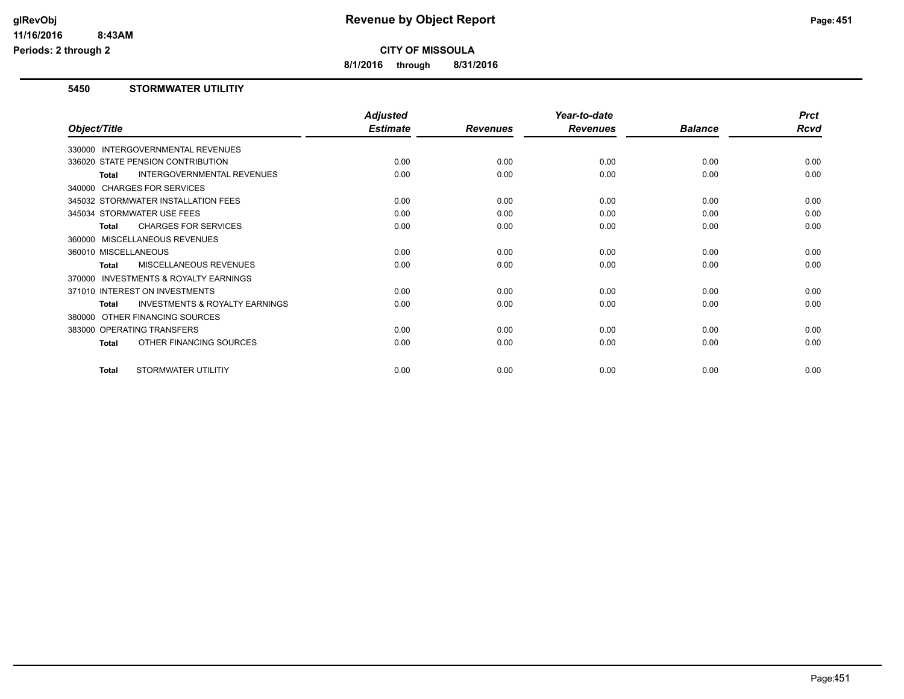**8/1/2016 through 8/31/2016**

## **5450 STORMWATER UTILITIY**

|                                                           | <b>Adjusted</b> |                 | Year-to-date    |                | <b>Prct</b> |
|-----------------------------------------------------------|-----------------|-----------------|-----------------|----------------|-------------|
| Object/Title                                              | <b>Estimate</b> | <b>Revenues</b> | <b>Revenues</b> | <b>Balance</b> | <b>Rcvd</b> |
| INTERGOVERNMENTAL REVENUES<br>330000                      |                 |                 |                 |                |             |
| 336020 STATE PENSION CONTRIBUTION                         | 0.00            | 0.00            | 0.00            | 0.00           | 0.00        |
| <b>INTERGOVERNMENTAL REVENUES</b><br><b>Total</b>         | 0.00            | 0.00            | 0.00            | 0.00           | 0.00        |
| 340000 CHARGES FOR SERVICES                               |                 |                 |                 |                |             |
| 345032 STORMWATER INSTALLATION FEES                       | 0.00            | 0.00            | 0.00            | 0.00           | 0.00        |
| 345034 STORMWATER USE FEES                                | 0.00            | 0.00            | 0.00            | 0.00           | 0.00        |
| <b>CHARGES FOR SERVICES</b><br><b>Total</b>               | 0.00            | 0.00            | 0.00            | 0.00           | 0.00        |
| 360000 MISCELLANEOUS REVENUES                             |                 |                 |                 |                |             |
| 360010 MISCELLANEOUS                                      | 0.00            | 0.00            | 0.00            | 0.00           | 0.00        |
| MISCELLANEOUS REVENUES<br><b>Total</b>                    | 0.00            | 0.00            | 0.00            | 0.00           | 0.00        |
| <b>INVESTMENTS &amp; ROYALTY EARNINGS</b><br>370000       |                 |                 |                 |                |             |
| 371010 INTEREST ON INVESTMENTS                            | 0.00            | 0.00            | 0.00            | 0.00           | 0.00        |
| <b>INVESTMENTS &amp; ROYALTY EARNINGS</b><br><b>Total</b> | 0.00            | 0.00            | 0.00            | 0.00           | 0.00        |
| OTHER FINANCING SOURCES<br>380000                         |                 |                 |                 |                |             |
| 383000 OPERATING TRANSFERS                                | 0.00            | 0.00            | 0.00            | 0.00           | 0.00        |
| OTHER FINANCING SOURCES<br><b>Total</b>                   | 0.00            | 0.00            | 0.00            | 0.00           | 0.00        |
| STORMWATER UTILITIY<br><b>Total</b>                       | 0.00            | 0.00            | 0.00            | 0.00           | 0.00        |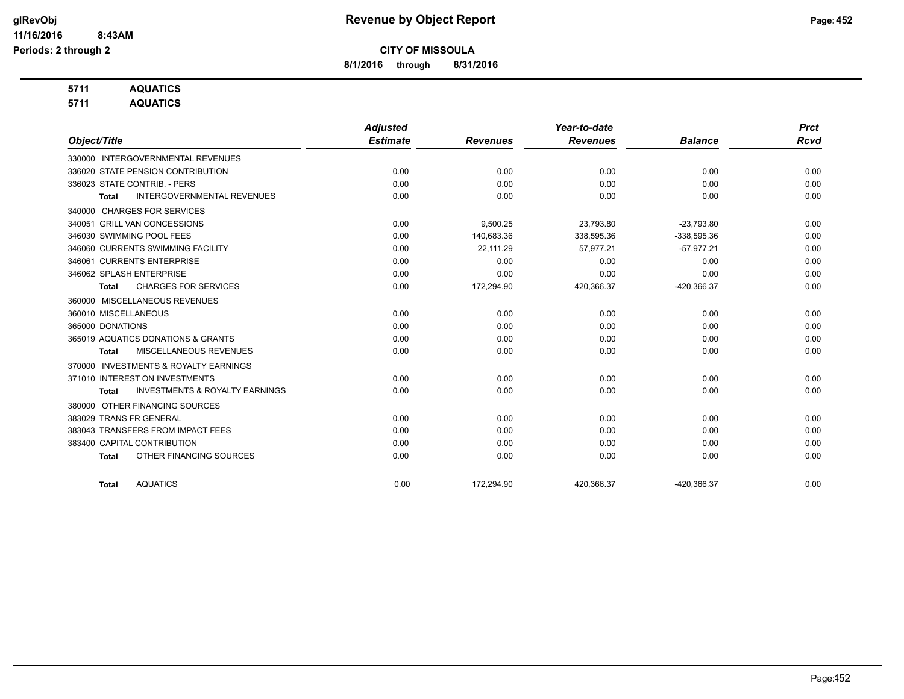**8/1/2016 through 8/31/2016**

## **5711 AQUATICS**

**5711 AQUATICS**

|                                                           | <b>Adjusted</b> |                 | Year-to-date    |                | <b>Prct</b> |  |
|-----------------------------------------------------------|-----------------|-----------------|-----------------|----------------|-------------|--|
| Object/Title                                              | <b>Estimate</b> | <b>Revenues</b> | <b>Revenues</b> | <b>Balance</b> | <b>Rcvd</b> |  |
| 330000 INTERGOVERNMENTAL REVENUES                         |                 |                 |                 |                |             |  |
| 336020 STATE PENSION CONTRIBUTION                         | 0.00            | 0.00            | 0.00            | 0.00           | 0.00        |  |
| 336023 STATE CONTRIB. - PERS                              | 0.00            | 0.00            | 0.00            | 0.00           | 0.00        |  |
| <b>INTERGOVERNMENTAL REVENUES</b><br><b>Total</b>         | 0.00            | 0.00            | 0.00            | 0.00           | 0.00        |  |
| 340000 CHARGES FOR SERVICES                               |                 |                 |                 |                |             |  |
| 340051 GRILL VAN CONCESSIONS                              | 0.00            | 9,500.25        | 23,793.80       | $-23,793.80$   | 0.00        |  |
| 346030 SWIMMING POOL FEES                                 | 0.00            | 140,683.36      | 338,595.36      | $-338,595.36$  | 0.00        |  |
| 346060 CURRENTS SWIMMING FACILITY                         | 0.00            | 22,111.29       | 57,977.21       | $-57,977.21$   | 0.00        |  |
| 346061 CURRENTS ENTERPRISE                                | 0.00            | 0.00            | 0.00            | 0.00           | 0.00        |  |
| 346062 SPLASH ENTERPRISE                                  | 0.00            | 0.00            | 0.00            | 0.00           | 0.00        |  |
| <b>CHARGES FOR SERVICES</b><br><b>Total</b>               | 0.00            | 172,294.90      | 420,366.37      | -420,366.37    | 0.00        |  |
| 360000 MISCELLANEOUS REVENUES                             |                 |                 |                 |                |             |  |
| 360010 MISCELLANEOUS                                      | 0.00            | 0.00            | 0.00            | 0.00           | 0.00        |  |
| 365000 DONATIONS                                          | 0.00            | 0.00            | 0.00            | 0.00           | 0.00        |  |
| 365019 AQUATICS DONATIONS & GRANTS                        | 0.00            | 0.00            | 0.00            | 0.00           | 0.00        |  |
| MISCELLANEOUS REVENUES<br><b>Total</b>                    | 0.00            | 0.00            | 0.00            | 0.00           | 0.00        |  |
| 370000 INVESTMENTS & ROYALTY EARNINGS                     |                 |                 |                 |                |             |  |
| 371010 INTEREST ON INVESTMENTS                            | 0.00            | 0.00            | 0.00            | 0.00           | 0.00        |  |
| <b>INVESTMENTS &amp; ROYALTY EARNINGS</b><br><b>Total</b> | 0.00            | 0.00            | 0.00            | 0.00           | 0.00        |  |
| 380000 OTHER FINANCING SOURCES                            |                 |                 |                 |                |             |  |
| 383029 TRANS FR GENERAL                                   | 0.00            | 0.00            | 0.00            | 0.00           | 0.00        |  |
| 383043 TRANSFERS FROM IMPACT FEES                         | 0.00            | 0.00            | 0.00            | 0.00           | 0.00        |  |
| 383400 CAPITAL CONTRIBUTION                               | 0.00            | 0.00            | 0.00            | 0.00           | 0.00        |  |
| OTHER FINANCING SOURCES<br><b>Total</b>                   | 0.00            | 0.00            | 0.00            | 0.00           | 0.00        |  |
| <b>AQUATICS</b>                                           | 0.00            | 172,294.90      | 420,366.37      | -420,366.37    | 0.00        |  |
| <b>Total</b>                                              |                 |                 |                 |                |             |  |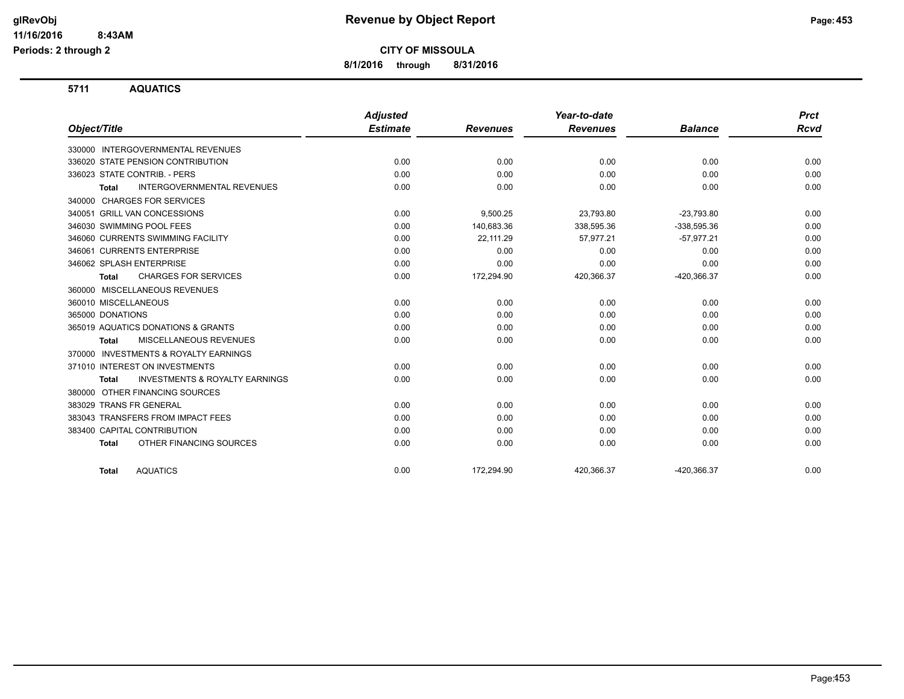**Periods: 2 through 2**

**CITY OF MISSOULA**

**8/1/2016 through 8/31/2016**

**5711 AQUATICS**

 **8:43AM**

|                                                     | <b>Adjusted</b> |                 | Year-to-date    |                | <b>Prct</b> |
|-----------------------------------------------------|-----------------|-----------------|-----------------|----------------|-------------|
| Object/Title                                        | <b>Estimate</b> | <b>Revenues</b> | <b>Revenues</b> | <b>Balance</b> | <b>Rcvd</b> |
| 330000 INTERGOVERNMENTAL REVENUES                   |                 |                 |                 |                |             |
| 336020 STATE PENSION CONTRIBUTION                   | 0.00            | 0.00            | 0.00            | 0.00           | 0.00        |
| 336023 STATE CONTRIB. - PERS                        | 0.00            | 0.00            | 0.00            | 0.00           | 0.00        |
| <b>INTERGOVERNMENTAL REVENUES</b><br><b>Total</b>   | 0.00            | 0.00            | 0.00            | 0.00           | 0.00        |
| 340000 CHARGES FOR SERVICES                         |                 |                 |                 |                |             |
| 340051 GRILL VAN CONCESSIONS                        | 0.00            | 9,500.25        | 23,793.80       | $-23,793.80$   | 0.00        |
| 346030 SWIMMING POOL FEES                           | 0.00            | 140,683.36      | 338,595.36      | $-338,595.36$  | 0.00        |
| 346060 CURRENTS SWIMMING FACILITY                   | 0.00            | 22,111.29       | 57,977.21       | $-57,977.21$   | 0.00        |
| 346061 CURRENTS ENTERPRISE                          | 0.00            | 0.00            | 0.00            | 0.00           | 0.00        |
| 346062 SPLASH ENTERPRISE                            | 0.00            | 0.00            | 0.00            | 0.00           | 0.00        |
| <b>CHARGES FOR SERVICES</b><br><b>Total</b>         | 0.00            | 172,294.90      | 420,366.37      | -420,366.37    | 0.00        |
| 360000 MISCELLANEOUS REVENUES                       |                 |                 |                 |                |             |
| 360010 MISCELLANEOUS                                | 0.00            | 0.00            | 0.00            | 0.00           | 0.00        |
| 365000 DONATIONS                                    | 0.00            | 0.00            | 0.00            | 0.00           | 0.00        |
| 365019 AQUATICS DONATIONS & GRANTS                  | 0.00            | 0.00            | 0.00            | 0.00           | 0.00        |
| MISCELLANEOUS REVENUES<br>Total                     | 0.00            | 0.00            | 0.00            | 0.00           | 0.00        |
| <b>INVESTMENTS &amp; ROYALTY EARNINGS</b><br>370000 |                 |                 |                 |                |             |
| 371010 INTEREST ON INVESTMENTS                      | 0.00            | 0.00            | 0.00            | 0.00           | 0.00        |
| <b>INVESTMENTS &amp; ROYALTY EARNINGS</b><br>Total  | 0.00            | 0.00            | 0.00            | 0.00           | 0.00        |
| 380000 OTHER FINANCING SOURCES                      |                 |                 |                 |                |             |
| 383029 TRANS FR GENERAL                             | 0.00            | 0.00            | 0.00            | 0.00           | 0.00        |
| 383043 TRANSFERS FROM IMPACT FEES                   | 0.00            | 0.00            | 0.00            | 0.00           | 0.00        |
| 383400 CAPITAL CONTRIBUTION                         | 0.00            | 0.00            | 0.00            | 0.00           | 0.00        |
| OTHER FINANCING SOURCES<br><b>Total</b>             | 0.00            | 0.00            | 0.00            | 0.00           | 0.00        |
| <b>AQUATICS</b><br><b>Total</b>                     | 0.00            | 172,294.90      | 420.366.37      | -420,366.37    | 0.00        |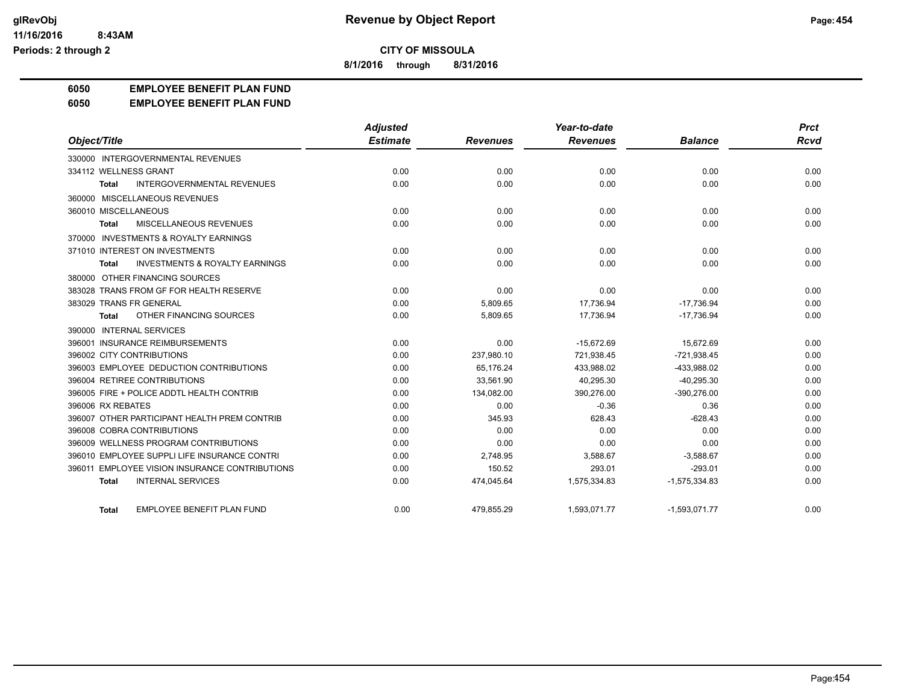**8/1/2016 through 8/31/2016**

## **6050 EMPLOYEE BENEFIT PLAN FUND**

#### **6050 EMPLOYEE BENEFIT PLAN FUND**

|                                                          | <b>Adjusted</b> |                 | Year-to-date    |                 | <b>Prct</b> |
|----------------------------------------------------------|-----------------|-----------------|-----------------|-----------------|-------------|
| Object/Title                                             | <b>Estimate</b> | <b>Revenues</b> | <b>Revenues</b> | <b>Balance</b>  | <b>Rcvd</b> |
| 330000 INTERGOVERNMENTAL REVENUES                        |                 |                 |                 |                 |             |
| 334112 WELLNESS GRANT                                    | 0.00            | 0.00            | 0.00            | 0.00            | 0.00        |
| <b>INTERGOVERNMENTAL REVENUES</b><br><b>Total</b>        | 0.00            | 0.00            | 0.00            | 0.00            | 0.00        |
| 360000 MISCELLANEOUS REVENUES                            |                 |                 |                 |                 |             |
| 360010 MISCELLANEOUS                                     | 0.00            | 0.00            | 0.00            | 0.00            | 0.00        |
| MISCELLANEOUS REVENUES<br><b>Total</b>                   | 0.00            | 0.00            | 0.00            | 0.00            | 0.00        |
| 370000 INVESTMENTS & ROYALTY EARNINGS                    |                 |                 |                 |                 |             |
| 371010 INTEREST ON INVESTMENTS                           | 0.00            | 0.00            | 0.00            | 0.00            | 0.00        |
| <b>INVESTMENTS &amp; ROYALTY EARNINGS</b><br>Total       | 0.00            | 0.00            | 0.00            | 0.00            | 0.00        |
| 380000 OTHER FINANCING SOURCES                           |                 |                 |                 |                 |             |
| 383028 TRANS FROM GF FOR HEALTH RESERVE                  | 0.00            | 0.00            | 0.00            | 0.00            | 0.00        |
| 383029 TRANS FR GENERAL                                  | 0.00            | 5,809.65        | 17,736.94       | $-17,736.94$    | 0.00        |
| OTHER FINANCING SOURCES<br>Total                         | 0.00            | 5,809.65        | 17,736.94       | $-17,736.94$    | 0.00        |
| 390000 INTERNAL SERVICES                                 |                 |                 |                 |                 |             |
| 396001 INSURANCE REIMBURSEMENTS                          | 0.00            | 0.00            | $-15,672.69$    | 15,672.69       | 0.00        |
| 396002 CITY CONTRIBUTIONS                                | 0.00            | 237,980.10      | 721,938.45      | $-721,938.45$   | 0.00        |
| 396003 EMPLOYEE DEDUCTION CONTRIBUTIONS                  | 0.00            | 65,176.24       | 433,988.02      | -433,988.02     | 0.00        |
| 396004 RETIREE CONTRIBUTIONS                             | 0.00            | 33,561.90       | 40,295.30       | $-40,295.30$    | 0.00        |
| 396005 FIRE + POLICE ADDTL HEALTH CONTRIB                | 0.00            | 134,082.00      | 390,276.00      | $-390,276.00$   | 0.00        |
| 396006 RX REBATES                                        | 0.00            | 0.00            | $-0.36$         | 0.36            | 0.00        |
| 396007 OTHER PARTICIPANT HEALTH PREM CONTRIB             | 0.00            | 345.93          | 628.43          | $-628.43$       | 0.00        |
| 396008 COBRA CONTRIBUTIONS                               | 0.00            | 0.00            | 0.00            | 0.00            | 0.00        |
| 396009 WELLNESS PROGRAM CONTRIBUTIONS                    | 0.00            | 0.00            | 0.00            | 0.00            | 0.00        |
| 396010 EMPLOYEE SUPPLI LIFE INSURANCE CONTRI             | 0.00            | 2,748.95        | 3,588.67        | $-3,588.67$     | 0.00        |
| <b>EMPLOYEE VISION INSURANCE CONTRIBUTIONS</b><br>396011 | 0.00            | 150.52          | 293.01          | $-293.01$       | 0.00        |
| <b>INTERNAL SERVICES</b><br><b>Total</b>                 | 0.00            | 474,045.64      | 1,575,334.83    | $-1,575,334.83$ | 0.00        |
| <b>EMPLOYEE BENEFIT PLAN FUND</b><br><b>Total</b>        | 0.00            | 479.855.29      | 1,593,071.77    | $-1,593,071.77$ | 0.00        |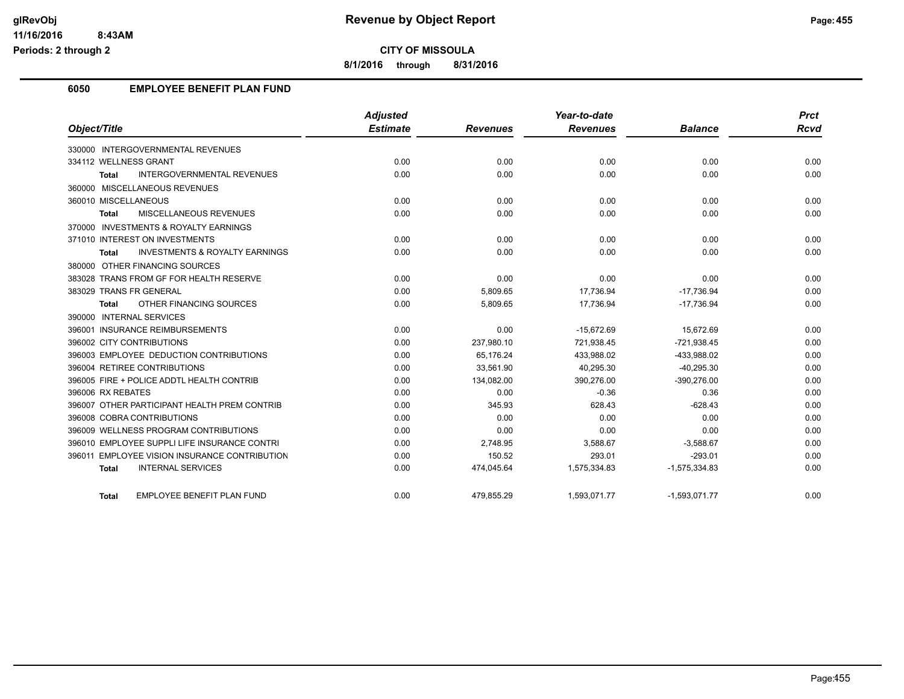**11/16/2016 8:43AM**

**Periods: 2 through 2**

## **CITY OF MISSOULA**

**8/1/2016 through 8/31/2016**

#### **6050 EMPLOYEE BENEFIT PLAN FUND**

|                                                           | <b>Adjusted</b> |                 | Year-to-date    |                 | <b>Prct</b> |
|-----------------------------------------------------------|-----------------|-----------------|-----------------|-----------------|-------------|
| Object/Title                                              | <b>Estimate</b> | <b>Revenues</b> | <b>Revenues</b> | <b>Balance</b>  | <b>Rcvd</b> |
| 330000 INTERGOVERNMENTAL REVENUES                         |                 |                 |                 |                 |             |
| 334112 WELLNESS GRANT                                     | 0.00            | 0.00            | 0.00            | 0.00            | 0.00        |
| <b>INTERGOVERNMENTAL REVENUES</b><br><b>Total</b>         | 0.00            | 0.00            | 0.00            | 0.00            | 0.00        |
| 360000 MISCELLANEOUS REVENUES                             |                 |                 |                 |                 |             |
| 360010 MISCELLANEOUS                                      | 0.00            | 0.00            | 0.00            | 0.00            | 0.00        |
| <b>MISCELLANEOUS REVENUES</b><br><b>Total</b>             | 0.00            | 0.00            | 0.00            | 0.00            | 0.00        |
| 370000 INVESTMENTS & ROYALTY EARNINGS                     |                 |                 |                 |                 |             |
| 371010 INTEREST ON INVESTMENTS                            | 0.00            | 0.00            | 0.00            | 0.00            | 0.00        |
| <b>INVESTMENTS &amp; ROYALTY EARNINGS</b><br><b>Total</b> | 0.00            | 0.00            | 0.00            | 0.00            | 0.00        |
| 380000 OTHER FINANCING SOURCES                            |                 |                 |                 |                 |             |
| 383028 TRANS FROM GF FOR HEALTH RESERVE                   | 0.00            | 0.00            | 0.00            | 0.00            | 0.00        |
| 383029 TRANS FR GENERAL                                   | 0.00            | 5,809.65        | 17,736.94       | $-17,736.94$    | 0.00        |
| OTHER FINANCING SOURCES<br><b>Total</b>                   | 0.00            | 5,809.65        | 17,736.94       | $-17,736.94$    | 0.00        |
| 390000 INTERNAL SERVICES                                  |                 |                 |                 |                 |             |
| 396001 INSURANCE REIMBURSEMENTS                           | 0.00            | 0.00            | $-15,672.69$    | 15,672.69       | 0.00        |
| 396002 CITY CONTRIBUTIONS                                 | 0.00            | 237,980.10      | 721,938.45      | $-721,938.45$   | 0.00        |
| 396003 EMPLOYEE DEDUCTION CONTRIBUTIONS                   | 0.00            | 65.176.24       | 433,988.02      | -433,988.02     | 0.00        |
| 396004 RETIREE CONTRIBUTIONS                              | 0.00            | 33,561.90       | 40,295.30       | $-40,295.30$    | 0.00        |
| 396005 FIRE + POLICE ADDTL HEALTH CONTRIB                 | 0.00            | 134,082.00      | 390,276.00      | $-390,276.00$   | 0.00        |
| 396006 RX REBATES                                         | 0.00            | 0.00            | $-0.36$         | 0.36            | 0.00        |
| 396007 OTHER PARTICIPANT HEALTH PREM CONTRIB              | 0.00            | 345.93          | 628.43          | $-628.43$       | 0.00        |
| 396008 COBRA CONTRIBUTIONS                                | 0.00            | 0.00            | 0.00            | 0.00            | 0.00        |
| 396009 WELLNESS PROGRAM CONTRIBUTIONS                     | 0.00            | 0.00            | 0.00            | 0.00            | 0.00        |
| 396010 EMPLOYEE SUPPLI LIFE INSURANCE CONTRI              | 0.00            | 2,748.95        | 3,588.67        | $-3,588.67$     | 0.00        |
| <b>EMPLOYEE VISION INSURANCE CONTRIBUTION</b><br>396011   | 0.00            | 150.52          | 293.01          | $-293.01$       | 0.00        |
| <b>INTERNAL SERVICES</b><br><b>Total</b>                  | 0.00            | 474,045.64      | 1,575,334.83    | $-1,575,334.83$ | 0.00        |
| EMPLOYEE BENEFIT PLAN FUND<br><b>Total</b>                | 0.00            | 479,855.29      | 1,593,071.77    | $-1,593,071.77$ | 0.00        |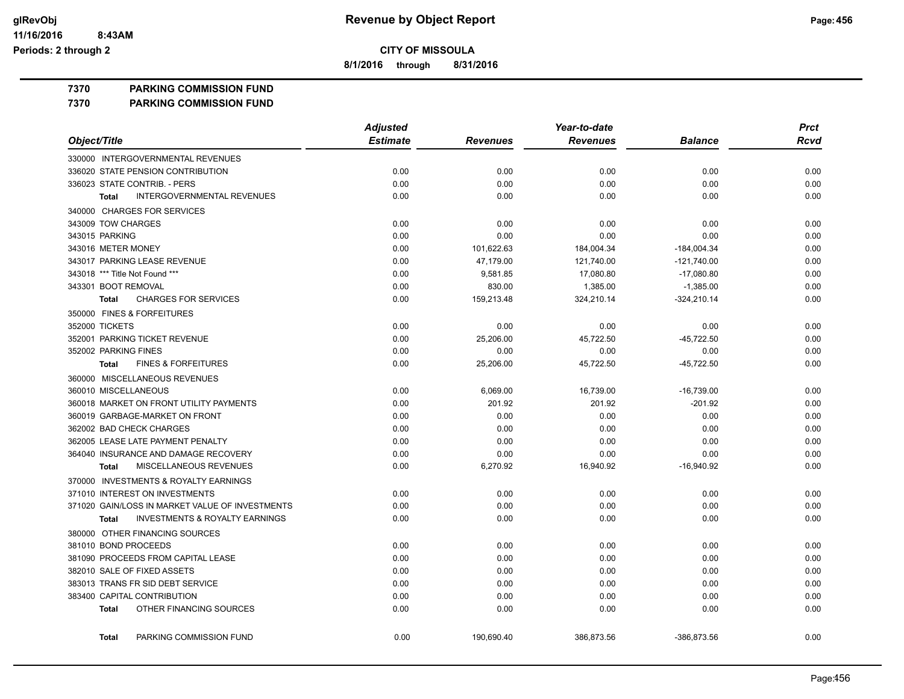**8/1/2016 through 8/31/2016**

**7370 PARKING COMMISSION FUND**

**7370 PARKING COMMISSION FUND**

|                                                    | <b>Adjusted</b> |                 | Year-to-date    |                | <b>Prct</b> |  |
|----------------------------------------------------|-----------------|-----------------|-----------------|----------------|-------------|--|
| Object/Title                                       | <b>Estimate</b> | <b>Revenues</b> | <b>Revenues</b> | <b>Balance</b> | <b>Rcvd</b> |  |
| 330000 INTERGOVERNMENTAL REVENUES                  |                 |                 |                 |                |             |  |
| 336020 STATE PENSION CONTRIBUTION                  | 0.00            | 0.00            | 0.00            | 0.00           | 0.00        |  |
| 336023 STATE CONTRIB. - PERS                       | 0.00            | 0.00            | 0.00            | 0.00           | 0.00        |  |
| <b>INTERGOVERNMENTAL REVENUES</b><br><b>Total</b>  | 0.00            | 0.00            | 0.00            | 0.00           | 0.00        |  |
| 340000 CHARGES FOR SERVICES                        |                 |                 |                 |                |             |  |
| 343009 TOW CHARGES                                 | 0.00            | 0.00            | 0.00            | 0.00           | 0.00        |  |
| 343015 PARKING                                     | 0.00            | 0.00            | 0.00            | 0.00           | 0.00        |  |
| 343016 METER MONEY                                 | 0.00            | 101,622.63      | 184,004.34      | $-184,004.34$  | 0.00        |  |
| 343017 PARKING LEASE REVENUE                       | 0.00            | 47,179.00       | 121,740.00      | $-121,740.00$  | 0.00        |  |
| 343018 *** Title Not Found ***                     | 0.00            | 9,581.85        | 17,080.80       | $-17,080.80$   | 0.00        |  |
| 343301 BOOT REMOVAL                                | 0.00            | 830.00          | 1,385.00        | $-1,385.00$    | 0.00        |  |
| <b>CHARGES FOR SERVICES</b><br><b>Total</b>        | 0.00            | 159,213.48      | 324,210.14      | $-324,210.14$  | 0.00        |  |
| 350000 FINES & FORFEITURES                         |                 |                 |                 |                |             |  |
| 352000 TICKETS                                     | 0.00            | 0.00            | 0.00            | 0.00           | 0.00        |  |
| 352001 PARKING TICKET REVENUE                      | 0.00            | 25,206.00       | 45,722.50       | $-45,722.50$   | 0.00        |  |
| 352002 PARKING FINES                               | 0.00            | 0.00            | 0.00            | 0.00           | 0.00        |  |
| <b>FINES &amp; FORFEITURES</b><br><b>Total</b>     | 0.00            | 25,206.00       | 45,722.50       | $-45,722.50$   | 0.00        |  |
| 360000 MISCELLANEOUS REVENUES                      |                 |                 |                 |                |             |  |
| 360010 MISCELLANEOUS                               | 0.00            | 6,069.00        | 16,739.00       | $-16,739.00$   | 0.00        |  |
| 360018 MARKET ON FRONT UTILITY PAYMENTS            | 0.00            | 201.92          | 201.92          | $-201.92$      | 0.00        |  |
| 360019 GARBAGE-MARKET ON FRONT                     | 0.00            | 0.00            | 0.00            | 0.00           | 0.00        |  |
| 362002 BAD CHECK CHARGES                           | 0.00            | 0.00            | 0.00            | 0.00           | 0.00        |  |
| 362005 LEASE LATE PAYMENT PENALTY                  | 0.00            | 0.00            | 0.00            | 0.00           | 0.00        |  |
| 364040 INSURANCE AND DAMAGE RECOVERY               | 0.00            | 0.00            | 0.00            | 0.00           | 0.00        |  |
| <b>MISCELLANEOUS REVENUES</b><br>Total             | 0.00            | 6,270.92        | 16,940.92       | $-16,940.92$   | 0.00        |  |
| 370000 INVESTMENTS & ROYALTY EARNINGS              |                 |                 |                 |                |             |  |
| 371010 INTEREST ON INVESTMENTS                     | 0.00            | 0.00            | 0.00            | 0.00           | 0.00        |  |
| 371020 GAIN/LOSS IN MARKET VALUE OF INVESTMENTS    | 0.00            | 0.00            | 0.00            | 0.00           | 0.00        |  |
| <b>INVESTMENTS &amp; ROYALTY EARNINGS</b><br>Total | 0.00            | 0.00            | 0.00            | 0.00           | 0.00        |  |
| 380000 OTHER FINANCING SOURCES                     |                 |                 |                 |                |             |  |
| 381010 BOND PROCEEDS                               | 0.00            | 0.00            | 0.00            | 0.00           | 0.00        |  |
| 381090 PROCEEDS FROM CAPITAL LEASE                 | 0.00            | 0.00            | 0.00            | 0.00           | 0.00        |  |
| 382010 SALE OF FIXED ASSETS                        | 0.00            | 0.00            | 0.00            | 0.00           | 0.00        |  |
| 383013 TRANS FR SID DEBT SERVICE                   | 0.00            | 0.00            | 0.00            | 0.00           | 0.00        |  |
| 383400 CAPITAL CONTRIBUTION                        | 0.00            | 0.00            | 0.00            | 0.00           | 0.00        |  |
| OTHER FINANCING SOURCES<br><b>Total</b>            | 0.00            | 0.00            | 0.00            | 0.00           | 0.00        |  |
| PARKING COMMISSION FUND<br><b>Total</b>            | 0.00            | 190,690.40      | 386,873.56      | -386,873.56    | 0.00        |  |
|                                                    |                 |                 |                 |                |             |  |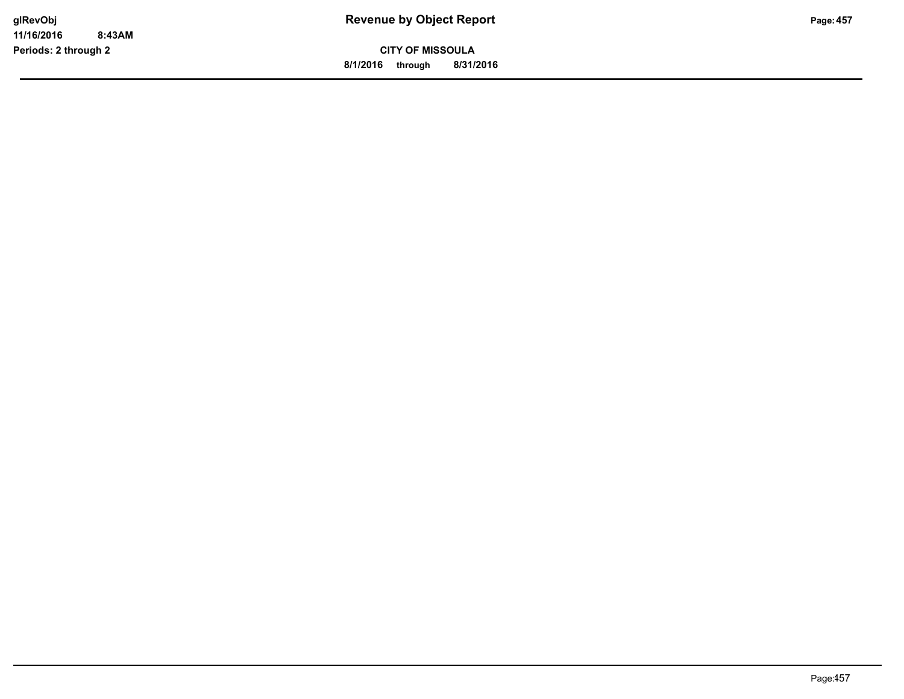**CITY OF MISSOULA 8/1/2016 through 8/31/2016**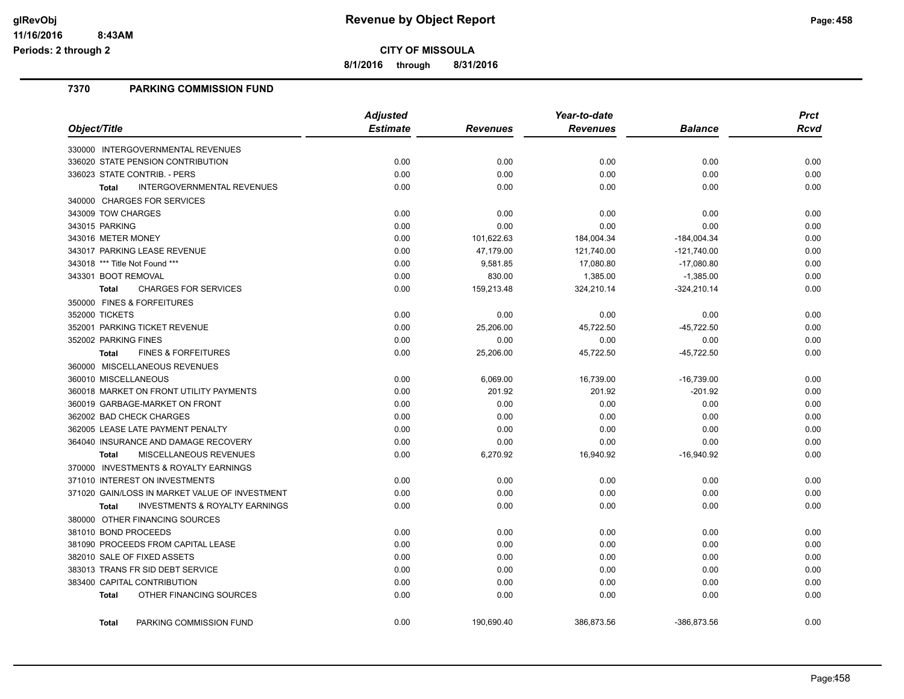**Periods: 2 through 2**

**CITY OF MISSOULA**

**8/1/2016 through 8/31/2016**

### **7370 PARKING COMMISSION FUND**

|                                                           | <b>Adjusted</b> | Year-to-date    |                 |                | <b>Prct</b> |
|-----------------------------------------------------------|-----------------|-----------------|-----------------|----------------|-------------|
| Object/Title                                              | <b>Estimate</b> | <b>Revenues</b> | <b>Revenues</b> | <b>Balance</b> | <b>Rcvd</b> |
| 330000 INTERGOVERNMENTAL REVENUES                         |                 |                 |                 |                |             |
| 336020 STATE PENSION CONTRIBUTION                         | 0.00            | 0.00            | 0.00            | 0.00           | 0.00        |
| 336023 STATE CONTRIB. - PERS                              | 0.00            | 0.00            | 0.00            | 0.00           | 0.00        |
| <b>INTERGOVERNMENTAL REVENUES</b><br><b>Total</b>         | 0.00            | 0.00            | 0.00            | 0.00           | 0.00        |
| 340000 CHARGES FOR SERVICES                               |                 |                 |                 |                |             |
| 343009 TOW CHARGES                                        | 0.00            | 0.00            | 0.00            | 0.00           | 0.00        |
| 343015 PARKING                                            | 0.00            | 0.00            | 0.00            | 0.00           | 0.00        |
| 343016 METER MONEY                                        | 0.00            | 101,622.63      | 184,004.34      | $-184,004.34$  | 0.00        |
| 343017 PARKING LEASE REVENUE                              | 0.00            | 47,179.00       | 121,740.00      | $-121,740.00$  | 0.00        |
| 343018 *** Title Not Found ***                            | 0.00            | 9,581.85        | 17,080.80       | $-17,080.80$   | 0.00        |
| 343301 BOOT REMOVAL                                       | 0.00            | 830.00          | 1,385.00        | $-1,385.00$    | 0.00        |
| <b>CHARGES FOR SERVICES</b><br><b>Total</b>               | 0.00            | 159,213.48      | 324,210.14      | $-324,210.14$  | 0.00        |
| 350000 FINES & FORFEITURES                                |                 |                 |                 |                |             |
| 352000 TICKETS                                            | 0.00            | 0.00            | 0.00            | 0.00           | 0.00        |
| 352001 PARKING TICKET REVENUE                             | 0.00            | 25,206.00       | 45,722.50       | $-45,722.50$   | 0.00        |
| 352002 PARKING FINES                                      | 0.00            | 0.00            | 0.00            | 0.00           | 0.00        |
| <b>FINES &amp; FORFEITURES</b><br><b>Total</b>            | 0.00            | 25,206.00       | 45,722.50       | $-45,722.50$   | 0.00        |
| 360000 MISCELLANEOUS REVENUES                             |                 |                 |                 |                |             |
| 360010 MISCELLANEOUS                                      | 0.00            | 6,069.00        | 16,739.00       | $-16,739.00$   | 0.00        |
| 360018 MARKET ON FRONT UTILITY PAYMENTS                   | 0.00            | 201.92          | 201.92          | $-201.92$      | 0.00        |
| 360019 GARBAGE-MARKET ON FRONT                            | 0.00            | 0.00            | 0.00            | 0.00           | 0.00        |
| 362002 BAD CHECK CHARGES                                  | 0.00            | 0.00            | 0.00            | 0.00           | 0.00        |
| 362005 LEASE LATE PAYMENT PENALTY                         | 0.00            | 0.00            | 0.00            | 0.00           | 0.00        |
| 364040 INSURANCE AND DAMAGE RECOVERY                      | 0.00            | 0.00            | 0.00            | 0.00           | 0.00        |
| MISCELLANEOUS REVENUES<br><b>Total</b>                    | 0.00            | 6,270.92        | 16,940.92       | $-16,940.92$   | 0.00        |
| 370000 INVESTMENTS & ROYALTY EARNINGS                     |                 |                 |                 |                |             |
| 371010 INTEREST ON INVESTMENTS                            | 0.00            | 0.00            | 0.00            | 0.00           | 0.00        |
| 371020 GAIN/LOSS IN MARKET VALUE OF INVESTMENT            | 0.00            | 0.00            | 0.00            | 0.00           | 0.00        |
| <b>INVESTMENTS &amp; ROYALTY EARNINGS</b><br><b>Total</b> | 0.00            | 0.00            | 0.00            | 0.00           | 0.00        |
| 380000 OTHER FINANCING SOURCES                            |                 |                 |                 |                |             |
| 381010 BOND PROCEEDS                                      | 0.00            | 0.00            | 0.00            | 0.00           | 0.00        |
| 381090 PROCEEDS FROM CAPITAL LEASE                        | 0.00            | 0.00            | 0.00            | 0.00           | 0.00        |
| 382010 SALE OF FIXED ASSETS                               | 0.00            | 0.00            | 0.00            | 0.00           | 0.00        |
| 383013 TRANS FR SID DEBT SERVICE                          | 0.00            | 0.00            | 0.00            | 0.00           | 0.00        |
| 383400 CAPITAL CONTRIBUTION                               | 0.00            | 0.00            | 0.00            | 0.00           | 0.00        |
| OTHER FINANCING SOURCES<br><b>Total</b>                   | 0.00            | 0.00            | 0.00            | 0.00           | 0.00        |
| PARKING COMMISSION FUND<br><b>Total</b>                   | 0.00            | 190,690.40      | 386,873.56      | -386.873.56    | 0.00        |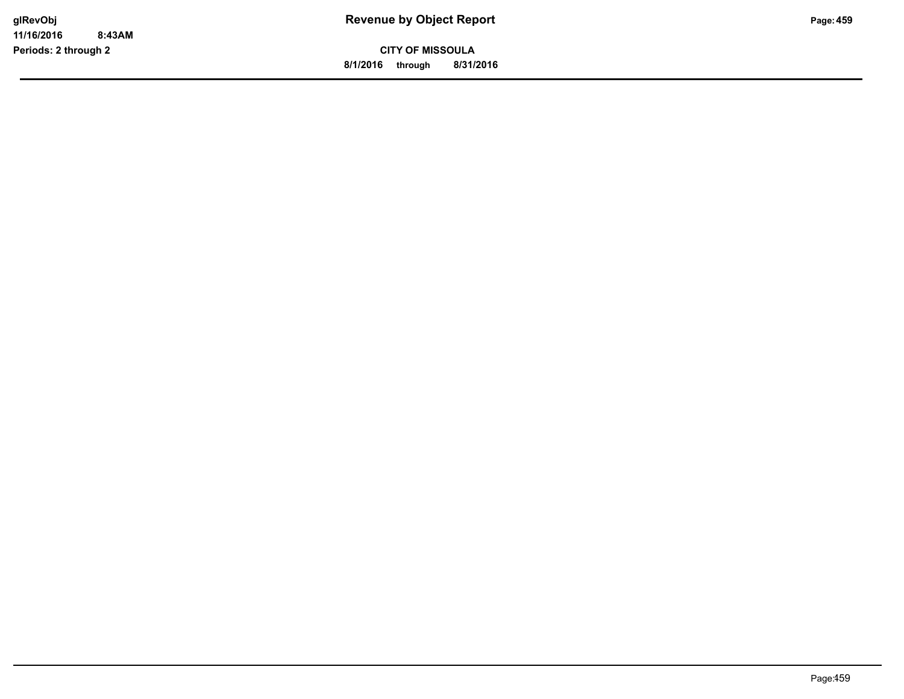**CITY OF MISSOULA 8/1/2016 through 8/31/2016**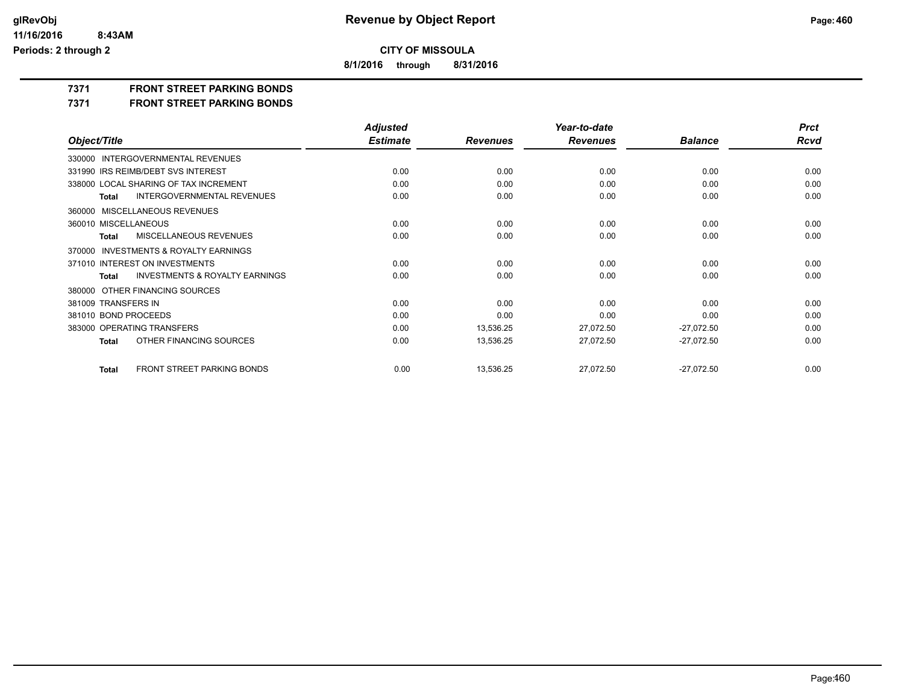**8/1/2016 through 8/31/2016**

**7371 FRONT STREET PARKING BONDS**

**7371 FRONT STREET PARKING BONDS**

|                                                     | <b>Adjusted</b> |                 | Year-to-date    |                | <b>Prct</b> |
|-----------------------------------------------------|-----------------|-----------------|-----------------|----------------|-------------|
| Object/Title                                        | <b>Estimate</b> | <b>Revenues</b> | <b>Revenues</b> | <b>Balance</b> | <b>Rcvd</b> |
| 330000 INTERGOVERNMENTAL REVENUES                   |                 |                 |                 |                |             |
| 331990 IRS REIMB/DEBT SVS INTEREST                  | 0.00            | 0.00            | 0.00            | 0.00           | 0.00        |
| 338000 LOCAL SHARING OF TAX INCREMENT               | 0.00            | 0.00            | 0.00            | 0.00           | 0.00        |
| <b>INTERGOVERNMENTAL REVENUES</b><br>Total          | 0.00            | 0.00            | 0.00            | 0.00           | 0.00        |
| 360000 MISCELLANEOUS REVENUES                       |                 |                 |                 |                |             |
| 360010 MISCELLANEOUS                                | 0.00            | 0.00            | 0.00            | 0.00           | 0.00        |
| MISCELLANEOUS REVENUES<br>Total                     | 0.00            | 0.00            | 0.00            | 0.00           | 0.00        |
| <b>INVESTMENTS &amp; ROYALTY EARNINGS</b><br>370000 |                 |                 |                 |                |             |
| 371010 INTEREST ON INVESTMENTS                      | 0.00            | 0.00            | 0.00            | 0.00           | 0.00        |
| <b>INVESTMENTS &amp; ROYALTY EARNINGS</b><br>Total  | 0.00            | 0.00            | 0.00            | 0.00           | 0.00        |
| 380000 OTHER FINANCING SOURCES                      |                 |                 |                 |                |             |
| 381009 TRANSFERS IN                                 | 0.00            | 0.00            | 0.00            | 0.00           | 0.00        |
| 381010 BOND PROCEEDS                                | 0.00            | 0.00            | 0.00            | 0.00           | 0.00        |
| 383000 OPERATING TRANSFERS                          | 0.00            | 13,536.25       | 27,072.50       | $-27,072.50$   | 0.00        |
| OTHER FINANCING SOURCES<br>Total                    | 0.00            | 13,536.25       | 27,072.50       | $-27,072.50$   | 0.00        |
| FRONT STREET PARKING BONDS<br>Total                 | 0.00            | 13,536.25       | 27,072.50       | $-27,072.50$   | 0.00        |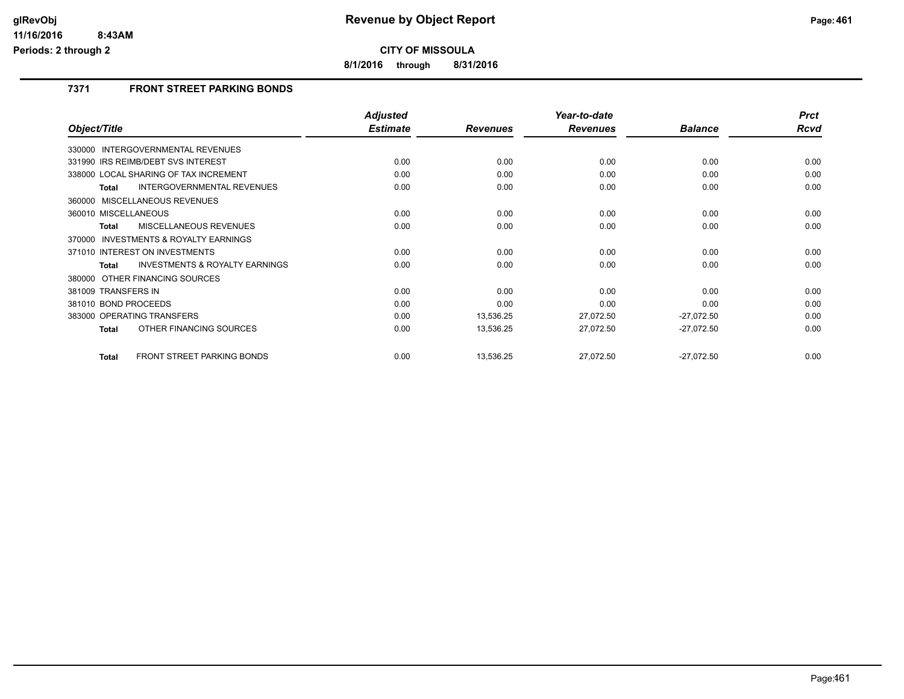**8/1/2016 through 8/31/2016**

## **7371 FRONT STREET PARKING BONDS**

|                                                     | <b>Adjusted</b> |                 | Year-to-date    |                | <b>Prct</b> |
|-----------------------------------------------------|-----------------|-----------------|-----------------|----------------|-------------|
| Object/Title                                        | <b>Estimate</b> | <b>Revenues</b> | <b>Revenues</b> | <b>Balance</b> | Rcvd        |
| 330000 INTERGOVERNMENTAL REVENUES                   |                 |                 |                 |                |             |
| 331990 IRS REIMB/DEBT SVS INTEREST                  | 0.00            | 0.00            | 0.00            | 0.00           | 0.00        |
| 338000 LOCAL SHARING OF TAX INCREMENT               | 0.00            | 0.00            | 0.00            | 0.00           | 0.00        |
| <b>INTERGOVERNMENTAL REVENUES</b><br><b>Total</b>   | 0.00            | 0.00            | 0.00            | 0.00           | 0.00        |
| 360000 MISCELLANEOUS REVENUES                       |                 |                 |                 |                |             |
| 360010 MISCELLANEOUS                                | 0.00            | 0.00            | 0.00            | 0.00           | 0.00        |
| <b>MISCELLANEOUS REVENUES</b><br><b>Total</b>       | 0.00            | 0.00            | 0.00            | 0.00           | 0.00        |
| <b>INVESTMENTS &amp; ROYALTY EARNINGS</b><br>370000 |                 |                 |                 |                |             |
| 371010 INTEREST ON INVESTMENTS                      | 0.00            | 0.00            | 0.00            | 0.00           | 0.00        |
| INVESTMENTS & ROYALTY EARNINGS<br><b>Total</b>      | 0.00            | 0.00            | 0.00            | 0.00           | 0.00        |
| 380000 OTHER FINANCING SOURCES                      |                 |                 |                 |                |             |
| 381009 TRANSFERS IN                                 | 0.00            | 0.00            | 0.00            | 0.00           | 0.00        |
| 381010 BOND PROCEEDS                                | 0.00            | 0.00            | 0.00            | 0.00           | 0.00        |
| 383000 OPERATING TRANSFERS                          | 0.00            | 13,536.25       | 27,072.50       | $-27,072.50$   | 0.00        |
| OTHER FINANCING SOURCES<br><b>Total</b>             | 0.00            | 13,536.25       | 27,072.50       | $-27,072.50$   | 0.00        |
| FRONT STREET PARKING BONDS<br><b>Total</b>          | 0.00            | 13,536.25       | 27,072.50       | $-27,072.50$   | 0.00        |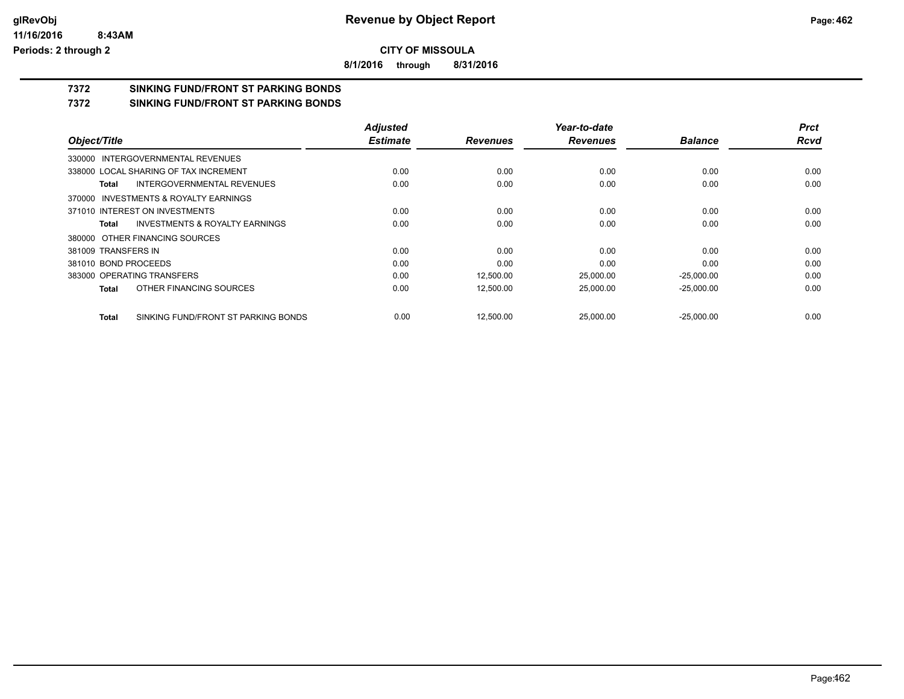**8/1/2016 through 8/31/2016**

## **7372 SINKING FUND/FRONT ST PARKING BONDS**

**7372 SINKING FUND/FRONT ST PARKING BONDS**

|                                                    | <b>Adjusted</b> |                 | Year-to-date    |                | <b>Prct</b> |
|----------------------------------------------------|-----------------|-----------------|-----------------|----------------|-------------|
| Object/Title                                       | <b>Estimate</b> | <b>Revenues</b> | <b>Revenues</b> | <b>Balance</b> | <b>Rcvd</b> |
| 330000 INTERGOVERNMENTAL REVENUES                  |                 |                 |                 |                |             |
| 338000 LOCAL SHARING OF TAX INCREMENT              | 0.00            | 0.00            | 0.00            | 0.00           | 0.00        |
| INTERGOVERNMENTAL REVENUES<br>Total                | 0.00            | 0.00            | 0.00            | 0.00           | 0.00        |
| 370000 INVESTMENTS & ROYALTY EARNINGS              |                 |                 |                 |                |             |
| 371010 INTEREST ON INVESTMENTS                     | 0.00            | 0.00            | 0.00            | 0.00           | 0.00        |
| <b>INVESTMENTS &amp; ROYALTY EARNINGS</b><br>Total | 0.00            | 0.00            | 0.00            | 0.00           | 0.00        |
| 380000 OTHER FINANCING SOURCES                     |                 |                 |                 |                |             |
| 381009 TRANSFERS IN                                | 0.00            | 0.00            | 0.00            | 0.00           | 0.00        |
| 381010 BOND PROCEEDS                               | 0.00            | 0.00            | 0.00            | 0.00           | 0.00        |
| 383000 OPERATING TRANSFERS                         | 0.00            | 12,500.00       | 25,000.00       | $-25,000.00$   | 0.00        |
| OTHER FINANCING SOURCES<br>Total                   | 0.00            | 12,500.00       | 25,000.00       | $-25,000.00$   | 0.00        |
| SINKING FUND/FRONT ST PARKING BONDS<br>Total       | 0.00            | 12.500.00       | 25.000.00       | $-25.000.00$   | 0.00        |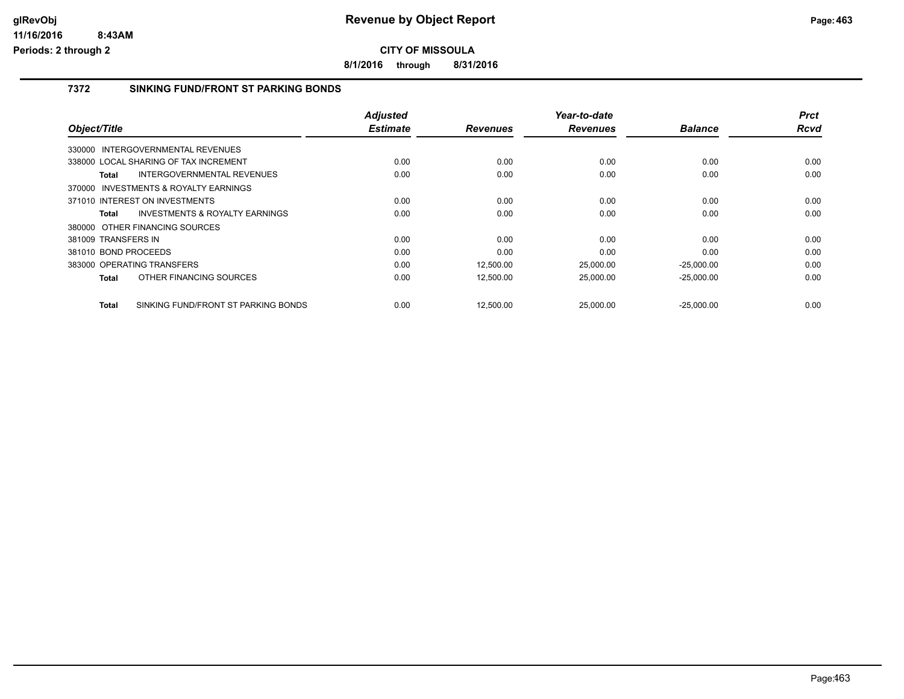**8/1/2016 through 8/31/2016**

### **7372 SINKING FUND/FRONT ST PARKING BONDS**

| Object/Title                                        | <b>Adjusted</b><br><b>Estimate</b> | <b>Revenues</b> | Year-to-date<br><b>Revenues</b> | <b>Balance</b> | <b>Prct</b><br>Rcvd |
|-----------------------------------------------------|------------------------------------|-----------------|---------------------------------|----------------|---------------------|
|                                                     |                                    |                 |                                 |                |                     |
| 330000 INTERGOVERNMENTAL REVENUES                   |                                    |                 |                                 |                |                     |
| 338000 LOCAL SHARING OF TAX INCREMENT               | 0.00                               | 0.00            | 0.00                            | 0.00           | 0.00                |
| <b>INTERGOVERNMENTAL REVENUES</b><br>Total          | 0.00                               | 0.00            | 0.00                            | 0.00           | 0.00                |
| 370000 INVESTMENTS & ROYALTY EARNINGS               |                                    |                 |                                 |                |                     |
| 371010 INTEREST ON INVESTMENTS                      | 0.00                               | 0.00            | 0.00                            | 0.00           | 0.00                |
| <b>INVESTMENTS &amp; ROYALTY EARNINGS</b><br>Total  | 0.00                               | 0.00            | 0.00                            | 0.00           | 0.00                |
| 380000 OTHER FINANCING SOURCES                      |                                    |                 |                                 |                |                     |
| 381009 TRANSFERS IN                                 | 0.00                               | 0.00            | 0.00                            | 0.00           | 0.00                |
| 381010 BOND PROCEEDS                                | 0.00                               | 0.00            | 0.00                            | 0.00           | 0.00                |
| 383000 OPERATING TRANSFERS                          | 0.00                               | 12.500.00       | 25,000.00                       | $-25,000.00$   | 0.00                |
| OTHER FINANCING SOURCES<br>Total                    | 0.00                               | 12.500.00       | 25,000.00                       | $-25,000.00$   | 0.00                |
| SINKING FUND/FRONT ST PARKING BONDS<br><b>Total</b> | 0.00                               | 12,500.00       | 25,000.00                       | $-25,000.00$   | 0.00                |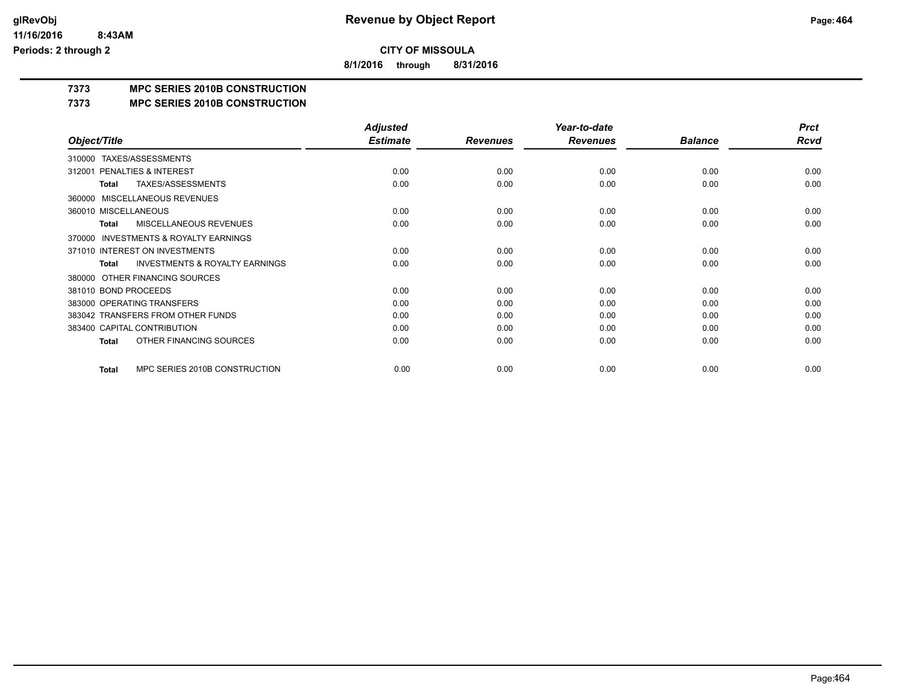**8/1/2016 through 8/31/2016**

## **7373 MPC SERIES 2010B CONSTRUCTION**

## **7373 MPC SERIES 2010B CONSTRUCTION**

|                                                           | <b>Adjusted</b> |                 | Year-to-date    |                | <b>Prct</b> |
|-----------------------------------------------------------|-----------------|-----------------|-----------------|----------------|-------------|
| Object/Title                                              | <b>Estimate</b> | <b>Revenues</b> | <b>Revenues</b> | <b>Balance</b> | <b>Rcvd</b> |
| 310000 TAXES/ASSESSMENTS                                  |                 |                 |                 |                |             |
| PENALTIES & INTEREST<br>312001                            | 0.00            | 0.00            | 0.00            | 0.00           | 0.00        |
| TAXES/ASSESSMENTS<br><b>Total</b>                         | 0.00            | 0.00            | 0.00            | 0.00           | 0.00        |
| 360000 MISCELLANEOUS REVENUES                             |                 |                 |                 |                |             |
| 360010 MISCELLANEOUS                                      | 0.00            | 0.00            | 0.00            | 0.00           | 0.00        |
| <b>MISCELLANEOUS REVENUES</b><br><b>Total</b>             | 0.00            | 0.00            | 0.00            | 0.00           | 0.00        |
| <b>INVESTMENTS &amp; ROYALTY EARNINGS</b><br>370000       |                 |                 |                 |                |             |
| 371010 INTEREST ON INVESTMENTS                            | 0.00            | 0.00            | 0.00            | 0.00           | 0.00        |
| <b>INVESTMENTS &amp; ROYALTY EARNINGS</b><br><b>Total</b> | 0.00            | 0.00            | 0.00            | 0.00           | 0.00        |
| OTHER FINANCING SOURCES<br>380000                         |                 |                 |                 |                |             |
| 381010 BOND PROCEEDS                                      | 0.00            | 0.00            | 0.00            | 0.00           | 0.00        |
| 383000 OPERATING TRANSFERS                                | 0.00            | 0.00            | 0.00            | 0.00           | 0.00        |
| 383042 TRANSFERS FROM OTHER FUNDS                         | 0.00            | 0.00            | 0.00            | 0.00           | 0.00        |
| 383400 CAPITAL CONTRIBUTION                               | 0.00            | 0.00            | 0.00            | 0.00           | 0.00        |
| OTHER FINANCING SOURCES<br><b>Total</b>                   | 0.00            | 0.00            | 0.00            | 0.00           | 0.00        |
| MPC SERIES 2010B CONSTRUCTION<br><b>Total</b>             | 0.00            | 0.00            | 0.00            | 0.00           | 0.00        |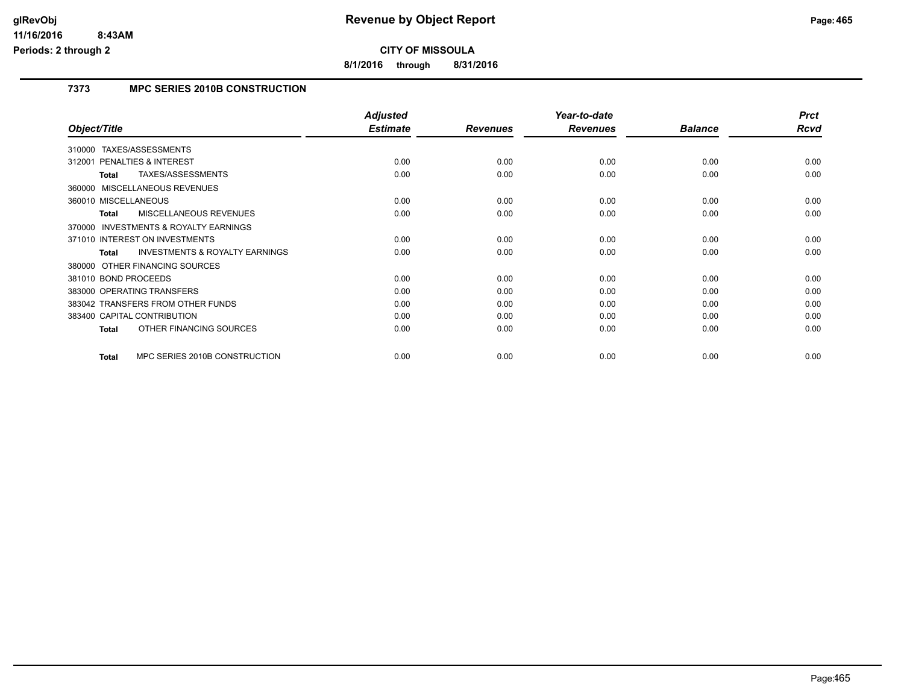**8/1/2016 through 8/31/2016**

## **7373 MPC SERIES 2010B CONSTRUCTION**

|                                                           | <b>Adjusted</b> |                 | Year-to-date    |                | <b>Prct</b> |
|-----------------------------------------------------------|-----------------|-----------------|-----------------|----------------|-------------|
| Object/Title                                              | <b>Estimate</b> | <b>Revenues</b> | <b>Revenues</b> | <b>Balance</b> | <b>Rcvd</b> |
| 310000 TAXES/ASSESSMENTS                                  |                 |                 |                 |                |             |
| 312001 PENALTIES & INTEREST                               | 0.00            | 0.00            | 0.00            | 0.00           | 0.00        |
| TAXES/ASSESSMENTS<br><b>Total</b>                         | 0.00            | 0.00            | 0.00            | 0.00           | 0.00        |
| 360000 MISCELLANEOUS REVENUES                             |                 |                 |                 |                |             |
| 360010 MISCELLANEOUS                                      | 0.00            | 0.00            | 0.00            | 0.00           | 0.00        |
| <b>MISCELLANEOUS REVENUES</b><br><b>Total</b>             | 0.00            | 0.00            | 0.00            | 0.00           | 0.00        |
| <b>INVESTMENTS &amp; ROYALTY EARNINGS</b><br>370000       |                 |                 |                 |                |             |
| 371010 INTEREST ON INVESTMENTS                            | 0.00            | 0.00            | 0.00            | 0.00           | 0.00        |
| <b>INVESTMENTS &amp; ROYALTY EARNINGS</b><br><b>Total</b> | 0.00            | 0.00            | 0.00            | 0.00           | 0.00        |
| 380000 OTHER FINANCING SOURCES                            |                 |                 |                 |                |             |
| 381010 BOND PROCEEDS                                      | 0.00            | 0.00            | 0.00            | 0.00           | 0.00        |
| 383000 OPERATING TRANSFERS                                | 0.00            | 0.00            | 0.00            | 0.00           | 0.00        |
| 383042 TRANSFERS FROM OTHER FUNDS                         | 0.00            | 0.00            | 0.00            | 0.00           | 0.00        |
| 383400 CAPITAL CONTRIBUTION                               | 0.00            | 0.00            | 0.00            | 0.00           | 0.00        |
| OTHER FINANCING SOURCES<br><b>Total</b>                   | 0.00            | 0.00            | 0.00            | 0.00           | 0.00        |
|                                                           |                 |                 |                 |                |             |
| MPC SERIES 2010B CONSTRUCTION<br><b>Total</b>             | 0.00            | 0.00            | 0.00            | 0.00           | 0.00        |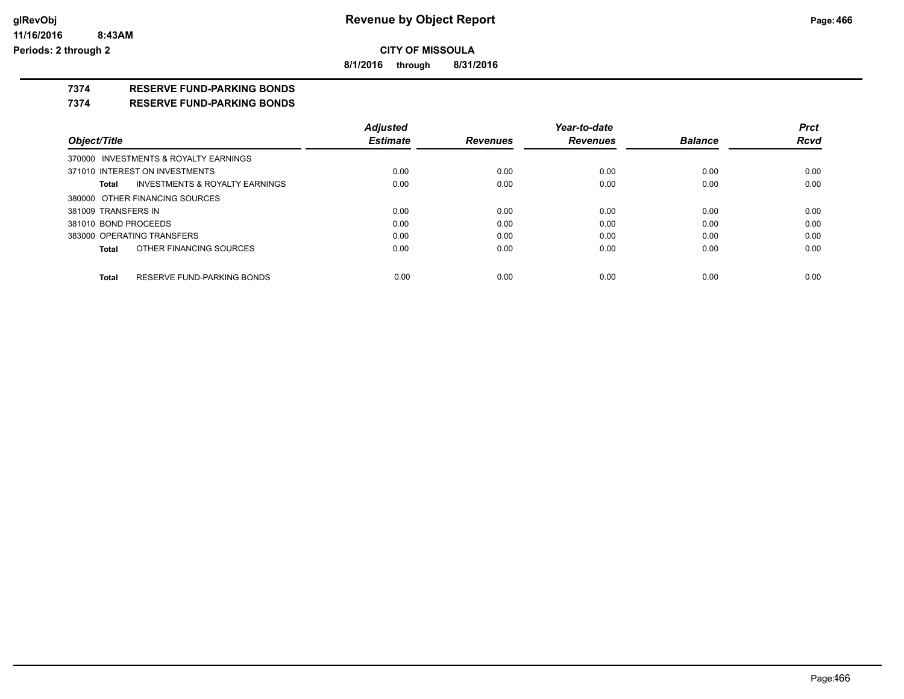**8/1/2016 through 8/31/2016**

## **7374 RESERVE FUND-PARKING BONDS**

#### **7374 RESERVE FUND-PARKING BONDS**

|                      |                                       | <b>Adjusted</b> |                 | Year-to-date    |                | <b>Prct</b> |
|----------------------|---------------------------------------|-----------------|-----------------|-----------------|----------------|-------------|
| Object/Title         |                                       | <b>Estimate</b> | <b>Revenues</b> | <b>Revenues</b> | <b>Balance</b> | <b>Rcvd</b> |
|                      | 370000 INVESTMENTS & ROYALTY EARNINGS |                 |                 |                 |                |             |
|                      | 371010 INTEREST ON INVESTMENTS        | 0.00            | 0.00            | 0.00            | 0.00           | 0.00        |
| Total                | INVESTMENTS & ROYALTY EARNINGS        | 0.00            | 0.00            | 0.00            | 0.00           | 0.00        |
|                      | 380000 OTHER FINANCING SOURCES        |                 |                 |                 |                |             |
| 381009 TRANSFERS IN  |                                       | 0.00            | 0.00            | 0.00            | 0.00           | 0.00        |
| 381010 BOND PROCEEDS |                                       | 0.00            | 0.00            | 0.00            | 0.00           | 0.00        |
|                      | 383000 OPERATING TRANSFERS            | 0.00            | 0.00            | 0.00            | 0.00           | 0.00        |
| Total                | OTHER FINANCING SOURCES               | 0.00            | 0.00            | 0.00            | 0.00           | 0.00        |
|                      |                                       |                 |                 |                 |                |             |
| Total                | RESERVE FUND-PARKING BONDS            | 0.00            | 0.00            | 0.00            | 0.00           | 0.00        |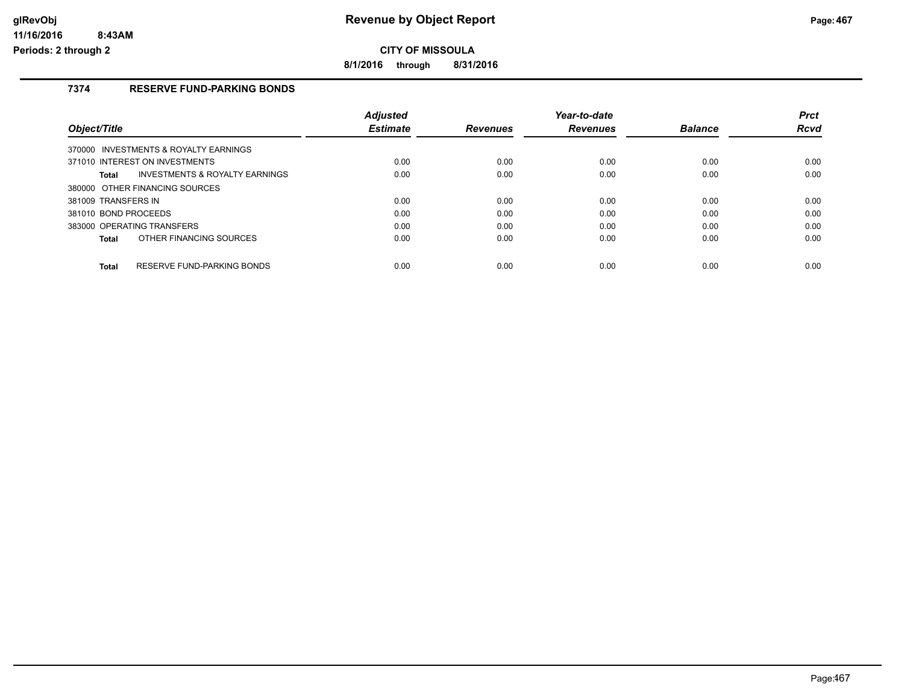**8/1/2016 through 8/31/2016**

## **7374 RESERVE FUND-PARKING BONDS**

|                      |                                       | <b>Adjusted</b> |                 | Year-to-date    |                | <b>Prct</b> |
|----------------------|---------------------------------------|-----------------|-----------------|-----------------|----------------|-------------|
| Object/Title         |                                       | <b>Estimate</b> | <b>Revenues</b> | <b>Revenues</b> | <b>Balance</b> | <b>Rcvd</b> |
|                      | 370000 INVESTMENTS & ROYALTY EARNINGS |                 |                 |                 |                |             |
|                      | 371010 INTEREST ON INVESTMENTS        | 0.00            | 0.00            | 0.00            | 0.00           | 0.00        |
| <b>Total</b>         | INVESTMENTS & ROYALTY EARNINGS        | 0.00            | 0.00            | 0.00            | 0.00           | 0.00        |
|                      | 380000 OTHER FINANCING SOURCES        |                 |                 |                 |                |             |
| 381009 TRANSFERS IN  |                                       | 0.00            | 0.00            | 0.00            | 0.00           | 0.00        |
| 381010 BOND PROCEEDS |                                       | 0.00            | 0.00            | 0.00            | 0.00           | 0.00        |
|                      | 383000 OPERATING TRANSFERS            | 0.00            | 0.00            | 0.00            | 0.00           | 0.00        |
| <b>Total</b>         | OTHER FINANCING SOURCES               | 0.00            | 0.00            | 0.00            | 0.00           | 0.00        |
| <b>Total</b>         | RESERVE FUND-PARKING BONDS            | 0.00            | 0.00            | 0.00            | 0.00           | 0.00        |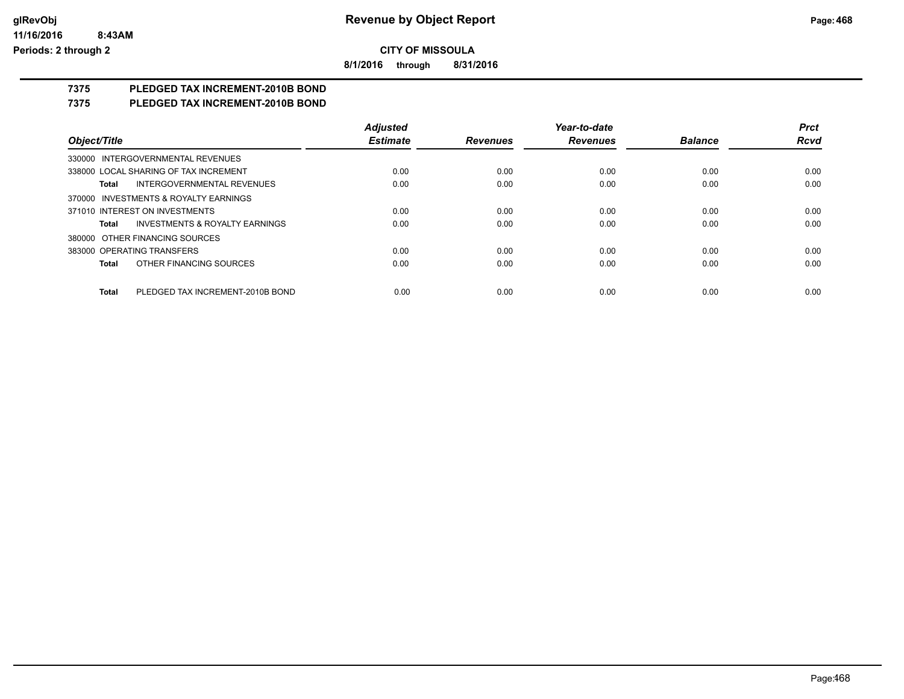**8/1/2016 through 8/31/2016**

# **7375 PLEDGED TAX INCREMENT-2010B BOND**

## **7375 PLEDGED TAX INCREMENT-2010B BOND**

|                                                    | <b>Adjusted</b> |                 | Year-to-date    |                | <b>Prct</b> |
|----------------------------------------------------|-----------------|-----------------|-----------------|----------------|-------------|
| Object/Title                                       | <b>Estimate</b> | <b>Revenues</b> | <b>Revenues</b> | <b>Balance</b> | <b>Rcvd</b> |
| 330000 INTERGOVERNMENTAL REVENUES                  |                 |                 |                 |                |             |
| 338000 LOCAL SHARING OF TAX INCREMENT              | 0.00            | 0.00            | 0.00            | 0.00           | 0.00        |
| <b>INTERGOVERNMENTAL REVENUES</b><br>Total         | 0.00            | 0.00            | 0.00            | 0.00           | 0.00        |
| 370000 INVESTMENTS & ROYALTY EARNINGS              |                 |                 |                 |                |             |
| 371010 INTEREST ON INVESTMENTS                     | 0.00            | 0.00            | 0.00            | 0.00           | 0.00        |
| <b>INVESTMENTS &amp; ROYALTY EARNINGS</b><br>Total | 0.00            | 0.00            | 0.00            | 0.00           | 0.00        |
| 380000 OTHER FINANCING SOURCES                     |                 |                 |                 |                |             |
| 383000 OPERATING TRANSFERS                         | 0.00            | 0.00            | 0.00            | 0.00           | 0.00        |
| OTHER FINANCING SOURCES<br>Total                   | 0.00            | 0.00            | 0.00            | 0.00           | 0.00        |
| PLEDGED TAX INCREMENT-2010B BOND<br><b>Total</b>   | 0.00            | 0.00            | 0.00            | 0.00           | 0.00        |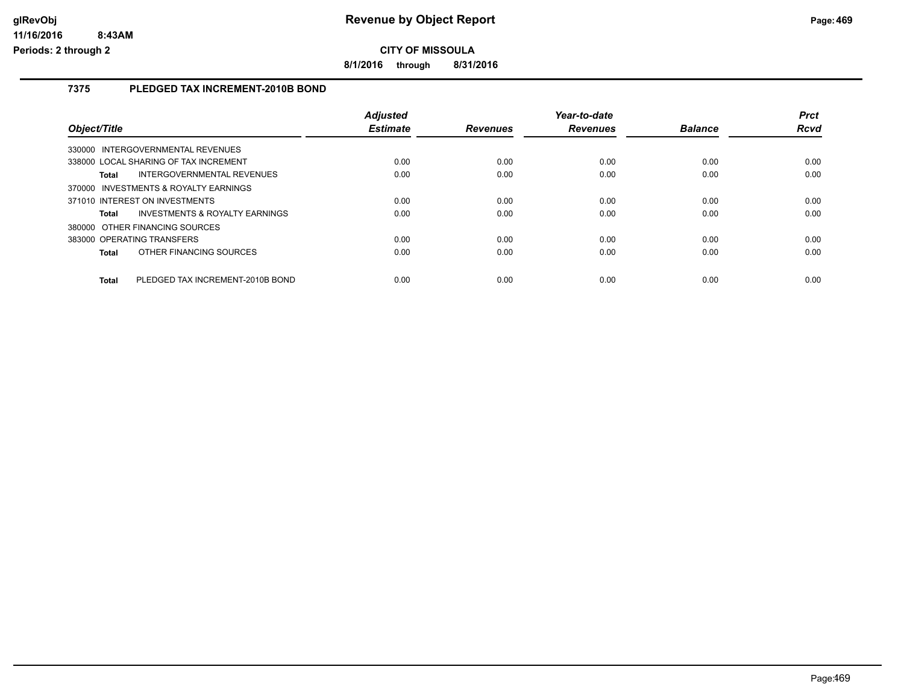**8/1/2016 through 8/31/2016**

#### **7375 PLEDGED TAX INCREMENT-2010B BOND**

| Object/Title                                     | <b>Adjusted</b><br><b>Estimate</b> | <b>Revenues</b> | Year-to-date<br><b>Revenues</b> | <b>Balance</b> | <b>Prct</b><br><b>Rcvd</b> |
|--------------------------------------------------|------------------------------------|-----------------|---------------------------------|----------------|----------------------------|
| INTERGOVERNMENTAL REVENUES<br>330000             |                                    |                 |                                 |                |                            |
| 338000 LOCAL SHARING OF TAX INCREMENT            | 0.00                               | 0.00            | 0.00                            | 0.00           | 0.00                       |
| INTERGOVERNMENTAL REVENUES<br>Total              | 0.00                               | 0.00            | 0.00                            | 0.00           | 0.00                       |
| 370000 INVESTMENTS & ROYALTY EARNINGS            |                                    |                 |                                 |                |                            |
| 371010 INTEREST ON INVESTMENTS                   | 0.00                               | 0.00            | 0.00                            | 0.00           | 0.00                       |
| INVESTMENTS & ROYALTY EARNINGS<br>Total          | 0.00                               | 0.00            | 0.00                            | 0.00           | 0.00                       |
| 380000 OTHER FINANCING SOURCES                   |                                    |                 |                                 |                |                            |
| 383000 OPERATING TRANSFERS                       | 0.00                               | 0.00            | 0.00                            | 0.00           | 0.00                       |
| OTHER FINANCING SOURCES<br>Total                 | 0.00                               | 0.00            | 0.00                            | 0.00           | 0.00                       |
| PLEDGED TAX INCREMENT-2010B BOND<br><b>Total</b> | 0.00                               | 0.00            | 0.00                            | 0.00           | 0.00                       |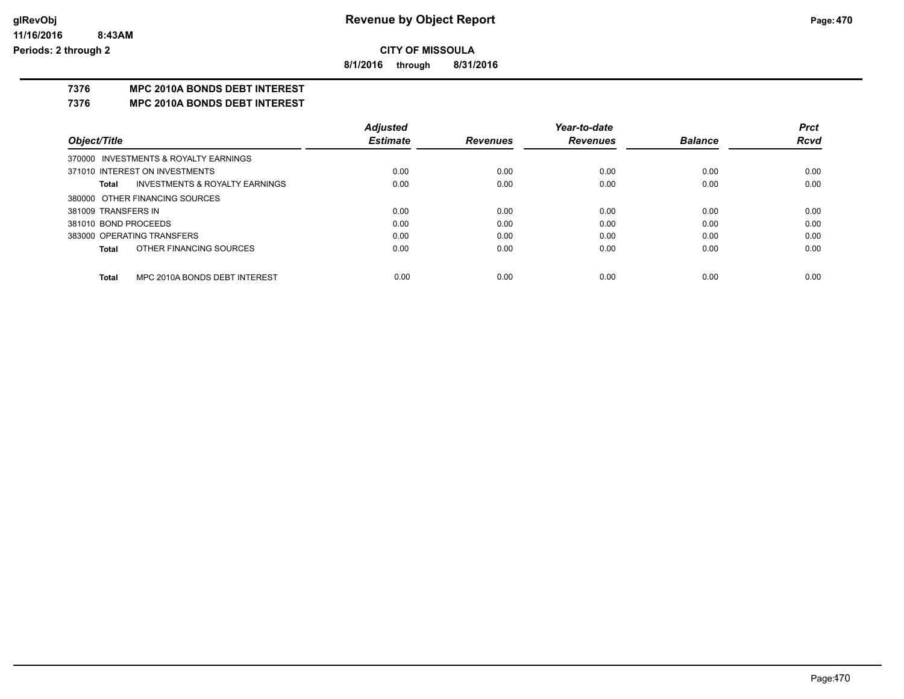**8/1/2016 through 8/31/2016**

#### **7376 MPC 2010A BONDS DEBT INTEREST**

#### **7376 MPC 2010A BONDS DEBT INTEREST**

|                      |                                           | <b>Adjusted</b> |                 | Year-to-date    |                | <b>Prct</b> |
|----------------------|-------------------------------------------|-----------------|-----------------|-----------------|----------------|-------------|
| Object/Title         |                                           | <b>Estimate</b> | <b>Revenues</b> | <b>Revenues</b> | <b>Balance</b> | <b>Rcvd</b> |
|                      | 370000 INVESTMENTS & ROYALTY EARNINGS     |                 |                 |                 |                |             |
|                      | 371010 INTEREST ON INVESTMENTS            | 0.00            | 0.00            | 0.00            | 0.00           | 0.00        |
| Total                | <b>INVESTMENTS &amp; ROYALTY EARNINGS</b> | 0.00            | 0.00            | 0.00            | 0.00           | 0.00        |
|                      | 380000 OTHER FINANCING SOURCES            |                 |                 |                 |                |             |
| 381009 TRANSFERS IN  |                                           | 0.00            | 0.00            | 0.00            | 0.00           | 0.00        |
| 381010 BOND PROCEEDS |                                           | 0.00            | 0.00            | 0.00            | 0.00           | 0.00        |
|                      | 383000 OPERATING TRANSFERS                | 0.00            | 0.00            | 0.00            | 0.00           | 0.00        |
| Total                | OTHER FINANCING SOURCES                   | 0.00            | 0.00            | 0.00            | 0.00           | 0.00        |
| Total                | MPC 2010A BONDS DEBT INTEREST             | 0.00            | 0.00            | 0.00            | 0.00           | 0.00        |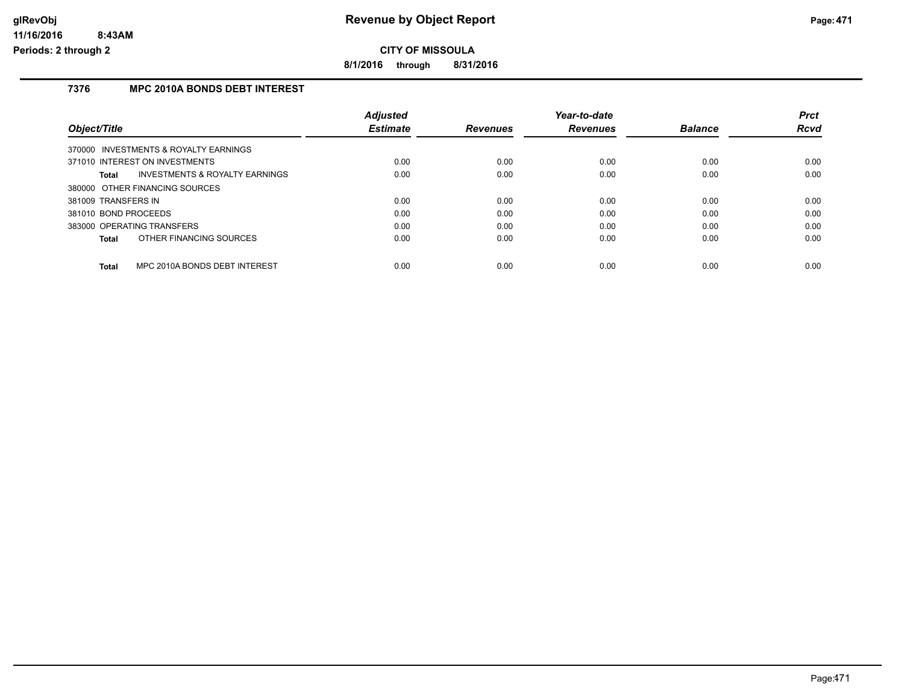**8/1/2016 through 8/31/2016**

#### **7376 MPC 2010A BONDS DEBT INTEREST**

|                                                    | <b>Adjusted</b> |                 | Year-to-date    |                | <b>Prct</b> |
|----------------------------------------------------|-----------------|-----------------|-----------------|----------------|-------------|
| Object/Title                                       | <b>Estimate</b> | <b>Revenues</b> | <b>Revenues</b> | <b>Balance</b> | <b>Rcvd</b> |
| 370000 INVESTMENTS & ROYALTY EARNINGS              |                 |                 |                 |                |             |
| 371010 INTEREST ON INVESTMENTS                     | 0.00            | 0.00            | 0.00            | 0.00           | 0.00        |
| <b>INVESTMENTS &amp; ROYALTY EARNINGS</b><br>Total | 0.00            | 0.00            | 0.00            | 0.00           | 0.00        |
| 380000 OTHER FINANCING SOURCES                     |                 |                 |                 |                |             |
| 381009 TRANSFERS IN                                | 0.00            | 0.00            | 0.00            | 0.00           | 0.00        |
| 381010 BOND PROCEEDS                               | 0.00            | 0.00            | 0.00            | 0.00           | 0.00        |
| 383000 OPERATING TRANSFERS                         | 0.00            | 0.00            | 0.00            | 0.00           | 0.00        |
| OTHER FINANCING SOURCES<br>Total                   | 0.00            | 0.00            | 0.00            | 0.00           | 0.00        |
| MPC 2010A BONDS DEBT INTEREST<br><b>Total</b>      | 0.00            | 0.00            | 0.00            | 0.00           | 0.00        |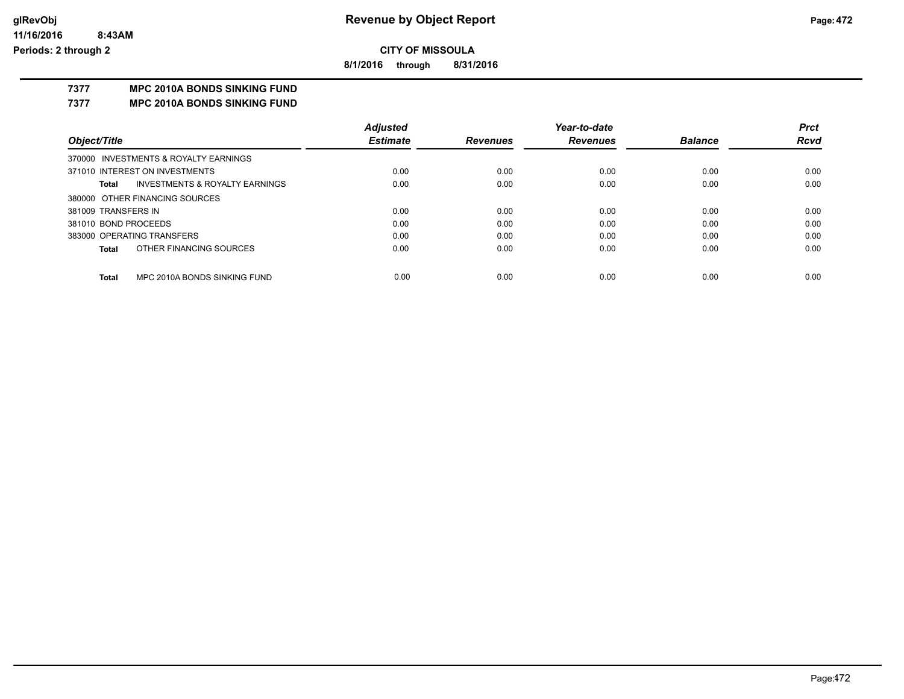**Periods: 2 through 2**

 **8:43AM**

**CITY OF MISSOULA**

**8/1/2016 through 8/31/2016**

### **7377 MPC 2010A BONDS SINKING FUND**

**7377 MPC 2010A BONDS SINKING FUND**

|                                       |                                           | <b>Adjusted</b> |                 | Year-to-date    |                | <b>Prct</b> |
|---------------------------------------|-------------------------------------------|-----------------|-----------------|-----------------|----------------|-------------|
| Object/Title                          |                                           | <b>Estimate</b> | <b>Revenues</b> | <b>Revenues</b> | <b>Balance</b> | <b>Rcvd</b> |
| 370000 INVESTMENTS & ROYALTY EARNINGS |                                           |                 |                 |                 |                |             |
| 371010 INTEREST ON INVESTMENTS        |                                           | 0.00            | 0.00            | 0.00            | 0.00           | 0.00        |
| <b>Total</b>                          | <b>INVESTMENTS &amp; ROYALTY EARNINGS</b> | 0.00            | 0.00            | 0.00            | 0.00           | 0.00        |
| 380000 OTHER FINANCING SOURCES        |                                           |                 |                 |                 |                |             |
| 381009 TRANSFERS IN                   |                                           | 0.00            | 0.00            | 0.00            | 0.00           | 0.00        |
| 381010 BOND PROCEEDS                  |                                           | 0.00            | 0.00            | 0.00            | 0.00           | 0.00        |
| 383000 OPERATING TRANSFERS            |                                           | 0.00            | 0.00            | 0.00            | 0.00           | 0.00        |
| <b>Total</b>                          | OTHER FINANCING SOURCES                   | 0.00            | 0.00            | 0.00            | 0.00           | 0.00        |
| <b>Total</b>                          | MPC 2010A BONDS SINKING FUND              | 0.00            | 0.00            | 0.00            | 0.00           | 0.00        |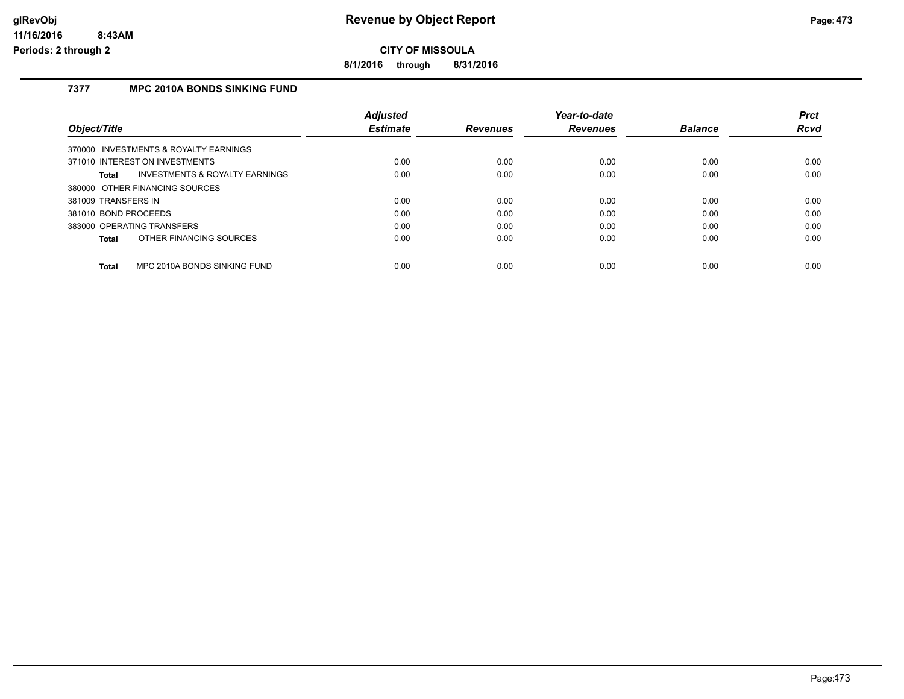**8/1/2016 through 8/31/2016**

#### **7377 MPC 2010A BONDS SINKING FUND**

|                      |                                           | <b>Adjusted</b> |                 | Year-to-date    |                | <b>Prct</b> |
|----------------------|-------------------------------------------|-----------------|-----------------|-----------------|----------------|-------------|
| Object/Title         |                                           | <b>Estimate</b> | <b>Revenues</b> | <b>Revenues</b> | <b>Balance</b> | <b>Rcvd</b> |
|                      | 370000 INVESTMENTS & ROYALTY EARNINGS     |                 |                 |                 |                |             |
|                      | 371010 INTEREST ON INVESTMENTS            | 0.00            | 0.00            | 0.00            | 0.00           | 0.00        |
| <b>Total</b>         | <b>INVESTMENTS &amp; ROYALTY EARNINGS</b> | 0.00            | 0.00            | 0.00            | 0.00           | 0.00        |
|                      | 380000 OTHER FINANCING SOURCES            |                 |                 |                 |                |             |
| 381009 TRANSFERS IN  |                                           | 0.00            | 0.00            | 0.00            | 0.00           | 0.00        |
| 381010 BOND PROCEEDS |                                           | 0.00            | 0.00            | 0.00            | 0.00           | 0.00        |
|                      | 383000 OPERATING TRANSFERS                | 0.00            | 0.00            | 0.00            | 0.00           | 0.00        |
| <b>Total</b>         | OTHER FINANCING SOURCES                   | 0.00            | 0.00            | 0.00            | 0.00           | 0.00        |
| <b>Total</b>         | MPC 2010A BONDS SINKING FUND              | 0.00            | 0.00            | 0.00            | 0.00           | 0.00        |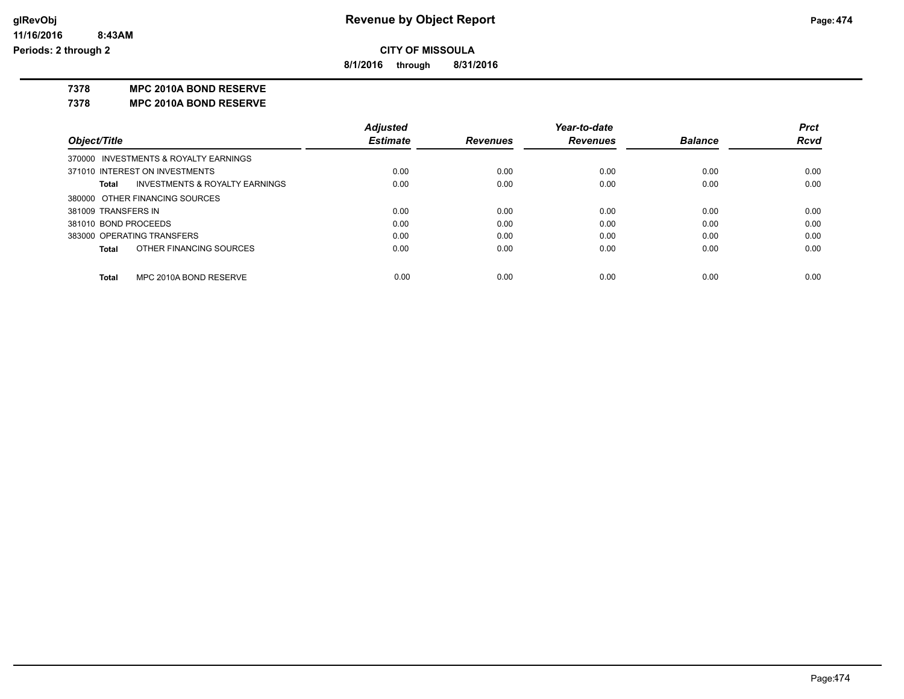**8/1/2016 through 8/31/2016**

#### **7378 MPC 2010A BOND RESERVE**

**7378 MPC 2010A BOND RESERVE**

|                      |                                       | <b>Adjusted</b> |                 | Year-to-date    |                | <b>Prct</b> |
|----------------------|---------------------------------------|-----------------|-----------------|-----------------|----------------|-------------|
| Object/Title         |                                       | <b>Estimate</b> | <b>Revenues</b> | <b>Revenues</b> | <b>Balance</b> | <b>Rcvd</b> |
|                      | 370000 INVESTMENTS & ROYALTY EARNINGS |                 |                 |                 |                |             |
|                      | 371010 INTEREST ON INVESTMENTS        | 0.00            | 0.00            | 0.00            | 0.00           | 0.00        |
| Total                | INVESTMENTS & ROYALTY EARNINGS        | 0.00            | 0.00            | 0.00            | 0.00           | 0.00        |
|                      | 380000 OTHER FINANCING SOURCES        |                 |                 |                 |                |             |
| 381009 TRANSFERS IN  |                                       | 0.00            | 0.00            | 0.00            | 0.00           | 0.00        |
| 381010 BOND PROCEEDS |                                       | 0.00            | 0.00            | 0.00            | 0.00           | 0.00        |
|                      | 383000 OPERATING TRANSFERS            | 0.00            | 0.00            | 0.00            | 0.00           | 0.00        |
| Total                | OTHER FINANCING SOURCES               | 0.00            | 0.00            | 0.00            | 0.00           | 0.00        |
|                      |                                       |                 |                 |                 |                |             |
| Total                | MPC 2010A BOND RESERVE                | 0.00            | 0.00            | 0.00            | 0.00           | 0.00        |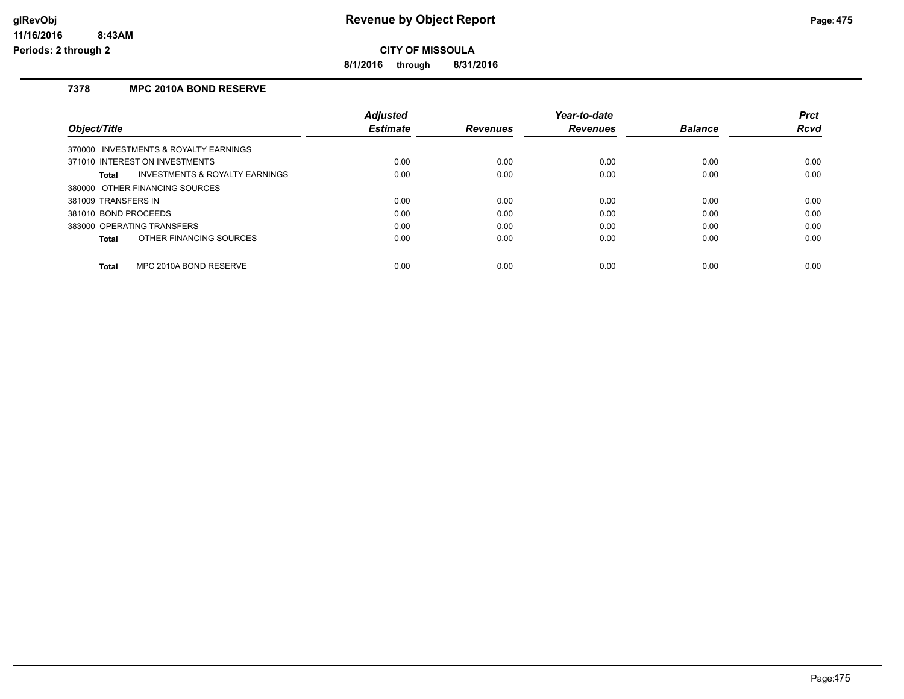**8/1/2016 through 8/31/2016**

#### **7378 MPC 2010A BOND RESERVE**

|                      |                                           | <b>Adjusted</b> |                 | Year-to-date    |                | <b>Prct</b> |
|----------------------|-------------------------------------------|-----------------|-----------------|-----------------|----------------|-------------|
| Object/Title         |                                           | <b>Estimate</b> | <b>Revenues</b> | <b>Revenues</b> | <b>Balance</b> | <b>Rcvd</b> |
|                      | 370000 INVESTMENTS & ROYALTY EARNINGS     |                 |                 |                 |                |             |
|                      | 371010 INTEREST ON INVESTMENTS            | 0.00            | 0.00            | 0.00            | 0.00           | 0.00        |
| Total                | <b>INVESTMENTS &amp; ROYALTY EARNINGS</b> | 0.00            | 0.00            | 0.00            | 0.00           | 0.00        |
|                      | 380000 OTHER FINANCING SOURCES            |                 |                 |                 |                |             |
| 381009 TRANSFERS IN  |                                           | 0.00            | 0.00            | 0.00            | 0.00           | 0.00        |
| 381010 BOND PROCEEDS |                                           | 0.00            | 0.00            | 0.00            | 0.00           | 0.00        |
|                      | 383000 OPERATING TRANSFERS                | 0.00            | 0.00            | 0.00            | 0.00           | 0.00        |
| <b>Total</b>         | OTHER FINANCING SOURCES                   | 0.00            | 0.00            | 0.00            | 0.00           | 0.00        |
| <b>Total</b>         | MPC 2010A BOND RESERVE                    | 0.00            | 0.00            | 0.00            | 0.00           | 0.00        |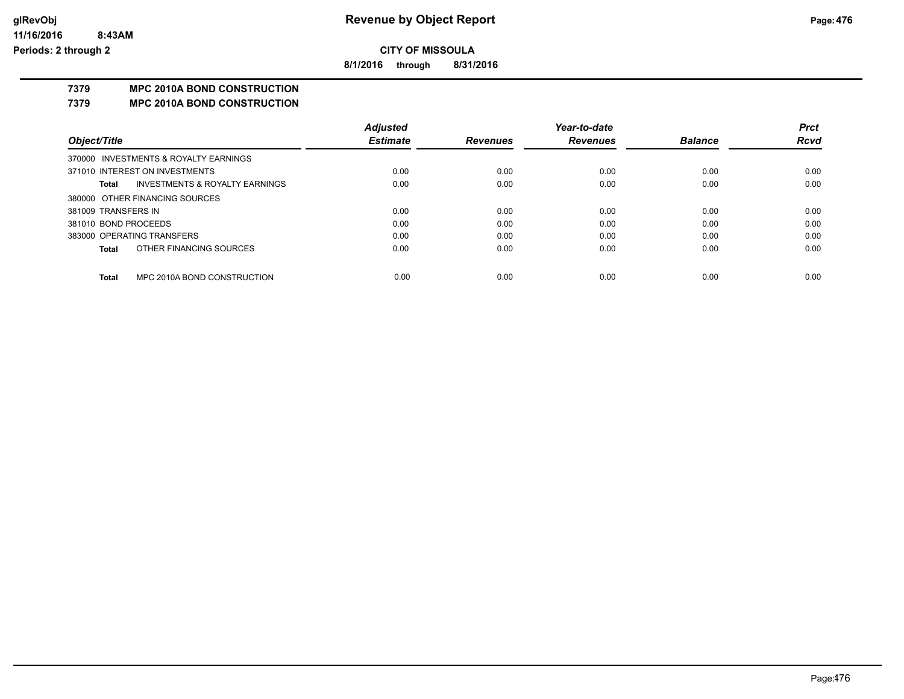**Periods: 2 through 2**

 **8:43AM**

**CITY OF MISSOULA**

**8/1/2016 through 8/31/2016**

### **7379 MPC 2010A BOND CONSTRUCTION**

#### **7379 MPC 2010A BOND CONSTRUCTION**

|                                                    | <b>Adjusted</b> |                 | Year-to-date    |                | <b>Prct</b> |
|----------------------------------------------------|-----------------|-----------------|-----------------|----------------|-------------|
| Object/Title                                       | <b>Estimate</b> | <b>Revenues</b> | <b>Revenues</b> | <b>Balance</b> | <b>Rcvd</b> |
| 370000 INVESTMENTS & ROYALTY EARNINGS              |                 |                 |                 |                |             |
| 371010 INTEREST ON INVESTMENTS                     | 0.00            | 0.00            | 0.00            | 0.00           | 0.00        |
| <b>INVESTMENTS &amp; ROYALTY EARNINGS</b><br>Total | 0.00            | 0.00            | 0.00            | 0.00           | 0.00        |
| 380000 OTHER FINANCING SOURCES                     |                 |                 |                 |                |             |
| 381009 TRANSFERS IN                                | 0.00            | 0.00            | 0.00            | 0.00           | 0.00        |
| 381010 BOND PROCEEDS                               | 0.00            | 0.00            | 0.00            | 0.00           | 0.00        |
| 383000 OPERATING TRANSFERS                         | 0.00            | 0.00            | 0.00            | 0.00           | 0.00        |
| OTHER FINANCING SOURCES<br>Total                   | 0.00            | 0.00            | 0.00            | 0.00           | 0.00        |
| MPC 2010A BOND CONSTRUCTION<br>Total               | 0.00            | 0.00            | 0.00            | 0.00           | 0.00        |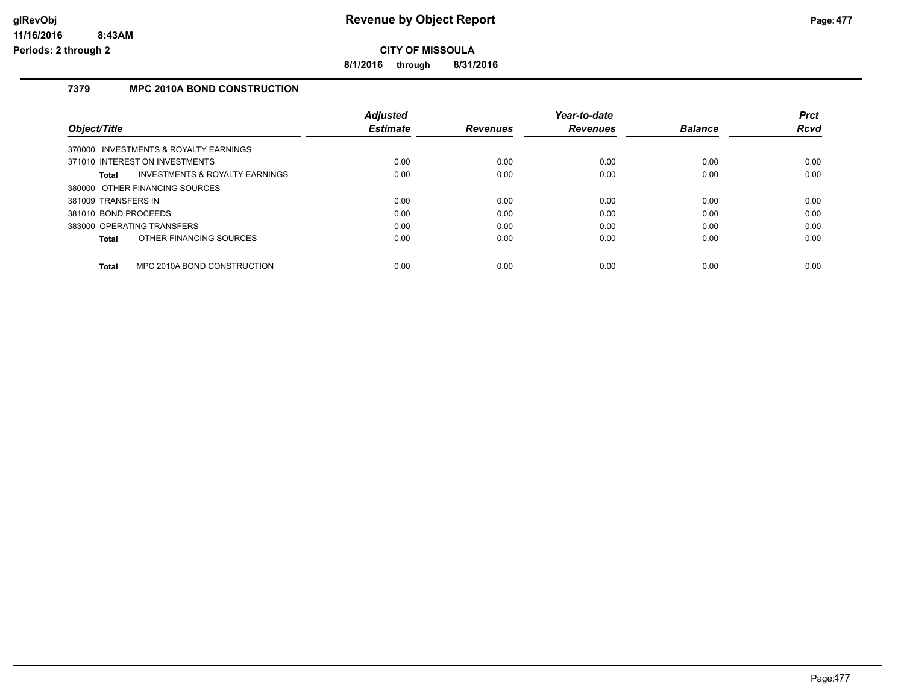**8/1/2016 through 8/31/2016**

#### **7379 MPC 2010A BOND CONSTRUCTION**

|                      |                                           | <b>Adjusted</b> |                 | Year-to-date    |                | <b>Prct</b> |
|----------------------|-------------------------------------------|-----------------|-----------------|-----------------|----------------|-------------|
| Object/Title         |                                           | <b>Estimate</b> | <b>Revenues</b> | <b>Revenues</b> | <b>Balance</b> | <b>Rcvd</b> |
|                      | 370000 INVESTMENTS & ROYALTY EARNINGS     |                 |                 |                 |                |             |
|                      | 371010 INTEREST ON INVESTMENTS            | 0.00            | 0.00            | 0.00            | 0.00           | 0.00        |
| <b>Total</b>         | <b>INVESTMENTS &amp; ROYALTY EARNINGS</b> | 0.00            | 0.00            | 0.00            | 0.00           | 0.00        |
|                      | 380000 OTHER FINANCING SOURCES            |                 |                 |                 |                |             |
| 381009 TRANSFERS IN  |                                           | 0.00            | 0.00            | 0.00            | 0.00           | 0.00        |
| 381010 BOND PROCEEDS |                                           | 0.00            | 0.00            | 0.00            | 0.00           | 0.00        |
|                      | 383000 OPERATING TRANSFERS                | 0.00            | 0.00            | 0.00            | 0.00           | 0.00        |
| <b>Total</b>         | OTHER FINANCING SOURCES                   | 0.00            | 0.00            | 0.00            | 0.00           | 0.00        |
| <b>Total</b>         | MPC 2010A BOND CONSTRUCTION               | 0.00            | 0.00            | 0.00            | 0.00           | 0.00        |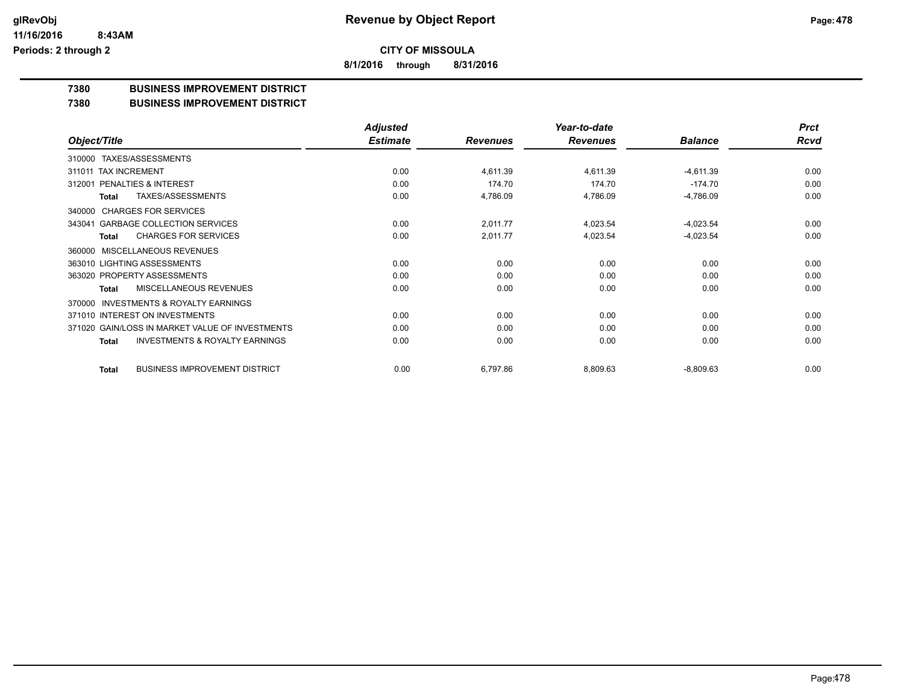**8/1/2016 through 8/31/2016**

#### **7380 BUSINESS IMPROVEMENT DISTRICT**

#### **7380 BUSINESS IMPROVEMENT DISTRICT**

|                                                           | <b>Adjusted</b> |                 | Year-to-date    |                | <b>Prct</b> |
|-----------------------------------------------------------|-----------------|-----------------|-----------------|----------------|-------------|
| Object/Title                                              | <b>Estimate</b> | <b>Revenues</b> | <b>Revenues</b> | <b>Balance</b> | Rcvd        |
| 310000 TAXES/ASSESSMENTS                                  |                 |                 |                 |                |             |
| <b>TAX INCREMENT</b><br>311011                            | 0.00            | 4,611.39        | 4,611.39        | $-4,611.39$    | 0.00        |
| <b>PENALTIES &amp; INTEREST</b><br>312001                 | 0.00            | 174.70          | 174.70          | $-174.70$      | 0.00        |
| TAXES/ASSESSMENTS<br><b>Total</b>                         | 0.00            | 4,786.09        | 4,786.09        | $-4,786.09$    | 0.00        |
| <b>CHARGES FOR SERVICES</b><br>340000                     |                 |                 |                 |                |             |
| 343041 GARBAGE COLLECTION SERVICES                        | 0.00            | 2,011.77        | 4,023.54        | $-4,023.54$    | 0.00        |
| <b>CHARGES FOR SERVICES</b><br><b>Total</b>               | 0.00            | 2,011.77        | 4,023.54        | $-4,023.54$    | 0.00        |
| MISCELLANEOUS REVENUES<br>360000                          |                 |                 |                 |                |             |
| 363010 LIGHTING ASSESSMENTS                               | 0.00            | 0.00            | 0.00            | 0.00           | 0.00        |
| 363020 PROPERTY ASSESSMENTS                               | 0.00            | 0.00            | 0.00            | 0.00           | 0.00        |
| <b>MISCELLANEOUS REVENUES</b><br>Total                    | 0.00            | 0.00            | 0.00            | 0.00           | 0.00        |
| <b>INVESTMENTS &amp; ROYALTY EARNINGS</b><br>370000       |                 |                 |                 |                |             |
| 371010 INTEREST ON INVESTMENTS                            | 0.00            | 0.00            | 0.00            | 0.00           | 0.00        |
| 371020 GAIN/LOSS IN MARKET VALUE OF INVESTMENTS           | 0.00            | 0.00            | 0.00            | 0.00           | 0.00        |
| <b>INVESTMENTS &amp; ROYALTY EARNINGS</b><br><b>Total</b> | 0.00            | 0.00            | 0.00            | 0.00           | 0.00        |
| <b>BUSINESS IMPROVEMENT DISTRICT</b><br><b>Total</b>      | 0.00            | 6,797.86        | 8,809.63        | $-8,809.63$    | 0.00        |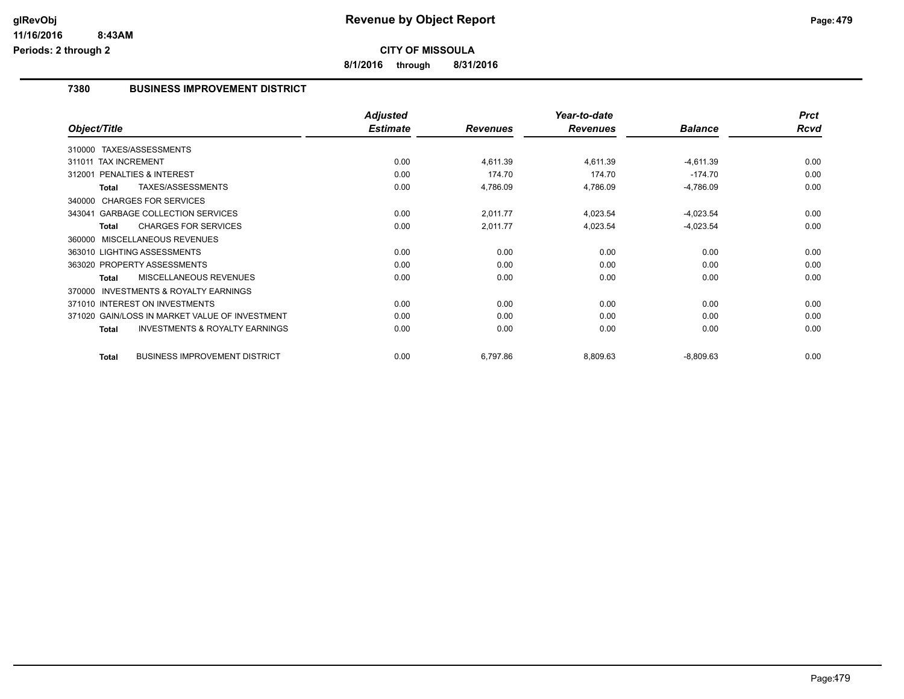**8/1/2016 through 8/31/2016**

#### **7380 BUSINESS IMPROVEMENT DISTRICT**

|                                                           | <b>Adjusted</b> |                 | Year-to-date    |                | <b>Prct</b> |
|-----------------------------------------------------------|-----------------|-----------------|-----------------|----------------|-------------|
| Object/Title                                              | <b>Estimate</b> | <b>Revenues</b> | <b>Revenues</b> | <b>Balance</b> | <b>Rcvd</b> |
| 310000 TAXES/ASSESSMENTS                                  |                 |                 |                 |                |             |
| 311011 TAX INCREMENT                                      | 0.00            | 4,611.39        | 4,611.39        | $-4,611.39$    | 0.00        |
| 312001 PENALTIES & INTEREST                               | 0.00            | 174.70          | 174.70          | $-174.70$      | 0.00        |
| TAXES/ASSESSMENTS<br>Total                                | 0.00            | 4,786.09        | 4,786.09        | $-4,786.09$    | 0.00        |
| 340000 CHARGES FOR SERVICES                               |                 |                 |                 |                |             |
| 343041 GARBAGE COLLECTION SERVICES                        | 0.00            | 2,011.77        | 4,023.54        | $-4,023.54$    | 0.00        |
| <b>CHARGES FOR SERVICES</b><br><b>Total</b>               | 0.00            | 2,011.77        | 4,023.54        | $-4,023.54$    | 0.00        |
| <b>MISCELLANEOUS REVENUES</b><br>360000                   |                 |                 |                 |                |             |
| 363010 LIGHTING ASSESSMENTS                               | 0.00            | 0.00            | 0.00            | 0.00           | 0.00        |
| 363020 PROPERTY ASSESSMENTS                               | 0.00            | 0.00            | 0.00            | 0.00           | 0.00        |
| <b>MISCELLANEOUS REVENUES</b><br><b>Total</b>             | 0.00            | 0.00            | 0.00            | 0.00           | 0.00        |
| INVESTMENTS & ROYALTY EARNINGS<br>370000                  |                 |                 |                 |                |             |
| 371010 INTEREST ON INVESTMENTS                            | 0.00            | 0.00            | 0.00            | 0.00           | 0.00        |
| 371020 GAIN/LOSS IN MARKET VALUE OF INVESTMENT            | 0.00            | 0.00            | 0.00            | 0.00           | 0.00        |
| <b>INVESTMENTS &amp; ROYALTY EARNINGS</b><br><b>Total</b> | 0.00            | 0.00            | 0.00            | 0.00           | 0.00        |
|                                                           |                 |                 |                 |                |             |
| <b>BUSINESS IMPROVEMENT DISTRICT</b><br><b>Total</b>      | 0.00            | 6,797.86        | 8,809.63        | $-8,809.63$    | 0.00        |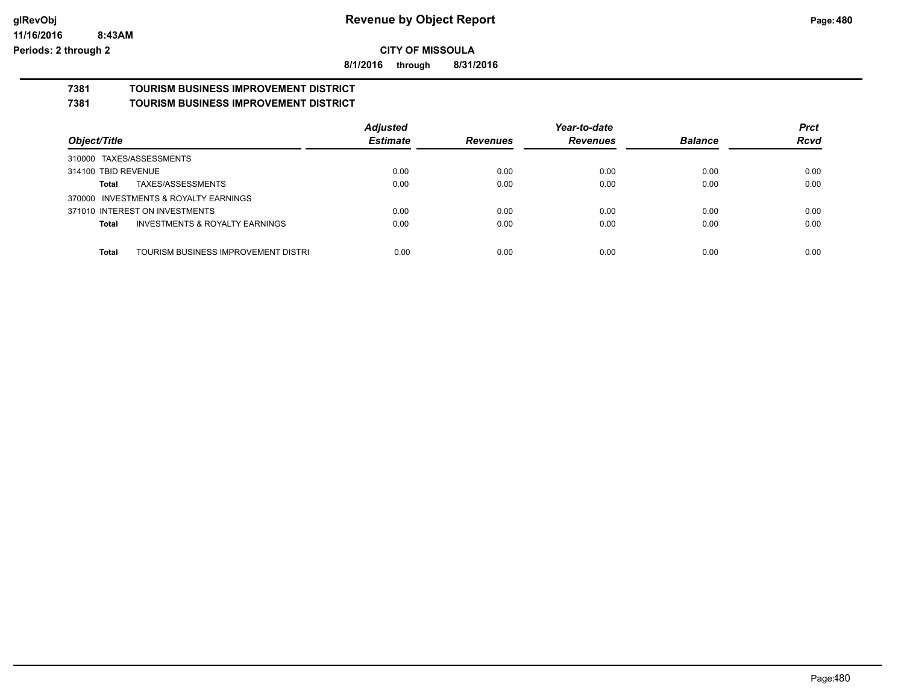**11/16/2016**

### **CITY OF MISSOULA**

**8/1/2016 through 8/31/2016**

# **7381 TOURISM BUSINESS IMPROVEMENT DISTRICT**

### **7381 TOURISM BUSINESS IMPROVEMENT DISTRICT**

|                                                     | <b>Adjusted</b> |                 | Year-to-date    |                | <b>Prct</b> |
|-----------------------------------------------------|-----------------|-----------------|-----------------|----------------|-------------|
| Object/Title                                        | <b>Estimate</b> | <b>Revenues</b> | <b>Revenues</b> | <b>Balance</b> | <b>Rcvd</b> |
| 310000 TAXES/ASSESSMENTS                            |                 |                 |                 |                |             |
| 314100 TBID REVENUE                                 | 0.00            | 0.00            | 0.00            | 0.00           | 0.00        |
| TAXES/ASSESSMENTS<br>Total                          | 0.00            | 0.00            | 0.00            | 0.00           | 0.00        |
| 370000 INVESTMENTS & ROYALTY EARNINGS               |                 |                 |                 |                |             |
| 371010 INTEREST ON INVESTMENTS                      | 0.00            | 0.00            | 0.00            | 0.00           | 0.00        |
| <b>INVESTMENTS &amp; ROYALTY EARNINGS</b><br>Total  | 0.00            | 0.00            | 0.00            | 0.00           | 0.00        |
|                                                     |                 |                 |                 |                |             |
| TOURISM BUSINESS IMPROVEMENT DISTRI<br><b>Total</b> | 0.00            | 0.00            | 0.00            | 0.00           | 0.00        |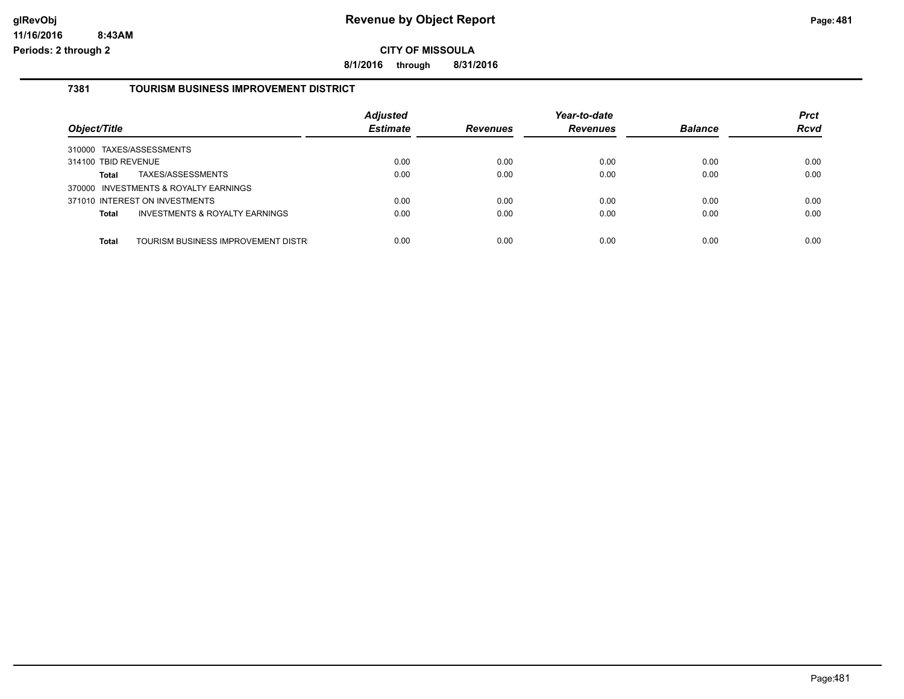**Periods: 2 through 2**

**CITY OF MISSOULA**

**8/1/2016 through 8/31/2016**

#### **7381 TOURISM BUSINESS IMPROVEMENT DISTRICT**

| Object/Title                                       | <b>Adjusted</b><br><b>Estimate</b> | <b>Revenues</b> | Year-to-date<br><b>Revenues</b> | <b>Balance</b> | <b>Prct</b><br><b>Rcvd</b> |
|----------------------------------------------------|------------------------------------|-----------------|---------------------------------|----------------|----------------------------|
| 310000 TAXES/ASSESSMENTS                           |                                    |                 |                                 |                |                            |
| 314100 TBID REVENUE                                | 0.00                               | 0.00            | 0.00                            | 0.00           | 0.00                       |
| TAXES/ASSESSMENTS<br><b>Total</b>                  | 0.00                               | 0.00            | 0.00                            | 0.00           | 0.00                       |
| 370000 INVESTMENTS & ROYALTY EARNINGS              |                                    |                 |                                 |                |                            |
| 371010 INTEREST ON INVESTMENTS                     | 0.00                               | 0.00            | 0.00                            | 0.00           | 0.00                       |
| INVESTMENTS & ROYALTY EARNINGS<br><b>Total</b>     | 0.00                               | 0.00            | 0.00                            | 0.00           | 0.00                       |
|                                                    |                                    |                 |                                 |                |                            |
| TOURISM BUSINESS IMPROVEMENT DISTR<br><b>Total</b> | 0.00                               | 0.00            | 0.00                            | 0.00           | 0.00                       |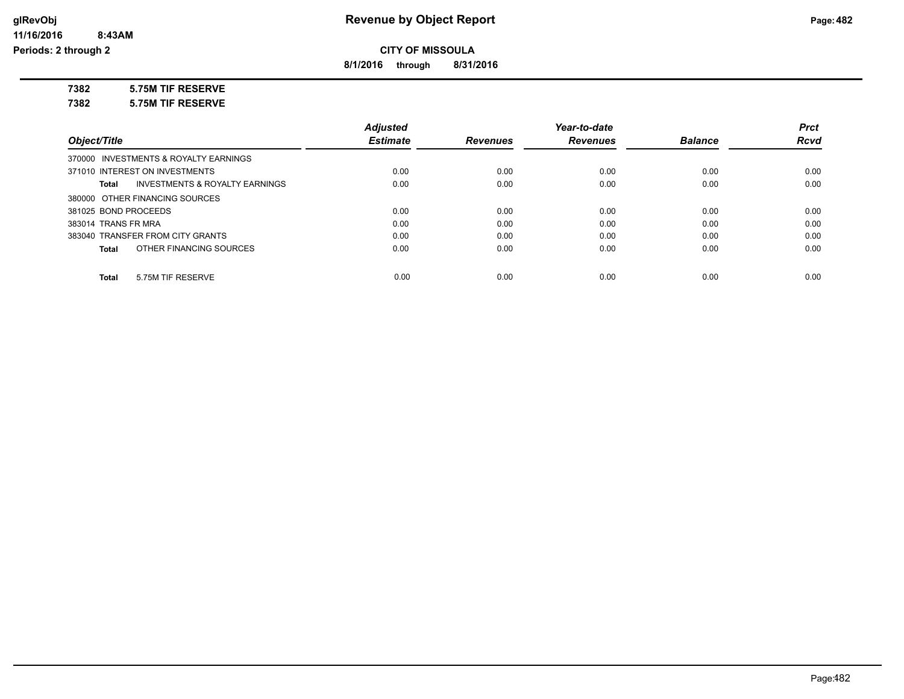**8/1/2016 through 8/31/2016**

**7382 5.75M TIF RESERVE**

**7382 5.75M TIF RESERVE**

|                                         | <b>Adjusted</b> |                 | Year-to-date    |                | <b>Prct</b> |
|-----------------------------------------|-----------------|-----------------|-----------------|----------------|-------------|
| Object/Title                            | <b>Estimate</b> | <b>Revenues</b> | <b>Revenues</b> | <b>Balance</b> | <b>Rcvd</b> |
| 370000 INVESTMENTS & ROYALTY EARNINGS   |                 |                 |                 |                |             |
| 371010 INTEREST ON INVESTMENTS          | 0.00            | 0.00            | 0.00            | 0.00           | 0.00        |
| INVESTMENTS & ROYALTY EARNINGS<br>Total | 0.00            | 0.00            | 0.00            | 0.00           | 0.00        |
| 380000 OTHER FINANCING SOURCES          |                 |                 |                 |                |             |
| 381025 BOND PROCEEDS                    | 0.00            | 0.00            | 0.00            | 0.00           | 0.00        |
| 383014 TRANS FR MRA                     | 0.00            | 0.00            | 0.00            | 0.00           | 0.00        |
| 383040 TRANSFER FROM CITY GRANTS        | 0.00            | 0.00            | 0.00            | 0.00           | 0.00        |
| OTHER FINANCING SOURCES<br>Total        | 0.00            | 0.00            | 0.00            | 0.00           | 0.00        |
|                                         |                 |                 |                 |                |             |
| 5.75M TIF RESERVE<br><b>Total</b>       | 0.00            | 0.00            | 0.00            | 0.00           | 0.00        |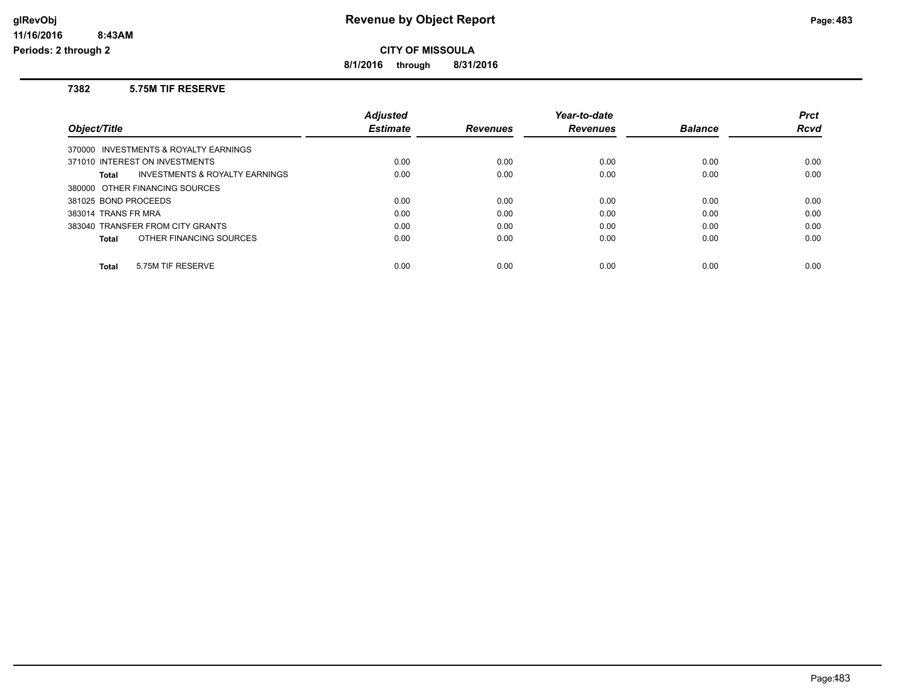**8/1/2016 through 8/31/2016**

#### **7382 5.75M TIF RESERVE**

|                                         | <b>Adjusted</b> |                 | Year-to-date    |                | <b>Prct</b> |
|-----------------------------------------|-----------------|-----------------|-----------------|----------------|-------------|
| Object/Title                            | <b>Estimate</b> | <b>Revenues</b> | <b>Revenues</b> | <b>Balance</b> | <b>Rcvd</b> |
| 370000 INVESTMENTS & ROYALTY EARNINGS   |                 |                 |                 |                |             |
| 371010 INTEREST ON INVESTMENTS          | 0.00            | 0.00            | 0.00            | 0.00           | 0.00        |
| INVESTMENTS & ROYALTY EARNINGS<br>Total | 0.00            | 0.00            | 0.00            | 0.00           | 0.00        |
| 380000 OTHER FINANCING SOURCES          |                 |                 |                 |                |             |
| 381025 BOND PROCEEDS                    | 0.00            | 0.00            | 0.00            | 0.00           | 0.00        |
| 383014 TRANS FR MRA                     | 0.00            | 0.00            | 0.00            | 0.00           | 0.00        |
| 383040 TRANSFER FROM CITY GRANTS        | 0.00            | 0.00            | 0.00            | 0.00           | 0.00        |
| OTHER FINANCING SOURCES<br>Total        | 0.00            | 0.00            | 0.00            | 0.00           | 0.00        |
|                                         |                 |                 |                 |                |             |
| 5.75M TIF RESERVE<br><b>Total</b>       | 0.00            | 0.00            | 0.00            | 0.00           | 0.00        |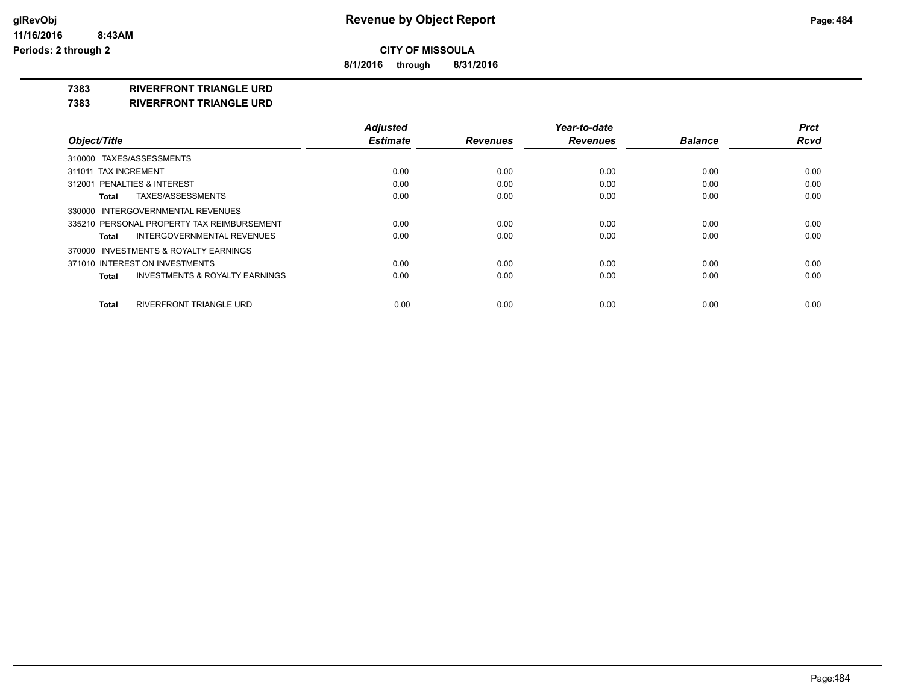**8/1/2016 through 8/31/2016**

**7383 RIVERFRONT TRIANGLE URD**

**7383 RIVERFRONT TRIANGLE URD**

|                                                    | <b>Adjusted</b> |                 | Year-to-date    |                | <b>Prct</b> |
|----------------------------------------------------|-----------------|-----------------|-----------------|----------------|-------------|
| Object/Title                                       | <b>Estimate</b> | <b>Revenues</b> | <b>Revenues</b> | <b>Balance</b> | <b>Rcvd</b> |
| 310000 TAXES/ASSESSMENTS                           |                 |                 |                 |                |             |
| 311011 TAX INCREMENT                               | 0.00            | 0.00            | 0.00            | 0.00           | 0.00        |
| 312001 PENALTIES & INTEREST                        | 0.00            | 0.00            | 0.00            | 0.00           | 0.00        |
| TAXES/ASSESSMENTS<br>Total                         | 0.00            | 0.00            | 0.00            | 0.00           | 0.00        |
| 330000 INTERGOVERNMENTAL REVENUES                  |                 |                 |                 |                |             |
| 335210 PERSONAL PROPERTY TAX REIMBURSEMENT         | 0.00            | 0.00            | 0.00            | 0.00           | 0.00        |
| <b>INTERGOVERNMENTAL REVENUES</b><br>Total         | 0.00            | 0.00            | 0.00            | 0.00           | 0.00        |
| 370000 INVESTMENTS & ROYALTY EARNINGS              |                 |                 |                 |                |             |
| 371010 INTEREST ON INVESTMENTS                     | 0.00            | 0.00            | 0.00            | 0.00           | 0.00        |
| <b>INVESTMENTS &amp; ROYALTY EARNINGS</b><br>Total | 0.00            | 0.00            | 0.00            | 0.00           | 0.00        |
| <b>RIVERFRONT TRIANGLE URD</b><br>Total            | 0.00            | 0.00            | 0.00            | 0.00           | 0.00        |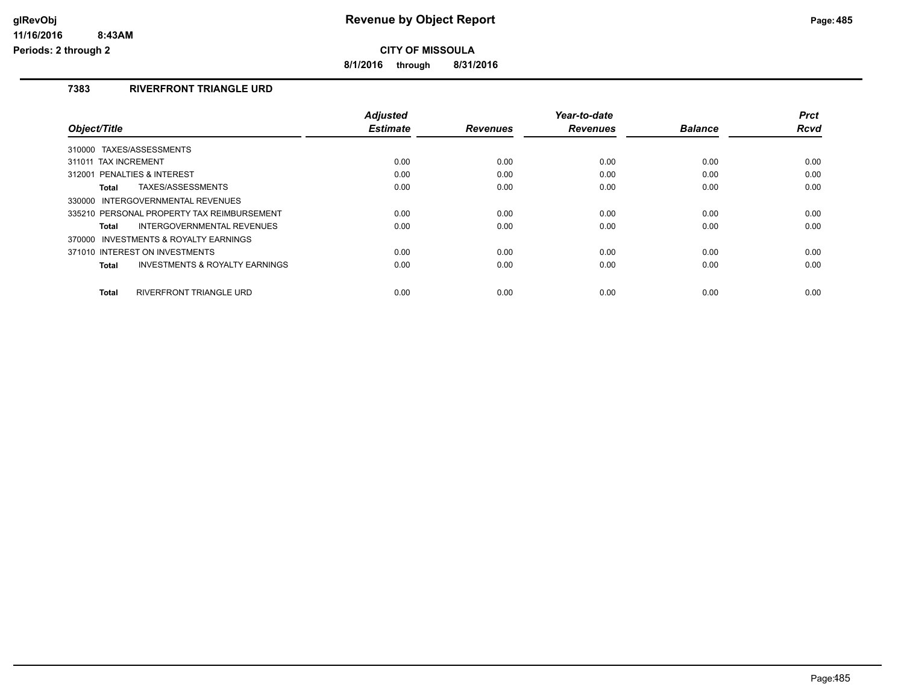**8/1/2016 through 8/31/2016**

#### **7383 RIVERFRONT TRIANGLE URD**

|                                                    | <b>Adjusted</b> |                 | Year-to-date    |                | <b>Prct</b> |
|----------------------------------------------------|-----------------|-----------------|-----------------|----------------|-------------|
| Object/Title                                       | <b>Estimate</b> | <b>Revenues</b> | <b>Revenues</b> | <b>Balance</b> | <b>Rcvd</b> |
| 310000 TAXES/ASSESSMENTS                           |                 |                 |                 |                |             |
| 311011 TAX INCREMENT                               | 0.00            | 0.00            | 0.00            | 0.00           | 0.00        |
| PENALTIES & INTEREST<br>312001                     | 0.00            | 0.00            | 0.00            | 0.00           | 0.00        |
| TAXES/ASSESSMENTS<br>Total                         | 0.00            | 0.00            | 0.00            | 0.00           | 0.00        |
| 330000 INTERGOVERNMENTAL REVENUES                  |                 |                 |                 |                |             |
| 335210 PERSONAL PROPERTY TAX REIMBURSEMENT         | 0.00            | 0.00            | 0.00            | 0.00           | 0.00        |
| <b>INTERGOVERNMENTAL REVENUES</b><br>Total         | 0.00            | 0.00            | 0.00            | 0.00           | 0.00        |
| 370000 INVESTMENTS & ROYALTY EARNINGS              |                 |                 |                 |                |             |
| 371010 INTEREST ON INVESTMENTS                     | 0.00            | 0.00            | 0.00            | 0.00           | 0.00        |
| <b>INVESTMENTS &amp; ROYALTY EARNINGS</b><br>Total | 0.00            | 0.00            | 0.00            | 0.00           | 0.00        |
|                                                    |                 |                 |                 |                |             |
| <b>RIVERFRONT TRIANGLE URD</b><br><b>Total</b>     | 0.00            | 0.00            | 0.00            | 0.00           | 0.00        |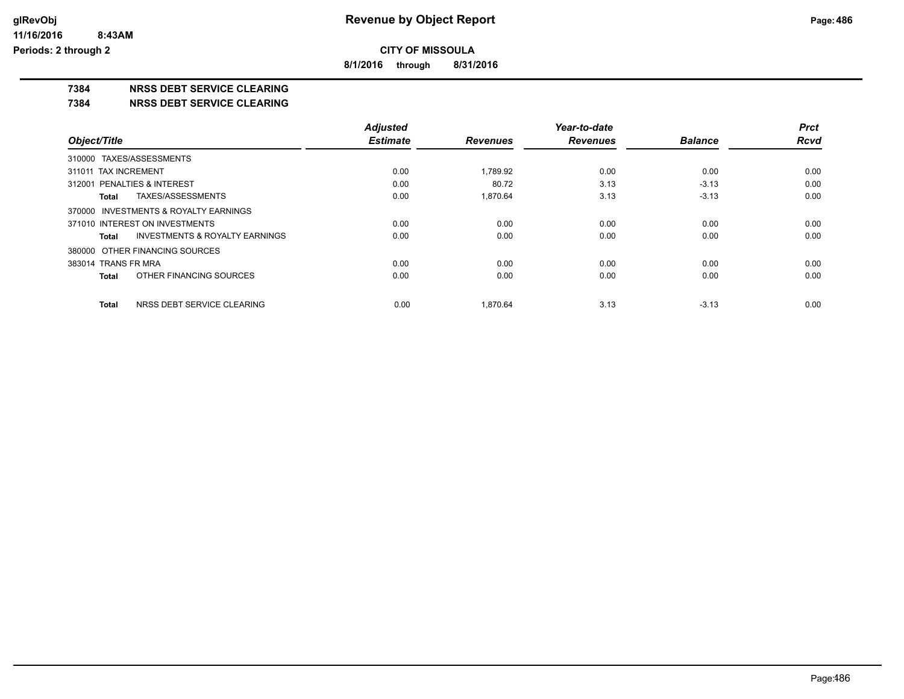**8/1/2016 through 8/31/2016**

#### **7384 NRSS DEBT SERVICE CLEARING**

**7384 NRSS DEBT SERVICE CLEARING**

|                                                    | <b>Adjusted</b> |                 | Year-to-date    |                | <b>Prct</b> |
|----------------------------------------------------|-----------------|-----------------|-----------------|----------------|-------------|
| Object/Title                                       | <b>Estimate</b> | <b>Revenues</b> | <b>Revenues</b> | <b>Balance</b> | <b>Rcvd</b> |
| 310000 TAXES/ASSESSMENTS                           |                 |                 |                 |                |             |
| 311011 TAX INCREMENT                               | 0.00            | 1.789.92        | 0.00            | 0.00           | 0.00        |
| 312001 PENALTIES & INTEREST                        | 0.00            | 80.72           | 3.13            | $-3.13$        | 0.00        |
| TAXES/ASSESSMENTS<br>Total                         | 0.00            | 1.870.64        | 3.13            | $-3.13$        | 0.00        |
| 370000 INVESTMENTS & ROYALTY EARNINGS              |                 |                 |                 |                |             |
| 371010 INTEREST ON INVESTMENTS                     | 0.00            | 0.00            | 0.00            | 0.00           | 0.00        |
| <b>INVESTMENTS &amp; ROYALTY EARNINGS</b><br>Total | 0.00            | 0.00            | 0.00            | 0.00           | 0.00        |
| 380000 OTHER FINANCING SOURCES                     |                 |                 |                 |                |             |
| 383014 TRANS FR MRA                                | 0.00            | 0.00            | 0.00            | 0.00           | 0.00        |
| OTHER FINANCING SOURCES<br>Total                   | 0.00            | 0.00            | 0.00            | 0.00           | 0.00        |
| NRSS DEBT SERVICE CLEARING<br>Total                | 0.00            | 1.870.64        | 3.13            | $-3.13$        | 0.00        |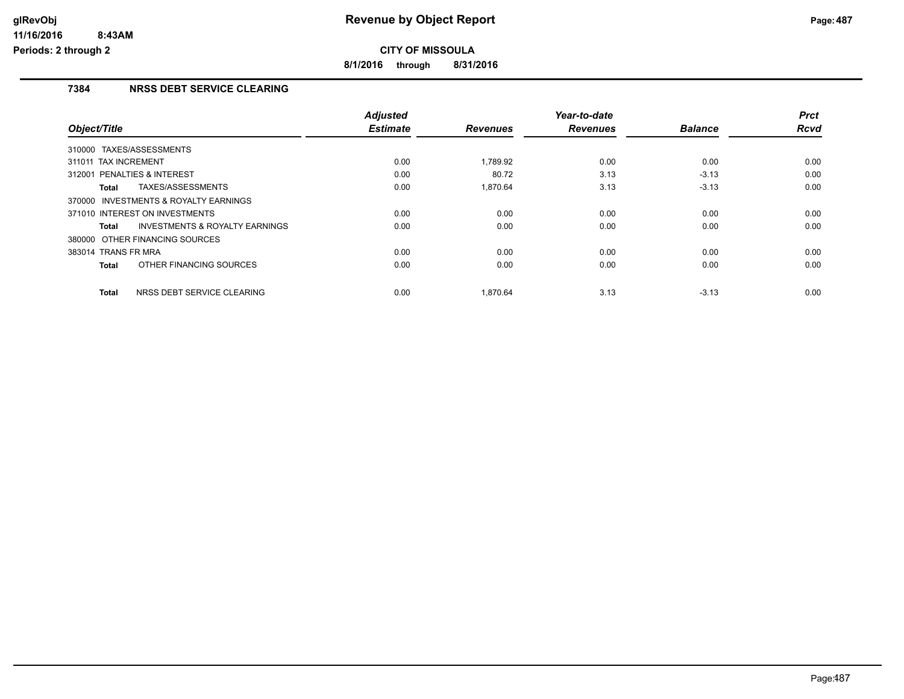**8/1/2016 through 8/31/2016**

#### **7384 NRSS DEBT SERVICE CLEARING**

|                                                    | <b>Adjusted</b> |                 | Year-to-date    |                | <b>Prct</b> |
|----------------------------------------------------|-----------------|-----------------|-----------------|----------------|-------------|
| Object/Title                                       | <b>Estimate</b> | <b>Revenues</b> | <b>Revenues</b> | <b>Balance</b> | <b>Rcvd</b> |
| 310000 TAXES/ASSESSMENTS                           |                 |                 |                 |                |             |
| 311011 TAX INCREMENT                               | 0.00            | 1,789.92        | 0.00            | 0.00           | 0.00        |
| PENALTIES & INTEREST<br>312001                     | 0.00            | 80.72           | 3.13            | $-3.13$        | 0.00        |
| TAXES/ASSESSMENTS<br>Total                         | 0.00            | 1,870.64        | 3.13            | $-3.13$        | 0.00        |
| 370000 INVESTMENTS & ROYALTY EARNINGS              |                 |                 |                 |                |             |
| 371010 INTEREST ON INVESTMENTS                     | 0.00            | 0.00            | 0.00            | 0.00           | 0.00        |
| <b>INVESTMENTS &amp; ROYALTY EARNINGS</b><br>Total | 0.00            | 0.00            | 0.00            | 0.00           | 0.00        |
| 380000 OTHER FINANCING SOURCES                     |                 |                 |                 |                |             |
| 383014 TRANS FR MRA                                | 0.00            | 0.00            | 0.00            | 0.00           | 0.00        |
| OTHER FINANCING SOURCES<br>Total                   | 0.00            | 0.00            | 0.00            | 0.00           | 0.00        |
| NRSS DEBT SERVICE CLEARING<br><b>Total</b>         | 0.00            | 1.870.64        | 3.13            | $-3.13$        | 0.00        |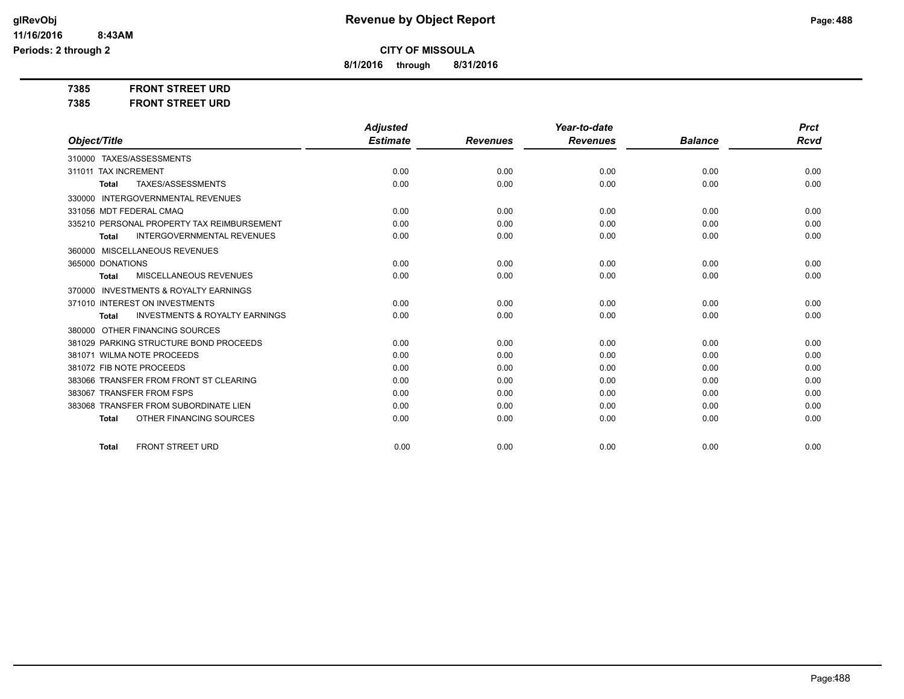**8/1/2016 through 8/31/2016**

**7385 FRONT STREET URD**

|  | 7385 |  | <b>FRONT STREET URD</b> |
|--|------|--|-------------------------|
|--|------|--|-------------------------|

|                                                     | <b>Adjusted</b> |                 | Year-to-date    |                | <b>Prct</b> |
|-----------------------------------------------------|-----------------|-----------------|-----------------|----------------|-------------|
| Object/Title                                        | <b>Estimate</b> | <b>Revenues</b> | <b>Revenues</b> | <b>Balance</b> | <b>Rcvd</b> |
| 310000 TAXES/ASSESSMENTS                            |                 |                 |                 |                |             |
| 311011 TAX INCREMENT                                | 0.00            | 0.00            | 0.00            | 0.00           | 0.00        |
| TAXES/ASSESSMENTS<br>Total                          | 0.00            | 0.00            | 0.00            | 0.00           | 0.00        |
| 330000 INTERGOVERNMENTAL REVENUES                   |                 |                 |                 |                |             |
| 331056 MDT FEDERAL CMAQ                             | 0.00            | 0.00            | 0.00            | 0.00           | 0.00        |
| 335210 PERSONAL PROPERTY TAX REIMBURSEMENT          | 0.00            | 0.00            | 0.00            | 0.00           | 0.00        |
| <b>INTERGOVERNMENTAL REVENUES</b><br><b>Total</b>   | 0.00            | 0.00            | 0.00            | 0.00           | 0.00        |
| 360000 MISCELLANEOUS REVENUES                       |                 |                 |                 |                |             |
| 365000 DONATIONS                                    | 0.00            | 0.00            | 0.00            | 0.00           | 0.00        |
| MISCELLANEOUS REVENUES<br><b>Total</b>              | 0.00            | 0.00            | 0.00            | 0.00           | 0.00        |
| <b>INVESTMENTS &amp; ROYALTY EARNINGS</b><br>370000 |                 |                 |                 |                |             |
| 371010 INTEREST ON INVESTMENTS                      | 0.00            | 0.00            | 0.00            | 0.00           | 0.00        |
| <b>INVESTMENTS &amp; ROYALTY EARNINGS</b><br>Total  | 0.00            | 0.00            | 0.00            | 0.00           | 0.00        |
| 380000 OTHER FINANCING SOURCES                      |                 |                 |                 |                |             |
| 381029 PARKING STRUCTURE BOND PROCEEDS              | 0.00            | 0.00            | 0.00            | 0.00           | 0.00        |
| 381071 WILMA NOTE PROCEEDS                          | 0.00            | 0.00            | 0.00            | 0.00           | 0.00        |
| 381072 FIB NOTE PROCEEDS                            | 0.00            | 0.00            | 0.00            | 0.00           | 0.00        |
| 383066 TRANSFER FROM FRONT ST CLEARING              | 0.00            | 0.00            | 0.00            | 0.00           | 0.00        |
| 383067 TRANSFER FROM FSPS                           | 0.00            | 0.00            | 0.00            | 0.00           | 0.00        |
| 383068 TRANSFER FROM SUBORDINATE LIEN               | 0.00            | 0.00            | 0.00            | 0.00           | 0.00        |
| OTHER FINANCING SOURCES<br><b>Total</b>             | 0.00            | 0.00            | 0.00            | 0.00           | 0.00        |
|                                                     |                 |                 |                 |                |             |
| <b>FRONT STREET URD</b><br><b>Total</b>             | 0.00            | 0.00            | 0.00            | 0.00           | 0.00        |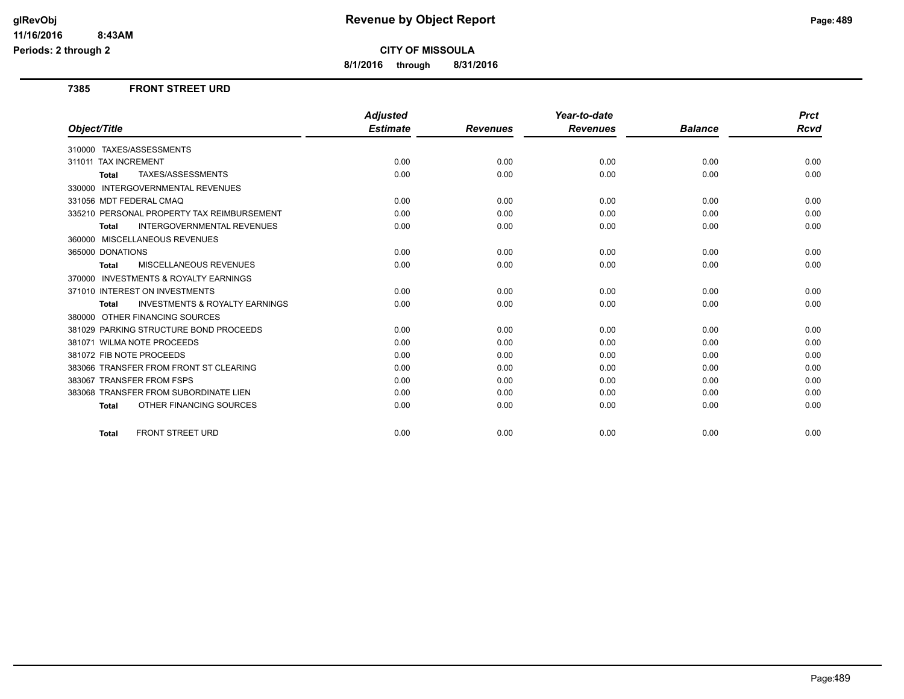**8/1/2016 through 8/31/2016**

#### **7385 FRONT STREET URD**

|                                                           | <b>Adjusted</b> |                 | Year-to-date    |                | <b>Prct</b> |
|-----------------------------------------------------------|-----------------|-----------------|-----------------|----------------|-------------|
| Object/Title                                              | <b>Estimate</b> | <b>Revenues</b> | <b>Revenues</b> | <b>Balance</b> | <b>Rcvd</b> |
| 310000 TAXES/ASSESSMENTS                                  |                 |                 |                 |                |             |
| 311011 TAX INCREMENT                                      | 0.00            | 0.00            | 0.00            | 0.00           | 0.00        |
| TAXES/ASSESSMENTS<br><b>Total</b>                         | 0.00            | 0.00            | 0.00            | 0.00           | 0.00        |
| 330000 INTERGOVERNMENTAL REVENUES                         |                 |                 |                 |                |             |
| 331056 MDT FEDERAL CMAQ                                   | 0.00            | 0.00            | 0.00            | 0.00           | 0.00        |
| 335210 PERSONAL PROPERTY TAX REIMBURSEMENT                | 0.00            | 0.00            | 0.00            | 0.00           | 0.00        |
| <b>INTERGOVERNMENTAL REVENUES</b><br>Total                | 0.00            | 0.00            | 0.00            | 0.00           | 0.00        |
| 360000 MISCELLANEOUS REVENUES                             |                 |                 |                 |                |             |
| 365000 DONATIONS                                          | 0.00            | 0.00            | 0.00            | 0.00           | 0.00        |
| <b>MISCELLANEOUS REVENUES</b><br><b>Total</b>             | 0.00            | 0.00            | 0.00            | 0.00           | 0.00        |
| 370000 INVESTMENTS & ROYALTY EARNINGS                     |                 |                 |                 |                |             |
| 371010 INTEREST ON INVESTMENTS                            | 0.00            | 0.00            | 0.00            | 0.00           | 0.00        |
| <b>INVESTMENTS &amp; ROYALTY EARNINGS</b><br><b>Total</b> | 0.00            | 0.00            | 0.00            | 0.00           | 0.00        |
| 380000 OTHER FINANCING SOURCES                            |                 |                 |                 |                |             |
| 381029 PARKING STRUCTURE BOND PROCEEDS                    | 0.00            | 0.00            | 0.00            | 0.00           | 0.00        |
| 381071 WILMA NOTE PROCEEDS                                | 0.00            | 0.00            | 0.00            | 0.00           | 0.00        |
| 381072 FIB NOTE PROCEEDS                                  | 0.00            | 0.00            | 0.00            | 0.00           | 0.00        |
| 383066 TRANSFER FROM FRONT ST CLEARING                    | 0.00            | 0.00            | 0.00            | 0.00           | 0.00        |
| 383067 TRANSFER FROM FSPS                                 | 0.00            | 0.00            | 0.00            | 0.00           | 0.00        |
| 383068 TRANSFER FROM SUBORDINATE LIEN                     | 0.00            | 0.00            | 0.00            | 0.00           | 0.00        |
| OTHER FINANCING SOURCES<br><b>Total</b>                   | 0.00            | 0.00            | 0.00            | 0.00           | 0.00        |
| <b>FRONT STREET URD</b><br><b>Total</b>                   | 0.00            | 0.00            | 0.00            | 0.00           | 0.00        |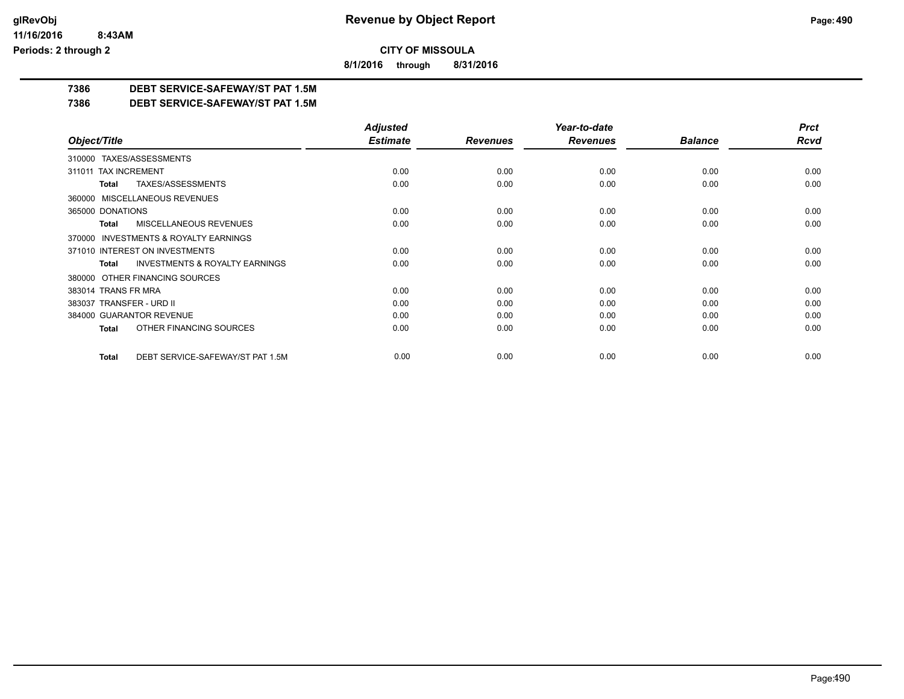**8/1/2016 through 8/31/2016**

### **7386 DEBT SERVICE-SAFEWAY/ST PAT 1.5M**

#### **7386 DEBT SERVICE-SAFEWAY/ST PAT 1.5M**

|                                                     | <b>Adjusted</b> |                 | Year-to-date    |                | <b>Prct</b> |
|-----------------------------------------------------|-----------------|-----------------|-----------------|----------------|-------------|
| Object/Title                                        | <b>Estimate</b> | <b>Revenues</b> | <b>Revenues</b> | <b>Balance</b> | <b>Rcvd</b> |
| TAXES/ASSESSMENTS<br>310000                         |                 |                 |                 |                |             |
| 311011 TAX INCREMENT                                | 0.00            | 0.00            | 0.00            | 0.00           | 0.00        |
| TAXES/ASSESSMENTS<br>Total                          | 0.00            | 0.00            | 0.00            | 0.00           | 0.00        |
| 360000 MISCELLANEOUS REVENUES                       |                 |                 |                 |                |             |
| 365000 DONATIONS                                    | 0.00            | 0.00            | 0.00            | 0.00           | 0.00        |
| <b>MISCELLANEOUS REVENUES</b><br>Total              | 0.00            | 0.00            | 0.00            | 0.00           | 0.00        |
| <b>INVESTMENTS &amp; ROYALTY EARNINGS</b><br>370000 |                 |                 |                 |                |             |
| 371010 INTEREST ON INVESTMENTS                      | 0.00            | 0.00            | 0.00            | 0.00           | 0.00        |
| <b>INVESTMENTS &amp; ROYALTY EARNINGS</b><br>Total  | 0.00            | 0.00            | 0.00            | 0.00           | 0.00        |
| 380000 OTHER FINANCING SOURCES                      |                 |                 |                 |                |             |
| 383014 TRANS FR MRA                                 | 0.00            | 0.00            | 0.00            | 0.00           | 0.00        |
| 383037 TRANSFER - URD II                            | 0.00            | 0.00            | 0.00            | 0.00           | 0.00        |
| 384000 GUARANTOR REVENUE                            | 0.00            | 0.00            | 0.00            | 0.00           | 0.00        |
| OTHER FINANCING SOURCES<br>Total                    | 0.00            | 0.00            | 0.00            | 0.00           | 0.00        |
| DEBT SERVICE-SAFEWAY/ST PAT 1.5M<br>Total           | 0.00            | 0.00            | 0.00            | 0.00           | 0.00        |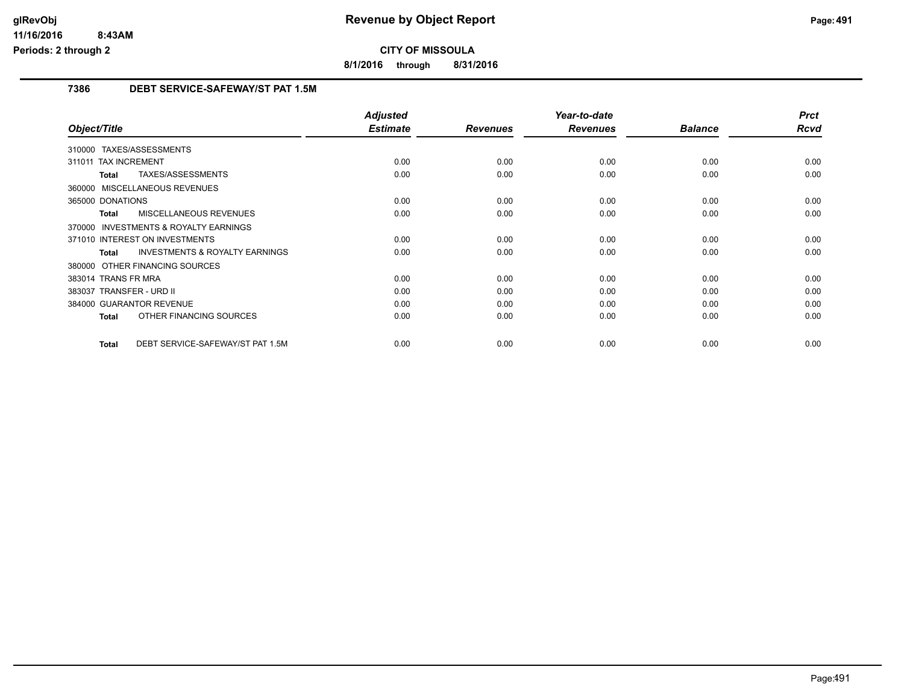**8/1/2016 through 8/31/2016**

#### **7386 DEBT SERVICE-SAFEWAY/ST PAT 1.5M**

|                                                    | <b>Adjusted</b> |                 | Year-to-date    |                | <b>Prct</b> |
|----------------------------------------------------|-----------------|-----------------|-----------------|----------------|-------------|
| Object/Title                                       | <b>Estimate</b> | <b>Revenues</b> | <b>Revenues</b> | <b>Balance</b> | <b>Rcvd</b> |
| 310000 TAXES/ASSESSMENTS                           |                 |                 |                 |                |             |
| 311011 TAX INCREMENT                               | 0.00            | 0.00            | 0.00            | 0.00           | 0.00        |
| TAXES/ASSESSMENTS<br>Total                         | 0.00            | 0.00            | 0.00            | 0.00           | 0.00        |
| 360000 MISCELLANEOUS REVENUES                      |                 |                 |                 |                |             |
| 365000 DONATIONS                                   | 0.00            | 0.00            | 0.00            | 0.00           | 0.00        |
| MISCELLANEOUS REVENUES<br>Total                    | 0.00            | 0.00            | 0.00            | 0.00           | 0.00        |
| 370000 INVESTMENTS & ROYALTY EARNINGS              |                 |                 |                 |                |             |
| 371010 INTEREST ON INVESTMENTS                     | 0.00            | 0.00            | 0.00            | 0.00           | 0.00        |
| <b>INVESTMENTS &amp; ROYALTY EARNINGS</b><br>Total | 0.00            | 0.00            | 0.00            | 0.00           | 0.00        |
| 380000 OTHER FINANCING SOURCES                     |                 |                 |                 |                |             |
| 383014 TRANS FR MRA                                | 0.00            | 0.00            | 0.00            | 0.00           | 0.00        |
| 383037 TRANSFER - URD II                           | 0.00            | 0.00            | 0.00            | 0.00           | 0.00        |
| 384000 GUARANTOR REVENUE                           | 0.00            | 0.00            | 0.00            | 0.00           | 0.00        |
| OTHER FINANCING SOURCES<br>Total                   | 0.00            | 0.00            | 0.00            | 0.00           | 0.00        |
| DEBT SERVICE-SAFEWAY/ST PAT 1.5M<br><b>Total</b>   | 0.00            | 0.00            | 0.00            | 0.00           | 0.00        |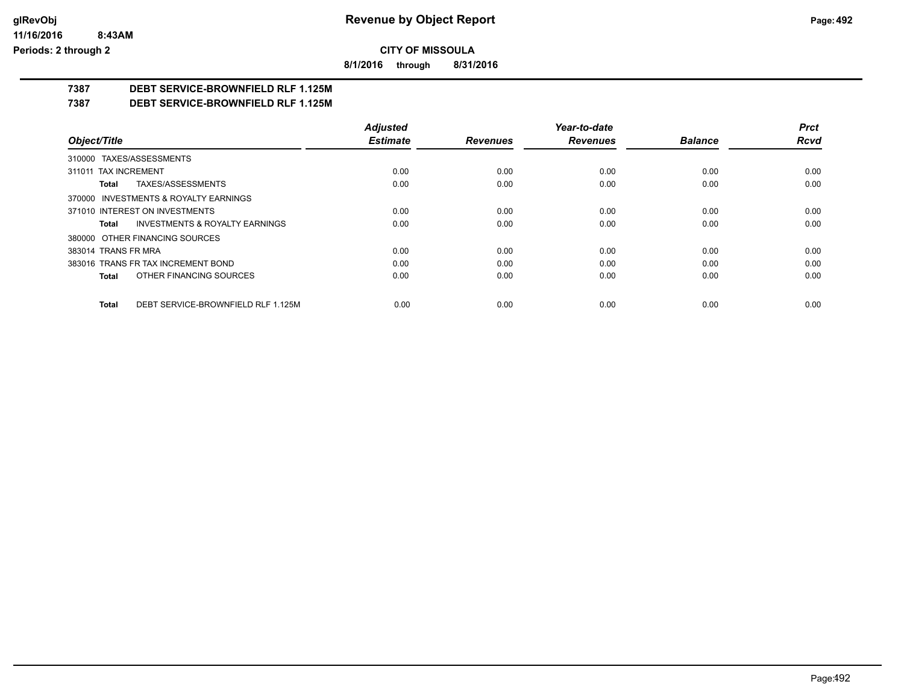**8/1/2016 through 8/31/2016**

### **7387 DEBT SERVICE-BROWNFIELD RLF 1.125M**

**7387 DEBT SERVICE-BROWNFIELD RLF 1.125M**

|                                                    | <b>Adjusted</b> |                 | Year-to-date    |                | <b>Prct</b> |
|----------------------------------------------------|-----------------|-----------------|-----------------|----------------|-------------|
| Object/Title                                       | <b>Estimate</b> | <b>Revenues</b> | <b>Revenues</b> | <b>Balance</b> | <b>Rcvd</b> |
| TAXES/ASSESSMENTS<br>310000                        |                 |                 |                 |                |             |
| 311011 TAX INCREMENT                               | 0.00            | 0.00            | 0.00            | 0.00           | 0.00        |
| TAXES/ASSESSMENTS<br>Total                         | 0.00            | 0.00            | 0.00            | 0.00           | 0.00        |
| 370000 INVESTMENTS & ROYALTY EARNINGS              |                 |                 |                 |                |             |
| 371010 INTEREST ON INVESTMENTS                     | 0.00            | 0.00            | 0.00            | 0.00           | 0.00        |
| <b>INVESTMENTS &amp; ROYALTY EARNINGS</b><br>Total | 0.00            | 0.00            | 0.00            | 0.00           | 0.00        |
| 380000 OTHER FINANCING SOURCES                     |                 |                 |                 |                |             |
| 383014 TRANS FR MRA                                | 0.00            | 0.00            | 0.00            | 0.00           | 0.00        |
| 383016 TRANS FR TAX INCREMENT BOND                 | 0.00            | 0.00            | 0.00            | 0.00           | 0.00        |
| OTHER FINANCING SOURCES<br>Total                   | 0.00            | 0.00            | 0.00            | 0.00           | 0.00        |
| DEBT SERVICE-BROWNFIELD RLF 1.125M<br><b>Total</b> | 0.00            | 0.00            | 0.00            | 0.00           | 0.00        |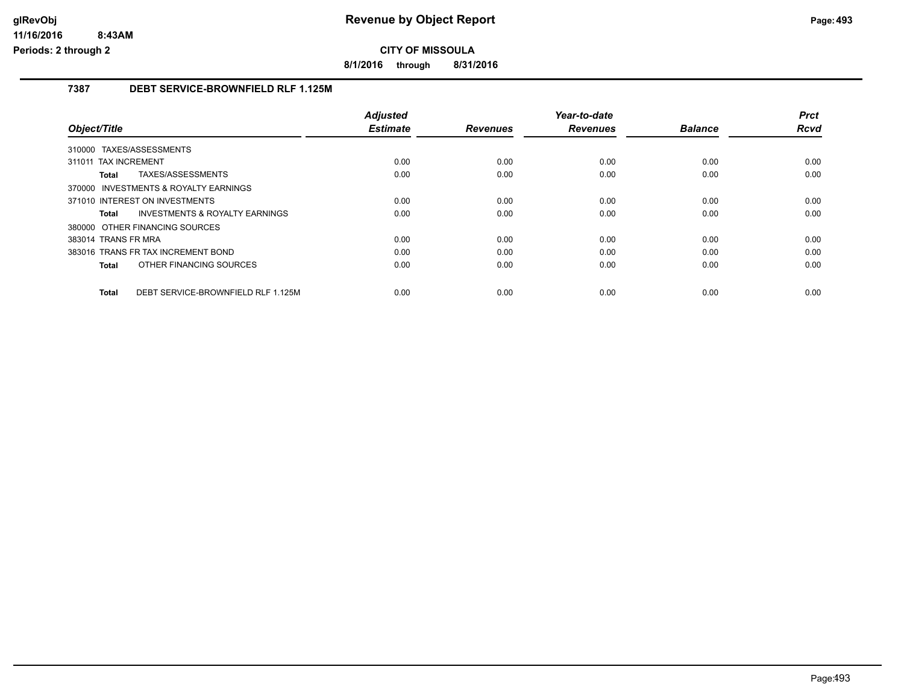**8/1/2016 through 8/31/2016**

#### **7387 DEBT SERVICE-BROWNFIELD RLF 1.125M**

|                                                    | <b>Adjusted</b> |                 | Year-to-date    |                | <b>Prct</b> |
|----------------------------------------------------|-----------------|-----------------|-----------------|----------------|-------------|
| Object/Title                                       | <b>Estimate</b> | <b>Revenues</b> | <b>Revenues</b> | <b>Balance</b> | <b>Rcvd</b> |
| 310000 TAXES/ASSESSMENTS                           |                 |                 |                 |                |             |
| 311011 TAX INCREMENT                               | 0.00            | 0.00            | 0.00            | 0.00           | 0.00        |
| TAXES/ASSESSMENTS<br>Total                         | 0.00            | 0.00            | 0.00            | 0.00           | 0.00        |
| 370000 INVESTMENTS & ROYALTY EARNINGS              |                 |                 |                 |                |             |
| 371010 INTEREST ON INVESTMENTS                     | 0.00            | 0.00            | 0.00            | 0.00           | 0.00        |
| <b>INVESTMENTS &amp; ROYALTY EARNINGS</b><br>Total | 0.00            | 0.00            | 0.00            | 0.00           | 0.00        |
| 380000 OTHER FINANCING SOURCES                     |                 |                 |                 |                |             |
| 383014 TRANS FR MRA                                | 0.00            | 0.00            | 0.00            | 0.00           | 0.00        |
| 383016 TRANS FR TAX INCREMENT BOND                 | 0.00            | 0.00            | 0.00            | 0.00           | 0.00        |
| OTHER FINANCING SOURCES<br>Total                   | 0.00            | 0.00            | 0.00            | 0.00           | 0.00        |
| DEBT SERVICE-BROWNFIELD RLF 1.125M<br>Total        | 0.00            | 0.00            | 0.00            | 0.00           | 0.00        |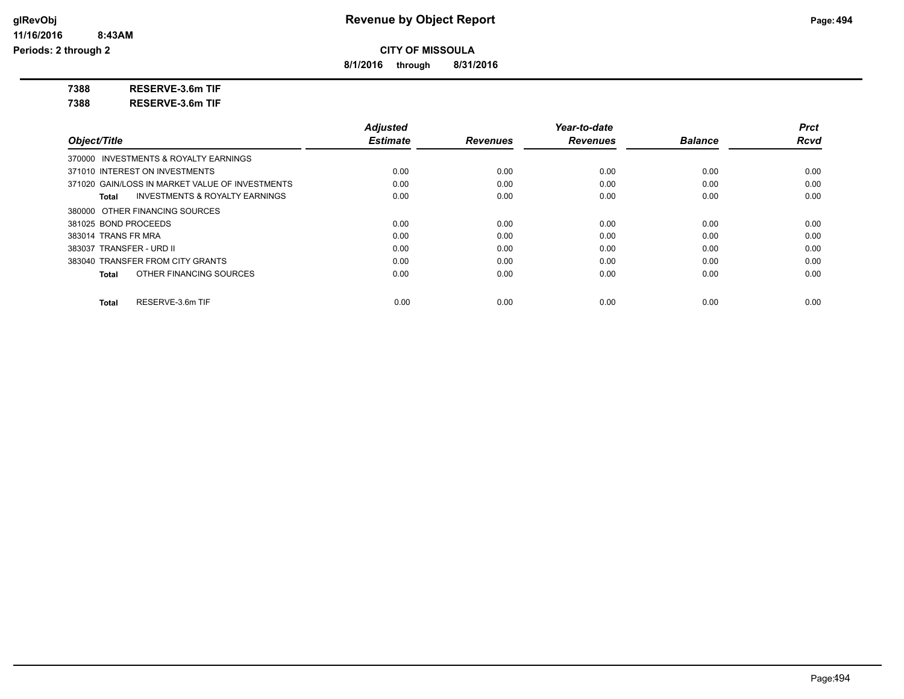**8/1/2016 through 8/31/2016**

**7388 RESERVE-3.6m TIF**

**7388 RESERVE-3.6m TIF**

|                                                    | <b>Adjusted</b> |                 | Year-to-date    |                | <b>Prct</b> |
|----------------------------------------------------|-----------------|-----------------|-----------------|----------------|-------------|
| Object/Title                                       | <b>Estimate</b> | <b>Revenues</b> | <b>Revenues</b> | <b>Balance</b> | <b>Rcvd</b> |
| 370000 INVESTMENTS & ROYALTY EARNINGS              |                 |                 |                 |                |             |
| 371010 INTEREST ON INVESTMENTS                     | 0.00            | 0.00            | 0.00            | 0.00           | 0.00        |
| 371020 GAIN/LOSS IN MARKET VALUE OF INVESTMENTS    | 0.00            | 0.00            | 0.00            | 0.00           | 0.00        |
| <b>INVESTMENTS &amp; ROYALTY EARNINGS</b><br>Total | 0.00            | 0.00            | 0.00            | 0.00           | 0.00        |
| 380000 OTHER FINANCING SOURCES                     |                 |                 |                 |                |             |
| 381025 BOND PROCEEDS                               | 0.00            | 0.00            | 0.00            | 0.00           | 0.00        |
| 383014 TRANS FR MRA                                | 0.00            | 0.00            | 0.00            | 0.00           | 0.00        |
| 383037 TRANSFER - URD II                           | 0.00            | 0.00            | 0.00            | 0.00           | 0.00        |
| 383040 TRANSFER FROM CITY GRANTS                   | 0.00            | 0.00            | 0.00            | 0.00           | 0.00        |
| OTHER FINANCING SOURCES<br>Total                   | 0.00            | 0.00            | 0.00            | 0.00           | 0.00        |
| RESERVE-3.6m TIF<br>Total                          | 0.00            | 0.00            | 0.00            | 0.00           | 0.00        |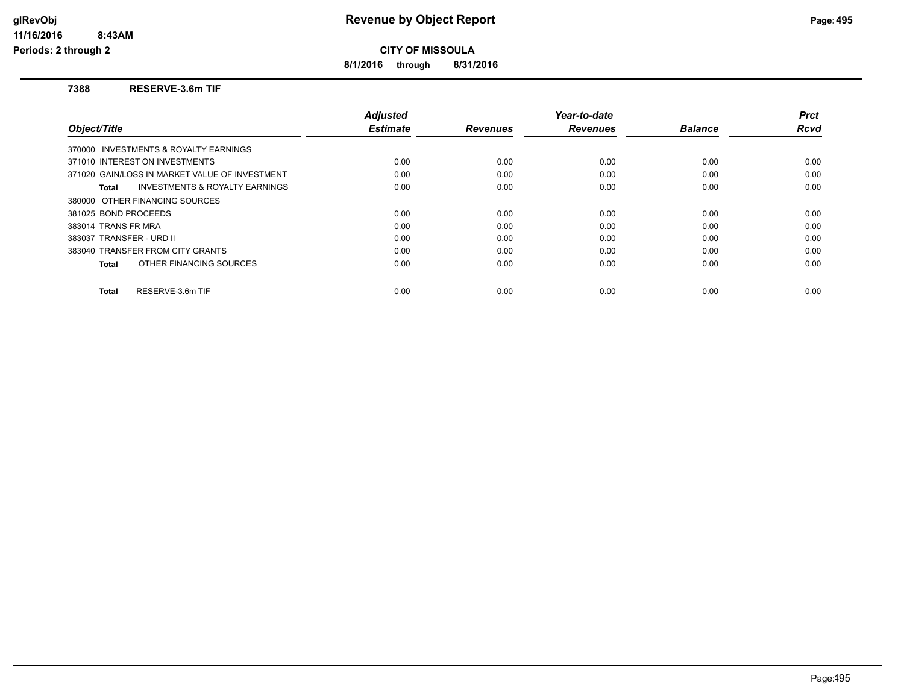#### **11/16/2016 8:43AM Periods: 2 through 2**

**CITY OF MISSOULA**

**8/1/2016 through 8/31/2016**

#### **7388 RESERVE-3.6m TIF**

|                                                    | <b>Adjusted</b> |                 | Year-to-date    |                | <b>Prct</b> |
|----------------------------------------------------|-----------------|-----------------|-----------------|----------------|-------------|
| Object/Title                                       | <b>Estimate</b> | <b>Revenues</b> | <b>Revenues</b> | <b>Balance</b> | Rcvd        |
| 370000 INVESTMENTS & ROYALTY EARNINGS              |                 |                 |                 |                |             |
| 371010 INTEREST ON INVESTMENTS                     | 0.00            | 0.00            | 0.00            | 0.00           | 0.00        |
| 371020 GAIN/LOSS IN MARKET VALUE OF INVESTMENT     | 0.00            | 0.00            | 0.00            | 0.00           | 0.00        |
| <b>INVESTMENTS &amp; ROYALTY EARNINGS</b><br>Total | 0.00            | 0.00            | 0.00            | 0.00           | 0.00        |
| 380000 OTHER FINANCING SOURCES                     |                 |                 |                 |                |             |
| 381025 BOND PROCEEDS                               | 0.00            | 0.00            | 0.00            | 0.00           | 0.00        |
| 383014 TRANS FR MRA                                | 0.00            | 0.00            | 0.00            | 0.00           | 0.00        |
| 383037 TRANSFER - URD II                           | 0.00            | 0.00            | 0.00            | 0.00           | 0.00        |
| 383040 TRANSFER FROM CITY GRANTS                   | 0.00            | 0.00            | 0.00            | 0.00           | 0.00        |
| OTHER FINANCING SOURCES<br>Total                   | 0.00            | 0.00            | 0.00            | 0.00           | 0.00        |
|                                                    |                 |                 |                 |                |             |
| RESERVE-3.6m TIF<br>Total                          | 0.00            | 0.00            | 0.00            | 0.00           | 0.00        |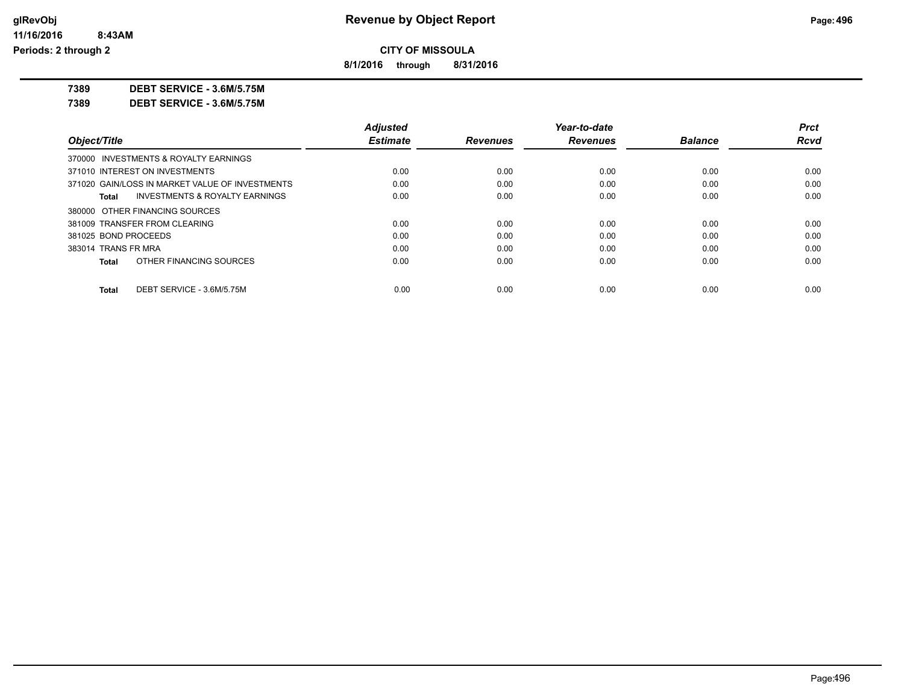**8/1/2016 through 8/31/2016**

**7389 DEBT SERVICE - 3.6M/5.75M**

**7389 DEBT SERVICE - 3.6M/5.75M**

|                                       |                                                 | <b>Adjusted</b> |                 | Year-to-date    |                | <b>Prct</b> |
|---------------------------------------|-------------------------------------------------|-----------------|-----------------|-----------------|----------------|-------------|
| Object/Title                          |                                                 | <b>Estimate</b> | <b>Revenues</b> | <b>Revenues</b> | <b>Balance</b> | Rcvd        |
| 370000 INVESTMENTS & ROYALTY EARNINGS |                                                 |                 |                 |                 |                |             |
| 371010 INTEREST ON INVESTMENTS        |                                                 | 0.00            | 0.00            | 0.00            | 0.00           | 0.00        |
|                                       | 371020 GAIN/LOSS IN MARKET VALUE OF INVESTMENTS | 0.00            | 0.00            | 0.00            | 0.00           | 0.00        |
| Total                                 | INVESTMENTS & ROYALTY EARNINGS                  | 0.00            | 0.00            | 0.00            | 0.00           | 0.00        |
| 380000 OTHER FINANCING SOURCES        |                                                 |                 |                 |                 |                |             |
| 381009 TRANSFER FROM CLEARING         |                                                 | 0.00            | 0.00            | 0.00            | 0.00           | 0.00        |
| 381025 BOND PROCEEDS                  |                                                 | 0.00            | 0.00            | 0.00            | 0.00           | 0.00        |
| 383014 TRANS FR MRA                   |                                                 | 0.00            | 0.00            | 0.00            | 0.00           | 0.00        |
| Total                                 | OTHER FINANCING SOURCES                         | 0.00            | 0.00            | 0.00            | 0.00           | 0.00        |
| <b>Total</b>                          | DEBT SERVICE - 3.6M/5.75M                       | 0.00            | 0.00            | 0.00            | 0.00           | 0.00        |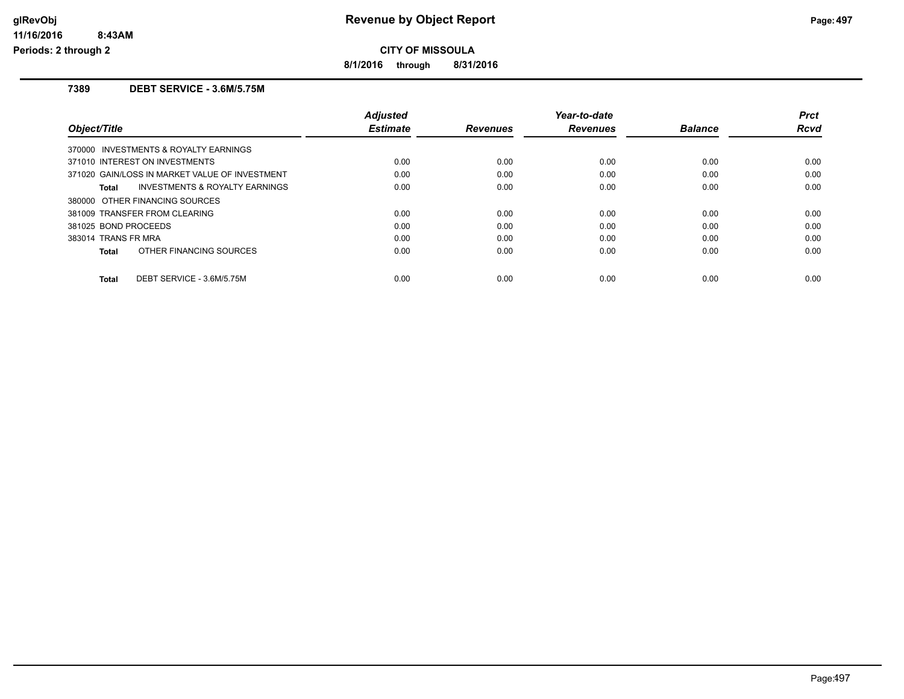**Periods: 2 through 2**

**CITY OF MISSOULA**

**8/1/2016 through 8/31/2016**

#### **7389 DEBT SERVICE - 3.6M/5.75M**

 **8:43AM**

| Object/Title                                       | <b>Adjusted</b><br><b>Estimate</b> | <b>Revenues</b> | Year-to-date<br><b>Revenues</b> | <b>Balance</b> | <b>Prct</b><br><b>Rcvd</b> |
|----------------------------------------------------|------------------------------------|-----------------|---------------------------------|----------------|----------------------------|
| 370000 INVESTMENTS & ROYALTY EARNINGS              |                                    |                 |                                 |                |                            |
| 371010 INTEREST ON INVESTMENTS                     | 0.00                               | 0.00            | 0.00                            | 0.00           | 0.00                       |
| 371020 GAIN/LOSS IN MARKET VALUE OF INVESTMENT     | 0.00                               | 0.00            | 0.00                            | 0.00           | 0.00                       |
| <b>INVESTMENTS &amp; ROYALTY EARNINGS</b><br>Total | 0.00                               | 0.00            | 0.00                            | 0.00           | 0.00                       |
| 380000 OTHER FINANCING SOURCES                     |                                    |                 |                                 |                |                            |
| 381009 TRANSFER FROM CLEARING                      | 0.00                               | 0.00            | 0.00                            | 0.00           | 0.00                       |
| 381025 BOND PROCEEDS                               | 0.00                               | 0.00            | 0.00                            | 0.00           | 0.00                       |
| 383014 TRANS FR MRA                                | 0.00                               | 0.00            | 0.00                            | 0.00           | 0.00                       |
| OTHER FINANCING SOURCES<br>Total                   | 0.00                               | 0.00            | 0.00                            | 0.00           | 0.00                       |
| DEBT SERVICE - 3.6M/5.75M<br>Total                 | 0.00                               | 0.00            | 0.00                            | 0.00           | 0.00                       |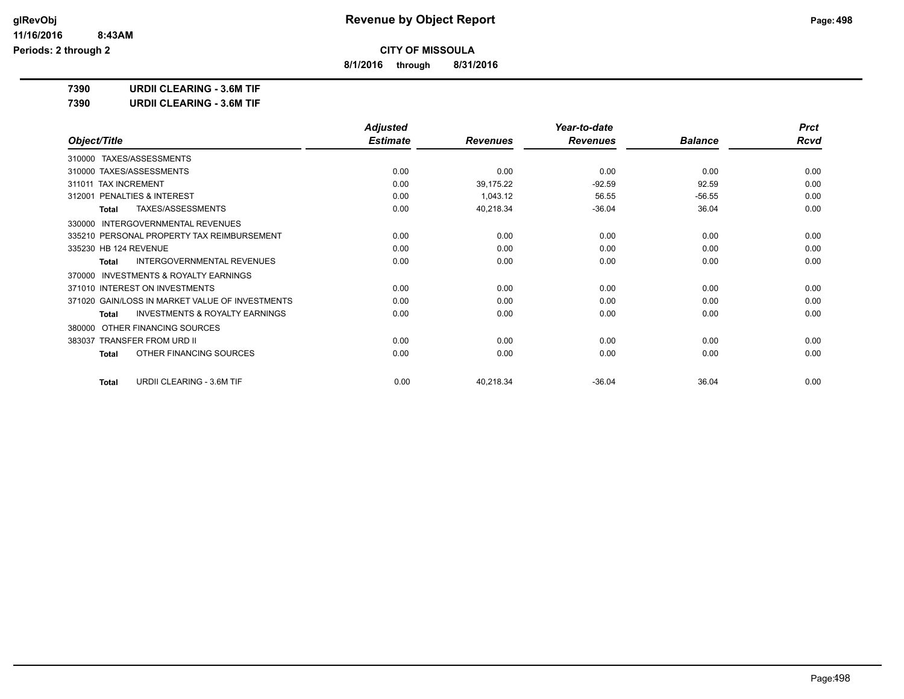**8/1/2016 through 8/31/2016**

**7390 URDII CLEARING - 3.6M TIF**

**7390 URDII CLEARING - 3.6M TIF**

|                                                    | <b>Adjusted</b> |                 | Year-to-date    |                | <b>Prct</b> |
|----------------------------------------------------|-----------------|-----------------|-----------------|----------------|-------------|
| Object/Title                                       | <b>Estimate</b> | <b>Revenues</b> | <b>Revenues</b> | <b>Balance</b> | <b>Rcvd</b> |
| 310000 TAXES/ASSESSMENTS                           |                 |                 |                 |                |             |
| 310000 TAXES/ASSESSMENTS                           | 0.00            | 0.00            | 0.00            | 0.00           | 0.00        |
| 311011 TAX INCREMENT                               | 0.00            | 39,175.22       | $-92.59$        | 92.59          | 0.00        |
| 312001 PENALTIES & INTEREST                        | 0.00            | 1,043.12        | 56.55           | $-56.55$       | 0.00        |
| TAXES/ASSESSMENTS<br><b>Total</b>                  | 0.00            | 40,218.34       | $-36.04$        | 36.04          | 0.00        |
| <b>INTERGOVERNMENTAL REVENUES</b><br>330000        |                 |                 |                 |                |             |
| 335210 PERSONAL PROPERTY TAX REIMBURSEMENT         | 0.00            | 0.00            | 0.00            | 0.00           | 0.00        |
| 335230 HB 124 REVENUE                              | 0.00            | 0.00            | 0.00            | 0.00           | 0.00        |
| <b>INTERGOVERNMENTAL REVENUES</b><br><b>Total</b>  | 0.00            | 0.00            | 0.00            | 0.00           | 0.00        |
| INVESTMENTS & ROYALTY EARNINGS<br>370000           |                 |                 |                 |                |             |
| 371010 INTEREST ON INVESTMENTS                     | 0.00            | 0.00            | 0.00            | 0.00           | 0.00        |
| 371020 GAIN/LOSS IN MARKET VALUE OF INVESTMENTS    | 0.00            | 0.00            | 0.00            | 0.00           | 0.00        |
| <b>INVESTMENTS &amp; ROYALTY EARNINGS</b><br>Total | 0.00            | 0.00            | 0.00            | 0.00           | 0.00        |
| OTHER FINANCING SOURCES<br>380000                  |                 |                 |                 |                |             |
| 383037 TRANSFER FROM URD II                        | 0.00            | 0.00            | 0.00            | 0.00           | 0.00        |
| OTHER FINANCING SOURCES<br>Total                   | 0.00            | 0.00            | 0.00            | 0.00           | 0.00        |
| <b>URDII CLEARING - 3.6M TIF</b><br><b>Total</b>   | 0.00            | 40,218.34       | $-36.04$        | 36.04          | 0.00        |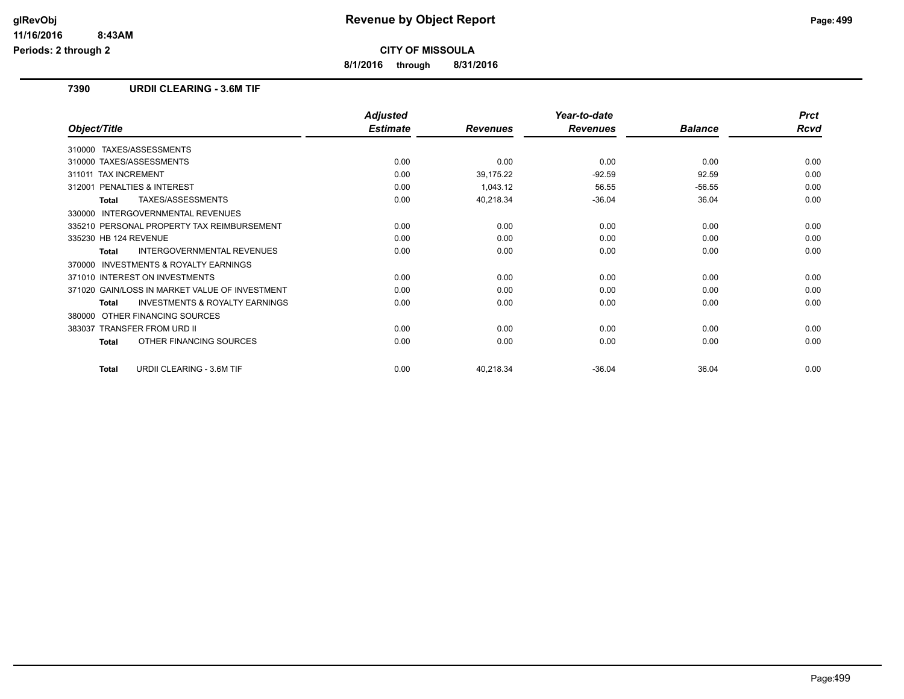**Periods: 2 through 2**

**CITY OF MISSOULA**

**8/1/2016 through 8/31/2016**

#### **7390 URDII CLEARING - 3.6M TIF**

 **8:43AM**

|                                                     | <b>Adjusted</b> |                 | Year-to-date    |                | <b>Prct</b> |
|-----------------------------------------------------|-----------------|-----------------|-----------------|----------------|-------------|
| Object/Title                                        | <b>Estimate</b> | <b>Revenues</b> | <b>Revenues</b> | <b>Balance</b> | Rcvd        |
| TAXES/ASSESSMENTS<br>310000                         |                 |                 |                 |                |             |
| 310000 TAXES/ASSESSMENTS                            | 0.00            | 0.00            | 0.00            | 0.00           | 0.00        |
| 311011 TAX INCREMENT                                | 0.00            | 39,175.22       | $-92.59$        | 92.59          | 0.00        |
| 312001 PENALTIES & INTEREST                         | 0.00            | 1,043.12        | 56.55           | $-56.55$       | 0.00        |
| TAXES/ASSESSMENTS<br><b>Total</b>                   | 0.00            | 40,218.34       | $-36.04$        | 36.04          | 0.00        |
| <b>INTERGOVERNMENTAL REVENUES</b><br>330000         |                 |                 |                 |                |             |
| 335210 PERSONAL PROPERTY TAX REIMBURSEMENT          | 0.00            | 0.00            | 0.00            | 0.00           | 0.00        |
| 335230 HB 124 REVENUE                               | 0.00            | 0.00            | 0.00            | 0.00           | 0.00        |
| <b>INTERGOVERNMENTAL REVENUES</b><br><b>Total</b>   | 0.00            | 0.00            | 0.00            | 0.00           | 0.00        |
| <b>INVESTMENTS &amp; ROYALTY EARNINGS</b><br>370000 |                 |                 |                 |                |             |
| 371010 INTEREST ON INVESTMENTS                      | 0.00            | 0.00            | 0.00            | 0.00           | 0.00        |
| 371020 GAIN/LOSS IN MARKET VALUE OF INVESTMENT      | 0.00            | 0.00            | 0.00            | 0.00           | 0.00        |
| <b>INVESTMENTS &amp; ROYALTY EARNINGS</b><br>Total  | 0.00            | 0.00            | 0.00            | 0.00           | 0.00        |
| OTHER FINANCING SOURCES<br>380000                   |                 |                 |                 |                |             |
| 383037 TRANSFER FROM URD II                         | 0.00            | 0.00            | 0.00            | 0.00           | 0.00        |
| OTHER FINANCING SOURCES<br><b>Total</b>             | 0.00            | 0.00            | 0.00            | 0.00           | 0.00        |
| <b>URDII CLEARING - 3.6M TIF</b><br><b>Total</b>    | 0.00            | 40,218.34       | $-36.04$        | 36.04          | 0.00        |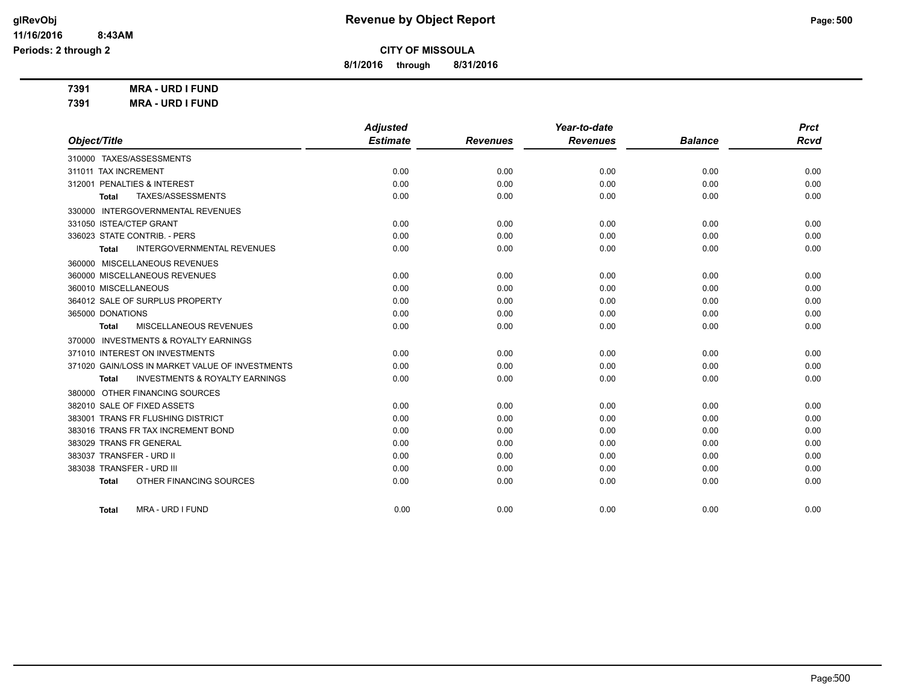**Periods: 2 through 2**

**CITY OF MISSOULA**

**8/1/2016 through 8/31/2016**

**7391 MRA - URD I FUND**

**7391 MRA - URD I FUND**

|                                                     | <b>Adjusted</b> |                 | Year-to-date    |                | <b>Prct</b> |
|-----------------------------------------------------|-----------------|-----------------|-----------------|----------------|-------------|
| Object/Title                                        | <b>Estimate</b> | <b>Revenues</b> | <b>Revenues</b> | <b>Balance</b> | <b>Rcvd</b> |
| 310000 TAXES/ASSESSMENTS                            |                 |                 |                 |                |             |
| 311011 TAX INCREMENT                                | 0.00            | 0.00            | 0.00            | 0.00           | 0.00        |
| 312001 PENALTIES & INTEREST                         | 0.00            | 0.00            | 0.00            | 0.00           | 0.00        |
| TAXES/ASSESSMENTS<br>Total                          | 0.00            | 0.00            | 0.00            | 0.00           | 0.00        |
| 330000 INTERGOVERNMENTAL REVENUES                   |                 |                 |                 |                |             |
| 331050 ISTEA/CTEP GRANT                             | 0.00            | 0.00            | 0.00            | 0.00           | 0.00        |
| 336023 STATE CONTRIB. - PERS                        | 0.00            | 0.00            | 0.00            | 0.00           | 0.00        |
| <b>INTERGOVERNMENTAL REVENUES</b><br><b>Total</b>   | 0.00            | 0.00            | 0.00            | 0.00           | 0.00        |
| 360000 MISCELLANEOUS REVENUES                       |                 |                 |                 |                |             |
| 360000 MISCELLANEOUS REVENUES                       | 0.00            | 0.00            | 0.00            | 0.00           | 0.00        |
| 360010 MISCELLANEOUS                                | 0.00            | 0.00            | 0.00            | 0.00           | 0.00        |
| 364012 SALE OF SURPLUS PROPERTY                     | 0.00            | 0.00            | 0.00            | 0.00           | 0.00        |
| 365000 DONATIONS                                    | 0.00            | 0.00            | 0.00            | 0.00           | 0.00        |
| MISCELLANEOUS REVENUES<br><b>Total</b>              | 0.00            | 0.00            | 0.00            | 0.00           | 0.00        |
| <b>INVESTMENTS &amp; ROYALTY EARNINGS</b><br>370000 |                 |                 |                 |                |             |
| 371010 INTEREST ON INVESTMENTS                      | 0.00            | 0.00            | 0.00            | 0.00           | 0.00        |
| 371020 GAIN/LOSS IN MARKET VALUE OF INVESTMENTS     | 0.00            | 0.00            | 0.00            | 0.00           | 0.00        |
| <b>INVESTMENTS &amp; ROYALTY EARNINGS</b><br>Total  | 0.00            | 0.00            | 0.00            | 0.00           | 0.00        |
| 380000 OTHER FINANCING SOURCES                      |                 |                 |                 |                |             |
| 382010 SALE OF FIXED ASSETS                         | 0.00            | 0.00            | 0.00            | 0.00           | 0.00        |
| 383001 TRANS FR FLUSHING DISTRICT                   | 0.00            | 0.00            | 0.00            | 0.00           | 0.00        |
| 383016 TRANS FR TAX INCREMENT BOND                  | 0.00            | 0.00            | 0.00            | 0.00           | 0.00        |
| 383029 TRANS FR GENERAL                             | 0.00            | 0.00            | 0.00            | 0.00           | 0.00        |
| 383037 TRANSFER - URD II                            | 0.00            | 0.00            | 0.00            | 0.00           | 0.00        |
| 383038 TRANSFER - URD III                           | 0.00            | 0.00            | 0.00            | 0.00           | 0.00        |
| OTHER FINANCING SOURCES<br><b>Total</b>             | 0.00            | 0.00            | 0.00            | 0.00           | 0.00        |
|                                                     |                 |                 |                 |                |             |
| MRA - URD I FUND<br>Total                           | 0.00            | 0.00            | 0.00            | 0.00           | 0.00        |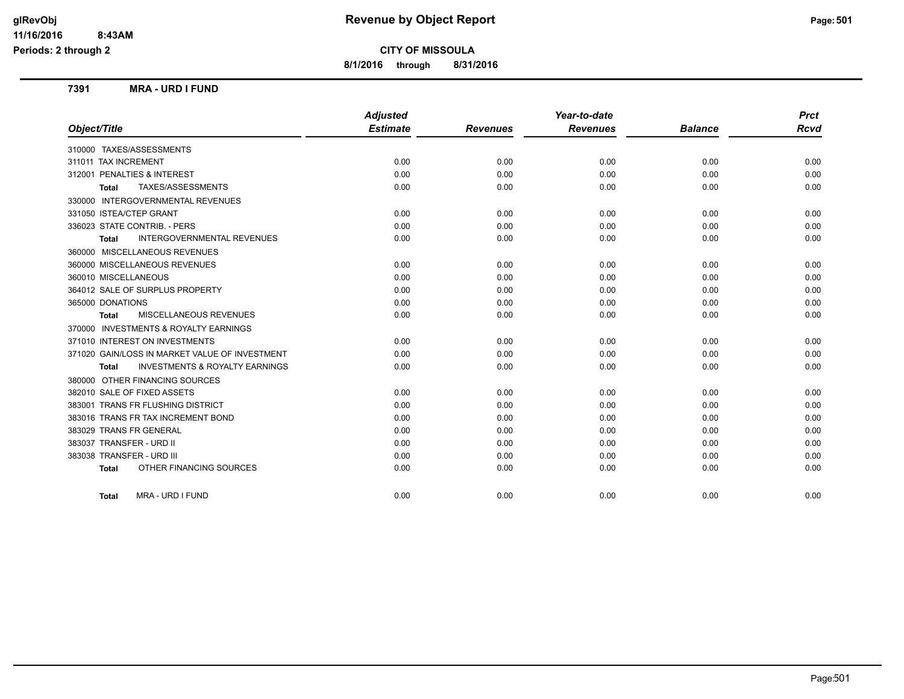#### **8:43AM Periods: 2 through 2**

**CITY OF MISSOULA**

**8/1/2016 through 8/31/2016**

#### **7391 MRA - URD I FUND**

|                                                           | <b>Adjusted</b> |                 | Year-to-date    |                | <b>Prct</b> |
|-----------------------------------------------------------|-----------------|-----------------|-----------------|----------------|-------------|
| Object/Title                                              | <b>Estimate</b> | <b>Revenues</b> | <b>Revenues</b> | <b>Balance</b> | <b>Rcvd</b> |
| 310000 TAXES/ASSESSMENTS                                  |                 |                 |                 |                |             |
| 311011 TAX INCREMENT                                      | 0.00            | 0.00            | 0.00            | 0.00           | 0.00        |
| 312001 PENALTIES & INTEREST                               | 0.00            | 0.00            | 0.00            | 0.00           | 0.00        |
| TAXES/ASSESSMENTS<br><b>Total</b>                         | 0.00            | 0.00            | 0.00            | 0.00           | 0.00        |
| 330000 INTERGOVERNMENTAL REVENUES                         |                 |                 |                 |                |             |
| 331050 ISTEA/CTEP GRANT                                   | 0.00            | 0.00            | 0.00            | 0.00           | 0.00        |
| 336023 STATE CONTRIB. - PERS                              | 0.00            | 0.00            | 0.00            | 0.00           | 0.00        |
| <b>INTERGOVERNMENTAL REVENUES</b><br><b>Total</b>         | 0.00            | 0.00            | 0.00            | 0.00           | 0.00        |
| 360000 MISCELLANEOUS REVENUES                             |                 |                 |                 |                |             |
| 360000 MISCELLANEOUS REVENUES                             | 0.00            | 0.00            | 0.00            | 0.00           | 0.00        |
| 360010 MISCELLANEOUS                                      | 0.00            | 0.00            | 0.00            | 0.00           | 0.00        |
| 364012 SALE OF SURPLUS PROPERTY                           | 0.00            | 0.00            | 0.00            | 0.00           | 0.00        |
| 365000 DONATIONS                                          | 0.00            | 0.00            | 0.00            | 0.00           | 0.00        |
| <b>MISCELLANEOUS REVENUES</b><br><b>Total</b>             | 0.00            | 0.00            | 0.00            | 0.00           | 0.00        |
| 370000 INVESTMENTS & ROYALTY EARNINGS                     |                 |                 |                 |                |             |
| 371010 INTEREST ON INVESTMENTS                            | 0.00            | 0.00            | 0.00            | 0.00           | 0.00        |
| 371020 GAIN/LOSS IN MARKET VALUE OF INVESTMENT            | 0.00            | 0.00            | 0.00            | 0.00           | 0.00        |
| <b>INVESTMENTS &amp; ROYALTY EARNINGS</b><br><b>Total</b> | 0.00            | 0.00            | 0.00            | 0.00           | 0.00        |
| 380000 OTHER FINANCING SOURCES                            |                 |                 |                 |                |             |
| 382010 SALE OF FIXED ASSETS                               | 0.00            | 0.00            | 0.00            | 0.00           | 0.00        |
| 383001 TRANS FR FLUSHING DISTRICT                         | 0.00            | 0.00            | 0.00            | 0.00           | 0.00        |
| 383016 TRANS FR TAX INCREMENT BOND                        | 0.00            | 0.00            | 0.00            | 0.00           | 0.00        |
| 383029 TRANS FR GENERAL                                   | 0.00            | 0.00            | 0.00            | 0.00           | 0.00        |
| 383037 TRANSFER - URD II                                  | 0.00            | 0.00            | 0.00            | 0.00           | 0.00        |
| 383038 TRANSFER - URD III                                 | 0.00            | 0.00            | 0.00            | 0.00           | 0.00        |
| OTHER FINANCING SOURCES<br><b>Total</b>                   | 0.00            | 0.00            | 0.00            | 0.00           | 0.00        |
| MRA - URD I FUND<br>Total                                 | 0.00            | 0.00            | 0.00            | 0.00           | 0.00        |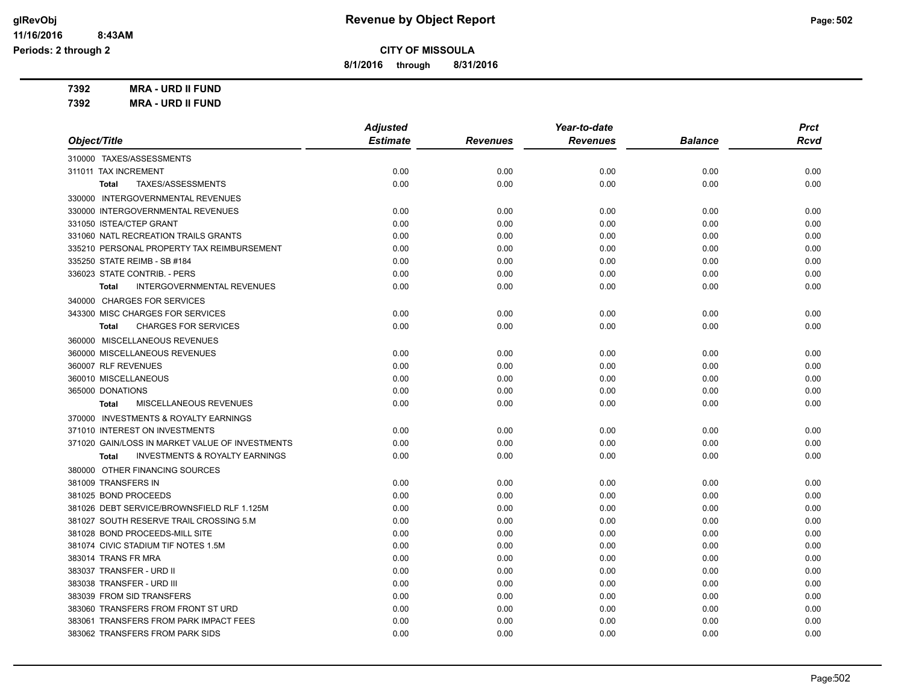**8/1/2016 through 8/31/2016**

**Periods: 2 through 2**

**7392 MRA - URD II FUND**

**7392 MRA - URD II FUND**

|                                                           | <b>Adjusted</b> |                 | Year-to-date    |                | <b>Prct</b> |
|-----------------------------------------------------------|-----------------|-----------------|-----------------|----------------|-------------|
| Object/Title                                              | <b>Estimate</b> | <b>Revenues</b> | <b>Revenues</b> | <b>Balance</b> | <b>Rcvd</b> |
| 310000 TAXES/ASSESSMENTS                                  |                 |                 |                 |                |             |
| 311011 TAX INCREMENT                                      | 0.00            | 0.00            | 0.00            | 0.00           | 0.00        |
| TAXES/ASSESSMENTS<br><b>Total</b>                         | 0.00            | 0.00            | 0.00            | 0.00           | 0.00        |
| 330000 INTERGOVERNMENTAL REVENUES                         |                 |                 |                 |                |             |
| 330000 INTERGOVERNMENTAL REVENUES                         | 0.00            | 0.00            | 0.00            | 0.00           | 0.00        |
| 331050 ISTEA/CTEP GRANT                                   | 0.00            | 0.00            | 0.00            | 0.00           | 0.00        |
| 331060 NATL RECREATION TRAILS GRANTS                      | 0.00            | 0.00            | 0.00            | 0.00           | 0.00        |
| 335210 PERSONAL PROPERTY TAX REIMBURSEMENT                | 0.00            | 0.00            | 0.00            | 0.00           | 0.00        |
| 335250 STATE REIMB - SB #184                              | 0.00            | 0.00            | 0.00            | 0.00           | 0.00        |
| 336023 STATE CONTRIB. - PERS                              | 0.00            | 0.00            | 0.00            | 0.00           | 0.00        |
| <b>INTERGOVERNMENTAL REVENUES</b><br><b>Total</b>         | 0.00            | 0.00            | 0.00            | 0.00           | 0.00        |
| 340000 CHARGES FOR SERVICES                               |                 |                 |                 |                |             |
| 343300 MISC CHARGES FOR SERVICES                          | 0.00            | 0.00            | 0.00            | 0.00           | 0.00        |
| <b>CHARGES FOR SERVICES</b><br><b>Total</b>               | 0.00            | 0.00            | 0.00            | 0.00           | 0.00        |
| 360000 MISCELLANEOUS REVENUES                             |                 |                 |                 |                |             |
| 360000 MISCELLANEOUS REVENUES                             | 0.00            | 0.00            | 0.00            | 0.00           | 0.00        |
| 360007 RLF REVENUES                                       | 0.00            | 0.00            | 0.00            | 0.00           | 0.00        |
| 360010 MISCELLANEOUS                                      | 0.00            | 0.00            | 0.00            | 0.00           | 0.00        |
| 365000 DONATIONS                                          | 0.00            | 0.00            | 0.00            | 0.00           | 0.00        |
| <b>MISCELLANEOUS REVENUES</b><br><b>Total</b>             | 0.00            | 0.00            | 0.00            | 0.00           | 0.00        |
| 370000 INVESTMENTS & ROYALTY EARNINGS                     |                 |                 |                 |                |             |
| 371010 INTEREST ON INVESTMENTS                            | 0.00            | 0.00            | 0.00            | 0.00           | 0.00        |
| 371020 GAIN/LOSS IN MARKET VALUE OF INVESTMENTS           | 0.00            | 0.00            | 0.00            | 0.00           | 0.00        |
| <b>INVESTMENTS &amp; ROYALTY EARNINGS</b><br><b>Total</b> | 0.00            | 0.00            | 0.00            | 0.00           | 0.00        |
| 380000 OTHER FINANCING SOURCES                            |                 |                 |                 |                |             |
| 381009 TRANSFERS IN                                       | 0.00            | 0.00            | 0.00            | 0.00           | 0.00        |
| 381025 BOND PROCEEDS                                      | 0.00            | 0.00            | 0.00            | 0.00           | 0.00        |
| 381026 DEBT SERVICE/BROWNSFIELD RLF 1.125M                | 0.00            | 0.00            | 0.00            | 0.00           | 0.00        |
| 381027 SOUTH RESERVE TRAIL CROSSING 5.M                   | 0.00            | 0.00            | 0.00            | 0.00           | 0.00        |
| 381028 BOND PROCEEDS-MILL SITE                            | 0.00            | 0.00            | 0.00            | 0.00           | 0.00        |
| 381074 CIVIC STADIUM TIF NOTES 1.5M                       | 0.00            | 0.00            | 0.00            | 0.00           | 0.00        |
| 383014 TRANS FR MRA                                       | 0.00            | 0.00            | 0.00            | 0.00           | 0.00        |
| 383037 TRANSFER - URD II                                  | 0.00            | 0.00            | 0.00            | 0.00           | 0.00        |
| 383038 TRANSFER - URD III                                 | 0.00            | 0.00            | 0.00            | 0.00           | 0.00        |
| 383039 FROM SID TRANSFERS                                 | 0.00            | 0.00            | 0.00            | 0.00           | 0.00        |
| 383060 TRANSFERS FROM FRONT ST URD                        | 0.00            | 0.00            | 0.00            | 0.00           | 0.00        |
| 383061 TRANSFERS FROM PARK IMPACT FEES                    | 0.00            | 0.00            | 0.00            | 0.00           | 0.00        |
| 383062 TRANSFERS FROM PARK SIDS                           | 0.00            | 0.00            | 0.00            | 0.00           | 0.00        |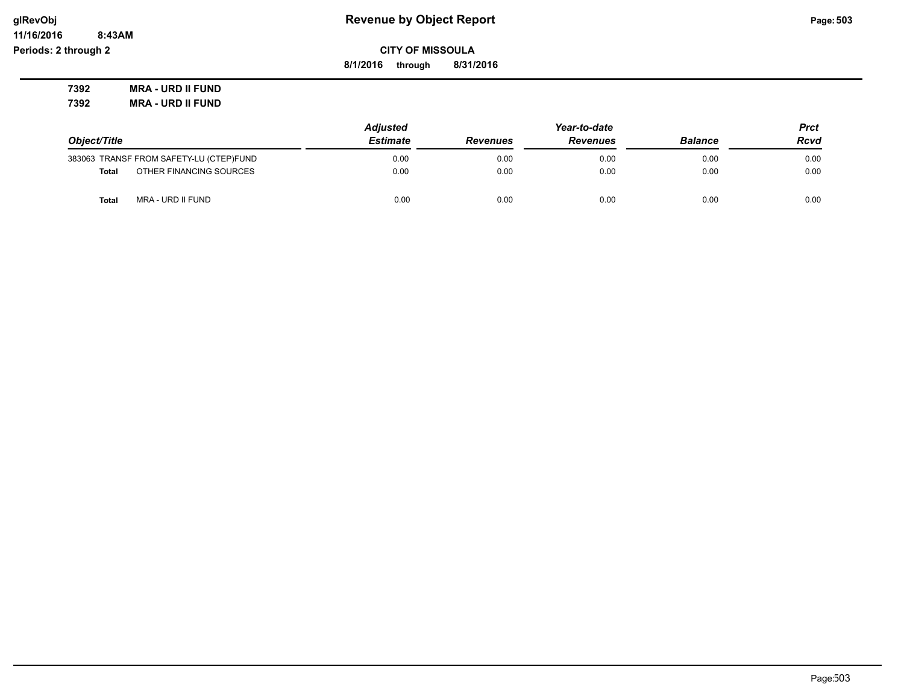**glRevObj Revenue by Object Report Page:503** 

**11/16/2016 8:43AM Periods: 2 through 2**

## **CITY OF MISSOULA**

**8/1/2016 through 8/31/2016**

**7392 MRA - URD II FUND 7392 MRA - URD II FUND**

|                                         | <b>Adjusted</b> |                 | Year-to-date    |                | Prct        |
|-----------------------------------------|-----------------|-----------------|-----------------|----------------|-------------|
| Object/Title                            | <b>Estimate</b> | <b>Revenues</b> | <b>Revenues</b> | <b>Balance</b> | <b>Rcvd</b> |
| 383063 TRANSF FROM SAFETY-LU (CTEP)FUND | 0.00            | 0.00            | 0.00            | 0.00           | 0.00        |
| OTHER FINANCING SOURCES<br>Total        | 0.00            | 0.00            | 0.00            | 0.00           | 0.00        |
|                                         |                 |                 |                 |                |             |
| MRA - URD II FUND<br>Total              | 0.00            | 0.00            | 0.00            | 0.00           | 0.00        |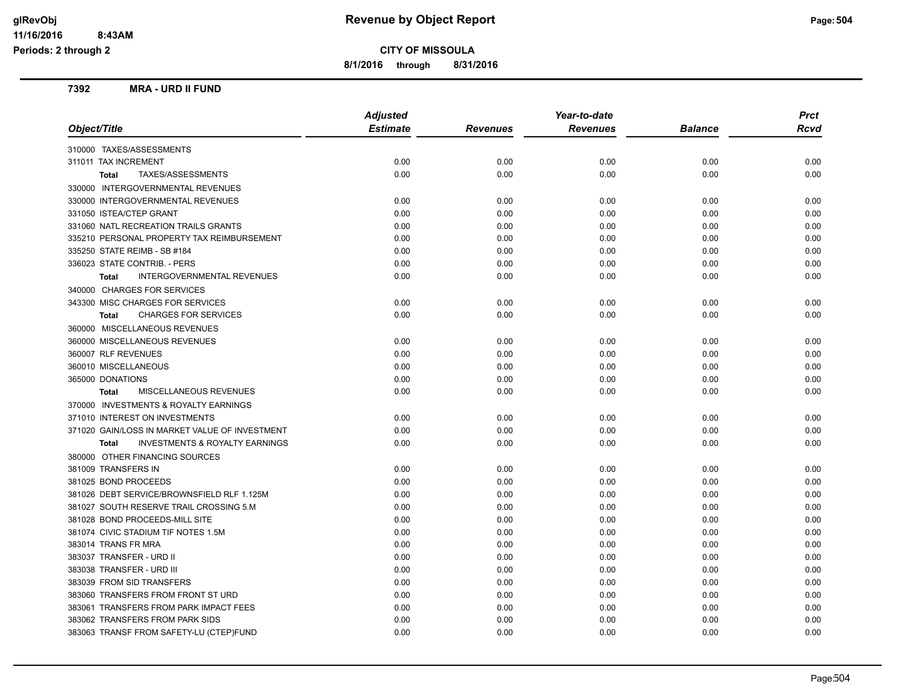**8/1/2016 through 8/31/2016**

#### **7392 MRA - URD II FUND**

| Object/Title                                              | <b>Adjusted</b> |                 | Year-to-date    |                | <b>Prct</b> |
|-----------------------------------------------------------|-----------------|-----------------|-----------------|----------------|-------------|
|                                                           | <b>Estimate</b> | <b>Revenues</b> | <b>Revenues</b> | <b>Balance</b> | <b>Rcvd</b> |
| 310000 TAXES/ASSESSMENTS                                  |                 |                 |                 |                |             |
| 311011 TAX INCREMENT                                      | 0.00            | 0.00            | 0.00            | 0.00           | 0.00        |
| TAXES/ASSESSMENTS<br>Total                                | 0.00            | 0.00            | 0.00            | 0.00           | 0.00        |
| 330000 INTERGOVERNMENTAL REVENUES                         |                 |                 |                 |                |             |
| 330000 INTERGOVERNMENTAL REVENUES                         | 0.00            | 0.00            | 0.00            | 0.00           | 0.00        |
| 331050 ISTEA/CTEP GRANT                                   | 0.00            | 0.00            | 0.00            | 0.00           | 0.00        |
| 331060 NATL RECREATION TRAILS GRANTS                      | 0.00            | 0.00            | 0.00            | 0.00           | 0.00        |
| 335210 PERSONAL PROPERTY TAX REIMBURSEMENT                | 0.00            | 0.00            | 0.00            | 0.00           | 0.00        |
| 335250 STATE REIMB - SB #184                              | 0.00            | 0.00            | 0.00            | 0.00           | 0.00        |
| 336023 STATE CONTRIB. - PERS                              | 0.00            | 0.00            | 0.00            | 0.00           | 0.00        |
| INTERGOVERNMENTAL REVENUES<br><b>Total</b>                | 0.00            | 0.00            | 0.00            | 0.00           | 0.00        |
| 340000 CHARGES FOR SERVICES                               |                 |                 |                 |                |             |
| 343300 MISC CHARGES FOR SERVICES                          | 0.00            | 0.00            | 0.00            | 0.00           | 0.00        |
| <b>CHARGES FOR SERVICES</b><br>Total                      | 0.00            | 0.00            | 0.00            | 0.00           | 0.00        |
| 360000 MISCELLANEOUS REVENUES                             |                 |                 |                 |                |             |
| 360000 MISCELLANEOUS REVENUES                             | 0.00            | 0.00            | 0.00            | 0.00           | 0.00        |
| 360007 RLF REVENUES                                       | 0.00            | 0.00            | 0.00            | 0.00           | 0.00        |
| 360010 MISCELLANEOUS                                      | 0.00            | 0.00            | 0.00            | 0.00           | 0.00        |
| 365000 DONATIONS                                          | 0.00            | 0.00            | 0.00            | 0.00           | 0.00        |
| MISCELLANEOUS REVENUES<br><b>Total</b>                    | 0.00            | 0.00            | 0.00            | 0.00           | 0.00        |
| 370000 INVESTMENTS & ROYALTY EARNINGS                     |                 |                 |                 |                |             |
| 371010 INTEREST ON INVESTMENTS                            | 0.00            | 0.00            | 0.00            | 0.00           | 0.00        |
| 371020 GAIN/LOSS IN MARKET VALUE OF INVESTMENT            | 0.00            | 0.00            | 0.00            | 0.00           | 0.00        |
| <b>INVESTMENTS &amp; ROYALTY EARNINGS</b><br><b>Total</b> | 0.00            | 0.00            | 0.00            | 0.00           | 0.00        |
| 380000 OTHER FINANCING SOURCES                            |                 |                 |                 |                |             |
| 381009 TRANSFERS IN                                       | 0.00            | 0.00            | 0.00            | 0.00           | 0.00        |
| 381025 BOND PROCEEDS                                      | 0.00            | 0.00            | 0.00            | 0.00           | 0.00        |
| 381026 DEBT SERVICE/BROWNSFIELD RLF 1.125M                | 0.00            | 0.00            | 0.00            | 0.00           | 0.00        |
| 381027 SOUTH RESERVE TRAIL CROSSING 5.M                   | 0.00            | 0.00            | 0.00            | 0.00           | 0.00        |
| 381028 BOND PROCEEDS-MILL SITE                            | 0.00            | 0.00            | 0.00            | 0.00           | 0.00        |
| 381074 CIVIC STADIUM TIF NOTES 1.5M                       | 0.00            | 0.00            | 0.00            | 0.00           | 0.00        |
| 383014 TRANS FR MRA                                       | 0.00            | 0.00            | 0.00            | 0.00           | 0.00        |
| 383037 TRANSFER - URD II                                  | 0.00            | 0.00            | 0.00            | 0.00           | 0.00        |
| 383038 TRANSFER - URD III                                 | 0.00            | 0.00            | 0.00            | 0.00           | 0.00        |
| 383039 FROM SID TRANSFERS                                 | 0.00            | 0.00            | 0.00            | 0.00           | 0.00        |
| 383060 TRANSFERS FROM FRONT ST URD                        | 0.00            | 0.00            | 0.00            | 0.00           | 0.00        |
| 383061 TRANSFERS FROM PARK IMPACT FEES                    | 0.00            | 0.00            | 0.00            | 0.00           | 0.00        |
| 383062 TRANSFERS FROM PARK SIDS                           | 0.00            | 0.00            | 0.00            | 0.00           | 0.00        |
| 383063 TRANSF FROM SAFETY-LU (CTEP)FUND                   | 0.00            | 0.00            | 0.00            | 0.00           | 0.00        |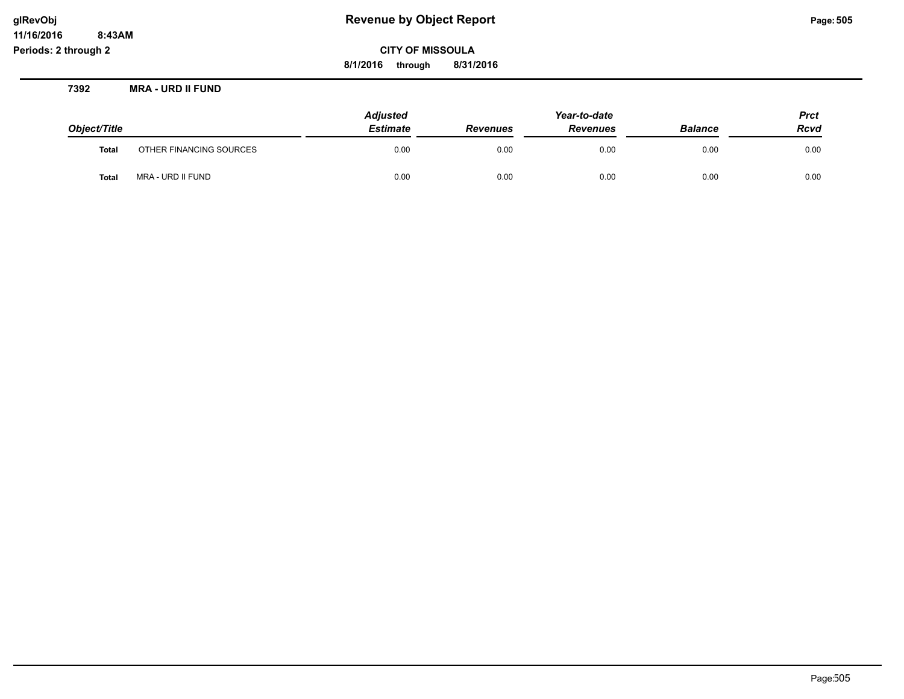**11/16/2016 8:43AM Periods: 2 through 2**

**CITY OF MISSOULA**

**8/1/2016 through 8/31/2016**

**7392 MRA - URD II FUND**

|              |                         | <b>Adjusted</b> |                 | Year-to-date    |                | <b>Prct</b> |
|--------------|-------------------------|-----------------|-----------------|-----------------|----------------|-------------|
| Object/Title |                         | <b>Estimate</b> | <b>Revenues</b> | <b>Revenues</b> | <b>Balance</b> | <b>Rcvd</b> |
| Total        | OTHER FINANCING SOURCES | 0.00            | 0.00            | 0.00            | 0.00           | 0.00        |
| Total        | MRA - URD II FUND       | 0.00            | 0.00            | 0.00            | 0.00           | 0.00        |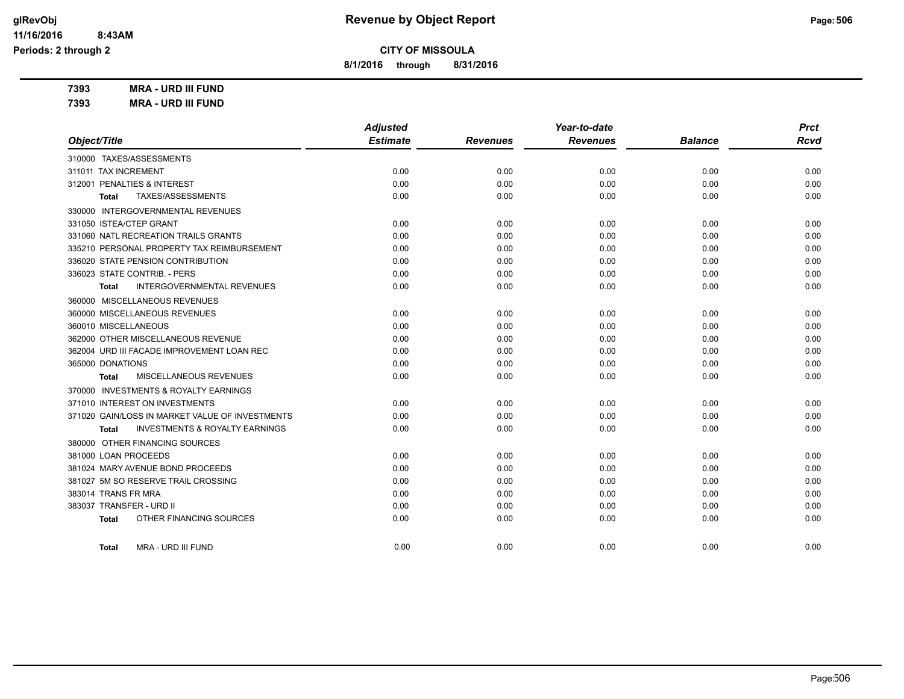**8/1/2016 through 8/31/2016**

**7393 MRA - URD III FUND**

**7393 MRA - URD III FUND**

|                                                    | <b>Adjusted</b> |                 | Year-to-date    |                | <b>Prct</b> |
|----------------------------------------------------|-----------------|-----------------|-----------------|----------------|-------------|
| Object/Title                                       | <b>Estimate</b> | <b>Revenues</b> | <b>Revenues</b> | <b>Balance</b> | <b>Rcvd</b> |
| 310000 TAXES/ASSESSMENTS                           |                 |                 |                 |                |             |
| 311011 TAX INCREMENT                               | 0.00            | 0.00            | 0.00            | 0.00           | 0.00        |
| 312001 PENALTIES & INTEREST                        | 0.00            | 0.00            | 0.00            | 0.00           | 0.00        |
| TAXES/ASSESSMENTS<br>Total                         | 0.00            | 0.00            | 0.00            | 0.00           | 0.00        |
| 330000 INTERGOVERNMENTAL REVENUES                  |                 |                 |                 |                |             |
| 331050 ISTEA/CTEP GRANT                            | 0.00            | 0.00            | 0.00            | 0.00           | 0.00        |
| 331060 NATL RECREATION TRAILS GRANTS               | 0.00            | 0.00            | 0.00            | 0.00           | 0.00        |
| 335210 PERSONAL PROPERTY TAX REIMBURSEMENT         | 0.00            | 0.00            | 0.00            | 0.00           | 0.00        |
| 336020 STATE PENSION CONTRIBUTION                  | 0.00            | 0.00            | 0.00            | 0.00           | 0.00        |
| 336023 STATE CONTRIB. - PERS                       | 0.00            | 0.00            | 0.00            | 0.00           | 0.00        |
| <b>INTERGOVERNMENTAL REVENUES</b><br>Total         | 0.00            | 0.00            | 0.00            | 0.00           | 0.00        |
| 360000 MISCELLANEOUS REVENUES                      |                 |                 |                 |                |             |
| 360000 MISCELLANEOUS REVENUES                      | 0.00            | 0.00            | 0.00            | 0.00           | 0.00        |
| 360010 MISCELLANEOUS                               | 0.00            | 0.00            | 0.00            | 0.00           | 0.00        |
| 362000 OTHER MISCELLANEOUS REVENUE                 | 0.00            | 0.00            | 0.00            | 0.00           | 0.00        |
| 362004 URD III FACADE IMPROVEMENT LOAN REC         | 0.00            | 0.00            | 0.00            | 0.00           | 0.00        |
| 365000 DONATIONS                                   | 0.00            | 0.00            | 0.00            | 0.00           | 0.00        |
| MISCELLANEOUS REVENUES<br>Total                    | 0.00            | 0.00            | 0.00            | 0.00           | 0.00        |
| 370000 INVESTMENTS & ROYALTY EARNINGS              |                 |                 |                 |                |             |
| 371010 INTEREST ON INVESTMENTS                     | 0.00            | 0.00            | 0.00            | 0.00           | 0.00        |
| 371020 GAIN/LOSS IN MARKET VALUE OF INVESTMENTS    | 0.00            | 0.00            | 0.00            | 0.00           | 0.00        |
| <b>INVESTMENTS &amp; ROYALTY EARNINGS</b><br>Total | 0.00            | 0.00            | 0.00            | 0.00           | 0.00        |
| 380000 OTHER FINANCING SOURCES                     |                 |                 |                 |                |             |
| 381000 LOAN PROCEEDS                               | 0.00            | 0.00            | 0.00            | 0.00           | 0.00        |
| 381024 MARY AVENUE BOND PROCEEDS                   | 0.00            | 0.00            | 0.00            | 0.00           | 0.00        |
| 381027 5M SO RESERVE TRAIL CROSSING                | 0.00            | 0.00            | 0.00            | 0.00           | 0.00        |
| 383014 TRANS FR MRA                                | 0.00            | 0.00            | 0.00            | 0.00           | 0.00        |
| 383037 TRANSFER - URD II                           | 0.00            | 0.00            | 0.00            | 0.00           | 0.00        |
| OTHER FINANCING SOURCES<br><b>Total</b>            | 0.00            | 0.00            | 0.00            | 0.00           | 0.00        |
| MRA - URD III FUND<br>Total                        | 0.00            | 0.00            | 0.00            | 0.00           | 0.00        |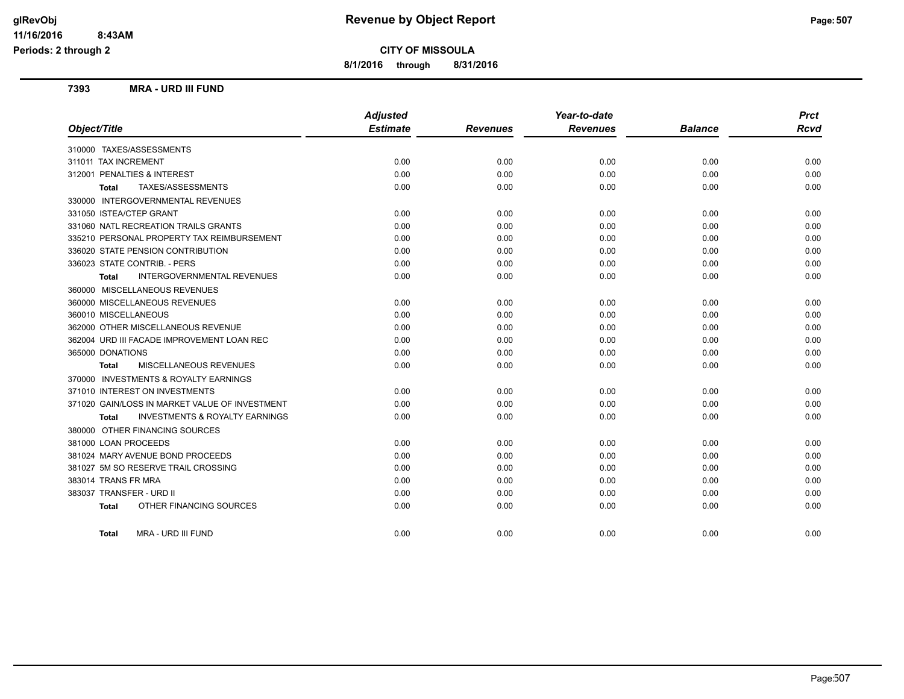**8/1/2016 through 8/31/2016**

### **7393 MRA - URD III FUND**

|                                                | <b>Adjusted</b> |                 | Year-to-date    |                | Prct        |
|------------------------------------------------|-----------------|-----------------|-----------------|----------------|-------------|
| Object/Title                                   | <b>Estimate</b> | <b>Revenues</b> | <b>Revenues</b> | <b>Balance</b> | <b>Rcvd</b> |
| 310000 TAXES/ASSESSMENTS                       |                 |                 |                 |                |             |
| 311011 TAX INCREMENT                           | 0.00            | 0.00            | 0.00            | 0.00           | 0.00        |
| 312001 PENALTIES & INTEREST                    | 0.00            | 0.00            | 0.00            | 0.00           | 0.00        |
| TAXES/ASSESSMENTS<br>Total                     | 0.00            | 0.00            | 0.00            | 0.00           | 0.00        |
| 330000 INTERGOVERNMENTAL REVENUES              |                 |                 |                 |                |             |
| 331050 ISTEA/CTEP GRANT                        | 0.00            | 0.00            | 0.00            | 0.00           | 0.00        |
| 331060 NATL RECREATION TRAILS GRANTS           | 0.00            | 0.00            | 0.00            | 0.00           | 0.00        |
| 335210 PERSONAL PROPERTY TAX REIMBURSEMENT     | 0.00            | 0.00            | 0.00            | 0.00           | 0.00        |
| 336020 STATE PENSION CONTRIBUTION              | 0.00            | 0.00            | 0.00            | 0.00           | 0.00        |
| 336023 STATE CONTRIB. - PERS                   | 0.00            | 0.00            | 0.00            | 0.00           | 0.00        |
| INTERGOVERNMENTAL REVENUES<br><b>Total</b>     | 0.00            | 0.00            | 0.00            | 0.00           | 0.00        |
| 360000 MISCELLANEOUS REVENUES                  |                 |                 |                 |                |             |
| 360000 MISCELLANEOUS REVENUES                  | 0.00            | 0.00            | 0.00            | 0.00           | 0.00        |
| 360010 MISCELLANEOUS                           | 0.00            | 0.00            | 0.00            | 0.00           | 0.00        |
| 362000 OTHER MISCELLANEOUS REVENUE             | 0.00            | 0.00            | 0.00            | 0.00           | 0.00        |
| 362004 URD III FACADE IMPROVEMENT LOAN REC     | 0.00            | 0.00            | 0.00            | 0.00           | 0.00        |
| 365000 DONATIONS                               | 0.00            | 0.00            | 0.00            | 0.00           | 0.00        |
| MISCELLANEOUS REVENUES<br>Total                | 0.00            | 0.00            | 0.00            | 0.00           | 0.00        |
| 370000 INVESTMENTS & ROYALTY EARNINGS          |                 |                 |                 |                |             |
| 371010 INTEREST ON INVESTMENTS                 | 0.00            | 0.00            | 0.00            | 0.00           | 0.00        |
| 371020 GAIN/LOSS IN MARKET VALUE OF INVESTMENT | 0.00            | 0.00            | 0.00            | 0.00           | 0.00        |
| INVESTMENTS & ROYALTY EARNINGS<br>Total        | 0.00            | 0.00            | 0.00            | 0.00           | 0.00        |
| 380000 OTHER FINANCING SOURCES                 |                 |                 |                 |                |             |
| 381000 LOAN PROCEEDS                           | 0.00            | 0.00            | 0.00            | 0.00           | 0.00        |
| 381024 MARY AVENUE BOND PROCEEDS               | 0.00            | 0.00            | 0.00            | 0.00           | 0.00        |
| 381027 5M SO RESERVE TRAIL CROSSING            | 0.00            | 0.00            | 0.00            | 0.00           | 0.00        |
| 383014 TRANS FR MRA                            | 0.00            | 0.00            | 0.00            | 0.00           | 0.00        |
| 383037 TRANSFER - URD II                       | 0.00            | 0.00            | 0.00            | 0.00           | 0.00        |
| OTHER FINANCING SOURCES<br><b>Total</b>        | 0.00            | 0.00            | 0.00            | 0.00           | 0.00        |
| MRA - URD III FUND<br>Total                    | 0.00            | 0.00            | 0.00            | 0.00           | 0.00        |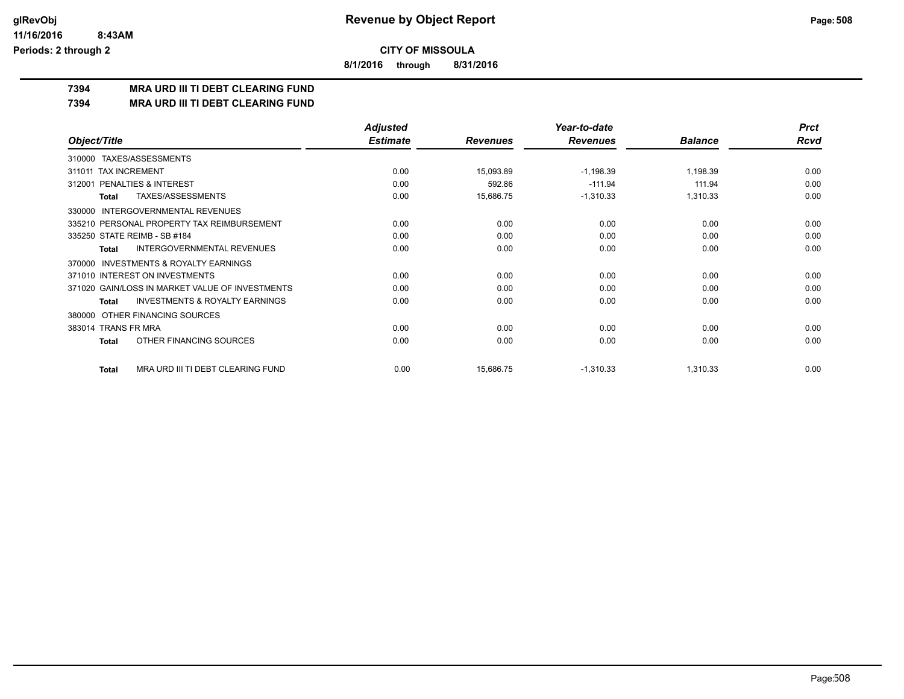**8/1/2016 through 8/31/2016**

### **7394 MRA URD III TI DEBT CLEARING FUND**

**7394 MRA URD III TI DEBT CLEARING FUND**

|                                                           | <b>Adjusted</b> |                 | Year-to-date    |                | <b>Prct</b> |
|-----------------------------------------------------------|-----------------|-----------------|-----------------|----------------|-------------|
| Object/Title                                              | <b>Estimate</b> | <b>Revenues</b> | <b>Revenues</b> | <b>Balance</b> | Rcvd        |
| TAXES/ASSESSMENTS<br>310000                               |                 |                 |                 |                |             |
| <b>TAX INCREMENT</b><br>311011                            | 0.00            | 15,093.89       | $-1,198.39$     | 1,198.39       | 0.00        |
| <b>PENALTIES &amp; INTEREST</b><br>312001                 | 0.00            | 592.86          | $-111.94$       | 111.94         | 0.00        |
| TAXES/ASSESSMENTS<br><b>Total</b>                         | 0.00            | 15,686.75       | $-1,310.33$     | 1,310.33       | 0.00        |
| <b>INTERGOVERNMENTAL REVENUES</b><br>330000               |                 |                 |                 |                |             |
| 335210 PERSONAL PROPERTY TAX REIMBURSEMENT                | 0.00            | 0.00            | 0.00            | 0.00           | 0.00        |
| 335250 STATE REIMB - SB #184                              | 0.00            | 0.00            | 0.00            | 0.00           | 0.00        |
| <b>INTERGOVERNMENTAL REVENUES</b><br><b>Total</b>         | 0.00            | 0.00            | 0.00            | 0.00           | 0.00        |
| <b>INVESTMENTS &amp; ROYALTY EARNINGS</b><br>370000       |                 |                 |                 |                |             |
| 371010 INTEREST ON INVESTMENTS                            | 0.00            | 0.00            | 0.00            | 0.00           | 0.00        |
| 371020 GAIN/LOSS IN MARKET VALUE OF INVESTMENTS           | 0.00            | 0.00            | 0.00            | 0.00           | 0.00        |
| <b>INVESTMENTS &amp; ROYALTY EARNINGS</b><br><b>Total</b> | 0.00            | 0.00            | 0.00            | 0.00           | 0.00        |
| OTHER FINANCING SOURCES<br>380000                         |                 |                 |                 |                |             |
| 383014 TRANS FR MRA                                       | 0.00            | 0.00            | 0.00            | 0.00           | 0.00        |
| OTHER FINANCING SOURCES<br><b>Total</b>                   | 0.00            | 0.00            | 0.00            | 0.00           | 0.00        |
| MRA URD III TI DEBT CLEARING FUND<br><b>Total</b>         | 0.00            | 15,686.75       | $-1,310.33$     | 1,310.33       | 0.00        |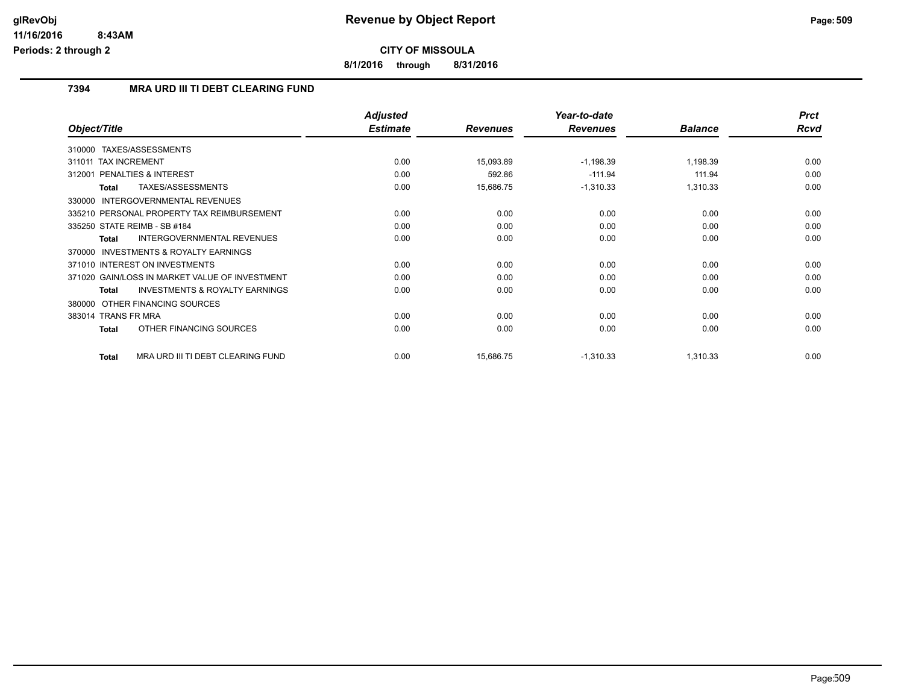**8/1/2016 through 8/31/2016**

### **7394 MRA URD III TI DEBT CLEARING FUND**

|                                                           | <b>Adjusted</b> |                 | Year-to-date    |                | <b>Prct</b> |
|-----------------------------------------------------------|-----------------|-----------------|-----------------|----------------|-------------|
| Object/Title                                              | <b>Estimate</b> | <b>Revenues</b> | <b>Revenues</b> | <b>Balance</b> | <b>Rcvd</b> |
| 310000 TAXES/ASSESSMENTS                                  |                 |                 |                 |                |             |
| 311011 TAX INCREMENT                                      | 0.00            | 15,093.89       | $-1,198.39$     | 1,198.39       | 0.00        |
| 312001 PENALTIES & INTEREST                               | 0.00            | 592.86          | $-111.94$       | 111.94         | 0.00        |
| TAXES/ASSESSMENTS<br><b>Total</b>                         | 0.00            | 15,686.75       | $-1,310.33$     | 1,310.33       | 0.00        |
| INTERGOVERNMENTAL REVENUES<br>330000                      |                 |                 |                 |                |             |
| 335210 PERSONAL PROPERTY TAX REIMBURSEMENT                | 0.00            | 0.00            | 0.00            | 0.00           | 0.00        |
| 335250 STATE REIMB - SB #184                              | 0.00            | 0.00            | 0.00            | 0.00           | 0.00        |
| <b>INTERGOVERNMENTAL REVENUES</b><br><b>Total</b>         | 0.00            | 0.00            | 0.00            | 0.00           | 0.00        |
| <b>INVESTMENTS &amp; ROYALTY EARNINGS</b><br>370000       |                 |                 |                 |                |             |
| 371010 INTEREST ON INVESTMENTS                            | 0.00            | 0.00            | 0.00            | 0.00           | 0.00        |
| 371020 GAIN/LOSS IN MARKET VALUE OF INVESTMENT            | 0.00            | 0.00            | 0.00            | 0.00           | 0.00        |
| <b>INVESTMENTS &amp; ROYALTY EARNINGS</b><br><b>Total</b> | 0.00            | 0.00            | 0.00            | 0.00           | 0.00        |
| OTHER FINANCING SOURCES<br>380000                         |                 |                 |                 |                |             |
| 383014 TRANS FR MRA                                       | 0.00            | 0.00            | 0.00            | 0.00           | 0.00        |
| OTHER FINANCING SOURCES<br><b>Total</b>                   | 0.00            | 0.00            | 0.00            | 0.00           | 0.00        |
| MRA URD III TI DEBT CLEARING FUND<br><b>Total</b>         | 0.00            | 15,686.75       | $-1,310.33$     | 1,310.33       | 0.00        |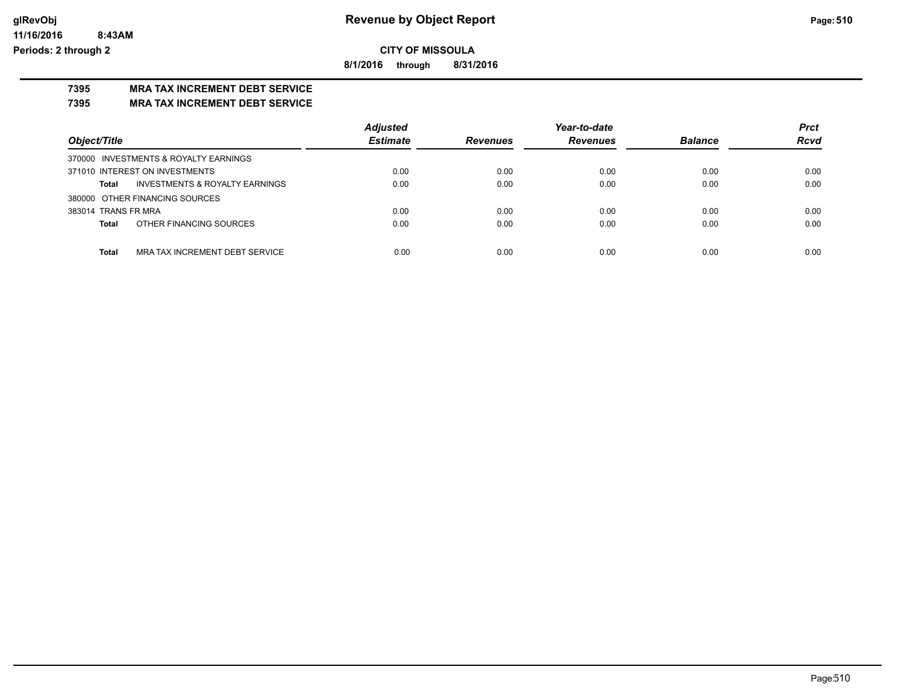**11/16/2016 8:43AM Periods: 2 through 2**

# **CITY OF MISSOULA**

**8/1/2016 through 8/31/2016**

# **7395 MRA TAX INCREMENT DEBT SERVICE**

### **7395 MRA TAX INCREMENT DEBT SERVICE**

|                                                    | <b>Adjusted</b> |                 | Year-to-date    |                | <b>Prct</b> |
|----------------------------------------------------|-----------------|-----------------|-----------------|----------------|-------------|
| Object/Title                                       | <b>Estimate</b> | <b>Revenues</b> | <b>Revenues</b> | <b>Balance</b> | <b>Rcvd</b> |
| 370000 INVESTMENTS & ROYALTY EARNINGS              |                 |                 |                 |                |             |
| 371010 INTEREST ON INVESTMENTS                     | 0.00            | 0.00            | 0.00            | 0.00           | 0.00        |
| <b>INVESTMENTS &amp; ROYALTY EARNINGS</b><br>Total | 0.00            | 0.00            | 0.00            | 0.00           | 0.00        |
| 380000 OTHER FINANCING SOURCES                     |                 |                 |                 |                |             |
| 383014 TRANS FR MRA                                | 0.00            | 0.00            | 0.00            | 0.00           | 0.00        |
| OTHER FINANCING SOURCES<br>Total                   | 0.00            | 0.00            | 0.00            | 0.00           | 0.00        |
|                                                    |                 |                 |                 |                |             |
| MRA TAX INCREMENT DEBT SERVICE<br>Total            | 0.00            | 0.00            | 0.00            | 0.00           | 0.00        |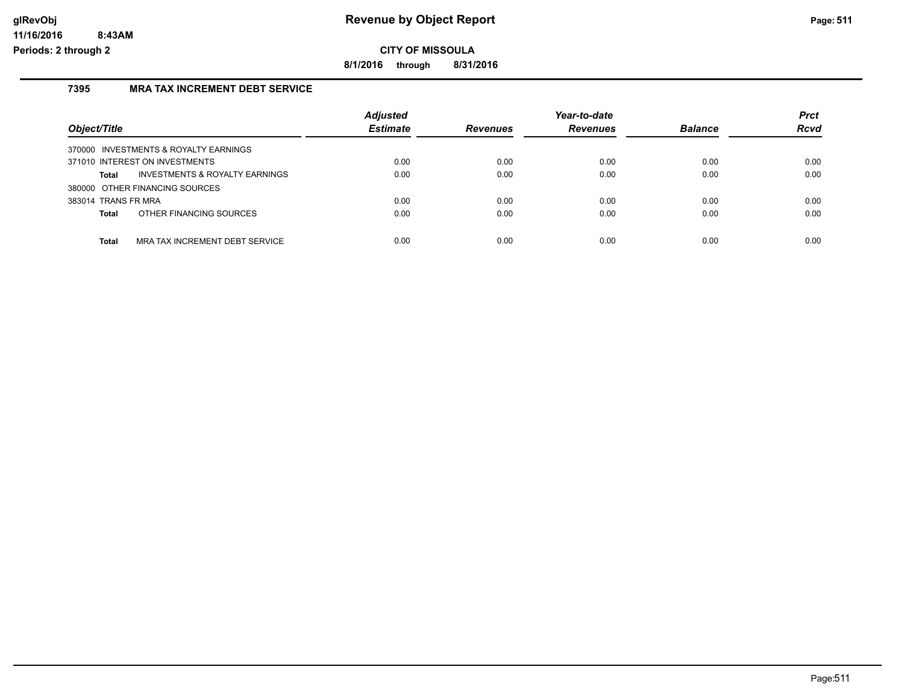**8/1/2016 through 8/31/2016**

### **7395 MRA TAX INCREMENT DEBT SERVICE**

|                                                | <b>Adjusted</b><br><b>Estimate</b> | <b>Revenues</b> | Year-to-date<br><b>Revenues</b> | <b>Balance</b> | <b>Prct</b><br><b>Rcvd</b> |
|------------------------------------------------|------------------------------------|-----------------|---------------------------------|----------------|----------------------------|
| Object/Title                                   |                                    |                 |                                 |                |                            |
| 370000 INVESTMENTS & ROYALTY EARNINGS          |                                    |                 |                                 |                |                            |
| 371010 INTEREST ON INVESTMENTS                 | 0.00                               | 0.00            | 0.00                            | 0.00           | 0.00                       |
| INVESTMENTS & ROYALTY EARNINGS<br>Total        | 0.00                               | 0.00            | 0.00                            | 0.00           | 0.00                       |
| 380000 OTHER FINANCING SOURCES                 |                                    |                 |                                 |                |                            |
| 383014 TRANS FR MRA                            | 0.00                               | 0.00            | 0.00                            | 0.00           | 0.00                       |
| OTHER FINANCING SOURCES<br><b>Total</b>        | 0.00                               | 0.00            | 0.00                            | 0.00           | 0.00                       |
|                                                |                                    |                 |                                 |                |                            |
| MRA TAX INCREMENT DEBT SERVICE<br><b>Total</b> | 0.00                               | 0.00            | 0.00                            | 0.00           | 0.00                       |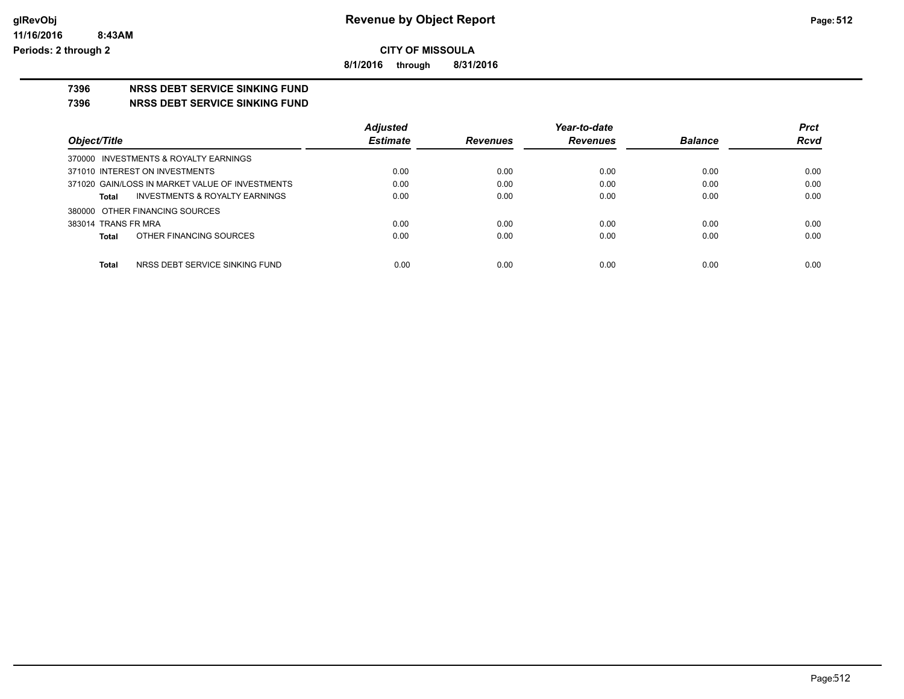**8/1/2016 through 8/31/2016**

# **7396 NRSS DEBT SERVICE SINKING FUND**

**7396 NRSS DEBT SERVICE SINKING FUND**

|                                                           | <b>Adjusted</b> |                 | Year-to-date    |                | <b>Prct</b> |
|-----------------------------------------------------------|-----------------|-----------------|-----------------|----------------|-------------|
| Object/Title                                              | <b>Estimate</b> | <b>Revenues</b> | <b>Revenues</b> | <b>Balance</b> | <b>Rcvd</b> |
| 370000 INVESTMENTS & ROYALTY EARNINGS                     |                 |                 |                 |                |             |
| 371010 INTEREST ON INVESTMENTS                            | 0.00            | 0.00            | 0.00            | 0.00           | 0.00        |
| 371020 GAIN/LOSS IN MARKET VALUE OF INVESTMENTS           | 0.00            | 0.00            | 0.00            | 0.00           | 0.00        |
| <b>INVESTMENTS &amp; ROYALTY EARNINGS</b><br><b>Total</b> | 0.00            | 0.00            | 0.00            | 0.00           | 0.00        |
| 380000 OTHER FINANCING SOURCES                            |                 |                 |                 |                |             |
| 383014 TRANS FR MRA                                       | 0.00            | 0.00            | 0.00            | 0.00           | 0.00        |
| OTHER FINANCING SOURCES<br><b>Total</b>                   | 0.00            | 0.00            | 0.00            | 0.00           | 0.00        |
|                                                           |                 |                 |                 |                |             |
| <b>Total</b><br>NRSS DEBT SERVICE SINKING FUND            | 0.00            | 0.00            | 0.00            | 0.00           | 0.00        |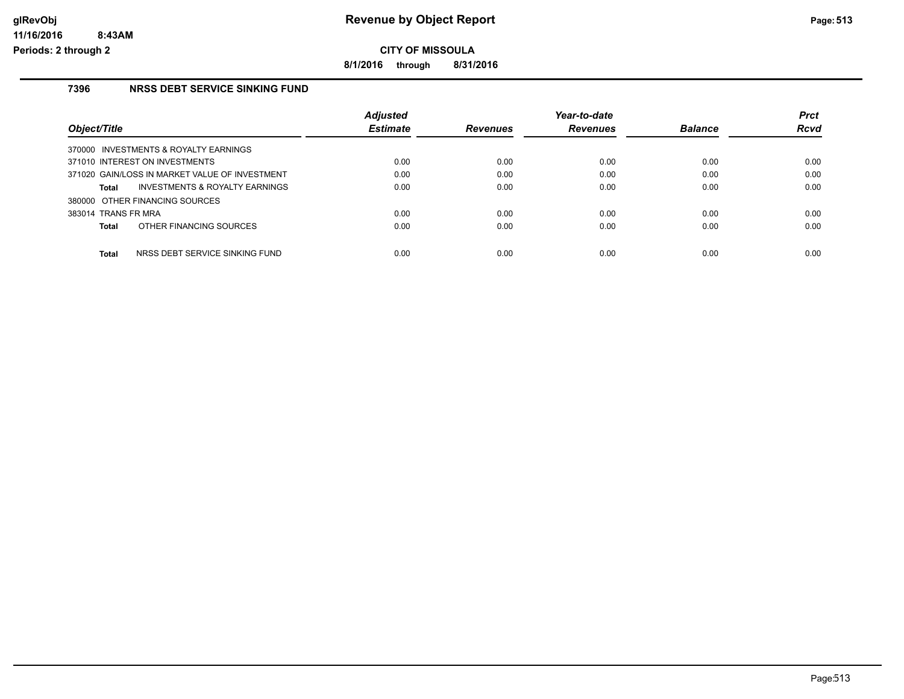**8/1/2016 through 8/31/2016**

### **7396 NRSS DEBT SERVICE SINKING FUND**

|                                                | <b>Adjusted</b> |                 | Year-to-date    |                | <b>Prct</b> |
|------------------------------------------------|-----------------|-----------------|-----------------|----------------|-------------|
| Object/Title                                   | <b>Estimate</b> | <b>Revenues</b> | <b>Revenues</b> | <b>Balance</b> | <b>Rcvd</b> |
| 370000 INVESTMENTS & ROYALTY EARNINGS          |                 |                 |                 |                |             |
| 371010 INTEREST ON INVESTMENTS                 | 0.00            | 0.00            | 0.00            | 0.00           | 0.00        |
| 371020 GAIN/LOSS IN MARKET VALUE OF INVESTMENT | 0.00            | 0.00            | 0.00            | 0.00           | 0.00        |
| INVESTMENTS & ROYALTY EARNINGS<br><b>Total</b> | 0.00            | 0.00            | 0.00            | 0.00           | 0.00        |
| 380000 OTHER FINANCING SOURCES                 |                 |                 |                 |                |             |
| 383014 TRANS FR MRA                            | 0.00            | 0.00            | 0.00            | 0.00           | 0.00        |
| OTHER FINANCING SOURCES<br><b>Total</b>        | 0.00            | 0.00            | 0.00            | 0.00           | 0.00        |
|                                                |                 |                 |                 |                |             |
| <b>Total</b><br>NRSS DEBT SERVICE SINKING FUND | 0.00            | 0.00            | 0.00            | 0.00           | 0.00        |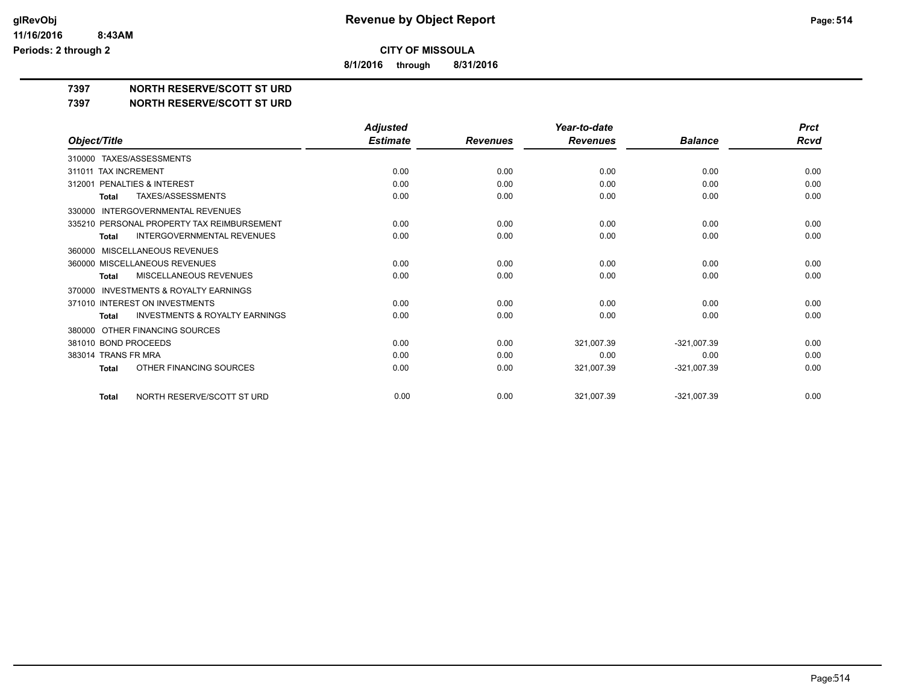**8/1/2016 through 8/31/2016**

**7397 NORTH RESERVE/SCOTT ST URD**

**7397 NORTH RESERVE/SCOTT ST URD**

|                                                           | <b>Adjusted</b> |                 | Year-to-date    |                | <b>Prct</b> |
|-----------------------------------------------------------|-----------------|-----------------|-----------------|----------------|-------------|
| Object/Title                                              | <b>Estimate</b> | <b>Revenues</b> | <b>Revenues</b> | <b>Balance</b> | <b>Rcvd</b> |
| TAXES/ASSESSMENTS<br>310000                               |                 |                 |                 |                |             |
| 311011 TAX INCREMENT                                      | 0.00            | 0.00            | 0.00            | 0.00           | 0.00        |
| PENALTIES & INTEREST<br>312001                            | 0.00            | 0.00            | 0.00            | 0.00           | 0.00        |
| TAXES/ASSESSMENTS<br><b>Total</b>                         | 0.00            | 0.00            | 0.00            | 0.00           | 0.00        |
| <b>INTERGOVERNMENTAL REVENUES</b><br>330000               |                 |                 |                 |                |             |
| 335210 PERSONAL PROPERTY TAX REIMBURSEMENT                | 0.00            | 0.00            | 0.00            | 0.00           | 0.00        |
| <b>INTERGOVERNMENTAL REVENUES</b><br><b>Total</b>         | 0.00            | 0.00            | 0.00            | 0.00           | 0.00        |
| <b>MISCELLANEOUS REVENUES</b><br>360000                   |                 |                 |                 |                |             |
| 360000 MISCELLANEOUS REVENUES                             | 0.00            | 0.00            | 0.00            | 0.00           | 0.00        |
| <b>MISCELLANEOUS REVENUES</b><br><b>Total</b>             | 0.00            | 0.00            | 0.00            | 0.00           | 0.00        |
| INVESTMENTS & ROYALTY EARNINGS<br>370000                  |                 |                 |                 |                |             |
| 371010 INTEREST ON INVESTMENTS                            | 0.00            | 0.00            | 0.00            | 0.00           | 0.00        |
| <b>INVESTMENTS &amp; ROYALTY EARNINGS</b><br><b>Total</b> | 0.00            | 0.00            | 0.00            | 0.00           | 0.00        |
| OTHER FINANCING SOURCES<br>380000                         |                 |                 |                 |                |             |
| 381010 BOND PROCEEDS                                      | 0.00            | 0.00            | 321,007.39      | $-321,007.39$  | 0.00        |
| 383014 TRANS FR MRA                                       | 0.00            | 0.00            | 0.00            | 0.00           | 0.00        |
| OTHER FINANCING SOURCES<br><b>Total</b>                   | 0.00            | 0.00            | 321,007.39      | $-321,007.39$  | 0.00        |
| NORTH RESERVE/SCOTT ST URD<br><b>Total</b>                | 0.00            | 0.00            | 321,007.39      | $-321,007.39$  | 0.00        |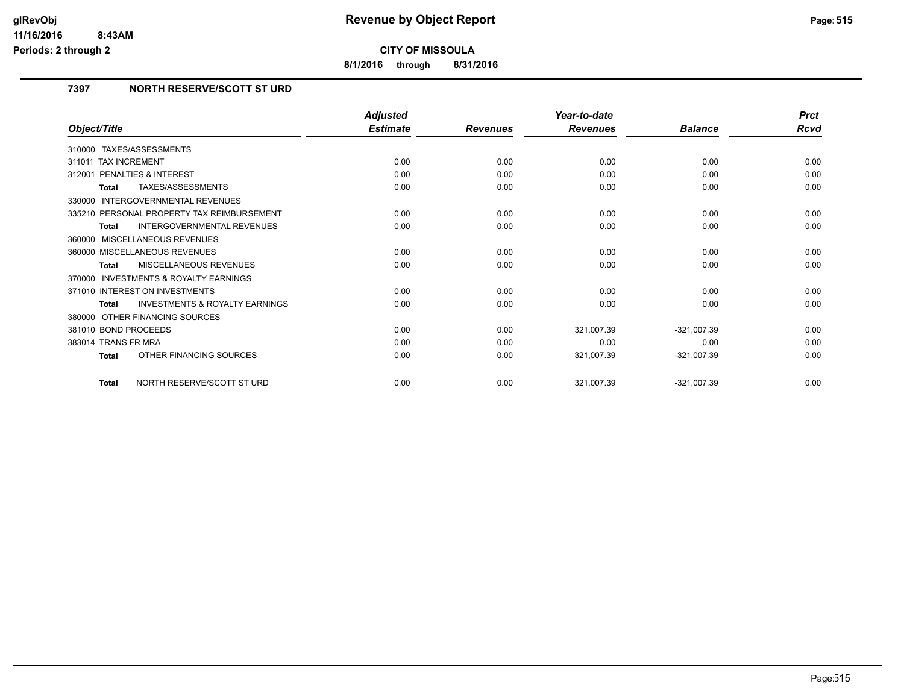**8/1/2016 through 8/31/2016**

### **7397 NORTH RESERVE/SCOTT ST URD**

|                                                           | <b>Adjusted</b> |                 | Year-to-date    |                | <b>Prct</b> |
|-----------------------------------------------------------|-----------------|-----------------|-----------------|----------------|-------------|
| Object/Title                                              | <b>Estimate</b> | <b>Revenues</b> | <b>Revenues</b> | <b>Balance</b> | <b>Rcvd</b> |
| 310000 TAXES/ASSESSMENTS                                  |                 |                 |                 |                |             |
| 311011 TAX INCREMENT                                      | 0.00            | 0.00            | 0.00            | 0.00           | 0.00        |
| PENALTIES & INTEREST<br>312001                            | 0.00            | 0.00            | 0.00            | 0.00           | 0.00        |
| TAXES/ASSESSMENTS<br><b>Total</b>                         | 0.00            | 0.00            | 0.00            | 0.00           | 0.00        |
| <b>INTERGOVERNMENTAL REVENUES</b><br>330000               |                 |                 |                 |                |             |
| 335210 PERSONAL PROPERTY TAX REIMBURSEMENT                | 0.00            | 0.00            | 0.00            | 0.00           | 0.00        |
| INTERGOVERNMENTAL REVENUES<br><b>Total</b>                | 0.00            | 0.00            | 0.00            | 0.00           | 0.00        |
| 360000 MISCELLANEOUS REVENUES                             |                 |                 |                 |                |             |
| 360000 MISCELLANEOUS REVENUES                             | 0.00            | 0.00            | 0.00            | 0.00           | 0.00        |
| <b>MISCELLANEOUS REVENUES</b><br><b>Total</b>             | 0.00            | 0.00            | 0.00            | 0.00           | 0.00        |
| 370000 INVESTMENTS & ROYALTY EARNINGS                     |                 |                 |                 |                |             |
| 371010 INTEREST ON INVESTMENTS                            | 0.00            | 0.00            | 0.00            | 0.00           | 0.00        |
| <b>INVESTMENTS &amp; ROYALTY EARNINGS</b><br><b>Total</b> | 0.00            | 0.00            | 0.00            | 0.00           | 0.00        |
| 380000 OTHER FINANCING SOURCES                            |                 |                 |                 |                |             |
| 381010 BOND PROCEEDS                                      | 0.00            | 0.00            | 321,007.39      | $-321,007.39$  | 0.00        |
| 383014 TRANS FR MRA                                       | 0.00            | 0.00            | 0.00            | 0.00           | 0.00        |
| OTHER FINANCING SOURCES<br><b>Total</b>                   | 0.00            | 0.00            | 321,007.39      | $-321,007.39$  | 0.00        |
| NORTH RESERVE/SCOTT ST URD<br><b>Total</b>                | 0.00            | 0.00            | 321,007.39      | $-321,007.39$  | 0.00        |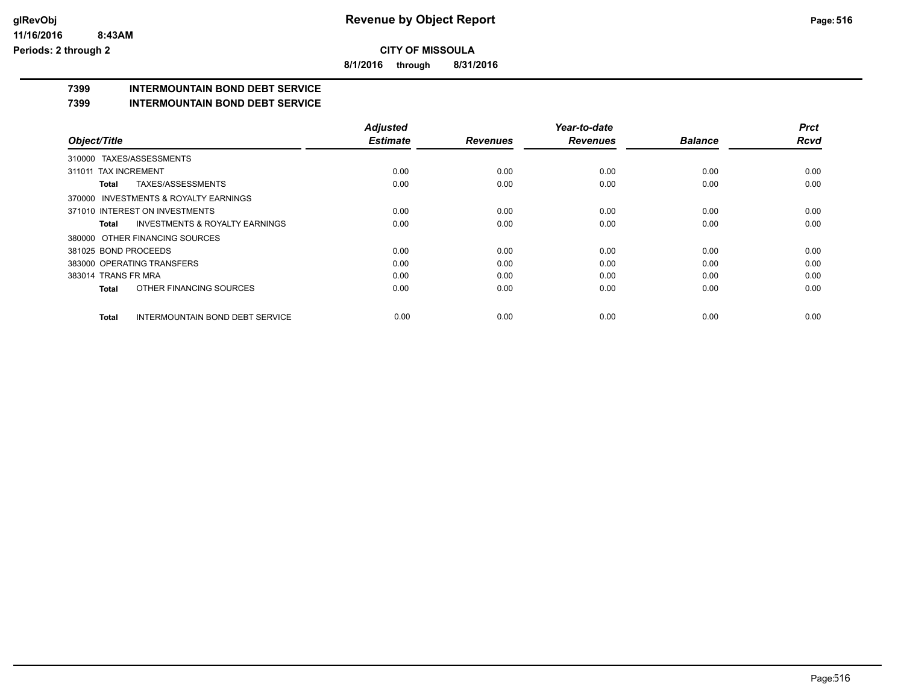**8:43AM**

**CITY OF MISSOULA**

**8/1/2016 through 8/31/2016**

# **7399 INTERMOUNTAIN BOND DEBT SERVICE**

### **7399 INTERMOUNTAIN BOND DEBT SERVICE**

|                                                    | <b>Adjusted</b> |                 | Year-to-date    |                | <b>Prct</b> |
|----------------------------------------------------|-----------------|-----------------|-----------------|----------------|-------------|
| Object/Title                                       | <b>Estimate</b> | <b>Revenues</b> | <b>Revenues</b> | <b>Balance</b> | <b>Rcvd</b> |
| 310000 TAXES/ASSESSMENTS                           |                 |                 |                 |                |             |
| <b>TAX INCREMENT</b><br>311011                     | 0.00            | 0.00            | 0.00            | 0.00           | 0.00        |
| TAXES/ASSESSMENTS<br>Total                         | 0.00            | 0.00            | 0.00            | 0.00           | 0.00        |
| 370000 INVESTMENTS & ROYALTY EARNINGS              |                 |                 |                 |                |             |
| 371010 INTEREST ON INVESTMENTS                     | 0.00            | 0.00            | 0.00            | 0.00           | 0.00        |
| <b>INVESTMENTS &amp; ROYALTY EARNINGS</b><br>Total | 0.00            | 0.00            | 0.00            | 0.00           | 0.00        |
| 380000 OTHER FINANCING SOURCES                     |                 |                 |                 |                |             |
| 381025 BOND PROCEEDS                               | 0.00            | 0.00            | 0.00            | 0.00           | 0.00        |
| 383000 OPERATING TRANSFERS                         | 0.00            | 0.00            | 0.00            | 0.00           | 0.00        |
| 383014 TRANS FR MRA                                | 0.00            | 0.00            | 0.00            | 0.00           | 0.00        |
| OTHER FINANCING SOURCES<br>Total                   | 0.00            | 0.00            | 0.00            | 0.00           | 0.00        |
| INTERMOUNTAIN BOND DEBT SERVICE<br><b>Total</b>    | 0.00            | 0.00            | 0.00            | 0.00           | 0.00        |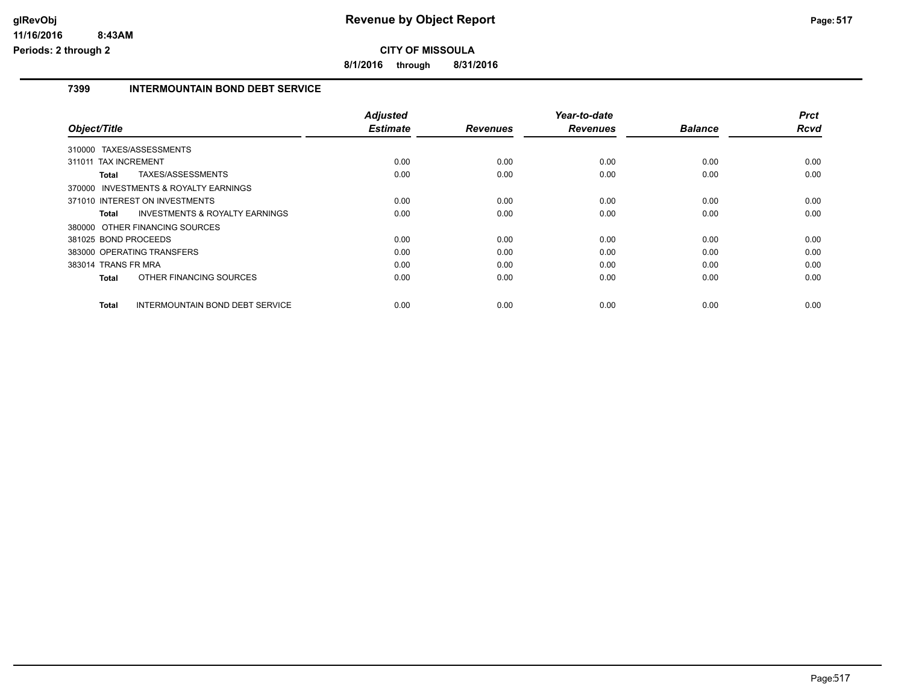**CITY OF MISSOULA**

**8/1/2016 through 8/31/2016**

### **7399 INTERMOUNTAIN BOND DEBT SERVICE**

| Object/Title                                       | <b>Adjusted</b><br><b>Estimate</b> | <b>Revenues</b> | Year-to-date<br><b>Revenues</b> | <b>Balance</b> | <b>Prct</b><br><b>Rcvd</b> |
|----------------------------------------------------|------------------------------------|-----------------|---------------------------------|----------------|----------------------------|
|                                                    |                                    |                 |                                 |                |                            |
| 310000 TAXES/ASSESSMENTS                           |                                    |                 |                                 |                |                            |
| 311011 TAX INCREMENT                               | 0.00                               | 0.00            | 0.00                            | 0.00           | 0.00                       |
| TAXES/ASSESSMENTS<br><b>Total</b>                  | 0.00                               | 0.00            | 0.00                            | 0.00           | 0.00                       |
| 370000 INVESTMENTS & ROYALTY EARNINGS              |                                    |                 |                                 |                |                            |
| 371010 INTEREST ON INVESTMENTS                     | 0.00                               | 0.00            | 0.00                            | 0.00           | 0.00                       |
| <b>INVESTMENTS &amp; ROYALTY EARNINGS</b><br>Total | 0.00                               | 0.00            | 0.00                            | 0.00           | 0.00                       |
| 380000 OTHER FINANCING SOURCES                     |                                    |                 |                                 |                |                            |
| 381025 BOND PROCEEDS                               | 0.00                               | 0.00            | 0.00                            | 0.00           | 0.00                       |
| 383000 OPERATING TRANSFERS                         | 0.00                               | 0.00            | 0.00                            | 0.00           | 0.00                       |
| 383014 TRANS FR MRA                                | 0.00                               | 0.00            | 0.00                            | 0.00           | 0.00                       |
| OTHER FINANCING SOURCES<br><b>Total</b>            | 0.00                               | 0.00            | 0.00                            | 0.00           | 0.00                       |
| INTERMOUNTAIN BOND DEBT SERVICE<br><b>Total</b>    | 0.00                               | 0.00            | 0.00                            | 0.00           | 0.00                       |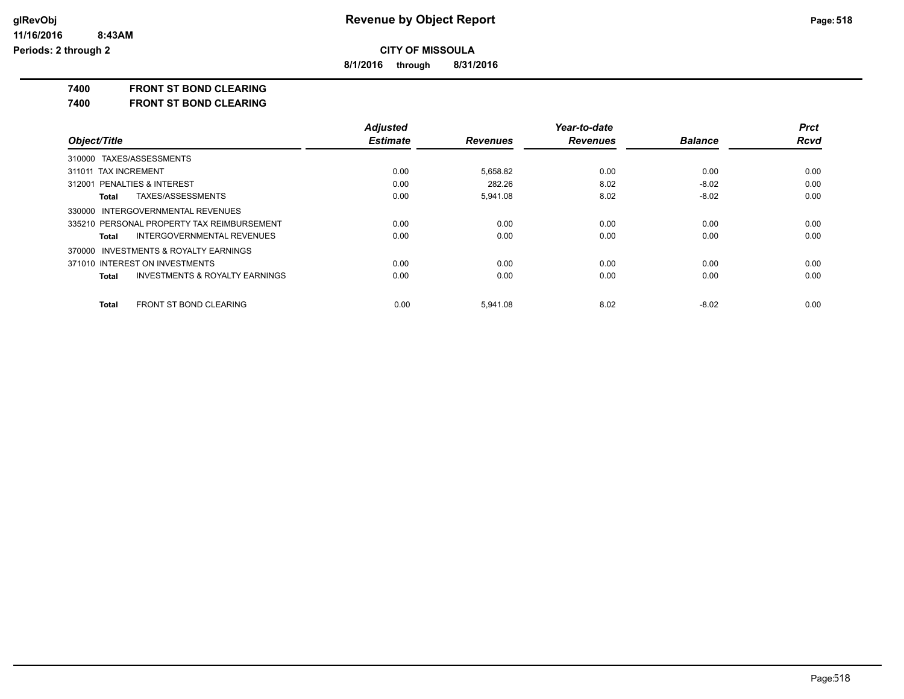**8/1/2016 through 8/31/2016**

**7400 FRONT ST BOND CLEARING**

**7400 FRONT ST BOND CLEARING**

|                                                           | <b>Adjusted</b> |                 | Year-to-date    |                | <b>Prct</b> |
|-----------------------------------------------------------|-----------------|-----------------|-----------------|----------------|-------------|
| Object/Title                                              | <b>Estimate</b> | <b>Revenues</b> | <b>Revenues</b> | <b>Balance</b> | <b>Rcvd</b> |
| 310000 TAXES/ASSESSMENTS                                  |                 |                 |                 |                |             |
| 311011 TAX INCREMENT                                      | 0.00            | 5,658.82        | 0.00            | 0.00           | 0.00        |
| <b>PENALTIES &amp; INTEREST</b><br>312001                 | 0.00            | 282.26          | 8.02            | $-8.02$        | 0.00        |
| TAXES/ASSESSMENTS<br>Total                                | 0.00            | 5,941.08        | 8.02            | $-8.02$        | 0.00        |
| 330000 INTERGOVERNMENTAL REVENUES                         |                 |                 |                 |                |             |
| 335210 PERSONAL PROPERTY TAX REIMBURSEMENT                | 0.00            | 0.00            | 0.00            | 0.00           | 0.00        |
| <b>INTERGOVERNMENTAL REVENUES</b><br>Total                | 0.00            | 0.00            | 0.00            | 0.00           | 0.00        |
| 370000 INVESTMENTS & ROYALTY EARNINGS                     |                 |                 |                 |                |             |
| 371010 INTEREST ON INVESTMENTS                            | 0.00            | 0.00            | 0.00            | 0.00           | 0.00        |
| <b>INVESTMENTS &amp; ROYALTY EARNINGS</b><br><b>Total</b> | 0.00            | 0.00            | 0.00            | 0.00           | 0.00        |
| <b>FRONT ST BOND CLEARING</b><br>Total                    | 0.00            | 5.941.08        | 8.02            | $-8.02$        | 0.00        |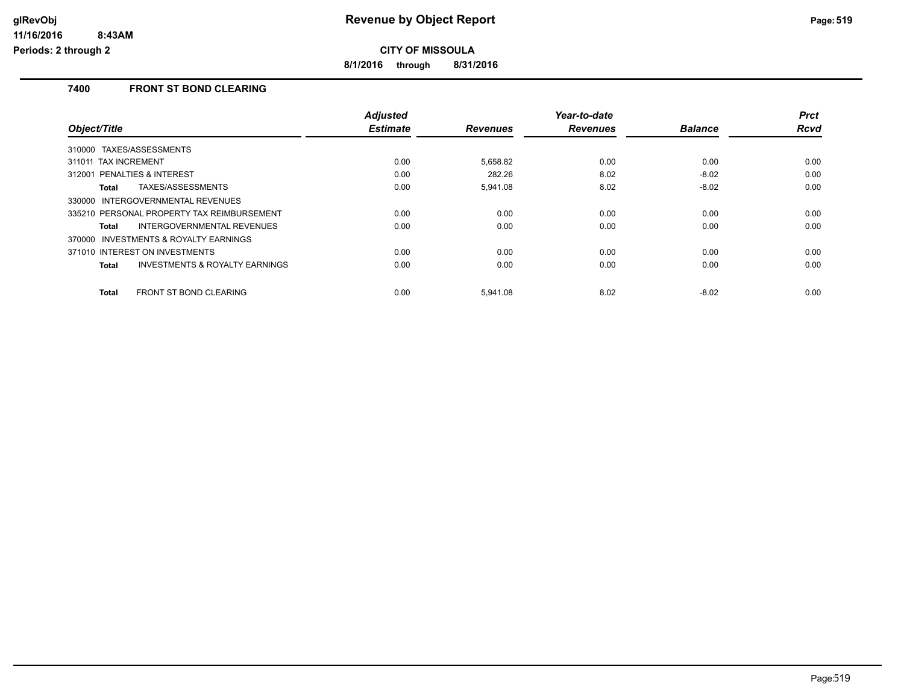**CITY OF MISSOULA**

**8/1/2016 through 8/31/2016**

### **7400 FRONT ST BOND CLEARING**

|                                                    | <b>Adjusted</b> |                 | Year-to-date    |                | <b>Prct</b> |
|----------------------------------------------------|-----------------|-----------------|-----------------|----------------|-------------|
| Object/Title                                       | <b>Estimate</b> | <b>Revenues</b> | <b>Revenues</b> | <b>Balance</b> | <b>Rcvd</b> |
| 310000 TAXES/ASSESSMENTS                           |                 |                 |                 |                |             |
| 311011 TAX INCREMENT                               | 0.00            | 5,658.82        | 0.00            | 0.00           | 0.00        |
| PENALTIES & INTEREST<br>312001                     | 0.00            | 282.26          | 8.02            | $-8.02$        | 0.00        |
| TAXES/ASSESSMENTS<br>Total                         | 0.00            | 5,941.08        | 8.02            | $-8.02$        | 0.00        |
| 330000 INTERGOVERNMENTAL REVENUES                  |                 |                 |                 |                |             |
| 335210 PERSONAL PROPERTY TAX REIMBURSEMENT         | 0.00            | 0.00            | 0.00            | 0.00           | 0.00        |
| INTERGOVERNMENTAL REVENUES<br>Total                | 0.00            | 0.00            | 0.00            | 0.00           | 0.00        |
| 370000 INVESTMENTS & ROYALTY EARNINGS              |                 |                 |                 |                |             |
| 371010 INTEREST ON INVESTMENTS                     | 0.00            | 0.00            | 0.00            | 0.00           | 0.00        |
| <b>INVESTMENTS &amp; ROYALTY EARNINGS</b><br>Total | 0.00            | 0.00            | 0.00            | 0.00           | 0.00        |
| FRONT ST BOND CLEARING<br><b>Total</b>             | 0.00            | 5.941.08        | 8.02            | $-8.02$        | 0.00        |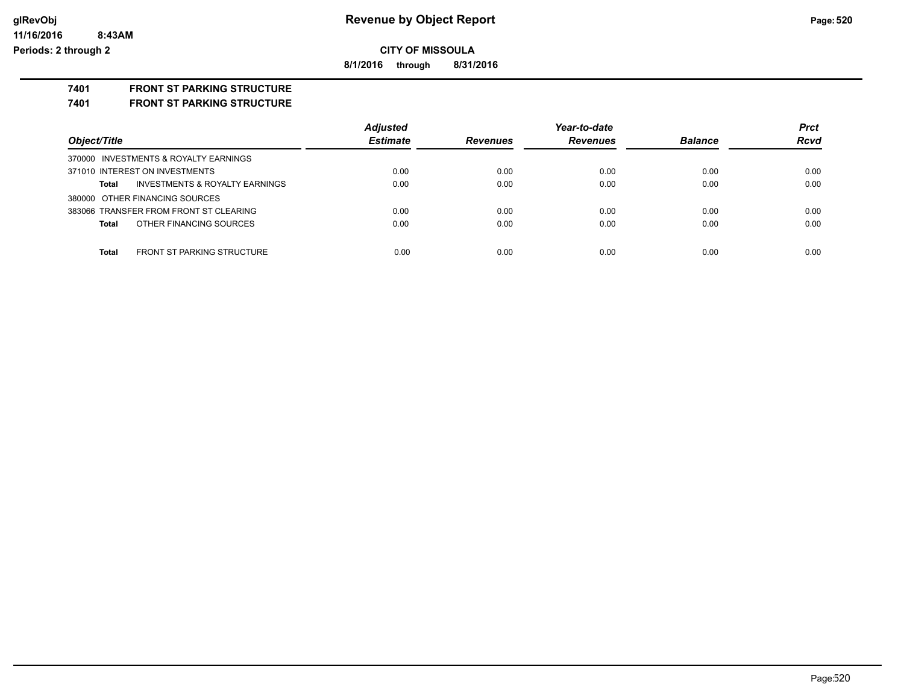**8/1/2016 through 8/31/2016**

# **7401 FRONT ST PARKING STRUCTURE**

**7401 FRONT ST PARKING STRUCTURE**

|                                                   | <b>Adiusted</b> |                 | Year-to-date    |                | <b>Prct</b> |
|---------------------------------------------------|-----------------|-----------------|-----------------|----------------|-------------|
| Object/Title                                      | <b>Estimate</b> | <b>Revenues</b> | <b>Revenues</b> | <b>Balance</b> | <b>Rcvd</b> |
| 370000 INVESTMENTS & ROYALTY EARNINGS             |                 |                 |                 |                |             |
| 371010 INTEREST ON INVESTMENTS                    | 0.00            | 0.00            | 0.00            | 0.00           | 0.00        |
| INVESTMENTS & ROYALTY EARNINGS<br><b>Total</b>    | 0.00            | 0.00            | 0.00            | 0.00           | 0.00        |
| 380000 OTHER FINANCING SOURCES                    |                 |                 |                 |                |             |
| 383066 TRANSFER FROM FRONT ST CLEARING            | 0.00            | 0.00            | 0.00            | 0.00           | 0.00        |
| OTHER FINANCING SOURCES<br><b>Total</b>           | 0.00            | 0.00            | 0.00            | 0.00           | 0.00        |
|                                                   |                 |                 |                 |                |             |
| <b>FRONT ST PARKING STRUCTURE</b><br><b>Total</b> | 0.00            | 0.00            | 0.00            | 0.00           | 0.00        |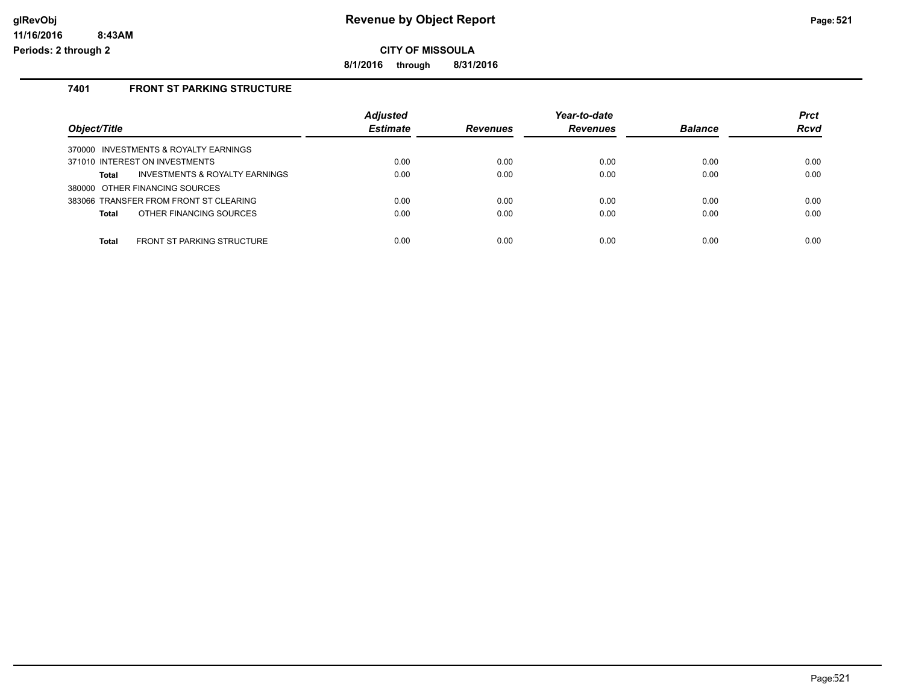**8/1/2016 through 8/31/2016**

### **7401 FRONT ST PARKING STRUCTURE**

| Object/Title                               | <b>Adjusted</b><br><b>Estimate</b> | <b>Revenues</b> | Year-to-date<br><b>Revenues</b> | <b>Balance</b> | <b>Prct</b><br><b>Rcvd</b> |
|--------------------------------------------|------------------------------------|-----------------|---------------------------------|----------------|----------------------------|
| 370000 INVESTMENTS & ROYALTY EARNINGS      |                                    |                 |                                 |                |                            |
| 371010 INTEREST ON INVESTMENTS             | 0.00                               | 0.00            | 0.00                            | 0.00           | 0.00                       |
| INVESTMENTS & ROYALTY EARNINGS<br>Total    | 0.00                               | 0.00            | 0.00                            | 0.00           | 0.00                       |
| 380000 OTHER FINANCING SOURCES             |                                    |                 |                                 |                |                            |
| 383066 TRANSFER FROM FRONT ST CLEARING     | 0.00                               | 0.00            | 0.00                            | 0.00           | 0.00                       |
| OTHER FINANCING SOURCES<br><b>Total</b>    | 0.00                               | 0.00            | 0.00                            | 0.00           | 0.00                       |
|                                            |                                    |                 |                                 |                |                            |
| <b>FRONT ST PARKING STRUCTURE</b><br>Total | 0.00                               | 0.00            | 0.00                            | 0.00           | 0.00                       |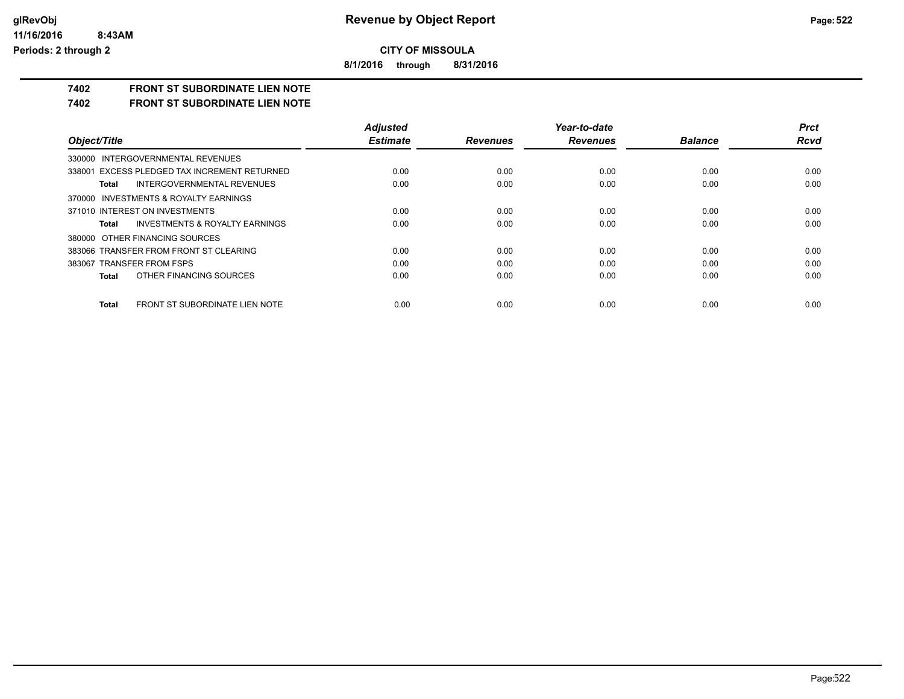**8/1/2016 through 8/31/2016**

# **7402 FRONT ST SUBORDINATE LIEN NOTE**

**7402 FRONT ST SUBORDINATE LIEN NOTE**

|                                                    | <b>Adjusted</b> |                 | Year-to-date    |                | <b>Prct</b> |
|----------------------------------------------------|-----------------|-----------------|-----------------|----------------|-------------|
| Object/Title                                       | <b>Estimate</b> | <b>Revenues</b> | <b>Revenues</b> | <b>Balance</b> | <b>Rcvd</b> |
| 330000 INTERGOVERNMENTAL REVENUES                  |                 |                 |                 |                |             |
| 338001 EXCESS PLEDGED TAX INCREMENT RETURNED       | 0.00            | 0.00            | 0.00            | 0.00           | 0.00        |
| INTERGOVERNMENTAL REVENUES<br>Total                | 0.00            | 0.00            | 0.00            | 0.00           | 0.00        |
| 370000 INVESTMENTS & ROYALTY EARNINGS              |                 |                 |                 |                |             |
| 371010 INTEREST ON INVESTMENTS                     | 0.00            | 0.00            | 0.00            | 0.00           | 0.00        |
| <b>INVESTMENTS &amp; ROYALTY EARNINGS</b><br>Total | 0.00            | 0.00            | 0.00            | 0.00           | 0.00        |
| 380000 OTHER FINANCING SOURCES                     |                 |                 |                 |                |             |
| 383066 TRANSFER FROM FRONT ST CLEARING             | 0.00            | 0.00            | 0.00            | 0.00           | 0.00        |
| 383067 TRANSFER FROM FSPS                          | 0.00            | 0.00            | 0.00            | 0.00           | 0.00        |
| OTHER FINANCING SOURCES<br>Total                   | 0.00            | 0.00            | 0.00            | 0.00           | 0.00        |
| FRONT ST SUBORDINATE LIEN NOTE<br>Total            | 0.00            | 0.00            | 0.00            | 0.00           | 0.00        |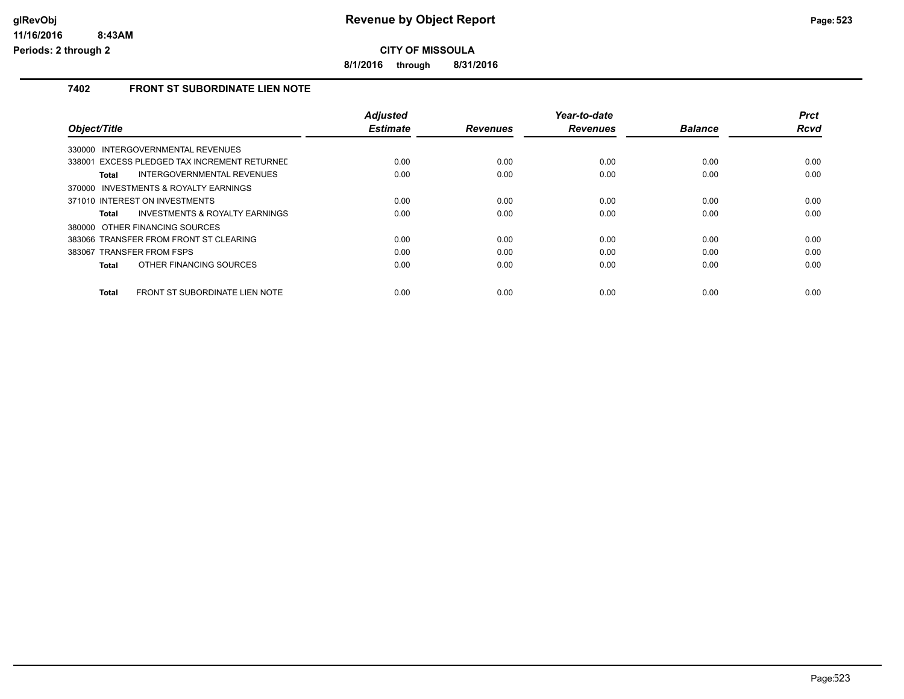**8/1/2016 through 8/31/2016**

### **7402 FRONT ST SUBORDINATE LIEN NOTE**

|                                                    | <b>Adiusted</b> |                 | Year-to-date    |                | <b>Prct</b> |
|----------------------------------------------------|-----------------|-----------------|-----------------|----------------|-------------|
| Object/Title                                       | <b>Estimate</b> | <b>Revenues</b> | <b>Revenues</b> | <b>Balance</b> | <b>Rcvd</b> |
| INTERGOVERNMENTAL REVENUES<br>330000               |                 |                 |                 |                |             |
| 338001 EXCESS PLEDGED TAX INCREMENT RETURNED       | 0.00            | 0.00            | 0.00            | 0.00           | 0.00        |
| INTERGOVERNMENTAL REVENUES<br>Total                | 0.00            | 0.00            | 0.00            | 0.00           | 0.00        |
| 370000 INVESTMENTS & ROYALTY EARNINGS              |                 |                 |                 |                |             |
| 371010 INTEREST ON INVESTMENTS                     | 0.00            | 0.00            | 0.00            | 0.00           | 0.00        |
| <b>INVESTMENTS &amp; ROYALTY EARNINGS</b><br>Total | 0.00            | 0.00            | 0.00            | 0.00           | 0.00        |
| 380000 OTHER FINANCING SOURCES                     |                 |                 |                 |                |             |
| 383066 TRANSFER FROM FRONT ST CLEARING             | 0.00            | 0.00            | 0.00            | 0.00           | 0.00        |
| 383067 TRANSFER FROM FSPS                          | 0.00            | 0.00            | 0.00            | 0.00           | 0.00        |
| OTHER FINANCING SOURCES<br>Total                   | 0.00            | 0.00            | 0.00            | 0.00           | 0.00        |
|                                                    |                 |                 |                 |                |             |
| FRONT ST SUBORDINATE LIEN NOTE<br><b>Total</b>     | 0.00            | 0.00            | 0.00            | 0.00           | 0.00        |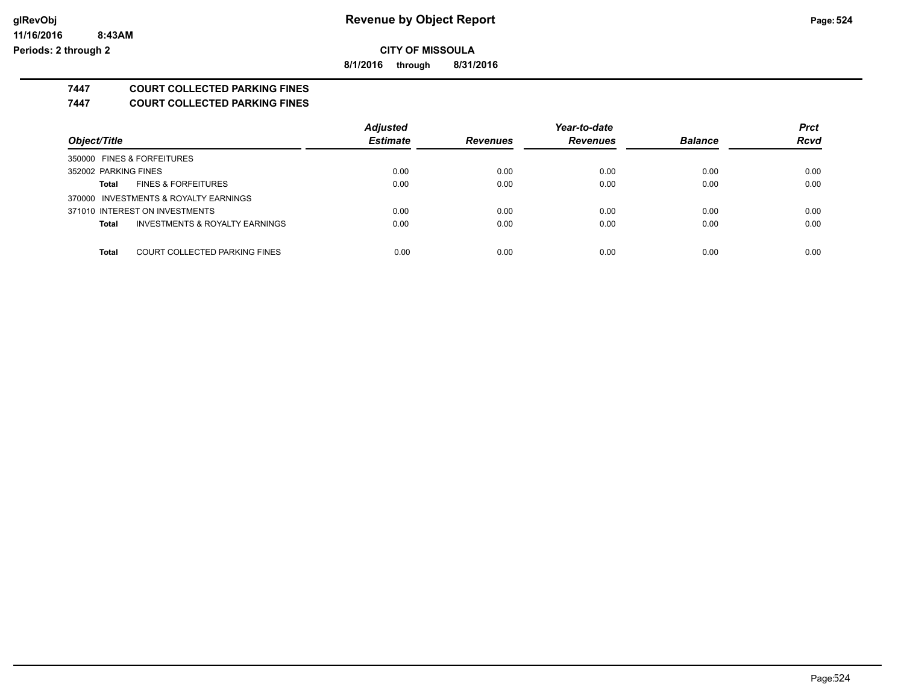**8/1/2016 through 8/31/2016**

# **7447 COURT COLLECTED PARKING FINES**

**7447 COURT COLLECTED PARKING FINES**

|                                                    | <b>Adjusted</b> |                 | Year-to-date    |                | <b>Prct</b> |
|----------------------------------------------------|-----------------|-----------------|-----------------|----------------|-------------|
| Object/Title                                       | <b>Estimate</b> | <b>Revenues</b> | <b>Revenues</b> | <b>Balance</b> | <b>Rcvd</b> |
| 350000 FINES & FORFEITURES                         |                 |                 |                 |                |             |
| 352002 PARKING FINES                               | 0.00            | 0.00            | 0.00            | 0.00           | 0.00        |
| <b>FINES &amp; FORFEITURES</b><br>Total            | 0.00            | 0.00            | 0.00            | 0.00           | 0.00        |
| 370000 INVESTMENTS & ROYALTY EARNINGS              |                 |                 |                 |                |             |
| 371010 INTEREST ON INVESTMENTS                     | 0.00            | 0.00            | 0.00            | 0.00           | 0.00        |
| <b>INVESTMENTS &amp; ROYALTY EARNINGS</b><br>Total | 0.00            | 0.00            | 0.00            | 0.00           | 0.00        |
|                                                    |                 |                 |                 |                |             |
| <b>COURT COLLECTED PARKING FINES</b><br>Total      | 0.00            | 0.00            | 0.00            | 0.00           | 0.00        |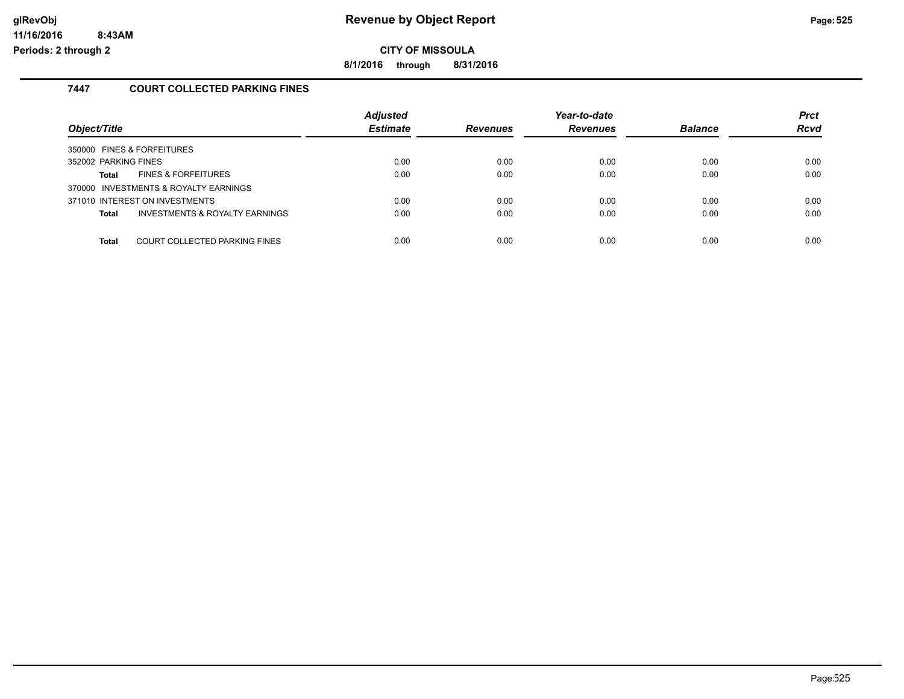**8/1/2016 through 8/31/2016**

### **7447 COURT COLLECTED PARKING FINES**

| Object/Title                                         | <b>Adjusted</b><br><b>Estimate</b> | <b>Revenues</b> | Year-to-date<br><b>Revenues</b> | <b>Balance</b> | <b>Prct</b><br><b>Rcvd</b> |
|------------------------------------------------------|------------------------------------|-----------------|---------------------------------|----------------|----------------------------|
| 350000 FINES & FORFEITURES                           |                                    |                 |                                 |                |                            |
| 352002 PARKING FINES                                 | 0.00                               | 0.00            | 0.00                            | 0.00           | 0.00                       |
| <b>FINES &amp; FORFEITURES</b><br>Total              | 0.00                               | 0.00            | 0.00                            | 0.00           | 0.00                       |
| 370000 INVESTMENTS & ROYALTY EARNINGS                |                                    |                 |                                 |                |                            |
| 371010 INTEREST ON INVESTMENTS                       | 0.00                               | 0.00            | 0.00                            | 0.00           | 0.00                       |
| INVESTMENTS & ROYALTY EARNINGS<br><b>Total</b>       | 0.00                               | 0.00            | 0.00                            | 0.00           | 0.00                       |
|                                                      |                                    |                 |                                 |                |                            |
| <b>COURT COLLECTED PARKING FINES</b><br><b>Total</b> | 0.00                               | 0.00            | 0.00                            | 0.00           | 0.00                       |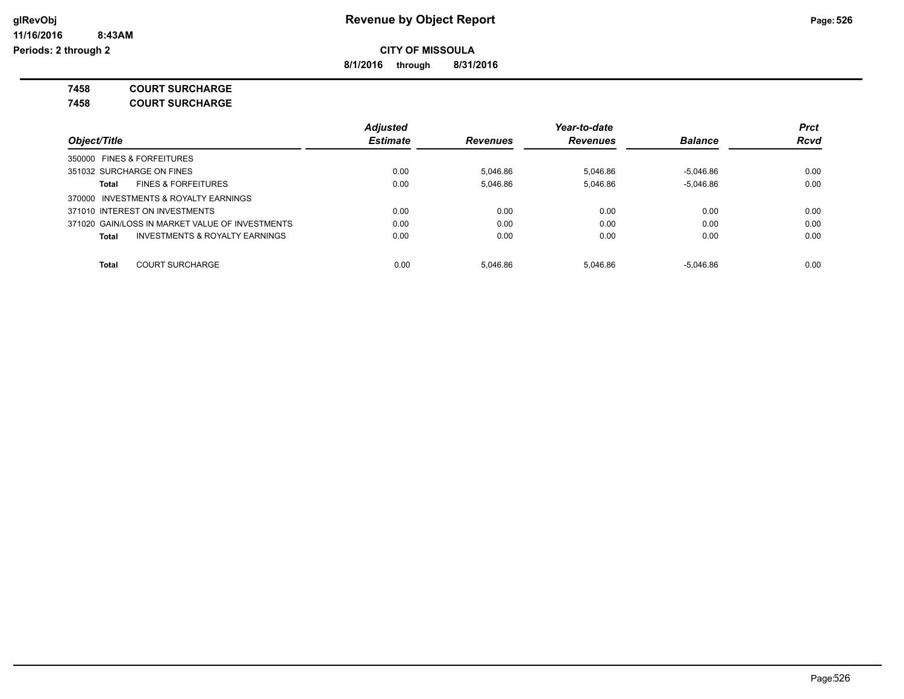**8/1/2016 through 8/31/2016**

**7458 COURT SURCHARGE**

**7458 COURT SURCHARGE**

|                                                 | <b>Adjusted</b> |                 | Year-to-date    |                | <b>Prct</b> |
|-------------------------------------------------|-----------------|-----------------|-----------------|----------------|-------------|
| Object/Title                                    | <b>Estimate</b> | <b>Revenues</b> | <b>Revenues</b> | <b>Balance</b> | Rcvd        |
| 350000 FINES & FORFEITURES                      |                 |                 |                 |                |             |
| 351032 SURCHARGE ON FINES                       | 0.00            | 5.046.86        | 5.046.86        | -5.046.86      | 0.00        |
| <b>FINES &amp; FORFEITURES</b><br>Total         | 0.00            | 5.046.86        | 5.046.86        | $-5.046.86$    | 0.00        |
| 370000 INVESTMENTS & ROYALTY EARNINGS           |                 |                 |                 |                |             |
| 371010 INTEREST ON INVESTMENTS                  | 0.00            | 0.00            | 0.00            | 0.00           | 0.00        |
| 371020 GAIN/LOSS IN MARKET VALUE OF INVESTMENTS | 0.00            | 0.00            | 0.00            | 0.00           | 0.00        |
| INVESTMENTS & ROYALTY EARNINGS<br><b>Total</b>  | 0.00            | 0.00            | 0.00            | 0.00           | 0.00        |
| <b>COURT SURCHARGE</b><br><b>Total</b>          | 0.00            | 5.046.86        | 5.046.86        | -5.046.86      | 0.00        |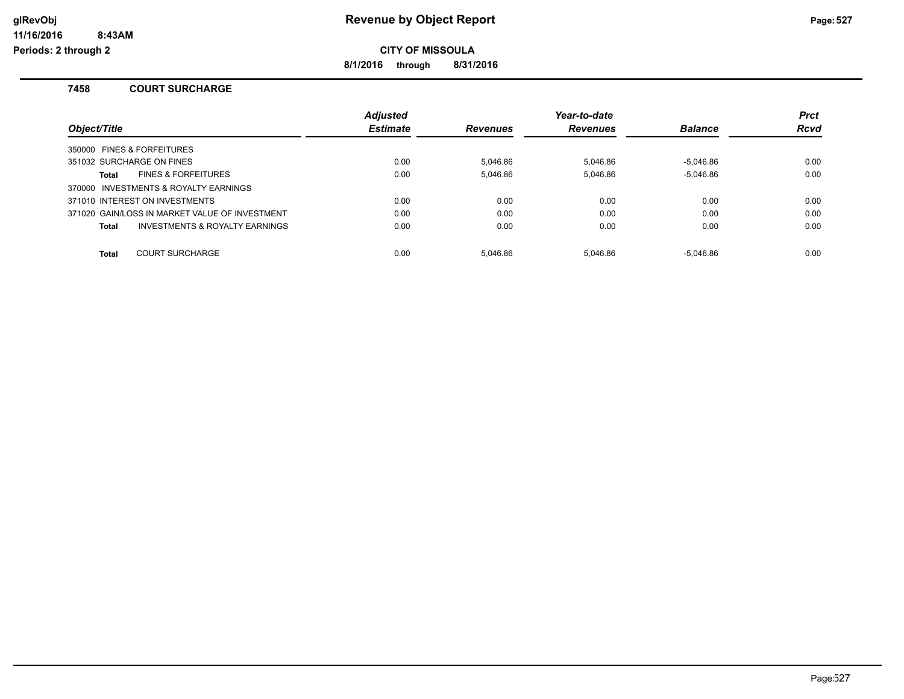**CITY OF MISSOULA**

**8/1/2016 through 8/31/2016**

### **7458 COURT SURCHARGE**

 **8:43AM**

|                                                | <b>Adjusted</b> |                 | Year-to-date    |                | <b>Prct</b> |
|------------------------------------------------|-----------------|-----------------|-----------------|----------------|-------------|
| Object/Title                                   | <b>Estimate</b> | <b>Revenues</b> | <b>Revenues</b> | <b>Balance</b> | <b>Rcvd</b> |
| 350000 FINES & FORFEITURES                     |                 |                 |                 |                |             |
| 351032 SURCHARGE ON FINES                      | 0.00            | 5.046.86        | 5.046.86        | $-5.046.86$    | 0.00        |
| <b>FINES &amp; FORFEITURES</b><br>Total        | 0.00            | 5.046.86        | 5,046.86        | $-5,046.86$    | 0.00        |
| 370000 INVESTMENTS & ROYALTY EARNINGS          |                 |                 |                 |                |             |
| 371010 INTEREST ON INVESTMENTS                 | 0.00            | 0.00            | 0.00            | 0.00           | 0.00        |
| 371020 GAIN/LOSS IN MARKET VALUE OF INVESTMENT | 0.00            | 0.00            | 0.00            | 0.00           | 0.00        |
| INVESTMENTS & ROYALTY EARNINGS<br>Total        | 0.00            | 0.00            | 0.00            | 0.00           | 0.00        |
|                                                |                 |                 |                 |                |             |
| <b>Total</b><br><b>COURT SURCHARGE</b>         | 0.00            | 5.046.86        | 5.046.86        | $-5.046.86$    | 0.00        |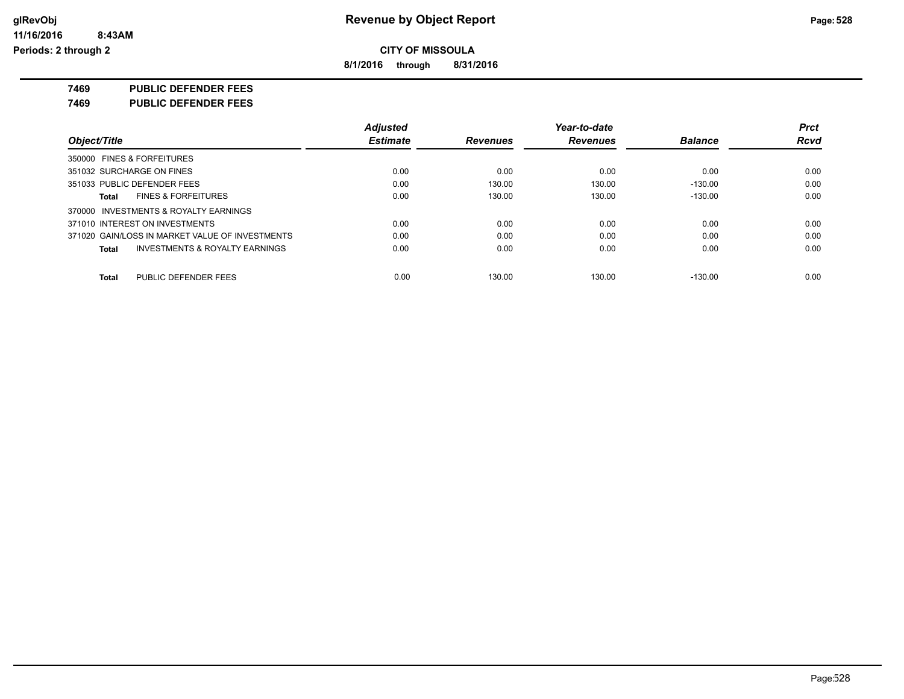**8/1/2016 through 8/31/2016**

**7469 PUBLIC DEFENDER FEES**

**7469 PUBLIC DEFENDER FEES**

|                                                    | <b>Adjusted</b> |                 | Year-to-date    |                | <b>Prct</b> |
|----------------------------------------------------|-----------------|-----------------|-----------------|----------------|-------------|
| Object/Title                                       | <b>Estimate</b> | <b>Revenues</b> | <b>Revenues</b> | <b>Balance</b> | <b>Rcvd</b> |
| 350000 FINES & FORFEITURES                         |                 |                 |                 |                |             |
| 351032 SURCHARGE ON FINES                          | 0.00            | 0.00            | 0.00            | 0.00           | 0.00        |
| 351033 PUBLIC DEFENDER FEES                        | 0.00            | 130.00          | 130.00          | $-130.00$      | 0.00        |
| <b>FINES &amp; FORFEITURES</b><br>Total            | 0.00            | 130.00          | 130.00          | $-130.00$      | 0.00        |
| 370000 INVESTMENTS & ROYALTY EARNINGS              |                 |                 |                 |                |             |
| 371010 INTEREST ON INVESTMENTS                     | 0.00            | 0.00            | 0.00            | 0.00           | 0.00        |
| 371020 GAIN/LOSS IN MARKET VALUE OF INVESTMENTS    | 0.00            | 0.00            | 0.00            | 0.00           | 0.00        |
| <b>INVESTMENTS &amp; ROYALTY EARNINGS</b><br>Total | 0.00            | 0.00            | 0.00            | 0.00           | 0.00        |
| PUBLIC DEFENDER FEES<br>Total                      | 0.00            | 130.00          | 130.00          | $-130.00$      | 0.00        |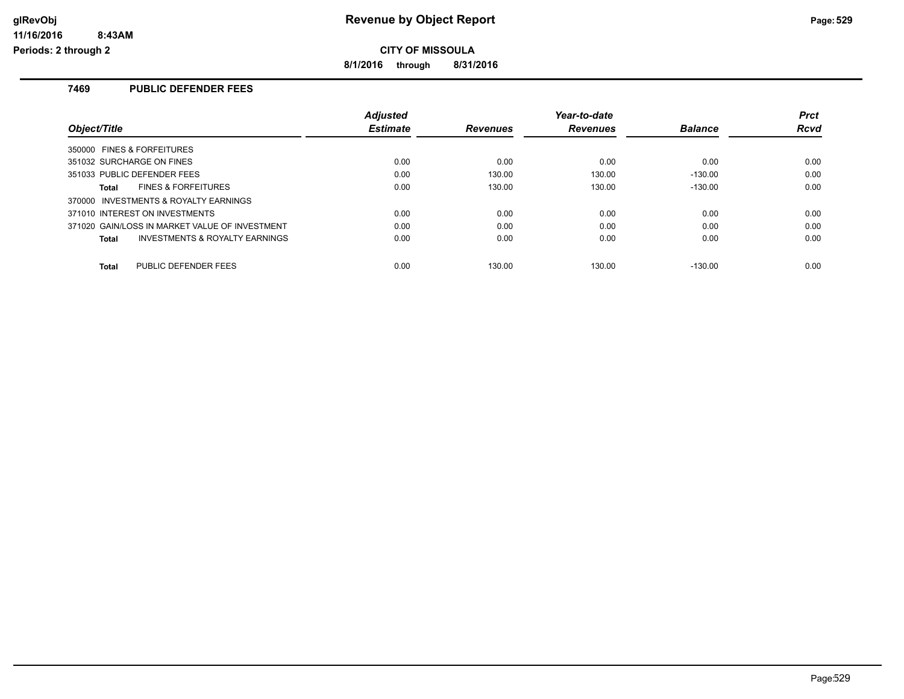**CITY OF MISSOULA**

**8/1/2016 through 8/31/2016**

### **7469 PUBLIC DEFENDER FEES**

|                                                | <b>Adjusted</b> |                 | Year-to-date    |                | <b>Prct</b> |
|------------------------------------------------|-----------------|-----------------|-----------------|----------------|-------------|
| Object/Title                                   | <b>Estimate</b> | <b>Revenues</b> | <b>Revenues</b> | <b>Balance</b> | Rcvd        |
| 350000 FINES & FORFEITURES                     |                 |                 |                 |                |             |
| 351032 SURCHARGE ON FINES                      | 0.00            | 0.00            | 0.00            | 0.00           | 0.00        |
| 351033 PUBLIC DEFENDER FEES                    | 0.00            | 130.00          | 130.00          | $-130.00$      | 0.00        |
| <b>FINES &amp; FORFEITURES</b><br>Total        | 0.00            | 130.00          | 130.00          | $-130.00$      | 0.00        |
| 370000 INVESTMENTS & ROYALTY EARNINGS          |                 |                 |                 |                |             |
| 371010 INTEREST ON INVESTMENTS                 | 0.00            | 0.00            | 0.00            | 0.00           | 0.00        |
| 371020 GAIN/LOSS IN MARKET VALUE OF INVESTMENT | 0.00            | 0.00            | 0.00            | 0.00           | 0.00        |
| INVESTMENTS & ROYALTY EARNINGS<br>Total        | 0.00            | 0.00            | 0.00            | 0.00           | 0.00        |
| PUBLIC DEFENDER FEES<br><b>Total</b>           | 0.00            | 130.00          | 130.00          | $-130.00$      | 0.00        |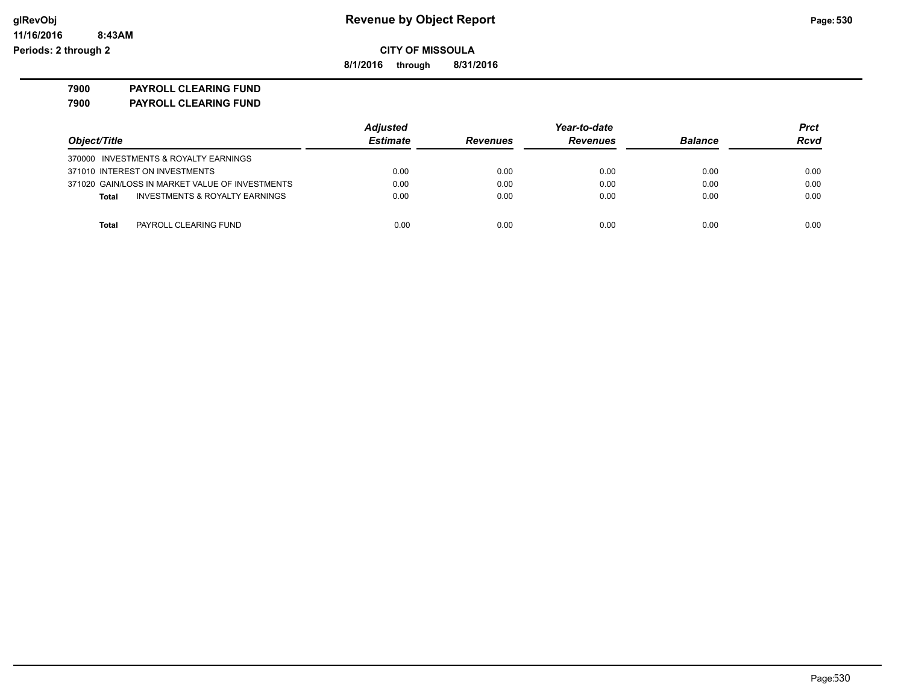**8/1/2016 through 8/31/2016**

**7900 PAYROLL CLEARING FUND**

**7900 PAYROLL CLEARING FUND**

|                                                           | <b>Adjusted</b> |                 | Year-to-date    |                | Prct |
|-----------------------------------------------------------|-----------------|-----------------|-----------------|----------------|------|
| Object/Title                                              | <b>Estimate</b> | <b>Revenues</b> | <b>Revenues</b> | <b>Balance</b> | Rcvd |
| 370000 INVESTMENTS & ROYALTY EARNINGS                     |                 |                 |                 |                |      |
| 371010 INTEREST ON INVESTMENTS                            | 0.00            | 0.00            | 0.00            | 0.00           | 0.00 |
| 371020 GAIN/LOSS IN MARKET VALUE OF INVESTMENTS           | 0.00            | 0.00            | 0.00            | 0.00           | 0.00 |
| <b>INVESTMENTS &amp; ROYALTY EARNINGS</b><br><b>Total</b> | 0.00            | 0.00            | 0.00            | 0.00           | 0.00 |
|                                                           |                 |                 |                 |                |      |
| <b>Total</b><br>PAYROLL CLEARING FUND                     | 0.00            | 0.00            | 0.00            | 0.00           | 0.00 |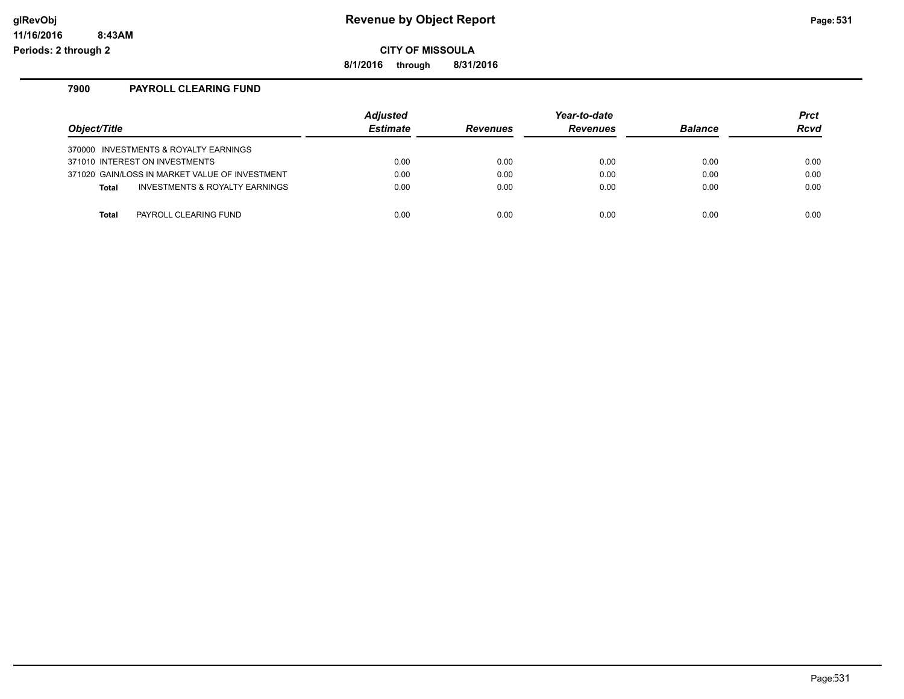**CITY OF MISSOULA**

**8/1/2016 through 8/31/2016**

### **7900 PAYROLL CLEARING FUND**

 **8:43AM**

| Object/Title |                                                | <b>Adjusted</b><br><b>Estimate</b> | <b>Revenues</b> | Year-to-date<br><b>Revenues</b> | <b>Balance</b> | <b>Prct</b><br><b>Rcvd</b> |
|--------------|------------------------------------------------|------------------------------------|-----------------|---------------------------------|----------------|----------------------------|
|              | 370000 INVESTMENTS & ROYALTY EARNINGS          |                                    |                 |                                 |                |                            |
|              | 371010 INTEREST ON INVESTMENTS                 | 0.00                               | 0.00            | 0.00                            | 0.00           | 0.00                       |
|              | 371020 GAIN/LOSS IN MARKET VALUE OF INVESTMENT | 0.00                               | 0.00            | 0.00                            | 0.00           | 0.00                       |
| <b>Total</b> | INVESTMENTS & ROYALTY EARNINGS                 | 0.00                               | 0.00            | 0.00                            | 0.00           | 0.00                       |
|              |                                                |                                    |                 |                                 |                |                            |
| Total        | PAYROLL CLEARING FUND                          | 0.00                               | 0.00            | 0.00                            | 0.00           | 0.00                       |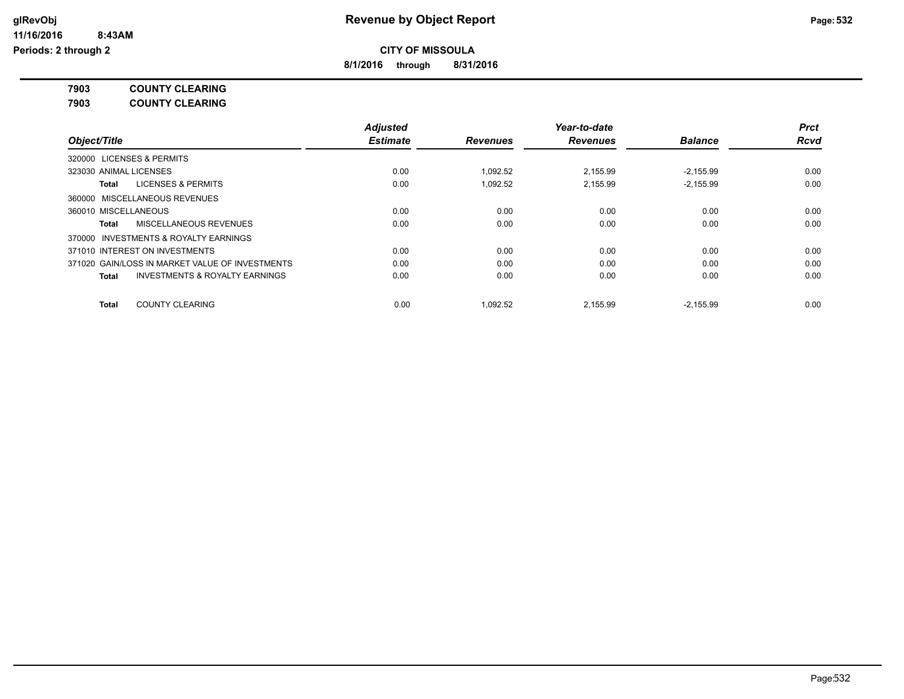**8/1/2016 through 8/31/2016**

**7903 COUNTY CLEARING**

**7903 COUNTY CLEARING**

|                                                           | <b>Adjusted</b> |                 | Year-to-date    |                | <b>Prct</b> |
|-----------------------------------------------------------|-----------------|-----------------|-----------------|----------------|-------------|
| Object/Title                                              | <b>Estimate</b> | <b>Revenues</b> | <b>Revenues</b> | <b>Balance</b> | <b>Rcvd</b> |
| <b>LICENSES &amp; PERMITS</b><br>320000                   |                 |                 |                 |                |             |
| 323030 ANIMAL LICENSES                                    | 0.00            | 1.092.52        | 2.155.99        | $-2,155.99$    | 0.00        |
| LICENSES & PERMITS<br>Total                               | 0.00            | 1,092.52        | 2,155.99        | $-2,155.99$    | 0.00        |
| 360000 MISCELLANEOUS REVENUES                             |                 |                 |                 |                |             |
| 360010 MISCELLANEOUS                                      | 0.00            | 0.00            | 0.00            | 0.00           | 0.00        |
| MISCELLANEOUS REVENUES<br>Total                           | 0.00            | 0.00            | 0.00            | 0.00           | 0.00        |
| 370000 INVESTMENTS & ROYALTY EARNINGS                     |                 |                 |                 |                |             |
| 371010 INTEREST ON INVESTMENTS                            | 0.00            | 0.00            | 0.00            | 0.00           | 0.00        |
| 371020 GAIN/LOSS IN MARKET VALUE OF INVESTMENTS           | 0.00            | 0.00            | 0.00            | 0.00           | 0.00        |
| <b>INVESTMENTS &amp; ROYALTY EARNINGS</b><br><b>Total</b> | 0.00            | 0.00            | 0.00            | 0.00           | 0.00        |
| <b>COUNTY CLEARING</b><br><b>Total</b>                    | 0.00            | 1.092.52        | 2.155.99        | $-2.155.99$    | 0.00        |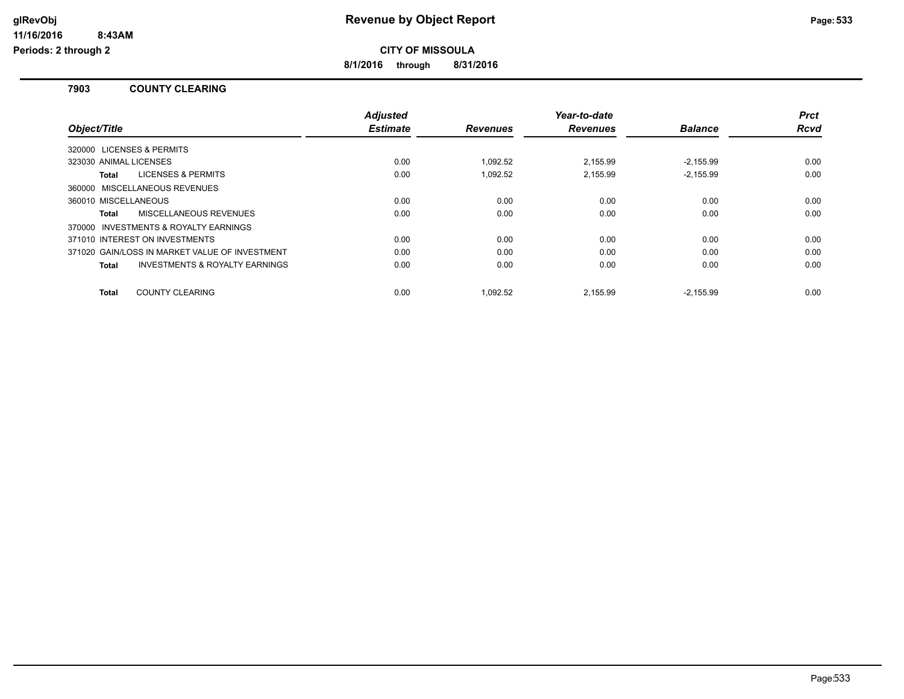**CITY OF MISSOULA**

**8/1/2016 through 8/31/2016**

### **7903 COUNTY CLEARING**

 **8:43AM**

|                                                    | <b>Adjusted</b> |                 | Year-to-date    |                | <b>Prct</b> |
|----------------------------------------------------|-----------------|-----------------|-----------------|----------------|-------------|
| Object/Title                                       | <b>Estimate</b> | <b>Revenues</b> | <b>Revenues</b> | <b>Balance</b> | <b>Rcvd</b> |
| 320000 LICENSES & PERMITS                          |                 |                 |                 |                |             |
| 323030 ANIMAL LICENSES                             | 0.00            | 1,092.52        | 2,155.99        | $-2,155.99$    | 0.00        |
| LICENSES & PERMITS<br>Total                        | 0.00            | 1.092.52        | 2,155.99        | $-2,155.99$    | 0.00        |
| 360000 MISCELLANEOUS REVENUES                      |                 |                 |                 |                |             |
| 360010 MISCELLANEOUS                               | 0.00            | 0.00            | 0.00            | 0.00           | 0.00        |
| MISCELLANEOUS REVENUES<br><b>Total</b>             | 0.00            | 0.00            | 0.00            | 0.00           | 0.00        |
| 370000 INVESTMENTS & ROYALTY EARNINGS              |                 |                 |                 |                |             |
| 371010 INTEREST ON INVESTMENTS                     | 0.00            | 0.00            | 0.00            | 0.00           | 0.00        |
| 371020 GAIN/LOSS IN MARKET VALUE OF INVESTMENT     | 0.00            | 0.00            | 0.00            | 0.00           | 0.00        |
| <b>INVESTMENTS &amp; ROYALTY EARNINGS</b><br>Total | 0.00            | 0.00            | 0.00            | 0.00           | 0.00        |
| <b>COUNTY CLEARING</b><br><b>Total</b>             | 0.00            | 1.092.52        | 2.155.99        | $-2.155.99$    | 0.00        |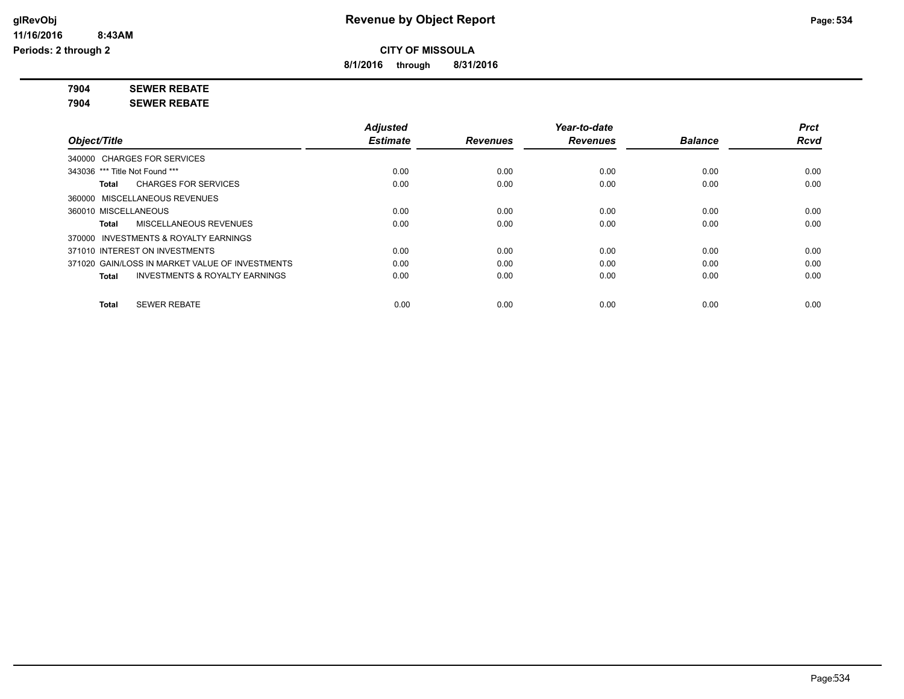**8/1/2016 through 8/31/2016**

**7904 SEWER REBATE**

**7904 SEWER REBATE**

|                                                    | <b>Adjusted</b> |                 | Year-to-date    |                | <b>Prct</b> |
|----------------------------------------------------|-----------------|-----------------|-----------------|----------------|-------------|
| Object/Title                                       | <b>Estimate</b> | <b>Revenues</b> | <b>Revenues</b> | <b>Balance</b> | <b>Rcvd</b> |
| 340000 CHARGES FOR SERVICES                        |                 |                 |                 |                |             |
| 343036 *** Title Not Found ***                     | 0.00            | 0.00            | 0.00            | 0.00           | 0.00        |
| <b>CHARGES FOR SERVICES</b><br>Total               | 0.00            | 0.00            | 0.00            | 0.00           | 0.00        |
| 360000 MISCELLANEOUS REVENUES                      |                 |                 |                 |                |             |
| 360010 MISCELLANEOUS                               | 0.00            | 0.00            | 0.00            | 0.00           | 0.00        |
| MISCELLANEOUS REVENUES<br>Total                    | 0.00            | 0.00            | 0.00            | 0.00           | 0.00        |
| 370000 INVESTMENTS & ROYALTY EARNINGS              |                 |                 |                 |                |             |
| 371010 INTEREST ON INVESTMENTS                     | 0.00            | 0.00            | 0.00            | 0.00           | 0.00        |
| 371020 GAIN/LOSS IN MARKET VALUE OF INVESTMENTS    | 0.00            | 0.00            | 0.00            | 0.00           | 0.00        |
| <b>INVESTMENTS &amp; ROYALTY EARNINGS</b><br>Total | 0.00            | 0.00            | 0.00            | 0.00           | 0.00        |
| <b>SEWER REBATE</b><br><b>Total</b>                | 0.00            | 0.00            | 0.00            | 0.00           | 0.00        |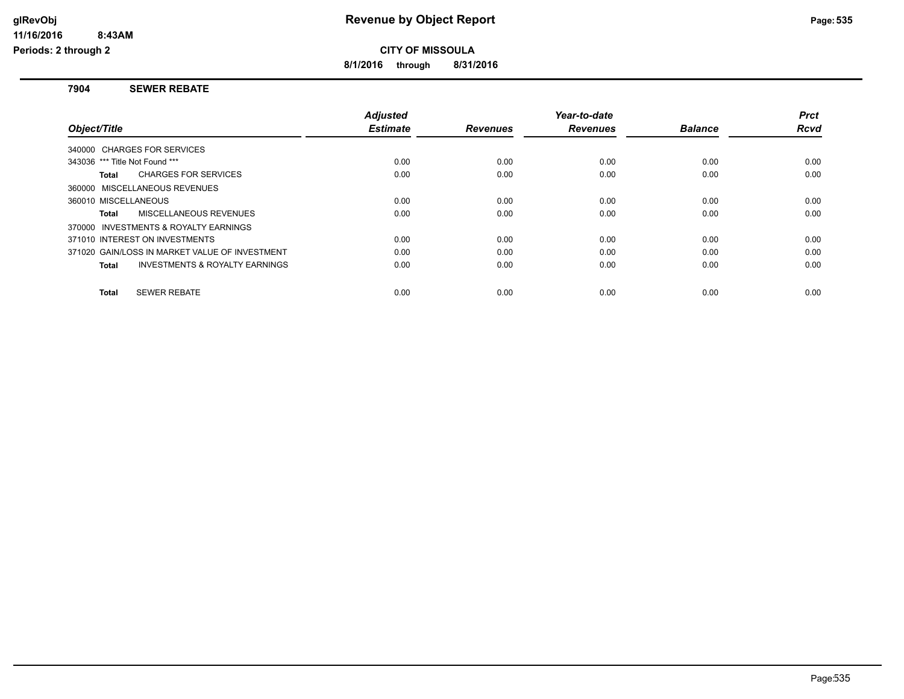#### **11/16/2016 8:43AM Periods: 2 through 2**

**CITY OF MISSOULA**

**8/1/2016 through 8/31/2016**

### **7904 SEWER REBATE**

| Object/Title                                       | <b>Adjusted</b><br><b>Estimate</b> | <b>Revenues</b> | Year-to-date<br><b>Revenues</b> | <b>Balance</b> | <b>Prct</b><br><b>Rcvd</b> |
|----------------------------------------------------|------------------------------------|-----------------|---------------------------------|----------------|----------------------------|
| 340000 CHARGES FOR SERVICES                        |                                    |                 |                                 |                |                            |
| 343036 *** Title Not Found ***                     | 0.00                               | 0.00            | 0.00                            | 0.00           | 0.00                       |
| <b>CHARGES FOR SERVICES</b><br>Total               | 0.00                               | 0.00            | 0.00                            | 0.00           | 0.00                       |
| 360000 MISCELLANEOUS REVENUES                      |                                    |                 |                                 |                |                            |
| 360010 MISCELLANEOUS                               | 0.00                               | 0.00            | 0.00                            | 0.00           | 0.00                       |
| MISCELLANEOUS REVENUES<br>Total                    | 0.00                               | 0.00            | 0.00                            | 0.00           | 0.00                       |
| 370000 INVESTMENTS & ROYALTY EARNINGS              |                                    |                 |                                 |                |                            |
| 371010 INTEREST ON INVESTMENTS                     | 0.00                               | 0.00            | 0.00                            | 0.00           | 0.00                       |
| 371020 GAIN/LOSS IN MARKET VALUE OF INVESTMENT     | 0.00                               | 0.00            | 0.00                            | 0.00           | 0.00                       |
| <b>INVESTMENTS &amp; ROYALTY EARNINGS</b><br>Total | 0.00                               | 0.00            | 0.00                            | 0.00           | 0.00                       |
|                                                    |                                    |                 |                                 |                |                            |
| <b>SEWER REBATE</b><br>Total                       | 0.00                               | 0.00            | 0.00                            | 0.00           | 0.00                       |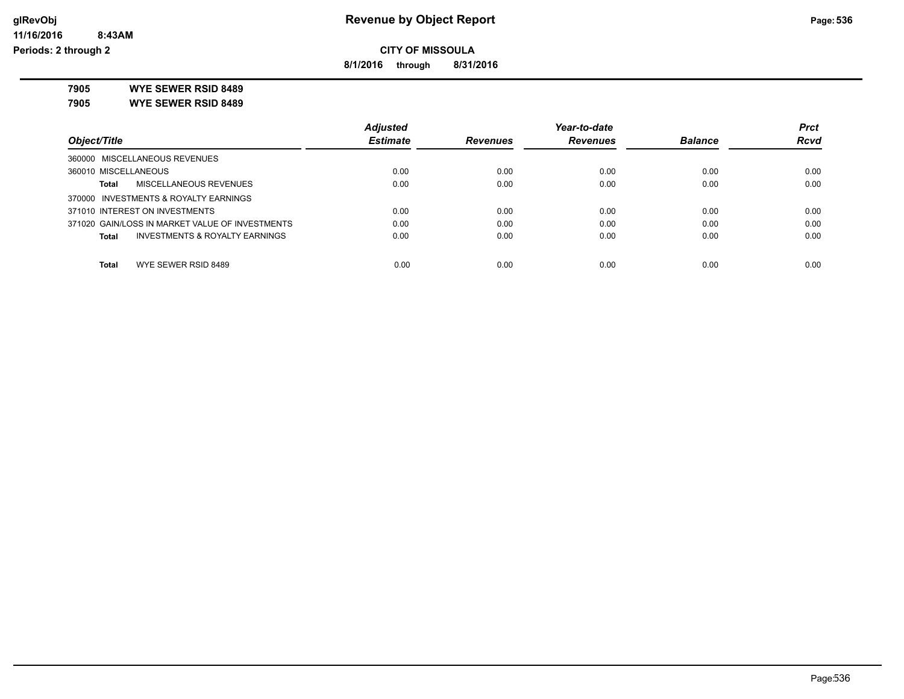**8/1/2016 through 8/31/2016**

**7905 WYE SEWER RSID 8489**

**7905 WYE SEWER RSID 8489**

|                                                 | <b>Adjusted</b> |                 | Year-to-date    |                | Prct        |
|-------------------------------------------------|-----------------|-----------------|-----------------|----------------|-------------|
| Object/Title                                    | <b>Estimate</b> | <b>Revenues</b> | <b>Revenues</b> | <b>Balance</b> | <b>Rcvd</b> |
| 360000 MISCELLANEOUS REVENUES                   |                 |                 |                 |                |             |
| 360010 MISCELLANEOUS                            | 0.00            | 0.00            | 0.00            | 0.00           | 0.00        |
| MISCELLANEOUS REVENUES<br>Total                 | 0.00            | 0.00            | 0.00            | 0.00           | 0.00        |
| 370000 INVESTMENTS & ROYALTY EARNINGS           |                 |                 |                 |                |             |
| 371010 INTEREST ON INVESTMENTS                  | 0.00            | 0.00            | 0.00            | 0.00           | 0.00        |
| 371020 GAIN/LOSS IN MARKET VALUE OF INVESTMENTS | 0.00            | 0.00            | 0.00            | 0.00           | 0.00        |
| INVESTMENTS & ROYALTY EARNINGS<br>Total         | 0.00            | 0.00            | 0.00            | 0.00           | 0.00        |
|                                                 |                 |                 |                 |                |             |
| WYE SEWER RSID 8489<br>Total                    | 0.00            | 0.00            | 0.00            | 0.00           | 0.00        |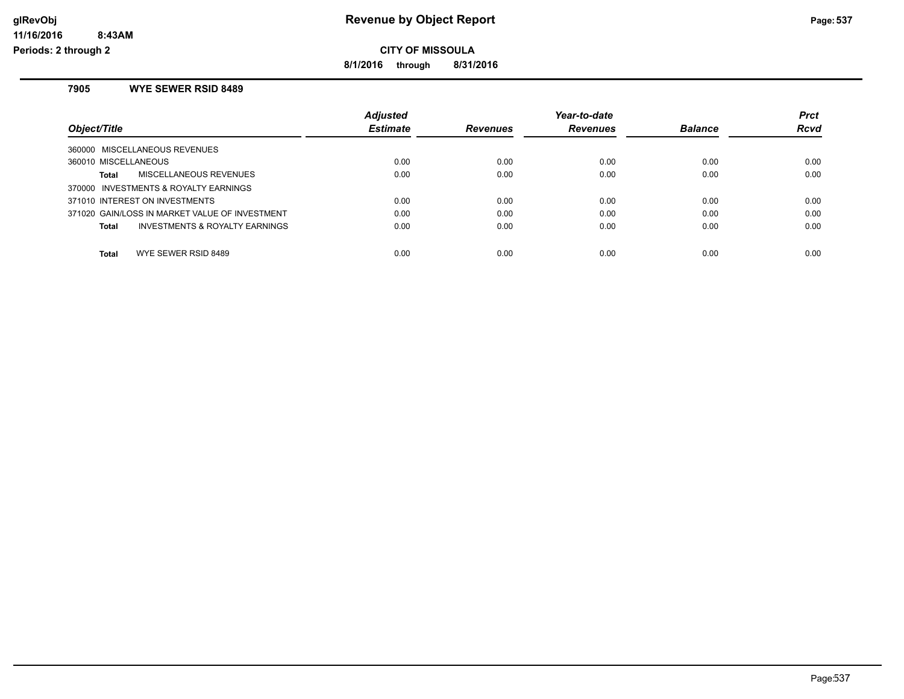**CITY OF MISSOULA**

**8/1/2016 through 8/31/2016**

### **7905 WYE SEWER RSID 8489**

 **8:43AM**

|                                                    | <b>Adjusted</b> |                 | Year-to-date    |                | <b>Prct</b> |
|----------------------------------------------------|-----------------|-----------------|-----------------|----------------|-------------|
| Object/Title                                       | <b>Estimate</b> | <b>Revenues</b> | <b>Revenues</b> | <b>Balance</b> | <b>Rcvd</b> |
| 360000 MISCELLANEOUS REVENUES                      |                 |                 |                 |                |             |
| 360010 MISCELLANEOUS                               | 0.00            | 0.00            | 0.00            | 0.00           | 0.00        |
| MISCELLANEOUS REVENUES<br>Total                    | 0.00            | 0.00            | 0.00            | 0.00           | 0.00        |
| 370000 INVESTMENTS & ROYALTY EARNINGS              |                 |                 |                 |                |             |
| 371010 INTEREST ON INVESTMENTS                     | 0.00            | 0.00            | 0.00            | 0.00           | 0.00        |
| 371020 GAIN/LOSS IN MARKET VALUE OF INVESTMENT     | 0.00            | 0.00            | 0.00            | 0.00           | 0.00        |
| <b>INVESTMENTS &amp; ROYALTY EARNINGS</b><br>Total | 0.00            | 0.00            | 0.00            | 0.00           | 0.00        |
|                                                    |                 |                 |                 |                |             |
| Total<br>WYE SEWER RSID 8489                       | 0.00            | 0.00            | 0.00            | 0.00           | 0.00        |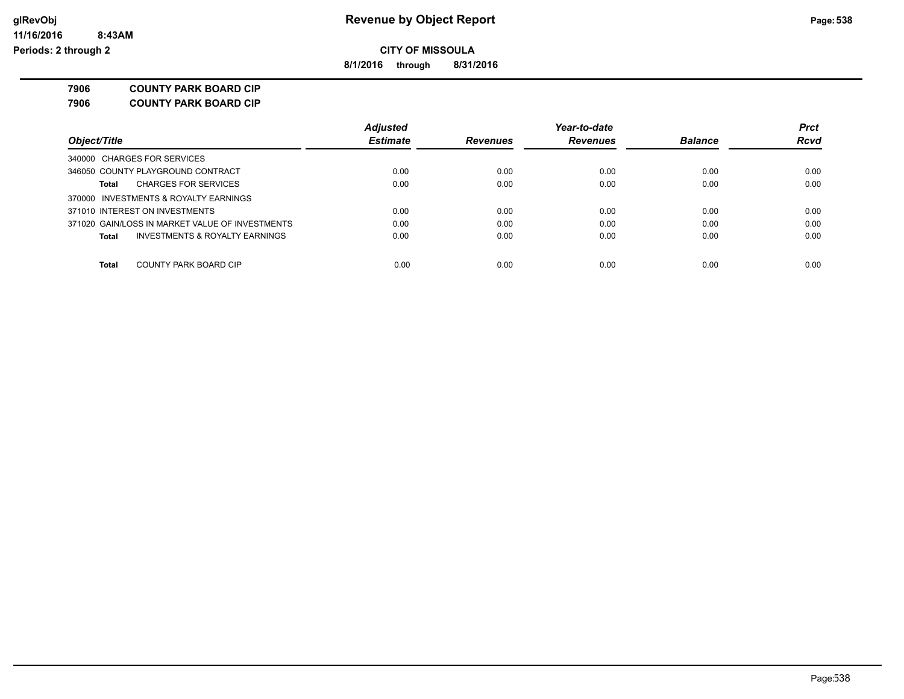**8/1/2016 through 8/31/2016**

**7906 COUNTY PARK BOARD CIP**

**7906 COUNTY PARK BOARD CIP**

|                                                 | <b>Adjusted</b> |                 | Year-to-date    |                | <b>Prct</b> |
|-------------------------------------------------|-----------------|-----------------|-----------------|----------------|-------------|
| Object/Title                                    | <b>Estimate</b> | <b>Revenues</b> | <b>Revenues</b> | <b>Balance</b> | <b>Rcvd</b> |
| 340000 CHARGES FOR SERVICES                     |                 |                 |                 |                |             |
| 346050 COUNTY PLAYGROUND CONTRACT               | 0.00            | 0.00            | 0.00            | 0.00           | 0.00        |
| <b>CHARGES FOR SERVICES</b><br>Total            | 0.00            | 0.00            | 0.00            | 0.00           | 0.00        |
| 370000 INVESTMENTS & ROYALTY EARNINGS           |                 |                 |                 |                |             |
| 371010 INTEREST ON INVESTMENTS                  | 0.00            | 0.00            | 0.00            | 0.00           | 0.00        |
| 371020 GAIN/LOSS IN MARKET VALUE OF INVESTMENTS | 0.00            | 0.00            | 0.00            | 0.00           | 0.00        |
| INVESTMENTS & ROYALTY EARNINGS<br>Total         | 0.00            | 0.00            | 0.00            | 0.00           | 0.00        |
|                                                 |                 |                 |                 |                |             |
| COUNTY PARK BOARD CIP<br>Total                  | 0.00            | 0.00            | 0.00            | 0.00           | 0.00        |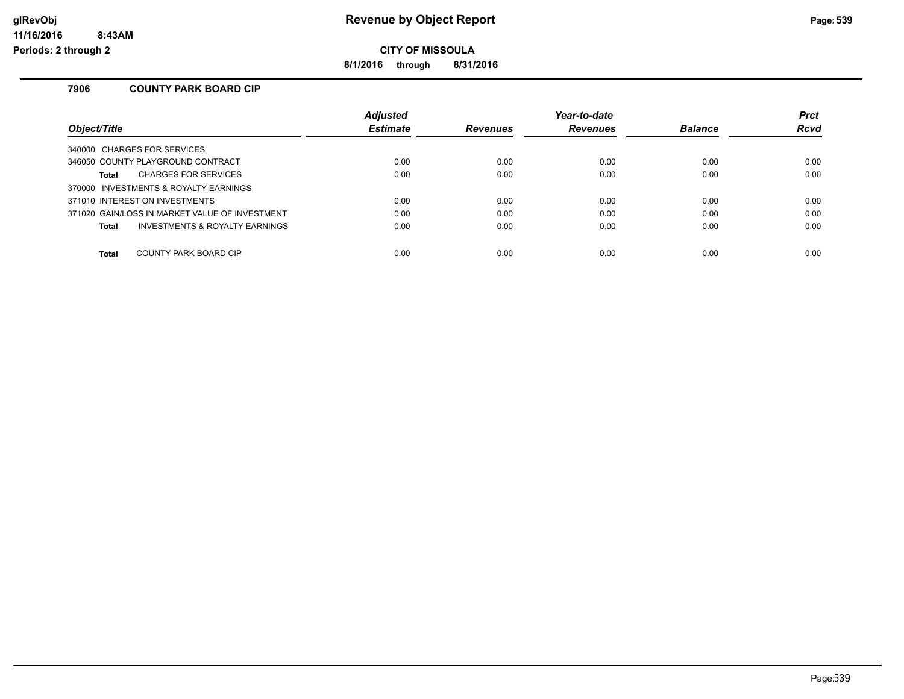**CITY OF MISSOULA**

**8/1/2016 through 8/31/2016**

### **7906 COUNTY PARK BOARD CIP**

 **8:43AM**

|                                                | <b>Adjusted</b> |                 | Year-to-date    |                | <b>Prct</b> |
|------------------------------------------------|-----------------|-----------------|-----------------|----------------|-------------|
| <b>Object/Title</b>                            | <b>Estimate</b> | <b>Revenues</b> | <b>Revenues</b> | <b>Balance</b> | <b>Rcvd</b> |
| 340000 CHARGES FOR SERVICES                    |                 |                 |                 |                |             |
| 346050 COUNTY PLAYGROUND CONTRACT              | 0.00            | 0.00            | 0.00            | 0.00           | 0.00        |
| <b>CHARGES FOR SERVICES</b><br>Total           | 0.00            | 0.00            | 0.00            | 0.00           | 0.00        |
| 370000 INVESTMENTS & ROYALTY EARNINGS          |                 |                 |                 |                |             |
| 371010 INTEREST ON INVESTMENTS                 | 0.00            | 0.00            | 0.00            | 0.00           | 0.00        |
| 371020 GAIN/LOSS IN MARKET VALUE OF INVESTMENT | 0.00            | 0.00            | 0.00            | 0.00           | 0.00        |
| INVESTMENTS & ROYALTY EARNINGS<br>Total        | 0.00            | 0.00            | 0.00            | 0.00           | 0.00        |
| Total<br>COUNTY PARK BOARD CIP                 | 0.00            | 0.00            | 0.00            | 0.00           | 0.00        |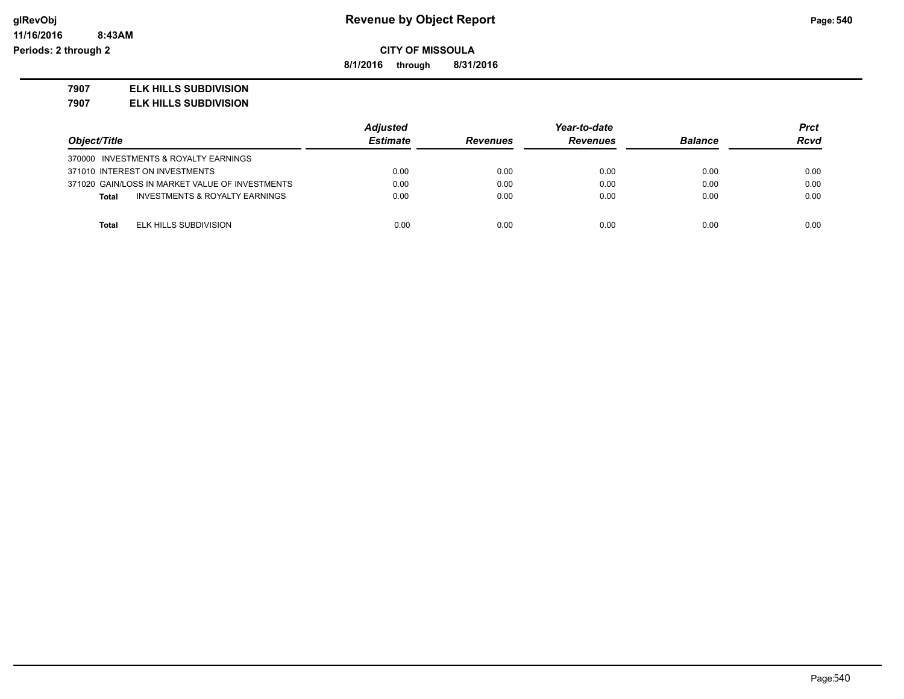**8/1/2016 through 8/31/2016**

### **7907 ELK HILLS SUBDIVISION**

**7907 ELK HILLS SUBDIVISION**

|                                                           | <b>Adjusted</b> |                 | Year-to-date    |                | Prct |
|-----------------------------------------------------------|-----------------|-----------------|-----------------|----------------|------|
| Object/Title                                              | <b>Estimate</b> | <b>Revenues</b> | <b>Revenues</b> | <b>Balance</b> | Rcvd |
| 370000 INVESTMENTS & ROYALTY EARNINGS                     |                 |                 |                 |                |      |
| 371010 INTEREST ON INVESTMENTS                            | 0.00            | 0.00            | 0.00            | 0.00           | 0.00 |
| 371020 GAIN/LOSS IN MARKET VALUE OF INVESTMENTS           | 0.00            | 0.00            | 0.00            | 0.00           | 0.00 |
| <b>INVESTMENTS &amp; ROYALTY EARNINGS</b><br><b>Total</b> | 0.00            | 0.00            | 0.00            | 0.00           | 0.00 |
|                                                           |                 |                 |                 |                |      |
| <b>Total</b><br>ELK HILLS SUBDIVISION                     | 0.00            | 0.00            | 0.00            | 0.00           | 0.00 |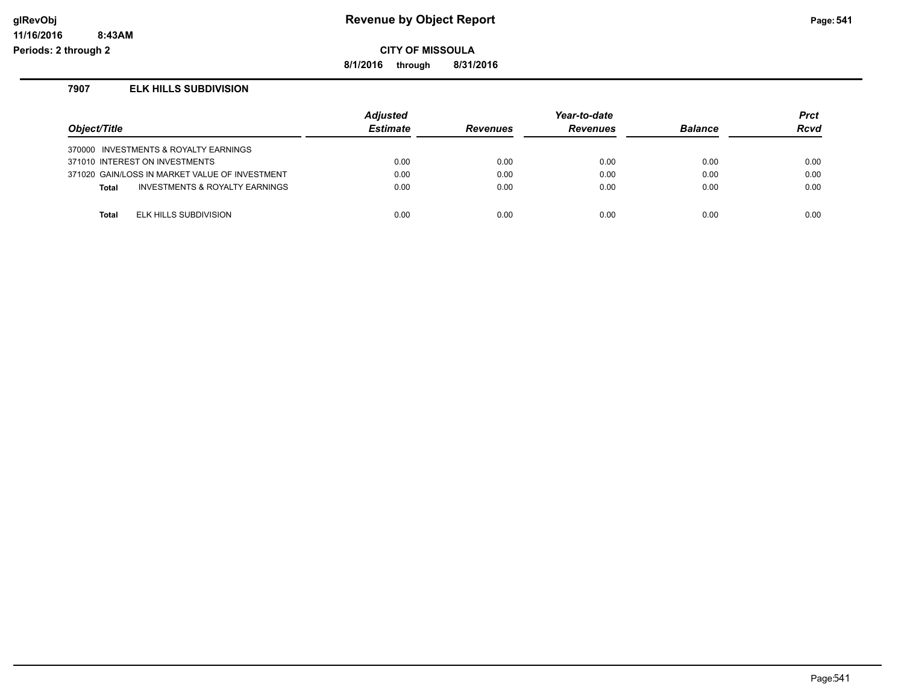**Periods: 2 through 2**

**CITY OF MISSOULA**

**8/1/2016 through 8/31/2016**

#### **7907 ELK HILLS SUBDIVISION**

 **8:43AM**

| Object/Title |                                                | <b>Adjusted</b><br><b>Estimate</b> | <b>Revenues</b> | Year-to-date<br><b>Revenues</b> | <b>Balance</b> | <b>Prct</b><br><b>Rcvd</b> |
|--------------|------------------------------------------------|------------------------------------|-----------------|---------------------------------|----------------|----------------------------|
|              | 370000 INVESTMENTS & ROYALTY EARNINGS          |                                    |                 |                                 |                |                            |
|              | 371010 INTEREST ON INVESTMENTS                 | 0.00                               | 0.00            | 0.00                            | 0.00           | 0.00                       |
|              | 371020 GAIN/LOSS IN MARKET VALUE OF INVESTMENT | 0.00                               | 0.00            | 0.00                            | 0.00           | 0.00                       |
| <b>Total</b> | <b>INVESTMENTS &amp; ROYALTY EARNINGS</b>      | 0.00                               | 0.00            | 0.00                            | 0.00           | 0.00                       |
|              |                                                |                                    |                 |                                 |                |                            |
| <b>Total</b> | ELK HILLS SUBDIVISION                          | 0.00                               | 0.00            | 0.00                            | 0.00           | 0.00                       |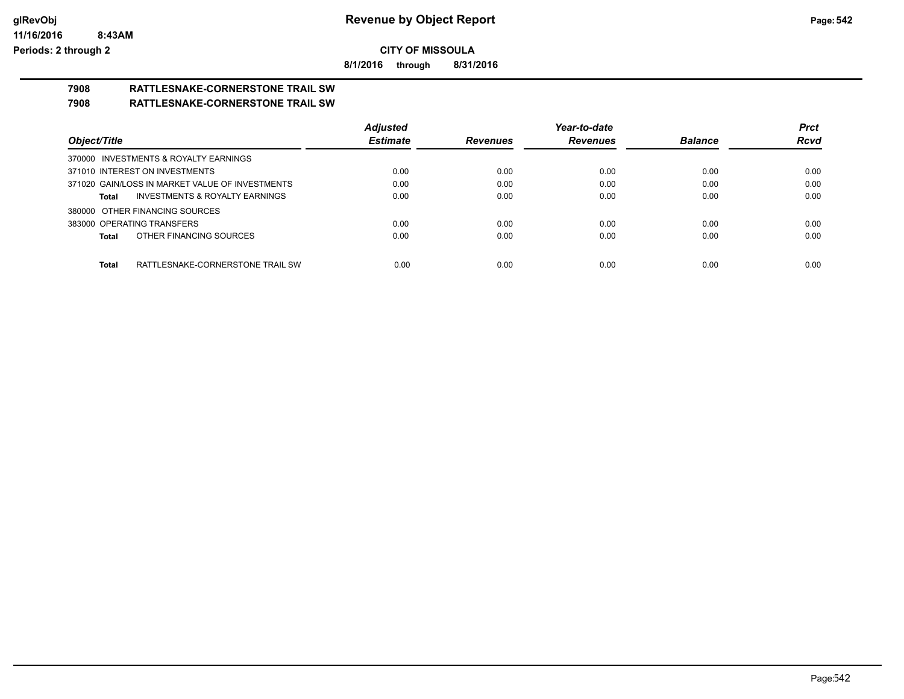**8/1/2016 through 8/31/2016**

# **7908 RATTLESNAKE-CORNERSTONE TRAIL SW**

## **7908 RATTLESNAKE-CORNERSTONE TRAIL SW**

|                                                 | <b>Adjusted</b> |                 | Year-to-date    |                | <b>Prct</b> |
|-------------------------------------------------|-----------------|-----------------|-----------------|----------------|-------------|
| Object/Title                                    | <b>Estimate</b> | <b>Revenues</b> | <b>Revenues</b> | <b>Balance</b> | <b>Rcvd</b> |
| 370000 INVESTMENTS & ROYALTY EARNINGS           |                 |                 |                 |                |             |
| 371010 INTEREST ON INVESTMENTS                  | 0.00            | 0.00            | 0.00            | 0.00           | 0.00        |
| 371020 GAIN/LOSS IN MARKET VALUE OF INVESTMENTS | 0.00            | 0.00            | 0.00            | 0.00           | 0.00        |
| INVESTMENTS & ROYALTY EARNINGS<br>Total         | 0.00            | 0.00            | 0.00            | 0.00           | 0.00        |
| 380000 OTHER FINANCING SOURCES                  |                 |                 |                 |                |             |
| 383000 OPERATING TRANSFERS                      | 0.00            | 0.00            | 0.00            | 0.00           | 0.00        |
| OTHER FINANCING SOURCES<br>Total                | 0.00            | 0.00            | 0.00            | 0.00           | 0.00        |
|                                                 |                 |                 |                 |                |             |
| Total<br>RATTLESNAKE-CORNERSTONE TRAIL SW       | 0.00            | 0.00            | 0.00            | 0.00           | 0.00        |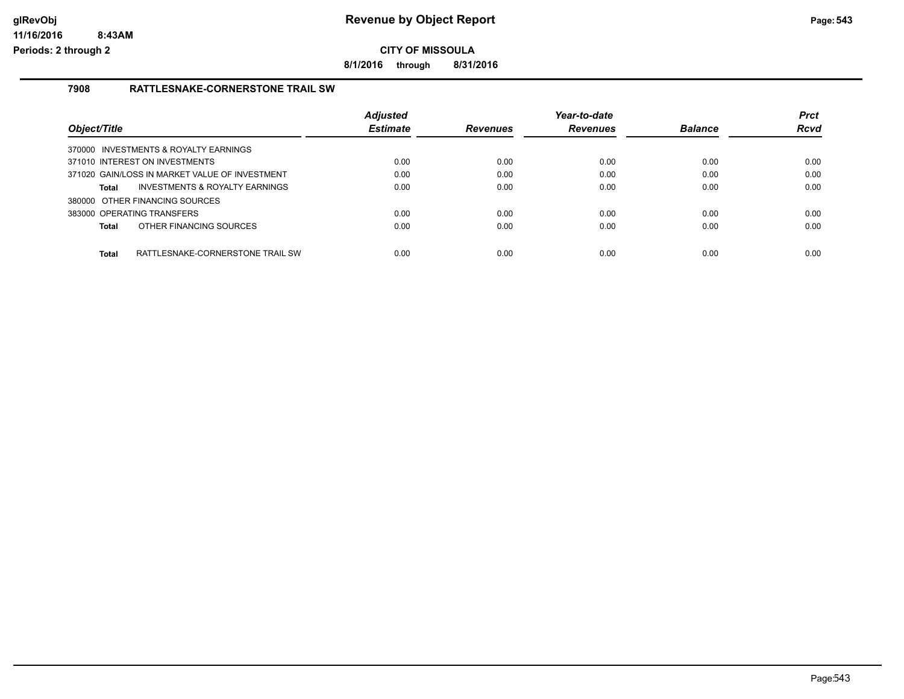**Periods: 2 through 2**

**CITY OF MISSOULA**

**8/1/2016 through 8/31/2016**

#### **7908 RATTLESNAKE-CORNERSTONE TRAIL SW**

|                                                | <b>Adjusted</b> |                 | Year-to-date    |                | <b>Prct</b> |
|------------------------------------------------|-----------------|-----------------|-----------------|----------------|-------------|
| Object/Title                                   | <b>Estimate</b> | <b>Revenues</b> | <b>Revenues</b> | <b>Balance</b> | Rcvd        |
| 370000 INVESTMENTS & ROYALTY EARNINGS          |                 |                 |                 |                |             |
| 371010 INTEREST ON INVESTMENTS                 | 0.00            | 0.00            | 0.00            | 0.00           | 0.00        |
| 371020 GAIN/LOSS IN MARKET VALUE OF INVESTMENT | 0.00            | 0.00            | 0.00            | 0.00           | 0.00        |
| INVESTMENTS & ROYALTY EARNINGS<br>Total        | 0.00            | 0.00            | 0.00            | 0.00           | 0.00        |
| 380000 OTHER FINANCING SOURCES                 |                 |                 |                 |                |             |
| 383000 OPERATING TRANSFERS                     | 0.00            | 0.00            | 0.00            | 0.00           | 0.00        |
| OTHER FINANCING SOURCES<br>Total               | 0.00            | 0.00            | 0.00            | 0.00           | 0.00        |
|                                                |                 |                 |                 |                |             |
| Total<br>RATTLESNAKE-CORNERSTONE TRAIL SW      | 0.00            | 0.00            | 0.00            | 0.00           | 0.00        |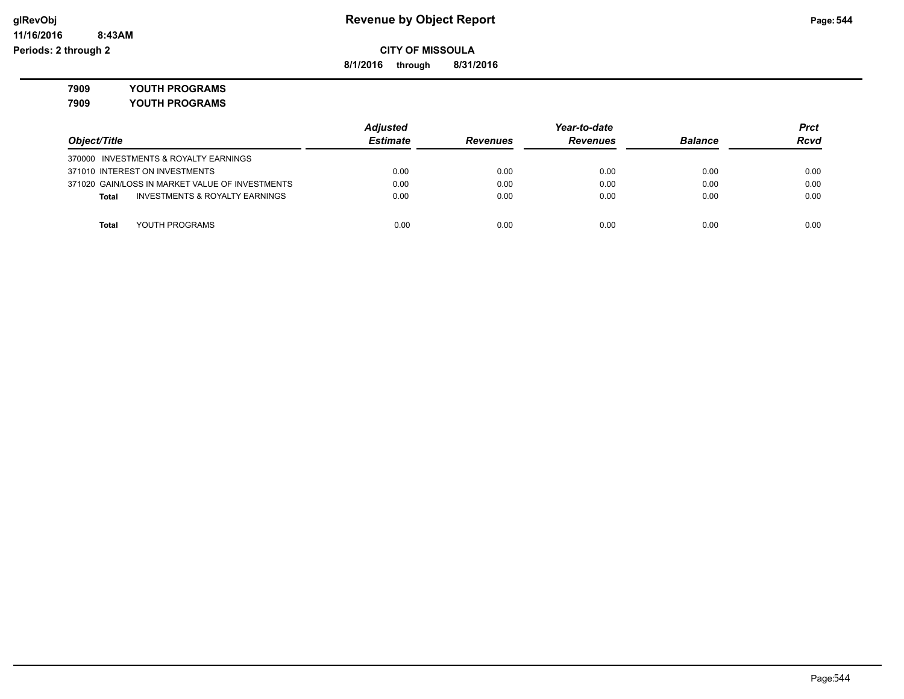**8/1/2016 through 8/31/2016**

**7909 YOUTH PROGRAMS**

**7909 YOUTH PROGRAMS**

|                                                 | Adjusted        |                 | Year-to-date    |                | Prct |
|-------------------------------------------------|-----------------|-----------------|-----------------|----------------|------|
| Object/Title                                    | <b>Estimate</b> | <b>Revenues</b> | <b>Revenues</b> | <b>Balance</b> | Rcvd |
| 370000 INVESTMENTS & ROYALTY EARNINGS           |                 |                 |                 |                |      |
| 371010 INTEREST ON INVESTMENTS                  | 0.00            | 0.00            | 0.00            | 0.00           | 0.00 |
| 371020 GAIN/LOSS IN MARKET VALUE OF INVESTMENTS | 0.00            | 0.00            | 0.00            | 0.00           | 0.00 |
| INVESTMENTS & ROYALTY EARNINGS<br>Total         | 0.00            | 0.00            | 0.00            | 0.00           | 0.00 |
|                                                 |                 |                 |                 |                |      |
| YOUTH PROGRAMS<br>Total                         | 0.00            | 0.00            | 0.00            | 0.00           | 0.00 |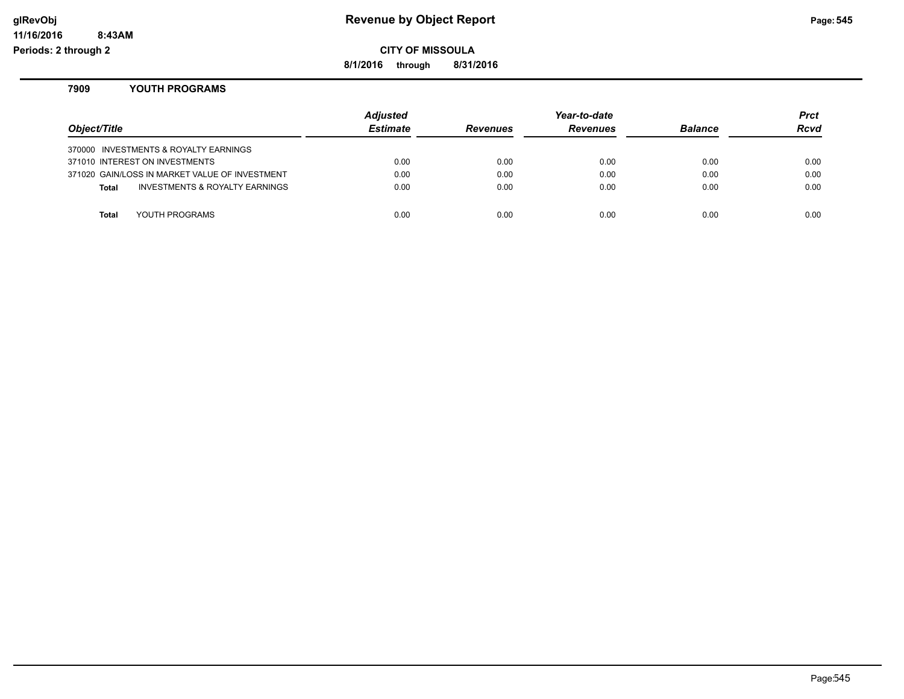**Periods: 2 through 2**

**CITY OF MISSOULA**

**8/1/2016 through 8/31/2016**

#### **7909 YOUTH PROGRAMS**

 **8:43AM**

| Object/Title                                              | Adjusted<br><b>Estimate</b> | <b>Revenues</b> | Year-to-date<br><b>Revenues</b> | <b>Balance</b> | <b>Prct</b><br><b>Rcvd</b> |
|-----------------------------------------------------------|-----------------------------|-----------------|---------------------------------|----------------|----------------------------|
| 370000 INVESTMENTS & ROYALTY EARNINGS                     |                             |                 |                                 |                |                            |
| 371010 INTEREST ON INVESTMENTS                            | 0.00                        | 0.00            | 0.00                            | 0.00           | 0.00                       |
| 371020 GAIN/LOSS IN MARKET VALUE OF INVESTMENT            | 0.00                        | 0.00            | 0.00                            | 0.00           | 0.00                       |
| <b>INVESTMENTS &amp; ROYALTY EARNINGS</b><br><b>Total</b> | 0.00                        | 0.00            | 0.00                            | 0.00           | 0.00                       |
|                                                           |                             |                 |                                 |                |                            |
| YOUTH PROGRAMS<br>Tota                                    | 0.00                        | 0.00            | 0.00                            | 0.00           | 0.00                       |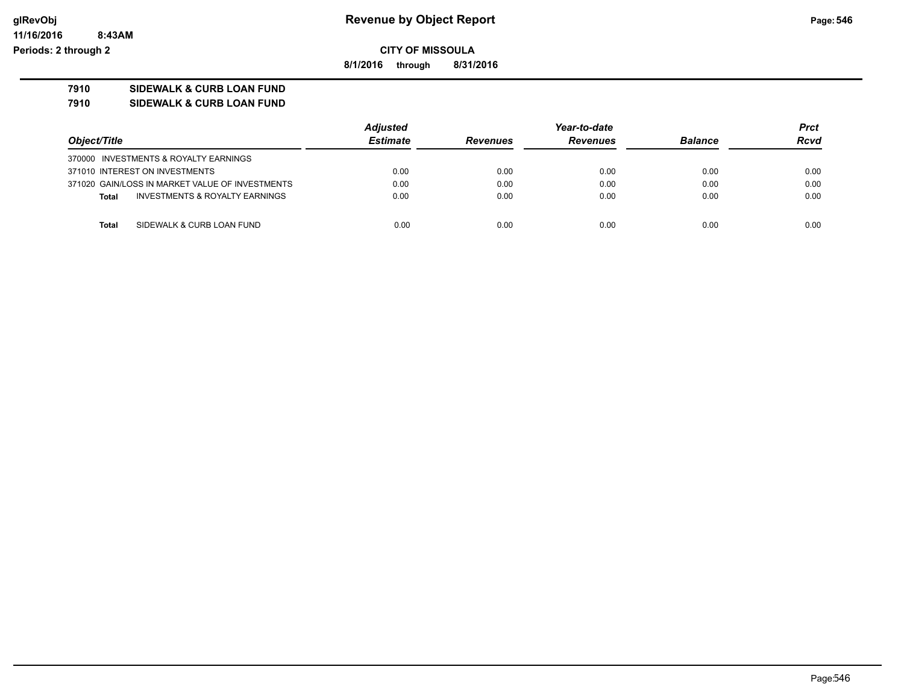**8/1/2016 through 8/31/2016**

## **7910 SIDEWALK & CURB LOAN FUND**

### **7910 SIDEWALK & CURB LOAN FUND**

|                                                           | <b>Adjusted</b> |                 | Year-to-date    |                | Prct |
|-----------------------------------------------------------|-----------------|-----------------|-----------------|----------------|------|
| Object/Title                                              | <b>Estimate</b> | <b>Revenues</b> | <b>Revenues</b> | <b>Balance</b> | Rcvd |
| 370000 INVESTMENTS & ROYALTY EARNINGS                     |                 |                 |                 |                |      |
| 371010 INTEREST ON INVESTMENTS                            | 0.00            | 0.00            | 0.00            | 0.00           | 0.00 |
| 371020 GAIN/LOSS IN MARKET VALUE OF INVESTMENTS           | 0.00            | 0.00            | 0.00            | 0.00           | 0.00 |
| <b>INVESTMENTS &amp; ROYALTY EARNINGS</b><br><b>Total</b> | 0.00            | 0.00            | 0.00            | 0.00           | 0.00 |
|                                                           |                 |                 |                 |                |      |
| <b>Total</b><br>SIDEWALK & CURB LOAN FUND                 | 0.00            | 0.00            | 0.00            | 0.00           | 0.00 |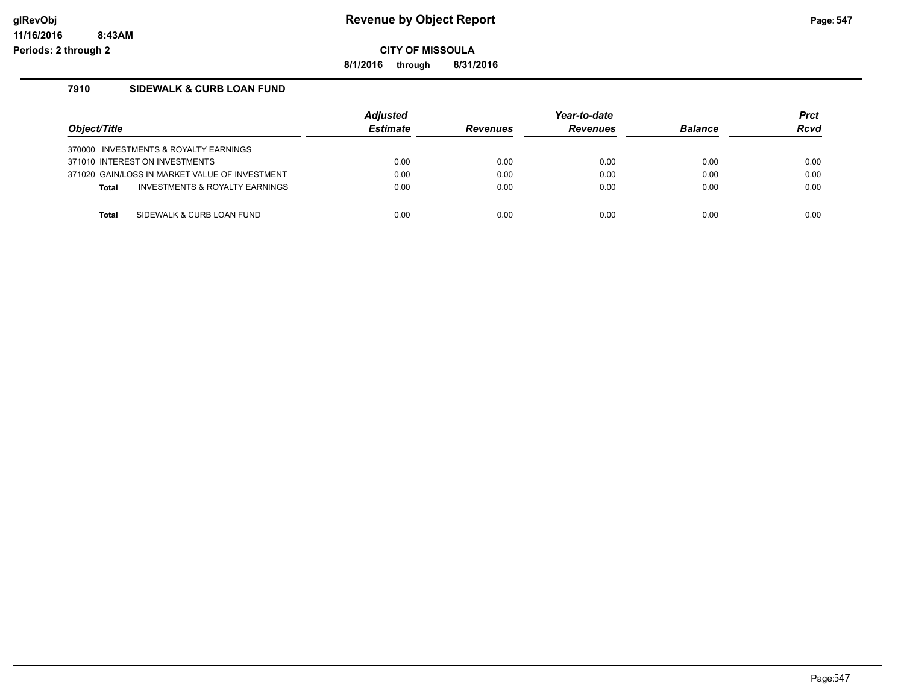**11/16/2016 8:43AM Periods: 2 through 2**

**CITY OF MISSOULA**

**8/1/2016 through 8/31/2016**

### **7910 SIDEWALK & CURB LOAN FUND**

| Object/Title                                   |                                           | <b>Adjusted</b><br><b>Estimate</b> | <b>Revenues</b> | Year-to-date<br><b>Revenues</b> | <b>Balance</b> | <b>Prct</b><br>Rcvd |
|------------------------------------------------|-------------------------------------------|------------------------------------|-----------------|---------------------------------|----------------|---------------------|
| 370000 INVESTMENTS & ROYALTY EARNINGS          |                                           |                                    |                 |                                 |                |                     |
| 371010 INTEREST ON INVESTMENTS                 |                                           | 0.00                               | 0.00            | 0.00                            | 0.00           | 0.00                |
| 371020 GAIN/LOSS IN MARKET VALUE OF INVESTMENT |                                           | 0.00                               | 0.00            | 0.00                            | 0.00           | 0.00                |
| <b>Total</b>                                   | <b>INVESTMENTS &amp; ROYALTY EARNINGS</b> | 0.00                               | 0.00            | 0.00                            | 0.00           | 0.00                |
|                                                |                                           |                                    |                 |                                 |                |                     |
| Total                                          | SIDEWALK & CURB LOAN FUND                 | 0.00                               | 0.00            | 0.00                            | 0.00           | 0.00                |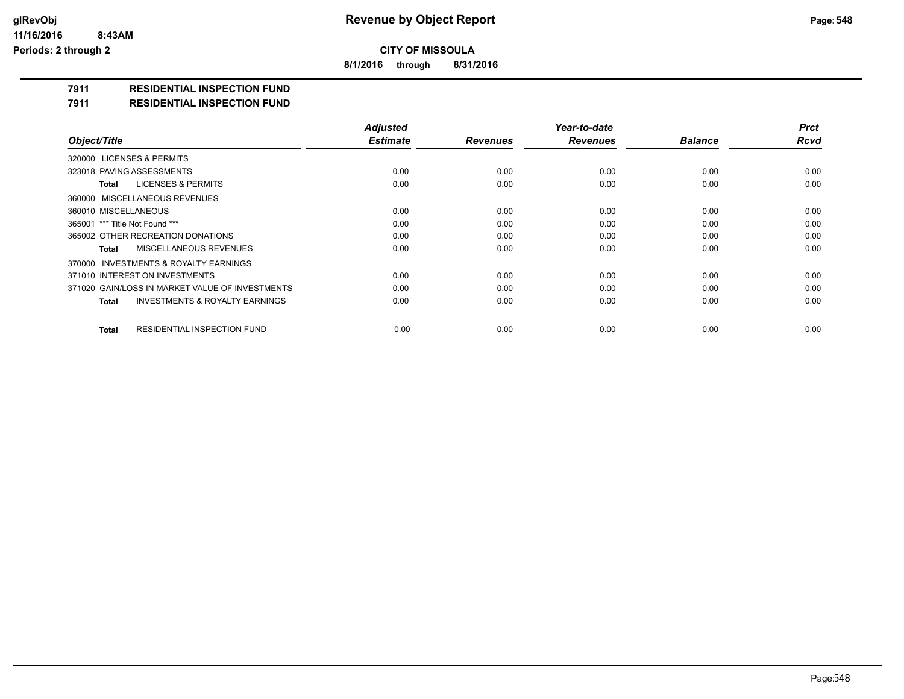**8/1/2016 through 8/31/2016**

**7911 RESIDENTIAL INSPECTION FUND**

**7911 RESIDENTIAL INSPECTION FUND**

|                                                    | <b>Adjusted</b> |                 | Year-to-date    |                | <b>Prct</b> |
|----------------------------------------------------|-----------------|-----------------|-----------------|----------------|-------------|
| Object/Title                                       | <b>Estimate</b> | <b>Revenues</b> | <b>Revenues</b> | <b>Balance</b> | <b>Rcvd</b> |
| 320000 LICENSES & PERMITS                          |                 |                 |                 |                |             |
| 323018 PAVING ASSESSMENTS                          | 0.00            | 0.00            | 0.00            | 0.00           | 0.00        |
| <b>LICENSES &amp; PERMITS</b><br>Total             | 0.00            | 0.00            | 0.00            | 0.00           | 0.00        |
| 360000 MISCELLANEOUS REVENUES                      |                 |                 |                 |                |             |
| 360010 MISCELLANEOUS                               | 0.00            | 0.00            | 0.00            | 0.00           | 0.00        |
| 365001 *** Title Not Found ***                     | 0.00            | 0.00            | 0.00            | 0.00           | 0.00        |
| 365002 OTHER RECREATION DONATIONS                  | 0.00            | 0.00            | 0.00            | 0.00           | 0.00        |
| MISCELLANEOUS REVENUES<br>Total                    | 0.00            | 0.00            | 0.00            | 0.00           | 0.00        |
| 370000 INVESTMENTS & ROYALTY EARNINGS              |                 |                 |                 |                |             |
| 371010 INTEREST ON INVESTMENTS                     | 0.00            | 0.00            | 0.00            | 0.00           | 0.00        |
| 371020 GAIN/LOSS IN MARKET VALUE OF INVESTMENTS    | 0.00            | 0.00            | 0.00            | 0.00           | 0.00        |
| <b>INVESTMENTS &amp; ROYALTY EARNINGS</b><br>Total | 0.00            | 0.00            | 0.00            | 0.00           | 0.00        |
| <b>RESIDENTIAL INSPECTION FUND</b><br>Total        | 0.00            | 0.00            | 0.00            | 0.00           | 0.00        |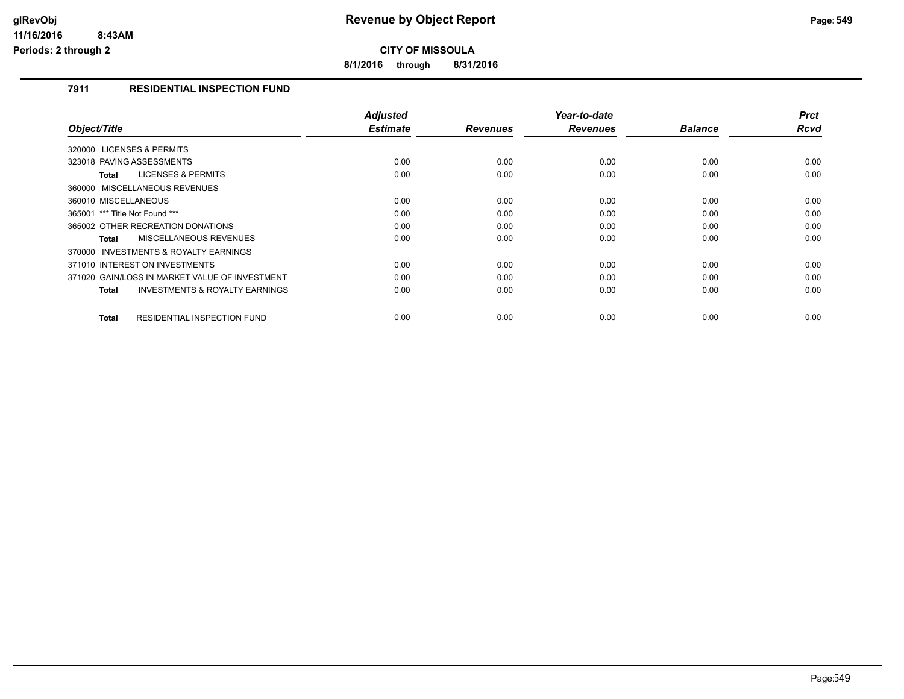**Periods: 2 through 2**

**CITY OF MISSOULA**

**8/1/2016 through 8/31/2016**

### **7911 RESIDENTIAL INSPECTION FUND**

| Object/Title                                              | <b>Adjusted</b><br><b>Estimate</b> | <b>Revenues</b> | Year-to-date<br><b>Revenues</b> | <b>Balance</b> | <b>Prct</b><br><b>Rcvd</b> |
|-----------------------------------------------------------|------------------------------------|-----------------|---------------------------------|----------------|----------------------------|
|                                                           |                                    |                 |                                 |                |                            |
| 320000 LICENSES & PERMITS                                 |                                    |                 |                                 |                |                            |
| 323018 PAVING ASSESSMENTS                                 | 0.00                               | 0.00            | 0.00                            | 0.00           | 0.00                       |
| <b>LICENSES &amp; PERMITS</b><br><b>Total</b>             | 0.00                               | 0.00            | 0.00                            | 0.00           | 0.00                       |
| 360000 MISCELLANEOUS REVENUES                             |                                    |                 |                                 |                |                            |
| 360010 MISCELLANEOUS                                      | 0.00                               | 0.00            | 0.00                            | 0.00           | 0.00                       |
| 365001 *** Title Not Found ***                            | 0.00                               | 0.00            | 0.00                            | 0.00           | 0.00                       |
| 365002 OTHER RECREATION DONATIONS                         | 0.00                               | 0.00            | 0.00                            | 0.00           | 0.00                       |
| <b>MISCELLANEOUS REVENUES</b><br><b>Total</b>             | 0.00                               | 0.00            | 0.00                            | 0.00           | 0.00                       |
| 370000 INVESTMENTS & ROYALTY EARNINGS                     |                                    |                 |                                 |                |                            |
| 371010 INTEREST ON INVESTMENTS                            | 0.00                               | 0.00            | 0.00                            | 0.00           | 0.00                       |
| 371020 GAIN/LOSS IN MARKET VALUE OF INVESTMENT            | 0.00                               | 0.00            | 0.00                            | 0.00           | 0.00                       |
| <b>INVESTMENTS &amp; ROYALTY EARNINGS</b><br><b>Total</b> | 0.00                               | 0.00            | 0.00                            | 0.00           | 0.00                       |
|                                                           |                                    |                 |                                 |                |                            |
| RESIDENTIAL INSPECTION FUND<br><b>Total</b>               | 0.00                               | 0.00            | 0.00                            | 0.00           | 0.00                       |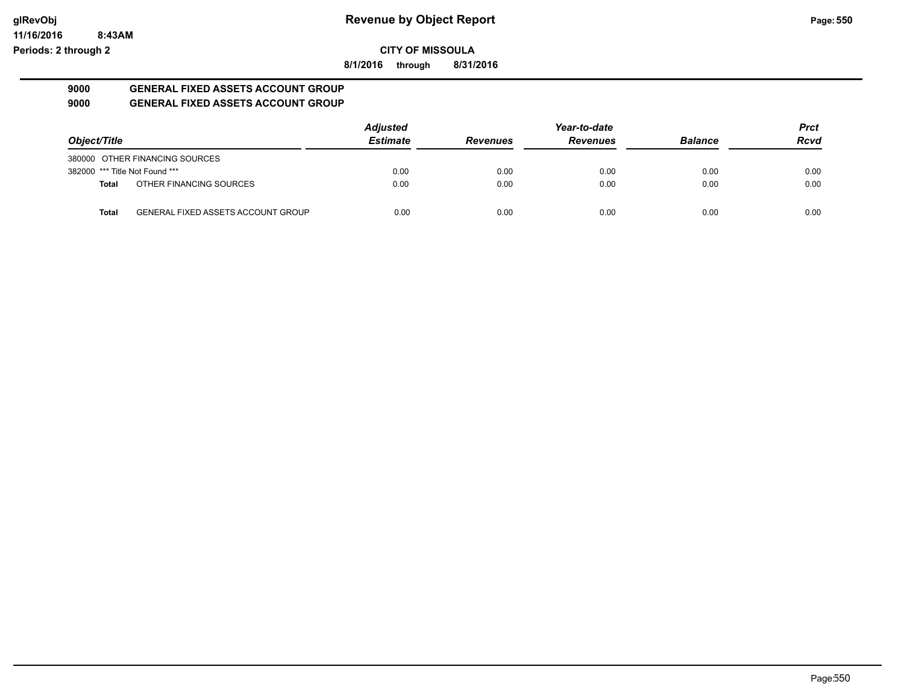**11/16/2016 8:43AM Periods: 2 through 2**

**CITY OF MISSOULA**

**8/1/2016 through 8/31/2016**

#### **9000 GENERAL FIXED ASSETS ACCOUNT GROUP 9000 GENERAL FIXED ASSETS ACCOUNT GROUP**

|                                |                                           | <b>Adjusted</b> |                 | Year-to-date    |                | Prct |
|--------------------------------|-------------------------------------------|-----------------|-----------------|-----------------|----------------|------|
| Object/Title                   |                                           | <b>Estimate</b> | <b>Revenues</b> | <b>Revenues</b> | <b>Balance</b> | Rcvd |
|                                | 380000 OTHER FINANCING SOURCES            |                 |                 |                 |                |      |
| 382000 *** Title Not Found *** |                                           | 0.00            | 0.00            | 0.00            | 0.00           | 0.00 |
| <b>Total</b>                   | OTHER FINANCING SOURCES                   | 0.00            | 0.00            | 0.00            | 0.00           | 0.00 |
| <b>Total</b>                   | <b>GENERAL FIXED ASSETS ACCOUNT GROUP</b> | 0.00            | 0.00            | 0.00            | 0.00           | 0.00 |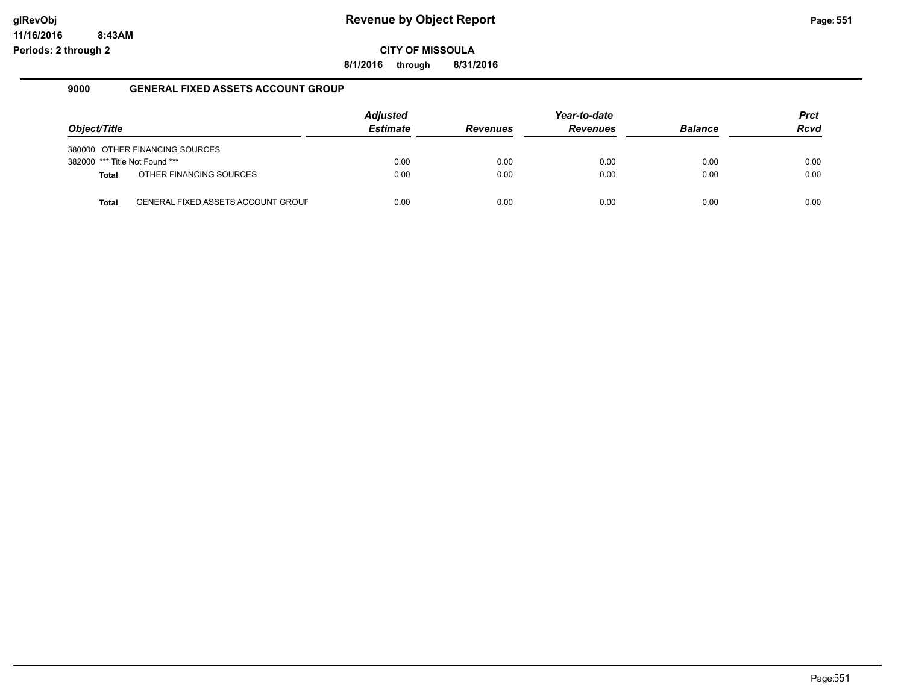**8/1/2016 through 8/31/2016**

#### **9000 GENERAL FIXED ASSETS ACCOUNT GROUP**

| Object/Title                   |                                           | <b>Adjusted</b><br><b>Estimate</b> | <b>Revenues</b> | Year-to-date<br><b>Revenues</b> | <b>Balance</b> | <b>Prct</b><br><b>Rcvd</b> |
|--------------------------------|-------------------------------------------|------------------------------------|-----------------|---------------------------------|----------------|----------------------------|
|                                | 380000 OTHER FINANCING SOURCES            |                                    |                 |                                 |                |                            |
| 382000 *** Title Not Found *** |                                           | 0.00                               | 0.00            | 0.00                            | 0.00           | 0.00                       |
| <b>Total</b>                   | OTHER FINANCING SOURCES                   | 0.00                               | 0.00            | 0.00                            | 0.00           | 0.00                       |
| <b>Total</b>                   | <b>GENERAL FIXED ASSETS ACCOUNT GROUF</b> | 0.00                               | 0.00            | 0.00                            | 0.00           | 0.00                       |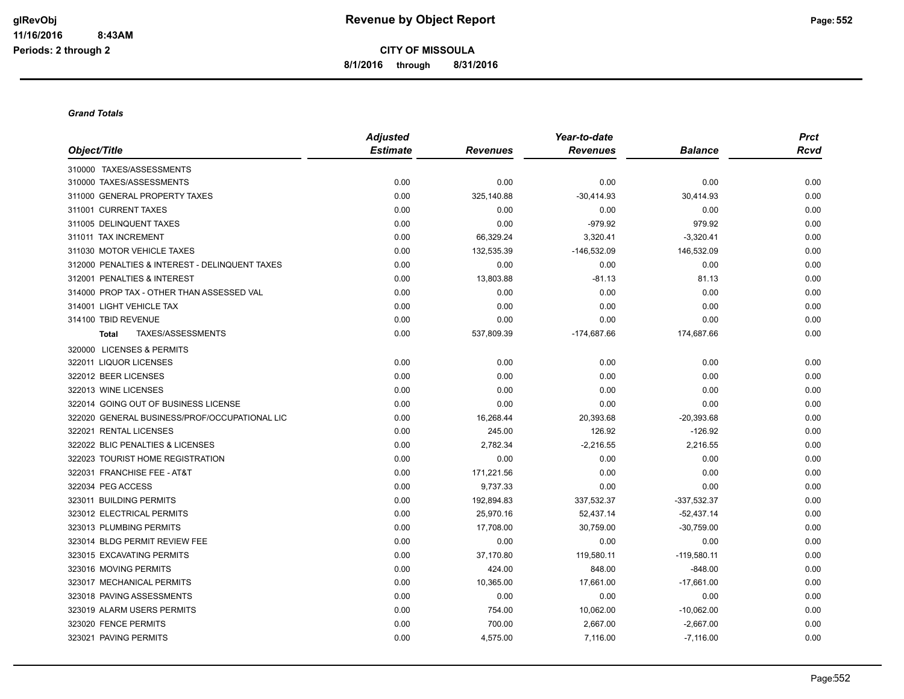**CITY OF MISSOULA 8/1/2016 through 8/31/2016**

#### *Grand Totals*

|                                                | <b>Adjusted</b> |                 | Year-to-date    |                | <b>Prct</b> |
|------------------------------------------------|-----------------|-----------------|-----------------|----------------|-------------|
| Object/Title                                   | <b>Estimate</b> | <b>Revenues</b> | <b>Revenues</b> | <b>Balance</b> | <b>Rcvd</b> |
| 310000 TAXES/ASSESSMENTS                       |                 |                 |                 |                |             |
| 310000 TAXES/ASSESSMENTS                       | 0.00            | 0.00            | 0.00            | 0.00           | 0.00        |
| 311000 GENERAL PROPERTY TAXES                  | 0.00            | 325,140.88      | $-30,414.93$    | 30,414.93      | 0.00        |
| 311001 CURRENT TAXES                           | 0.00            | 0.00            | 0.00            | 0.00           | 0.00        |
| 311005 DELINQUENT TAXES                        | 0.00            | 0.00            | $-979.92$       | 979.92         | 0.00        |
| 311011 TAX INCREMENT                           | 0.00            | 66,329.24       | 3,320.41        | $-3,320.41$    | 0.00        |
| 311030 MOTOR VEHICLE TAXES                     | 0.00            | 132,535.39      | $-146,532.09$   | 146,532.09     | 0.00        |
| 312000 PENALTIES & INTEREST - DELINQUENT TAXES | 0.00            | 0.00            | 0.00            | 0.00           | 0.00        |
| 312001 PENALTIES & INTEREST                    | 0.00            | 13,803.88       | $-81.13$        | 81.13          | 0.00        |
| 314000 PROP TAX - OTHER THAN ASSESSED VAL      | 0.00            | 0.00            | 0.00            | 0.00           | 0.00        |
| 314001 LIGHT VEHICLE TAX                       | 0.00            | 0.00            | 0.00            | 0.00           | 0.00        |
| 314100 TBID REVENUE                            | 0.00            | 0.00            | 0.00            | 0.00           | 0.00        |
| TAXES/ASSESSMENTS<br><b>Total</b>              | 0.00            | 537,809.39      | $-174,687.66$   | 174,687.66     | 0.00        |
| 320000 LICENSES & PERMITS                      |                 |                 |                 |                |             |
| 322011 LIQUOR LICENSES                         | 0.00            | 0.00            | 0.00            | 0.00           | 0.00        |
| 322012 BEER LICENSES                           | 0.00            | 0.00            | 0.00            | 0.00           | 0.00        |
| 322013 WINE LICENSES                           | 0.00            | 0.00            | 0.00            | 0.00           | 0.00        |
| 322014 GOING OUT OF BUSINESS LICENSE           | 0.00            | 0.00            | 0.00            | 0.00           | 0.00        |
| 322020 GENERAL BUSINESS/PROF/OCCUPATIONAL LIC  | 0.00            | 16,268.44       | 20,393.68       | $-20,393.68$   | 0.00        |
| 322021 RENTAL LICENSES                         | 0.00            | 245.00          | 126.92          | $-126.92$      | 0.00        |
| 322022 BLIC PENALTIES & LICENSES               | 0.00            | 2,782.34        | $-2,216.55$     | 2,216.55       | 0.00        |
| 322023 TOURIST HOME REGISTRATION               | 0.00            | 0.00            | 0.00            | 0.00           | 0.00        |
| 322031 FRANCHISE FEE - AT&T                    | 0.00            | 171,221.56      | 0.00            | 0.00           | 0.00        |
| 322034 PEG ACCESS                              | 0.00            | 9,737.33        | 0.00            | 0.00           | 0.00        |
| 323011 BUILDING PERMITS                        | 0.00            | 192,894.83      | 337,532.37      | $-337,532.37$  | 0.00        |
| 323012 ELECTRICAL PERMITS                      | 0.00            | 25,970.16       | 52,437.14       | $-52,437.14$   | 0.00        |
| 323013 PLUMBING PERMITS                        | 0.00            | 17,708.00       | 30,759.00       | $-30,759.00$   | 0.00        |
| 323014 BLDG PERMIT REVIEW FEE                  | 0.00            | 0.00            | 0.00            | 0.00           | 0.00        |
| 323015 EXCAVATING PERMITS                      | 0.00            | 37,170.80       | 119,580.11      | $-119,580.11$  | 0.00        |
| 323016 MOVING PERMITS                          | 0.00            | 424.00          | 848.00          | $-848.00$      | 0.00        |
| 323017 MECHANICAL PERMITS                      | 0.00            | 10,365.00       | 17,661.00       | $-17,661.00$   | 0.00        |
| 323018 PAVING ASSESSMENTS                      | 0.00            | 0.00            | 0.00            | 0.00           | 0.00        |
| 323019 ALARM USERS PERMITS                     | 0.00            | 754.00          | 10,062.00       | $-10,062.00$   | 0.00        |
| 323020 FENCE PERMITS                           | 0.00            | 700.00          | 2,667.00        | $-2,667.00$    | 0.00        |
| 323021 PAVING PERMITS                          | 0.00            | 4,575.00        | 7,116.00        | $-7,116.00$    | 0.00        |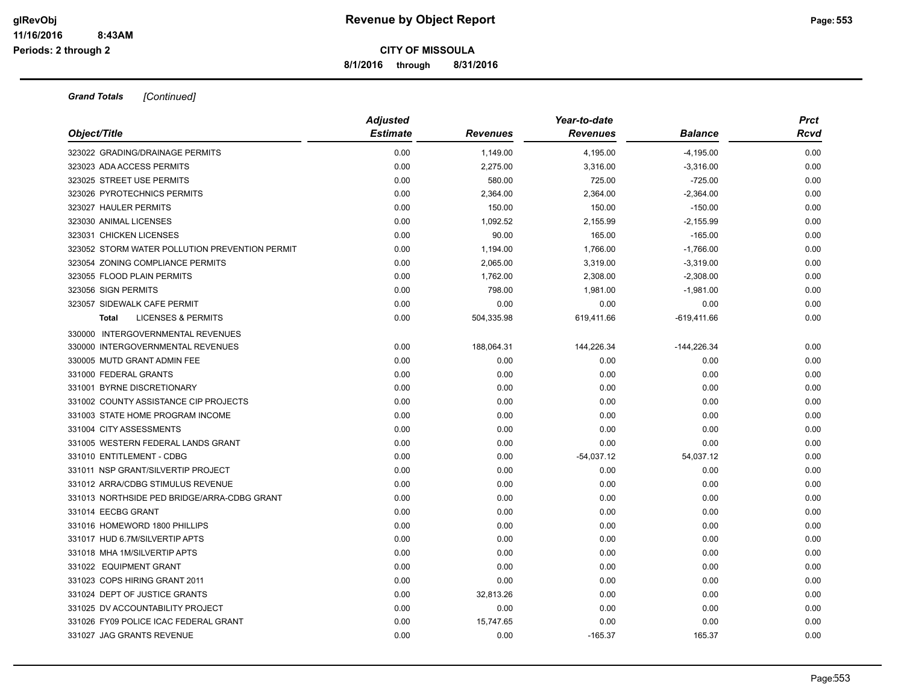**8/1/2016 through 8/31/2016**

| Object/Title                                   | <b>Adjusted</b><br><b>Estimate</b> | <b>Revenues</b> | Year-to-date<br><b>Revenues</b> | <b>Balance</b> | <b>Prct</b><br><b>Rcvd</b> |
|------------------------------------------------|------------------------------------|-----------------|---------------------------------|----------------|----------------------------|
| 323022 GRADING/DRAINAGE PERMITS                | 0.00                               | 1,149.00        | 4,195.00                        | $-4,195.00$    | 0.00                       |
| 323023 ADA ACCESS PERMITS                      | 0.00                               | 2,275.00        | 3,316.00                        | $-3,316.00$    | 0.00                       |
| 323025 STREET USE PERMITS                      | 0.00                               | 580.00          | 725.00                          | $-725.00$      | 0.00                       |
| 323026 PYROTECHNICS PERMITS                    | 0.00                               | 2,364.00        | 2,364.00                        | $-2,364.00$    | 0.00                       |
| 323027 HAULER PERMITS                          | 0.00                               | 150.00          | 150.00                          | $-150.00$      | 0.00                       |
| 323030 ANIMAL LICENSES                         | 0.00                               | 1,092.52        | 2,155.99                        | $-2,155.99$    | 0.00                       |
| 323031 CHICKEN LICENSES                        | 0.00                               | 90.00           | 165.00                          | $-165.00$      | 0.00                       |
| 323052 STORM WATER POLLUTION PREVENTION PERMIT | 0.00                               | 1,194.00        | 1,766.00                        | $-1,766.00$    | 0.00                       |
| 323054 ZONING COMPLIANCE PERMITS               | 0.00                               | 2,065.00        | 3,319.00                        | $-3,319.00$    | 0.00                       |
| 323055 FLOOD PLAIN PERMITS                     | 0.00                               | 1,762.00        | 2,308.00                        | $-2,308.00$    | 0.00                       |
| 323056 SIGN PERMITS                            | 0.00                               | 798.00          | 1,981.00                        | $-1,981.00$    | 0.00                       |
| 323057 SIDEWALK CAFE PERMIT                    | 0.00                               | 0.00            | 0.00                            | 0.00           | 0.00                       |
| <b>LICENSES &amp; PERMITS</b><br>Total         | 0.00                               | 504,335.98      | 619,411.66                      | $-619,411.66$  | 0.00                       |
| 330000 INTERGOVERNMENTAL REVENUES              |                                    |                 |                                 |                |                            |
| 330000 INTERGOVERNMENTAL REVENUES              | 0.00                               | 188,064.31      | 144,226.34                      | $-144,226.34$  | 0.00                       |
| 330005 MUTD GRANT ADMIN FEE                    | 0.00                               | 0.00            | 0.00                            | 0.00           | 0.00                       |
| 331000 FEDERAL GRANTS                          | 0.00                               | 0.00            | 0.00                            | 0.00           | 0.00                       |
| 331001 BYRNE DISCRETIONARY                     | 0.00                               | 0.00            | 0.00                            | 0.00           | 0.00                       |
| 331002 COUNTY ASSISTANCE CIP PROJECTS          | 0.00                               | 0.00            | 0.00                            | 0.00           | 0.00                       |
| 331003 STATE HOME PROGRAM INCOME               | 0.00                               | 0.00            | 0.00                            | 0.00           | 0.00                       |
| 331004 CITY ASSESSMENTS                        | 0.00                               | 0.00            | 0.00                            | 0.00           | 0.00                       |
| 331005 WESTERN FEDERAL LANDS GRANT             | 0.00                               | 0.00            | 0.00                            | 0.00           | 0.00                       |
| 331010 ENTITLEMENT - CDBG                      | 0.00                               | 0.00            | $-54,037.12$                    | 54,037.12      | 0.00                       |
| 331011 NSP GRANT/SILVERTIP PROJECT             | 0.00                               | 0.00            | 0.00                            | 0.00           | 0.00                       |
| 331012 ARRA/CDBG STIMULUS REVENUE              | 0.00                               | 0.00            | 0.00                            | 0.00           | 0.00                       |
| 331013 NORTHSIDE PED BRIDGE/ARRA-CDBG GRANT    | 0.00                               | 0.00            | 0.00                            | 0.00           | 0.00                       |
| 331014 EECBG GRANT                             | 0.00                               | 0.00            | 0.00                            | 0.00           | 0.00                       |
| 331016 HOMEWORD 1800 PHILLIPS                  | 0.00                               | 0.00            | 0.00                            | 0.00           | 0.00                       |
| 331017 HUD 6.7M/SILVERTIP APTS                 | 0.00                               | 0.00            | 0.00                            | 0.00           | 0.00                       |
| 331018 MHA 1M/SILVERTIP APTS                   | 0.00                               | 0.00            | 0.00                            | 0.00           | 0.00                       |
| 331022 EQUIPMENT GRANT                         | 0.00                               | 0.00            | 0.00                            | 0.00           | 0.00                       |
| 331023 COPS HIRING GRANT 2011                  | 0.00                               | 0.00            | 0.00                            | 0.00           | 0.00                       |
| 331024 DEPT OF JUSTICE GRANTS                  | 0.00                               | 32,813.26       | 0.00                            | 0.00           | 0.00                       |
| 331025 DV ACCOUNTABILITY PROJECT               | 0.00                               | 0.00            | 0.00                            | 0.00           | 0.00                       |
| 331026 FY09 POLICE ICAC FEDERAL GRANT          | 0.00                               | 15,747.65       | 0.00                            | 0.00           | 0.00                       |
| 331027 JAG GRANTS REVENUE                      | 0.00                               | 0.00            | $-165.37$                       | 165.37         | 0.00                       |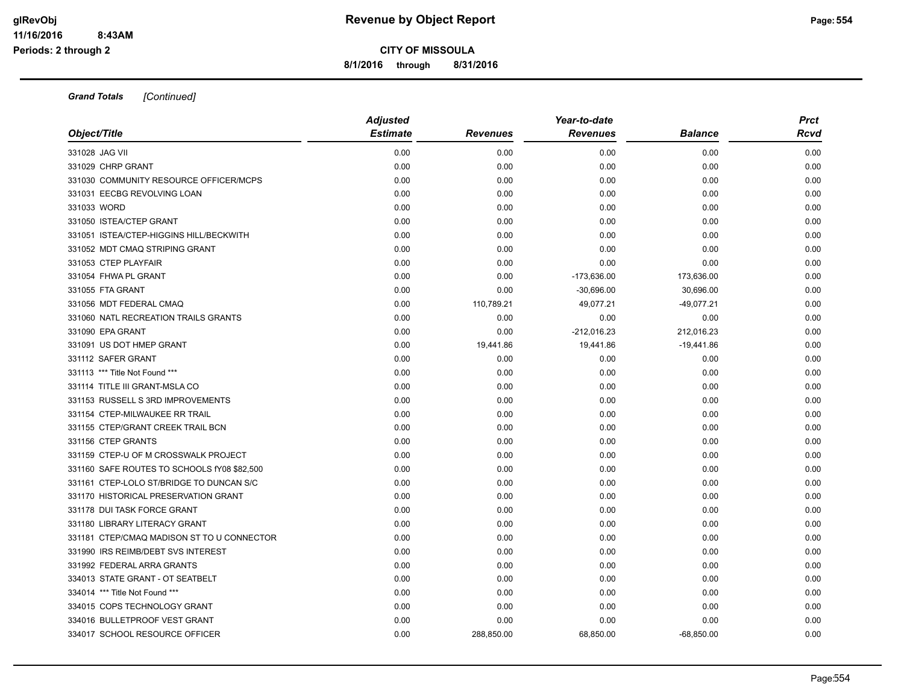**8/1/2016 through 8/31/2016**

| Object/Title                                                                     | <b>Adjusted</b><br><b>Estimate</b> | <b>Revenues</b>   | Year-to-date<br><b>Revenues</b> | <b>Balance</b>       | <b>Prct</b><br><b>Rcvd</b> |
|----------------------------------------------------------------------------------|------------------------------------|-------------------|---------------------------------|----------------------|----------------------------|
| 331028 JAG VII                                                                   | 0.00                               | 0.00              | 0.00                            | 0.00                 | 0.00                       |
| 331029 CHRP GRANT                                                                | 0.00                               | 0.00              | 0.00                            | 0.00                 | 0.00                       |
| 331030 COMMUNITY RESOURCE OFFICER/MCPS                                           | 0.00                               | 0.00              | 0.00                            | 0.00                 | 0.00                       |
| 331031 EECBG REVOLVING LOAN                                                      | 0.00                               | 0.00              | 0.00                            | 0.00                 | 0.00                       |
| 331033 WORD                                                                      | 0.00                               | 0.00              | 0.00                            | 0.00                 | 0.00                       |
| 331050 ISTEA/CTEP GRANT                                                          | 0.00                               | 0.00              | 0.00                            | 0.00                 | 0.00                       |
| 331051 ISTEA/CTEP-HIGGINS HILL/BECKWITH                                          | 0.00                               | 0.00              | 0.00                            | 0.00                 | 0.00                       |
| 331052 MDT CMAQ STRIPING GRANT                                                   | 0.00                               | 0.00              | 0.00                            | 0.00                 | 0.00                       |
| 331053 CTEP PLAYFAIR                                                             | 0.00                               | 0.00              | 0.00                            | 0.00                 | 0.00                       |
| 331054 FHWA PL GRANT                                                             | 0.00                               | 0.00              | $-173,636.00$                   | 173,636.00           | 0.00                       |
| 331055 FTA GRANT                                                                 | 0.00                               | 0.00              | $-30,696.00$                    | 30,696.00            | 0.00                       |
| 331056 MDT FEDERAL CMAQ                                                          | 0.00                               | 110,789.21        | 49,077.21                       | $-49,077.21$         | 0.00                       |
| 331060 NATL RECREATION TRAILS GRANTS                                             | 0.00                               | 0.00              | 0.00                            | 0.00                 | 0.00                       |
| 331090 EPA GRANT                                                                 | 0.00                               | 0.00              | $-212,016.23$                   | 212,016.23           | 0.00                       |
| 331091 US DOT HMEP GRANT                                                         | 0.00                               |                   | 19,441.86                       |                      | 0.00                       |
| 331112 SAFER GRANT                                                               | 0.00                               | 19,441.86<br>0.00 | 0.00                            | $-19,441.86$<br>0.00 | 0.00                       |
| 331113 *** Title Not Found ***                                                   | 0.00                               | 0.00              | 0.00                            | 0.00                 | 0.00                       |
| 331114 TITLE III GRANT-MSLA CO                                                   | 0.00                               | 0.00              | 0.00                            | 0.00                 | 0.00                       |
| 331153 RUSSELL S 3RD IMPROVEMENTS                                                | 0.00                               | 0.00              | 0.00                            | 0.00                 | 0.00                       |
| 331154 CTEP-MILWAUKEE RR TRAIL                                                   | 0.00                               | 0.00              | 0.00                            | 0.00                 | 0.00                       |
|                                                                                  |                                    |                   |                                 |                      |                            |
| 331155 CTEP/GRANT CREEK TRAIL BCN<br>331156 CTEP GRANTS                          | 0.00                               | 0.00              | 0.00                            | 0.00                 | 0.00                       |
| 331159 CTEP-U OF M CROSSWALK PROJECT                                             | 0.00<br>0.00                       | 0.00<br>0.00      | 0.00                            | 0.00                 | 0.00                       |
|                                                                                  |                                    |                   | 0.00                            | 0.00                 | 0.00                       |
| 331160 SAFE ROUTES TO SCHOOLS fY08 \$82,500                                      | 0.00                               | 0.00              | 0.00                            | 0.00                 | 0.00                       |
| 331161 CTEP-LOLO ST/BRIDGE TO DUNCAN S/C<br>331170 HISTORICAL PRESERVATION GRANT | 0.00                               | 0.00              | 0.00                            | 0.00                 | 0.00                       |
| 331178 DUI TASK FORCE GRANT                                                      | 0.00                               | 0.00              | 0.00                            | 0.00                 | 0.00                       |
|                                                                                  | 0.00                               | 0.00              | 0.00                            | 0.00                 | 0.00                       |
| 331180 LIBRARY LITERACY GRANT                                                    | 0.00                               | 0.00              | 0.00                            | 0.00                 | 0.00                       |
| 331181 CTEP/CMAQ MADISON ST TO U CONNECTOR                                       | 0.00                               | 0.00              | 0.00                            | 0.00                 | 0.00                       |
| 331990 IRS REIMB/DEBT SVS INTEREST                                               | 0.00                               | 0.00              | 0.00                            | 0.00                 | 0.00                       |
| 331992 FEDERAL ARRA GRANTS                                                       | 0.00                               | 0.00              | 0.00                            | 0.00                 | 0.00                       |
| 334013 STATE GRANT - OT SEATBELT                                                 | 0.00                               | 0.00              | 0.00                            | 0.00                 | 0.00                       |
| 334014 *** Title Not Found ***                                                   | 0.00                               | 0.00              | 0.00                            | 0.00                 | 0.00                       |
| 334015 COPS TECHNOLOGY GRANT                                                     | 0.00                               | 0.00              | 0.00                            | 0.00                 | 0.00                       |
| 334016 BULLETPROOF VEST GRANT                                                    | 0.00                               | 0.00              | 0.00                            | 0.00                 | 0.00                       |
| 334017 SCHOOL RESOURCE OFFICER                                                   | 0.00                               | 288,850.00        | 68,850.00                       | $-68,850.00$         | 0.00                       |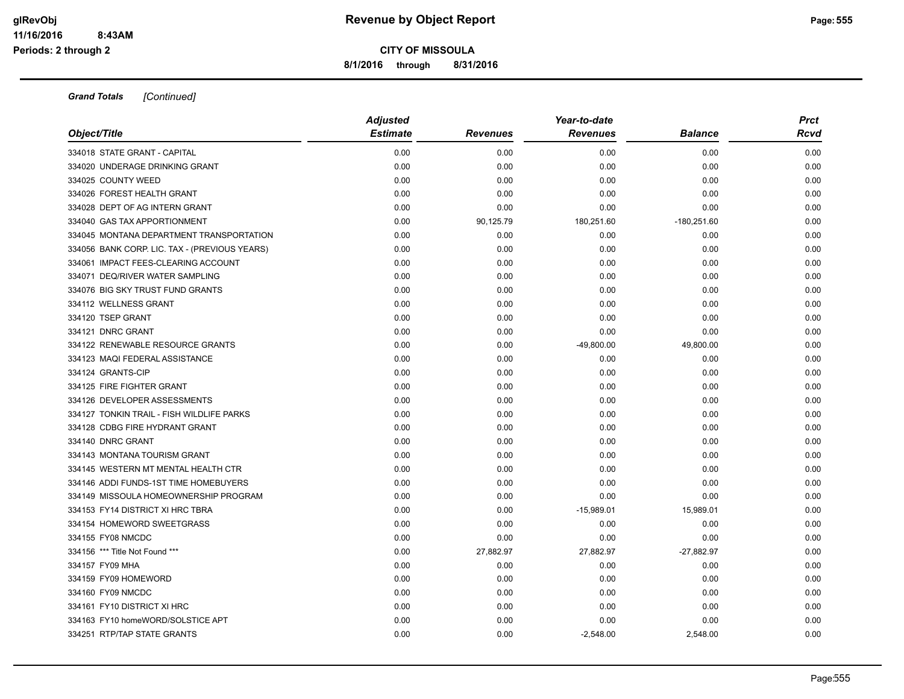**8/1/2016 through 8/31/2016**

| Object/Title                                  | <b>Adjusted</b><br><b>Estimate</b> | <b>Revenues</b> | Year-to-date<br><b>Revenues</b> | <b>Balance</b> | <b>Prct</b><br>Rcvd |
|-----------------------------------------------|------------------------------------|-----------------|---------------------------------|----------------|---------------------|
| 334018 STATE GRANT - CAPITAL                  | 0.00                               | 0.00            | 0.00                            | 0.00           | 0.00                |
| 334020 UNDERAGE DRINKING GRANT                | 0.00                               | 0.00            | 0.00                            | 0.00           | 0.00                |
| 334025 COUNTY WEED                            | 0.00                               | 0.00            | 0.00                            | 0.00           | 0.00                |
| 334026 FOREST HEALTH GRANT                    | 0.00                               | 0.00            | 0.00                            | 0.00           | 0.00                |
| 334028 DEPT OF AG INTERN GRANT                | 0.00                               | 0.00            | 0.00                            | 0.00           | 0.00                |
| 334040 GAS TAX APPORTIONMENT                  | 0.00                               | 90,125.79       | 180,251.60                      | $-180,251.60$  | 0.00                |
| 334045 MONTANA DEPARTMENT TRANSPORTATION      | 0.00                               | 0.00            | 0.00                            | 0.00           | 0.00                |
| 334056 BANK CORP. LIC. TAX - (PREVIOUS YEARS) | 0.00                               | 0.00            | 0.00                            | 0.00           | 0.00                |
| 334061 IMPACT FEES-CLEARING ACCOUNT           | 0.00                               | 0.00            | 0.00                            | 0.00           | 0.00                |
| 334071 DEQ/RIVER WATER SAMPLING               | 0.00                               | 0.00            | 0.00                            | 0.00           | 0.00                |
| 334076 BIG SKY TRUST FUND GRANTS              | 0.00                               | 0.00            | 0.00                            | 0.00           | 0.00                |
| 334112 WELLNESS GRANT                         | 0.00                               | 0.00            | 0.00                            | 0.00           | 0.00                |
| 334120 TSEP GRANT                             | 0.00                               | 0.00            | 0.00                            | 0.00           | 0.00                |
| 334121 DNRC GRANT                             | 0.00                               | 0.00            | 0.00                            | 0.00           | 0.00                |
| 334122 RENEWABLE RESOURCE GRANTS              | 0.00                               | 0.00            | $-49,800.00$                    | 49,800.00      | 0.00                |
| 334123 MAQI FEDERAL ASSISTANCE                | 0.00                               | 0.00            | 0.00                            | 0.00           | 0.00                |
| 334124 GRANTS-CIP                             | 0.00                               | 0.00            | 0.00                            | 0.00           | 0.00                |
| 334125 FIRE FIGHTER GRANT                     | 0.00                               | 0.00            | 0.00                            | 0.00           | 0.00                |
| 334126 DEVELOPER ASSESSMENTS                  | 0.00                               | 0.00            | 0.00                            | 0.00           | 0.00                |
| 334127 TONKIN TRAIL - FISH WILDLIFE PARKS     | 0.00                               | 0.00            | 0.00                            | 0.00           | 0.00                |
| 334128 CDBG FIRE HYDRANT GRANT                | 0.00                               | 0.00            | 0.00                            | 0.00           | 0.00                |
| 334140 DNRC GRANT                             | 0.00                               | 0.00            | 0.00                            | 0.00           | 0.00                |
| 334143 MONTANA TOURISM GRANT                  | 0.00                               | 0.00            | 0.00                            | 0.00           | 0.00                |
| 334145 WESTERN MT MENTAL HEALTH CTR           | 0.00                               | 0.00            | 0.00                            | 0.00           | 0.00                |
| 334146 ADDI FUNDS-1ST TIME HOMEBUYERS         | 0.00                               | 0.00            | 0.00                            | 0.00           | 0.00                |
| 334149 MISSOULA HOMEOWNERSHIP PROGRAM         | 0.00                               | 0.00            | 0.00                            | 0.00           | 0.00                |
| 334153 FY14 DISTRICT XI HRC TBRA              | 0.00                               | 0.00            | $-15,989.01$                    | 15,989.01      | 0.00                |
| 334154 HOMEWORD SWEETGRASS                    | 0.00                               | 0.00            | 0.00                            | 0.00           | 0.00                |
| 334155 FY08 NMCDC                             | 0.00                               | 0.00            | 0.00                            | 0.00           | 0.00                |
| 334156 *** Title Not Found ***                | 0.00                               | 27,882.97       | 27,882.97                       | $-27,882.97$   | 0.00                |
| 334157 FY09 MHA                               | 0.00                               | 0.00            | 0.00                            | 0.00           | 0.00                |
| 334159 FY09 HOMEWORD                          | 0.00                               | 0.00            | 0.00                            | 0.00           | 0.00                |
| 334160 FY09 NMCDC                             | 0.00                               | 0.00            | 0.00                            | 0.00           | 0.00                |
| 334161 FY10 DISTRICT XI HRC                   | 0.00                               | 0.00            | 0.00                            | 0.00           | 0.00                |
| 334163 FY10 homeWORD/SOLSTICE APT             | 0.00                               | 0.00            | 0.00                            | 0.00           | 0.00                |
| 334251 RTP/TAP STATE GRANTS                   | 0.00                               | 0.00            | $-2,548.00$                     | 2,548.00       | 0.00                |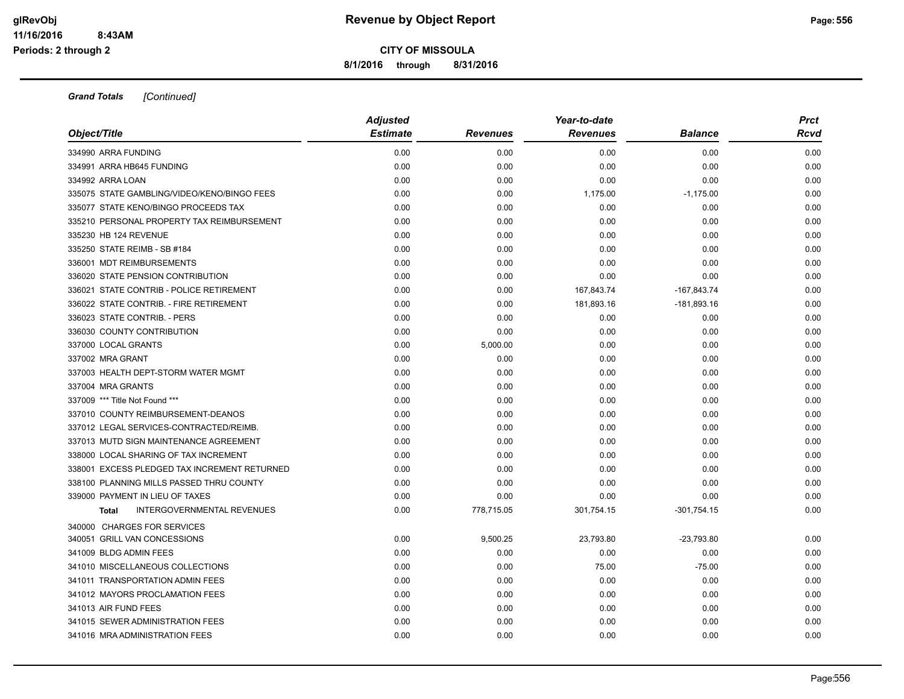**8/1/2016 through 8/31/2016**

|                                                   | <b>Adjusted</b> |                 | Year-to-date    |                | <b>Prct</b> |
|---------------------------------------------------|-----------------|-----------------|-----------------|----------------|-------------|
| Object/Title                                      | <b>Estimate</b> | <b>Revenues</b> | <b>Revenues</b> | <b>Balance</b> | <b>Rcvd</b> |
| 334990 ARRA FUNDING                               | 0.00            | 0.00            | 0.00            | 0.00           | 0.00        |
| 334991 ARRA HB645 FUNDING                         | 0.00            | 0.00            | 0.00            | 0.00           | 0.00        |
| 334992 ARRA LOAN                                  | 0.00            | 0.00            | 0.00            | 0.00           | 0.00        |
| 335075 STATE GAMBLING/VIDEO/KENO/BINGO FEES       | 0.00            | 0.00            | 1,175.00        | $-1,175.00$    | 0.00        |
| 335077 STATE KENO/BINGO PROCEEDS TAX              | 0.00            | 0.00            | 0.00            | 0.00           | 0.00        |
| 335210 PERSONAL PROPERTY TAX REIMBURSEMENT        | 0.00            | 0.00            | 0.00            | 0.00           | 0.00        |
| 335230 HB 124 REVENUE                             | 0.00            | 0.00            | 0.00            | 0.00           | 0.00        |
| 335250 STATE REIMB - SB #184                      | 0.00            | 0.00            | 0.00            | 0.00           | 0.00        |
| 336001 MDT REIMBURSEMENTS                         | 0.00            | 0.00            | 0.00            | 0.00           | 0.00        |
| 336020 STATE PENSION CONTRIBUTION                 | 0.00            | 0.00            | 0.00            | 0.00           | 0.00        |
| 336021 STATE CONTRIB - POLICE RETIREMENT          | 0.00            | 0.00            | 167,843.74      | $-167,843.74$  | 0.00        |
| 336022 STATE CONTRIB. - FIRE RETIREMENT           | 0.00            | 0.00            | 181,893.16      | -181,893.16    | 0.00        |
| 336023 STATE CONTRIB. - PERS                      | 0.00            | 0.00            | 0.00            | 0.00           | 0.00        |
| 336030 COUNTY CONTRIBUTION                        | 0.00            | 0.00            | 0.00            | 0.00           | 0.00        |
| 337000 LOCAL GRANTS                               | 0.00            | 5,000.00        | 0.00            | 0.00           | 0.00        |
| 337002 MRA GRANT                                  | 0.00            | 0.00            | 0.00            | 0.00           | 0.00        |
| 337003 HEALTH DEPT-STORM WATER MGMT               | 0.00            | 0.00            | 0.00            | 0.00           | 0.00        |
| 337004 MRA GRANTS                                 | 0.00            | 0.00            | 0.00            | 0.00           | 0.00        |
| 337009 *** Title Not Found ***                    | 0.00            | 0.00            | 0.00            | 0.00           | 0.00        |
| 337010 COUNTY REIMBURSEMENT-DEANOS                | 0.00            | 0.00            | 0.00            | 0.00           | 0.00        |
| 337012 LEGAL SERVICES-CONTRACTED/REIMB.           | 0.00            | 0.00            | 0.00            | 0.00           | 0.00        |
| 337013 MUTD SIGN MAINTENANCE AGREEMENT            | 0.00            | 0.00            | 0.00            | 0.00           | 0.00        |
| 338000 LOCAL SHARING OF TAX INCREMENT             | 0.00            | 0.00            | 0.00            | 0.00           | 0.00        |
| 338001 EXCESS PLEDGED TAX INCREMENT RETURNED      | 0.00            | 0.00            | 0.00            | 0.00           | 0.00        |
| 338100 PLANNING MILLS PASSED THRU COUNTY          | 0.00            | 0.00            | 0.00            | 0.00           | 0.00        |
| 339000 PAYMENT IN LIEU OF TAXES                   | 0.00            | 0.00            | 0.00            | 0.00           | 0.00        |
| <b>INTERGOVERNMENTAL REVENUES</b><br><b>Total</b> | 0.00            | 778,715.05      | 301,754.15      | $-301,754.15$  | 0.00        |
| 340000 CHARGES FOR SERVICES                       |                 |                 |                 |                |             |
| 340051 GRILL VAN CONCESSIONS                      | 0.00            | 9,500.25        | 23,793.80       | $-23,793.80$   | 0.00        |
| 341009 BLDG ADMIN FEES                            | 0.00            | 0.00            | 0.00            | 0.00           | 0.00        |
| 341010 MISCELLANEOUS COLLECTIONS                  | 0.00            | 0.00            | 75.00           | $-75.00$       | 0.00        |
| 341011 TRANSPORTATION ADMIN FEES                  | 0.00            | 0.00            | 0.00            | 0.00           | 0.00        |
| 341012 MAYORS PROCLAMATION FEES                   | 0.00            | 0.00            | 0.00            | 0.00           | 0.00        |
| 341013 AIR FUND FEES                              | 0.00            | 0.00            | 0.00            | 0.00           | 0.00        |
| 341015 SEWER ADMINISTRATION FEES                  | 0.00            | 0.00            | 0.00            | 0.00           | 0.00        |
| 341016 MRA ADMINISTRATION FEES                    | 0.00            | 0.00            | 0.00            | 0.00           | 0.00        |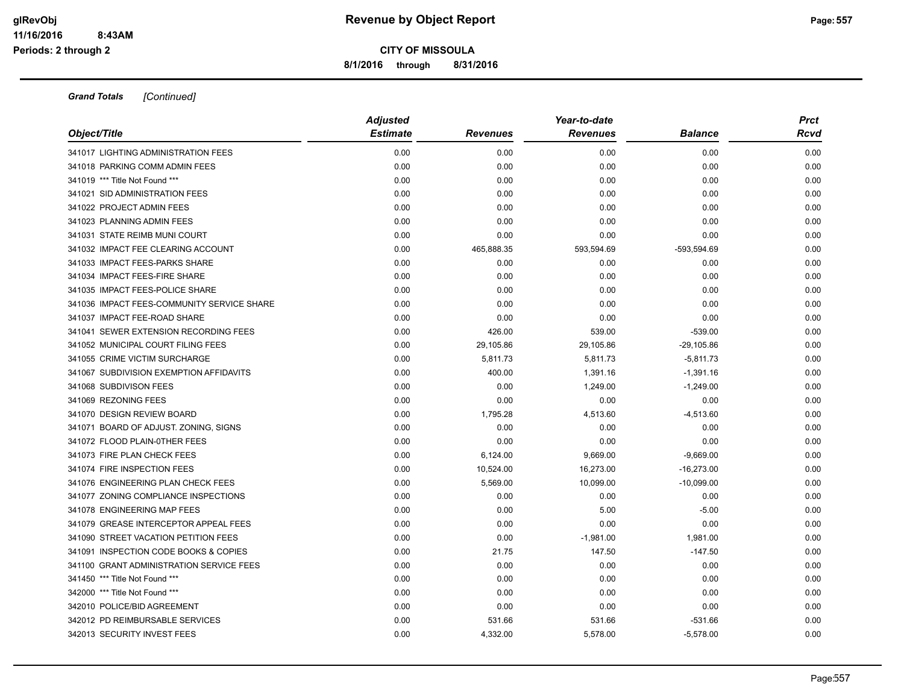**8/1/2016 through 8/31/2016**

| Object/Title                               | <b>Adjusted</b><br><b>Estimate</b> | <b>Revenues</b> | Year-to-date<br><b>Revenues</b> | <b>Balance</b> | <b>Prct</b><br>Rcvd |
|--------------------------------------------|------------------------------------|-----------------|---------------------------------|----------------|---------------------|
| 341017 LIGHTING ADMINISTRATION FEES        | 0.00                               | 0.00            | 0.00                            | 0.00           | 0.00                |
| 341018 PARKING COMM ADMIN FEES             | 0.00                               | 0.00            | 0.00                            | 0.00           | 0.00                |
| 341019 *** Title Not Found ***             | 0.00                               | 0.00            | 0.00                            | 0.00           | 0.00                |
| 341021 SID ADMINISTRATION FEES             | 0.00                               | 0.00            | 0.00                            | 0.00           | 0.00                |
| 341022 PROJECT ADMIN FEES                  | 0.00                               | 0.00            | 0.00                            | 0.00           | 0.00                |
| 341023 PLANNING ADMIN FEES                 | 0.00                               | 0.00            | 0.00                            | 0.00           | 0.00                |
| 341031 STATE REIMB MUNI COURT              | 0.00                               | 0.00            | 0.00                            | 0.00           | 0.00                |
| 341032 IMPACT FEE CLEARING ACCOUNT         | 0.00                               | 465,888.35      | 593,594.69                      | -593,594.69    | 0.00                |
| 341033 IMPACT FEES-PARKS SHARE             | 0.00                               | 0.00            | 0.00                            | 0.00           | 0.00                |
| 341034 IMPACT FEES-FIRE SHARE              | 0.00                               | 0.00            | 0.00                            | 0.00           | 0.00                |
| 341035 IMPACT FEES-POLICE SHARE            | 0.00                               | 0.00            | 0.00                            | 0.00           | 0.00                |
| 341036 IMPACT FEES-COMMUNITY SERVICE SHARE | 0.00                               | 0.00            | 0.00                            | 0.00           | 0.00                |
| 341037 IMPACT FEE-ROAD SHARE               | 0.00                               | 0.00            | 0.00                            | 0.00           | 0.00                |
| 341041 SEWER EXTENSION RECORDING FEES      | 0.00                               | 426.00          | 539.00                          | $-539.00$      | 0.00                |
| 341052 MUNICIPAL COURT FILING FEES         | 0.00                               | 29,105.86       | 29,105.86                       | $-29,105.86$   | 0.00                |
| 341055 CRIME VICTIM SURCHARGE              | 0.00                               | 5,811.73        | 5,811.73                        | $-5,811.73$    | 0.00                |
| 341067 SUBDIVISION EXEMPTION AFFIDAVITS    | 0.00                               | 400.00          | 1,391.16                        | $-1,391.16$    | 0.00                |
| 341068 SUBDIVISON FEES                     | 0.00                               | 0.00            | 1,249.00                        | $-1,249.00$    | 0.00                |
| 341069 REZONING FEES                       | 0.00                               | 0.00            | 0.00                            | 0.00           | 0.00                |
| 341070 DESIGN REVIEW BOARD                 | 0.00                               | 1,795.28        | 4,513.60                        | $-4,513.60$    | 0.00                |
| 341071 BOARD OF ADJUST. ZONING, SIGNS      | 0.00                               | 0.00            | 0.00                            | 0.00           | 0.00                |
| 341072 FLOOD PLAIN-0THER FEES              | 0.00                               | 0.00            | 0.00                            | 0.00           | 0.00                |
| 341073 FIRE PLAN CHECK FEES                | 0.00                               | 6,124.00        | 9,669.00                        | $-9,669.00$    | 0.00                |
| 341074 FIRE INSPECTION FEES                | 0.00                               | 10,524.00       | 16,273.00                       | $-16,273.00$   | 0.00                |
| 341076 ENGINEERING PLAN CHECK FEES         | 0.00                               | 5,569.00        | 10,099.00                       | $-10,099.00$   | 0.00                |
| 341077 ZONING COMPLIANCE INSPECTIONS       | 0.00                               | 0.00            | 0.00                            | 0.00           | 0.00                |
| 341078 ENGINEERING MAP FEES                | 0.00                               | 0.00            | 5.00                            | $-5.00$        | 0.00                |
| 341079 GREASE INTERCEPTOR APPEAL FEES      | 0.00                               | 0.00            | 0.00                            | 0.00           | 0.00                |
| 341090 STREET VACATION PETITION FEES       | 0.00                               | 0.00            | $-1,981.00$                     | 1,981.00       | 0.00                |
| 341091 INSPECTION CODE BOOKS & COPIES      | 0.00                               | 21.75           | 147.50                          | $-147.50$      | 0.00                |
| 341100 GRANT ADMINISTRATION SERVICE FEES   | 0.00                               | 0.00            | 0.00                            | 0.00           | 0.00                |
| 341450 *** Title Not Found ***             | 0.00                               | 0.00            | 0.00                            | 0.00           | 0.00                |
| 342000 *** Title Not Found ***             | 0.00                               | 0.00            | 0.00                            | 0.00           | 0.00                |
| 342010 POLICE/BID AGREEMENT                | 0.00                               | 0.00            | 0.00                            | 0.00           | 0.00                |
| 342012 PD REIMBURSABLE SERVICES            | 0.00                               | 531.66          | 531.66                          | $-531.66$      | 0.00                |
| 342013 SECURITY INVEST FEES                | 0.00                               | 4,332.00        | 5,578.00                        | $-5,578.00$    | 0.00                |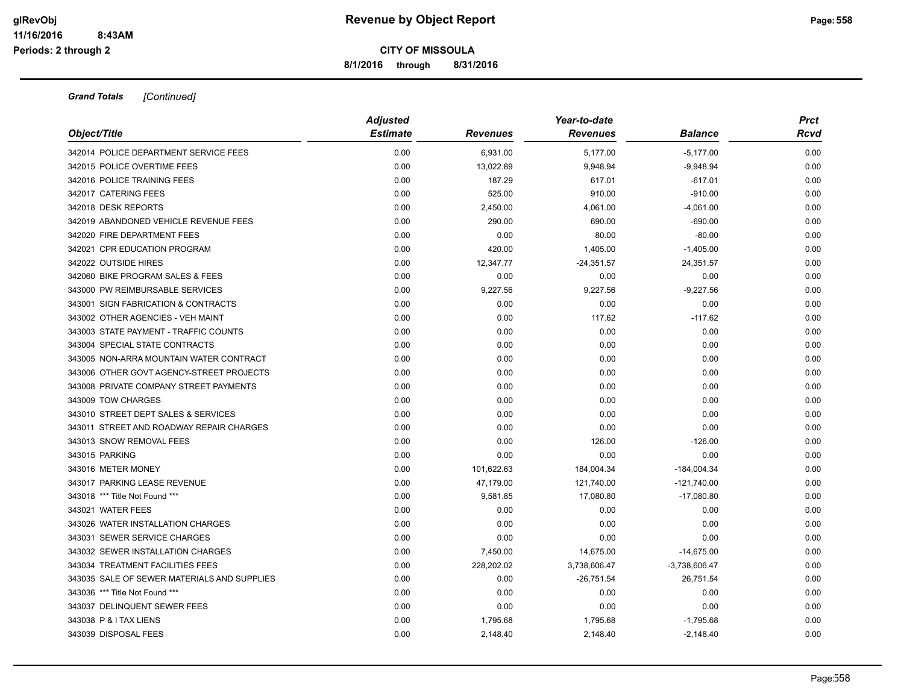**8/1/2016 through 8/31/2016**

|                                             | <b>Adjusted</b> |                 | Year-to-date    |                 | <b>Prct</b> |  |
|---------------------------------------------|-----------------|-----------------|-----------------|-----------------|-------------|--|
| Object/Title                                | <b>Estimate</b> | <b>Revenues</b> | <b>Revenues</b> | <b>Balance</b>  | Rcvd        |  |
| 342014 POLICE DEPARTMENT SERVICE FEES       | 0.00            | 6,931.00        | 5,177.00        | $-5,177.00$     | 0.00        |  |
| 342015 POLICE OVERTIME FEES                 | 0.00            | 13,022.89       | 9,948.94        | $-9,948.94$     | 0.00        |  |
| 342016 POLICE TRAINING FEES                 | 0.00            | 187.29          | 617.01          | $-617.01$       | 0.00        |  |
| 342017 CATERING FEES                        | 0.00            | 525.00          | 910.00          | $-910.00$       | 0.00        |  |
| 342018 DESK REPORTS                         | 0.00            | 2,450.00        | 4,061.00        | $-4,061.00$     | 0.00        |  |
| 342019 ABANDONED VEHICLE REVENUE FEES       | 0.00            | 290.00          | 690.00          | $-690.00$       | 0.00        |  |
| 342020 FIRE DEPARTMENT FEES                 | 0.00            | 0.00            | 80.00           | $-80.00$        | 0.00        |  |
| 342021 CPR EDUCATION PROGRAM                | 0.00            | 420.00          | 1,405.00        | $-1,405.00$     | 0.00        |  |
| 342022 OUTSIDE HIRES                        | 0.00            | 12,347.77       | $-24,351.57$    | 24,351.57       | 0.00        |  |
| 342060 BIKE PROGRAM SALES & FEES            | 0.00            | 0.00            | 0.00            | 0.00            | 0.00        |  |
| 343000 PW REIMBURSABLE SERVICES             | 0.00            | 9,227.56        | 9,227.56        | $-9,227.56$     | 0.00        |  |
| 343001 SIGN FABRICATION & CONTRACTS         | 0.00            | 0.00            | 0.00            | 0.00            | 0.00        |  |
| 343002 OTHER AGENCIES - VEH MAINT           | 0.00            | 0.00            | 117.62          | $-117.62$       | 0.00        |  |
| 343003 STATE PAYMENT - TRAFFIC COUNTS       | 0.00            | 0.00            | 0.00            | 0.00            | 0.00        |  |
| 343004 SPECIAL STATE CONTRACTS              | 0.00            | 0.00            | 0.00            | 0.00            | 0.00        |  |
| 343005 NON-ARRA MOUNTAIN WATER CONTRACT     | 0.00            | 0.00            | 0.00            | 0.00            | 0.00        |  |
| 343006 OTHER GOVT AGENCY-STREET PROJECTS    | 0.00            | 0.00            | 0.00            | 0.00            | 0.00        |  |
| 343008 PRIVATE COMPANY STREET PAYMENTS      | 0.00            | 0.00            | 0.00            | 0.00            | 0.00        |  |
| 343009 TOW CHARGES                          | 0.00            | 0.00            | 0.00            | 0.00            | 0.00        |  |
| 343010 STREET DEPT SALES & SERVICES         | 0.00            | 0.00            | 0.00            | 0.00            | 0.00        |  |
| 343011 STREET AND ROADWAY REPAIR CHARGES    | 0.00            | 0.00            | 0.00            | 0.00            | 0.00        |  |
| 343013 SNOW REMOVAL FEES                    | 0.00            | 0.00            | 126.00          | $-126.00$       | 0.00        |  |
| 343015 PARKING                              | 0.00            | 0.00            | 0.00            | 0.00            | 0.00        |  |
| 343016 METER MONEY                          | 0.00            | 101,622.63      | 184,004.34      | $-184,004.34$   | 0.00        |  |
| 343017 PARKING LEASE REVENUE                | 0.00            | 47,179.00       | 121,740.00      | $-121,740.00$   | 0.00        |  |
| 343018 *** Title Not Found ***              | 0.00            | 9,581.85        | 17,080.80       | $-17,080.80$    | 0.00        |  |
| 343021 WATER FEES                           | 0.00            | 0.00            | 0.00            | 0.00            | 0.00        |  |
| 343026 WATER INSTALLATION CHARGES           | 0.00            | 0.00            | 0.00            | 0.00            | 0.00        |  |
| 343031 SEWER SERVICE CHARGES                | 0.00            | 0.00            | 0.00            | 0.00            | 0.00        |  |
| 343032 SEWER INSTALLATION CHARGES           | 0.00            | 7,450.00        | 14,675.00       | $-14,675.00$    | 0.00        |  |
| 343034 TREATMENT FACILITIES FEES            | 0.00            | 228,202.02      | 3,738,606.47    | $-3,738,606.47$ | 0.00        |  |
| 343035 SALE OF SEWER MATERIALS AND SUPPLIES | 0.00            | 0.00            | $-26,751.54$    | 26,751.54       | 0.00        |  |
| 343036 *** Title Not Found ***              | 0.00            | 0.00            | 0.00            | 0.00            | 0.00        |  |
| 343037 DELINQUENT SEWER FEES                | 0.00            | 0.00            | 0.00            | 0.00            | 0.00        |  |
| 343038 P & I TAX LIENS                      | 0.00            | 1,795.68        | 1,795.68        | $-1,795.68$     | 0.00        |  |
| 343039 DISPOSAL FEES                        | 0.00            | 2.148.40        | 2.148.40        | $-2.148.40$     | 0.00        |  |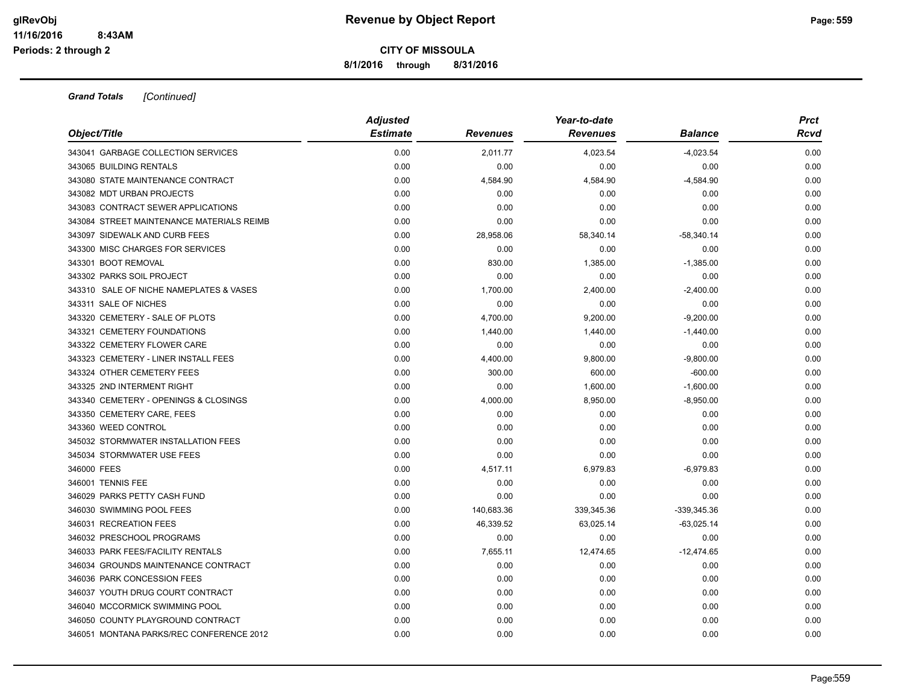**8/1/2016 through 8/31/2016**

| Object/Title                              | <b>Adjusted</b><br><b>Estimate</b> | <b>Revenues</b> | Year-to-date<br><b>Revenues</b> | <b>Balance</b> | <b>Prct</b><br>Rcvd |
|-------------------------------------------|------------------------------------|-----------------|---------------------------------|----------------|---------------------|
| 343041 GARBAGE COLLECTION SERVICES        | 0.00                               | 2,011.77        | 4,023.54                        | $-4,023.54$    | 0.00                |
| 343065 BUILDING RENTALS                   | 0.00                               | 0.00            | 0.00                            | 0.00           | 0.00                |
| 343080 STATE MAINTENANCE CONTRACT         | 0.00                               | 4,584.90        | 4,584.90                        | $-4,584.90$    | 0.00                |
| 343082 MDT URBAN PROJECTS                 | 0.00                               | 0.00            | 0.00                            | 0.00           | 0.00                |
| 343083 CONTRACT SEWER APPLICATIONS        | 0.00                               | 0.00            | 0.00                            | 0.00           | 0.00                |
| 343084 STREET MAINTENANCE MATERIALS REIMB | 0.00                               | 0.00            | 0.00                            | 0.00           | 0.00                |
| 343097 SIDEWALK AND CURB FEES             | 0.00                               | 28,958.06       | 58,340.14                       | $-58,340.14$   | 0.00                |
| 343300 MISC CHARGES FOR SERVICES          | 0.00                               | 0.00            | 0.00                            | 0.00           | 0.00                |
| 343301 BOOT REMOVAL                       | 0.00                               | 830.00          | 1,385.00                        | $-1,385.00$    | 0.00                |
| 343302 PARKS SOIL PROJECT                 | 0.00                               | 0.00            | 0.00                            | 0.00           | 0.00                |
| 343310 SALE OF NICHE NAMEPLATES & VASES   | 0.00                               | 1,700.00        | 2,400.00                        | $-2,400.00$    | 0.00                |
| 343311 SALE OF NICHES                     | 0.00                               | 0.00            | 0.00                            | 0.00           | 0.00                |
| 343320 CEMETERY - SALE OF PLOTS           | 0.00                               | 4,700.00        | 9,200.00                        | $-9,200.00$    | 0.00                |
| 343321 CEMETERY FOUNDATIONS               | 0.00                               | 1,440.00        | 1,440.00                        | $-1,440.00$    | 0.00                |
| 343322 CEMETERY FLOWER CARE               | 0.00                               | 0.00            | 0.00                            | 0.00           | 0.00                |
| 343323 CEMETERY - LINER INSTALL FEES      | 0.00                               | 4,400.00        | 9,800.00                        | $-9,800.00$    | 0.00                |
| 343324 OTHER CEMETERY FEES                | 0.00                               | 300.00          | 600.00                          | $-600.00$      | 0.00                |
| 343325 2ND INTERMENT RIGHT                | 0.00                               | 0.00            | 1,600.00                        | $-1,600.00$    | 0.00                |
| 343340 CEMETERY - OPENINGS & CLOSINGS     | 0.00                               | 4,000.00        | 8,950.00                        | $-8,950.00$    | 0.00                |
| 343350 CEMETERY CARE, FEES                | 0.00                               | 0.00            | 0.00                            | 0.00           | 0.00                |
| 343360 WEED CONTROL                       | 0.00                               | 0.00            | 0.00                            | 0.00           | 0.00                |
| 345032 STORMWATER INSTALLATION FEES       | 0.00                               | 0.00            | 0.00                            | 0.00           | 0.00                |
| 345034 STORMWATER USE FEES                | 0.00                               | 0.00            | 0.00                            | 0.00           | 0.00                |
| 346000 FEES                               | 0.00                               | 4,517.11        | 6,979.83                        | $-6,979.83$    | 0.00                |
| 346001 TENNIS FEE                         | 0.00                               | 0.00            | 0.00                            | 0.00           | 0.00                |
| 346029 PARKS PETTY CASH FUND              | 0.00                               | 0.00            | 0.00                            | 0.00           | 0.00                |
| 346030 SWIMMING POOL FEES                 | 0.00                               | 140,683.36      | 339,345.36                      | $-339,345.36$  | 0.00                |
| 346031 RECREATION FEES                    | 0.00                               | 46,339.52       | 63,025.14                       | $-63,025.14$   | 0.00                |
| 346032 PRESCHOOL PROGRAMS                 | 0.00                               | 0.00            | 0.00                            | 0.00           | 0.00                |
| 346033 PARK FEES/FACILITY RENTALS         | 0.00                               | 7,655.11        | 12,474.65                       | $-12,474.65$   | 0.00                |
| 346034 GROUNDS MAINTENANCE CONTRACT       | 0.00                               | 0.00            | 0.00                            | 0.00           | 0.00                |
| 346036 PARK CONCESSION FEES               | 0.00                               | 0.00            | 0.00                            | 0.00           | 0.00                |
| 346037 YOUTH DRUG COURT CONTRACT          | 0.00                               | 0.00            | 0.00                            | 0.00           | 0.00                |
| 346040 MCCORMICK SWIMMING POOL            | 0.00                               | 0.00            | 0.00                            | 0.00           | 0.00                |
| 346050 COUNTY PLAYGROUND CONTRACT         | 0.00                               | 0.00            | 0.00                            | 0.00           | 0.00                |
| 346051 MONTANA PARKS/REC CONFERENCE 2012  | 0.00                               | 0.00            | 0.00                            | 0.00           | 0.00                |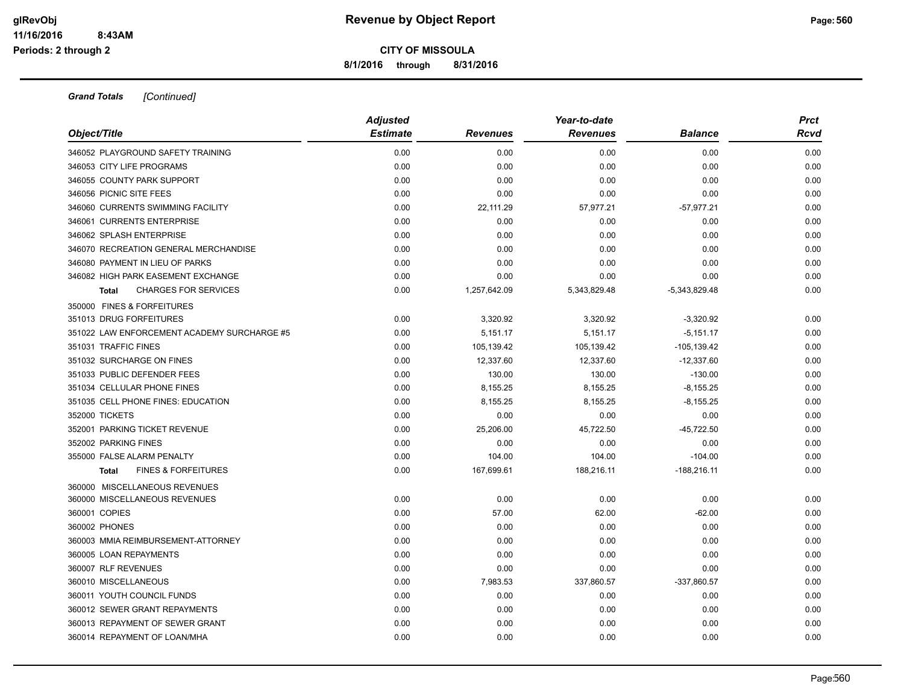**8/1/2016 through 8/31/2016**

| Object/Title                                   | <b>Adjusted</b><br><b>Estimate</b> | <b>Revenues</b> | Year-to-date<br><b>Revenues</b> | <b>Balance</b>  | <b>Prct</b><br>Rcvd |
|------------------------------------------------|------------------------------------|-----------------|---------------------------------|-----------------|---------------------|
| 346052 PLAYGROUND SAFETY TRAINING              | 0.00                               | 0.00            | 0.00                            | 0.00            | 0.00                |
| 346053 CITY LIFE PROGRAMS                      | 0.00                               | 0.00            | 0.00                            | 0.00            | 0.00                |
| 346055 COUNTY PARK SUPPORT                     | 0.00                               | 0.00            | 0.00                            | 0.00            | 0.00                |
| 346056 PICNIC SITE FEES                        | 0.00                               | 0.00            | 0.00                            | 0.00            | 0.00                |
| 346060 CURRENTS SWIMMING FACILITY              | 0.00                               | 22,111.29       | 57,977.21                       | $-57,977.21$    | 0.00                |
| 346061 CURRENTS ENTERPRISE                     | 0.00                               | 0.00            | 0.00                            | 0.00            | 0.00                |
| 346062 SPLASH ENTERPRISE                       | 0.00                               | 0.00            | 0.00                            | 0.00            | 0.00                |
| 346070 RECREATION GENERAL MERCHANDISE          | 0.00                               | 0.00            | 0.00                            | 0.00            | 0.00                |
| 346080 PAYMENT IN LIEU OF PARKS                | 0.00                               | 0.00            | 0.00                            | 0.00            | 0.00                |
| 346082 HIGH PARK EASEMENT EXCHANGE             | 0.00                               | 0.00            | 0.00                            | 0.00            | 0.00                |
| <b>CHARGES FOR SERVICES</b><br><b>Total</b>    | 0.00                               | 1,257,642.09    | 5,343,829.48                    | $-5,343,829.48$ | 0.00                |
| 350000 FINES & FORFEITURES                     |                                    |                 |                                 |                 |                     |
| 351013 DRUG FORFEITURES                        | 0.00                               | 3,320.92        | 3,320.92                        | $-3,320.92$     | 0.00                |
| 351022 LAW ENFORCEMENT ACADEMY SURCHARGE #5    | 0.00                               | 5,151.17        | 5,151.17                        | $-5,151.17$     | 0.00                |
| 351031 TRAFFIC FINES                           | 0.00                               | 105,139.42      | 105,139.42                      | $-105, 139.42$  | 0.00                |
| 351032 SURCHARGE ON FINES                      | 0.00                               | 12,337.60       | 12,337.60                       | $-12,337.60$    | 0.00                |
| 351033 PUBLIC DEFENDER FEES                    | 0.00                               | 130.00          | 130.00                          | $-130.00$       | 0.00                |
| 351034 CELLULAR PHONE FINES                    | 0.00                               | 8,155.25        | 8,155.25                        | $-8,155.25$     | 0.00                |
| 351035 CELL PHONE FINES: EDUCATION             | 0.00                               | 8,155.25        | 8,155.25                        | $-8,155.25$     | 0.00                |
| 352000 TICKETS                                 | 0.00                               | 0.00            | 0.00                            | 0.00            | 0.00                |
| 352001 PARKING TICKET REVENUE                  | 0.00                               | 25,206.00       | 45,722.50                       | $-45,722.50$    | 0.00                |
| 352002 PARKING FINES                           | 0.00                               | 0.00            | 0.00                            | 0.00            | 0.00                |
| 355000 FALSE ALARM PENALTY                     | 0.00                               | 104.00          | 104.00                          | $-104.00$       | 0.00                |
| <b>FINES &amp; FORFEITURES</b><br><b>Total</b> | 0.00                               | 167,699.61      | 188,216.11                      | $-188,216.11$   | 0.00                |
| 360000 MISCELLANEOUS REVENUES                  |                                    |                 |                                 |                 |                     |
| 360000 MISCELLANEOUS REVENUES                  | 0.00                               | 0.00            | 0.00                            | 0.00            | 0.00                |
| 360001 COPIES                                  | 0.00                               | 57.00           | 62.00                           | $-62.00$        | 0.00                |
| 360002 PHONES                                  | 0.00                               | 0.00            | 0.00                            | 0.00            | 0.00                |
| 360003 MMIA REIMBURSEMENT-ATTORNEY             | 0.00                               | 0.00            | 0.00                            | 0.00            | 0.00                |
| 360005 LOAN REPAYMENTS                         | 0.00                               | 0.00            | 0.00                            | 0.00            | 0.00                |
| 360007 RLF REVENUES                            | 0.00                               | 0.00            | 0.00                            | 0.00            | 0.00                |
| 360010 MISCELLANEOUS                           | 0.00                               | 7,983.53        | 337,860.57                      | $-337,860.57$   | 0.00                |
| 360011 YOUTH COUNCIL FUNDS                     | 0.00                               | 0.00            | 0.00                            | 0.00            | 0.00                |
| 360012 SEWER GRANT REPAYMENTS                  | 0.00                               | 0.00            | 0.00                            | 0.00            | 0.00                |
| 360013 REPAYMENT OF SEWER GRANT                | 0.00                               | 0.00            | 0.00                            | 0.00            | 0.00                |
| 360014 REPAYMENT OF LOAN/MHA                   | 0.00                               | 0.00            | 0.00                            | 0.00            | 0.00                |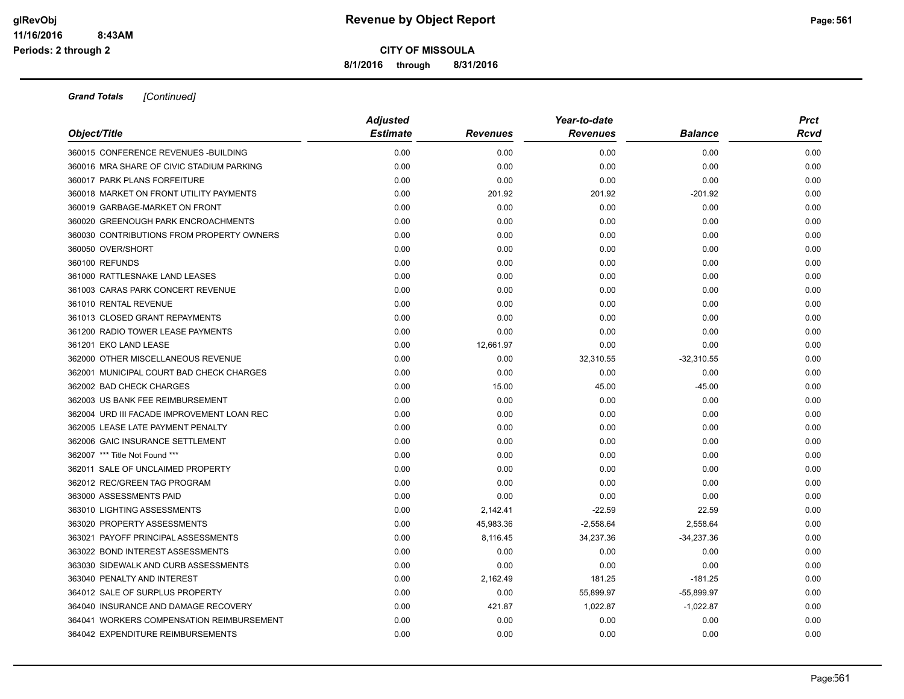**8/1/2016 through 8/31/2016**

| Object/Title                               | <b>Adjusted</b><br><b>Estimate</b> | <b>Revenues</b> | Year-to-date<br><b>Revenues</b> | <b>Balance</b> | <b>Prct</b><br>Rcvd |
|--------------------------------------------|------------------------------------|-----------------|---------------------------------|----------------|---------------------|
| 360015 CONFERENCE REVENUES - BUILDING      | 0.00                               | 0.00            | 0.00                            | 0.00           | 0.00                |
| 360016 MRA SHARE OF CIVIC STADIUM PARKING  | 0.00                               | 0.00            | 0.00                            | 0.00           | 0.00                |
| 360017 PARK PLANS FORFEITURE               | 0.00                               | 0.00            | 0.00                            | 0.00           | 0.00                |
| 360018 MARKET ON FRONT UTILITY PAYMENTS    | 0.00                               | 201.92          | 201.92                          | $-201.92$      | 0.00                |
| 360019 GARBAGE-MARKET ON FRONT             | 0.00                               | 0.00            | 0.00                            | 0.00           | 0.00                |
| 360020 GREENOUGH PARK ENCROACHMENTS        | 0.00                               | 0.00            | 0.00                            | 0.00           | 0.00                |
| 360030 CONTRIBUTIONS FROM PROPERTY OWNERS  | 0.00                               | 0.00            | 0.00                            | 0.00           | 0.00                |
| 360050 OVER/SHORT                          | 0.00                               | 0.00            | 0.00                            | 0.00           | 0.00                |
| 360100 REFUNDS                             | 0.00                               | 0.00            | 0.00                            | 0.00           | 0.00                |
| 361000 RATTLESNAKE LAND LEASES             | 0.00                               | 0.00            | 0.00                            | 0.00           | 0.00                |
| 361003 CARAS PARK CONCERT REVENUE          | 0.00                               | 0.00            | 0.00                            | 0.00           | 0.00                |
| 361010 RENTAL REVENUE                      | 0.00                               | 0.00            | 0.00                            | 0.00           | 0.00                |
| 361013 CLOSED GRANT REPAYMENTS             | 0.00                               | 0.00            | 0.00                            | 0.00           | 0.00                |
| 361200 RADIO TOWER LEASE PAYMENTS          | 0.00                               | 0.00            | 0.00                            | 0.00           | 0.00                |
| 361201 EKO LAND LEASE                      | 0.00                               | 12,661.97       | 0.00                            | 0.00           | 0.00                |
| 362000 OTHER MISCELLANEOUS REVENUE         | 0.00                               | 0.00            | 32,310.55                       | $-32,310.55$   | 0.00                |
| 362001 MUNICIPAL COURT BAD CHECK CHARGES   | 0.00                               | 0.00            | 0.00                            | 0.00           | 0.00                |
| 362002 BAD CHECK CHARGES                   | 0.00                               | 15.00           | 45.00                           | $-45.00$       | 0.00                |
| 362003 US BANK FEE REIMBURSEMENT           | 0.00                               | 0.00            | 0.00                            | 0.00           | 0.00                |
| 362004 URD III FACADE IMPROVEMENT LOAN REC | 0.00                               | 0.00            | 0.00                            | 0.00           | 0.00                |
| 362005 LEASE LATE PAYMENT PENALTY          | 0.00                               | 0.00            | 0.00                            | 0.00           | 0.00                |
| 362006 GAIC INSURANCE SETTLEMENT           | 0.00                               | 0.00            | 0.00                            | 0.00           | 0.00                |
| 362007 *** Title Not Found ***             | 0.00                               | 0.00            | 0.00                            | 0.00           | 0.00                |
| 362011 SALE OF UNCLAIMED PROPERTY          | 0.00                               | 0.00            | 0.00                            | 0.00           | 0.00                |
| 362012 REC/GREEN TAG PROGRAM               | 0.00                               | 0.00            | 0.00                            | 0.00           | 0.00                |
| 363000 ASSESSMENTS PAID                    | 0.00                               | 0.00            | 0.00                            | 0.00           | 0.00                |
| 363010 LIGHTING ASSESSMENTS                | 0.00                               | 2,142.41        | $-22.59$                        | 22.59          | 0.00                |
| 363020 PROPERTY ASSESSMENTS                | 0.00                               | 45,983.36       | $-2,558.64$                     | 2,558.64       | 0.00                |
| 363021 PAYOFF PRINCIPAL ASSESSMENTS        | 0.00                               | 8,116.45        | 34,237.36                       | $-34,237.36$   | 0.00                |
| 363022 BOND INTEREST ASSESSMENTS           | 0.00                               | 0.00            | 0.00                            | 0.00           | 0.00                |
| 363030 SIDEWALK AND CURB ASSESSMENTS       | 0.00                               | 0.00            | 0.00                            | 0.00           | 0.00                |
| 363040 PENALTY AND INTEREST                | 0.00                               | 2,162.49        | 181.25                          | $-181.25$      | 0.00                |
| 364012 SALE OF SURPLUS PROPERTY            | 0.00                               | 0.00            | 55,899.97                       | $-55,899.97$   | 0.00                |
| 364040 INSURANCE AND DAMAGE RECOVERY       | 0.00                               | 421.87          | 1,022.87                        | $-1,022.87$    | 0.00                |
| 364041 WORKERS COMPENSATION REIMBURSEMENT  | 0.00                               | 0.00            | 0.00                            | 0.00           | 0.00                |
| 364042 EXPENDITURE REIMBURSEMENTS          | 0.00                               | 0.00            | 0.00                            | 0.00           | 0.00                |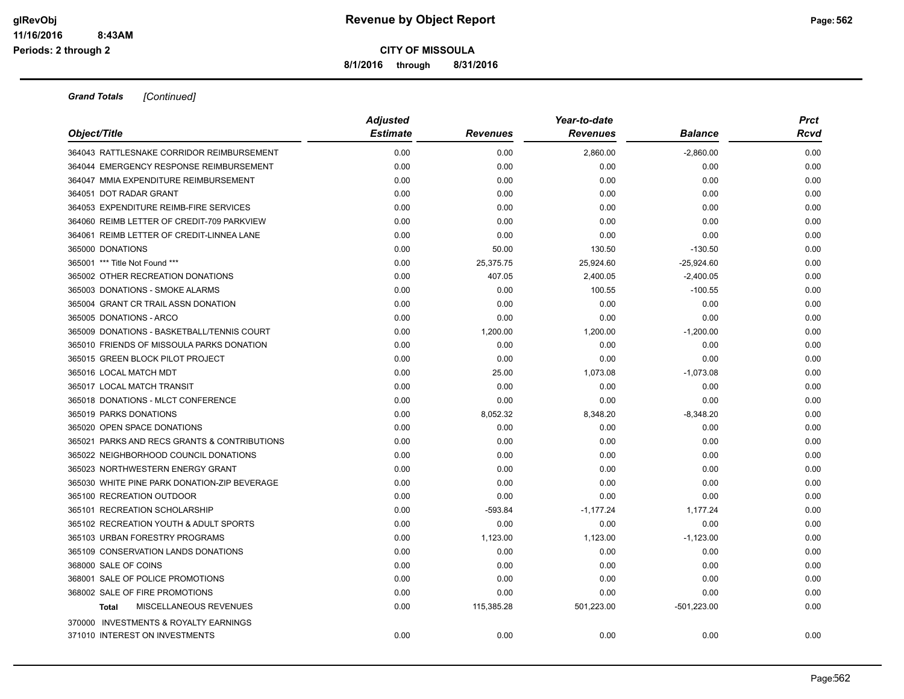**8/1/2016 through 8/31/2016**

| Object/Title                                 | <b>Adjusted</b><br><b>Estimate</b> | <b>Revenues</b> | Year-to-date<br><b>Revenues</b> | <b>Balance</b> | <b>Prct</b><br>Rcvd |
|----------------------------------------------|------------------------------------|-----------------|---------------------------------|----------------|---------------------|
| 364043 RATTLESNAKE CORRIDOR REIMBURSEMENT    | 0.00                               | 0.00            | 2,860.00                        | $-2,860.00$    | 0.00                |
| 364044 EMERGENCY RESPONSE REIMBURSEMENT      | 0.00                               | 0.00            | 0.00                            | 0.00           | 0.00                |
| 364047 MMIA EXPENDITURE REIMBURSEMENT        | 0.00                               | 0.00            | 0.00                            | 0.00           | 0.00                |
| 364051 DOT RADAR GRANT                       | 0.00                               | 0.00            | 0.00                            | 0.00           | 0.00                |
| 364053 EXPENDITURE REIMB-FIRE SERVICES       | 0.00                               | 0.00            | 0.00                            | 0.00           | 0.00                |
| 364060 REIMB LETTER OF CREDIT-709 PARKVIEW   | 0.00                               | 0.00            | 0.00                            | 0.00           | 0.00                |
| 364061 REIMB LETTER OF CREDIT-LINNEA LANE    | 0.00                               | 0.00            | 0.00                            | 0.00           | 0.00                |
| 365000 DONATIONS                             | 0.00                               | 50.00           | 130.50                          | $-130.50$      | 0.00                |
| 365001 *** Title Not Found ***               | 0.00                               | 25,375.75       | 25,924.60                       | $-25,924.60$   | 0.00                |
| 365002 OTHER RECREATION DONATIONS            | 0.00                               | 407.05          | 2,400.05                        | $-2,400.05$    | 0.00                |
| 365003 DONATIONS - SMOKE ALARMS              | 0.00                               | 0.00            | 100.55                          | $-100.55$      | 0.00                |
| 365004 GRANT CR TRAIL ASSN DONATION          | 0.00                               | 0.00            | 0.00                            | 0.00           | 0.00                |
| 365005 DONATIONS - ARCO                      | 0.00                               | 0.00            | 0.00                            | 0.00           | 0.00                |
| 365009 DONATIONS - BASKETBALL/TENNIS COURT   | 0.00                               | 1,200.00        | 1,200.00                        | $-1,200.00$    | 0.00                |
| 365010 FRIENDS OF MISSOULA PARKS DONATION    | 0.00                               | 0.00            | 0.00                            | 0.00           | 0.00                |
| 365015 GREEN BLOCK PILOT PROJECT             | 0.00                               | 0.00            | 0.00                            | 0.00           | 0.00                |
| 365016 LOCAL MATCH MDT                       | 0.00                               | 25.00           | 1,073.08                        | $-1,073.08$    | 0.00                |
| 365017 LOCAL MATCH TRANSIT                   | 0.00                               | 0.00            | 0.00                            | 0.00           | 0.00                |
| 365018 DONATIONS - MLCT CONFERENCE           | 0.00                               | 0.00            | 0.00                            | 0.00           | 0.00                |
| 365019 PARKS DONATIONS                       | 0.00                               | 8,052.32        | 8,348.20                        | $-8,348.20$    | 0.00                |
| 365020 OPEN SPACE DONATIONS                  | 0.00                               | 0.00            | 0.00                            | 0.00           | 0.00                |
| 365021 PARKS AND RECS GRANTS & CONTRIBUTIONS | 0.00                               | 0.00            | 0.00                            | 0.00           | 0.00                |
| 365022 NEIGHBORHOOD COUNCIL DONATIONS        | 0.00                               | 0.00            | 0.00                            | 0.00           | 0.00                |
| 365023 NORTHWESTERN ENERGY GRANT             | 0.00                               | 0.00            | 0.00                            | 0.00           | 0.00                |
| 365030 WHITE PINE PARK DONATION-ZIP BEVERAGE | 0.00                               | 0.00            | 0.00                            | 0.00           | 0.00                |
| 365100 RECREATION OUTDOOR                    | 0.00                               | 0.00            | 0.00                            | 0.00           | 0.00                |
| 365101 RECREATION SCHOLARSHIP                | 0.00                               | $-593.84$       | $-1,177.24$                     | 1,177.24       | 0.00                |
| 365102 RECREATION YOUTH & ADULT SPORTS       | 0.00                               | 0.00            | 0.00                            | 0.00           | 0.00                |
| 365103 URBAN FORESTRY PROGRAMS               | 0.00                               | 1,123.00        | 1,123.00                        | $-1,123.00$    | 0.00                |
| 365109 CONSERVATION LANDS DONATIONS          | 0.00                               | 0.00            | 0.00                            | 0.00           | 0.00                |
| 368000 SALE OF COINS                         | 0.00                               | 0.00            | 0.00                            | 0.00           | 0.00                |
| 368001 SALE OF POLICE PROMOTIONS             | 0.00                               | 0.00            | 0.00                            | 0.00           | 0.00                |
| 368002 SALE OF FIRE PROMOTIONS               | 0.00                               | 0.00            | 0.00                            | 0.00           | 0.00                |
| MISCELLANEOUS REVENUES<br>Total              | 0.00                               | 115,385.28      | 501,223.00                      | $-501,223.00$  | 0.00                |
| 370000 INVESTMENTS & ROYALTY EARNINGS        |                                    |                 |                                 |                |                     |
| 371010 INTEREST ON INVESTMENTS               | 0.00                               | 0.00            | 0.00                            | 0.00           | 0.00                |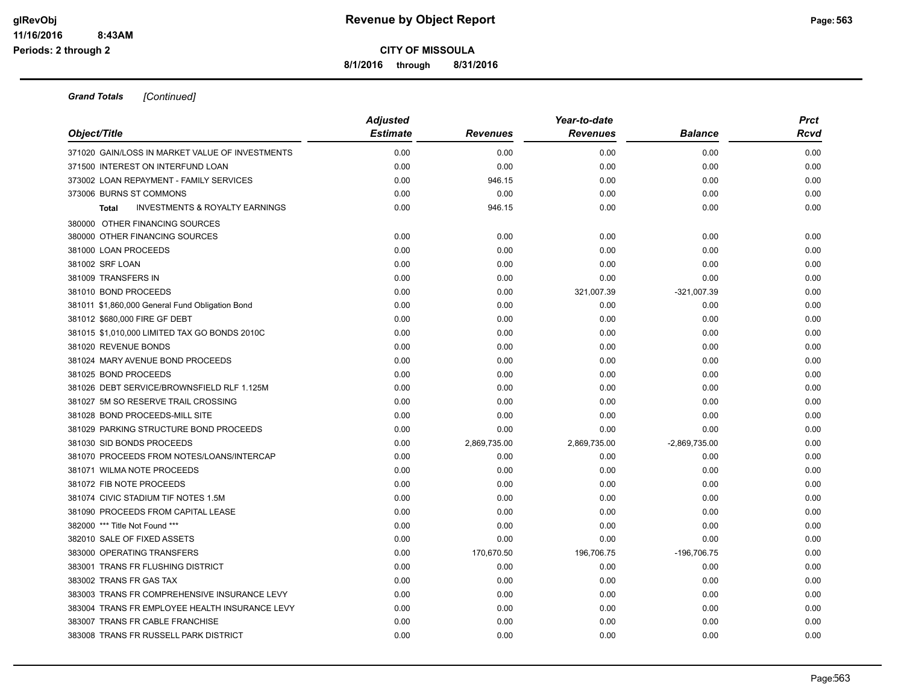**8/1/2016 through 8/31/2016**

| Object/Title                                              | <b>Adjusted</b><br><b>Estimate</b> | <b>Revenues</b> | Year-to-date<br><b>Revenues</b> | <b>Balance</b>  | <b>Prct</b><br>Rcvd |
|-----------------------------------------------------------|------------------------------------|-----------------|---------------------------------|-----------------|---------------------|
|                                                           |                                    |                 |                                 |                 |                     |
| 371020 GAIN/LOSS IN MARKET VALUE OF INVESTMENTS           | 0.00                               | 0.00            | 0.00                            | 0.00            | 0.00                |
| 371500 INTEREST ON INTERFUND LOAN                         | 0.00                               | 0.00            | 0.00                            | 0.00            | 0.00                |
| 373002 LOAN REPAYMENT - FAMILY SERVICES                   | 0.00                               | 946.15          | 0.00                            | 0.00            | 0.00                |
| 373006 BURNS ST COMMONS                                   | 0.00                               | 0.00            | 0.00                            | 0.00            | 0.00                |
| <b>INVESTMENTS &amp; ROYALTY EARNINGS</b><br><b>Total</b> | 0.00                               | 946.15          | 0.00                            | 0.00            | 0.00                |
| 380000 OTHER FINANCING SOURCES                            |                                    |                 |                                 |                 |                     |
| 380000 OTHER FINANCING SOURCES                            | 0.00                               | 0.00            | 0.00                            | 0.00            | 0.00                |
| 381000 LOAN PROCEEDS                                      | 0.00                               | 0.00            | 0.00                            | 0.00            | 0.00                |
| 381002 SRF LOAN                                           | 0.00                               | 0.00            | 0.00                            | 0.00            | 0.00                |
| 381009 TRANSFERS IN                                       | 0.00                               | 0.00            | 0.00                            | 0.00            | 0.00                |
| 381010 BOND PROCEEDS                                      | 0.00                               | 0.00            | 321,007.39                      | $-321,007.39$   | 0.00                |
| 381011 \$1,860,000 General Fund Obligation Bond           | 0.00                               | 0.00            | 0.00                            | 0.00            | 0.00                |
| 381012 \$680,000 FIRE GF DEBT                             | 0.00                               | 0.00            | 0.00                            | 0.00            | 0.00                |
| 381015 \$1,010,000 LIMITED TAX GO BONDS 2010C             | 0.00                               | 0.00            | 0.00                            | 0.00            | 0.00                |
| 381020 REVENUE BONDS                                      | 0.00                               | 0.00            | 0.00                            | 0.00            | 0.00                |
| 381024 MARY AVENUE BOND PROCEEDS                          | 0.00                               | 0.00            | 0.00                            | 0.00            | 0.00                |
| 381025 BOND PROCEEDS                                      | 0.00                               | 0.00            | 0.00                            | 0.00            | 0.00                |
| 381026 DEBT SERVICE/BROWNSFIELD RLF 1.125M                | 0.00                               | 0.00            | 0.00                            | 0.00            | 0.00                |
| 381027 5M SO RESERVE TRAIL CROSSING                       | 0.00                               | 0.00            | 0.00                            | 0.00            | 0.00                |
| 381028 BOND PROCEEDS-MILL SITE                            | 0.00                               | 0.00            | 0.00                            | 0.00            | 0.00                |
| 381029 PARKING STRUCTURE BOND PROCEEDS                    | 0.00                               | 0.00            | 0.00                            | 0.00            | 0.00                |
| 381030 SID BONDS PROCEEDS                                 | 0.00                               | 2,869,735.00    | 2,869,735.00                    | $-2,869,735.00$ | 0.00                |
| 381070 PROCEEDS FROM NOTES/LOANS/INTERCAP                 | 0.00                               | 0.00            | 0.00                            | 0.00            | 0.00                |
| 381071 WILMA NOTE PROCEEDS                                | 0.00                               | 0.00            | 0.00                            | 0.00            | 0.00                |
| 381072 FIB NOTE PROCEEDS                                  | 0.00                               | 0.00            | 0.00                            | 0.00            | 0.00                |
| 381074 CIVIC STADIUM TIF NOTES 1.5M                       | 0.00                               | 0.00            | 0.00                            | 0.00            | 0.00                |
| 381090 PROCEEDS FROM CAPITAL LEASE                        | 0.00                               | 0.00            | 0.00                            | 0.00            | 0.00                |
| 382000 *** Title Not Found ***                            | 0.00                               | 0.00            | 0.00                            | 0.00            | 0.00                |
| 382010 SALE OF FIXED ASSETS                               | 0.00                               | 0.00            | 0.00                            | 0.00            | 0.00                |
| 383000 OPERATING TRANSFERS                                | 0.00                               | 170,670.50      | 196,706.75                      | -196,706.75     | 0.00                |
| 383001 TRANS FR FLUSHING DISTRICT                         | 0.00                               | 0.00            | 0.00                            | 0.00            | 0.00                |
| 383002 TRANS FR GAS TAX                                   | 0.00                               | 0.00            | 0.00                            | 0.00            | 0.00                |
| 383003 TRANS FR COMPREHENSIVE INSURANCE LEVY              | 0.00                               | 0.00            | 0.00                            | 0.00            | 0.00                |
| 383004 TRANS FR EMPLOYEE HEALTH INSURANCE LEVY            | 0.00                               | 0.00            | 0.00                            | 0.00            | 0.00                |
| 383007 TRANS FR CABLE FRANCHISE                           | 0.00                               | 0.00            | 0.00                            | 0.00            | 0.00                |
| 383008 TRANS FR RUSSELL PARK DISTRICT                     | 0.00                               | 0.00            | 0.00                            | 0.00            | 0.00                |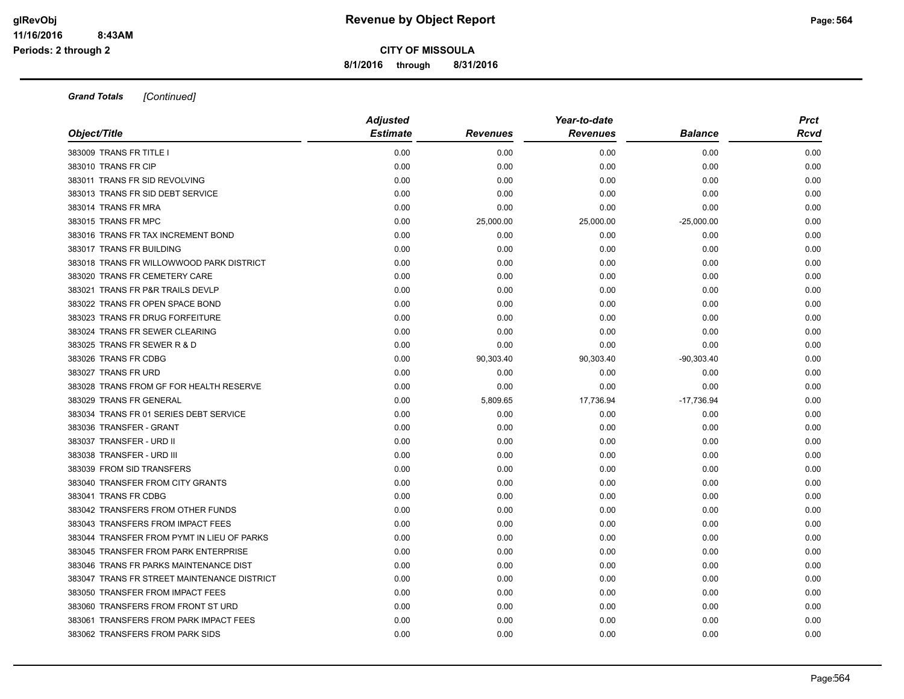**8/1/2016 through 8/31/2016**

| Object/Title                                | <b>Adjusted</b> |                 | Year-to-date    |                | <b>Prct</b> |
|---------------------------------------------|-----------------|-----------------|-----------------|----------------|-------------|
|                                             | <b>Estimate</b> | <b>Revenues</b> | <b>Revenues</b> | <b>Balance</b> | Rcvd        |
| 383009 TRANS FR TITLE I                     | 0.00            | 0.00            | 0.00            | 0.00           | 0.00        |
| 383010 TRANS FR CIP                         | 0.00            | 0.00            | 0.00            | 0.00           | 0.00        |
| 383011 TRANS FR SID REVOLVING               | 0.00            | 0.00            | 0.00            | 0.00           | 0.00        |
| 383013 TRANS FR SID DEBT SERVICE            | 0.00            | 0.00            | 0.00            | 0.00           | 0.00        |
| 383014 TRANS FR MRA                         | 0.00            | 0.00            | 0.00            | 0.00           | 0.00        |
| 383015 TRANS FR MPC                         | 0.00            | 25,000.00       | 25,000.00       | $-25,000.00$   | 0.00        |
| 383016 TRANS FR TAX INCREMENT BOND          | 0.00            | 0.00            | 0.00            | 0.00           | 0.00        |
| 383017 TRANS FR BUILDING                    | 0.00            | 0.00            | 0.00            | 0.00           | 0.00        |
| 383018 TRANS FR WILLOWWOOD PARK DISTRICT    | 0.00            | 0.00            | 0.00            | 0.00           | 0.00        |
| 383020 TRANS FR CEMETERY CARE               | 0.00            | 0.00            | 0.00            | 0.00           | 0.00        |
| 383021 TRANS FR P&R TRAILS DEVLP            | 0.00            | 0.00            | 0.00            | 0.00           | 0.00        |
| 383022 TRANS FR OPEN SPACE BOND             | 0.00            | 0.00            | 0.00            | 0.00           | 0.00        |
| 383023 TRANS FR DRUG FORFEITURE             | 0.00            | 0.00            | 0.00            | 0.00           | 0.00        |
| 383024 TRANS FR SEWER CLEARING              | 0.00            | 0.00            | 0.00            | 0.00           | 0.00        |
| 383025 TRANS FR SEWER R & D                 | 0.00            | 0.00            | 0.00            | 0.00           | 0.00        |
| 383026 TRANS FR CDBG                        | 0.00            | 90,303.40       | 90,303.40       | $-90,303.40$   | 0.00        |
| 383027 TRANS FR URD                         | 0.00            | 0.00            | 0.00            | 0.00           | 0.00        |
| 383028 TRANS FROM GF FOR HEALTH RESERVE     | 0.00            | 0.00            | 0.00            | 0.00           | 0.00        |
| 383029 TRANS FR GENERAL                     | 0.00            | 5,809.65        | 17,736.94       | $-17,736.94$   | 0.00        |
| 383034 TRANS FR 01 SERIES DEBT SERVICE      | 0.00            | 0.00            | 0.00            | 0.00           | 0.00        |
| 383036 TRANSFER - GRANT                     | 0.00            | 0.00            | 0.00            | 0.00           | 0.00        |
| 383037 TRANSFER - URD II                    | 0.00            | 0.00            | 0.00            | 0.00           | 0.00        |
| 383038 TRANSFER - URD III                   | 0.00            | 0.00            | 0.00            | 0.00           | 0.00        |
| 383039 FROM SID TRANSFERS                   | 0.00            | 0.00            | 0.00            | 0.00           | 0.00        |
| 383040 TRANSFER FROM CITY GRANTS            | 0.00            | 0.00            | 0.00            | 0.00           | 0.00        |
| 383041 TRANS FR CDBG                        | 0.00            | 0.00            | 0.00            | 0.00           | 0.00        |
| 383042 TRANSFERS FROM OTHER FUNDS           | 0.00            | 0.00            | 0.00            | 0.00           | 0.00        |
| 383043 TRANSFERS FROM IMPACT FEES           | 0.00            | 0.00            | 0.00            | 0.00           | 0.00        |
| 383044 TRANSFER FROM PYMT IN LIEU OF PARKS  | 0.00            | 0.00            | 0.00            | 0.00           | 0.00        |
| 383045 TRANSFER FROM PARK ENTERPRISE        | 0.00            | 0.00            | 0.00            | 0.00           | 0.00        |
| 383046 TRANS FR PARKS MAINTENANCE DIST      | 0.00            | 0.00            | 0.00            | 0.00           | 0.00        |
| 383047 TRANS FR STREET MAINTENANCE DISTRICT | 0.00            | 0.00            | 0.00            | 0.00           | 0.00        |
| 383050 TRANSFER FROM IMPACT FEES            | 0.00            | 0.00            | 0.00            | 0.00           | 0.00        |
| 383060 TRANSFERS FROM FRONT ST URD          | 0.00            | 0.00            | 0.00            | 0.00           | 0.00        |
| 383061 TRANSFERS FROM PARK IMPACT FEES      | 0.00            | 0.00            | 0.00            | 0.00           | 0.00        |
| 383062 TRANSFERS FROM PARK SIDS             | 0.00            | 0.00            | 0.00            | 0.00           | 0.00        |